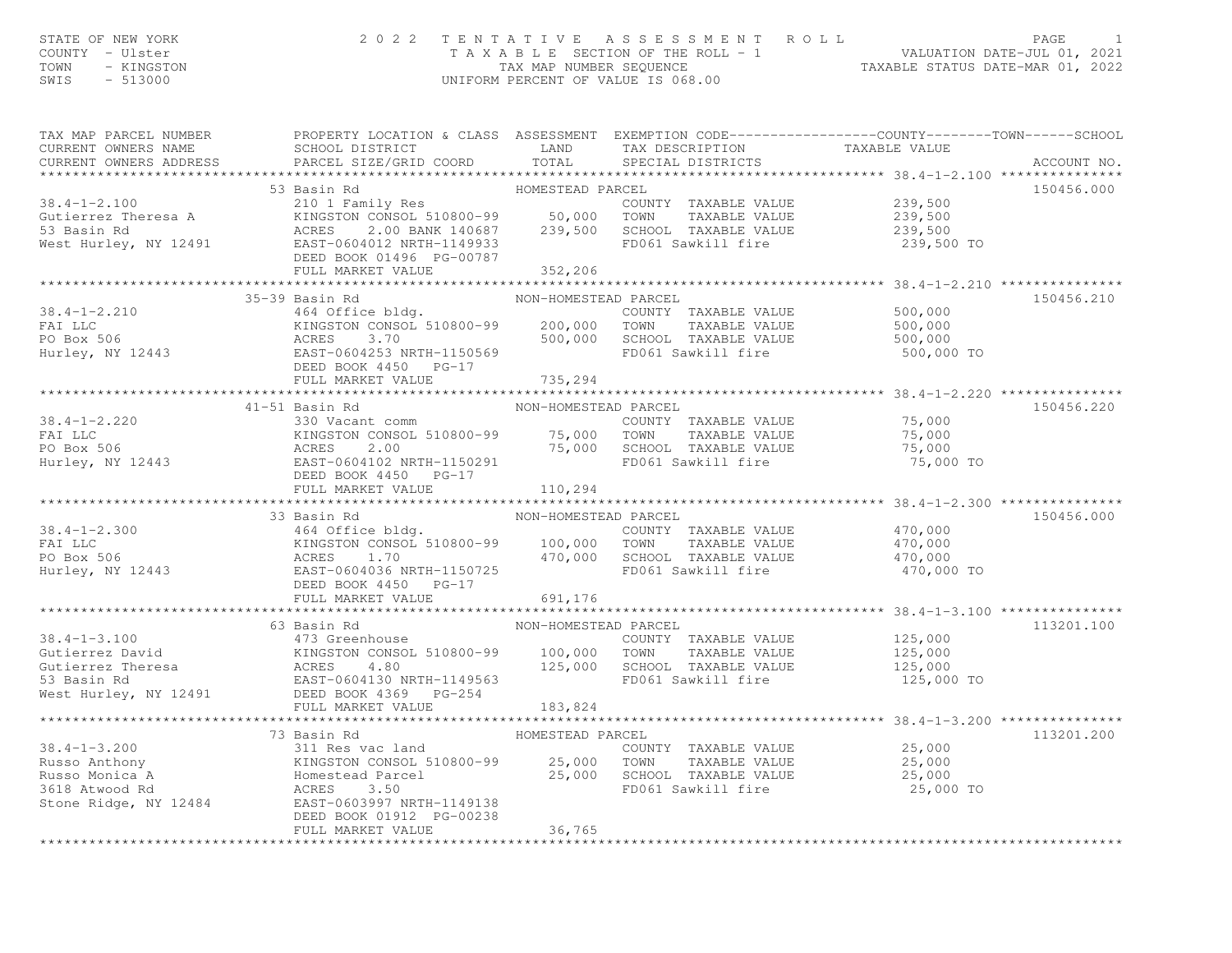# STATE OF NEW YORK [INCLUDING THE RIGHT OF THE RIGHT OF THE ROLL TO A SERIUS OF THE SECTION OF THE SECTION OF THE ROLL [INCLUDING TAXABLE STATURD OF THE ROLL TAXA BLE SECTION OF THE ROLL - 1 [INCLUDING THE PASS OF TAXA BLE

| TAX MAP PARCEL NUMBER | PROPERTY LOCATION & CLASS ASSESSMENT EXEMPTION CODE----------------COUNTY-------TOWN------SCHOOL                                                                                                                                                   |                      |                                                 |             |
|-----------------------|----------------------------------------------------------------------------------------------------------------------------------------------------------------------------------------------------------------------------------------------------|----------------------|-------------------------------------------------|-------------|
|                       |                                                                                                                                                                                                                                                    |                      | TAX DESCRIPTION TAXABLE VALUE SPECIAL DISTRICTS |             |
|                       |                                                                                                                                                                                                                                                    |                      |                                                 | ACCOUNT NO. |
|                       |                                                                                                                                                                                                                                                    |                      |                                                 |             |
|                       | 53 Basin Rd                                                                                                                                                                                                                                        | HOMESTEAD PARCEL     |                                                 | 150456.000  |
|                       |                                                                                                                                                                                                                                                    |                      |                                                 |             |
|                       |                                                                                                                                                                                                                                                    |                      |                                                 |             |
|                       |                                                                                                                                                                                                                                                    |                      |                                                 |             |
|                       |                                                                                                                                                                                                                                                    |                      | FD061 Sawkill fire 339,500 TO                   |             |
|                       |                                                                                                                                                                                                                                                    |                      |                                                 |             |
|                       |                                                                                                                                                                                                                                                    |                      |                                                 |             |
|                       | 38.4-1-2.100 339,500<br>Gutierrez Theresa A 210 I Family Res<br>Subsatin Kurd Res 2.00 BANK 140687 339,500 SCHOOL TAXABLE VALUE 239,500<br>West Hurley, NY 12491 EAST-0604012 NRTH-1149933 FD061 Sawkill fire 239,500<br>West Hurley,              |                      |                                                 |             |
|                       | 35-39 Basin Rd                                                                                                                                                                                                                                     | NON-HOMESTEAD PARCEL |                                                 | 150456.210  |
|                       |                                                                                                                                                                                                                                                    |                      |                                                 |             |
|                       |                                                                                                                                                                                                                                                    |                      |                                                 |             |
|                       |                                                                                                                                                                                                                                                    |                      |                                                 |             |
|                       |                                                                                                                                                                                                                                                    |                      |                                                 |             |
|                       |                                                                                                                                                                                                                                                    |                      |                                                 |             |
|                       |                                                                                                                                                                                                                                                    |                      |                                                 |             |
|                       | 38.4-1-2.210<br>FAI LLC MINGSTON CONSOL 510800-99 200,000 TOWN TAXABLE VALUE 500,000<br>FAI LLC MINGSTON CONSOL 510800-99 200,000 TOWN TAXABLE VALUE 500,000<br>PO Box 506 ACRES 3.70 500,000 SCHOOL TAXABLE VALUE 500,000<br>Hurley,              |                      |                                                 |             |
|                       |                                                                                                                                                                                                                                                    |                      |                                                 |             |
|                       |                                                                                                                                                                                                                                                    |                      |                                                 | 150456.220  |
|                       |                                                                                                                                                                                                                                                    |                      |                                                 |             |
|                       |                                                                                                                                                                                                                                                    |                      |                                                 |             |
|                       |                                                                                                                                                                                                                                                    |                      |                                                 |             |
|                       |                                                                                                                                                                                                                                                    |                      |                                                 |             |
|                       |                                                                                                                                                                                                                                                    |                      |                                                 |             |
|                       |                                                                                                                                                                                                                                                    |                      |                                                 |             |
|                       |                                                                                                                                                                                                                                                    |                      |                                                 |             |
|                       | 33 Basin Rd                                                                                                                                                                                                                                        | NON-HOMESTEAD PARCEL |                                                 | 150456.000  |
|                       |                                                                                                                                                                                                                                                    |                      |                                                 |             |
|                       |                                                                                                                                                                                                                                                    |                      |                                                 |             |
|                       |                                                                                                                                                                                                                                                    |                      |                                                 |             |
|                       |                                                                                                                                                                                                                                                    |                      | FD061 Sawkill fire 470,000 TO                   |             |
|                       | DEED BOOK 4450 PG-17                                                                                                                                                                                                                               |                      |                                                 |             |
|                       | FULL MARKET VALUE 691, 176                                                                                                                                                                                                                         |                      |                                                 |             |
|                       |                                                                                                                                                                                                                                                    |                      |                                                 |             |
|                       | 63 Basin Rd                                                                                                                                                                                                                                        | NON-HOMESTEAD PARCEL |                                                 | 113201.100  |
|                       | 38.4-1-3.100<br>Gutierrez David<br>Gutierrez Pavid<br>Gutierrez Theresa<br>Gutierrez Theresa<br>EXINGSTON CONSOL 510800-99<br>ACRES 4.80<br>EXINGSTON CONSOL 510800-99<br>100,000 TOWN TAXABLE VALUE<br>TO61 SANABLE VALUE<br>EXINGSTON CONSOL 510 |                      |                                                 |             |
|                       |                                                                                                                                                                                                                                                    |                      |                                                 |             |
|                       |                                                                                                                                                                                                                                                    |                      |                                                 |             |
|                       |                                                                                                                                                                                                                                                    |                      |                                                 |             |
|                       |                                                                                                                                                                                                                                                    |                      |                                                 |             |
|                       |                                                                                                                                                                                                                                                    |                      |                                                 |             |
|                       | FULL MARKET VALUE                                                                                                                                                                                                                                  | 183,824              |                                                 |             |
|                       |                                                                                                                                                                                                                                                    |                      |                                                 |             |
|                       | 73 Basin Rd                                                                                                                                                                                                                                        |                      |                                                 | 113201.200  |
|                       | 38.4-1-3.200 311 Res vac land COUNTY TAXABLE VALUE<br>Russo Anthony KINGSTON CONSOL 510800-99 25,000 TOWN TAXABLE VALUE<br>Russo Monica A Homestead Parcel 25,000 SCHOOL TAXABLE VALUE 25,000<br>3618 Atwood Rd ACRES 3.500 ACRES 3.               |                      |                                                 |             |
|                       |                                                                                                                                                                                                                                                    |                      |                                                 |             |
|                       |                                                                                                                                                                                                                                                    |                      |                                                 |             |
|                       |                                                                                                                                                                                                                                                    |                      |                                                 |             |
|                       |                                                                                                                                                                                                                                                    |                      |                                                 |             |
|                       | DEED BOOK 01912 PG-00238                                                                                                                                                                                                                           |                      |                                                 |             |
|                       | FULL MARKET VALUE                                                                                                                                                                                                                                  | 36,765               |                                                 |             |
|                       |                                                                                                                                                                                                                                                    |                      |                                                 |             |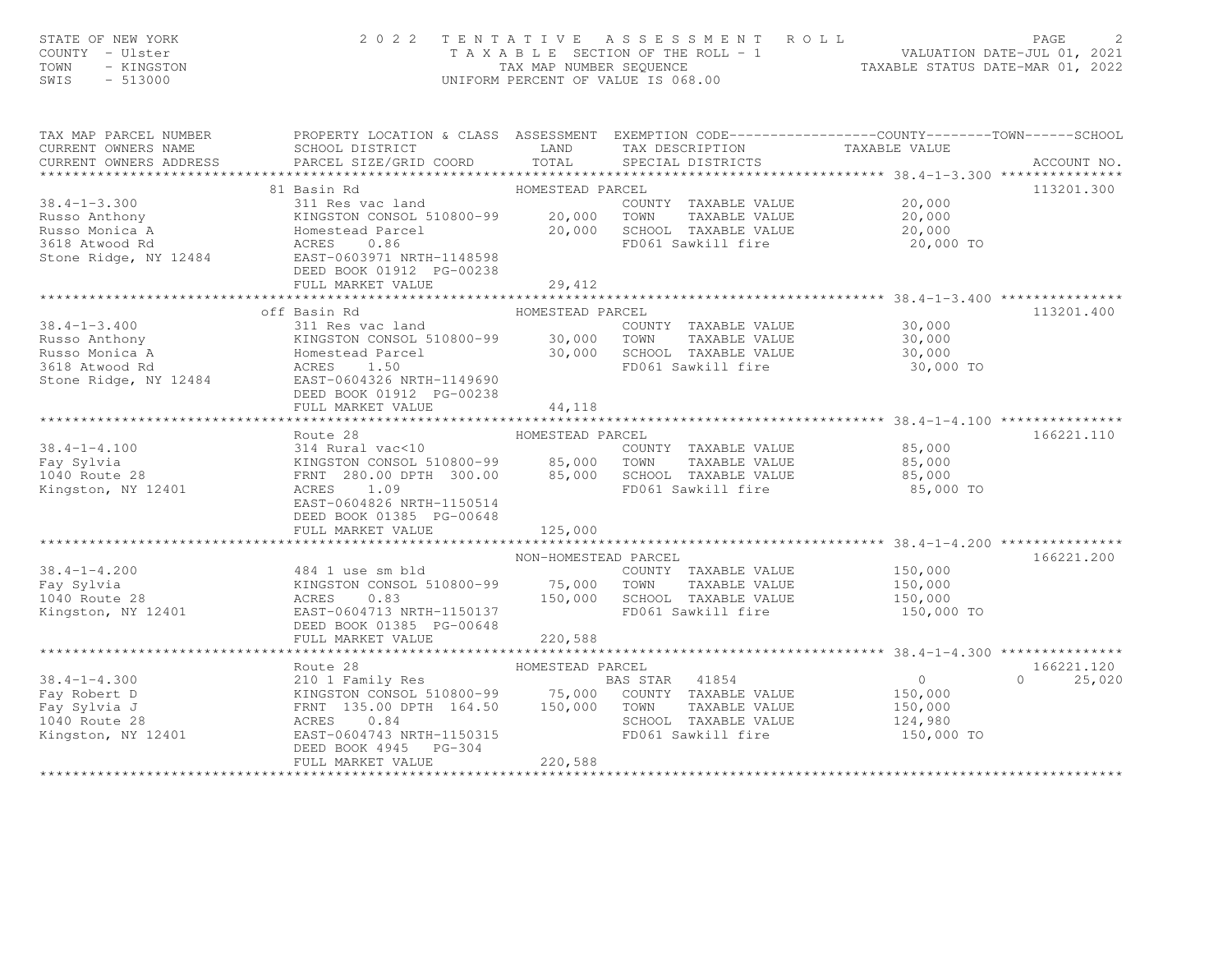# STATE OF NEW YORK PAGE 2<br>COUNTY - Ulster (2009) TAXABLE SECTION OF THE ROLL - 1 (2011) VALUATION DATE-JUL 01, 2021<br>TAXABLE SECTION OF THE ROLL - 1 (2022) TAXABLE SEQUENCE (2012) TAXABLE STATUS DATE-JUL 01, 2022<br>SWIS - 5130

| TAX MAP PARCEL NUMBER<br>CURRENT OWNERS ADDRESS |                                                            |                                                                                                                                                                                                                                                              | PROPERTY LOCATION & CLASS ASSESSMENT EXEMPTION CODE----------------COUNTY-------TOWN-----SCHOOL |
|-------------------------------------------------|------------------------------------------------------------|--------------------------------------------------------------------------------------------------------------------------------------------------------------------------------------------------------------------------------------------------------------|-------------------------------------------------------------------------------------------------|
|                                                 |                                                            |                                                                                                                                                                                                                                                              |                                                                                                 |
|                                                 |                                                            |                                                                                                                                                                                                                                                              | 113201.300                                                                                      |
|                                                 |                                                            |                                                                                                                                                                                                                                                              |                                                                                                 |
|                                                 |                                                            |                                                                                                                                                                                                                                                              |                                                                                                 |
|                                                 |                                                            |                                                                                                                                                                                                                                                              |                                                                                                 |
|                                                 |                                                            |                                                                                                                                                                                                                                                              |                                                                                                 |
|                                                 |                                                            | 38.4-1-3.300<br>38.4-1-3.300<br>31 Basin Rd<br>311 Res vac land<br>20,000<br>Russo Anthony<br>EAS 311 Res vac land<br>20,000<br>20,000<br>Russo Monica A<br>3618 Atwood Rd<br>3618 Atwood Rd<br>3618 Atwood Rd<br>3618 Atwood Rd<br>3618 Atwood Rd<br>3618 A |                                                                                                 |
|                                                 | DEED BOOK 01912 PG-00238                                   |                                                                                                                                                                                                                                                              |                                                                                                 |
|                                                 | FULL MARKET VALUE                                          | 29, 412                                                                                                                                                                                                                                                      |                                                                                                 |
|                                                 |                                                            |                                                                                                                                                                                                                                                              |                                                                                                 |
|                                                 | off Basin Rd                                               |                                                                                                                                                                                                                                                              | 113201.400                                                                                      |
|                                                 |                                                            |                                                                                                                                                                                                                                                              |                                                                                                 |
|                                                 |                                                            |                                                                                                                                                                                                                                                              |                                                                                                 |
|                                                 |                                                            |                                                                                                                                                                                                                                                              |                                                                                                 |
|                                                 |                                                            |                                                                                                                                                                                                                                                              |                                                                                                 |
|                                                 |                                                            |                                                                                                                                                                                                                                                              | 30,000 TO                                                                                       |
|                                                 |                                                            | 38.4-1-3.400<br>Russo Anthony<br>Russo Anthony<br>Russo Monica A Homestead Parcel 30,000<br>Russo Monica A Homestead Parcel 30,000<br>Stone Ridge, NY 12484<br>Stone Ridge, NY 12484<br>BAST-0604326 NRTH-1149690<br>Russo Monica A RCRES 1.50               |                                                                                                 |
|                                                 | DEED BOOK 01912 PG-00238                                   |                                                                                                                                                                                                                                                              |                                                                                                 |
|                                                 |                                                            |                                                                                                                                                                                                                                                              |                                                                                                 |
|                                                 |                                                            |                                                                                                                                                                                                                                                              |                                                                                                 |
|                                                 | Route 28 MOMESTEAD PARCEL<br>314 Rural vac<10 MESTEAD COUN |                                                                                                                                                                                                                                                              | 166221.110                                                                                      |
| $38.4 - 1 - 4.100$                              |                                                            |                                                                                                                                                                                                                                                              |                                                                                                 |
| Fay Sylvia                                      |                                                            |                                                                                                                                                                                                                                                              |                                                                                                 |
| 1040 Route 28                                   |                                                            |                                                                                                                                                                                                                                                              |                                                                                                 |
| Kingston, NY 12401                              |                                                            | 314 Rural vac<10<br>28 TINGSTON CONSOL 510800-99 85,000 TOWN TAXABLE VALUE<br>28 TRNT 280.00 DPTH 300.00 85,000 SCHOOL TAXABLE VALUE 85,000<br>28 TRNT 280.00 DPTH 300.00 85,000 SCHOOL TAXABLE VALUE 85,000<br>28 TD061 Sawkill fire                        | 85,000 TO                                                                                       |
|                                                 |                                                            |                                                                                                                                                                                                                                                              |                                                                                                 |
|                                                 | EAST-0604826 NRTH-1150514                                  |                                                                                                                                                                                                                                                              |                                                                                                 |
|                                                 | DEED BOOK 01385 PG-00648                                   |                                                                                                                                                                                                                                                              |                                                                                                 |
|                                                 |                                                            |                                                                                                                                                                                                                                                              |                                                                                                 |
|                                                 |                                                            |                                                                                                                                                                                                                                                              |                                                                                                 |
|                                                 |                                                            | NON-HOMESTEAD PARCEL                                                                                                                                                                                                                                         | 166221.200                                                                                      |
| $38.4 - 1 - 4.200$                              |                                                            | COUNTY TAXABLE VALUE 150,000                                                                                                                                                                                                                                 |                                                                                                 |
| Fay Sylvia                                      |                                                            |                                                                                                                                                                                                                                                              |                                                                                                 |
| 1040 Route 28                                   |                                                            |                                                                                                                                                                                                                                                              |                                                                                                 |
| Kingston, NY 12401                              |                                                            | 484 1 use sm bld<br>KINGSTON CONSOL 510800-99 75,000 TOWN TAXABLE VALUE 150,000<br>ACRES 0.83 150,000 SCHOOL TAXABLE VALUE 150,000<br>EAST-0604713 NRTH-1150137 FD061 Sawkill fire 150,000<br>DEED BOOK 01385 PG-00648<br>FD061 Sawkill fire 150,000 TO      |                                                                                                 |
|                                                 |                                                            |                                                                                                                                                                                                                                                              |                                                                                                 |
|                                                 |                                                            |                                                                                                                                                                                                                                                              |                                                                                                 |
|                                                 |                                                            |                                                                                                                                                                                                                                                              |                                                                                                 |
|                                                 |                                                            |                                                                                                                                                                                                                                                              | 166221.120                                                                                      |
|                                                 |                                                            |                                                                                                                                                                                                                                                              | $0 \t 25,020$                                                                                   |
|                                                 |                                                            |                                                                                                                                                                                                                                                              |                                                                                                 |
|                                                 |                                                            |                                                                                                                                                                                                                                                              |                                                                                                 |
|                                                 |                                                            | Route 28<br>Route 28<br>Fay Robert D<br>Fay Sylvia J<br>Fay Sylvia J<br>Fay Sylvia J<br>FRID 1990 DERING STAR 41854<br>Fay Sylvia J<br>FRID 135.00 DPTH 164.50<br>150,000<br>TOWN TAXABLE VALUE<br>150,000<br>SCHOOL TAXABLE VALUE<br>150,000<br>SCHOOL TA   |                                                                                                 |
|                                                 |                                                            |                                                                                                                                                                                                                                                              |                                                                                                 |
|                                                 |                                                            |                                                                                                                                                                                                                                                              |                                                                                                 |
|                                                 | DEED BOOK 4945 PG-304                                      |                                                                                                                                                                                                                                                              |                                                                                                 |
|                                                 | FULL MARKET VALUE                                          | 220,588                                                                                                                                                                                                                                                      |                                                                                                 |
|                                                 |                                                            |                                                                                                                                                                                                                                                              |                                                                                                 |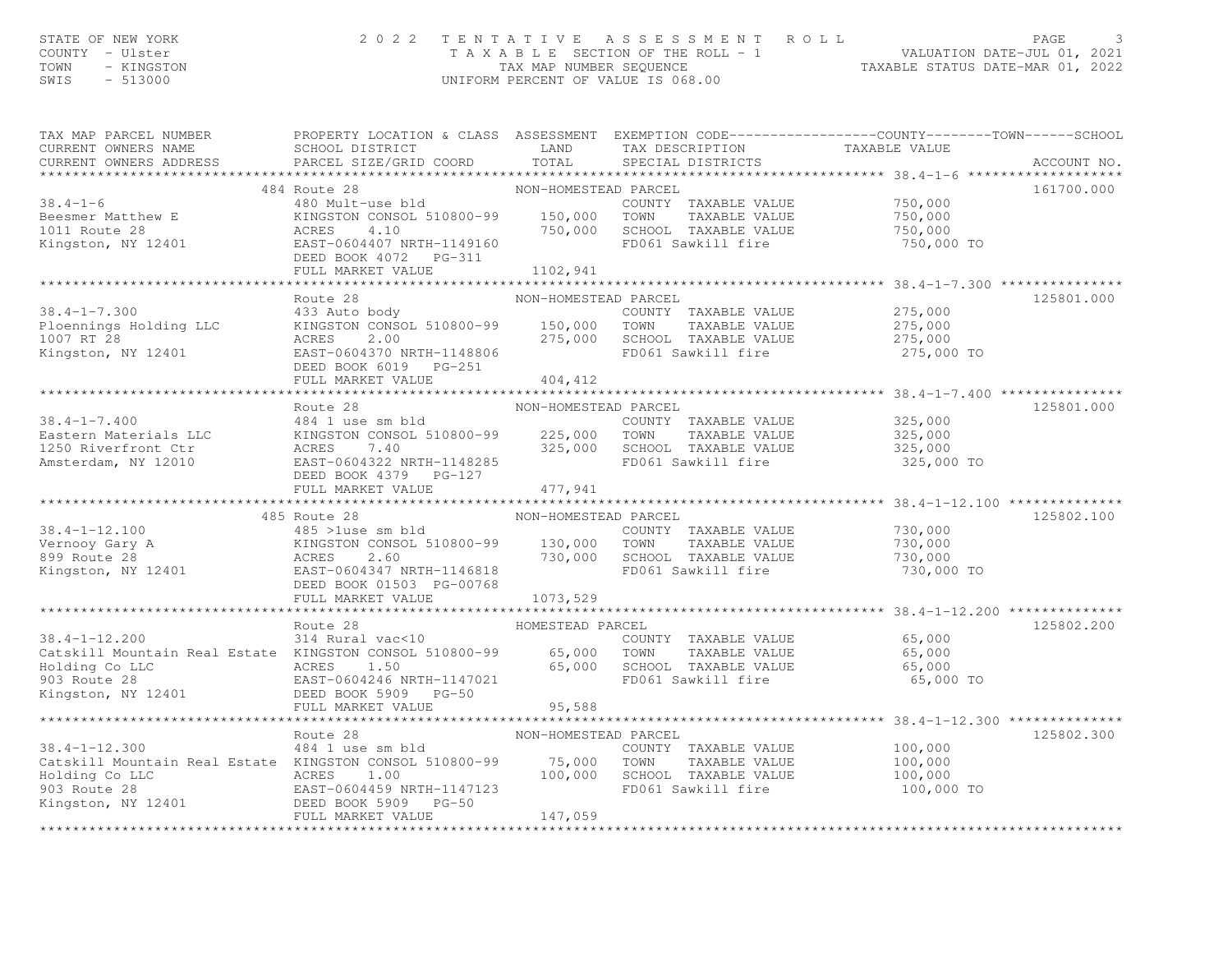# STATE OF NEW YORK TANK ON MANUSIC RESORT AND RESORT TO A SAME IS SERIE OF A SOLUL TO A SOLUL PAGE 3<br>COUNTY - Ulster the series that that Manusic sequence the ROLL - 1 valuation date-jul 01, 2021<br>TAX A B L E SECTION OF THE

| TAX MAP PARCEL NUMBER<br>CURRENT OWNERS NAME<br>CURRENT OWNERS ADDRESS                                                                                                                                                                                                                                                                           | PROPERTY LOCATION & CLASS ASSESSMENT EXEMPTION CODE----------------COUNTY-------TOWN-----SCHOOL<br>SCHOOL DISTRICT LAND<br>PARCEL SIZE/GRID COORD TOTAL                                                       |                      | TAX DESCRIPTION TAXABLE VALUE<br>SPECIAL DISTRICTS TAXABLE VALUE |                       | ACCOUNT NO. |
|--------------------------------------------------------------------------------------------------------------------------------------------------------------------------------------------------------------------------------------------------------------------------------------------------------------------------------------------------|---------------------------------------------------------------------------------------------------------------------------------------------------------------------------------------------------------------|----------------------|------------------------------------------------------------------|-----------------------|-------------|
|                                                                                                                                                                                                                                                                                                                                                  |                                                                                                                                                                                                               |                      |                                                                  |                       |             |
|                                                                                                                                                                                                                                                                                                                                                  | 484 Route 28<br>Route 28<br>480 Mult-use bld<br>KINGSTON CONSOL 510800-99<br>150,000 TOWN TAXABLE VALUE 750,000<br>750,000 SCHOOL TAXABLE VALUE 750,000<br>FD061 Sawkill fire 750,000                         |                      |                                                                  |                       | 161700.000  |
| $38.4 - 1 - 6$                                                                                                                                                                                                                                                                                                                                   |                                                                                                                                                                                                               |                      |                                                                  |                       |             |
|                                                                                                                                                                                                                                                                                                                                                  |                                                                                                                                                                                                               |                      |                                                                  |                       |             |
|                                                                                                                                                                                                                                                                                                                                                  |                                                                                                                                                                                                               |                      |                                                                  |                       |             |
| Beesmer Matthew E<br>1011 Route 28<br>Kingston, NY 12401                                                                                                                                                                                                                                                                                         |                                                                                                                                                                                                               |                      |                                                                  | 750,000 TO            |             |
|                                                                                                                                                                                                                                                                                                                                                  |                                                                                                                                                                                                               |                      |                                                                  |                       |             |
|                                                                                                                                                                                                                                                                                                                                                  | FULL MARKET VALUE                                                                                                                                                                                             | 1102,941             |                                                                  |                       |             |
|                                                                                                                                                                                                                                                                                                                                                  |                                                                                                                                                                                                               |                      |                                                                  |                       |             |
|                                                                                                                                                                                                                                                                                                                                                  | Route 28                                                                                                                                                                                                      | NON-HOMESTEAD PARCEL |                                                                  |                       | 125801.000  |
| $38.4 - 1 - 7.300$                                                                                                                                                                                                                                                                                                                               |                                                                                                                                                                                                               |                      | COUNTY TAXABLE VALUE 275,000                                     |                       |             |
| Ploennings Holding LLC                                                                                                                                                                                                                                                                                                                           |                                                                                                                                                                                                               |                      |                                                                  | TAXABLE VALUE 275,000 |             |
| 1007 RT 28                                                                                                                                                                                                                                                                                                                                       | FOUNTY TAXABLE VALUE<br>433 Auto body<br>KINGSTON CONSOL 510800-99 150,000 TOWN TAXABLE VALUE<br>ACRES 2.00 275,000 SCHOOL TAXABLE VALUE<br>EAST-0604370 NRTH-1148806 FD061 Sawkill fire                      |                      |                                                                  | 275,000               |             |
| Kingston, NY 12401                                                                                                                                                                                                                                                                                                                               |                                                                                                                                                                                                               |                      | FD061 Sawkill fire 275,000 TO                                    |                       |             |
|                                                                                                                                                                                                                                                                                                                                                  | DEED BOOK 6019 PG-251                                                                                                                                                                                         |                      |                                                                  |                       |             |
|                                                                                                                                                                                                                                                                                                                                                  | FULL MARKET VALUE                                                                                                                                                                                             | 404,412              |                                                                  |                       |             |
|                                                                                                                                                                                                                                                                                                                                                  |                                                                                                                                                                                                               |                      |                                                                  |                       |             |
|                                                                                                                                                                                                                                                                                                                                                  | Route 28                                                                                                                                                                                                      | NON-HOMESTEAD PARCEL |                                                                  |                       | 125801.000  |
| $38.4 - 1 - 7.400$                                                                                                                                                                                                                                                                                                                               | 484 1 use sm bld                                                                                                                                                                                              |                      | COUNTY TAXABLE VALUE 325,000                                     |                       |             |
| Eastern Materials LLC                                                                                                                                                                                                                                                                                                                            |                                                                                                                                                                                                               |                      |                                                                  |                       |             |
| 1250 Riverfront Ctr                                                                                                                                                                                                                                                                                                                              |                                                                                                                                                                                                               |                      |                                                                  |                       |             |
| Amsterdam, NY 12010                                                                                                                                                                                                                                                                                                                              | EXERCIS CONSOL 510800-99<br>EXERCIS 7.40<br>ACRES 7.40 325,000 SCHOOL TAXABLE VALUE 325,000<br>EAST-0604322 NRTH-1148285<br>FD061 Sawkill fire 325,000<br>FD061 Sawkill fire 325,000<br>PERD BOOK 4379 PG-127 |                      |                                                                  | 325,000 TO            |             |
|                                                                                                                                                                                                                                                                                                                                                  | DEED BOOK 4379 PG-127                                                                                                                                                                                         |                      |                                                                  |                       |             |
|                                                                                                                                                                                                                                                                                                                                                  | FULL MARKET VALUE                                                                                                                                                                                             | 477,941              |                                                                  |                       |             |
|                                                                                                                                                                                                                                                                                                                                                  |                                                                                                                                                                                                               |                      |                                                                  |                       |             |
|                                                                                                                                                                                                                                                                                                                                                  | Route 28 NON-HC<br>485 > luse sm bld<br>485 Route 28                                                                                                                                                          | NON-HOMESTEAD PARCEL |                                                                  |                       | 125802.100  |
| $38.4 - 1 - 12.100$                                                                                                                                                                                                                                                                                                                              |                                                                                                                                                                                                               |                      |                                                                  | 730,000               |             |
|                                                                                                                                                                                                                                                                                                                                                  |                                                                                                                                                                                                               |                      |                                                                  | 730,000               |             |
|                                                                                                                                                                                                                                                                                                                                                  |                                                                                                                                                                                                               |                      |                                                                  | 730,000               |             |
| $38.4-1-12.100$ $485$ > 1use $\sin \omega$<br>Vernooy Gary A KINGSTON CONSO<br>899 Route 28 ACRES 2.60<br>Kingston, NY 12401 EAST-0604347 N<br>REED BOOK 0150                                                                                                                                                                                    | 485 >1use sm bld<br>KINGSTON CONSOL 510800-99 130,000 TOWN TAXABLE VALUE<br>ACRES 2.60 730,000 SCHOOL TAXABLE VALUE<br>EAST-0604347 NRTH-1146818 FD061 Sawkill fire<br>TETR POOK 01503 PG-00768               |                      |                                                                  | 730,000 TO            |             |
|                                                                                                                                                                                                                                                                                                                                                  |                                                                                                                                                                                                               |                      |                                                                  |                       |             |
|                                                                                                                                                                                                                                                                                                                                                  | FULL MARKET VALUE                                                                                                                                                                                             | 1073,529             |                                                                  |                       |             |
|                                                                                                                                                                                                                                                                                                                                                  |                                                                                                                                                                                                               |                      |                                                                  |                       |             |
|                                                                                                                                                                                                                                                                                                                                                  |                                                                                                                                                                                                               | HOMESTEAD PARCEL     |                                                                  |                       | 125802.200  |
| $38.4 - 1 - 12.200$                                                                                                                                                                                                                                                                                                                              | Route 28 MOMESTI<br>314 Rural vac<10                                                                                                                                                                          |                      | COUNTY TAXABLE VALUE 65,000                                      |                       |             |
|                                                                                                                                                                                                                                                                                                                                                  |                                                                                                                                                                                                               |                      |                                                                  |                       |             |
|                                                                                                                                                                                                                                                                                                                                                  |                                                                                                                                                                                                               |                      |                                                                  |                       |             |
| Catskill Mountain Real Estate XINGSTON CONSOL 510800-99 65,000 TOWN TAXABLE VALUE 65,000<br>Holding Co LLC ACRES 1.50 65,000 SCHOOL TAXABLE VALUE 65,000 65,000<br>903 Route 28 EAST-0604246 NRTH-1147021 FD061 Sawkill fire 65,000<br>Holding Co LLC<br>903 Route 28<br>EAST-0604246 NRTH-1147021<br>Kingston, NY 12401<br>DEED BOOK 5909 PG-50 |                                                                                                                                                                                                               |                      |                                                                  | 65,000 TO             |             |
|                                                                                                                                                                                                                                                                                                                                                  |                                                                                                                                                                                                               |                      |                                                                  |                       |             |
|                                                                                                                                                                                                                                                                                                                                                  | FULL MARKET VALUE                                                                                                                                                                                             | 95,588               |                                                                  |                       |             |
|                                                                                                                                                                                                                                                                                                                                                  |                                                                                                                                                                                                               |                      |                                                                  |                       |             |
|                                                                                                                                                                                                                                                                                                                                                  |                                                                                                                                                                                                               |                      |                                                                  |                       | 125802.300  |
|                                                                                                                                                                                                                                                                                                                                                  |                                                                                                                                                                                                               |                      |                                                                  |                       |             |
| Route 28<br>Route 28<br>28.4-1-12.300<br>28.4-1-12.300<br>28.54-1-12.300<br>28.5454 Mountain Real Estate KINGSTON CONSOL 510800-99<br>29.57-0604459 NRTH-1147123<br>202.5000L TAXABLE VALUE<br>202.5000L TAXABLE VALUE<br>29.5000 EAST-0604459 N                                                                                                 |                                                                                                                                                                                                               |                      | COUNTY TAXABLE VALUE $100,000$<br>TOWN TAXABLE VALUE 100,000     |                       |             |
|                                                                                                                                                                                                                                                                                                                                                  |                                                                                                                                                                                                               |                      |                                                                  | 100,000               |             |
| Holding Co LLC<br>903 Route 28<br>EAST-0604459 NRTH-1147123<br>Kingston, NY 12401<br>DEED BOOK 5909 PG-50                                                                                                                                                                                                                                        |                                                                                                                                                                                                               |                      |                                                                  | 100,000 TO            |             |
|                                                                                                                                                                                                                                                                                                                                                  |                                                                                                                                                                                                               |                      |                                                                  |                       |             |
|                                                                                                                                                                                                                                                                                                                                                  | FULL MARKET VALUE                                                                                                                                                                                             | 147,059              |                                                                  |                       |             |
|                                                                                                                                                                                                                                                                                                                                                  |                                                                                                                                                                                                               |                      |                                                                  |                       |             |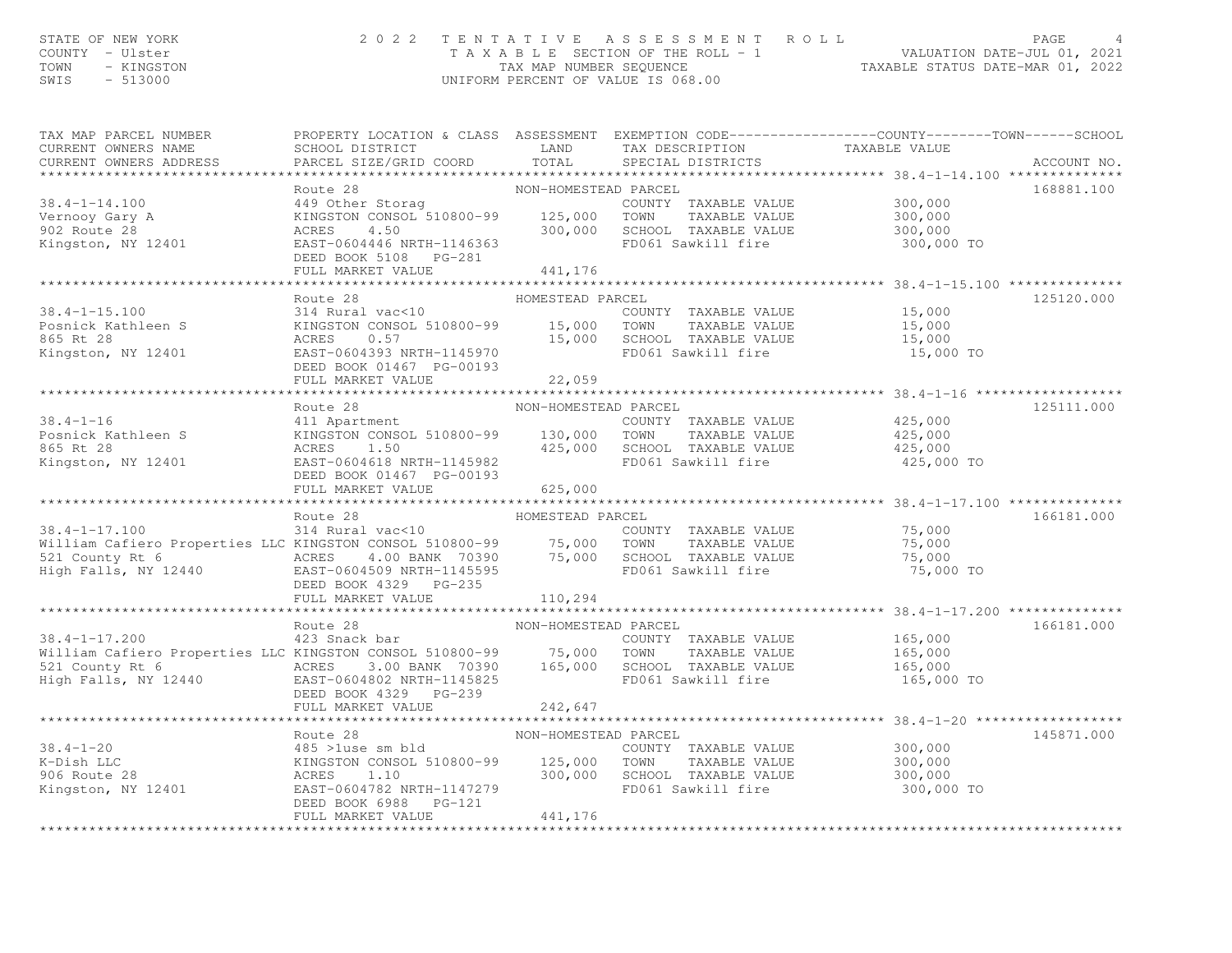# STATE OF NEW YORK PAGE 4<br>COUNTY - Ulster (2001) TAXABLE SECTION OF THE ROLL - 1 (NALUATION DATE-JUL 01, 2021<br>TAXABLE SECTION OF THE ROLL - 1 (NALUATION DATE-JUL 01, 2021<br>SWIS - 513000 (INTFORM PERCENT OF VALUE IS 068.00) T

| TAX MAP PARCEL NUMBER                                                                                                                                                                                                                                       |                                                                                                                                                                                              |                      | PROPERTY LOCATION & CLASS ASSESSMENT EXEMPTION CODE---------------COUNTY-------TOWN------SCHOOL                                |                    |             |
|-------------------------------------------------------------------------------------------------------------------------------------------------------------------------------------------------------------------------------------------------------------|----------------------------------------------------------------------------------------------------------------------------------------------------------------------------------------------|----------------------|--------------------------------------------------------------------------------------------------------------------------------|--------------------|-------------|
| CURRENT OWNERS NAME                                                                                                                                                                                                                                         | <b>LAND</b><br>SCHOOL DISTRICT                                                                                                                                                               |                      | TAX DESCRIPTION TAXABLE VALUE                                                                                                  |                    |             |
| CURRENT OWNERS ADDRESS                                                                                                                                                                                                                                      | PARCEL SIZE/GRID COORD TOTAL                                                                                                                                                                 |                      | SPECIAL DISTRICTS                                                                                                              |                    | ACCOUNT NO. |
|                                                                                                                                                                                                                                                             |                                                                                                                                                                                              |                      |                                                                                                                                |                    |             |
|                                                                                                                                                                                                                                                             | Route 28                                                                                                                                                                                     | NON-HOMESTEAD PARCEL |                                                                                                                                |                    | 168881.100  |
| $38.4 - 1 - 14.100$                                                                                                                                                                                                                                         | COUNTY TAXABLE VALUE<br>449 Other Storag<br>KINGSTON CONSOL 510800-99<br>ACRES 4.50 300,000 SCHOOL TAXABLE VALUE<br>EAST-0604446 NRTH-1146363<br>FD061 Sawkill fire<br>FD061 Sawkill fire    |                      | COUNTY TAXABLE VALUE 300,000                                                                                                   |                    |             |
| Vernooy Gary A                                                                                                                                                                                                                                              |                                                                                                                                                                                              |                      | TAXABLE VALUE 300,000                                                                                                          |                    |             |
| 902 Route 28<br>902 Route 28<br>Kingston, NY 12401                                                                                                                                                                                                          |                                                                                                                                                                                              |                      |                                                                                                                                | 300,000            |             |
|                                                                                                                                                                                                                                                             |                                                                                                                                                                                              |                      | FD061 Sawkill fire 300,000 TO                                                                                                  |                    |             |
|                                                                                                                                                                                                                                                             | DEED BOOK 5108 PG-281                                                                                                                                                                        |                      |                                                                                                                                |                    |             |
|                                                                                                                                                                                                                                                             | FULL MARKET VALUE                                                                                                                                                                            | 441,176              |                                                                                                                                |                    |             |
|                                                                                                                                                                                                                                                             |                                                                                                                                                                                              |                      |                                                                                                                                |                    |             |
|                                                                                                                                                                                                                                                             | Route 28                                                                                                                                                                                     | HOMESTEAD PARCEL     |                                                                                                                                |                    | 125120.000  |
| $38.4 - 1 - 15.100$                                                                                                                                                                                                                                         | 314 Rural vac<10                                                                                                                                                                             |                      | COUNTY TAXABLE VALUE 15,000                                                                                                    |                    |             |
|                                                                                                                                                                                                                                                             |                                                                                                                                                                                              |                      |                                                                                                                                |                    |             |
|                                                                                                                                                                                                                                                             |                                                                                                                                                                                              |                      |                                                                                                                                |                    |             |
| 38.4-1-15.100 314 Ru<br>Posnick Kathleen S KINGST<br>865 Rt 28 ACRES<br>Kingston, NY 12401 EAST-C<br>EAST-C                                                                                                                                                 |                                                                                                                                                                                              |                      |                                                                                                                                | 15,000 TO          |             |
|                                                                                                                                                                                                                                                             |                                                                                                                                                                                              |                      |                                                                                                                                |                    |             |
|                                                                                                                                                                                                                                                             |                                                                                                                                                                                              |                      |                                                                                                                                |                    |             |
| % 4-1-15.100 314 Rural vac<10<br>15,000 70WN TAXABLE VALUE 15,000<br>SRt 28 ACRES 0.57 15,000 70WN TAXABLE VALUE 15,000<br>15,000 SCHOOL TAXABLE VALUE 15,000<br>15,000 FD61 Sawkill fire 15,000<br>EED BOOK 01467 PG-00193<br>FULL MARKET                  |                                                                                                                                                                                              |                      |                                                                                                                                |                    |             |
|                                                                                                                                                                                                                                                             | Route 28                                                                                                                                                                                     | NON-HOMESTEAD PARCEL |                                                                                                                                |                    | 125111.000  |
| $38.4 - 1 - 16$                                                                                                                                                                                                                                             |                                                                                                                                                                                              |                      | COUNTY TAXABLE VALUE                                                                                                           |                    |             |
| Posnick Kathleen S                                                                                                                                                                                                                                          |                                                                                                                                                                                              |                      |                                                                                                                                | 425,000<br>425,000 |             |
| 865 Rt 28                                                                                                                                                                                                                                                   |                                                                                                                                                                                              |                      |                                                                                                                                |                    |             |
|                                                                                                                                                                                                                                                             |                                                                                                                                                                                              |                      | L 510800-99 130,000 TOWN TAXABLE VALUE 425,000<br>425,000 SCHOOL TAXABLE VALUE 425,000 425,000 SCHOOL TAXABLE VALUE 425,000 TO |                    |             |
| Kingston, NY 12401                                                                                                                                                                                                                                          | 411 Apartment<br>KINGSTON CONSOL 510800-99 130,000 TOWN<br>ACRES 1.50 425,000 SCHOC<br>EAST-0604618 NRTH-1145982 FD061                                                                       |                      |                                                                                                                                |                    |             |
|                                                                                                                                                                                                                                                             | DEED BOOK 01467 PG-00193                                                                                                                                                                     |                      |                                                                                                                                |                    |             |
|                                                                                                                                                                                                                                                             | FULL MARKET VALUE                                                                                                                                                                            | 625,000              |                                                                                                                                |                    |             |
|                                                                                                                                                                                                                                                             |                                                                                                                                                                                              |                      |                                                                                                                                |                    |             |
|                                                                                                                                                                                                                                                             | Route 28 F<br>314 Rural vac<10                                                                                                                                                               | HOMESTEAD PARCEL     |                                                                                                                                |                    | 166181.000  |
| $38.4 - 1 - 17.100$                                                                                                                                                                                                                                         |                                                                                                                                                                                              |                      | COUNTY TAXABLE VALUE                                                                                                           | 75,000             |             |
|                                                                                                                                                                                                                                                             |                                                                                                                                                                                              |                      | TAXABLE VALUE 75,000<br>TAXABLE VALUE 75,000                                                                                   |                    |             |
|                                                                                                                                                                                                                                                             |                                                                                                                                                                                              |                      |                                                                                                                                |                    |             |
| William Cafiero Properties LLC KINGSTON CONSOL 510800-99<br>S21 County Rt 6 ACRES 4.00 BANK 70390 75,000 SCHOOL TAXABLE VALUE<br>High Falls, NY 12440 EAST-0604509 NRTH-1145555 FD061 Sawkill fire<br>FD061 Sawkill fire                                    |                                                                                                                                                                                              |                      |                                                                                                                                | 75,000 TO          |             |
|                                                                                                                                                                                                                                                             | DEED BOOK 4329 PG-235                                                                                                                                                                        |                      |                                                                                                                                |                    |             |
|                                                                                                                                                                                                                                                             | FULL MARKET VALUE                                                                                                                                                                            | 110,294              |                                                                                                                                |                    |             |
|                                                                                                                                                                                                                                                             |                                                                                                                                                                                              |                      |                                                                                                                                |                    |             |
| Route 28<br>Route 28<br>Route 28<br>MON-HOMESTEAD PAKCEL<br>COUNTY TAXABLE VALUE<br>COUNTY TAXABLE VALUE<br>COUNTY TAXABLE VALUE<br>165,000<br>165,000<br>165,000<br>521 County Rt 6<br>21 County Rt 6<br>21 County Rt 6<br>21 County Rt 6<br>26,000<br>200 |                                                                                                                                                                                              |                      |                                                                                                                                |                    | 166181.000  |
|                                                                                                                                                                                                                                                             |                                                                                                                                                                                              |                      |                                                                                                                                |                    |             |
|                                                                                                                                                                                                                                                             |                                                                                                                                                                                              |                      |                                                                                                                                |                    |             |
|                                                                                                                                                                                                                                                             |                                                                                                                                                                                              |                      |                                                                                                                                |                    |             |
|                                                                                                                                                                                                                                                             |                                                                                                                                                                                              |                      |                                                                                                                                |                    |             |
| 521 County Rt 6<br>High Falls, NY 12440<br>EAST-0604802 NRTH-1145825<br>DEED BOOK 4329 PG-239                                                                                                                                                               |                                                                                                                                                                                              |                      |                                                                                                                                |                    |             |
|                                                                                                                                                                                                                                                             | FULL MARKET VALUE                                                                                                                                                                            | 242,647              |                                                                                                                                |                    |             |
|                                                                                                                                                                                                                                                             |                                                                                                                                                                                              |                      |                                                                                                                                |                    |             |
|                                                                                                                                                                                                                                                             |                                                                                                                                                                                              |                      |                                                                                                                                |                    |             |
|                                                                                                                                                                                                                                                             | Route 28                                                                                                                                                                                     | NON-HOMESTEAD PARCEL |                                                                                                                                |                    | 145871.000  |
| $38.4 - 1 - 20$                                                                                                                                                                                                                                             |                                                                                                                                                                                              |                      |                                                                                                                                |                    |             |
| K-Dish LLC                                                                                                                                                                                                                                                  |                                                                                                                                                                                              |                      |                                                                                                                                |                    |             |
| 906 Route 28                                                                                                                                                                                                                                                |                                                                                                                                                                                              |                      |                                                                                                                                |                    |             |
| Kingston, NY 12401                                                                                                                                                                                                                                          | 485 > 1use sm bld<br>KINGSTON CONSOL 510800-99 125,000 TOWN TAXABLE VALUE 300,000<br>ACRES 1.10 300,000 SCHOOL TAXABLE VALUE 300,000<br>EAST-0604782 NRTH-1147279 FD061 Sawkill fire 300,000 |                      |                                                                                                                                | 300,000 TO         |             |
|                                                                                                                                                                                                                                                             | DEED BOOK 6988    PG-121                                                                                                                                                                     |                      |                                                                                                                                |                    |             |
|                                                                                                                                                                                                                                                             | FULL MARKET VALUE                                                                                                                                                                            | 441,176              |                                                                                                                                |                    |             |
|                                                                                                                                                                                                                                                             |                                                                                                                                                                                              |                      |                                                                                                                                |                    |             |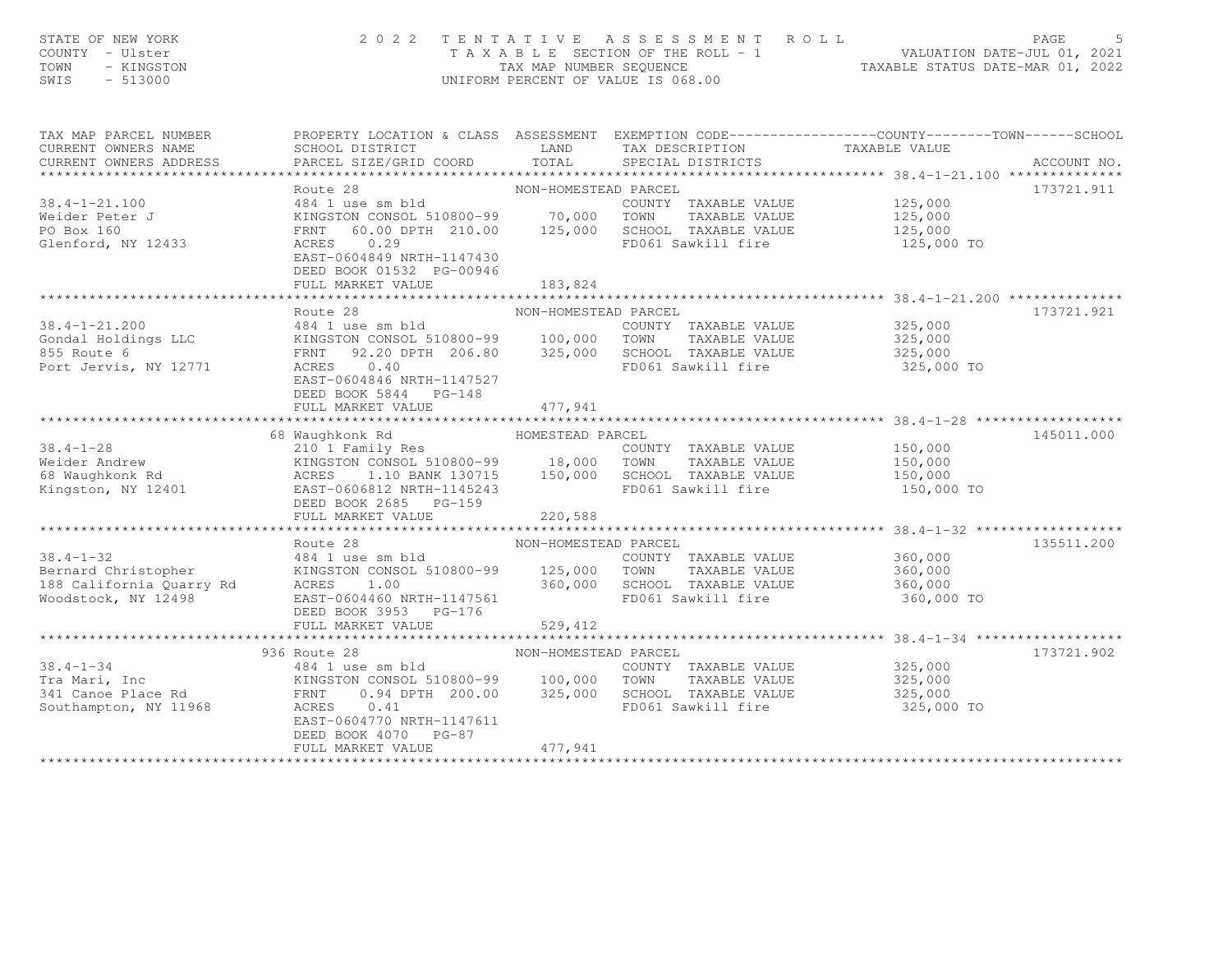| STATE OF NEW YORK<br>COUNTY - Ulster<br>TOWN<br>- KINGSTON<br>SWIS<br>$-513000$ | 2 0 2 2<br>TENTATIVE                                                                                       |                             | ASSESSMENT ROLL<br>UNIFORM PERCENT OF VALUE IS 068.00 | PAGE<br>TAXABLE SECTION OF THE ROLL - 1<br>TAXABLE SECTION OF THE ROLL - 1<br>TAXABLE STATUS DATE-MAR 01, 2022    | 5           |
|---------------------------------------------------------------------------------|------------------------------------------------------------------------------------------------------------|-----------------------------|-------------------------------------------------------|-------------------------------------------------------------------------------------------------------------------|-------------|
| TAX MAP PARCEL NUMBER<br>CURRENT OWNERS NAME                                    | SCHOOL DISTRICT                                                                                            | <b>LAND</b>                 | TAX DESCRIPTION                                       | PROPERTY LOCATION & CLASS ASSESSMENT EXEMPTION CODE----------------COUNTY-------TOWN------SCHOOL<br>TAXABLE VALUE |             |
| CURRENT OWNERS ADDRESS                                                          | PARCEL SIZE/GRID COORD                                                                                     | TOTAL                       | SPECIAL DISTRICTS                                     |                                                                                                                   | ACCOUNT NO. |
|                                                                                 | Route 28                                                                                                   | NON-HOMESTEAD PARCEL        |                                                       |                                                                                                                   | 173721.911  |
| $38.4 - 1 - 21.100$                                                             | 484 1 use sm bld                                                                                           |                             | COUNTY TAXABLE VALUE 125,000                          |                                                                                                                   |             |
| Weider Peter J                                                                  |                                                                                                            |                             | TAXABLE VALUE                                         | 125,000                                                                                                           |             |
| PO Box 160                                                                      | KINGSTON CONSOL 510800-99 70,000 TOWN TAXABLE VALUE<br>FRNT 60.00 DPTH 210.00 125,000 SCHOOL TAXABLE VALUE |                             |                                                       | 125,000                                                                                                           |             |
| Glenford, NY 12433                                                              | ACRES 0.29                                                                                                 |                             | FD061 Sawkill fire                                    | 125,000 TO                                                                                                        |             |
|                                                                                 | EAST-0604849 NRTH-1147430                                                                                  |                             |                                                       |                                                                                                                   |             |
|                                                                                 | DEED BOOK 01532 PG-00946                                                                                   |                             |                                                       |                                                                                                                   |             |
|                                                                                 | FULL MARKET VALUE                                                                                          | 183,824                     |                                                       |                                                                                                                   |             |
|                                                                                 |                                                                                                            |                             |                                                       |                                                                                                                   |             |
| $38.4 - 1 - 21.200$                                                             | Route 28                                                                                                   | NON-HOMESTEAD PARCEL        | COUNTY TAXABLE VALUE                                  |                                                                                                                   | 173721.921  |
| Gondal Holdings LLC                                                             | 484 1 use sm bld<br>KINGSTON CONSOL 510800-99 100,000 TOWN                                                 |                             | TAXABLE VALUE                                         | 325,000<br>325,000                                                                                                |             |
| 855 Route 6                                                                     | FRNT<br>92.20 DPTH 206.80                                                                                  |                             | 325,000 SCHOOL TAXABLE VALUE                          | 325,000                                                                                                           |             |
| Port Jervis, NY 12771                                                           | ACRES<br>0.40                                                                                              |                             | FD061 Sawkill fire                                    | 325,000 TO                                                                                                        |             |
|                                                                                 | EAST-0604846 NRTH-1147527                                                                                  |                             |                                                       |                                                                                                                   |             |
|                                                                                 | DEED BOOK 5844 PG-148                                                                                      |                             |                                                       |                                                                                                                   |             |
|                                                                                 | FULL MARKET VALUE                                                                                          | 477,941                     |                                                       |                                                                                                                   |             |
|                                                                                 |                                                                                                            |                             |                                                       |                                                                                                                   |             |
|                                                                                 | 68 Waughkonk Rd                                                                                            | HOMESTEAD PARCEL            |                                                       |                                                                                                                   | 145011.000  |
| $38.4 - 1 - 28$                                                                 | 210 1 Family Res                                                                                           |                             | COUNTY TAXABLE VALUE                                  | 150,000                                                                                                           |             |
|                                                                                 | KINGSTON CONSOL 510800-99 18,000<br>ACRES 1.10 BANK 130715 150,000                                         |                             | TOWN<br>TAXABLE VALUE<br>SCHOOL TAXABLE VALUE         | 150,000<br>150,000                                                                                                |             |
| Weider Andrew Mingsi<br>68 Waughkonk Rd ACRES<br>Kingston, NY 12401 RAST-0      | EAST-0606812 NRTH-1145243                                                                                  |                             | FD061 Sawkill fire                                    | 150,000 TO                                                                                                        |             |
|                                                                                 | DEED BOOK 2685 PG-159                                                                                      |                             |                                                       |                                                                                                                   |             |
|                                                                                 | FULL MARKET VALUE                                                                                          | 220,588                     |                                                       |                                                                                                                   |             |
|                                                                                 |                                                                                                            |                             |                                                       |                                                                                                                   |             |
|                                                                                 | Route 28                                                                                                   | NON-HOMESTEAD PARCEL        |                                                       |                                                                                                                   | 135511.200  |
| $38.4 - 1 - 32$                                                                 | 484 1 use sm bld                                                                                           |                             | COUNTY TAXABLE VALUE                                  | 360,000                                                                                                           |             |
|                                                                                 | KINGSTON CONSOL 510800-99                                                                                  | 125,000 TOWN                | TAXABLE VALUE                                         | 360,000                                                                                                           |             |
| Bernard Christopher<br>188 California Quarry Rd<br>Moodstock NY 12409<br>FAST-0 | 1.00                                                                                                       |                             | 360,000 SCHOOL TAXABLE VALUE                          | 360,000                                                                                                           |             |
| Woodstock, NY 12498                                                             | EAST-0604460 NRTH-1147561                                                                                  |                             | FD061 Sawkill fire                                    | 360,000 TO                                                                                                        |             |
|                                                                                 | DEED BOOK 3953 PG-176                                                                                      |                             |                                                       |                                                                                                                   |             |
|                                                                                 | FULL MARKET VALUE<br>**************************                                                            | 529,412<br>**************** |                                                       | ********************* 38.4-1-34 *******************                                                               |             |
|                                                                                 | 936 Route 28                                                                                               | NON-HOMESTEAD PARCEL        |                                                       |                                                                                                                   | 173721.902  |
| $38.4 - 1 - 34$                                                                 | 484 1 use sm bld                                                                                           |                             | COUNTY TAXABLE VALUE                                  | 325,000                                                                                                           |             |
| Tra Mari, Inc.<br>341 Canoe Place Rd FRNT THE                                   | KINGSTON CONSOL 510800-99 100,000 TOWN                                                                     |                             | TAXABLE VALUE                                         | 325,000                                                                                                           |             |
|                                                                                 | 0.94 DPTH 200.00                                                                                           | 325,000                     | SCHOOL TAXABLE VALUE                                  | 325,000                                                                                                           |             |
| Southampton, NY 11968                                                           | ACRES<br>0.41                                                                                              |                             | FD061 Sawkill fire                                    | 325,000 TO                                                                                                        |             |
|                                                                                 | EAST-0604770 NRTH-1147611                                                                                  |                             |                                                       |                                                                                                                   |             |
|                                                                                 | DEED BOOK 4070 PG-87                                                                                       |                             |                                                       |                                                                                                                   |             |
|                                                                                 | FULL MARKET VALUE                                                                                          | 477,941                     |                                                       |                                                                                                                   |             |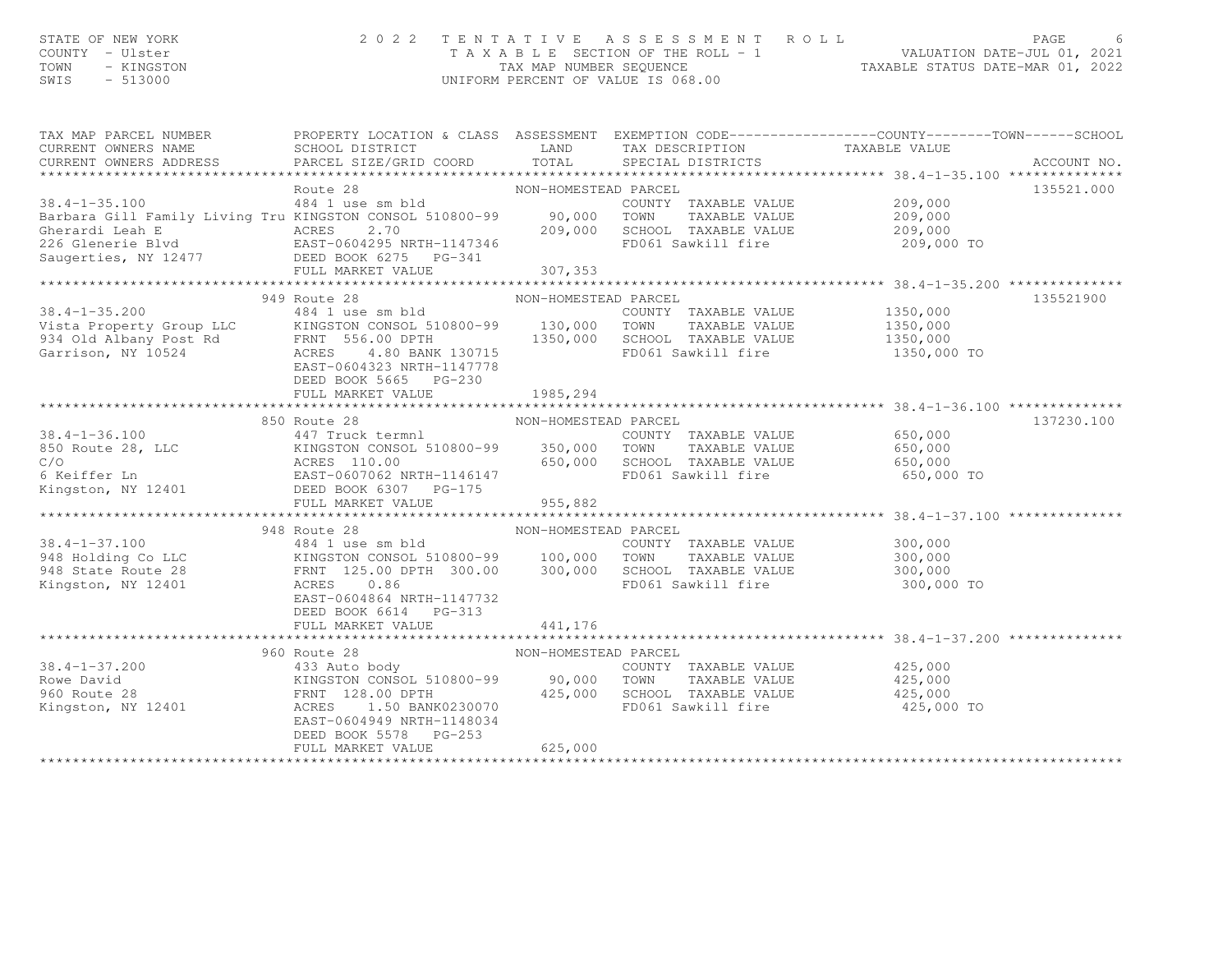# STATE OF NEW YORK CONTY - USE A Many of the Many Country - USE COUNTY - USE COUNTY - USE COUNTY - USE COUNTY -<br>COUNTY - Ulster (1, 2021 TAXABLE SECTION OF THE ROLL - 1 WALUATION DATE-JUL 01, 2021<br>TAXABLE STATUS DATE-MAR 01

| TAX MAP PARCEL NUMBER                                                                                                                            |                                                                                                |                      | PROPERTY LOCATION & CLASS ASSESSMENT EXEMPTION CODE----------------COUNTY-------TOWN-----SCHOOL |             |             |
|--------------------------------------------------------------------------------------------------------------------------------------------------|------------------------------------------------------------------------------------------------|----------------------|-------------------------------------------------------------------------------------------------|-------------|-------------|
| CURRENT OWNERS NAME                                                                                                                              | SCHOOL DISTRICT                                                                                | LAND                 | TAX DESCRIPTION TAXABLE VALUE                                                                   |             |             |
| CURRENT OWNERS ADDRESS                                                                                                                           | PARCEL SIZE/GRID COORD                                                                         | TOTAL                | SPECIAL DISTRICTS                                                                               |             | ACCOUNT NO. |
|                                                                                                                                                  |                                                                                                |                      |                                                                                                 |             |             |
|                                                                                                                                                  | Route 28                                                                                       | NON-HOMESTEAD PARCEL |                                                                                                 |             | 135521.000  |
| $38.4 - 1 - 35.100$                                                                                                                              | 484 1 use sm bld                                                                               |                      | COUNTY TAXABLE VALUE 209,000                                                                    |             |             |
|                                                                                                                                                  |                                                                                                |                      | TOWN                                                                                            |             |             |
|                                                                                                                                                  |                                                                                                |                      | SCHOOL TAXABLE VALUE                                                                            |             |             |
| 38.4-1-35.100<br>Barbara Gill Family Living Tru KINGSTON CONSOL 510800-99 90,000<br>Gherardi Leah E<br>209,000 EAST-0604295 NRTH-1147346 209,000 |                                                                                                |                      | FD061 Sawkill fire 209,000 TO                                                                   |             |             |
| Saugerties, NY 12477 DEED BOOK 6275 PG-341                                                                                                       |                                                                                                |                      |                                                                                                 |             |             |
|                                                                                                                                                  | FULL MARKET VALUE                                                                              | 307,353              |                                                                                                 |             |             |
|                                                                                                                                                  |                                                                                                |                      |                                                                                                 |             |             |
|                                                                                                                                                  | 949 Route 28                                                                                   | NON-HOMESTEAD PARCEL |                                                                                                 |             | 135521900   |
| $38.4 - 1 - 35.200$                                                                                                                              | 484 1 use sm bld                                                                               |                      | COUNTY TAXABLE VALUE 1350,000                                                                   |             |             |
|                                                                                                                                                  |                                                                                                |                      | TAXABLE VALUE                                                                                   | 1350,000    |             |
|                                                                                                                                                  |                                                                                                |                      | 1350,000 SCHOOL TAXABLE VALUE                                                                   | 1350,000    |             |
| Vista Property Group LLC<br>934 Old Albany Post Rd<br>934 Old Albany Post Rd<br>62 ERNT 556.00 DPTH<br>82 ACRES 4.80 BANK 130715 FD061           | 4.80 BANK 130715                                                                               |                      | FD061 Sawkill fire                                                                              | 1350,000 TO |             |
|                                                                                                                                                  | EAST-0604323 NRTH-1147778                                                                      |                      |                                                                                                 |             |             |
|                                                                                                                                                  | DEED BOOK 5665 PG-230                                                                          |                      |                                                                                                 |             |             |
|                                                                                                                                                  | FULL MARKET VALUE                                                                              | 1985,294             |                                                                                                 |             |             |
|                                                                                                                                                  |                                                                                                |                      |                                                                                                 |             |             |
|                                                                                                                                                  | 850 Route 28                                                                                   | NON-HOMESTEAD PARCEL |                                                                                                 |             | 137230.100  |
|                                                                                                                                                  |                                                                                                |                      |                                                                                                 |             |             |
|                                                                                                                                                  |                                                                                                |                      |                                                                                                 |             |             |
|                                                                                                                                                  |                                                                                                |                      |                                                                                                 |             |             |
|                                                                                                                                                  |                                                                                                |                      |                                                                                                 | 650,000 TO  |             |
|                                                                                                                                                  |                                                                                                |                      |                                                                                                 |             |             |
|                                                                                                                                                  | FULL MARKET VALUE                                                                              | 955,882              |                                                                                                 |             |             |
|                                                                                                                                                  |                                                                                                |                      |                                                                                                 |             |             |
|                                                                                                                                                  | 948 Route 28                                                                                   | NON-HOMESTEAD PARCEL |                                                                                                 |             |             |
| $38.4 - 1 - 37.100$                                                                                                                              | Route 28 MON-HOMES<br>184 1 use sm bld                                                         |                      | COUNTY TAXABLE VALUE 300,000                                                                    |             |             |
| 948 Holding Co LLC<br>948 State Route 28 FRNT 125.00 DPTH 300.00 300,000 SCHOC<br>Kingston, NY 12401 ACRES 0.86 ROMBOL                           |                                                                                                |                      | TAXABLE VALUE 300,000                                                                           |             |             |
|                                                                                                                                                  |                                                                                                |                      | SCHOOL TAXABLE VALUE 300,000                                                                    |             |             |
| Kingston, NY 12401                                                                                                                               | ACRES 0.86                                                                                     |                      | FD061 Sawkill fire                                                                              | 300,000 TO  |             |
|                                                                                                                                                  | EAST-0604864 NRTH-1147732                                                                      |                      |                                                                                                 |             |             |
|                                                                                                                                                  | DEED BOOK 6614 PG-313                                                                          |                      |                                                                                                 |             |             |
|                                                                                                                                                  | FULL MARKET VALUE                                                                              | 441,176              |                                                                                                 |             |             |
|                                                                                                                                                  |                                                                                                |                      |                                                                                                 |             |             |
|                                                                                                                                                  | Route 28<br>433 Auto body<br>960 Route 28                                                      | NON-HOMESTEAD PARCEL |                                                                                                 |             |             |
| $38.4 - 1 - 37.200$                                                                                                                              | COUNT 433 Auto body<br>KINGSTON CONSOL 510800-99 90,000 TOWN<br>FRNT 128.00 DPTH 425,000 SCHOC |                      | COUNTY TAXABLE VALUE                                                                            | 425,000     |             |
| Rowe David                                                                                                                                       |                                                                                                |                      | TAXABLE VALUE                                                                                   | 425,000     |             |
| 960 Route 28                                                                                                                                     |                                                                                                |                      | SCHOOL TAXABLE VALUE                                                                            | 425,000     |             |
| Kingston, NY 12401                                                                                                                               | ACRES 1.50 BANK0230070                                                                         |                      | FD061 Sawkill fire 425,000 TO                                                                   |             |             |
|                                                                                                                                                  | EAST-0604949 NRTH-1148034                                                                      |                      |                                                                                                 |             |             |
|                                                                                                                                                  | DEED BOOK 5578 PG-253                                                                          |                      |                                                                                                 |             |             |
|                                                                                                                                                  | FULL MARKET VALUE                                                                              | 625,000              |                                                                                                 |             |             |
|                                                                                                                                                  |                                                                                                |                      |                                                                                                 |             |             |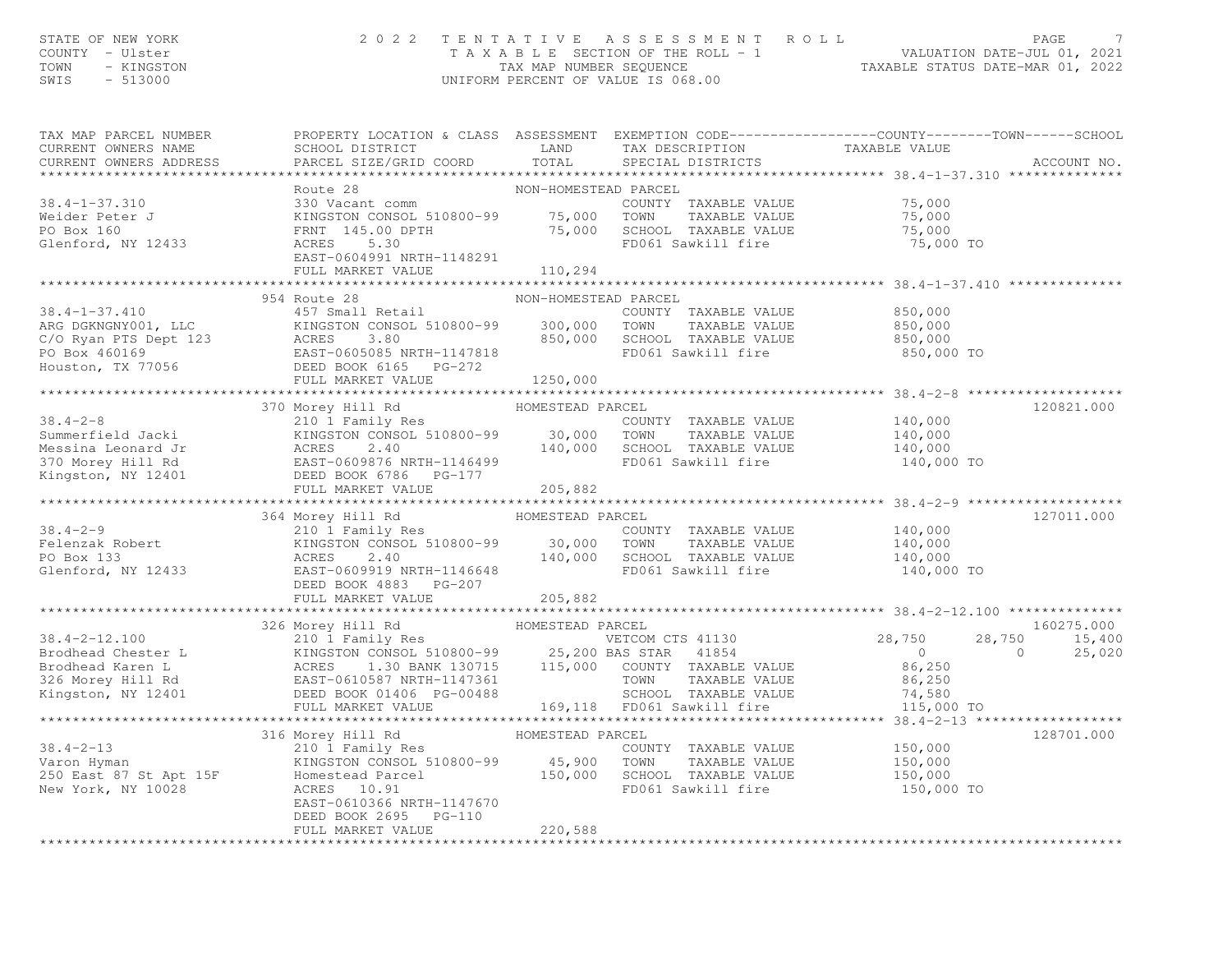STATE OF NEW YORK PAGE 7<br>COUNTY - Ulster (2001) TAXABLE SECTION OF THE ROLL - 1 (NALUATION DATE-JUL 01, 2021<br>TAXABLE SECTION OF THE ROLL - 1 (NALUATION DATE-JUL 01, 2021<br>SWIS - 513000 (INTFORM PERCENT OF VALUE TS 068.00) T TAX MAP PARCEL NUMBER PROPERTY LOCATION & CLASS ASSESSMENT EXEMPTION CODE------------------COUNTY--------TOWN------SCHOOL CURRENT OWNERS NAME SCHOOL DISTRICT LAND TAX DESCRIPTION TAXABLE VALUE CURRENT OWNERS ADDRESS PARCEL SIZE/GRID COORD TOTAL SPECIAL DISTRICTS ACCOUNT NO. \*\*\*\*\*\*\*\*\*\*\*\*\*\*\*\*\*\*\*\*\*\*\*\*\*\*\*\*\*\*\*\*\*\*\*\*\*\*\*\*\*\*\*\*\*\*\*\*\*\*\*\*\*\*\*\*\*\*\*\*\*\*\*\*\*\*\*\*\*\*\*\*\*\*\*\*\*\*\*\*\*\*\*\*\*\*\*\*\*\*\*\*\*\*\*\*\*\*\*\*\*\*\* 38.4-1-37.310 \*\*\*\*\*\*\*\*\*\*\*\*\*\*Route 28 MON-HOMESTEAD PARCEL<br>
Weider Peter J (MINGSTON CONSOL 510800-99 75,000 TOWN TAXABLE VALUE 75,000<br>
PO Box 160 FRNT 145.00 DPTH 75,000 SCHOOL TAXABLE VALUE 75,000<br>
Glenford, NY 12433 ACRES 5.30 FORTH FOOR SCHOOL TAX FULL MARKET VALUE 110,294 \*\*\*\*\*\*\*\*\*\*\*\*\*\*\*\*\*\*\*\*\*\*\*\*\*\*\*\*\*\*\*\*\*\*\*\*\*\*\*\*\*\*\*\*\*\*\*\*\*\*\*\*\*\*\*\*\*\*\*\*\*\*\*\*\*\*\*\*\*\*\*\*\*\*\*\*\*\*\*\*\*\*\*\*\*\*\*\*\*\*\*\*\*\*\*\*\*\*\*\*\*\*\* 38.4-1-37.410 \*\*\*\*\*\*\*\*\*\*\*\*\*\*954 Route 28<br>
MON-HOMESTEAD PARCEL<br>
COUNTY TAXABLE VALUE<br>
COUNTY TAXABLE VALUE<br>
COUNTY TAXABLE VALUE<br>
COUNTY TAXABLE VALUE<br>
COUNTY TAXABLE VALUE<br>
COUNTY TAXABLE VALUE<br>
COUNTY TAXABLE VALUE<br>
COUNTY TAXABLE VALUE<br>
COUNTY TAX \*\*\*\*\*\*\*\*\*\*\*\*\*\*\*\*\*\*\*\*\*\*\*\*\*\*\*\*\*\*\*\*\*\*\*\*\*\*\*\*\*\*\*\*\*\*\*\*\*\*\*\*\*\*\*\*\*\*\*\*\*\*\*\*\*\*\*\*\*\*\*\*\*\*\*\*\*\*\*\*\*\*\*\*\*\*\*\*\*\*\*\*\*\*\*\*\*\*\*\*\*\*\* 38.4-2-8 \*\*\*\*\*\*\*\*\*\*\*\*\*\*\*\*\*\*\*120821.000 370 Morey Hill Rd HOMESTEAD PARCEL 120821.000

38.4-2-8 210 1 Family Res COUNTY TAXABLE VALUE 140,000<br>
Summerfield Jacki KINGSTON CONSOL 510800-99 30,000 TOWN TAXABLE VALUE 140,000<br>
Messina Leonard Jr ACRES 2.40 140,000 SCHOOL TAXABLE VALUE 140,000<br>
370 Morey Hill Rd E \*\*\*\*\*\*\*\*\*\*\*\*\*\*\*\*\*\*\*\*\*\*\*\*\*\*\*\*\*\*\*\*\*\*\*\*\*\*\*\*\*\*\*\*\*\*\*\*\*\*\*\*\*\*\*\*\*\*\*\*\*\*\*\*\*\*\*\*\*\*\*\*\*\*\*\*\*\*\*\*\*\*\*\*\*\*\*\*\*\*\*\*\*\*\*\*\*\*\*\*\*\*\* 38.4-2-9 \*\*\*\*\*\*\*\*\*\*\*\*\*\*\*\*\*\*\*127011.000 364 Morey Hill Rd HOMESTEAD PARCEL 127011.00038.4-2-9 210 1 Family Res COUNTY TAXABLE VALUE 140,000<br>
Felenzak Robert KINGSTON CONSOL 510800-99 30,000 TOWN TAXABLE VALUE 140,000<br>
PO Box 133 ACRES 2.40 140,000 SCHOOL TAXABLE VALUE 140,000<br>
Glenford, NY 12433 EAST-06099 \*\*\*\*\*\*\*\*\*\*\*\*\*\*\*\*\*\*\*\*\*\*\*\*\*\*\*\*\*\*\*\*\*\*\*\*\*\*\*\*\*\*\*\*\*\*\*\*\*\*\*\*\*\*\*\*\*\*\*\*\*\*\*\*\*\*\*\*\*\*\*\*\*\*\*\*\*\*\*\*\*\*\*\*\*\*\*\*\*\*\*\*\*\*\*\*\*\*\*\*\*\*\* 38.4-2-12.100 \*\*\*\*\*\*\*\*\*\*\*\*\*\*326 Morey Hill Rd HOMESTEAD PARCEL<br>
326 Morey Hill Rd HOMESTEAD PARCEL<br>
210 1 Family Res vertCOM CTS 41130 28,750 28,750 15,400<br>
326 Morey Hill Rd KINGSTON CONSOL 510800-99 25,200 BAS STAR 41854 0 28,750 15,400<br>
326 Morey \*\*\*\*\*\*\*\*\*\*\*\*\*\*\*\*\*\*\*\*\*\*\*\*\*\*\*\*\*\*\*\*\*\*\*\*\*\*\*\*\*\*\*\*\*\*\*\*\*\*\*\*\*\*\*\*\*\*\*\*\*\*\*\*\*\*\*\*\*\*\*\*\*\*\*\*\*\*\*\*\*\*\*\*\*\*\*\*\*\*\*\*\*\*\*\*\*\*\*\*\*\*\* 38.4-2-13 \*\*\*\*\*\*\*\*\*\*\*\*\*\*\*\*\*\*128701.000 316 Morey Hill Rd HOMESTEAD PARCEL 128701.00038.4-2-13 210 1 Family Res COUNTY TAXABLE VALUE 150,000 Varon Hyman KINGSTON CONSOL 510800-99 45,900 TOWN TAXABLE VALUE 150,000 250 East 87 St Apt 15F Homestead Parcel 150,000 SCHOOL TAXABLE VALUE 150,000 New York, NY 10028 ACRES 10.91 FD061 Sawkill fire 150,000 TO EAST-0610366 NRTH-1147670 DEED BOOK 2695 PG-110 FULL MARKET VALUE 220,588\*\*\*\*\*\*\*\*\*\*\*\*\*\*\*\*\*\*\*\*\*\*\*\*\*\*\*\*\*\*\*\*\*\*\*\*\*\*\*\*\*\*\*\*\*\*\*\*\*\*\*\*\*\*\*\*\*\*\*\*\*\*\*\*\*\*\*\*\*\*\*\*\*\*\*\*\*\*\*\*\*\*\*\*\*\*\*\*\*\*\*\*\*\*\*\*\*\*\*\*\*\*\*\*\*\*\*\*\*\*\*\*\*\*\*\*\*\*\*\*\*\*\*\*\*\*\*\*\*\*\*\*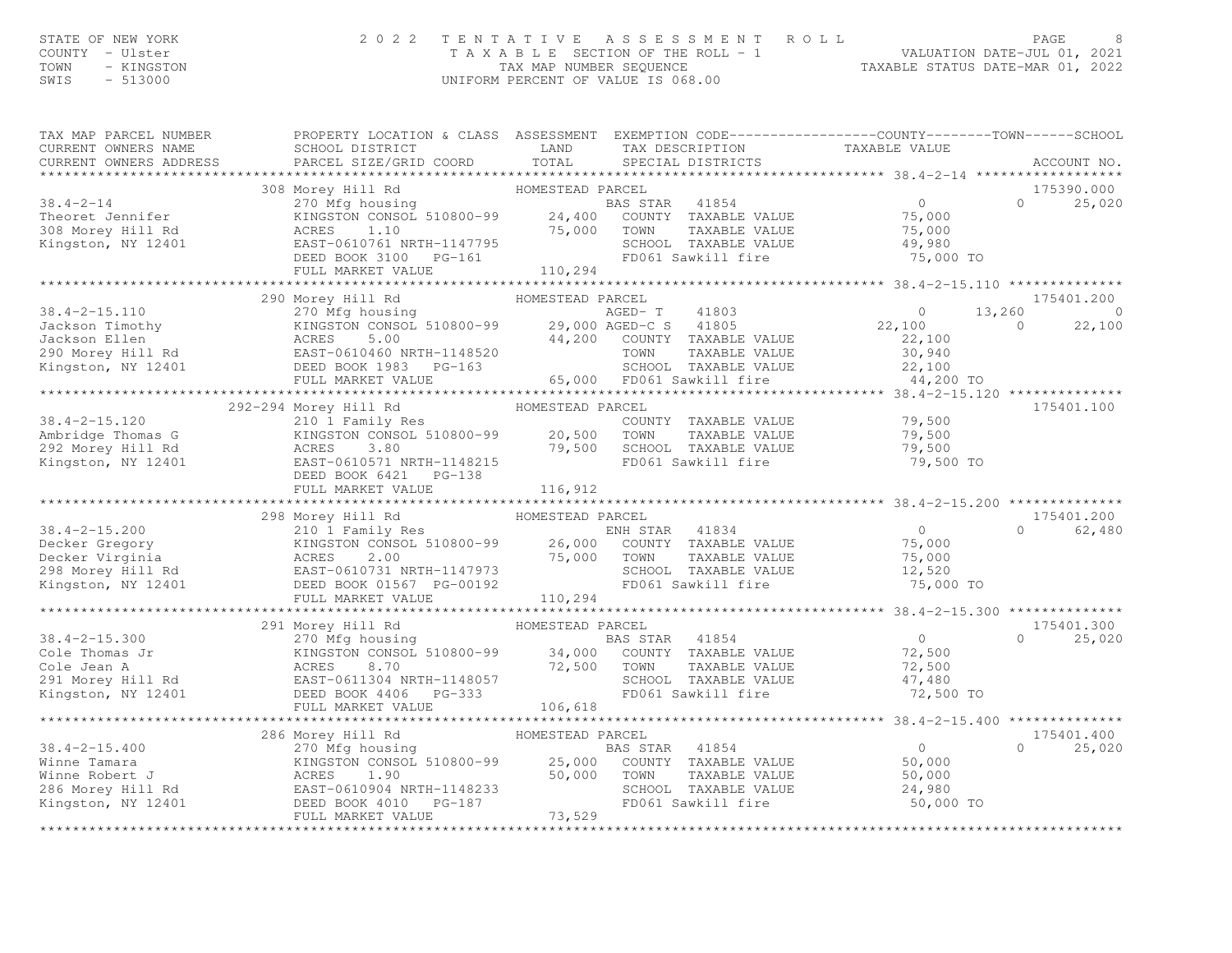# STATE OF NEW YORK CONTY - USE A Many of the Many Country - USE COUNTY - USE A Many COUNTY - USE A MANY ORGE A MA<br>COUNTY - Ulster COUNTY - TAX A B L E SECTION OF THE ROLL - 1 WALUATION DATE-JUL 01, 2021<br>TAXABLE STATUS DATE-

| 308 Morey Hill Rd<br>175390.000<br>Morey Hill Rd<br>270 Mfg housing<br>270 Mfg housing<br>EXERES 1.10 24,400 COUNTY TAXABLE VALUE<br>275,000 TOWN TAXABLE VALUE<br>275,000 TOWN TAXABLE VALUE<br>275,000 TOWN TAXABLE VALUE<br>275,000 TOWN TAXABLE VALUE<br>29,980 SCHOOL TAXABL<br>$38.4 - 2 - 14$<br>25,020<br>$\Omega$<br>Theoret Jennifer<br>308 Morev Hill Rd<br>SCHOOL TAXABLE VALUE 49,980<br>FD061 Sawkill fire 175,000 TO<br>Kingston, NY 12401<br>HOMESTEAD PARCEL<br>175401.200<br>290 Morey Hill Rd<br>38.4-2-15.110 290 Morey HILL KA HOPLASIAN FAKULE 7 41803 0 13,260<br>36.4-2-15.110 270 Mfg housing 29,000 AGED- T 41803 0 13,260<br>36 Max 11 200 22,100 22,100 22,100 22,100 22,100<br>36 Mingston, NY 12401 BEEN BOOK 1983 PG-163<br>292-294 Morey Hill Rd<br>HOMESTEAD PARCEL<br>175401.100<br>COUNTY TAXABLE VALUE 79,500<br>$38.4 - 2 - 15.120$<br>210 1 Family Res<br>38.4-2-15.120 210 1 Family Res COUNTY TAXABLE VALUE<br>Ambridge Thomas G KINGSTON CONSOL 510800-99 20,500 TOWN TAXABLE VALUE<br>292 Morey Hill Rd ACRES 3.80 79,500 SCHOOL TAXABLE VALUE<br>Kingston, NY 12401 EAST-0610571 NRTH-114<br>79,500<br>79,500<br>79,500 TO<br>DEED BOOK 6421 PG-138<br>175401.200<br>$\overline{0}$<br>62,480<br>$\Omega$<br>75,000<br>75,000<br>SCHOOL TAXABLE VALUE 12,520<br>FD061 Sawkill fire<br>75,000 TO<br>175401.300<br>$\overline{0}$<br>BAS STAR 41854<br>25,020<br>$38.4 - 2 - 15.300$<br>$\Omega$<br>Cole Thomas Jr<br>Cole Jean A<br>Cole Jean A<br>291 Morey Hill Rd<br>291 Morey Hill Rd<br>291 Morey Hill Rd<br>291 Morey Hill Rd<br>291 Morey Hill Rd<br>291 Morey Hill Rd<br>291 Morey Hill Rd<br>291 Morey Hill Rd<br>291 Morey Hill Rd<br>291 Morey<br>72,500<br>72,500<br>SCHOOL TAXABLE VALUE 47,480<br>FD061 Sawkill fire 12,500 TO<br>FULL MARKET VALUE<br>106,618<br>175401.400<br>38.4-2-15.400<br>Winne Tamara<br>Winne Tamara<br>Winne Robert J<br>286 Morey Hill Rd<br>286 Morey Hill Rd<br>286 Morey Hill Rd<br>286 Morey Hill Rd<br>286 Morey Hill Rd<br>286 Morey Hill Rd<br>286 Morey Hill Rd<br>286 Morey Hill Rd<br>286 Morey H<br>AS STAR 41854<br>COUNTY TAXABLE VALUE<br>$\overline{0}$<br>25,020<br>BAS STAR 41854<br>$\Omega$<br>50,000<br>TOWN      TAXABLE  VALUE<br>SCHOOL   TAXABLE  VALUE<br>TOWN<br>50,000<br>24,980<br>FD061 Sawkill fire<br>50,000 TO<br>73,529<br>FULL MARKET VALUE | TAX MAP PARCEL NUMBER | PROPERTY LOCATION & CLASS ASSESSMENT EXEMPTION CODE----------------COUNTY-------TOWN------SCHOOL |  |  |
|------------------------------------------------------------------------------------------------------------------------------------------------------------------------------------------------------------------------------------------------------------------------------------------------------------------------------------------------------------------------------------------------------------------------------------------------------------------------------------------------------------------------------------------------------------------------------------------------------------------------------------------------------------------------------------------------------------------------------------------------------------------------------------------------------------------------------------------------------------------------------------------------------------------------------------------------------------------------------------------------------------------------------------------------------------------------------------------------------------------------------------------------------------------------------------------------------------------------------------------------------------------------------------------------------------------------------------------------------------------------------------------------------------------------------------------------------------------------------------------------------------------------------------------------------------------------------------------------------------------------------------------------------------------------------------------------------------------------------------------------------------------------------------------------------------------------------------------------------------------------------------------------------------------------------------------------------------------------------------------------------------------------------------------------------------------------------------------------------------------------------------------------------------------------------------------------------------------------------------------------------------------------------------------------------------------------------------------------------------------|-----------------------|--------------------------------------------------------------------------------------------------|--|--|
|                                                                                                                                                                                                                                                                                                                                                                                                                                                                                                                                                                                                                                                                                                                                                                                                                                                                                                                                                                                                                                                                                                                                                                                                                                                                                                                                                                                                                                                                                                                                                                                                                                                                                                                                                                                                                                                                                                                                                                                                                                                                                                                                                                                                                                                                                                                                                                  |                       |                                                                                                  |  |  |
|                                                                                                                                                                                                                                                                                                                                                                                                                                                                                                                                                                                                                                                                                                                                                                                                                                                                                                                                                                                                                                                                                                                                                                                                                                                                                                                                                                                                                                                                                                                                                                                                                                                                                                                                                                                                                                                                                                                                                                                                                                                                                                                                                                                                                                                                                                                                                                  |                       |                                                                                                  |  |  |
|                                                                                                                                                                                                                                                                                                                                                                                                                                                                                                                                                                                                                                                                                                                                                                                                                                                                                                                                                                                                                                                                                                                                                                                                                                                                                                                                                                                                                                                                                                                                                                                                                                                                                                                                                                                                                                                                                                                                                                                                                                                                                                                                                                                                                                                                                                                                                                  |                       |                                                                                                  |  |  |
|                                                                                                                                                                                                                                                                                                                                                                                                                                                                                                                                                                                                                                                                                                                                                                                                                                                                                                                                                                                                                                                                                                                                                                                                                                                                                                                                                                                                                                                                                                                                                                                                                                                                                                                                                                                                                                                                                                                                                                                                                                                                                                                                                                                                                                                                                                                                                                  |                       |                                                                                                  |  |  |
|                                                                                                                                                                                                                                                                                                                                                                                                                                                                                                                                                                                                                                                                                                                                                                                                                                                                                                                                                                                                                                                                                                                                                                                                                                                                                                                                                                                                                                                                                                                                                                                                                                                                                                                                                                                                                                                                                                                                                                                                                                                                                                                                                                                                                                                                                                                                                                  |                       |                                                                                                  |  |  |
|                                                                                                                                                                                                                                                                                                                                                                                                                                                                                                                                                                                                                                                                                                                                                                                                                                                                                                                                                                                                                                                                                                                                                                                                                                                                                                                                                                                                                                                                                                                                                                                                                                                                                                                                                                                                                                                                                                                                                                                                                                                                                                                                                                                                                                                                                                                                                                  |                       |                                                                                                  |  |  |
|                                                                                                                                                                                                                                                                                                                                                                                                                                                                                                                                                                                                                                                                                                                                                                                                                                                                                                                                                                                                                                                                                                                                                                                                                                                                                                                                                                                                                                                                                                                                                                                                                                                                                                                                                                                                                                                                                                                                                                                                                                                                                                                                                                                                                                                                                                                                                                  |                       |                                                                                                  |  |  |
|                                                                                                                                                                                                                                                                                                                                                                                                                                                                                                                                                                                                                                                                                                                                                                                                                                                                                                                                                                                                                                                                                                                                                                                                                                                                                                                                                                                                                                                                                                                                                                                                                                                                                                                                                                                                                                                                                                                                                                                                                                                                                                                                                                                                                                                                                                                                                                  |                       |                                                                                                  |  |  |
|                                                                                                                                                                                                                                                                                                                                                                                                                                                                                                                                                                                                                                                                                                                                                                                                                                                                                                                                                                                                                                                                                                                                                                                                                                                                                                                                                                                                                                                                                                                                                                                                                                                                                                                                                                                                                                                                                                                                                                                                                                                                                                                                                                                                                                                                                                                                                                  |                       |                                                                                                  |  |  |
|                                                                                                                                                                                                                                                                                                                                                                                                                                                                                                                                                                                                                                                                                                                                                                                                                                                                                                                                                                                                                                                                                                                                                                                                                                                                                                                                                                                                                                                                                                                                                                                                                                                                                                                                                                                                                                                                                                                                                                                                                                                                                                                                                                                                                                                                                                                                                                  |                       |                                                                                                  |  |  |
|                                                                                                                                                                                                                                                                                                                                                                                                                                                                                                                                                                                                                                                                                                                                                                                                                                                                                                                                                                                                                                                                                                                                                                                                                                                                                                                                                                                                                                                                                                                                                                                                                                                                                                                                                                                                                                                                                                                                                                                                                                                                                                                                                                                                                                                                                                                                                                  |                       |                                                                                                  |  |  |
|                                                                                                                                                                                                                                                                                                                                                                                                                                                                                                                                                                                                                                                                                                                                                                                                                                                                                                                                                                                                                                                                                                                                                                                                                                                                                                                                                                                                                                                                                                                                                                                                                                                                                                                                                                                                                                                                                                                                                                                                                                                                                                                                                                                                                                                                                                                                                                  |                       |                                                                                                  |  |  |
|                                                                                                                                                                                                                                                                                                                                                                                                                                                                                                                                                                                                                                                                                                                                                                                                                                                                                                                                                                                                                                                                                                                                                                                                                                                                                                                                                                                                                                                                                                                                                                                                                                                                                                                                                                                                                                                                                                                                                                                                                                                                                                                                                                                                                                                                                                                                                                  |                       |                                                                                                  |  |  |
|                                                                                                                                                                                                                                                                                                                                                                                                                                                                                                                                                                                                                                                                                                                                                                                                                                                                                                                                                                                                                                                                                                                                                                                                                                                                                                                                                                                                                                                                                                                                                                                                                                                                                                                                                                                                                                                                                                                                                                                                                                                                                                                                                                                                                                                                                                                                                                  |                       |                                                                                                  |  |  |
|                                                                                                                                                                                                                                                                                                                                                                                                                                                                                                                                                                                                                                                                                                                                                                                                                                                                                                                                                                                                                                                                                                                                                                                                                                                                                                                                                                                                                                                                                                                                                                                                                                                                                                                                                                                                                                                                                                                                                                                                                                                                                                                                                                                                                                                                                                                                                                  |                       |                                                                                                  |  |  |
|                                                                                                                                                                                                                                                                                                                                                                                                                                                                                                                                                                                                                                                                                                                                                                                                                                                                                                                                                                                                                                                                                                                                                                                                                                                                                                                                                                                                                                                                                                                                                                                                                                                                                                                                                                                                                                                                                                                                                                                                                                                                                                                                                                                                                                                                                                                                                                  |                       |                                                                                                  |  |  |
|                                                                                                                                                                                                                                                                                                                                                                                                                                                                                                                                                                                                                                                                                                                                                                                                                                                                                                                                                                                                                                                                                                                                                                                                                                                                                                                                                                                                                                                                                                                                                                                                                                                                                                                                                                                                                                                                                                                                                                                                                                                                                                                                                                                                                                                                                                                                                                  |                       |                                                                                                  |  |  |
|                                                                                                                                                                                                                                                                                                                                                                                                                                                                                                                                                                                                                                                                                                                                                                                                                                                                                                                                                                                                                                                                                                                                                                                                                                                                                                                                                                                                                                                                                                                                                                                                                                                                                                                                                                                                                                                                                                                                                                                                                                                                                                                                                                                                                                                                                                                                                                  |                       |                                                                                                  |  |  |
|                                                                                                                                                                                                                                                                                                                                                                                                                                                                                                                                                                                                                                                                                                                                                                                                                                                                                                                                                                                                                                                                                                                                                                                                                                                                                                                                                                                                                                                                                                                                                                                                                                                                                                                                                                                                                                                                                                                                                                                                                                                                                                                                                                                                                                                                                                                                                                  |                       |                                                                                                  |  |  |
|                                                                                                                                                                                                                                                                                                                                                                                                                                                                                                                                                                                                                                                                                                                                                                                                                                                                                                                                                                                                                                                                                                                                                                                                                                                                                                                                                                                                                                                                                                                                                                                                                                                                                                                                                                                                                                                                                                                                                                                                                                                                                                                                                                                                                                                                                                                                                                  |                       |                                                                                                  |  |  |
|                                                                                                                                                                                                                                                                                                                                                                                                                                                                                                                                                                                                                                                                                                                                                                                                                                                                                                                                                                                                                                                                                                                                                                                                                                                                                                                                                                                                                                                                                                                                                                                                                                                                                                                                                                                                                                                                                                                                                                                                                                                                                                                                                                                                                                                                                                                                                                  |                       |                                                                                                  |  |  |
|                                                                                                                                                                                                                                                                                                                                                                                                                                                                                                                                                                                                                                                                                                                                                                                                                                                                                                                                                                                                                                                                                                                                                                                                                                                                                                                                                                                                                                                                                                                                                                                                                                                                                                                                                                                                                                                                                                                                                                                                                                                                                                                                                                                                                                                                                                                                                                  |                       |                                                                                                  |  |  |
|                                                                                                                                                                                                                                                                                                                                                                                                                                                                                                                                                                                                                                                                                                                                                                                                                                                                                                                                                                                                                                                                                                                                                                                                                                                                                                                                                                                                                                                                                                                                                                                                                                                                                                                                                                                                                                                                                                                                                                                                                                                                                                                                                                                                                                                                                                                                                                  |                       |                                                                                                  |  |  |
|                                                                                                                                                                                                                                                                                                                                                                                                                                                                                                                                                                                                                                                                                                                                                                                                                                                                                                                                                                                                                                                                                                                                                                                                                                                                                                                                                                                                                                                                                                                                                                                                                                                                                                                                                                                                                                                                                                                                                                                                                                                                                                                                                                                                                                                                                                                                                                  |                       |                                                                                                  |  |  |
|                                                                                                                                                                                                                                                                                                                                                                                                                                                                                                                                                                                                                                                                                                                                                                                                                                                                                                                                                                                                                                                                                                                                                                                                                                                                                                                                                                                                                                                                                                                                                                                                                                                                                                                                                                                                                                                                                                                                                                                                                                                                                                                                                                                                                                                                                                                                                                  |                       |                                                                                                  |  |  |
|                                                                                                                                                                                                                                                                                                                                                                                                                                                                                                                                                                                                                                                                                                                                                                                                                                                                                                                                                                                                                                                                                                                                                                                                                                                                                                                                                                                                                                                                                                                                                                                                                                                                                                                                                                                                                                                                                                                                                                                                                                                                                                                                                                                                                                                                                                                                                                  |                       |                                                                                                  |  |  |
|                                                                                                                                                                                                                                                                                                                                                                                                                                                                                                                                                                                                                                                                                                                                                                                                                                                                                                                                                                                                                                                                                                                                                                                                                                                                                                                                                                                                                                                                                                                                                                                                                                                                                                                                                                                                                                                                                                                                                                                                                                                                                                                                                                                                                                                                                                                                                                  |                       |                                                                                                  |  |  |
|                                                                                                                                                                                                                                                                                                                                                                                                                                                                                                                                                                                                                                                                                                                                                                                                                                                                                                                                                                                                                                                                                                                                                                                                                                                                                                                                                                                                                                                                                                                                                                                                                                                                                                                                                                                                                                                                                                                                                                                                                                                                                                                                                                                                                                                                                                                                                                  |                       |                                                                                                  |  |  |
|                                                                                                                                                                                                                                                                                                                                                                                                                                                                                                                                                                                                                                                                                                                                                                                                                                                                                                                                                                                                                                                                                                                                                                                                                                                                                                                                                                                                                                                                                                                                                                                                                                                                                                                                                                                                                                                                                                                                                                                                                                                                                                                                                                                                                                                                                                                                                                  |                       |                                                                                                  |  |  |
|                                                                                                                                                                                                                                                                                                                                                                                                                                                                                                                                                                                                                                                                                                                                                                                                                                                                                                                                                                                                                                                                                                                                                                                                                                                                                                                                                                                                                                                                                                                                                                                                                                                                                                                                                                                                                                                                                                                                                                                                                                                                                                                                                                                                                                                                                                                                                                  |                       |                                                                                                  |  |  |
|                                                                                                                                                                                                                                                                                                                                                                                                                                                                                                                                                                                                                                                                                                                                                                                                                                                                                                                                                                                                                                                                                                                                                                                                                                                                                                                                                                                                                                                                                                                                                                                                                                                                                                                                                                                                                                                                                                                                                                                                                                                                                                                                                                                                                                                                                                                                                                  |                       |                                                                                                  |  |  |
|                                                                                                                                                                                                                                                                                                                                                                                                                                                                                                                                                                                                                                                                                                                                                                                                                                                                                                                                                                                                                                                                                                                                                                                                                                                                                                                                                                                                                                                                                                                                                                                                                                                                                                                                                                                                                                                                                                                                                                                                                                                                                                                                                                                                                                                                                                                                                                  |                       |                                                                                                  |  |  |
|                                                                                                                                                                                                                                                                                                                                                                                                                                                                                                                                                                                                                                                                                                                                                                                                                                                                                                                                                                                                                                                                                                                                                                                                                                                                                                                                                                                                                                                                                                                                                                                                                                                                                                                                                                                                                                                                                                                                                                                                                                                                                                                                                                                                                                                                                                                                                                  |                       |                                                                                                  |  |  |
|                                                                                                                                                                                                                                                                                                                                                                                                                                                                                                                                                                                                                                                                                                                                                                                                                                                                                                                                                                                                                                                                                                                                                                                                                                                                                                                                                                                                                                                                                                                                                                                                                                                                                                                                                                                                                                                                                                                                                                                                                                                                                                                                                                                                                                                                                                                                                                  |                       |                                                                                                  |  |  |
|                                                                                                                                                                                                                                                                                                                                                                                                                                                                                                                                                                                                                                                                                                                                                                                                                                                                                                                                                                                                                                                                                                                                                                                                                                                                                                                                                                                                                                                                                                                                                                                                                                                                                                                                                                                                                                                                                                                                                                                                                                                                                                                                                                                                                                                                                                                                                                  |                       |                                                                                                  |  |  |
|                                                                                                                                                                                                                                                                                                                                                                                                                                                                                                                                                                                                                                                                                                                                                                                                                                                                                                                                                                                                                                                                                                                                                                                                                                                                                                                                                                                                                                                                                                                                                                                                                                                                                                                                                                                                                                                                                                                                                                                                                                                                                                                                                                                                                                                                                                                                                                  |                       |                                                                                                  |  |  |
|                                                                                                                                                                                                                                                                                                                                                                                                                                                                                                                                                                                                                                                                                                                                                                                                                                                                                                                                                                                                                                                                                                                                                                                                                                                                                                                                                                                                                                                                                                                                                                                                                                                                                                                                                                                                                                                                                                                                                                                                                                                                                                                                                                                                                                                                                                                                                                  |                       |                                                                                                  |  |  |
|                                                                                                                                                                                                                                                                                                                                                                                                                                                                                                                                                                                                                                                                                                                                                                                                                                                                                                                                                                                                                                                                                                                                                                                                                                                                                                                                                                                                                                                                                                                                                                                                                                                                                                                                                                                                                                                                                                                                                                                                                                                                                                                                                                                                                                                                                                                                                                  |                       |                                                                                                  |  |  |
|                                                                                                                                                                                                                                                                                                                                                                                                                                                                                                                                                                                                                                                                                                                                                                                                                                                                                                                                                                                                                                                                                                                                                                                                                                                                                                                                                                                                                                                                                                                                                                                                                                                                                                                                                                                                                                                                                                                                                                                                                                                                                                                                                                                                                                                                                                                                                                  |                       |                                                                                                  |  |  |
|                                                                                                                                                                                                                                                                                                                                                                                                                                                                                                                                                                                                                                                                                                                                                                                                                                                                                                                                                                                                                                                                                                                                                                                                                                                                                                                                                                                                                                                                                                                                                                                                                                                                                                                                                                                                                                                                                                                                                                                                                                                                                                                                                                                                                                                                                                                                                                  |                       |                                                                                                  |  |  |
|                                                                                                                                                                                                                                                                                                                                                                                                                                                                                                                                                                                                                                                                                                                                                                                                                                                                                                                                                                                                                                                                                                                                                                                                                                                                                                                                                                                                                                                                                                                                                                                                                                                                                                                                                                                                                                                                                                                                                                                                                                                                                                                                                                                                                                                                                                                                                                  |                       |                                                                                                  |  |  |
|                                                                                                                                                                                                                                                                                                                                                                                                                                                                                                                                                                                                                                                                                                                                                                                                                                                                                                                                                                                                                                                                                                                                                                                                                                                                                                                                                                                                                                                                                                                                                                                                                                                                                                                                                                                                                                                                                                                                                                                                                                                                                                                                                                                                                                                                                                                                                                  |                       |                                                                                                  |  |  |
|                                                                                                                                                                                                                                                                                                                                                                                                                                                                                                                                                                                                                                                                                                                                                                                                                                                                                                                                                                                                                                                                                                                                                                                                                                                                                                                                                                                                                                                                                                                                                                                                                                                                                                                                                                                                                                                                                                                                                                                                                                                                                                                                                                                                                                                                                                                                                                  |                       |                                                                                                  |  |  |
|                                                                                                                                                                                                                                                                                                                                                                                                                                                                                                                                                                                                                                                                                                                                                                                                                                                                                                                                                                                                                                                                                                                                                                                                                                                                                                                                                                                                                                                                                                                                                                                                                                                                                                                                                                                                                                                                                                                                                                                                                                                                                                                                                                                                                                                                                                                                                                  |                       |                                                                                                  |  |  |
|                                                                                                                                                                                                                                                                                                                                                                                                                                                                                                                                                                                                                                                                                                                                                                                                                                                                                                                                                                                                                                                                                                                                                                                                                                                                                                                                                                                                                                                                                                                                                                                                                                                                                                                                                                                                                                                                                                                                                                                                                                                                                                                                                                                                                                                                                                                                                                  |                       |                                                                                                  |  |  |
|                                                                                                                                                                                                                                                                                                                                                                                                                                                                                                                                                                                                                                                                                                                                                                                                                                                                                                                                                                                                                                                                                                                                                                                                                                                                                                                                                                                                                                                                                                                                                                                                                                                                                                                                                                                                                                                                                                                                                                                                                                                                                                                                                                                                                                                                                                                                                                  |                       |                                                                                                  |  |  |
|                                                                                                                                                                                                                                                                                                                                                                                                                                                                                                                                                                                                                                                                                                                                                                                                                                                                                                                                                                                                                                                                                                                                                                                                                                                                                                                                                                                                                                                                                                                                                                                                                                                                                                                                                                                                                                                                                                                                                                                                                                                                                                                                                                                                                                                                                                                                                                  |                       |                                                                                                  |  |  |
|                                                                                                                                                                                                                                                                                                                                                                                                                                                                                                                                                                                                                                                                                                                                                                                                                                                                                                                                                                                                                                                                                                                                                                                                                                                                                                                                                                                                                                                                                                                                                                                                                                                                                                                                                                                                                                                                                                                                                                                                                                                                                                                                                                                                                                                                                                                                                                  |                       |                                                                                                  |  |  |
|                                                                                                                                                                                                                                                                                                                                                                                                                                                                                                                                                                                                                                                                                                                                                                                                                                                                                                                                                                                                                                                                                                                                                                                                                                                                                                                                                                                                                                                                                                                                                                                                                                                                                                                                                                                                                                                                                                                                                                                                                                                                                                                                                                                                                                                                                                                                                                  |                       |                                                                                                  |  |  |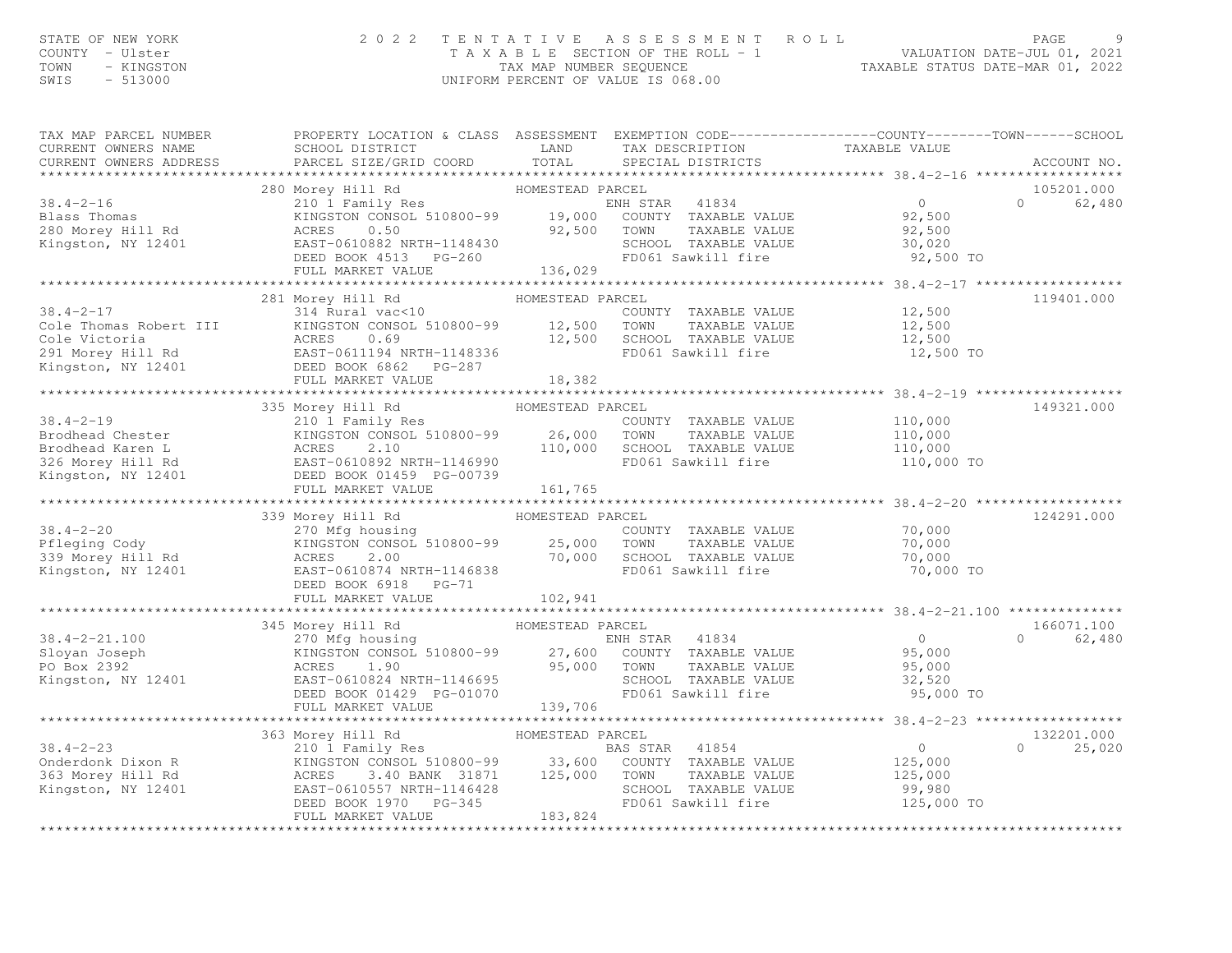# STATE OF NEW YORK PAGE 9<br>COUNTY - Ulster (2008) TAXABLE SECTION OF THE ROLL - 1 (NALUATION DATE-JUL 01, 2021<br>TAXABLE SECTION OF THE ROLL - 1 (NALUATION DATE-JUL 01, 2021<br>SWIS - 513000 (INTFORM PERCENT OF VALUE TS 068.00) T

| TAX MAP PARCEL NUMBER                                                                                                                                                                                                                                      | PROPERTY LOCATION & CLASS ASSESSMENT EXEMPTION CODE----------------COUNTY-------TOWN------SCHOOL |                  |                              |            |                  |
|------------------------------------------------------------------------------------------------------------------------------------------------------------------------------------------------------------------------------------------------------------|--------------------------------------------------------------------------------------------------|------------------|------------------------------|------------|------------------|
| 105201.000<br>280 Morey Hill Rd<br>280 Morey Hill Rd<br>280 Morey Hill Rd<br>280 Morey Hill Rd<br>280 Morey Hill Rd<br>280 Morey Hill Rd<br>280 Morey Hill Rd<br>280 Morey Hill Rd<br>280 Morey Hill Rd<br>280 Morey Hill Rd<br>280 Morey Hill Rd<br>2     |                                                                                                  |                  |                              |            |                  |
|                                                                                                                                                                                                                                                            |                                                                                                  |                  |                              |            |                  |
| 314 Rural vac<10<br>Cole Thomas Robert III KINGSTON CONSOL 510800-99 12,500 TOWN TAXABLE VALUE 12,500<br>Cole Victoria ACRES 0.69 12,500 SCHOOL TAXABLE VALUE 12,500<br>291 Morey Hill Rd EAST-0611194 NRTH-1148336 FD061 Sawkill fi                       | 281 Morey Hill Rd                                                                                | HOMESTEAD PARCEL |                              |            | 119401.000       |
|                                                                                                                                                                                                                                                            |                                                                                                  |                  |                              |            |                  |
| $38.4 - 2 - 19$<br>38.4-2-19 210 1 Family Res COUNTY TAXABLE VALUE 110,000<br>Brodhead Chester KINGSTON CONSOL 510800-99 26,000 TOWN TAXABLE VALUE 110,000<br>326 Morey Hill Rd EAST-0610892 NRTH-1146990 110,000 SCHOOL TAXABLE VALUE 110,000 TO<br>326 M | 335 Morey Hill Rd<br>210 1 Family Res                                                            | HOMESTEAD PARCEL | COUNTY TAXABLE VALUE 110,000 |            | 149321.000       |
|                                                                                                                                                                                                                                                            |                                                                                                  |                  |                              |            |                  |
|                                                                                                                                                                                                                                                            | 339 Morey Hill Rd<br>FULL MARKET VALUE 102,941                                                   | HOMESTEAD PARCEL |                              | 70,000 TO  | 124291.000       |
|                                                                                                                                                                                                                                                            |                                                                                                  |                  |                              |            |                  |
|                                                                                                                                                                                                                                                            |                                                                                                  |                  |                              |            |                  |
|                                                                                                                                                                                                                                                            |                                                                                                  |                  |                              |            |                  |
|                                                                                                                                                                                                                                                            |                                                                                                  |                  |                              |            | 132201.000       |
| 38.4-2-23<br>363 Morey Hill Rd<br>210 1 Family Res<br>210 1 Family Res<br>210 1 Family Res<br>210 1 Family Res<br>210 1 Family Res<br>210 1 Family Res<br>23,600 COUNTY TAXABLE VALUE<br>33,600 COUNTY TAXABLE VALUE<br>225,000<br>225,000<br>225,000<br>  | FULL MARKET VALUE                                                                                | 183,824          |                              | 125,000 TO | $\cap$<br>25,020 |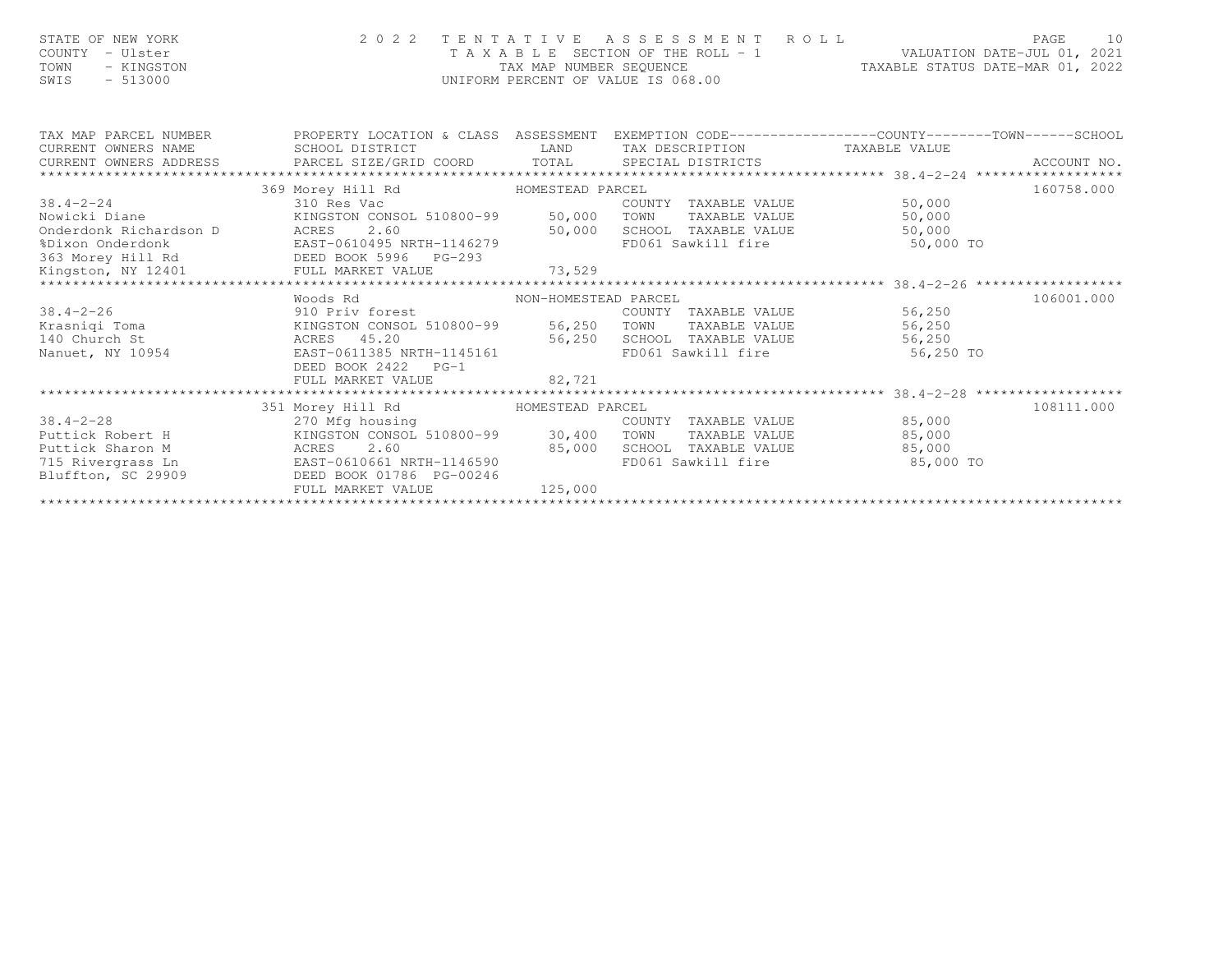| STATE OF NEW YORK<br>COUNTY - Ulster<br>TOWN<br>- KINGSTON<br>$-513000$<br>SWIS                          |                                                                                                                                                                                                                                                                                                                                                |         | 2022 TENTATIVE ASSESSMENT ROLL<br>TAXABLE SECTION OF THE ROLL - 1<br>TAXABLE SECTION OF THE ROLL - 1<br>TAXABLE STATUS DATE-MAR 01, 2022<br>UNIFORM PERCENT OF VALUE IS 068.00 |                            | PAGE<br>10               |
|----------------------------------------------------------------------------------------------------------|------------------------------------------------------------------------------------------------------------------------------------------------------------------------------------------------------------------------------------------------------------------------------------------------------------------------------------------------|---------|--------------------------------------------------------------------------------------------------------------------------------------------------------------------------------|----------------------------|--------------------------|
| TAX MAP PARCEL NUMBER<br>CURRENT OWNERS NAME                                                             | PROPERTY LOCATION & CLASS ASSESSMENT EXEMPTION CODE----------------COUNTY-------TOWN-----SCHOOL<br>SCHOOL DISTRICT                                                                                                                                                                                                                             |         | LAND TAX DESCRIPTION TAXABLE VALUE                                                                                                                                             |                            |                          |
|                                                                                                          |                                                                                                                                                                                                                                                                                                                                                |         |                                                                                                                                                                                |                            |                          |
| $38.4 - 2 - 24$<br>Nowicki Diane<br>$38.4 - 2 - 26$<br>Krasniqi Toma<br>140 Church St<br>140 Church 1995 | 369 Morey Hill Rd MOMESTEAD PARCEL<br>310 Res Vac<br>001 10001 10001 10001 10001 10001 10001 10001 10001 10001 10001 10001 10001 10001 10001 10001 10001 10001 100<br>2.60 50,000 10001 10001 10001 10001 10001 10001 10001 10001 10001 10001 10001 10001 10001 10001 10001 10001 5<br><br>Woods Rd<br>NON-HOMESTEAD PARCEL<br>910 Priv forest |         | COUNTY TAXABLE VALUE<br>TAXABLE VALUE<br>COUNTY TAXABLE VALUE                                                                                                                  | 50,000<br>50,000<br>56,250 | 160758.000<br>106001.000 |
| Nanuet, NY 10954                                                                                         | XINGSTON CONSOL 510800-99<br>XINGSTON CONSOL 510800-99<br>ACRES 45.20 56,250 SCHOOL TAXABLE VALUE 56,250<br>EAST-0611385 NRTH-1145161 FD061 Sawkill fire 56,250 TO<br>DEED BOOK 2422 PG-1<br>FULL MARKET VALUE                                                                                                                                 | 82,721  |                                                                                                                                                                                |                            |                          |
|                                                                                                          | 351 Morey Hill Rd MOMESTEAD PARCEL                                                                                                                                                                                                                                                                                                             |         |                                                                                                                                                                                |                            | 108111.000               |
| $38.4 - 2 - 28$<br>Puttick Robert H<br>Puttick Sharon M<br>715 Rivergrass Ln<br>Bluffton, SC 29909       | count<br>270 Mfg housing<br>KINGSTON CONSOL 510800-99 30,400 TOWN<br>ACRES<br>2.60<br>EAST-0610661 NRTH-1146590<br>DEED BOOK 01786 PG-00246                                                                                                                                                                                                    | 125,000 | COUNTY TAXABLE VALUE 85,000<br>85,000 SCHOOL TAXABLE VALUE 85,000<br>FD061 Sawkill fire 85,000 TO                                                                              | TAXABLE VALUE 85,000       |                          |
|                                                                                                          | FULL MARKET VALUE                                                                                                                                                                                                                                                                                                                              |         |                                                                                                                                                                                |                            |                          |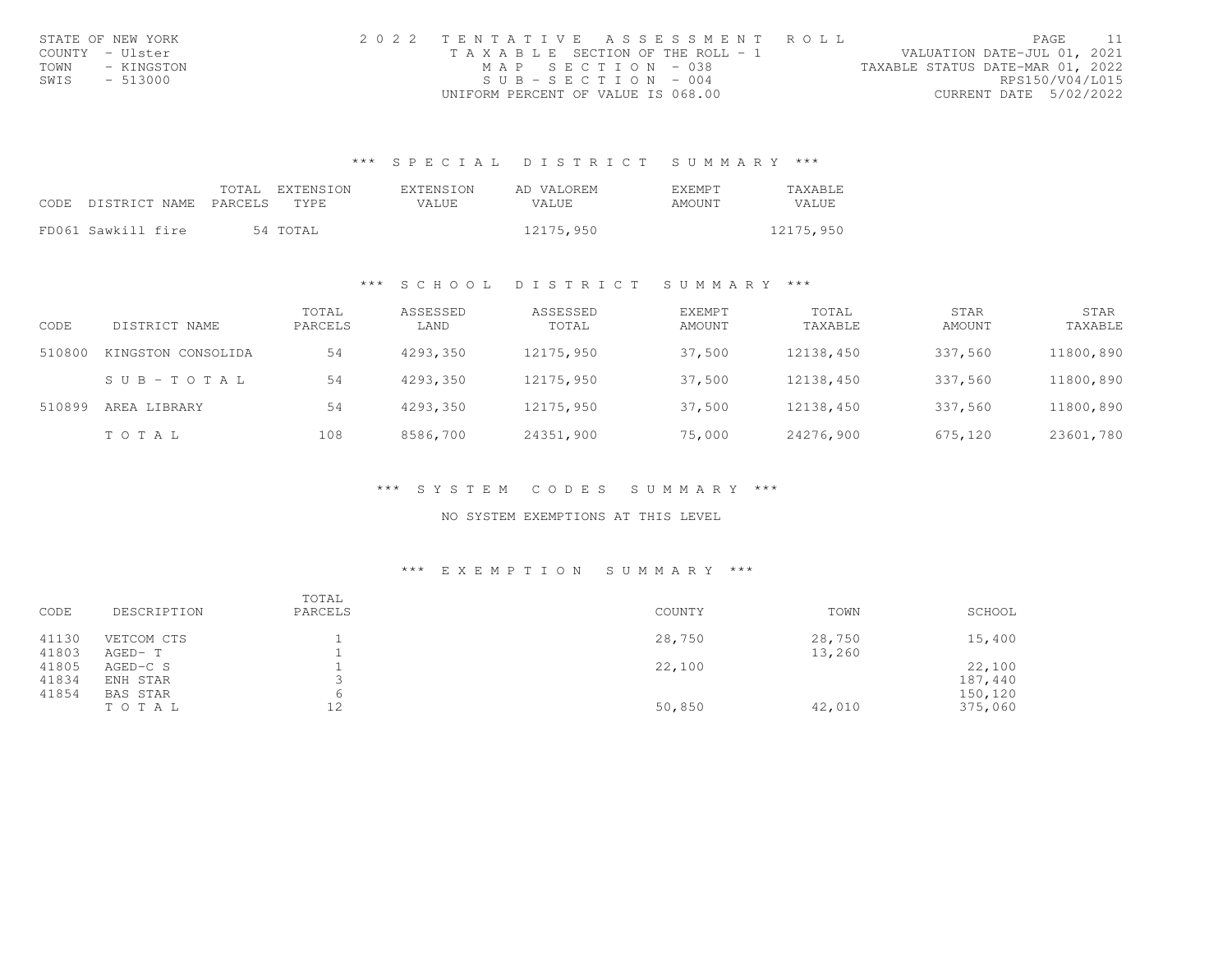| STATE OF NEW YORK  | 2022 TENTATIVE ASSESSMENT ROLL        | PAGE.                            |  |
|--------------------|---------------------------------------|----------------------------------|--|
| COUNTY - Ulster    | T A X A B L E SECTION OF THE ROLL - 1 | VALUATION DATE-JUL 01, 2021      |  |
| TOWN<br>- KINGSTON | MAP SECTION - 038                     | TAXABLE STATUS DATE-MAR 01, 2022 |  |
| SWIS<br>- 513000   | $SUB - SECTTON - 004$                 | RPS150/V04/L015                  |  |
|                    | UNIFORM PERCENT OF VALUE IS 068.00    | CURRENT DATE 5/02/2022           |  |

#### \*\*\* S P E C I A L D I S T R I C T S U M M A R Y \*\*\*

|                                 |  | TOTAL EXTENSION | EXTENSION | AD VALOREM   | <b>EXEMPT</b> | TAXABLE      |
|---------------------------------|--|-----------------|-----------|--------------|---------------|--------------|
| CODE DISTRICT NAME PARCELS TYPE |  |                 | VALUE.    | <b>VALUE</b> | AMOUNT        | <b>VALUE</b> |
|                                 |  |                 |           |              |               |              |
| FD061 Sawkill fire              |  | 54 TOTAL        |           | 12175,950    |               | 12175,950    |

#### \*\*\* S C H O O L D I S T R I C T S U M M A R Y \*\*\*

| CODE   | DISTRICT NAME      | TOTAL<br>PARCELS | ASSESSED<br>LAND | ASSESSED<br>TOTAL | <b>EXEMPT</b><br>AMOUNT | TOTAL<br>TAXABLE | STAR<br>AMOUNT | STAR<br>TAXABLE |
|--------|--------------------|------------------|------------------|-------------------|-------------------------|------------------|----------------|-----------------|
| 510800 | KINGSTON CONSOLIDA | 54               | 4293,350         | 12175,950         | 37,500                  | 12138,450        | 337,560        | 11800,890       |
|        | SUB-TOTAL          | 54               | 4293,350         | 12175,950         | 37,500                  | 12138,450        | 337,560        | 11800,890       |
| 510899 | AREA LIBRARY       | 54               | 4293,350         | 12175,950         | 37,500                  | 12138,450        | 337,560        | 11800,890       |
|        | TOTAL              | 108              | 8586,700         | 24351,900         | 75,000                  | 24276,900        | 675,120        | 23601,780       |

\*\*\* S Y S T E M C O D E S S U M M A R Y \*\*\*

NO SYSTEM EXEMPTIONS AT THIS LEVEL

#### \*\*\* E X E M P T I O N S U M M A R Y \*\*\*

| CODE           | DESCRIPTION           | TOTAL<br>PARCELS | COUNTY | TOWN             | SCHOOL             |
|----------------|-----------------------|------------------|--------|------------------|--------------------|
| 41130<br>41803 | VETCOM CTS<br>AGED- T |                  | 28,750 | 28,750<br>13,260 | 15,400             |
| 41805<br>41834 | AGED-C S<br>ENH STAR  |                  | 22,100 |                  | 22,100<br>187,440  |
| 41854          | BAS STAR<br>TOTAL     | 6<br>12          | 50,850 | 42,010           | 150,120<br>375,060 |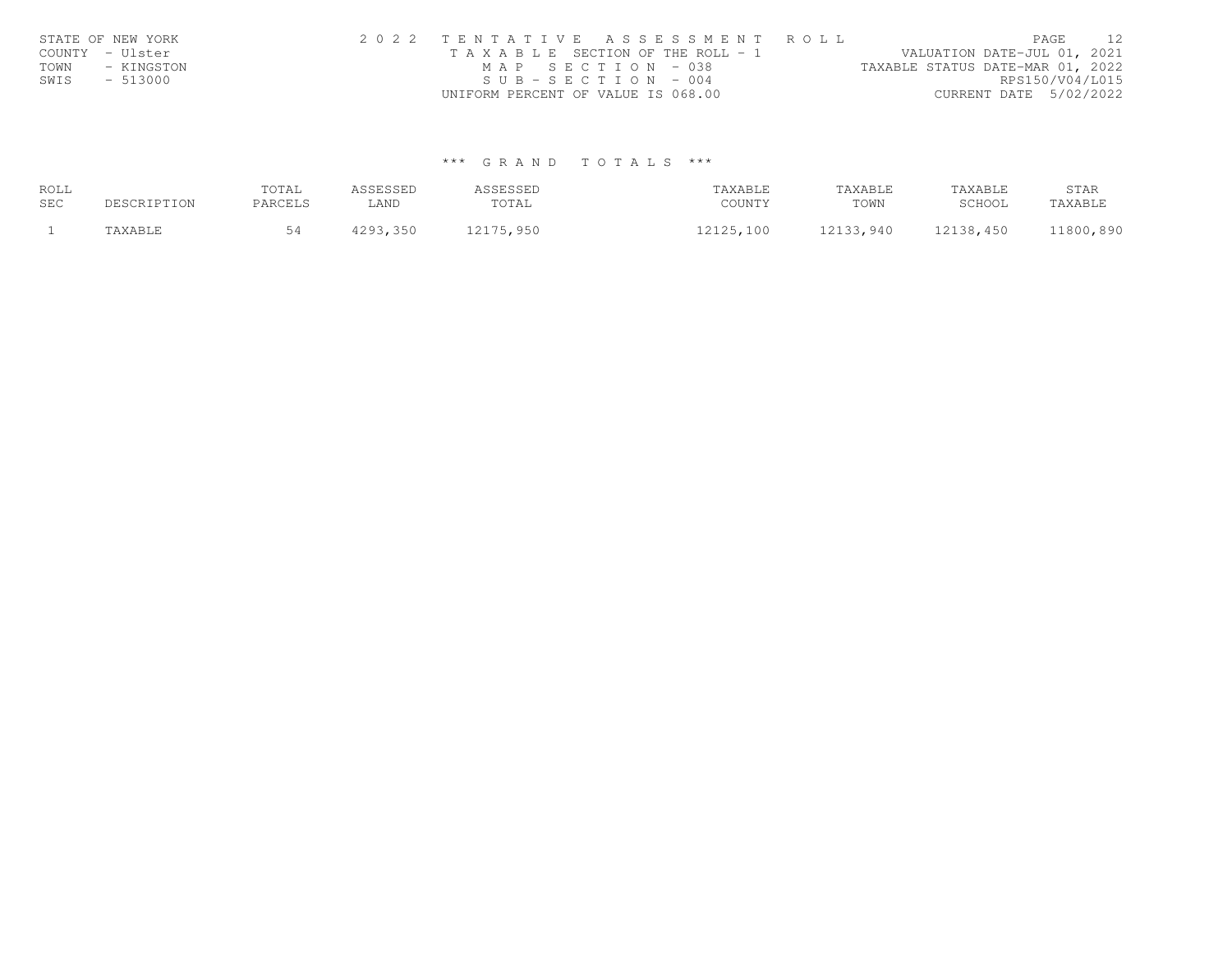|      | STATE OF NEW YORK | 2022 TENTATIVE ASSESSMENT ROLL        | 12<br>PAGE.                      |
|------|-------------------|---------------------------------------|----------------------------------|
|      | COUNTY - Ulster   | T A X A B L E SECTION OF THE ROLL - 1 | VALUATION DATE-JUL 01, 2021      |
| TOWN | - KINGSTON        | MAP SECTION - 038                     | TAXABLE STATUS DATE-MAR 01, 2022 |
| SWIS | $-513000$         | $SUB - SECTION - 004$                 | RPS150/V04/L015                  |
|      |                   | UNIFORM PERCENT OF VALUE IS 068.00    | CURRENT DATE 5/02/2022           |

#### \*\*\* G R A N D T O T A L S \*\*\*

| ROLL<br>SEC | DESCRIPTION | TOTAL<br>PARCELS | ASSESSEP<br>LAND | ASSESSED<br>"OTAL | TAXABLE<br>COUNTY | TAXABLE<br>TOWN | TAXABLE<br>SCHOOL | STAR<br>TAXABLE |
|-------------|-------------|------------------|------------------|-------------------|-------------------|-----------------|-------------------|-----------------|
|             |             |                  | 4293,350         | 12175,950         | 12125,100         | 12133,940       | 12138,450         | 11800,890       |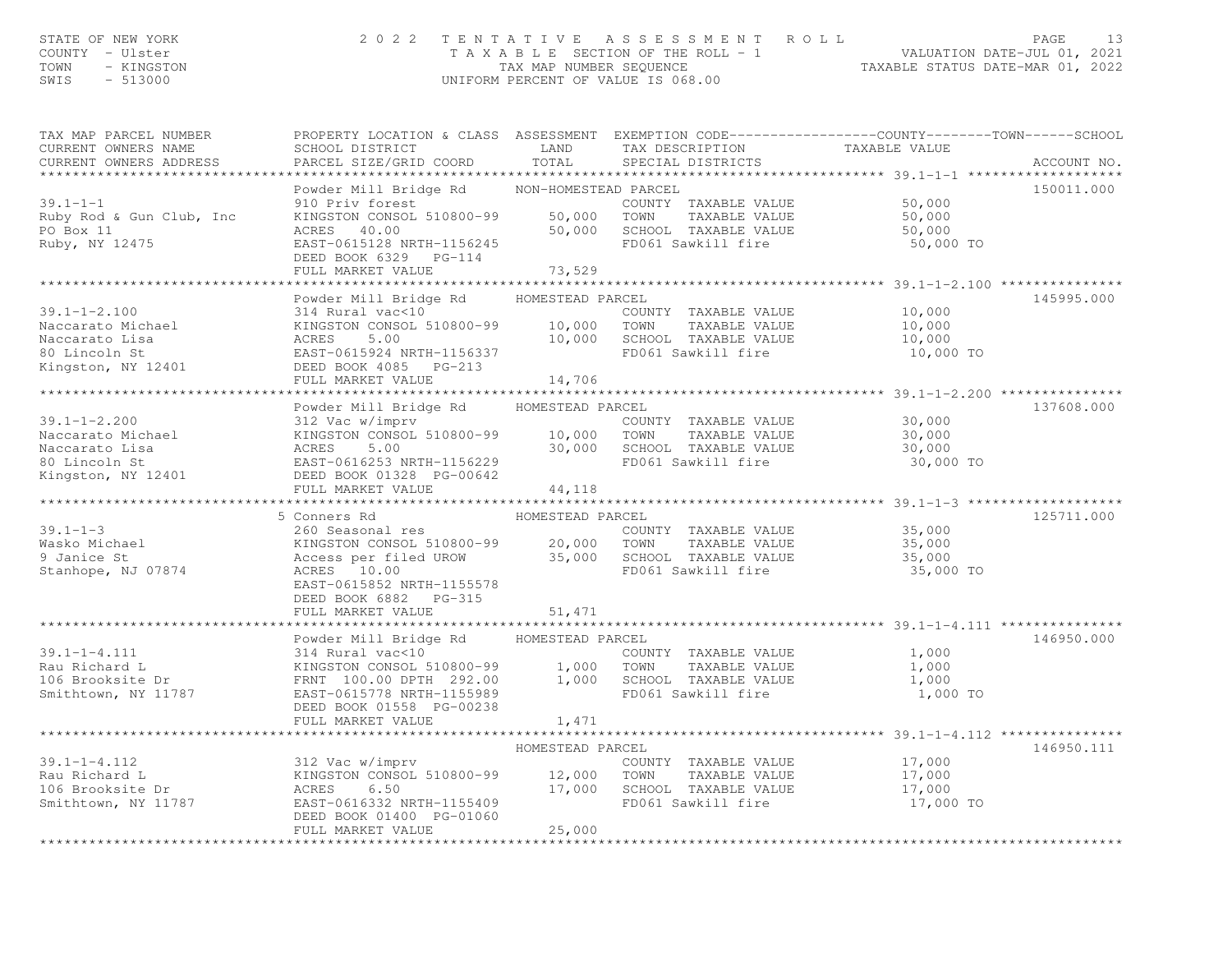# STATE OF NEW YORK CONTY - USE A Many of the Many Country - USE COUNTY - USE COUNTY - USE COUNTY - USE COUNTY -<br>COUNTY - UISter (1992) TAXABLE SECTION OF THE ROLL - 1 (NALUATION DATE-JUL 01, 2021<br>TAXABLE STATUS DATE-MAR 01,

| TAX MAP PARCEL NUMBER<br>CURRENT OWNERS NAME<br>CURRENT OWNERS ADDRESS                                                | PROPERTY LOCATION & CLASS ASSESSMENT<br>SCHOOL DISTRICT<br>PARCEL SIZE/GRID COORD                                                                                                | LAND<br>TOTAL                                        | EXEMPTION CODE-----------------COUNTY-------TOWN------SCHOOL<br>TAX DESCRIPTION<br>SPECIAL DISTRICTS | TAXABLE VALUE                           | ACCOUNT NO. |
|-----------------------------------------------------------------------------------------------------------------------|----------------------------------------------------------------------------------------------------------------------------------------------------------------------------------|------------------------------------------------------|------------------------------------------------------------------------------------------------------|-----------------------------------------|-------------|
| $39.1 - 1 - 1$<br>Ruby Rod & Gun Club, Inc<br>PO Box 11<br>Ruby, NY 12475                                             | Powder Mill Bridge Rd<br>910 Priv forest<br>KINGSTON CONSOL 510800-99<br>ACRES 40.00<br>EAST-0615128 NRTH-1156245<br>DEED BOOK 6329 PG-114<br>FULL MARKET VALUE                  | NON-HOMESTEAD PARCEL<br>50,000<br>50,000<br>73,529   | COUNTY TAXABLE VALUE<br>TOWN<br>TAXABLE VALUE<br>SCHOOL TAXABLE VALUE<br>FD061 Sawkill fire          | 50,000<br>50,000<br>50,000<br>50,000 TO | 150011.000  |
|                                                                                                                       |                                                                                                                                                                                  |                                                      |                                                                                                      |                                         |             |
| $39.1 - 1 - 2.100$<br>Jaccarato Michael<br>Naccarato Michael<br>Naccarato Lisa<br>80 Lincoln St<br>Kingston, NY 12401 | Powder Mill Bridge Rd<br>314 Rural vac<10<br>KINGSTON CONSOL 510800-99   10,000 TOWN<br>ACRES   5.00   10,000 SCHOO<br>5.00<br>ACRES<br>EAST-0615924 NRTH-1156337                | HOMESTEAD PARCEL<br>10,000                           | COUNTY TAXABLE VALUE<br>TOWN     TAXABLE VALUE<br>SCHOOL   TAXABLE VALUE<br>FD061 Sawkill fire       | 10,000<br>10,000<br>10,000<br>10,000 TO | 145995.000  |
|                                                                                                                       | DEED BOOK 4085 PG-213                                                                                                                                                            |                                                      |                                                                                                      |                                         |             |
|                                                                                                                       | FULL MARKET VALUE                                                                                                                                                                | 14,706                                               |                                                                                                      |                                         |             |
| $39.1 - 1 - 2.200$                                                                                                    | Powder Mill Bridge Rd<br>312 Vac w/imprv                                                                                                                                         | HOMESTEAD PARCEL                                     | COUNTY TAXABLE VALUE                                                                                 | 30,000                                  | 137608.000  |
|                                                                                                                       | KINGSTON CONSOL 510800-99                                                                                                                                                        | 10,000<br>30,000                                     | TOWN<br>TAXABLE VALUE<br>SCHOOL TAXABLE VALUE<br>FD061 Sawkill fire                                  | 30,000<br>30,000<br>30,000 TO           |             |
|                                                                                                                       | FULL MARKET VALUE                                                                                                                                                                | 44,118                                               |                                                                                                      |                                         |             |
|                                                                                                                       |                                                                                                                                                                                  |                                                      |                                                                                                      |                                         |             |
| $39.1 - 1 - 3$<br>Wasko Michael<br>9 Janice St<br>Stanhope, NJ 07874                                                  | 5 Conners Rd<br>260 Seasonal res<br>KINGSTON CONSOL 510800-99<br>Access per filed UROW<br>ACRES 10.00<br>EAST-0615852 NRTH-1155578<br>DEED BOOK 6882 PG-315<br>FULL MARKET VALUE | HOMESTEAD PARCEL<br>20,000 TOWN<br>35,000<br>51, 471 | COUNTY TAXABLE VALUE<br>TAXABLE VALUE<br>SCHOOL TAXABLE VALUE<br>FD061 Sawkill fire                  | 35,000<br>35,000<br>35,000<br>35,000 TO | 125711.000  |
|                                                                                                                       |                                                                                                                                                                                  |                                                      |                                                                                                      |                                         |             |
| $39.1 - 1 - 4.111$<br>Rau Richard L<br>106 Brooksite Dr<br>Smithtown, NY 11787                                        | Powder Mill Bridge Rd<br>314 Rural vac<10<br>KINGSTON CONSOL 510800-99<br>FRNT 100.00 DPTH 292.00<br>EAST-0615778 NRTH-1155989<br>DEED BOOK 01558 PG-00238                       | HOMESTEAD PARCEL<br>1,000<br>1,000                   | COUNTY TAXABLE VALUE<br>TOWN<br>TAXABLE VALUE<br>SCHOOL TAXABLE VALUE<br>FD061 Sawkill fire          | 1,000<br>1,000<br>1,000<br>1,000 TO     | 146950.000  |
|                                                                                                                       | FULL MARKET VALUE                                                                                                                                                                | 1,471                                                |                                                                                                      |                                         |             |
|                                                                                                                       | ************************                                                                                                                                                         | * * * * * * * * * * * *                              |                                                                                                      |                                         |             |
|                                                                                                                       |                                                                                                                                                                                  | HOMESTEAD PARCEL                                     |                                                                                                      |                                         | 146950.111  |
| $39.1 - 1 - 4.112$<br>Rau Richard L<br>106 Brooksite Dr<br>Smithtown, NY 11787                                        | 312 Vac w/imprv<br>KINGSTON CONSOL 510800-99<br>ACRES<br>6.50<br>EAST-0616332 NRTH-1155409<br>DEED BOOK 01400 PG-01060                                                           | 12,000<br>17,000                                     | COUNTY TAXABLE VALUE<br>TOWN<br>TAXABLE VALUE<br>SCHOOL TAXABLE VALUE<br>FD061 Sawkill fire          | 17,000<br>17,000<br>17,000<br>17,000 TO |             |
|                                                                                                                       | FULL MARKET VALUE                                                                                                                                                                | 25,000                                               |                                                                                                      |                                         |             |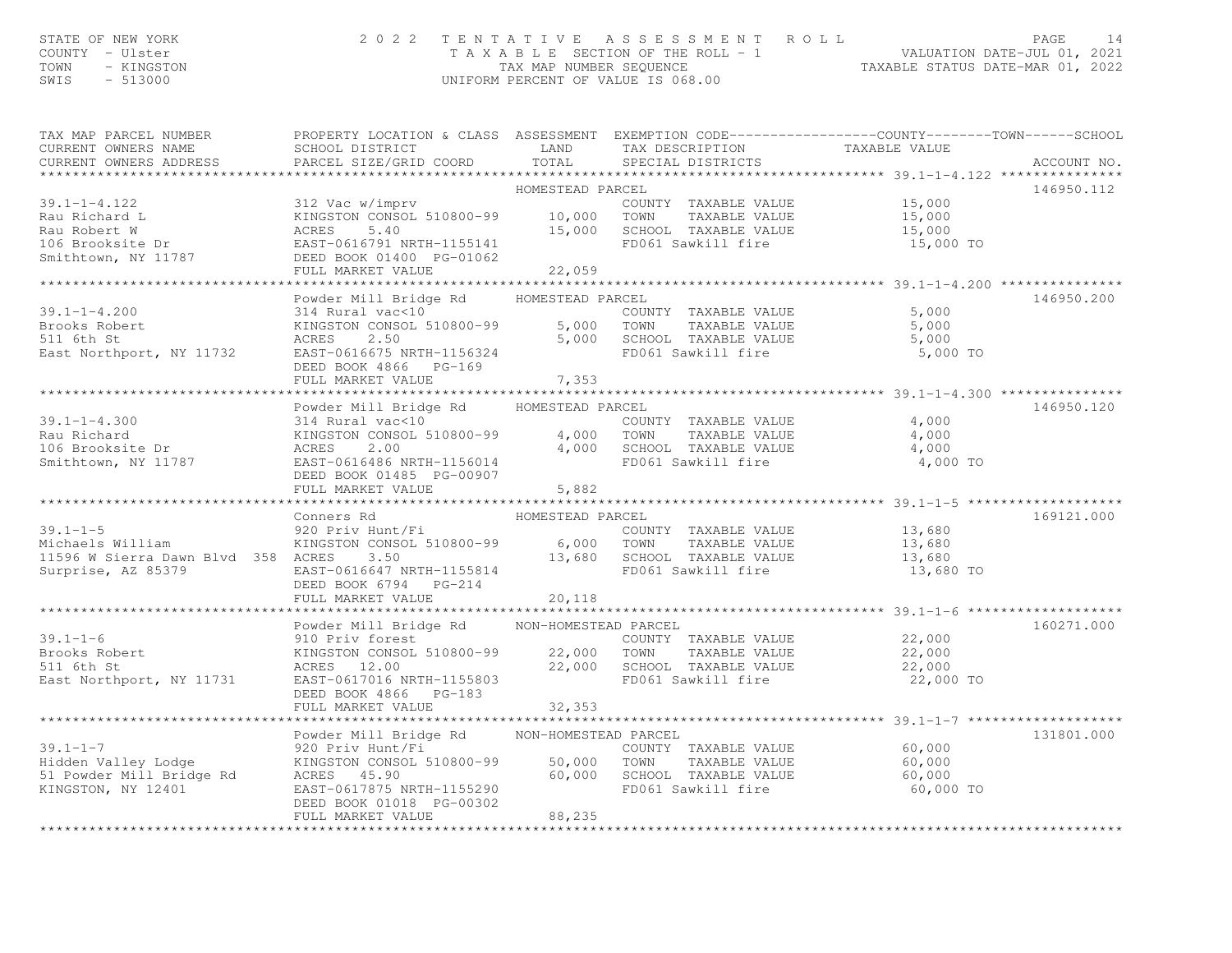# STATE OF NEW YORK CONTY - USE A Many of the Many Country - USE PAGE 14<br>COUNTY - Ulster COUNTY - USER MANY MAP NUMBER SEQUENCE TAXABLE SECTION OF THE ROLL - 1 WALUATION DATE-JUL 01, 2021<br>TAXABLE STATUS DATE-MAR 01, 2022<br>SWI

| TAX MAP PARCEL NUMBER<br>CURRENT OWNERS NAME<br>CURRENT OWNERS ADDRESS                                                                                                                                                                                                 | PROPERTY LOCATION & CLASS ASSESSMENT EXEMPTION CODE----------------COUNTY-------TOWN-----SCHOOL<br>SCHOOL DISTRICT LAND<br>PARCEL SIZE/GRID COORD TOTAL                                                                                |                  | TAX DESCRIPTION TAXABLE VALUE<br>SPECIAL DISTRICTS              |           | ACCOUNT NO. |
|------------------------------------------------------------------------------------------------------------------------------------------------------------------------------------------------------------------------------------------------------------------------|----------------------------------------------------------------------------------------------------------------------------------------------------------------------------------------------------------------------------------------|------------------|-----------------------------------------------------------------|-----------|-------------|
|                                                                                                                                                                                                                                                                        |                                                                                                                                                                                                                                        |                  |                                                                 |           |             |
|                                                                                                                                                                                                                                                                        |                                                                                                                                                                                                                                        | HOMESTEAD PARCEL |                                                                 |           | 146950.112  |
|                                                                                                                                                                                                                                                                        |                                                                                                                                                                                                                                        |                  |                                                                 |           |             |
|                                                                                                                                                                                                                                                                        |                                                                                                                                                                                                                                        |                  |                                                                 |           |             |
|                                                                                                                                                                                                                                                                        |                                                                                                                                                                                                                                        |                  |                                                                 |           |             |
|                                                                                                                                                                                                                                                                        |                                                                                                                                                                                                                                        |                  |                                                                 |           |             |
|                                                                                                                                                                                                                                                                        | FULL MARKET VALUE                                                                                                                                                                                                                      | 22,059           |                                                                 |           |             |
|                                                                                                                                                                                                                                                                        |                                                                                                                                                                                                                                        |                  |                                                                 |           |             |
|                                                                                                                                                                                                                                                                        | Powder Mill Bridge Rd HOMESTEAD PARCEL                                                                                                                                                                                                 |                  |                                                                 |           | 146950.200  |
|                                                                                                                                                                                                                                                                        |                                                                                                                                                                                                                                        |                  |                                                                 |           |             |
|                                                                                                                                                                                                                                                                        |                                                                                                                                                                                                                                        |                  |                                                                 |           |             |
|                                                                                                                                                                                                                                                                        |                                                                                                                                                                                                                                        |                  | 5,000 SCHOOL TAXABLE VALUE 5,000<br>FD061 Sawkill fire 5,000 TO |           |             |
| East Northport, NY 11732 EAST-0616675 NRTH-1156324                                                                                                                                                                                                                     |                                                                                                                                                                                                                                        |                  |                                                                 |           |             |
|                                                                                                                                                                                                                                                                        | DEED BOOK 4866 PG-169                                                                                                                                                                                                                  |                  |                                                                 |           |             |
|                                                                                                                                                                                                                                                                        | FULL MARKET VALUE 7,353                                                                                                                                                                                                                |                  |                                                                 |           |             |
|                                                                                                                                                                                                                                                                        |                                                                                                                                                                                                                                        |                  |                                                                 |           |             |
|                                                                                                                                                                                                                                                                        | Powder Mill Bridge Rd HOMESTEAD PARCEL                                                                                                                                                                                                 |                  |                                                                 |           | 146950.120  |
|                                                                                                                                                                                                                                                                        |                                                                                                                                                                                                                                        |                  |                                                                 |           |             |
|                                                                                                                                                                                                                                                                        |                                                                                                                                                                                                                                        |                  |                                                                 |           |             |
|                                                                                                                                                                                                                                                                        |                                                                                                                                                                                                                                        |                  |                                                                 | 4,000 TO  |             |
| 39.1-1-4.300<br>Rau Richard 314 Rural vac<10<br>106 Brooksite Dr ACRES 2.00<br>Smithtown, NY 11787<br>EAST-0616486 NRTH-1156014<br>EAST-0616486 NRTH-1156014<br>EAST-0616486 NRTH-1156014<br>PG-00907<br>FOOS 2.00<br>FOOS 2.00<br>FOOS 2.00<br>FOOS                   |                                                                                                                                                                                                                                        |                  |                                                                 |           |             |
|                                                                                                                                                                                                                                                                        |                                                                                                                                                                                                                                        |                  |                                                                 |           |             |
|                                                                                                                                                                                                                                                                        |                                                                                                                                                                                                                                        |                  |                                                                 |           |             |
|                                                                                                                                                                                                                                                                        | Conners Rd                                                                                                                                                                                                                             | HOMESTEAD PARCEL |                                                                 |           | 169121.000  |
|                                                                                                                                                                                                                                                                        |                                                                                                                                                                                                                                        |                  |                                                                 |           |             |
|                                                                                                                                                                                                                                                                        |                                                                                                                                                                                                                                        |                  |                                                                 |           |             |
|                                                                                                                                                                                                                                                                        |                                                                                                                                                                                                                                        |                  |                                                                 |           |             |
| 99.1-1-5<br>Michaels William (KINGSTON CONSOL 510800-99 6,000 TOWNT TAXABLE VALUE<br>Michaels William (KINGSTON CONSOL 510800-99 6,000 TOWN TAXABLE VALUE<br>13,680 SCHOOL TAXABLE VALUE<br>Surprise, AZ 85379 EAST-0616647 NRTH-11558                                 |                                                                                                                                                                                                                                        |                  |                                                                 |           |             |
|                                                                                                                                                                                                                                                                        | FULL MARKET VALUE 20,118                                                                                                                                                                                                               |                  |                                                                 |           |             |
|                                                                                                                                                                                                                                                                        |                                                                                                                                                                                                                                        |                  |                                                                 |           |             |
|                                                                                                                                                                                                                                                                        |                                                                                                                                                                                                                                        |                  |                                                                 |           | 160271.000  |
|                                                                                                                                                                                                                                                                        | Powder Mill Bridge Rd MON-HOMESTEAD PARCEL<br>910 Priv forest COUNTY                                                                                                                                                                   |                  |                                                                 |           |             |
|                                                                                                                                                                                                                                                                        |                                                                                                                                                                                                                                        |                  |                                                                 |           |             |
|                                                                                                                                                                                                                                                                        |                                                                                                                                                                                                                                        |                  |                                                                 |           |             |
| 39.1-1-6<br>Brooks Robert<br>Brooks Robert<br>SI1 6th St<br>External COUNTY TAXABLE VALUE<br>SI1 6th St<br>COUNTY TAXABLE VALUE<br>22,000<br>SCRES<br>22,000<br>22,000<br>22,000<br>22,000<br>22,000<br>22,000<br>22,000<br>22,000<br>22,000<br>22,000<br>22,000<br>22 |                                                                                                                                                                                                                                        |                  |                                                                 |           |             |
|                                                                                                                                                                                                                                                                        | DEED BOOK 4866 PG-183                                                                                                                                                                                                                  |                  |                                                                 |           |             |
|                                                                                                                                                                                                                                                                        | FULL MARKET VALUE                                                                                                                                                                                                                      | 32,353           |                                                                 |           |             |
|                                                                                                                                                                                                                                                                        |                                                                                                                                                                                                                                        |                  |                                                                 |           |             |
|                                                                                                                                                                                                                                                                        | Powder Mill Bridge Rd MON-HOMESTEAD PARCEL                                                                                                                                                                                             |                  |                                                                 |           | 131801.000  |
| $39.1 - 1 - 7$                                                                                                                                                                                                                                                         | 920 Priv Hunt/Fi (COUNT<br>KINGSTON CONSOL 510800-99 50,000 TOWN                                                                                                                                                                       |                  |                                                                 |           |             |
|                                                                                                                                                                                                                                                                        |                                                                                                                                                                                                                                        |                  |                                                                 |           |             |
| 39.1-1-7<br>Hidden Valley Lodge<br>51 Powder Mill Bridge Rd<br>KINGSTON, NY 12401<br>KINGSTON, NY 12401                                                                                                                                                                | 920 Priv Hunt/Fi<br>KINGSTON CONSOL 510800-99 50,000 TOWN TAXABLE VALUE 60,000<br>ACRES 45.90 60,000 SCHOOL TAXABLE VALUE 60,000<br>EAST-0617875 NRTH-1155290 FD061 Sawkill fire 60,000<br>EAST-0617875 NRTH-1155290 FD061 Sawkill fir |                  |                                                                 | 60,000 TO |             |
|                                                                                                                                                                                                                                                                        | DEED BOOK 01018 PG-00302                                                                                                                                                                                                               |                  |                                                                 |           |             |
|                                                                                                                                                                                                                                                                        | FULL MARKET VALUE                                                                                                                                                                                                                      | 88,235           |                                                                 |           |             |
|                                                                                                                                                                                                                                                                        |                                                                                                                                                                                                                                        |                  |                                                                 |           |             |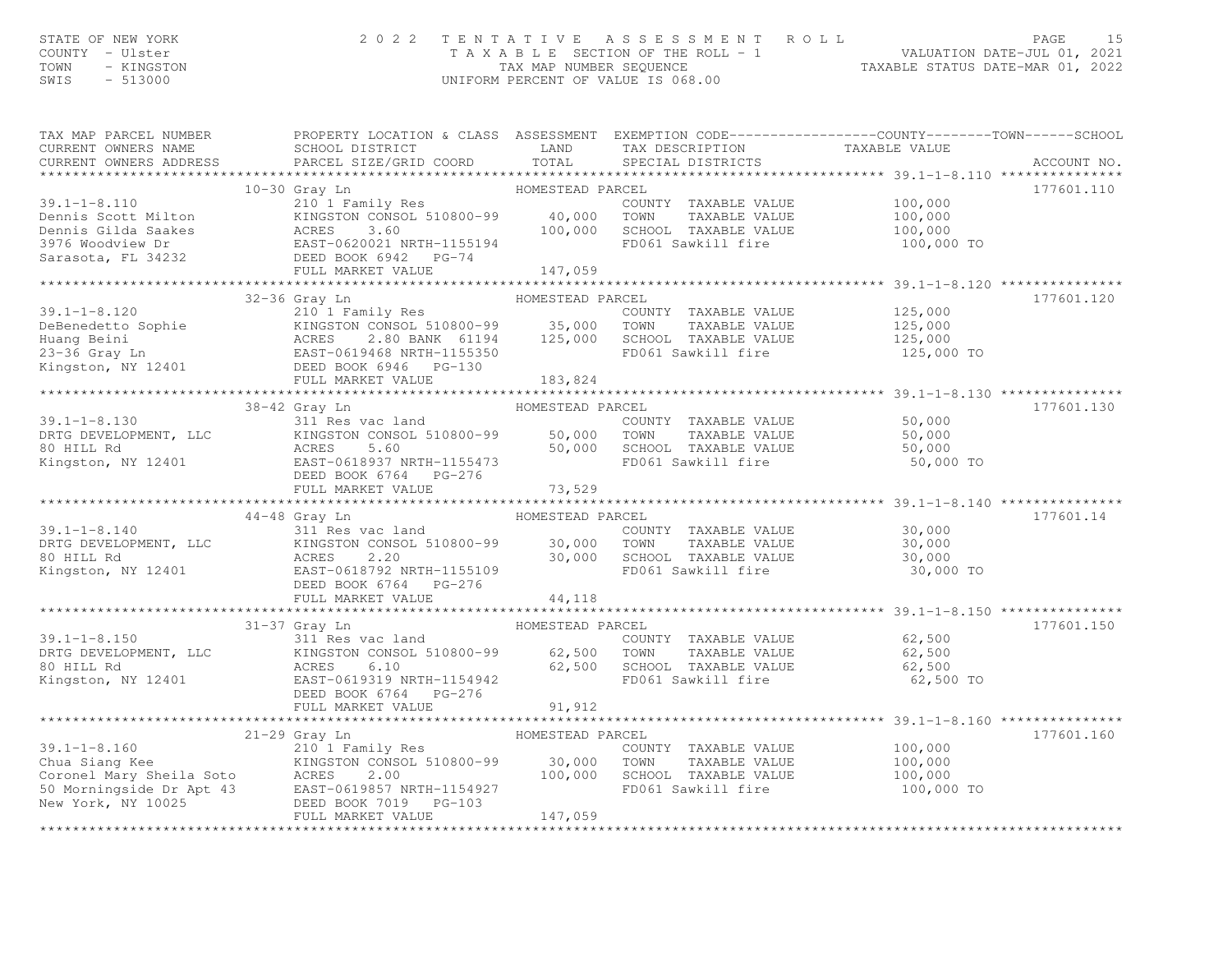STATE OF NEW YORK USE A SERIES SERIES SONE NOT ROLL PAGE 15<br>COUNTY - Ulster (2012) TAXABLE SECTION OF THE ROLL - 1 WALUATION DATE-JUL 01, 2021<br>TAXABLE SECTION (2022) TAXAB NUMBER SEQUENCE (2022)<br>SWIS - 513000 TAX MAP PARCEL NUMBER PROPERTY LOCATION & CLASS ASSESSMENT EXEMPTION CODE------------------COUNTY--------TOWN------SCHOOL CURRENT OWNERS NAME SCHOOL DISTRICT LAND TAX DESCRIPTION TAXABLE VALUE CURRENT OWNERS ADDRESS PARCEL SIZE/GRID COORD TOTAL SPECIAL DISTRICTS ACCOUNT NO. \*\*\*\*\*\*\*\*\*\*\*\*\*\*\*\*\*\*\*\*\*\*\*\*\*\*\*\*\*\*\*\*\*\*\*\*\*\*\*\*\*\*\*\*\*\*\*\*\*\*\*\*\*\*\*\*\*\*\*\*\*\*\*\*\*\*\*\*\*\*\*\*\*\*\*\*\*\*\*\*\*\*\*\*\*\*\*\*\*\*\*\*\*\*\*\*\*\*\*\*\*\*\* 39.1-1-8.110 \*\*\*\*\*\*\*\*\*\*\*\*\*\*\*177601.110 10-30 Gray Ln HOMESTEAD PARCEL 177601.11039.1-1-8.110 210 1 Family Res<br>
Dennis Scott Milton KINGSTON CONSOL 510800-99 40,000 TOWN TAXABLE VALUE 100,000<br>
Dennis Gilda Saakes ACRES 3.60 100,000 SCHOOL TAXABLE VALUE 100,000<br>
3976 Woodview Dr EAST-0620021 NRTH-115519 \*\*\*\*\*\*\*\*\*\*\*\*\*\*\*\*\*\*\*\*\*\*\*\*\*\*\*\*\*\*\*\*\*\*\*\*\*\*\*\*\*\*\*\*\*\*\*\*\*\*\*\*\*\*\*\*\*\*\*\*\*\*\*\*\*\*\*\*\*\*\*\*\*\*\*\*\*\*\*\*\*\*\*\*\*\*\*\*\*\*\*\*\*\*\*\*\*\*\*\*\*\*\* 39.1-1-8.120 \*\*\*\*\*\*\*\*\*\*\*\*\*\*\*177601.120 32-36 Gray Ln HOMESTEAD PARCEL 177601.12039.1-1-8.120 210 1 Family Res COUNTY TAXABLE VALUE 125,000 DeBenedetto Sophie KINGSTON CONSOL 510800-99 35,000 TOWN TAXABLE VALUE 125,000 Huang Beini ACRES 2.80 BANK 61194 125,000 SCHOOL TAXABLE VALUE 125,000 23-36 Gray Ln EAST-0619468 NRTH-1155350 FD061 Sawkill fire 125,000 TO Kingston, NY 12401 DEED BOOK 6946 PG-130 FULL MARKET VALUE 183,824 \*\*\*\*\*\*\*\*\*\*\*\*\*\*\*\*\*\*\*\*\*\*\*\*\*\*\*\*\*\*\*\*\*\*\*\*\*\*\*\*\*\*\*\*\*\*\*\*\*\*\*\*\*\*\*\*\*\*\*\*\*\*\*\*\*\*\*\*\*\*\*\*\*\*\*\*\*\*\*\*\*\*\*\*\*\*\*\*\*\*\*\*\*\*\*\*\*\*\*\*\*\*\* 39.1-1-8.130 \*\*\*\*\*\*\*\*\*\*\*\*\*\*\*177601.130 38-42 Gray Ln HOMESTEAD PARCEL 177601.13039.1-1-8.130 311 Res vac land COUNTY TAXABLE VALUE 50,000<br>DRTG DEVELOPMENT, LLC KINGSTON CONSOL 510800-99 50,000 TOWN TAXABLE VALUE 50,000<br>80 HILL Rd ACRES 5. DEED BOOK 6764 PG-276 FULL MARKET VALUE 73,529 \*\*\*\*\*\*\*\*\*\*\*\*\*\*\*\*\*\*\*\*\*\*\*\*\*\*\*\*\*\*\*\*\*\*\*\*\*\*\*\*\*\*\*\*\*\*\*\*\*\*\*\*\*\*\*\*\*\*\*\*\*\*\*\*\*\*\*\*\*\*\*\*\*\*\*\*\*\*\*\*\*\*\*\*\*\*\*\*\*\*\*\*\*\*\*\*\*\*\*\*\*\*\* 39.1-1-8.140 \*\*\*\*\*\*\*\*\*\*\*\*\*\*\* 44-48 Gray Ln HOMESTEAD PARCEL 177601.1439.1-1-8.140 311 Res vac land COUNTY TAXABLE VALUE 30,000<br>
DRTG DEVELOPMENT, LLC KINGSTON CONSOL 510800-99 30,000 TOWN TAXABLE VALUE 30,000<br>
80 HILL Rd ACRES 2.20 30,000 SCHOOL TAXABLE VALUE 30,000<br>
Kingston, NY 12401 EAST \*\*\*\*\*\*\*\*\*\*\*\*\*\*\*\*\*\*\*\*\*\*\*\*\*\*\*\*\*\*\*\*\*\*\*\*\*\*\*\*\*\*\*\*\*\*\*\*\*\*\*\*\*\*\*\*\*\*\*\*\*\*\*\*\*\*\*\*\*\*\*\*\*\*\*\*\*\*\*\*\*\*\*\*\*\*\*\*\*\*\*\*\*\*\*\*\*\*\*\*\*\*\* 39.1-1-8.150 \*\*\*\*\*\*\*\*\*\*\*\*\*\*\*177601.150 31-37 Gray Ln HOMESTEAD PARCEL 177601.15039.1-1-8.150 311 Res vac land COUNTY TAXABLE VALUE 62,500<br>DRTG DEVELOPMENT, LLC KINGSTON CONSOL 510800-99 62,500 TOWN TAXABLE VALUE 62,500<br>80 HILL Rd ACRES 6 DEED BOOK 6764 PG-276 FULL MARKET VALUE 91,912 \*\*\*\*\*\*\*\*\*\*\*\*\*\*\*\*\*\*\*\*\*\*\*\*\*\*\*\*\*\*\*\*\*\*\*\*\*\*\*\*\*\*\*\*\*\*\*\*\*\*\*\*\*\*\*\*\*\*\*\*\*\*\*\*\*\*\*\*\*\*\*\*\*\*\*\*\*\*\*\*\*\*\*\*\*\*\*\*\*\*\*\*\*\*\*\*\*\*\*\*\*\*\* 39.1-1-8.160 \*\*\*\*\*\*\*\*\*\*\*\*\*\*\*177601.160 21-29 Gray Ln HOMESTEAD PARCEL 177601.16039.1-1-8.160 210 1 Family Res COUNTY TAXABLE VALUE 100,000 Chua Siang Kee KINGSTON CONSOL 510800-99 30,000 TOWN TAXABLE VALUE 100,000 Coronel Mary Sheila Soto ACRES 2.00 100,000 SCHOOL TAXABLE VALUE 100,000 50 Morningside Dr Apt 43 EAST-0619857 NRTH-1154927 FD061 Sawkill fire 100,000 TO New York, NY 10025 DEED BOOK 7019 PG-103 FULL MARKET VALUE 147,059

\*\*\*\*\*\*\*\*\*\*\*\*\*\*\*\*\*\*\*\*\*\*\*\*\*\*\*\*\*\*\*\*\*\*\*\*\*\*\*\*\*\*\*\*\*\*\*\*\*\*\*\*\*\*\*\*\*\*\*\*\*\*\*\*\*\*\*\*\*\*\*\*\*\*\*\*\*\*\*\*\*\*\*\*\*\*\*\*\*\*\*\*\*\*\*\*\*\*\*\*\*\*\*\*\*\*\*\*\*\*\*\*\*\*\*\*\*\*\*\*\*\*\*\*\*\*\*\*\*\*\*\*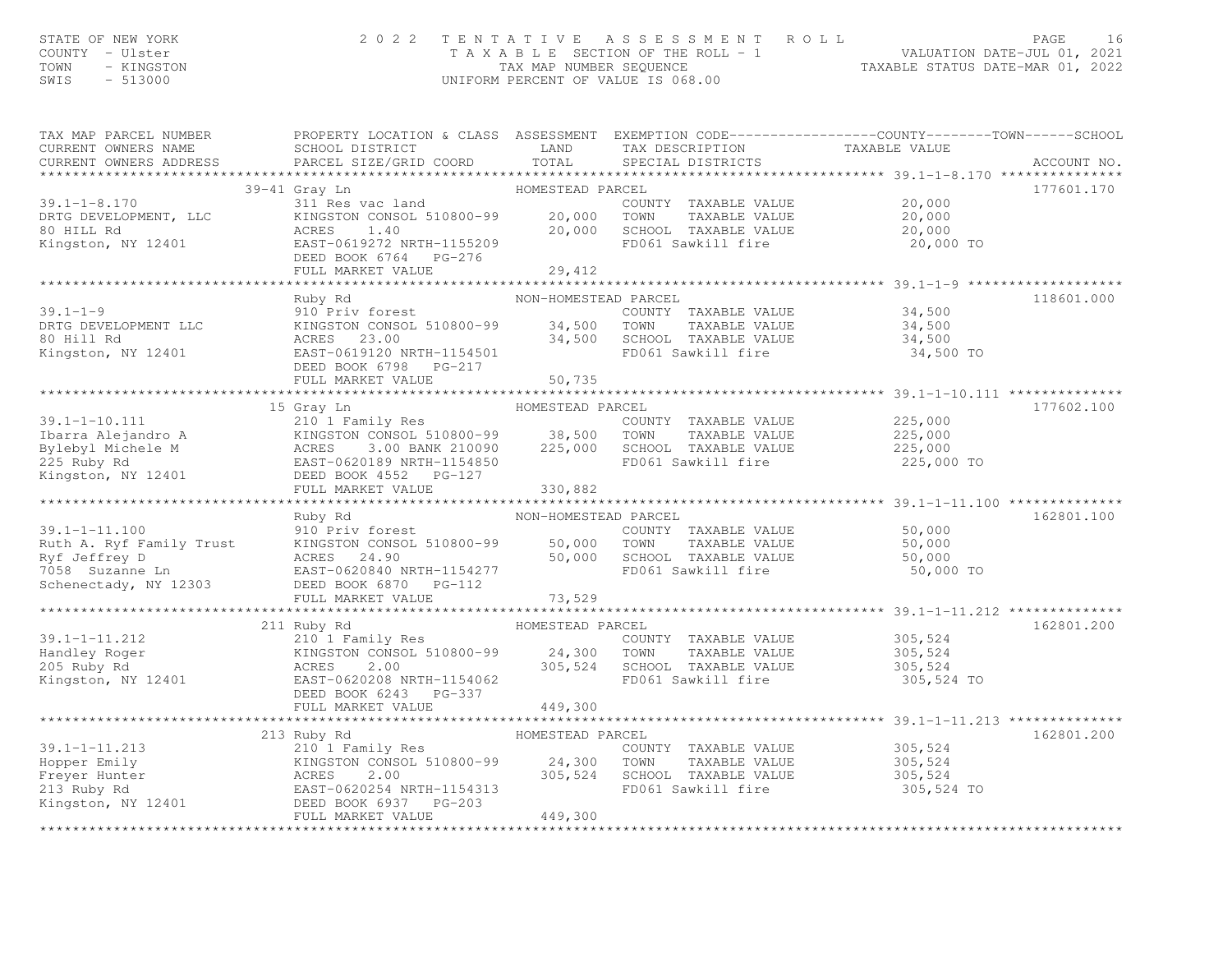#### STATE OF NEW YORK 2 0 2 2 T E N T A T I V E A S S E S S M E N T R O L L PAGE 16 COUNTY - Ulster T A X A B L E SECTION OF THE ROLL - 1 VALUATION DATE-JUL 01, 2021 TOWN - KINGSTON TAX MAP NUMBER SEQUENCE TAXABLE STATUS DATE-MAR 01, 2022SWIS - 513000 UNIFORM PERCENT OF VALUE IS 068.00

| TAX MAP PARCEL NUMBER<br>CURRENT OWNERS NAME | PROPERTY LOCATION & CLASS ASSESSMENT EXEMPTION CODE----------------COUNTY-------TOWN------SCHOOL                                                                                                                                                                                                                                                                                                                                                         |                  |            |            |
|----------------------------------------------|----------------------------------------------------------------------------------------------------------------------------------------------------------------------------------------------------------------------------------------------------------------------------------------------------------------------------------------------------------------------------------------------------------------------------------------------------------|------------------|------------|------------|
|                                              |                                                                                                                                                                                                                                                                                                                                                                                                                                                          |                  |            |            |
|                                              |                                                                                                                                                                                                                                                                                                                                                                                                                                                          |                  |            | 177601.170 |
|                                              |                                                                                                                                                                                                                                                                                                                                                                                                                                                          |                  |            |            |
|                                              |                                                                                                                                                                                                                                                                                                                                                                                                                                                          |                  |            |            |
|                                              |                                                                                                                                                                                                                                                                                                                                                                                                                                                          |                  |            |            |
|                                              |                                                                                                                                                                                                                                                                                                                                                                                                                                                          |                  |            |            |
|                                              | DEED BOOK 6764 PG-276                                                                                                                                                                                                                                                                                                                                                                                                                                    |                  |            |            |
|                                              |                                                                                                                                                                                                                                                                                                                                                                                                                                                          |                  |            |            |
|                                              |                                                                                                                                                                                                                                                                                                                                                                                                                                                          |                  |            |            |
|                                              | NON-HOMESTEAD PARCEL<br>Ruby Rd                                                                                                                                                                                                                                                                                                                                                                                                                          |                  |            | 118601.000 |
|                                              |                                                                                                                                                                                                                                                                                                                                                                                                                                                          |                  |            |            |
|                                              |                                                                                                                                                                                                                                                                                                                                                                                                                                                          |                  |            |            |
|                                              |                                                                                                                                                                                                                                                                                                                                                                                                                                                          |                  |            |            |
|                                              |                                                                                                                                                                                                                                                                                                                                                                                                                                                          |                  |            |            |
|                                              |                                                                                                                                                                                                                                                                                                                                                                                                                                                          |                  |            |            |
|                                              |                                                                                                                                                                                                                                                                                                                                                                                                                                                          |                  |            |            |
|                                              |                                                                                                                                                                                                                                                                                                                                                                                                                                                          |                  |            |            |
|                                              | 15 Gray Ln                                                                                                                                                                                                                                                                                                                                                                                                                                               | HOMESTEAD PARCEL |            | 177602.100 |
|                                              |                                                                                                                                                                                                                                                                                                                                                                                                                                                          |                  |            |            |
|                                              |                                                                                                                                                                                                                                                                                                                                                                                                                                                          |                  |            |            |
|                                              |                                                                                                                                                                                                                                                                                                                                                                                                                                                          |                  | 225,000 TO |            |
|                                              |                                                                                                                                                                                                                                                                                                                                                                                                                                                          |                  |            |            |
|                                              |                                                                                                                                                                                                                                                                                                                                                                                                                                                          |                  |            |            |
|                                              | $\begin{tabular}{lllllllllllll} \multicolumn{3}{c}{\textbf{39.1--1--11.100}} & \multicolumn{3}{c}{\textbf{Ruby Rd}} & \multicolumn{3}{c}{\textbf{NON-HOMESTED PARCEL}} & \multicolumn{3}{c}{\textbf{ON-MANSEED PARCEL}} & \multicolumn{3}{c}{\textbf{50,000}} & \multicolumn{3}{c}{\textbf{Ruby Rd}} & \multicolumn{3}{c}{\textbf{NONTY TAXABLE VALUE}} & \multicolumn{3}{c}{\textbf{50,000}} & \multicolumn{3}{c}{\textbf{50,000}} & \multicolumn{3}{c$ |                  |            |            |
|                                              |                                                                                                                                                                                                                                                                                                                                                                                                                                                          |                  |            | 162801.100 |
|                                              |                                                                                                                                                                                                                                                                                                                                                                                                                                                          |                  |            |            |
|                                              |                                                                                                                                                                                                                                                                                                                                                                                                                                                          |                  |            |            |
|                                              |                                                                                                                                                                                                                                                                                                                                                                                                                                                          |                  |            |            |
|                                              |                                                                                                                                                                                                                                                                                                                                                                                                                                                          |                  |            |            |
|                                              |                                                                                                                                                                                                                                                                                                                                                                                                                                                          |                  |            |            |
|                                              |                                                                                                                                                                                                                                                                                                                                                                                                                                                          |                  |            |            |
|                                              |                                                                                                                                                                                                                                                                                                                                                                                                                                                          |                  |            |            |
|                                              |                                                                                                                                                                                                                                                                                                                                                                                                                                                          |                  |            | 162801.200 |
|                                              |                                                                                                                                                                                                                                                                                                                                                                                                                                                          |                  |            |            |
|                                              |                                                                                                                                                                                                                                                                                                                                                                                                                                                          |                  |            |            |
|                                              |                                                                                                                                                                                                                                                                                                                                                                                                                                                          |                  |            |            |
|                                              |                                                                                                                                                                                                                                                                                                                                                                                                                                                          |                  | 305,524 TO |            |
|                                              |                                                                                                                                                                                                                                                                                                                                                                                                                                                          |                  |            |            |
|                                              |                                                                                                                                                                                                                                                                                                                                                                                                                                                          |                  |            |            |
|                                              | $\begin{tabular}{ccccc} 39.1-1-11.212 & 211 Ruby R1 & 39.1-1-11.212 & 211 Ruby R2 & 305,524Handley Roger & 210 I Family Res & 305,524205 Ruby R3 & 210 I Pamily Res & 305,524ACRES & 2.00Kingston, NY 12401 & EARTOM CONSOL 510800-99 & 24,300 TONN TAXABLE VALUE & 305,524205 Ruby R3 & 2.00Kingston, NY 12401 & EAST-0620208 NRFH-1$                                                                                                                   |                  |            |            |
|                                              |                                                                                                                                                                                                                                                                                                                                                                                                                                                          |                  |            | 162801.200 |
|                                              |                                                                                                                                                                                                                                                                                                                                                                                                                                                          |                  |            |            |
|                                              |                                                                                                                                                                                                                                                                                                                                                                                                                                                          |                  |            |            |
|                                              |                                                                                                                                                                                                                                                                                                                                                                                                                                                          |                  |            |            |
|                                              |                                                                                                                                                                                                                                                                                                                                                                                                                                                          |                  |            |            |
|                                              |                                                                                                                                                                                                                                                                                                                                                                                                                                                          |                  |            |            |
|                                              |                                                                                                                                                                                                                                                                                                                                                                                                                                                          |                  |            |            |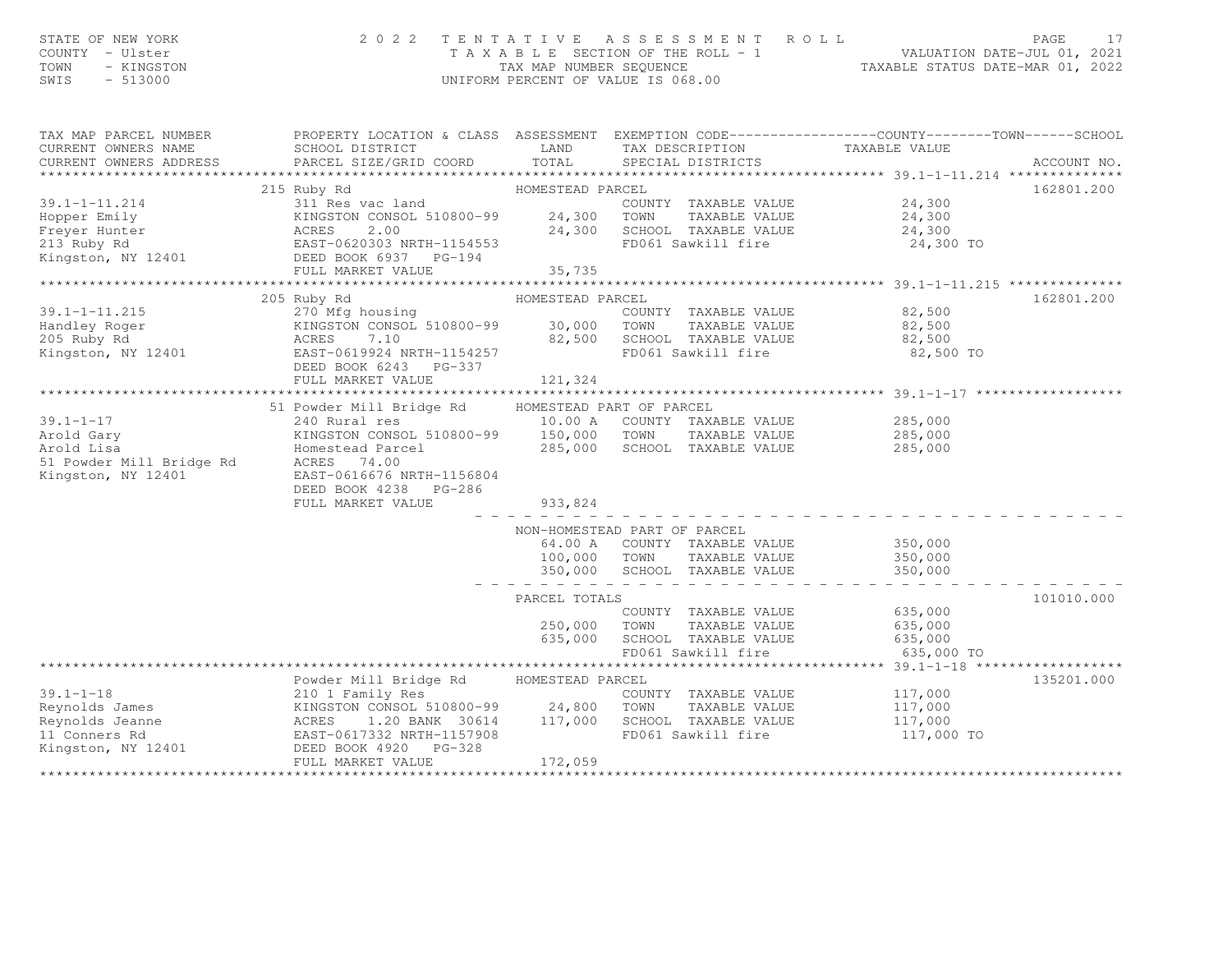### STATE OF NEW YORK PAGE 17<br>COUNTY - Ulster (2001) TAXABLE SECTION OF THE ROLL - 1 (NALUATION DATE-JUL 01, 2021<br>TAXABLE SECTION OF THE ROLL - 1 (NALUATION DATE-JUL 01, 2021<br>SWIS - 513000 (INTFORM PERCENT OF VALUE IS 068.00)

| TAX MAP PARCEL NUMBER<br>CURRENT OWNERS NAME<br>CURRENT OWNERS ADDRESS | SCHOOL DISTRICT LAND TAX DESCRIPTION TAXABLE VALUE PARCEL SIZE/GRID COORD TOTAL SPECIAL DISTRICTS<br>SCHOOL DISTRICT LAND                                                                                                                                                                                                                                                                                       |                                     |                                                                                                                                                    | PROPERTY LOCATION & CLASS ASSESSMENT EXEMPTION CODE----------------COUNTY-------TOWN-----SCHOOL<br>ACCOUNT NO. |
|------------------------------------------------------------------------|-----------------------------------------------------------------------------------------------------------------------------------------------------------------------------------------------------------------------------------------------------------------------------------------------------------------------------------------------------------------------------------------------------------------|-------------------------------------|----------------------------------------------------------------------------------------------------------------------------------------------------|----------------------------------------------------------------------------------------------------------------|
|                                                                        | $\begin{tabular}{lllllllllll} \multicolumn{3}{c c c c c} \multicolumn{3}{c c c c} & \multicolumn{3}{c c c c} & \multicolumn{3}{c c c} & \multicolumn{3}{c c c} & \multicolumn{3}{c c c} & \multicolumn{3}{c c c} & \multicolumn{3}{c c c} & \multicolumn{3}{c c c} & \multicolumn{3}{c c c} & \multicolumn{3}{c c c} & \multicolumn{3}{c c c} & \multicolumn{3}{c c c} & \multicolumn{3}{c c c} & \multicolumn$ |                                     |                                                                                                                                                    | 162801.200                                                                                                     |
|                                                                        | 205 Ruby Rd<br>39.1-1-11.215 270 Mfg housing<br>Handley Roger RINGSTON CONSOL 510800-99 30,000 TOWN TAXABLE VALUE 82,500<br>205 Ruby Rd ACRES 7.10 82,500 SCHOOL TAXABLE VALUE 82,500<br>Kingston, NY 12401 EAST-0619924 NRTH-1154257 FD061 Sawkill                                                                                                                                                             | HOMESTEAD PARCEL                    | COUNTY TAXABLE VALUE 82,500                                                                                                                        | 162801.200<br>82,500 TO                                                                                        |
|                                                                        | 51 Powder Mill Bridge Rd MOMESTEAD PART OF PARCEL<br>DEED BOOK 4238 PG-286<br>FULL MARKET VALUE                                                                                                                                                                                                                                                                                                                 | 933,824                             |                                                                                                                                                    |                                                                                                                |
|                                                                        |                                                                                                                                                                                                                                                                                                                                                                                                                 |                                     | NON-HOMESTEAD PART OF PARCEL<br>64.00 A COUNTY TAXABLE VALUE 350,000<br>100,000 TOWN TAXABLE VALUE 350,000<br>350,000 SCHOOL TAXABLE VALUE 350,000 |                                                                                                                |
|                                                                        |                                                                                                                                                                                                                                                                                                                                                                                                                 | PARCEL TOTALS<br>250,000<br>635,000 | COUNTY TAXABLE VALUE 635,000<br>TOWN TAXABLE VALUE 635,000<br>SCHOOL TAXABLE VALUE 635,000<br>FD061 Sawkill fire 635,000 TO                        | 101010.000                                                                                                     |
|                                                                        | Powder Mill Bridge Rd HOMESTEAD PARCEL<br>Powder Mill Bridge Rd MESTEAD PARCEL<br>210 1 Family Res 24,800 TOWN TAXABLE VALUE 2117,000<br>Reynolds James 24,800 TOWN TAXABLE VALUE 217,000<br>Reynolds Jeanne 24,800 TOWN TAXABLE VALUE 217,000<br>Reynolds Jeanne 24,800 TOWN TA<br>FULL MARKET VALUE                                                                                                           | 172,059                             |                                                                                                                                                    | 135201.000                                                                                                     |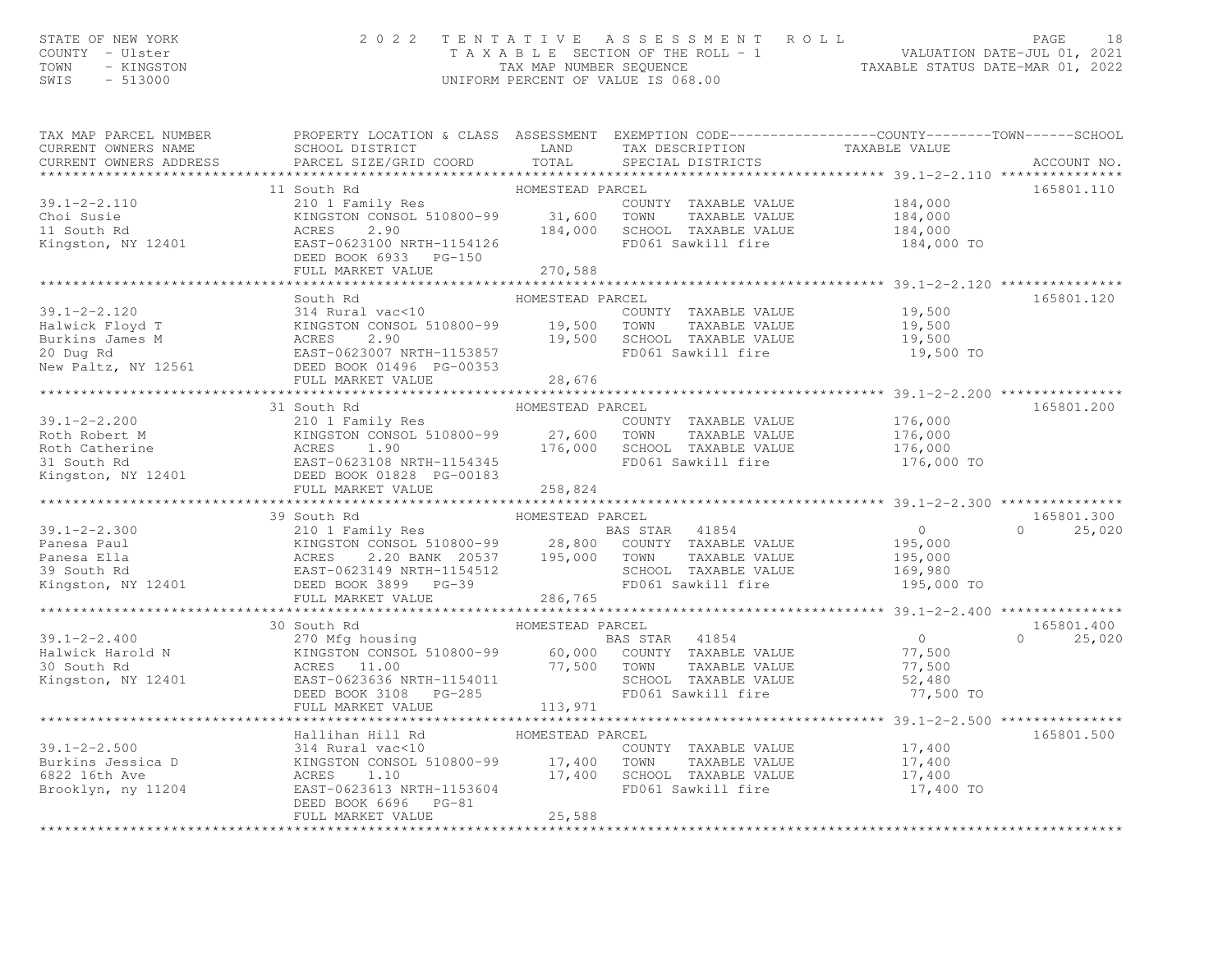# STATE OF NEW YORK THE SERVICE 2 O 2 2 TENTATIVE ASSESSMENT ROLL TROUDUST PAGE 18<br>COUNTY - Ulster TAXABLE SECTION OF THE ROLL - 1 VALUATION DATE-JUL 01, 2021<br>TAXABLE STATUS TAXAB NUMBER SEQUENCE AND TRANSPORT TRANABLE STATU

| TAX MAP PARCEL NUMBER<br>CURRENT OWNERS NAME                                                                                                                                                                                                                                                                                                                                                                                                                                                                           | PROPERTY LOCATION & CLASS ASSESSMENT EXEMPTION CODE----------------COUNTY-------TOWN------SCHOOL<br>SCHOOL DISTRICT LAND                                                                     |                  | TAX DESCRIPTION                                          | TAXABLE VALUE    |                    |
|------------------------------------------------------------------------------------------------------------------------------------------------------------------------------------------------------------------------------------------------------------------------------------------------------------------------------------------------------------------------------------------------------------------------------------------------------------------------------------------------------------------------|----------------------------------------------------------------------------------------------------------------------------------------------------------------------------------------------|------------------|----------------------------------------------------------|------------------|--------------------|
| $\begin{minipage}{.45\textwidth} \begin{minipage}{.45\textwidth} \begin{minipage}{.45\textwidth} \begin{minipage}{.45\textwidth} \begin{minipage}{.45\textwidth} \begin{minipage}{.45\textwidth} \begin{minipage}{.45\textwidth} \begin{minipage}{.45\textwidth} \begin{minipage}{.45\textwidth} \begin{minipage}{.45\textwidth} \begin{minipage}{.45\textwidth} \begin{minipage}{.45\textwidth} \begin{minipage}{.45\textwidth} \begin{minipage}{.45\textwidth} \begin{minipage}{.45\textwidth} \begin{minipage}{.45$ |                                                                                                                                                                                              |                  |                                                          |                  |                    |
|                                                                                                                                                                                                                                                                                                                                                                                                                                                                                                                        | 11 South Rd                                                                                                                                                                                  | HOMESTEAD PARCEL |                                                          |                  | 165801.110         |
| $39.1 - 2 - 2.110$                                                                                                                                                                                                                                                                                                                                                                                                                                                                                                     | 210 1 Family Res<br>XINGSTON CONSOL 510800-99 31,600 TOWN                                                                                                                                    |                  | COUNTY TAXABLE VALUE 184,000                             |                  |                    |
| Choi Susie                                                                                                                                                                                                                                                                                                                                                                                                                                                                                                             |                                                                                                                                                                                              |                  | TAXABLE VALUE                                            | 184,000          |                    |
|                                                                                                                                                                                                                                                                                                                                                                                                                                                                                                                        | ACRES<br>2.90                                                                                                                                                                                | 184,000          | SCHOOL TAXABLE VALUE 184,000                             |                  |                    |
| UNOI Susie<br>11 South Rd<br>Kingston, NY 12401                                                                                                                                                                                                                                                                                                                                                                                                                                                                        | EAST-0623100 NRTH-1154126                                                                                                                                                                    |                  | FD061 Sawkill fire                                       | 184,000 TO       |                    |
|                                                                                                                                                                                                                                                                                                                                                                                                                                                                                                                        | DEED BOOK 6933 PG-150                                                                                                                                                                        |                  |                                                          |                  |                    |
|                                                                                                                                                                                                                                                                                                                                                                                                                                                                                                                        | FULL MARKET VALUE                                                                                                                                                                            | 270,588          |                                                          |                  |                    |
|                                                                                                                                                                                                                                                                                                                                                                                                                                                                                                                        |                                                                                                                                                                                              |                  |                                                          |                  |                    |
|                                                                                                                                                                                                                                                                                                                                                                                                                                                                                                                        | South Rd                                                                                                                                                                                     | HOMESTEAD PARCEL |                                                          |                  | 165801.120         |
|                                                                                                                                                                                                                                                                                                                                                                                                                                                                                                                        |                                                                                                                                                                                              |                  | COUNTY TAXABLE VALUE                                     | 19,500           |                    |
|                                                                                                                                                                                                                                                                                                                                                                                                                                                                                                                        | KINGSTON CONSOL 510800-99 19,500 TOWN                                                                                                                                                        |                  | TAXABLE VALUE                                            |                  |                    |
|                                                                                                                                                                                                                                                                                                                                                                                                                                                                                                                        |                                                                                                                                                                                              |                  | 19,500 SCHOOL TAXABLE VALUE                              | 19,500<br>19,500 |                    |
| 39.1-2-2.120<br>Halwick Floyd T<br>Burkins James M<br>20 Dug Rd<br>New Paltz, NY 12561<br>20 Dug Rd<br>20 Dug Rd<br>20 Dug Rd<br>20 Dug Rd<br>20 Dug Rd<br>20 Dug Rd<br>20 Dug Rd<br>20 Dug Rd<br>20 Dug Rd<br>20 Dug Rd<br>20 Dug Rd<br>20 Dug Rd<br>20 Dug Rd<br>                                                                                                                                                                                                                                                    |                                                                                                                                                                                              |                  | FD061 Sawkill fire                                       | 19,500 TO        |                    |
|                                                                                                                                                                                                                                                                                                                                                                                                                                                                                                                        |                                                                                                                                                                                              |                  |                                                          |                  |                    |
|                                                                                                                                                                                                                                                                                                                                                                                                                                                                                                                        | FULL MARKET VALUE                                                                                                                                                                            | 28,676           |                                                          |                  |                    |
|                                                                                                                                                                                                                                                                                                                                                                                                                                                                                                                        |                                                                                                                                                                                              |                  |                                                          |                  |                    |
|                                                                                                                                                                                                                                                                                                                                                                                                                                                                                                                        | 31 South Rd                                                                                                                                                                                  | HOMESTEAD PARCEL |                                                          |                  | 165801.200         |
| $39.1 - 2 - 2.200$                                                                                                                                                                                                                                                                                                                                                                                                                                                                                                     | 210 1 Family Res                                                                                                                                                                             |                  | COUNTY TAXABLE VALUE 176,000                             |                  |                    |
|                                                                                                                                                                                                                                                                                                                                                                                                                                                                                                                        |                                                                                                                                                                                              |                  |                                                          |                  |                    |
|                                                                                                                                                                                                                                                                                                                                                                                                                                                                                                                        |                                                                                                                                                                                              |                  |                                                          |                  |                    |
|                                                                                                                                                                                                                                                                                                                                                                                                                                                                                                                        |                                                                                                                                                                                              |                  |                                                          | 176,000 TO       |                    |
| 39.1-2-2.200 210 1 Family Res<br>Roth Robert M KINGSTON CONSOL 510800-99 27,600 TOWN TAXABLE VALUE 176,000<br>Roth Catherine ACRES 1.90 176,000 SCHOOL TAXABLE VALUE 176,000<br>31 South Rd EAST-0623108 NRTH-1154345 FD061 Sawkill                                                                                                                                                                                                                                                                                    |                                                                                                                                                                                              |                  |                                                          |                  |                    |
|                                                                                                                                                                                                                                                                                                                                                                                                                                                                                                                        |                                                                                                                                                                                              |                  |                                                          |                  |                    |
|                                                                                                                                                                                                                                                                                                                                                                                                                                                                                                                        |                                                                                                                                                                                              |                  |                                                          |                  |                    |
|                                                                                                                                                                                                                                                                                                                                                                                                                                                                                                                        | South Rd<br>210 1 Family Res HOMEST<br>39 South Rd                                                                                                                                           | HOMESTEAD PARCEL |                                                          |                  | 165801.300         |
| $39.1 - 2 - 2.300$                                                                                                                                                                                                                                                                                                                                                                                                                                                                                                     |                                                                                                                                                                                              |                  | BAS STAR 41854                                           | $\bigcirc$       | 25,020<br>$\Omega$ |
|                                                                                                                                                                                                                                                                                                                                                                                                                                                                                                                        |                                                                                                                                                                                              |                  |                                                          | 195,000          |                    |
|                                                                                                                                                                                                                                                                                                                                                                                                                                                                                                                        |                                                                                                                                                                                              |                  |                                                          | 195,000          |                    |
|                                                                                                                                                                                                                                                                                                                                                                                                                                                                                                                        |                                                                                                                                                                                              |                  | SCHOOL TAXABLE VALUE 169,980                             |                  |                    |
|                                                                                                                                                                                                                                                                                                                                                                                                                                                                                                                        |                                                                                                                                                                                              |                  | FD061 Sawkill fire                                       | 195,000 TO       |                    |
| 39.1-2-2.300 210 1 Family Res bas SIAK 41004<br>Panesa Paul KINGSTON CONSOL 510800-99 28,800 COUNTY TAXABLE VALUE<br>Panesa Ella ACRES 2.20 BANK 20537 195,000 TOWN TAXABLE VALUE<br>39 South Rd EAST-0623149 NRTH-1154512 SCHOOL TA                                                                                                                                                                                                                                                                                   |                                                                                                                                                                                              |                  |                                                          |                  |                    |
|                                                                                                                                                                                                                                                                                                                                                                                                                                                                                                                        |                                                                                                                                                                                              |                  |                                                          |                  |                    |
|                                                                                                                                                                                                                                                                                                                                                                                                                                                                                                                        | 30 South Rd                                                                                                                                                                                  | HOMESTEAD PARCEL |                                                          |                  | 165801.400         |
| $39.1 - 2 - 2.400$                                                                                                                                                                                                                                                                                                                                                                                                                                                                                                     | SOULH ROMESTER<br>270 Mfg housing and the HOMESTER                                                                                                                                           |                  | BAS STAR 41854                                           | $\overline{0}$   | 25,020<br>$\Omega$ |
|                                                                                                                                                                                                                                                                                                                                                                                                                                                                                                                        |                                                                                                                                                                                              |                  |                                                          | 77,500           |                    |
|                                                                                                                                                                                                                                                                                                                                                                                                                                                                                                                        | ACRES 11.00                                                                                                                                                                                  |                  |                                                          | 77,500           |                    |
|                                                                                                                                                                                                                                                                                                                                                                                                                                                                                                                        |                                                                                                                                                                                              |                  |                                                          | 52,480           |                    |
| Halwick Harold N<br>30 South Rd<br>Kingston, NY 12401                                                                                                                                                                                                                                                                                                                                                                                                                                                                  | XINGSTON CONSOL 510800-99 60,000 COUNTY TAXABLE VALUE<br>ACRES 11.00 77,500 TOWN TAXABLE VALUE<br>EAST-0623636 NRTH-1154011 SCHOOL TAXABLE VALUE<br>DEED BOOK 3108 PG-285 FD061 Sawkill fire |                  | FD061 Sawkill fire                                       | 77,500 TO        |                    |
|                                                                                                                                                                                                                                                                                                                                                                                                                                                                                                                        | FULL MARKET VALUE                                                                                                                                                                            | 113,971          |                                                          |                  |                    |
|                                                                                                                                                                                                                                                                                                                                                                                                                                                                                                                        |                                                                                                                                                                                              |                  |                                                          |                  |                    |
|                                                                                                                                                                                                                                                                                                                                                                                                                                                                                                                        | Hallihan Hill Rd                                                                                                                                                                             | HOMESTEAD PARCEL |                                                          |                  | 165801.500         |
|                                                                                                                                                                                                                                                                                                                                                                                                                                                                                                                        | 314 Rural vac<10                                                                                                                                                                             | HOMESTEAD P      |                                                          |                  |                    |
|                                                                                                                                                                                                                                                                                                                                                                                                                                                                                                                        | KINGSTON CONSOL 510800-99 17,400 TOWN                                                                                                                                                        |                  | COUNTY TAXABLE VALUE 17,400<br>TOWN TAXABLE VALUE 17,400 |                  |                    |
| sy.1-2-2.500<br>Burkins Jessica D<br>6822 16th Ave<br>Brooklyn, ny 11204                                                                                                                                                                                                                                                                                                                                                                                                                                               | ACRES<br>1.10                                                                                                                                                                                |                  | SCHOOL TAXABLE VALUE                                     | 17,400           |                    |
|                                                                                                                                                                                                                                                                                                                                                                                                                                                                                                                        | EAST-0623613 NRTH-1153604                                                                                                                                                                    | 17,400           | FD061 Sawkill fire                                       | 17,400 TO        |                    |
|                                                                                                                                                                                                                                                                                                                                                                                                                                                                                                                        | DEED BOOK 6696 PG-81                                                                                                                                                                         |                  |                                                          |                  |                    |
|                                                                                                                                                                                                                                                                                                                                                                                                                                                                                                                        | FULL MARKET VALUE                                                                                                                                                                            | 25,588           |                                                          |                  |                    |
|                                                                                                                                                                                                                                                                                                                                                                                                                                                                                                                        |                                                                                                                                                                                              |                  |                                                          |                  |                    |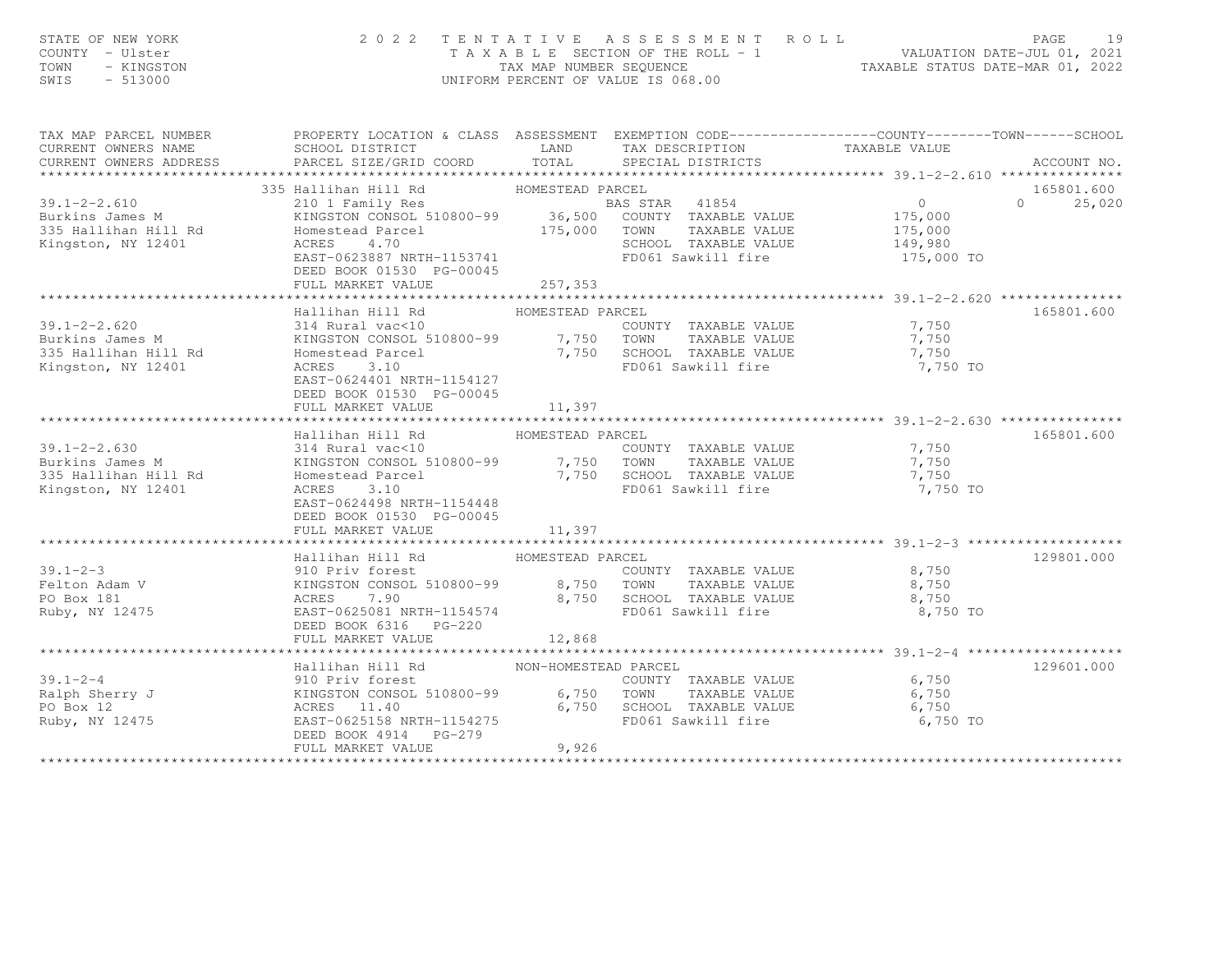| STATE OF NEW YORK<br>COUNTY - Ulster<br>TOWN<br>- KINGSTON<br>SWIS<br>$-513000$                                                                                                                                                                                   |                                                       |                      | $\begin{tabular}{lllllllllllllllll} \hline & $\mathbb{P} \, \mathtt{A} \, \mathtt{C} \, \mathtt{D} \, \mathtt{C} \, \mathtt{D} \, \mathtt{A} \, \mathtt{C} \, \mathtt{D} \, \mathtt{A} \, \mathtt{C} \, \mathtt{D} \, \mathtt{A} \, \mathtt{C} \, \mathtt{D} \, \mathtt{A} \, \mathtt{D} \, \mathtt{A} \, \mathtt{D} \, \mathtt{A} \, \mathtt{D} \, \mathtt{A} \, \mathtt{D} \, \mathtt{A} \, \mathtt{D} \,$ |          |               |
|-------------------------------------------------------------------------------------------------------------------------------------------------------------------------------------------------------------------------------------------------------------------|-------------------------------------------------------|----------------------|--------------------------------------------------------------------------------------------------------------------------------------------------------------------------------------------------------------------------------------------------------------------------------------------------------------------------------------------------------------------------------------------------------------|----------|---------------|
| TAX MAP PARCEL NUMBER PROPERTY LOCATION & CLASS ASSESSMENT EXEMPTION CODE---------------COUNTY--------TOWN------SCHOOL                                                                                                                                            |                                                       |                      |                                                                                                                                                                                                                                                                                                                                                                                                              |          | ACCOUNT NO.   |
|                                                                                                                                                                                                                                                                   |                                                       |                      |                                                                                                                                                                                                                                                                                                                                                                                                              |          |               |
|                                                                                                                                                                                                                                                                   | 335 Hallihan Hill Rd MOMESTEAD PARCEL                 |                      |                                                                                                                                                                                                                                                                                                                                                                                                              |          | 165801.600    |
| 39.1-2-2.610<br>Burkins James M 210 1 Family Res BAS STAR 41854<br>335 Hallihan Hill Rd Homestead Parcel 175,000 TOWN TAXABLE VALUE 175,000<br>Xingston, NY 12401 ACRES 4.70<br>EASTAR 175,000 TOWN TAXABLE VALUE 175,000<br>EASTAR 4185                          |                                                       |                      |                                                                                                                                                                                                                                                                                                                                                                                                              |          | $0 \t 25,020$ |
|                                                                                                                                                                                                                                                                   |                                                       |                      |                                                                                                                                                                                                                                                                                                                                                                                                              |          |               |
|                                                                                                                                                                                                                                                                   |                                                       |                      |                                                                                                                                                                                                                                                                                                                                                                                                              |          |               |
|                                                                                                                                                                                                                                                                   |                                                       |                      |                                                                                                                                                                                                                                                                                                                                                                                                              |          |               |
|                                                                                                                                                                                                                                                                   | DEED BOOK 01530 PG-00045                              |                      |                                                                                                                                                                                                                                                                                                                                                                                                              |          |               |
|                                                                                                                                                                                                                                                                   | FULL MARKET VALUE 257,353                             |                      |                                                                                                                                                                                                                                                                                                                                                                                                              |          |               |
|                                                                                                                                                                                                                                                                   |                                                       |                      |                                                                                                                                                                                                                                                                                                                                                                                                              |          |               |
| Hallihan Hill Rd Hallihan Hill Rd Homestead Parcel (1990)<br>Burkins James M (27,750 2000)<br>SIMCSTON CONSOL 510800-99 (27,750 2000)<br>SIMCSTON CONSOL 510800-99 (27,750 2000)<br>The TAXABLE VALUE (27,750 2000)<br>The TOMES CHOOL T                          |                                                       |                      |                                                                                                                                                                                                                                                                                                                                                                                                              |          | 165801.600    |
|                                                                                                                                                                                                                                                                   |                                                       |                      |                                                                                                                                                                                                                                                                                                                                                                                                              |          |               |
|                                                                                                                                                                                                                                                                   |                                                       |                      |                                                                                                                                                                                                                                                                                                                                                                                                              |          |               |
|                                                                                                                                                                                                                                                                   |                                                       |                      |                                                                                                                                                                                                                                                                                                                                                                                                              |          |               |
|                                                                                                                                                                                                                                                                   |                                                       |                      |                                                                                                                                                                                                                                                                                                                                                                                                              | 7,750 TO |               |
|                                                                                                                                                                                                                                                                   | EAST-0624401 NRTH-1154127<br>DEED BOOK 01530 PG-00045 |                      |                                                                                                                                                                                                                                                                                                                                                                                                              |          |               |
|                                                                                                                                                                                                                                                                   | FULL MARKET VALUE 11,397                              |                      |                                                                                                                                                                                                                                                                                                                                                                                                              |          |               |
|                                                                                                                                                                                                                                                                   |                                                       |                      |                                                                                                                                                                                                                                                                                                                                                                                                              |          |               |
|                                                                                                                                                                                                                                                                   | Hallihan Hill Rd                                      | HOMESTEAD PARCEL     |                                                                                                                                                                                                                                                                                                                                                                                                              |          | 165801.600    |
|                                                                                                                                                                                                                                                                   |                                                       |                      | COUNTY TAXABLE VALUE 7,750                                                                                                                                                                                                                                                                                                                                                                                   |          |               |
|                                                                                                                                                                                                                                                                   |                                                       |                      |                                                                                                                                                                                                                                                                                                                                                                                                              | 7,750    |               |
|                                                                                                                                                                                                                                                                   |                                                       |                      |                                                                                                                                                                                                                                                                                                                                                                                                              | 7,750    |               |
|                                                                                                                                                                                                                                                                   |                                                       |                      |                                                                                                                                                                                                                                                                                                                                                                                                              | 7,750 TO |               |
|                                                                                                                                                                                                                                                                   | EAST-0624498 NRTH-1154448                             |                      |                                                                                                                                                                                                                                                                                                                                                                                                              |          |               |
|                                                                                                                                                                                                                                                                   | DEED BOOK 01530 PG-00045                              |                      |                                                                                                                                                                                                                                                                                                                                                                                                              |          |               |
|                                                                                                                                                                                                                                                                   | FULL MARKET VALUE                                     | 11,397               | *********************************39.1-2-3 ********************                                                                                                                                                                                                                                                                                                                                               |          |               |
|                                                                                                                                                                                                                                                                   |                                                       |                      |                                                                                                                                                                                                                                                                                                                                                                                                              |          | 129801.000    |
|                                                                                                                                                                                                                                                                   |                                                       |                      |                                                                                                                                                                                                                                                                                                                                                                                                              |          |               |
|                                                                                                                                                                                                                                                                   |                                                       |                      |                                                                                                                                                                                                                                                                                                                                                                                                              |          |               |
|                                                                                                                                                                                                                                                                   |                                                       |                      |                                                                                                                                                                                                                                                                                                                                                                                                              | 8,750    |               |
|                                                                                                                                                                                                                                                                   |                                                       |                      | FD061 Sawkill fire 8,750 TO                                                                                                                                                                                                                                                                                                                                                                                  |          |               |
|                                                                                                                                                                                                                                                                   |                                                       |                      |                                                                                                                                                                                                                                                                                                                                                                                                              |          |               |
|                                                                                                                                                                                                                                                                   | FULL MARKET VALUE                                     | 12,868               |                                                                                                                                                                                                                                                                                                                                                                                                              |          |               |
|                                                                                                                                                                                                                                                                   |                                                       |                      |                                                                                                                                                                                                                                                                                                                                                                                                              |          |               |
|                                                                                                                                                                                                                                                                   | Hallihan Hill Rd                                      | NON-HOMESTEAD PARCEL |                                                                                                                                                                                                                                                                                                                                                                                                              |          | 129601.000    |
|                                                                                                                                                                                                                                                                   |                                                       |                      | COUNTY TAXABLE VALUE 6,750                                                                                                                                                                                                                                                                                                                                                                                   |          |               |
|                                                                                                                                                                                                                                                                   |                                                       |                      |                                                                                                                                                                                                                                                                                                                                                                                                              | 6,750    |               |
|                                                                                                                                                                                                                                                                   |                                                       |                      | 6,750 SCHOOL TAXABLE VALUE                                                                                                                                                                                                                                                                                                                                                                                   | 6,750    |               |
| $Raph$ Sherry J<br>Ralph Sherry J<br>Po Box 12<br>Ruby, NY 12475<br>Ruby, NY 12475<br>Ruby, NY 12475<br>Ruby, NY 12475<br>Po Box 12<br>Ruby, NY 12475<br>Po Box 12<br>Po Box 12<br>Po Box 12<br>Po Box 12<br>Po Box 12<br>Po Box 12<br>Po Box 12<br>Po Box 12<br> |                                                       |                      |                                                                                                                                                                                                                                                                                                                                                                                                              | 6,750 TO |               |
|                                                                                                                                                                                                                                                                   | DEED BOOK 4914 PG-279<br>FULL MARKET VALUE            | 9.926                |                                                                                                                                                                                                                                                                                                                                                                                                              |          |               |
|                                                                                                                                                                                                                                                                   |                                                       |                      |                                                                                                                                                                                                                                                                                                                                                                                                              |          |               |

FULL MARKET VALUE 9,926 \*\*\*\*\*\*\*\*\*\*\*\*\*\*\*\*\*\*\*\*\*\*\*\*\*\*\*\*\*\*\*\*\*\*\*\*\*\*\*\*\*\*\*\*\*\*\*\*\*\*\*\*\*\*\*\*\*\*\*\*\*\*\*\*\*\*\*\*\*\*\*\*\*\*\*\*\*\*\*\*\*\*\*\*\*\*\*\*\*\*\*\*\*\*\*\*\*\*\*\*\*\*\*\*\*\*\*\*\*\*\*\*\*\*\*\*\*\*\*\*\*\*\*\*\*\*\*\*\*\*\*\*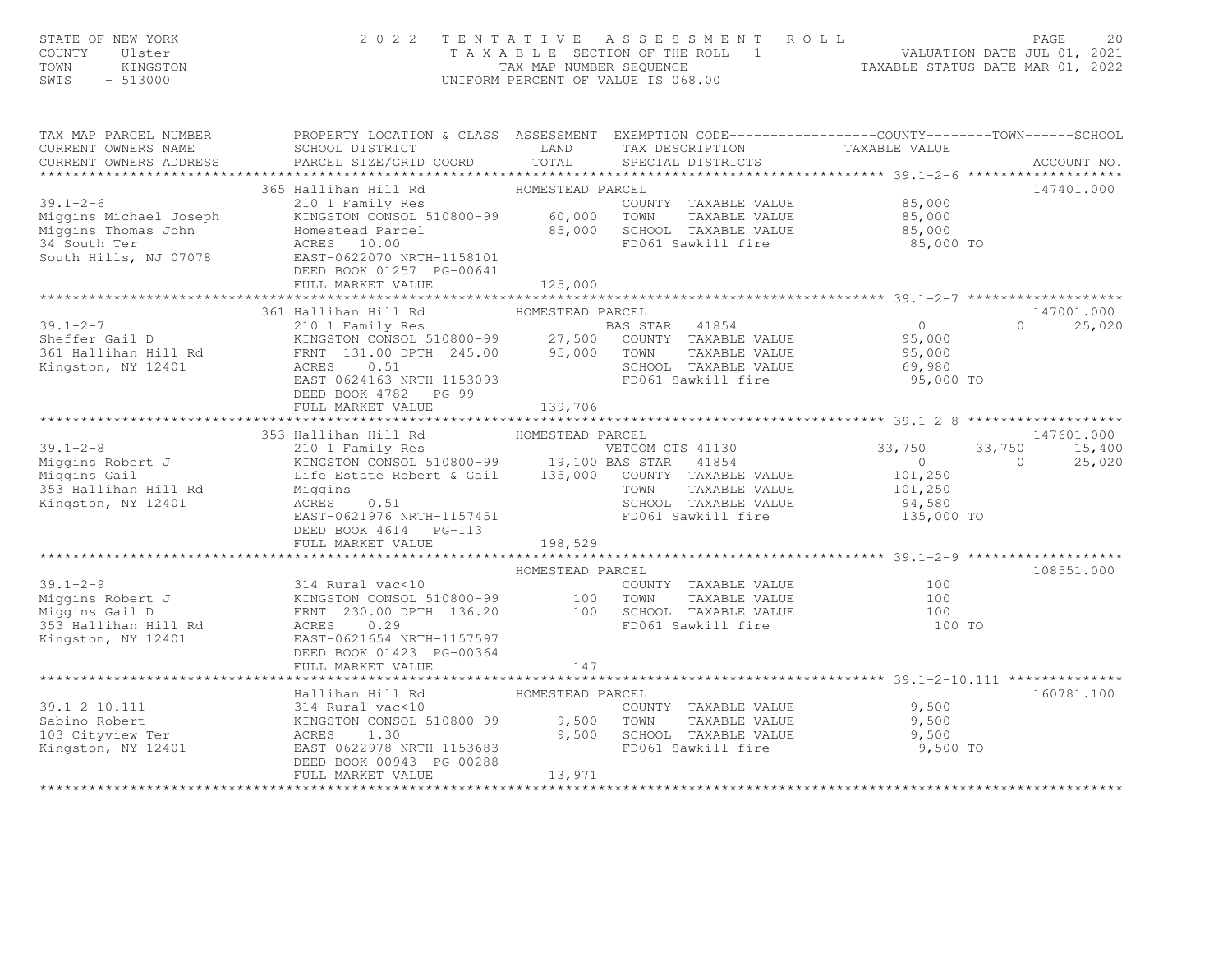| COUNTY - Ulster<br>TOWN<br>- KINGSTON<br>SWIS<br>$-513000$ | T A X A B L E SECTION OF THE ROLL - 1<br>TAX MAP NUMBER SEQUENCE<br>UNIFORM PERCENT OF VALUE IS 068.00 |                             |                                                                |                  | VALUATION DATE-JUL 01, 2021<br>TAXABLE STATUS DATE-MAR 01, 2022 |
|------------------------------------------------------------|--------------------------------------------------------------------------------------------------------|-----------------------------|----------------------------------------------------------------|------------------|-----------------------------------------------------------------|
| TAX MAP PARCEL NUMBER                                      | PROPERTY LOCATION & CLASS ASSESSMENT EXEMPTION CODE----------------COUNTY-------TOWN------SCHOOL       |                             |                                                                |                  |                                                                 |
| CURRENT OWNERS NAME                                        | SCHOOL DISTRICT                                                                                        | LAND                        | TAX DESCRIPTION                                                | TAXABLE VALUE    |                                                                 |
| CURRENT OWNERS ADDRESS                                     | PARCEL SIZE/GRID COORD                                                                                 | TOTAL                       | SPECIAL DISTRICTS                                              |                  | ACCOUNT NO.                                                     |
|                                                            | 365 Hallihan Hill Rd                                                                                   | HOMESTEAD PARCEL            |                                                                |                  | 147401.000                                                      |
| $39.1 - 2 - 6$                                             | 210 1 Family Res                                                                                       |                             | COUNTY TAXABLE VALUE                                           | 85,000           |                                                                 |
| Miggins Michael Joseph                                     | KINGSTON CONSOL 510800-99                                                                              | 60,000                      | TOWN<br>TAXABLE VALUE                                          | 85,000           |                                                                 |
| Miggins Thomas John                                        | Homestead Parcel                                                                                       | 85,000                      | SCHOOL TAXABLE VALUE                                           | 85,000           |                                                                 |
| 34 South Ter                                               | ACRES 10.00                                                                                            |                             | FD061 Sawkill fire                                             | 85,000 TO        |                                                                 |
| South Hills, NJ 07078                                      | EAST-0622070 NRTH-1158101<br>DEED BOOK 01257 PG-00641                                                  |                             |                                                                |                  |                                                                 |
|                                                            | FULL MARKET VALUE                                                                                      | 125,000                     |                                                                |                  |                                                                 |
|                                                            |                                                                                                        |                             |                                                                |                  |                                                                 |
|                                                            | 361 Hallihan Hill Rd                                                                                   | HOMESTEAD PARCEL            |                                                                |                  | 147001.000                                                      |
| $39.1 - 2 - 7$                                             | 210 1 Family Res                                                                                       |                             | BAS STAR<br>41854                                              | $\overline{0}$   | 25,020<br>$\circ$                                               |
| Sheffer Gail D                                             | KINGSTON CONSOL 510800-99                                                                              | 27,500                      | COUNTY TAXABLE VALUE                                           | 95,000           |                                                                 |
| 361 Hallihan Hill Rd<br>Kingston, NY 12401                 | FRNT 131.00 DPTH 245.00<br>ACRES<br>0.51                                                               | 95,000                      | TAXABLE VALUE<br>TOWN<br>SCHOOL TAXABLE VALUE                  | 95,000<br>69,980 |                                                                 |
|                                                            | EAST-0624163 NRTH-1153093                                                                              |                             | FD061 Sawkill fire                                             | 95,000 TO        |                                                                 |
|                                                            | DEED BOOK 4782 PG-99                                                                                   |                             |                                                                |                  |                                                                 |
|                                                            | FULL MARKET VALUE                                                                                      | 139,706                     |                                                                |                  |                                                                 |
|                                                            |                                                                                                        |                             |                                                                |                  |                                                                 |
| $39.1 - 2 - 8$                                             | 353 Hallihan Hill Rd                                                                                   | HOMESTEAD PARCEL            | VETCOM CTS 41130                                               | 33,750           | 147601.000<br>33,750<br>15,400                                  |
| Miggins Robert J                                           | 210 1 Family Res<br>210 1 Family Res<br>210 1 Family Res<br>210 BAS STAR 41854                         |                             |                                                                | $\Omega$         | $\bigcap$<br>25,020                                             |
| Miggins Gail                                               | Life Estate Robert & Gail 135,000                                                                      |                             | COUNTY TAXABLE VALUE                                           | 101,250          |                                                                 |
| 353 Hallihan Hill Rd                                       | Miggins                                                                                                |                             | TOWN<br>TAXABLE VALUE                                          | 101,250          |                                                                 |
| Kingston, NY 12401                                         | ACRES<br>0.51                                                                                          |                             | SCHOOL TAXABLE VALUE                                           | 94,580           |                                                                 |
|                                                            | EAST-0621976 NRTH-1157451                                                                              |                             | FD061 Sawkill fire                                             | 135,000 TO       |                                                                 |
|                                                            | DEED BOOK 4614 PG-113<br>FULL MARKET VALUE                                                             | 198,529                     |                                                                |                  |                                                                 |
|                                                            | ************************                                                                               | *************               | ********************************* 39.1-2-9 ******************* |                  |                                                                 |
|                                                            |                                                                                                        | HOMESTEAD PARCEL            |                                                                |                  | 108551.000                                                      |
| $39.1 - 2 - 9$                                             | 314 Rural vac<10                                                                                       |                             | COUNTY TAXABLE VALUE                                           | 100              |                                                                 |
| Miggins Robert J                                           | KINGSTON CONSOL 510800-99                                                                              | 100                         | TOWN<br>TAXABLE VALUE                                          | 100              |                                                                 |
| Miggins Gail D<br>353 Hallihan Hill Rd                     | FRNT 230.00 DPTH 136.20<br>ACRES<br>0.29                                                               | 100                         | SCHOOL TAXABLE VALUE<br>FD061 Sawkill fire                     | 100<br>100 TO    |                                                                 |
| Kingston, NY 12401                                         | EAST-0621654 NRTH-1157597                                                                              |                             |                                                                |                  |                                                                 |
|                                                            | DEED BOOK 01423 PG-00364                                                                               |                             |                                                                |                  |                                                                 |
|                                                            | FULL MARKET VALUE                                                                                      | 147                         |                                                                |                  |                                                                 |
|                                                            |                                                                                                        |                             |                                                                |                  |                                                                 |
|                                                            | Hallihan Hill Rd                                                                                       | HOMESTEAD PARCEL            |                                                                |                  | 160781.100                                                      |
| $39.1 - 2 - 10.111$<br>Sabino Robert                       | 314 Rural vac<10<br>KINGSTON CONSOL 510800-99                                                          | 9,500                       | COUNTY TAXABLE VALUE<br>TOWN<br>TAXABLE VALUE                  | 9,500<br>9,500   |                                                                 |
| 103 Cityview Ter                                           | ACRES<br>1.30                                                                                          | 9,500                       | SCHOOL TAXABLE VALUE                                           | 9,500            |                                                                 |
| Kingston, NY 12401                                         | EAST-0622978 NRTH-1153683                                                                              |                             | FD061 Sawkill fire                                             | 9,500 TO         |                                                                 |
|                                                            | DEED BOOK 00943 PG-00288                                                                               |                             |                                                                |                  |                                                                 |
|                                                            | FULL MARKET VALUE                                                                                      | 13,971<br>***************** |                                                                |                  |                                                                 |

STATE OF NEW YORK 2 0 2 2 T E N T A T I V E A S S E S S M E N T R O L L PAGE 20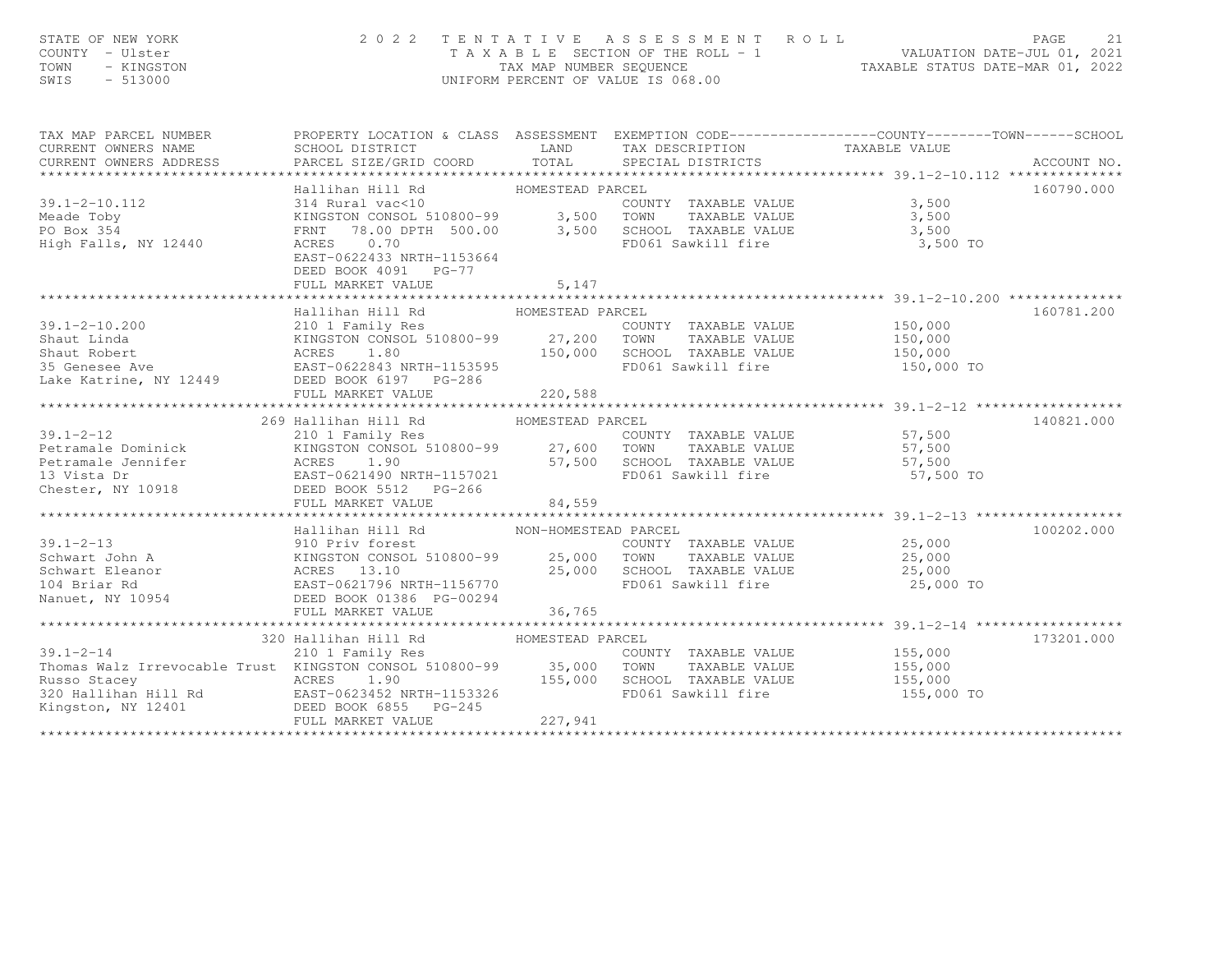# STATE OF NEW YORK CONTY - USE A Many of the Many Country - USE COUNTY - USE COUNTY - USE COUNTY - USE COUNTY -<br>COUNTY - UISter (1, 2021 TAXABLE SECTION OF THE ROLL - 1 WALUATION DATE-JUL 01, 2021<br>TAXABLE STATUS DATE-MAR 01

| TAX MAP PARCEL NUMBER<br>CURRENT OWNERS NAME SCHOOL DISTRICT LAND TAX DESCRIPTION TAXABLE VALUE<br>CURRENT OWNERS ADDRESS PARCEL SIZE/GRID COORD TOTAL SPECIAL DISTRICTS ACCOUNT NO.<br>CURRENT OWNERS NAME<br>CURRENT OWNERS ADDRESS                  | PROPERTY LOCATION & CLASS ASSESSMENT EXEMPTION CODE----------------COUNTY-------TOWN------SCHOOL                                                             |                                                                                            |            |            |
|--------------------------------------------------------------------------------------------------------------------------------------------------------------------------------------------------------------------------------------------------------|--------------------------------------------------------------------------------------------------------------------------------------------------------------|--------------------------------------------------------------------------------------------|------------|------------|
| 39.1-2-10.112<br>Meade Toby<br>PO Box 354<br>High Falls, NY 12440                                                                                                                                                                                      | FRNT 78.00 DPTH 500.00 3,500 SCHOOL TAXABLE VALUE 3,500 3,500<br>ACRES 0.70 FD061 Sawkill fire 3,500 TO<br>EAST-0622433 NRTH-1153664<br>DEED BOOK 4091 PG-77 |                                                                                            |            | 160790.000 |
| 39.1-2-10.200<br>39.1-2-10.200<br>Shaut Linda<br>Shaut Robert<br>Shaut Robert<br>Shaut Robert<br>Shaut Robert<br>ACRES 1.80<br>27,200 TOWN TAXABLE VALUE<br>27,200 TOWN TAXABLE VALUE<br>27,200 TOWN TAXABLE VALUE<br>27,200 TOWN TAXABLE VALUE<br>27, |                                                                                                                                                              |                                                                                            |            | 160781.200 |
|                                                                                                                                                                                                                                                        |                                                                                                                                                              |                                                                                            |            | 140821.000 |
|                                                                                                                                                                                                                                                        |                                                                                                                                                              |                                                                                            |            | 100202.000 |
| $39.1 - 2 - 14$<br>Thomas Walz Irrevocable Trust KINGSTON CONSOL 510800-99 35,000 TOWN TAXABLE VALUE 155,000<br>Russo Stacey ACRES 1.90 1.90 155,000 SCHOOL TAXABLE VALUE 155,000<br>320 Hallihan Hill Rd EAST-0623452 NRTH-1153326 FD061 Sawkill fir  |                                                                                                                                                              | COUNTY TAXABLE VALUE 155,000<br>TOWN TAXABLE VALUE 155,000<br>COUGOT TAVABLE VALUE 155,000 | 155,000 TO | 173201.000 |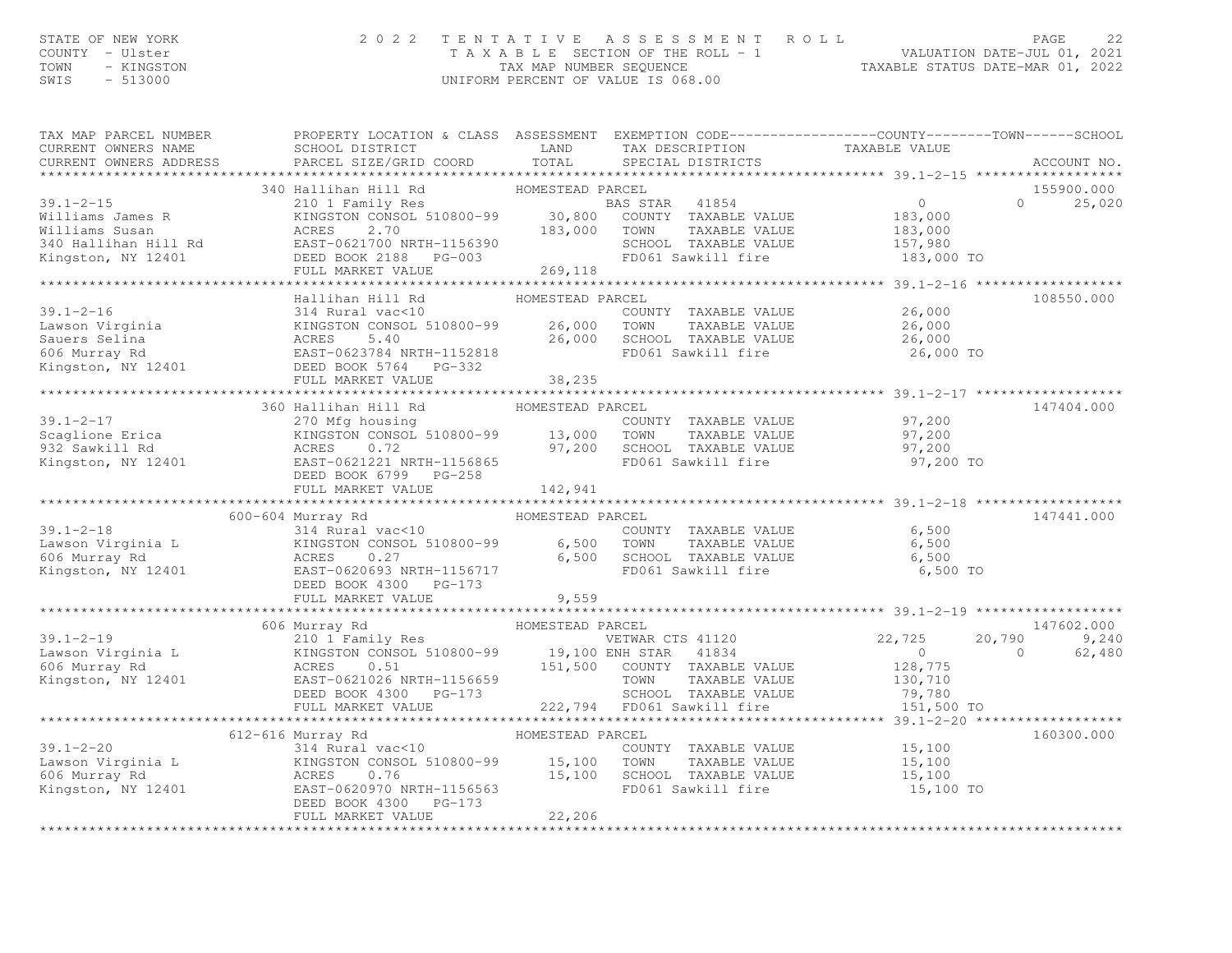# STATE OF NEW YORK CONTY - USE A Many of the Many Country - USE COUNTY - USE PAGE 22<br>COUNTY - Ulster COUNTY - USE COUNTY - TAX A B L E SECTION OF THE ROLL - 1 WALUATION DATE-JUL 01, 2021<br>TAX A B L E SECTION OF THE ROLL - 1

| TAX MAP PARCEL NUMBER<br>CURRENT OWNERS NAME<br>CURRENT OWNERS ADDRESS                                                                                                                                                                                         | SCHOOL DISTRICT<br>PARCEL SIZE/GRID COORD                                                                                                                                                   | LAND<br>TOTAL                             | PROPERTY LOCATION & CLASS ASSESSMENT EXEMPTION CODE----------------COUNTY-------TOWN------SCHOOL<br>TAX DESCRIPTION TAXABLE VALUE<br>SPECIAL DISTRICTS TAXABLE VALUE                                              |                                         | ACCOUNT NO.                                           |
|----------------------------------------------------------------------------------------------------------------------------------------------------------------------------------------------------------------------------------------------------------------|---------------------------------------------------------------------------------------------------------------------------------------------------------------------------------------------|-------------------------------------------|-------------------------------------------------------------------------------------------------------------------------------------------------------------------------------------------------------------------|-----------------------------------------|-------------------------------------------------------|
| $39.1 - 2 - 15$<br>Williams James R<br>Williams Susan<br>340 Hallihan Hill Rd<br>Kingston, NY 12401                                                                                                                                                            | 340 Hallihan Hill Rd<br>210 1 Family Res<br>X10 1 Family New<br>KINGSTON CONSOL 510800-99 30,800<br>ACRES 2.70 183,000<br>سماء - 156390<br>DEED BOOK 2188 PG-003<br>FULL MARYER - - - -     | HOMESTEAD PARCEL                          | BAS STAR 41854<br>COUNTY TAXABLE VALUE<br>TOWN<br>TAXABLE VALUE<br>SCHOOL TAXABLE VALUE 157,980<br>FD061 Sawkill fire 183,000 TO                                                                                  | $\overline{0}$<br>183,000<br>183,000    | 155900.000<br>25,020<br>$\cap$                        |
|                                                                                                                                                                                                                                                                | FULL MARKET VALUE                                                                                                                                                                           | 269,118                                   |                                                                                                                                                                                                                   |                                         |                                                       |
|                                                                                                                                                                                                                                                                |                                                                                                                                                                                             |                                           |                                                                                                                                                                                                                   |                                         |                                                       |
| 1.1-2-10<br>Lawson Virginia<br>Sauers Selina<br>606 Murray Rd<br>Kingston, NY 12401<br>200800 12401<br>200800 12401<br>20080 12401<br>20080 12401<br>20080 12401<br>20080 12401<br>20080 12401<br>20080 12401<br>20080 12401<br>20080 12401<br>20080 12401<br> | Hallihan Hill Rd<br>KINGSTON CONSOL 510800-99                                                                                                                                               | HOMESTEAD PARCEL<br>26,000 TOWN<br>26,000 | COUNTY TAXABLE VALUE $26,000$<br>TOWN TAXABLE VALUE 26,000<br>SCHOOL TAXABLE VALUE<br>FD061 Sawkill fire                                                                                                          | 26,000<br>26,000 TO                     | 108550.000                                            |
|                                                                                                                                                                                                                                                                | FULL MARKET VALUE                                                                                                                                                                           | 38,235                                    |                                                                                                                                                                                                                   |                                         |                                                       |
|                                                                                                                                                                                                                                                                | 360 Hallihan Hill Rd                                                                                                                                                                        | HOMESTEAD PARCEL                          |                                                                                                                                                                                                                   |                                         | 147404.000                                            |
| $39.1 - 2 - 17$<br>(39.1-21.)<br>Scaglione Erica<br>הסרוניי<br>Kingston, NY 12401                                                                                                                                                                              | 270 Mfg housing<br>RORES 0.72<br>EAST-0621221 NRTH-1156865<br>DEED BOOK 6799 PG-258                                                                                                         |                                           | COUNTY TAXABLE VALUE 97,200<br>EVO HIS HOUSELS<br>KINGSTON CONSOL 510800-99 13,000 TOWN TAXABLE VALUE<br>ACRES 0.72 97,200 SCHOOL TAXABLE VALUE<br>FD061 Sawkill fire                                             | 97,200<br>97,200<br>97,200 TO           |                                                       |
| FULL MARKET VALUE $142$ , 941 $741$ . The set of the set of the set of the set of the set of the set of the set of the set of the set of the set of the set of the set of the set of the set of the set of the set of the set                                  |                                                                                                                                                                                             |                                           |                                                                                                                                                                                                                   |                                         |                                                       |
|                                                                                                                                                                                                                                                                |                                                                                                                                                                                             |                                           |                                                                                                                                                                                                                   |                                         |                                                       |
| $39.1 - 2 - 18$<br>39.1-2-18<br>Lawson Virginia L<br>6,500<br>6,500<br>6,500<br>Kingston, NY 12401<br>EAST-0620693 NRTH-1156717<br>EAST-0620693 NRTH-1156717<br>EAST-0620693 NRTH-1156717                                                                      | 600-604 Murray Rd<br>DEED BOOK 4300 PG-173<br>FULL MARKET VALUE                                                                                                                             | HOMESTEAD PARCEL<br>9,559                 | COUNTY TAXABLE VALUE<br>TOWN TAXABLE VALUE<br>TOWN<br>SCHOOL TAXABLE VALUE<br>FD061 Sawkill fire                                                                                                                  | 6,500<br>6,500<br>6,500<br>6,500 TO     | 147441.000                                            |
|                                                                                                                                                                                                                                                                |                                                                                                                                                                                             |                                           |                                                                                                                                                                                                                   |                                         |                                                       |
| $39.1 - 2 - 19$                                                                                                                                                                                                                                                | 606 Murray Rd<br>EAST-0621026 NRTH-1156659<br>LASI-U021U20 NKTH-1156659<br>DEED BOOK 4300 PG-173                                                                                            | HOMESTEAD PARCEL                          | VETWAR CTS 41120<br>KINGSTON CONSOL 510800-99 19,100 ENH STAR 41834<br>ACRES 0.51 151,500 COUNTY TAXABLE VALUE<br>TOWN TAXABLE VALUE 130,710<br>SCHOOL TAXABLE VALUE 79,780<br>222,794 FD061 Sawkill fire 151,500 | 22,725<br>$\overline{0}$<br>128,775     | 147602.000<br>9,240<br>20,790<br>$\bigcirc$<br>62,480 |
|                                                                                                                                                                                                                                                                | FULL MARKET VALUE                                                                                                                                                                           |                                           |                                                                                                                                                                                                                   | 151,500 TO                              |                                                       |
|                                                                                                                                                                                                                                                                | 612-616 Murray Rd                                                                                                                                                                           |                                           |                                                                                                                                                                                                                   |                                         | 160300.000                                            |
| 39.1–2–20<br>Lawson Virginia L<br>606 Murray Rd<br>Kingston, NY 12401                                                                                                                                                                                          | <b>MULLER AND HOMESTEAD PARCEL</b><br>314 Rural vac<10 COUN<br>KINGSTON CONSOL 510800-99 15,100<br>ACRES<br>0.76<br>EAST-0620970 NRTH-1156563<br>DEED BOOK 4300 PG-173<br>FULL MARKET VALUE | 15,100<br>22,206                          | COUNTY TAXABLE VALUE<br>TOWN<br>TAXABLE VALUE<br>SCHOOL TAXABLE VALUE<br>FD061 Sawkill fire                                                                                                                       | 15,100<br>15,100<br>15,100<br>15,100 TO |                                                       |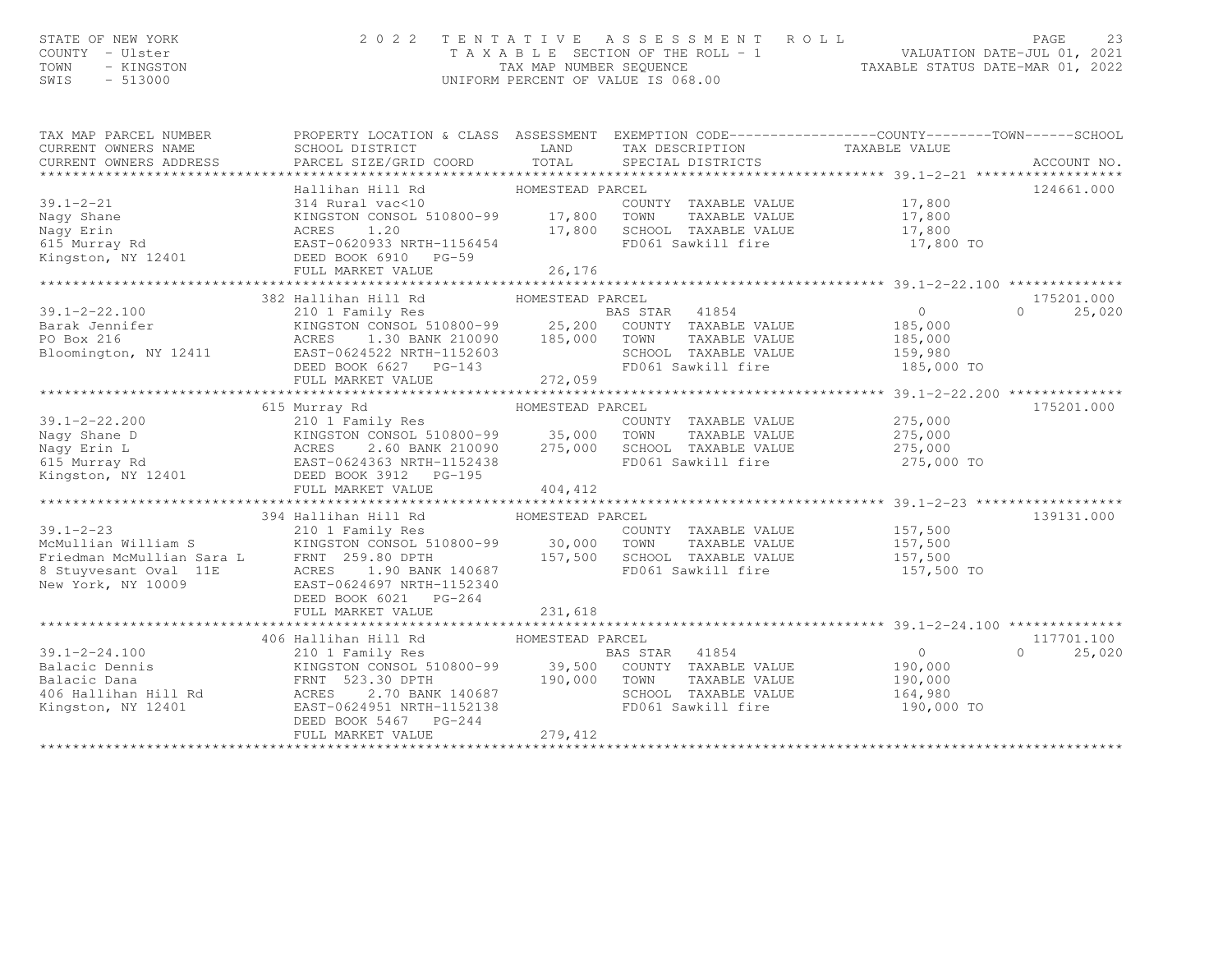# STATE OF NEW YORK CONTY - USE A Many of the Many Country - USE COUNTY - USE COUNTY - USE COUNTY - USE COUNTY -<br>COUNTY - UISter (1, 2021 TAXABLE SECTION OF THE ROLL - 1 WALUATION DATE-JUL 01, 2021<br>TAXABLE STATUS DATE-MAR 01

| CURRENT OWNERS ADDRESS<br>124661.000<br>39.1-2-21 Maria Mill Number ARCEL COUNTY TAXABLE VALUE<br>Nagy Shane 314 Rural vac<10 COUNTY TAXABLE VALUE 17,800<br>Nagy Erin ACRES 1.20 17,800 TOMN TAXABLE VALUE 17,800<br>615 Murray Rd EAST-0620933 NRTH-1156454 FD061 Sawkill<br>175201.000<br>382 Hallihan Hill Rd<br>HOMESTEAD PARCEL<br>$\begin{array}{cccccccc} 39.1-2-22.100 & 382 \text{ Hallihan Hill Rd} & \text{HOMESTEARD PAREEL} & & & & & & 175201.000 \\ & & 210 & \text{Family Res} & & 0 & 25,020 \\ \text{Barak Jennifer} & & 210 & \text{Family Res} & & 0 & 25,020 \\ \text{PO Box 216} & & \text{ACRES} & 1.30 \text{ BANK 210090} & 185,000 & \text{TOWN} & \text{TAXABLE VALUE} & 185,000 \\ & & & \text{ACRES} & 1.30 \text{ B$ | PROPERTY LOCATION & CLASS ASSESSMENT EXEMPTION CODE---------------COUNTY-------TOWN------SCHOOL |
|-----------------------------------------------------------------------------------------------------------------------------------------------------------------------------------------------------------------------------------------------------------------------------------------------------------------------------------------------------------------------------------------------------------------------------------------------------------------------------------------------------------------------------------------------------------------------------------------------------------------------------------------------------------------------------------------------------------------------------------------------------|-------------------------------------------------------------------------------------------------|
|                                                                                                                                                                                                                                                                                                                                                                                                                                                                                                                                                                                                                                                                                                                                                     |                                                                                                 |
|                                                                                                                                                                                                                                                                                                                                                                                                                                                                                                                                                                                                                                                                                                                                                     |                                                                                                 |
|                                                                                                                                                                                                                                                                                                                                                                                                                                                                                                                                                                                                                                                                                                                                                     |                                                                                                 |
|                                                                                                                                                                                                                                                                                                                                                                                                                                                                                                                                                                                                                                                                                                                                                     |                                                                                                 |
|                                                                                                                                                                                                                                                                                                                                                                                                                                                                                                                                                                                                                                                                                                                                                     |                                                                                                 |
|                                                                                                                                                                                                                                                                                                                                                                                                                                                                                                                                                                                                                                                                                                                                                     |                                                                                                 |
|                                                                                                                                                                                                                                                                                                                                                                                                                                                                                                                                                                                                                                                                                                                                                     |                                                                                                 |
| $\begin{tabular}{lllllllllllllllllll} \textbf{39.1-2-22.200} & \textbf{615 Murray Rd} & \textbf{Mwrray Rd} & \textbf{B0MESTEAD PARCEL} & \textbf{C0UNTY} & \textbf{TAXABLE VALUE} & \textbf{275,000} \\ \textbf{Nagy Shane D} & \textbf{KINGSTON CONSOL 510800-99} & \textbf{35,000 T0NN} & \textbf{TAXABLE VALUE} & \textbf{275,000} \\ \textbf{KINGSTON CONSOL 510800-99} & \textbf{35,000 T0NN} & \textbf$                                                                                                                                                                                                                                                                                                                                       | 175201.000                                                                                      |
|                                                                                                                                                                                                                                                                                                                                                                                                                                                                                                                                                                                                                                                                                                                                                     |                                                                                                 |
| DEED BOOK 6021 PG-264                                                                                                                                                                                                                                                                                                                                                                                                                                                                                                                                                                                                                                                                                                                               | 139131.000                                                                                      |
|                                                                                                                                                                                                                                                                                                                                                                                                                                                                                                                                                                                                                                                                                                                                                     |                                                                                                 |
|                                                                                                                                                                                                                                                                                                                                                                                                                                                                                                                                                                                                                                                                                                                                                     | 117701.100                                                                                      |
| $\Omega$<br>190,000 TO<br>DEED BOOK 5467 PG-244<br>279, 412<br>FULL MARKET VALUE                                                                                                                                                                                                                                                                                                                                                                                                                                                                                                                                                                                                                                                                    | 25,020                                                                                          |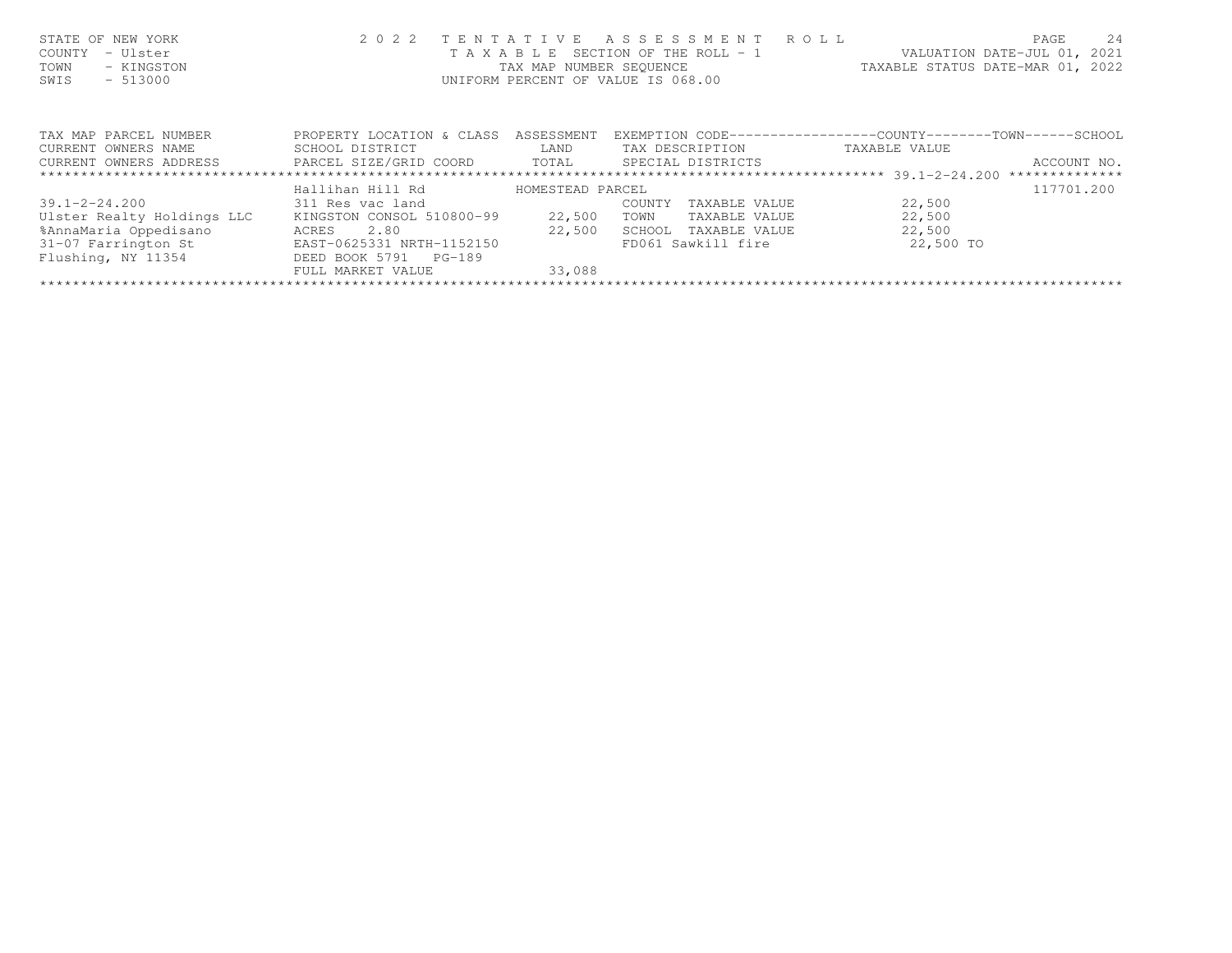| STATE OF NEW YORK<br>- Ulster<br>COUNTY<br>TOWN<br>- KINGSTON<br>$-513000$<br>SWIS | 2 0 2 2                      | TENTATIVE<br>TAX MAP NUMBER SEQUENCE | R O L L<br>A S S E S S M E N T<br>T A X A B L E SECTION OF THE ROLL - 1<br>UNIFORM PERCENT OF VALUE IS 068.00 | VALUATION DATE-JUL 01,<br>TAXABLE STATUS DATE-MAR 01, 2022 | PAGE<br>2.4<br>2021 |
|------------------------------------------------------------------------------------|------------------------------|--------------------------------------|---------------------------------------------------------------------------------------------------------------|------------------------------------------------------------|---------------------|
| TAX MAP PARCEL NUMBER                                                              | PROPERTY LOCATION & CLASS    | ASSESSMENT                           | EXEMPTION CODE----------------COUNTY-------TOWN------SCHOOL                                                   |                                                            |                     |
| CURRENT OWNERS NAME                                                                | SCHOOL DISTRICT              | LAND                                 | TAX DESCRIPTION                                                                                               | TAXABLE VALUE                                              |                     |
| CURRENT OWNERS ADDRESS                                                             | PARCEL SIZE/GRID COORD TOTAL |                                      | SPECIAL DISTRICTS                                                                                             |                                                            | ACCOUNT NO.         |
|                                                                                    |                              |                                      |                                                                                                               |                                                            | **************      |
|                                                                                    | Hallihan Hill Rd             | HOMESTEAD PARCEL                     |                                                                                                               |                                                            | 117701.200          |
| $39.1 - 2 - 24.200$                                                                | 311 Res vac land             |                                      | COUNTY<br>TAXABLE VALUE                                                                                       | 22,500                                                     |                     |
| Ulster Realty Holdings LLC                                                         | KINGSTON CONSOL 510800-99    | 22,500                               | TOWN<br>TAXABLE VALUE                                                                                         | 22,500                                                     |                     |
| %AnnaMaria Oppedisano                                                              | 2.80<br>ACRES                | 22,500                               | SCHOOL<br>TAXABLE VALUE                                                                                       | 22,500                                                     |                     |
| 31-07 Farrington St                                                                | EAST-0625331 NRTH-1152150    |                                      | FD061 Sawkill fire                                                                                            | 22,500 TO                                                  |                     |
| Flushing, NY 11354                                                                 | DEED BOOK 5791<br>PG-189     |                                      |                                                                                                               |                                                            |                     |
|                                                                                    | FULL MARKET VALUE            | 33,088                               |                                                                                                               |                                                            |                     |
|                                                                                    |                              |                                      |                                                                                                               |                                                            |                     |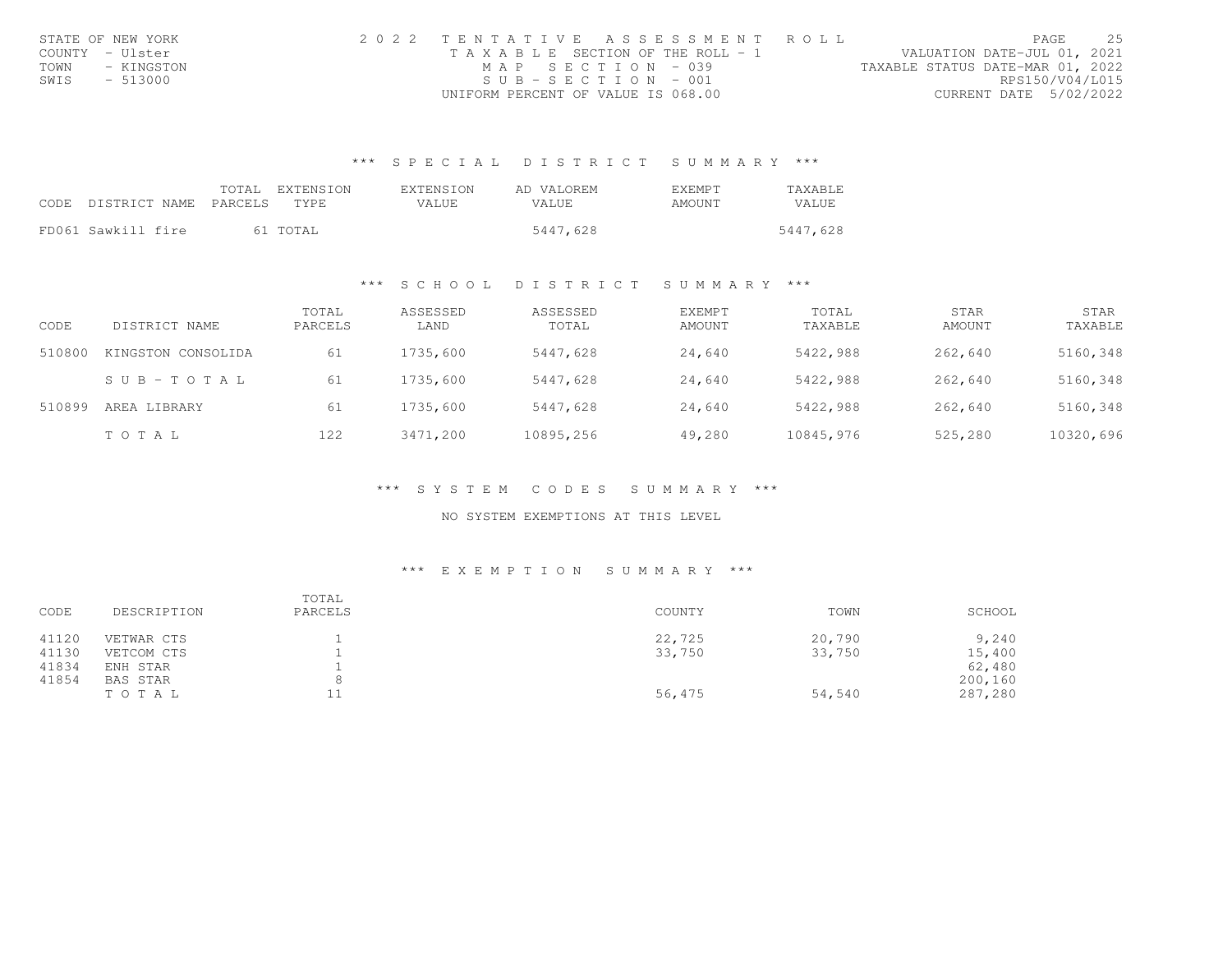|      | STATE OF NEW YORK | 2022 TENTATIVE ASSESSMENT ROLL                                       | PAGE                   | 2.5 |
|------|-------------------|----------------------------------------------------------------------|------------------------|-----|
|      | COUNTY - Ulster   | VALUATION DATE-JUL 01, 2021<br>T A X A B L E SECTION OF THE ROLL - 1 |                        |     |
| TOWN | - KINGSTON        | TAXABLE STATUS DATE-MAR 01, 2022<br>MAP SECTION - 039                |                        |     |
| SWIS | - 513000          | $SUB - SECTION - 001$                                                | RPS150/V04/L015        |     |
|      |                   | UNIFORM PERCENT OF VALUE IS 068.00                                   | CURRENT DATE 5/02/2022 |     |

#### \*\*\* S P E C I A L D I S T R I C T S U M M A R Y \*\*\*

| CODE DISTRICT NAME PARCELS TYPE | TOTAL EXTENSION | EXTENSION<br>VALUE. | AD VALOREM<br>VALUE. | <b>EXEMPT</b><br>AMOUNT | TAXABLE<br>VALUE |
|---------------------------------|-----------------|---------------------|----------------------|-------------------------|------------------|
| FD061 Sawkill fire              | 61 TOTAL        |                     | 5447,628             |                         | 5447,628         |

#### \*\*\* S C H O O L D I S T R I C T S U M M A R Y \*\*\*

| CODE   | DISTRICT NAME      | TOTAL<br>PARCELS | ASSESSED<br>LAND | ASSESSED<br>TOTAL | <b>EXEMPT</b><br>AMOUNT | TOTAL<br>TAXABLE | STAR<br>AMOUNT | STAR<br>TAXABLE |
|--------|--------------------|------------------|------------------|-------------------|-------------------------|------------------|----------------|-----------------|
| 510800 | KINGSTON CONSOLIDA | 61               | 1735,600         | 5447,628          | 24,640                  | 5422,988         | 262,640        | 5160,348        |
|        | SUB-TOTAL          | -61              | 1735,600         | 5447,628          | 24,640                  | 5422,988         | 262,640        | 5160,348        |
| 510899 | AREA LIBRARY       | 61               | 1735,600         | 5447,628          | 24,640                  | 5422,988         | 262,640        | 5160,348        |
|        | TOTAL              | 122              | 3471,200         | 10895,256         | 49,280                  | 10845,976        | 525,280        | 10320,696       |

\*\*\* S Y S T E M C O D E S S U M M A R Y \*\*\*

NO SYSTEM EXEMPTIONS AT THIS LEVEL

#### \*\*\* E X E M P T I O N S U M M A R Y \*\*\*

| CODE  | DESCRIPTION | TOTAL<br>PARCELS | COUNTY | TOWN   | SCHOOL  |
|-------|-------------|------------------|--------|--------|---------|
| 41120 | VETWAR CTS  |                  | 22,725 | 20,790 | 9,240   |
| 41130 | VETCOM CTS  |                  | 33,750 | 33,750 | 15,400  |
| 41834 | ENH STAR    |                  |        |        | 62,480  |
| 41854 | BAS STAR    |                  |        |        | 200,160 |
|       | TOTAL       |                  | 56,475 | 54,540 | 287,280 |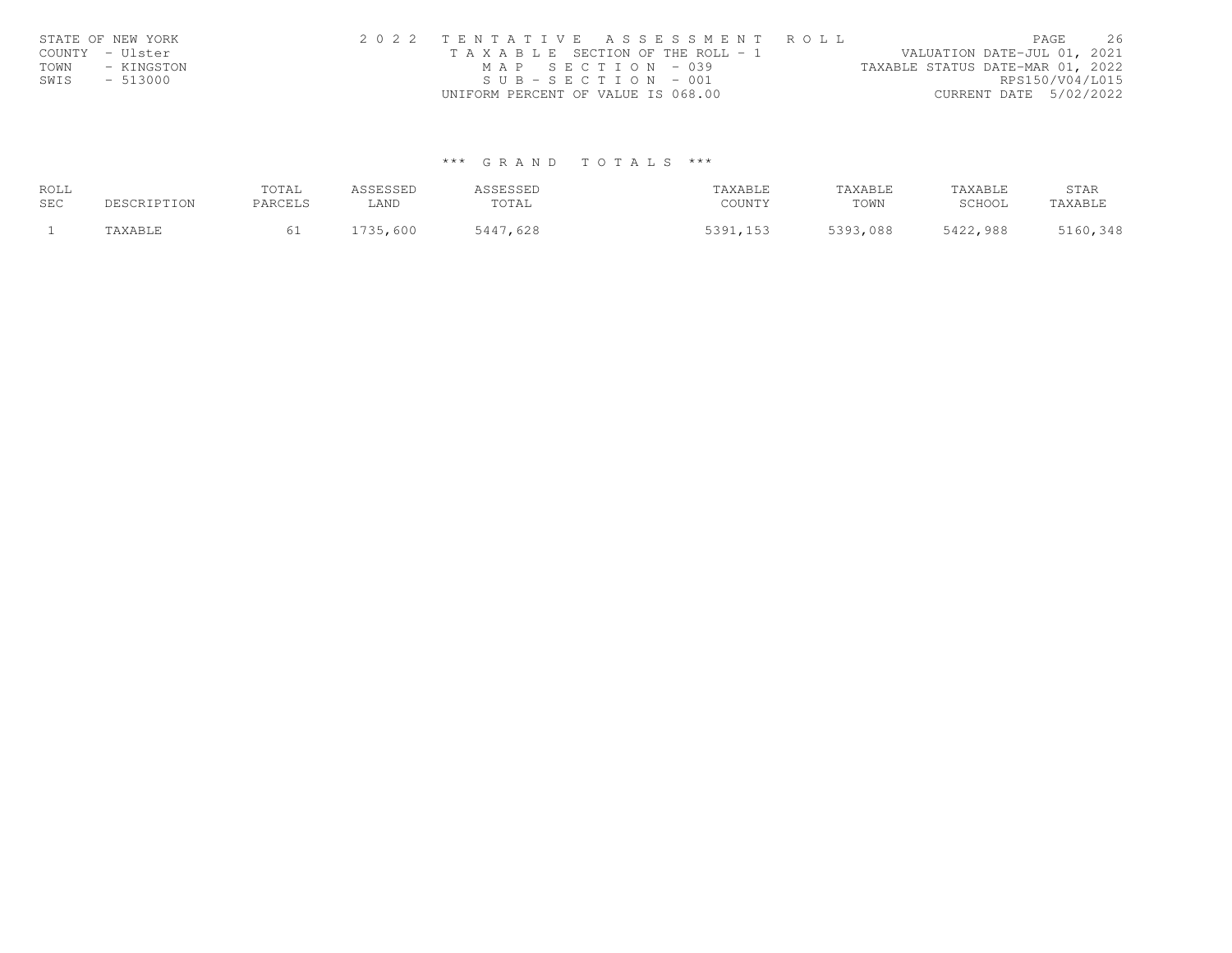|      | STATE OF NEW YORK | 2022 TENTATIVE ASSESSMENT ROLL        | 26<br>PAGE.                      |
|------|-------------------|---------------------------------------|----------------------------------|
|      | COUNTY - Ulster   | T A X A B L E SECTION OF THE ROLL - 1 | VALUATION DATE-JUL 01, 2021      |
| TOWN | - KINGSTON        | MAP SECTION - 039                     | TAXABLE STATUS DATE-MAR 01, 2022 |
| SWIS | $-513000$         | $SUB - SECTION - 001$                 | RPS150/V04/L015                  |
|      |                   | UNIFORM PERCENT OF VALUE IS 068.00    | CURRENT DATE 5/02/2022           |

#### \*\*\* G R A N D T O T A L S \*\*\*

| ROLL<br><b>SEC</b> | 'SCRIPTION   | TOTAL<br>PARCELS | <b>CCLCCLL</b><br>LAND | <b>CCFCCFI</b> | TAXABLE<br>COUNTY                | TAXABLE<br>TOWN | TAXABLE<br>SCHOOL  | STAR<br>TAXABLE |
|--------------------|--------------|------------------|------------------------|----------------|----------------------------------|-----------------|--------------------|-----------------|
|                    | <b>AVART</b> |                  | 600                    | 628            | 5301<br>152<br><u>JJJII 1 JJ</u> | 5393,088        | ,988<br>$\sim$ 122 | ,348<br>5160    |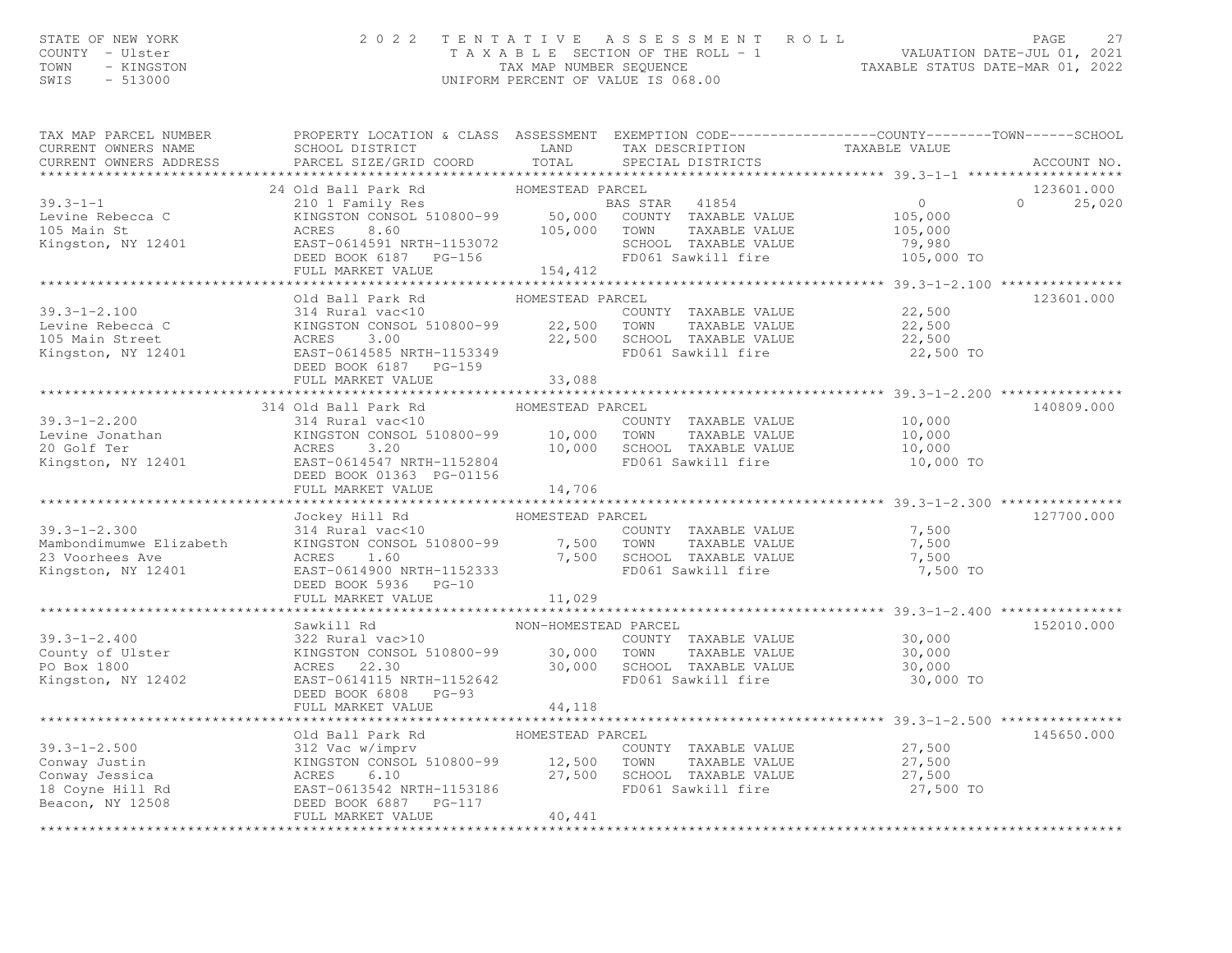# STATE OF NEW YORK CONTY - USE A Many of the Many Country - USE COUNTY - USE PAGE 27<br>COUNTY - Ulster COUNTY - USE COUNTY - TAX A B L E SECTION OF THE ROLL - 1 WALUATION DATE-JUL 01, 2021<br>TAX A B L E SECTION OF THE ROLL - 1

| TAX MAP PARCEL NUMBER<br>CURRENT OWNERS NAME                                                                                                                                                                                                       | PROPERTY LOCATION & CLASS ASSESSMENT EXEMPTION CODE----------------COUNTY-------TOWN------SCHOOL           |                  |                                                                  |                     |                    |
|----------------------------------------------------------------------------------------------------------------------------------------------------------------------------------------------------------------------------------------------------|------------------------------------------------------------------------------------------------------------|------------------|------------------------------------------------------------------|---------------------|--------------------|
|                                                                                                                                                                                                                                                    |                                                                                                            |                  |                                                                  |                     |                    |
|                                                                                                                                                                                                                                                    | 24 Old Ball Park Rd MOMESTEAD PARCEL                                                                       |                  |                                                                  |                     | 123601.000         |
| 39.3-1-1<br>Levine Rebecca C 2 2101 Family Res<br>Levine Rebecca C 2 2101 Family Res<br>24 2101 Family Res<br>24 2101 Family Res<br>24 2101 Family Res<br>24 2101 Family Res<br>24 2101 Family Res<br>24 2101 Family Res<br>24 2101 Family Res<br> |                                                                                                            |                  |                                                                  |                     | $\Omega$<br>25,020 |
|                                                                                                                                                                                                                                                    | FULL MARKET VALUE                                                                                          | 154,412          | FD061 Sawkill fire                                               | 105,000 TO          |                    |
|                                                                                                                                                                                                                                                    |                                                                                                            |                  |                                                                  |                     |                    |
|                                                                                                                                                                                                                                                    | Old Ball Park Rd                                                                                           | HOMESTEAD PARCEL |                                                                  |                     | 123601.000         |
|                                                                                                                                                                                                                                                    |                                                                                                            |                  |                                                                  |                     |                    |
|                                                                                                                                                                                                                                                    |                                                                                                            |                  |                                                                  |                     |                    |
|                                                                                                                                                                                                                                                    |                                                                                                            |                  |                                                                  |                     |                    |
|                                                                                                                                                                                                                                                    | DEED BOOK 6187 PG-159                                                                                      |                  |                                                                  | 22,500 TO           |                    |
|                                                                                                                                                                                                                                                    |                                                                                                            |                  |                                                                  |                     |                    |
|                                                                                                                                                                                                                                                    | 314 Old Ball Park Rd MOMESTEAD PARCEL                                                                      |                  |                                                                  |                     | 140809.000         |
| $39.3 - 1 - 2.200$                                                                                                                                                                                                                                 | 314 Rural vac<10                                                                                           |                  |                                                                  |                     |                    |
|                                                                                                                                                                                                                                                    |                                                                                                            |                  | COUNTY TAXABLE VALUE 10,000<br>TOWN TAXABLE VALUE 10,000         |                     |                    |
|                                                                                                                                                                                                                                                    |                                                                                                            |                  |                                                                  |                     |                    |
|                                                                                                                                                                                                                                                    |                                                                                                            |                  |                                                                  |                     |                    |
|                                                                                                                                                                                                                                                    | FULL MARKET VALUE 14,706                                                                                   |                  |                                                                  |                     |                    |
|                                                                                                                                                                                                                                                    |                                                                                                            |                  |                                                                  |                     |                    |
|                                                                                                                                                                                                                                                    |                                                                                                            |                  |                                                                  |                     | 127700.000         |
| $39.3 - 1 - 2.300$                                                                                                                                                                                                                                 |                                                                                                            |                  | COUNTY TAXABLE VALUE 7,500<br>TAXABLE VALUE                      | 7,500               |                    |
|                                                                                                                                                                                                                                                    | KINGSTON CONSOL 510800-99 7,500 TOWN                                                                       |                  |                                                                  |                     |                    |
| 39.3-1-2.300<br>Mambondimumwe Elizabeth<br>23 Voorhees Ave<br>Kingston, NY 12401                                                                                                                                                                   | ACRES 1.60 7,500 SCHOOL TAXABLE VALUE 7,500 7,500<br>EAST-0614900 NRTH-1152333 FD061 Sawkill fire 7,500 TO |                  |                                                                  |                     |                    |
|                                                                                                                                                                                                                                                    | DEED BOOK 5936 PG-10<br>FULL MARKET VALUE                                                                  | 11,029           |                                                                  |                     |                    |
|                                                                                                                                                                                                                                                    |                                                                                                            |                  |                                                                  |                     |                    |
| 39.3-1-2.400<br>County of Ulster and MON-HOMESTEAD PARCEL<br>County of Ulster Enter and S22 Rural vac>10<br>County of Ulster Enter and S22 Rural vac>10<br>EQ Box 1800<br>ERS 22.30<br>Xingston, NY 12402<br>ERS 20.30<br>ERS 20.30<br>ERS 20.30   |                                                                                                            |                  |                                                                  |                     | 152010.000         |
|                                                                                                                                                                                                                                                    |                                                                                                            |                  |                                                                  |                     |                    |
|                                                                                                                                                                                                                                                    |                                                                                                            |                  |                                                                  |                     |                    |
|                                                                                                                                                                                                                                                    |                                                                                                            |                  |                                                                  |                     |                    |
|                                                                                                                                                                                                                                                    |                                                                                                            |                  |                                                                  |                     |                    |
|                                                                                                                                                                                                                                                    | DEED BOOK 6808 PG-93                                                                                       |                  |                                                                  |                     |                    |
|                                                                                                                                                                                                                                                    | FULL MARKET VALUE                                                                                          | 44,118           |                                                                  |                     |                    |
|                                                                                                                                                                                                                                                    |                                                                                                            |                  | ********************************** 39.3–1–2.500 **************** |                     |                    |
|                                                                                                                                                                                                                                                    |                                                                                                            |                  |                                                                  |                     | 145650.000         |
|                                                                                                                                                                                                                                                    |                                                                                                            |                  |                                                                  |                     |                    |
|                                                                                                                                                                                                                                                    |                                                                                                            |                  |                                                                  |                     |                    |
|                                                                                                                                                                                                                                                    |                                                                                                            |                  |                                                                  | 27,500<br>27,500 TO |                    |
|                                                                                                                                                                                                                                                    |                                                                                                            |                  |                                                                  |                     |                    |
|                                                                                                                                                                                                                                                    | FULL MARKET VALUE                                                                                          | 40,441           |                                                                  |                     |                    |
|                                                                                                                                                                                                                                                    |                                                                                                            |                  |                                                                  |                     |                    |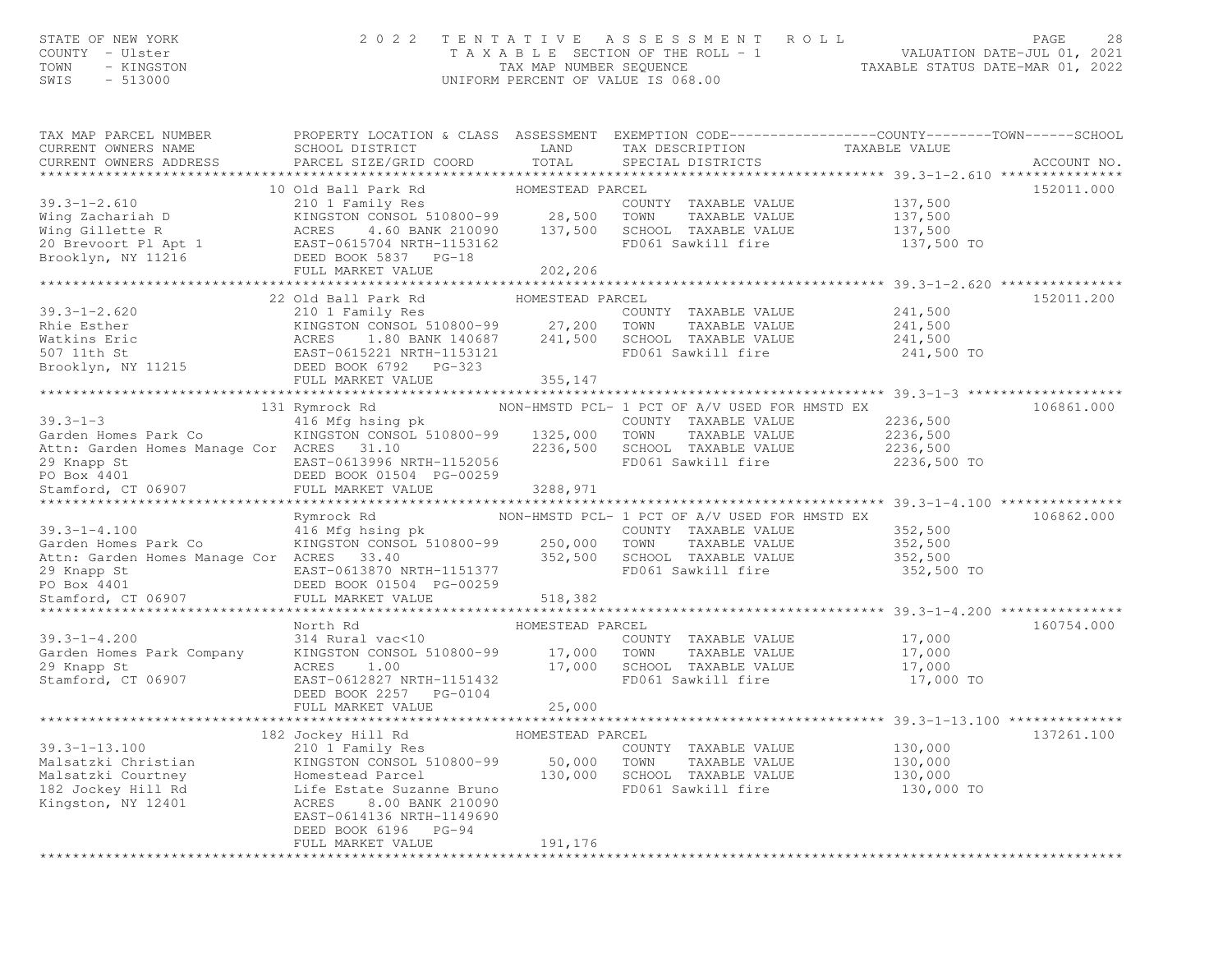# STATE OF NEW YORK CONTY - USE A Many of the Many Country - USE COUNTY - USE PAGE 28<br>COUNTY - Ulster COUNTY - USE COUNTY - TAX A B L E SECTION OF THE ROLL - 1 WALUATION DATE-JUL 01, 2021<br>TAX A B L E SECTION OF THE ROLL - 1

| TAX MAP PARCEL NUMBER<br>CURRENT OWNERS NAME<br>CURRENT OWNERS ADDRESS | PROPERTY LOCATION & CLASS ASSESSMENT<br>SCHOOL DISTRICT<br>PARCEL SIZE/GRID COORD                                 | LAND<br>TOTAL    | EXEMPTION CODE-----------------COUNTY-------TOWN------SCHOOL<br>TAX DESCRIPTION<br>SPECIAL DISTRICTS | TAXABLE VALUE    | ACCOUNT NO. |
|------------------------------------------------------------------------|-------------------------------------------------------------------------------------------------------------------|------------------|------------------------------------------------------------------------------------------------------|------------------|-------------|
| ***********************                                                | ******************************                                                                                    |                  |                                                                                                      |                  |             |
|                                                                        | 10 Old Ball Park Rd                                                                                               | HOMESTEAD PARCEL |                                                                                                      |                  | 152011.000  |
| $39.3 - 1 - 2.610$                                                     | 210 1 Family Res                                                                                                  |                  | COUNTY TAXABLE VALUE                                                                                 | 137,500          |             |
| Wing Zachariah D                                                       | KINGSTON CONSOL 510800-99                                                                                         | 28,500           | TOWN<br>TAXABLE VALUE                                                                                | 137,500          |             |
| Wing Gillette R                                                        | ACRES<br>4.60 BANK 210090                                                                                         | 137,500          | SCHOOL TAXABLE VALUE                                                                                 | 137,500          |             |
| 20 Brevoort Pl Apt 1                                                   | EAST-0615704 NRTH-1153162                                                                                         |                  | FD061 Sawkill fire                                                                                   | 137,500 TO       |             |
| Brooklyn, NY 11216                                                     | DEED BOOK 5837 PG-18                                                                                              |                  |                                                                                                      |                  |             |
|                                                                        | FULL MARKET VALUE                                                                                                 | 202,206          |                                                                                                      |                  |             |
|                                                                        | 22 Old Ball Park Rd                                                                                               | HOMESTEAD PARCEL |                                                                                                      |                  | 152011.200  |
| $39.3 - 1 - 2.620$                                                     | 210 1 Family Res                                                                                                  |                  | COUNTY TAXABLE VALUE                                                                                 | 241,500          |             |
| Rhie Esther                                                            | KINGSTON CONSOL 510800-99 27,200 TOWN                                                                             |                  | TAXABLE VALUE                                                                                        | 241,500          |             |
|                                                                        | 1.80 BANK 140687                                                                                                  |                  | 241,500 SCHOOL TAXABLE VALUE                                                                         | 241,500          |             |
|                                                                        |                                                                                                                   |                  | FD061 Sawkill fire                                                                                   | 241,500 TO       |             |
| Watkins Eric<br>507 11th St<br>Brooklyn, NY 11215                      |                                                                                                                   |                  |                                                                                                      |                  |             |
|                                                                        |                                                                                                                   | 355,147          |                                                                                                      |                  |             |
|                                                                        | KINGSTON CO<br>ACRES 1.80 BANK 14000.<br>EAST-0615221 NRTH-1153121<br>DEED BOOK 6792 PG-323<br>THIJ, MARKET VALUE |                  |                                                                                                      |                  |             |
|                                                                        | 131 Rymrock Rd                                                                                                    |                  | NON-HMSTD PCL- 1 PCT OF A/V USED FOR HMSTD EX                                                        |                  | 106861.000  |
| $39.3 - 1 - 3$                                                         | 416 Mfg hsing pk                                                                                                  |                  | COUNTY TAXABLE VALUE                                                                                 | 2236,500         |             |
| Garden Homes Park Co                                                   | KINGSTON CONSOL 510800-99                                                                                         | 1325,000         | TOWN<br>TAXABLE VALUE                                                                                | 2236,500         |             |
| Attn: Garden Homes Manage Cor ACRES 31.10                              |                                                                                                                   | 2236,500         | SCHOOL TAXABLE VALUE                                                                                 | 2236,500         |             |
| 29 Knapp St<br>PO Box 4401<br>Stamford, CT 06907                       | EAST-0613996 NRTH-1152056                                                                                         |                  | FD061 Sawkill fire                                                                                   | 2236,500 TO      |             |
|                                                                        | DEED BOOK 01504 PG-00259<br>FULL MARKET VALUE                                                                     |                  |                                                                                                      |                  |             |
|                                                                        |                                                                                                                   | 3288,971         |                                                                                                      |                  |             |
|                                                                        | Rymrock Rd                                                                                                        |                  | NON-HMSTD PCL- 1 PCT OF A/V USED FOR HMSTD EX                                                        |                  | 106862.000  |
| $39.3 - 1 - 4.100$                                                     | 416 Mfg hsing pk                                                                                                  |                  | COUNTY TAXABLE VALUE                                                                                 | 352,500          |             |
| Garden Homes Park Co                                                   | KINGSTON CONSOL 510800-99                                                                                         | 250,000 TOWN     | TAXABLE VALUE                                                                                        | 352,500          |             |
| Attn: Garden Homes Manage Cor ACRES 33.40                              |                                                                                                                   | 352,500          | SCHOOL TAXABLE VALUE                                                                                 | 352,500          |             |
| 29 Knapp St                                                            | EAST-0613870 NRTH-1151377                                                                                         |                  | FD061 Sawkill fire                                                                                   | 352,500 TO       |             |
| PO Box 4401                                                            | DEED BOOK 01504 PG-00259                                                                                          |                  |                                                                                                      |                  |             |
| Stamford, CT 06907                                                     | FULL MARKET VALUE                                                                                                 | 518,382          |                                                                                                      |                  |             |
|                                                                        |                                                                                                                   |                  |                                                                                                      |                  |             |
|                                                                        | North Rd                                                                                                          | HOMESTEAD PARCEL |                                                                                                      |                  | 160754.000  |
| $39.3 - 1 - 4.200$                                                     | 314 Rural vac<10                                                                                                  |                  | COUNTY TAXABLE VALUE                                                                                 | 17,000           |             |
| Garden Homes Park Company<br>29 Knapp St                               | KINGSTON CONSOL 510800-99<br>ACRES<br>1.00                                                                        | 17,000<br>17,000 | TOWN<br>TAXABLE VALUE<br>SCHOOL TAXABLE VALUE                                                        | 17,000<br>17,000 |             |
| Stamford, CT 06907                                                     | EAST-0612827 NRTH-1151432                                                                                         |                  | FD061 Sawkill fire                                                                                   | 17,000 TO        |             |
|                                                                        | DEED BOOK 2257 PG-0104                                                                                            |                  |                                                                                                      |                  |             |
|                                                                        | FULL MARKET VALUE                                                                                                 | 25,000           |                                                                                                      |                  |             |
|                                                                        |                                                                                                                   |                  |                                                                                                      |                  |             |
|                                                                        | 182 Jockey Hill Rd                                                                                                | HOMESTEAD PARCEL |                                                                                                      |                  | 137261.100  |
| $39.3 - 1 - 13.100$                                                    | 210 1 Family Res                                                                                                  |                  | COUNTY TAXABLE VALUE                                                                                 | 130,000          |             |
| Malsatzki Christian                                                    | KINGSTON CONSOL 510800-99                                                                                         | 50,000 TOWN      | TAXABLE VALUE                                                                                        | 130,000          |             |
| Malsatzki Courtney                                                     | Homestead Parcel                                                                                                  |                  | 130,000 SCHOOL TAXABLE VALUE                                                                         | 130,000          |             |
| 182 Jockey Hill Rd                                                     | Life Estate Suzanne Bruno                                                                                         |                  | FD061 Sawkill fire                                                                                   | 130,000 TO       |             |
| Kingston, NY 12401                                                     | ACRES<br>8.00 BANK 210090                                                                                         |                  |                                                                                                      |                  |             |
|                                                                        | EAST-0614136 NRTH-1149690                                                                                         |                  |                                                                                                      |                  |             |
|                                                                        | DEED BOOK 6196 PG-94<br>FULL MARKET VALUE                                                                         | 191,176          |                                                                                                      |                  |             |
|                                                                        |                                                                                                                   |                  |                                                                                                      |                  |             |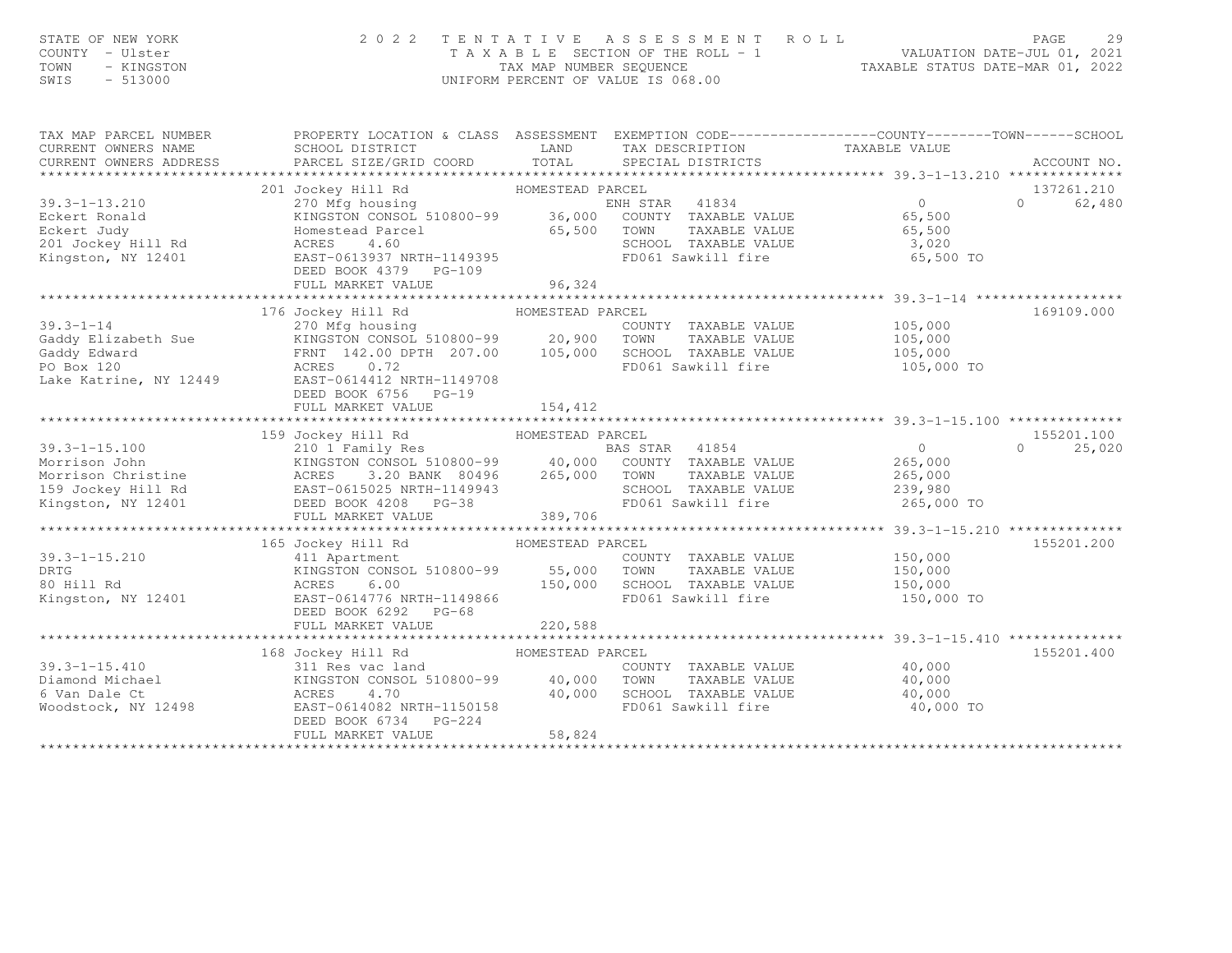| STATE OF NEW YORK<br>COUNTY - Ulster<br>TOWN<br>- KINGSTON<br>SWIS<br>$-513000$                  | 2 0 2 2                                                                                                                                                                             |                                       | TENTATIVE ASSESSMENT ROLL<br>UNIFORM PERCENT OF VALUE IS 068.00                             |                                                          | PAGE<br>29                       |
|--------------------------------------------------------------------------------------------------|-------------------------------------------------------------------------------------------------------------------------------------------------------------------------------------|---------------------------------------|---------------------------------------------------------------------------------------------|----------------------------------------------------------|----------------------------------|
| TAX MAP PARCEL NUMBER<br>CURRENT OWNERS NAME<br>CURRENT OWNERS ADDRESS                           | PROPERTY LOCATION & CLASS ASSESSMENT EXEMPTION CODE-----------------COUNTY-------TOWN------SCHOOL<br>SCHOOL DISTRICT<br>PARCEL SIZE/GRID COORD                                      | <b>LAND</b><br>TOTAL                  | TAX DESCRIPTION<br>SPECIAL DISTRICTS                                                        | TAXABLE VALUE                                            | ACCOUNT NO.                      |
|                                                                                                  | 201 Jockey Hill Rd                                                                                                                                                                  | HOMESTEAD PARCEL                      |                                                                                             |                                                          | 137261.210                       |
| $39.3 - 1 - 13.210$<br>Eckert Ronald<br>Eckert Judy<br>201 Jockey Hill Rd<br>Kingston, NY 12401  | 270 Mfg housing<br>KINGSTON CONSOL 510800-99 36,000 COUNTY TAXABLE VALUE<br>Homestead Parcel<br>ACRES 4.60<br>EAST-0613937 NRTH-1149395<br>DEED BOOK 4379 PG-109                    | 65,500                                | TOWN<br>TAXABLE VALUE<br>SCHOOL TAXABLE VALUE<br>FD061 Sawkill fire                         | $\overline{0}$<br>65,500<br>65,500<br>3,020<br>65,500 TO | $\Omega$<br>62,480               |
|                                                                                                  | FULL MARKET VALUE                                                                                                                                                                   | 96,324                                |                                                                                             |                                                          |                                  |
|                                                                                                  | 176 Jockey Hill Rd                                                                                                                                                                  | HOMESTEAD PARCEL                      |                                                                                             |                                                          | 169109.000                       |
| $39.3 - 1 - 14$<br>Gaddy Elizabeth Sue<br>Gaddy Edward<br>PO Box 120<br>Lake Katrine, NY 12449   | 270 Mfg housing<br>KINGSTON CONSOL 510800-99 20,900<br>FRNT 142.00 DPTH 207.00 105,000<br>ACRES 0.72<br>EAST-0614412 NRTH-1149708<br>DEED BOOK 6756 PG-19                           |                                       | COUNTY TAXABLE VALUE<br>TOWN<br>TAXABLE VALUE<br>SCHOOL TAXABLE VALUE<br>FD061 Sawkill fire | 105,000<br>105,000<br>105,000<br>105,000 TO              |                                  |
|                                                                                                  | FULL MARKET VALUE                                                                                                                                                                   | 154,412                               |                                                                                             |                                                          |                                  |
|                                                                                                  |                                                                                                                                                                                     |                                       |                                                                                             |                                                          |                                  |
| $39.3 - 1 - 15.100$                                                                              | 159 Jockey Hill Rd                                                                                                                                                                  | HOMESTEAD PARCEL                      |                                                                                             | $\overline{0}$                                           | 155201.100<br>25,020<br>$\Omega$ |
| 39.3-1-15.100<br>Morrison John<br>Morrison Christine<br>159 Jockey Hill Rd<br>Kingston, NY 12401 | 210 1 Family Res<br>KINGSTON CONSOL 510800-99<br>ACRES 3.20 BANK 80496 265,000 TOWN TAXABLE VALUE<br>EAST-0615025 NRTH-1149943<br>DEED BOOK 4208 PG-38<br>FULL MARKET VALUE 389,706 |                                       | SCHOOL TAXABLE VALUE<br>FD061 Sawkill fire 265,000 TO                                       | 265,000<br>265,000<br>239,980                            |                                  |
|                                                                                                  |                                                                                                                                                                                     |                                       |                                                                                             |                                                          |                                  |
| $39.3 - 1 - 15.210$<br>DRTG<br>80 Hill Rd<br>Kingston, NY 12401                                  | 165 Jockey Hill Rd<br>411 Apartment<br>KINGSTON CONSOL 510800-99<br>ACRES<br>6.00<br>EAST-0614776 NRTH-1149866                                                                      | HOMESTEAD PARCEL<br>55,000<br>150,000 | COUNTY TAXABLE VALUE<br>TOWN<br>TAXABLE VALUE<br>SCHOOL TAXABLE VALUE<br>FD061 Sawkill fire | 150,000<br>150,000<br>150,000<br>150,000 TO              | 155201.200                       |
|                                                                                                  | DEED BOOK 6292 PG-68<br>FULL MARKET VALUE                                                                                                                                           | 220,588                               |                                                                                             |                                                          |                                  |
|                                                                                                  |                                                                                                                                                                                     |                                       |                                                                                             |                                                          |                                  |
| $39.3 - 1 - 15.410$<br>Diamond Michael<br>6 Van Dale Ct<br>Woodstock, NY 12498                   | 168 Jockey Hill Rd<br>311 Res vac land construction<br>KINGSTON CONSOL 510800-99<br>ACRES<br>4.70<br>EAST-0614082 NRTH-1150158<br>DEED BOOK 6734 PG-224                             | HOMESTEAD PARCEL<br>40,000<br>40,000  | COUNTY TAXABLE VALUE<br>TOWN<br>TAXABLE VALUE<br>SCHOOL TAXABLE VALUE<br>FD061 Sawkill fire | 40,000<br>40,000<br>40,000<br>40,000 TO                  | 155201.400                       |
|                                                                                                  | FULL MARKET VALUE                                                                                                                                                                   | 58,824<br>******************          |                                                                                             |                                                          |                                  |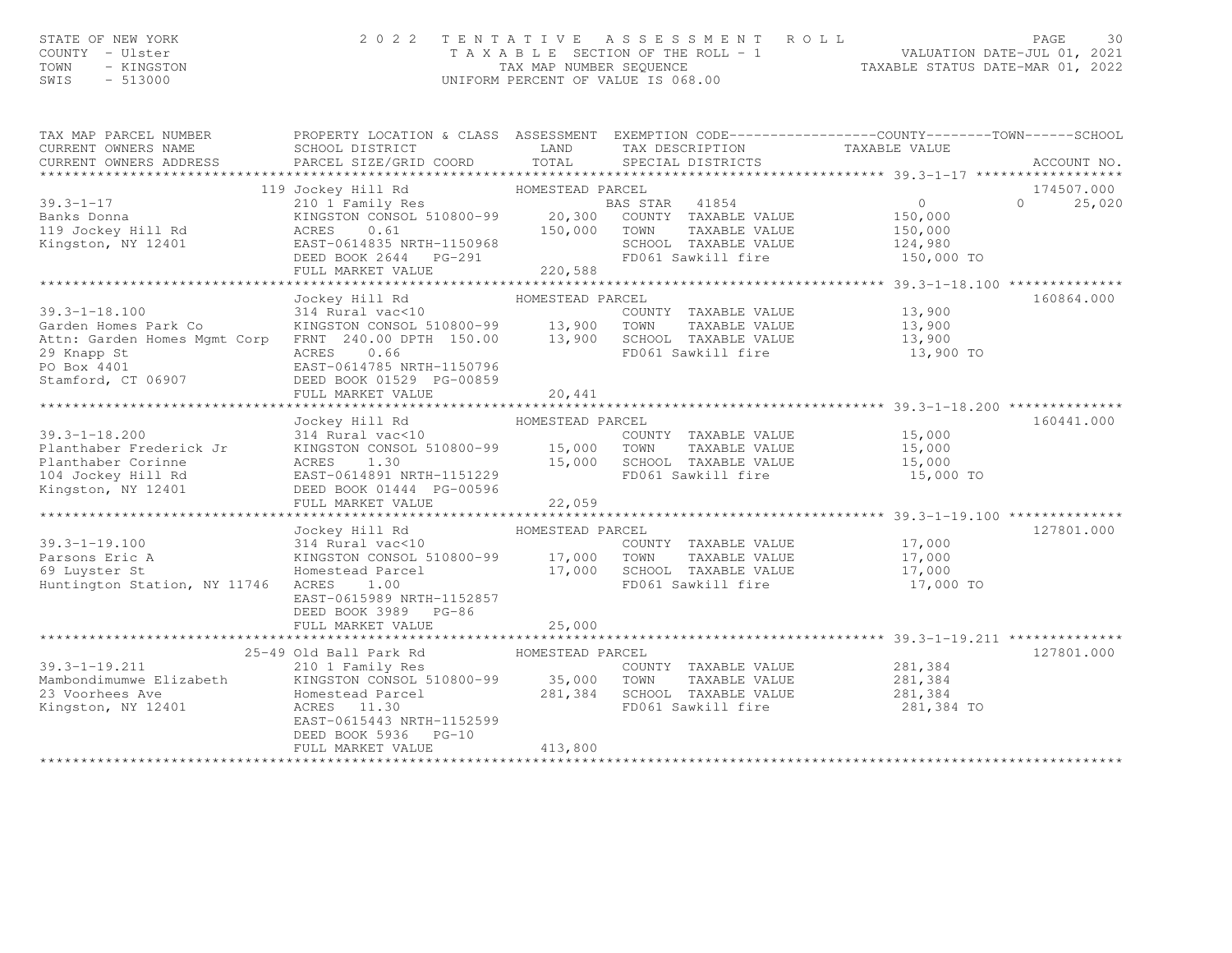# STATE OF NEW YORK CONTY - USE A Many of the Many Country - USE COUNTY - USE COUNTY - USE COUNTY - USE COUNTY -<br>COUNTY - UISter (1, 2021 TAXABLE SECTION OF THE ROLL - 1 WALUATION DATE-JUL 01, 2021<br>TAXABLE STATUS DATE-MAR 01

| TAX MAP PARCEL NUMBER<br>CURRENT OWNERS NAME<br>CURRENT OWNERS ADDRESS                                                          | PROPERTY LOCATION & CLASS ASSESSMENT EXEMPTION CODE----------------COUNTY-------TOWN------SCHOOL<br>SCHOOL DISTRICT<br>PARCEL SIZE/GRID COORD                                                                                                                                                                        | LAND<br>TOTAL                          | TAX DESCRIPTION TAXABLE VALUE<br>SPECIAL DISTRICTS                                                                    |                                                    | ACCOUNT NO.                      |
|---------------------------------------------------------------------------------------------------------------------------------|----------------------------------------------------------------------------------------------------------------------------------------------------------------------------------------------------------------------------------------------------------------------------------------------------------------------|----------------------------------------|-----------------------------------------------------------------------------------------------------------------------|----------------------------------------------------|----------------------------------|
| $39.3 - 1 - 17$<br>Banks Donna<br>119 Jockey Hill Rd<br>Kingston, NY 12401                                                      | 119 Jockey Hill Rd<br>210 1 Family Res<br>KINGSTON CONSOL 510800-99 20,300<br>0.61<br>ACRES<br>EAST-0614835 NRTH-1150968<br>DEED BOOK 2644 PG-291<br>FULL MARKET VALUE                                                                                                                                               | HOMESTEAD PARCEL<br>150,000<br>220,588 | BAS STAR 41854<br>COUNTY TAXABLE VALUE<br>TOWN<br>TAXABLE VALUE<br>SCHOOL TAXABLE VALUE 124,980<br>FD061 Sawkill fire | $\overline{0}$<br>150,000<br>150,000<br>150,000 TO | 174507.000<br>25,020<br>$\Omega$ |
|                                                                                                                                 |                                                                                                                                                                                                                                                                                                                      |                                        |                                                                                                                       |                                                    |                                  |
| $39.3 - 1 - 18.100$<br>Garden Homes Park Co<br>Attn: Garden Homes Mgmt Corp<br>29 Knapp St<br>PO Box 4401<br>Stamford, CT 06907 | Jockey Hill Rd<br>314 Rural vac<10 (COUNT<br>KINGSTON CONSOL 510800-99 13,900 TOWN<br>KINGSTON CONSOL 510800-99 13,900 TOWN TAXABLE VALUE 13,900<br>FRNT 240.00 DPTH 150.00 13,900 SCHOOL TAXABLE VALUE 13,900<br><b>ACRES</b><br>0.66<br>EAST-0614785 NRTH-1150796<br>DEED BOOK 01529 PG-00859<br>FULL MARKET VALUE | HOMESTEAD PARCEL<br>20,441             | COUNTY TAXABLE VALUE<br>FD061 Sawkill fire                                                                            | 13,900<br>13,900 TO                                | 160864.000                       |
|                                                                                                                                 |                                                                                                                                                                                                                                                                                                                      |                                        |                                                                                                                       |                                                    |                                  |
| $39.3 - 1 - 18.200$<br>Planthaber Frederick Jr<br>Planthaber Corinne<br>104 Jockey Hill Rd<br>Kingston, NY 12401                | Jockey Hill Rd<br>314 Rural vac<10 HOMESTEAD<br>KINGSTON CONSOL 510800-99 15,000<br>1.30<br>ACRES<br>EAST-0614891 NRTH-1151229<br>DEED BOOK 01444 PG-00596<br>FULL MARKET VALUE                                                                                                                                      | HOMESTEAD PARCEL<br>15,000<br>22,059   | COUNTY TAXABLE VALUE 15,000<br>TOWN<br>TAXABLE VALUE<br>SCHOOL TAXABLE VALUE<br>FD061 Sawkill fire                    | 15,000<br>15,000<br>15,000 TO                      | 160441.000                       |
|                                                                                                                                 |                                                                                                                                                                                                                                                                                                                      |                                        |                                                                                                                       |                                                    |                                  |
| $39.3 - 1 - 19.100$<br>Parsons Eric A<br>69 Luyster St<br>Huntington Station, NY 11746                                          | Jockey Hill Rd<br>314 Rural vac<10<br>KINGSTON CONSOL 510800-99 17,000 TOWN<br>Homestead Parcel<br>ACRES<br>1.00<br>EAST-0615989 NRTH-1152857<br>DEED BOOK 3989 PG-86                                                                                                                                                | HOMESTEAD PARCEL<br>17,000             | COUNTY TAXABLE VALUE 17,000<br>TAXABLE VALUE<br>SCHOOL TAXABLE VALUE<br>FD061 Sawkill fire                            | 17,000<br>17,000<br>17,000 TO                      | 127801.000                       |
|                                                                                                                                 | FULL MARKET VALUE                                                                                                                                                                                                                                                                                                    | 25,000                                 |                                                                                                                       |                                                    |                                  |
| $39.3 - 1 - 19.211$<br>Mambondimumwe Elizabeth<br>23 Voorhees Ave<br>Kingston, NY 12401                                         | 25-49 Old Ball Park Rd<br>210 1 Family Res<br>KINGSTON CONSOL 510800-99 35,000<br>Homestead Parcel<br>ACRES 11.30<br>EAST-0615443 NRTH-1152599<br>DEED BOOK 5936 PG-10<br>FULL MARKET VALUE                                                                                                                          | HOMESTEAD PARCEL<br>281,384<br>413,800 | COUNTY TAXABLE VALUE<br>TOWN<br>TAXABLE VALUE<br>SCHOOL TAXABLE VALUE<br>FD061 Sawkill fire                           | 281,384<br>281,384<br>281,384<br>281,384 TO        | 127801.000                       |
|                                                                                                                                 |                                                                                                                                                                                                                                                                                                                      |                                        |                                                                                                                       |                                                    |                                  |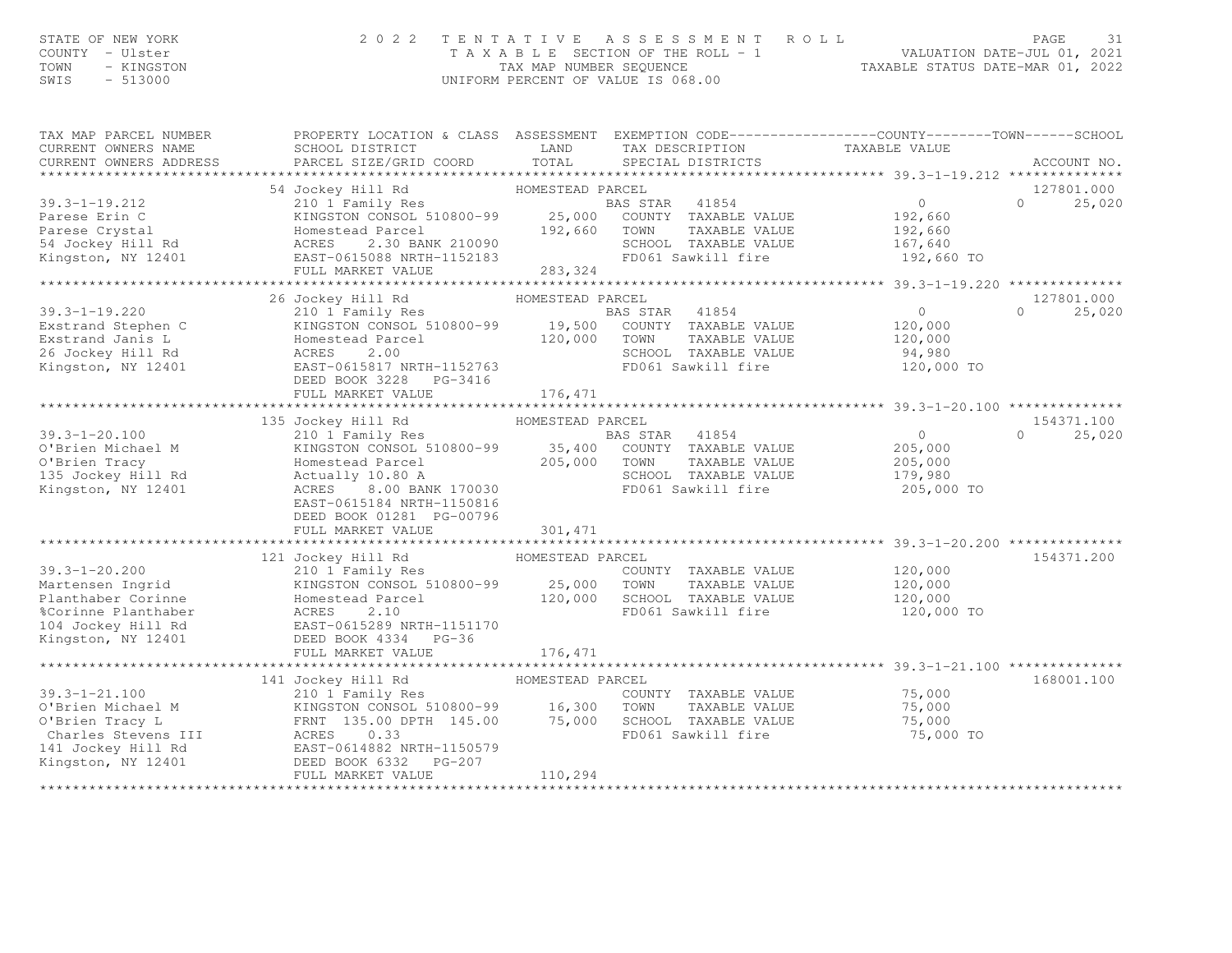#### STATE OF NEW YORK 2022 TENTATIVE ASSESSMENT ROLL PAGE 31 COUNTY - Ulster T A X A B L E SECTION OF THE ROLL - 1 TOWN - CIRCITON TAX MAP NUMBER SEQUENCE<br>TOWN - KINGSTON - TOWN - TAXABLE STATUS DATE-MAR OF VALUE IS 068.00 UNIFORM PERCENT OF VALUE IS 068.00

TAX MAP PARCEL NUMBER PROPERTY LOCATION & CLASS ASSESSMENT EXEMPTION CODE----------------COUNTY-------TOWN------SCHOOL

VALUATION DATE-JUL 01, 2021 TAXABLE STATUS DATE-MAR 01, 2022

| CURRENT OWNERS NAME<br>CURRENT OWNERS ADDRESS                                                                                    | SCHOOL DISTRICT<br>PARCEL SIZE/GRID COORD                                                                                                                                                                              | LAND<br>TOTAL                                                                  | TAX DESCRIPTION<br>SPECIAL DISTRICTS                                                         | TAXABLE VALUE                                          | ACCOUNT NO.                      |
|----------------------------------------------------------------------------------------------------------------------------------|------------------------------------------------------------------------------------------------------------------------------------------------------------------------------------------------------------------------|--------------------------------------------------------------------------------|----------------------------------------------------------------------------------------------|--------------------------------------------------------|----------------------------------|
|                                                                                                                                  |                                                                                                                                                                                                                        |                                                                                |                                                                                              |                                                        |                                  |
| 39.3-1-19.212<br>Parese Erin C<br>Parese Crystal<br>54 Jockey Hill Rd<br>Kingston, NY 12401                                      | 54 Jockey Hill Rd<br>210 1 Family Res<br>KINGSTON CONSOL 510800-99<br>Homestead Parcel<br>ACRES<br>2.30 BANK 210090<br>EAST-0615088 NRTH-1152183<br>FULL MARKET VALUE                                                  | HOMESTEAD PARCEL<br>BAS STAR<br>25,000<br>192,660<br>TOWN<br>283,324           | 41854<br>COUNTY TAXABLE VALUE<br>TAXABLE VALUE<br>SCHOOL TAXABLE VALUE<br>FD061 Sawkill fire | $\circ$<br>192,660<br>192,660<br>167,640<br>192,660 TO | 127801.000<br>25,020<br>$\Omega$ |
|                                                                                                                                  |                                                                                                                                                                                                                        |                                                                                |                                                                                              |                                                        |                                  |
| $39.3 - 1 - 19.220$<br>Exstrand Stephen C<br>Exstrand Janis L<br>26 Jockey Hill Rd<br>Kingston, NY 12401                         | 26 Jockey Hill Rd<br>210 1 Family Res<br>KINGSTON CONSOL 510800-99<br>Homestead Parcel<br>ACRES<br>2.00<br>EAST-0615817 NRTH-1152763<br>DEED BOOK 3228<br>PG-3416<br>FULL MARKET VALUE                                 | HOMESTEAD PARCEL<br>BAS STAR<br>19,500<br>120,000<br>TOWN                      | 41854<br>COUNTY TAXABLE VALUE<br>TAXABLE VALUE<br>SCHOOL TAXABLE VALUE<br>FD061 Sawkill fire | 0<br>120,000<br>120,000<br>94,980<br>120,000 TO        | 127801.000<br>25,020<br>$\Omega$ |
|                                                                                                                                  |                                                                                                                                                                                                                        | 176,471                                                                        |                                                                                              |                                                        |                                  |
| $39.3 - 1 - 20.100$<br>O'Brien Michael M<br>O'Brien Tracy<br>135 Jockey Hill Rd<br>Kingston, NY 12401                            | 135 Jockey Hill Rd<br>210 1 Family Res<br>KINGSTON CONSOL 510800-99<br>Homestead Parcel<br>Actually 10.80 A<br>ACRES<br>8.00 BANK 170030<br>EAST-0615184 NRTH-1150816<br>DEED BOOK 01281 PG-00796<br>FULL MARKET VALUE | HOMESTEAD PARCEL<br>BAS STAR<br>35,400<br>COUNTY<br>205,000<br>TOWN<br>301,471 | 41854<br>TAXABLE VALUE<br>TAXABLE VALUE<br>SCHOOL TAXABLE VALUE<br>FD061 Sawkill fire        | $\circ$<br>205,000<br>205,000<br>179,980<br>205,000 TO | 154371.100<br>$\Omega$<br>25,020 |
|                                                                                                                                  | 121 Jockey Hill Rd                                                                                                                                                                                                     | HOMESTEAD PARCEL                                                               |                                                                                              |                                                        | 154371.200                       |
| $39.3 - 1 - 20.200$<br>Martensen Ingrid<br>Planthaber Corinne<br>%Corinne Planthaber<br>104 Jockey Hill Rd<br>Kingston, NY 12401 | 210 1 Family Res<br>KINGSTON CONSOL 510800-99<br>Homestead Parcel<br>ACRES<br>2.10<br>EAST-0615289 NRTH-1151170<br>DEED BOOK 4334<br>$PG-36$                                                                           | 25,000<br>TOWN<br>120,000                                                      | COUNTY TAXABLE VALUE<br>TAXABLE VALUE<br>SCHOOL TAXABLE VALUE<br>FD061 Sawkill fire          | 120,000<br>120,000<br>120,000<br>120,000 TO            |                                  |
|                                                                                                                                  | FULL MARKET VALUE                                                                                                                                                                                                      | 176,471                                                                        |                                                                                              |                                                        |                                  |
|                                                                                                                                  | 141 Jockey Hill Rd                                                                                                                                                                                                     | HOMESTEAD PARCEL                                                               |                                                                                              |                                                        | 168001.100                       |
| $39.3 - 1 - 21.100$<br>O'Brien Michael M<br>O'Brien Tracy L<br>Charles Stevens III<br>141 Jockey Hill Rd<br>Kingston, NY 12401   | 210 1 Family Res<br>KINGSTON CONSOL 510800-99<br>FRNT 135.00 DPTH 145.00<br>0.33<br>ACRES<br>EAST-0614882 NRTH-1150579<br>DEED BOOK 6332<br>$PG-207$                                                                   | 16,300<br>TOWN<br>75,000                                                       | COUNTY TAXABLE VALUE<br>TAXABLE VALUE<br>SCHOOL TAXABLE VALUE<br>FD061 Sawkill fire          | 75,000<br>75,000<br>75,000<br>75,000 TO                |                                  |
|                                                                                                                                  | FULL MARKET VALUE                                                                                                                                                                                                      | 110,294                                                                        |                                                                                              |                                                        |                                  |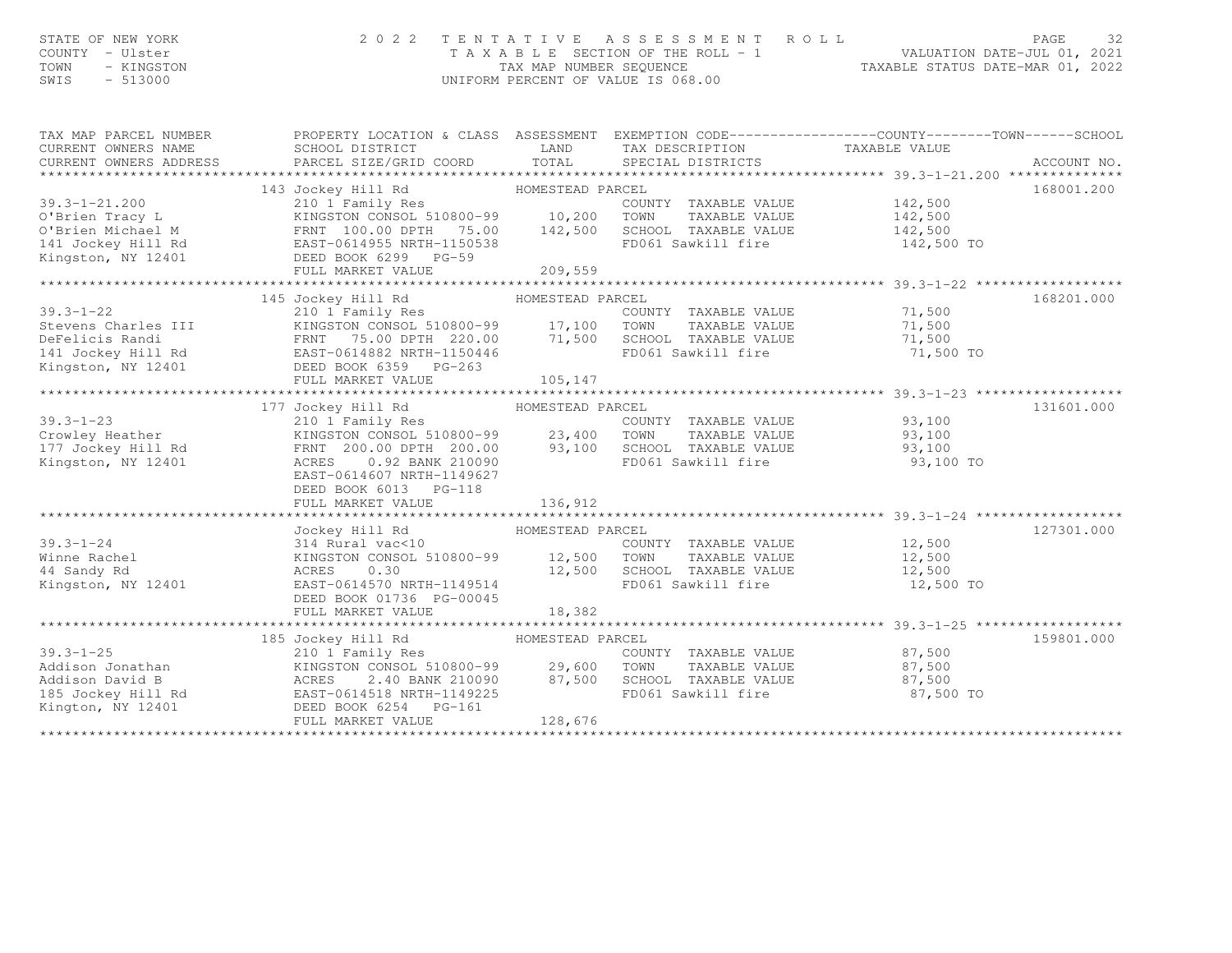| STATE OF NEW YORK<br>COUNTY - Ulster<br>TOWN<br>- KINGSTON<br>SWIS<br>$-513000$                                                                                                                                                                                                               | 2 0 2 2                                                                                                                                                                                                                     |                                                 | TENTATIVE ASSESSMENT ROLL<br>T A X A B L E SECTION OF THE ROLL - 1<br>TAX MAP NUMBER SEQUENCE TAXABLE STATUS DATE-JUL 01, 2021<br>TAXABLE STATUS DATE-MAR 01, 2022<br>UNIFORM PERCENT OF VALUE IS 068.00 |                                                     | 32<br>PAGE  |
|-----------------------------------------------------------------------------------------------------------------------------------------------------------------------------------------------------------------------------------------------------------------------------------------------|-----------------------------------------------------------------------------------------------------------------------------------------------------------------------------------------------------------------------------|-------------------------------------------------|----------------------------------------------------------------------------------------------------------------------------------------------------------------------------------------------------------|-----------------------------------------------------|-------------|
| TAX MAP PARCEL NUMBER<br>CURRENT OWNERS NAME<br>CURRENT OWNERS ADDRESS                                                                                                                                                                                                                        | PROPERTY LOCATION & CLASS ASSESSMENT EXEMPTION CODE----------------COUNTY-------TOWN------SCHOOL<br>SCHOOL DISTRICT<br>PARCEL SIZE/GRID COORD                                                                               | LAND<br>TOTAL                                   | TAX DESCRIPTION<br>SPECIAL DISTRICTS                                                                                                                                                                     | TAXABLE VALUE                                       | ACCOUNT NO. |
| $39.3 - 1 - 21.200$<br>0'Brien Tracy L<br>0'Brien Michael M<br>0'Brien Michael M<br>141 Jockey Hill Rd<br>142,500<br>142,500<br>142,500<br>142,500<br>142,500<br>142,500<br>142,500<br>142,500<br>142,500<br>142,500<br>142,500<br>142,500<br>142,500<br>142,500<br>142,500<br>142,500<br>142 | 143 Jockey Hill Rd<br>210 1 Family Res<br>KINGSTON CONSOL 510800-99 10,200<br>FULL MARKET VALUE                                                                                                                             | HOMESTEAD PARCEL<br>209,559                     | COUNTY TAXABLE VALUE<br>TOWN<br>TAXABLE VALUE<br>SCHOOL TAXABLE VALUE<br>FD061 Sawkill fire                                                                                                              | 142,500<br>142,500<br>142,500<br>142,500 TO         | 168001.200  |
|                                                                                                                                                                                                                                                                                               |                                                                                                                                                                                                                             |                                                 |                                                                                                                                                                                                          |                                                     |             |
| $39.3 - 1 - 22$<br>Stevens Charles III<br>DeFelicis Randi<br>141 Jockey Hill Rd<br>Kingston, NY 12401 (EAST-0614882 NRTH-1150446)<br>Kingston, NY 12401                                                                                                                                       | 145 Jockey Hill Rd<br>210 1 Family Res<br>210 1 Family Res<br>KINGSTON CONSOL 510800-99 17,100 TOWN<br>FRNT 75.00 DPTH 220.00 71,500 SCHOC<br>EAST-0614882 NRTH-1150446 FD061<br>DEED BOOK 6359 PG-263<br>FULL MARKET VALUE | HOMESTEAD PARCEL<br>105,147                     | COUNTY TAXABLE VALUE<br>TAXABLE VALUE<br>SCHOOL TAXABLE VALUE<br>FD061 Sawkill fire                                                                                                                      | 71,500<br>71,500<br>71,500<br>71,500 TO             | 168201.000  |
|                                                                                                                                                                                                                                                                                               |                                                                                                                                                                                                                             |                                                 |                                                                                                                                                                                                          |                                                     |             |
| $39.3 - 1 - 23$<br>39.3-1-23<br>Crowley Heather<br>177 Jockey Hill Rd<br>Kingston, NY 12401                                                                                                                                                                                                   | 177 Jockey Hill Rd<br>210 1 Family Res<br>KINGSTON CONSOL 510800-99<br>FRNT 200.00 DPTH 200.00<br>ACRES 0.92 BANK 210090<br>EAST-0614607 NRTH-1149627<br>DEED BOOK 6013 PG-118                                              | HOMESTEAD PARCEL<br>23,400<br>93,100            | COUNTY TAXABLE VALUE 93,100<br>TOWN<br>TAXABLE VALUE<br>SCHOOL TAXABLE VALUE<br>FD061 Sawkill fire                                                                                                       | 93,100<br>93,100<br>93,100 TO                       | 131601.000  |
|                                                                                                                                                                                                                                                                                               | FULL MARKET VALUE                                                                                                                                                                                                           | 136,912                                         |                                                                                                                                                                                                          |                                                     |             |
|                                                                                                                                                                                                                                                                                               |                                                                                                                                                                                                                             |                                                 |                                                                                                                                                                                                          |                                                     |             |
| $39.3 - 1 - 24$<br>Winne Rachel<br>44 Sandy Rd<br>Kingston, NY 12401                                                                                                                                                                                                                          | Jockey Hill Rd<br>314 Rural vac<10<br>KINGSTON CONSOL 510800-99 12,500<br>ACRES<br>0.30<br>EAST-0614570 NRTH-1149514<br>DEED BOOK 01736 PG-00045                                                                            | HOMESTEAD PARCEL<br>12,500                      | COUNTY TAXABLE VALUE 12,500<br>TAXABLE VALUE<br>TOWN<br>SCHOOL TAXABLE VALUE<br>FD061 Sawkill fire                                                                                                       | 12,500<br>12,500<br>12,500 TO                       | 127301.000  |
|                                                                                                                                                                                                                                                                                               | FULL MARKET VALUE                                                                                                                                                                                                           | 18,382                                          |                                                                                                                                                                                                          |                                                     |             |
|                                                                                                                                                                                                                                                                                               |                                                                                                                                                                                                                             |                                                 |                                                                                                                                                                                                          | ********************* 39.3–1–25 ******************* |             |
| $39.3 - 1 - 25$<br>Addison Jonathan<br>Addison David B<br>Addison David B<br>185 Jockey Hill Rd<br>185 Jockey Hill Rd<br>20090 EAST-0614518 NRTH-1149225<br>Kington, NY 12401                                                                                                                 | 185 Jockey Hill Rd<br>210 1 Family Res<br>KINGSTON CONSOL 510800-99<br>DEED BOOK 6254 PG-161<br>FULL MARKET VALUE                                                                                                           | HOMESTEAD PARCEL<br>29,600<br>87,500<br>128,676 | COUNTY TAXABLE VALUE<br>TOWN<br>TAXABLE VALUE<br>SCHOOL TAXABLE VALUE<br>FD061 Sawkill fire                                                                                                              | 87,500<br>87,500<br>87,500<br>87,500 TO             | 159801.000  |
|                                                                                                                                                                                                                                                                                               |                                                                                                                                                                                                                             |                                                 |                                                                                                                                                                                                          |                                                     |             |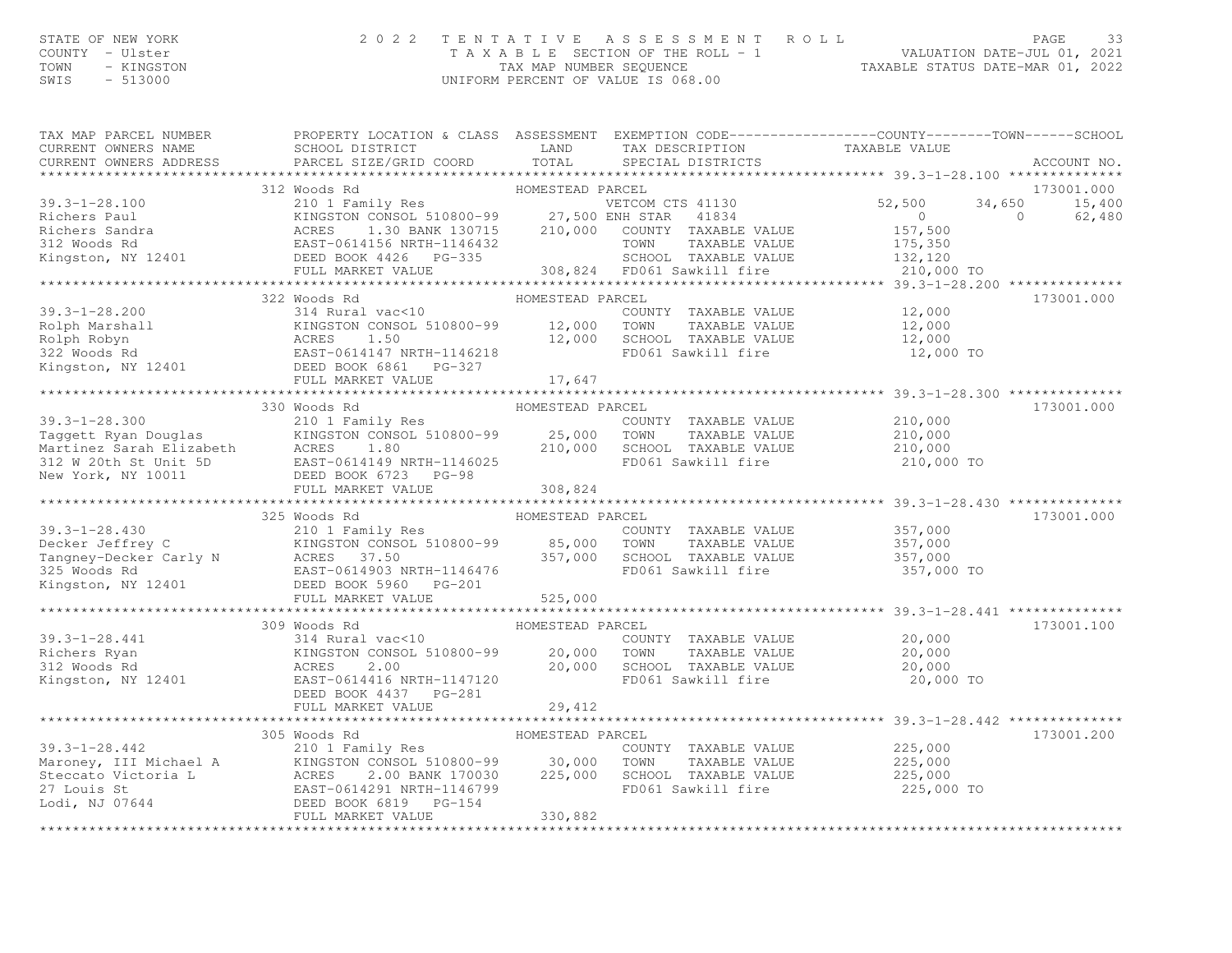# STATE OF NEW YORK THE SAGE ASSESSMENT ROLL PALUATION DATE–JUL 01, 2021<br>COUNTY - Ulster TAXABLE SECTION OF THE ROLL - 1 VALUATION DATE–JUL 01, 2021<br>TAXABLE STATUS TAXAB NUMBER SEQUENCE AND RESOURCE TRAVABLE STATUS DATE–MAR

| TAX MAP PARCEL NUMBER | PROPERTY LOCATION & CLASS ASSESSMENT EXEMPTION CODE----------------COUNTY-------TOWN------SCHOOL                                                                                                                                                                                                                                                                                                                                    |  |            |            |
|-----------------------|-------------------------------------------------------------------------------------------------------------------------------------------------------------------------------------------------------------------------------------------------------------------------------------------------------------------------------------------------------------------------------------------------------------------------------------|--|------------|------------|
|                       |                                                                                                                                                                                                                                                                                                                                                                                                                                     |  |            |            |
|                       |                                                                                                                                                                                                                                                                                                                                                                                                                                     |  |            |            |
|                       |                                                                                                                                                                                                                                                                                                                                                                                                                                     |  |            |            |
|                       |                                                                                                                                                                                                                                                                                                                                                                                                                                     |  |            |            |
|                       |                                                                                                                                                                                                                                                                                                                                                                                                                                     |  |            |            |
|                       | 322 Woods Rd<br>HOMESTEAD PARCEL                                                                                                                                                                                                                                                                                                                                                                                                    |  |            | 173001.000 |
|                       |                                                                                                                                                                                                                                                                                                                                                                                                                                     |  |            |            |
|                       |                                                                                                                                                                                                                                                                                                                                                                                                                                     |  |            |            |
|                       |                                                                                                                                                                                                                                                                                                                                                                                                                                     |  |            |            |
|                       | 330 Woods Rd                                                                                                                                                                                                                                                                                                                                                                                                                        |  | 210,000 TO | 173001.000 |
|                       |                                                                                                                                                                                                                                                                                                                                                                                                                                     |  |            |            |
|                       |                                                                                                                                                                                                                                                                                                                                                                                                                                     |  |            |            |
|                       |                                                                                                                                                                                                                                                                                                                                                                                                                                     |  |            | 173001.000 |
|                       |                                                                                                                                                                                                                                                                                                                                                                                                                                     |  |            |            |
|                       |                                                                                                                                                                                                                                                                                                                                                                                                                                     |  |            |            |
|                       | 30.3-1-28.441<br>309 Woods Rd<br>309 Woods Rd<br>309 Woods Rd<br>309 Woods Rd<br>20,000<br>Richers Ryan<br>XINGSTON CONSOL 510800-99<br>20,000 TOWN TAXABLE VALUE<br>20,000<br>312 Woods Rd<br>20,000<br>Xingston, NY 12401<br>BEED BOOK 4437 PG-281<br>FU                                                                                                                                                                          |  |            | 173001.100 |
|                       |                                                                                                                                                                                                                                                                                                                                                                                                                                     |  |            |            |
|                       |                                                                                                                                                                                                                                                                                                                                                                                                                                     |  |            |            |
|                       | $\begin{tabular}{lllllllllllllll} \textbf{39.3--1--28.442} & & & & & & & \textbf{HOMESTEAD PARCH} & & & & & & \textbf{39.3--1--28.4} \\ & & & & & & & & \textbf{HOMESTEAD PARCH} & & & & & \textbf{COUNTY} & \textbf{TAXABLE VALUE} & & & \textbf{225,000} \\ & & & & & & & & & \textbf{COUNTY} & \textbf{TAXABLE VALUE} & & \textbf{225,000} \\ \textbf{Steccato Victoria L} & & & & & & & \textbf{ACRES} & 2.00 BANK 170030 & 22$ |  |            | 173001.200 |
|                       |                                                                                                                                                                                                                                                                                                                                                                                                                                     |  |            |            |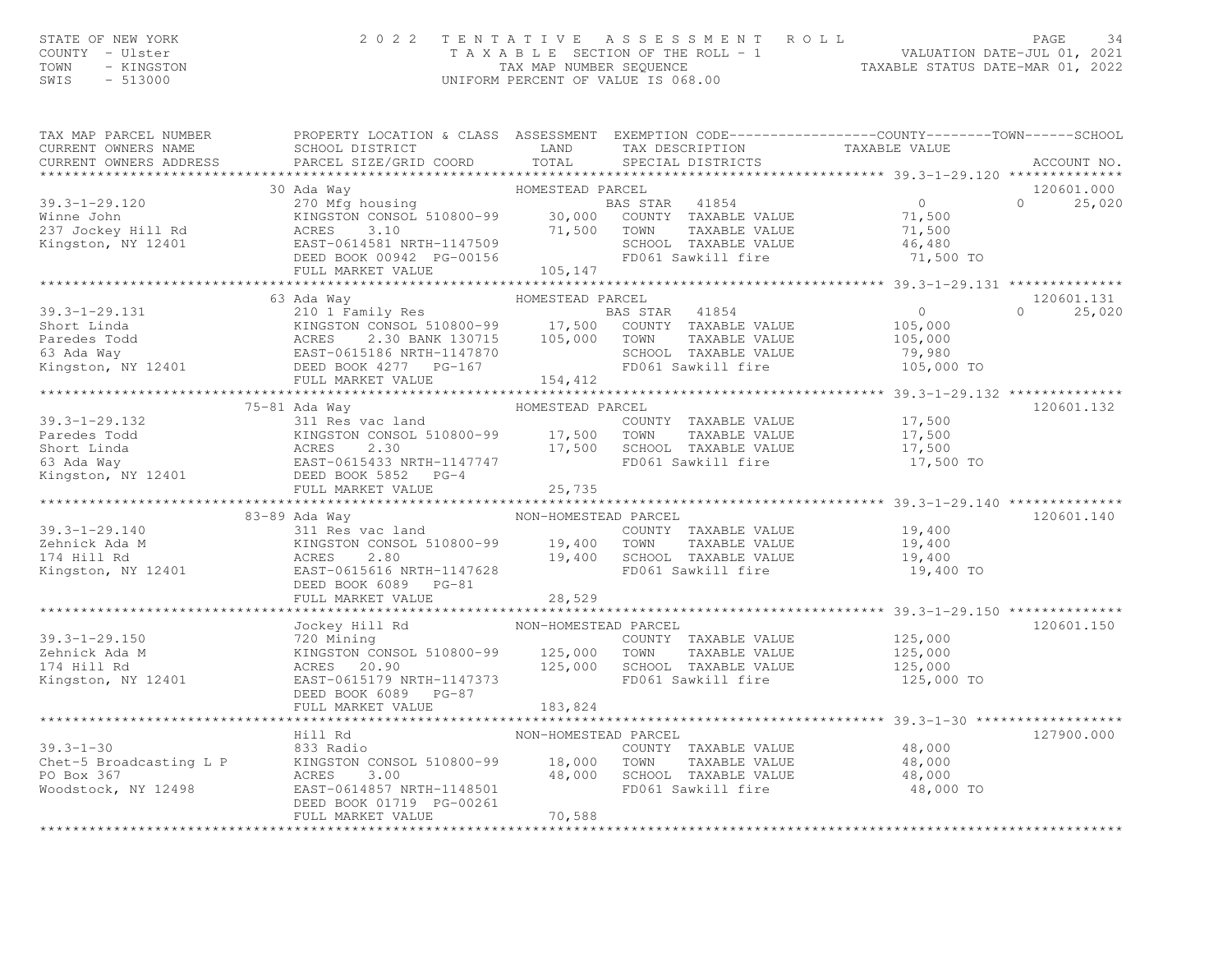# STATE OF NEW YORK CONTY - USE A MARING THE MINITION OF THE SIGN BASES ON EXAMPLE TO A SIGN BASE OUNTY - USE A MARING SALL PAGE OF THE SECTION OF THE ROLL - 1 THAT I VIOLUL PAGE THE SECTION OF THE ROLL - 1 TAX A B L E SECTI

| TAX MAP PARCEL NUMBER                                                                                                                                                                                                                                                                        | PROPERTY LOCATION & CLASS ASSESSMENT EXEMPTION CODE----------------COUNTY-------TOWN-----SCHOOL |                  |           |            |
|----------------------------------------------------------------------------------------------------------------------------------------------------------------------------------------------------------------------------------------------------------------------------------------------|-------------------------------------------------------------------------------------------------|------------------|-----------|------------|
| 120601.000 30 Ada Way<br>30 Ada Way BAS STAR 41854 270 Mfg housing BAS STAR 41854 0 270 Mfg housing BAS STAR 41854 27 Jockey Hill Rd KINGSTON CONSOL 510800-99 30,000 COUNTY TAXABLE VALUE 71,500 0 25,020<br>237 Jockey Hill Rd A                                                           |                                                                                                 |                  |           |            |
|                                                                                                                                                                                                                                                                                              |                                                                                                 |                  |           |            |
|                                                                                                                                                                                                                                                                                              |                                                                                                 |                  |           |            |
|                                                                                                                                                                                                                                                                                              |                                                                                                 |                  |           |            |
|                                                                                                                                                                                                                                                                                              |                                                                                                 |                  |           |            |
|                                                                                                                                                                                                                                                                                              |                                                                                                 |                  |           |            |
|                                                                                                                                                                                                                                                                                              |                                                                                                 |                  |           |            |
|                                                                                                                                                                                                                                                                                              |                                                                                                 |                  |           |            |
| $\begin{array}{cccccccc} 39.3-1-29.131 & 63.4d & \text{Way} & \text{HOMESTEAD PANCESTED PANCE.} & 120601.131 & 210 & 25,020 & 25,020 & 25,020 & 25,020 & 25,020 & 25,020 & 25,020 & 25,020 & 25,020 & 25,020 & 25,020 & 25,020 & 25,020 & 25,020 & 25,020 & 25,020 & 25,020 & 25,020 & 25,0$ | 63 Ada Way                                                                                      | HOMESTEAD PARCEL |           | 120601.131 |
|                                                                                                                                                                                                                                                                                              |                                                                                                 |                  |           |            |
|                                                                                                                                                                                                                                                                                              |                                                                                                 |                  |           |            |
|                                                                                                                                                                                                                                                                                              |                                                                                                 |                  |           |            |
|                                                                                                                                                                                                                                                                                              |                                                                                                 |                  |           |            |
|                                                                                                                                                                                                                                                                                              |                                                                                                 |                  |           |            |
|                                                                                                                                                                                                                                                                                              |                                                                                                 |                  |           |            |
|                                                                                                                                                                                                                                                                                              |                                                                                                 |                  |           |            |
|                                                                                                                                                                                                                                                                                              | 75-81 Ada Way                                                                                   | HOMESTEAD PARCEL |           | 120601.132 |
|                                                                                                                                                                                                                                                                                              |                                                                                                 |                  |           |            |
|                                                                                                                                                                                                                                                                                              |                                                                                                 |                  |           |            |
|                                                                                                                                                                                                                                                                                              |                                                                                                 |                  |           |            |
|                                                                                                                                                                                                                                                                                              |                                                                                                 |                  | 17,500 TO |            |
| 39.3-1-29.132 311 Res vac land<br>Paredes Todd KINGSTON CONSOL 510800-99 17,500 TOWN TAXABLE VALUE 17,500<br>Short Linda ACRES 2.30 17,500 SCHOOL TAXABLE VALUE 17,500<br>63 Ada Way EAST-0615433 NRTH-1147747 FD061 Sawkill fire 17                                                         |                                                                                                 |                  |           |            |
|                                                                                                                                                                                                                                                                                              |                                                                                                 |                  |           |            |
| 39.3-1-29.140<br>83-89 Ada Way and MON-HOMESTEAD PARCEL<br>21 Res vac land<br>200 Kingston, NY 12401<br>200 EAST-0615616 NRTH-1147628<br>200 PG-81<br>200 PG-81<br>200 PG-81<br>200 PG-81<br>200 PG-81<br>200 PG-81<br>200 PG-81<br>200 PG-81<br>200 PG-                                     |                                                                                                 |                  |           |            |
|                                                                                                                                                                                                                                                                                              |                                                                                                 |                  |           | 120601.140 |
|                                                                                                                                                                                                                                                                                              |                                                                                                 |                  |           |            |
|                                                                                                                                                                                                                                                                                              |                                                                                                 |                  |           |            |
|                                                                                                                                                                                                                                                                                              |                                                                                                 |                  |           |            |
|                                                                                                                                                                                                                                                                                              |                                                                                                 |                  |           |            |
|                                                                                                                                                                                                                                                                                              | FULL MARKET VALUE 28,529                                                                        |                  |           |            |
|                                                                                                                                                                                                                                                                                              |                                                                                                 |                  |           |            |
|                                                                                                                                                                                                                                                                                              |                                                                                                 |                  |           | 120601.150 |
|                                                                                                                                                                                                                                                                                              |                                                                                                 |                  |           |            |
|                                                                                                                                                                                                                                                                                              |                                                                                                 |                  |           |            |
|                                                                                                                                                                                                                                                                                              |                                                                                                 |                  |           |            |
|                                                                                                                                                                                                                                                                                              |                                                                                                 |                  |           |            |
|                                                                                                                                                                                                                                                                                              | DEED BOOK 6089 PG-87                                                                            |                  |           |            |
|                                                                                                                                                                                                                                                                                              | FULL MARKET VALUE                                                                               | 183,824          |           |            |
|                                                                                                                                                                                                                                                                                              |                                                                                                 |                  |           |            |
|                                                                                                                                                                                                                                                                                              |                                                                                                 |                  |           | 127900.000 |
|                                                                                                                                                                                                                                                                                              |                                                                                                 |                  |           |            |
| 39.3-1-30<br>Chet-5 Broadcasting L P (833 Radio (833 Radio (2000)<br>EASTON CONSOL 510800-99 (18,000 TOWN TAXABLE VALUE 48,000 48,000 ROBOX 367 (2000)<br>Moodstock, NY 12498 (2007-614857 NRTH-1148501 (2000) FORM FAXABLE VALUE 48                                                         |                                                                                                 |                  |           |            |
|                                                                                                                                                                                                                                                                                              |                                                                                                 |                  |           |            |
|                                                                                                                                                                                                                                                                                              |                                                                                                 |                  |           |            |
|                                                                                                                                                                                                                                                                                              | DEED BOOK 01719 PG-00261                                                                        |                  |           |            |
|                                                                                                                                                                                                                                                                                              | FULL MARKET VALUE                                                                               | 70,588           |           |            |
|                                                                                                                                                                                                                                                                                              |                                                                                                 |                  |           |            |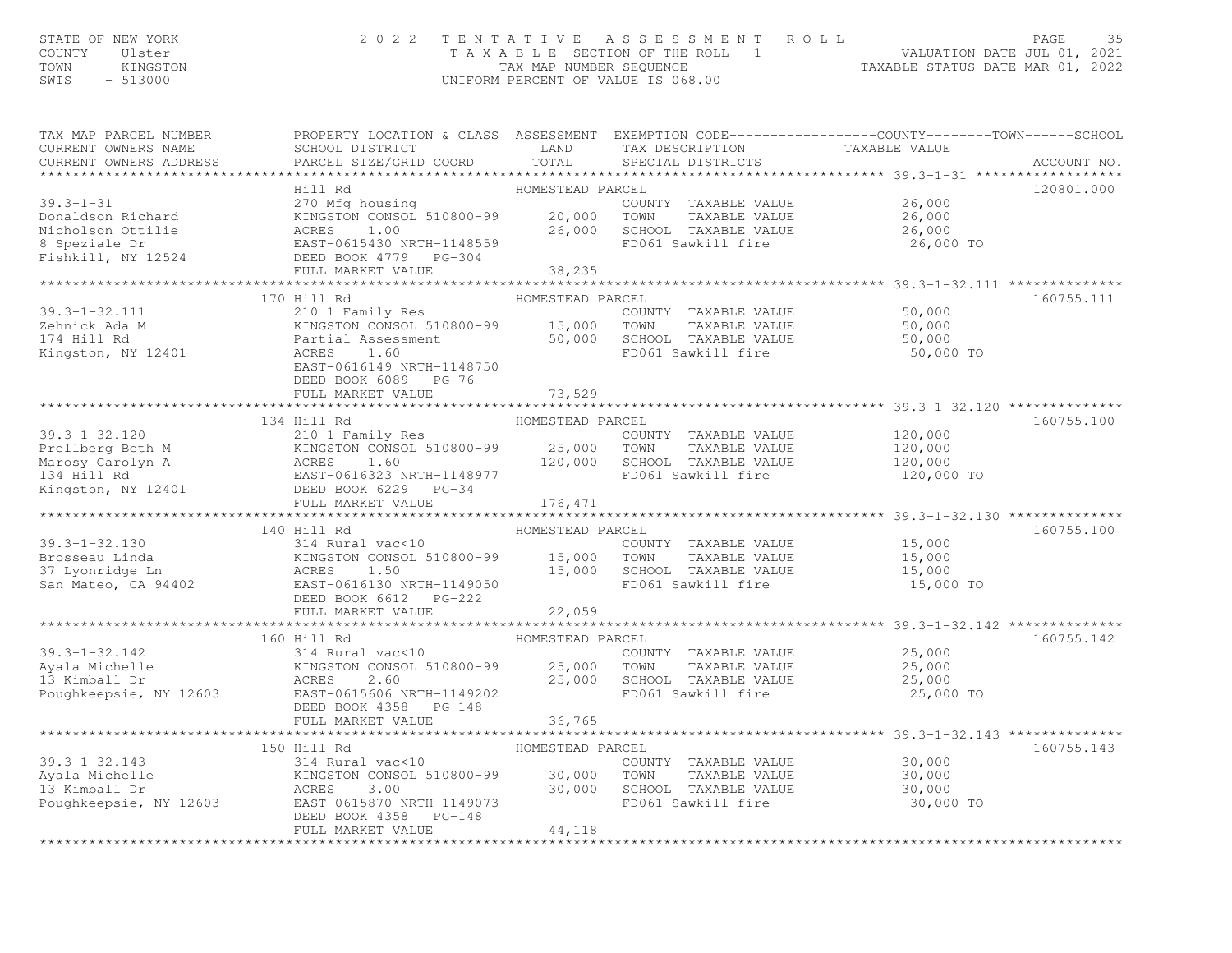### STATE OF NEW YORK THE SAGE ASSESSMENT ROLL PALUATION DATE–JUL 01, 2021<br>COUNTY - Ulster TAXABLE SECTION OF THE ROLL - 1 VALUATION DATE–JUL 01, 2021<br>TAXABLE STATUS TAXAB NUMBER SEQUENCE AND RESOURCE TOWN TAXABLE STATUS DATE–

| TAX MAP PARCEL NUMBER<br>CURRENT OWNERS NAME                                                                                                                                                                                                       | SCHOOL DISTRICT LAND                                                                                |                  | PROPERTY LOCATION & CLASS ASSESSMENT EXEMPTION CODE----------------COUNTY-------TOWN------SCHOOL<br>TAX DESCRIPTION                                                    | TAXABLE VALUE       |             |
|----------------------------------------------------------------------------------------------------------------------------------------------------------------------------------------------------------------------------------------------------|-----------------------------------------------------------------------------------------------------|------------------|------------------------------------------------------------------------------------------------------------------------------------------------------------------------|---------------------|-------------|
| CURRENT OWNERS ADDRESS                                                                                                                                                                                                                             | PARCEL SIZE/GRID COORD                                                                              | TOTAL            | SPECIAL DISTRICTS                                                                                                                                                      |                     | ACCOUNT NO. |
|                                                                                                                                                                                                                                                    | Hill Rd                                                                                             | HOMESTEAD PARCEL |                                                                                                                                                                        |                     | 120801.000  |
| $39.3 - 1 - 31$                                                                                                                                                                                                                                    | 270 Mfg housing<br>270 Mfg housing 310800-99 20,000 TOWN TAXABLE VALUE<br>20,000 TOWN TAXABLE VALUE |                  |                                                                                                                                                                        |                     |             |
|                                                                                                                                                                                                                                                    |                                                                                                     |                  | COUNTY TAXABLE VALUE $26,000$<br>TOWN TAXABLE VALUE 26,000                                                                                                             |                     |             |
|                                                                                                                                                                                                                                                    |                                                                                                     |                  | SCHOOL TAXABLE VALUE                                                                                                                                                   |                     |             |
|                                                                                                                                                                                                                                                    |                                                                                                     |                  | FD061 Sawkill fire                                                                                                                                                     | 26,000<br>26,000 TO |             |
| Donaldson Richard<br>Donaldson Richard<br>Nicholson Ottilie<br>Nicholson Ottilie<br>Sepeziale Dr<br>EAST-0615430 NRTH-1148559<br>Fishkill, NY 12524<br>FULL MARKET VALUE<br>TULL MARKET VALUE<br>38,235                                            |                                                                                                     |                  |                                                                                                                                                                        |                     |             |
|                                                                                                                                                                                                                                                    | FULL MARKET VALUE                                                                                   | 38,235           |                                                                                                                                                                        |                     |             |
|                                                                                                                                                                                                                                                    |                                                                                                     |                  |                                                                                                                                                                        |                     |             |
|                                                                                                                                                                                                                                                    | 170 Hill Rd                                                                                         | HOMESTEAD PARCEL |                                                                                                                                                                        |                     | 160755.111  |
| 39.3-1-32.111<br>39.5-1-52.111<br>Zehnick Ada M<br>174 Hill Rd                                                                                                                                                                                     | 210 1 Family Res                                                                                    |                  | COUNTY TAXABLE VALUE 50,000                                                                                                                                            |                     |             |
|                                                                                                                                                                                                                                                    |                                                                                                     |                  |                                                                                                                                                                        |                     |             |
|                                                                                                                                                                                                                                                    |                                                                                                     |                  |                                                                                                                                                                        |                     |             |
| Kingston, NY 12401                                                                                                                                                                                                                                 |                                                                                                     |                  |                                                                                                                                                                        | 50,000 TO           |             |
|                                                                                                                                                                                                                                                    | EAST-0616149 NRTH-1148750                                                                           |                  |                                                                                                                                                                        |                     |             |
|                                                                                                                                                                                                                                                    | DEED BOOK 6089 PG-76                                                                                |                  |                                                                                                                                                                        |                     |             |
|                                                                                                                                                                                                                                                    | FULL MARKET VALUE                                                                                   | 73,529           |                                                                                                                                                                        |                     |             |
| 39.3-1-32.120<br>PED PARCEL<br>210 1 Family Res<br>Prellberg Beth M<br>Marosy Carolyn A<br>Marosy Carolyn A<br>Marosy Carolyn A<br>Marosy Carolyn A<br>20,000 EAST-0618323 NRTH-1148977<br>20,000 EAST-0615323 NRTH-1148977<br>20,000 EAST-0615323 |                                                                                                     |                  |                                                                                                                                                                        |                     | 160755.100  |
|                                                                                                                                                                                                                                                    |                                                                                                     |                  |                                                                                                                                                                        |                     |             |
|                                                                                                                                                                                                                                                    |                                                                                                     |                  |                                                                                                                                                                        |                     |             |
|                                                                                                                                                                                                                                                    |                                                                                                     |                  |                                                                                                                                                                        |                     |             |
|                                                                                                                                                                                                                                                    |                                                                                                     |                  |                                                                                                                                                                        |                     |             |
|                                                                                                                                                                                                                                                    |                                                                                                     |                  |                                                                                                                                                                        |                     |             |
|                                                                                                                                                                                                                                                    | FULL MARKET VALUE                                                                                   | 176,471          |                                                                                                                                                                        |                     |             |
|                                                                                                                                                                                                                                                    |                                                                                                     |                  |                                                                                                                                                                        |                     |             |
|                                                                                                                                                                                                                                                    | 140 Hill Rd                                                                                         | HOMESTEAD PARCEL |                                                                                                                                                                        |                     | 160755.100  |
| $39.3 - 1 - 32.130$                                                                                                                                                                                                                                | 314 Rural vac<10                                                                                    |                  | COUNTY TAXABLE VALUE 15,000                                                                                                                                            |                     |             |
|                                                                                                                                                                                                                                                    |                                                                                                     |                  |                                                                                                                                                                        |                     |             |
|                                                                                                                                                                                                                                                    |                                                                                                     |                  |                                                                                                                                                                        |                     |             |
|                                                                                                                                                                                                                                                    |                                                                                                     |                  |                                                                                                                                                                        | 15,000 TO           |             |
|                                                                                                                                                                                                                                                    | DEED BOOK 6612 PG-222                                                                               |                  |                                                                                                                                                                        |                     |             |
|                                                                                                                                                                                                                                                    | FULL MARKET VALUE                                                                                   | 22,059           |                                                                                                                                                                        |                     |             |
|                                                                                                                                                                                                                                                    |                                                                                                     |                  | ************************************39.3-1-32.142 ***************                                                                                                      |                     |             |
|                                                                                                                                                                                                                                                    | Hill Rd<br>314 Rural vac<10 HOMESTI<br>160 Hill Rd                                                  | HOMESTEAD PARCEL |                                                                                                                                                                        |                     | 160755.142  |
| $39.3 - 1 - 32.142$                                                                                                                                                                                                                                |                                                                                                     |                  | COUNTY TAXABLE VALUE                                                                                                                                                   | 25,000              |             |
|                                                                                                                                                                                                                                                    |                                                                                                     |                  |                                                                                                                                                                        |                     |             |
|                                                                                                                                                                                                                                                    |                                                                                                     |                  | XINGSTON CONSOL 510800-99<br>ACRES 2.60 25,000 TOWN TAXABLE VALUE 25,000<br>EAST-0615606 NRTH-1149202 FD061 Sawkill fire 25,000<br>FD061 Sawkill fire 25,000<br>25,000 |                     |             |
|                                                                                                                                                                                                                                                    |                                                                                                     |                  |                                                                                                                                                                        | 25,000 TO           |             |
|                                                                                                                                                                                                                                                    | DEED BOOK 4358 PG-148                                                                               |                  |                                                                                                                                                                        |                     |             |
|                                                                                                                                                                                                                                                    | FULL MARKET VALUE                                                                                   | 36,765           |                                                                                                                                                                        |                     |             |
|                                                                                                                                                                                                                                                    | 150 Hill Rd                                                                                         | HOMESTEAD PARCEL |                                                                                                                                                                        |                     | 160755.143  |
|                                                                                                                                                                                                                                                    |                                                                                                     |                  | COUNTY TAXABLE VALUE 30,000                                                                                                                                            |                     |             |
|                                                                                                                                                                                                                                                    |                                                                                                     |                  | TAXABLE VALUE<br>TAXABLE VALUE 30,000<br>TAXABLE VALUE 30,000                                                                                                          |                     |             |
|                                                                                                                                                                                                                                                    |                                                                                                     |                  |                                                                                                                                                                        |                     |             |
|                                                                                                                                                                                                                                                    |                                                                                                     |                  | FD061 Sawkill fire                                                                                                                                                     | 30,000 TO           |             |
|                                                                                                                                                                                                                                                    | DEED BOOK 4358 PG-148                                                                               |                  |                                                                                                                                                                        |                     |             |
|                                                                                                                                                                                                                                                    | FULL MARKET VALUE                                                                                   | 44,118           |                                                                                                                                                                        |                     |             |
|                                                                                                                                                                                                                                                    |                                                                                                     |                  |                                                                                                                                                                        |                     |             |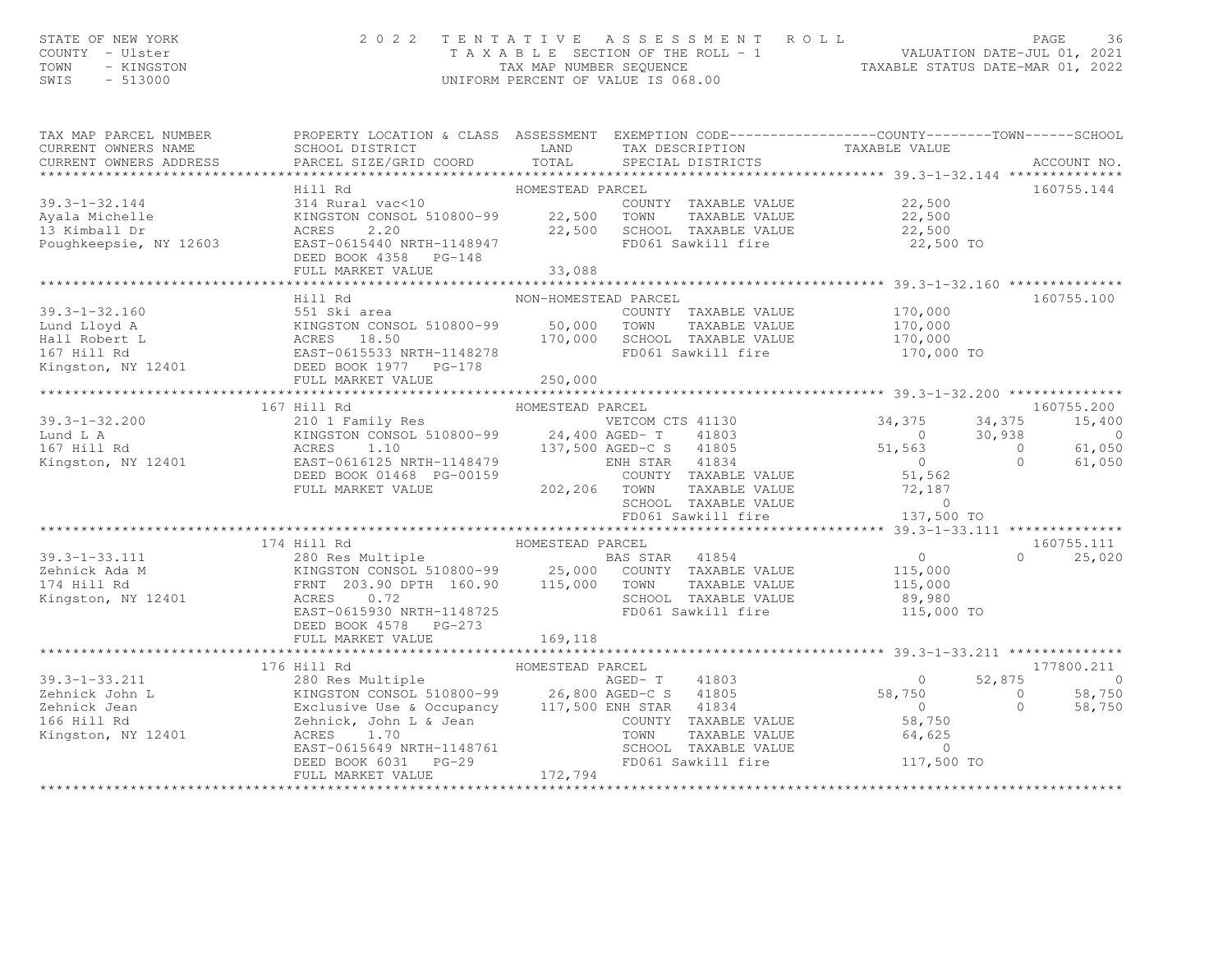# STATE OF NEW YORK ON THE SERVICE A SSESSMENT ROLL PALUATION DATE–JUL 01, 2021<br>COUNTY - Ulster COME (2021 TAXABLE SECTION OF THE ROLL - 1 VALUATION DATE–JUL 01, 2021<br>TAXABLE STATUS DATE–MAR 01, 2022<br>SWIS - 513000

| TAX MAP PARCEL NUMBER                                                                                                                                                                                                                               | PROPERTY LOCATION & CLASS ASSESSMENT EXEMPTION CODE-----------------COUNTY-------TOWN------SCHOOL |         |  |               |
|-----------------------------------------------------------------------------------------------------------------------------------------------------------------------------------------------------------------------------------------------------|---------------------------------------------------------------------------------------------------|---------|--|---------------|
|                                                                                                                                                                                                                                                     |                                                                                                   |         |  |               |
|                                                                                                                                                                                                                                                     |                                                                                                   |         |  |               |
|                                                                                                                                                                                                                                                     |                                                                                                   |         |  | 160755.144    |
|                                                                                                                                                                                                                                                     |                                                                                                   |         |  |               |
|                                                                                                                                                                                                                                                     |                                                                                                   |         |  |               |
|                                                                                                                                                                                                                                                     |                                                                                                   |         |  |               |
| 39.3-1-32.144<br>314 Rural vac<10<br>Ayala Michelle KINGSTON CONSOL 510800-99 22,500 TOWN TAXABLE VALUE 22,500<br>313 Kimball Dr ACRES 2.20 22,500 SCHOOL TAXABLE VALUE 22,500<br>22,500 SCHOOL TAXABLE VALUE 22,500<br>Poughkeepsie, NY            |                                                                                                   |         |  |               |
|                                                                                                                                                                                                                                                     |                                                                                                   |         |  |               |
|                                                                                                                                                                                                                                                     |                                                                                                   |         |  |               |
|                                                                                                                                                                                                                                                     | Hill Rd<br>551 Ski area                     NON-HOMESTEAD PARCEL<br>COUNTY                        |         |  | 160755.100    |
|                                                                                                                                                                                                                                                     |                                                                                                   |         |  |               |
|                                                                                                                                                                                                                                                     |                                                                                                   |         |  |               |
|                                                                                                                                                                                                                                                     |                                                                                                   |         |  |               |
|                                                                                                                                                                                                                                                     |                                                                                                   |         |  |               |
|                                                                                                                                                                                                                                                     |                                                                                                   |         |  |               |
|                                                                                                                                                                                                                                                     |                                                                                                   |         |  |               |
|                                                                                                                                                                                                                                                     |                                                                                                   |         |  |               |
|                                                                                                                                                                                                                                                     |                                                                                                   |         |  |               |
|                                                                                                                                                                                                                                                     |                                                                                                   |         |  |               |
|                                                                                                                                                                                                                                                     |                                                                                                   |         |  |               |
|                                                                                                                                                                                                                                                     |                                                                                                   |         |  |               |
|                                                                                                                                                                                                                                                     |                                                                                                   |         |  |               |
|                                                                                                                                                                                                                                                     |                                                                                                   |         |  |               |
|                                                                                                                                                                                                                                                     |                                                                                                   |         |  |               |
|                                                                                                                                                                                                                                                     |                                                                                                   |         |  |               |
|                                                                                                                                                                                                                                                     |                                                                                                   |         |  |               |
| FULL MARKET VALUE 202,206 TOWN TAXABLE VALUE 72,187<br>FULL MARKET VALUE 202,206 TOWN TAXABLE VALUE 72,187<br>FULL MARKET VALUE 202,206 TOWN SCHOOL TAXABLE VALUE 20<br>FD061 Sawkill fire 137,500 TO<br>174 Hill Rd HOMESTEAD PARCEL 1607          |                                                                                                   |         |  |               |
| 174 Hill Rd<br>280 Res Multiple<br>280 Res Multiple<br>280 Res Multiple<br>29.3-1-33.111<br>280 Res Multiple<br>29.90 DPTH 160.90<br>25,000 COUNTY TAXABLE VALUE<br>29.90 DPTH 160.90<br>25,000 COUNTY TAXABLE VALUE<br>29.90 DPTH 160.90<br>25,000 |                                                                                                   |         |  | 160755.111    |
|                                                                                                                                                                                                                                                     |                                                                                                   |         |  | $0 \t 25,020$ |
|                                                                                                                                                                                                                                                     |                                                                                                   |         |  |               |
|                                                                                                                                                                                                                                                     |                                                                                                   |         |  |               |
|                                                                                                                                                                                                                                                     |                                                                                                   |         |  |               |
|                                                                                                                                                                                                                                                     |                                                                                                   |         |  |               |
|                                                                                                                                                                                                                                                     | DEED BOOK 4578 PG-273                                                                             |         |  |               |
|                                                                                                                                                                                                                                                     | FULL MARKET VALUE                                                                                 | 169,118 |  |               |
|                                                                                                                                                                                                                                                     |                                                                                                   |         |  |               |
|                                                                                                                                                                                                                                                     |                                                                                                   |         |  |               |
|                                                                                                                                                                                                                                                     |                                                                                                   |         |  |               |
|                                                                                                                                                                                                                                                     |                                                                                                   |         |  |               |
|                                                                                                                                                                                                                                                     |                                                                                                   |         |  |               |
|                                                                                                                                                                                                                                                     |                                                                                                   |         |  |               |
|                                                                                                                                                                                                                                                     |                                                                                                   |         |  |               |
|                                                                                                                                                                                                                                                     |                                                                                                   |         |  |               |
|                                                                                                                                                                                                                                                     |                                                                                                   |         |  |               |
|                                                                                                                                                                                                                                                     |                                                                                                   |         |  |               |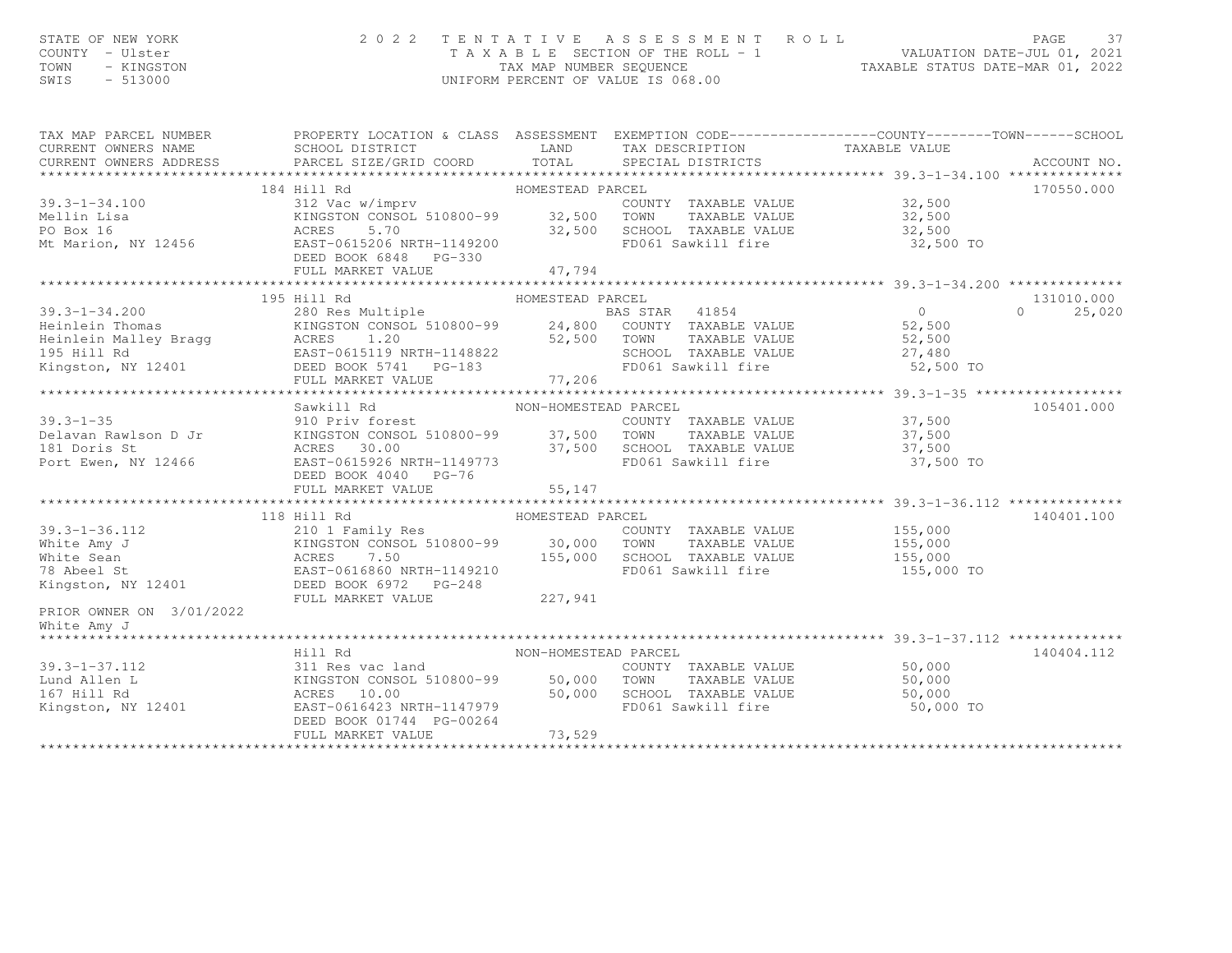### STATE OF NEW YORK PAGE 20022 TENTATIVE ASSESSMENT ROLL PALUATION DATE–JUL 01, 2021<br>COUNTY - Ulster COMES TAXABLE SECTION OF THE ROLL - 1 VALUATION DATE–JUL 01, 2021<br>TAXABLE STATUS DATE–MAR 01, 2022<br>SWIS - 513000

|                          | TAX MAP PARCEL NUMBER THE PROPERTY LOCATION & CLASS ASSESSMENT EXEMPTION CODE--------------COUNTY-------TOWN------SCHOOL                                                                                                                                               |        |                                                             |        |            |
|--------------------------|------------------------------------------------------------------------------------------------------------------------------------------------------------------------------------------------------------------------------------------------------------------------|--------|-------------------------------------------------------------|--------|------------|
|                          |                                                                                                                                                                                                                                                                        |        |                                                             |        |            |
|                          |                                                                                                                                                                                                                                                                        |        |                                                             |        |            |
|                          |                                                                                                                                                                                                                                                                        |        |                                                             |        |            |
|                          | Hill Rd<br>312 Vac w/imprv                     HOMESTEAD PARCEL<br>COUN<br>184 Hill Rd                                                                                                                                                                                 |        |                                                             |        | 170550.000 |
|                          |                                                                                                                                                                                                                                                                        |        |                                                             |        |            |
|                          |                                                                                                                                                                                                                                                                        |        |                                                             |        |            |
|                          |                                                                                                                                                                                                                                                                        |        |                                                             |        |            |
|                          |                                                                                                                                                                                                                                                                        |        |                                                             |        |            |
|                          |                                                                                                                                                                                                                                                                        |        |                                                             |        |            |
|                          | 179.3-1-34.100<br>Mellin Lisa and Homestead PARCEL COUNTY TAXABLE VALUE<br>Mellin Lisa RINGSTON CONSOL 510800-99 32,500 TOWN TAXABLE VALUE<br>PO Box 16 ACRES 5.70 32,500 SCHOOL TAXABLE VALUE<br>ME Marion, NY 12456 EAST-0615206 NRT                                 |        |                                                             |        |            |
|                          |                                                                                                                                                                                                                                                                        |        |                                                             |        |            |
|                          |                                                                                                                                                                                                                                                                        |        |                                                             |        |            |
|                          |                                                                                                                                                                                                                                                                        |        |                                                             |        |            |
|                          |                                                                                                                                                                                                                                                                        |        |                                                             |        |            |
|                          |                                                                                                                                                                                                                                                                        |        |                                                             |        |            |
|                          |                                                                                                                                                                                                                                                                        |        |                                                             |        |            |
|                          |                                                                                                                                                                                                                                                                        |        |                                                             |        |            |
|                          |                                                                                                                                                                                                                                                                        |        |                                                             |        |            |
|                          |                                                                                                                                                                                                                                                                        |        |                                                             |        | 105401.000 |
|                          |                                                                                                                                                                                                                                                                        |        |                                                             |        |            |
|                          |                                                                                                                                                                                                                                                                        |        |                                                             |        |            |
|                          |                                                                                                                                                                                                                                                                        |        |                                                             |        |            |
|                          |                                                                                                                                                                                                                                                                        |        |                                                             |        |            |
|                          |                                                                                                                                                                                                                                                                        |        |                                                             |        |            |
|                          |                                                                                                                                                                                                                                                                        |        |                                                             |        |            |
|                          |                                                                                                                                                                                                                                                                        |        |                                                             |        |            |
|                          | 118 Hill Rd                                                                                                                                                                                                                                                            |        |                                                             |        | 140401.100 |
|                          | Hill Rd<br>210 1 Family Res<br>Resetting MomesTEAD PARCEL                                                                                                                                                                                                              |        |                                                             |        |            |
|                          |                                                                                                                                                                                                                                                                        |        |                                                             |        |            |
|                          |                                                                                                                                                                                                                                                                        |        |                                                             |        |            |
|                          |                                                                                                                                                                                                                                                                        |        | FD061 Sawkill fire 155,000 TO                               |        |            |
|                          |                                                                                                                                                                                                                                                                        |        |                                                             |        |            |
|                          | 39.3-1-36.112<br>White Amy J<br>White Amy J<br>White Sean<br>White Sean<br>The Munite Sean<br>Munite Sean<br>Munite Sean<br>EXERES<br>The Sean<br>EXERES<br>The Sean<br>EXERES<br>The Sean<br>EXERES<br>The Sean<br>EXERES<br>The Sean<br>EXERES<br>The Sean<br>EXERES |        |                                                             |        |            |
| PRIOR OWNER ON 3/01/2022 |                                                                                                                                                                                                                                                                        |        |                                                             |        |            |
| White Amy J              |                                                                                                                                                                                                                                                                        |        |                                                             |        |            |
|                          |                                                                                                                                                                                                                                                                        |        |                                                             |        |            |
|                          |                                                                                                                                                                                                                                                                        |        |                                                             |        | 140404.112 |
|                          |                                                                                                                                                                                                                                                                        |        |                                                             | 50,000 |            |
|                          |                                                                                                                                                                                                                                                                        |        |                                                             |        |            |
|                          |                                                                                                                                                                                                                                                                        |        |                                                             |        |            |
|                          | MON-HOMESTEAD PARCEL<br>39.3-1-37.112<br>Lud Allen L<br>Lud Allen L<br>167 Hill Rd<br>Kingston, NY 12401<br>2010 EARES<br>2010 EARES<br>2010 EARES<br>2010 PARTH-1147979<br>2020 PARTH-1147979<br>2020 PARTH-1147979<br>2020 PARTH-1147979<br>2020 PARTH               |        | SCHOOL TAXABLE VALUE 50,000<br>FD061 Sawkill fire 50,000 TO |        |            |
|                          | DEED BOOK 01744 PG-00264                                                                                                                                                                                                                                               |        |                                                             |        |            |
|                          | FULL MARKET VALUE                                                                                                                                                                                                                                                      | 73,529 |                                                             |        |            |

\*\*\*\*\*\*\*\*\*\*\*\*\*\*\*\*\*\*\*\*\*\*\*\*\*\*\*\*\*\*\*\*\*\*\*\*\*\*\*\*\*\*\*\*\*\*\*\*\*\*\*\*\*\*\*\*\*\*\*\*\*\*\*\*\*\*\*\*\*\*\*\*\*\*\*\*\*\*\*\*\*\*\*\*\*\*\*\*\*\*\*\*\*\*\*\*\*\*\*\*\*\*\*\*\*\*\*\*\*\*\*\*\*\*\*\*\*\*\*\*\*\*\*\*\*\*\*\*\*\*\*\*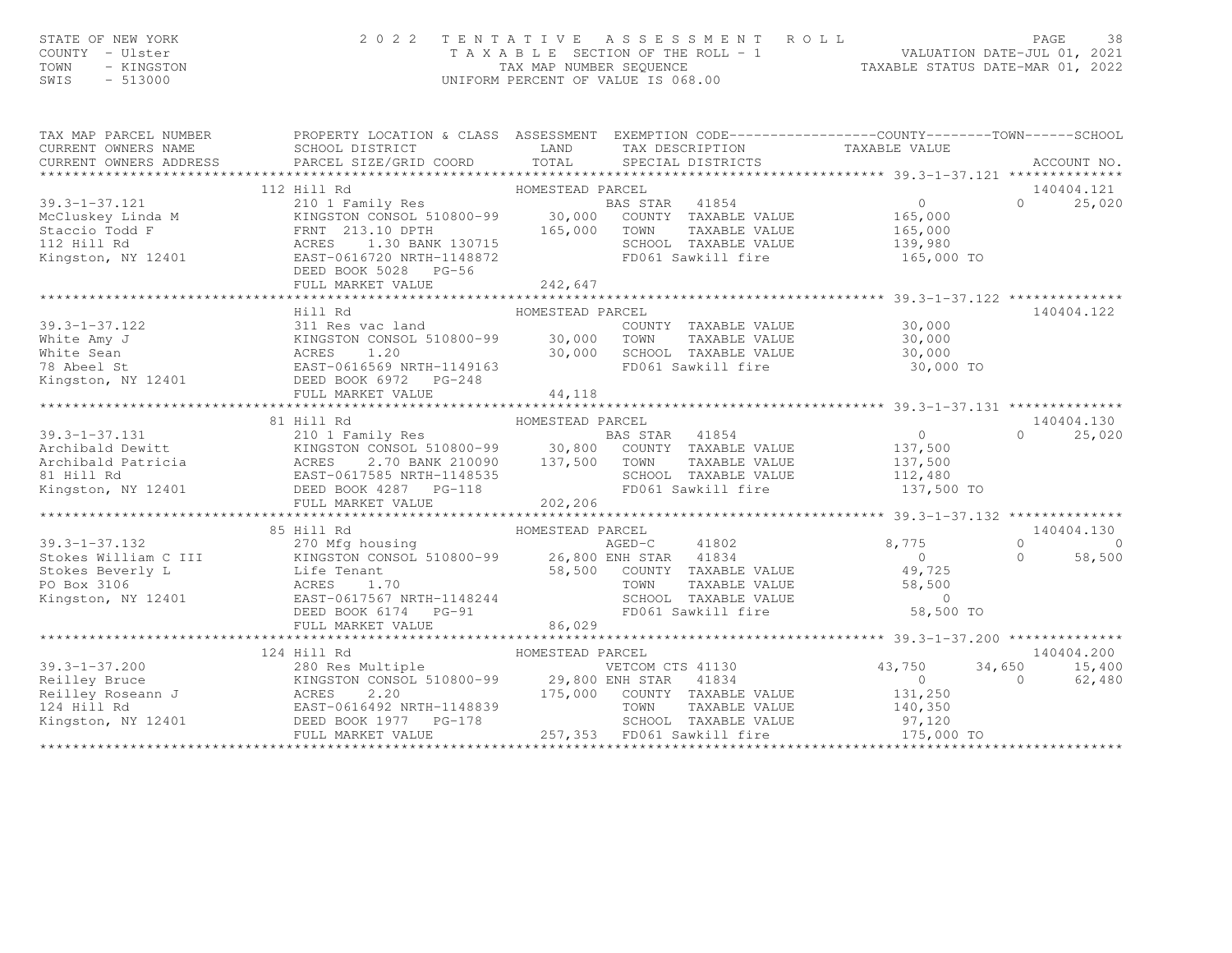### STATE OF NEW YORK THE SAGE ASSESSMENT ROLL PALUATION DATE–JUL 01, 2021<br>COUNTY - Ulster TAXABLE SECTION OF THE ROLL - 1 VALUATION DATE–JUL 01, 2021<br>TAXABLE STATUS TAXAB NUMBER SEQUENCE AND RESOURCE TRANABLE STATUS DATE–MAR

| TAX MAP PARCEL NUMBER |                                          |                                                                                                                                                                                                                                                    | PROPERTY LOCATION & CLASS ASSESSMENT EXEMPTION CODE----------------COUNTY-------TOWN------SCHOOL                                                                                                                                                                                                                         |
|-----------------------|------------------------------------------|----------------------------------------------------------------------------------------------------------------------------------------------------------------------------------------------------------------------------------------------------|--------------------------------------------------------------------------------------------------------------------------------------------------------------------------------------------------------------------------------------------------------------------------------------------------------------------------|
|                       | CURRENT OWNERS NAME SCHOOL DISTRICT LAND |                                                                                                                                                                                                                                                    | TAX DESCRIPTION TAXABLE VALUE                                                                                                                                                                                                                                                                                            |
|                       |                                          |                                                                                                                                                                                                                                                    |                                                                                                                                                                                                                                                                                                                          |
|                       |                                          |                                                                                                                                                                                                                                                    | 112 Hill Rd 112 Hill Rd 210 1 Family Res 212 0 1 Family Res 212 0 1 Family Res 212 0 1 Family Res 212 0 1 Family Res 212 0 1 Family Res 212 0 1 Family Res 212 0 1 Family Res 212 0 1 Family Res 212 0 1 Family Res 212 0 1 Fa                                                                                           |
|                       |                                          |                                                                                                                                                                                                                                                    |                                                                                                                                                                                                                                                                                                                          |
|                       |                                          |                                                                                                                                                                                                                                                    |                                                                                                                                                                                                                                                                                                                          |
|                       |                                          |                                                                                                                                                                                                                                                    |                                                                                                                                                                                                                                                                                                                          |
|                       |                                          |                                                                                                                                                                                                                                                    |                                                                                                                                                                                                                                                                                                                          |
|                       |                                          |                                                                                                                                                                                                                                                    |                                                                                                                                                                                                                                                                                                                          |
|                       |                                          |                                                                                                                                                                                                                                                    |                                                                                                                                                                                                                                                                                                                          |
|                       |                                          |                                                                                                                                                                                                                                                    |                                                                                                                                                                                                                                                                                                                          |
|                       |                                          |                                                                                                                                                                                                                                                    |                                                                                                                                                                                                                                                                                                                          |
|                       |                                          |                                                                                                                                                                                                                                                    |                                                                                                                                                                                                                                                                                                                          |
|                       |                                          |                                                                                                                                                                                                                                                    |                                                                                                                                                                                                                                                                                                                          |
|                       |                                          |                                                                                                                                                                                                                                                    |                                                                                                                                                                                                                                                                                                                          |
|                       |                                          |                                                                                                                                                                                                                                                    |                                                                                                                                                                                                                                                                                                                          |
|                       |                                          |                                                                                                                                                                                                                                                    |                                                                                                                                                                                                                                                                                                                          |
|                       |                                          |                                                                                                                                                                                                                                                    |                                                                                                                                                                                                                                                                                                                          |
|                       |                                          |                                                                                                                                                                                                                                                    |                                                                                                                                                                                                                                                                                                                          |
|                       |                                          |                                                                                                                                                                                                                                                    |                                                                                                                                                                                                                                                                                                                          |
|                       |                                          |                                                                                                                                                                                                                                                    |                                                                                                                                                                                                                                                                                                                          |
|                       |                                          |                                                                                                                                                                                                                                                    |                                                                                                                                                                                                                                                                                                                          |
|                       |                                          |                                                                                                                                                                                                                                                    |                                                                                                                                                                                                                                                                                                                          |
|                       |                                          |                                                                                                                                                                                                                                                    |                                                                                                                                                                                                                                                                                                                          |
|                       |                                          |                                                                                                                                                                                                                                                    |                                                                                                                                                                                                                                                                                                                          |
|                       |                                          |                                                                                                                                                                                                                                                    |                                                                                                                                                                                                                                                                                                                          |
|                       |                                          |                                                                                                                                                                                                                                                    |                                                                                                                                                                                                                                                                                                                          |
|                       |                                          |                                                                                                                                                                                                                                                    | 39.3-1-37.131 and 210 1 Family Res BAS STAR 41854 books are also and the control of the control of the control of the control of the control of the control of the control of the control of the control of the control of the                                                                                           |
|                       |                                          | 39.3-1-37.132<br>39.3-1-37.132<br>39.3-1-37.132<br>37.9 1375<br>37.9 1375<br>37.9 270 Mfg housing<br>270 Mfg housing<br>270 Mfg housing<br>270 Mfg housing<br>270 Mfg housing<br>26,800 ENH STAR 41834<br>26,800 ENH STAR 41834 0<br>38,500 COUNTY | 140404.130                                                                                                                                                                                                                                                                                                               |
|                       |                                          |                                                                                                                                                                                                                                                    | $\begin{matrix} 0 & 0 \\ 0 & 0 \end{matrix}$                                                                                                                                                                                                                                                                             |
|                       |                                          |                                                                                                                                                                                                                                                    | $\overline{0}$<br>58,500                                                                                                                                                                                                                                                                                                 |
|                       |                                          |                                                                                                                                                                                                                                                    |                                                                                                                                                                                                                                                                                                                          |
|                       |                                          |                                                                                                                                                                                                                                                    | TOWN TAXABLE VALUE 58,500<br>SCHOOL TAXABLE VALUE 58,500<br>FD061 Sawkill fire 58,500 TO                                                                                                                                                                                                                                 |
|                       |                                          |                                                                                                                                                                                                                                                    |                                                                                                                                                                                                                                                                                                                          |
|                       |                                          |                                                                                                                                                                                                                                                    |                                                                                                                                                                                                                                                                                                                          |
|                       | FULL MARKET VALUE                        | 86,029                                                                                                                                                                                                                                             |                                                                                                                                                                                                                                                                                                                          |
|                       |                                          |                                                                                                                                                                                                                                                    |                                                                                                                                                                                                                                                                                                                          |
|                       |                                          |                                                                                                                                                                                                                                                    |                                                                                                                                                                                                                                                                                                                          |
|                       |                                          |                                                                                                                                                                                                                                                    |                                                                                                                                                                                                                                                                                                                          |
|                       |                                          |                                                                                                                                                                                                                                                    |                                                                                                                                                                                                                                                                                                                          |
|                       |                                          |                                                                                                                                                                                                                                                    |                                                                                                                                                                                                                                                                                                                          |
|                       |                                          |                                                                                                                                                                                                                                                    |                                                                                                                                                                                                                                                                                                                          |
|                       |                                          |                                                                                                                                                                                                                                                    |                                                                                                                                                                                                                                                                                                                          |
|                       |                                          |                                                                                                                                                                                                                                                    | $R\left(\mbox{10.4cm},\mbox{11.4cm},\mbox{12.4cm},\mbox{13.4cm},\mbox{14.4cm},\mbox{15.4cm},\mbox{16.4cm},\mbox{17.4cm},\mbox{18.4cm},\mbox{19.4cm},\mbox{19.4cm},\mbox{19.4cm},\mbox{19.4cm},\mbox{19.4cm},\mbox{19.4cm},\mbox{19.4cm},\mbox{19.4cm},\mbox{19.4cm},\mbox{19.4cm},\mbox{19.4cm},\mbox{19.4cm},\mbox{19.$ |
|                       |                                          |                                                                                                                                                                                                                                                    |                                                                                                                                                                                                                                                                                                                          |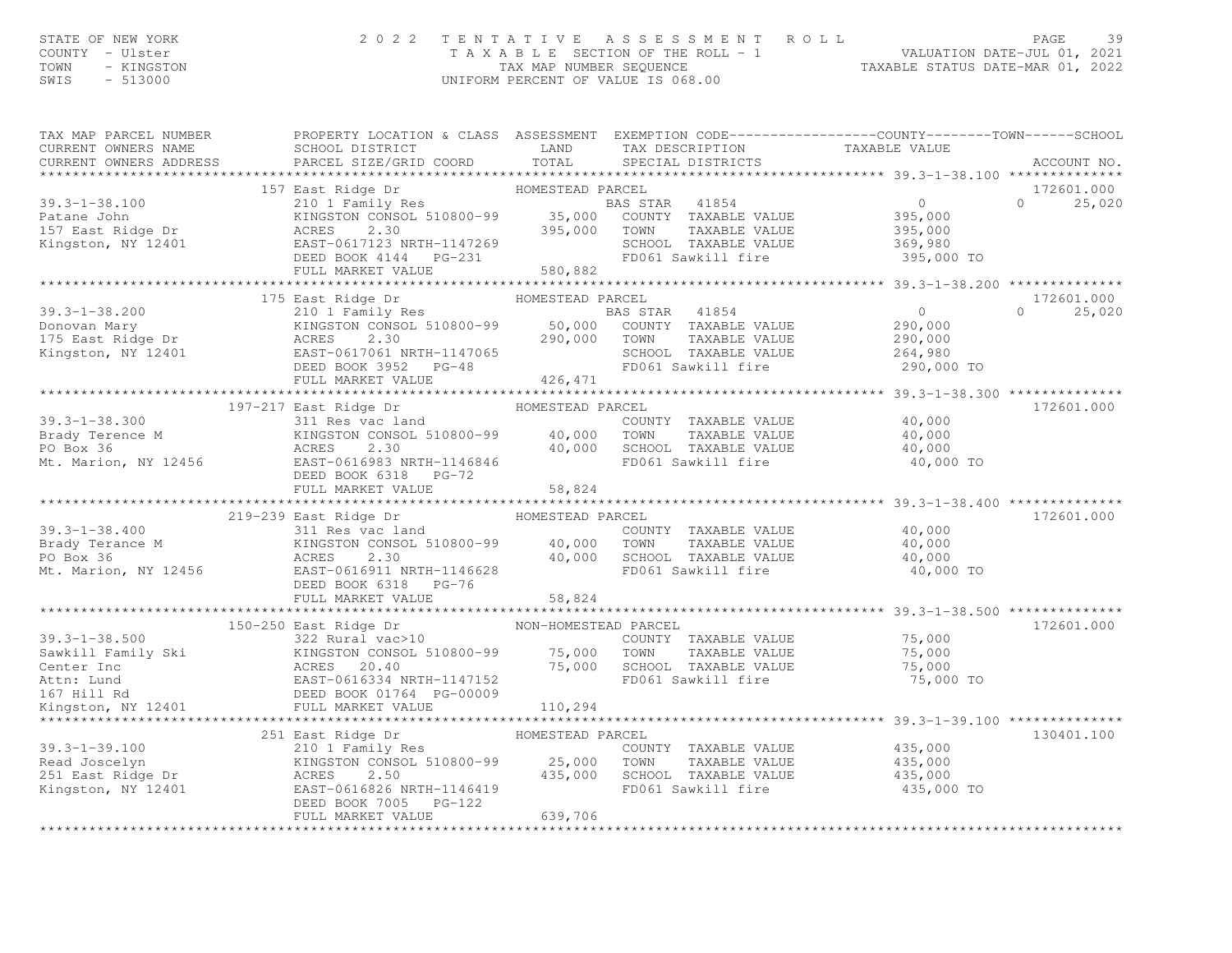# STATE OF NEW YORK THE SERVICE 2022 TENTATIVE ASSESSMENT ROLL TROUDUST PAGE 39<br>COUNTY - Ulster TAXABLE SECTION OF THE ROLL - 1 VALUATION DATE-JUL 01, 2021<br>TAXABLE STATUS TAXAB NUMBER SEQUENCE AND TRANSPORT TRANSPORTS TOWN T

| TAX MAP PARCEL NUMBER                                                                                                                                                                                                                               | PROPERTY LOCATION & CLASS ASSESSMENT EXEMPTION CODE----------------COUNTY-------TOWN------SCHOOL |                  |                                                                                     |                                             |                                               |
|-----------------------------------------------------------------------------------------------------------------------------------------------------------------------------------------------------------------------------------------------------|--------------------------------------------------------------------------------------------------|------------------|-------------------------------------------------------------------------------------|---------------------------------------------|-----------------------------------------------|
|                                                                                                                                                                                                                                                     |                                                                                                  |                  | SCHOOL TAXABLE VALUE 369,980<br>FD061 Sawkill fire 395,000 TO                       |                                             | 172601.000<br>25,020<br>$\Omega$ and $\Omega$ |
|                                                                                                                                                                                                                                                     |                                                                                                  |                  |                                                                                     |                                             |                                               |
| 39.3-1-38.200<br>Donovan Mary<br>175 East Ridge Dr<br>290,000 TOWN TAXABLE VALUE<br>290,000 TOWN TAXABLE VALUE<br>290,000 TOWN TAXABLE VALUE<br>290,000 TOWN TAXABLE VALUE<br>290,000 TOWN TAXABLE VALUE<br>290,000 TOWN TAXABLE VALUE<br>290,00    | 175 East Ridge Dr                                                                                | HOMESTEAD PARCEL |                                                                                     | $\overline{0}$<br>290,000<br>290,000        | 172601.000<br>25,020<br>$\cap$                |
|                                                                                                                                                                                                                                                     | FULL MARKET VALUE 426, 471                                                                       |                  | SCHOOL TAXABLE VALUE 264,980<br>FD061 Sawkill fire                                  | 290,000 TO                                  |                                               |
|                                                                                                                                                                                                                                                     |                                                                                                  |                  |                                                                                     |                                             |                                               |
|                                                                                                                                                                                                                                                     | 197-217 East Ridge Dr<br>DEED BOOK 6318 PG-72                                                    | HOMESTEAD PARCEL |                                                                                     | 40,000 TO                                   | 172601.000                                    |
|                                                                                                                                                                                                                                                     |                                                                                                  |                  |                                                                                     |                                             |                                               |
|                                                                                                                                                                                                                                                     |                                                                                                  |                  |                                                                                     |                                             |                                               |
| 39.3-1-38.400<br>Brady Terance M<br>Produce M<br>EVINGSTON CONSOL 510800-99<br>Multimum and Taxable VALUE<br>Multimum and Taxable VALUE<br>ACRES 2.30<br>Multimum and 2.30<br>Multimum and 2.30<br>Multimum and 2.30<br>Multimum and 2.30<br>Multim | 219-239 East Ridge Dr<br>DEED BOOK 6318 PG-76<br>FULL MARKET VALUE 58,824                        | HOMESTEAD PARCEL |                                                                                     |                                             | 172601.000                                    |
|                                                                                                                                                                                                                                                     |                                                                                                  |                  |                                                                                     |                                             |                                               |
| $39.3 - 1 - 38.500$                                                                                                                                                                                                                                 |                                                                                                  |                  | COUNTY TAXABLE VALUE 75,000                                                         | 75,000 TO                                   | 172601.000                                    |
|                                                                                                                                                                                                                                                     |                                                                                                  |                  |                                                                                     |                                             |                                               |
|                                                                                                                                                                                                                                                     | 251 East Ridge Dr                                                                                |                  | ************************************39.3–1–39.100 ***************                   |                                             | 130401.100                                    |
| $39.3 - 1 - 39.100$<br>39.3-1-39.100<br>Read Joscelyn<br>251 East Ridge Dr<br>Kingston, NY 12401                                                                                                                                                    | DEED BOOK 7005 PG-122<br>FULL MARKET VALUE                                                       | 639,706          | COUNTY TAXABLE VALUE<br>TAXABLE VALUE<br>SCHOOL TAXABLE VALUE<br>FD061 Sawkill fire | 435,000<br>435,000<br>435,000<br>435,000 TO |                                               |
|                                                                                                                                                                                                                                                     |                                                                                                  |                  |                                                                                     |                                             |                                               |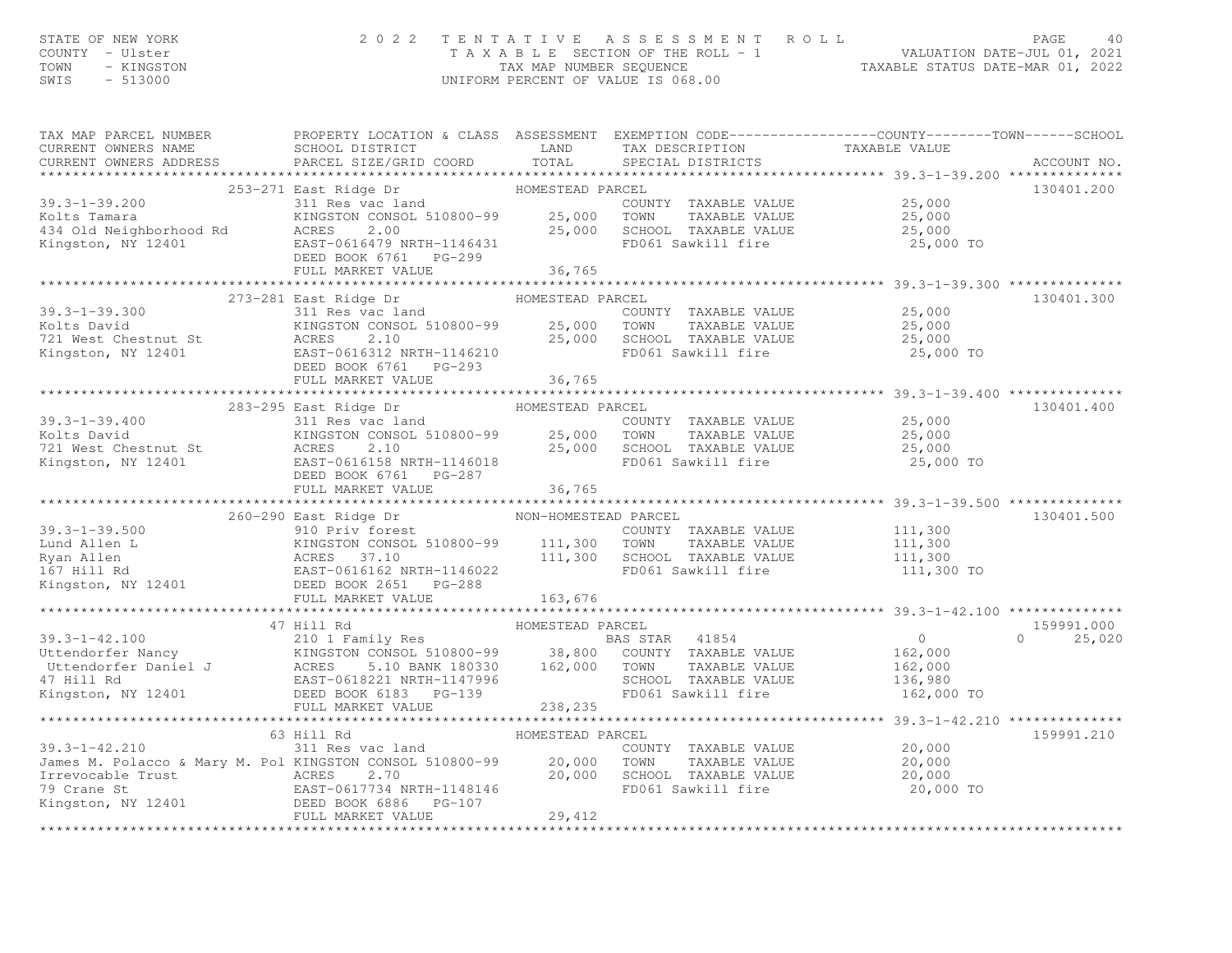| STATE OF NEW YORK<br>COUNTY - Ulster<br>TOWN<br>- KINGSTON<br>SWIS<br>$-513000$                                                                                                                                                                                                                                                                                                                    |                   |        | $\begin{tabular}{lllllllllllllllll} \multicolumn{3}{c}{2\ 0\ 2\ 2\ &\mbox{T} \; \; \mathbb{E}\; N\; T\; A\; T\; I\; V\; E\; & A\; S\; S\; E\; S\; S\; M\; E\; N\; T\; & R\; O\; L\; &\mbox{VALUATION DATE–JUL 01, 2021}\\ & T\; A\; X\; A\; B\; L\; E\; SECTION OF THE ROLL-1 & &\mbox{VALUATION DATE–JUL 01, 2022}\\ & T\; A\; N\; MAP\; NUMBER SEQUENCE &\n & TAXABLE STATUS D$ |           |                             |
|----------------------------------------------------------------------------------------------------------------------------------------------------------------------------------------------------------------------------------------------------------------------------------------------------------------------------------------------------------------------------------------------------|-------------------|--------|-----------------------------------------------------------------------------------------------------------------------------------------------------------------------------------------------------------------------------------------------------------------------------------------------------------------------------------------------------------------------------------|-----------|-----------------------------|
|                                                                                                                                                                                                                                                                                                                                                                                                    |                   |        |                                                                                                                                                                                                                                                                                                                                                                                   |           |                             |
|                                                                                                                                                                                                                                                                                                                                                                                                    |                   |        |                                                                                                                                                                                                                                                                                                                                                                                   |           |                             |
|                                                                                                                                                                                                                                                                                                                                                                                                    |                   |        |                                                                                                                                                                                                                                                                                                                                                                                   | 25,000 TO | 130401.200                  |
|                                                                                                                                                                                                                                                                                                                                                                                                    |                   |        |                                                                                                                                                                                                                                                                                                                                                                                   |           |                             |
| 39.3-1-39.300<br>273-281 East Ridge Dr HOMESTEAD PARCEL<br>273-281 East Ridge Dr HOMESTEAD PARCEL<br>311 Res vac land<br>25,000<br>25,000 TOWN TAXABLE VALUE<br>25,000 25,000 TOWN TAXABLE VALUE<br>25,000 25,000 SCHOOL TAXABLE VALUE<br>25,0                                                                                                                                                     |                   |        |                                                                                                                                                                                                                                                                                                                                                                                   |           | 130401.300                  |
|                                                                                                                                                                                                                                                                                                                                                                                                    |                   |        |                                                                                                                                                                                                                                                                                                                                                                                   |           |                             |
|                                                                                                                                                                                                                                                                                                                                                                                                    |                   |        |                                                                                                                                                                                                                                                                                                                                                                                   |           |                             |
|                                                                                                                                                                                                                                                                                                                                                                                                    |                   |        |                                                                                                                                                                                                                                                                                                                                                                                   |           | 130401.400                  |
|                                                                                                                                                                                                                                                                                                                                                                                                    |                   |        |                                                                                                                                                                                                                                                                                                                                                                                   |           |                             |
|                                                                                                                                                                                                                                                                                                                                                                                                    |                   |        |                                                                                                                                                                                                                                                                                                                                                                                   |           |                             |
|                                                                                                                                                                                                                                                                                                                                                                                                    |                   |        |                                                                                                                                                                                                                                                                                                                                                                                   |           |                             |
|                                                                                                                                                                                                                                                                                                                                                                                                    |                   |        |                                                                                                                                                                                                                                                                                                                                                                                   |           | 130401.500                  |
|                                                                                                                                                                                                                                                                                                                                                                                                    |                   |        |                                                                                                                                                                                                                                                                                                                                                                                   |           |                             |
|                                                                                                                                                                                                                                                                                                                                                                                                    |                   |        |                                                                                                                                                                                                                                                                                                                                                                                   |           |                             |
| 10 10 10 10 10 10 100 100 100 100 1000 1000 1000 1000 1000 1000 1000 1000 1000 1000 1000 1000 1000 10000 10000<br>200 1000 1000 10000 10000 10000 10000 10000 10000 10000 10000 10000 10000 10000 10000 10000 10000 10000 10000                                                                                                                                                                    |                   |        |                                                                                                                                                                                                                                                                                                                                                                                   |           | 159991.000<br>$0 \t 25,020$ |
|                                                                                                                                                                                                                                                                                                                                                                                                    |                   |        |                                                                                                                                                                                                                                                                                                                                                                                   |           |                             |
|                                                                                                                                                                                                                                                                                                                                                                                                    |                   |        |                                                                                                                                                                                                                                                                                                                                                                                   |           | 159991.210                  |
| $53$ Hill Rd<br>$39.3-1-42.210$<br>$311$ Res vac land<br>$53$ Hill Rd<br>$311$ Res vac land<br>$53$ Hill Rd<br>$311$ Res vac land<br>$53$ HoMESTEAD PARCEL<br>30,000 TOWN TAXABLE VALUE<br>Trevocable Trust and Mary M. Pol KINGSTON CONSOL 510800-99 20,000 TOWN TAXABLE VALUE<br>Trevocable Trust and Mary 20,000 20,000 SCHOOL TAXABLE VALUE 20,000<br>79 Crane St BAST-061734 NRTH-1148146 FD0 |                   |        | COUNTY TAXABLE VALUE 20,000                                                                                                                                                                                                                                                                                                                                                       | 20,000 TO |                             |
|                                                                                                                                                                                                                                                                                                                                                                                                    | FULL MARKET VALUE | 29,412 |                                                                                                                                                                                                                                                                                                                                                                                   |           |                             |

\*\*\*\*\*\*\*\*\*\*\*\*\*\*\*\*\*\*\*\*\*\*\*\*\*\*\*\*\*\*\*\*\*\*\*\*\*\*\*\*\*\*\*\*\*\*\*\*\*\*\*\*\*\*\*\*\*\*\*\*\*\*\*\*\*\*\*\*\*\*\*\*\*\*\*\*\*\*\*\*\*\*\*\*\*\*\*\*\*\*\*\*\*\*\*\*\*\*\*\*\*\*\*\*\*\*\*\*\*\*\*\*\*\*\*\*\*\*\*\*\*\*\*\*\*\*\*\*\*\*\*\*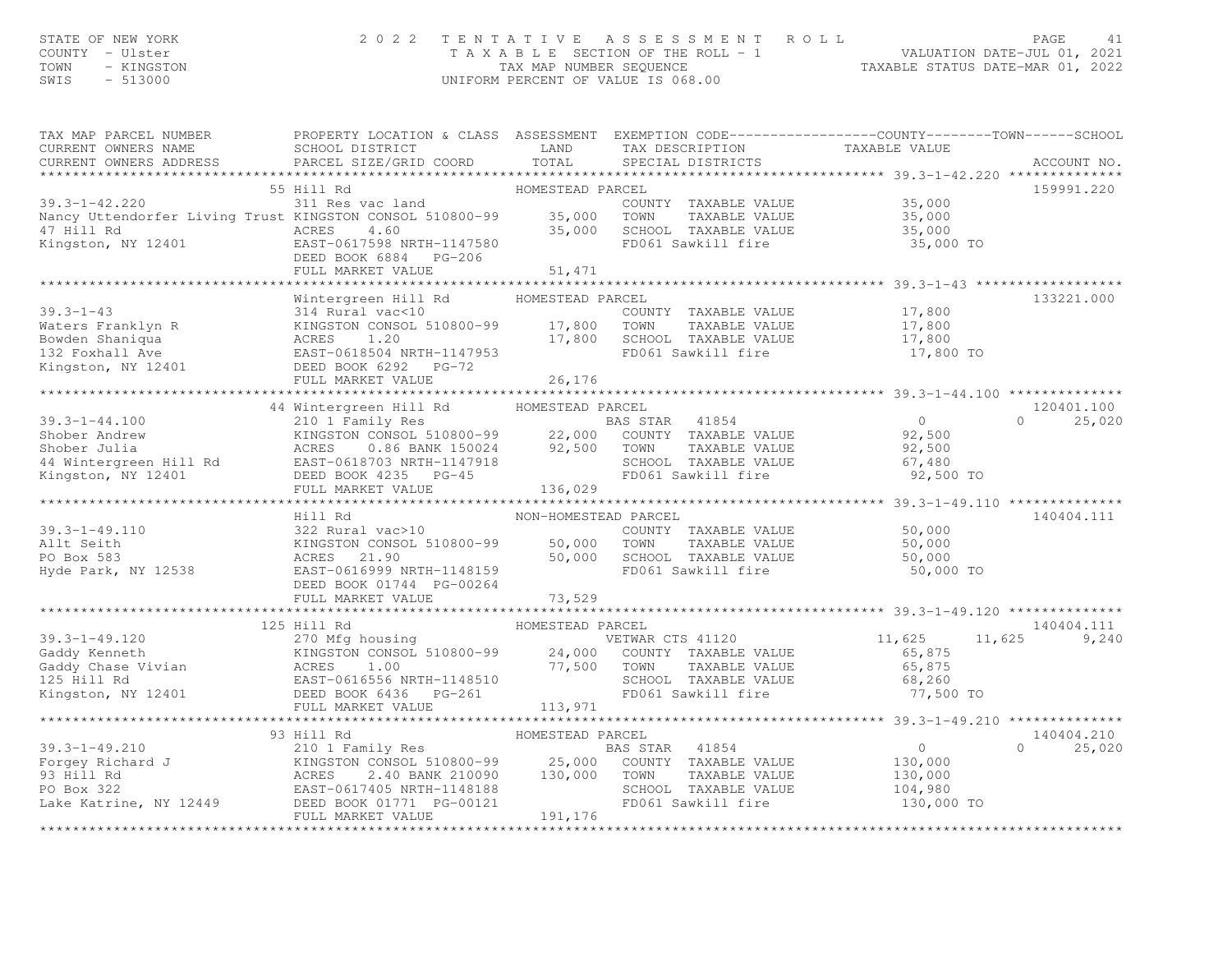# STATE OF NEW YORK (AND ROTE ) A SERIES SIMENT ROLL PALUATION DATE–JUL 01, 2021<br>COUNTY - Ulster (AND STATE A MAPING SEQUENCE) IN TAXING THE ROLL - 1 (VALUATION DATE–JUL 01, 2021<br>TAXING TRINGSTON (INTERCENT OF VALUATION SEQU

| TAX MAP PARCEL NUMBER AND FROPERTI LOCATION & CLASS ASSESSMENT LALIFITION CODE---------<br>CURRENT OWNERS NAME SCHOOL DISTRICT LAND TAX DESCRIPTION TAXABLE VALUE<br>CURRENT OWNERS ADDRESS PARCEL SIZE/GRID COORD TOTAL SPECIAL DIS<br>$\begin{tabular}{lllllllllllll} \text{39.3--1--42.220} & \text{55 Hill Rd} & \text{HOMESTED PARCH} & \text{HOMESTED PARCH} & \text{COUNITY TAXABLE VALUE} & \text{39.3--1--42.2.} \\ & 311 Res vac land & \text{COMESTED PARCH} & \text{COUNITY TAXABLE VALUE} & \text{35,000} \\ & 47 Hill Rd & \text{ACRES} & 4.60\\ \text{Kingston, NY 12401} & \text{EARET}-0617598 NRTH-1147580 & \text{35,000} & \text{TO61 Sawkill fire} & \text$<br>159991.220<br>133221.000<br>Hill Rd<br>322 Rural vac>10<br>NON-HOMESTEAD PARCEL<br>140404.111<br>COUNTY TAXABLE VALUE 50,000<br>50,000 TOWN TAXABLE VALUE 50,000<br>50,000 SCHOOL TAXABLE VALUE 50,000<br>FD061 Sawkill fire 50,000 TO<br>39.3-1-49.110<br>Allt Seith Eineston COUNT<br>PO Box 583<br>Hyde Park, NY 12538<br>Hyde Park, NY 12538<br>Hyde Park, NY 12538<br>PO BOX 615999 NRTH-1148159<br>PO BOX 61744<br>PO BOX 61744<br>PO BOX 61744<br>PO BOX 61744<br>PO BOX 61744<br>PO BOX<br>DEED BOOK 01744 PG-00264<br>FULL MARKET VALUE<br>73,529<br>140404.111<br>9,240<br>11,625<br>SCHOOL TAXABLE VALUE 68,260<br>FD061 Sawkill fire 77,500 TO<br>************************************39.3-1-49.210 *******************************<br>140404.210<br>39.3-1-49.210<br>Forgey Richard J<br>Family Res<br>Forgey Richard J<br>210 1 Family Res<br>EASTON CONSOL 510800-99<br>25,000 COUNTY TAXABLE VALUE<br>210 1 Family Res<br>25,000 COUNTY TAXABLE VALUE<br>25.000 COUNTY TAXABLE VALUE<br>25.000 COUN<br>25,020<br>$\Omega$<br>130,000 TO<br>191, 176<br>FULL MARKET VALUE | TAX MAP PARCEL NUMBER | PROPERTY LOCATION & CLASS ASSESSMENT EXEMPTION CODE----------------COUNTY-------TOWN------SCHOOL |  |  |
|------------------------------------------------------------------------------------------------------------------------------------------------------------------------------------------------------------------------------------------------------------------------------------------------------------------------------------------------------------------------------------------------------------------------------------------------------------------------------------------------------------------------------------------------------------------------------------------------------------------------------------------------------------------------------------------------------------------------------------------------------------------------------------------------------------------------------------------------------------------------------------------------------------------------------------------------------------------------------------------------------------------------------------------------------------------------------------------------------------------------------------------------------------------------------------------------------------------------------------------------------------------------------------------------------------------------------------------------------------------------------------------------------------------------------------------------------------------------------------------------------------------------------------------------------------------------------------------------------------------------------------------------------------------------------------------------------------------------------------------------------------------------------|-----------------------|--------------------------------------------------------------------------------------------------|--|--|
|                                                                                                                                                                                                                                                                                                                                                                                                                                                                                                                                                                                                                                                                                                                                                                                                                                                                                                                                                                                                                                                                                                                                                                                                                                                                                                                                                                                                                                                                                                                                                                                                                                                                                                                                                                              |                       |                                                                                                  |  |  |
|                                                                                                                                                                                                                                                                                                                                                                                                                                                                                                                                                                                                                                                                                                                                                                                                                                                                                                                                                                                                                                                                                                                                                                                                                                                                                                                                                                                                                                                                                                                                                                                                                                                                                                                                                                              |                       |                                                                                                  |  |  |
|                                                                                                                                                                                                                                                                                                                                                                                                                                                                                                                                                                                                                                                                                                                                                                                                                                                                                                                                                                                                                                                                                                                                                                                                                                                                                                                                                                                                                                                                                                                                                                                                                                                                                                                                                                              |                       |                                                                                                  |  |  |
|                                                                                                                                                                                                                                                                                                                                                                                                                                                                                                                                                                                                                                                                                                                                                                                                                                                                                                                                                                                                                                                                                                                                                                                                                                                                                                                                                                                                                                                                                                                                                                                                                                                                                                                                                                              |                       |                                                                                                  |  |  |
|                                                                                                                                                                                                                                                                                                                                                                                                                                                                                                                                                                                                                                                                                                                                                                                                                                                                                                                                                                                                                                                                                                                                                                                                                                                                                                                                                                                                                                                                                                                                                                                                                                                                                                                                                                              |                       |                                                                                                  |  |  |
|                                                                                                                                                                                                                                                                                                                                                                                                                                                                                                                                                                                                                                                                                                                                                                                                                                                                                                                                                                                                                                                                                                                                                                                                                                                                                                                                                                                                                                                                                                                                                                                                                                                                                                                                                                              |                       |                                                                                                  |  |  |
|                                                                                                                                                                                                                                                                                                                                                                                                                                                                                                                                                                                                                                                                                                                                                                                                                                                                                                                                                                                                                                                                                                                                                                                                                                                                                                                                                                                                                                                                                                                                                                                                                                                                                                                                                                              |                       |                                                                                                  |  |  |
|                                                                                                                                                                                                                                                                                                                                                                                                                                                                                                                                                                                                                                                                                                                                                                                                                                                                                                                                                                                                                                                                                                                                                                                                                                                                                                                                                                                                                                                                                                                                                                                                                                                                                                                                                                              |                       |                                                                                                  |  |  |
|                                                                                                                                                                                                                                                                                                                                                                                                                                                                                                                                                                                                                                                                                                                                                                                                                                                                                                                                                                                                                                                                                                                                                                                                                                                                                                                                                                                                                                                                                                                                                                                                                                                                                                                                                                              |                       |                                                                                                  |  |  |
|                                                                                                                                                                                                                                                                                                                                                                                                                                                                                                                                                                                                                                                                                                                                                                                                                                                                                                                                                                                                                                                                                                                                                                                                                                                                                                                                                                                                                                                                                                                                                                                                                                                                                                                                                                              |                       |                                                                                                  |  |  |
|                                                                                                                                                                                                                                                                                                                                                                                                                                                                                                                                                                                                                                                                                                                                                                                                                                                                                                                                                                                                                                                                                                                                                                                                                                                                                                                                                                                                                                                                                                                                                                                                                                                                                                                                                                              |                       |                                                                                                  |  |  |
|                                                                                                                                                                                                                                                                                                                                                                                                                                                                                                                                                                                                                                                                                                                                                                                                                                                                                                                                                                                                                                                                                                                                                                                                                                                                                                                                                                                                                                                                                                                                                                                                                                                                                                                                                                              |                       |                                                                                                  |  |  |
|                                                                                                                                                                                                                                                                                                                                                                                                                                                                                                                                                                                                                                                                                                                                                                                                                                                                                                                                                                                                                                                                                                                                                                                                                                                                                                                                                                                                                                                                                                                                                                                                                                                                                                                                                                              |                       |                                                                                                  |  |  |
|                                                                                                                                                                                                                                                                                                                                                                                                                                                                                                                                                                                                                                                                                                                                                                                                                                                                                                                                                                                                                                                                                                                                                                                                                                                                                                                                                                                                                                                                                                                                                                                                                                                                                                                                                                              |                       |                                                                                                  |  |  |
|                                                                                                                                                                                                                                                                                                                                                                                                                                                                                                                                                                                                                                                                                                                                                                                                                                                                                                                                                                                                                                                                                                                                                                                                                                                                                                                                                                                                                                                                                                                                                                                                                                                                                                                                                                              |                       |                                                                                                  |  |  |
|                                                                                                                                                                                                                                                                                                                                                                                                                                                                                                                                                                                                                                                                                                                                                                                                                                                                                                                                                                                                                                                                                                                                                                                                                                                                                                                                                                                                                                                                                                                                                                                                                                                                                                                                                                              |                       |                                                                                                  |  |  |
|                                                                                                                                                                                                                                                                                                                                                                                                                                                                                                                                                                                                                                                                                                                                                                                                                                                                                                                                                                                                                                                                                                                                                                                                                                                                                                                                                                                                                                                                                                                                                                                                                                                                                                                                                                              |                       |                                                                                                  |  |  |
|                                                                                                                                                                                                                                                                                                                                                                                                                                                                                                                                                                                                                                                                                                                                                                                                                                                                                                                                                                                                                                                                                                                                                                                                                                                                                                                                                                                                                                                                                                                                                                                                                                                                                                                                                                              |                       |                                                                                                  |  |  |
|                                                                                                                                                                                                                                                                                                                                                                                                                                                                                                                                                                                                                                                                                                                                                                                                                                                                                                                                                                                                                                                                                                                                                                                                                                                                                                                                                                                                                                                                                                                                                                                                                                                                                                                                                                              |                       |                                                                                                  |  |  |
|                                                                                                                                                                                                                                                                                                                                                                                                                                                                                                                                                                                                                                                                                                                                                                                                                                                                                                                                                                                                                                                                                                                                                                                                                                                                                                                                                                                                                                                                                                                                                                                                                                                                                                                                                                              |                       |                                                                                                  |  |  |
|                                                                                                                                                                                                                                                                                                                                                                                                                                                                                                                                                                                                                                                                                                                                                                                                                                                                                                                                                                                                                                                                                                                                                                                                                                                                                                                                                                                                                                                                                                                                                                                                                                                                                                                                                                              |                       |                                                                                                  |  |  |
|                                                                                                                                                                                                                                                                                                                                                                                                                                                                                                                                                                                                                                                                                                                                                                                                                                                                                                                                                                                                                                                                                                                                                                                                                                                                                                                                                                                                                                                                                                                                                                                                                                                                                                                                                                              |                       |                                                                                                  |  |  |
|                                                                                                                                                                                                                                                                                                                                                                                                                                                                                                                                                                                                                                                                                                                                                                                                                                                                                                                                                                                                                                                                                                                                                                                                                                                                                                                                                                                                                                                                                                                                                                                                                                                                                                                                                                              |                       |                                                                                                  |  |  |
|                                                                                                                                                                                                                                                                                                                                                                                                                                                                                                                                                                                                                                                                                                                                                                                                                                                                                                                                                                                                                                                                                                                                                                                                                                                                                                                                                                                                                                                                                                                                                                                                                                                                                                                                                                              |                       |                                                                                                  |  |  |
|                                                                                                                                                                                                                                                                                                                                                                                                                                                                                                                                                                                                                                                                                                                                                                                                                                                                                                                                                                                                                                                                                                                                                                                                                                                                                                                                                                                                                                                                                                                                                                                                                                                                                                                                                                              |                       |                                                                                                  |  |  |
|                                                                                                                                                                                                                                                                                                                                                                                                                                                                                                                                                                                                                                                                                                                                                                                                                                                                                                                                                                                                                                                                                                                                                                                                                                                                                                                                                                                                                                                                                                                                                                                                                                                                                                                                                                              |                       |                                                                                                  |  |  |
|                                                                                                                                                                                                                                                                                                                                                                                                                                                                                                                                                                                                                                                                                                                                                                                                                                                                                                                                                                                                                                                                                                                                                                                                                                                                                                                                                                                                                                                                                                                                                                                                                                                                                                                                                                              |                       |                                                                                                  |  |  |
|                                                                                                                                                                                                                                                                                                                                                                                                                                                                                                                                                                                                                                                                                                                                                                                                                                                                                                                                                                                                                                                                                                                                                                                                                                                                                                                                                                                                                                                                                                                                                                                                                                                                                                                                                                              |                       |                                                                                                  |  |  |
|                                                                                                                                                                                                                                                                                                                                                                                                                                                                                                                                                                                                                                                                                                                                                                                                                                                                                                                                                                                                                                                                                                                                                                                                                                                                                                                                                                                                                                                                                                                                                                                                                                                                                                                                                                              |                       |                                                                                                  |  |  |
|                                                                                                                                                                                                                                                                                                                                                                                                                                                                                                                                                                                                                                                                                                                                                                                                                                                                                                                                                                                                                                                                                                                                                                                                                                                                                                                                                                                                                                                                                                                                                                                                                                                                                                                                                                              |                       |                                                                                                  |  |  |
|                                                                                                                                                                                                                                                                                                                                                                                                                                                                                                                                                                                                                                                                                                                                                                                                                                                                                                                                                                                                                                                                                                                                                                                                                                                                                                                                                                                                                                                                                                                                                                                                                                                                                                                                                                              |                       |                                                                                                  |  |  |
|                                                                                                                                                                                                                                                                                                                                                                                                                                                                                                                                                                                                                                                                                                                                                                                                                                                                                                                                                                                                                                                                                                                                                                                                                                                                                                                                                                                                                                                                                                                                                                                                                                                                                                                                                                              |                       |                                                                                                  |  |  |
|                                                                                                                                                                                                                                                                                                                                                                                                                                                                                                                                                                                                                                                                                                                                                                                                                                                                                                                                                                                                                                                                                                                                                                                                                                                                                                                                                                                                                                                                                                                                                                                                                                                                                                                                                                              |                       |                                                                                                  |  |  |
|                                                                                                                                                                                                                                                                                                                                                                                                                                                                                                                                                                                                                                                                                                                                                                                                                                                                                                                                                                                                                                                                                                                                                                                                                                                                                                                                                                                                                                                                                                                                                                                                                                                                                                                                                                              |                       |                                                                                                  |  |  |
|                                                                                                                                                                                                                                                                                                                                                                                                                                                                                                                                                                                                                                                                                                                                                                                                                                                                                                                                                                                                                                                                                                                                                                                                                                                                                                                                                                                                                                                                                                                                                                                                                                                                                                                                                                              |                       |                                                                                                  |  |  |
|                                                                                                                                                                                                                                                                                                                                                                                                                                                                                                                                                                                                                                                                                                                                                                                                                                                                                                                                                                                                                                                                                                                                                                                                                                                                                                                                                                                                                                                                                                                                                                                                                                                                                                                                                                              |                       |                                                                                                  |  |  |
|                                                                                                                                                                                                                                                                                                                                                                                                                                                                                                                                                                                                                                                                                                                                                                                                                                                                                                                                                                                                                                                                                                                                                                                                                                                                                                                                                                                                                                                                                                                                                                                                                                                                                                                                                                              |                       |                                                                                                  |  |  |
|                                                                                                                                                                                                                                                                                                                                                                                                                                                                                                                                                                                                                                                                                                                                                                                                                                                                                                                                                                                                                                                                                                                                                                                                                                                                                                                                                                                                                                                                                                                                                                                                                                                                                                                                                                              |                       |                                                                                                  |  |  |
|                                                                                                                                                                                                                                                                                                                                                                                                                                                                                                                                                                                                                                                                                                                                                                                                                                                                                                                                                                                                                                                                                                                                                                                                                                                                                                                                                                                                                                                                                                                                                                                                                                                                                                                                                                              |                       |                                                                                                  |  |  |
|                                                                                                                                                                                                                                                                                                                                                                                                                                                                                                                                                                                                                                                                                                                                                                                                                                                                                                                                                                                                                                                                                                                                                                                                                                                                                                                                                                                                                                                                                                                                                                                                                                                                                                                                                                              |                       |                                                                                                  |  |  |
|                                                                                                                                                                                                                                                                                                                                                                                                                                                                                                                                                                                                                                                                                                                                                                                                                                                                                                                                                                                                                                                                                                                                                                                                                                                                                                                                                                                                                                                                                                                                                                                                                                                                                                                                                                              |                       |                                                                                                  |  |  |
|                                                                                                                                                                                                                                                                                                                                                                                                                                                                                                                                                                                                                                                                                                                                                                                                                                                                                                                                                                                                                                                                                                                                                                                                                                                                                                                                                                                                                                                                                                                                                                                                                                                                                                                                                                              |                       |                                                                                                  |  |  |
|                                                                                                                                                                                                                                                                                                                                                                                                                                                                                                                                                                                                                                                                                                                                                                                                                                                                                                                                                                                                                                                                                                                                                                                                                                                                                                                                                                                                                                                                                                                                                                                                                                                                                                                                                                              |                       |                                                                                                  |  |  |
|                                                                                                                                                                                                                                                                                                                                                                                                                                                                                                                                                                                                                                                                                                                                                                                                                                                                                                                                                                                                                                                                                                                                                                                                                                                                                                                                                                                                                                                                                                                                                                                                                                                                                                                                                                              |                       |                                                                                                  |  |  |
|                                                                                                                                                                                                                                                                                                                                                                                                                                                                                                                                                                                                                                                                                                                                                                                                                                                                                                                                                                                                                                                                                                                                                                                                                                                                                                                                                                                                                                                                                                                                                                                                                                                                                                                                                                              |                       |                                                                                                  |  |  |
|                                                                                                                                                                                                                                                                                                                                                                                                                                                                                                                                                                                                                                                                                                                                                                                                                                                                                                                                                                                                                                                                                                                                                                                                                                                                                                                                                                                                                                                                                                                                                                                                                                                                                                                                                                              |                       |                                                                                                  |  |  |
|                                                                                                                                                                                                                                                                                                                                                                                                                                                                                                                                                                                                                                                                                                                                                                                                                                                                                                                                                                                                                                                                                                                                                                                                                                                                                                                                                                                                                                                                                                                                                                                                                                                                                                                                                                              |                       |                                                                                                  |  |  |
|                                                                                                                                                                                                                                                                                                                                                                                                                                                                                                                                                                                                                                                                                                                                                                                                                                                                                                                                                                                                                                                                                                                                                                                                                                                                                                                                                                                                                                                                                                                                                                                                                                                                                                                                                                              |                       |                                                                                                  |  |  |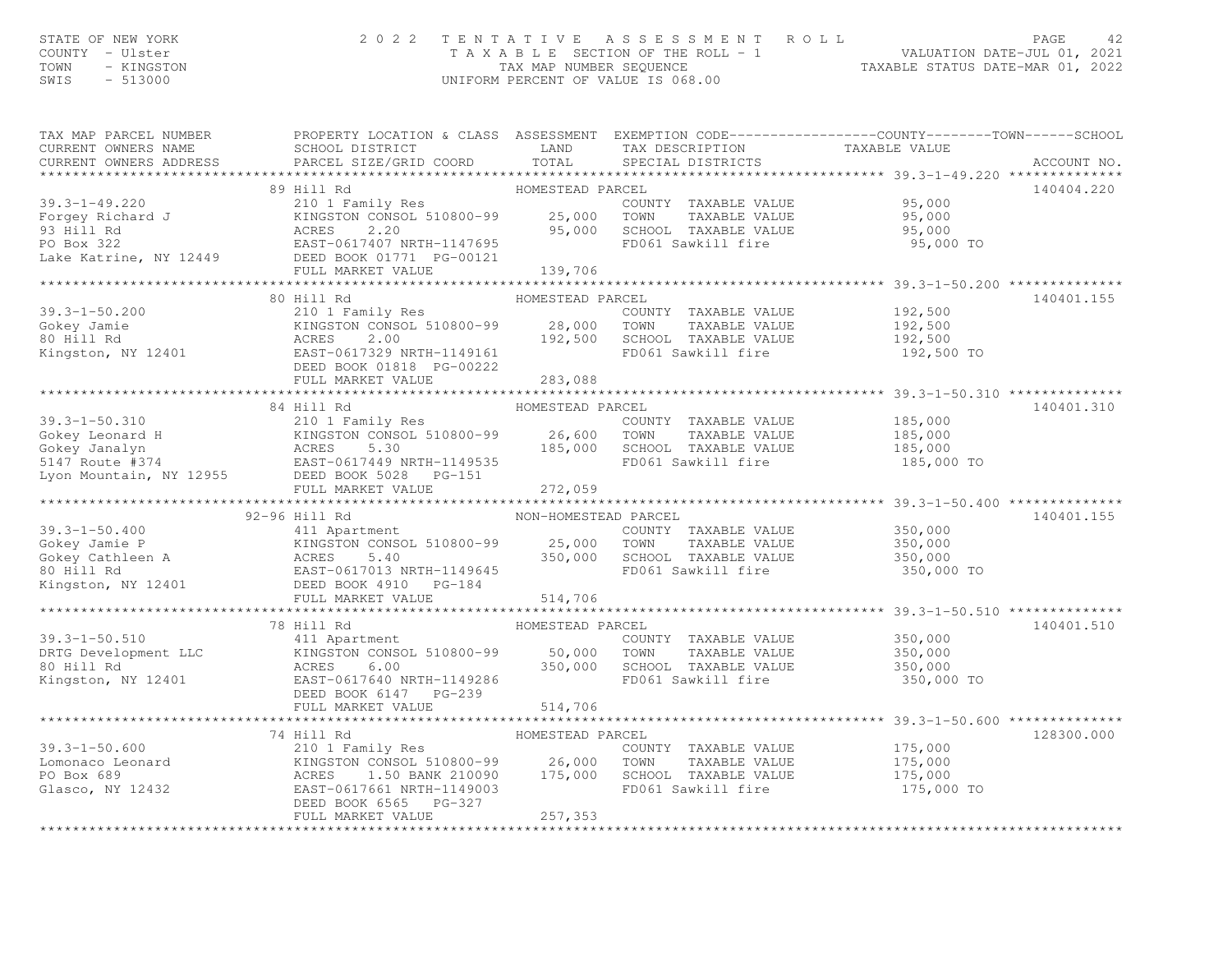#### STATE OF NEW YORK (AND ROTE ) A SERIES SIMENT ROLL PALUATION DATE–JUL 01, 2021<br>COUNTY - Ulster (AND STATE A SERIE SECTION OF THE ROLL - 1 (AND VALUATION DATE–JUL 01, 2021<br>TAXABLE STATUS DATE–MAR 01, 2022<br>SWIS - 513000

| TAX MAP PARCEL NUMBER                                                                                                                                                                                                                                    |                                                                               |                      | PROPERTY LOCATION & CLASS ASSESSMENT EXEMPTION CODE----------------COUNTY-------TOWN------SCHOOL                                                                                                                      |            |             |
|----------------------------------------------------------------------------------------------------------------------------------------------------------------------------------------------------------------------------------------------------------|-------------------------------------------------------------------------------|----------------------|-----------------------------------------------------------------------------------------------------------------------------------------------------------------------------------------------------------------------|------------|-------------|
| CURRENT OWNERS NAME<br>CURRENT OWNERS ADDRESS                                                                                                                                                                                                            | SCHOOL DISTRICT<br>PARCEL SIZE/GRID COORD TOTAL                               | LAND                 | TAX DESCRIPTION TAXABLE VALUE                                                                                                                                                                                         |            |             |
|                                                                                                                                                                                                                                                          |                                                                               |                      | SPECIAL DISTRICTS                                                                                                                                                                                                     |            | ACCOUNT NO. |
|                                                                                                                                                                                                                                                          | 89 Hill Rd                                                                    | HOMESTEAD PARCEL     |                                                                                                                                                                                                                       |            | 140404.220  |
| $39.3 - 1 - 49.220$                                                                                                                                                                                                                                      |                                                                               |                      | COUNTY TAXABLE VALUE                                                                                                                                                                                                  | 95,000     |             |
| For the set of the control of the control of the set of the set of the set of the set of the set of the set of<br>For the set of the set of the set of the set of the set of the set of the set of the set of the set of the set                         | 210 1 Family Res<br>210 1 Family Res<br>KINGSTON CONSOL 510800-99 25,000 TOWN |                      | TAXABLE VALUE 95,000                                                                                                                                                                                                  |            |             |
|                                                                                                                                                                                                                                                          |                                                                               |                      |                                                                                                                                                                                                                       |            |             |
|                                                                                                                                                                                                                                                          |                                                                               | 95,000               | SCHOOL TAXABLE VALUE                                                                                                                                                                                                  | 95,000     |             |
|                                                                                                                                                                                                                                                          |                                                                               |                      | FD061 Sawkill fire                                                                                                                                                                                                    | 95,000 TO  |             |
|                                                                                                                                                                                                                                                          |                                                                               |                      |                                                                                                                                                                                                                       |            |             |
|                                                                                                                                                                                                                                                          |                                                                               |                      |                                                                                                                                                                                                                       |            |             |
|                                                                                                                                                                                                                                                          | 80 Hill Rd                                                                    | HOMESTEAD PARCEL     |                                                                                                                                                                                                                       |            | 140401.155  |
|                                                                                                                                                                                                                                                          |                                                                               |                      | COUNTY TAXABLE VALUE 192,500                                                                                                                                                                                          |            |             |
|                                                                                                                                                                                                                                                          |                                                                               |                      |                                                                                                                                                                                                                       |            |             |
|                                                                                                                                                                                                                                                          |                                                                               |                      |                                                                                                                                                                                                                       |            |             |
|                                                                                                                                                                                                                                                          |                                                                               |                      |                                                                                                                                                                                                                       |            |             |
|                                                                                                                                                                                                                                                          |                                                                               |                      |                                                                                                                                                                                                                       |            |             |
|                                                                                                                                                                                                                                                          |                                                                               |                      |                                                                                                                                                                                                                       |            |             |
|                                                                                                                                                                                                                                                          |                                                                               |                      |                                                                                                                                                                                                                       |            |             |
| 39.3-1-50.200 210 1 Family Res<br>Gokey Jamie KINGSTON CONSOL 510800-99 28,000 TOWN TAXABLE VALUE 192,500<br>80 Hill Rd ACRES 2.000 ACRES 2000 SCHOOL TAXABLE VALUE 192,500<br>Kingston, NY 12401 EAST-0617329 NRTH-1149161 FD061 Sa                     |                                                                               |                      |                                                                                                                                                                                                                       |            |             |
|                                                                                                                                                                                                                                                          | 84 Hill Rd                                                                    | HOMESTEAD PARCEL     |                                                                                                                                                                                                                       |            | 140401.310  |
|                                                                                                                                                                                                                                                          | 210 1 Family Res                                                              |                      | COUNTY TAXABLE VALUE                                                                                                                                                                                                  |            |             |
|                                                                                                                                                                                                                                                          |                                                                               |                      |                                                                                                                                                                                                                       |            |             |
|                                                                                                                                                                                                                                                          |                                                                               |                      |                                                                                                                                                                                                                       |            |             |
|                                                                                                                                                                                                                                                          |                                                                               |                      |                                                                                                                                                                                                                       | 185,000 TO |             |
|                                                                                                                                                                                                                                                          |                                                                               |                      |                                                                                                                                                                                                                       |            |             |
|                                                                                                                                                                                                                                                          |                                                                               |                      |                                                                                                                                                                                                                       |            |             |
|                                                                                                                                                                                                                                                          |                                                                               |                      |                                                                                                                                                                                                                       |            |             |
|                                                                                                                                                                                                                                                          | 92-96 Hill Rd<br>Hill Rd<br>411 Apartment                                     | NON-HOMESTEAD PARCEL |                                                                                                                                                                                                                       |            | 140401.155  |
|                                                                                                                                                                                                                                                          |                                                                               |                      | COUNTY TAXABLE VALUE 350,000                                                                                                                                                                                          |            |             |
|                                                                                                                                                                                                                                                          |                                                                               |                      | TAXABLE VALUE<br>TAXABLE VALUE 350,000<br>TAXARLE VALUE 350,000                                                                                                                                                       |            |             |
|                                                                                                                                                                                                                                                          |                                                                               |                      |                                                                                                                                                                                                                       |            |             |
|                                                                                                                                                                                                                                                          |                                                                               |                      | FD061 Sawkill fire 350,000 TO                                                                                                                                                                                         |            |             |
| 39.3-1-50.400<br>Gokey Jamie P<br>Gokey Cathleen A<br>ACRES 5.40<br>ACRES 5.40<br>ACRES 5.40<br>ACRES 5.40<br>ACRES 5.40<br>SO Hill Rd<br>EAST-0617013 NRTH-1149645<br>EAST-0617013 NRTH-1149645<br>EAST-0617013 NRTH-1149645<br>FD061 Sawkill fire<br>F |                                                                               |                      |                                                                                                                                                                                                                       |            |             |
|                                                                                                                                                                                                                                                          | FULL MARKET VALUE                                                             | 514,706              |                                                                                                                                                                                                                       |            |             |
|                                                                                                                                                                                                                                                          |                                                                               |                      |                                                                                                                                                                                                                       |            |             |
|                                                                                                                                                                                                                                                          | 78 Hill Rd                                                                    | HOMESTEAD PARCEL     |                                                                                                                                                                                                                       |            | 140401.510  |
| $39.3 - 1 - 50.510$                                                                                                                                                                                                                                      | 411 Apartment                                                                 |                      | COUNTY TAXABLE VALUE 350,000                                                                                                                                                                                          |            |             |
|                                                                                                                                                                                                                                                          |                                                                               |                      |                                                                                                                                                                                                                       |            |             |
|                                                                                                                                                                                                                                                          |                                                                               |                      | 411 Apartment<br>KINGSTON CONSOL 510800-99 50,000 TOWN TAXABLE VALUE 350,000<br>ACRES 6.00 350,000 SCHOOL TAXABLE VALUE 350,000<br>EAST-0617640 NRTH-1149286 FD061 Sawkill fire 350,000<br>FD061 Sawkill fire 350,000 |            |             |
|                                                                                                                                                                                                                                                          |                                                                               |                      |                                                                                                                                                                                                                       | 350,000 TO |             |
|                                                                                                                                                                                                                                                          | DEED BOOK 6147 PG-239                                                         |                      |                                                                                                                                                                                                                       |            |             |
|                                                                                                                                                                                                                                                          | FULL MARKET VALUE                                                             | 514,706              |                                                                                                                                                                                                                       |            |             |
|                                                                                                                                                                                                                                                          |                                                                               |                      |                                                                                                                                                                                                                       |            |             |
|                                                                                                                                                                                                                                                          | 74 Hill Rd                                                                    | HOMESTEAD PARCEL     |                                                                                                                                                                                                                       |            | 128300.000  |
| $39.3 - 1 - 50.600$<br>$\frac{1}{2}$ box 689<br>Glasco, NY 12432<br>***                                                                                                                                                                                  | 210 1 Family Res<br>KINGSTON CONSOL 510800-99 26,000 TOWN                     |                      | COUNTY TAXABLE VALUE 175,000<br>TOWN TAXABLE VALUE 175,000                                                                                                                                                            |            |             |
|                                                                                                                                                                                                                                                          |                                                                               |                      |                                                                                                                                                                                                                       |            |             |
|                                                                                                                                                                                                                                                          | ACRES<br>1.50 BANK 210090                                                     |                      |                                                                                                                                                                                                                       | 175,000    |             |
|                                                                                                                                                                                                                                                          | EAST-0617661 NRTH-1149003                                                     |                      | 175,000 SCHOOL TAXABLE VALUE<br>FD061 Sawkill fire<br>FD061 Sawkill fire                                                                                                                                              | 175,000 TO |             |
|                                                                                                                                                                                                                                                          | DEED BOOK 6565 PG-327                                                         |                      |                                                                                                                                                                                                                       |            |             |
|                                                                                                                                                                                                                                                          | FULL MARKET VALUE                                                             | 257,353              |                                                                                                                                                                                                                       |            |             |
|                                                                                                                                                                                                                                                          |                                                                               |                      |                                                                                                                                                                                                                       |            |             |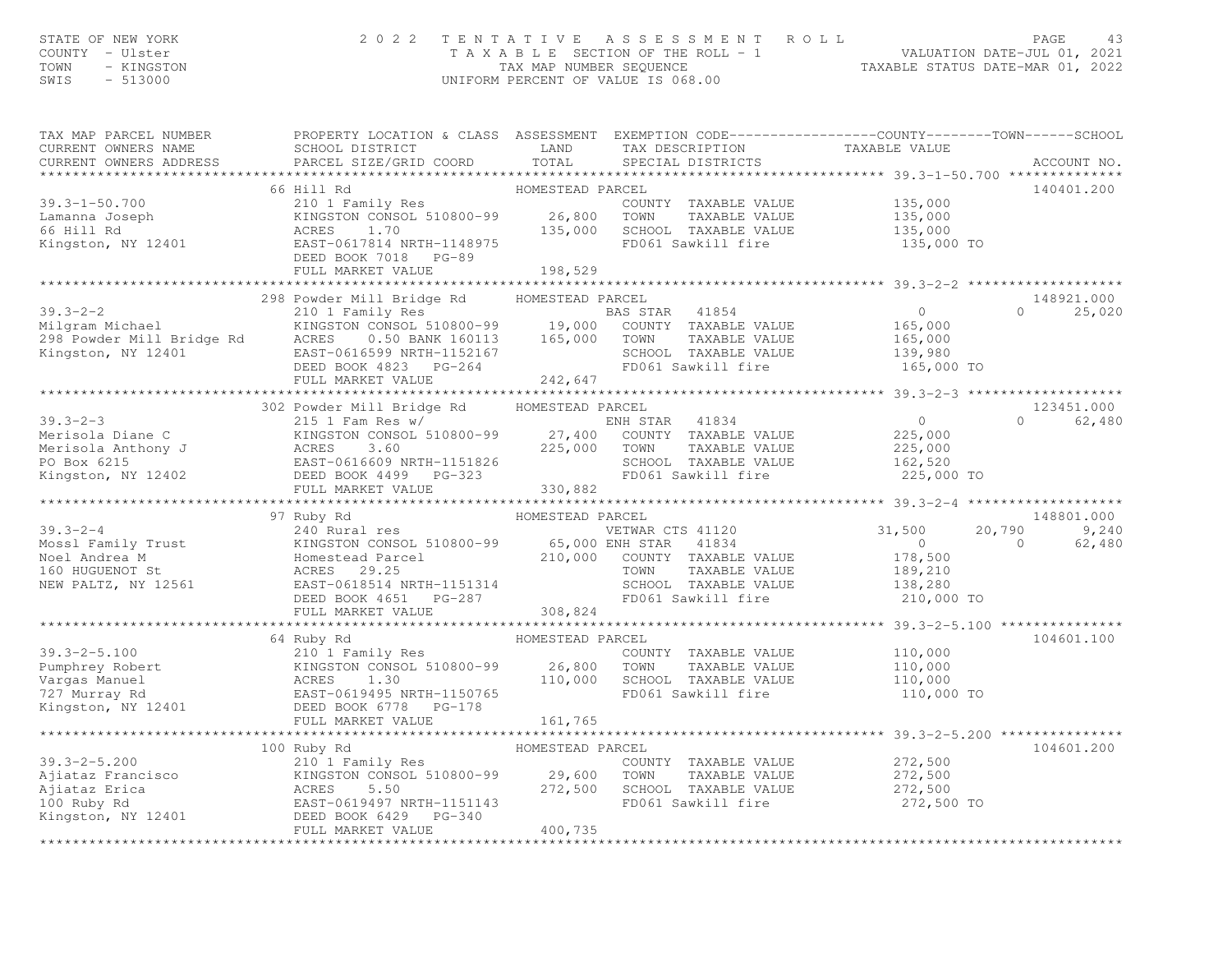### STATE OF NEW YORK (AND ROCE ) A SERIES SIMENT ROLL PALUATION DATE–JUL 01, 2021<br>COUNTY - Ulster (AND STATE A MAPING SEQUENCE) IN TAXING THE ROLL - 1 (MALUATION DATE–JUL 01, 2021<br>TAXING TRINGSTON (INTERCENT OF VALUE IS 068.0

| TAX MAP PARCEL NUMBER<br>CURRENT OWNERS NAME<br>CURRENT OWNERS ADDRESS                                                                                                                                                                                 | PROPERTY LOCATION & CLASS ASSESSMENT EXEMPTION CODE----------------COUNTY-------TOWN------SCHOOL<br>SCHOOL DISTRICT<br>PARCEL SIZE/GRID COORD                                                                                                | LAND<br>TOTAL    | TAX DESCRIPTION TAXABLE VALUE SPECIAL DISTRICTS                                     |                                                                  | ACCOUNT NO.        |
|--------------------------------------------------------------------------------------------------------------------------------------------------------------------------------------------------------------------------------------------------------|----------------------------------------------------------------------------------------------------------------------------------------------------------------------------------------------------------------------------------------------|------------------|-------------------------------------------------------------------------------------|------------------------------------------------------------------|--------------------|
|                                                                                                                                                                                                                                                        |                                                                                                                                                                                                                                              |                  |                                                                                     |                                                                  |                    |
|                                                                                                                                                                                                                                                        | 66 Hill Rd<br>Hill Rd<br>210 1 Family Res<br>KINGSTON CONSOL 510800-99 26,800<br>ACRES 1.70 135,000<br>EAST-0617814 NRTH-1148975                                                                                                             | HOMESTEAD PARCEL |                                                                                     |                                                                  | 140401.200         |
| $39.3 - 1 - 50.700$                                                                                                                                                                                                                                    |                                                                                                                                                                                                                                              |                  | COUNTY TAXABLE VALUE 135,000                                                        |                                                                  |                    |
|                                                                                                                                                                                                                                                        |                                                                                                                                                                                                                                              |                  | TOWN<br>TAXABLE VALUE                                                               | 135,000                                                          |                    |
| Lamanna Joseph (KINGSTON CONSOL 510800-99<br>66 Hill Rd (ACRES 1.70)<br>Kingston, NY 12401 (EAST-0617814 NRTH-1148975)                                                                                                                                 |                                                                                                                                                                                                                                              |                  | TOWN TAXABLE VALUE<br>SCHOOL TAXABLE VALUE 135,000<br>TRACI Sarkill fire 135,000 TO |                                                                  |                    |
|                                                                                                                                                                                                                                                        |                                                                                                                                                                                                                                              |                  |                                                                                     |                                                                  |                    |
|                                                                                                                                                                                                                                                        | DEED BOOK 7018 PG-89                                                                                                                                                                                                                         |                  |                                                                                     |                                                                  |                    |
|                                                                                                                                                                                                                                                        | FULL MARKET VALUE                                                                                                                                                                                                                            | 198,529          |                                                                                     |                                                                  |                    |
|                                                                                                                                                                                                                                                        |                                                                                                                                                                                                                                              |                  |                                                                                     |                                                                  |                    |
|                                                                                                                                                                                                                                                        | 298 Powder Mill Bridge Rd HOMESTEAD PARCEL                                                                                                                                                                                                   |                  |                                                                                     |                                                                  | 148921.000         |
| $39.3 - 2 - 2$                                                                                                                                                                                                                                         | 210 1 Family Res <sup>8</sup> 19,000 BAS STAR 41854<br>KINGSTON CONSOL 510800-99 19,000 COUNTY TAXABLE VALUE<br>ACRES 0.50 BANK 160113 165,000 TOWN TAXABLE VALUE                                                                            |                  |                                                                                     | $\overline{0}$                                                   | 25,020<br>$\Omega$ |
| Milgram Michael<br>Milgram Michael KINGST<br>298 Powder Mill Bridge Rd ACRES<br>Kingston, NY 12401 EAST-0                                                                                                                                              |                                                                                                                                                                                                                                              |                  |                                                                                     | 165,000                                                          |                    |
|                                                                                                                                                                                                                                                        |                                                                                                                                                                                                                                              |                  |                                                                                     | 165,000                                                          |                    |
|                                                                                                                                                                                                                                                        |                                                                                                                                                                                                                                              |                  |                                                                                     |                                                                  |                    |
|                                                                                                                                                                                                                                                        |                                                                                                                                                                                                                                              |                  | SCHOOL TAXABLE VALUE 139,980<br>FD061 Sawkill fire 165,000 TO                       |                                                                  |                    |
|                                                                                                                                                                                                                                                        | ACRES 0.50 BANK 100115<br>EAST-0616599 NRTH-1152167 S<br>DEED BOOK 4823 PG-264 F<br>TILE MADKET VALUE 242,647                                                                                                                                |                  |                                                                                     |                                                                  |                    |
|                                                                                                                                                                                                                                                        |                                                                                                                                                                                                                                              |                  |                                                                                     |                                                                  |                    |
|                                                                                                                                                                                                                                                        | 302 Powder Mill Bridge Rd                                                                                                                                                                                                                    | HOMESTEAD PARCEL |                                                                                     |                                                                  | 123451.000         |
| $39.3 - 2 - 3$                                                                                                                                                                                                                                         | $215$ 1 Fam Res $w/$                                                                                                                                                                                                                         |                  | ENH STAR 41834                                                                      | $\overline{0}$                                                   | $\Omega$<br>62,480 |
|                                                                                                                                                                                                                                                        |                                                                                                                                                                                                                                              |                  |                                                                                     | 225,000                                                          |                    |
| Merisola Diane C<br>Merisola Anthony J<br>Merisola Anthony J<br>PO Box 6215<br>PO Box 6215<br>EAST-0616609 NRTH-1151826<br>EAST-0616609 NRTH-1151826<br>EAST-0616609 NRTH-1151826<br>EAST-061600 FOR 4499<br>DEED BOX 6215<br>EAST-061609 PC-323<br>   |                                                                                                                                                                                                                                              |                  |                                                                                     | 225,000                                                          |                    |
|                                                                                                                                                                                                                                                        |                                                                                                                                                                                                                                              |                  | SCHOOL TAXABLE VALUE                                                                |                                                                  |                    |
|                                                                                                                                                                                                                                                        |                                                                                                                                                                                                                                              |                  |                                                                                     | 162,520<br>225,000 TO                                            |                    |
|                                                                                                                                                                                                                                                        | FULL MARKET VALUE                                                                                                                                                                                                                            | 330,882          |                                                                                     |                                                                  |                    |
|                                                                                                                                                                                                                                                        |                                                                                                                                                                                                                                              |                  |                                                                                     |                                                                  |                    |
|                                                                                                                                                                                                                                                        | 97 Ruby Rd<br>Ruby Rd Rural res 240 Rural res 240 Rural res 240 Rural res 240 Rural res 240 Rural res 240 Rural res 240 Rural res 240 Rural res 240 Rural res 240 Rural res 240 Rural res 240 Rural res 240 Rural res 240 Rural res 240 RURE |                  |                                                                                     |                                                                  | 148801.000         |
| $39.3 - 2 - 4$                                                                                                                                                                                                                                         |                                                                                                                                                                                                                                              |                  |                                                                                     | 20,790                                                           | 9,240              |
|                                                                                                                                                                                                                                                        |                                                                                                                                                                                                                                              |                  |                                                                                     |                                                                  | $\Omega$<br>62,480 |
|                                                                                                                                                                                                                                                        |                                                                                                                                                                                                                                              |                  |                                                                                     |                                                                  |                    |
|                                                                                                                                                                                                                                                        |                                                                                                                                                                                                                                              |                  |                                                                                     |                                                                  |                    |
|                                                                                                                                                                                                                                                        |                                                                                                                                                                                                                                              |                  |                                                                                     |                                                                  |                    |
| 240 Rural res<br>Mossl Family Trust<br>Noel Andrea M and Homestead Park<br>160 HUGUENOT St ACRES 29.25<br>NEW PALTZ, NY 12561<br>NEW PALTZ, NY 12561<br>NEW PALTZ, NY 12561                                                                            |                                                                                                                                                                                                                                              |                  |                                                                                     |                                                                  |                    |
|                                                                                                                                                                                                                                                        |                                                                                                                                                                                                                                              |                  |                                                                                     |                                                                  |                    |
|                                                                                                                                                                                                                                                        |                                                                                                                                                                                                                                              |                  |                                                                                     |                                                                  |                    |
|                                                                                                                                                                                                                                                        | 64 Ruby Rd                                                                                                                                                                                                                                   | HOMESTEAD PARCEL |                                                                                     |                                                                  | 104601.100         |
| $39.3 - 2 - 5.100$                                                                                                                                                                                                                                     | Ruby Rd<br>210 1 Family Res                                                                                                                                                                                                                  |                  | COUNTY TAXABLE VALUE                                                                | 110,000                                                          |                    |
|                                                                                                                                                                                                                                                        |                                                                                                                                                                                                                                              |                  | TOWN                                                                                |                                                                  |                    |
| Pumphrey Robert<br>Vargas Manuel (1997)<br>Vargas Manuel (1997)<br>Vargas Manuel (1998)<br>T27 Murray Rd (1998)<br>ERST-0619495 NRTH-1150765<br>Kingston, NY 12401 (1998)<br>DEED BOOK 6778 PG-178                                                     | 210 1 Family New State 26,800<br>KINGSTON CONSOL 510800-99 26,800<br>RCRES 1.30 110,000<br>EAST-0619495 NRTH-1150765                                                                                                                         |                  | SCHOOL TAXABLE VALUE                                                                | TAXABLE VALUE 110,000<br>TAXABLE VALUE 110,000                   |                    |
|                                                                                                                                                                                                                                                        |                                                                                                                                                                                                                                              |                  | FD061 Sawkill fire 110,000 TO                                                       |                                                                  |                    |
|                                                                                                                                                                                                                                                        |                                                                                                                                                                                                                                              |                  |                                                                                     |                                                                  |                    |
|                                                                                                                                                                                                                                                        |                                                                                                                                                                                                                                              |                  |                                                                                     |                                                                  |                    |
|                                                                                                                                                                                                                                                        | FULL MARKET VALUE                                                                                                                                                                                                                            | 161,765          |                                                                                     | ***********************************39.3-2-5.200 **************** |                    |
|                                                                                                                                                                                                                                                        |                                                                                                                                                                                                                                              |                  |                                                                                     |                                                                  | 104601.200         |
| $39.3 - 2 - 5.200$                                                                                                                                                                                                                                     | 100 Ruby Rd                                                                                                                                                                                                                                  | HOMESTEAD PARCEL |                                                                                     |                                                                  |                    |
|                                                                                                                                                                                                                                                        |                                                                                                                                                                                                                                              |                  | COUNTY TAXABLE VALUE                                                                | 272,500<br>272,500                                               |                    |
|                                                                                                                                                                                                                                                        |                                                                                                                                                                                                                                              |                  | TAXABLE VALUE                                                                       |                                                                  |                    |
|                                                                                                                                                                                                                                                        |                                                                                                                                                                                                                                              |                  | SCHOOL TAXABLE VALUE                                                                | 272,500                                                          |                    |
|                                                                                                                                                                                                                                                        | 1020<br>210 1 Family Res<br>KINGSTON CONSOL 510800-99<br>29,600 TOWN<br>ACRES 5.50 272,500 SCHOC<br>FAST-0619497 NRTH-1151143 FD06.                                                                                                          |                  | FD061 Sawkill fire                                                                  | 272,500 TO                                                       |                    |
| XIU I Family Res<br>Ajiataz Francisco<br>Ajiataz Erica<br>100 Ruby Rd<br>Kingston, NY 12401<br>210 I Family Res<br>210 I Family Res<br>210 I Family Res<br>210 I Family Res<br>210 I Family Res<br>210 I Family Res<br>210 I Family Res<br>250 BORK 64 |                                                                                                                                                                                                                                              |                  |                                                                                     |                                                                  |                    |
|                                                                                                                                                                                                                                                        | FULL MARKET VALUE                                                                                                                                                                                                                            | 400,735          |                                                                                     |                                                                  |                    |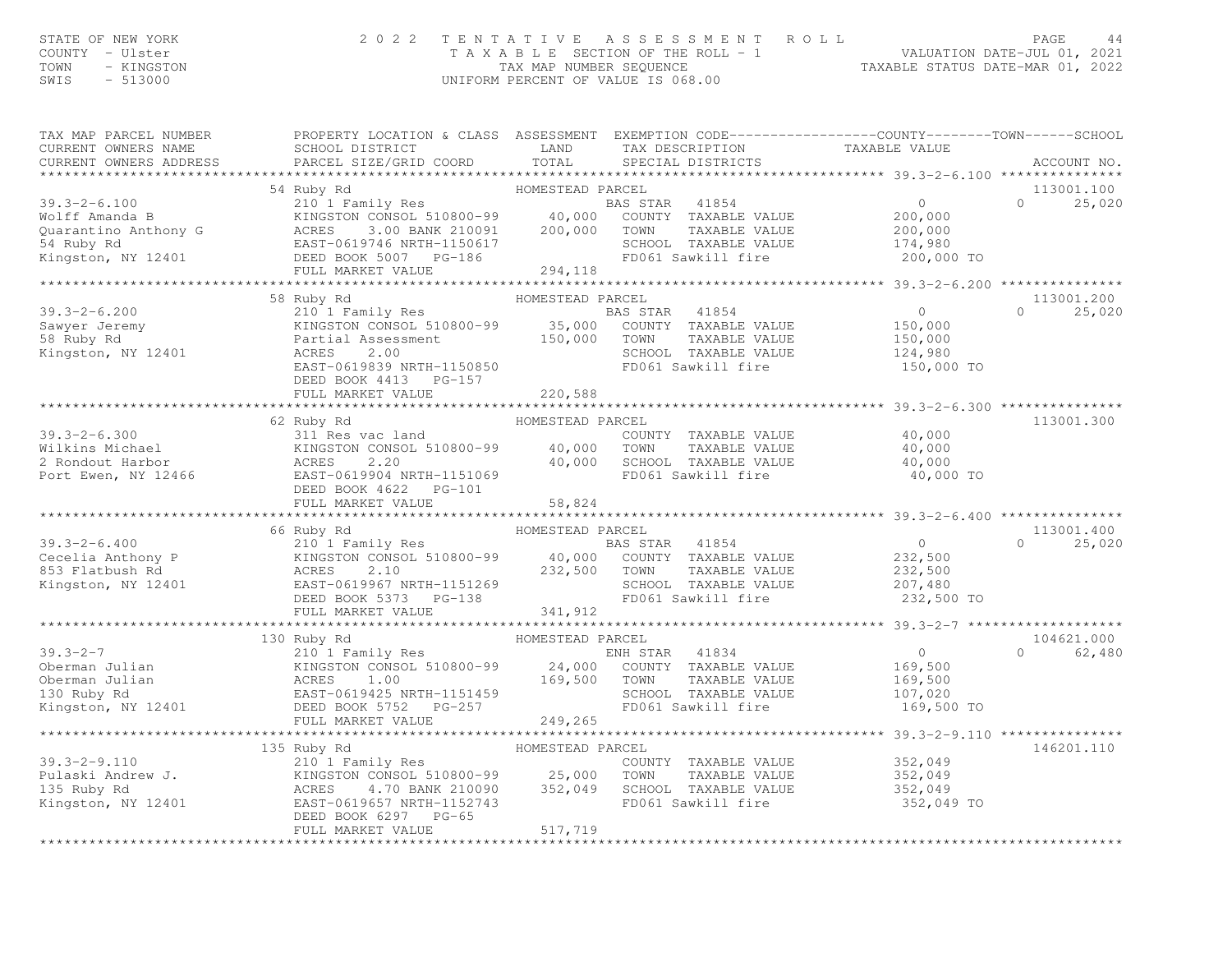#### STATE OF NEW YORK (AND ROTE ) A SERIES SIMENT ROLL PALUATION DATE–JUL 01, 2021<br>COUNTY - Ulster (AND STATE A SERIE SECTION OF THE ROLL - 1 (MALUATION DATE–JUL 01, 2021<br>TAXABLE STATUS DATE–MAR 01, 2022<br>SWIS - 513000

| TAX MAP PARCEL NUMBER                                                                                                                                                                                                                                        | PROPERTY LOCATION & CLASS ASSESSMENT EXEMPTION CODE----------------COUNTY-------TOWN------SCHOOL |                  |                                                                                                                                                     |                       |                                  |
|--------------------------------------------------------------------------------------------------------------------------------------------------------------------------------------------------------------------------------------------------------------|--------------------------------------------------------------------------------------------------|------------------|-----------------------------------------------------------------------------------------------------------------------------------------------------|-----------------------|----------------------------------|
|                                                                                                                                                                                                                                                              |                                                                                                  |                  |                                                                                                                                                     |                       |                                  |
| 39.3-2-6.100<br>Wolff Amanda B<br>Wolff Amanda B<br>Cuarantino Anthony G<br>Cuarantino Anthony G<br>EAST-0619746 NRTH-1150617<br>EAST-0619746 NRTH-1150617<br>CHERE S<br>CHERE S<br>200,000<br>SA Ruby Rd<br>EAST-0619746 NRTH-1150617<br>CHERE 200,0        | 54 Ruby Rd                                                                                       | HOMESTEAD PARCEL |                                                                                                                                                     | 200,000 TO            | 113001.100<br>$\Omega$<br>25,020 |
|                                                                                                                                                                                                                                                              |                                                                                                  |                  |                                                                                                                                                     |                       |                                  |
|                                                                                                                                                                                                                                                              | 58 Ruby Rd                                                                                       | HOMESTEAD PARCEL |                                                                                                                                                     |                       | 113001.200                       |
|                                                                                                                                                                                                                                                              | DEED BOOK 4413 PG-157                                                                            |                  | 41854 0<br>TAXABLE VALUE 150,000<br>TAXABLE VALUE 150,000<br>TAXABLE VALUE 124,980<br>SCHOOL TAXABLE VALUE 124,980<br>FD061 Sawkill fire 150,000 TO |                       | $0 \qquad \qquad$<br>25,020      |
|                                                                                                                                                                                                                                                              | FULL MARKET VALUE                                                                                | 220,588          |                                                                                                                                                     |                       |                                  |
|                                                                                                                                                                                                                                                              |                                                                                                  |                  |                                                                                                                                                     |                       |                                  |
|                                                                                                                                                                                                                                                              | 62 Ruby Rd                                                                                       | HOMESTEAD PARCEL |                                                                                                                                                     |                       | 113001.300                       |
|                                                                                                                                                                                                                                                              |                                                                                                  |                  |                                                                                                                                                     |                       |                                  |
|                                                                                                                                                                                                                                                              |                                                                                                  |                  |                                                                                                                                                     |                       |                                  |
|                                                                                                                                                                                                                                                              |                                                                                                  |                  |                                                                                                                                                     |                       | 113001.400                       |
|                                                                                                                                                                                                                                                              |                                                                                                  |                  |                                                                                                                                                     |                       | $0 \t 25,020$                    |
|                                                                                                                                                                                                                                                              |                                                                                                  |                  |                                                                                                                                                     |                       |                                  |
|                                                                                                                                                                                                                                                              | Ruby Rd<br>210 1 Family Res HOMESTEAD<br>130 Ruby Rd                                             | HOMESTEAD PARCEL |                                                                                                                                                     |                       | 104621.000                       |
| $39.3 - 2 - 7$<br>39.3-2-7<br>Oberman Julian 210 1 Family Res<br>Oberman Julian 210 RINGSTON CONSOL 510800-99<br>24,000 COUNTY TAXABLE VALUE 169,500<br>24,000 COUNTY TAXABLE VALUE 169,500<br>TOWN TAXABLE VALUE 169,500<br>24,000 COUNTY TAXABLE VALUE 169 |                                                                                                  |                  | SCHOOL TAXABLE VALUE 107,020<br>FD061 Sawkill fire 169,500 TO                                                                                       | $\overline{a}$        | $\cap$ and $\cap$<br>62,480      |
|                                                                                                                                                                                                                                                              | FULL MARKET VALUE                                                                                | 249,265          |                                                                                                                                                     |                       |                                  |
|                                                                                                                                                                                                                                                              |                                                                                                  |                  | ***********************************39.3-2-9.110 ****************                                                                                    |                       |                                  |
|                                                                                                                                                                                                                                                              | 135 Ruby Rd                                                                                      | HOMESTEAD PARCEL |                                                                                                                                                     |                       | 146201.110                       |
|                                                                                                                                                                                                                                                              | DEED BOOK 6297 PG-65                                                                             |                  | COUNTY TAXABLE VALUE 352,049<br>TOWN TAXABLE VALUE 352,049<br>FD061 Sawkill fire                                                                    | 352,049<br>352,049 TO |                                  |
|                                                                                                                                                                                                                                                              | FULL MARKET VALUE                                                                                | 517,719          |                                                                                                                                                     |                       |                                  |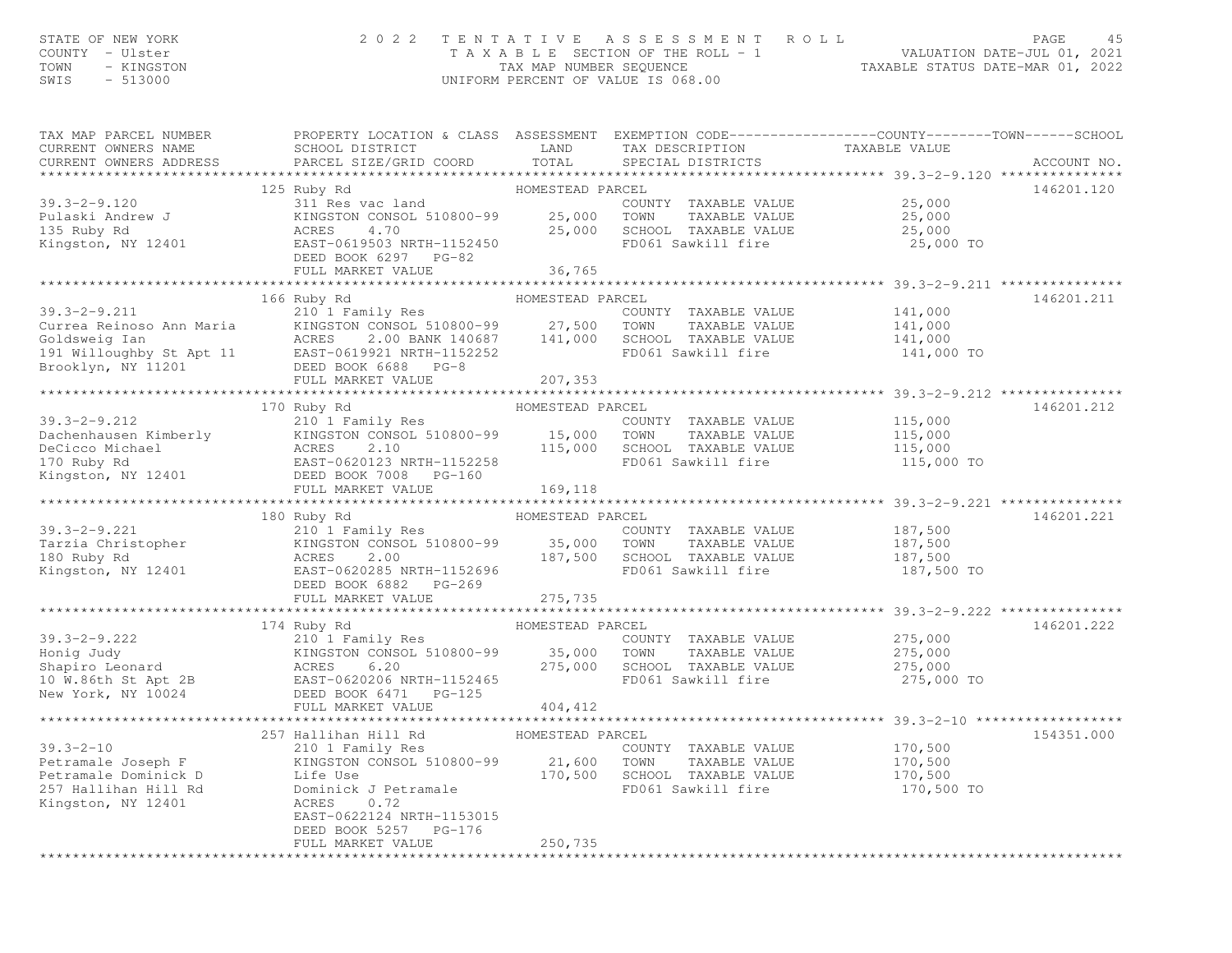#### STATE OF NEW YORK ON THE SERVICE ASSESSMENT ROLL PALUATION DATE–JUL 01, 2021<br>COUNTY - Ulster (1992) TAXABLE SECTION OF THE ROLL - 1 (VALUATION DATE–JUL 01, 2021<br>TAXABLE STATUS DATE–MAR 01, 2022<br>SWIS - 513000

| TAX MAP PARCEL NUMBER<br>CURRENT OWNERS NAME<br>CURRENT OWNERS ADDRESS                                                                                                                                       |                                                                                                                                                                                                                                                                                                                                                                                                                                                                                 |                  | PROPERTY LOCATION & CLASS ASSESSMENT EXEMPTION CODE----------------COUNTY-------TOWN------SCHOOL<br>ACCOUNT NO. |
|--------------------------------------------------------------------------------------------------------------------------------------------------------------------------------------------------------------|---------------------------------------------------------------------------------------------------------------------------------------------------------------------------------------------------------------------------------------------------------------------------------------------------------------------------------------------------------------------------------------------------------------------------------------------------------------------------------|------------------|-----------------------------------------------------------------------------------------------------------------|
|                                                                                                                                                                                                              |                                                                                                                                                                                                                                                                                                                                                                                                                                                                                 |                  |                                                                                                                 |
|                                                                                                                                                                                                              | $\begin{array}{cccccccc} 39.3-2-9.120 & & & & 125 \text{ Ruby Rd} & & & & & & \text{HOMESTEAD PARCEL} & & & & & & & \text{COMESTEAD PARCEL} & & & & & & & \text{25,000} & & & \text{25,000} & & & \text{25,000} & & & \text{25,000} & & & \text{25,000} & & & \text{25,000} & & & \text{25,000} & & & \text{25,000} & & & \text{25,000} & & & \text{25,000} & & & \text{25,000} & &$                                                                                            |                  | 146201.120                                                                                                      |
|                                                                                                                                                                                                              |                                                                                                                                                                                                                                                                                                                                                                                                                                                                                 |                  |                                                                                                                 |
|                                                                                                                                                                                                              |                                                                                                                                                                                                                                                                                                                                                                                                                                                                                 |                  |                                                                                                                 |
|                                                                                                                                                                                                              |                                                                                                                                                                                                                                                                                                                                                                                                                                                                                 |                  |                                                                                                                 |
|                                                                                                                                                                                                              |                                                                                                                                                                                                                                                                                                                                                                                                                                                                                 |                  |                                                                                                                 |
|                                                                                                                                                                                                              |                                                                                                                                                                                                                                                                                                                                                                                                                                                                                 |                  |                                                                                                                 |
|                                                                                                                                                                                                              | FULL MARKET VALUE                                                                                                                                                                                                                                                                                                                                                                                                                                                               |                  |                                                                                                                 |
|                                                                                                                                                                                                              |                                                                                                                                                                                                                                                                                                                                                                                                                                                                                 |                  |                                                                                                                 |
|                                                                                                                                                                                                              | Ruby Rd<br>210 1 Family Res<br>Res<br>210 1 Family Res<br>210 2001<br>166 Ruby Rd                                                                                                                                                                                                                                                                                                                                                                                               |                  | 146201.211                                                                                                      |
|                                                                                                                                                                                                              |                                                                                                                                                                                                                                                                                                                                                                                                                                                                                 |                  |                                                                                                                 |
|                                                                                                                                                                                                              |                                                                                                                                                                                                                                                                                                                                                                                                                                                                                 |                  |                                                                                                                 |
|                                                                                                                                                                                                              |                                                                                                                                                                                                                                                                                                                                                                                                                                                                                 |                  |                                                                                                                 |
|                                                                                                                                                                                                              |                                                                                                                                                                                                                                                                                                                                                                                                                                                                                 |                  |                                                                                                                 |
|                                                                                                                                                                                                              |                                                                                                                                                                                                                                                                                                                                                                                                                                                                                 |                  |                                                                                                                 |
|                                                                                                                                                                                                              | Currea Reinoso Ann Maria (10 1 Family Res (141,000)<br>Currea Reinoso Ann Maria (KINGSTON CONSOL 510800-99 27,500 TOWN TAXABLE VALUE 141,000<br>Goldsweig Ian (15 200 BANK 140687 141,000 SCHOOL TAXABLE VALUE 141,000<br>191 Willou                                                                                                                                                                                                                                            |                  |                                                                                                                 |
|                                                                                                                                                                                                              |                                                                                                                                                                                                                                                                                                                                                                                                                                                                                 |                  |                                                                                                                 |
|                                                                                                                                                                                                              |                                                                                                                                                                                                                                                                                                                                                                                                                                                                                 |                  | 146201.212                                                                                                      |
|                                                                                                                                                                                                              |                                                                                                                                                                                                                                                                                                                                                                                                                                                                                 |                  |                                                                                                                 |
|                                                                                                                                                                                                              |                                                                                                                                                                                                                                                                                                                                                                                                                                                                                 |                  |                                                                                                                 |
|                                                                                                                                                                                                              |                                                                                                                                                                                                                                                                                                                                                                                                                                                                                 |                  |                                                                                                                 |
|                                                                                                                                                                                                              |                                                                                                                                                                                                                                                                                                                                                                                                                                                                                 |                  |                                                                                                                 |
|                                                                                                                                                                                                              |                                                                                                                                                                                                                                                                                                                                                                                                                                                                                 |                  |                                                                                                                 |
|                                                                                                                                                                                                              | $\begin{tabular}{lllllllllllll} \multicolumn{3}{l}{} & 170 \text{ Ruby Rd} & \multicolumn{3}{l}{} & \multicolumn{3}{l}{} & \multicolumn{3}{l}{} & \multicolumn{3}{l}{} & \multicolumn{3}{l}{} & \multicolumn{3}{l}{} & \multicolumn{3}{l}{} & \multicolumn{3}{l}{} & \multicolumn{3}{l}{} & \multicolumn{3}{l}{} & \multicolumn{3}{l}{} & \multicolumn{3}{l}{} & \multicolumn{3}{l}{} & \multicolumn{3}{l}{} & \multicolumn{3}{l}{} & \multicolumn{3}{l}{} & \multicolumn{3}{l$ |                  |                                                                                                                 |
|                                                                                                                                                                                                              |                                                                                                                                                                                                                                                                                                                                                                                                                                                                                 |                  |                                                                                                                 |
|                                                                                                                                                                                                              | 180 Ruby Rd<br>180 Ruby Rd<br>210 1 Family Res<br>Tarzia Christopher KINGSTON CONSOL 510800-99 35,000 TOWN TAXABLE VALUE<br>187,500 ACRES 2.00 187,500 SCHOOL TAXABLE VALUE<br>Kingston, NY 12401 EAST-0620285 NRTH-1152696 FD061 Sawkil                                                                                                                                                                                                                                        |                  | 146201.221                                                                                                      |
|                                                                                                                                                                                                              |                                                                                                                                                                                                                                                                                                                                                                                                                                                                                 |                  |                                                                                                                 |
|                                                                                                                                                                                                              |                                                                                                                                                                                                                                                                                                                                                                                                                                                                                 |                  |                                                                                                                 |
|                                                                                                                                                                                                              |                                                                                                                                                                                                                                                                                                                                                                                                                                                                                 |                  |                                                                                                                 |
|                                                                                                                                                                                                              |                                                                                                                                                                                                                                                                                                                                                                                                                                                                                 |                  |                                                                                                                 |
|                                                                                                                                                                                                              |                                                                                                                                                                                                                                                                                                                                                                                                                                                                                 |                  |                                                                                                                 |
|                                                                                                                                                                                                              | FULL MARKET VALUE 275,735                                                                                                                                                                                                                                                                                                                                                                                                                                                       |                  |                                                                                                                 |
|                                                                                                                                                                                                              |                                                                                                                                                                                                                                                                                                                                                                                                                                                                                 |                  |                                                                                                                 |
|                                                                                                                                                                                                              |                                                                                                                                                                                                                                                                                                                                                                                                                                                                                 |                  | 146201.222                                                                                                      |
|                                                                                                                                                                                                              |                                                                                                                                                                                                                                                                                                                                                                                                                                                                                 |                  |                                                                                                                 |
|                                                                                                                                                                                                              |                                                                                                                                                                                                                                                                                                                                                                                                                                                                                 |                  |                                                                                                                 |
|                                                                                                                                                                                                              |                                                                                                                                                                                                                                                                                                                                                                                                                                                                                 |                  |                                                                                                                 |
|                                                                                                                                                                                                              |                                                                                                                                                                                                                                                                                                                                                                                                                                                                                 |                  |                                                                                                                 |
|                                                                                                                                                                                                              |                                                                                                                                                                                                                                                                                                                                                                                                                                                                                 |                  |                                                                                                                 |
|                                                                                                                                                                                                              |                                                                                                                                                                                                                                                                                                                                                                                                                                                                                 |                  |                                                                                                                 |
|                                                                                                                                                                                                              |                                                                                                                                                                                                                                                                                                                                                                                                                                                                                 |                  |                                                                                                                 |
|                                                                                                                                                                                                              | 257 Hallihan Hill Rd                                                                                                                                                                                                                                                                                                                                                                                                                                                            | HOMESTEAD PARCEL | 154351.000                                                                                                      |
|                                                                                                                                                                                                              |                                                                                                                                                                                                                                                                                                                                                                                                                                                                                 |                  |                                                                                                                 |
|                                                                                                                                                                                                              |                                                                                                                                                                                                                                                                                                                                                                                                                                                                                 |                  |                                                                                                                 |
| 39.3-2-10<br>Petramale Joseph F<br>Petramale Dominick D<br>210 1 Family Res<br>Extings and Ministers Consider the South Ministon, NY 12401<br>ACRES<br>257 Hallihan Hill Rd<br>267 0.72<br>ACRES<br>268 0.72 | 210 1 Family Res<br>KINGSTON CONSOL 510800-99<br>Life Use 170,500<br>Dominick J Petramale 170,500<br>21,600 TOWN TAXABLE VALUE 170,500<br>SCHOOL TAXABLE VALUE 170,500<br>FD061 Sawkill fire 170,500<br>CDEE 170,500                                                                                                                                                                                                                                                            |                  |                                                                                                                 |
|                                                                                                                                                                                                              |                                                                                                                                                                                                                                                                                                                                                                                                                                                                                 |                  | 170,500 TO                                                                                                      |
|                                                                                                                                                                                                              |                                                                                                                                                                                                                                                                                                                                                                                                                                                                                 |                  |                                                                                                                 |
|                                                                                                                                                                                                              | EAST-0622124 NRTH-1153015                                                                                                                                                                                                                                                                                                                                                                                                                                                       |                  |                                                                                                                 |
|                                                                                                                                                                                                              | DEED BOOK 5257 PG-176                                                                                                                                                                                                                                                                                                                                                                                                                                                           |                  |                                                                                                                 |
|                                                                                                                                                                                                              | FULL MARKET VALUE                                                                                                                                                                                                                                                                                                                                                                                                                                                               | 250,735          |                                                                                                                 |
|                                                                                                                                                                                                              |                                                                                                                                                                                                                                                                                                                                                                                                                                                                                 |                  |                                                                                                                 |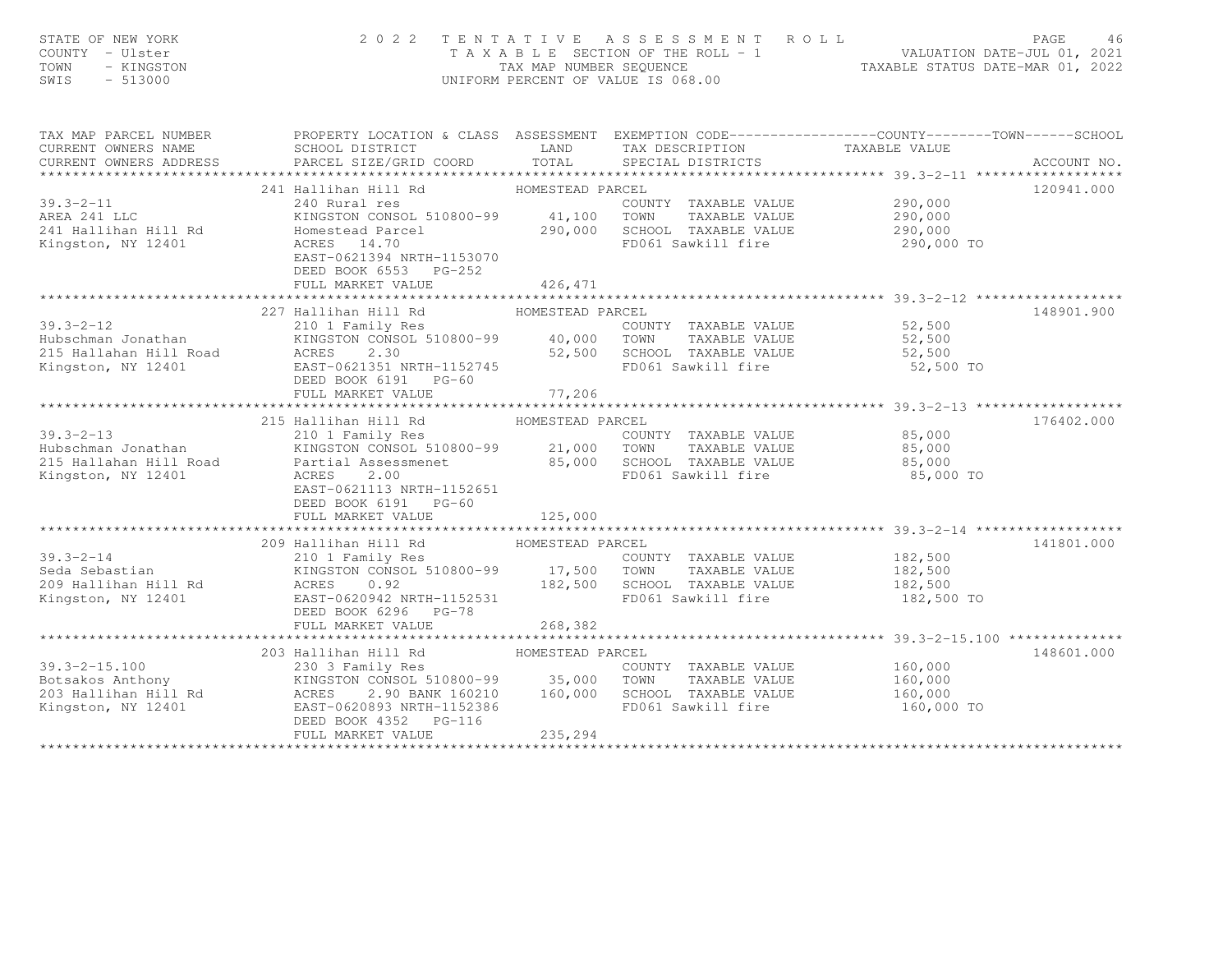| COUNTY - Ulster<br>TOWN<br>- KINGSTON<br>SWIS<br>$-513000$                                                  |                                                                                                                                                                                                          | TAX MAP NUMBER SEQUENCE                | T A X A B L E SECTION OF THE ROLL - 1<br>UNIFORM PERCENT OF VALUE IS 068.00                                                 | ROLL - 1 VALUATION DATE-JUL 01, 2021<br>TAXABLE STATUS DATE-MAR 01, 2022                                        |  |
|-------------------------------------------------------------------------------------------------------------|----------------------------------------------------------------------------------------------------------------------------------------------------------------------------------------------------------|----------------------------------------|-----------------------------------------------------------------------------------------------------------------------------|-----------------------------------------------------------------------------------------------------------------|--|
| TAX MAP PARCEL NUMBER<br>CURRENT OWNERS NAME<br>CURRENT OWNERS ADDRESS                                      | SCHOOL DISTRICT<br>PARCEL SIZE/GRID COORD TOTAL                                                                                                                                                          | LAND                                   | TAX DESCRIPTION TAXABLE VALUE<br>SPECIAL DISTRICTS                                                                          | PROPERTY LOCATION & CLASS ASSESSMENT EXEMPTION CODE----------------COUNTY-------TOWN------SCHOOL<br>ACCOUNT NO. |  |
| $39.3 - 2 - 11$<br>AREA 241 LLC<br>241 Hallihan Hill Rd<br>Kingston, NY 12401                               | 241 Hallihan Hill Rd MOMESTEAD PARCEL<br>240 Rural res<br>KINGSTON CONSOL 510800-99 41,100<br>Homestead Parcel<br>ACRES 14.70<br>EAST-0621394 NRTH-1153070<br>DEED BOOK 6553 PG-252<br>FULL MARKET VALUE | 426,471                                | COUNTY TAXABLE VALUE<br>TOWN TAXABLE VALUE 290,000<br>290,000 SCHOOL TAXABLE VALUE 290,000<br>FD061 Sawkill fire 290,000 TO | 120941.000                                                                                                      |  |
|                                                                                                             |                                                                                                                                                                                                          |                                        |                                                                                                                             |                                                                                                                 |  |
| $39.3 - 2 - 12$<br>Hubschman Jonathan<br>215 Hallahan Hill Road<br>Kingston, NY 12401<br>Kingston, NY 12401 | 227 Hallihan Hill Rd<br>210 1 Family Res<br>KINGSTON CONSOL 510800-99 40,000 TOWN<br>ACRES 2.30 52,50<br>EAST-0621351 NRTH-1152745 52,50<br>DEED BOOK 6191 PG-60<br>FULL MARKET VALUE                    | HOMESTEAD PARCEL<br>52,500<br>77,206   | COUNTY TAXABLE VALUE 52,500<br>TOWN TAXABLE VALUE 52,500<br>SCHOOL TAXABLE VALUE 52,500<br>FD061 Sawkill fire 52,500 TO     | 148901.900                                                                                                      |  |
|                                                                                                             |                                                                                                                                                                                                          |                                        |                                                                                                                             |                                                                                                                 |  |
| $39.3 - 2 - 13$<br>Hubschman Jonathan<br>215 Hallahan Hill Road<br>Kingston, NY 12401                       | 215 Hallihan Hill Rd<br>210 1 Family Res<br>KINGSTON CONSOL 510800-99<br>Partial Assessmenet<br>ACRES<br>2.00<br>EAST-0621113 NRTH-1152651<br>DEED BOOK 6191 PG-60<br>FULL MARKET VALUE                  | HOMESTEAD PARCEL<br>125,000            | COUNTY TAXABLE VALUE 65,000<br>21,000 TOWN<br>85,000 SCHOOL TAXABLE VALUE<br>FD061 Sawkill fire                             | 176402.000<br>TAXABLE VALUE 85,000<br>85,000<br>85,000 TO                                                       |  |
|                                                                                                             | 209 Hallihan Hill Rd                                                                                                                                                                                     | HOMESTEAD PARCEL                       |                                                                                                                             | 141801.000                                                                                                      |  |
| $39.3 - 2 - 14$<br>Seda Sebastian<br>209 Hallihan Hill Rd<br>Kingston, NY 12401                             | 210 1 Family Res<br>210 1 Family Res<br>KINGSTON CONSOL 510800-99<br>ACRES 0.92 182,500 SCHOOL TAXABLE VALUE<br>EAST-0620942 NRTH-1152531 FD061 Sawkill fire                                             |                                        | COUNTY TAXABLE VALUE                                                                                                        | 182,500<br>182,500<br>182,500<br>182,500 TO                                                                     |  |
|                                                                                                             | FULL MARKET VALUE                                                                                                                                                                                        | 268,382                                |                                                                                                                             |                                                                                                                 |  |
|                                                                                                             |                                                                                                                                                                                                          |                                        |                                                                                                                             |                                                                                                                 |  |
| $39.3 - 2 - 15.100$<br>Botsakos Anthony<br>203 Hallihan Hill Rd<br>Kingston, NY 12401                       | 203 Hallihan Hill Rd<br>230 3 Family Res<br>KINGSTON CONSOL 510800-99 35,000<br>ACRES 2.90 BANK 160210<br>EAST-0620893 NRTH-1152386<br>DEED BOOK 4352 PG-116<br>FULL MARKET VALUE                        | HOMESTEAD PARCEL<br>160,000<br>235,294 | COUNTY TAXABLE VALUE<br>TOWN<br>TAXABLE VALUE<br>SCHOOL TAXABLE VALUE<br>FD061 Sawkill fire                                 | 148601.000<br>160,000<br>160,000<br>160,000<br>160,000 TO                                                       |  |

\*\*\*\*\*\*\*\*\*\*\*\*\*\*\*\*\*\*\*\*\*\*\*\*\*\*\*\*\*\*\*\*\*\*\*\*\*\*\*\*\*\*\*\*\*\*\*\*\*\*\*\*\*\*\*\*\*\*\*\*\*\*\*\*\*\*\*\*\*\*\*\*\*\*\*\*\*\*\*\*\*\*\*\*\*\*\*\*\*\*\*\*\*\*\*\*\*\*\*\*\*\*\*\*\*\*\*\*\*\*\*\*\*\*\*\*\*\*\*\*\*\*\*\*\*\*\*\*\*\*\*\*

#### STATE OF NEW YORK 2 0 2 2 T E N T A T I V E A S S E S S M E N T R O L L PAGE 46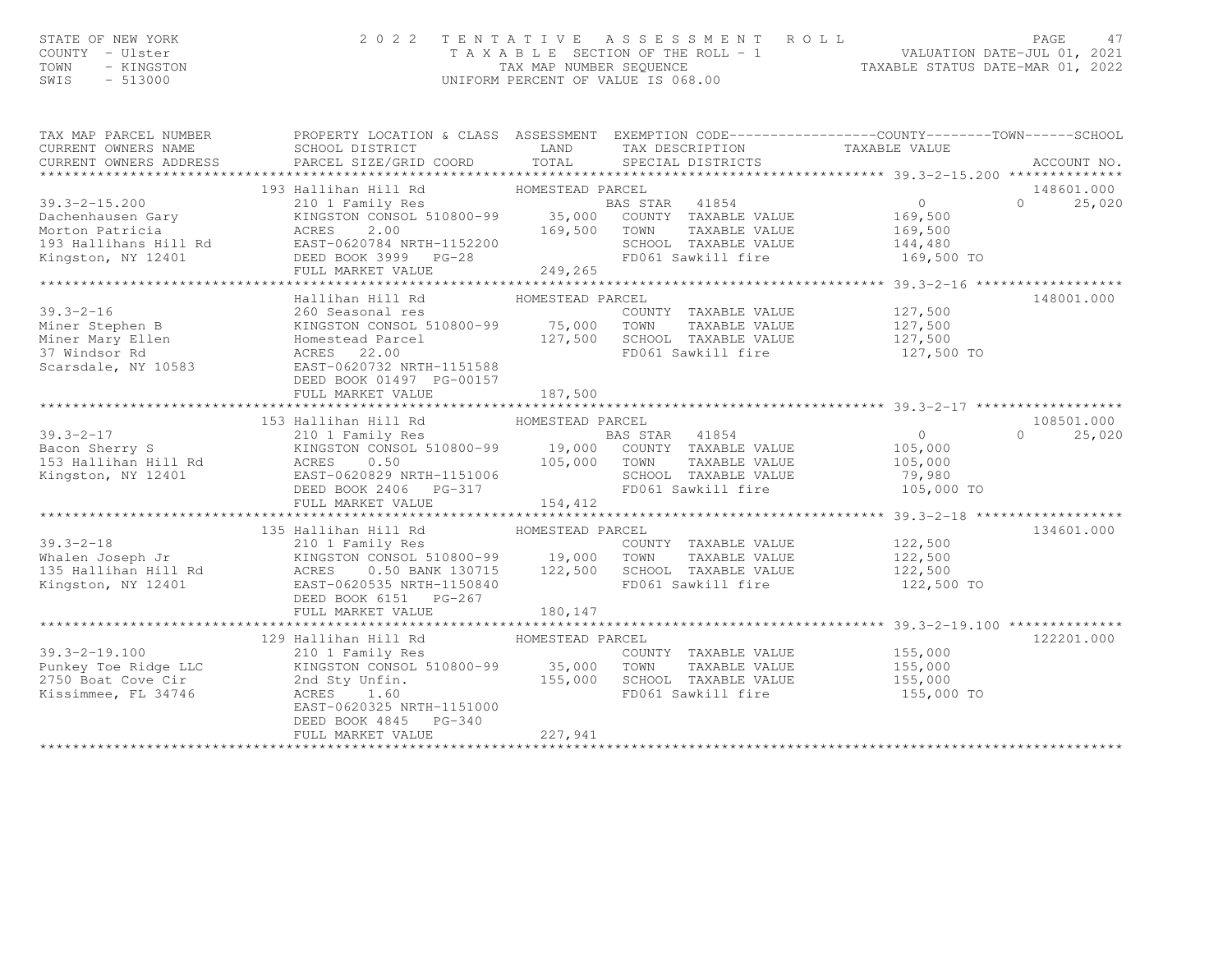# STATE OF NEW YORK CONTY - USE A Many of the COUNTY - USE PAGE 47<br>COUNTY - Ulster COUNTY - USER COUNTY - TAX A B L E SECTION OF THE ROLL - 1 WALUATION DATE-JUL 01, 2021<br>TAX A B L E SECTION OF THE ROLL - 1 TAX ABLE STATUS DA

| TAX MAP PARCEL NUMBER<br>CURRENT OWNERS ADDRESS                                                                                                                                                                                            | PROPERTY LOCATION & CLASS ASSESSMENT EXEMPTION CODE----------------COUNTY-------TOWN-----SCHOOL                                                                                                                                   |                  |                                                                                                                             |            |                                        |
|--------------------------------------------------------------------------------------------------------------------------------------------------------------------------------------------------------------------------------------------|-----------------------------------------------------------------------------------------------------------------------------------------------------------------------------------------------------------------------------------|------------------|-----------------------------------------------------------------------------------------------------------------------------|------------|----------------------------------------|
|                                                                                                                                                                                                                                            | 193 Hallihan Hill Rd MOMESTEAD PARCEL                                                                                                                                                                                             |                  |                                                                                                                             | 169,500 TO | 148601.000<br>$\overline{0}$<br>25,020 |
|                                                                                                                                                                                                                                            |                                                                                                                                                                                                                                   |                  |                                                                                                                             |            |                                        |
| $39.3 - 2 - 16$<br>Viner Stephen B<br>Miner Mary Ellen<br>Miner Mary Ellen<br>37 Windsor Rd<br>Scarsdale, NY 10583<br>DEED BOOK 01497<br>DEED BOOK 01497<br>PG-00157<br>PEED BOOK 01497<br>PG-00157                                        | Hallihan Hill Rd<br>260 Seasonal res<br>EXABLE VALUE 127,500<br>KINGSTON CONSOL 510800-99 75,000 TOWN TAXABLE VALUE 127,500<br>Homestead Parcel 127,500 SCHOOL TAXABLE VALUE 127,500<br>ACRES 22.00 FD061 Sawkill fire 127,500 TO | HOMESTEAD PARCEL |                                                                                                                             |            | 148001.000                             |
|                                                                                                                                                                                                                                            | FULL MARKET VALUE                                                                                                                                                                                                                 | 187,500          |                                                                                                                             |            |                                        |
|                                                                                                                                                                                                                                            |                                                                                                                                                                                                                                   |                  |                                                                                                                             |            |                                        |
| 153 Hallihan Hill Rd<br>MOMESTEAD PRINCE AND ENGINE SERIES AND TAXABLE VALUE<br>THE MORE SERIES CONSINUE 154,412<br>THE MORE SERIES CONSINUE 154,412<br>THE MORE SERIES CONSULE 154,412<br>THE MORE SERIES CONSULE 154,412<br>THE MARKET V |                                                                                                                                                                                                                                   |                  |                                                                                                                             |            |                                        |
|                                                                                                                                                                                                                                            |                                                                                                                                                                                                                                   |                  |                                                                                                                             |            |                                        |
| 39.3-2-18<br>Whalen Joseph Jr 210 1 Family Res 200NN<br>210 1 Family Res 200NN<br>XINGSTON CONSOL 510800-99 19,000 TOWN<br>135 Hallihan Hill Rd ACRES 0.50 BANK 130715 122,500 SCHOOL<br>Kingston, NY 12401 BAST-0620535 NRTH-1150840 FD   | 135 Hallihan Hill Rd<br>DEED BOOK 6151 PG-267                                                                                                                                                                                     | HOMESTEAD PARCEL |                                                                                                                             |            | 134601.000                             |
|                                                                                                                                                                                                                                            | FULL MARKET VALUE                                                                                                                                                                                                                 | 180, 147         |                                                                                                                             |            |                                        |
| 39.3-2-19.100 210 1 Family Res<br>Punkey Toe Ridge LLC KINGSTON CONSOL 510800-99 35,000 TOWN<br>2750 Boat Cove Cir 2nd Sty Unfin. 155,000 SCHOO<br>Kissimmee. FI.34746 ACRES 1.60 FD061                                                    | EAST-0620325 NRTH-1151000<br>DEED BOOK 4845 PG-340                                                                                                                                                                                |                  | COUNTY TAXABLE VALUE 155,000<br>TOWN TAXABLE VALUE 155,000<br>SCHOOL TAXABLE VALUE 155,000<br>FD061 Sawkill fire 155,000 TO |            | 122201.000                             |
|                                                                                                                                                                                                                                            | FULL MARKET VALUE                                                                                                                                                                                                                 | 227,941          |                                                                                                                             |            |                                        |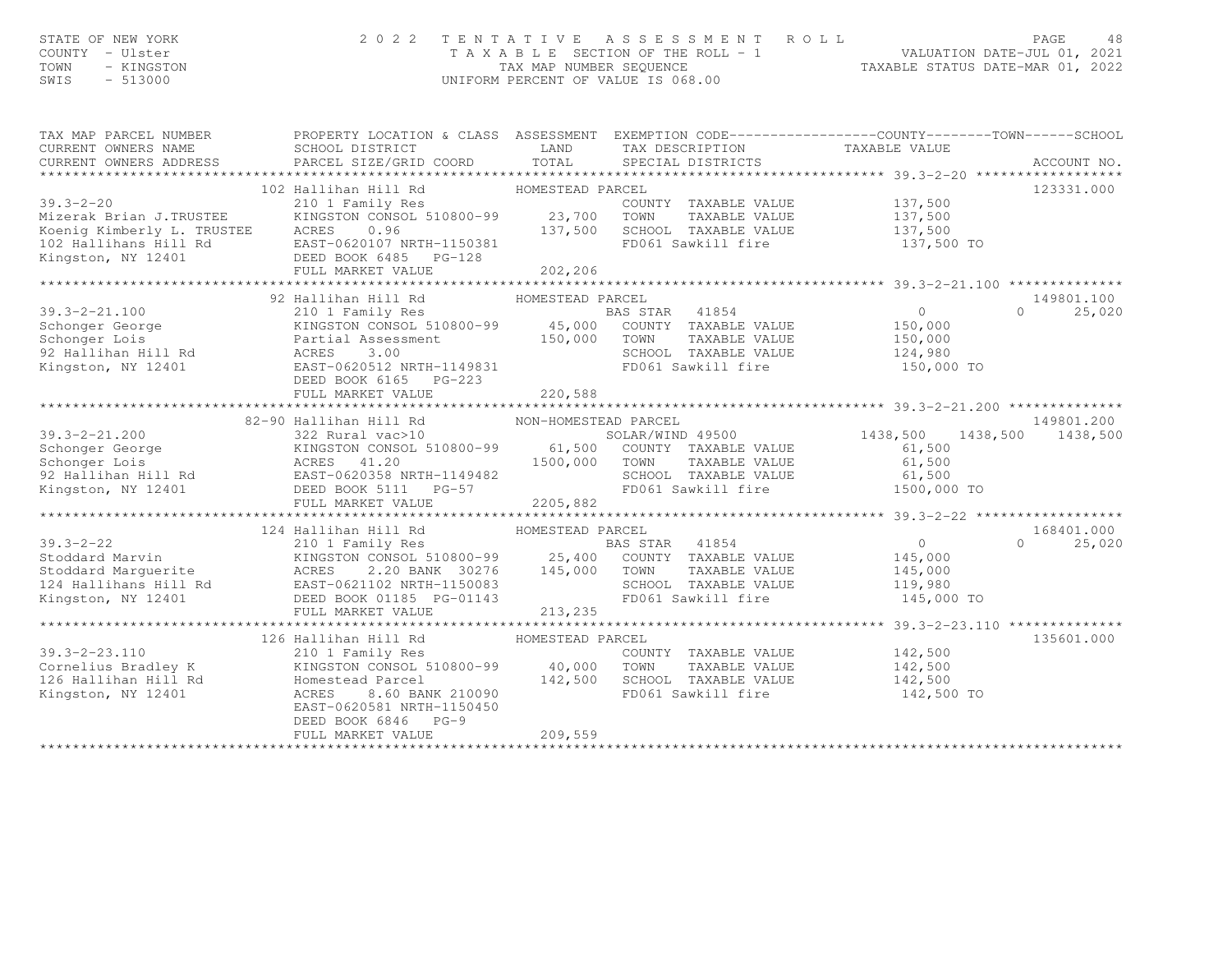### STATE OF NEW YORK ON THE SERVICE ASSESSMENT ROLL PALUATION DATE–JUL 01, 2021<br>COUNTY - Ulster (1992) TAXABLE SECTION OF THE ROLL - 1 (VALUATION DATE–JUL 01, 2021<br>TAXABLE STATUS DATE–MAR 01, 2022<br>SWIS - 513000

| TAX MAP PARCEL NUMBER                                                                                                                                                                                                                                                                                                                                                                                                                                                          | PROPERTY LOCATION & CLASS ASSESSMENT EXEMPTION CODE----------------COUNTY-------TOWN-----SCHOOL |                  |                                                                                          |            |                    |
|--------------------------------------------------------------------------------------------------------------------------------------------------------------------------------------------------------------------------------------------------------------------------------------------------------------------------------------------------------------------------------------------------------------------------------------------------------------------------------|-------------------------------------------------------------------------------------------------|------------------|------------------------------------------------------------------------------------------|------------|--------------------|
| CURRENT OWNERS NAME                                                                                                                                                                                                                                                                                                                                                                                                                                                            | SCHOOL DISTRICT                                                                                 | LAND             | TAX DESCRIPTION TAXABLE VALUE                                                            |            |                    |
|                                                                                                                                                                                                                                                                                                                                                                                                                                                                                |                                                                                                 |                  |                                                                                          |            |                    |
|                                                                                                                                                                                                                                                                                                                                                                                                                                                                                |                                                                                                 |                  |                                                                                          |            |                    |
|                                                                                                                                                                                                                                                                                                                                                                                                                                                                                |                                                                                                 |                  |                                                                                          |            | 123331.000         |
|                                                                                                                                                                                                                                                                                                                                                                                                                                                                                |                                                                                                 |                  |                                                                                          |            |                    |
|                                                                                                                                                                                                                                                                                                                                                                                                                                                                                |                                                                                                 |                  | COUNTY TAXABLE VALUE 137,500<br>TOWN TAXABLE VALUE 137,500<br>TOWN TAXABLE VALUE 137,500 |            |                    |
|                                                                                                                                                                                                                                                                                                                                                                                                                                                                                |                                                                                                 |                  |                                                                                          |            |                    |
|                                                                                                                                                                                                                                                                                                                                                                                                                                                                                |                                                                                                 |                  |                                                                                          | 137,500 TO |                    |
|                                                                                                                                                                                                                                                                                                                                                                                                                                                                                |                                                                                                 |                  |                                                                                          |            |                    |
| 102 Hallihan Hill Rd<br>102 Hallihan Hill Rd<br>210 1 Family Res<br>23,700 TOWN TAXABLE VALUE<br>23,700 TOWN TAXABLE VALUE<br>23,700 TOWN TAXABLE VALUE<br>23,700 TOWN TAXABLE VALUE<br>23,700 TOWN TAXABLE VALUE<br>23,700 TOWN TAXABLE VALUE                                                                                                                                                                                                                                 |                                                                                                 |                  |                                                                                          |            |                    |
|                                                                                                                                                                                                                                                                                                                                                                                                                                                                                | 92 Hallihan Hill Rd                                                                             |                  |                                                                                          |            | 149801.100         |
| 39.3-2-21.100<br>Schonger George KINGSTON CONSOL 510800-99 45,000 COUNTY TAXABLE VALUE<br>Schonger Lois Partial Assessment<br>210 1 Family Res BAS STAR 41854 0<br>Schonger Lois Partial Assessment<br>22 Hallihan Hill Rd ACRES 3.00 S                                                                                                                                                                                                                                        |                                                                                                 | HOMESTEAD PARCEL |                                                                                          |            |                    |
|                                                                                                                                                                                                                                                                                                                                                                                                                                                                                |                                                                                                 |                  |                                                                                          |            | 25,020<br>$\Omega$ |
|                                                                                                                                                                                                                                                                                                                                                                                                                                                                                |                                                                                                 |                  |                                                                                          |            |                    |
|                                                                                                                                                                                                                                                                                                                                                                                                                                                                                |                                                                                                 |                  |                                                                                          |            |                    |
|                                                                                                                                                                                                                                                                                                                                                                                                                                                                                |                                                                                                 |                  | SCHOOL TAXABLE VALUE 124,980<br>FD061 Sawkill fire 150,000 TO                            |            |                    |
|                                                                                                                                                                                                                                                                                                                                                                                                                                                                                |                                                                                                 |                  |                                                                                          |            |                    |
|                                                                                                                                                                                                                                                                                                                                                                                                                                                                                |                                                                                                 |                  |                                                                                          |            |                    |
|                                                                                                                                                                                                                                                                                                                                                                                                                                                                                | FULL MARKET VALUE                                                                               | 220,588          |                                                                                          |            |                    |
| $\begin{array}{cccccccc} & & & & & & 82-90 & \text{Hall} \text{ than Hill Rd} & & & & & & & 82-90 & \text{Hall} \text{ than Hill Rd} & & & & & & & & 82-90 & \text{Hall} \text{ than Hill Rd} & & & & & & & & 82-90 & \text{Hall} \text{ than Hill Rd} & & & & & & & & & 82-90 & \text{Null} \text{ was} \text{ than Hill Rd} & & & & & & & & & 82-90 & \text{Null} \text{ was} \text{ than Hill Rd} & & & & & & & & & 82-90 & \text{ null} \text{ has a 500} & & & & & & 149$ |                                                                                                 |                  |                                                                                          |            |                    |
|                                                                                                                                                                                                                                                                                                                                                                                                                                                                                |                                                                                                 |                  |                                                                                          |            |                    |
|                                                                                                                                                                                                                                                                                                                                                                                                                                                                                |                                                                                                 |                  |                                                                                          |            |                    |
|                                                                                                                                                                                                                                                                                                                                                                                                                                                                                |                                                                                                 |                  |                                                                                          |            |                    |
|                                                                                                                                                                                                                                                                                                                                                                                                                                                                                |                                                                                                 |                  |                                                                                          |            |                    |
|                                                                                                                                                                                                                                                                                                                                                                                                                                                                                |                                                                                                 |                  |                                                                                          |            |                    |
|                                                                                                                                                                                                                                                                                                                                                                                                                                                                                |                                                                                                 |                  |                                                                                          |            |                    |
|                                                                                                                                                                                                                                                                                                                                                                                                                                                                                |                                                                                                 |                  |                                                                                          |            |                    |
| 124 HALLINA HOMESTEAD PARCEL<br>210 1 Family Res<br>210 1 Family Res<br>210 1 Family Res<br>220 BANK 30276<br>225,400 COUNTY TAXABLE VALUE<br>226 BAS STAR<br>239.3-2-22<br>226 BAS STAR<br>239.3-2-22<br>226 BAS STAR<br>239.3-2-22<br>226 BAS STAR<br>                                                                                                                                                                                                                       |                                                                                                 |                  |                                                                                          |            | 168401.000         |
|                                                                                                                                                                                                                                                                                                                                                                                                                                                                                |                                                                                                 |                  |                                                                                          |            | 25,020<br>$\Omega$ |
|                                                                                                                                                                                                                                                                                                                                                                                                                                                                                |                                                                                                 |                  |                                                                                          |            |                    |
|                                                                                                                                                                                                                                                                                                                                                                                                                                                                                |                                                                                                 |                  |                                                                                          |            |                    |
|                                                                                                                                                                                                                                                                                                                                                                                                                                                                                |                                                                                                 |                  |                                                                                          |            |                    |
|                                                                                                                                                                                                                                                                                                                                                                                                                                                                                |                                                                                                 |                  | SCHOOL TAXABLE VALUE 119,980<br>FD061 Sawkill fire 145,000 TO                            |            |                    |
|                                                                                                                                                                                                                                                                                                                                                                                                                                                                                |                                                                                                 |                  |                                                                                          |            |                    |
|                                                                                                                                                                                                                                                                                                                                                                                                                                                                                |                                                                                                 |                  |                                                                                          |            |                    |
|                                                                                                                                                                                                                                                                                                                                                                                                                                                                                |                                                                                                 |                  |                                                                                          |            | 135601.000         |
|                                                                                                                                                                                                                                                                                                                                                                                                                                                                                |                                                                                                 |                  |                                                                                          |            |                    |
|                                                                                                                                                                                                                                                                                                                                                                                                                                                                                |                                                                                                 |                  |                                                                                          |            |                    |
|                                                                                                                                                                                                                                                                                                                                                                                                                                                                                |                                                                                                 |                  |                                                                                          |            |                    |
|                                                                                                                                                                                                                                                                                                                                                                                                                                                                                |                                                                                                 |                  | FD061 Sawkill fire 142,500 TO                                                            |            |                    |
|                                                                                                                                                                                                                                                                                                                                                                                                                                                                                | EAST-0620581 NRTH-1150450                                                                       |                  |                                                                                          |            |                    |
|                                                                                                                                                                                                                                                                                                                                                                                                                                                                                | DEED BOOK 6846 PG-9                                                                             |                  |                                                                                          |            |                    |
|                                                                                                                                                                                                                                                                                                                                                                                                                                                                                | FULL MARKET VALUE                                                                               | 209,559          |                                                                                          |            |                    |
|                                                                                                                                                                                                                                                                                                                                                                                                                                                                                |                                                                                                 |                  |                                                                                          |            |                    |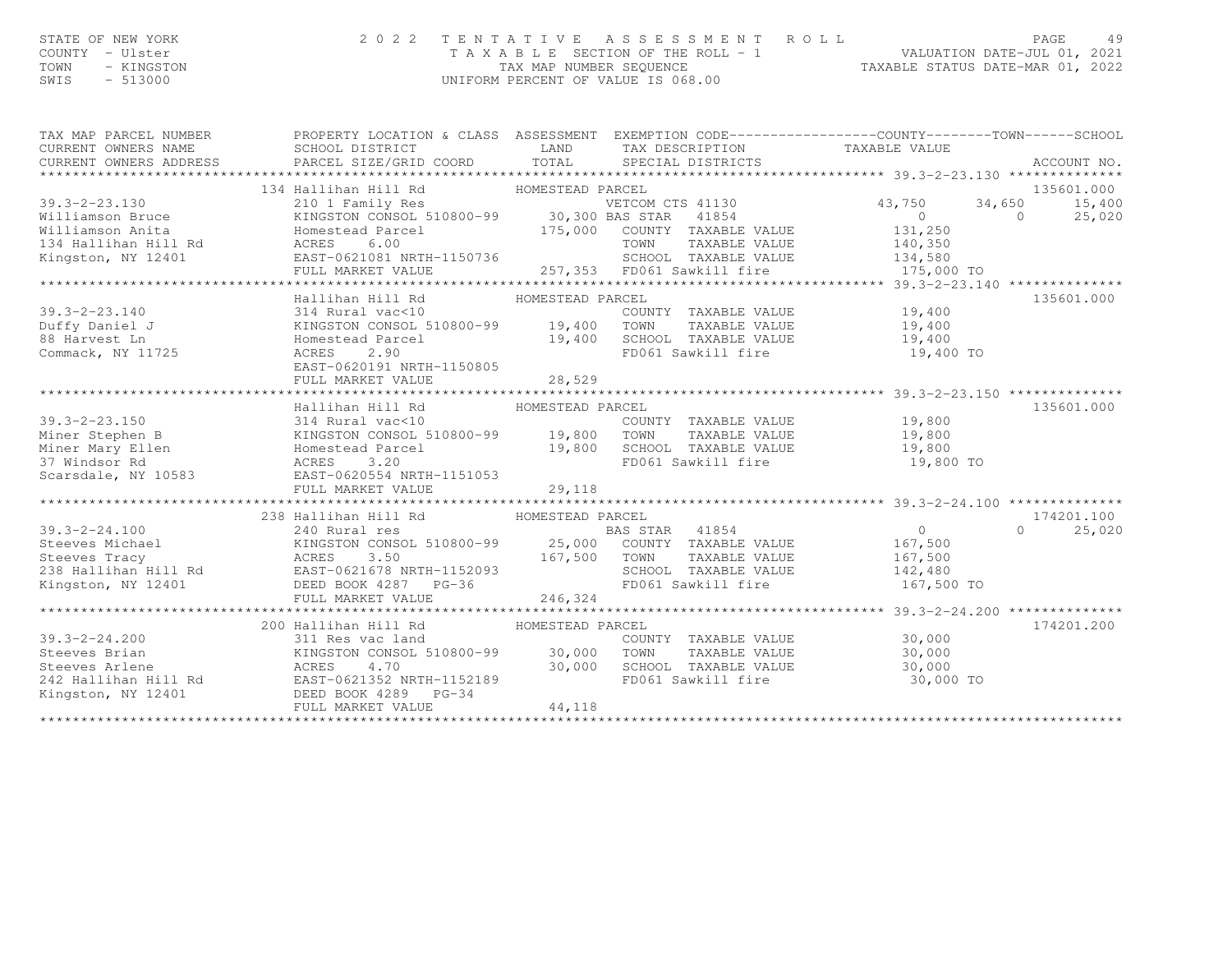# STATE OF NEW YORK (PAGE 49)<br>COUNTY - Ulster (PAGE 1991) TAXABLE SECTION OF THE ROLL - 1 (VALUATION DATE-JUL 01, 2021<br>TAXABLE SECTION OF THE ROLL - 1 (TAXABLE STATUS DATE-JUL 01, 2022<br>SWIS - 513000 (INTFORM PERCENT OF VALUE

| TAX MAP PARCEL NUMBER                                                                                                                                                                                                                                                        | SURICT LAND TAX DESCRIPTION TAXABLE VALUE<br>CURRENT OWNERS ADDRESS PARCEL SIZE/GRID COORD TOTAL SPECIAL DISTRICTS ACCOUNT NO.<br>EXAMPLE VALUE SECOUNT NO.<br>134 Hallihan Hill Rd HOMESTEAD PARCEL. |                  | PROPERTY LOCATION & CLASS ASSESSMENT EXEMPTION CODE----------------COUNTY-------TOWN------SCHOOL |            |
|------------------------------------------------------------------------------------------------------------------------------------------------------------------------------------------------------------------------------------------------------------------------------|-------------------------------------------------------------------------------------------------------------------------------------------------------------------------------------------------------|------------------|--------------------------------------------------------------------------------------------------|------------|
|                                                                                                                                                                                                                                                                              |                                                                                                                                                                                                       |                  |                                                                                                  |            |
|                                                                                                                                                                                                                                                                              |                                                                                                                                                                                                       |                  |                                                                                                  |            |
|                                                                                                                                                                                                                                                                              |                                                                                                                                                                                                       |                  |                                                                                                  |            |
|                                                                                                                                                                                                                                                                              |                                                                                                                                                                                                       |                  |                                                                                                  |            |
|                                                                                                                                                                                                                                                                              |                                                                                                                                                                                                       |                  |                                                                                                  |            |
|                                                                                                                                                                                                                                                                              |                                                                                                                                                                                                       |                  |                                                                                                  |            |
|                                                                                                                                                                                                                                                                              |                                                                                                                                                                                                       |                  |                                                                                                  |            |
|                                                                                                                                                                                                                                                                              |                                                                                                                                                                                                       |                  |                                                                                                  |            |
|                                                                                                                                                                                                                                                                              |                                                                                                                                                                                                       |                  |                                                                                                  |            |
|                                                                                                                                                                                                                                                                              |                                                                                                                                                                                                       |                  |                                                                                                  |            |
|                                                                                                                                                                                                                                                                              |                                                                                                                                                                                                       |                  |                                                                                                  | 135601.000 |
| 39.3-2-23.140<br>Duffy Daniel J<br>29.3-2-23.140<br>Duffy Daniel J<br>29.400<br>29.3-2-23.140<br>29.400<br>29.400<br>29.400<br>29.400<br>29.400<br>29.400<br>29.400<br>29.400<br>29.400<br>29.400<br>29.400<br>29.400<br>29.400<br>29.400<br>29.400<br>29.400<br>29.400<br>2 |                                                                                                                                                                                                       |                  |                                                                                                  |            |
|                                                                                                                                                                                                                                                                              |                                                                                                                                                                                                       |                  |                                                                                                  |            |
|                                                                                                                                                                                                                                                                              |                                                                                                                                                                                                       |                  | FD061 Sawkill fire 19,400 TO                                                                     |            |
|                                                                                                                                                                                                                                                                              |                                                                                                                                                                                                       |                  |                                                                                                  |            |
|                                                                                                                                                                                                                                                                              |                                                                                                                                                                                                       |                  |                                                                                                  |            |
|                                                                                                                                                                                                                                                                              |                                                                                                                                                                                                       |                  |                                                                                                  |            |
|                                                                                                                                                                                                                                                                              |                                                                                                                                                                                                       |                  |                                                                                                  |            |
|                                                                                                                                                                                                                                                                              |                                                                                                                                                                                                       |                  |                                                                                                  |            |
|                                                                                                                                                                                                                                                                              |                                                                                                                                                                                                       |                  |                                                                                                  |            |
|                                                                                                                                                                                                                                                                              |                                                                                                                                                                                                       |                  |                                                                                                  |            |
|                                                                                                                                                                                                                                                                              |                                                                                                                                                                                                       |                  |                                                                                                  |            |
|                                                                                                                                                                                                                                                                              |                                                                                                                                                                                                       |                  |                                                                                                  |            |
|                                                                                                                                                                                                                                                                              |                                                                                                                                                                                                       |                  |                                                                                                  |            |
|                                                                                                                                                                                                                                                                              |                                                                                                                                                                                                       |                  |                                                                                                  |            |
| 338 Hallinan Hill Rd<br>339.3-2-24.100<br>338 Hallinan Hill Rd<br>340 Rural res<br>35.50<br>36 Hallinan Hill Rd<br>240 Rural res<br>35.50<br>36 Hallinan Hill Rd<br>238 Hallinan Hill Rd<br>238 Hallinan Hill Rd<br>238 Hallinan Hill Rd<br>238 Hallin                       |                                                                                                                                                                                                       |                  |                                                                                                  |            |
|                                                                                                                                                                                                                                                                              |                                                                                                                                                                                                       |                  |                                                                                                  |            |
|                                                                                                                                                                                                                                                                              |                                                                                                                                                                                                       |                  |                                                                                                  |            |
|                                                                                                                                                                                                                                                                              |                                                                                                                                                                                                       |                  |                                                                                                  |            |
|                                                                                                                                                                                                                                                                              |                                                                                                                                                                                                       |                  |                                                                                                  |            |
|                                                                                                                                                                                                                                                                              |                                                                                                                                                                                                       |                  |                                                                                                  |            |
|                                                                                                                                                                                                                                                                              |                                                                                                                                                                                                       |                  |                                                                                                  |            |
|                                                                                                                                                                                                                                                                              |                                                                                                                                                                                                       |                  |                                                                                                  |            |
|                                                                                                                                                                                                                                                                              | 200 Hallihan Hill Rd                                                                                                                                                                                  | HOMESTEAD PARCEL |                                                                                                  | 174201.200 |
|                                                                                                                                                                                                                                                                              |                                                                                                                                                                                                       |                  |                                                                                                  |            |
|                                                                                                                                                                                                                                                                              |                                                                                                                                                                                                       |                  |                                                                                                  |            |
|                                                                                                                                                                                                                                                                              |                                                                                                                                                                                                       |                  |                                                                                                  |            |
|                                                                                                                                                                                                                                                                              |                                                                                                                                                                                                       |                  |                                                                                                  |            |
|                                                                                                                                                                                                                                                                              |                                                                                                                                                                                                       |                  |                                                                                                  |            |
| 39.3-2-24.200<br>39.3-2-24.200<br>Steeves Brian<br>Steeves Arlene MCRES 4.70<br>242 Hallihan Hill Rd EAST-0621352 NRTH-1152189<br>Kingston, NY 12401<br>EED BOOK 4289 PG-34<br>FULL MARKET VALUE 44,118<br>FULL MARKET VALUE 44,118                                          |                                                                                                                                                                                                       |                  |                                                                                                  |            |
|                                                                                                                                                                                                                                                                              |                                                                                                                                                                                                       |                  |                                                                                                  |            |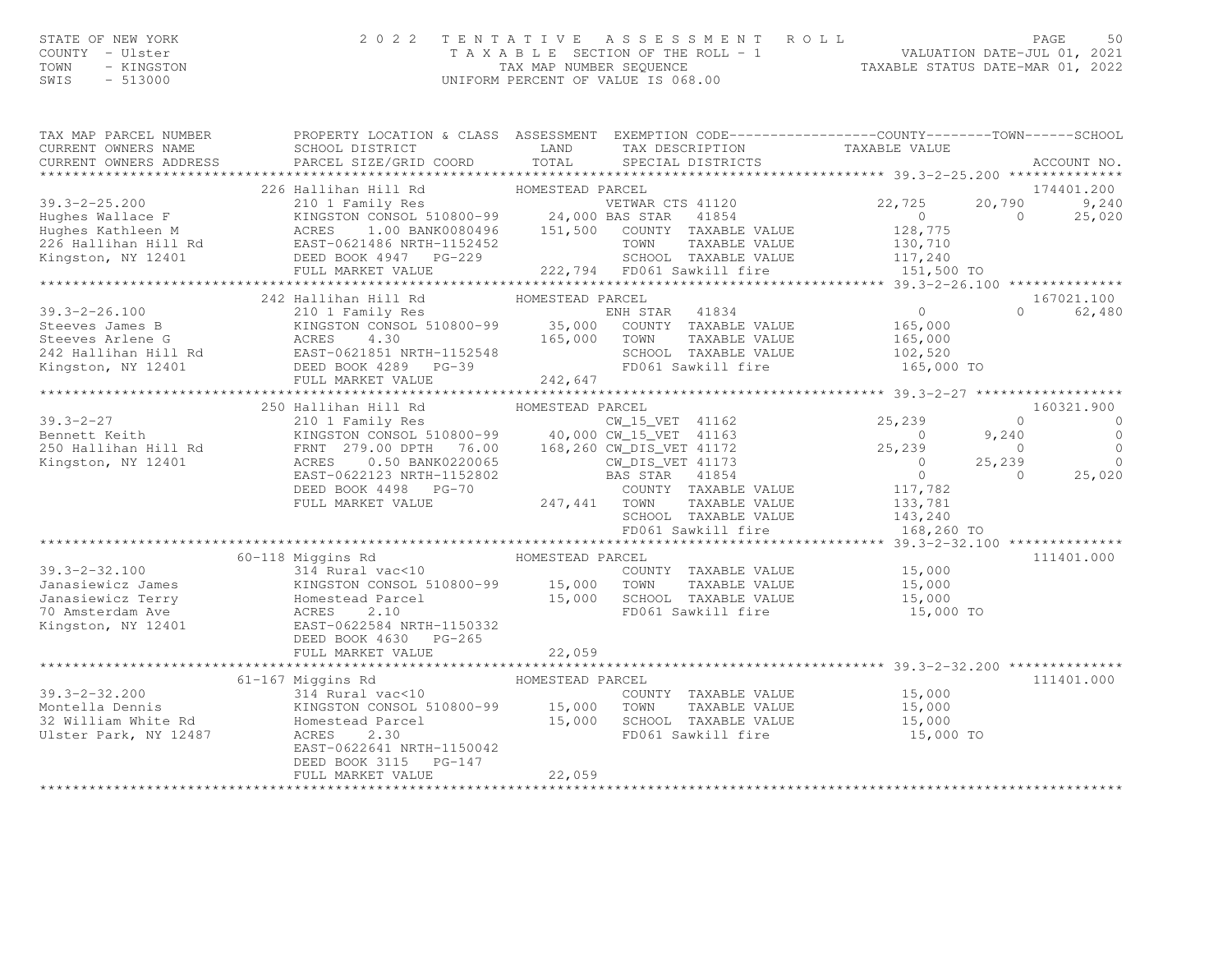# STATE OF NEW YORK DAGE 50 SOLUTION OF THE RESULT OF THE ROLL PACE 50 SOUNTY - Ulster the SAGE 50 SOUNTY - Ulster SOLUTION DATE—JUL 01, 2021<br>COUNTY - Ulster the Same Result of Tax A B L E SECTION OF THE ROLL - 1 TAXABLE STA

| PROPERTY LOCATION & CLASS ASSESSMENT EXEMPTION CODE----------------COUNTY-------TOWN------SCHOOL<br>CURRENT OWNERS NAME<br>CURRENT OWNERS ADDRESS BANK CHOOL DISTRICT TO TAXING TAXING TAXING TAXABLE VALUE<br>CURRENT OWNERS ADDRESS PARCEL SIZE/GRID COORD TOTAL SPECIAL DISTRICTS ACCOUNT NO.                                                                                                                                                                                                          |            |
|-----------------------------------------------------------------------------------------------------------------------------------------------------------------------------------------------------------------------------------------------------------------------------------------------------------------------------------------------------------------------------------------------------------------------------------------------------------------------------------------------------------|------------|
|                                                                                                                                                                                                                                                                                                                                                                                                                                                                                                           |            |
|                                                                                                                                                                                                                                                                                                                                                                                                                                                                                                           |            |
|                                                                                                                                                                                                                                                                                                                                                                                                                                                                                                           |            |
|                                                                                                                                                                                                                                                                                                                                                                                                                                                                                                           |            |
|                                                                                                                                                                                                                                                                                                                                                                                                                                                                                                           |            |
|                                                                                                                                                                                                                                                                                                                                                                                                                                                                                                           |            |
|                                                                                                                                                                                                                                                                                                                                                                                                                                                                                                           |            |
|                                                                                                                                                                                                                                                                                                                                                                                                                                                                                                           |            |
|                                                                                                                                                                                                                                                                                                                                                                                                                                                                                                           |            |
|                                                                                                                                                                                                                                                                                                                                                                                                                                                                                                           |            |
|                                                                                                                                                                                                                                                                                                                                                                                                                                                                                                           |            |
|                                                                                                                                                                                                                                                                                                                                                                                                                                                                                                           |            |
|                                                                                                                                                                                                                                                                                                                                                                                                                                                                                                           |            |
| $\begin{tabular}{lcccc} \texttt{\textbf{X}} & \texttt{\textbf{X}} & \texttt{\textbf{X}} & \texttt{\textbf{X}} & \texttt{\textbf{X}} & \texttt{\textbf{X}} & \texttt{\textbf{X}} & \texttt{\textbf{X}} & \texttt{\textbf{X}} & \texttt{\textbf{X}} & \texttt{\textbf{X}} & \texttt{\textbf{X}} & \texttt{\textbf{X}} \\ \texttt{\textbf{X}} & \texttt{\textbf{X}} & \texttt{\textbf{X}} & \texttt{\textbf{X}} & \texttt{\textbf{X}} & \texttt{\textbf{X}} & \texttt{\textbf{X}} & \texttt{\textbf{X}} & \$ |            |
|                                                                                                                                                                                                                                                                                                                                                                                                                                                                                                           |            |
|                                                                                                                                                                                                                                                                                                                                                                                                                                                                                                           |            |
|                                                                                                                                                                                                                                                                                                                                                                                                                                                                                                           |            |
|                                                                                                                                                                                                                                                                                                                                                                                                                                                                                                           |            |
|                                                                                                                                                                                                                                                                                                                                                                                                                                                                                                           |            |
|                                                                                                                                                                                                                                                                                                                                                                                                                                                                                                           |            |
|                                                                                                                                                                                                                                                                                                                                                                                                                                                                                                           |            |
|                                                                                                                                                                                                                                                                                                                                                                                                                                                                                                           |            |
|                                                                                                                                                                                                                                                                                                                                                                                                                                                                                                           |            |
|                                                                                                                                                                                                                                                                                                                                                                                                                                                                                                           |            |
|                                                                                                                                                                                                                                                                                                                                                                                                                                                                                                           | 111401.000 |
|                                                                                                                                                                                                                                                                                                                                                                                                                                                                                                           |            |
|                                                                                                                                                                                                                                                                                                                                                                                                                                                                                                           |            |
|                                                                                                                                                                                                                                                                                                                                                                                                                                                                                                           |            |
|                                                                                                                                                                                                                                                                                                                                                                                                                                                                                                           |            |
|                                                                                                                                                                                                                                                                                                                                                                                                                                                                                                           |            |
|                                                                                                                                                                                                                                                                                                                                                                                                                                                                                                           |            |
|                                                                                                                                                                                                                                                                                                                                                                                                                                                                                                           |            |
|                                                                                                                                                                                                                                                                                                                                                                                                                                                                                                           | 111401.000 |
|                                                                                                                                                                                                                                                                                                                                                                                                                                                                                                           |            |
|                                                                                                                                                                                                                                                                                                                                                                                                                                                                                                           |            |
|                                                                                                                                                                                                                                                                                                                                                                                                                                                                                                           |            |
|                                                                                                                                                                                                                                                                                                                                                                                                                                                                                                           |            |
|                                                                                                                                                                                                                                                                                                                                                                                                                                                                                                           |            |
| DEED BOOK 3115 PG-147                                                                                                                                                                                                                                                                                                                                                                                                                                                                                     |            |
| 22,059<br>FULL MARKET VALUE                                                                                                                                                                                                                                                                                                                                                                                                                                                                               |            |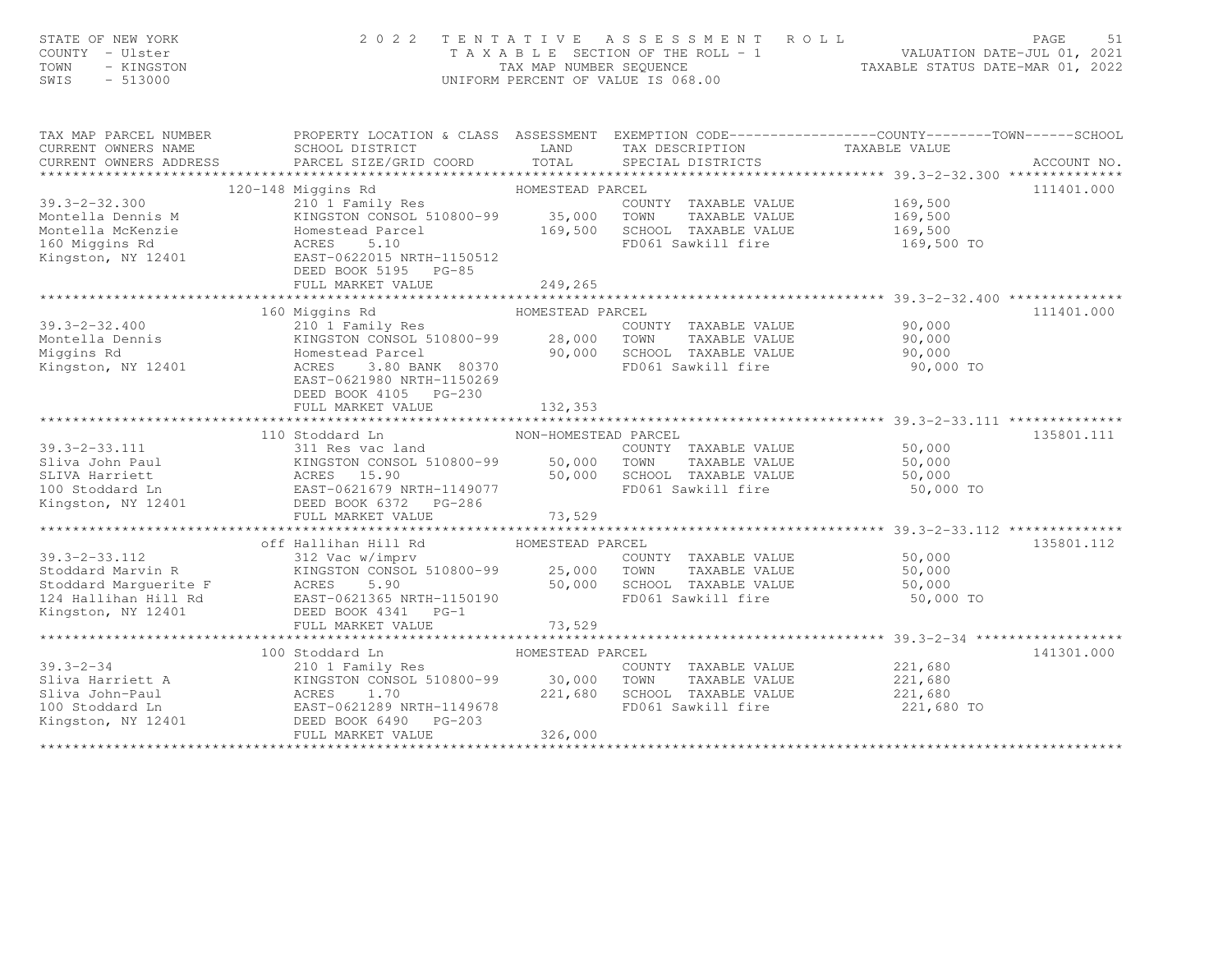| STATE OF NEW YORK<br>COUNTY - Ulster<br>TOWN<br>- KINGSTON<br>SWIS<br>$-513000$                                 | 2 0 2 2                                                                                                                                                           | TENTATIVE<br>TAX MAP NUMBER SEQUENCE             | A S S E S S M E N T<br>T A X A B L E SECTION OF THE ROLL - 1<br>UNIFORM PERCENT OF VALUE IS 068.00 | ROLL<br>VALUATION DATE-JUL 01, 2021<br>TAXABLE STATUS DATE-MAR 01, 2022 | PAGE<br>51  |
|-----------------------------------------------------------------------------------------------------------------|-------------------------------------------------------------------------------------------------------------------------------------------------------------------|--------------------------------------------------|----------------------------------------------------------------------------------------------------|-------------------------------------------------------------------------|-------------|
| TAX MAP PARCEL NUMBER<br>CURRENT OWNERS NAME<br>CURRENT OWNERS ADDRESS                                          | PROPERTY LOCATION & CLASS ASSESSMENT EXEMPTION CODE---------------COUNTY-------TOWN-----SCHOOL<br>SCHOOL DISTRICT<br>PARCEL SIZE/GRID COORD                       | LAND<br>TOTAL                                    | TAX DESCRIPTION<br>SPECIAL DISTRICTS                                                               | TAXABLE VALUE                                                           | ACCOUNT NO. |
|                                                                                                                 |                                                                                                                                                                   |                                                  |                                                                                                    |                                                                         |             |
| $39.3 - 2 - 32.300$<br>Montella Dennis M<br>Montella McKenzie<br>160 Miggins Rd                                 | 120-148 Miggins Rd<br>210 1 Family Res<br>KINGSTON CONSOL 510800-99 35,000<br>Homestead Parcel<br>ACRES<br>5.10                                                   | HOMESTEAD PARCEL<br>169,500                      | COUNTY TAXABLE VALUE<br>TOWN<br>TAXABLE VALUE<br>SCHOOL TAXABLE VALUE<br>FD061 Sawkill fire        | 169,500<br>169,500<br>169,500                                           | 111401.000  |
| Kingston, NY 12401                                                                                              | EAST-0622015 NRTH-1150512<br>DEED BOOK 5195 PG-85<br>FULL MARKET VALUE                                                                                            | 249,265                                          |                                                                                                    | 169,500 TO                                                              |             |
|                                                                                                                 | 160 Miggins Rd                                                                                                                                                    | HOMESTEAD PARCEL                                 |                                                                                                    |                                                                         | 111401.000  |
| $39.3 - 2 - 32.400$<br>Montella Dennis<br>Miggins Rd<br>Kingston, NY 12401                                      | 210 1 Family Res<br>KINGSTON CONSOL 510800-99<br>Homestead Parcel<br>ACRES<br>3.80 BANK 80370<br>EAST-0621980 NRTH-1150269<br>DEED BOOK 4105 PG-230               | 28,000<br>90,000                                 | COUNTY TAXABLE VALUE<br>TOWN<br>TAXABLE VALUE<br>SCHOOL TAXABLE VALUE<br>FD061 Sawkill fire        | 90,000<br>90,000<br>90,000<br>90,000 TO                                 |             |
|                                                                                                                 | FULL MARKET VALUE                                                                                                                                                 | 132,353                                          |                                                                                                    |                                                                         |             |
|                                                                                                                 |                                                                                                                                                                   |                                                  |                                                                                                    |                                                                         |             |
| $39.3 - 2 - 33.111$<br>Sliva John Paul<br>SLIVA Harriett<br>100 Stoddard Ln<br>Kingston, NY 12401               | 110 Stoddard Ln<br>311 Res vac land<br>KINGSTON CONSOL 510800-99<br>ACRES<br>15.90<br>EAST-0621679 NRTH-1149077<br>DEED BOOK 6372<br>PG-286<br>FULL MARKET VALUE  | NON-HOMESTEAD PARCEL<br>50,000 TOWN<br>73,529    | COUNTY TAXABLE VALUE<br>TAXABLE VALUE<br>50,000 SCHOOL TAXABLE VALUE<br>FD061 Sawkill fire         | 50,000<br>50,000<br>50,000<br>50,000 TO                                 | 135801.111  |
|                                                                                                                 |                                                                                                                                                                   |                                                  | ************************************ 39.3-2-33.112 ***************                                 |                                                                         |             |
| $39.3 - 2 - 33.112$<br>Stoddard Marvin R<br>Stoddard Marquerite F<br>124 Hallihan Hill Rd<br>Kingston, NY 12401 | off Hallihan Hill Rd<br>312 Vac w/imprv<br>KINGSTON CONSOL 510800-99<br>ACRES<br>5.90<br>EAST-0621365 NRTH-1150190<br>DEED BOOK 4341 PG-1                         | HOMESTEAD PARCEL<br>25,000<br>50,000             | COUNTY TAXABLE VALUE<br>TOWN<br>TAXABLE VALUE<br>SCHOOL TAXABLE VALUE<br>FD061 Sawkill fire        | 50,000<br>50,000<br>50,000<br>50,000 TO                                 | 135801.112  |
|                                                                                                                 | FULL MARKET VALUE                                                                                                                                                 | 73,529                                           |                                                                                                    |                                                                         |             |
| $39.3 - 2 - 34$<br>Sliva Harriett A<br>Sliva John-Paul<br>100 Stoddard Ln<br>Kingston, NY 12401                 | 100 Stoddard Ln<br>210 1 Family Res<br>KINGSTON CONSOL 510800-99<br>ACRES<br>1.70<br>EAST-0621289 NRTH-1149678<br>DEED BOOK 6490<br>$PG-203$<br>FULL MARKET VALUE | HOMESTEAD PARCEL<br>30,000<br>221,680<br>326,000 | COUNTY TAXABLE VALUE<br>TOWN<br>TAXABLE VALUE<br>SCHOOL TAXABLE VALUE<br>FD061 Sawkill fire        | 221,680<br>221,680<br>221,680<br>221,680 TO                             | 141301.000  |
|                                                                                                                 |                                                                                                                                                                   | * * * * * * * * * * * * * * * * * *              |                                                                                                    |                                                                         |             |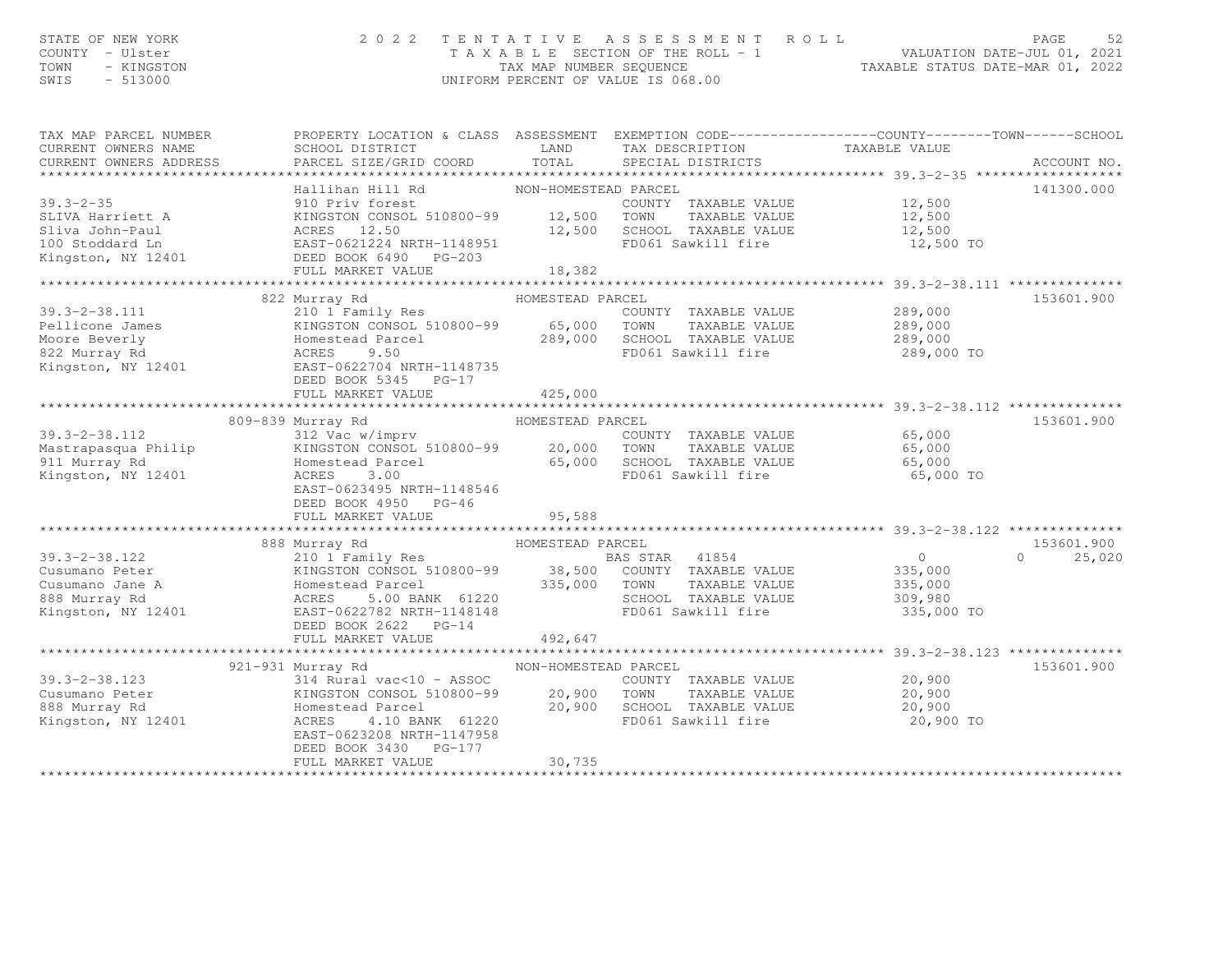# STATE OF NEW YORK [52] STATE OF NEW YORK [52] STATE OF NEW YORK [52] 2 0 2 2 TENTATIVE ASSESSMENT ROLL [52] PAGE<br>COUNTY - Ulster [62] TAXABLE SECTION OF THE ROLL - 1 [72] TAXABLE STATUR OI, 2021<br>TAXABLE STATUS DATE-MAR 01,

| TAX MAP PARCEL NUMBER<br>CURRENT OWNERS NAME<br>CURRENT OWNERS ADDRESS                          | PROPERTY LOCATION & CLASS ASSESSMENT<br>SCHOOL DISTRICT<br>PARCEL SIZE/GRID COORD                                                                                                                              | LAND<br>TAX DESCRIPTION<br>TOTAL<br>SPECIAL DISTRICTS                                                                                                             | EXEMPTION CODE-----------------COUNTY-------TOWN------SCHOOL<br>TAXABLE VALUE<br>ACCOUNT NO. |
|-------------------------------------------------------------------------------------------------|----------------------------------------------------------------------------------------------------------------------------------------------------------------------------------------------------------------|-------------------------------------------------------------------------------------------------------------------------------------------------------------------|----------------------------------------------------------------------------------------------|
| $39.3 - 2 - 35$<br>SLIVA Harriett A<br>Sliva John-Paul<br>100 Stoddard Ln<br>Kingston, NY 12401 | Hallihan Hill Rd<br>910 Priv forest<br>KINGSTON CONSOL 510800-99<br>ACRES 12.50<br>EAST-0621224 NRTH-1148951<br>DEED BOOK 6490 PG-203<br>FULL MARKET VALUE                                                     | NON-HOMESTEAD PARCEL<br>COUNTY TAXABLE VALUE<br>12,500<br>TOWN<br>TAXABLE VALUE<br>12,500<br>SCHOOL TAXABLE VALUE<br>FD061 Sawkill fire<br>18,382                 | 141300.000<br>12,500<br>12,500<br>12,500<br>12,500 TO                                        |
| $39.3 - 2 - 38.111$<br>Pellicone James<br>Moore Beverly<br>822 Murray Rd<br>Kingston, NY 12401  | 822 Murray Rd<br>210 1 Family Res<br>KINGSTON CONSOL 510800-99<br>Homestead Parcel<br>9.50<br><b>ACRES</b><br>EAST-0622704 NRTH-1148735<br>DEED BOOK 5345 PG-17<br>FULL MARKET VALUE                           | HOMESTEAD PARCEL<br>COUNTY TAXABLE VALUE<br>65,000<br>TAXABLE VALUE<br>TOWN<br>289,000<br>SCHOOL TAXABLE VALUE<br>FD061 Sawkill fire<br>425,000                   | 153601.900<br>289,000<br>289,000<br>289,000<br>289,000 TO                                    |
| $39.3 - 2 - 38.112$<br>Mastrapasqua Philip<br>911 Murray Rd<br>Kingston, NY 12401               | 809-839 Murray Rd<br>312 Vac w/imprv<br>KINGSTON CONSOL 510800-99<br>Homestead Parcel<br>ACRES<br>3.00<br>EAST-0623495 NRTH-1148546<br>DEED BOOK 4950 PG-46<br>FULL MARKET VALUE                               | HOMESTEAD PARCEL<br>COUNTY TAXABLE VALUE<br>20,000<br>TOWN<br>TAXABLE VALUE<br>65,000<br>SCHOOL TAXABLE VALUE<br>FD061 Sawkill fire<br>95,588                     | 153601.900<br>65,000<br>65,000<br>65,000<br>65,000 TO                                        |
| $39.3 - 2 - 38.122$<br>Cusumano Peter<br>Cusumano Jane A<br>888 Murray Rd<br>Kingston, NY 12401 | 888 Murray Rd<br>210 1 Family Res<br>KINGSTON CONSOL 510800-99<br>Homestead Parcel<br>ACRES<br>5.00 BANK 61220<br>EAST-0622782 NRTH-1148148<br>DEED BOOK 2622 PG-14<br>FULL MARKET VALUE                       | HOMESTEAD PARCEL<br>BAS STAR 41854<br>38,500<br>COUNTY TAXABLE VALUE<br>335,000<br>TOWN<br>TAXABLE VALUE<br>SCHOOL TAXABLE VALUE<br>FD061 Sawkill fire<br>492,647 | 153601.900<br>$\circ$<br>25,020<br>$\Omega$<br>335,000<br>335,000<br>309,980<br>335,000 TO   |
| $39.3 - 2 - 38.123$<br>Cusumano Peter<br>888 Murray Rd<br>Kingston, NY 12401                    | 921-931 Murray Rd<br>$314$ Rural vac<10 - ASSOC<br>KINGSTON CONSOL 510800-99<br>Homestead Parcel<br><b>ACRES</b><br>4.10 BANK 61220<br>EAST-0623208 NRTH-1147958<br>DEED BOOK 3430 PG-177<br>FULL MARKET VALUE | NON-HOMESTEAD PARCEL<br>COUNTY TAXABLE VALUE<br>20,900<br>TOWN<br>TAXABLE VALUE<br>20,900<br>SCHOOL TAXABLE VALUE<br>FD061 Sawkill fire<br>30,735                 | 153601.900<br>20,900<br>20,900<br>20,900<br>20,900 TO                                        |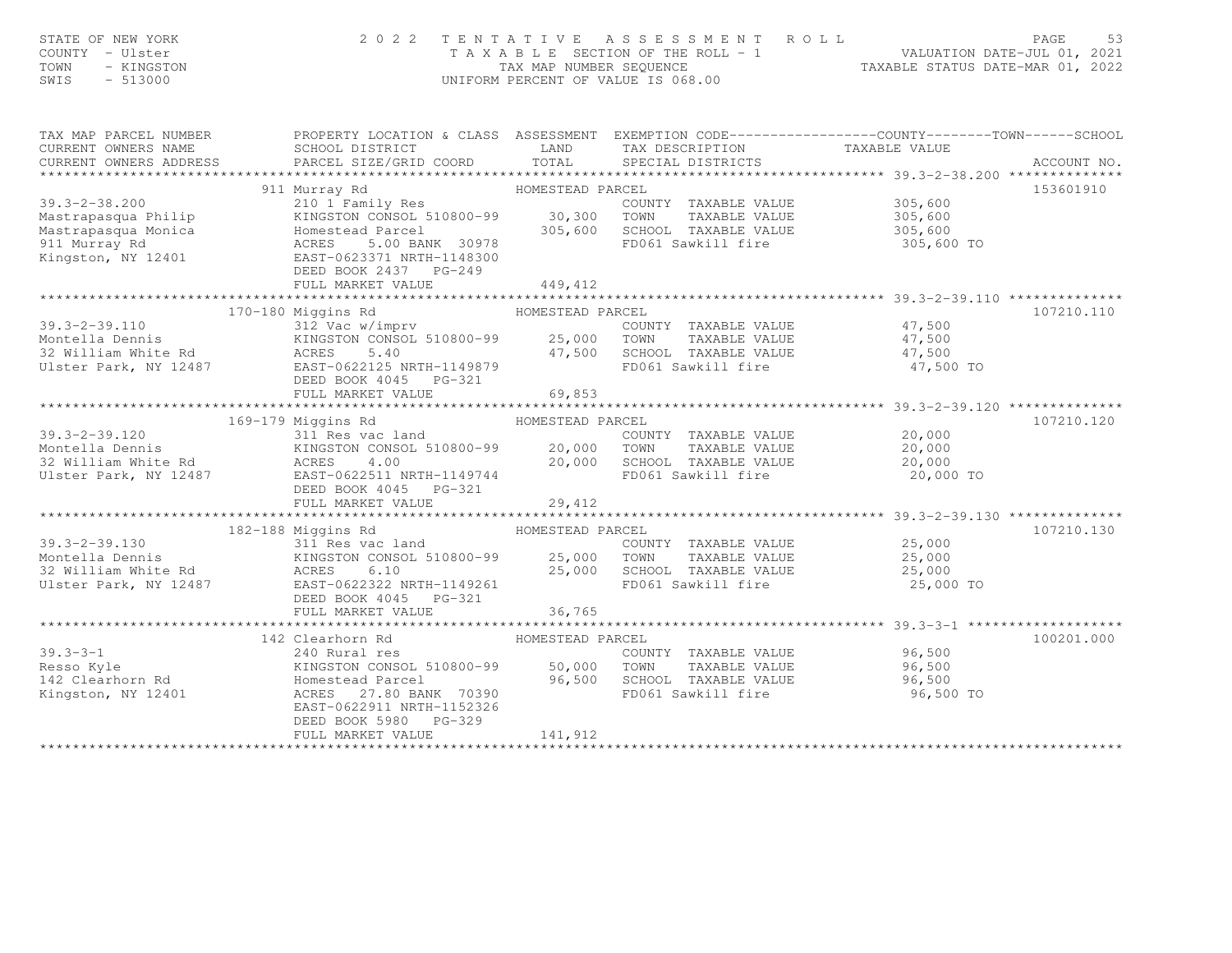| STATE OF NEW YORK<br>COUNTY - Ulster<br>TOWN<br>- KINGSTON<br>SWIS<br>$-513000$ |                                                                                                                                                                                                                                                                                                                                                                             |                                | TAX MAP NUMBER SEQUENCE<br>UNIFORM PERCENT OF VALUE IS 068.00                                                                         | 2 0 2 2 TENTATIVE ASSESSMENT ROLL<br>TAXABLE SECTION OF THE ROLL - 1 VALUATION DATE-JUL 01, 2021<br>TAX MAP NUMBER SEQUENCE TAXABLE STATUS DATE-MAR 01, 2022 |             |
|---------------------------------------------------------------------------------|-----------------------------------------------------------------------------------------------------------------------------------------------------------------------------------------------------------------------------------------------------------------------------------------------------------------------------------------------------------------------------|--------------------------------|---------------------------------------------------------------------------------------------------------------------------------------|--------------------------------------------------------------------------------------------------------------------------------------------------------------|-------------|
| TAX MAP PARCEL NUMBER<br>CURRENT OWNERS NAME<br>CURRENT OWNERS ADDRESS          | PROPERTY LOCATION & CLASS ASSESSMENT EXEMPTION CODE----------------COUNTY-------TOWN-----SCHOOL<br>SCHOOL DISTRICT LAND<br>PARCEL SIZE/GRID COORD TOTAL                                                                                                                                                                                                                     |                                | TAX DESCRIPTION TAXABLE VALUE<br>SPECIAL DISTRICTS                                                                                    |                                                                                                                                                              | ACCOUNT NO. |
|                                                                                 | Murray Rd<br>210 1 Family Res<br>210 1 Family Res<br>210 20,300 70WN<br>911 Murray Rd<br>39.3-2-38.200 210 1 Family Res<br>Mastrapasqua Philip KINGSTON CONSOL 510800-99 30,300 TOWN TAXABLE VALUE 305,600<br>Mastrapasqua Monica Homestead Parcel 305,600 SCHOOL TAXABLE VALUE 305,600<br>911 Murray Rd ACRES 5.00 BANK 3097<br>DEED BOOK 2437 PG-249<br>FULL MARKET VALUE | 449, 412                       |                                                                                                                                       |                                                                                                                                                              | 153601910   |
|                                                                                 |                                                                                                                                                                                                                                                                                                                                                                             |                                |                                                                                                                                       |                                                                                                                                                              |             |
|                                                                                 | DEED BOOK 4045 PG-321<br>FULL MARKET VALUE                                                                                                                                                                                                                                                                                                                                  | 69,853                         |                                                                                                                                       |                                                                                                                                                              | 107210.110  |
|                                                                                 |                                                                                                                                                                                                                                                                                                                                                                             |                                |                                                                                                                                       |                                                                                                                                                              |             |
|                                                                                 | 169-179 Miggins Rd (169-179 Miggins Rd (169-179 Miggins Rd (169-179 Miggins Rd (169-179 Miggins Rd (169-179 Miggins Rd (169-179 Miggins Rd (169-179 Miggins Rd (169-179 Minus Rd (169-179 Minus Rd (169-179 Minus Rd (169-179<br>DEED BOOK 4045 PG-321                                                                                                                      |                                | COUNTY TAXABLE VALUE 20,000<br>20,000 TOWN TAXABLE VALUE 20,000<br>20,000 SCHOOL TAXABLE VALUE 20,000<br>FD061 Sawkill fire 20,000 TO |                                                                                                                                                              | 107210.120  |
|                                                                                 | FULL MARKET VALUE                                                                                                                                                                                                                                                                                                                                                           | 29,412                         |                                                                                                                                       |                                                                                                                                                              |             |
|                                                                                 | 182-188 Miggins Rd<br>39.3-2-39.130<br>Montella Dennis (25,000 Montella Dennis (25,000 KINGSTON CONSOL 510800-99 25,000 TOWNT TAXABLE VALUE 25,000<br>32 William White Rd ACRES 6.10 25,000 SCHOOL TAXABLE VALUE 25,000 25,000<br>Ulster Park, NY 12487 E<br>DEED BOOK 4045 PG-321                                                                                          | HOMESTEAD PARCEL               |                                                                                                                                       | 25,000 TO                                                                                                                                                    | 107210.130  |
|                                                                                 | FULL MARKET VALUE                                                                                                                                                                                                                                                                                                                                                           | 36, 765                        |                                                                                                                                       |                                                                                                                                                              |             |
|                                                                                 |                                                                                                                                                                                                                                                                                                                                                                             |                                |                                                                                                                                       |                                                                                                                                                              |             |
| $39.3 - 3 - 1$                                                                  | DEED BOOK 5980 PG-329                                                                                                                                                                                                                                                                                                                                                       |                                | COUNTY TAXABLE VALUE                                                                                                                  | 96,500                                                                                                                                                       | 100201.000  |
|                                                                                 | FULL MARKET VALUE                                                                                                                                                                                                                                                                                                                                                           | 141,912<br>******************* |                                                                                                                                       |                                                                                                                                                              |             |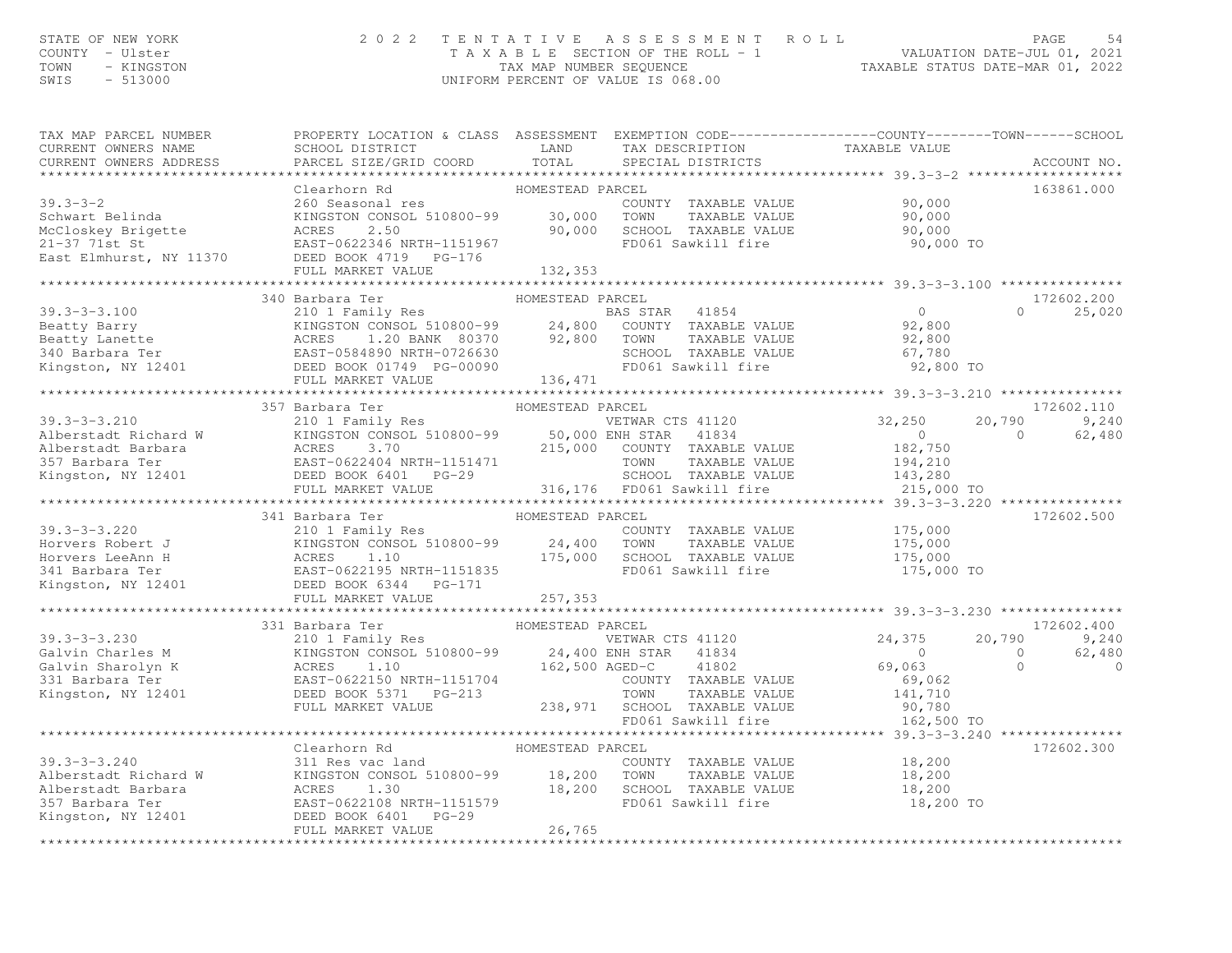### STATE OF NEW YORK [54] STATE OF NEW YORK [54] STATE OF NEW YORK [54<br>COUNTY - Ulster [54] TAXABLE SECTION OF THE ROLL - 1 [57] VALUATION DATE-JUL 01, 2021<br>TAXABLE STATUS TAXAB NUMBER SEQUENCE (1992) TOWN TO TAXABLE STATUS D

| TAX MAP PARCEL NUMBER<br>CURRENT OWNERS NAME<br>CURRENT OWNERS ADDRESS                                                                                                                                                                                                                                                                                                                                                                                                                                        | PROPERTY LOCATION & CLASS ASSESSMENT EXEMPTION CODE----------------COUNTY-------TOWN------SCHOOL<br>SCHOOL DISTRICT LAND<br>PARCEL SIZE/GRID COORD | TOTAL            | TAX DESCRIPTION TAXABLE VALUE SPECIAL DISTRICTS             |                                             |          | ACCOUNT NO. |
|---------------------------------------------------------------------------------------------------------------------------------------------------------------------------------------------------------------------------------------------------------------------------------------------------------------------------------------------------------------------------------------------------------------------------------------------------------------------------------------------------------------|----------------------------------------------------------------------------------------------------------------------------------------------------|------------------|-------------------------------------------------------------|---------------------------------------------|----------|-------------|
|                                                                                                                                                                                                                                                                                                                                                                                                                                                                                                               |                                                                                                                                                    |                  |                                                             |                                             |          |             |
| Clearhorn Rd MOMESTEAD PAR<br>Schwart Belinda<br>MCCloskey Brigette (1976)<br>21-37 71st St EAST-0622346 NRTH-1151967<br>EAST-0622346 NRTH-1151967<br>21-37 71st St EAST-0622346 NRTH-1151967<br>21-37 71st St EAST-0622346 NRTH-1151967<br>                                                                                                                                                                                                                                                                  |                                                                                                                                                    | HOMESTEAD PARCEL |                                                             |                                             |          | 163861.000  |
|                                                                                                                                                                                                                                                                                                                                                                                                                                                                                                               |                                                                                                                                                    |                  | COUNTY TAXABLE VALUE 90,000                                 |                                             |          |             |
|                                                                                                                                                                                                                                                                                                                                                                                                                                                                                                               |                                                                                                                                                    |                  | TOWN<br>TAXABLE VALUE                                       | 90,000                                      |          |             |
|                                                                                                                                                                                                                                                                                                                                                                                                                                                                                                               |                                                                                                                                                    |                  | SCHOOL TAXABLE VALUE                                        | 90,000                                      |          |             |
|                                                                                                                                                                                                                                                                                                                                                                                                                                                                                                               |                                                                                                                                                    |                  | FD061 Sawkill fire                                          | 90,000 TO                                   |          |             |
|                                                                                                                                                                                                                                                                                                                                                                                                                                                                                                               |                                                                                                                                                    |                  |                                                             |                                             |          |             |
|                                                                                                                                                                                                                                                                                                                                                                                                                                                                                                               |                                                                                                                                                    |                  |                                                             |                                             |          |             |
|                                                                                                                                                                                                                                                                                                                                                                                                                                                                                                               |                                                                                                                                                    | HOMESTEAD PARCEL |                                                             |                                             |          | 172602.200  |
|                                                                                                                                                                                                                                                                                                                                                                                                                                                                                                               | 340 Barbara Ter                                                                                                                                    |                  |                                                             |                                             |          | $\Omega$    |
|                                                                                                                                                                                                                                                                                                                                                                                                                                                                                                               |                                                                                                                                                    |                  |                                                             | $\begin{array}{c} 0 \\ 92,800 \end{array}$  |          | 25,020      |
|                                                                                                                                                                                                                                                                                                                                                                                                                                                                                                               |                                                                                                                                                    |                  |                                                             |                                             |          |             |
|                                                                                                                                                                                                                                                                                                                                                                                                                                                                                                               |                                                                                                                                                    |                  |                                                             | 92,800<br>67,780                            |          |             |
|                                                                                                                                                                                                                                                                                                                                                                                                                                                                                                               |                                                                                                                                                    |                  | SCHOOL TAXABLE VALUE 67,780<br>FD061 Sawkill fire 92,800 TO |                                             |          |             |
|                                                                                                                                                                                                                                                                                                                                                                                                                                                                                                               |                                                                                                                                                    |                  |                                                             |                                             |          |             |
| 39.3-3-3.100<br>Beatty Barry<br>Beatty Barry<br>Beatty Lanette<br>Seatty Lanette<br>Seatty Lanette<br>Seatty Lanette<br>Seatty Lanette<br>Seatty Lanette<br>Seatty Lanette<br>ACRES<br>SEAST-0584890 NRTH-0726630<br>COUNTY TAXABLE VALUE<br>SEAST-05848                                                                                                                                                                                                                                                      |                                                                                                                                                    |                  |                                                             |                                             |          |             |
| 39.3-3-3.210<br>357 Barbara Ter (215,000 ENH STAR 41834 0)<br>216 Alberstadt Richard W KINGSTON CONSOL 510800-99 50,000 ENH STAR 41834 0<br>215,000 COUNTY TAXABLE VALUE 182,750<br>357 Barbara Ter EAST-0622404 NRTH-1151471 TOWN TAX                                                                                                                                                                                                                                                                        |                                                                                                                                                    |                  |                                                             |                                             |          | 172602.110  |
|                                                                                                                                                                                                                                                                                                                                                                                                                                                                                                               |                                                                                                                                                    |                  |                                                             |                                             | 20,790   | 9,240       |
|                                                                                                                                                                                                                                                                                                                                                                                                                                                                                                               |                                                                                                                                                    |                  |                                                             |                                             | $\sim$ 0 | 62,480      |
|                                                                                                                                                                                                                                                                                                                                                                                                                                                                                                               |                                                                                                                                                    |                  |                                                             | $\begin{array}{c} 0 \\ 182,750 \end{array}$ |          |             |
|                                                                                                                                                                                                                                                                                                                                                                                                                                                                                                               |                                                                                                                                                    |                  |                                                             |                                             |          |             |
|                                                                                                                                                                                                                                                                                                                                                                                                                                                                                                               |                                                                                                                                                    |                  |                                                             |                                             |          |             |
|                                                                                                                                                                                                                                                                                                                                                                                                                                                                                                               |                                                                                                                                                    |                  |                                                             | 215,000 TO                                  |          |             |
|                                                                                                                                                                                                                                                                                                                                                                                                                                                                                                               |                                                                                                                                                    |                  |                                                             |                                             |          |             |
| $\begin{tabular}{lllllllllllllllllll} \multicolumn{3}{c}{\begin{tabular}{l} \multicolumn{3}{c}{\begin{tabular}{l} \multicolumn{3}{c}{\begin{tabular}{l} \multicolumn{3}{c}{\begin{tabular}{l} \multicolumn{3}{c}{\begin{tabular}{l} \multicolumn{3}{c}{\begin{tabular}{l} \multicolumn{3}{c}{\begin{tabular}{l} \multicolumn{3}{c}{\begin{tabular}{l} \multicolumn{3}{c}{\begin{tabular}{l} \multicolumn{3}{c}{\begin{tabular}{l} \multicolumn{3}{c}{\begin{tabular}{l} \multicolumn{3}{c}{\begin{tabular}{l$ |                                                                                                                                                    |                  |                                                             |                                             |          | 172602.500  |
|                                                                                                                                                                                                                                                                                                                                                                                                                                                                                                               |                                                                                                                                                    |                  |                                                             |                                             |          |             |
|                                                                                                                                                                                                                                                                                                                                                                                                                                                                                                               |                                                                                                                                                    |                  |                                                             |                                             |          |             |
|                                                                                                                                                                                                                                                                                                                                                                                                                                                                                                               |                                                                                                                                                    |                  |                                                             | 175,000<br>175,000<br>175,000               |          |             |
|                                                                                                                                                                                                                                                                                                                                                                                                                                                                                                               |                                                                                                                                                    |                  |                                                             | 175,000 TO                                  |          |             |
|                                                                                                                                                                                                                                                                                                                                                                                                                                                                                                               |                                                                                                                                                    |                  |                                                             |                                             |          |             |
|                                                                                                                                                                                                                                                                                                                                                                                                                                                                                                               |                                                                                                                                                    |                  |                                                             |                                             |          |             |
|                                                                                                                                                                                                                                                                                                                                                                                                                                                                                                               |                                                                                                                                                    |                  |                                                             |                                             |          |             |
|                                                                                                                                                                                                                                                                                                                                                                                                                                                                                                               |                                                                                                                                                    |                  |                                                             |                                             |          | 172602.400  |
|                                                                                                                                                                                                                                                                                                                                                                                                                                                                                                               |                                                                                                                                                    |                  |                                                             |                                             | 20,790   | 9,240       |
|                                                                                                                                                                                                                                                                                                                                                                                                                                                                                                               |                                                                                                                                                    |                  |                                                             |                                             | $\Omega$ | 62,480      |
|                                                                                                                                                                                                                                                                                                                                                                                                                                                                                                               |                                                                                                                                                    |                  |                                                             |                                             | $\Omega$ | $\Omega$    |
|                                                                                                                                                                                                                                                                                                                                                                                                                                                                                                               |                                                                                                                                                    |                  |                                                             |                                             |          |             |
|                                                                                                                                                                                                                                                                                                                                                                                                                                                                                                               |                                                                                                                                                    |                  |                                                             |                                             |          |             |
|                                                                                                                                                                                                                                                                                                                                                                                                                                                                                                               |                                                                                                                                                    |                  |                                                             |                                             |          |             |
|                                                                                                                                                                                                                                                                                                                                                                                                                                                                                                               |                                                                                                                                                    |                  |                                                             | 162,500 TO                                  |          |             |
| 331 Barbara Ter 331 Barbara Ter 51120<br>331 Barbara Ter 13120<br>331 Barbara Ter 11120<br>331 Barbara Ter 2131 0<br>331 Barbara Ter 2131 10 162,500 AGED-C 41802<br>331 Barbara Ter 213 162,500 AGED-C 41802<br>331 Barbara Ter 238,971 P                                                                                                                                                                                                                                                                    |                                                                                                                                                    |                  |                                                             |                                             |          |             |
|                                                                                                                                                                                                                                                                                                                                                                                                                                                                                                               | Clearhorn Rd                                                                                                                                       | HOMESTEAD PARCEL |                                                             |                                             |          | 172602.300  |
|                                                                                                                                                                                                                                                                                                                                                                                                                                                                                                               |                                                                                                                                                    |                  |                                                             |                                             |          |             |
|                                                                                                                                                                                                                                                                                                                                                                                                                                                                                                               |                                                                                                                                                    |                  |                                                             | 18,200<br>18,200                            |          |             |
|                                                                                                                                                                                                                                                                                                                                                                                                                                                                                                               |                                                                                                                                                    |                  |                                                             | 18,200                                      |          |             |
|                                                                                                                                                                                                                                                                                                                                                                                                                                                                                                               |                                                                                                                                                    |                  |                                                             | 18,200 TO                                   |          |             |
|                                                                                                                                                                                                                                                                                                                                                                                                                                                                                                               |                                                                                                                                                    |                  |                                                             |                                             |          |             |
| 39.3-3-3.240<br>Alberstadt Richard W (MINGSTON CONSOL 510800-99 18,200 TOWN TAXABLE VALUE<br>Alberstadt Barbara (ACRES 1.30 18,200 SCHOOL TAXABLE VALUE<br>357 Barbara Ter (BAST-0622108 NRTH-1151579 18,200 SCHOOL TAXABLE VALUE<br>K                                                                                                                                                                                                                                                                        |                                                                                                                                                    |                  |                                                             |                                             |          |             |
|                                                                                                                                                                                                                                                                                                                                                                                                                                                                                                               |                                                                                                                                                    |                  |                                                             |                                             |          |             |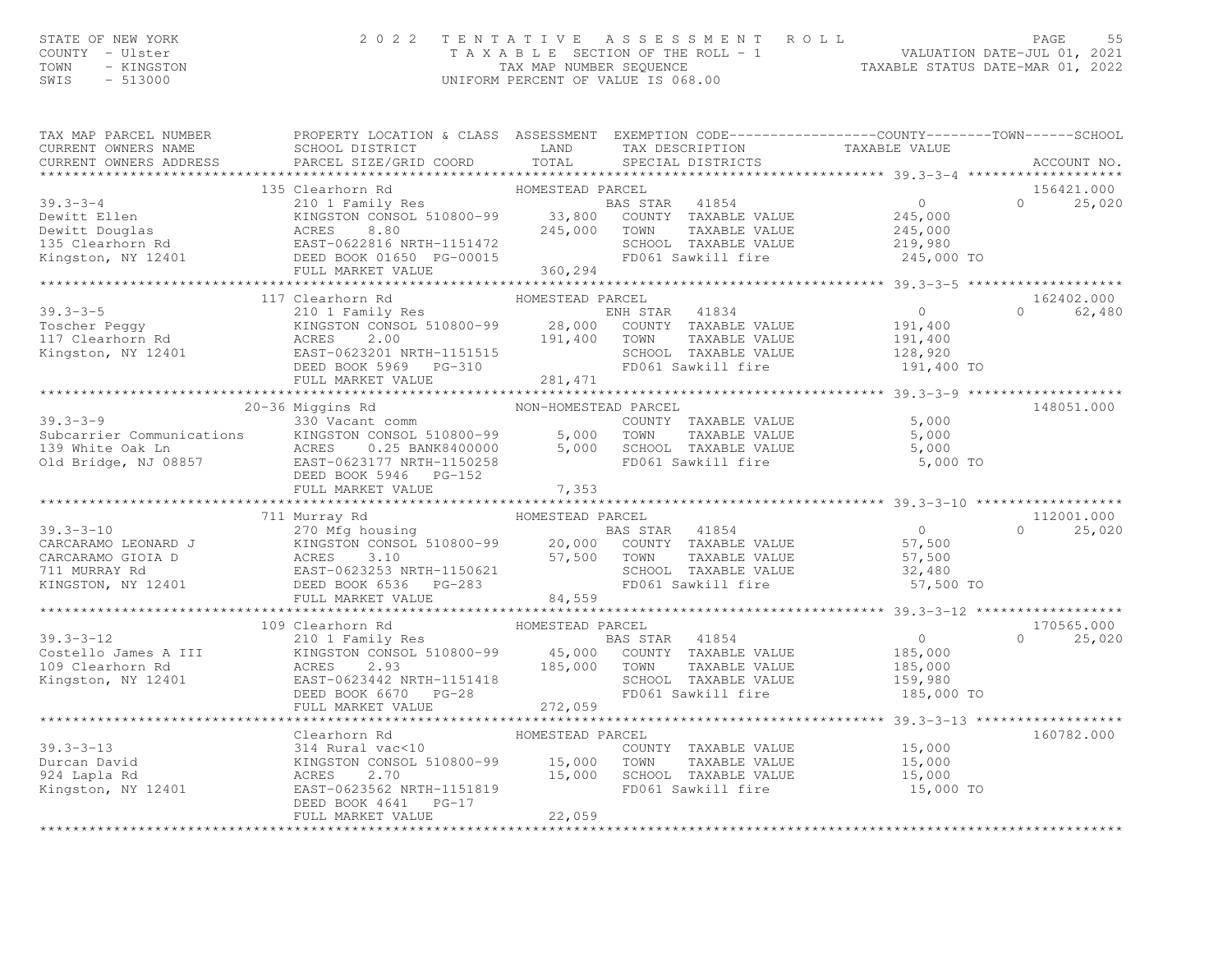# STATE OF NEW YORK 55<br>COUNTY - Ulster (2001) TAXABLE SECTION OF THE ROLL - 1 (NALUATION DATE-JUL 01, 2021<br>TAXABLE SECTION OF THE ROLL - 1 (NALUATION DATE-JUL 01, 2021<br>SWIS - 513000 (INTFORM PERCENT OF VALUE TS 068.00) TAXAB

| TAX MAP PARCEL NUMBER<br>CURRENT OWNERS NAME<br>CURRENT OWNERS ADDRESS                                                                                                                                                                                                 | PROPERTY LOCATION & CLASS ASSESSMENT EXEMPTION CODE----------------COUNTY-------TOWN------SCHOOL<br>SCHOOL DISTRICT<br>PARCEL SIZE/GRID COORD                                                                                                                                   | LAND<br>TOTAL                 | TAX DESCRIPTION TAXABLE VALUE SPECIAL DISTRICTS                                                                |                                                               | ACCOUNT NO.                      |
|------------------------------------------------------------------------------------------------------------------------------------------------------------------------------------------------------------------------------------------------------------------------|---------------------------------------------------------------------------------------------------------------------------------------------------------------------------------------------------------------------------------------------------------------------------------|-------------------------------|----------------------------------------------------------------------------------------------------------------|---------------------------------------------------------------|----------------------------------|
| Ellen (210 1 Family Res )<br>Dewitt Ellen (210 1 Family Res )<br>NAS STAR (41854 )<br>Dewitt Douglas (245,000 CONNY TAXABLE VALUE ACRES 8.80 )<br>245,000 TOWN TAXABLE VALUE (215,000 TOWN TAXABLE VALUE EXAPPLE)<br>245,000 TOWN TAXABL                               | 135 Clearhorn Rd                                                                                                                                                                                                                                                                | HOMESTEAD PARCEL              |                                                                                                                | $\overline{0}$<br>245,000<br>245,000<br>219,980<br>245,000 TO | 156421.000<br>$\Omega$<br>25,020 |
|                                                                                                                                                                                                                                                                        |                                                                                                                                                                                                                                                                                 |                               |                                                                                                                |                                                               |                                  |
| 39.3-3-5<br>Toscher Peggy<br>117 Clearhorn Rd<br>117 Tear NY 12401                                                                                                                                                                                                     | 117 Clearhorn Rd<br>EXERCISE TANGED MANUSCRIP AND TRISPER AT THE SERIES 2.00<br>ENTRES 2.00 191,400 TOWN TAXABLE VALUE<br>EAST-0623201 NRTH-1151515<br>DEED BOOK 5969 PG-310 191,400 TOWN TAXABLE VALUE<br>PEED BOOK 5969 PG-310 FD061 Sawkill fire<br>FULL MARKET VALUE        | HOMESTEAD PARCEL<br>281,471   | FD061 Sawkill fire                                                                                             | $\overline{0}$<br>191,400<br>191,400<br>128,920<br>191,400 TO | 162402.000<br>$\Omega$<br>62,480 |
| $39.3 - 3 - 9$<br>Subcarrier Communications<br>139 White Oak Ln<br>139 White Oak Ln<br>139 White Oak Ln<br>139 White Oak Ln<br>139 White Oak Ln<br>139 White Oak Ln<br>139 White Oak Ln<br>139 White Oak Ln<br>139 White Oak Ln<br>139 White Oak Ln<br>139 White Oak L | 20-36 Miggins Rd<br>330 Vacant comm<br>DEED BOOK 5946 PG-152<br>FULL MARKET VALUE                                                                                                                                                                                               | NON-HOMESTEAD PARCEL<br>7,353 | COUNTY TAXABLE VALUE<br>5,000 TOWN TAXABLE VALUE<br>5,000 SCHOOL TAXABLE VALUE<br>FD061 Sawkill fire           | 5,000<br>5,000<br>5,000<br>5,000 TO                           | 148051.000                       |
|                                                                                                                                                                                                                                                                        |                                                                                                                                                                                                                                                                                 |                               |                                                                                                                |                                                               |                                  |
|                                                                                                                                                                                                                                                                        | 711 Murray Rd                                                                                                                                                                                                                                                                   | HOMESTEAD PARCEL              | FD061 Sawkill fire                                                                                             | $\overline{0}$<br>57,500<br>57,500<br>32,480<br>57,500 TO     | 112001.000<br>25,020<br>$\Omega$ |
|                                                                                                                                                                                                                                                                        |                                                                                                                                                                                                                                                                                 |                               |                                                                                                                |                                                               |                                  |
| $39.3 - 3 - 12$<br>Costello James A III KINGST<br>109 Clearhorn Rd ACRES<br>Kingston, NY 12401                                                                                                                                                                         | 109 Clearhorn Rd<br>Clearhorn Rd<br>210 1 Family Res                         HOMESTEAD PARCEL<br>BAS ST<br>EXERCION CONSOL 510800-99<br>ACRES 2.93<br>EAST-0623442 NRTH-1151418<br>DEED BOOK 6670 PG-28<br>PEED BOOK 6670 PG-28<br>PEED BOOK 6670 PG-28<br>PEED BOOK 6670 PG-28 |                               | BAS STAR 41854<br>SCHOOL TAXABLE VALUE<br>FD061 Sawkill fire                                                   | $\overline{a}$<br>185,000<br>185,000<br>159,980<br>185,000 TO | 170565.000<br>$\Omega$<br>25,020 |
|                                                                                                                                                                                                                                                                        | FULL MARKET VALUE                                                                                                                                                                                                                                                               | 272,059                       |                                                                                                                |                                                               |                                  |
| 39.3-3-13<br>Durcan David<br>924 Lapla Rd<br>624 Lapla Rd<br>624 Lapla Rd<br>623562 NRTH-1151819<br>75,000<br>75,000<br>827-0623562 NRTH-1151819                                                                                                                       | Clearhorn Rd<br>314 Rural vac<10<br>DEED BOOK 4641 PG-17<br>FULL MARKET VALUE                                                                                                                                                                                                   | HOMESTEAD PARCEL<br>22,059    | COUNTY TAXABLE VALUE 15,000<br>TOWN TAXABLE VALUE 15,000<br>TOWN<br>SCHOOL TAXABLE VALUE<br>FD061 Sawkill fire | 15,000<br>15,000 TO                                           | 160782.000                       |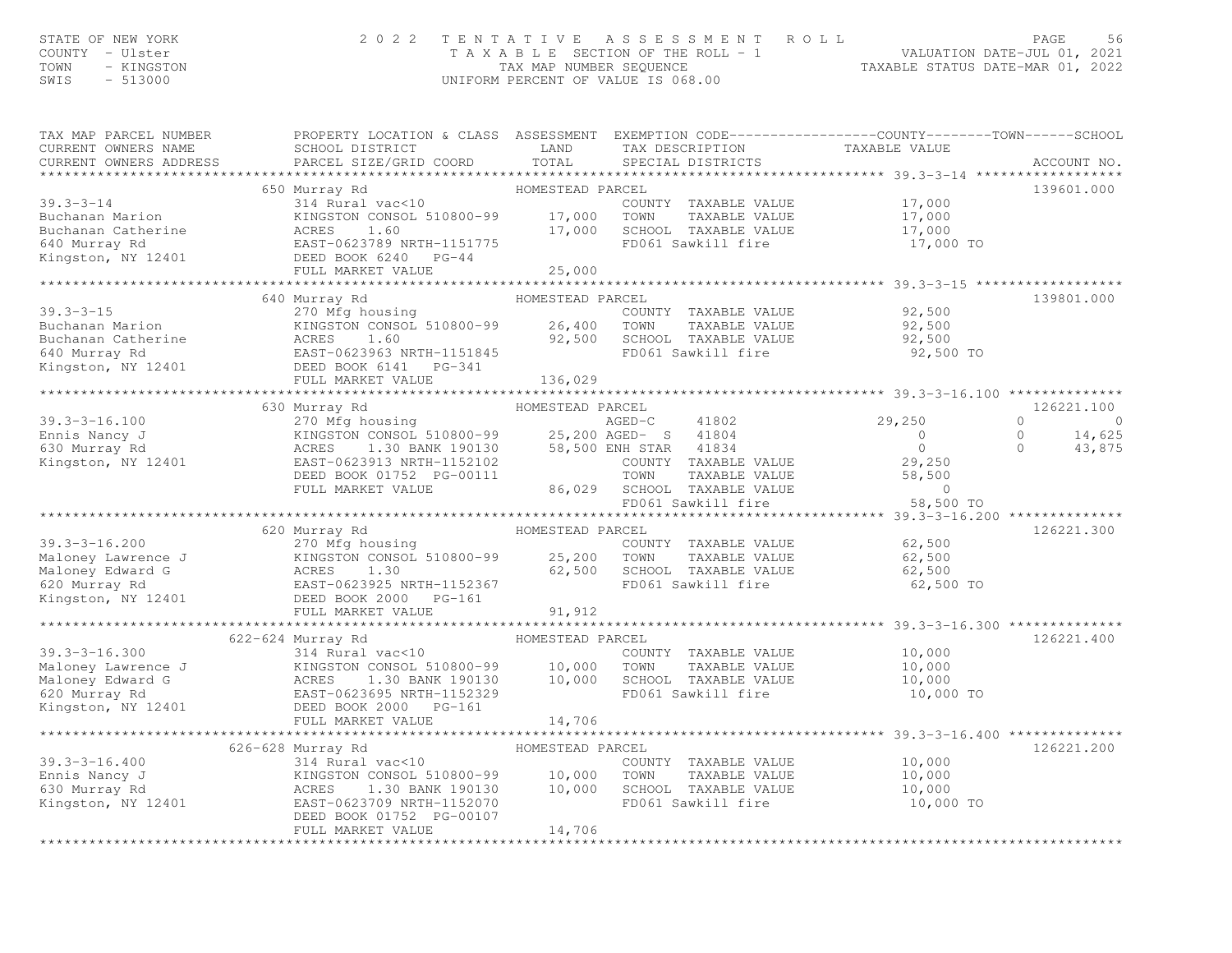# STATE OF NEW YORK 56 (STATE OF NEW YORK 56 (STATE OF NEW YORK 56 )<br>COUNTY - Ulster (STATE -JUL OI) TAXABLE SECTION OF THE ROLL - 1 (VALUATION DATE-JUL 01, 2021<br>TAXABLE STATUS (TAN MAR NUMBER SEQUENCE ) TOWN TAXABLE STATUS

| TAX MAP PARCEL NUMBER<br>CURRENT OWNERS NAME<br>CURRENT OWNERS ADDRESS                                 | PROPERTY LOCATION & CLASS ASSESSMENT EXEMPTION CODE---------------COUNTY-------TOWN------SCHOOL<br>SCHOOL DISTRICT<br>PARCEL SIZE/GRID COORD TOTAL                                                                                                                                                                                                                                                                                                           | LAND             | TAX DESCRIPTION TAXABLE VALUE<br>SPECIAL DISTRICTS                                                               |                                                                      | ACCOUNT NO.                                                                     |
|--------------------------------------------------------------------------------------------------------|--------------------------------------------------------------------------------------------------------------------------------------------------------------------------------------------------------------------------------------------------------------------------------------------------------------------------------------------------------------------------------------------------------------------------------------------------------------|------------------|------------------------------------------------------------------------------------------------------------------|----------------------------------------------------------------------|---------------------------------------------------------------------------------|
|                                                                                                        |                                                                                                                                                                                                                                                                                                                                                                                                                                                              |                  |                                                                                                                  |                                                                      |                                                                                 |
|                                                                                                        | $\begin{tabular}{lllllllllllllllllll} \hline 39.3-3-14 & 650~\texttt{Murray}~\texttt{Rd} & \texttt{HOMESTEAD}~\texttt{PARCH} & \texttt{COMESTEAD}~\texttt{PARCH} & \texttt{COUNTY}~\texttt{TXABLE}~\texttt{VALUE} \\ \hline \texttt{Buchanan}\ \texttt{Marion} & \texttt{KINGSTON}\ \texttt{CONSOL}\ 510800-99 & 17,000~\texttt{TOWN} & \texttt{TAXABLE}~\texttt{VALUE} \\ \texttt{Buchanan}\ \texttt{Catherine} & \texttt{ACRES} &$                         |                  | COUNTY TAXABLE VALUE<br>TOWN TAXABLE VALUE 17,000<br>SCHOOL TAXABLE VALUE 17,000<br>FD061 Sawkill fire 17,000 TO |                                                                      | 139601.000                                                                      |
|                                                                                                        | 640 Murray Rd                                                                                                                                                                                                                                                                                                                                                                                                                                                | HOMESTEAD PARCEL |                                                                                                                  |                                                                      | 139801.000                                                                      |
| $39.3 - 3 - 15$                                                                                        | 270 Mfg housing<br>37.3-3-15<br>Buchanan Marion (27.5 Mingston Council 151845)<br>Buchanan Catherine (1.60 Murray Rd EAST-0623963 NRTH-1151845 (27.500 SCHOOL TAXABLE VALUE 92,500 SCHOOL TAXABLE VALUE 92,500 SCHOOL TAXABLE VALUE 92,500 SCHOOL TAX<br>FULL MARKET VALUE 136,029                                                                                                                                                                           |                  |                                                                                                                  | 92,500 TO                                                            |                                                                                 |
|                                                                                                        |                                                                                                                                                                                                                                                                                                                                                                                                                                                              |                  |                                                                                                                  |                                                                      |                                                                                 |
|                                                                                                        | 630 Murray Rd                                                                                                                                                                                                                                                                                                                                                                                                                                                |                  |                                                                                                                  |                                                                      | 126221.100                                                                      |
| $39.3 - 3 - 16.100$<br>39.3-3-16.100<br>Ennis Nancy J<br>630 Murray Rd<br>Kingston, NY 12401<br>DEED B |                                                                                                                                                                                                                                                                                                                                                                                                                                                              |                  |                                                                                                                  |                                                                      | $\overline{0}$<br>$\Omega$<br>14,625<br>43,875<br>$\circ$<br>$\Omega$<br>43,875 |
|                                                                                                        |                                                                                                                                                                                                                                                                                                                                                                                                                                                              |                  |                                                                                                                  |                                                                      |                                                                                 |
|                                                                                                        |                                                                                                                                                                                                                                                                                                                                                                                                                                                              |                  |                                                                                                                  |                                                                      |                                                                                 |
|                                                                                                        |                                                                                                                                                                                                                                                                                                                                                                                                                                                              |                  |                                                                                                                  |                                                                      | 126221.300                                                                      |
|                                                                                                        |                                                                                                                                                                                                                                                                                                                                                                                                                                                              |                  |                                                                                                                  | 62,500 TO                                                            |                                                                                 |
|                                                                                                        |                                                                                                                                                                                                                                                                                                                                                                                                                                                              |                  |                                                                                                                  |                                                                      |                                                                                 |
|                                                                                                        |                                                                                                                                                                                                                                                                                                                                                                                                                                                              |                  |                                                                                                                  |                                                                      |                                                                                 |
|                                                                                                        | Murray Rd<br>314 Rural vac<10       HOMESTEAD PARCEL<br>622-624 Murray Rd                                                                                                                                                                                                                                                                                                                                                                                    |                  | COUNTY TAXABLE VALUE 10,000                                                                                      |                                                                      | 126221.400                                                                      |
|                                                                                                        | 39.3-3-16.300 314 Rural vac<10 COUNTY TAXABLE VALUE 10,000<br>Maloney Lawrence J KINGSTON CONSOL 510800-99 10,000 TOWN TAXABLE VALUE 10,000<br>Maloney Edward G ACRES 1.30 BANK 190130 10,000 SCHOOL TAXABLE VALUE 10,000<br>620 Mur                                                                                                                                                                                                                         |                  |                                                                                                                  |                                                                      |                                                                                 |
|                                                                                                        |                                                                                                                                                                                                                                                                                                                                                                                                                                                              |                  |                                                                                                                  |                                                                      |                                                                                 |
|                                                                                                        |                                                                                                                                                                                                                                                                                                                                                                                                                                                              |                  |                                                                                                                  |                                                                      |                                                                                 |
|                                                                                                        |                                                                                                                                                                                                                                                                                                                                                                                                                                                              |                  | COUNTY TAXABLE VALUE                                                                                             | TAXABLE VALUE 10,000<br>TAXABLE VALUE 10,000<br>TAXABLE VALUE 10,000 | 126221.200                                                                      |
|                                                                                                        | $\begin{array}{lllllllllllll} 39.3-3-16.400 & & & & & \mbox{HOMESTEAD PARCH} & & & & \mbox{COMESTEAL} & & \mbox{NAMBLE} & \mbox{VAULE} \\ \text{Ennis Nancy J} & & & & & & \mbox{KINGSTON CONSOL 510800-99} & & & & \mbox{10,000} & \mbox{TONN} & \mbox{TAXABLE VALUE} \\ 630 Murray Rd & & & & & & \mbox{ACRES} & 1.30 BANK 190130 & & & 10,000 & \mbox{SCHOL TAXABLE VALUE} \\ \text{Kingston, NY 12401}$<br>DEED BOOK 01752 PG-00107<br>FULL MARKET VALUE | 14,706           | FD061 Sawkill fire                                                                                               | 10,000 TO                                                            |                                                                                 |
|                                                                                                        |                                                                                                                                                                                                                                                                                                                                                                                                                                                              |                  |                                                                                                                  |                                                                      |                                                                                 |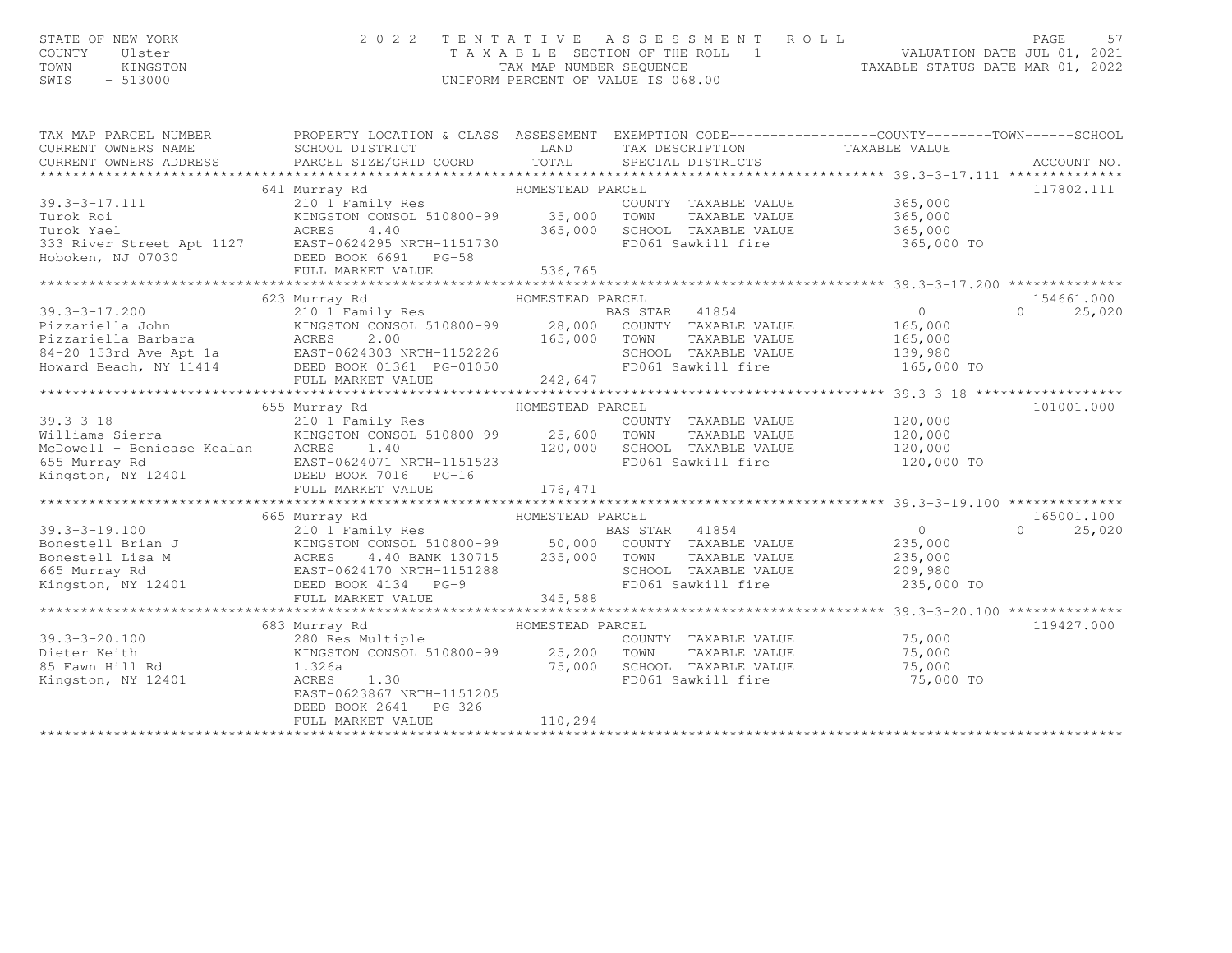# STATE OF NEW YORK [57] STATE OF NEW YORK [57] 2022 TENTATIVE ASSESSMENT ROLL [57] PAGE 57<br>COUNTY - Ulster [67] TAXABLE SECTION OF THE ROLL - 1 [7] VALUATION DATE-JUL 01, 2021<br>TAXABLE STATUS DATE-MAR 01, 2022<br>SWIS - 513000

| TAX MAP PARCEL NUMBER                     | PROPERTY LOCATION & CLASS ASSESSMENT EXEMPTION CODE----------------COUNTY-------TOWN-----SCHOOL                                                                |                  |                                                                                          |            |                    |
|-------------------------------------------|----------------------------------------------------------------------------------------------------------------------------------------------------------------|------------------|------------------------------------------------------------------------------------------|------------|--------------------|
| CURRENT OWNERS NAME                       | SCHOOL DISTRICT                                                                                                                                                | LAND             | TAX DESCRIPTION TAXABLE VALUE                                                            |            |                    |
|                                           |                                                                                                                                                                |                  |                                                                                          |            |                    |
|                                           |                                                                                                                                                                |                  |                                                                                          |            |                    |
|                                           |                                                                                                                                                                | HOMESTEAD PARCEL |                                                                                          |            | 117802.111         |
|                                           |                                                                                                                                                                |                  | COUNTY TAXABLE VALUE 365,000<br>TOWN TAXABLE VALUE 365,000                               |            |                    |
|                                           |                                                                                                                                                                |                  | TOWN                                                                                     |            |                    |
|                                           |                                                                                                                                                                |                  | SCHOOL TAXABLE VALUE 365,000                                                             |            |                    |
|                                           |                                                                                                                                                                |                  | FD061 Sawkill fire 365,000 TO                                                            |            |                    |
|                                           |                                                                                                                                                                |                  |                                                                                          |            |                    |
|                                           |                                                                                                                                                                |                  |                                                                                          |            |                    |
|                                           |                                                                                                                                                                |                  |                                                                                          |            |                    |
|                                           | HOMESTEAD PARCEL<br>623 Murray Rd                                                                                                                              |                  |                                                                                          |            | 154661.000         |
|                                           |                                                                                                                                                                |                  |                                                                                          |            |                    |
|                                           |                                                                                                                                                                |                  |                                                                                          |            |                    |
|                                           |                                                                                                                                                                |                  |                                                                                          |            |                    |
|                                           |                                                                                                                                                                |                  |                                                                                          |            |                    |
|                                           |                                                                                                                                                                |                  |                                                                                          |            |                    |
|                                           |                                                                                                                                                                |                  |                                                                                          |            |                    |
|                                           |                                                                                                                                                                |                  |                                                                                          |            |                    |
|                                           | 19.3-3-18 (655 Murray Rd (655 Murray Rd (19.3-3-18 (655 Murray Rd (19.3-3-18 (655 Murray Rd<br>Milliams Sierra (19.5 Munus Ringston Consol 510800-99 (660 TOWN |                  |                                                                                          |            | 101001.000         |
|                                           |                                                                                                                                                                |                  | COUNTY TAXABLE VALUE 120,000                                                             |            |                    |
|                                           |                                                                                                                                                                |                  | TAXABLE VALUE 120,000                                                                    |            |                    |
|                                           |                                                                                                                                                                |                  |                                                                                          |            |                    |
|                                           |                                                                                                                                                                |                  |                                                                                          | 120,000 TO |                    |
|                                           |                                                                                                                                                                |                  |                                                                                          |            |                    |
|                                           | FULL MARKET VALUE                                                                                                                                              | 176, 471         |                                                                                          |            |                    |
|                                           |                                                                                                                                                                |                  |                                                                                          |            |                    |
|                                           |                                                                                                                                                                |                  |                                                                                          |            | 165001.100         |
|                                           |                                                                                                                                                                |                  |                                                                                          |            | $\Omega$<br>25,020 |
|                                           |                                                                                                                                                                |                  |                                                                                          |            |                    |
|                                           |                                                                                                                                                                |                  |                                                                                          |            |                    |
|                                           |                                                                                                                                                                |                  |                                                                                          |            |                    |
|                                           |                                                                                                                                                                |                  |                                                                                          | 235,000 TO |                    |
|                                           |                                                                                                                                                                |                  |                                                                                          |            |                    |
|                                           |                                                                                                                                                                |                  |                                                                                          |            |                    |
|                                           | 683 Murray Rd<br>Murray Rd<br>280 Res Multiple<br>COUN                                                                                                         |                  |                                                                                          |            | 119427.000         |
| $39.3 - 3 - 20.100$<br>KINGSTO:<br>1.326a |                                                                                                                                                                |                  | COUNTY TAXABLE VALUE 75,000                                                              |            |                    |
| Dieter Keith                              | KINGSTON CONSOL 510800-99 25,200                                                                                                                               |                  | TOWN TAXABLE VALUE 75,000<br>SCHOOL TAXABLE VALUE 75,000<br>FD061 Sawkill fire 75,000 TO |            |                    |
|                                           | $1.30$ $75,000$                                                                                                                                                |                  |                                                                                          |            |                    |
| 85 Fawn Hill Rd<br>Kingston, NY 12401     | ACRES<br>1.30                                                                                                                                                  |                  |                                                                                          |            |                    |
|                                           | EAST-0623867 NRTH-1151205                                                                                                                                      |                  |                                                                                          |            |                    |
|                                           |                                                                                                                                                                |                  |                                                                                          |            |                    |
|                                           | FULL MARKET VALUE                                                                                                                                              | 110,294          |                                                                                          |            |                    |
|                                           |                                                                                                                                                                |                  |                                                                                          |            |                    |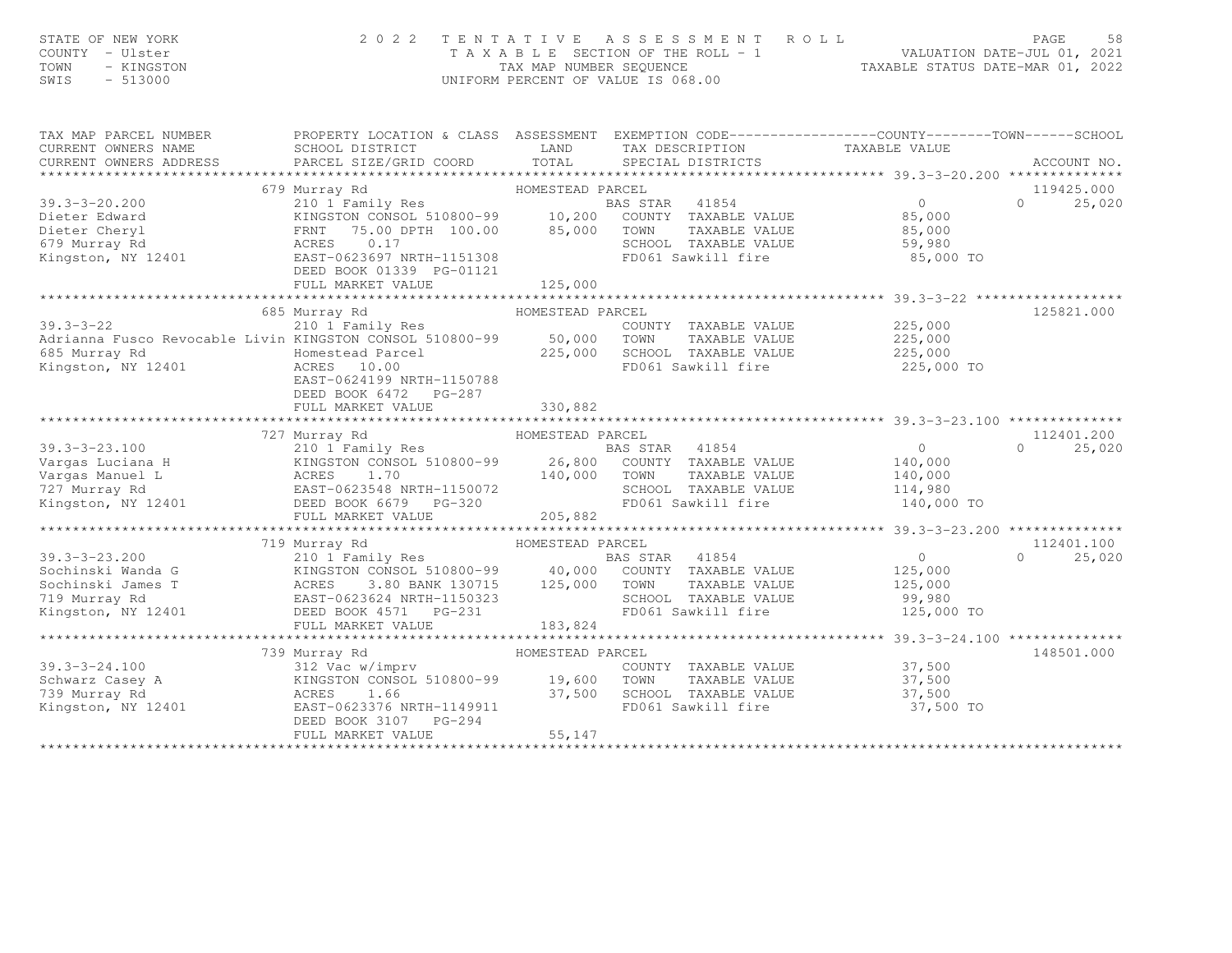| PROPERTY LOCATION & CLASS ASSESSMENT EXEMPTION CODE----------------COUNTY-------TOWN-----SCHOOL<br>TAX MAP PARCEL NUMBER<br>TAX DESCRIPTION TAXABLE VALUE<br>CURRENT OWNERS NAME<br>SCHOOL DISTRICT<br>LAND<br>TOTAL<br>CURRENT OWNERS ADDRESS<br>PARCEL SIZE/GRID COORD<br>SPECIAL DISTRICTS<br>ACCOUNT NO.<br>119425.000<br>679 Murray Rd<br>HOMESTEAD PARCEL<br>$\Omega$<br>$\Omega$<br>$39.3 - 3 - 20.200$<br>25,020<br>210 1 Family Res<br>BAS STAR 41854 |
|----------------------------------------------------------------------------------------------------------------------------------------------------------------------------------------------------------------------------------------------------------------------------------------------------------------------------------------------------------------------------------------------------------------------------------------------------------------|
|                                                                                                                                                                                                                                                                                                                                                                                                                                                                |
|                                                                                                                                                                                                                                                                                                                                                                                                                                                                |
|                                                                                                                                                                                                                                                                                                                                                                                                                                                                |
|                                                                                                                                                                                                                                                                                                                                                                                                                                                                |
|                                                                                                                                                                                                                                                                                                                                                                                                                                                                |
| KINGSTON CONSOL 510800-99 10,200<br>COUNTY TAXABLE VALUE<br>Dieter Edward<br>85,000                                                                                                                                                                                                                                                                                                                                                                            |
| Dieter Cheryl<br>85,000<br>FRNT<br>75.00 DPTH 100.00<br>TOWN<br>TAXABLE VALUE<br>85,000                                                                                                                                                                                                                                                                                                                                                                        |
| 679 Murray Rd<br>SCHOOL TAXABLE VALUE<br>ACRES<br>0.17<br>59,980<br>Kingston, NY 12401<br>EAST-0623697 NRTH-1151308<br>FD061 Sawkill fire<br>85,000 TO                                                                                                                                                                                                                                                                                                         |
| DEED BOOK 01339 PG-01121                                                                                                                                                                                                                                                                                                                                                                                                                                       |
| FULL MARKET VALUE<br>125,000                                                                                                                                                                                                                                                                                                                                                                                                                                   |
|                                                                                                                                                                                                                                                                                                                                                                                                                                                                |
| 685 Murray Rd<br>HOMESTEAD PARCEL<br>125821.000                                                                                                                                                                                                                                                                                                                                                                                                                |
| $39.3 - 3 - 22$<br>225,000<br>210 1 Family Res<br>COUNTY TAXABLE VALUE                                                                                                                                                                                                                                                                                                                                                                                         |
| 50,000<br>Adrianna Fusco Revocable Livin KINGSTON CONSOL 510800-99<br>225,000<br>TOWN<br>TAXABLE VALUE                                                                                                                                                                                                                                                                                                                                                         |
| 685 Murray Rd<br>Homestead Parcel<br>225,000<br>SCHOOL TAXABLE VALUE<br>225,000                                                                                                                                                                                                                                                                                                                                                                                |
| Kingston, NY 12401<br>ACRES 10.00<br>FD061 Sawkill fire<br>225,000 TO<br>EAST-0624199 NRTH-1150788<br>DEED BOOK 6472 PG-287                                                                                                                                                                                                                                                                                                                                    |
| FULL MARKET VALUE<br>330,882                                                                                                                                                                                                                                                                                                                                                                                                                                   |
|                                                                                                                                                                                                                                                                                                                                                                                                                                                                |
| HOMESTEAD PARCEL<br>112401.200<br>727 Murray Rd                                                                                                                                                                                                                                                                                                                                                                                                                |
| $39.3 - 3 - 23.100$<br>210 1 Family Res<br>BAS STAR 41854<br>$\circ$<br>$\Omega$<br>25,020                                                                                                                                                                                                                                                                                                                                                                     |
| Vargas Luciana H<br>26,800<br>140,000<br>KINGSTON CONSOL 510800-99<br>COUNTY TAXABLE VALUE                                                                                                                                                                                                                                                                                                                                                                     |
| Vargas Manuel L<br>ACRES<br>1.70<br>140,000<br>TOWN<br>TAXABLE VALUE<br>140,000<br>727 Murray Rd<br>EAST-0623548 NRTH-1150072<br>114,980<br>SCHOOL TAXABLE VALUE                                                                                                                                                                                                                                                                                               |
| Kingston, NY 12401<br>DEED BOOK 6679 PG-320<br>FD061 Sawkill fire<br>140,000 TO                                                                                                                                                                                                                                                                                                                                                                                |
| 205,882<br>FULL MARKET VALUE                                                                                                                                                                                                                                                                                                                                                                                                                                   |
|                                                                                                                                                                                                                                                                                                                                                                                                                                                                |
| 719 Murray Rd<br>HOMESTEAD PARCEL<br>112401.100                                                                                                                                                                                                                                                                                                                                                                                                                |
| $\circ$<br>$39.3 - 3 - 23.200$<br>$0 \t 25,020$<br>210 1 Family Res<br>BAS STAR 41854                                                                                                                                                                                                                                                                                                                                                                          |
| Sochinski Wanda G<br>40,000<br>COUNTY TAXABLE VALUE<br>125,000<br>KINGSTON CONSOL 510800-99                                                                                                                                                                                                                                                                                                                                                                    |
| 125,000<br>Sochinski James T<br>3.80 BANK 130715<br>TOWN<br>125,000<br>ACRES<br>TAXABLE VALUE                                                                                                                                                                                                                                                                                                                                                                  |
| EAST-0623624 NRTH-1150323<br>SCHOOL TAXABLE VALUE<br>99,980                                                                                                                                                                                                                                                                                                                                                                                                    |
| And Murray Rd<br>Kingston, NY 12401<br>FD061 Sawkill fire<br>DEED BOOK 4571<br>PG-231<br>125,000 TO                                                                                                                                                                                                                                                                                                                                                            |
| FULL MARKET VALUE<br>183,824<br>*****************************                                                                                                                                                                                                                                                                                                                                                                                                  |
| HOMESTEAD PARCEL<br>148501.000<br>739 Murray Rd                                                                                                                                                                                                                                                                                                                                                                                                                |
| $39.3 - 3 - 24.100$<br>37,500<br>312 Vac w/imprv<br>COUNTY TAXABLE VALUE                                                                                                                                                                                                                                                                                                                                                                                       |
| Schwarz Casey A<br>KINGSTON CONSOL 510800-99<br>19,600<br>TOWN<br>TAXABLE VALUE<br>37,500                                                                                                                                                                                                                                                                                                                                                                      |
| 739 Murray Rd<br>37,500<br>SCHOOL TAXABLE VALUE<br>ACRES<br>1.66<br>37,500                                                                                                                                                                                                                                                                                                                                                                                     |
| Kingston, NY 12401<br>EAST-0623376 NRTH-1149911<br>37,500 TO<br>FD061 Sawkill fire                                                                                                                                                                                                                                                                                                                                                                             |
| DEED BOOK 3107<br>$PG-294$                                                                                                                                                                                                                                                                                                                                                                                                                                     |
| FULL MARKET VALUE<br>55,147                                                                                                                                                                                                                                                                                                                                                                                                                                    |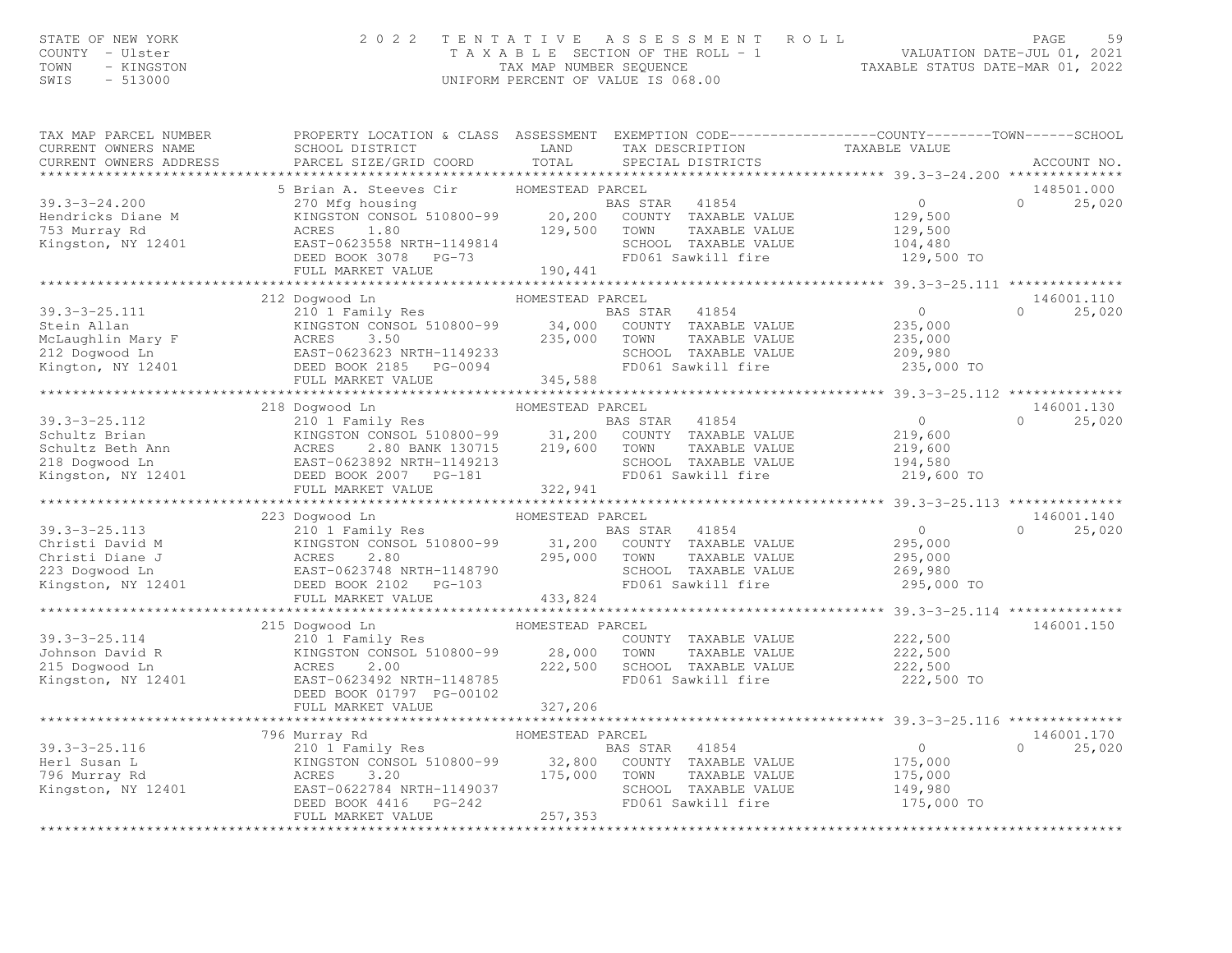# STATE OF NEW YORK [59] STATE OF NEW YORK [59] AND RELE 2022 TENTATIVE ASSESSMENT ROLL [59] PAGE 59<br>COUNTY - Ulster [10] TAXABLE SECTION OF THE ROLL - 1 [2021] TAXABLE STATUR ON THE ROLL - 1 [2022]<br>TAXABLE STATUS DATE-MAR 0

| TAX MAP PARCEL NUMBER<br>CURRENT OWNERS NAME<br>CURRENT OWNERS ADDRESS                                                                                                                                                                              | PROPERTY LOCATION & CLASS ASSESSMENT EXEMPTION CODE----------------COUNTY-------TOWN------SCHOOL<br>SCHOOL DISTRICT<br>PARCEL SIZE/GRID COORD | LAND<br>TOTAL    | TAX DESCRIPTION TAXABLE VALUE<br>SPECIAL DISTRICTS            |                                                     | ACCOUNT NO.        |
|-----------------------------------------------------------------------------------------------------------------------------------------------------------------------------------------------------------------------------------------------------|-----------------------------------------------------------------------------------------------------------------------------------------------|------------------|---------------------------------------------------------------|-----------------------------------------------------|--------------------|
|                                                                                                                                                                                                                                                     | 5 Brian A. Steeves Cir                                                                                                                        | HOMESTEAD PARCEL |                                                               |                                                     | 148501.000         |
| $39.3 - 3 - 24.200$                                                                                                                                                                                                                                 | 270 Mfg housing                                                                                                                               |                  | BAS STAR 41854                                                | $\overline{0}$                                      | $\Omega$<br>25,020 |
| Hendricks Diane M                                                                                                                                                                                                                                   |                                                                                                                                               |                  |                                                               |                                                     |                    |
| 753 Murray Rd                                                                                                                                                                                                                                       | EV HIS HOUSING<br>KINGSTON CONSOL 510800-99 20,200 COUNTY TAXABLE VALUE<br>ACRES 1.80 129,500 TOWN TAXABLE VALUE                              |                  |                                                               | 129,500<br>129,500                                  |                    |
| Kingston, NY 12401                                                                                                                                                                                                                                  |                                                                                                                                               |                  | SCHOOL TAXABLE VALUE                                          | 104,480                                             |                    |
|                                                                                                                                                                                                                                                     |                                                                                                                                               |                  | FD061 Sawkill fire 129,500 TO                                 |                                                     |                    |
|                                                                                                                                                                                                                                                     | LINI-V023338 NRTH-1149814<br>DEED BOOK 3078 PG-73<br>FIILL MARKET WATHER<br>FULL MARKET VALUE                                                 | 190,441          |                                                               |                                                     |                    |
|                                                                                                                                                                                                                                                     |                                                                                                                                               |                  |                                                               | ********************* 39.3-3-25.111 *************** |                    |
|                                                                                                                                                                                                                                                     | 212 Dogwood Ln                                                                                                                                | HOMESTEAD PARCEL |                                                               |                                                     | 146001.110         |
| $39.3 - 3 - 25.111$                                                                                                                                                                                                                                 |                                                                                                                                               |                  |                                                               | $\Omega$                                            | 25,020<br>$\Omega$ |
|                                                                                                                                                                                                                                                     |                                                                                                                                               |                  |                                                               | 235,000                                             |                    |
|                                                                                                                                                                                                                                                     |                                                                                                                                               |                  | TAXABLE VALUE<br>TOWN                                         | 235,000                                             |                    |
|                                                                                                                                                                                                                                                     |                                                                                                                                               |                  | SCHOOL TAXABLE VALUE                                          | 209,980                                             |                    |
| 39.3-3-23.111<br>Stein Allan<br>McLaughlin Mary F (AINGSTON CONSOL 510800-99 34,000<br>McLaughlin Mary F (ACRES 3.50 235,000<br>212 Dogwood Ln EAST-0623623 NRTH-1149233<br>Kington, NY 12401 FULL MARKET VALUE 345,588                             |                                                                                                                                               |                  | FD061 Sawkill fire                                            | 235,000 TO                                          |                    |
|                                                                                                                                                                                                                                                     | FULL MARKET VALUE                                                                                                                             | 345,588          |                                                               |                                                     |                    |
|                                                                                                                                                                                                                                                     |                                                                                                                                               |                  |                                                               | ********************* 39.3-3-25.112 **************  |                    |
|                                                                                                                                                                                                                                                     | 218 Dogwood Ln                                                                                                                                | HOMESTEAD PARCEL |                                                               |                                                     | 146001.130         |
| $39.3 - 3 - 25.112$                                                                                                                                                                                                                                 | 210 1 Family Res                                                                                                                              |                  | BAS STAR 41854                                                | $\overline{0}$                                      | 25,020<br>$\Omega$ |
|                                                                                                                                                                                                                                                     |                                                                                                                                               |                  | COUNTY TAXABLE VALUE                                          | 219,600                                             |                    |
|                                                                                                                                                                                                                                                     |                                                                                                                                               |                  | TOWN<br>TAXABLE VALUE                                         | 219,600                                             |                    |
|                                                                                                                                                                                                                                                     |                                                                                                                                               |                  |                                                               |                                                     |                    |
| 39.3-3-25.112 210 1 Family Res E<br>Schultz Brian KINGSTON CONSOL 510800-99 31,200<br>Schultz Beth Ann ACRES 2.80 BANK 130715 219,600<br>218 Dogwood Ln EAST-0623892 NRTH-1149213<br>Kingston, NY 12401 DEED BOOK 2007 PG-181                       |                                                                                                                                               |                  | SCHOOL TAXABLE VALUE 194,580<br>FD061 Sawkill fire 199,600 TO |                                                     |                    |
|                                                                                                                                                                                                                                                     | FULL MARKET VALUE                                                                                                                             | 322,941          |                                                               |                                                     |                    |
|                                                                                                                                                                                                                                                     |                                                                                                                                               |                  |                                                               |                                                     |                    |
|                                                                                                                                                                                                                                                     | 223 Dogwood Ln                                                                                                                                | HOMESTEAD PARCEL |                                                               |                                                     | 146001.140         |
|                                                                                                                                                                                                                                                     |                                                                                                                                               |                  |                                                               | $\Omega$                                            | 25,020<br>$\cap$   |
|                                                                                                                                                                                                                                                     |                                                                                                                                               |                  |                                                               | 295,000                                             |                    |
|                                                                                                                                                                                                                                                     |                                                                                                                                               |                  |                                                               | 295,000                                             |                    |
|                                                                                                                                                                                                                                                     |                                                                                                                                               |                  |                                                               | 269,980                                             |                    |
| Christi David M<br>Christi David M<br>Christi Diane J<br>Christi Diane J<br>223 Dogwood Ln<br>Xingston, NY 12401<br>CEED BOOK 2102 PG-103<br>FIII. MARKET VALUE<br>FIII. MARKET VALUE<br>FIII. MARKET VALUE<br>CHEED BOOK 2102 PG-103<br>CHEED BOOK |                                                                                                                                               |                  | FD061 Sawkill fire                                            | 295,000 TO                                          |                    |
|                                                                                                                                                                                                                                                     | FULL MARKET VALUE                                                                                                                             | 433,824          |                                                               |                                                     |                    |
|                                                                                                                                                                                                                                                     |                                                                                                                                               |                  |                                                               |                                                     |                    |
|                                                                                                                                                                                                                                                     | 215 Dogwood Ln<br>Dogwood Ln<br>210 1 Family Res                                                                                              | HOMESTEAD PARCEL |                                                               |                                                     | 146001.150         |
| $39.3 - 3 - 25.114$                                                                                                                                                                                                                                 |                                                                                                                                               |                  | COUNTY TAXABLE VALUE                                          | 222,500                                             |                    |
| Johnson David R                                                                                                                                                                                                                                     | KINGSTON CONSOL 510800-99 28,000<br>ACRES 2.00 222,500                                                                                        |                  | TOWN<br>TAXABLE VALUE                                         | 222,500<br>222,500                                  |                    |
| 215 Dogwood Ln                                                                                                                                                                                                                                      | ACRES                                                                                                                                         |                  | SCHOOL TAXABLE VALUE                                          |                                                     |                    |
| Kingston, NY 12401                                                                                                                                                                                                                                  | EAST-0623492 NRTH-1148785                                                                                                                     |                  | FD061 Sawkill fire                                            | 222,500 TO                                          |                    |
|                                                                                                                                                                                                                                                     | DEED BOOK 01797 PG-00102                                                                                                                      |                  |                                                               |                                                     |                    |
|                                                                                                                                                                                                                                                     | FULL MARKET VALUE                                                                                                                             | 327,206          |                                                               |                                                     |                    |
|                                                                                                                                                                                                                                                     |                                                                                                                                               |                  |                                                               |                                                     | 146001.170         |
| 39.3-3-25.116 796 Murray Rd (210 1 Family Res B<br>Herl Susan L (210 1 Family Res B)<br>796 Murray Rd (210 1 Ramily Res B)<br>796 Murray Rd (210 2784 NRTH-1149037 175,000 EAST-0622784 NRTH-1149037 DEED ROOK 4416 PG-242                          |                                                                                                                                               | HOMESTEAD PARCEL |                                                               | $\overline{0}$                                      | $\Omega$<br>25,020 |
|                                                                                                                                                                                                                                                     |                                                                                                                                               |                  | BAS STAR<br>41854                                             | 175,000                                             |                    |
|                                                                                                                                                                                                                                                     |                                                                                                                                               |                  | COUNTY TAXABLE VALUE<br>TOWN<br>TAXABLE VALUE                 |                                                     |                    |
|                                                                                                                                                                                                                                                     |                                                                                                                                               |                  | SCHOOL TAXABLE VALUE                                          | 175,000<br>149,980                                  |                    |
|                                                                                                                                                                                                                                                     |                                                                                                                                               |                  | FD061 Sawkill fire                                            | 175,000 TO                                          |                    |
|                                                                                                                                                                                                                                                     | FULL MARKET VALUE                                                                                                                             | 257,353          |                                                               |                                                     |                    |
|                                                                                                                                                                                                                                                     |                                                                                                                                               |                  |                                                               |                                                     |                    |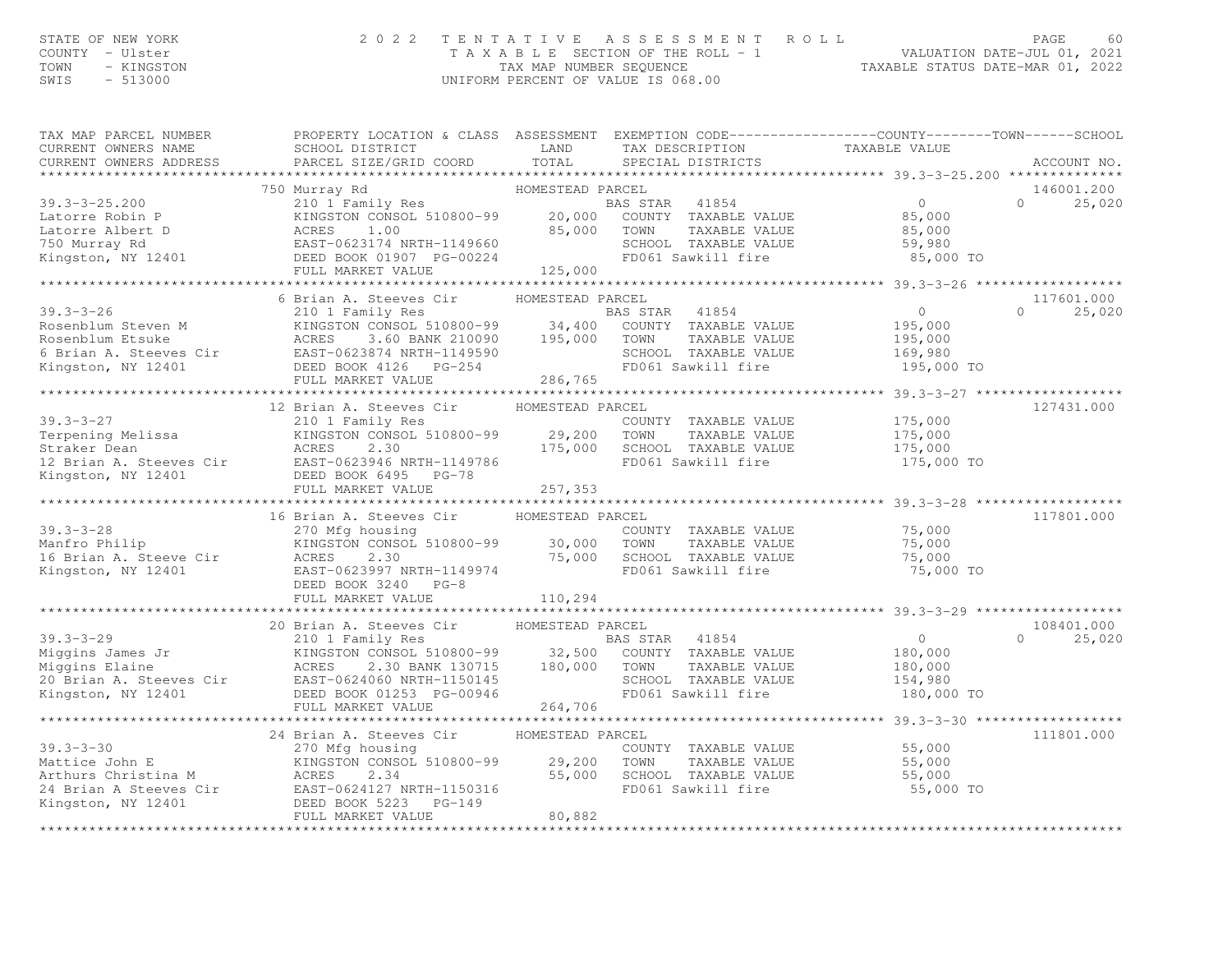# STATE OF NEW YORK (AND ROTE ) A SERIES SIMENT ROLL PALUATION DATE–JUL 01, 2021<br>COUNTY - Ulster (AND STATE A SERIE SECTION OF THE ROLL - 1 (VALUATION DATE–JUL 01, 2021<br>TAX A B L E SECTION OF THE ROLL - 1 (VALUATION DATE–JUL

| TAX MAP PARCEL NUMBER<br>CURRENT OWNERS NAME<br>CURRENT OWNERS ADDRESS                                    | SCHOOL DISTRICT<br>PARCEL SIZE/GRID COORD                                                                                                                           | PROPERTY LOCATION & CLASS ASSESSMENT EXEMPTION CODE----------------COUNTY-------TOWN------SCHOOL<br>LAND<br>TAX DESCRIPTION<br>TOTAL<br>SPECIAL DISTRICTS | TAXABLE VALUE<br>ACCOUNT NO.                                                                    |
|-----------------------------------------------------------------------------------------------------------|---------------------------------------------------------------------------------------------------------------------------------------------------------------------|-----------------------------------------------------------------------------------------------------------------------------------------------------------|-------------------------------------------------------------------------------------------------|
|                                                                                                           |                                                                                                                                                                     |                                                                                                                                                           |                                                                                                 |
| $39.3 - 3 - 25.200$<br>Latorre Robin P                                                                    | 750 Murray Rd<br>210 1 Family Res<br>KINGSTON CONSOL 510800-99                                                                                                      | HOMESTEAD PARCEL<br>41854<br>BAS STAR<br>20,000<br>COUNTY TAXABLE VALUE<br>85,000<br>TOWN<br>TAXABLE VALUE<br>SCHOOL TAXABLE VALUE                        | 146001.200<br>$\bigcirc$<br>$\Omega$<br>25,020<br>85,000<br>85,000<br>59,980                    |
|                                                                                                           |                                                                                                                                                                     | FD061 Sawkill fire                                                                                                                                        | 85,000 TO                                                                                       |
|                                                                                                           | FULL MARKET VALUE                                                                                                                                                   | 125,000                                                                                                                                                   |                                                                                                 |
|                                                                                                           |                                                                                                                                                                     |                                                                                                                                                           |                                                                                                 |
|                                                                                                           | 6 Brian A. Steeves Cir                                                                                                                                              | HOMESTEAD PARCEL                                                                                                                                          | 117601.000                                                                                      |
| $39.3 - 3 - 26$<br>Rosenblum Steven M<br>Rosenblum Etsuke<br>6 Brian A. Steeves Cir<br>Kingston, NY 12401 | 210 1 Family Res<br>KINGSTON CONSOL 510800-99<br>ACRES<br>3.60 BANK 210090<br>EAST-0623874 NRTH-1149590<br>DEED BOOK 4126 PG-254                                    | 41854<br>BAS STAR<br>34,400<br>COUNTY TAXABLE VALUE<br>195,000<br>TOWN<br>TAXABLE VALUE<br>SCHOOL TAXABLE VALUE<br>FD061 Sawkill fire                     | $\Omega$<br>25,020<br>$\cap$<br>195,000<br>195,000<br>169,980<br>195,000 TO                     |
|                                                                                                           | FULL MARKET VALUE                                                                                                                                                   | 286,765                                                                                                                                                   |                                                                                                 |
|                                                                                                           |                                                                                                                                                                     |                                                                                                                                                           |                                                                                                 |
|                                                                                                           | 12 Brian A. Steeves Cir                                                                                                                                             | HOMESTEAD PARCEL                                                                                                                                          | 127431.000                                                                                      |
| $39.3 - 3 - 27$<br>Terpening Melissa<br>Straker Dean<br>12 Brian A. Steeves Cir<br>Kingston, NY 12401     | 210 1 Family Res<br>KINGSTON CONSOL 510800-99<br>ACRES<br>2.30<br>EAST-0623946 NRTH-1149786<br>DEED BOOK 6495 PG-78                                                 | COUNTY TAXABLE VALUE<br>29,200<br>TOWN<br>TAXABLE VALUE<br>175,000<br>SCHOOL TAXABLE VALUE<br>FD061 Sawkill fire                                          | 175,000<br>175,000<br>175,000<br>175,000 TO                                                     |
|                                                                                                           | FULL MARKET VALUE                                                                                                                                                   | 257,353                                                                                                                                                   |                                                                                                 |
|                                                                                                           |                                                                                                                                                                     |                                                                                                                                                           |                                                                                                 |
|                                                                                                           | 16 Brian A. Steeves Cir                                                                                                                                             | HOMESTEAD PARCEL                                                                                                                                          | 117801.000                                                                                      |
| $39.3 - 3 - 28$<br>Manfro Philip<br>16 Brian A. Steeve Cir<br>Kingston, NY 12401                          | 270 Mfg housing<br>KINGSTON CONSOL 510800-99<br>ACRES<br>2.30<br>EAST-0623997 NRTH-1149974<br>DEED BOOK 3240 PG-8<br>FULL MARKET VALUE                              | COUNTY TAXABLE VALUE<br>30,000<br>TAXABLE VALUE<br>TOWN<br>75,000<br>SCHOOL TAXABLE VALUE<br>FD061 Sawkill fire<br>110,294                                | 75,000<br>75,000<br>75,000<br>75,000 TO                                                         |
|                                                                                                           |                                                                                                                                                                     |                                                                                                                                                           |                                                                                                 |
| $39.3 - 3 - 29$<br>Miggins James Jr<br>Miggins Elaine<br>20 Brian A. Steeves Cir<br>Kingston, NY 12401    | 20 Brian A. Steeves Cir<br>210 1 Family Res<br>KINGSTON CONSOL 510800-99<br>ACRES<br>2.30 BANK 130715<br>EAST-0624060 NRTH-1150145<br>DEED BOOK 01253 PG-00946      | HOMESTEAD PARCEL<br>41854<br>BAS STAR<br>32,500<br>COUNTY TAXABLE VALUE<br>180,000<br>TOWN<br>TAXABLE VALUE<br>SCHOOL TAXABLE VALUE<br>FD061 Sawkill fire | 108401.000<br>25,020<br>$\overline{0}$<br>$\cap$<br>180,000<br>180,000<br>154,980<br>180,000 TO |
|                                                                                                           | FULL MARKET VALUE                                                                                                                                                   | 264,706                                                                                                                                                   |                                                                                                 |
|                                                                                                           |                                                                                                                                                                     |                                                                                                                                                           |                                                                                                 |
| $39.3 - 3 - 30$<br>Mattice John E<br>Arthurs Christina M<br>24 Brian A Steeves Cir<br>Kingston, NY 12401  | 24 Brian A. Steeves Cir<br>270 Mfg housing<br>KINGSTON CONSOL 510800-99<br>ACRES<br>2.34<br>EAST-0624127 NRTH-1150316<br>DEED BOOK 5223 PG-149<br>FULL MARKET VALUE | HOMESTEAD PARCEL<br>COUNTY TAXABLE VALUE<br>29,200<br>TOWN<br>TAXABLE VALUE<br>55,000<br>SCHOOL TAXABLE VALUE<br>FD061 Sawkill fire<br>80,882             | 111801.000<br>55,000<br>55,000<br>55,000<br>55,000 TO                                           |
|                                                                                                           |                                                                                                                                                                     |                                                                                                                                                           |                                                                                                 |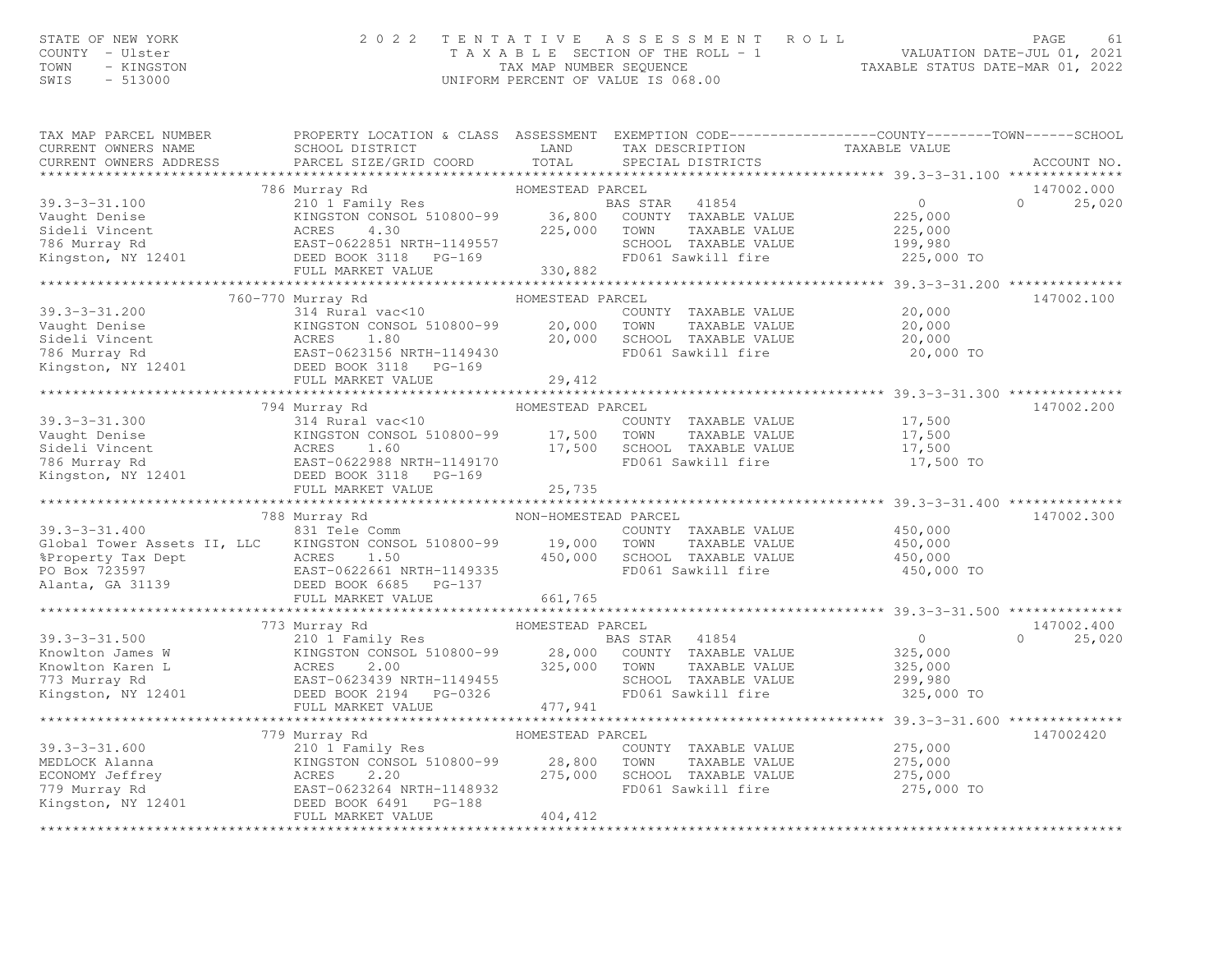# STATE OF NEW YORK (AND ROCE ) A SUBALISTIC OF NEW YORK 61 (SACE ) A SUBALISTIC MUSIC OUNTY - ULSE THE MODE 2 O 2 2 TENTATIVE ASSESSMENT ROLL (AND VALUATION DATE-JUL 01, 2021<br>TAXABLE SECTION OF THE ROLL - 1 (AND NUMBER SEQU

| TAX MAP PARCEL NUMBER<br>CURRENT OWNERS NAME                                                                                                                                                                                                                                                           | PROPERTY LOCATION & CLASS ASSESSMENT EXEMPTION CODE----------------COUNTY-------TOWN------SCHOOL                           |                  |                                                                                                        |                                                                                  |                    |
|--------------------------------------------------------------------------------------------------------------------------------------------------------------------------------------------------------------------------------------------------------------------------------------------------------|----------------------------------------------------------------------------------------------------------------------------|------------------|--------------------------------------------------------------------------------------------------------|----------------------------------------------------------------------------------|--------------------|
|                                                                                                                                                                                                                                                                                                        |                                                                                                                            |                  |                                                                                                        |                                                                                  |                    |
|                                                                                                                                                                                                                                                                                                        |                                                                                                                            |                  |                                                                                                        |                                                                                  |                    |
|                                                                                                                                                                                                                                                                                                        |                                                                                                                            |                  |                                                                                                        |                                                                                  | 147002.000         |
|                                                                                                                                                                                                                                                                                                        |                                                                                                                            |                  |                                                                                                        |                                                                                  | $\Omega$<br>25,020 |
|                                                                                                                                                                                                                                                                                                        |                                                                                                                            |                  |                                                                                                        |                                                                                  |                    |
|                                                                                                                                                                                                                                                                                                        |                                                                                                                            |                  |                                                                                                        |                                                                                  |                    |
|                                                                                                                                                                                                                                                                                                        |                                                                                                                            |                  |                                                                                                        |                                                                                  |                    |
|                                                                                                                                                                                                                                                                                                        |                                                                                                                            |                  |                                                                                                        | 225,000 TO                                                                       |                    |
|                                                                                                                                                                                                                                                                                                        |                                                                                                                            |                  |                                                                                                        |                                                                                  |                    |
|                                                                                                                                                                                                                                                                                                        |                                                                                                                            |                  |                                                                                                        |                                                                                  |                    |
|                                                                                                                                                                                                                                                                                                        | 760-770 Murray Rd<br>HOMESTEAD PARCEL                                                                                      |                  |                                                                                                        |                                                                                  | 147002.100         |
|                                                                                                                                                                                                                                                                                                        |                                                                                                                            |                  | COUNTY TAXABLE VALUE 20,000                                                                            |                                                                                  |                    |
|                                                                                                                                                                                                                                                                                                        |                                                                                                                            |                  |                                                                                                        |                                                                                  |                    |
|                                                                                                                                                                                                                                                                                                        |                                                                                                                            |                  |                                                                                                        |                                                                                  |                    |
|                                                                                                                                                                                                                                                                                                        |                                                                                                                            |                  |                                                                                                        |                                                                                  |                    |
|                                                                                                                                                                                                                                                                                                        |                                                                                                                            |                  |                                                                                                        |                                                                                  |                    |
|                                                                                                                                                                                                                                                                                                        |                                                                                                                            |                  |                                                                                                        |                                                                                  |                    |
|                                                                                                                                                                                                                                                                                                        |                                                                                                                            |                  |                                                                                                        |                                                                                  |                    |
|                                                                                                                                                                                                                                                                                                        | 794 Murray Rd                                                                                                              | HOMESTEAD PARCEL |                                                                                                        |                                                                                  | 147002.200         |
|                                                                                                                                                                                                                                                                                                        | 314 Rural vac<10                                                                                                           |                  | COUNTY TAXABLE VALUE 17,500<br>TOWN TAXABLE VALUE 17,500                                               |                                                                                  |                    |
|                                                                                                                                                                                                                                                                                                        |                                                                                                                            |                  |                                                                                                        |                                                                                  |                    |
|                                                                                                                                                                                                                                                                                                        |                                                                                                                            |                  |                                                                                                        |                                                                                  |                    |
|                                                                                                                                                                                                                                                                                                        |                                                                                                                            |                  |                                                                                                        |                                                                                  |                    |
|                                                                                                                                                                                                                                                                                                        |                                                                                                                            |                  |                                                                                                        |                                                                                  |                    |
|                                                                                                                                                                                                                                                                                                        |                                                                                                                            |                  |                                                                                                        |                                                                                  |                    |
| $\begin{array}{cccccccc} 39.3-3-31.300 & 314 \text{ Rural vac}\xspace(10) & 17,500 & 314 \text{ Rural vac}\xspace(10) & 17,500 & 17,500 & 17,500 & 17,500 & 17,500 & 17,500 & 17,500 & 17,500 & 17,500 & 17,500 & 17,500 & 17,500 & 17,500 & 17,500 & 17,500 & 17,500 & 17,500 & 17,500 & 17,500 & 17$ |                                                                                                                            |                  |                                                                                                        |                                                                                  |                    |
|                                                                                                                                                                                                                                                                                                        | Murray Rd<br>831 Tele Comm MON-HOMESTEAD PARCEL<br>788 Murray Rd                                                           |                  |                                                                                                        |                                                                                  | 147002.300         |
| $39.3 - 3 - 31.400$                                                                                                                                                                                                                                                                                    |                                                                                                                            |                  | ) PARCEL<br>COUNTY TAXABLE VALUE 450,000<br>TOWN TAXABLE VALUE 450,000<br>SCHOOL TAXABLE VALUE 450,000 |                                                                                  |                    |
|                                                                                                                                                                                                                                                                                                        |                                                                                                                            |                  |                                                                                                        |                                                                                  |                    |
|                                                                                                                                                                                                                                                                                                        |                                                                                                                            |                  |                                                                                                        |                                                                                  |                    |
|                                                                                                                                                                                                                                                                                                        |                                                                                                                            |                  | FD061 Sawkill fire 450,000 TO                                                                          |                                                                                  |                    |
|                                                                                                                                                                                                                                                                                                        |                                                                                                                            |                  |                                                                                                        |                                                                                  |                    |
| COLORATION CONSISTED AT A SURVEY ON THE CONDUCT ON SERVICE OF A SP AND TOWN TAXABLE VALUE<br>SProperty Tax Dept A ACRES 1.50 450,000 SCHOOL TAXABLE VALUE<br>PO Box 723597 BAST-0622661 NRTH-1149335<br>Alanta, GA 31139 DEED BOOK 6                                                                   |                                                                                                                            |                  |                                                                                                        |                                                                                  |                    |
|                                                                                                                                                                                                                                                                                                        |                                                                                                                            |                  |                                                                                                        |                                                                                  |                    |
| 139.3-3-31.500<br>TOMESTEAD PARCEL<br>MOMESTEAD PARCEL<br>MOMESTEAD PARCEL<br>EAST 41854<br>EAST -0623439 NRTH-1149455<br>MOMESTEAD PARCEL<br>28,000 COUNTY TAXABLE VALUE<br>TOMESTEAD PARCEL<br>TAXABLE VALUE<br>MOMESTEAD PARCEL<br>PARS 2.00 2194                                                   |                                                                                                                            |                  |                                                                                                        | 41854<br>TAXABLE VALUE 325,000<br>TAXABLE VALUE 325,000<br>TAXABLE VALUE 299,980 | 147002.400         |
|                                                                                                                                                                                                                                                                                                        |                                                                                                                            |                  |                                                                                                        |                                                                                  | $\Omega$<br>25,020 |
|                                                                                                                                                                                                                                                                                                        |                                                                                                                            |                  |                                                                                                        |                                                                                  |                    |
|                                                                                                                                                                                                                                                                                                        |                                                                                                                            |                  |                                                                                                        |                                                                                  |                    |
|                                                                                                                                                                                                                                                                                                        |                                                                                                                            |                  | SCHOOL TAXABLE VALUE                                                                                   |                                                                                  |                    |
|                                                                                                                                                                                                                                                                                                        |                                                                                                                            |                  | FD061 Sawkill fire 325,000 TO                                                                          |                                                                                  |                    |
|                                                                                                                                                                                                                                                                                                        |                                                                                                                            |                  |                                                                                                        |                                                                                  |                    |
|                                                                                                                                                                                                                                                                                                        |                                                                                                                            |                  |                                                                                                        |                                                                                  |                    |
|                                                                                                                                                                                                                                                                                                        |                                                                                                                            |                  |                                                                                                        |                                                                                  | 147002420          |
|                                                                                                                                                                                                                                                                                                        |                                                                                                                            |                  |                                                                                                        |                                                                                  |                    |
|                                                                                                                                                                                                                                                                                                        | Murray Rd<br>210 1 Family Res<br>210 1 Family Res<br>210 28,800 TOWN<br>275,000 SCHOC<br>275,000 EAST-0623264 NRTH-1148932 |                  | COUNTY TAXABLE VALUE 275,000<br>TOWN TAXABLE VALUE 275,000                                             |                                                                                  |                    |
|                                                                                                                                                                                                                                                                                                        |                                                                                                                            |                  | SCHOOL TAXABLE VALUE<br>FD061 Sawkill fire                                                             | 275,000                                                                          |                    |
|                                                                                                                                                                                                                                                                                                        |                                                                                                                            |                  |                                                                                                        | 275,000 TO                                                                       |                    |
| MEDLOCK Alanna (1994)<br>MEDLOCK Alanna (1994)<br>ECONOMY Jeffrey (1994)<br>MEDLOCK Alanna (1994)<br>ECONOMY Jeffrey (1994)<br>Murray Rd (1993264 NRTH-1148932<br>Kingston, NY 12401 (1995)<br>MEED BOOK 6491 PC-1999<br>Attitude (1994)<br>The                                                        |                                                                                                                            |                  |                                                                                                        |                                                                                  |                    |
|                                                                                                                                                                                                                                                                                                        |                                                                                                                            | 404,412          |                                                                                                        |                                                                                  |                    |
|                                                                                                                                                                                                                                                                                                        |                                                                                                                            |                  |                                                                                                        |                                                                                  |                    |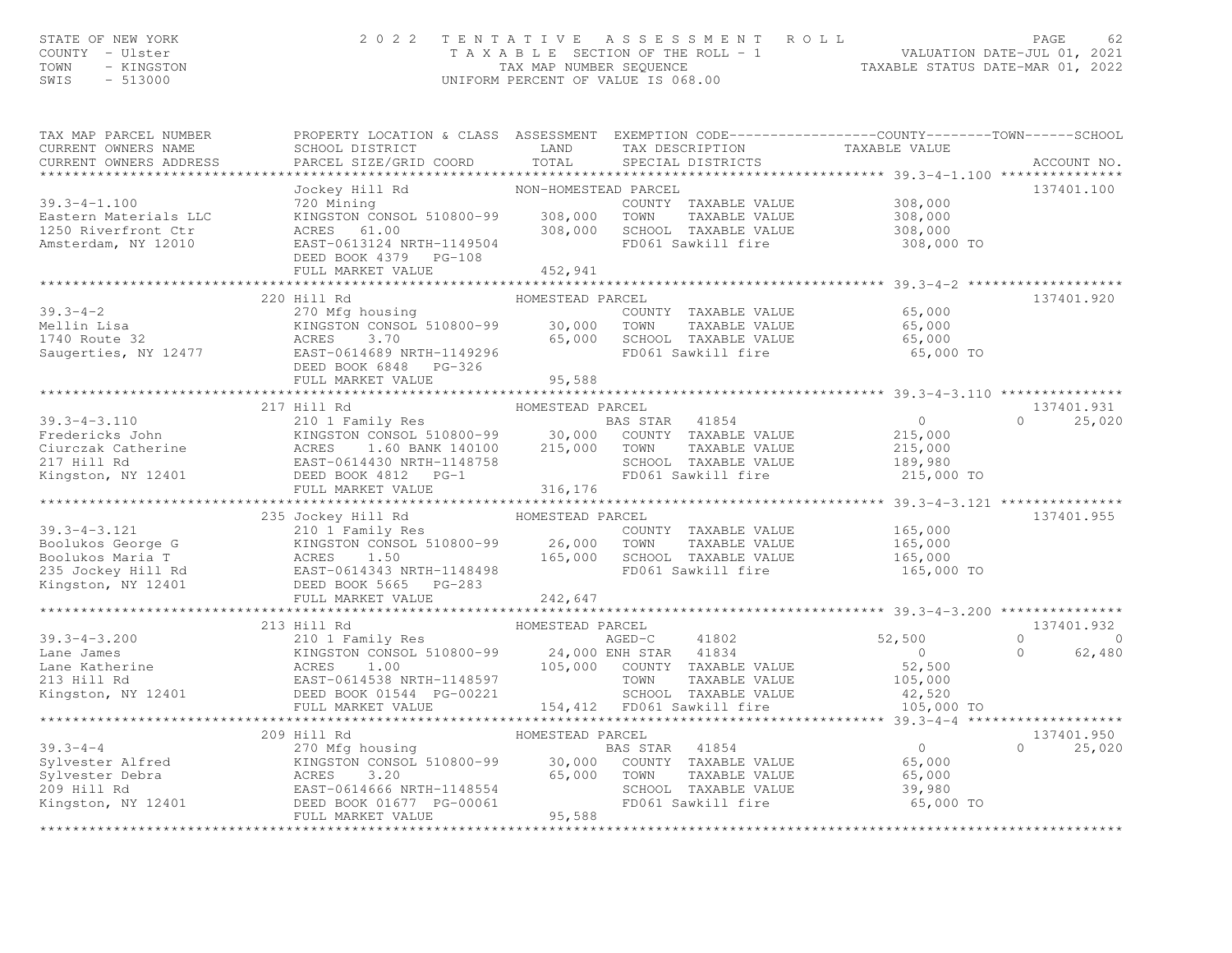# STATE OF NEW YORK (AND ROTE ) A SERIES SMENT ROLL PALUATION DATE–JUL 01, 2021<br>COUNTY - Ulster (AND STATE A SERIE SECTION OF THE ROLL - 1 (MALUATION DATE–JUL 01, 2021<br>TAXABLE STATUS DATE–MAR 01, 2022<br>SWIS - 513000

| TAX MAP PARCEL NUMBER<br>CURRENT OWNERS NAME                                                                                                                                                                                                                     | PROPERTY LOCATION & CLASS ASSESSMENT EXEMPTION CODE----------------COUNTY-------TOWN------SCHOOL<br>SCHOOL DISTRICT  | LAND                 |  | TAX DESCRIPTION TAXABLE VALUE                                                                      |                |                |
|------------------------------------------------------------------------------------------------------------------------------------------------------------------------------------------------------------------------------------------------------------------|----------------------------------------------------------------------------------------------------------------------|----------------------|--|----------------------------------------------------------------------------------------------------|----------------|----------------|
|                                                                                                                                                                                                                                                                  |                                                                                                                      |                      |  |                                                                                                    |                |                |
|                                                                                                                                                                                                                                                                  |                                                                                                                      |                      |  |                                                                                                    |                |                |
|                                                                                                                                                                                                                                                                  | Jockey Hill Rd                                                                                                       | NON-HOMESTEAD PARCEL |  |                                                                                                    |                | 137401.100     |
| $39.3 - 4 - 1.100$                                                                                                                                                                                                                                               | 720 Mining<br>KINGSTON CONSOL 510800-99 308,000 TOWN<br>ACRES 61.00 308,000 SCHOC<br>EAST-0613124 NRTH-1149504 FD061 |                      |  | COUNTY TAXABLE VALUE 308,000<br>TOWN TAXABLE VALUE 308,000                                         |                |                |
| Eastern Materials LLC                                                                                                                                                                                                                                            |                                                                                                                      |                      |  |                                                                                                    |                |                |
| 1250 Riverfront Ctr                                                                                                                                                                                                                                              |                                                                                                                      |                      |  | SCHOOL TAXABLE VALUE 308,000<br>FD061 Sawkill fire 308,000 TO                                      |                |                |
| Amsterdam, NY 12010                                                                                                                                                                                                                                              |                                                                                                                      |                      |  |                                                                                                    |                |                |
|                                                                                                                                                                                                                                                                  |                                                                                                                      |                      |  |                                                                                                    |                |                |
|                                                                                                                                                                                                                                                                  | KINGSTON CONCORRED 61.00<br>EAST-0613124 NRTH-1149504<br>DEED BOOK 4379 PG-108<br>AREA BOOK 4379 PG-108              |                      |  |                                                                                                    |                |                |
|                                                                                                                                                                                                                                                                  |                                                                                                                      |                      |  |                                                                                                    |                |                |
|                                                                                                                                                                                                                                                                  | 220 Hill Rd                                                                                                          | HOMESTEAD PARCEL     |  |                                                                                                    |                | 137401.920     |
| $39.3 - 4 - 2$                                                                                                                                                                                                                                                   | 270 Mfg housing                                                                                                      |                      |  | COUNTY TAXABLE VALUE 65,000                                                                        |                |                |
|                                                                                                                                                                                                                                                                  |                                                                                                                      |                      |  |                                                                                                    |                |                |
|                                                                                                                                                                                                                                                                  |                                                                                                                      |                      |  |                                                                                                    |                |                |
|                                                                                                                                                                                                                                                                  |                                                                                                                      |                      |  | 65,000 TO                                                                                          |                |                |
| 39.3-4-2<br>Mellin Lisa (270 Mfg housing 10800-99 30,000 TOWN TAXABLE VALUE 65,000<br>1740 Route 32 ACRES 3.70 65,000 SCHOOL TAXABLE VALUE 65,000<br>Saugerties, NY 12477 EAST-0614689 NRTH-1149296 FD061 Sawkill fire 65,000<br>DEED                            |                                                                                                                      |                      |  |                                                                                                    |                |                |
|                                                                                                                                                                                                                                                                  |                                                                                                                      |                      |  |                                                                                                    |                |                |
|                                                                                                                                                                                                                                                                  | 217 Hill Rd                                                                                                          | HOMESTEAD PARCEL     |  |                                                                                                    |                | 137401.931     |
|                                                                                                                                                                                                                                                                  |                                                                                                                      |                      |  |                                                                                                    | $\overline{0}$ | 25,020         |
|                                                                                                                                                                                                                                                                  |                                                                                                                      |                      |  |                                                                                                    |                |                |
|                                                                                                                                                                                                                                                                  |                                                                                                                      |                      |  |                                                                                                    |                |                |
|                                                                                                                                                                                                                                                                  |                                                                                                                      |                      |  |                                                                                                    |                |                |
|                                                                                                                                                                                                                                                                  |                                                                                                                      |                      |  | SCHOOL TAXABLE VALUE 189,980<br>FD061 Sawkill fire 215,000 TO                                      |                |                |
| 39.3-4-3.110 217 HILL KG<br>Eredericks John 210 11 Hamily Res BAS STAR 41854 0<br>210 215,000 EOUNTY TAXABLE VALUE 215,000<br>217 Hill Rd EAST-0614430 NRTH-1148758 SCHOOL TAXABLE VALUE 215,000<br>217 Hill Rd EAST-0614430 NRTH-1148                           |                                                                                                                      |                      |  |                                                                                                    |                |                |
|                                                                                                                                                                                                                                                                  |                                                                                                                      |                      |  |                                                                                                    |                |                |
|                                                                                                                                                                                                                                                                  |                                                                                                                      |                      |  |                                                                                                    |                | 137401.955     |
|                                                                                                                                                                                                                                                                  | 235 Jockey Hill Rd<br>210 1 Family Res 6000 HOMESTEAD PARCEL                                                         |                      |  | %CEL<br>COUNTY TAXABLE VALUE 165,000<br>TOWN TAXABLE VALUE 165,000<br>COUNTE TAXABLE VALUE 165,000 |                |                |
|                                                                                                                                                                                                                                                                  |                                                                                                                      |                      |  |                                                                                                    |                |                |
|                                                                                                                                                                                                                                                                  |                                                                                                                      |                      |  |                                                                                                    |                |                |
|                                                                                                                                                                                                                                                                  |                                                                                                                      |                      |  | FD061 Sawkill fire 165,000 TO                                                                      |                |                |
|                                                                                                                                                                                                                                                                  |                                                                                                                      |                      |  |                                                                                                    |                |                |
| 39.3-4-3.121 210 1 Family Res<br>Boolukos George G KINGSTON CONSOL 510800-99 26,000 TOWN TAXABLE VALUE<br>Boolukos Maria T ACRES 1.50 165,000 SCHOOL TAXABLE VALUE<br>235 Jockey Hill Rd EAST-0614343 NRTH-1148498 FD061 Sawkill fir                             |                                                                                                                      |                      |  |                                                                                                    |                |                |
|                                                                                                                                                                                                                                                                  |                                                                                                                      |                      |  |                                                                                                    |                |                |
|                                                                                                                                                                                                                                                                  | 213 Hill Rd                                                                                                          | HOMESTEAD PARCEL     |  |                                                                                                    |                | 137401.932     |
|                                                                                                                                                                                                                                                                  |                                                                                                                      |                      |  |                                                                                                    |                | $\overline{a}$ |
|                                                                                                                                                                                                                                                                  |                                                                                                                      |                      |  |                                                                                                    |                | 62,480         |
|                                                                                                                                                                                                                                                                  |                                                                                                                      |                      |  |                                                                                                    |                |                |
|                                                                                                                                                                                                                                                                  |                                                                                                                      |                      |  |                                                                                                    |                |                |
|                                                                                                                                                                                                                                                                  |                                                                                                                      |                      |  |                                                                                                    |                |                |
|                                                                                                                                                                                                                                                                  |                                                                                                                      |                      |  |                                                                                                    |                |                |
|                                                                                                                                                                                                                                                                  |                                                                                                                      |                      |  |                                                                                                    |                |                |
|                                                                                                                                                                                                                                                                  | 209 Hill Rd                                                                                                          | HOMESTEAD PARCEL     |  |                                                                                                    |                | 137401.950     |
|                                                                                                                                                                                                                                                                  |                                                                                                                      |                      |  |                                                                                                    | $\Omega$       | 25,020         |
|                                                                                                                                                                                                                                                                  |                                                                                                                      |                      |  |                                                                                                    |                |                |
|                                                                                                                                                                                                                                                                  |                                                                                                                      |                      |  |                                                                                                    |                |                |
|                                                                                                                                                                                                                                                                  |                                                                                                                      |                      |  |                                                                                                    |                |                |
|                                                                                                                                                                                                                                                                  |                                                                                                                      |                      |  | 65,000 TO                                                                                          |                |                |
| 39.3-4-4<br>209 Hill Rd<br>209 Hill Rd<br>209 Hill Rd<br>209 Hill Rd<br>209 Kingston, NY 12401<br>209 Hill Rd<br>209 Hill Rd<br>209 Hill Rd<br>209 ACRES<br>209 ACRES<br>209 ACRES<br>209 ACRES<br>209 ACRES<br>209 ACRES<br>209 ACRES<br>209 ACRES<br>209 ACRES |                                                                                                                      |                      |  |                                                                                                    |                |                |
|                                                                                                                                                                                                                                                                  |                                                                                                                      |                      |  |                                                                                                    |                |                |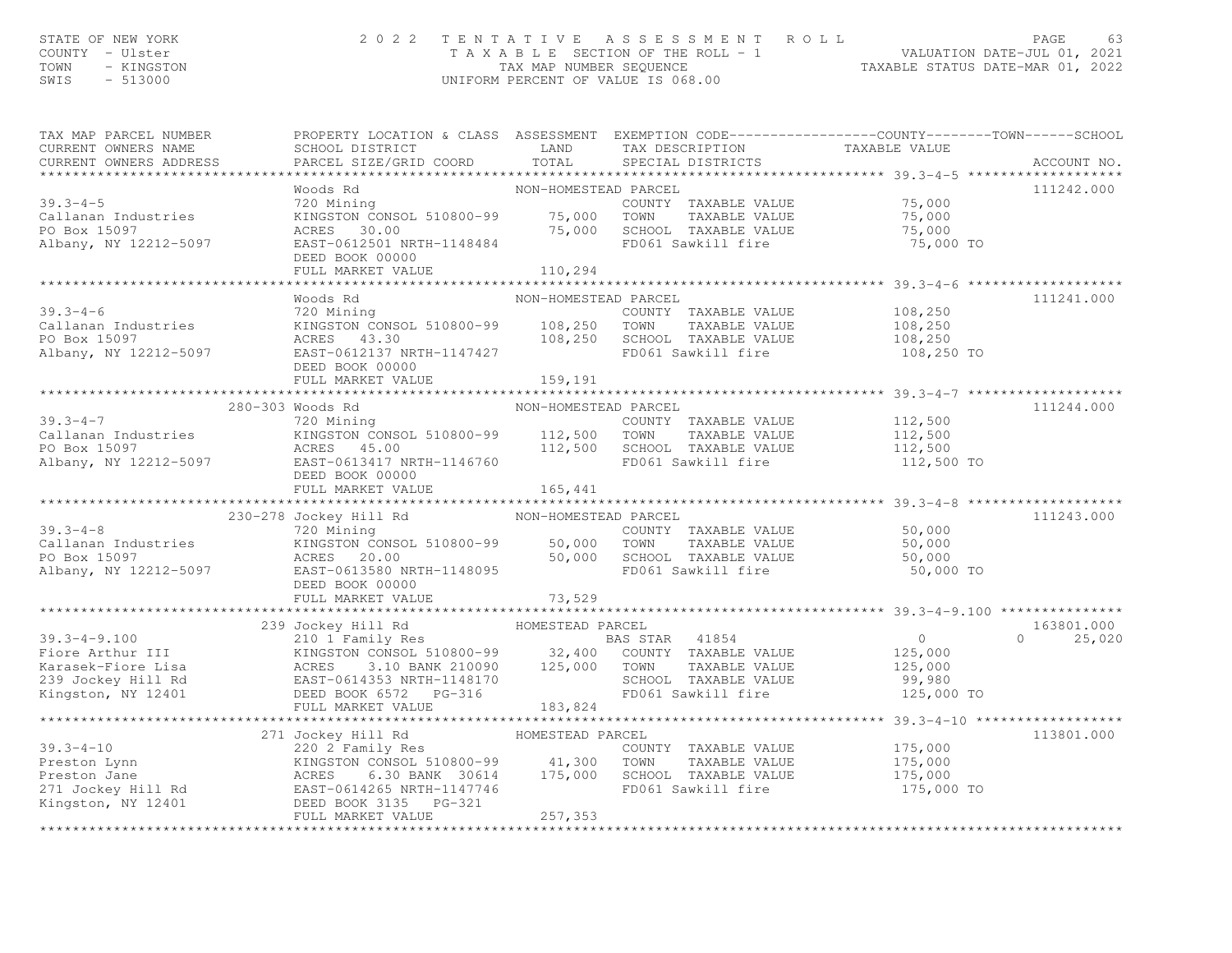# STATE OF NEW YORK (AND ROTE ) A SERIES SMENT ROLL PALUATION DATE–JUL 01, 2021<br>COUNTY - Ulster (AND STATE A SERIE SECTION OF THE ROLL - 1 (MALUATION DATE–JUL 01, 2021<br>TAXABLE STATUS DATE–MAR 01, 2022<br>SWIS - 513000

|                   |                                                 |          |                                                                                                                                             | 111242.000                                                                                                                                                                                                                                                                                                                                                                                                                                                                                                                                                                                                                                                                                                                                                                                                                                                                                                                                                                                                                                                                                                                                                                                                                                                                                                                                                                                                                                                                                                                                                                                                                                                                                                                          |
|-------------------|-------------------------------------------------|----------|---------------------------------------------------------------------------------------------------------------------------------------------|-------------------------------------------------------------------------------------------------------------------------------------------------------------------------------------------------------------------------------------------------------------------------------------------------------------------------------------------------------------------------------------------------------------------------------------------------------------------------------------------------------------------------------------------------------------------------------------------------------------------------------------------------------------------------------------------------------------------------------------------------------------------------------------------------------------------------------------------------------------------------------------------------------------------------------------------------------------------------------------------------------------------------------------------------------------------------------------------------------------------------------------------------------------------------------------------------------------------------------------------------------------------------------------------------------------------------------------------------------------------------------------------------------------------------------------------------------------------------------------------------------------------------------------------------------------------------------------------------------------------------------------------------------------------------------------------------------------------------------------|
|                   |                                                 |          |                                                                                                                                             |                                                                                                                                                                                                                                                                                                                                                                                                                                                                                                                                                                                                                                                                                                                                                                                                                                                                                                                                                                                                                                                                                                                                                                                                                                                                                                                                                                                                                                                                                                                                                                                                                                                                                                                                     |
|                   |                                                 |          |                                                                                                                                             |                                                                                                                                                                                                                                                                                                                                                                                                                                                                                                                                                                                                                                                                                                                                                                                                                                                                                                                                                                                                                                                                                                                                                                                                                                                                                                                                                                                                                                                                                                                                                                                                                                                                                                                                     |
|                   |                                                 |          |                                                                                                                                             | 111241.000                                                                                                                                                                                                                                                                                                                                                                                                                                                                                                                                                                                                                                                                                                                                                                                                                                                                                                                                                                                                                                                                                                                                                                                                                                                                                                                                                                                                                                                                                                                                                                                                                                                                                                                          |
|                   |                                                 |          |                                                                                                                                             |                                                                                                                                                                                                                                                                                                                                                                                                                                                                                                                                                                                                                                                                                                                                                                                                                                                                                                                                                                                                                                                                                                                                                                                                                                                                                                                                                                                                                                                                                                                                                                                                                                                                                                                                     |
|                   |                                                 |          |                                                                                                                                             |                                                                                                                                                                                                                                                                                                                                                                                                                                                                                                                                                                                                                                                                                                                                                                                                                                                                                                                                                                                                                                                                                                                                                                                                                                                                                                                                                                                                                                                                                                                                                                                                                                                                                                                                     |
|                   |                                                 |          |                                                                                                                                             |                                                                                                                                                                                                                                                                                                                                                                                                                                                                                                                                                                                                                                                                                                                                                                                                                                                                                                                                                                                                                                                                                                                                                                                                                                                                                                                                                                                                                                                                                                                                                                                                                                                                                                                                     |
|                   |                                                 |          |                                                                                                                                             | 111244.000                                                                                                                                                                                                                                                                                                                                                                                                                                                                                                                                                                                                                                                                                                                                                                                                                                                                                                                                                                                                                                                                                                                                                                                                                                                                                                                                                                                                                                                                                                                                                                                                                                                                                                                          |
|                   |                                                 |          |                                                                                                                                             |                                                                                                                                                                                                                                                                                                                                                                                                                                                                                                                                                                                                                                                                                                                                                                                                                                                                                                                                                                                                                                                                                                                                                                                                                                                                                                                                                                                                                                                                                                                                                                                                                                                                                                                                     |
|                   |                                                 |          |                                                                                                                                             |                                                                                                                                                                                                                                                                                                                                                                                                                                                                                                                                                                                                                                                                                                                                                                                                                                                                                                                                                                                                                                                                                                                                                                                                                                                                                                                                                                                                                                                                                                                                                                                                                                                                                                                                     |
|                   |                                                 |          |                                                                                                                                             | 111243.000                                                                                                                                                                                                                                                                                                                                                                                                                                                                                                                                                                                                                                                                                                                                                                                                                                                                                                                                                                                                                                                                                                                                                                                                                                                                                                                                                                                                                                                                                                                                                                                                                                                                                                                          |
| DEED BOOK 00000   |                                                 |          |                                                                                                                                             |                                                                                                                                                                                                                                                                                                                                                                                                                                                                                                                                                                                                                                                                                                                                                                                                                                                                                                                                                                                                                                                                                                                                                                                                                                                                                                                                                                                                                                                                                                                                                                                                                                                                                                                                     |
|                   |                                                 |          |                                                                                                                                             |                                                                                                                                                                                                                                                                                                                                                                                                                                                                                                                                                                                                                                                                                                                                                                                                                                                                                                                                                                                                                                                                                                                                                                                                                                                                                                                                                                                                                                                                                                                                                                                                                                                                                                                                     |
|                   |                                                 |          |                                                                                                                                             | 163801.000<br>$0 \t 25,020$                                                                                                                                                                                                                                                                                                                                                                                                                                                                                                                                                                                                                                                                                                                                                                                                                                                                                                                                                                                                                                                                                                                                                                                                                                                                                                                                                                                                                                                                                                                                                                                                                                                                                                         |
|                   |                                                 |          |                                                                                                                                             |                                                                                                                                                                                                                                                                                                                                                                                                                                                                                                                                                                                                                                                                                                                                                                                                                                                                                                                                                                                                                                                                                                                                                                                                                                                                                                                                                                                                                                                                                                                                                                                                                                                                                                                                     |
| FULL MARKET VALUE |                                                 |          |                                                                                                                                             | 113801.000                                                                                                                                                                                                                                                                                                                                                                                                                                                                                                                                                                                                                                                                                                                                                                                                                                                                                                                                                                                                                                                                                                                                                                                                                                                                                                                                                                                                                                                                                                                                                                                                                                                                                                                          |
|                   | Woods Rd<br>DEED BOOK 00000<br>280-303 Woods Rd | 257, 353 | NON-HOMESTEAD PARCEL<br>NON-HOMESTEAD PARCEL<br>230-278 Jockey Hill Rd<br>720 Mining                                   NON-HOMESTEAD PARCEL | PROPERTY LOCATION & CLASS ASSESSMENT EXEMPTION CODE----------------COUNTY-------TOWN------SCHOOL<br>Woods Rd  MON-HOMESTEAD PARCEL<br>720 Mining  75,000<br>KINGSTON CONSOL 510800-99  75,000 TOWN TAXABLE VALUE<br>75,000 TOWN TAXABLE VALUE<br>75,000 TOWN TAXABLE VALUE<br>75,000 TO 75,000 TO 75,000 TONN<br>RARES 20.00 TO 75,000 TO FEND<br>39.3-4-6<br>Callanan Industries (108.250 Mining COUNTY TAXABLE VALUE 108,250<br>PO Box 15097 ACRES 43.30 108,250 SCHOOL TAXABLE VALUE 108,250<br>Albany, NY 12212-5097 EAST-0612137 NRTH-1147427 FD061 Sawkill fire 108,250 TOM<br>39.3-4-7<br>Callanan Industries T200-500 KINGSTON CONSOL 510800-99 112,500 TOWN TAXABLE VALUE 112,500<br>PO Box 15097 ACRES 45.00 112,500 SCHOOL TAXABLE VALUE 112,500<br>Albany, NY 12212-5097 EAST-0613411 E146760 FD061 Sawkill f<br>39.3-4-8<br>Callanan Industries (EINGSTON CONSOL 510800-99 50,000 TOWN TAXABLE VALUE<br>FO Box 15097 (EAST-0613580 NRTH-1148095 50,000 SCHOOL TAXABLE VALUE 50,000 50,000 SCHOOL TAXABLE VALUE 50,000<br>Albany, NY 12212-5097 (EAST<br>2011 / 2012 / 2012 / 73, 529<br>FULL MARKET VALUE 73, 529 / 73, 739 / 73, 739 / 73, 739 / 73, 739 / 73, 739 / 73, 739 / 73, 74 / 73, 74 / 73, 8<br>39.3-4-9.100<br>239 Jockey Hill Rd<br>239 Jockey Hill Rd<br>Exingston Consol 510800-99<br>239 Jockey Hill Rd<br>239 Jockey Hill Rd<br>239 Jockey Hill Rd<br>239 Jockey Hill Rd<br>239 Jockey Hill Rd<br>239 Jockey Hill Rd<br>239 Jockey Hill Rd<br><br>39.3-4-10<br>271 Jockey Hill Rd<br>271 Jockey Hill Rd<br>220 2 Family Res<br>Preston Lynn<br>EXRIGSTON CONSOL 510800-99<br>271 Jockey Hill Rd<br>271 Jockey Hill Rd<br>271 Jockey Hill Rd<br>271 Jockey Hill Rd<br>271 Jockey Hill Rd<br>271 Jockey |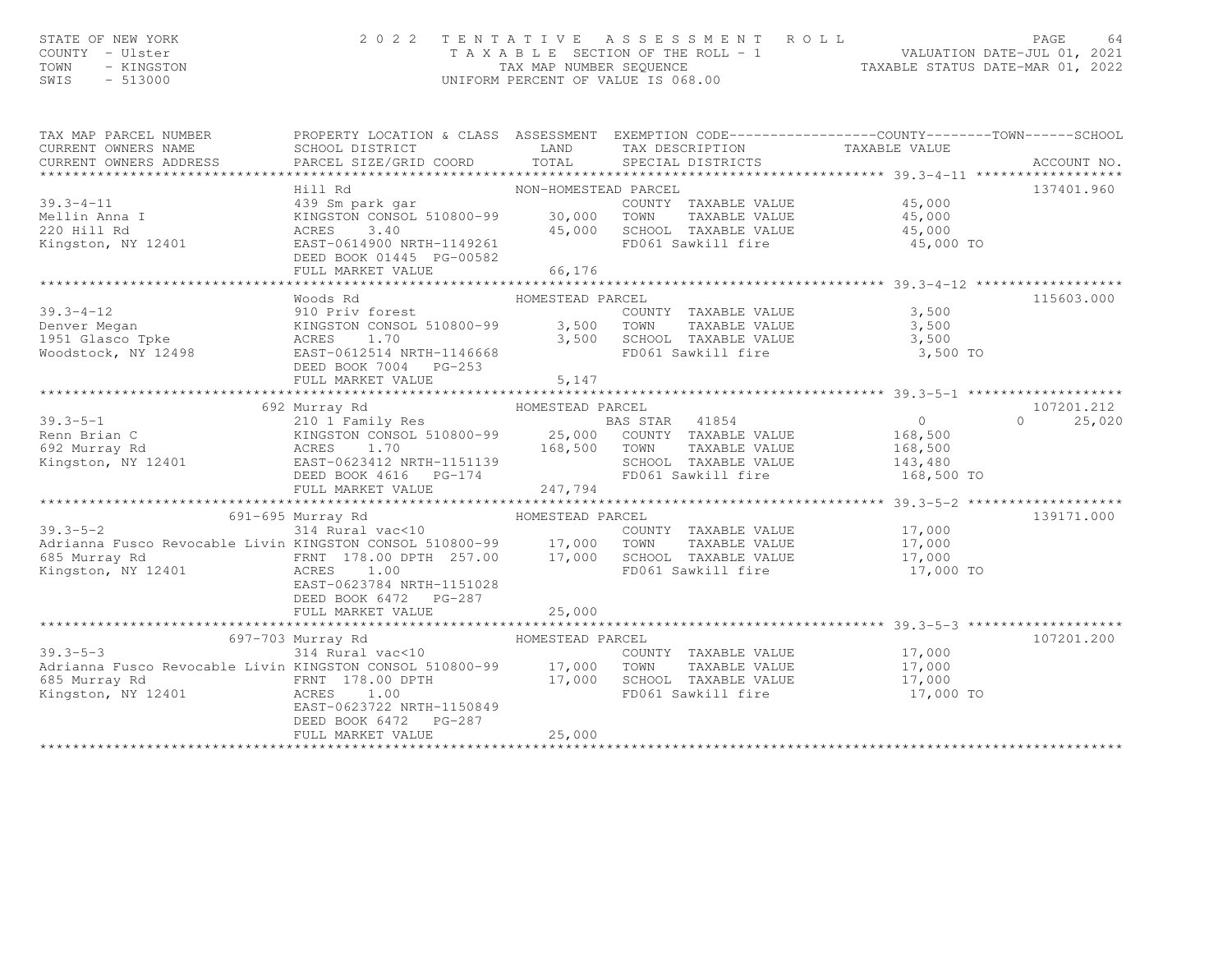# STATE OF NEW YORK (AND ROTE ) A SERIES SMENT ROLL PALUATION DATE–JUL 01, 2021<br>COUNTY - Ulster (AND STATE A SERIE SECTION OF THE ROLL - 1 (VALUATION DATE–JUL 01, 2021<br>TAXABLE STATUS DATE–MAR 01, 2022<br>SWIS - 513000

| TAX MAP PARCEL NUMBER<br>CURRENT OWNERS NAME<br>CURRENT OWNERS ADDRESS                                                                                                                                                                      | PROPERTY LOCATION & CLASS ASSESSMENT EXEMPTION CODE----------------COUNTY-------TOWN------SCHOOL                                                                                                                 |                                    |                                                                                                                                                                                                                      |                                                |
|---------------------------------------------------------------------------------------------------------------------------------------------------------------------------------------------------------------------------------------------|------------------------------------------------------------------------------------------------------------------------------------------------------------------------------------------------------------------|------------------------------------|----------------------------------------------------------------------------------------------------------------------------------------------------------------------------------------------------------------------|------------------------------------------------|
| $39.3 - 4 - 11$<br>Mellin Anna I<br>220 Hill Rd<br>220 Hill Rd<br>Kingston, NY 12401                                                                                                                                                        | HILL Rd<br>439 Sm park gar MON-HOMESTEAD PARCEL<br>KINGGEON GOLLER<br>KINGSTON CONSOL 510800-99 30,000<br>ACRES 3.40 45,000<br>EAST-0614900 NRTH-1149261 45,000<br>DEED BOOK 01445 PG-00582<br>FULL MARKET VALUE | 66,176                             | 9 PARCEL<br>COUNTY TAXABLE VALUE 45,000<br>TOWN TAXABLE VALUE 45,000<br>TAVARLE VALUE 45,000<br>TOWN<br>SCHOOL TAXABLE VALUE 45,000<br>FD061 Sawkill fire 1996 45,000 TO                                             | 137401.960                                     |
|                                                                                                                                                                                                                                             | ***********************************<br>Woods Rd                                                                                                                                                                  | **************<br>HOMESTEAD PARCEL |                                                                                                                                                                                                                      | 115603.000                                     |
| 910 Priv forest<br>Denver Megan Megan<br>1951 Glasco Tpke KINGSTON CONSOL 510800-99 3,500<br>Moodstock NY 19499 ACRES 1.70                                                                                                                  | DEED BOOK 7004 PG-253                                                                                                                                                                                            |                                    |                                                                                                                                                                                                                      |                                                |
|                                                                                                                                                                                                                                             |                                                                                                                                                                                                                  |                                    |                                                                                                                                                                                                                      |                                                |
| 39.3-5-2<br>314 Rural vac<10<br>314 Rural vac<10<br>251 Society in Marianna Fusco Revocable Livin KINGSTON CONSOL 510800-99<br>317,000 TOWN TAXABLE VALUE 17,000<br>317,000 TOWN TAXABLE VALUE 17,000<br>35 Murray Rd<br>37,000 FRNT 178.00 | 691-695 Murray Rd                                                                                                                                                                                                |                                    | SCHOOL TAXABLE VALUE 143,480<br>FD061 Sawkill fire 168,500 TO                                                                                                                                                        | 107201.212<br>25,020<br>$\Omega$<br>139171.000 |
|                                                                                                                                                                                                                                             | EAST-0623784 NRTH-1151028<br>DEED BOOK 6472 PG-287<br>FULL MARKET VALUE                                                                                                                                          | 25,000                             |                                                                                                                                                                                                                      |                                                |
|                                                                                                                                                                                                                                             | 697-703 Murray Rd                                                                                                                                                                                                |                                    |                                                                                                                                                                                                                      | 107201.200                                     |
| $39.3 - 5 - 3$<br>Adrianna Fusco Revocable Livin KINGSTON CONSOL 510800-99 17,000 TOWN<br>685 Murray Rd<br>Kingston, NY 12401                                                                                                               | Murray Rd<br>314 Rural vac<10<br>The HOMESTEAD PARCEL<br>TANGLE COUNT<br>FRNT 178.00 DPTH<br>ACRES 1.00<br>EAST-0623722 NRTH-1150849<br>DEED BOOK 6472 PG-287<br>FULL MARKET VALUE                               | 25,000                             | XCEL<br>COUNTY TAXABLE VALUE 17,000<br>TIMBER VALUE 17,000<br>17,000 TOWN TAXABLE VALUE 17,000<br>17,000 SCHOOL TAXABLE VALUE 17,000<br>FD061 Sawkill fire 17,000 FD061 Sawkill fire<br>FD061 Sawkill fire 17,000 TO |                                                |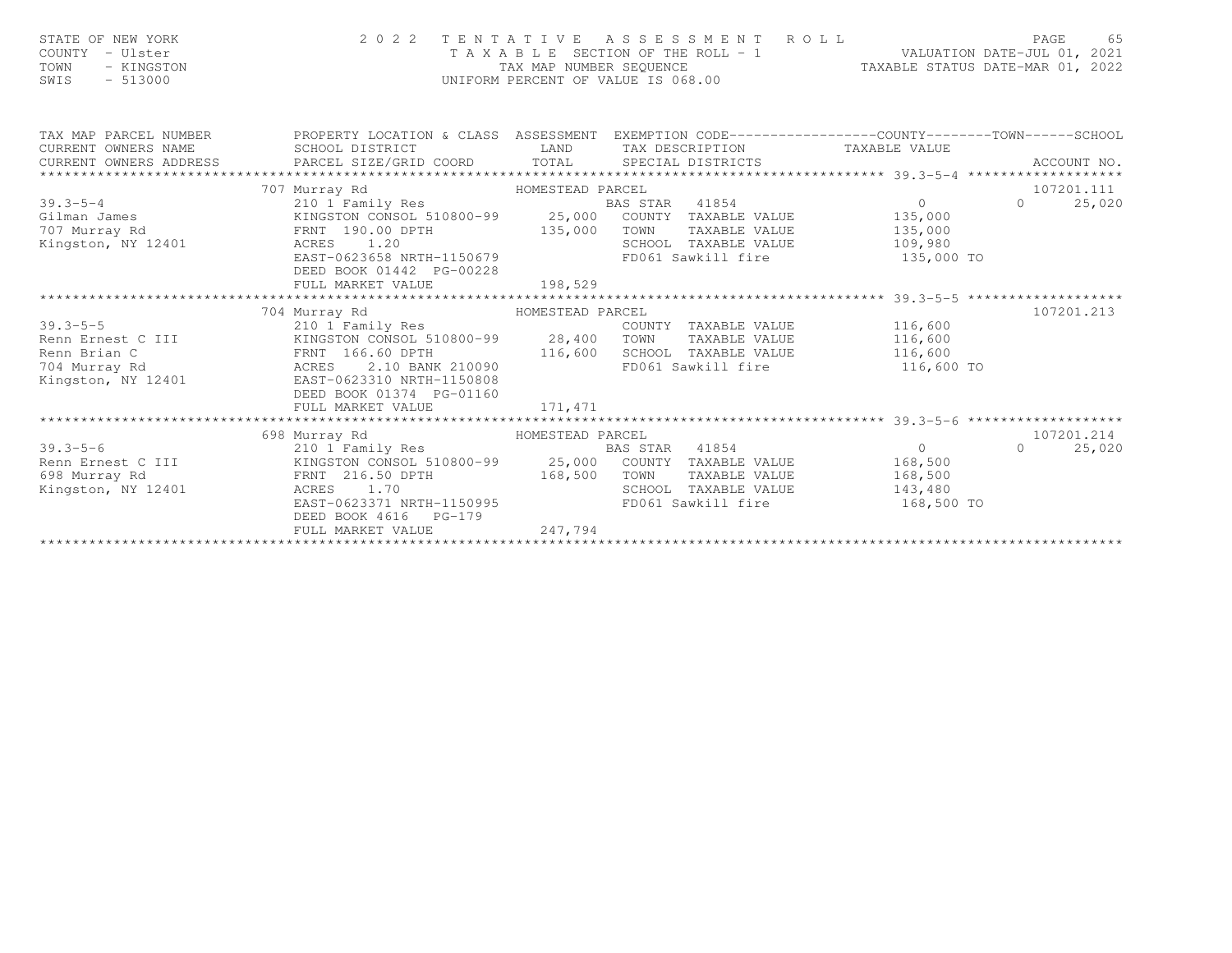| STATE OF NEW YORK<br>COUNTY - Ulster<br>TOWN<br>- KINGSTON<br>$SWIS - 513000$ |                                                                                                                                                                                                                                                                                                                                                                                                                                                                                       |         | $\begin{tabular}{lllllllllllll} \hline 2&0&2&2&\text{T} & \text{E} & \text{N} & \text{T} & \text{A} & \text{T} & \text{A} & \text{B} & \text{A} & \text{B} & \text{E} & \text{A} & \text{B} & \text{E} & \text{B} & \text{A} & \text{E} & \text{B} & \text{A} & \text{E} & \text{B} & \text{A} & \text{B} & \text{E} & \text{B} & \text{E} & \text{B} & \text{B} & \text{B} & \text{B} & \text{B} & \text{B} & \text{B}$<br>UNIFORM PERCENT OF VALUE IS 068.00 |                                                                            |                                  |
|-------------------------------------------------------------------------------|---------------------------------------------------------------------------------------------------------------------------------------------------------------------------------------------------------------------------------------------------------------------------------------------------------------------------------------------------------------------------------------------------------------------------------------------------------------------------------------|---------|----------------------------------------------------------------------------------------------------------------------------------------------------------------------------------------------------------------------------------------------------------------------------------------------------------------------------------------------------------------------------------------------------------------------------------------------------------------|----------------------------------------------------------------------------|----------------------------------|
| TAX MAP PARCEL NUMBER<br>CURRENT OWNERS NAME                                  | PROPERTY LOCATION & CLASS ASSESSMENT EXEMPTION CODE----------------COUNTY-------TOWN------SCHOOL<br>SCHOOL DISTRICT                                                                                                                                                                                                                                                                                                                                                                   |         | LAND TAX DESCRIPTION TAXABLE VALUE                                                                                                                                                                                                                                                                                                                                                                                                                             |                                                                            |                                  |
|                                                                               |                                                                                                                                                                                                                                                                                                                                                                                                                                                                                       |         |                                                                                                                                                                                                                                                                                                                                                                                                                                                                |                                                                            |                                  |
|                                                                               | HOMESTEAD PARCEL<br>707 Murray Rd<br>39.3-5-4 (1854)<br>Gilman James (185,000 COUNTY TAXABLE VALUE 135,000 COUNTY TAXABLE VALUE 135,000<br>TO TO Murray Rd FRNT 190.00 DPTH 135,000 TOWN TAXABLE VALUE 135,000<br>Kingston, NY 12401 ACRES 1.20 SCHOOL TAXABLE VALUE 109,                                                                                                                                                                                                             |         | BAS STAR 41854 (0)                                                                                                                                                                                                                                                                                                                                                                                                                                             |                                                                            | 107201.111<br>25,020<br>$\Omega$ |
|                                                                               |                                                                                                                                                                                                                                                                                                                                                                                                                                                                                       |         |                                                                                                                                                                                                                                                                                                                                                                                                                                                                |                                                                            |                                  |
|                                                                               |                                                                                                                                                                                                                                                                                                                                                                                                                                                                                       |         |                                                                                                                                                                                                                                                                                                                                                                                                                                                                |                                                                            | 107201.213                       |
|                                                                               | $\begin{tabular}{lllllllllllllllllllll} \textbf{39.3-5-5} & & & & & & & \textbf{HOMESTEAD PARCEL} & \\ & & & & & & & & \textbf{HOMESTEAD PARCEL} & \\ \textbf{Renn Ernest C III} & & & & & & \textbf{RINGSTON CONSOL 510800-99} & \\ \textbf{Renn Britain C} & & & & & & \textbf{FANT 166.60 DPTH} & \\ & & & & & & \textbf{28,400 TOWN} & \textbf{TAXABLE VALUE} & \\ \textbf{Renn Brian C} & & & & & & \textbf{28,400 TOWN} & \textbf{TAXABLE VALUE} &$<br>DEED BOOK 01374 PG-01160 |         |                                                                                                                                                                                                                                                                                                                                                                                                                                                                |                                                                            |                                  |
|                                                                               |                                                                                                                                                                                                                                                                                                                                                                                                                                                                                       |         |                                                                                                                                                                                                                                                                                                                                                                                                                                                                |                                                                            |                                  |
|                                                                               |                                                                                                                                                                                                                                                                                                                                                                                                                                                                                       |         |                                                                                                                                                                                                                                                                                                                                                                                                                                                                |                                                                            | 107201.214                       |
|                                                                               | 39.3-5-6<br>Renn Ernest C III (1988 Murray Rd)<br>ERNT 216.50 DPTH 168,500 TOWN TAXABLE VALUE<br>ERNT 216.50 DPTH 168,500 TOWN TAXABLE VALUE<br>ERNT 216.50 DPTH 168,500 TOWN TAXABLE VALUE<br>ERS 1.70 SCHOOL TAXABLE VALUE 168,500 143<br>DEED BOOK 4616 PG-179                                                                                                                                                                                                                     | 247,794 |                                                                                                                                                                                                                                                                                                                                                                                                                                                                | $\begin{array}{ccc} & & & 0 & \\ & & & & 0 & \\ & & & & & & 0 \end{array}$ | 25,020<br>$\Omega$               |
|                                                                               | FULL MARKET VALUE                                                                                                                                                                                                                                                                                                                                                                                                                                                                     |         |                                                                                                                                                                                                                                                                                                                                                                                                                                                                |                                                                            |                                  |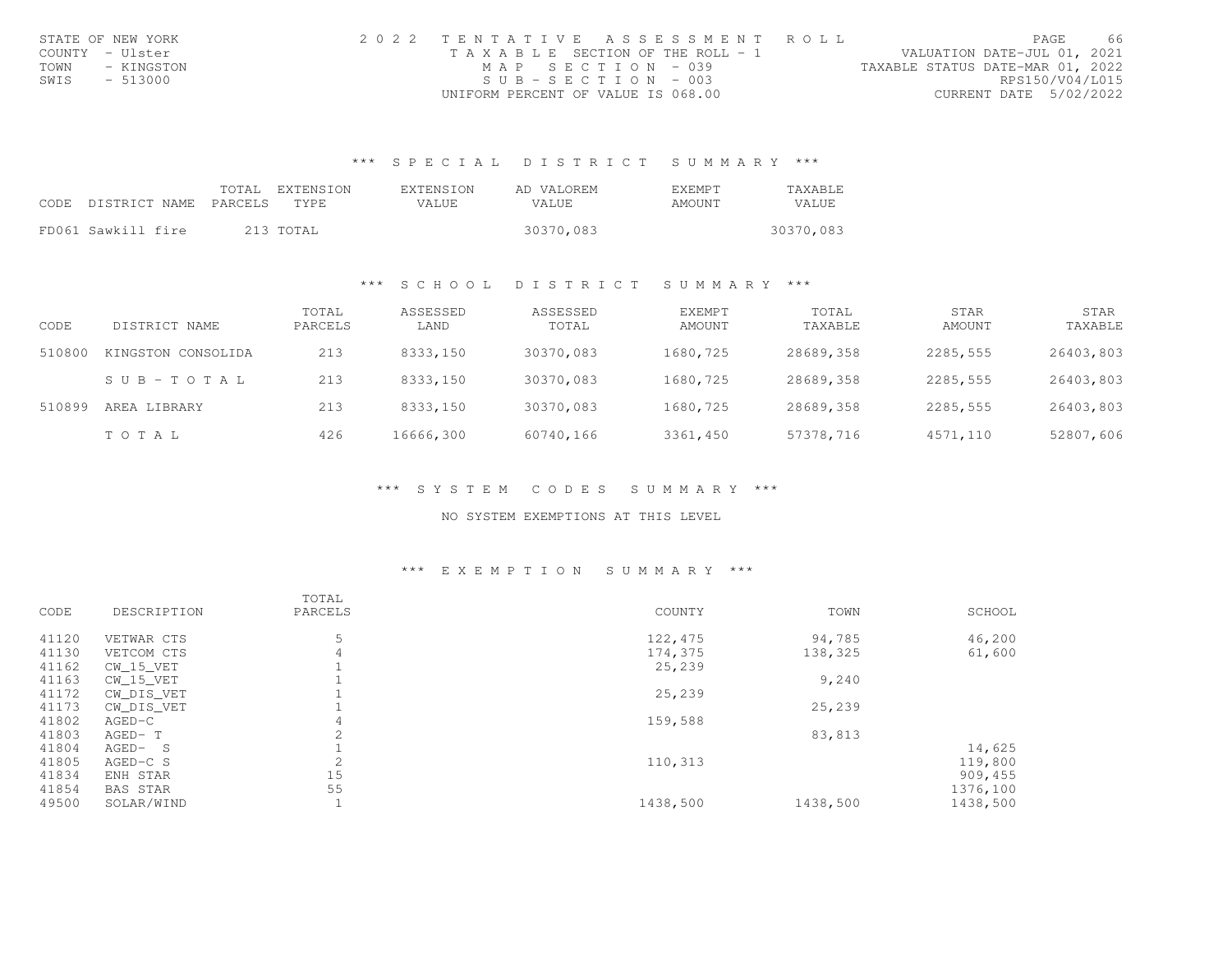| STATE OF NEW YORK  | 2022 TENTATIVE ASSESSMENT ROLL        |                                  | PAGE.                  | 66 |
|--------------------|---------------------------------------|----------------------------------|------------------------|----|
| COUNTY - Ulster    | T A X A B L E SECTION OF THE ROLL - 1 | VALUATION DATE-JUL 01, 2021      |                        |    |
| TOWN<br>- KINGSTON | MAP SECTION - 039                     | TAXABLE STATUS DATE-MAR 01, 2022 |                        |    |
| SWIS<br>- 513000   | $SUB - SECTTON - 003$                 |                                  | RPS150/V04/L015        |    |
|                    | UNIFORM PERCENT OF VALUE IS 068.00    |                                  | CURRENT DATE 5/02/2022 |    |

#### \*\*\* S P E C I A L D I S T R I C T S U M M A R Y \*\*\*

|                                 |  | TOTAL EXTENSION | EXTENSION | AD VALOREM | <b>F.XF.MPT</b> | TAXABLE      |
|---------------------------------|--|-----------------|-----------|------------|-----------------|--------------|
| CODE DISTRICT NAME PARCELS TYPE |  |                 | VALUE.    | VALUE.     | AMOUNT          | <b>VALUE</b> |
|                                 |  |                 |           |            |                 |              |
| FD061 Sawkill fire              |  | 213 TOTAL       |           | 30370,083  |                 | 30370,083    |

#### \*\*\* S C H O O L D I S T R I C T S U M M A R Y \*\*\*

| CODE   | DISTRICT NAME      | TOTAL<br>PARCELS | ASSESSED<br>LAND | ASSESSED<br>TOTAL | <b>EXEMPT</b><br>AMOUNT | TOTAL<br>TAXABLE | STAR<br>AMOUNT | STAR<br>TAXABLE |
|--------|--------------------|------------------|------------------|-------------------|-------------------------|------------------|----------------|-----------------|
| 510800 | KINGSTON CONSOLIDA | 213              | 8333,150         | 30370,083         | 1680,725                | 28689,358        | 2285,555       | 26403,803       |
|        | SUB-TOTAL          | 213              | 8333,150         | 30370,083         | 1680,725                | 28689,358        | 2285,555       | 26403,803       |
| 510899 | AREA LIBRARY       | 213              | 8333,150         | 30370,083         | 1680,725                | 28689,358        | 2285,555       | 26403,803       |
|        | TOTAL              | 426              | 16666,300        | 60740,166         | 3361,450                | 57378,716        | 4571,110       | 52807,606       |

#### \*\*\* S Y S T E M C O D E S S U M M A R Y \*\*\*

#### NO SYSTEM EXEMPTIONS AT THIS LEVEL

#### \*\*\* E X E M P T I O N S U M M A R Y \*\*\*

|       |                 | TOTAL   |          |          |          |
|-------|-----------------|---------|----------|----------|----------|
| CODE  | DESCRIPTION     | PARCELS | COUNTY   | TOWN     | SCHOOL   |
| 41120 | VETWAR CTS      | 5       | 122,475  | 94,785   | 46,200   |
| 41130 | VETCOM CTS      |         | 174,375  | 138,325  | 61,600   |
| 41162 | CW 15 VET       |         | 25,239   |          |          |
| 41163 | $CW_15_VET$     |         |          | 9,240    |          |
| 41172 | CW DIS VET      |         | 25,239   |          |          |
| 41173 | CW DIS VET      |         |          | 25,239   |          |
| 41802 | $AGED-C$        |         | 159,588  |          |          |
| 41803 | AGED-T          |         |          | 83,813   |          |
| 41804 | AGED-S          |         |          |          | 14,625   |
| 41805 | AGED-C S        |         | 110,313  |          | 119,800  |
| 41834 | ENH STAR        | 15      |          |          | 909,455  |
| 41854 | <b>BAS STAR</b> | 55      |          |          | 1376,100 |
| 49500 | SOLAR/WIND      |         | 1438,500 | 1438,500 | 1438,500 |
|       |                 |         |          |          |          |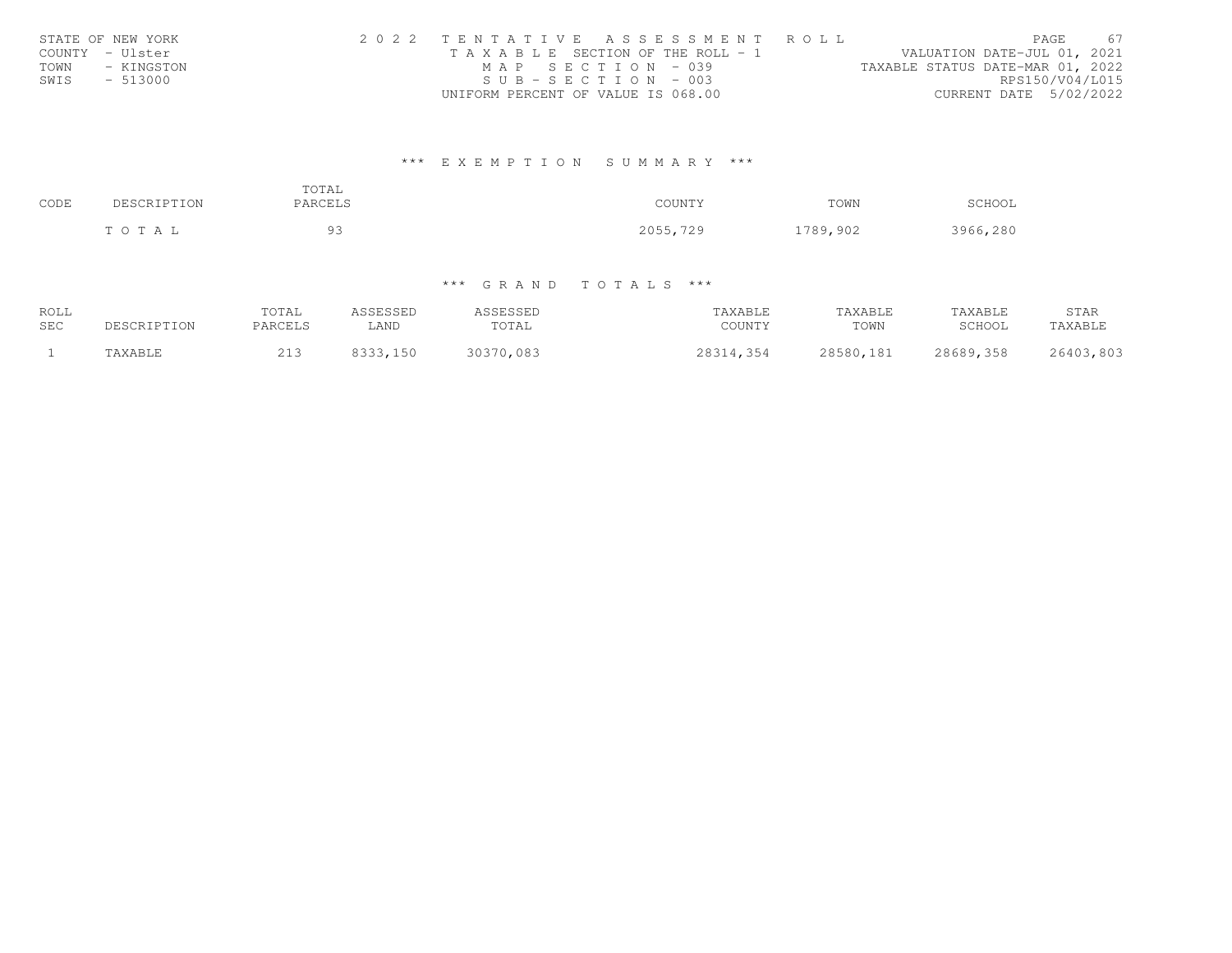|      | STATE OF NEW YORK | 2022 TENTATIVE ASSESSMENT ROLL        | - 67<br>PAGE.                    |
|------|-------------------|---------------------------------------|----------------------------------|
|      | COUNTY - Ulster   | T A X A B L E SECTION OF THE ROLL - 1 | VALUATION DATE-JUL 01, 2021      |
| TOWN | - KINGSTON        | MAP SECTION - 039                     | TAXABLE STATUS DATE-MAR 01, 2022 |
| SWIS | - 513000          | $SUB - SECTION - 003$                 | RPS150/V04/L015                  |
|      |                   | UNIFORM PERCENT OF VALUE IS 068.00    | CURRENT DATE 5/02/2022           |

#### \*\*\* E X E M P T I O N S U M M A R Y \*\*\*

| CODE | DESCRIPTION | TOTAL<br>PARCELS     | COUNTY   | TOWN     | SCHOOL   |
|------|-------------|----------------------|----------|----------|----------|
|      | T O T A T   | $\sim$ $\sim$<br>- - | 2055,729 | 1789,902 | 3966,280 |

#### \*\*\* G R A N D T O T A L S \*\*\*

| ROLL | DESCRIPTION | TOTAL   | ASSESSED | ASSESSED  | TAXABLE   | TAXABLE   | TAXABLE   | STAR      |
|------|-------------|---------|----------|-----------|-----------|-----------|-----------|-----------|
| SEC  |             | PARCELS | LAND     | TOTAL     | COUNTY    | TOWN      | SCHOOL    | TAXABLE   |
|      | TAXABLE     |         | 8333,150 | 30370,083 | 28314,354 | 28580,181 | 28689,358 | 26403,803 |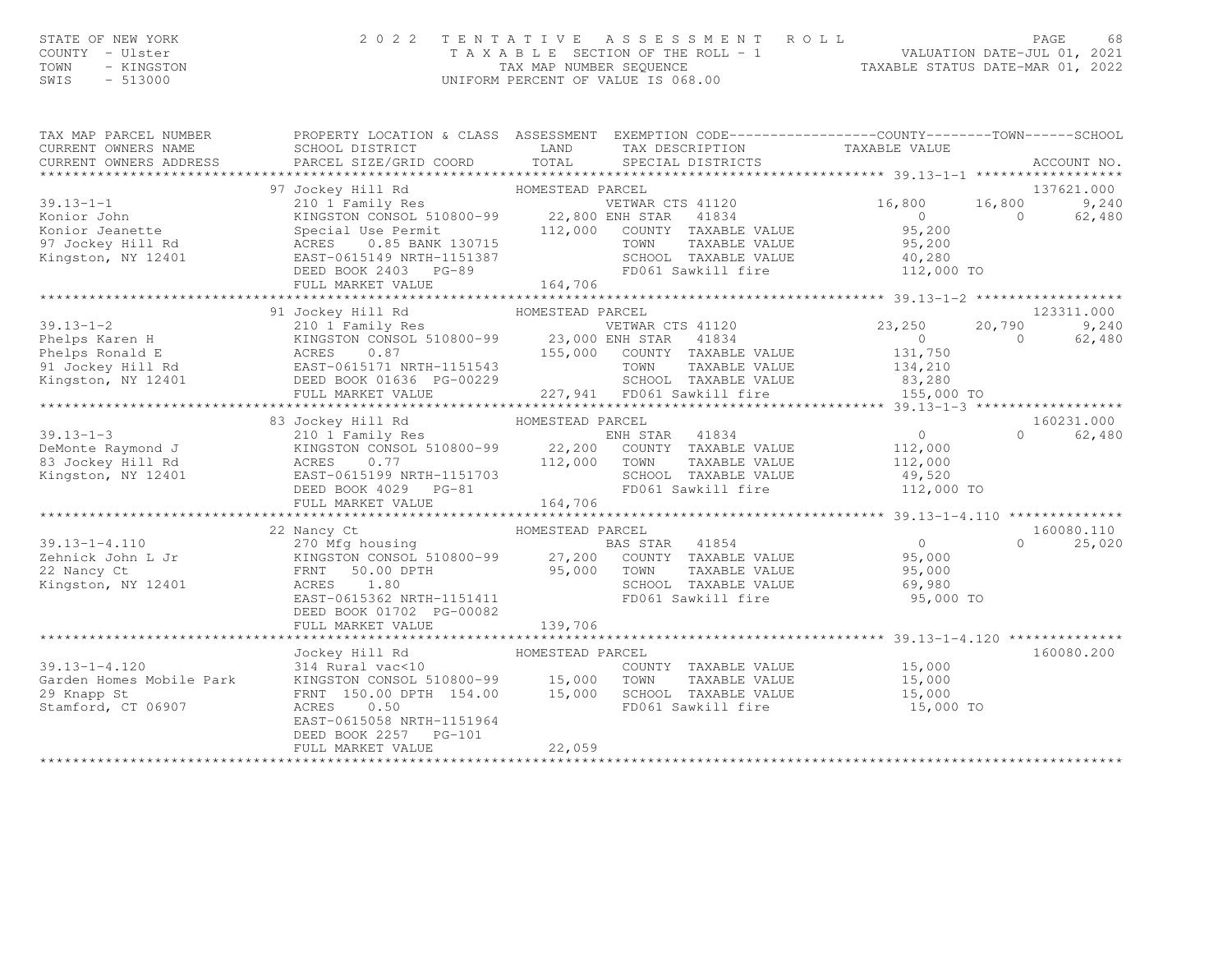# STATE OF NEW YORK (ABLE 2022 TENTATIVE ASSESSMENT ROLL PALUATION DATE–JUL 01, 2021<br>COUNTY - Ulster (ABLE TAXABLE SECTION OF THE ROLL - 1 WALUATION DATE–JUL 01, 2021<br>TAXABLE STATUS DATE–MAR 01, 2022<br>SWIS - 513000

| TAX MAP PARCEL NUMBER<br>CURRENT OWNERS NAME<br>CURRENT OWNERS ADDRESS                                                                                                                        | SCHOOL DISTRICT                                                                                                                                                                                      | PROPERTY LOCATION & CLASS ASSESSMENT EXEMPTION CODE----------------COUNTY-------TOWN------SCHOOL<br>LAND<br>TAX DESCRIPTION                                                                                                                                                                                          | TAXABLE VALUE                                                                                                            |  |  |
|-----------------------------------------------------------------------------------------------------------------------------------------------------------------------------------------------|------------------------------------------------------------------------------------------------------------------------------------------------------------------------------------------------------|----------------------------------------------------------------------------------------------------------------------------------------------------------------------------------------------------------------------------------------------------------------------------------------------------------------------|--------------------------------------------------------------------------------------------------------------------------|--|--|
| $39.13 - 1 - 1$<br>Konior John<br>Konior Jeanette<br>97 Jockey Hill Rd<br>Kingston, NY 12401                                                                                                  | 97 Jockey Hill Rd<br>210 1 Family Res<br>DEED BOOK 2403 PG-89<br>FULL MARKET VALUE                                                                                                                   | HOMESTEAD PARCEL<br>VETWAR<br>VETWAR CTS 41120<br>XINGSTON CONSOL 510800-99<br>XINGSTON CONSOL 510800-99<br>22,800 ENH STAR 41834<br>Special Use Permit<br>ACRES 0.85 BANK 130715<br>EAST-0615149 NRTH-1151387<br>CHOOL TAXABLE VALUE<br>CONN TAXABLE VALUE<br>SCHOOL TAXABLE VALUE<br>FD061 Sawkill fire<br>164,706 | 137621.000<br>16,800<br>9,240<br>16,800<br>$\bigcirc$<br>$\bigcap$<br>62,480<br>95,200<br>95,200<br>40,280<br>112,000 TO |  |  |
| EN EXERCISE THE TRINGSTON CONSOL 510800-99<br>Phelps Ronald E EXERCISE RONALD RONALD ACRES 1.87<br>P1 Jockey Hill Rd EAST-0615171 NRTH-1151543<br>Kingston, NY 12401 DEED BOOK 01636 PC 00001 | 91 Jockey Hill Rd<br>210 1 Family Res                                                                                                                                                                | HOMESTEAD PARCEL<br>VETWAR CTS 41120<br>KINGSTON CONSOL 510800-99 23,000 ENH STAR 41834<br>155,000 COUNTY TAXABLE VALUE<br>TOWN TAXABLE VALUE<br>SCHOOL TAXABLE VALUE                                                                                                                                                | 123311.000<br>23,250<br>9,240<br>20,790<br>$\overline{0}$<br>$\Omega$<br>62,480<br>131,750<br>134,210                    |  |  |
|                                                                                                                                                                                               | 83 Jockey Hill Rd                                                                                                                                                                                    | 227,941 FD061 Sawkill fire<br>HOMESTEAD PARCEL                                                                                                                                                                                                                                                                       | LUE 83,280<br>155,000 TO<br>160231.000                                                                                   |  |  |
| $39.13 - 1 - 3$<br>DeMonte Raymond J<br>83 Jockey Hill Rd<br>Kingston, NY 12401                                                                                                               | Jockey Hill Rd                   HOMESTEA<br>210  1  Family  Res<br>FULL MARKET VALUE                                                                                                                | ENH STAR 41834<br>XINGSTON CONSOL 510800-99<br>ACRES 0.77 112,000 TOWN TAXABLE VALUE<br>EAST-0615199 NRTH-1151703 112,000 TOWN TAXABLE VALUE<br>DEED BOOK 4029 PG-81 FD061 Sawkill fire<br>FD061 Sawkill fire 112,000 TO<br>164,706                                                                                  | $\overline{0}$<br>$\Omega$<br>62,480<br>112,000<br>112,000<br>49,520                                                     |  |  |
|                                                                                                                                                                                               |                                                                                                                                                                                                      |                                                                                                                                                                                                                                                                                                                      |                                                                                                                          |  |  |
| $39.13 - 1 - 4.110$<br>Zehnick John L Jr<br>22 Nancy Ct<br>Kingston, NY 12401                                                                                                                 | 22 Nancy Ct<br>DEED BOOK 01702 PG-00082<br>FULL MARKET VALUE                                                                                                                                         | HOMESTEAD PARCEL<br>MARGEL HOMESTEAD PARCEL<br>270 Mfg housing<br>EINGSTON CONSOL 510800-99<br>FRNT 50.00 DPTH 95,000 TOWN TAXABLE VALUE<br>FRNT 50.00 DPTH 95,000 TOWN TAXABLE VALUE<br>EAST-0615362_NRTH-1151411 FD061 Sawkill fire<br>139,706                                                                     | 160080.110<br>$\overline{0}$<br>$\Omega$<br>25,020<br>95,000<br>95,000<br>69,980<br>95,000 TO                            |  |  |
|                                                                                                                                                                                               |                                                                                                                                                                                                      |                                                                                                                                                                                                                                                                                                                      |                                                                                                                          |  |  |
| $39.13 - 1 - 4.120$<br>Garden Homes Mobile Park<br>29 Knapp St<br>Stamford, CT 06907                                                                                                          | Jockey Hill Rd<br>314 Rural vac<10<br>EINGSTON CONSOL 510800-99 15,000<br>FRNT 150.00 DPTH 154.00 15,000<br>0.50<br>ACRES<br>EAST-0615058 NRTH-1151964<br>DEED BOOK 2257 PG-101<br>FULL MARKET VALUE | HOMESTEAD PARCEL<br>COUI<br>COUNTY TAXABLE VALUE<br>TOWN<br>TAXABLE VALUE<br>SCHOOL TAXABLE VALUE<br>FD061 Sawkill fire<br>22,059                                                                                                                                                                                    | 160080.200<br>15,000<br>15,000<br>15,000<br>15,000 TO                                                                    |  |  |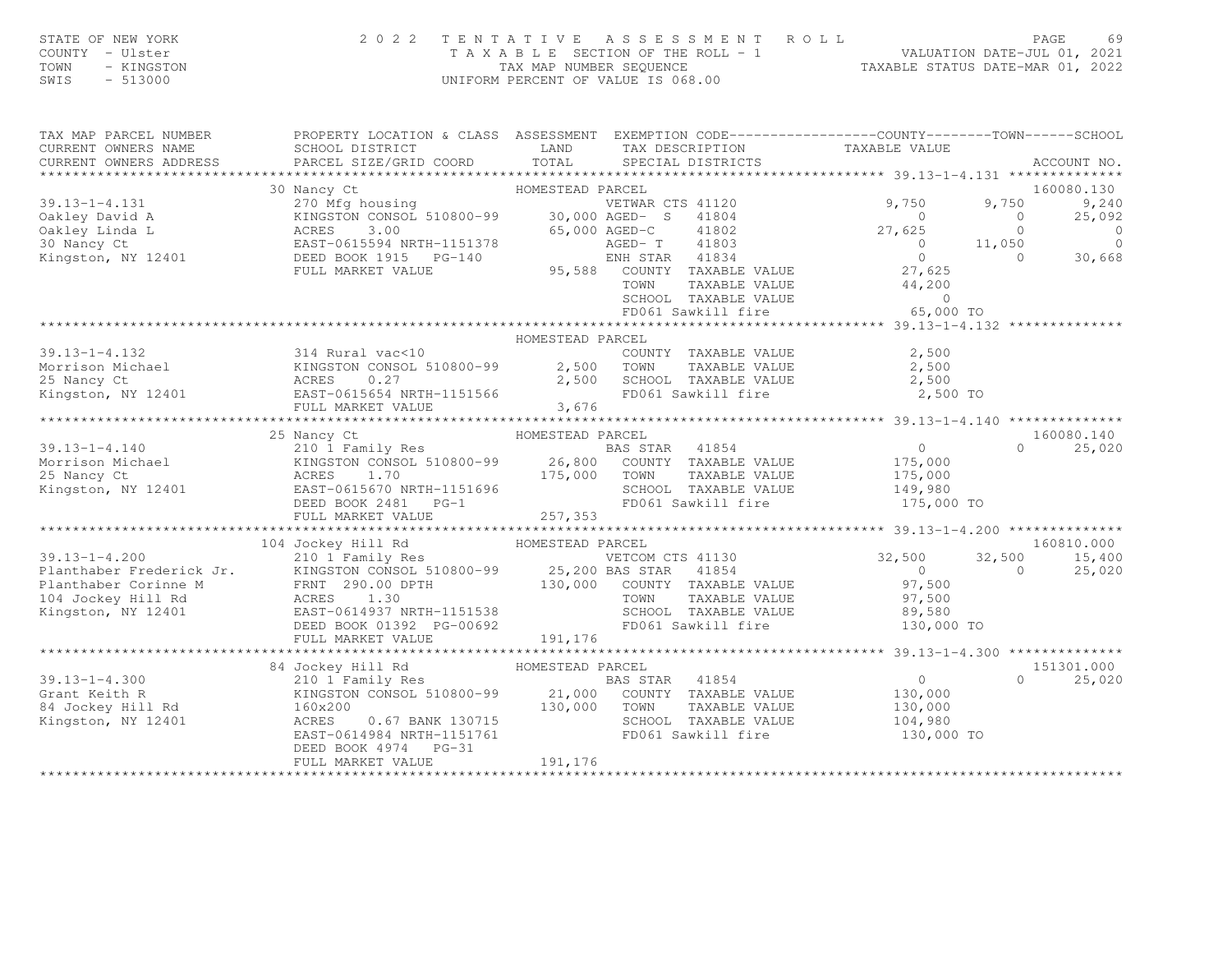# STATE OF NEW YORK (FAGE 69)<br>COUNTY - Ulster (FAGE 1992) TAXABLE SECTION OF THE ROLL - 1 (FALUATION DATE-JUL 01, 2021<br>TAXABLE SECTION OF THE ROLL - 1 (TAXABLE STATUS DATE-JUL 01, 2022<br>SWIS - 513000 (INTFORM PERCENT OF VALUE

| TAX MAP PARCEL NUMBER                                                     |                                                                                                                                                                                      | PROPERTY LOCATION & CLASS ASSESSMENT EXEMPTION CODE----------------COUNTY-------TOWN------SCHOOL                                                                                                                                                                                   |                                                                                                                                                                                                                                                                                                             |
|---------------------------------------------------------------------------|--------------------------------------------------------------------------------------------------------------------------------------------------------------------------------------|------------------------------------------------------------------------------------------------------------------------------------------------------------------------------------------------------------------------------------------------------------------------------------|-------------------------------------------------------------------------------------------------------------------------------------------------------------------------------------------------------------------------------------------------------------------------------------------------------------|
|                                                                           |                                                                                                                                                                                      |                                                                                                                                                                                                                                                                                    |                                                                                                                                                                                                                                                                                                             |
|                                                                           | 30 Nancy Ct                                                                                                                                                                          | TAXABLE VALUE 44,200<br>SCHOOL TAXABLE VALUE<br>FD061 Sawkill fire                                                                                                                                                                                                                 | 160080.130<br>9,750<br>9,240<br>9,750<br>$\overline{0}$<br>25,092<br>$\circ$<br>27,625<br>$\circ$<br>$\overline{0}$<br>$\overline{0}$<br>11,050<br>$\begin{smallmatrix} \texttt{050} \ \texttt{0} \end{smallmatrix}$<br>$\begin{array}{c} 0 \\ 27,625 \end{array}$<br>30,668<br>$\overline{0}$<br>65,000 TO |
|                                                                           |                                                                                                                                                                                      |                                                                                                                                                                                                                                                                                    |                                                                                                                                                                                                                                                                                                             |
|                                                                           | 39.13-1-4.132<br>Morrison Michael<br>25 Nancy Ct 2,500<br>2,500 TOWN 25 Nancy Ct 2,500 EAST-0615654 NRTH-1151566 2,600 ED061<br>2,500 SCHOC<br>EAST-0615654 NRTH-1151566 3,676 FU061 | HOMESTEAD PARCEL<br>COUNTY TAXABLE VALUE<br>2,500 TOWN TAXABLE VALUE<br>2,500 SCHOOL TAXABLE VALUE<br>FD061 Sawkill fire<br>3.676 2,500 TO                                                                                                                                         |                                                                                                                                                                                                                                                                                                             |
|                                                                           |                                                                                                                                                                                      |                                                                                                                                                                                                                                                                                    |                                                                                                                                                                                                                                                                                                             |
|                                                                           |                                                                                                                                                                                      | 160080.140<br>25 Nancy Ct<br>25 Nancy Ct<br>25 Nancy Ct<br>26 Norrison Michael<br>25 Nancy Ct<br>26 Norrison Michael<br>25 Nancy Ct<br>26 Norrison Michael<br>26,020 Nancy Ct<br>26,800 COUNTY TAXABLE VALUE<br>26,800 COUNTY TAXABLE VALUE<br>26,800                              |                                                                                                                                                                                                                                                                                                             |
|                                                                           |                                                                                                                                                                                      |                                                                                                                                                                                                                                                                                    |                                                                                                                                                                                                                                                                                                             |
|                                                                           |                                                                                                                                                                                      | 104 JOCKEY MANUSTRAD PACEL (104 JOCK MANUSTRAD PACEL 104 JOCK MANUSTRAD PACEL 160810.000<br>210 1 Family Res<br>Planthaber Crime M FRNT 290.00 PH<br>210 1 Family Res<br>Planthaber Crime M FRNT 290.00 PH<br>25, 200 BAS STAR 41854 (12                                           |                                                                                                                                                                                                                                                                                                             |
|                                                                           | 84 Jockey Hill Rd                                                                                                                                                                    |                                                                                                                                                                                                                                                                                    | 151301.000                                                                                                                                                                                                                                                                                                  |
| sy.13-1-4.300<br>Grant Keith R<br>84 Jockey Hill Rd<br>Kingston, NY 12401 | DEED BOOK 4974 PG-31<br>FULL MARKET VALUE                                                                                                                                            | Jockey Hill Rd<br>210 1 Family Res<br>ERS ENGSTON CONSOL 510800-99<br>21,000 COUNTY TAXABLE VALUE<br>160x200 130,000 TOWN TAXABLE VALUE<br>ACRES 0.67 BANK 130715<br>EAST-0614984 NRTH-1151761 FD061 Sawkill fire<br>FD061 Sawkill fire<br>SCHOOL TAXABLE VALUE 104,980<br>191,176 | $\overline{0}$<br>$\Omega$<br>25,020<br>130,000<br>130,000<br>130,000 TO                                                                                                                                                                                                                                    |
|                                                                           |                                                                                                                                                                                      |                                                                                                                                                                                                                                                                                    |                                                                                                                                                                                                                                                                                                             |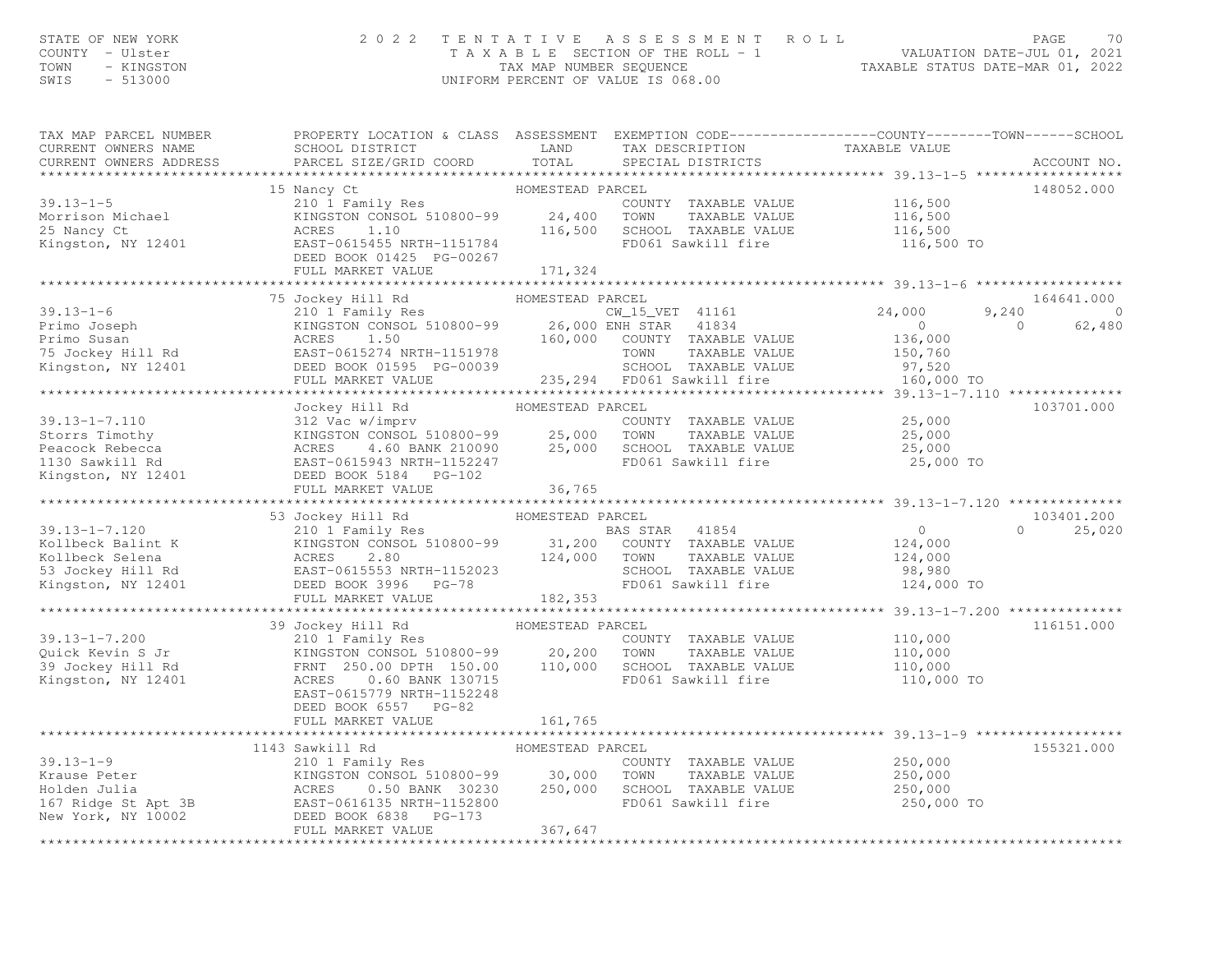# STATE OF NEW YORK CONTY - USE A Many of the Many Country - USE COUNTY - USE TO MALL PAGE 2022 TENTATIVE ASSESSMENT ROLL PALL PACK TO PAGE 70<br>TAXABLE SECTION OF THE ROLL - 1 WALUATION DATE-JUL 01, 2021<br>TAXABLE STATUS DATE-M

| TAX MAP PARCEL NUMBER<br>CURRENT OWNERS NAME<br>CURRENT OWNERS ADDRESS                                                                                                                                                                                                                                                        | PROPERTY LOCATION & CLASS ASSESSMENT EXEMPTION CODE----------------COUNTY-------TOWN------SCHOOL<br>SCHOOL DISTRICT LAND<br>PARCEL SIZE/GRID COORD TOTAL |                  | TAX DESCRIPTION TAXABLE VALUE<br>SPECIAL DISTRICTS |            | ACCOUNT NO.        |
|-------------------------------------------------------------------------------------------------------------------------------------------------------------------------------------------------------------------------------------------------------------------------------------------------------------------------------|----------------------------------------------------------------------------------------------------------------------------------------------------------|------------------|----------------------------------------------------|------------|--------------------|
|                                                                                                                                                                                                                                                                                                                               |                                                                                                                                                          |                  |                                                    |            |                    |
|                                                                                                                                                                                                                                                                                                                               |                                                                                                                                                          |                  |                                                    |            | 148052.000         |
|                                                                                                                                                                                                                                                                                                                               |                                                                                                                                                          |                  |                                                    |            |                    |
|                                                                                                                                                                                                                                                                                                                               |                                                                                                                                                          |                  |                                                    |            |                    |
| $\begin{tabular}{lllllllllllllll} \textbf{39.13--1-6} & \textbf{164641.000} & \textbf{164641.000} & \textbf{164641.000} & \textbf{164641.000} & \textbf{164641.000} & \textbf{164641.000} & \textbf{164641.000} & \textbf{164641.000} & \textbf{164641.000} & \textbf{164641.000} & \textbf{164641.000} & \textbf{164641.000$ | 75 Jockey Hill Rd                                                                                                                                        | HOMESTEAD PARCEL |                                                    |            | 164641.000         |
|                                                                                                                                                                                                                                                                                                                               |                                                                                                                                                          |                  |                                                    |            |                    |
|                                                                                                                                                                                                                                                                                                                               |                                                                                                                                                          |                  |                                                    |            |                    |
|                                                                                                                                                                                                                                                                                                                               |                                                                                                                                                          |                  |                                                    |            |                    |
|                                                                                                                                                                                                                                                                                                                               |                                                                                                                                                          |                  |                                                    |            | 103701.000         |
|                                                                                                                                                                                                                                                                                                                               |                                                                                                                                                          |                  |                                                    |            |                    |
|                                                                                                                                                                                                                                                                                                                               |                                                                                                                                                          |                  |                                                    |            |                    |
|                                                                                                                                                                                                                                                                                                                               |                                                                                                                                                          |                  |                                                    |            |                    |
|                                                                                                                                                                                                                                                                                                                               |                                                                                                                                                          |                  |                                                    |            | 103401.200         |
| 39.13-1-7.120<br>39.13-1-7.120<br>210 1 Family Res<br>2.10 1 Family Res<br>2.80<br>2.80<br>2.80<br>2.80<br>2.80<br>2.80<br>2.80<br>2.80<br>2.80<br>2.80<br>2.80<br>2.80<br>2.80<br>2.80<br>2.80<br>2.80<br>2.80<br>2.80<br>2.80<br>2.80<br>2.80<br>2.80<br>2.80<br>2.80<br>2.80<br>2.80<br>                                   |                                                                                                                                                          |                  |                                                    | 124,000 TO | $\Omega$<br>25,020 |
|                                                                                                                                                                                                                                                                                                                               |                                                                                                                                                          |                  |                                                    |            |                    |
|                                                                                                                                                                                                                                                                                                                               |                                                                                                                                                          |                  |                                                    |            |                    |
|                                                                                                                                                                                                                                                                                                                               | EAST-0615779 NRTH-1152248<br>DEED BOOK 6557 PG-82                                                                                                        |                  |                                                    | 110,000 TO | 116151.000         |
|                                                                                                                                                                                                                                                                                                                               | FULL MARKET VALUE                                                                                                                                        | 161,765          |                                                    |            |                    |
|                                                                                                                                                                                                                                                                                                                               |                                                                                                                                                          |                  |                                                    |            |                    |
|                                                                                                                                                                                                                                                                                                                               |                                                                                                                                                          |                  |                                                    |            | 155321.000         |
|                                                                                                                                                                                                                                                                                                                               |                                                                                                                                                          |                  |                                                    |            |                    |
|                                                                                                                                                                                                                                                                                                                               |                                                                                                                                                          |                  |                                                    |            |                    |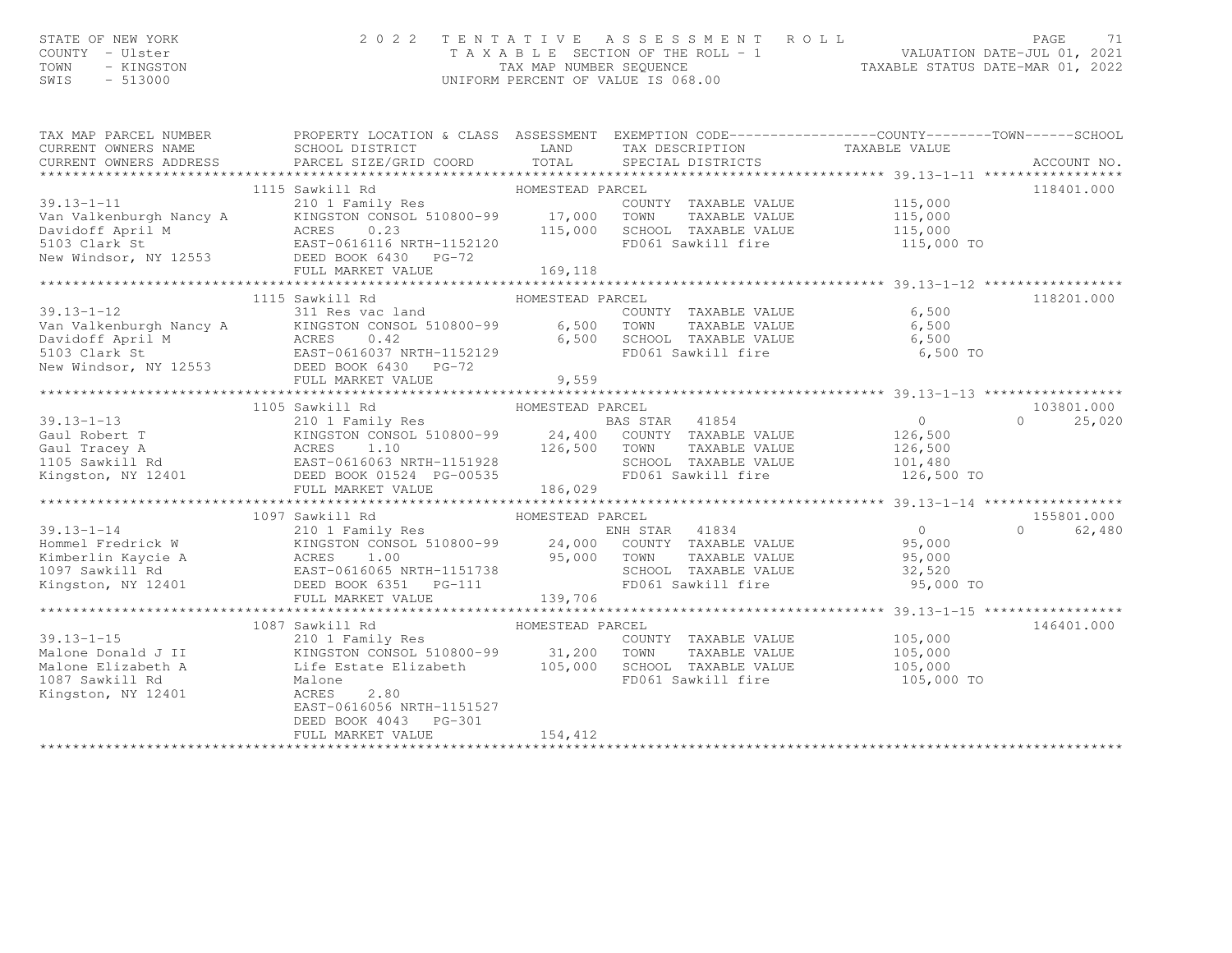# STATE OF NEW YORK PAGE 71<br>COUNTY - Ulster (2008) TAXABLE SECTION OF THE ROLL - 1 (NALUATION DATE-JUL 01, 2021<br>TAXABLE SECTION OF THE ROLL - 1 (NALUATION DATE-JUL 01, 2021<br>SWIS - 513000 (INTFORM PERCENT OF VALUE TS 068.00)

| TAX MAP PARCEL NUMBER | PROPERTY LOCATION & CLASS ASSESSMENT EXEMPTION CODE----------------COUNTY-------TOWN------SCHOOL                                                                                                                                                                                                                                                                                                                                                                           |       |                               |                 |
|-----------------------|----------------------------------------------------------------------------------------------------------------------------------------------------------------------------------------------------------------------------------------------------------------------------------------------------------------------------------------------------------------------------------------------------------------------------------------------------------------------------|-------|-------------------------------|-----------------|
|                       |                                                                                                                                                                                                                                                                                                                                                                                                                                                                            |       |                               |                 |
|                       |                                                                                                                                                                                                                                                                                                                                                                                                                                                                            |       |                               |                 |
|                       |                                                                                                                                                                                                                                                                                                                                                                                                                                                                            |       |                               |                 |
|                       |                                                                                                                                                                                                                                                                                                                                                                                                                                                                            |       |                               | 118401.000      |
|                       |                                                                                                                                                                                                                                                                                                                                                                                                                                                                            |       |                               |                 |
|                       |                                                                                                                                                                                                                                                                                                                                                                                                                                                                            |       |                               |                 |
|                       |                                                                                                                                                                                                                                                                                                                                                                                                                                                                            |       |                               |                 |
|                       |                                                                                                                                                                                                                                                                                                                                                                                                                                                                            |       |                               |                 |
|                       |                                                                                                                                                                                                                                                                                                                                                                                                                                                                            |       |                               |                 |
|                       |                                                                                                                                                                                                                                                                                                                                                                                                                                                                            |       |                               |                 |
|                       |                                                                                                                                                                                                                                                                                                                                                                                                                                                                            |       |                               |                 |
|                       |                                                                                                                                                                                                                                                                                                                                                                                                                                                                            |       |                               | 118201.000      |
|                       |                                                                                                                                                                                                                                                                                                                                                                                                                                                                            |       |                               |                 |
|                       |                                                                                                                                                                                                                                                                                                                                                                                                                                                                            |       |                               |                 |
|                       |                                                                                                                                                                                                                                                                                                                                                                                                                                                                            |       |                               |                 |
|                       |                                                                                                                                                                                                                                                                                                                                                                                                                                                                            |       |                               |                 |
|                       |                                                                                                                                                                                                                                                                                                                                                                                                                                                                            |       |                               |                 |
|                       | FULL MARKET VALUE                                                                                                                                                                                                                                                                                                                                                                                                                                                          | 9,559 |                               |                 |
|                       |                                                                                                                                                                                                                                                                                                                                                                                                                                                                            |       |                               |                 |
|                       |                                                                                                                                                                                                                                                                                                                                                                                                                                                                            |       |                               |                 |
|                       |                                                                                                                                                                                                                                                                                                                                                                                                                                                                            |       |                               |                 |
|                       |                                                                                                                                                                                                                                                                                                                                                                                                                                                                            |       |                               |                 |
|                       |                                                                                                                                                                                                                                                                                                                                                                                                                                                                            |       |                               |                 |
|                       |                                                                                                                                                                                                                                                                                                                                                                                                                                                                            |       |                               |                 |
|                       |                                                                                                                                                                                                                                                                                                                                                                                                                                                                            |       |                               |                 |
|                       |                                                                                                                                                                                                                                                                                                                                                                                                                                                                            |       |                               |                 |
|                       | 1105 Sawkill Rd<br>2101 Family Res<br>Gaul Robert T<br>2101 Family Res<br>Gaul Robert T<br>2101 Family Res<br>24,400 COUNTY TAXABLE VALUE<br>24,400 COUNTY TAXABLE VALUE<br>24,400 COUNTY TAXABLE VALUE<br>26,500 0 25,020<br>25,020<br>26,500 0 25,                                                                                                                                                                                                                       |       |                               |                 |
|                       | $\begin{tabular}{lllllllllllll} \multicolumn{3}{l}{} & 1097\text{ Sawkill Rd} & \multicolumn{3}{l}{} & \multicolumn{3}{l}{} & 1097\text{ Sawkill Rd} & \multicolumn{3}{l}{} & \multicolumn{3}{l}{} & \multicolumn{3}{l}{} & 1097\text{ Sawkill Rd} & \multicolumn{3}{l}{} & \multicolumn{3}{l}{} & \multicolumn{3}{l}{} & \multicolumn{3}{l}{} & \multicolumn{3}{l}{} & \multicolumn{3}{l}{} & \multicolumn{3}{l}{} & \multicolumn{3}{l}{} & \multicolumn{3}{l}{} & \mult$ |       |                               | 155801.000      |
|                       |                                                                                                                                                                                                                                                                                                                                                                                                                                                                            |       |                               | $0 \t\t 62,480$ |
|                       |                                                                                                                                                                                                                                                                                                                                                                                                                                                                            |       |                               |                 |
|                       |                                                                                                                                                                                                                                                                                                                                                                                                                                                                            |       |                               |                 |
|                       |                                                                                                                                                                                                                                                                                                                                                                                                                                                                            |       |                               |                 |
|                       |                                                                                                                                                                                                                                                                                                                                                                                                                                                                            |       |                               |                 |
|                       |                                                                                                                                                                                                                                                                                                                                                                                                                                                                            |       |                               |                 |
|                       |                                                                                                                                                                                                                                                                                                                                                                                                                                                                            |       |                               |                 |
|                       | 1087 Sawkill Rd                                                                                                                                                                                                                                                                                                                                                                                                                                                            |       |                               | 146401.000      |
|                       |                                                                                                                                                                                                                                                                                                                                                                                                                                                                            |       |                               |                 |
|                       |                                                                                                                                                                                                                                                                                                                                                                                                                                                                            |       |                               |                 |
|                       |                                                                                                                                                                                                                                                                                                                                                                                                                                                                            |       |                               |                 |
|                       |                                                                                                                                                                                                                                                                                                                                                                                                                                                                            |       | FD061 Sawkill fire 105,000 TO |                 |
|                       | 39.13-1-15<br>Malone Donald J II (107631EAD FANCE)<br>Malone Donald J II (107631EAD FANCE)<br>Malone Elizabeth A Life Estate Elizabeth 105,000<br>Malone Elizabeth A Life Estate Elizabeth 105,000 SCHOOL TAXABLE VALUE 105,000<br>Malon                                                                                                                                                                                                                                   |       |                               |                 |
|                       | EAST-0616056 NRTH-1151527                                                                                                                                                                                                                                                                                                                                                                                                                                                  |       |                               |                 |
|                       | DEED BOOK 4043 PG-301                                                                                                                                                                                                                                                                                                                                                                                                                                                      |       |                               |                 |
|                       |                                                                                                                                                                                                                                                                                                                                                                                                                                                                            |       |                               |                 |
|                       |                                                                                                                                                                                                                                                                                                                                                                                                                                                                            |       |                               |                 |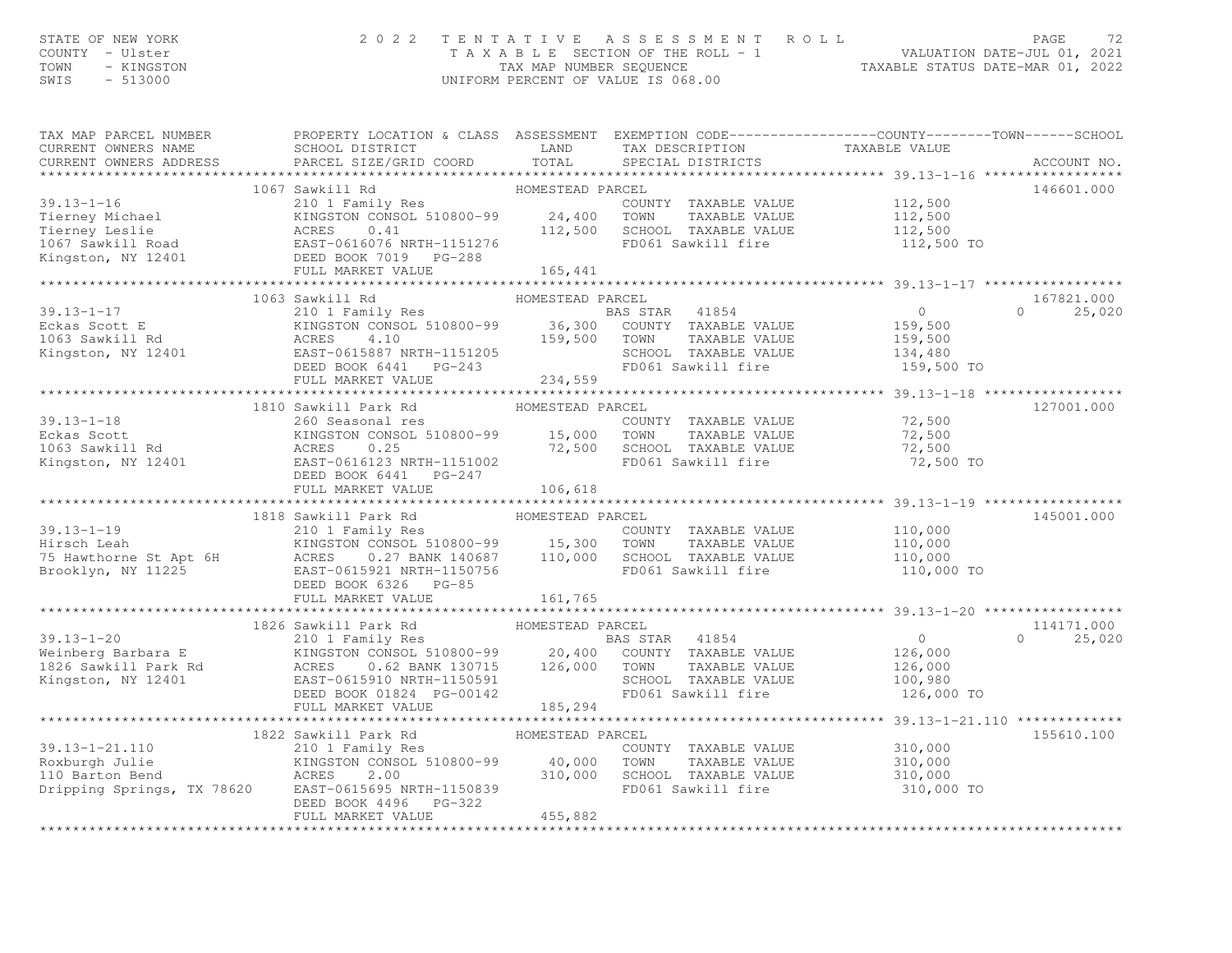# STATE OF NEW YORK PAGE 72<br>COUNTY - Ulster (2007) TAXABLE SECTION OF THE ROLL - 1 (2021) VALUATION DATE-JUL 01, 2021<br>TAXABLE SECTION OF THE ROLL - 1 (2022) TAXABLE SEQUENCE (2022)<br>SWIS - 513000 (INTFORM PERCENT OF VALUE TS

| TAX MAP PARCEL NUMBER<br>CURRENT OWNERS NAME<br>CURRENT OWNERS ADDRESS                                                                                                                                                                         | PROPERTY LOCATION & CLASS ASSESSMENT EXEMPTION CODE----------------COUNTY-------TOWN------SCHOOL<br>SCHOOL DISTRICT<br>PARCEL SIZE/GRID COORD                                                   | LAND<br>TOTAL                          | TAX DESCRIPTION<br>SPECIAL DISTRICTS                                                        | TAXABLE VALUE                                                 | ACCOUNT NO.                      |
|------------------------------------------------------------------------------------------------------------------------------------------------------------------------------------------------------------------------------------------------|-------------------------------------------------------------------------------------------------------------------------------------------------------------------------------------------------|----------------------------------------|---------------------------------------------------------------------------------------------|---------------------------------------------------------------|----------------------------------|
|                                                                                                                                                                                                                                                |                                                                                                                                                                                                 |                                        |                                                                                             |                                                               |                                  |
| $39.13 - 1 - 16$<br>Fierney Michael Mingston CONSOL 510800-99<br>Tierney Leslie ACRES 0.41<br>1067 Sawkill Road EAST-0616076 NRTH-1151276<br>Kingston, NY 12401 DEED BOOK 7019 PG-288<br>FULL MARKET VALUE                                     | 1067 Sawkill Rd<br>210 1 Family Res<br>KINGSTON CONSOL 510800-99 24,400                                                                                                                         | HOMESTEAD PARCEL<br>112,500            | COUNTY TAXABLE VALUE<br>TOWN<br>TAXABLE VALUE<br>SCHOOL TAXABLE VALUE<br>FD061 Sawkill fire | 112,500<br>112,500<br>112,500<br>112,500 TO                   | 146601.000                       |
|                                                                                                                                                                                                                                                | FULL MARKET VALUE                                                                                                                                                                               | 165,441                                |                                                                                             |                                                               |                                  |
|                                                                                                                                                                                                                                                |                                                                                                                                                                                                 |                                        |                                                                                             |                                                               |                                  |
|                                                                                                                                                                                                                                                | 1063 Sawkill Rd                                                                                                                                                                                 | HOMESTEAD PARCEL                       |                                                                                             |                                                               | 167821.000                       |
| $39.13 - 1 - 17$                                                                                                                                                                                                                               | EAST-0615887 NRTH-1151205<br>DEED BOOK 6441 PG-243<br>FULL MARKET VALUE                                                                                                                         |                                        | SCHOOL TAXABLE VALUE<br>FD061 Sawkill fire                                                  | $\overline{0}$<br>159,500<br>159,500<br>134,480<br>159,500 TO | $\Omega$<br>25,020               |
|                                                                                                                                                                                                                                                |                                                                                                                                                                                                 | 234,559                                |                                                                                             |                                                               |                                  |
|                                                                                                                                                                                                                                                | 1810 Sawkill Park Rd                                                                                                                                                                            | HOMESTEAD PARCEL                       |                                                                                             |                                                               | 127001.000                       |
| $39.13 - 1 - 18$<br>Eckas Scott<br>1063 Sawkill Rd<br>Kingston, NY 12401<br>EAST-0616123 NRTH-1151002<br>EAST-0616123 NRTH-1151002                                                                                                             | 260 Seasonal res<br>KINGSTON CONSOL 510800-99 15,000 TOWN<br>DEED BOOK 6441 PG-247                                                                                                              |                                        | COUNTY TAXABLE VALUE<br>TAXABLE VALUE<br>72,500 SCHOOL TAXABLE VALUE<br>FD061 Sawkill fire  | 72,500<br>72,500<br>72,500<br>72,500 TO                       |                                  |
|                                                                                                                                                                                                                                                | FULL MARKET VALUE                                                                                                                                                                               | 106,618                                |                                                                                             |                                                               |                                  |
|                                                                                                                                                                                                                                                | 1818 Sawkill Park Rd                                                                                                                                                                            | HOMESTEAD PARCEL                       |                                                                                             |                                                               | 145001.000                       |
| $39.13 - 1 - 19$                                                                                                                                                                                                                               | 210 1 Family Res<br>EINGSTON CONSOL 510800-99 15,300 TOWN TAXABLE VALUE<br>ACRES 0.27 BANK 140687 110,000 SCHOOL TAXABLE VALUE<br>DEED BOOK 6326 PG-85<br>FULL MARKET VALUE                     | 161,765                                | COUNTY TAXABLE VALUE<br>TAXABLE VALUE<br>FD061 Sawkill fire                                 | 110,000<br>110,000<br>110,000<br>110,000 TO                   |                                  |
|                                                                                                                                                                                                                                                |                                                                                                                                                                                                 |                                        |                                                                                             |                                                               |                                  |
|                                                                                                                                                                                                                                                | 1826 Sawkill Park Rd<br>210 1 Family Res<br>EAS STAR 41854<br>ENGSTON CONSOL 510800-99<br>20,400 COUNTY TAXABLE VALUE<br>ACRES 0.62 BANK 130715 126,000 TOWN TAXABLE VALUE<br>FULL MARKET VALUE | 185,294                                | TAXABLE VALUE<br>SCHOOL TAXABLE VALUE<br>FD061 Sawkill fire                                 | $\overline{0}$<br>126,000<br>126,000<br>100,980<br>126,000 TO | 114171.000<br>$\Omega$<br>25,020 |
|                                                                                                                                                                                                                                                |                                                                                                                                                                                                 |                                        |                                                                                             |                                                               |                                  |
| $39.13 - 1 - 21.110$<br>Roxburgh Julie<br>Roxburgh Julie<br>110 Barton Bend<br>110 Barton Bend<br>110 Barton Bend<br>1210 I Family Res<br>2.00<br>2.00<br>2.00<br>2.00<br>2.00<br>2.00<br>2.00<br>2.00<br>2.00<br>2.00<br>2.00<br>2.00<br>2.00 | 1822 Sawkill Park Rd<br>210 1 Family Res<br>KINGSTON CONSOL 510800-99 40,000 TOWN<br>DEED BOOK 4496 PG-322<br>FULL MARKET VALUE                                                                 | HOMESTEAD PARCEL<br>310,000<br>455,882 | COUNTY TAXABLE VALUE<br>TAXABLE VALUE<br>SCHOOL TAXABLE VALUE<br>FD061 Sawkill fire         | 310,000<br>310,000<br>310,000<br>310,000 TO                   | 155610.100                       |
|                                                                                                                                                                                                                                                |                                                                                                                                                                                                 |                                        |                                                                                             |                                                               |                                  |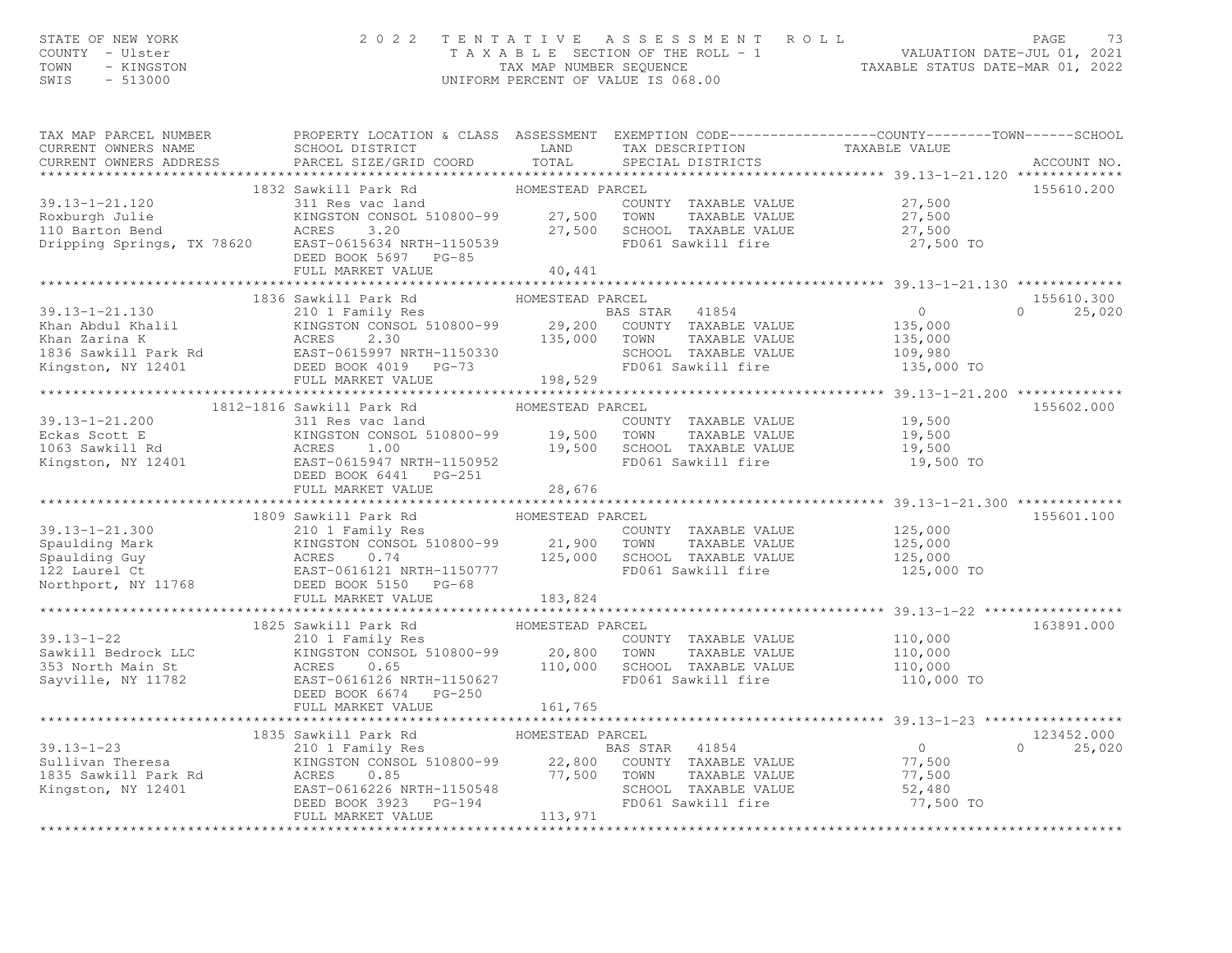| COUNTY - Ulster<br>TOWN<br>- KINGSTON<br>SWIS<br>$-513000$                                                                                                                                                                                                            | T A X A B L E SECTION OF THE ROLL - 1 VALUATION DATE-JUL 01, 2021<br>TAX MAP NUMBER SEQUENCE TAXABLE STATUS DATE-MAR 01, 2022<br>UNIFORM PERCENT OF VALUE IS 068.00 |                  |  |                                        |               |
|-----------------------------------------------------------------------------------------------------------------------------------------------------------------------------------------------------------------------------------------------------------------------|---------------------------------------------------------------------------------------------------------------------------------------------------------------------|------------------|--|----------------------------------------|---------------|
|                                                                                                                                                                                                                                                                       |                                                                                                                                                                     |                  |  |                                        |               |
| TAX MAP PARCEL NUMBER PROPERTY LOCATION & CLASS ASSESSMENT EXEMPTION CODE---------------COUNTY--------TOWN------SCHOOL CURRENT OWNERS NAME SCHOOL DISTRICT LAND TAX DESCRIPTION TAXABLE VALUE CURRENT OWNERS ADDRESS PARCEL SI                                        |                                                                                                                                                                     |                  |  |                                        |               |
|                                                                                                                                                                                                                                                                       |                                                                                                                                                                     |                  |  |                                        |               |
|                                                                                                                                                                                                                                                                       | 1832 Sawkill Park Rd<br>311 Res vac land GOUN HOMESTEAD PARCEL                                                                                                      |                  |  |                                        | 155610.200    |
|                                                                                                                                                                                                                                                                       |                                                                                                                                                                     |                  |  |                                        |               |
|                                                                                                                                                                                                                                                                       |                                                                                                                                                                     |                  |  |                                        |               |
| 39.13-1-21.120<br>Roxburgh Julie 311 Res vac land<br>Roxburgh Julie 311 Res vac land<br>27,500<br>27,500<br>27,500<br>27,500<br>27,500<br>27,500<br>27,500<br>27,500<br>27,500<br>27,500<br>27,500<br>27,500<br>27,500<br>27,500<br>27,500<br>27,500<br>27,500<br>27, |                                                                                                                                                                     |                  |  |                                        |               |
|                                                                                                                                                                                                                                                                       |                                                                                                                                                                     |                  |  |                                        |               |
|                                                                                                                                                                                                                                                                       |                                                                                                                                                                     |                  |  |                                        |               |
|                                                                                                                                                                                                                                                                       |                                                                                                                                                                     |                  |  |                                        |               |
|                                                                                                                                                                                                                                                                       | 1836 Sawkill Park Rd                                                                                                                                                | HOMESTEAD PARCEL |  |                                        | 155610.300    |
|                                                                                                                                                                                                                                                                       |                                                                                                                                                                     |                  |  |                                        | $0 \t 25,020$ |
|                                                                                                                                                                                                                                                                       |                                                                                                                                                                     |                  |  |                                        |               |
|                                                                                                                                                                                                                                                                       |                                                                                                                                                                     |                  |  |                                        |               |
|                                                                                                                                                                                                                                                                       |                                                                                                                                                                     |                  |  |                                        |               |
|                                                                                                                                                                                                                                                                       |                                                                                                                                                                     |                  |  |                                        |               |
|                                                                                                                                                                                                                                                                       |                                                                                                                                                                     |                  |  |                                        |               |
|                                                                                                                                                                                                                                                                       |                                                                                                                                                                     |                  |  |                                        |               |
|                                                                                                                                                                                                                                                                       | 1812-1816 Sawkill Park Rd                                                                                                                                           | HOMESTEAD PARCEL |  |                                        | 155602.000    |
|                                                                                                                                                                                                                                                                       |                                                                                                                                                                     |                  |  |                                        |               |
|                                                                                                                                                                                                                                                                       |                                                                                                                                                                     |                  |  |                                        |               |
|                                                                                                                                                                                                                                                                       |                                                                                                                                                                     |                  |  |                                        |               |
| 39.13-1-21.200 1012 1010 3000011 1016 1016<br>Eckas Scott E 311 Res vac land<br>IONITY TAXABLE VALUE 19,500<br>Eckas Scott E 19,500<br>IO63 Sawkill Rd EAST-0615947 NRTH-1150952 19,500 SCHOOL TAXABLE VALUE 19,500<br>EED BOOK 6441 PG-                              |                                                                                                                                                                     |                  |  |                                        |               |
|                                                                                                                                                                                                                                                                       |                                                                                                                                                                     |                  |  |                                        |               |
|                                                                                                                                                                                                                                                                       |                                                                                                                                                                     |                  |  |                                        |               |
|                                                                                                                                                                                                                                                                       |                                                                                                                                                                     |                  |  |                                        | 155601.100    |
|                                                                                                                                                                                                                                                                       |                                                                                                                                                                     |                  |  |                                        |               |
|                                                                                                                                                                                                                                                                       |                                                                                                                                                                     |                  |  |                                        |               |
|                                                                                                                                                                                                                                                                       |                                                                                                                                                                     |                  |  |                                        |               |
|                                                                                                                                                                                                                                                                       |                                                                                                                                                                     |                  |  |                                        |               |
|                                                                                                                                                                                                                                                                       |                                                                                                                                                                     | 183, 824         |  |                                        |               |
|                                                                                                                                                                                                                                                                       |                                                                                                                                                                     |                  |  |                                        |               |
| 1825 Sawkill Park Rd<br>1825 Sawkill Park Rd<br>210 1 Family Res<br>39.13-1-22<br>210 1 Family Res<br>20,800 TOWN TAXABLE VALUE<br>20,800 TOWN TAXABLE VALUE<br>20,800 TOWN TAXABLE VALUE<br>20,800 TOWN TAXABLE VALUE<br>20,800 TOWN TAXABLE VA                      |                                                                                                                                                                     |                  |  |                                        | 163891.000    |
|                                                                                                                                                                                                                                                                       |                                                                                                                                                                     |                  |  |                                        |               |
|                                                                                                                                                                                                                                                                       |                                                                                                                                                                     |                  |  |                                        |               |
|                                                                                                                                                                                                                                                                       |                                                                                                                                                                     |                  |  |                                        |               |
|                                                                                                                                                                                                                                                                       |                                                                                                                                                                     |                  |  |                                        |               |
|                                                                                                                                                                                                                                                                       |                                                                                                                                                                     |                  |  |                                        |               |
|                                                                                                                                                                                                                                                                       |                                                                                                                                                                     |                  |  |                                        |               |
|                                                                                                                                                                                                                                                                       |                                                                                                                                                                     |                  |  |                                        |               |
|                                                                                                                                                                                                                                                                       |                                                                                                                                                                     |                  |  |                                        |               |
| 19.13-1-23<br>19.13-1-23<br>19.13-1-23<br>19.13-1-23<br>19.13-1-23<br>19.13-1-23<br>19.13-1-23<br>20.101 Family Res<br>20.10 Family Res<br>22,800 COUNTY TAXABLE VALUE<br>25,020<br>25,020<br>25,020<br>27,500 TOWN TAXABLE VALUE<br>25,020<br>25,020<br>25,02        |                                                                                                                                                                     |                  |  |                                        |               |
|                                                                                                                                                                                                                                                                       |                                                                                                                                                                     |                  |  |                                        |               |
|                                                                                                                                                                                                                                                                       |                                                                                                                                                                     |                  |  |                                        |               |
|                                                                                                                                                                                                                                                                       |                                                                                                                                                                     |                  |  |                                        |               |
|                                                                                                                                                                                                                                                                       |                                                                                                                                                                     |                  |  |                                        |               |
|                                                                                                                                                                                                                                                                       |                                                                                                                                                                     |                  |  | ************************************** |               |

STATE OF NEW YORK 2 0 2 2 T E N T A T I V E A S S E S S M E N T R O L L PAGE 73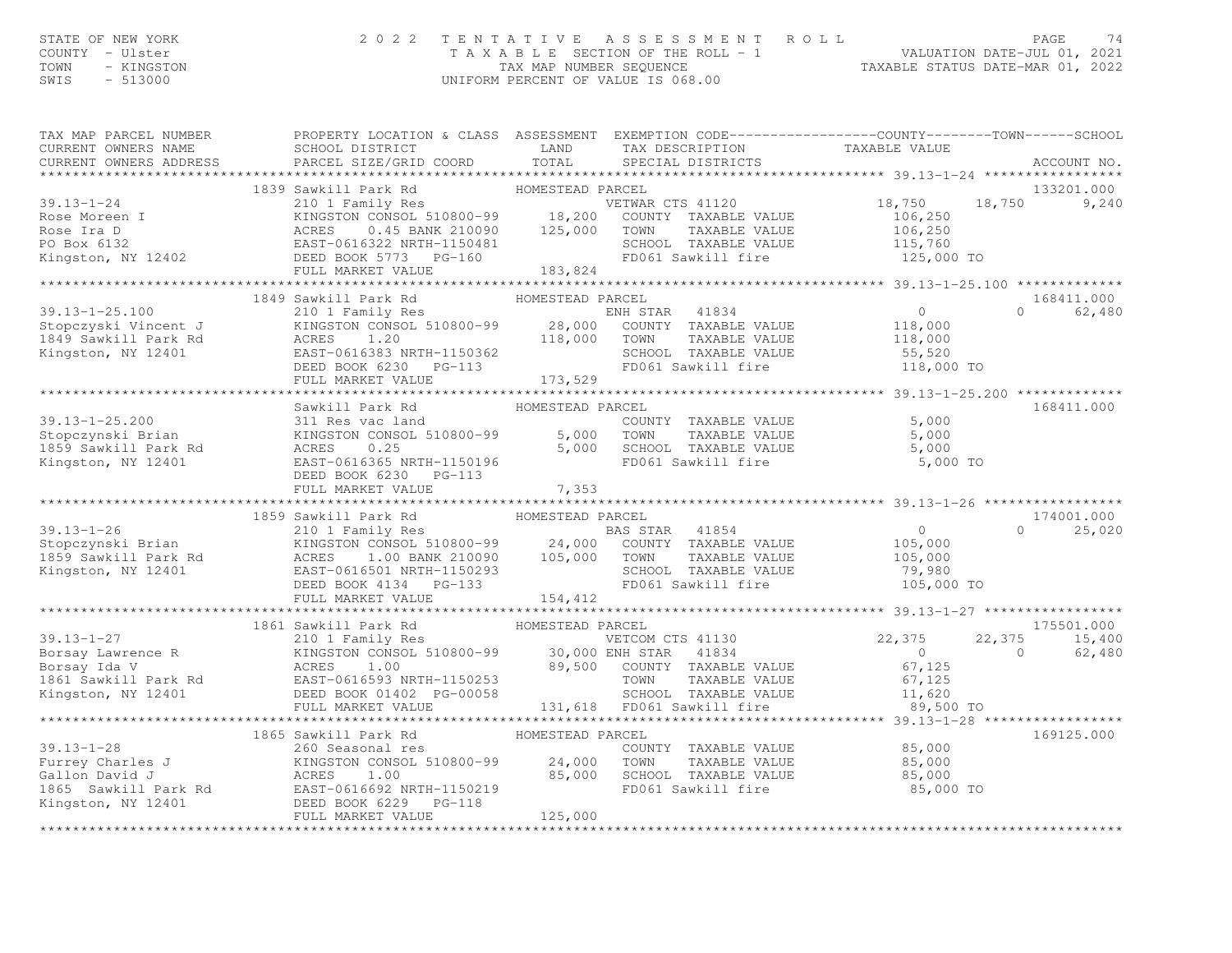## STATE OF NEW YORK CONTY - USE A Many of the Many Country - USE COUNTY - USE THE MANY ORGE THE NO 2 2 TENTATIVE ASSESSMENT ROLL PALUATION DATE–JUL 01, 2021<br>TAXABLE SECTION OF THE ROLL - 1 WALUATION DATE–JUL 01, 2021<br>TAXABLE

| TAX MAP PARCEL NUMBER<br>CURRENT OWNERS NAME<br>CURRENT OWNERS NAME SCHOOL DISTRICT LAND TAX DESCRIPTION TAXABLE VALUE<br>CURRENT OWNERS ADDRESS PARCEL SIZE/GRID COORD TOTAL SPECIAL DISTRICTS ACCOUNT NO.                             | PROPERTY LOCATION & CLASS ASSESSMENT EXEMPTION CODE----------------COUNTY-------TOWN------SCHOOL |                  |          |               |  |
|-----------------------------------------------------------------------------------------------------------------------------------------------------------------------------------------------------------------------------------------|--------------------------------------------------------------------------------------------------|------------------|----------|---------------|--|
|                                                                                                                                                                                                                                         |                                                                                                  |                  |          |               |  |
|                                                                                                                                                                                                                                         |                                                                                                  |                  |          | 133201.000    |  |
|                                                                                                                                                                                                                                         |                                                                                                  |                  |          | 9,240         |  |
|                                                                                                                                                                                                                                         |                                                                                                  |                  |          |               |  |
|                                                                                                                                                                                                                                         |                                                                                                  |                  |          |               |  |
|                                                                                                                                                                                                                                         |                                                                                                  |                  |          |               |  |
|                                                                                                                                                                                                                                         |                                                                                                  |                  |          |               |  |
|                                                                                                                                                                                                                                         |                                                                                                  |                  |          |               |  |
|                                                                                                                                                                                                                                         | 1849 Sawkill Park Rd                                                                             | HOMESTEAD PARCEL |          | 168411.000    |  |
|                                                                                                                                                                                                                                         |                                                                                                  |                  |          | 0 62,480      |  |
|                                                                                                                                                                                                                                         |                                                                                                  |                  |          |               |  |
|                                                                                                                                                                                                                                         |                                                                                                  |                  |          |               |  |
|                                                                                                                                                                                                                                         |                                                                                                  |                  |          |               |  |
|                                                                                                                                                                                                                                         |                                                                                                  |                  |          |               |  |
| 39.13-1-25.100 210 1 Family Res ENH STAR 41834 0<br>Stopczyski Vincent J KINGSTON CONSOL 510800-99 28,000 COUNTY TAXABLE VALUE<br>1849 Sawkill Park Rd ACRES 1.20 118,000 TOWN TAXABLE VALUE<br>Kingston, NY 12401 EAST-061633 NRTH-    |                                                                                                  |                  |          |               |  |
|                                                                                                                                                                                                                                         |                                                                                                  |                  |          |               |  |
|                                                                                                                                                                                                                                         | Sawkill Park Rd                                                                                  | HOMESTEAD PARCEL |          | 168411.000    |  |
|                                                                                                                                                                                                                                         |                                                                                                  |                  |          |               |  |
|                                                                                                                                                                                                                                         |                                                                                                  |                  |          |               |  |
|                                                                                                                                                                                                                                         |                                                                                                  |                  |          |               |  |
|                                                                                                                                                                                                                                         |                                                                                                  |                  | 5,000 TO |               |  |
|                                                                                                                                                                                                                                         |                                                                                                  |                  |          |               |  |
| 39.13-1-25.200 311 Brian 311 RES vac land COUNTY TAXABLE VALUE 5,000<br>1859 Sawkill Park Rd ACRES 0.25 5,000 5CHOOL TAXABLE VALUE 5,000<br>1859 Sawkill Park Rd ACRES 0.25 5,000 5CHOOL TAXABLE VALUE 5,000<br>1859 Sawkill Park Rd EA |                                                                                                  |                  |          |               |  |
| 1859 Sawkill Park Manusch (1859 Sawkill Park Res 210 1 Family Res 39.13-1-26 210 1 Family Res 31 ACRES 210 I Family Res 31 ACRES 210 I Family Res 31 ACRES 210 I Family Res 31 ACRES 210 I Family Res 31 ACRES 210 I FAMABLE V          |                                                                                                  |                  |          | 174001.000    |  |
|                                                                                                                                                                                                                                         |                                                                                                  |                  |          | $0 \t 25,020$ |  |
|                                                                                                                                                                                                                                         |                                                                                                  |                  |          |               |  |
|                                                                                                                                                                                                                                         |                                                                                                  |                  |          |               |  |
|                                                                                                                                                                                                                                         |                                                                                                  |                  |          |               |  |
|                                                                                                                                                                                                                                         |                                                                                                  |                  |          |               |  |
|                                                                                                                                                                                                                                         |                                                                                                  |                  |          |               |  |
|                                                                                                                                                                                                                                         |                                                                                                  |                  |          |               |  |
|                                                                                                                                                                                                                                         |                                                                                                  |                  |          |               |  |
|                                                                                                                                                                                                                                         |                                                                                                  |                  |          |               |  |
|                                                                                                                                                                                                                                         |                                                                                                  |                  |          |               |  |
|                                                                                                                                                                                                                                         |                                                                                                  |                  |          |               |  |
|                                                                                                                                                                                                                                         |                                                                                                  |                  |          |               |  |
|                                                                                                                                                                                                                                         |                                                                                                  |                  |          |               |  |
|                                                                                                                                                                                                                                         |                                                                                                  |                  |          |               |  |
| 1861 Samkill Park Mark 2000 (1891) 22,375 (1991)<br>MARKET VALUE 39, 1971 22, 2000 ENR STRAD PARCEL<br>ENGINEERED PARCEL<br>MARKET VALUE 30, 000 ENR STRA 41834 (22,375 15,400<br>1861 Sawkill Park Rd EAST-06163 Ningston, NY 12401 E  |                                                                                                  |                  |          |               |  |
|                                                                                                                                                                                                                                         |                                                                                                  |                  |          | 169125.000    |  |
|                                                                                                                                                                                                                                         |                                                                                                  |                  |          |               |  |
|                                                                                                                                                                                                                                         |                                                                                                  |                  |          |               |  |
|                                                                                                                                                                                                                                         |                                                                                                  |                  |          |               |  |
|                                                                                                                                                                                                                                         |                                                                                                  |                  |          |               |  |
|                                                                                                                                                                                                                                         |                                                                                                  | 125,000          |          |               |  |
|                                                                                                                                                                                                                                         | FULL MARKET VALUE                                                                                |                  |          |               |  |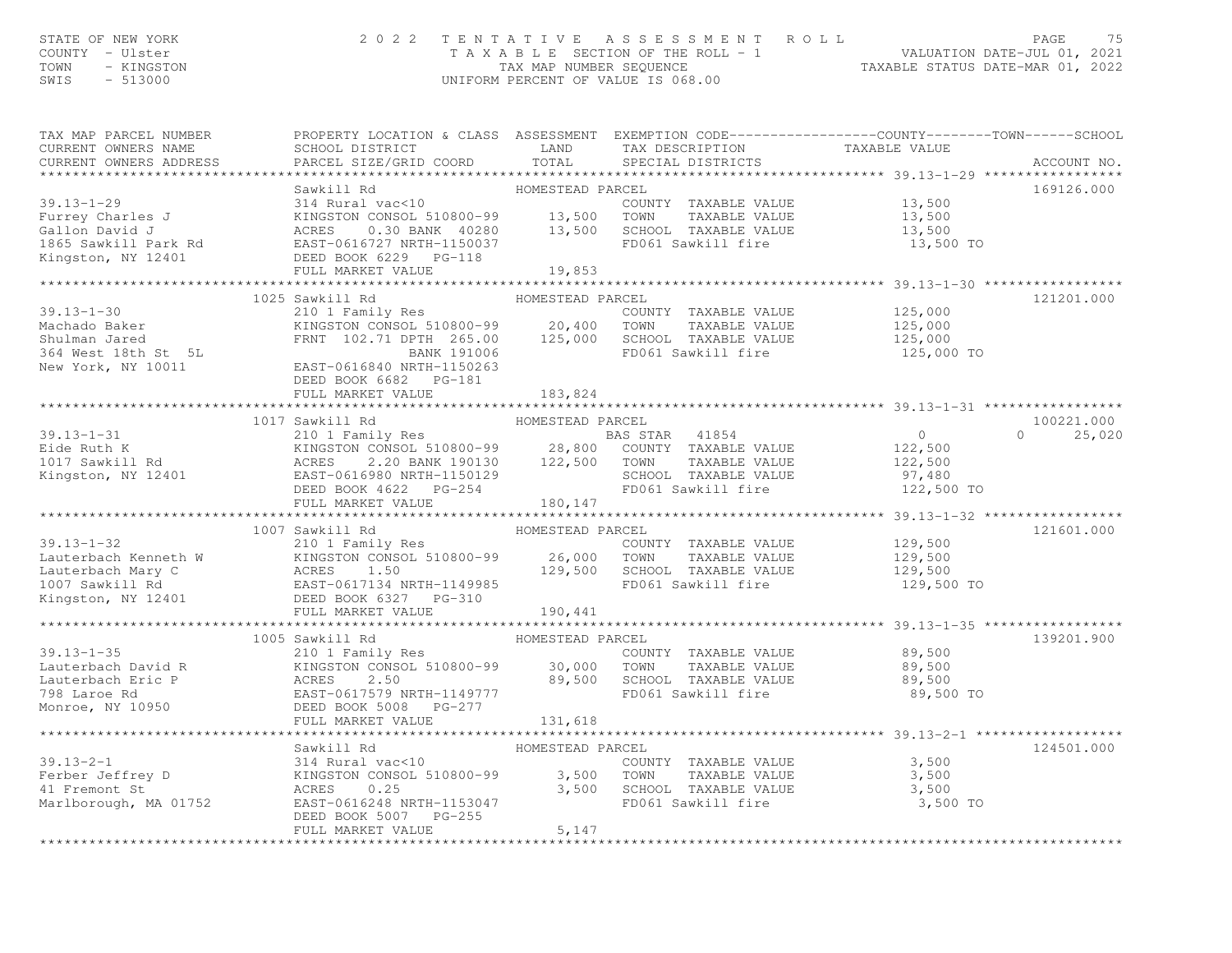### STATE OF NEW YORK CONTY - USE A MARING THE MINITION OF THE ROLL TO A SINCE THE ROLL TO A SINCE THE SECTION OF THE ROLL - 1 THAT I VE A SINCE THE SECTION OF THE ROLL - 1 TAX A B L E SECTION OF THE ROLL - 1 TAX MAP NUMBER SE

| TAX MAP PARCEL NUMBER<br>CURRENT OWNERS NAME                                                                                                                                                                                                                                                                                                                                                                                                                                                                           | SCHOOL DISTRICT LAND                                                                   |                  | PROPERTY LOCATION & CLASS ASSESSMENT EXEMPTION CODE----------------COUNTY-------TOWN------SCHOOL<br>TAX DESCRIPTION TAXABLE VALUE<br>SPECIAL DISTRICTS TAXABLE VALUE |            |                  |
|------------------------------------------------------------------------------------------------------------------------------------------------------------------------------------------------------------------------------------------------------------------------------------------------------------------------------------------------------------------------------------------------------------------------------------------------------------------------------------------------------------------------|----------------------------------------------------------------------------------------|------------------|----------------------------------------------------------------------------------------------------------------------------------------------------------------------|------------|------------------|
| $\begin{minipage}{.45\textwidth} \begin{minipage}{.45\textwidth} \begin{minipage}{.45\textwidth} \begin{minipage}{.45\textwidth} \begin{minipage}{.45\textwidth} \begin{minipage}{.45\textwidth} \begin{minipage}{.45\textwidth} \begin{minipage}{.45\textwidth} \begin{minipage}{.45\textwidth} \begin{minipage}{.45\textwidth} \begin{minipage}{.45\textwidth} \begin{minipage}{.45\textwidth} \begin{minipage}{.45\textwidth} \begin{minipage}{.45\textwidth} \begin{minipage}{.45\textwidth} \begin{minipage}{.45$ |                                                                                        |                  |                                                                                                                                                                      |            |                  |
|                                                                                                                                                                                                                                                                                                                                                                                                                                                                                                                        |                                                                                        |                  |                                                                                                                                                                      |            | 169126.000       |
|                                                                                                                                                                                                                                                                                                                                                                                                                                                                                                                        |                                                                                        |                  |                                                                                                                                                                      |            |                  |
|                                                                                                                                                                                                                                                                                                                                                                                                                                                                                                                        |                                                                                        |                  |                                                                                                                                                                      |            |                  |
|                                                                                                                                                                                                                                                                                                                                                                                                                                                                                                                        | 1025 Sawkill Rd                                                                        | HOMESTEAD PARCEL |                                                                                                                                                                      |            | 121201.000       |
| 125,000 Machado Baker<br>Machado Baker (125,000 KINGSTON CONSOL 510800-99 20,400 TONNY TAXABLE VALUE<br>Shulman Jared FRNT 102.71 DPTH 265.00 125,000 SCHOOL TAXABLE VALUE<br>TERNT 102.71 DPTH 265.00 125,000 SCHOOL TAXABLE VALUE<br>                                                                                                                                                                                                                                                                                | DEED BOOK 6682 PG-181                                                                  |                  |                                                                                                                                                                      | 125,000 TO |                  |
|                                                                                                                                                                                                                                                                                                                                                                                                                                                                                                                        | FULL MARKET VALUE                                                                      | 183,824          |                                                                                                                                                                      |            |                  |
|                                                                                                                                                                                                                                                                                                                                                                                                                                                                                                                        |                                                                                        |                  |                                                                                                                                                                      |            |                  |
|                                                                                                                                                                                                                                                                                                                                                                                                                                                                                                                        |                                                                                        |                  |                                                                                                                                                                      |            | 100221.000       |
| 1017 Sawkill Rd<br>210 1 Family Res<br>Eide Ruth K<br>Eide Ruth K<br>Eide Ruth K<br>Eide Ruth K<br>EIGEN (2,500 COUNTY TAXABLE VALUE<br>2.20 BANK 190130<br>EAST-0616980 NRTH-1150129<br>DEED BOOK 4622 PG-254<br>FULL MARKET VALUE<br>FULL MARKET V                                                                                                                                                                                                                                                                   |                                                                                        |                  |                                                                                                                                                                      |            | 25,020<br>$\cap$ |
|                                                                                                                                                                                                                                                                                                                                                                                                                                                                                                                        | FULL MARKET VALUE 180,147                                                              |                  |                                                                                                                                                                      | 122,500 TO |                  |
|                                                                                                                                                                                                                                                                                                                                                                                                                                                                                                                        |                                                                                        |                  |                                                                                                                                                                      |            |                  |
|                                                                                                                                                                                                                                                                                                                                                                                                                                                                                                                        | 1007 Sawkill Rd                                                                        | HOMESTEAD PARCEL |                                                                                                                                                                      |            | 121601.000       |
|                                                                                                                                                                                                                                                                                                                                                                                                                                                                                                                        |                                                                                        |                  |                                                                                                                                                                      |            |                  |
|                                                                                                                                                                                                                                                                                                                                                                                                                                                                                                                        |                                                                                        |                  |                                                                                                                                                                      |            |                  |
|                                                                                                                                                                                                                                                                                                                                                                                                                                                                                                                        |                                                                                        |                  |                                                                                                                                                                      |            |                  |
| 39.13-1-35 210 1 Family Res<br>Lauterbach David R<br>Lauterbach Eric P<br>COUNTY TAXABLE VALUE<br>COUNTY TAXABLE VALUE<br>COUNTY TAXABLE VALUE<br>COUNTY TAXABLE VALUE<br>COUNTY TAXABLE VALUE<br>COUNTY TAXABLE VALUE<br>COUNTY TAXABLE VALUE<br>                                                                                                                                                                                                                                                                     | 1005 Sawkill Rd                                                                        |                  |                                                                                                                                                                      |            | 139201.900       |
|                                                                                                                                                                                                                                                                                                                                                                                                                                                                                                                        |                                                                                        |                  |                                                                                                                                                                      |            |                  |
|                                                                                                                                                                                                                                                                                                                                                                                                                                                                                                                        |                                                                                        |                  |                                                                                                                                                                      |            |                  |
| 39.13-2-1<br>Ferber Jeffrey D<br>Terber Jeffrey D<br>SIA Rural vac<10<br>XINGSTON CONSOL 510800-99<br>25<br>Marlborough, MA 01752<br>EAST-0616248 NRTH-1153047<br>EAST-0616248 NRTH-1153047<br>EAST-0616248 NRTH-1153047                                                                                                                                                                                                                                                                                               | Sawkill Rd<br>314 Rural vac<10       HOMESTEAD PARCEL<br>COUN<br>DEED BOOK 5007 PG-255 |                  | COUNTY TAXABLE VALUE 3,500<br>3,500 TOWN TAXABLE VALUE 3,500<br>3,500 SCHOOL TAXABLE VALUE 3,500<br>FD061 Sawkill fire 3,500                                         | 3,500 TO   | 124501.000       |
|                                                                                                                                                                                                                                                                                                                                                                                                                                                                                                                        | FULL MARKET VALUE                                                                      | 5,147            |                                                                                                                                                                      |            |                  |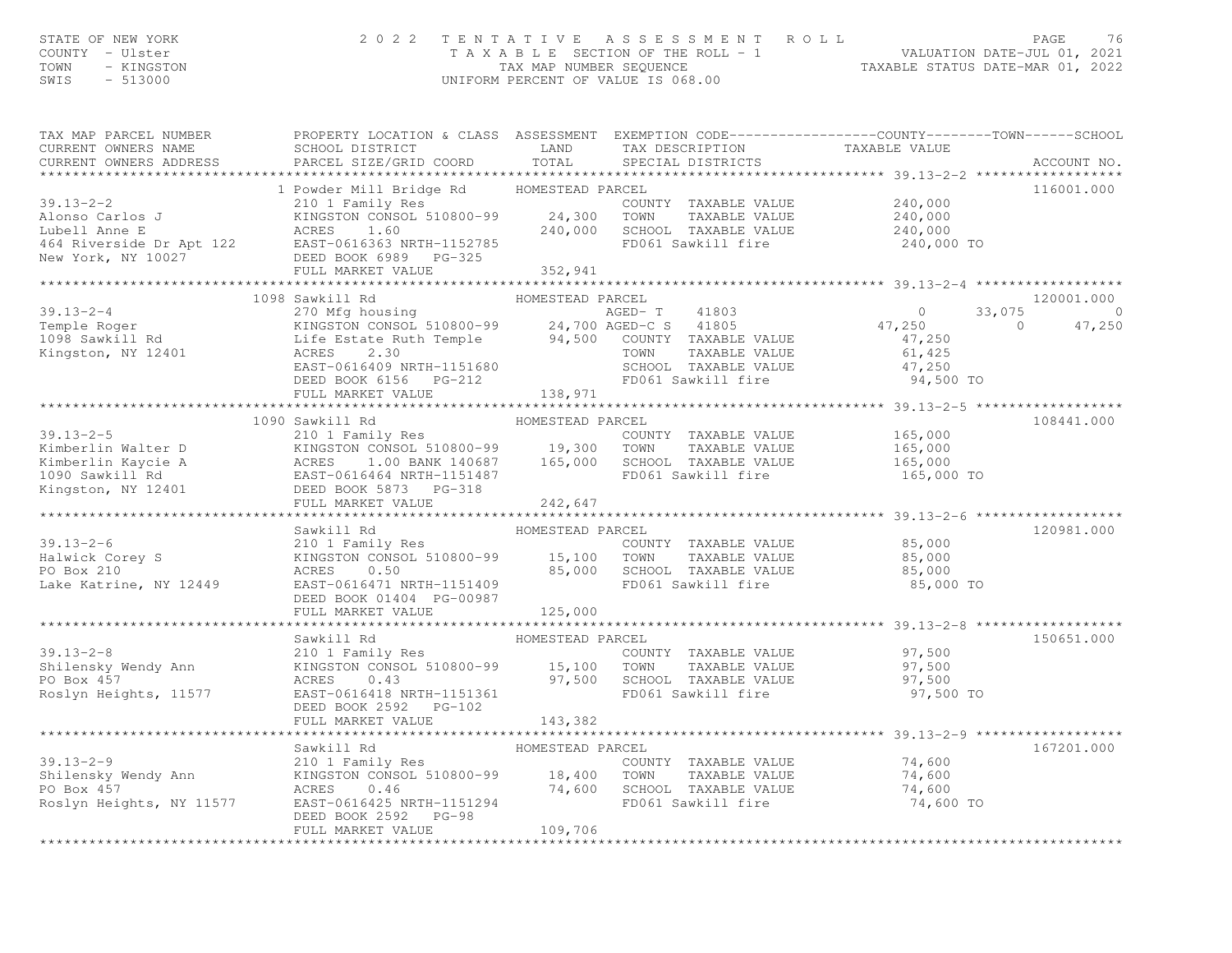### STATE OF NEW YORK CONTY - USE A MARING THE MINITION OF THE ROLL TO A SINCE THE ROLL TO A SINCE THE SECTION OF THE ROLL - 1 TAX A B L E SECTION OF THE ROLL - 1 TAX MAP NUMBER SEQUENCE THE ROLL - 1 TAX MAP NUMBER SEQUENCE TH

| TAX MAP PARCEL NUMBER<br>CURRENT OWNERS NAME<br>CURRENT OWNERS ADDRESS                                                                                                                                                                                 | PROPERTY LOCATION & CLASS ASSESSMENT EXEMPTION CODE----------------COUNTY-------TOWN-----SCHOOL<br>SCHOOL DISTRICT LAND<br>PARCEL SIZE/GRID COORD                                                                                                                  | TOTAL                       | TAX DESCRIPTION TAXABLE VALUE SPECIAL DISTRICTS                                              |                     | ACCOUNT NO. |
|--------------------------------------------------------------------------------------------------------------------------------------------------------------------------------------------------------------------------------------------------------|--------------------------------------------------------------------------------------------------------------------------------------------------------------------------------------------------------------------------------------------------------------------|-----------------------------|----------------------------------------------------------------------------------------------|---------------------|-------------|
| 39.13-2-2<br>Alonso Carlos J<br>Lubell Anne E<br>464 Riverside Dr Apt 122<br>New York, NY 10027<br>COLL MARKET VALUE<br>COLL MARKET VALUE<br>COLL MARKET VALUE<br>COLL MARKET VALUE<br>COLL MARKET VALUE<br>COLL MARKET VALUE<br>COLL MARKET VALUE<br> |                                                                                                                                                                                                                                                                    |                             |                                                                                              |                     | 116001.000  |
|                                                                                                                                                                                                                                                        | 1098 Sawkill Rd                                                                                                                                                                                                                                                    | HOMESTEAD PARCEL            |                                                                                              |                     | 120001.000  |
| 1098 Sawkill Rd<br>270 Mfg housing<br>270 Mfg housing<br>29.13-2-4 270 Mfg housing<br>29.13-2-4 270 Mfg housing<br>29.13-2-4 250 24,700 AGED-C S 41805 47,250 47,250 0 47,250<br>29.30 24,500 COUNTY TAXABLE VALUE 47,250 47,250 47,250<br>2           | ACRES 2.30<br>EAST-0616409 NRTH-1151680<br>DEED BOOK 61,425<br>DEED BOOK 61,566 CHOOL TAXABLE VALUE 47,250<br>PEED BOOK 6156 CHOOL SAWKill fire 94,500 TO<br>FULL MARKET VALUE 138,971                                                                             |                             |                                                                                              |                     |             |
|                                                                                                                                                                                                                                                        |                                                                                                                                                                                                                                                                    |                             |                                                                                              |                     |             |
|                                                                                                                                                                                                                                                        |                                                                                                                                                                                                                                                                    |                             |                                                                                              |                     | 108441.000  |
|                                                                                                                                                                                                                                                        |                                                                                                                                                                                                                                                                    |                             |                                                                                              |                     |             |
| 39.13-2-6<br>39.13-2-6<br>Halwick Corey S<br>210 1 Family Res<br>210 ICRES 0.50<br>220981.000<br>220981.000<br>220981.000<br>220981.000<br>23.000 215,000 TOWN TAXABLE VALUE<br>25,000 SCHOOL TAXABLE VALUE<br>25,000 EDED BOOK 01404 PG-00987<br>22.0 | Sawkill Rd                                                                                                                                                                                                                                                         | HOMESTEAD PARCEL            |                                                                                              |                     | 120981.000  |
|                                                                                                                                                                                                                                                        |                                                                                                                                                                                                                                                                    |                             |                                                                                              |                     |             |
| $39.13 - 2 - 8$                                                                                                                                                                                                                                        | DEED BOOK 2592 PG-102                                                                                                                                                                                                                                              |                             | COUNTY TAXABLE VALUE 97,500<br>TAXABLE VALUE<br>TAXABLE VALUE 97,500<br>TAXABLE VALUE 97,500 |                     | 150651.000  |
|                                                                                                                                                                                                                                                        | FULL MARKET VALUE                                                                                                                                                                                                                                                  | 143,382                     |                                                                                              |                     |             |
| $39.13 - 2 - 9$<br>Shilensky Wendy Ann<br>PO Box 457<br>Posl<br>Roslyn Heights, NY 11577                                                                                                                                                               | Sawkill Rd<br>SAWAILI NOW HOMESIEAD PARCE<br>210 1 Family Res<br>KINGSTON CONSOL 510800-99<br>216 18,400 TOWN TAXABLE VALUE<br>ACRES 0.46 74,600 SCHOOL TAXABLE VALUE<br>EAST-0616425 NRTH-1151294 FD061 Sawkill fire<br>DEED BOOK 2592 PG-98<br>FULL MARKET VALUE | HOMESTEAD PARCEL<br>109,706 | COUNTY TAXABLE VALUE 74,600<br>TOWN TAXABLE VALUE 74,600                                     | 74,600<br>74,600 TO | 167201.000  |
|                                                                                                                                                                                                                                                        |                                                                                                                                                                                                                                                                    |                             |                                                                                              |                     |             |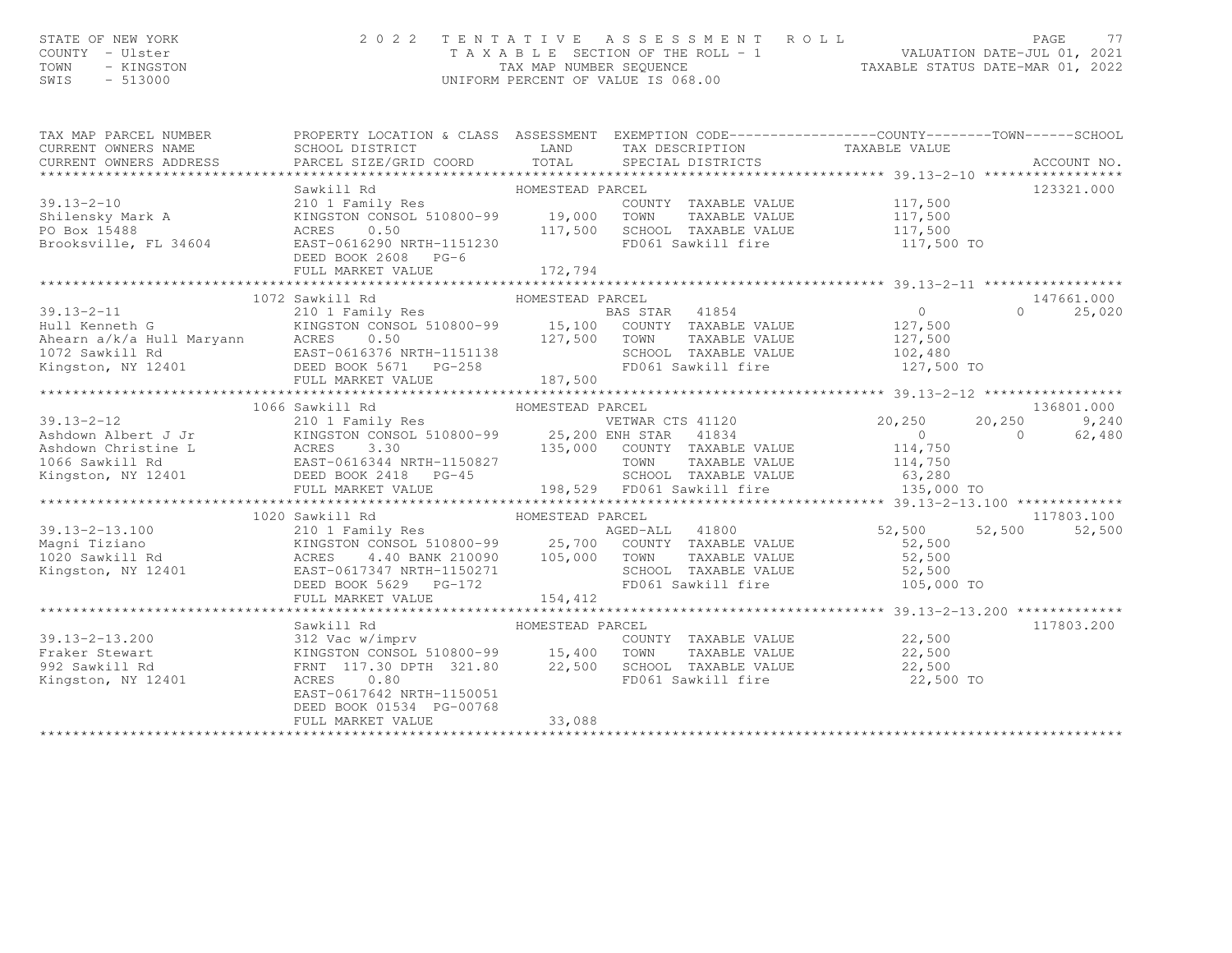### STATE OF NEW YORK PAGE 77<br>COUNTY - Ulster (2008) TAXABLE SECTION OF THE ROLL - 1 (NALUATION DATE-JUL 01, 2021<br>TAXABLE SECTION OF THE ROLL - 1 (NALUATION DATE-JUL 01, 2021<br>SWIS - 513000 (INTFORM PERCENT OF VALUE TS 068.00)

| TAX MAP PARCEL NUMBER                                                                                                                                                                                                                                    | PROPERTY LOCATION & CLASS ASSESSMENT EXEMPTION CODE----------------COUNTY-------TOWN------SCHOOL |         |  |            |
|----------------------------------------------------------------------------------------------------------------------------------------------------------------------------------------------------------------------------------------------------------|--------------------------------------------------------------------------------------------------|---------|--|------------|
| 39.13-2-10<br>39.13-2-10<br>39.13-2-10<br>210 1 Family Res<br>ENIGSTON CONSOL 510800-99<br>210 1 Family Res<br>ENIGSTON CONSOL 510800-99<br>210 1 Family Res<br>210 1 Family Res<br>210 1 Family Res<br>210 1 Family Res<br>210 1 Family Res<br>210 1    | FULL MARKET VALUE                                                                                | 172,794 |  | 123321.000 |
|                                                                                                                                                                                                                                                          |                                                                                                  |         |  |            |
| 1072 Sawkill Rd<br>2101 Family Res<br>HOMESTEAD PARCEL<br>2101 Family Res<br>2101 Family Res<br>2101 Family Res<br>2101 Family Res<br>2101 Family Res<br>2101 Family Res<br>215,100 COUNTY TAXABLE VALUE<br>27,500 0 25,020<br>25,020<br>25,020<br>27,50 |                                                                                                  |         |  |            |
|                                                                                                                                                                                                                                                          |                                                                                                  |         |  |            |
|                                                                                                                                                                                                                                                          |                                                                                                  |         |  |            |
|                                                                                                                                                                                                                                                          | HOMESTEAD PARCEL                                                                                 |         |  | 136801.000 |
|                                                                                                                                                                                                                                                          |                                                                                                  |         |  |            |
|                                                                                                                                                                                                                                                          |                                                                                                  |         |  |            |
| 1020 17803.100<br>39.13-2-13.100 1020 1020 1030 168 100 105 10800-99<br>26.500 28.500 52,500 52,500 52,500 52,500 52,500 52,500 52,500 52,500 52,500 52,500 52,500 52,500 52,500 117803.100<br>200 28.700 25,700 COUNTY TAXABLE VALU                     |                                                                                                  |         |  |            |
|                                                                                                                                                                                                                                                          |                                                                                                  |         |  |            |
| 39.13-2-13.200<br>Fraker Stewart 312 Vac w/imprv<br>Fraker Stewart KINGSTON CONSOL 510800-99 15,400 TOWN TAXABLE VALUE 22,500<br>992 Sawkill Rd FRNT 117.30 DPTH 321.80 22,500 SCHOOL TAXABLE VALUE 22,500<br>Kingston, NY 12401 RAST                    | EAST-0617642 NRTH-1150051<br>DEED BOOK 01534 PG-00768<br>FULL MARKET VALUE                       | 33,088  |  | 117803.200 |
|                                                                                                                                                                                                                                                          |                                                                                                  |         |  |            |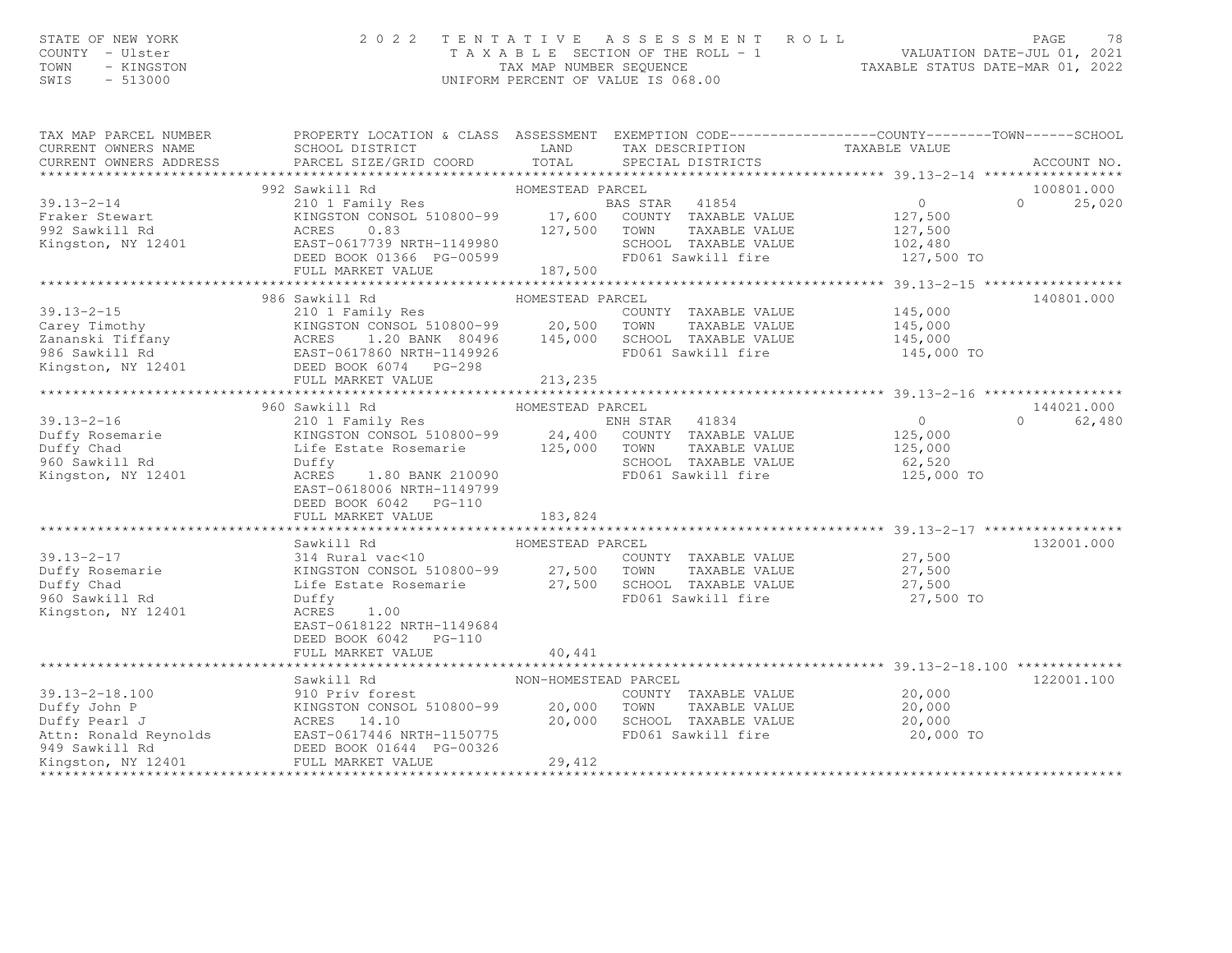STATE OF NEW YORK CONTY - USE A Many of the Many Country - USE PAGE 78<br>COUNTY - Ulster COUNTY - USER MANY MAP NUMBER SEQUENCE TO A X A B L E SECTION OF THE ROLL - 1 WALUATION DATE-JUL 01, 2021<br>TAX A B L E SECTION OF THE RO TAX MAP PARCEL NUMBER PROPERTY LOCATION & CLASS ASSESSMENT EXEMPTION CODE------------------COUNTY--------TOWN------SCHOOL CURRENT OWNERS NAME SCHOOL DISTRICT LAND TAX DESCRIPTION TAXABLE VALUE CURRENT OWNERS ADDRESS PARCEL SIZE/GRID COORD TOTAL SPECIAL DISTRICTS ACCOUNT NO. \*\*\*\*\*\*\*\*\*\*\*\*\*\*\*\*\*\*\*\*\*\*\*\*\*\*\*\*\*\*\*\*\*\*\*\*\*\*\*\*\*\*\*\*\*\*\*\*\*\*\*\*\*\*\*\*\*\*\*\*\*\*\*\*\*\*\*\*\*\*\*\*\*\*\*\*\*\*\*\*\*\*\*\*\*\*\*\*\*\*\*\*\*\*\*\*\*\*\*\*\*\*\* 39.13-2-14 \*\*\*\*\*\*\*\*\*\*\*\*\*\*\*\*\*100801.000 992 Sawkill Rd HOMESTEAD PARCEL 100801.000 $0 \t 25,020$ 39.13-2-14 210 1 Family Res BAS STAR 41854 0 0 25,020Fraker Stewart KINGSTON CONSOL 510800-99 17,600 COUNTY TAXABLE VALUE 127,500 992 Sawkill Rd ACRES 0.83 127,500 TOWN TAXABLE VALUE 127,500 Kingston, NY 12401 EAST-0617739 NRTH-1149980 SCHOOL TAXABLE VALUE 102,480 DEED BOOK 01366 PG-00599 FD061 Sawkill fire 127,500 TO FULL MARKET VALUE 187,500 \*\*\*\*\*\*\*\*\*\*\*\*\*\*\*\*\*\*\*\*\*\*\*\*\*\*\*\*\*\*\*\*\*\*\*\*\*\*\*\*\*\*\*\*\*\*\*\*\*\*\*\*\*\*\*\*\*\*\*\*\*\*\*\*\*\*\*\*\*\*\*\*\*\*\*\*\*\*\*\*\*\*\*\*\*\*\*\*\*\*\*\*\*\*\*\*\*\*\*\*\*\*\* 39.13-2-15 \*\*\*\*\*\*\*\*\*\*\*\*\*\*\*\*\*140801.000 986 Sawkill Rd HOMESTEAD PARCEL 140801.00039.13-2-15 210 1 Family Res COUNTY TAXABLE VALUE 145,000 Carey Timothy KINGSTON CONSOL 510800-99 20,500 TOWN TAXABLE VALUE 145,000 Zananski Tiffany ACRES 1.20 BANK 80496 145,000 SCHOOL TAXABLE VALUE 145,000 986 Sawkill Rd EAST-0617860 NRTH-1149926 FD061 Sawkill fire 145,000 TO Kingston, NY 12401 DEED BOOK 6074 PG-298 FULL MARKET VALUE 213,235

 \*\*\*\*\*\*\*\*\*\*\*\*\*\*\*\*\*\*\*\*\*\*\*\*\*\*\*\*\*\*\*\*\*\*\*\*\*\*\*\*\*\*\*\*\*\*\*\*\*\*\*\*\*\*\*\*\*\*\*\*\*\*\*\*\*\*\*\*\*\*\*\*\*\*\*\*\*\*\*\*\*\*\*\*\*\*\*\*\*\*\*\*\*\*\*\*\*\*\*\*\*\*\* 39.13-2-16 \*\*\*\*\*\*\*\*\*\*\*\*\*\*\*\*\*144021.000 960 Sawkill Rd HOMESTEAD PARCEL 144021.000 $0 \t\t 62,480$ 39.13-2-16 210 1 Family Res ENH STAR 41834 0 0 62,480Duffy Rosemarie KINGSTON CONSOL 510800-99 24,400 COUNTY TAXABLE VALUE 125,000 Duffy Chad Life Estate Rosemarie 125,000 TOWN TAXABLE VALUE 125,000 960 Sawkill Rd Duffy SCHOOL TAXABLE VALUE 62,520 Kingston, NY 12401 ACRES 1.80 BANK 210090 FD061 Sawkill fire 125,000 TO EAST-0618006 NRTH-1149799DEED BOOK 6042 PG-110<br>Fiile Market Value FULL MARKET VALUE 183,824 Sawkill Rd HOMESTEAD PARCEL 132001.000\*\*\*\*\*\*\*\*\*\*\*\*\*\*\*\*\*\*\*\*\*\*\*\*\*\*\*\*\*\*\*\*\*\*\*\*\*\*\*\*\*\*\*\*\*\*\*\*\*\*\*\*\*\*\*\*\*\*\*\*\*\*\*\*\*\*\*\*\*\*\*\*\*\*\*\*\*\*\*\*\*\*\*\*\*\*\*\*\*\*\*\*\*\*\*\*\*\*\*\*\*\*\* 39.13-2-17 \*\*\*\*\*\*\*\*\*\*\*\*\*\*\*\*\*132001.000 39.13-2-17 314 Rural vac<10 COUNTY TAXABLE VALUE 27,500 Duffy Rosemarie KINGSTON CONSOL 510800-99 27,500 TOWN TAXABLE VALUE 27,500 Duffy Chad Life Estate Rosemarie 27,500 SCHOOL TAXABLE VALUE 27,500 960 Sawkill Rd Duffy FD061 Sawkill fire 27,500 TOKingston, NY 12401 ACRES 1.00 EAST-0618122 NRTH-1149684 DEED BOOK 6042 PG-110 FULL MARKET VALUE 40,441 \*\*\*\*\*\*\*\*\*\*\*\*\*\*\*\*\*\*\*\*\*\*\*\*\*\*\*\*\*\*\*\*\*\*\*\*\*\*\*\*\*\*\*\*\*\*\*\*\*\*\*\*\*\*\*\*\*\*\*\*\*\*\*\*\*\*\*\*\*\*\*\*\*\*\*\*\*\*\*\*\*\*\*\*\*\*\*\*\*\*\*\*\*\*\*\*\*\*\*\*\*\*\* 39.13-2-18.100 \*\*\*\*\*\*\*\*\*\*\*\*\*122001.100 Sawkill Rd NON-HOMESTEAD PARCEL 122001.10039.13-2-18.100 910 Priv forest COUNTY TAXABLE VALUE 20,000 Duffy John P KINGSTON CONSOL 510800-99 20,000 TOWN TAXABLE VALUE 20,000 Duffy Pearl J ACRES 14.10 20,000 SCHOOL TAXABLE VALUE 20,000 Attn: Ronald Reynolds EAST-0617446 NRTH-1150775 FD061 Sawkill fire 20,000 TO949 Sawkill Rd DEED BOOK 01644 PG-00326 Kingston, NY 12401 FULL MARKET VALUE 29,412\*\*\*\*\*\*\*\*\*\*\*\*\*\*\*\*\*\*\*\*\*\*\*\*\*\*\*\*\*\*\*\*\*\*\*\*\*\*\*\*\*\*\*\*\*\*\*\*\*\*\*\*\*\*\*\*\*\*\*\*\*\*\*\*\*\*\*\*\*\*\*\*\*\*\*\*\*\*\*\*\*\*\*\*\*\*\*\*\*\*\*\*\*\*\*\*\*\*\*\*\*\*\*\*\*\*\*\*\*\*\*\*\*\*\*\*\*\*\*\*\*\*\*\*\*\*\*\*\*\*\*\*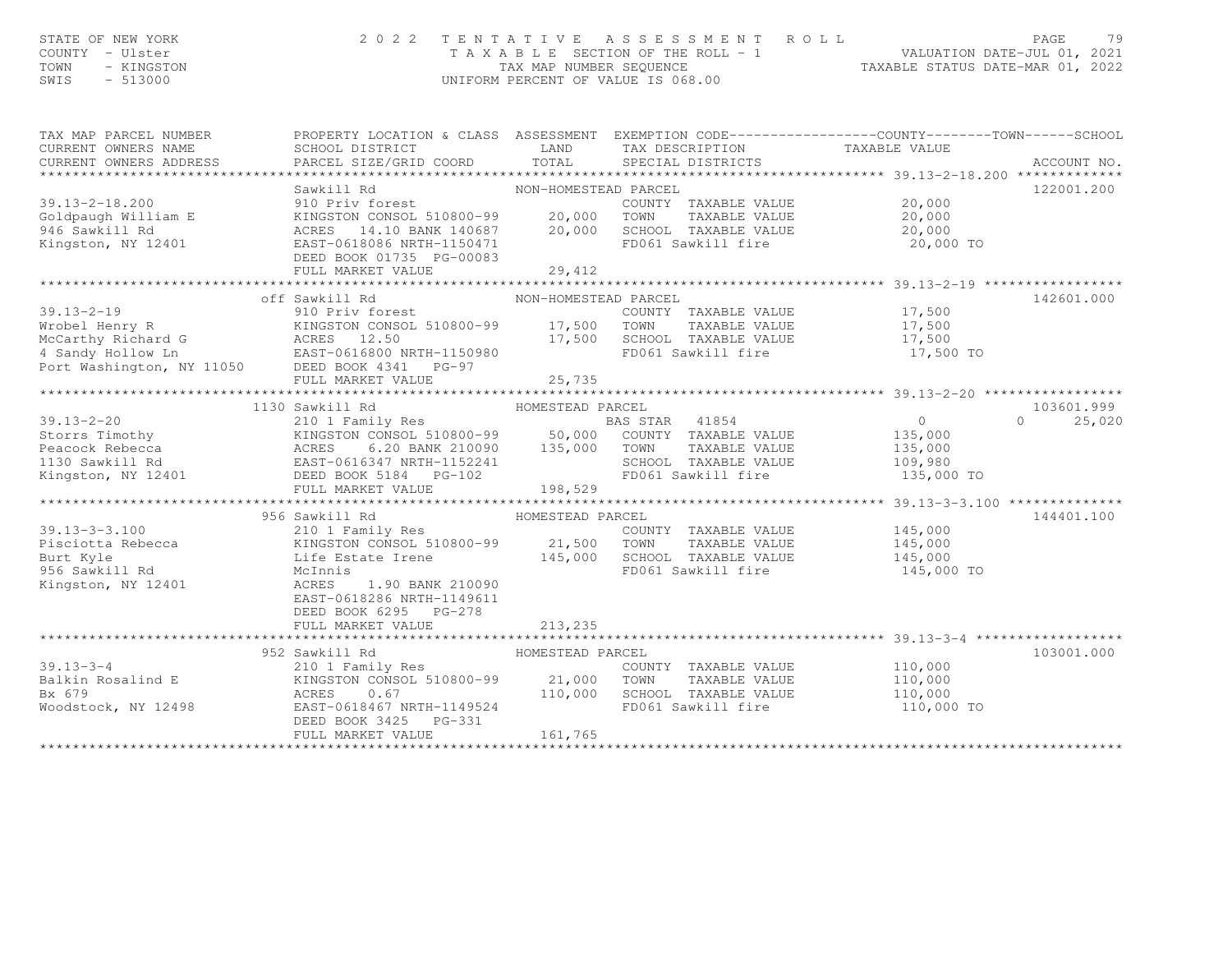## STATE OF NEW YORK PAGE 79<br>COUNTY - Ulster (2008) TAXABLE SECTION OF THE ROLL - 1 (NALUATION DATE-JUL 01, 2021<br>TAXABLE SECTION OF THE ROLL - 1 (NALUATION DATE-JUL 01, 2021<br>SWIS - 513000 (INTFORM PERCENT OF VALUE TS 068.00)

| TAX MAP PARCEL NUMBER<br>CURRENT OWNERS NAME<br>CURRENT OWNERS ADDRESS                                                                                                                                                                                                                                  | SCHOOL DISTRICT<br>PARCEL SIZE/GRID COORD TOTAL                                                                                                                                                    | LAND                                               | TAX DESCRIPTION TAXABLE VALUE<br>SPECIAL DISTRICTS                                                                                | PROPERTY LOCATION & CLASS ASSESSMENT EXEMPTION CODE----------------COUNTY-------TOWN-----SCHOOL<br>ACCOUNT NO. |
|---------------------------------------------------------------------------------------------------------------------------------------------------------------------------------------------------------------------------------------------------------------------------------------------------------|----------------------------------------------------------------------------------------------------------------------------------------------------------------------------------------------------|----------------------------------------------------|-----------------------------------------------------------------------------------------------------------------------------------|----------------------------------------------------------------------------------------------------------------|
| $39.13 - 2 - 18.200$<br>Goldpaugh William E<br>946 Sawkill Rd<br>Kingston, NY 12401                                                                                                                                                                                                                     | Sawkill Rd<br>910 Priv forest<br>E SINGSTON CONSOL 510800-99<br>KINGSTON CONSOL 510800-99<br>ACRES 14.10 BANK 140687<br>EAST-0618086 NRTH-1150471<br>DEED BOOK 01735 PG-00083<br>FULL MARKET VALUE | NON-HOMESTEAD PARCEL<br>20,000<br>20,000<br>29,412 | COUNTY TAXABLE VALUE<br>TAXABLE VALUE<br>TOWN<br>SCHOOL TAXABLE VALUE<br>FD061 Sawkill fire                                       | 122001.200<br>20,000<br>20,000<br>20,000<br>20,000 TO                                                          |
| $39.13 - 2 - 19$<br>Violet Henry R<br>Michael Henry R<br>McCarthy Richard G<br>4 Sandy Hollow Ln<br>Port Washington, NY 11050 DEED BOOK 4341 PG-97                                                                                                                                                      | off Sawkill Rd<br>910 Priv forest                                                                                                                                                                  | NON-HOMESTEAD PARCEL                               | COUNTY TAXABLE VALUE 17,500<br>TOWN<br>SCHOOL TAXABLE VALUE 17,500<br>FD061 Sawkill fire 17,500                                   | 142601.000<br>TAXABLE VALUE 17,500<br>17,500 TO                                                                |
|                                                                                                                                                                                                                                                                                                         | 1130 Sawkill Rd                                                                                                                                                                                    | HOMESTEAD PARCEL                                   |                                                                                                                                   | 103601.999                                                                                                     |
| 39.13-2-20<br>Storrs Timothy<br>ERS 210 1 Family Res<br>ERS 6.20 BANK 210090<br>ERS 6.20 BANK 210090<br>2130 Sawkill Rd<br>ERST-0616347 NRTH-1152241<br>ERST-0616347 NRTH-1152241<br>ERST-061 SCHOOL TAXABLE VALUE<br>ERST-061 SCHOOL TAXABLE VA                                                        | FULL MARKET VALUE                                                                                                                                                                                  | 198,529                                            |                                                                                                                                   | $\Omega$<br>25,020<br>135,000 TO                                                                               |
|                                                                                                                                                                                                                                                                                                         |                                                                                                                                                                                                    |                                                    |                                                                                                                                   |                                                                                                                |
| $39.13 - 3 - 3.100$<br>Pisciotta Rebecca<br>Burt Kyle<br>Burt Kyle<br>956 Sawkill Rd<br>956 Sawkill Rd<br>956 Sawkill Rd<br>956 Sawkill Rd<br>956 Sawkill Rd<br>956 Sawkill Rd<br>956 Sawkill Rd<br>956 Sawkill Rd<br>956 Sawkill Rd<br>956 Sawkill Rd<br>956 Sawkill Rd<br>956 S<br>Kingston, NY 12401 | 956 Sawkill Rd<br>ACRES<br>1.90 BANK 210090<br>EAST-0618286 NRTH-1149611<br>DEED BOOK 6295 PG-278                                                                                                  | HOMESTEAD PARCEL                                   | COUNTY TAXABLE VALUE 145,000<br>TOWN<br>SCHOOL TAXABLE VALUE 145,000<br>FD061 Sawkill fire                                        | 144401.100<br>TAXABLE VALUE 145,000<br>145,000 TO                                                              |
|                                                                                                                                                                                                                                                                                                         | FULL MARKET VALUE                                                                                                                                                                                  | 213,235                                            |                                                                                                                                   |                                                                                                                |
|                                                                                                                                                                                                                                                                                                         | 952 Sawkill Rd                                                                                                                                                                                     | HOMESTEAD PARCEL                                   |                                                                                                                                   | 103001.000                                                                                                     |
| $39.13 - 3 - 4$                                                                                                                                                                                                                                                                                         | 210 1 Family Res<br>DEED BOOK 3425 PG-331<br>FULL MARKET VALUE                                                                                                                                     | 161,765                                            | COUNTY TAXABLE VALUE 110,000<br>TOWN TAXABLE VALUE 110,000<br>TAXABLE VALUE<br>SCHOOL TAXABLE VALUE 110,000<br>FD061 Sawkill fire | 110,000 TO                                                                                                     |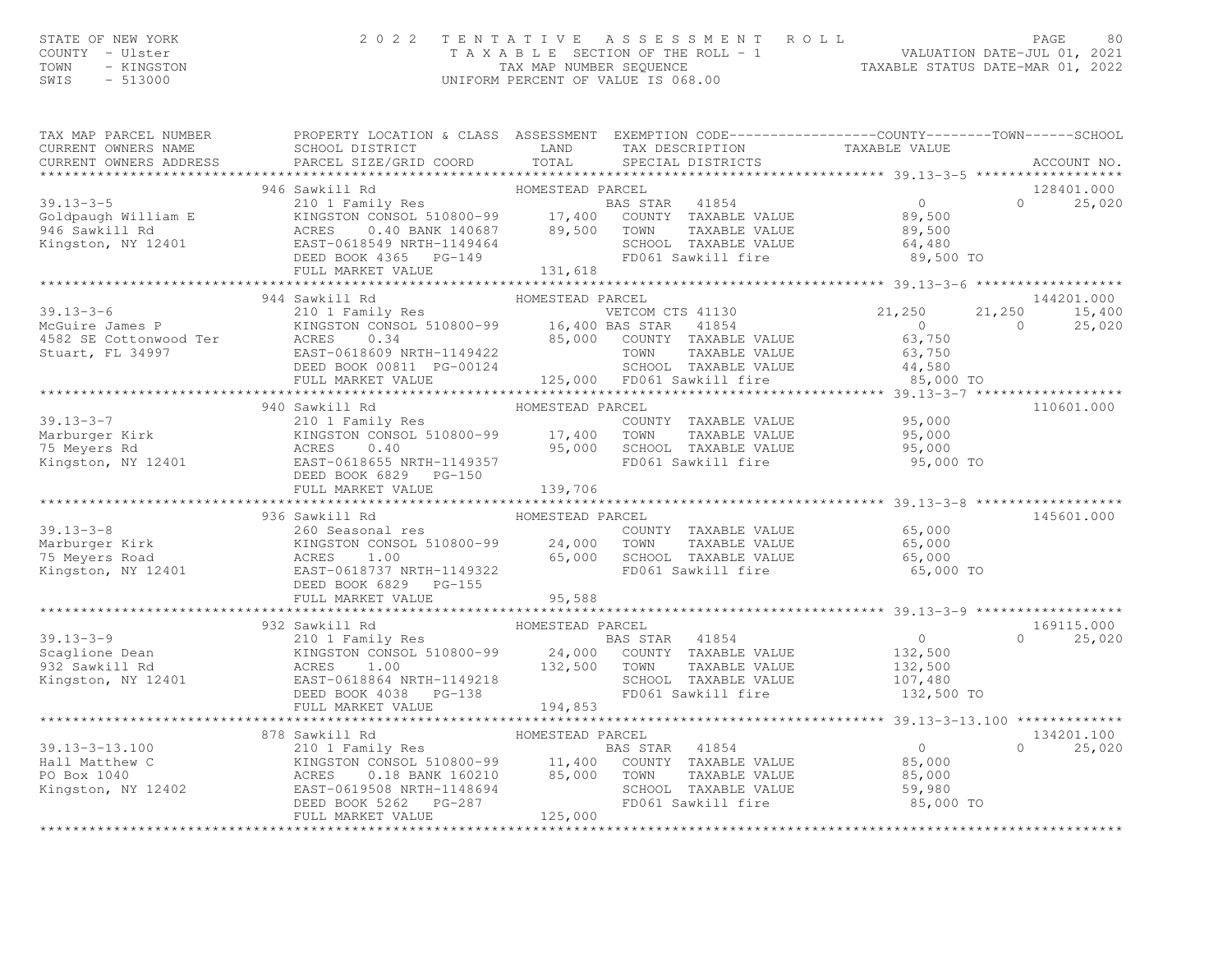## STATE OF NEW YORK UNIVE 2022 TENTATIVE ASSESSMENT ROLL PALUATION DATE–JUL 01, 2021<br>COUNTY - Ulster University of the SECTION OF THE ROLL - 1 WALUATION DATE–JUL 01, 2021<br>TAX ABLE SECTION OF THE ROLL - 1 TAX ABLE SEQUENCE AS

| TAX MAP PARCEL NUMBER<br>CURRENT OWNERS NAME<br>CURRENT OWNERS ADDRESS                                                  | PROPERTY LOCATION & CLASS ASSESSMENT EXEMPTION CODE----------------COUNTY-------TOWN------SCHOOL<br>SCHOOL DISTRICT<br>PARCEL SIZE/GRID COORD TOTAL                                                                                                                                                                                                          | LAND                        | TAX DESCRIPTION TAXABLE VALUE SPECIAL DISTRICTS              |                                                 |          | ACCOUNT NO.          |
|-------------------------------------------------------------------------------------------------------------------------|--------------------------------------------------------------------------------------------------------------------------------------------------------------------------------------------------------------------------------------------------------------------------------------------------------------------------------------------------------------|-----------------------------|--------------------------------------------------------------|-------------------------------------------------|----------|----------------------|
|                                                                                                                         |                                                                                                                                                                                                                                                                                                                                                              |                             |                                                              |                                                 |          |                      |
|                                                                                                                         | 946 Sawkill Rd<br>39.13-3-5 210 1 Family Res<br>Goldpaugh William E KINGSTON CONSOL 510800-99 17,400 COUNTY TAXABLE VALUE<br>946 Sawkill Rd ACRES 0.40 BANK 140687 89,500 TOWN TAXABLE VALUE 89,500<br>89,500 TOWN TAXABLE VALUE 89,500 RNABLE VALUE 8<br>FULL MARKET VALUE                                                                                  | HOMESTEAD PARCEL<br>131,618 |                                                              | 89,500 TO                                       | $\Omega$ | 128401.000<br>25,020 |
|                                                                                                                         | 944 Sawkill Rd                                                                                                                                                                                                                                                                                                                                               | HOMESTEAD PARCEL            |                                                              |                                                 |          | 144201.000           |
|                                                                                                                         | $\begin{tabular}{lllllllllllll} \textbf{39.13--3--6} & \textbf{39.13--3--6} & \textbf{39.13--3--6} & \textbf{39.13--3--6} & \textbf{39.13--3--6} & \textbf{39.13--3--6} & \textbf{39.13--3--6} & \textbf{39.13--3--6} & \textbf{39.13--3--6} & \textbf{39.13--3--7} & \textbf{39.13--3--7} & \textbf{39.13--3--7} & \textbf{39.13--3--7} & \textbf{39.13--3$ |                             |                                                              |                                                 |          |                      |
|                                                                                                                         | 940 Sawkill Rd                                                                                                                                                                                                                                                                                                                                               | HOMESTEAD PARCEL            |                                                              |                                                 |          | 110601.000           |
|                                                                                                                         | FULL MARKET VALUE                                                                                                                                                                                                                                                                                                                                            | 139,706                     |                                                              | 95,000 TO                                       |          |                      |
|                                                                                                                         |                                                                                                                                                                                                                                                                                                                                                              |                             |                                                              |                                                 |          |                      |
|                                                                                                                         | 936 Sawkill Rd<br>FULL MARKET VALUE                                                                                                                                                                                                                                                                                                                          | 95,588                      |                                                              |                                                 |          | 145601.000           |
|                                                                                                                         | 932 Sawkill Rd                                                                                                                                                                                                                                                                                                                                               |                             |                                                              |                                                 |          | 169115.000           |
| $39.13 - 3 - 9$                                                                                                         |                                                                                                                                                                                                                                                                                                                                                              |                             | BAS STAR 41854                                               | $\overline{a}$<br>132,500 TO                    | $\cap$   | 25,020               |
|                                                                                                                         | FULL MARKET VALUE                                                                                                                                                                                                                                                                                                                                            | 194,853                     |                                                              |                                                 |          |                      |
| $39.13 - 3 - 13.100$<br>210 1<br>210 1<br>KINGS:<br>2402<br>2002<br>Hall Matthew C<br>PO Box 1040<br>Kingston, NY 12402 | 878 Sawkill Rd<br>KINGSTON CONSOL 510800-99 11,400 COUNTY TAXABLE VALUE 85,000<br>ACRES 0.18 BANK 160210 85,000 TOWN TAXABLE VALUE 85,000<br>EAST-0619508 NRTH-1148694<br>DEED BOOK 5262<br>PG-287<br>FULL MARKET VALUE                                                                                                                                      | HOMESTEAD PARCEL<br>125,000 | BAS STAR 41854<br>SCHOOL TAXABLE VALUE<br>FD061 Sawkill fire | $\overline{0}$<br>85,000<br>59,980<br>85,000 TO | $\cap$   | 134201.100<br>25,020 |

\*\*\*\*\*\*\*\*\*\*\*\*\*\*\*\*\*\*\*\*\*\*\*\*\*\*\*\*\*\*\*\*\*\*\*\*\*\*\*\*\*\*\*\*\*\*\*\*\*\*\*\*\*\*\*\*\*\*\*\*\*\*\*\*\*\*\*\*\*\*\*\*\*\*\*\*\*\*\*\*\*\*\*\*\*\*\*\*\*\*\*\*\*\*\*\*\*\*\*\*\*\*\*\*\*\*\*\*\*\*\*\*\*\*\*\*\*\*\*\*\*\*\*\*\*\*\*\*\*\*\*\*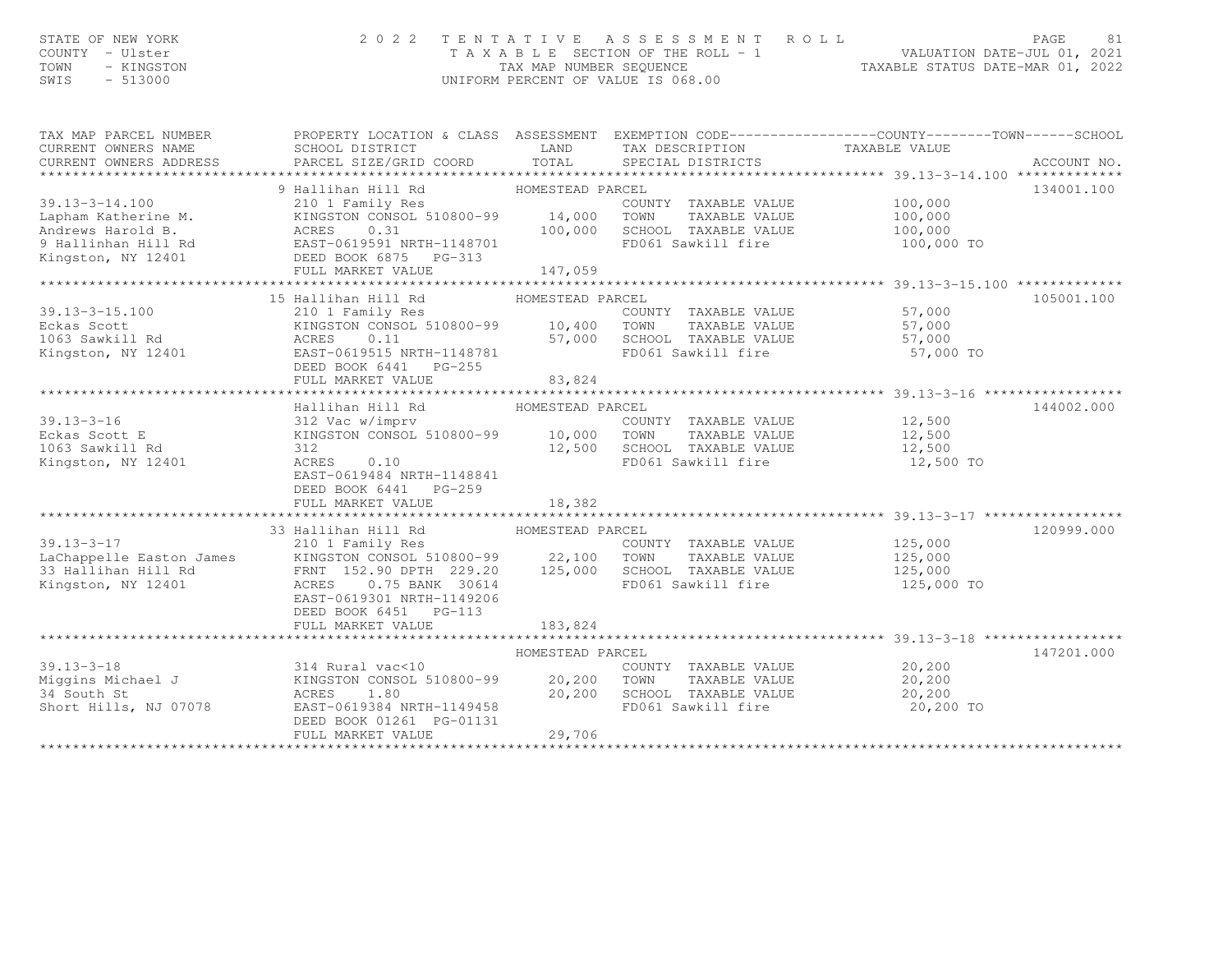| STATE OF NEW YORK<br>COUNTY - Ulster<br>TOWN<br>- KINGSTON<br>SWIS<br>$-513000$ | 2 0 2 2                                                                                             |         | TENTATIVE ASSESSMENT ROLL<br>TAXABLE SECTION OF THE ROLL - 1<br>TAXABLE SECTION OF THE ROLL - 1<br>TAXABLE STATUS DATE-MAR 01, 2022<br>UNIFORM PERCENT OF VALUE IS 068.00 |                      | 81<br>PAGE |
|---------------------------------------------------------------------------------|-----------------------------------------------------------------------------------------------------|---------|---------------------------------------------------------------------------------------------------------------------------------------------------------------------------|----------------------|------------|
| TAX MAP PARCEL NUMBER                                                           | PROPERTY LOCATION & CLASS ASSESSMENT EXEMPTION CODE----------------COUNTY-------TOWN------SCHOOL    |         |                                                                                                                                                                           |                      |            |
| CURRENT OWNERS NAME                                                             | SCHOOL DISTRICT                        LAND         TAX DESCRIPTION                   TAXABLE VALUE |         |                                                                                                                                                                           |                      |            |
|                                                                                 |                                                                                                     |         |                                                                                                                                                                           |                      |            |
|                                                                                 |                                                                                                     |         |                                                                                                                                                                           |                      | 134001.100 |
| $39.13 - 3 - 14.100$                                                            |                                                                                                     |         | COUNTY TAXABLE VALUE 100,000                                                                                                                                              |                      |            |
|                                                                                 |                                                                                                     |         |                                                                                                                                                                           |                      |            |
|                                                                                 |                                                                                                     |         | FD061 Sawkill fire 100,000 TO                                                                                                                                             |                      |            |
| Kingston, NY 12401 DEED BOOK 6875 PG-313                                        |                                                                                                     |         |                                                                                                                                                                           |                      |            |
|                                                                                 | FULL MARKET VALUE                                                                                   | 147,059 |                                                                                                                                                                           |                      |            |
|                                                                                 |                                                                                                     |         |                                                                                                                                                                           |                      |            |
|                                                                                 | 15 Hallihan Hill Rd MOMESTEAD PARCEL                                                                |         |                                                                                                                                                                           |                      | 105001.100 |
| $39.13 - 3 - 15.100$                                                            |                                                                                                     |         | COUNTY TAXABLE VALUE 57,000                                                                                                                                               |                      |            |
|                                                                                 |                                                                                                     |         |                                                                                                                                                                           |                      |            |
|                                                                                 |                                                                                                     |         |                                                                                                                                                                           |                      |            |
|                                                                                 |                                                                                                     |         |                                                                                                                                                                           | 57,000 TO            |            |
|                                                                                 | DEED BOOK 6441 PG-255                                                                               |         |                                                                                                                                                                           |                      |            |
|                                                                                 |                                                                                                     |         |                                                                                                                                                                           |                      |            |
|                                                                                 |                                                                                                     |         |                                                                                                                                                                           |                      | 144002.000 |
|                                                                                 | Hallihan Hill Rd MOMESTEAD PARCEL<br>312 Vac w/imprv                                                |         | COUNTY TAXABLE VALUE 12,500                                                                                                                                               |                      |            |
|                                                                                 |                                                                                                     |         |                                                                                                                                                                           | TAXABLE VALUE 12,500 |            |
| 39.13-3-16<br>Eckas Scott E<br>1063 Sawkill Rd                                  | 312                                                                                                 |         | 12,500 SCHOOL TAXABLE VALUE 12,500                                                                                                                                        |                      |            |
| Kingston, NY 12401                                                              | ACRES 0.10                                                                                          |         | FD061 Sawkill fire                                                                                                                                                        | 12,500 TO            |            |
|                                                                                 | EAST-0619484 NRTH-1148841                                                                           |         |                                                                                                                                                                           |                      |            |
|                                                                                 | DEED BOOK 6441 PG-259                                                                               |         |                                                                                                                                                                           |                      |            |

|                          | LLLL DUUN 0441 FGTZJJ<br>FULL MARKET VALUE | 18,382                             |            |
|--------------------------|--------------------------------------------|------------------------------------|------------|
|                          |                                            |                                    |            |
|                          | 33 Hallihan Hill Rd                        | HOMESTEAD PARCEL                   | 120999.000 |
| $39.13 - 3 - 17$         | 210 1 Family Res                           | COUNTY<br>TAXABLE VALUE            | 125,000    |
| LaChappelle Easton James | KINGSTON CONSOL 510800-99                  | 22,100<br>TOWN<br>TAXABLE VALUE    | 125,000    |
| 33 Hallihan Hill Rd      | FRNT 152.90 DPTH 229.20                    | 125,000<br>SCHOOL<br>TAXABLE VALUE | 125,000    |
| Kingston, NY 12401       | 0.75 BANK 30614<br>ACRES                   | FD061 Sawkill fire                 | 125,000 TO |
|                          | EAST-0619301 NRTH-1149206                  |                                    |            |
|                          | DEED BOOK 6451 PG-113                      |                                    |            |
|                          | FULL MARKET VALUE                          | 183.824                            |            |
|                          |                                            |                                    |            |
|                          |                                            | HOMESTEAD PARCEL                   | 147201.000 |
| $39.13 - 3 - 18$         | 314 Rural vac<10                           | COUNTY<br>TAXABLE VALUE            | 20,200     |
| Miggins Michael J        | KINGSTON CONSOL 510800-99                  | 20,200<br>TOWN<br>TAXABLE VALUE    | 20,200     |
| 34 South St              | ACRES 1.80                                 | 20,200<br>SCHOOL<br>TAXABLE VALUE  | 20,200     |
| Short Hills, NJ 07078    | EAST-0619384 NRTH-1149458                  | FD061 Sawkill fire                 | 20,200 TO  |
|                          | DEED BOOK 01261 PG-01131                   |                                    |            |
|                          | FULL MARKET VALUE                          | 29,706                             |            |
|                          |                                            |                                    |            |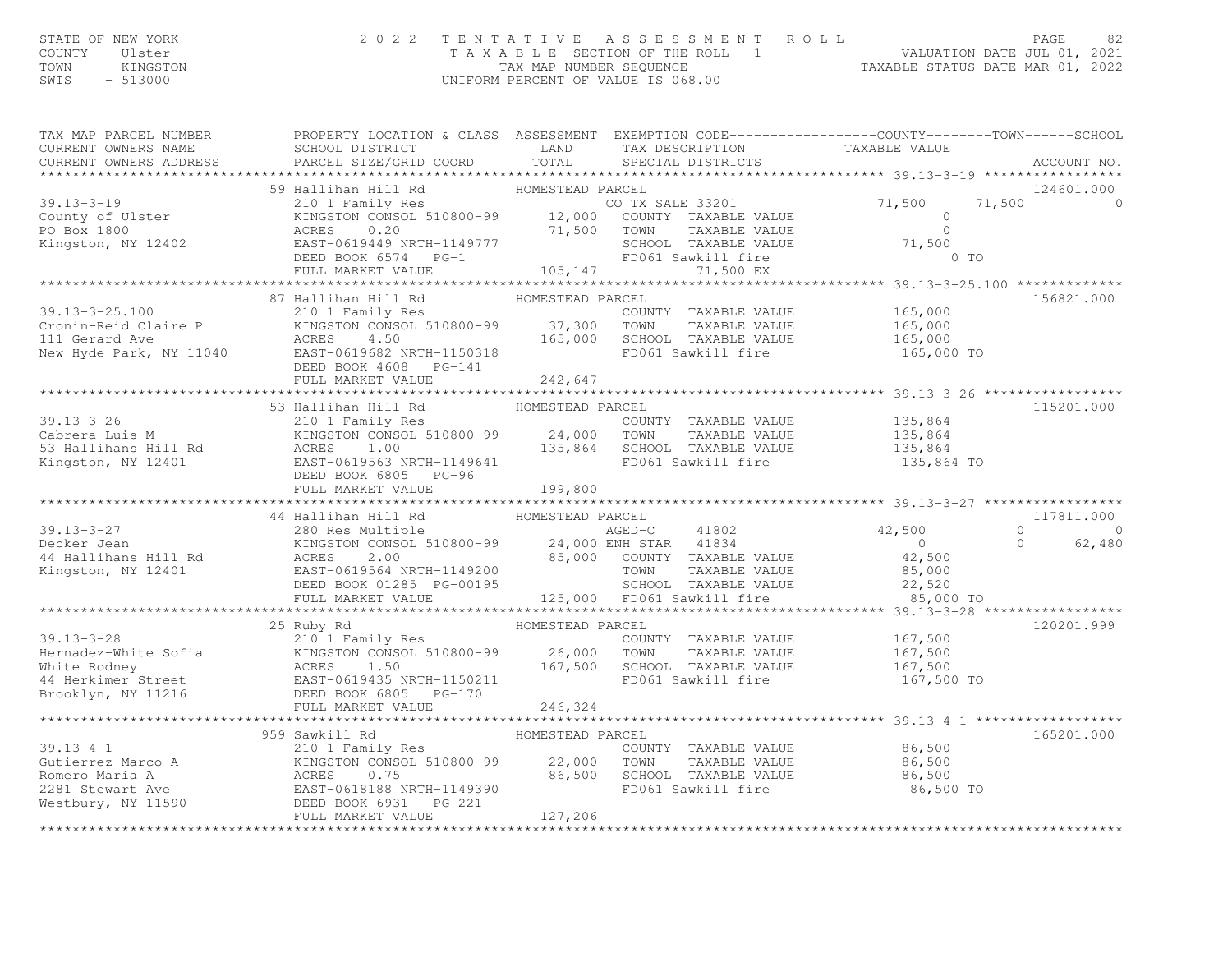## STATE OF NEW YORK CONTY - USE A Many of the Many Country - USE COUNTY - USE A MANY ORGE A MANY ORGE A MANY ORG<br>COUNTY - Ulster the Section of Taxable sequence the ROLL - 1 waluation date-jul 01, 2021<br>TAXABLE STATUS DATE-MA

|                                                                                                                                                                                                                                                   |                       |                  | PROPERTY LOCATION & CLASS ASSESSMENT EXEMPTION CODE----------------COUNTY-------TOWN------SCHOOL                                                                                                                                           |                |                                    |
|---------------------------------------------------------------------------------------------------------------------------------------------------------------------------------------------------------------------------------------------------|-----------------------|------------------|--------------------------------------------------------------------------------------------------------------------------------------------------------------------------------------------------------------------------------------------|----------------|------------------------------------|
| TAX MAP PARCEL NUMBER                                                                                                                                                                                                                             |                       |                  |                                                                                                                                                                                                                                            |                |                                    |
|                                                                                                                                                                                                                                                   |                       |                  |                                                                                                                                                                                                                                            |                |                                    |
| 12 PARCEL SIZE/GRID CORD TOTAL TRANSPECTED TRANSPORT TRANSPORT ON A COUNT NO CURRENT ON THE SCHOOL DISTRICT LAND TOTAL TRANSPECTED TRANSPECTED TRANSPECTED TRANSPECTED ACCOUNT NO THE CONDUCT ON THE CONDUCT ON THE CONDUCT ON                    |                       |                  |                                                                                                                                                                                                                                            |                |                                    |
|                                                                                                                                                                                                                                                   | 59 Hallihan Hill Rd   |                  |                                                                                                                                                                                                                                            |                | 124601.000                         |
| $39.13 - 3 - 19$                                                                                                                                                                                                                                  |                       |                  | Hallihan Hill Rd<br>210 1 Family Res<br>KINGSTON CONSOL 510800-99<br>22,000 COUNTY TAXABLE VALUE<br>ACRES 0.20 71,500 TOWN TAXABLE VALUE<br>EAST-0619449 NRTH-1149777 SCHOOL TAXABLE VALUE<br>DEED BOOK 6574 PG-1 105,147 71,500 ENGEL ARA | 71,500         | 71,500<br>$\Omega$                 |
|                                                                                                                                                                                                                                                   |                       |                  |                                                                                                                                                                                                                                            |                |                                    |
|                                                                                                                                                                                                                                                   |                       |                  |                                                                                                                                                                                                                                            |                |                                    |
| 39.13-3-12<br>County of Ulster<br>PO Box 1800<br>Kingston, NY 12402                                                                                                                                                                               |                       |                  |                                                                                                                                                                                                                                            | 71,500         |                                    |
|                                                                                                                                                                                                                                                   |                       |                  |                                                                                                                                                                                                                                            | 0 <sub>T</sub> |                                    |
|                                                                                                                                                                                                                                                   |                       |                  |                                                                                                                                                                                                                                            |                |                                    |
|                                                                                                                                                                                                                                                   |                       |                  |                                                                                                                                                                                                                                            |                |                                    |
|                                                                                                                                                                                                                                                   | 87 Hallihan Hill Rd   | HOMESTEAD PARCEL |                                                                                                                                                                                                                                            |                | 156821.000                         |
| $39.13 - 3 - 25.100$                                                                                                                                                                                                                              |                       |                  | 210 1 Family Res<br>EXECUTE TRABLE VALUE<br>COUNTY TAXABLE VALUE 165,000<br>RINGSTON CONSOL 510800-99 37,300 TOWN TAXABLE VALUE 165,000<br>ACRES 4.50 165,000 SCHOOL TAXABLE VALUE 165,000<br>EAST-0619682 NRTH-1150318 FD061 Sawkill fi   |                |                                    |
|                                                                                                                                                                                                                                                   |                       |                  |                                                                                                                                                                                                                                            |                |                                    |
|                                                                                                                                                                                                                                                   |                       |                  |                                                                                                                                                                                                                                            |                |                                    |
|                                                                                                                                                                                                                                                   |                       |                  |                                                                                                                                                                                                                                            |                |                                    |
|                                                                                                                                                                                                                                                   | DEED BOOK 4608 PG-141 |                  |                                                                                                                                                                                                                                            |                |                                    |
|                                                                                                                                                                                                                                                   | FULL MARKET VALUE     | 242,647          |                                                                                                                                                                                                                                            |                |                                    |
|                                                                                                                                                                                                                                                   | 53 Hallihan Hill Rd   | HOMESTEAD PARCEL |                                                                                                                                                                                                                                            |                | 115201.000                         |
|                                                                                                                                                                                                                                                   |                       |                  |                                                                                                                                                                                                                                            |                |                                    |
|                                                                                                                                                                                                                                                   |                       |                  |                                                                                                                                                                                                                                            |                |                                    |
|                                                                                                                                                                                                                                                   |                       |                  |                                                                                                                                                                                                                                            |                |                                    |
|                                                                                                                                                                                                                                                   |                       |                  |                                                                                                                                                                                                                                            |                |                                    |
|                                                                                                                                                                                                                                                   |                       |                  |                                                                                                                                                                                                                                            |                |                                    |
| 39.13-3-26 53 HOMESIEAD PARCEL<br>Country TAXABLE VALUE 135,864 115201.000<br>COUNTY TAXABLE VALUE 135,864 135,864<br>S3 Hallihans Hill Rd ACRES 1.00 1000 1000 1200 1200 1200 1200 135,864<br>KINGSTON CONSOL 510800-99 24,000 TOWN T            |                       |                  |                                                                                                                                                                                                                                            |                |                                    |
|                                                                                                                                                                                                                                                   |                       |                  |                                                                                                                                                                                                                                            |                |                                    |
|                                                                                                                                                                                                                                                   |                       |                  |                                                                                                                                                                                                                                            |                | 117811.000                         |
|                                                                                                                                                                                                                                                   |                       |                  |                                                                                                                                                                                                                                            |                | $\Omega$ and $\Omega$<br>$\bigcap$ |
|                                                                                                                                                                                                                                                   |                       |                  |                                                                                                                                                                                                                                            |                | $\Omega$<br>62,480                 |
|                                                                                                                                                                                                                                                   |                       |                  |                                                                                                                                                                                                                                            |                |                                    |
|                                                                                                                                                                                                                                                   |                       |                  |                                                                                                                                                                                                                                            |                |                                    |
|                                                                                                                                                                                                                                                   |                       |                  |                                                                                                                                                                                                                                            |                |                                    |
|                                                                                                                                                                                                                                                   |                       |                  |                                                                                                                                                                                                                                            |                |                                    |
|                                                                                                                                                                                                                                                   |                       |                  |                                                                                                                                                                                                                                            |                |                                    |
| $39.13 - 3 - 28$                                                                                                                                                                                                                                  | 25 Ruby Rd            |                  |                                                                                                                                                                                                                                            |                | 120201.999                         |
|                                                                                                                                                                                                                                                   |                       |                  |                                                                                                                                                                                                                                            |                |                                    |
|                                                                                                                                                                                                                                                   |                       |                  |                                                                                                                                                                                                                                            |                |                                    |
|                                                                                                                                                                                                                                                   |                       |                  | FD061 Sawkill fire 167,500 TO                                                                                                                                                                                                              |                |                                    |
| 39.13-3-28<br>Hernadez-White Sofia<br>White Rodney<br>White Rodney<br>44 Herkimer Street<br>Brooklyn, NY 11216<br>Brooklyn, NY 11216<br>DEED BOOK 6805<br>PG-170<br>DEED BOOK 6805<br>PG-170<br>DEED MOOK 6805<br>PG-170                          |                       |                  |                                                                                                                                                                                                                                            |                |                                    |
|                                                                                                                                                                                                                                                   | FULL MARKET VALUE     | 246,324          |                                                                                                                                                                                                                                            |                |                                    |
|                                                                                                                                                                                                                                                   |                       |                  |                                                                                                                                                                                                                                            |                |                                    |
|                                                                                                                                                                                                                                                   |                       |                  |                                                                                                                                                                                                                                            |                | 165201.000                         |
|                                                                                                                                                                                                                                                   |                       |                  |                                                                                                                                                                                                                                            |                |                                    |
|                                                                                                                                                                                                                                                   |                       |                  | COUNTY TAXABLE VALUE 86,500<br>TOWN TAXABLE VALUE 86,500<br>SCHOOL TAXABLE VALUE 86,500<br>FD061 Sawkill fire 86,500                                                                                                                       |                |                                    |
|                                                                                                                                                                                                                                                   |                       |                  |                                                                                                                                                                                                                                            |                |                                    |
|                                                                                                                                                                                                                                                   |                       |                  |                                                                                                                                                                                                                                            | 86,500 TO      |                                    |
|                                                                                                                                                                                                                                                   |                       |                  |                                                                                                                                                                                                                                            |                |                                    |
| EXERCISELY CONSULTED BOOK 6931 PG-221 CHANNEL MATCH CONSULTED PARCEL<br>SURFACE COUNT<br>ROMESTEAD PARCEL<br>ROMESTEAD PARCEL<br>ROMESTEAD PARCEL<br>ROMESTEAD PARCEL<br>ROMESTEAD PARCEL<br>TOWN<br>ROMESTEAD PARCEL<br>22,000 TOWN<br>ROMESTEAD |                       |                  |                                                                                                                                                                                                                                            |                |                                    |
|                                                                                                                                                                                                                                                   |                       |                  |                                                                                                                                                                                                                                            |                |                                    |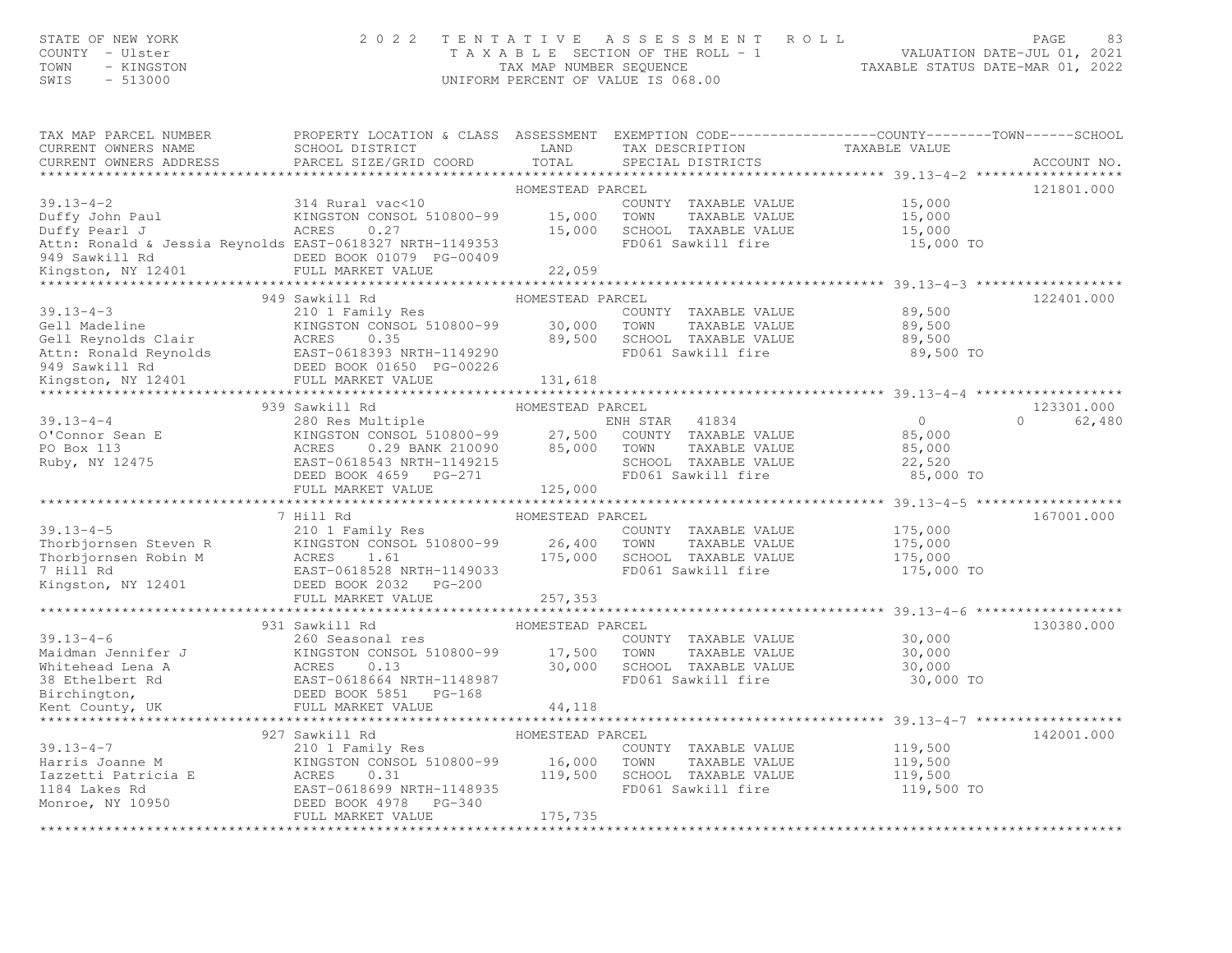STATE OF NEW YORK CONTY - USE A Many of the Many Country - USE A MAGNING COUNTY - USE A MAGNING STATE OF A MAN<br>COUNTY - Ulster the Many Number State of A MAP NUMBER SEQUENCE . THE ROLL - 1 WALUATION DATE-JUL 01, 2021<br>TAXAB

| TAX MAP PARCEL NUMBER<br>CURRENT OWNERS NAME<br>CURRENT OWNERS ADDRESS                                                                                                                                                                 | PROPERTY LOCATION & CLASS ASSESSMENT<br>SCHOOL DISTRICT<br>PARCEL SIZE/GRID COORD                         | LAND<br>TOTAL    | EXEMPTION CODE-----------------COUNTY-------TOWN------SCHOOL<br>TAX DESCRIPTION<br>SPECIAL DISTRICTS | TAXABLE VALUE  | ACCOUNT NO.      |
|----------------------------------------------------------------------------------------------------------------------------------------------------------------------------------------------------------------------------------------|-----------------------------------------------------------------------------------------------------------|------------------|------------------------------------------------------------------------------------------------------|----------------|------------------|
|                                                                                                                                                                                                                                        |                                                                                                           |                  |                                                                                                      |                |                  |
|                                                                                                                                                                                                                                        |                                                                                                           | HOMESTEAD PARCEL |                                                                                                      |                | 121801.000       |
| 39.13-4-2<br>Duffy John Paul<br>Duffy Pearl J                                                                                                                                                                                          | 314 Rural vac<10                                                                                          |                  | COUNTY TAXABLE VALUE 15,000                                                                          |                |                  |
|                                                                                                                                                                                                                                        | KINGSTON CONSOL 510800-99 15,000                                                                          |                  | TOWN<br>TAXABLE VALUE                                                                                | 15,000         |                  |
| Duffy Pearl J                                                                                                                                                                                                                          | ACRES<br>0.27                                                                                             | 15,000           | SCHOOL TAXABLE VALUE                                                                                 | 15,000         |                  |
| Attn: Ronald & Jessia Reynolds EAST-0618327 NRTH-1149353                                                                                                                                                                               |                                                                                                           |                  | FD061 Sawkill fire                                                                                   | 15,000 TO      |                  |
|                                                                                                                                                                                                                                        |                                                                                                           |                  |                                                                                                      |                |                  |
|                                                                                                                                                                                                                                        |                                                                                                           |                  |                                                                                                      |                |                  |
|                                                                                                                                                                                                                                        |                                                                                                           |                  |                                                                                                      |                |                  |
|                                                                                                                                                                                                                                        | 949 Sawkill Rd                                                                                            | HOMESTEAD PARCEL |                                                                                                      |                | 122401.000       |
| $39.13 - 4 - 3$                                                                                                                                                                                                                        | 210 1 Family Res                                                                                          |                  | COUNTY TAXABLE VALUE 89,500<br>TOWN TAXABLE VALUE 89,500                                             |                |                  |
|                                                                                                                                                                                                                                        |                                                                                                           |                  |                                                                                                      |                |                  |
|                                                                                                                                                                                                                                        |                                                                                                           |                  |                                                                                                      |                |                  |
|                                                                                                                                                                                                                                        |                                                                                                           |                  |                                                                                                      |                |                  |
|                                                                                                                                                                                                                                        |                                                                                                           |                  |                                                                                                      |                |                  |
| Command Chair (1990) 2008 2011 Madeline (1990) 2018 2012<br>Cell Reynolds Clair (1990) 2018 2018 2019 2018 2019<br>Math: Ronald Reynolds (1990) 2018 2019 2019<br>Math: Ronald Reynolds (1990) 2018 2019<br>Sawkill Rd (1990) 2018 202 |                                                                                                           |                  |                                                                                                      |                |                  |
|                                                                                                                                                                                                                                        | 939 Sawkill Rd                                                                                            | HOMESTEAD PARCEL |                                                                                                      |                | 123301.000       |
| $39.13 - 4 - 4$                                                                                                                                                                                                                        | 280 Res Multiple                                                                                          |                  | ENH STAR 41834                                                                                       | $\overline{0}$ | 62,480<br>$\cap$ |
|                                                                                                                                                                                                                                        |                                                                                                           |                  |                                                                                                      | 85,000         |                  |
| O'Connor Sean E<br>PO Box 113<br>Ruby, NY 12475                                                                                                                                                                                        | KINGSTON CONSOL 510800-99<br>ACRES 0.29 BANK 210090 85,000 TOWN TAXABLE VALUE                             |                  | TAXABLE VALUE                                                                                        | 85,000         |                  |
|                                                                                                                                                                                                                                        |                                                                                                           |                  |                                                                                                      | 22,520         |                  |
|                                                                                                                                                                                                                                        |                                                                                                           |                  | SCHOOL TAXABLE VALUE<br>FD061 Sawkill fire                                                           | 85,000 TO      |                  |
|                                                                                                                                                                                                                                        | ACRES U.29 DANN 210000<br>EAST-0618543 NRTH-1149215<br>DEED BOOK 4659 PG-271<br>FULL MARKET VALUE 125,000 |                  |                                                                                                      |                |                  |
|                                                                                                                                                                                                                                        |                                                                                                           |                  |                                                                                                      |                |                  |
|                                                                                                                                                                                                                                        | 7 Hill Rd                                                                                                 | HOMESTEAD PARCEL |                                                                                                      |                | 167001.000       |
| $39.13 - 4 - 5$                                                                                                                                                                                                                        | 210 1 Family Res                                                                                          |                  | COUNTY TAXABLE VALUE                                                                                 | 175,000        |                  |
|                                                                                                                                                                                                                                        |                                                                                                           |                  | TAXABLE VALUE                                                                                        | 175,000        |                  |
|                                                                                                                                                                                                                                        |                                                                                                           |                  | 175,000 SCHOOL TAXABLE VALUE                                                                         | 175,000        |                  |
| 39.13-4-5<br>Thorbjornsen Steven R<br>Thorbjornsen Robin M<br>Thorbjornsen Robin M<br>Thorbjornsen Robin M<br>Thorbjornsen Robin M<br>ERST-0618528 NRTH-1149033<br>Thil Rd<br>EED BOOK 2032 PG-200<br>FULL MARKET VALUE<br>257,353     |                                                                                                           |                  | FD061 Sawkill fire                                                                                   | 175,000 TO     |                  |
|                                                                                                                                                                                                                                        |                                                                                                           |                  |                                                                                                      |                |                  |
|                                                                                                                                                                                                                                        | FULL MARKET VALUE                                                                                         | 257,353          |                                                                                                      |                |                  |
|                                                                                                                                                                                                                                        |                                                                                                           |                  |                                                                                                      |                |                  |
|                                                                                                                                                                                                                                        | 931 Sawkill Rd                                                                                            | HOMESTEAD PARCEL |                                                                                                      |                | 130380.000       |
| $39.13 - 4 - 6$                                                                                                                                                                                                                        | 260 Seasonal res                                                                                          |                  | COUNTY TAXABLE VALUE 30,000                                                                          |                |                  |
|                                                                                                                                                                                                                                        | KINGSTON CONSOL 510800-99 17,500                                                                          |                  | TOWN      TAXABLE VALUE<br>SCHOOL   TAXABLE VALUE                                                    | 30,000         |                  |
| Naidman Jennifer J<br>Maidman Jennifer J<br>Whitehead Lena A<br>38 Ethelbert Rd<br>Birchington, DEED BOOK 5851 PG-168<br>Rent County, UK<br>Rent County, UK<br>FULL MARKET VALUE<br>Rent County, UK<br>FULL MARKET VALUE               |                                                                                                           | 30,000           |                                                                                                      | 30,000         |                  |
|                                                                                                                                                                                                                                        |                                                                                                           |                  | FD061 Sawkill fire                                                                                   | 30,000 TO      |                  |
|                                                                                                                                                                                                                                        |                                                                                                           |                  |                                                                                                      |                |                  |
|                                                                                                                                                                                                                                        |                                                                                                           | 44,118           |                                                                                                      |                |                  |
| *********************                                                                                                                                                                                                                  | ********************************                                                                          | ************     |                                                                                                      |                |                  |
|                                                                                                                                                                                                                                        | 927 Sawkill Rd                                                                                            | HOMESTEAD PARCEL |                                                                                                      |                | 142001.000       |
| $39.13 - 4 - 7$                                                                                                                                                                                                                        | 210 1 Family Res                                                                                          |                  | COUNTY TAXABLE VALUE                                                                                 | 119,500        |                  |
| Harris Joanne M                                                                                                                                                                                                                        | KINGSTON CONSOL 510800-99                                                                                 | 16,000 TOWN      | TAXABLE VALUE                                                                                        | 119,500        |                  |
| Iazzetti Patricia E                                                                                                                                                                                                                    | ACRES<br>0.31                                                                                             | 119,500          | SCHOOL TAXABLE VALUE                                                                                 | 119,500        |                  |
| 1184 Lakes Rd                                                                                                                                                                                                                          | EAST-0618699 NRTH-1148935                                                                                 |                  | FD061 Sawkill fire                                                                                   | 119,500 TO     |                  |
| Monroe, NY 10950                                                                                                                                                                                                                       | DEED BOOK 4978 PG-340<br>FULL MARKET VALUE                                                                |                  |                                                                                                      |                |                  |
|                                                                                                                                                                                                                                        |                                                                                                           | 175,735          |                                                                                                      |                |                  |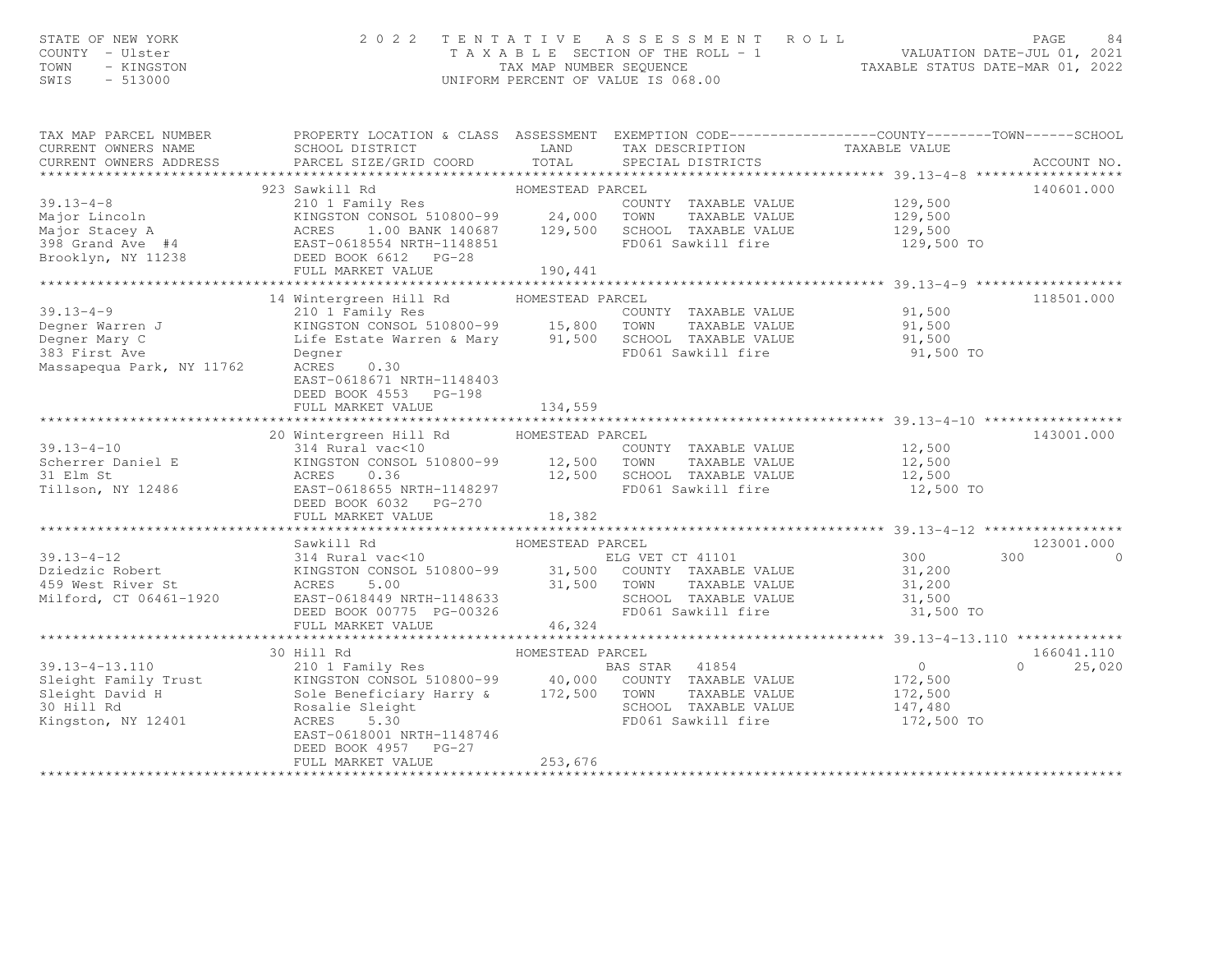### STATE OF NEW YORK UNIVE 2022 TENTATIVE ASSESSMENT ROLL PALUATION DATE–JUL 01, 2021<br>COUNTY - Ulster University of the SECTION OF THE ROLL - 1 WALUATION DATE–JUL 01, 2021<br>TAX ABLE SECTION OF THE ROLL - 1 TAX ABLE SEQUENCE AS

| TAX MAP PARCEL NUMBER<br>CURRENT OWNERS NAME                            | SCHOOL DISTRICT LAND<br>PARCEL SIZE/GRID COORD                                                                                                                                                                                                  | PROPERTY LOCATION & CLASS ASSESSMENT EXEMPTION CODE----------------COUNTY-------TOWN------SCHOOL<br>TAX DESCRIPTION TAXABLE VALUE<br>TOTAL                                                                                                                                                                                                                                                                                                                                                                      |                                                                                                                   |
|-------------------------------------------------------------------------|-------------------------------------------------------------------------------------------------------------------------------------------------------------------------------------------------------------------------------------------------|-----------------------------------------------------------------------------------------------------------------------------------------------------------------------------------------------------------------------------------------------------------------------------------------------------------------------------------------------------------------------------------------------------------------------------------------------------------------------------------------------------------------|-------------------------------------------------------------------------------------------------------------------|
| $39.13 - 4 - 8$                                                         | 923 Sawkill Rd<br>Major Lincoln<br>Major Stacey A (MINGSTON CONSOL 510800-99 24,000<br>398 Grand Ave #4 (EAST-0618554 NRTH-1148851<br>Brooklyn, NY 11238 (EAST-0618554 NRTH-1148851<br>ETHER MAPYET MANYET MATHER 2006 112<br>FULL MARKET VALUE | HOMESTEAD PARCEL<br>COUNTY TAXABLE VALUE 129,500<br>TOWN TAXABLE VALUE 129,500<br>SCHOOL TAXABLE VALUE 129,500<br>FD061 Sawkill fire 129,500 TO<br>SCHOOL TAXABLE VALUE<br>190,441                                                                                                                                                                                                                                                                                                                              | 140601.000                                                                                                        |
| $39.13 - 4 - 9$<br>383 First Ave<br>Massapequa Park, NY 11762           | 14 Wintergreen Hill Rd HOMESTEAD PARCEL<br>210 1 Family Res<br>Degner<br>ACRES<br>0.30<br>EAST-0618671 NRTH-1148403<br>DEED BOOK 4553 PG-198<br>FULL MARKET VALUE                                                                               | CEL<br>COUNTY TAXABLE VALUE 91,500<br>TOMM TAXARLE VALUE 91,500<br>FD061 Sawkill fire<br>134,559                                                                                                                                                                                                                                                                                                                                                                                                                | 118501.000<br>91,500 TO                                                                                           |
| $39.13 - 4 - 10$<br>Scherrer Daniel E<br>31 Elm St<br>Tillson, NY 12486 | 20 Wintergreen Hill Rd HOMESTEAD PARCEL                                                                                                                                                                                                         | COUNTY TAXABLE VALUE 12,500<br>TOWN TAXABLE VALUE 12,500<br>CCUOOL TAVABLE VALUE 12,500<br>314 Rural vac<10<br>KINGSTON CONSOL 510800-99<br>ACRES 0.36<br>EAST-0618655 NRTH-1148297<br>TRYABLE VALUE<br>TRYABLE VALUE<br>TRYABLE VALUE<br>TRYABLE VALUE<br>TRYABLE VALUE<br>TRYABLE VALUE<br>TRYABLE VALUE<br>12,500<br>TD061 Sawkill fire<br>12,50                                                                                                                                                             | 143001.000                                                                                                        |
|                                                                         |                                                                                                                                                                                                                                                 |                                                                                                                                                                                                                                                                                                                                                                                                                                                                                                                 |                                                                                                                   |
|                                                                         | Sawkill Rd                                                                                                                                                                                                                                      | HOMESTEAD PARCEL<br>ELG VI<br>39.13-4-12<br>200 Dziedzic Robert 314 Rural vac<10<br>214 Rural vac<10<br>21,500 COUNTY TAXABLE VALUE<br>21,200 SOUNTY TAXABLE VALUE<br>21,200 SCHOOL TAXABLE VALUE<br>21,200 SCHOOL TAXABLE VALUE<br>21,200 SCHOOL TAXABLE VALUE<br>21,500 SC                                                                                                                                                                                                                                    | 123001.000<br>300<br>$\Omega$<br>31,500 TO                                                                        |
|                                                                         |                                                                                                                                                                                                                                                 |                                                                                                                                                                                                                                                                                                                                                                                                                                                                                                                 |                                                                                                                   |
|                                                                         | EAST-0618001 NRTH-1148746<br>DEED BOOK 4957 PG-27<br>FULL MARKET VALUE                                                                                                                                                                          | $\begin{tabular}{lllllllllllll} \textbf{30 Hill Rd} & \textbf{HOMESTEAD PARCH} \\ 30.13-4-13.110 & \textbf{210 1 Family Res} \\ \textbf{Sleigh Family Trust} & \textbf{KINGSTON CONSOL 510800-99} & \textbf{40,000} & \textbf{COUNTY} & \textbf{TAXABLE VALUE} \\ \textbf{Sleigh David H} & \textbf{Sole Benedictary Harry & & & 172,500} & \textbf{TOWN} & \textbf{TAXABLE VALUE} \\ 30 Hill Rd & & & & & & & 172,500 & \textbf{TOWN} & \textbf{TAXABLE VALUE} \\ \textbf$<br>TAXABLE VALUE 172,500<br>253,676 | 166041.110<br>$\begin{smallmatrix}&&0\\&&172,500\end{smallmatrix}$<br>25,020<br>$\Omega$<br>147,480<br>172,500 TO |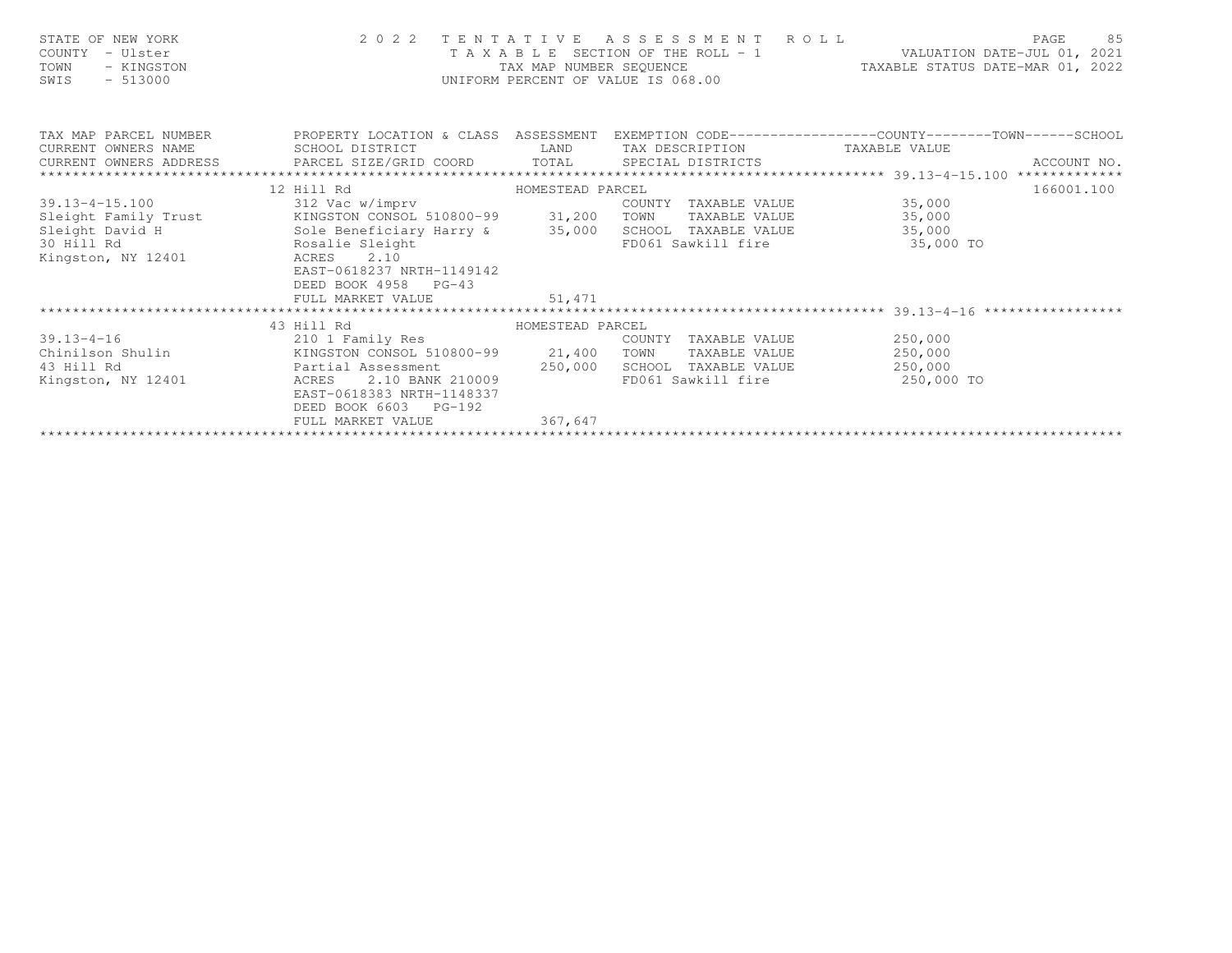| STATE OF NEW YORK<br>COUNTY<br>- Ulster<br>TOWN<br>- KINGSTON<br>$-513000$<br>SWIS                              | 2 0 2 2                                                                                                             | TENTATIVE ASSESSMENT ROLL<br>T A X A B L E SECTION OF THE ROLL - 1<br>TAX MAP NUMBER SEQUENCE<br>UNIFORM PERCENT OF VALUE IS 068.00 |      |                      |         |            | PAGE<br>VALUATION DATE-JUL 01, 2021<br>TAXABLE STATUS DATE-MAR 01, 2022 | 85 |
|-----------------------------------------------------------------------------------------------------------------|---------------------------------------------------------------------------------------------------------------------|-------------------------------------------------------------------------------------------------------------------------------------|------|----------------------|---------|------------|-------------------------------------------------------------------------|----|
| TAX MAP PARCEL NUMBER<br>CURRENT OWNERS NAME                                                                    | PROPERTY LOCATION & CLASS ASSESSMENT EXEMPTION CODE----------------COUNTY-------TOWN------SCHOOL<br>SCHOOL DISTRICT | LAND TAX DESCRIPTION TAXABLE VALUE                                                                                                  |      |                      |         |            |                                                                         |    |
| CURRENT OWNERS ADDRESS                                                                                          |                                                                                                                     |                                                                                                                                     |      |                      |         |            |                                                                         |    |
| .CURRENT OWNERS ADDRESS PARCEL SIZE/GRID COORD TOTAL SPECIAL DISTRICTS ACCOUNT NO ACCOUNT NO ACCOUNT NO ACCOUNT |                                                                                                                     |                                                                                                                                     |      |                      |         |            |                                                                         |    |
|                                                                                                                 | 12 Hill Rd<br>HOMESTEAD PARCEL                                                                                      |                                                                                                                                     |      |                      |         |            | 166001.100                                                              |    |
| $39.13 - 4 - 15.100$                                                                                            |                                                                                                                     |                                                                                                                                     |      | COUNTY TAXABLE VALUE | 35,000  |            |                                                                         |    |
|                                                                                                                 | 312 Vac w/imprv<br>KINGSTON CONSOL 510800-99 31,200                                                                 |                                                                                                                                     | TOWN | TAXABLE VALUE        |         | 35,000     |                                                                         |    |
| Sleight Family Trust KINGSTON CONSOL 510800-99 31,200<br>Sleight David H Sole Beneficiary Harry & 35,000        |                                                                                                                     |                                                                                                                                     |      | SCHOOL TAXABLE VALUE | 35,000  |            |                                                                         |    |
| 30 Hill Rd<br>Kingston, NY 12401                                                                                | Rosalie Sleight<br>2.10<br>ACRES<br>EAST-0618237 NRTH-1149142<br>DEED BOOK 4958 PG-43                               |                                                                                                                                     |      | FD061 Sawkill fire   |         | 35,000 TO  |                                                                         |    |
|                                                                                                                 | FULL MARKET VALUE                                                                                                   | 51,471                                                                                                                              |      |                      |         |            |                                                                         |    |
|                                                                                                                 |                                                                                                                     |                                                                                                                                     |      |                      |         |            |                                                                         |    |
|                                                                                                                 | 43 Hill Rd                                                                                                          | HOMESTEAD PARCEL                                                                                                                    |      |                      |         |            |                                                                         |    |
| $39.13 - 4 - 16$                                                                                                | 210 1 Family Res                                                                                                    |                                                                                                                                     |      | COUNTY TAXABLE VALUE |         | 250,000    |                                                                         |    |
| Chinilson Shulin                                                                                                | KINGSTON CONSOL 510800-99 21,400                                                                                    |                                                                                                                                     | TOWN | TAXABLE VALUE        | 250,000 |            |                                                                         |    |
| 43 Hill Rd                                                                                                      | Partial Assessment                                                                                                  | 250,000                                                                                                                             |      | SCHOOL TAXABLE VALUE |         | 250,000    |                                                                         |    |
| Kingston, NY 12401                                                                                              | 2.10 BANK 210009<br>ACRES<br>EAST-0618383 NRTH-1148337<br>DEED BOOK 6603 PG-192                                     |                                                                                                                                     |      | FD061 Sawkill fire   |         | 250,000 TO |                                                                         |    |
|                                                                                                                 | FULL MARKET VALUE                                                                                                   | 367,647                                                                                                                             |      |                      |         |            |                                                                         |    |
|                                                                                                                 |                                                                                                                     |                                                                                                                                     |      |                      |         |            |                                                                         |    |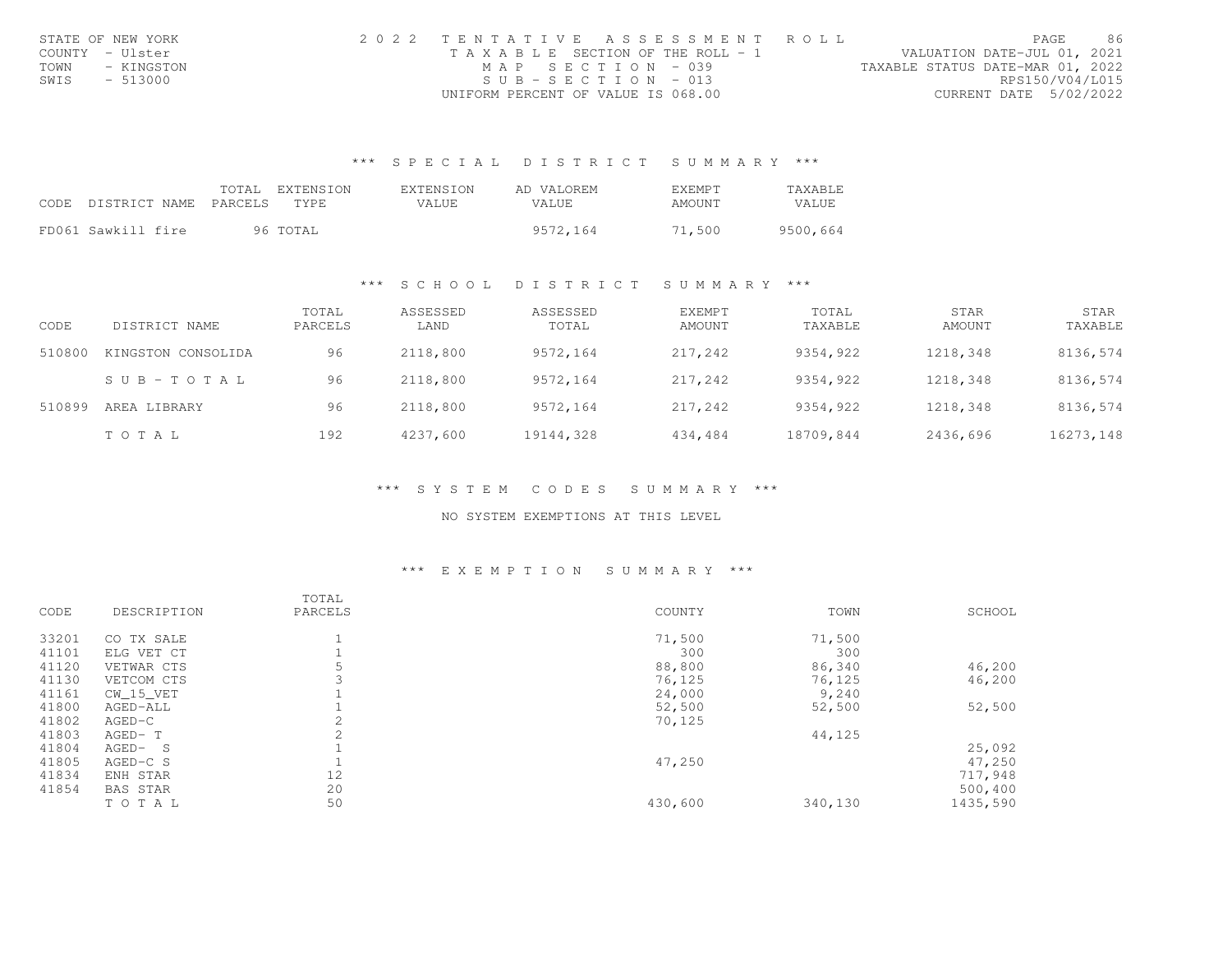|      | STATE OF NEW YORK | 2022 TENTATIVE ASSESSMENT ROLL                                       | PAGE.           | 86 |
|------|-------------------|----------------------------------------------------------------------|-----------------|----|
|      | COUNTY - Ulster   | VALUATION DATE-JUL 01, 2021<br>T A X A B L E SECTION OF THE ROLL - 1 |                 |    |
| TOWN | - KINGSTON        | TAXABLE STATUS DATE-MAR 01, 2022<br>MAP SECTION - 039                |                 |    |
| SWIS | - 513000          | $SUB - SECTION - 013$                                                | RPS150/V04/L015 |    |
|      |                   | CURRENT DATE 5/02/2022<br>UNIFORM PERCENT OF VALUE IS 068.00         |                 |    |

#### \*\*\* S P E C I A L D I S T R I C T S U M M A R Y \*\*\*

| CODE DISTRICT NAME PARCELS TYPE | TOTAL EXTENSION | EXTENSION<br>VALUE. | AD VALOREM<br>VALUE. | <b>F.XFMPT</b><br>AMOUNT | <b>TAXABLE</b><br>VALUE |
|---------------------------------|-----------------|---------------------|----------------------|--------------------------|-------------------------|
| FD061 Sawkill fire              | 96 TOTAL        |                     | 9572,164             | 71,500                   | 9500,664                |

#### \*\*\* S C H O O L D I S T R I C T S U M M A R Y \*\*\*

| CODE   | DISTRICT NAME      | TOTAL<br>PARCELS | ASSESSED<br>LAND | ASSESSED<br>TOTAL | <b>EXEMPT</b><br>AMOUNT | TOTAL<br>TAXABLE | STAR<br>AMOUNT | STAR<br>TAXABLE |
|--------|--------------------|------------------|------------------|-------------------|-------------------------|------------------|----------------|-----------------|
| 510800 | KINGSTON CONSOLIDA | 96               | 2118,800         | 9572,164          | 217,242                 | 9354,922         | 1218,348       | 8136,574        |
|        | SUB-TOTAL          | 96               | 2118,800         | 9572,164          | 217,242                 | 9354,922         | 1218,348       | 8136,574        |
| 510899 | AREA LIBRARY       | 96               | 2118,800         | 9572,164          | 217,242                 | 9354,922         | 1218,348       | 8136,574        |
|        | TOTAL              | 192              | 4237,600         | 19144,328         | 434,484                 | 18709,844        | 2436,696       | 16273,148       |

\*\*\* S Y S T E M C O D E S S U M M A R Y \*\*\*

NO SYSTEM EXEMPTIONS AT THIS LEVEL

#### \*\*\* E X E M P T I O N S U M M A R Y \*\*\*

|       |                 | TOTAL   |         |         |          |
|-------|-----------------|---------|---------|---------|----------|
| CODE  | DESCRIPTION     | PARCELS | COUNTY  | TOWN    | SCHOOL   |
| 33201 | CO TX SALE      |         | 71,500  | 71,500  |          |
| 41101 | ELG VET CT      |         | 300     | 300     |          |
| 41120 | VETWAR CTS      | 5       | 88,800  | 86,340  | 46,200   |
| 41130 | VETCOM CTS      |         | 76,125  | 76,125  | 46,200   |
| 41161 | CW 15 VET       |         | 24,000  | 9,240   |          |
| 41800 | AGED-ALL        |         | 52,500  | 52,500  | 52,500   |
| 41802 | $AGED-C$        |         | 70,125  |         |          |
| 41803 | AGED-T          |         |         | 44,125  |          |
| 41804 | AGED-S          |         |         |         | 25,092   |
| 41805 | AGED-C S        |         | 47,250  |         | 47,250   |
| 41834 | ENH STAR        | 12      |         |         | 717,948  |
| 41854 | <b>BAS STAR</b> | 20      |         |         | 500,400  |
|       | TOTAL           | 50      | 430,600 | 340,130 | 1435,590 |
|       |                 |         |         |         |          |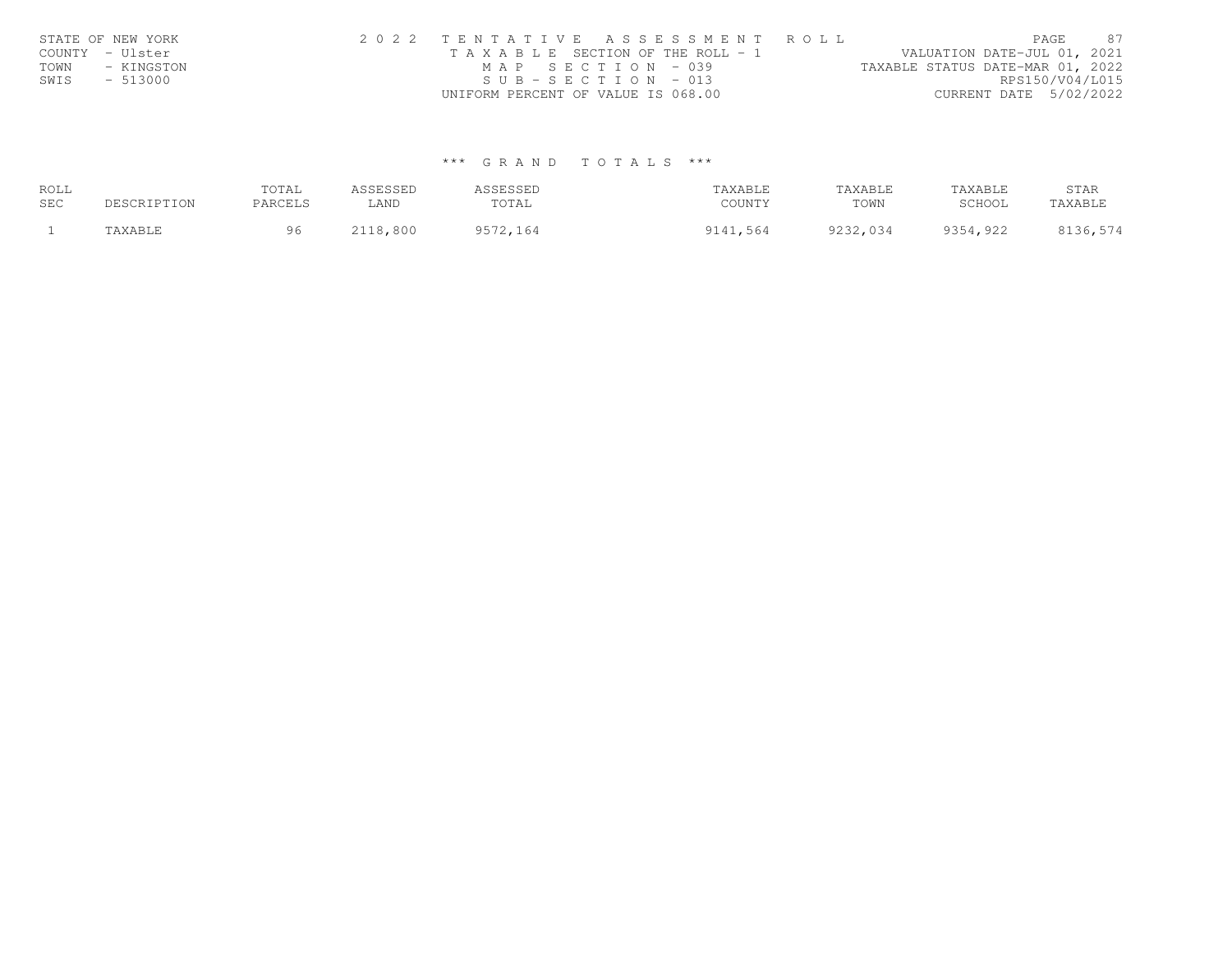| STATE OF NEW YORK  | 2022 TENTATIVE ASSESSMENT ROLL |                                       | 87<br>PAGE.                      |
|--------------------|--------------------------------|---------------------------------------|----------------------------------|
| COUNTY - Ulster    |                                | T A X A B L E SECTION OF THE ROLL - 1 | VALUATION DATE-JUL 01, 2021      |
| TOWN<br>- KINGSTON |                                | MAP SECTION - 039                     | TAXABLE STATUS DATE-MAR 01, 2022 |
| SWIS<br>$-513000$  |                                | $SUB - SECTION - 013$                 | RPS150/V04/L015                  |
|                    |                                | UNIFORM PERCENT OF VALUE IS 068.00    | CURRENT DATE 5/02/2022           |

### \*\*\* G R A N D T O T A L S \*\*\*

| ROLL<br><b>SEC</b> | <b>DESCRIPTION</b>            | TOTAL<br>PARCELS | CCFCCFD<br>عشامات<br>LAND | <b>CCECCED</b><br>للتاددتك<br>TOTAI | TAXABLE<br>COUNTY | TAXABLE<br>TOWN | TAXABLE<br>SCHOOL | STAR<br>TAXABLE |
|--------------------|-------------------------------|------------------|---------------------------|-------------------------------------|-------------------|-----------------|-------------------|-----------------|
|                    | A Y A R T.F<br><b>AAAD PL</b> |                  | 800<br>າດ.                | 164                                 | 1141,564          | 9232,034        | 4,922             | しょしりょし / ユ      |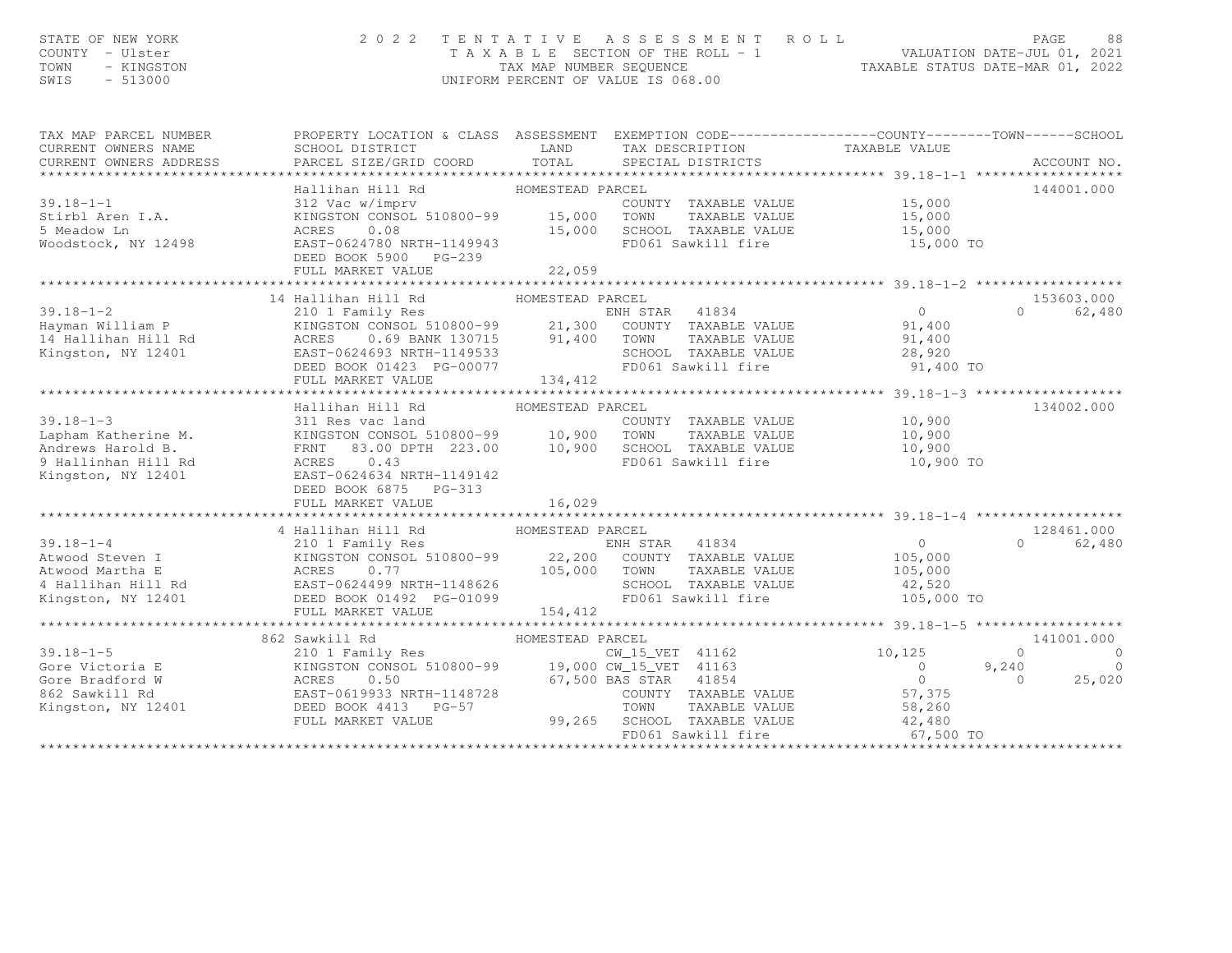## STATE OF NEW YORK CONTY - USE A Many of the Many Country - USE COUNTY - USE A MANY ORGE A MANY ORGE A MANY ORG<br>COUNTY - Ulster the Many Number Stories of A MAP NUMBER SEQUENCE . THE ROLL - 1 WALUATION DATE-JUL 01, 2021<br>TAX

| TAX MAP PARCEL NUMBER<br>CURRENT OWNERS NAME                                                                                                                                                                                                             | SCHOOL DISTRICT                      | PROPERTY LOCATION & CLASS ASSESSMENT EXEMPTION CODE----------------COUNTY-------TOWN------SCHOOL<br>LAND TAX DESCRIPTION TAXABLE VALUE |                  |           |                |
|----------------------------------------------------------------------------------------------------------------------------------------------------------------------------------------------------------------------------------------------------------|--------------------------------------|----------------------------------------------------------------------------------------------------------------------------------------|------------------|-----------|----------------|
|                                                                                                                                                                                                                                                          |                                      |                                                                                                                                        |                  |           |                |
|                                                                                                                                                                                                                                                          |                                      |                                                                                                                                        |                  |           |                |
|                                                                                                                                                                                                                                                          |                                      | COUNTY TAXABLE VALUE 15,000<br>TOWN TAXABLE VALUE 15,000                                                                               |                  |           | 144001.000     |
|                                                                                                                                                                                                                                                          |                                      |                                                                                                                                        |                  |           |                |
|                                                                                                                                                                                                                                                          |                                      |                                                                                                                                        |                  |           |                |
| TOTAL SPEC<br>39.18-1-1<br>312 Vac w/impry<br>5 Meadow Ln<br>5 Meadow Ln<br>6 Moodstock, NY 12498<br>312 Vac w/impry<br>212 Vac w/impry<br>212 Vac w/impry<br>212 Vac w/impry<br>212 Vac w/impry<br>212 Vac w/impry<br>215,000 TOWN<br>224780 NRTH-11499 |                                      | ACRES 0.08 15,000 SCHOOL TAXABLE VALUE 15,000<br>EAST-0624780 NRTH-1149943 FD061 Sawkill fire 15,000<br>PEER BOOK 5000 PC 330          | 15,000 TO        |           |                |
|                                                                                                                                                                                                                                                          |                                      |                                                                                                                                        |                  |           |                |
|                                                                                                                                                                                                                                                          |                                      |                                                                                                                                        |                  |           |                |
|                                                                                                                                                                                                                                                          | 14 Hallihan Hill Rd MOMESTEAD PARCEL |                                                                                                                                        |                  |           | 153603.000     |
|                                                                                                                                                                                                                                                          |                                      |                                                                                                                                        |                  |           |                |
|                                                                                                                                                                                                                                                          |                                      |                                                                                                                                        |                  |           |                |
|                                                                                                                                                                                                                                                          |                                      |                                                                                                                                        |                  |           |                |
|                                                                                                                                                                                                                                                          |                                      |                                                                                                                                        |                  |           |                |
|                                                                                                                                                                                                                                                          |                                      |                                                                                                                                        |                  |           |                |
|                                                                                                                                                                                                                                                          |                                      |                                                                                                                                        |                  |           |                |
|                                                                                                                                                                                                                                                          | Hallihan Hill Rd MOMESTEAD PARCEL    |                                                                                                                                        |                  |           |                |
|                                                                                                                                                                                                                                                          |                                      |                                                                                                                                        |                  |           | 134002.000     |
|                                                                                                                                                                                                                                                          |                                      | COUNTY TAXABLE VALUE 10,900                                                                                                            |                  |           |                |
|                                                                                                                                                                                                                                                          |                                      |                                                                                                                                        | 10,900<br>10,900 |           |                |
|                                                                                                                                                                                                                                                          |                                      | FD061 Sawkill fire 10,900 TO                                                                                                           |                  |           |                |
|                                                                                                                                                                                                                                                          |                                      |                                                                                                                                        |                  |           |                |
|                                                                                                                                                                                                                                                          | DEED BOOK 6875 PG-313                |                                                                                                                                        |                  |           |                |
|                                                                                                                                                                                                                                                          |                                      |                                                                                                                                        |                  |           |                |
|                                                                                                                                                                                                                                                          |                                      |                                                                                                                                        |                  |           |                |
| 39.18-1-4<br>39.18-1-4<br>210 1 Family Res<br>210 1 Family Res<br>22,200 COUNTY TAXABLE VALUE<br>22,200 COUNTY TAXABLE VALUE<br>22,200 COUNTY TAXABLE VALUE<br>22,200 COUNTY TAXABLE VALUE<br>22,200 COUNTY TAXABLE VALUE<br>23,520<br>22,200 COUN       |                                      |                                                                                                                                        |                  |           | 128461.000     |
|                                                                                                                                                                                                                                                          |                                      |                                                                                                                                        |                  |           | 0 62,480       |
|                                                                                                                                                                                                                                                          |                                      |                                                                                                                                        |                  |           |                |
|                                                                                                                                                                                                                                                          |                                      |                                                                                                                                        |                  |           |                |
|                                                                                                                                                                                                                                                          |                                      |                                                                                                                                        |                  |           |                |
|                                                                                                                                                                                                                                                          |                                      | SCHOOL TAXABLE VALUE 42,520<br>FD061 Sawkill fire 105,000 TO                                                                           |                  |           |                |
|                                                                                                                                                                                                                                                          |                                      |                                                                                                                                        |                  |           |                |
|                                                                                                                                                                                                                                                          |                                      |                                                                                                                                        |                  |           |                |
|                                                                                                                                                                                                                                                          |                                      |                                                                                                                                        |                  |           | 141001.000     |
| $39.18 - 1 - 5$                                                                                                                                                                                                                                          |                                      |                                                                                                                                        |                  | $\bigcap$ | $\overline{0}$ |
| Gore Victoria E                                                                                                                                                                                                                                          |                                      |                                                                                                                                        |                  | 9,240     | $\bigcap$      |
| Gore Bradford W                                                                                                                                                                                                                                          |                                      |                                                                                                                                        |                  | $\Omega$  | 25,020         |
| 862 Sawkill Rd                                                                                                                                                                                                                                           |                                      |                                                                                                                                        |                  |           |                |
| Kingston, NY 12401                                                                                                                                                                                                                                       |                                      |                                                                                                                                        |                  |           |                |
|                                                                                                                                                                                                                                                          |                                      |                                                                                                                                        |                  |           |                |
|                                                                                                                                                                                                                                                          |                                      | FD061 Sawkill fire 67,500 TO                                                                                                           |                  |           |                |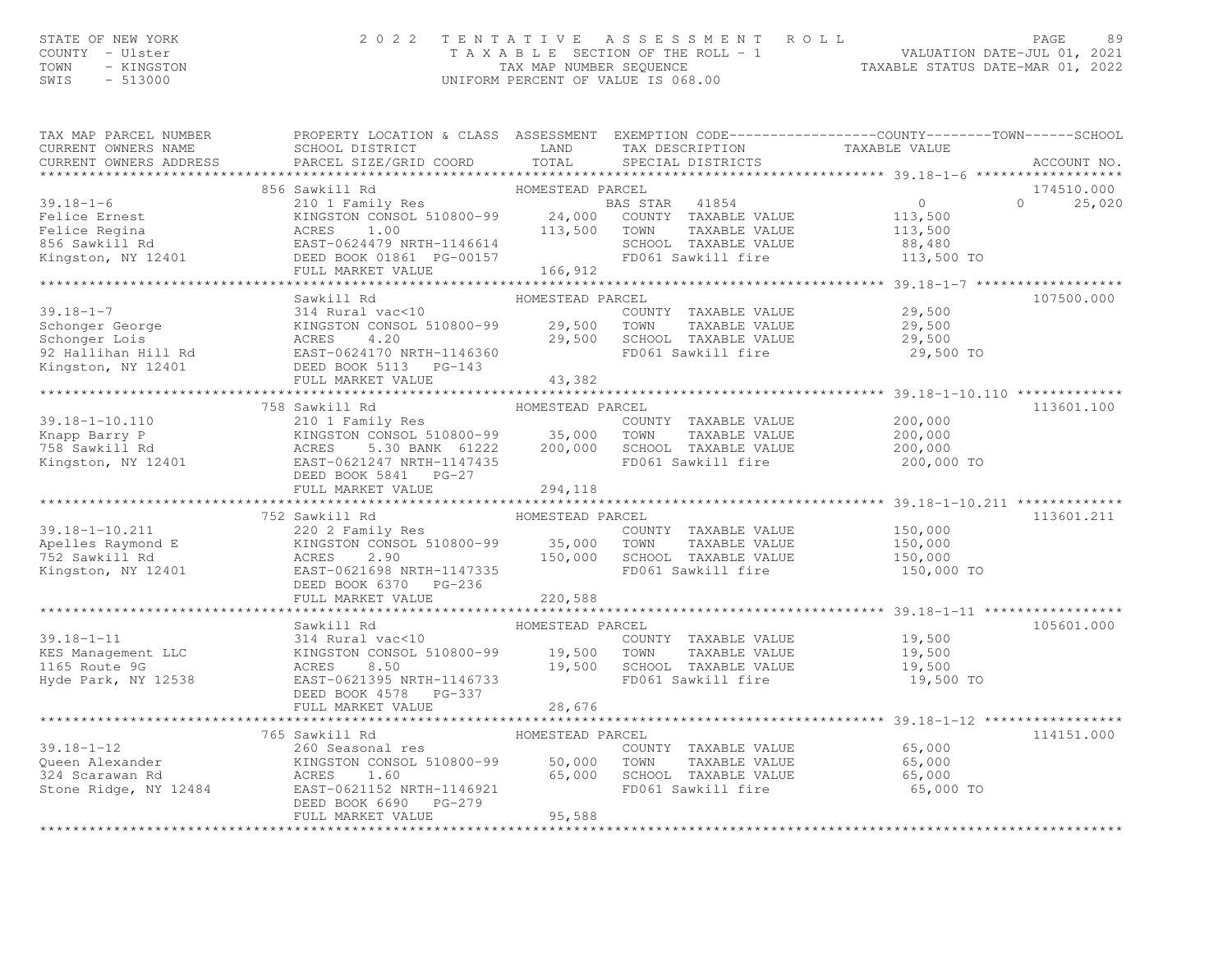### STATE OF NEW YORK 2 0 2 2 T E N T A T I V E A S S E S S M E N T R O L L PAGE 89 COUNTY - Ulster T A X A B L E SECTION OF THE ROLL - 1 VALUATION DATE-JUL 01, 2021 TOWN - KINGSTON TAX MAP NUMBER SEQUENCE TAXABLE STATUS DATE-MAR 01, 2022 SWIS - 513000 UNIFORM PERCENT OF VALUE IS 068.00

| TAX MAP PARCEL NUMBER                                                                                                                                                                                                                                    | PROPERTY LOCATION & CLASS ASSESSMENT EXEMPTION CODE----------------COUNTY-------TOWN------SCHOOL                          |                  |                                                                                                |            |                    |
|----------------------------------------------------------------------------------------------------------------------------------------------------------------------------------------------------------------------------------------------------------|---------------------------------------------------------------------------------------------------------------------------|------------------|------------------------------------------------------------------------------------------------|------------|--------------------|
|                                                                                                                                                                                                                                                          |                                                                                                                           |                  |                                                                                                |            |                    |
|                                                                                                                                                                                                                                                          |                                                                                                                           |                  |                                                                                                |            | 174510.000         |
|                                                                                                                                                                                                                                                          |                                                                                                                           |                  |                                                                                                |            | $\Omega$<br>25,020 |
|                                                                                                                                                                                                                                                          |                                                                                                                           |                  |                                                                                                |            |                    |
|                                                                                                                                                                                                                                                          |                                                                                                                           |                  |                                                                                                |            |                    |
|                                                                                                                                                                                                                                                          |                                                                                                                           |                  |                                                                                                |            |                    |
|                                                                                                                                                                                                                                                          |                                                                                                                           |                  |                                                                                                |            |                    |
| 19.18-1-6<br>Felice Ernest 210 1 Family Res BAS STAR 41854<br>Felice Ernest KINGSTON CONSOL 510800-99 24,000 COUNTY TAXABLE VALUE<br>Felice Regina ACRES 1.00 113,500 TOWN TAXABLE VALUE 113,500<br>856 Sawkill Rd EAST-0624479 NRTH-1                   |                                                                                                                           |                  | FD061 Sawkill fire 113,500 TO                                                                  |            |                    |
|                                                                                                                                                                                                                                                          |                                                                                                                           |                  |                                                                                                |            |                    |
|                                                                                                                                                                                                                                                          | Sawkill Rd                                                                                                                | HOMESTEAD PARCEL | RCEL<br>COUNTY TAXABLE VALUE 29,500<br>TOWN TAXABLE VALUE 29,500<br>TILOT TAYABLE VALUE 29,500 |            | 107500.000         |
| $39.18 - 1 - 7$                                                                                                                                                                                                                                          | 314 Rural vac<10                                                                                                          |                  |                                                                                                |            |                    |
|                                                                                                                                                                                                                                                          |                                                                                                                           |                  |                                                                                                |            |                    |
|                                                                                                                                                                                                                                                          |                                                                                                                           |                  | 29,500 SCHOOL TAXABLE VALUE                                                                    |            |                    |
|                                                                                                                                                                                                                                                          |                                                                                                                           |                  | FD061 Sawkill fire 29,500 TO                                                                   |            |                    |
|                                                                                                                                                                                                                                                          |                                                                                                                           |                  |                                                                                                |            |                    |
| 39.18-1-7<br>Schonger George<br>Schonger Lois<br>Schonger Lois<br>29,500 TOWN<br>29,500 TOWN<br>29,500 TOWN<br>29,500 SCHOC<br>29,500 SCHOC<br>29,500 SCHOC<br>29,500 SCHOC<br>29,500 SCHOC<br>29,500 SCHOC<br>29,500 SCHOC<br>29,500 SCHOC<br>29,500 ED | FULL MARKET VALUE                                                                                                         | 43,382           |                                                                                                |            |                    |
|                                                                                                                                                                                                                                                          |                                                                                                                           |                  |                                                                                                |            |                    |
|                                                                                                                                                                                                                                                          | 758 Sawkill Rd                                                                                                            | HOMESTEAD PARCEL |                                                                                                |            | 113601.100         |
|                                                                                                                                                                                                                                                          |                                                                                                                           |                  | COUNTY TAXABLE VALUE 200,000                                                                   |            |                    |
|                                                                                                                                                                                                                                                          | XINGSTON CONSOL 510800-99 35,000 TOWN TAXABLE VALUE 200,000<br>ACRES 5.30 BANK 61222 200,000 SCHOOL TAXABLE VALUE 200,000 |                  |                                                                                                |            |                    |
|                                                                                                                                                                                                                                                          |                                                                                                                           |                  |                                                                                                |            |                    |
|                                                                                                                                                                                                                                                          |                                                                                                                           |                  | FD061 Sawkill fire                                                                             | 200,000 TO |                    |
|                                                                                                                                                                                                                                                          |                                                                                                                           |                  |                                                                                                |            |                    |
|                                                                                                                                                                                                                                                          | FULL MARKET VALUE                                                                                                         | 294,118          |                                                                                                |            |                    |
|                                                                                                                                                                                                                                                          |                                                                                                                           |                  |                                                                                                |            |                    |
|                                                                                                                                                                                                                                                          | 752 Sawkill Rd                                                                                                            | HOMESTEAD PARCEL |                                                                                                |            | 113601.211         |
|                                                                                                                                                                                                                                                          |                                                                                                                           |                  |                                                                                                |            |                    |
|                                                                                                                                                                                                                                                          |                                                                                                                           |                  |                                                                                                |            |                    |
|                                                                                                                                                                                                                                                          |                                                                                                                           |                  |                                                                                                |            |                    |
|                                                                                                                                                                                                                                                          |                                                                                                                           |                  |                                                                                                | 150,000 TO |                    |
|                                                                                                                                                                                                                                                          |                                                                                                                           |                  |                                                                                                |            |                    |
|                                                                                                                                                                                                                                                          | FULL MARKET VALUE                                                                                                         | 220,588          |                                                                                                |            |                    |
|                                                                                                                                                                                                                                                          |                                                                                                                           |                  |                                                                                                |            |                    |
|                                                                                                                                                                                                                                                          | Sawkill Rd<br>314 Rural vac<10                                                                                            | HOMESTEAD PARCEL |                                                                                                |            | 105601.000         |
| $39.18 - 1 - 11$                                                                                                                                                                                                                                         |                                                                                                                           |                  | COUNTY TAXABLE VALUE 19,500                                                                    |            |                    |
|                                                                                                                                                                                                                                                          |                                                                                                                           |                  | TAXABLE VALUE 19,500                                                                           |            |                    |
|                                                                                                                                                                                                                                                          | ACRES 8.50 19,500 SCHOOL TAXABLE VALUE 19,500<br>EAST-0621395_NRTH-1146733 FD061 Sawkill fire 19,500 TO                   |                  |                                                                                                |            |                    |
|                                                                                                                                                                                                                                                          |                                                                                                                           |                  |                                                                                                |            |                    |
|                                                                                                                                                                                                                                                          | DEED BOOK 4578 PG-337                                                                                                     |                  |                                                                                                |            |                    |
|                                                                                                                                                                                                                                                          | FULL MARKET VALUE                                                                                                         | 28,676           |                                                                                                |            |                    |
|                                                                                                                                                                                                                                                          |                                                                                                                           |                  |                                                                                                |            |                    |
|                                                                                                                                                                                                                                                          | 765 Sawkill Rd                                                                                                            | HOMESTEAD PARCEL |                                                                                                |            | 114151.000         |
| $39.18 - 1 - 12$                                                                                                                                                                                                                                         | 260 Seasonal res                                                                                                          |                  | COUNTY TAXABLE VALUE 65,000                                                                    |            |                    |
|                                                                                                                                                                                                                                                          | KINGSTON CONSOL 510800-99 50,000<br>ACRES 1.60 65,000                                                                     |                  |                                                                                                |            |                    |
|                                                                                                                                                                                                                                                          |                                                                                                                           |                  |                                                                                                |            |                    |
| Queen Alexander<br>324 Scarawan Rd<br>Stone Ridge, NY 12484                                                                                                                                                                                              | EAST-0621152 NRTH-1146921                                                                                                 |                  | FD061 Sawkill fire                                                                             | 65,000 TO  |                    |
|                                                                                                                                                                                                                                                          | DEED BOOK 6690 PG-279                                                                                                     |                  |                                                                                                |            |                    |
|                                                                                                                                                                                                                                                          | FULL MARKET VALUE                                                                                                         | 95,588           |                                                                                                |            |                    |

\*\*\*\*\*\*\*\*\*\*\*\*\*\*\*\*\*\*\*\*\*\*\*\*\*\*\*\*\*\*\*\*\*\*\*\*\*\*\*\*\*\*\*\*\*\*\*\*\*\*\*\*\*\*\*\*\*\*\*\*\*\*\*\*\*\*\*\*\*\*\*\*\*\*\*\*\*\*\*\*\*\*\*\*\*\*\*\*\*\*\*\*\*\*\*\*\*\*\*\*\*\*\*\*\*\*\*\*\*\*\*\*\*\*\*\*\*\*\*\*\*\*\*\*\*\*\*\*\*\*\*\*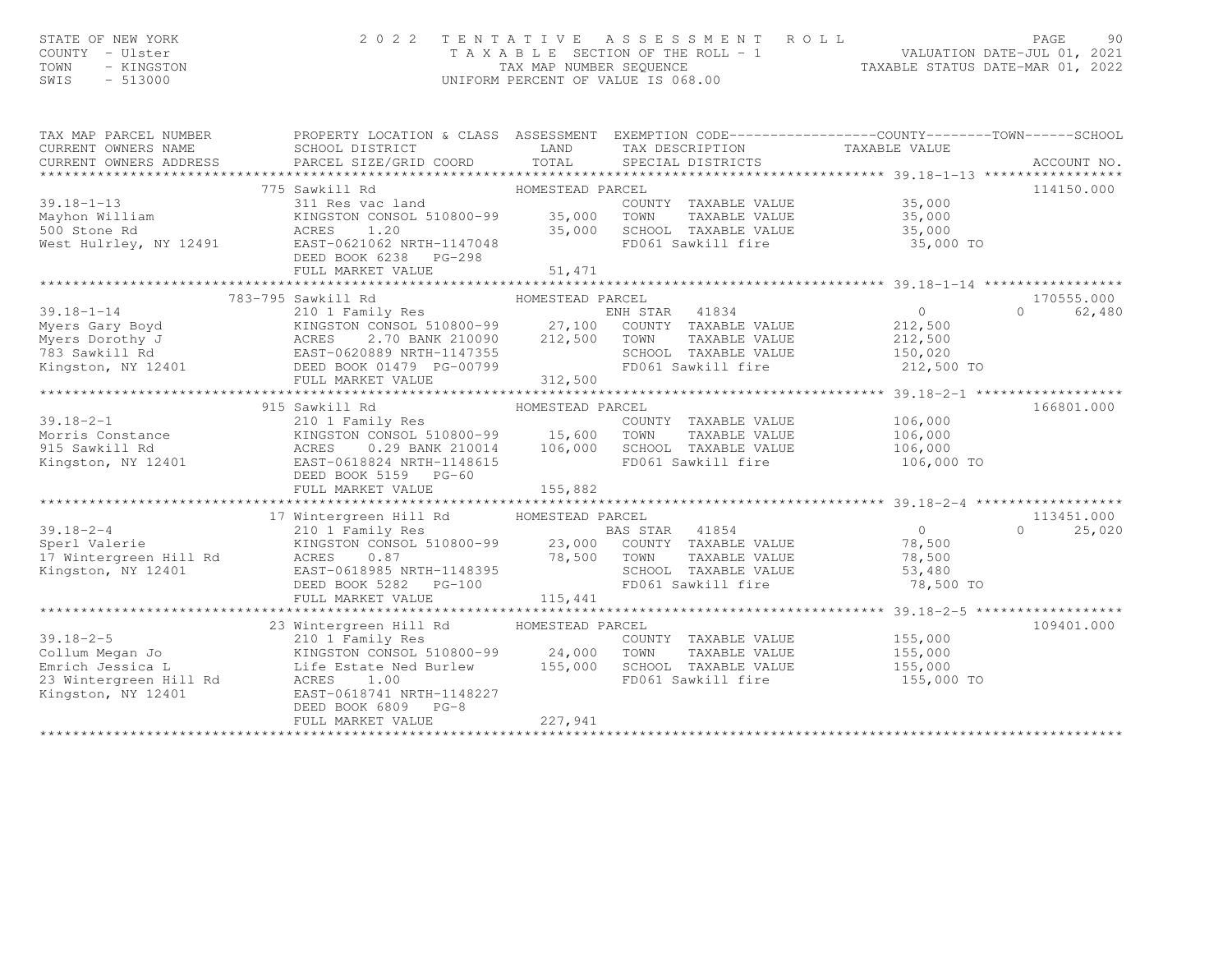### STATE OF NEW YORK PAGE 90<br>COUNTY - Ulster (2001) TAXABLE SECTION OF THE ROLL - 1 (NALUATION DATE-JUL 01, 2021<br>TAXABLE SECTION OF THE ROLL - 1 (NALUATION DATE-JUL 01, 2021<br>SWIS - 513000 (INTFORM PERCENT OF VALUE IS 068.00 )

| TAX MAP PARCEL NUMBER<br>CURRENT OWNERS NAME<br>CURRENT OWNERS ADDRESS                                                                                                                                                                                 | PROPERTY LOCATION & CLASS ASSESSMENT EXEMPTION CODE----------------COUNTY-------TOWN------SCHOOL |                        |                               |                      |                    |
|--------------------------------------------------------------------------------------------------------------------------------------------------------------------------------------------------------------------------------------------------------|--------------------------------------------------------------------------------------------------|------------------------|-------------------------------|----------------------|--------------------|
|                                                                                                                                                                                                                                                        | 775 Sawkill Rd                                                                                   |                        |                               |                      | 114150.000         |
| $39.18 - 1 - 13$                                                                                                                                                                                                                                       |                                                                                                  |                        | COUNTY TAXABLE VALUE          | 35,000               |                    |
|                                                                                                                                                                                                                                                        | KINGSTON CONSOL 510800-99 35,000 TOWN                                                            |                        |                               | TAXABLE VALUE 35,000 |                    |
| Mayhon William<br>500 Stone Rd<br>West Hulrley, NY 12491                                                                                                                                                                                               | ACRES<br>1,20                                                                                    |                        | SCHOOL TAXABLE VALUE          | 35,000               |                    |
|                                                                                                                                                                                                                                                        | EAST-0621062 NRTH-1147048                                                                        | $35,000$<br>TH-1147048 | FD061 Sawkill fire            | 35,000 TO            |                    |
|                                                                                                                                                                                                                                                        | DEED BOOK 6238 PG-298                                                                            |                        |                               |                      |                    |
|                                                                                                                                                                                                                                                        | FULL MARKET VALUE                                                                                | 51,471                 |                               |                      |                    |
|                                                                                                                                                                                                                                                        |                                                                                                  |                        |                               |                      |                    |
|                                                                                                                                                                                                                                                        |                                                                                                  |                        |                               |                      | 170555.000         |
|                                                                                                                                                                                                                                                        |                                                                                                  |                        |                               |                      | 62,480<br>$\Omega$ |
|                                                                                                                                                                                                                                                        |                                                                                                  |                        |                               |                      |                    |
|                                                                                                                                                                                                                                                        |                                                                                                  |                        |                               |                      |                    |
|                                                                                                                                                                                                                                                        |                                                                                                  |                        |                               |                      |                    |
|                                                                                                                                                                                                                                                        |                                                                                                  |                        |                               | 212,500 TO           |                    |
|                                                                                                                                                                                                                                                        |                                                                                                  |                        |                               |                      |                    |
|                                                                                                                                                                                                                                                        |                                                                                                  |                        |                               |                      |                    |
| HOMESTEAD PARCEL<br>Morris Constance<br>Morris Constance<br>Morris Constance<br>Morris Constance<br>Morris Constance<br>Morris Constance<br>Morris Constance<br>Morris Constance<br>Morris Constance<br>Morris Constance<br>Morris Constance<br>Morris |                                                                                                  |                        |                               |                      | 166801.000         |
|                                                                                                                                                                                                                                                        |                                                                                                  |                        | COUNTY TAXABLE VALUE 106,000  |                      |                    |
|                                                                                                                                                                                                                                                        |                                                                                                  |                        |                               |                      |                    |
|                                                                                                                                                                                                                                                        |                                                                                                  |                        |                               |                      |                    |
|                                                                                                                                                                                                                                                        |                                                                                                  |                        | FD061 Sawkill fire 106,000 TO |                      |                    |
|                                                                                                                                                                                                                                                        |                                                                                                  |                        |                               |                      |                    |
|                                                                                                                                                                                                                                                        |                                                                                                  |                        |                               |                      |                    |
| 17 Wintergreen Hill Rd<br>210 1 Family Res<br>210 1 Family Res<br>210 1 Family Res<br>210 1 Family Res<br>23,000 COUNTY TAXABLE VALUE<br>23,000 COUNTY TAXABLE VALUE<br>23,000 COUNTY TAXABLE VALUE<br>23,000 COUNTY TAXABLE VALUE<br>23,000 COU       |                                                                                                  |                        |                               |                      |                    |
|                                                                                                                                                                                                                                                        |                                                                                                  |                        |                               |                      | 113451.000         |
|                                                                                                                                                                                                                                                        |                                                                                                  |                        |                               |                      | $\Omega$<br>25,020 |
|                                                                                                                                                                                                                                                        |                                                                                                  |                        |                               |                      |                    |
|                                                                                                                                                                                                                                                        |                                                                                                  |                        |                               |                      |                    |
|                                                                                                                                                                                                                                                        |                                                                                                  |                        |                               |                      |                    |
|                                                                                                                                                                                                                                                        | 78,500<br>EAST-0618985 NRTH-1148395<br>DEED BOOK 5282 PG-100<br>FULL MARKET VALUE                |                        | FD061 Sawkill fire            | 78,500 TO            |                    |
|                                                                                                                                                                                                                                                        |                                                                                                  |                        |                               |                      |                    |
|                                                                                                                                                                                                                                                        | 23 Wintergreen Hill Rd                                                                           | HOMESTEAD PARCEL       |                               |                      | 109401.000         |
| $39.18 - 2 - 5$                                                                                                                                                                                                                                        | 210 1 Family Res                                                                                 |                        | COUNTY TAXABLE VALUE 155,000  |                      |                    |
| Collum Megan Jo                                                                                                                                                                                                                                        | ZIO I Family Res<br>KINGSTON CONSOL 510800-99         24,000                                     |                        | TAXABLE VALUE<br>TOWN         | 155,000              |                    |
|                                                                                                                                                                                                                                                        |                                                                                                  |                        | SCHOOL TAXABLE VALUE 155,000  |                      |                    |
|                                                                                                                                                                                                                                                        |                                                                                                  |                        | FD061 Sawkill fire            | 155,000 TO           |                    |
| Emrich Jessica Land Birle Estate Ned Burley (155,000)<br>23 Wintergreen Hill Rd (155,000)<br>Kingston, NY 12401 (1685-0618741 NRTH-1148227)<br>Kingston, NY 12401                                                                                      | EAST-0618741 NRTH-1148227                                                                        |                        |                               |                      |                    |
|                                                                                                                                                                                                                                                        | DEED BOOK 6809 PG-8                                                                              |                        |                               |                      |                    |
|                                                                                                                                                                                                                                                        | FULL MARKET VALUE                                                                                | 227,941                |                               |                      |                    |
|                                                                                                                                                                                                                                                        |                                                                                                  |                        |                               |                      |                    |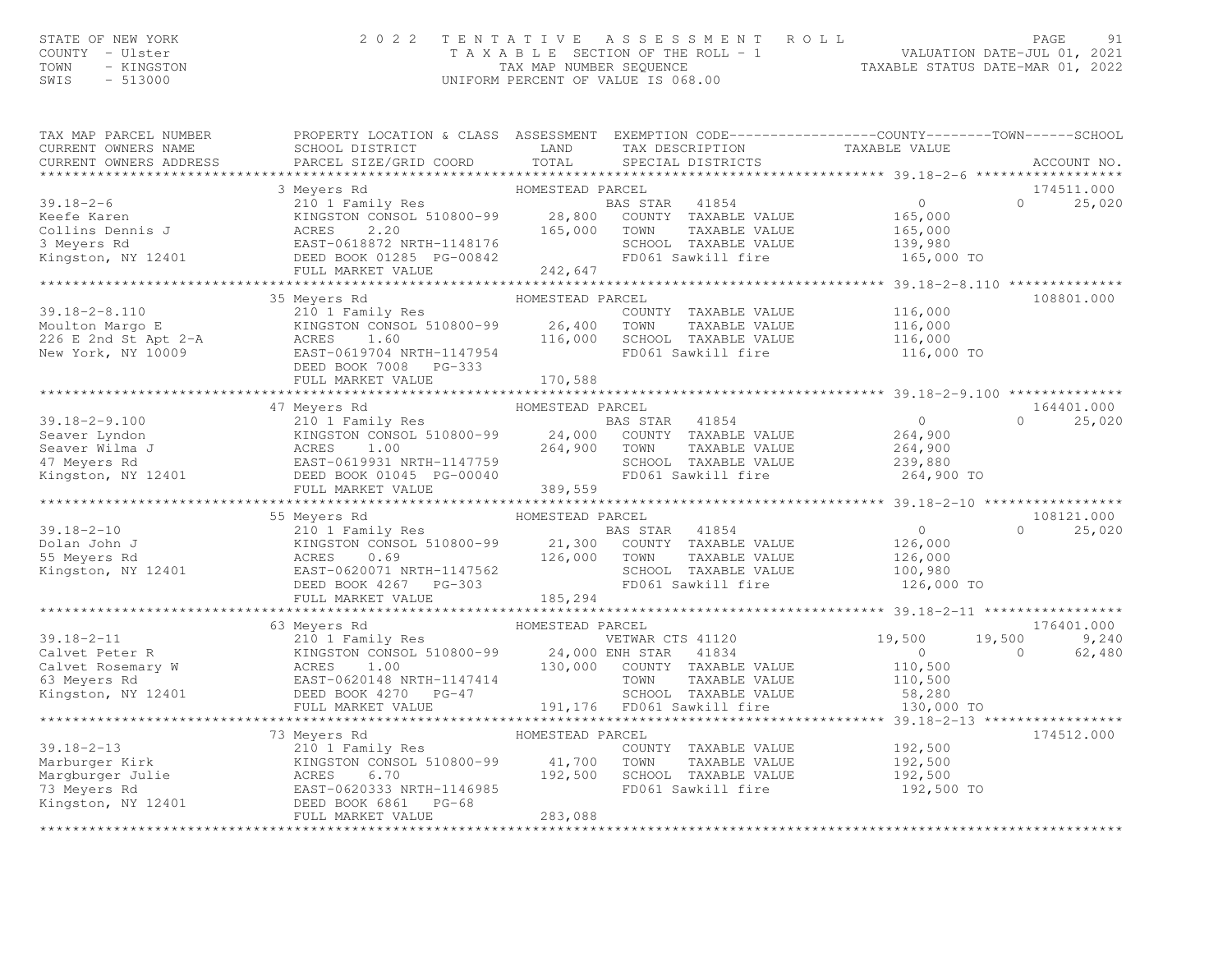### STATE OF NEW YORK PAGE 91<br>COUNTY - Ulster (2001) TAXABLE SECTION OF THE ROLL - 1 (NALUATION DATE-JUL 01, 2021<br>TAXABLE SECTION OF THE ROLL - 1 (NALUATION DATE-JUL 01, 2021<br>SWIS - 513000 (INTFORM PERCENT OF VALUE TS 068.00)

| TAX MAP PARCEL NUMBER<br>CURRENT OWNERS NAME                                                                                                                                                                                                                                                                                                                                                                                                   | SCHOOL DISTRICT                       | LAND                  | PROPERTY LOCATION & CLASS ASSESSMENT EXEMPTION CODE----------------COUNTY-------TOWN-----SCHOOL                  |                    |          |             |
|------------------------------------------------------------------------------------------------------------------------------------------------------------------------------------------------------------------------------------------------------------------------------------------------------------------------------------------------------------------------------------------------------------------------------------------------|---------------------------------------|-----------------------|------------------------------------------------------------------------------------------------------------------|--------------------|----------|-------------|
| CURRENT OWNERS ADDRESS                                                                                                                                                                                                                                                                                                                                                                                                                         | PARCEL SIZE/GRID COORD TOTAL          |                       | TAX DESCRIPTION TAXABLE VALUE SPECIAL DISTRICTS                                                                  |                    |          | ACCOUNT NO. |
|                                                                                                                                                                                                                                                                                                                                                                                                                                                |                                       |                       |                                                                                                                  |                    |          |             |
|                                                                                                                                                                                                                                                                                                                                                                                                                                                | 3 Meyers Rd                           | HOMESTEAD PARCEL      |                                                                                                                  |                    |          | 174511.000  |
| $39.18 - 2 - 6$                                                                                                                                                                                                                                                                                                                                                                                                                                | 210 1 Family Res                      |                       | BAS STAR 41854                                                                                                   | $\overline{0}$     | $\Omega$ | 25,020      |
|                                                                                                                                                                                                                                                                                                                                                                                                                                                |                                       |                       | ETT TURITY NUS<br>KINGSTON CONSOL 510800-99 28,800 COUNTY TAXABLE VALUE<br>ACRES 2.20 165,000 TOWN TAXABLE VALUE |                    |          |             |
|                                                                                                                                                                                                                                                                                                                                                                                                                                                |                                       |                       |                                                                                                                  | 165,000<br>165,000 |          |             |
|                                                                                                                                                                                                                                                                                                                                                                                                                                                |                                       |                       |                                                                                                                  |                    |          |             |
|                                                                                                                                                                                                                                                                                                                                                                                                                                                |                                       |                       | SCHOOL TAXABLE VALUE 139,980<br>FD061 Sawkill fire 165,000 TO                                                    |                    |          |             |
|                                                                                                                                                                                                                                                                                                                                                                                                                                                | FULL MARKET VALUE                     | 242,647               |                                                                                                                  |                    |          |             |
|                                                                                                                                                                                                                                                                                                                                                                                                                                                |                                       |                       |                                                                                                                  |                    |          |             |
|                                                                                                                                                                                                                                                                                                                                                                                                                                                | 35 Meyers Rd                          | HOMESTEAD PARCEL      |                                                                                                                  |                    |          | 108801.000  |
| $39.18 - 2 - 8.110$                                                                                                                                                                                                                                                                                                                                                                                                                            | 210 1 Family Res                      |                       | COUNTY TAXABLE VALUE 116,000                                                                                     |                    |          |             |
|                                                                                                                                                                                                                                                                                                                                                                                                                                                |                                       |                       |                                                                                                                  |                    |          |             |
|                                                                                                                                                                                                                                                                                                                                                                                                                                                |                                       |                       |                                                                                                                  |                    |          |             |
|                                                                                                                                                                                                                                                                                                                                                                                                                                                |                                       |                       |                                                                                                                  | 116,000 TO         |          |             |
|                                                                                                                                                                                                                                                                                                                                                                                                                                                |                                       |                       |                                                                                                                  |                    |          |             |
|                                                                                                                                                                                                                                                                                                                                                                                                                                                | FULL MARKET VALUE                     | 170,588               |                                                                                                                  |                    |          |             |
|                                                                                                                                                                                                                                                                                                                                                                                                                                                |                                       |                       |                                                                                                                  |                    |          |             |
|                                                                                                                                                                                                                                                                                                                                                                                                                                                |                                       |                       |                                                                                                                  |                    |          | 164401.000  |
|                                                                                                                                                                                                                                                                                                                                                                                                                                                |                                       |                       |                                                                                                                  | $\Omega$           | $\Omega$ | 25,020      |
|                                                                                                                                                                                                                                                                                                                                                                                                                                                |                                       |                       |                                                                                                                  | 264,900            |          |             |
|                                                                                                                                                                                                                                                                                                                                                                                                                                                |                                       |                       |                                                                                                                  | 264,900            |          |             |
|                                                                                                                                                                                                                                                                                                                                                                                                                                                |                                       |                       |                                                                                                                  | 239,880            |          |             |
|                                                                                                                                                                                                                                                                                                                                                                                                                                                |                                       |                       | FD061 Sawkill fire                                                                                               | 264,900 TO         |          |             |
| $\begin{tabular}{lllllllllllllllllll} \multicolumn{3.0}{l} \multicolumn{3.0}{l} \multicolumn{3.0}{l} \multicolumn{3.0}{l} \multicolumn{3.0}{l} \multicolumn{3.0}{l} \multicolumn{3.0}{l} \multicolumn{3.0}{l} \multicolumn{3.0}{l} \multicolumn{3.0}{l} \multicolumn{3.0}{l} \multicolumn{3.0}{l} \multicolumn{3.0}{l} \multicolumn{3.0}{l} \multicolumn{3.0}{l} \multicolumn{3.0}{l} \multicolumn{3.0}{l} \multicolumn{3.0}{l} \multicolumn{$ |                                       |                       |                                                                                                                  |                    |          |             |
|                                                                                                                                                                                                                                                                                                                                                                                                                                                |                                       |                       |                                                                                                                  |                    |          |             |
|                                                                                                                                                                                                                                                                                                                                                                                                                                                | 55 Meyers Rd                          | HOMESTEAD PARCEL      |                                                                                                                  |                    |          | 108121.000  |
| $39.18 - 2 - 10$                                                                                                                                                                                                                                                                                                                                                                                                                               | KING<br>ACRES<br>EAST-                |                       | 41854<br>BAS STAR                                                                                                | $\overline{0}$     | $\cap$   | 25,020      |
|                                                                                                                                                                                                                                                                                                                                                                                                                                                |                                       |                       |                                                                                                                  | 126,000<br>126,000 |          |             |
|                                                                                                                                                                                                                                                                                                                                                                                                                                                |                                       |                       |                                                                                                                  |                    |          |             |
|                                                                                                                                                                                                                                                                                                                                                                                                                                                |                                       |                       | SCHOOL TAXABLE VALUE                                                                                             | 100,980            |          |             |
| COUNTY TAXABLE VALUE<br>Solan John J<br>S5 Meyers Rd<br>Kingston, NY 12401<br>EAST-0620071 NRTH-1147562<br>DEED BOOK 4267 PG-303<br>DEED BOOK 4267 PG-303<br>FD061 Sawkill fire<br>FD061 Sawkill fire                                                                                                                                                                                                                                          |                                       |                       |                                                                                                                  | 126,000 TO         |          |             |
|                                                                                                                                                                                                                                                                                                                                                                                                                                                | FULL MARKET VALUE                     | 185,294               |                                                                                                                  |                    |          |             |
|                                                                                                                                                                                                                                                                                                                                                                                                                                                |                                       |                       |                                                                                                                  |                    |          |             |
|                                                                                                                                                                                                                                                                                                                                                                                                                                                |                                       |                       |                                                                                                                  |                    |          |             |
|                                                                                                                                                                                                                                                                                                                                                                                                                                                |                                       |                       |                                                                                                                  |                    |          |             |
|                                                                                                                                                                                                                                                                                                                                                                                                                                                |                                       |                       |                                                                                                                  |                    |          |             |
|                                                                                                                                                                                                                                                                                                                                                                                                                                                |                                       |                       |                                                                                                                  |                    |          |             |
|                                                                                                                                                                                                                                                                                                                                                                                                                                                |                                       |                       |                                                                                                                  |                    |          |             |
|                                                                                                                                                                                                                                                                                                                                                                                                                                                |                                       |                       |                                                                                                                  |                    |          |             |
|                                                                                                                                                                                                                                                                                                                                                                                                                                                |                                       |                       |                                                                                                                  |                    |          |             |
| 39.18-2-11 63 Meyers Rd HOMESTEAD PARCEL<br>39.18-2-11 176401.000<br>Calvet Peter R KINGSTON CONSOL 510800-99 24,000 ENH STAR 41834 0<br>Calvet Rosemary W ACRES 1.00 130,000 COUNTY TAXABLE VALUE<br>SANTER PART CALVE 110,500 0 62,4                                                                                                                                                                                                         |                                       |                       |                                                                                                                  |                    |          |             |
|                                                                                                                                                                                                                                                                                                                                                                                                                                                | 73 Meyers Rd                          | HOMESTEAD PARCEL      |                                                                                                                  |                    |          | 174512.000  |
| $39.18 - 2 - 13$                                                                                                                                                                                                                                                                                                                                                                                                                               | 210 1 Family Res                      |                       | COUNTY TAXABLE VALUE                                                                                             | 192,500            |          |             |
|                                                                                                                                                                                                                                                                                                                                                                                                                                                | KINGSTON CONSOL 510800-99 41,700 TOWN |                       | TAXABLE VALUE                                                                                                    | 192,500            |          |             |
|                                                                                                                                                                                                                                                                                                                                                                                                                                                | ACRES<br>6.70                         | $192,500$<br>-1146985 | SCHOOL TAXABLE VALUE                                                                                             | 192,500            |          |             |
|                                                                                                                                                                                                                                                                                                                                                                                                                                                | EAST-0620333 NRTH-1146985             |                       | FD061 Sawkill fire                                                                                               | 192,500 TO         |          |             |
| rarburger Kirk<br>Margburger Julie<br>73 Meyers Rd<br>Kingston, NY 12401                                                                                                                                                                                                                                                                                                                                                                       | DEED BOOK 6861<br>$PG-68$             |                       |                                                                                                                  |                    |          |             |
|                                                                                                                                                                                                                                                                                                                                                                                                                                                | FULL MARKET VALUE                     | 283,088               |                                                                                                                  |                    |          |             |
|                                                                                                                                                                                                                                                                                                                                                                                                                                                |                                       |                       |                                                                                                                  |                    |          |             |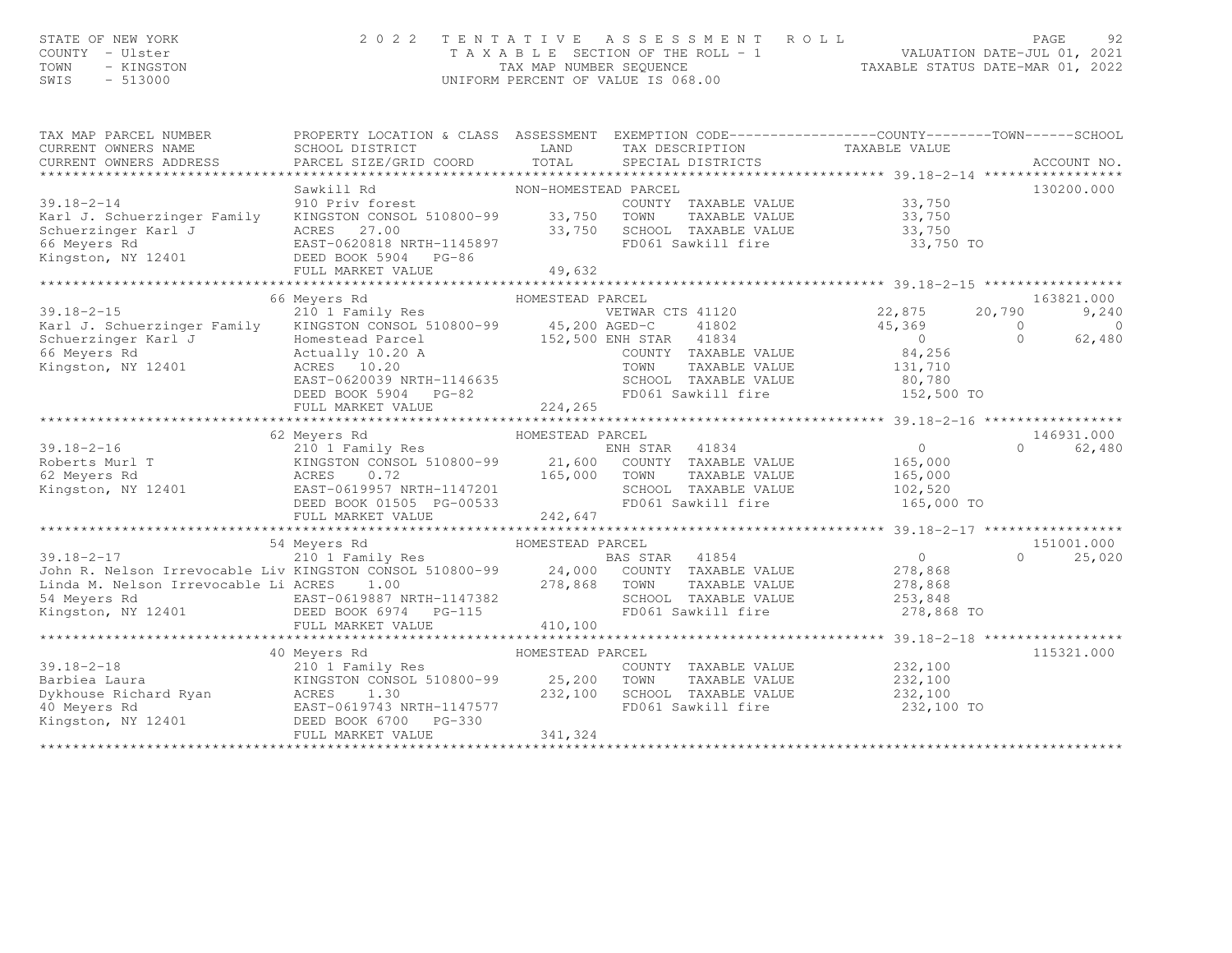### STATE OF NEW YORK PAGE 92<br>COUNTY - Ulster (2009) TAXABLE SECTION OF THE ROLL - 1 (NALUATION DATE-JUL 01, 2021<br>TAXABLE SECTION OF THE ROLL - 1 (NALUATION DATE-JUL 01, 2021<br>SWIS - 513000 (INTFORM PERCENT OF VALUE IS 068.00)

| Sawkill Rd<br>910 Priv forest<br>ACRES 27.00<br>FULL MARKET VALUE | 33,750<br>49,632                                                                            | TOWN<br>FD061 Sawkill fire                                  | 33,750<br>33,750 TO                                                                                                                                                                                                                                                                                                                                                                                                                                                                                                                                                                   | 130200.000                                                                                                                                                                                                                                                                                                                                                                                                                                                                                                                                                                                                                                                                                                                                                                                                                                                                                                                  |
|-------------------------------------------------------------------|---------------------------------------------------------------------------------------------|-------------------------------------------------------------|---------------------------------------------------------------------------------------------------------------------------------------------------------------------------------------------------------------------------------------------------------------------------------------------------------------------------------------------------------------------------------------------------------------------------------------------------------------------------------------------------------------------------------------------------------------------------------------|-----------------------------------------------------------------------------------------------------------------------------------------------------------------------------------------------------------------------------------------------------------------------------------------------------------------------------------------------------------------------------------------------------------------------------------------------------------------------------------------------------------------------------------------------------------------------------------------------------------------------------------------------------------------------------------------------------------------------------------------------------------------------------------------------------------------------------------------------------------------------------------------------------------------------------|
|                                                                   |                                                                                             |                                                             |                                                                                                                                                                                                                                                                                                                                                                                                                                                                                                                                                                                       | 163821.000                                                                                                                                                                                                                                                                                                                                                                                                                                                                                                                                                                                                                                                                                                                                                                                                                                                                                                                  |
|                                                                   |                                                                                             |                                                             | $\overline{0}$<br>84,256<br>131,710                                                                                                                                                                                                                                                                                                                                                                                                                                                                                                                                                   | 9,240<br>$\Omega$<br>$\Omega$<br>$\Omega$<br>62,480                                                                                                                                                                                                                                                                                                                                                                                                                                                                                                                                                                                                                                                                                                                                                                                                                                                                         |
| FULL MARKET VALUE                                                 |                                                                                             |                                                             |                                                                                                                                                                                                                                                                                                                                                                                                                                                                                                                                                                                       |                                                                                                                                                                                                                                                                                                                                                                                                                                                                                                                                                                                                                                                                                                                                                                                                                                                                                                                             |
|                                                                   |                                                                                             |                                                             |                                                                                                                                                                                                                                                                                                                                                                                                                                                                                                                                                                                       |                                                                                                                                                                                                                                                                                                                                                                                                                                                                                                                                                                                                                                                                                                                                                                                                                                                                                                                             |
|                                                                   |                                                                                             |                                                             |                                                                                                                                                                                                                                                                                                                                                                                                                                                                                                                                                                                       | 146931,000                                                                                                                                                                                                                                                                                                                                                                                                                                                                                                                                                                                                                                                                                                                                                                                                                                                                                                                  |
|                                                                   |                                                                                             |                                                             | 165,000                                                                                                                                                                                                                                                                                                                                                                                                                                                                                                                                                                               | $\Omega$<br>62,480                                                                                                                                                                                                                                                                                                                                                                                                                                                                                                                                                                                                                                                                                                                                                                                                                                                                                                          |
|                                                                   |                                                                                             |                                                             |                                                                                                                                                                                                                                                                                                                                                                                                                                                                                                                                                                                       |                                                                                                                                                                                                                                                                                                                                                                                                                                                                                                                                                                                                                                                                                                                                                                                                                                                                                                                             |
|                                                                   |                                                                                             |                                                             |                                                                                                                                                                                                                                                                                                                                                                                                                                                                                                                                                                                       | 151001.000                                                                                                                                                                                                                                                                                                                                                                                                                                                                                                                                                                                                                                                                                                                                                                                                                                                                                                                  |
| FULL MARKET VALUE                                                 |                                                                                             | TAXABLE VALUE<br>SCHOOL TAXABLE VALUE<br>FD061 Sawkill fire | $0 \qquad \qquad$<br>278,868<br>253,848<br>278,868 TO                                                                                                                                                                                                                                                                                                                                                                                                                                                                                                                                 | $\Omega$<br>25,020                                                                                                                                                                                                                                                                                                                                                                                                                                                                                                                                                                                                                                                                                                                                                                                                                                                                                                          |
|                                                                   |                                                                                             |                                                             |                                                                                                                                                                                                                                                                                                                                                                                                                                                                                                                                                                                       |                                                                                                                                                                                                                                                                                                                                                                                                                                                                                                                                                                                                                                                                                                                                                                                                                                                                                                                             |
| FULL MARKET VALUE                                                 |                                                                                             | TOWN                                                        | 232,100 TO                                                                                                                                                                                                                                                                                                                                                                                                                                                                                                                                                                            | 115321.000                                                                                                                                                                                                                                                                                                                                                                                                                                                                                                                                                                                                                                                                                                                                                                                                                                                                                                                  |
|                                                                   | 66 Meyers Rd<br>Karl J. Schuerzinger Family<br>62 Meyers Rd<br>54 Meyers Rd<br>40 Meyers Rd | 410,100<br>341,324                                          | PROPERTY LOCATION & CLASS ASSESSMENT<br>NON-HOMESTEAD PARCEL<br>KINGSTON CONSOL 510800-99 33,750<br>HOMESTEAD PARCEL<br>XIV I Family Res<br>KINGSTON CONSOL 510800-99 45,200 AGED-C 41802<br>Homestead Parcel 152,500 ENH STAR 41834<br>Actually 10.20 A COUNTY TAXABLE<br>ACRES 10.20 TOWN TAXABLE<br>EAST-0620039 NRTH-1146635<br>DEED BOOK 5904 PG-82<br>THE MORTLE TO<br>224,265<br>HOMESTEAD PARCEL<br>ENH STAR 41834<br>HOMESTEAD PARCEL<br>Meyers Rd<br>210 I Family Res<br>210 I Family Res<br>210 1 Family Res<br>KINGSTON CONSOL 510800-99 25,200<br>$232,100$<br>$232,100$ | EXEMPTION CODE-----------------COUNTY-------TOWN------SCHOOL<br>COUNTY TAXABLE VALUE 33,750<br>TAXABLE VALUE 33,750<br>SCHOOL TAXABLE VALUE<br>FD061 Sawkill fire<br>VETWAR CTS 41120 22,875 20,790<br>45, 369<br>COUNTY TAXABLE VALUE<br>TAXABLE VALUE<br>SCHOOL TAXABLE VALUE                    80,780<br>FD061 Sawkill fire                   152,500 TO<br>$0 \qquad \qquad$<br>39.18-2-16<br>Roberts Murl T<br>62 Meyers Rd<br>62 Meyers Rd<br>Kingston, NY 12401<br>EAST-0619957 NRTH-1147201<br>DEED BOOK 01505 PG-00533<br>DEED BOOK 01505 PG-00533<br>165,000<br>102,520<br>FD061 Sawkill fire 165,000 TO<br>0 59.18-2-17 210 1 Family Res BAS STAR 41854 BAS STAR 41854 CONNER Nelson Irrevocable Liv KINGSTON CONSOL 510800-99 24,000 COUNTY TAXABLE VALUE 278,868<br>NOLL<br>COUNTY TAXABLE VALUE 232,100<br>TOWN TAXABLE VALUE 232,100<br>TAXABLE VALUE<br>SCHOOL TAXABLE VALUE 232,100<br>FD061 Sawkill fire |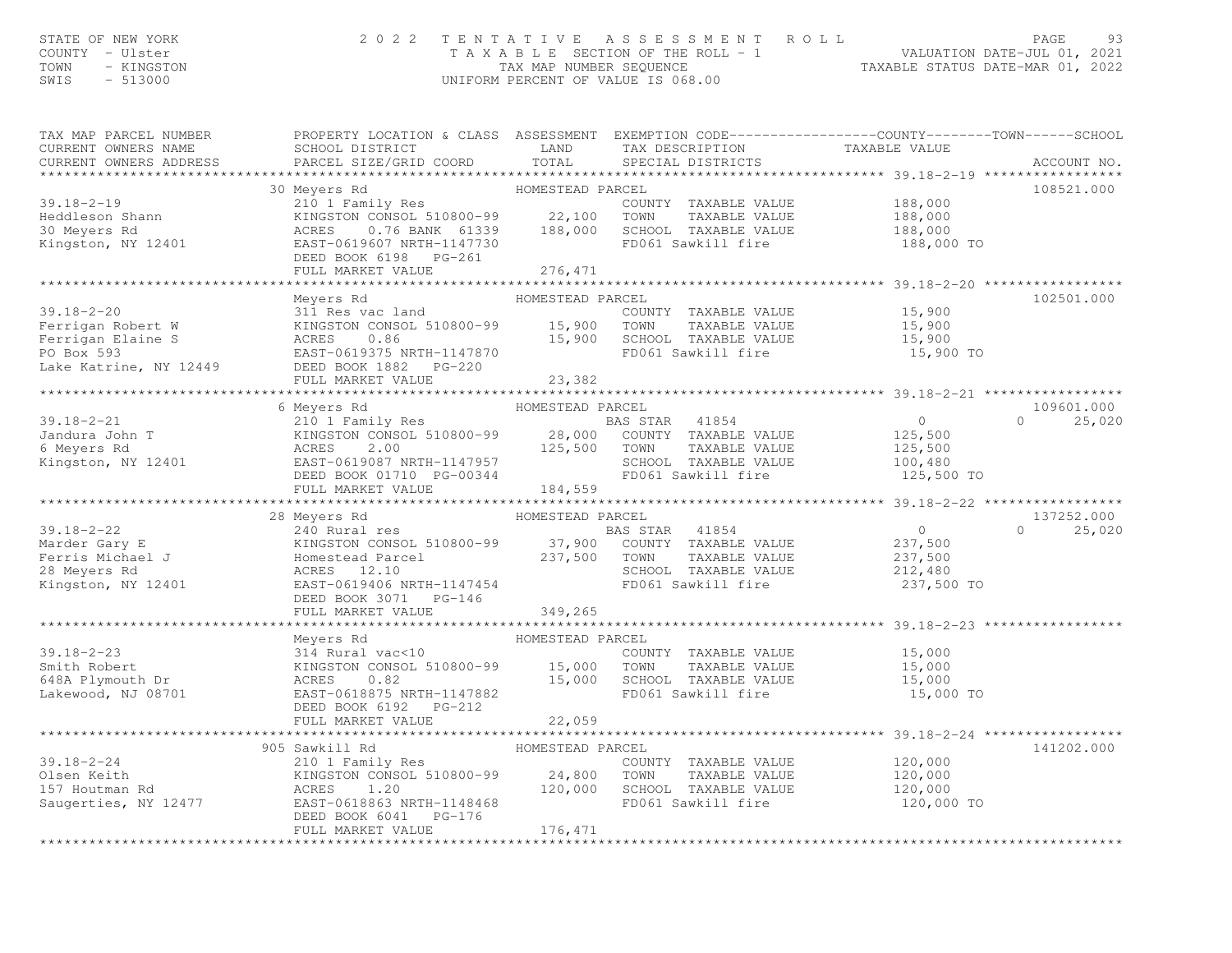### STATE OF NEW YORK PAGE 93<br>COUNTY - Ulster (2001) TAXABLE SECTION OF THE ROLL - 1 (NALUATION DATE-JUL 01, 2021<br>TAXABLE SECTION OF THE ROLL - 1 (NALUATION DATE-JUL 01, 2021<br>SWIS - 513000 (INTFORM PERCENT OF VALUE TS 068.00)

| TAX MAP PARCEL NUMBER                                                                                                                                                                                                                                                                                                                                                                                                               |                                                                                                                                                                                                                       |                  | PROPERTY LOCATION & CLASS ASSESSMENT EXEMPTION CODE---------------COUNTY-------TOWN------SCHOOL |            |                    |
|-------------------------------------------------------------------------------------------------------------------------------------------------------------------------------------------------------------------------------------------------------------------------------------------------------------------------------------------------------------------------------------------------------------------------------------|-----------------------------------------------------------------------------------------------------------------------------------------------------------------------------------------------------------------------|------------------|-------------------------------------------------------------------------------------------------|------------|--------------------|
|                                                                                                                                                                                                                                                                                                                                                                                                                                     |                                                                                                                                                                                                                       |                  |                                                                                                 |            |                    |
| 39.18-2-19<br>30 Meyers Rd<br>210 1 Family Res<br>Heddleson Shann KINGSTON CONSOL 510800-99<br>30 Meyers Rd<br>22,100 TOWN TAXABLE VALUE<br>22,100 TOWN TAXABLE VALUE<br>22,100 TOWN TAXABLE VALUE<br>22,100 TOWN TAXABLE VALUE<br>22,100 TOWN T                                                                                                                                                                                    |                                                                                                                                                                                                                       |                  |                                                                                                 |            | 108521.000         |
|                                                                                                                                                                                                                                                                                                                                                                                                                                     |                                                                                                                                                                                                                       |                  |                                                                                                 |            |                    |
|                                                                                                                                                                                                                                                                                                                                                                                                                                     |                                                                                                                                                                                                                       |                  |                                                                                                 |            |                    |
|                                                                                                                                                                                                                                                                                                                                                                                                                                     |                                                                                                                                                                                                                       |                  |                                                                                                 |            |                    |
|                                                                                                                                                                                                                                                                                                                                                                                                                                     |                                                                                                                                                                                                                       |                  |                                                                                                 |            |                    |
|                                                                                                                                                                                                                                                                                                                                                                                                                                     | DEED BOOK 6198 PG-261                                                                                                                                                                                                 | 276,471          |                                                                                                 |            |                    |
|                                                                                                                                                                                                                                                                                                                                                                                                                                     | FULL MARKET VALUE                                                                                                                                                                                                     |                  |                                                                                                 |            |                    |
|                                                                                                                                                                                                                                                                                                                                                                                                                                     | Meyers Rd                                                                                                                                                                                                             | HOMESTEAD PARCEL |                                                                                                 |            | 102501.000         |
| Meyers Rd Meyers Rd MESTEAD PARCEL<br>Ferrigan Robert W 311 Res vac land<br>Ferrigan Robert W XINGSTON CONSOL 510800-99 215,900<br>Ferrigan Elaine S ACRES 0.86 23,382<br>EAST-0619375 NRTH-1147870 23,382<br>ENDER MEYER RES DESS DESS                                                                                                                                                                                             |                                                                                                                                                                                                                       |                  |                                                                                                 |            |                    |
|                                                                                                                                                                                                                                                                                                                                                                                                                                     |                                                                                                                                                                                                                       |                  |                                                                                                 |            |                    |
|                                                                                                                                                                                                                                                                                                                                                                                                                                     |                                                                                                                                                                                                                       |                  |                                                                                                 |            |                    |
|                                                                                                                                                                                                                                                                                                                                                                                                                                     |                                                                                                                                                                                                                       |                  |                                                                                                 |            |                    |
|                                                                                                                                                                                                                                                                                                                                                                                                                                     |                                                                                                                                                                                                                       |                  |                                                                                                 |            |                    |
|                                                                                                                                                                                                                                                                                                                                                                                                                                     |                                                                                                                                                                                                                       |                  |                                                                                                 |            |                    |
|                                                                                                                                                                                                                                                                                                                                                                                                                                     |                                                                                                                                                                                                                       |                  |                                                                                                 |            |                    |
| 39.18-2-21 6 Meyers Rd<br>39.18-2-21 210 1 Family Res<br>39.18-2-21 210 1 Family Res<br>39.18-2-21 210 1 Family Res<br>39.18-2-21 210 1 Family Res<br>39.18-2-21 210 1 Family Res<br>39.18-4-21 210 28,000 COUNTY TAXABLE VALUE<br>39.18-4-5                                                                                                                                                                                        |                                                                                                                                                                                                                       |                  |                                                                                                 |            | 109601.000         |
|                                                                                                                                                                                                                                                                                                                                                                                                                                     |                                                                                                                                                                                                                       |                  |                                                                                                 |            | $\Omega$<br>25,020 |
|                                                                                                                                                                                                                                                                                                                                                                                                                                     |                                                                                                                                                                                                                       |                  |                                                                                                 |            |                    |
|                                                                                                                                                                                                                                                                                                                                                                                                                                     |                                                                                                                                                                                                                       |                  |                                                                                                 |            |                    |
|                                                                                                                                                                                                                                                                                                                                                                                                                                     |                                                                                                                                                                                                                       |                  |                                                                                                 |            |                    |
|                                                                                                                                                                                                                                                                                                                                                                                                                                     |                                                                                                                                                                                                                       |                  |                                                                                                 |            |                    |
|                                                                                                                                                                                                                                                                                                                                                                                                                                     |                                                                                                                                                                                                                       |                  |                                                                                                 |            |                    |
| $\begin{tabular}{lllllllllllllllll} \multicolumn{3}{c }{39.18-2-22} & \multicolumn{3}{c }{28\hbox{ Meyers }\hdspace{180$} & \multicolumn{3}{c }{28\hbox{ Meyers }\hdspace{180$} & \multicolumn{3}{c }{28\hbox{ Meyers }\hdspace{180$} & \multicolumn{3}{c }{28\hbox{ Meyers }\hdspace{180$} & \multicolumn{3}{c }{28\hbox{ Meyers }\hdspace{180$} & \multicolumn{3}{c }{28\hbox{ Meyers }\hdspace{180$} & \multicolumn{3}{c }{28\h$ |                                                                                                                                                                                                                       |                  |                                                                                                 |            |                    |
|                                                                                                                                                                                                                                                                                                                                                                                                                                     |                                                                                                                                                                                                                       |                  |                                                                                                 |            | 137252.000         |
|                                                                                                                                                                                                                                                                                                                                                                                                                                     |                                                                                                                                                                                                                       |                  |                                                                                                 |            | 25,020<br>$\Omega$ |
|                                                                                                                                                                                                                                                                                                                                                                                                                                     |                                                                                                                                                                                                                       |                  |                                                                                                 |            |                    |
|                                                                                                                                                                                                                                                                                                                                                                                                                                     |                                                                                                                                                                                                                       |                  |                                                                                                 |            |                    |
|                                                                                                                                                                                                                                                                                                                                                                                                                                     |                                                                                                                                                                                                                       |                  |                                                                                                 |            |                    |
|                                                                                                                                                                                                                                                                                                                                                                                                                                     |                                                                                                                                                                                                                       |                  |                                                                                                 | 237,500 TO |                    |
|                                                                                                                                                                                                                                                                                                                                                                                                                                     |                                                                                                                                                                                                                       |                  |                                                                                                 |            |                    |
|                                                                                                                                                                                                                                                                                                                                                                                                                                     | FULL MARKET VALUE                                                                                                                                                                                                     | 349,265          |                                                                                                 |            |                    |
|                                                                                                                                                                                                                                                                                                                                                                                                                                     |                                                                                                                                                                                                                       |                  |                                                                                                 |            |                    |
|                                                                                                                                                                                                                                                                                                                                                                                                                                     | Meyers Rd<br>314 Rural vac<10 MDMESTEAD PARCEL<br>COUN                                                                                                                                                                |                  |                                                                                                 |            |                    |
|                                                                                                                                                                                                                                                                                                                                                                                                                                     |                                                                                                                                                                                                                       |                  |                                                                                                 |            |                    |
|                                                                                                                                                                                                                                                                                                                                                                                                                                     |                                                                                                                                                                                                                       |                  |                                                                                                 |            |                    |
|                                                                                                                                                                                                                                                                                                                                                                                                                                     |                                                                                                                                                                                                                       |                  |                                                                                                 |            |                    |
|                                                                                                                                                                                                                                                                                                                                                                                                                                     |                                                                                                                                                                                                                       |                  |                                                                                                 |            |                    |
|                                                                                                                                                                                                                                                                                                                                                                                                                                     | DEED BOOK 6192 PG-212                                                                                                                                                                                                 |                  |                                                                                                 |            |                    |
|                                                                                                                                                                                                                                                                                                                                                                                                                                     | FULL MARKET VALUE                                                                                                                                                                                                     | 22,059           |                                                                                                 |            |                    |
|                                                                                                                                                                                                                                                                                                                                                                                                                                     |                                                                                                                                                                                                                       |                  |                                                                                                 |            |                    |
|                                                                                                                                                                                                                                                                                                                                                                                                                                     | 905 Sawkill Rd                                                                                                                                                                                                        |                  |                                                                                                 |            | 141202.000         |
| $39.18 - 2 - 24$                                                                                                                                                                                                                                                                                                                                                                                                                    |                                                                                                                                                                                                                       |                  |                                                                                                 |            |                    |
| 39.18-2-24<br>Olsen Keith<br>157 Houtman Rd<br>Saugerties, NY 12477                                                                                                                                                                                                                                                                                                                                                                 | Sawkill Rd<br>210 1 Family Res<br>KINGSTON CONSOL 510800-99<br>24,800 TOWN TAXABLE VALUE<br>ACRES 1.20<br>20,000 SCHOOL TAXABLE VALUE<br>EAST-0618863 NRTH-1148468<br>EAST-0618863 NRTH-1148468<br>FD061 Sawkill fire |                  | COUNTY TAXABLE VALUE 120,000<br>TOWN TAXABLE VALUE 120,000<br>COURCI TAXABLE VALUE 120,000      |            |                    |
|                                                                                                                                                                                                                                                                                                                                                                                                                                     |                                                                                                                                                                                                                       |                  |                                                                                                 | 120,000    |                    |
|                                                                                                                                                                                                                                                                                                                                                                                                                                     |                                                                                                                                                                                                                       |                  |                                                                                                 | 120,000 TO |                    |
|                                                                                                                                                                                                                                                                                                                                                                                                                                     | DEED BOOK 6041 PG-176                                                                                                                                                                                                 |                  |                                                                                                 |            |                    |
|                                                                                                                                                                                                                                                                                                                                                                                                                                     | FULL MARKET VALUE                                                                                                                                                                                                     | 176, 471         |                                                                                                 |            |                    |
|                                                                                                                                                                                                                                                                                                                                                                                                                                     |                                                                                                                                                                                                                       |                  |                                                                                                 |            |                    |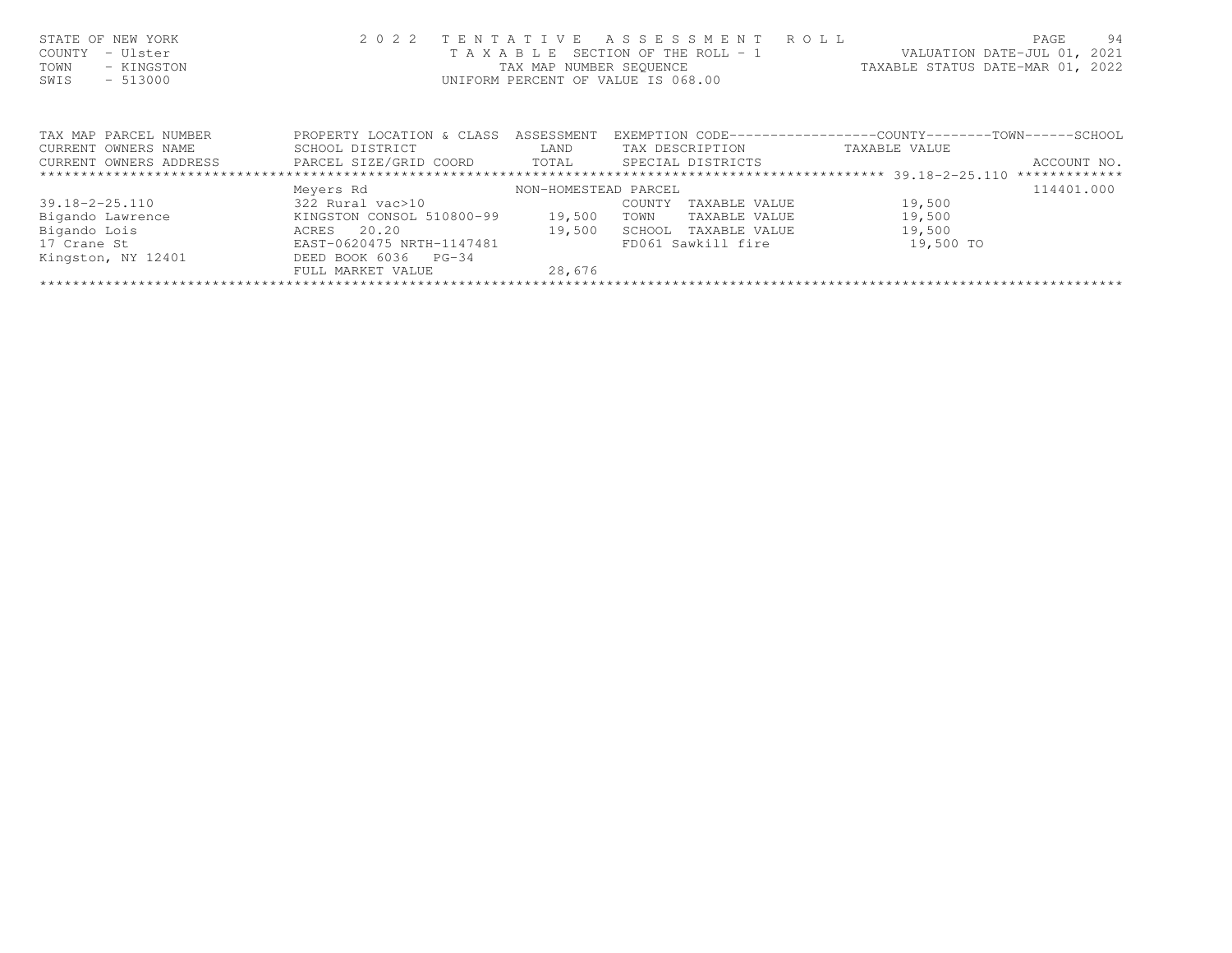| STATE OF NEW YORK<br>- Ulster<br>COUNTY<br>TOWN<br>- KINGSTON<br>$-513000$<br>SWIS | 2 0 2 2<br>TAXABLE           | TENTATIVE<br>TAX MAP NUMBER SEQUENCE | R O L L<br>ASSESSMENT<br>SECTION OF THE ROLL - 1<br>UNIFORM PERCENT OF VALUE IS 068.00 | VALUATION DATE-JUL 01,<br>TAXABLE STATUS DATE-MAR 01, 2022 | PAGE<br>94<br>2021 |
|------------------------------------------------------------------------------------|------------------------------|--------------------------------------|----------------------------------------------------------------------------------------|------------------------------------------------------------|--------------------|
| TAX MAP PARCEL NUMBER                                                              | PROPERTY LOCATION & CLASS    | ASSESSMENT                           | EXEMPTION CODE-----------------COUNTY-------TOWN------SCHOOL                           |                                                            |                    |
| CURRENT OWNERS NAME                                                                | SCHOOL DISTRICT              | LAND                                 | TAX DESCRIPTION                                                                        | TAXABLE VALUE                                              |                    |
| CURRENT OWNERS ADDRESS                                                             | PARCEL SIZE/GRID COORD TOTAL |                                      | SPECIAL DISTRICTS                                                                      |                                                            | ACCOUNT NO.        |
|                                                                                    |                              |                                      |                                                                                        |                                                            | *************      |
|                                                                                    | Meyers Rd                    | NON-HOMESTEAD PARCEL                 |                                                                                        |                                                            | 114401.000         |
| 39.18-2-25.110                                                                     | 322 Rural vac>10             |                                      | COUNTY<br>TAXABLE VALUE                                                                | 19,500                                                     |                    |
| Bigando Lawrence                                                                   | KINGSTON CONSOL 510800-99    | 19,500                               | TOWN<br>TAXABLE VALUE                                                                  | 19,500                                                     |                    |
| Bigando Lois                                                                       | 20.20<br>ACRES               | 19,500                               | SCHOOL<br>TAXABLE VALUE                                                                | 19,500                                                     |                    |
| 17 Crane St                                                                        | EAST-0620475 NRTH-1147481    |                                      | FD061 Sawkill fire                                                                     | 19,500 TO                                                  |                    |
| Kingston, NY 12401                                                                 | DEED BOOK 6036<br>$PG-34$    |                                      |                                                                                        |                                                            |                    |
|                                                                                    | FULL MARKET VALUE            | 28,676                               |                                                                                        |                                                            |                    |
|                                                                                    |                              |                                      |                                                                                        |                                                            |                    |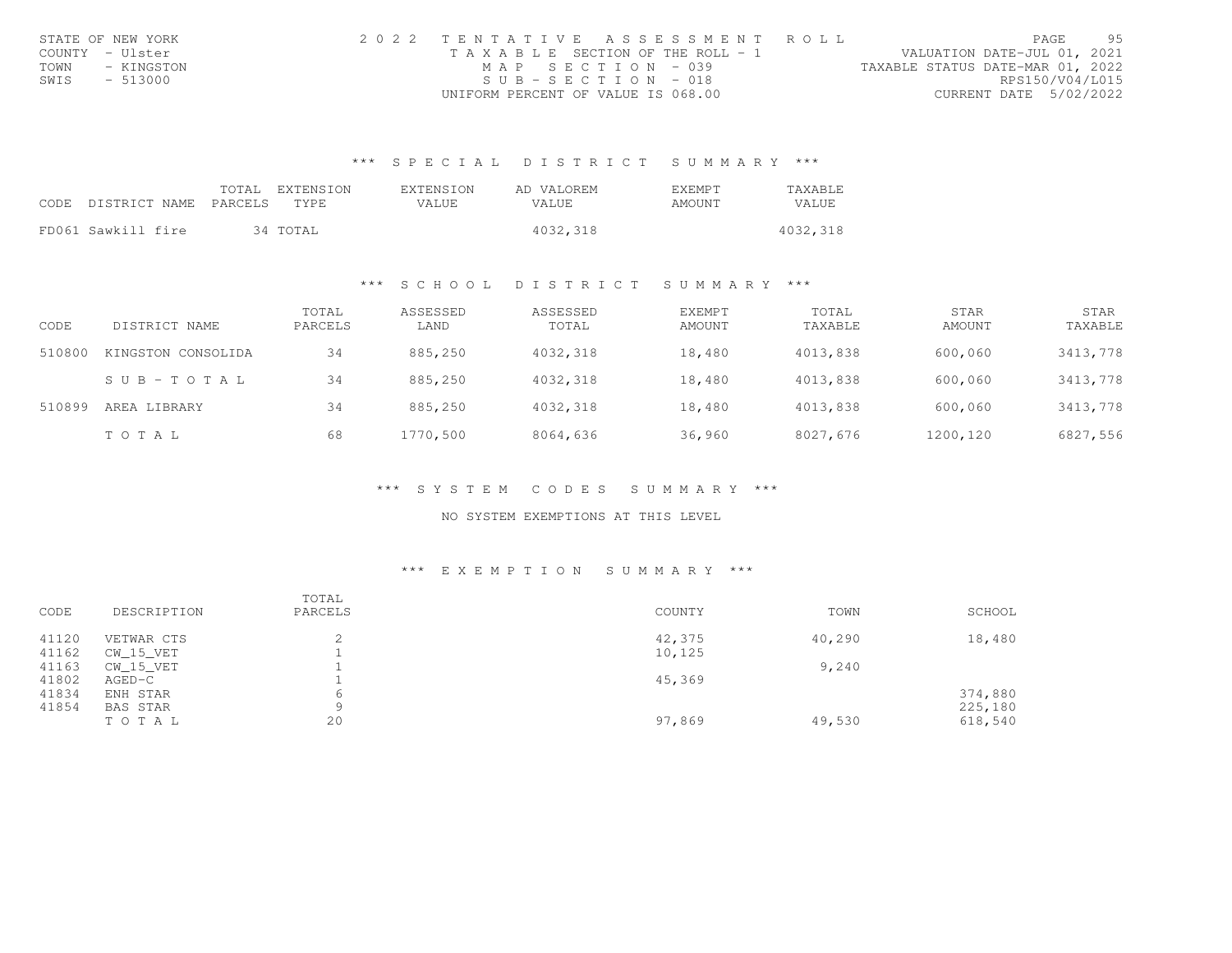| STATE OF NEW YORK  | 2022 TENTATIVE ASSESSMENT ROLL                                       | PAGE                   | 95 |
|--------------------|----------------------------------------------------------------------|------------------------|----|
| COUNTY - Ulster    | VALUATION DATE-JUL 01, 2021<br>T A X A B L E SECTION OF THE ROLL - 1 |                        |    |
| TOWN<br>- KINGSTON | TAXABLE STATUS DATE-MAR 01, 2022<br>MAP SECTION - 039                |                        |    |
| SWIS<br>- 513000   | $SUB - SECTION - 018$                                                | RPS150/V04/L015        |    |
|                    | UNIFORM PERCENT OF VALUE IS 068.00                                   | CURRENT DATE 5/02/2022 |    |

### \*\*\* S P E C I A L D I S T R I C T S U M M A R Y \*\*\*

| CODE DISTRICT NAME PARCELS TYPE | TOTAL EXTENSION | EXTENSION<br>VALUE. | AD VALOREM<br>VALUE. | <b>EXEMPT</b><br>AMOUNT | TAXABLE<br><b>VALUE</b> |
|---------------------------------|-----------------|---------------------|----------------------|-------------------------|-------------------------|
| FD061 Sawkill fire              | 34 TOTAL        |                     | 4032,318             |                         | 4032,318                |

#### \*\*\* S C H O O L D I S T R I C T S U M M A R Y \*\*\*

| CODE   | DISTRICT NAME      | TOTAL<br>PARCELS | ASSESSED<br>LAND | ASSESSED<br>TOTAL | <b>EXEMPT</b><br>AMOUNT | TOTAL<br>TAXABLE | <b>STAR</b><br>AMOUNT | <b>STAR</b><br>TAXABLE |
|--------|--------------------|------------------|------------------|-------------------|-------------------------|------------------|-----------------------|------------------------|
| 510800 | KINGSTON CONSOLIDA | 34               | 885,250          | 4032,318          | 18,480                  | 4013,838         | 600,060               | 3413,778               |
|        | SUB-TOTAL          | 34               | 885,250          | 4032,318          | 18,480                  | 4013,838         | 600,060               | 3413,778               |
| 510899 | AREA LIBRARY       | 34               | 885,250          | 4032,318          | 18,480                  | 4013,838         | 600,060               | 3413,778               |
|        | TOTAL              | 68               | 1770,500         | 8064,636          | 36,960                  | 8027,676         | 1200,120              | 6827,556               |

#### \*\*\* S Y S T E M C O D E S S U M M A R Y \*\*\*

#### NO SYSTEM EXEMPTIONS AT THIS LEVEL

#### \*\*\* E X E M P T I O N S U M M A R Y \*\*\*

| CODE  | DESCRIPTION | TOTAL<br>PARCELS | COUNTY | TOWN   | SCHOOL  |
|-------|-------------|------------------|--------|--------|---------|
| 41120 | VETWAR CTS  |                  | 42,375 | 40,290 | 18,480  |
| 41162 | CW 15 VET   |                  | 10,125 |        |         |
| 41163 | CW 15 VET   |                  |        | 9,240  |         |
| 41802 | $AGED-C$    |                  | 45,369 |        |         |
| 41834 | ENH STAR    | 6                |        |        | 374,880 |
| 41854 | BAS STAR    | Q                |        |        | 225,180 |
|       | TOTAL       | 20               | 97,869 | 49,530 | 618,540 |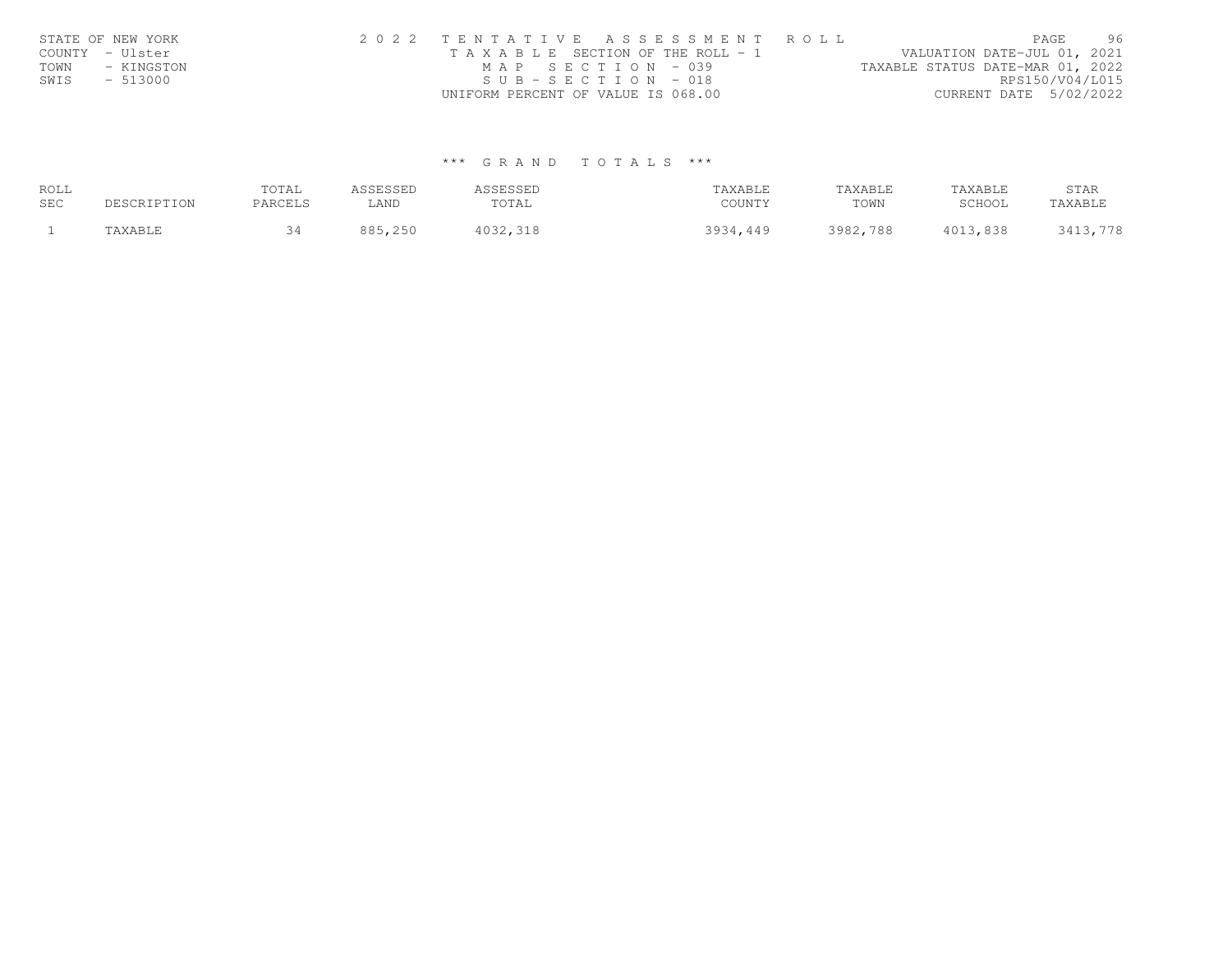| STATE OF NEW YORK |            | 2022 TENTATIVE ASSESSMENT ROLL        |  |  |                                  |                        | PAGE | 96 |
|-------------------|------------|---------------------------------------|--|--|----------------------------------|------------------------|------|----|
| COUNTY - Ulster   |            | T A X A B L E SECTION OF THE ROLL - 1 |  |  | VALUATION DATE-JUL 01, 2021      |                        |      |    |
| TOWN              | - KINGSTON | MAP SECTION - 039                     |  |  | TAXABLE STATUS DATE-MAR 01, 2022 |                        |      |    |
| SWIS              | - 513000   | $SUB - SECTION - 018$                 |  |  |                                  | RPS150/V04/L015        |      |    |
|                   |            | UNIFORM PERCENT OF VALUE IS 068.00    |  |  |                                  | CURRENT DATE 5/02/2022 |      |    |

#### \*\*\* G R A N D T O T A L S \*\*\*

| ROLL<br><b>SEC</b> | SCRIPTION:               | TOTAL<br>PARCELS | <b>ICCECCEL</b><br>LAND | SSESSED<br>TOTAI | TAXABLE<br>COUNTY | TAXABLE<br>TOWN | TAXABLE<br>SCHOOL                                       | STAR<br>TAXABLE |
|--------------------|--------------------------|------------------|-------------------------|------------------|-------------------|-----------------|---------------------------------------------------------|-----------------|
|                    | <b>NYARTE</b><br>AAAD DE |                  | 250<br>QQE              |                  | 3934<br>.449      | 3982,788        | $\bigwedge$ $\bigwedge$ $\bigwedge$ $\bigwedge$<br>,838 |                 |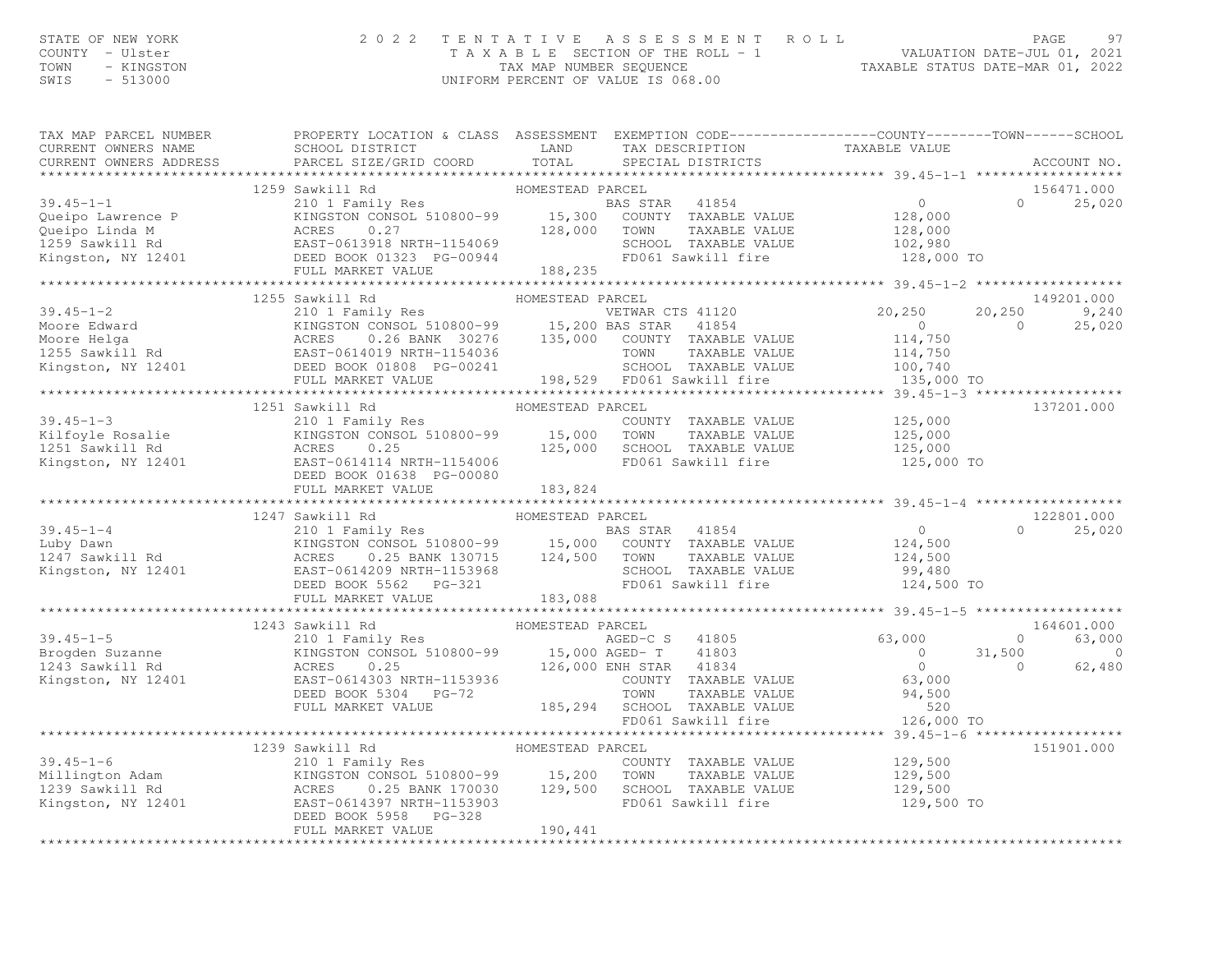### STATE OF NEW YORK PAGE 97<br>COUNTY - Ulster (2001) TAXABLE SECTION OF THE ROLL - 1 (NALUATION DATE-JUL 01, 2021<br>TAXABLE SECTION OF THE ROLL - 1 (NALUATION DATE-JUL 01, 2021<br>SWIS - 513000 (INTFORM PERCENT OF VALUE TS 068.00)

| TAX MAP PARCEL NUMBER<br>CURRENT OWNERS ADDRESS                                                                                                                                                                                                                                                                                                                                         | PROPERTY LOCATION & CLASS ASSESSMENT EXEMPTION CODE----------------COUNTY-------TOWN------SCHOOL |                  |                                                                                             |            |                                                    |
|-----------------------------------------------------------------------------------------------------------------------------------------------------------------------------------------------------------------------------------------------------------------------------------------------------------------------------------------------------------------------------------------|--------------------------------------------------------------------------------------------------|------------------|---------------------------------------------------------------------------------------------|------------|----------------------------------------------------|
| 1259 Savkill Rd (1259 Savkill Rd (1259 Savkill Rd (1259 Savkill Rd (128,000 ENGL)<br>210 1 Family Res (27 (28,000 ENGL) RANGE VALUE (128,000 ENGL) 259 Savkill Rd (28,000 ENGL) 259 Savkill Rd (28,000 ENGL) 259 Savkill Rd (28,                                                                                                                                                        |                                                                                                  |                  | TOWN TAXABLE VALUE 128,000<br>SCHOOL TAXABLE VALUE 102,980<br>FD061 Sawkill fire 128,000 TO |            | 156471.000<br>$0 \t 25,020$                        |
|                                                                                                                                                                                                                                                                                                                                                                                         | 1255 Sawkill Rd                                                                                  | HOMESTEAD PARCEL |                                                                                             |            | 149201.000                                         |
| $\begin{array}{cccccccc} 39.45-1-2 & 1255 & 5000 & 1492011 & 0000 & 10000 & 10000 & 10000 & 10000 & 10000 & 10000 & 10000 & 10000 & 10000 & 10000 & 10000 & 10000 & 10000 & 10000 & 10000 & 10000 & 10000 & 10000 & 10000 & 10000 & 10000 & 10000 & 10000 & 10000 & 10000$                                                                                                              |                                                                                                  |                  |                                                                                             |            |                                                    |
|                                                                                                                                                                                                                                                                                                                                                                                         |                                                                                                  |                  |                                                                                             |            |                                                    |
| 39.45-1-3<br>Kilfoyle Rosalie (MINGSTON CONSOL 510800-99 15,000 TOUNTY TAXABLE VALUE<br>125,000 1251 Sawkill Rd ACRES 0.25 125,000 1250 SCHOOL TAXABLE VALUE<br>Kingston, NY 12401 EAST-0614114 NRTH-1154006 FD061 Sawkill fire 125,                                                                                                                                                    | Sawkill Rd<br>210 1 Family Res HOMESTEAD<br>1251 Sawkill Rd                                      | HOMESTEAD PARCEL |                                                                                             |            | 137201.000                                         |
|                                                                                                                                                                                                                                                                                                                                                                                         |                                                                                                  |                  |                                                                                             |            |                                                    |
| $\begin{array}{cccccccc} 39.45-1-4 & 1247 & \text{Sawkill Rd} & \text{HOMESTEAD PARCH} & & & & & & & & 122801.000 \\ & & 210 & 11 & \text{Family Res} & & & & & & & & 124,500 \\ & & 210 & 11 & \text{Family Res} & & & 0 & 25,020 \\ \text{Luby Dawn} & & & & & & & & & 124,500 & & 0 \\ 1247 & \text{Sawkill Rd} & & & & & & & & 124,500 & & 0 \\ & & & & & & & & & & & 124,500 & & $ | 1247 Sawkill Rd                                                                                  | HOMESTEAD PARCEL |                                                                                             |            | 122801.000                                         |
|                                                                                                                                                                                                                                                                                                                                                                                         |                                                                                                  |                  |                                                                                             |            |                                                    |
| $\begin{tabular}{l c c c c c} \multicolumn{3}{c}{\text{\textbf{X}}1111} $\times$ & $\textbf{16460}$. \\ \multicolumn{2}{c}{\textbf{39.45--1--5}} & $1243$ \textbf{3} with 184$ & $\textbf{HOMESTEAD RRED-LC S}$ & $41805$ & $63,000$ & $0$ & $16460$ \\ \multicolumn{2}{c}{\textbf{39.45--1--5}} & $1243$ \textbf{3} with 184$ & $\textbf{ROMESTEAD RRED-LC S}$ & $41805$ & $63,000$ &$ |                                                                                                  |                  |                                                                                             |            | 164601.000<br>63,000<br>62.48<br>$\circ$<br>62,480 |
|                                                                                                                                                                                                                                                                                                                                                                                         |                                                                                                  |                  |                                                                                             |            |                                                    |
| 1239 Sawkill Rd<br>Millington Adam (1299 Sawkill Rd<br>Millington Adam (210 1 Family Res<br>210 1 Family Res<br>210 1 Family Res<br>210 1 Family Res<br>210 1 Family Res<br>210 1 Family Res<br>210 1 Family Res<br>210 1 Family Res<br>210 1 Fami                                                                                                                                      |                                                                                                  | $328$ $190,441$  |                                                                                             | 129,500 TO | 151901.000                                         |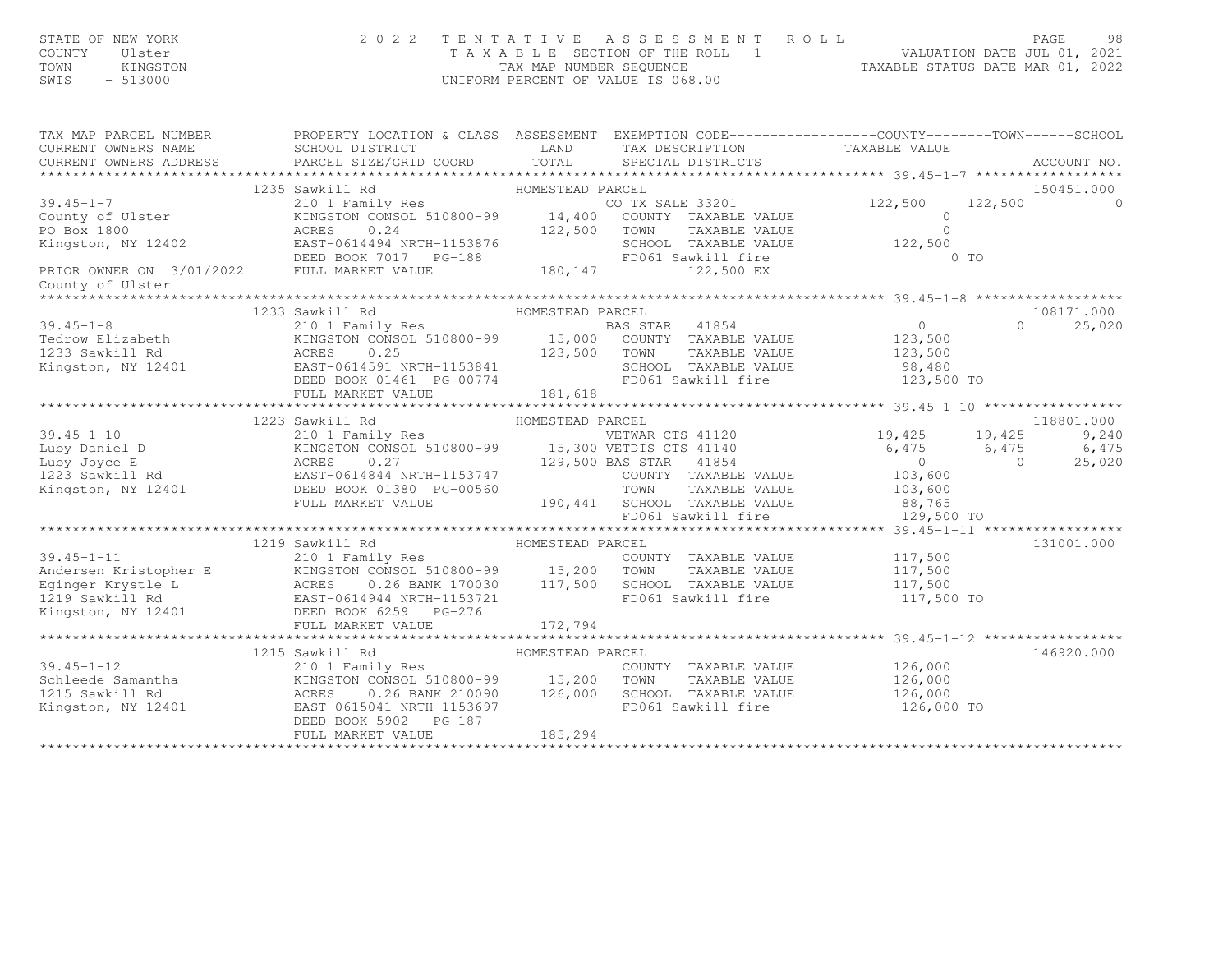| STATE OF NEW YORK<br>COUNTY - Ulster<br>TOWN<br>- KINGSTON<br>SWIS<br>$-513000$ | 2 0 2 2                                                                                                                                                                                                                                                                                                                                      | TENTATIVE ASSESSMENT ROLL PAGE 98<br>TAXABLE SECTION OF THE ROLL - 1<br>TAX MAP NUMBER SEQUENCE TAXABLE STATUS DATE-MAR 01, 2022<br>UNIFORM PERCENT OF VALUE IS 068.00                                                                                  |                                                                               |
|---------------------------------------------------------------------------------|----------------------------------------------------------------------------------------------------------------------------------------------------------------------------------------------------------------------------------------------------------------------------------------------------------------------------------------------|---------------------------------------------------------------------------------------------------------------------------------------------------------------------------------------------------------------------------------------------------------|-------------------------------------------------------------------------------|
| $\frac{1}{2}$<br>CURRENT OWNERS NAME<br>CURRENT OWNERS ADDRESS                  | LAND<br>SCHOOL DISTRICT<br>PARCEL SIZE/GRID COORD TOTAL                                                                                                                                                                                                                                                                                      | TAX MAP PARCEL NUMBER FROPERTY LOCATION & CLASS ASSESSMENT EXEMPTION CODE---------------COUNTY-------TOWN------SCHOOL<br>TAX DESCRIPTION TAXABLE VALUE<br>SPECIAL DISTRICTS                                                                             | ACCOUNT NO.                                                                   |
|                                                                                 | 1235 Sawkill Rd                                                                                                                                                                                                                                                                                                                              | HOMESTEAD PARCEL                                                                                                                                                                                                                                        | 150451.000                                                                    |
|                                                                                 |                                                                                                                                                                                                                                                                                                                                              | 210 1 Family Res<br>210 1 Family Res<br>210 1 Family Res<br>210 2000 14,400 COUNTY TAXABLE VALUE<br>CO TX SALE 33201                                                                                                                                    | 122,500<br>122,500<br>$\Omega$                                                |
|                                                                                 |                                                                                                                                                                                                                                                                                                                                              |                                                                                                                                                                                                                                                         | $\circ$                                                                       |
|                                                                                 |                                                                                                                                                                                                                                                                                                                                              | COUNTY TAXABLE VALUE 0<br>TOWN TAXABLE VALUE 0<br>SCHOOL TAXABLE VALUE 122,500                                                                                                                                                                          |                                                                               |
|                                                                                 |                                                                                                                                                                                                                                                                                                                                              |                                                                                                                                                                                                                                                         |                                                                               |
|                                                                                 |                                                                                                                                                                                                                                                                                                                                              | FD061 Sawkill fire                                                                                                                                                                                                                                      | 0 <sub>T</sub>                                                                |
|                                                                                 | $\begin{tabular}{lllllllllllll} 39.45-1-7 & 2101 Family Res & Co TX SALE County of Ulster & KINGSTON CONSOL 510800-99 & 14,400 COUNTY & CO BX 1800 & ACRES & 0.24 & 122,500 TWNN & 12402 & EAST-0614494 NRTH-1153876 & SCHOOL & DEED BOOK 7017 PG-188 & FD061 Sz & 180,147 & 115.387 & 180,147 & 115.387 & 180,147 & 115.387 & 180,147 & 18$ | 122,500 EX                                                                                                                                                                                                                                              |                                                                               |
| County of Ulster                                                                |                                                                                                                                                                                                                                                                                                                                              |                                                                                                                                                                                                                                                         |                                                                               |
|                                                                                 |                                                                                                                                                                                                                                                                                                                                              |                                                                                                                                                                                                                                                         |                                                                               |
|                                                                                 | 1233 Sawkill Rd                                                                                                                                                                                                                                                                                                                              |                                                                                                                                                                                                                                                         | 108171.000                                                                    |
| $39.45 - 1 - 8$                                                                 |                                                                                                                                                                                                                                                                                                                                              |                                                                                                                                                                                                                                                         | VALUE $\begin{array}{r} 0 \\ 123,500 \\ 133,500 \end{array}$<br>$0 \t 25,020$ |
|                                                                                 |                                                                                                                                                                                                                                                                                                                                              |                                                                                                                                                                                                                                                         |                                                                               |
|                                                                                 | Tedrow Elizabeth<br>1233 Sawkill Rd<br>1233 Sawkill Rd<br>1235 Sawkill Rd<br>12401 EAST-0614591 NRTH-1153841                                                                                                                                                                                                                                 | Sawkill Rd<br>210 1 Family Res<br>EAS STAR 41854<br>EAS STAR 41854<br>EAS STAR 41854<br>EAS STAR 41854<br>EAS CONSILE DEL 123,500 TOWN TAXABLE VALUE<br>EAST-0614591 NRTH-1153841<br>DEED BOOK 01461<br>PED BOOK OF SAWKILL FIRE DEL TAXABLE VAL        | 123,500                                                                       |
|                                                                                 |                                                                                                                                                                                                                                                                                                                                              |                                                                                                                                                                                                                                                         | 98,480                                                                        |
|                                                                                 |                                                                                                                                                                                                                                                                                                                                              |                                                                                                                                                                                                                                                         | 123,500 TO                                                                    |
|                                                                                 | FULL MARKET VALUE                                                                                                                                                                                                                                                                                                                            | 181,618                                                                                                                                                                                                                                                 |                                                                               |
|                                                                                 |                                                                                                                                                                                                                                                                                                                                              | 1223 Sawkill Rd<br>1223 Sawkill Rd<br>223 Sawkill Rd<br>223 Sawkill Rd<br>223 Sawkill Rd<br>223 Sawkill Rd<br>223 Sawkill Rd<br>223 Sawkill Rd<br>223 Sawkill Rd<br>223 Sawkill Rd<br>223 Sawkill Rd<br>223 Sawkill Rd<br>223 Sawkill Rd<br>223 Sawkill |                                                                               |
|                                                                                 |                                                                                                                                                                                                                                                                                                                                              |                                                                                                                                                                                                                                                         | 118801.000                                                                    |
|                                                                                 |                                                                                                                                                                                                                                                                                                                                              |                                                                                                                                                                                                                                                         | VETWAR CTS 41120 19,425 19,425 9,240                                          |
|                                                                                 |                                                                                                                                                                                                                                                                                                                                              |                                                                                                                                                                                                                                                         |                                                                               |
|                                                                                 |                                                                                                                                                                                                                                                                                                                                              |                                                                                                                                                                                                                                                         | $6,475$ $6,475$<br>0 25,020<br>25,020                                         |
|                                                                                 |                                                                                                                                                                                                                                                                                                                                              |                                                                                                                                                                                                                                                         |                                                                               |
|                                                                                 |                                                                                                                                                                                                                                                                                                                                              |                                                                                                                                                                                                                                                         |                                                                               |
|                                                                                 |                                                                                                                                                                                                                                                                                                                                              |                                                                                                                                                                                                                                                         |                                                                               |
|                                                                                 |                                                                                                                                                                                                                                                                                                                                              |                                                                                                                                                                                                                                                         | 129,500 TO                                                                    |
|                                                                                 |                                                                                                                                                                                                                                                                                                                                              |                                                                                                                                                                                                                                                         |                                                                               |
|                                                                                 |                                                                                                                                                                                                                                                                                                                                              |                                                                                                                                                                                                                                                         | 131001.000                                                                    |
|                                                                                 |                                                                                                                                                                                                                                                                                                                                              |                                                                                                                                                                                                                                                         |                                                                               |
|                                                                                 |                                                                                                                                                                                                                                                                                                                                              | XCEL<br>COUNTY TAXABLE VALUE 117,500<br>TOWN TAXABLE VALUE 117,500                                                                                                                                                                                      |                                                                               |
|                                                                                 |                                                                                                                                                                                                                                                                                                                                              | 39.45-1-11<br>210 1 Family Res<br>210 1 Family Res<br>210 1 Family Res<br>210 1 Family Res<br>210 1 Family Res<br>210 2 Family Res<br>210 2 Family Res<br>210 2 Family Res<br>210 2 Family Res<br>210 2 FOLD SUNCERTEAD PARCEL<br>217,500 TOWN TAXAB    | 117,500                                                                       |
|                                                                                 |                                                                                                                                                                                                                                                                                                                                              |                                                                                                                                                                                                                                                         | 117,500 TO                                                                    |
|                                                                                 |                                                                                                                                                                                                                                                                                                                                              |                                                                                                                                                                                                                                                         |                                                                               |
|                                                                                 |                                                                                                                                                                                                                                                                                                                                              |                                                                                                                                                                                                                                                         |                                                                               |
|                                                                                 |                                                                                                                                                                                                                                                                                                                                              |                                                                                                                                                                                                                                                         |                                                                               |
|                                                                                 | 1215 Sawkill Rd                                                                                                                                                                                                                                                                                                                              | HOMESTEAD PARCEL                                                                                                                                                                                                                                        | 146920.000                                                                    |
| $39.45 - 1 - 12$                                                                | Sawkill Rd<br>210 1 Family Res Fill                                                                                                                                                                                                                                                                                                          | COUNTY TAXABLE VALUE                                                                                                                                                                                                                                    | 126,000                                                                       |
|                                                                                 |                                                                                                                                                                                                                                                                                                                                              | TOWN<br>TAXABLE VALUE                                                                                                                                                                                                                                   | 126,000                                                                       |
|                                                                                 |                                                                                                                                                                                                                                                                                                                                              | SCHOOL TAXABLE VALUE                                                                                                                                                                                                                                    | 126,000                                                                       |
|                                                                                 |                                                                                                                                                                                                                                                                                                                                              | FD061 Sawkill fire                                                                                                                                                                                                                                      | 126,000 TO                                                                    |
|                                                                                 | DEED BOOK 5902<br>$PG-187$                                                                                                                                                                                                                                                                                                                   |                                                                                                                                                                                                                                                         |                                                                               |
|                                                                                 | FULL MARKET VALUE                                                                                                                                                                                                                                                                                                                            | 185,294                                                                                                                                                                                                                                                 |                                                                               |

\*\*\*\*\*\*\*\*\*\*\*\*\*\*\*\*\*\*\*\*\*\*\*\*\*\*\*\*\*\*\*\*\*\*\*\*\*\*\*\*\*\*\*\*\*\*\*\*\*\*\*\*\*\*\*\*\*\*\*\*\*\*\*\*\*\*\*\*\*\*\*\*\*\*\*\*\*\*\*\*\*\*\*\*\*\*\*\*\*\*\*\*\*\*\*\*\*\*\*\*\*\*\*\*\*\*\*\*\*\*\*\*\*\*\*\*\*\*\*\*\*\*\*\*\*\*\*\*\*\*\*\*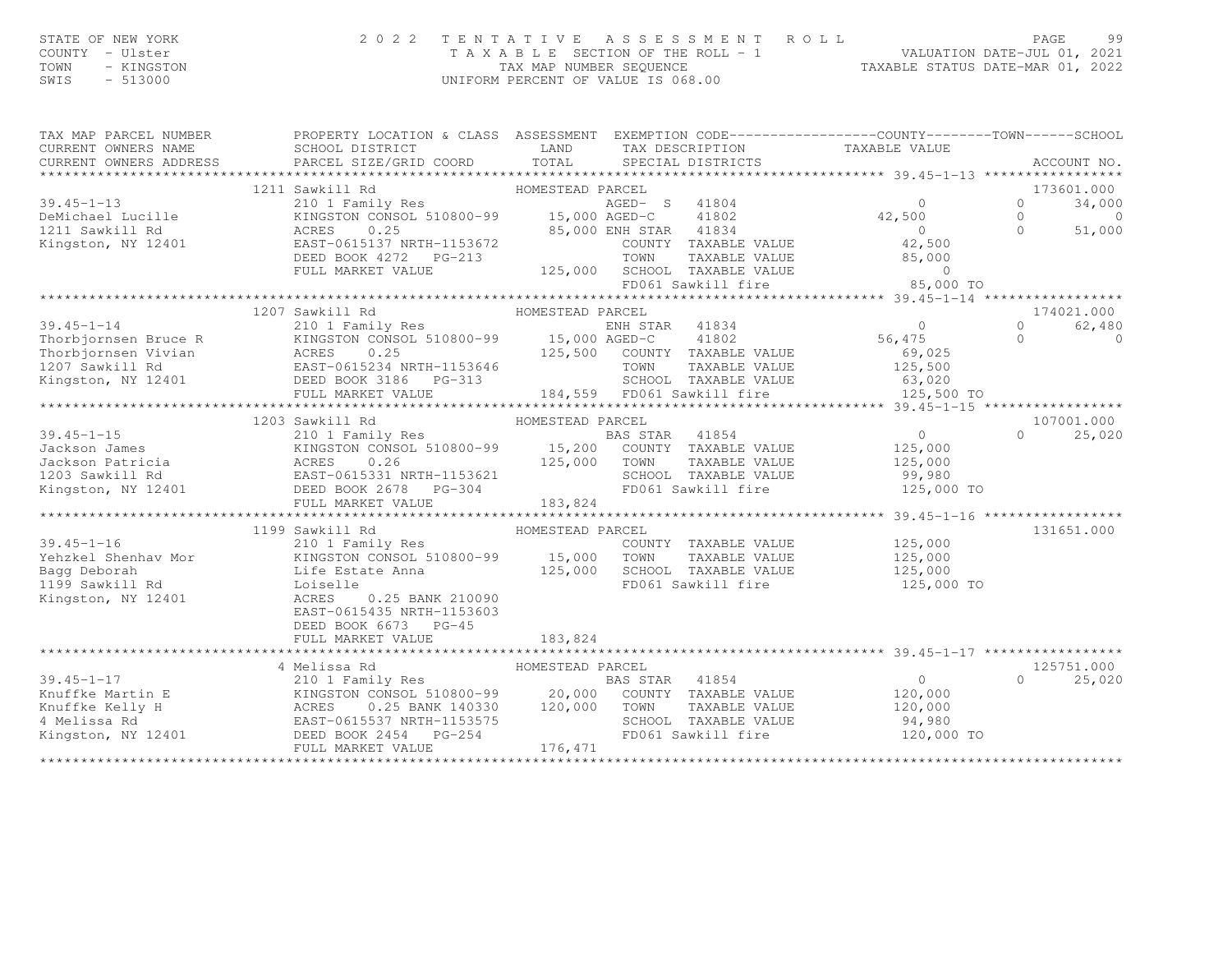## STATE OF NEW YORK PAGE 99<br>COUNTY - Ulster (2001) TAXABLE SECTION OF THE ROLL - 1 (NALUATION DATE-JUL 01, 2021<br>TAXABLE SECTION OF THE ROLL - 1 (NALUATION DATE-JUL 01, 2021<br>SWIS - 513000 (INTFORM PERCENT OF VALUE TS 068.00)

| TAX MAP PARCEL NUMBER | PROPERII LUU.<br>SCHOOL DISTRICT<br>TI CIZE/GRI!                       | PROPERTY LOCATION & CLASS ASSESSMENT EXEMPTION CODE----------------COUNTY-------TOWN------SCHOOL                                                                                                                                                        |                           |                                                               |
|-----------------------|------------------------------------------------------------------------|---------------------------------------------------------------------------------------------------------------------------------------------------------------------------------------------------------------------------------------------------------|---------------------------|---------------------------------------------------------------|
|                       |                                                                        | AGED- S 41804<br>1211 Sawkill Rd Mingston CONSOL 510800-99 15,000 ENH STAR 41802<br>1211 Sawkill Rd ACRES 0.25<br>Kingston, NY 12401 EAST Of BEED BOOK 4272 PG-213 TOWN TAXABLE VALUE 0<br>FULL MARKET VALUE 125,000 SCHOOL TAXABLE VALUE 85,000 TO<br> | $41804$ 0<br>41802 42,500 | 173601.000<br>$\overline{0}$<br>34,000<br>$\Omega$<br>$\circ$ |
|                       |                                                                        |                                                                                                                                                                                                                                                         |                           |                                                               |
|                       |                                                                        | 1207 1207 1207 1208 16 125,500<br>MOMESTEAD PRINCE AND HOMESTEAD PRINCE 21834<br>The Super Structure of MINGSTON CONSOL 510800-99<br>The Super Structure of MINGSTON CONSOL 510800-99<br>The Super Structure of MINGSTON CONSOL 510800                  |                           |                                                               |
|                       |                                                                        |                                                                                                                                                                                                                                                         |                           |                                                               |
|                       | 1203 Sawkill Rd                                                        | HOMESTEAD PARCEL                                                                                                                                                                                                                                        |                           | 107001.000<br>$\Omega$<br>25,020                              |
|                       |                                                                        |                                                                                                                                                                                                                                                         |                           |                                                               |
|                       | EAST-0615435 NRTH-1153603<br>DEED BOOK 6673 PG-45<br>FULL MARKET VALUE | 39.45-1-16<br>210 1 Family Res COUNTY TAXABLE VALUE 125,000<br>210 1 Family Res COUNTY TAXABLE VALUE 125,000<br>215,000 ENRICE 125,000 ENRICE 125,000<br>215,000 ENRICE 215,000 ENRICE 125,000<br>219 Sawkill Rd Loiselle FD061 Sawkill<br>183,824      | 125,000 TO                | 131651.000                                                    |
|                       |                                                                        |                                                                                                                                                                                                                                                         |                           |                                                               |
|                       | FULL MARKET VALUE                                                      | 176, 471                                                                                                                                                                                                                                                |                           |                                                               |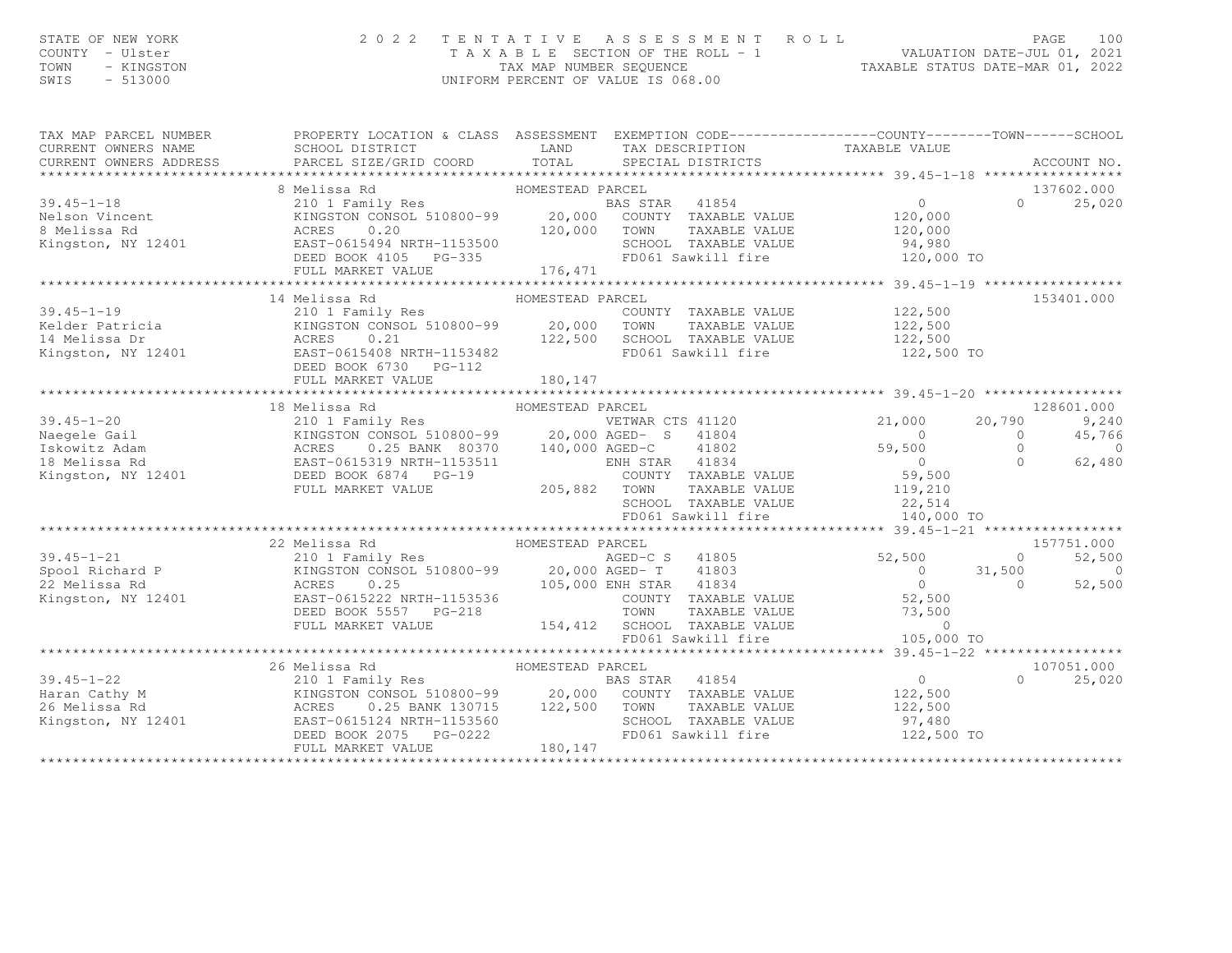## STATE OF NEW YORK PAGE 100<br>COUNTY - Ulster (2008) TAXABLE SECTION OF THE ROLL - 1 (VALUATION DATE-JUL 01, 2021<br>TAXABLE SECTION OF THE ROLL - 1 (VALUATION DATE-JUL 01, 2021<br>SWIS - 513000 (INTFORM PERCENT OF VALUE TS 068.00)

| TAX MAP PARCEL NUMBER<br>CURRENT OWNERS ADDRESS                                                                                                                                                                                                              | PROPERTY LOCATION & CLASS ASSESSMENT EXEMPTION CODE----------------COUNTY-------TOWN------SCHOOL |                  |                                                                                   |                                      |                |                |
|--------------------------------------------------------------------------------------------------------------------------------------------------------------------------------------------------------------------------------------------------------------|--------------------------------------------------------------------------------------------------|------------------|-----------------------------------------------------------------------------------|--------------------------------------|----------------|----------------|
|                                                                                                                                                                                                                                                              |                                                                                                  |                  |                                                                                   |                                      |                |                |
| 39.45-1-18<br>39.45-1-18<br>210 1 Family Res<br>210 1 Family Res<br>210 1 Family Res<br>20,000 COUNTY TAXABLE VALUE<br>20,000 COUNTY TAXABLE VALUE<br>20,000 COUNTY TAXABLE VALUE<br>212<br>20,000 TOWN TAXABLE VALUE<br>212<br>212<br>212<br>212<br>212<br> |                                                                                                  |                  |                                                                                   |                                      |                | 137602.000     |
|                                                                                                                                                                                                                                                              |                                                                                                  |                  |                                                                                   | $0 \qquad \qquad$                    | $\Omega$       | 25,020         |
|                                                                                                                                                                                                                                                              |                                                                                                  |                  |                                                                                   | 120,000                              |                |                |
|                                                                                                                                                                                                                                                              |                                                                                                  |                  |                                                                                   | 120,000                              |                |                |
|                                                                                                                                                                                                                                                              |                                                                                                  |                  |                                                                                   |                                      |                |                |
|                                                                                                                                                                                                                                                              |                                                                                                  |                  | SCHOOL TAXABLE VALUE 94,980<br>FD061 Sawkill fire 120,000 TO                      |                                      |                |                |
|                                                                                                                                                                                                                                                              |                                                                                                  |                  |                                                                                   |                                      |                |                |
|                                                                                                                                                                                                                                                              |                                                                                                  |                  |                                                                                   |                                      |                |                |
| HOMESTEAD PARCEL<br>Kelder Patricia (10 1 Family Res (210 1 Family Res (210 1 Family Res (200 1 COUNT)<br>14 Melissa Dr (210 1 ACRES 200 20,000 100NN<br>Kingston, NY 12401 (22,500 EAST-0615408 NRTH-1153482 (22,500 SCHOO.)<br>DEED                        |                                                                                                  |                  |                                                                                   |                                      |                | 153401.000     |
|                                                                                                                                                                                                                                                              |                                                                                                  |                  | COUNTY TAXABLE VALUE 122,500                                                      |                                      |                |                |
|                                                                                                                                                                                                                                                              |                                                                                                  |                  | TAXABLE VALUE                                                                     | 122,500                              |                |                |
|                                                                                                                                                                                                                                                              |                                                                                                  |                  | 122,500 SCHOOL TAXABLE VALUE 122,500                                              |                                      |                |                |
|                                                                                                                                                                                                                                                              |                                                                                                  |                  | FD061 Sawkill fire                                                                | 122,500 TO                           |                |                |
|                                                                                                                                                                                                                                                              |                                                                                                  |                  |                                                                                   |                                      |                |                |
|                                                                                                                                                                                                                                                              | FULL MARKET VALUE                                                                                | 180,147          |                                                                                   |                                      |                |                |
|                                                                                                                                                                                                                                                              |                                                                                                  |                  |                                                                                   |                                      |                |                |
|                                                                                                                                                                                                                                                              |                                                                                                  |                  |                                                                                   |                                      |                | 128601.000     |
|                                                                                                                                                                                                                                                              |                                                                                                  |                  |                                                                                   | 21,000                               | 20,790         | 9,240          |
|                                                                                                                                                                                                                                                              |                                                                                                  |                  |                                                                                   | $\overline{0}$                       | $\Omega$       | 45,766         |
|                                                                                                                                                                                                                                                              |                                                                                                  |                  |                                                                                   | 59,500                               | $\circ$        | $\circ$        |
|                                                                                                                                                                                                                                                              |                                                                                                  |                  |                                                                                   | $\overline{0}$                       | $\cap$         | 62,480         |
|                                                                                                                                                                                                                                                              |                                                                                                  |                  | ENH STAK (41003)<br>COUNTY TAXABLE VALUE (59,500)<br>POWN TAXABLE VALUE (119,210) |                                      |                |                |
|                                                                                                                                                                                                                                                              |                                                                                                  |                  |                                                                                   |                                      |                |                |
|                                                                                                                                                                                                                                                              |                                                                                                  |                  | SCHOOL TAXABLE VALUE 22,514                                                       |                                      |                |                |
|                                                                                                                                                                                                                                                              |                                                                                                  |                  | FD061 Sawkill fire                                                                | 140,000 TO                           |                |                |
|                                                                                                                                                                                                                                                              |                                                                                                  |                  |                                                                                   |                                      |                |                |
|                                                                                                                                                                                                                                                              | 22 Melissa Rd                                                                                    | HOMESTEAD PARCEL |                                                                                   |                                      |                | 157751.000     |
| $39.45 - 1 - 21$                                                                                                                                                                                                                                             |                                                                                                  |                  |                                                                                   |                                      | $\overline{0}$ | 52,500         |
|                                                                                                                                                                                                                                                              |                                                                                                  |                  |                                                                                   | $\begin{matrix} 0 \\ 0 \end{matrix}$ | 31,500         | $\overline{0}$ |
|                                                                                                                                                                                                                                                              |                                                                                                  |                  |                                                                                   |                                      | $\Omega$       | 52,500         |
|                                                                                                                                                                                                                                                              |                                                                                                  |                  |                                                                                   |                                      |                |                |
|                                                                                                                                                                                                                                                              |                                                                                                  |                  |                                                                                   |                                      |                |                |
|                                                                                                                                                                                                                                                              |                                                                                                  |                  |                                                                                   | 105,000 TO                           |                |                |
|                                                                                                                                                                                                                                                              |                                                                                                  |                  |                                                                                   |                                      |                |                |
|                                                                                                                                                                                                                                                              |                                                                                                  |                  |                                                                                   |                                      |                | 107051.000     |
|                                                                                                                                                                                                                                                              |                                                                                                  |                  |                                                                                   | $\overline{0}$                       | $\Omega$       | 25,020         |
| 39.45-1-22<br>26 Melissa Rd<br>26 Melissa Rd<br>20 1 Family Res<br>26 Melissa Rd<br>26 Melissa Rd<br>26 Melissa Rd<br>26 Melissa Rd<br>26 Melissa Rd<br>26 Melissa Rd<br>26 Melissa Rd<br>20,000 COUNTY TAXABLE VALUE<br>26 Melissa Rd<br>20,000 COUNTY      |                                                                                                  |                  |                                                                                   | 122,500                              |                |                |
|                                                                                                                                                                                                                                                              |                                                                                                  |                  |                                                                                   | TAXABLE VALUE 122,500                |                |                |
|                                                                                                                                                                                                                                                              |                                                                                                  |                  |                                                                                   |                                      |                |                |
|                                                                                                                                                                                                                                                              |                                                                                                  |                  | SCHOOL TAXABLE VALUE<br>FD061 Sawkill fire                                        | 97,480<br>122,500 TO                 |                |                |
|                                                                                                                                                                                                                                                              | FULL MARKET VALUE                                                                                | 180, 147         |                                                                                   |                                      |                |                |
|                                                                                                                                                                                                                                                              |                                                                                                  |                  |                                                                                   |                                      |                |                |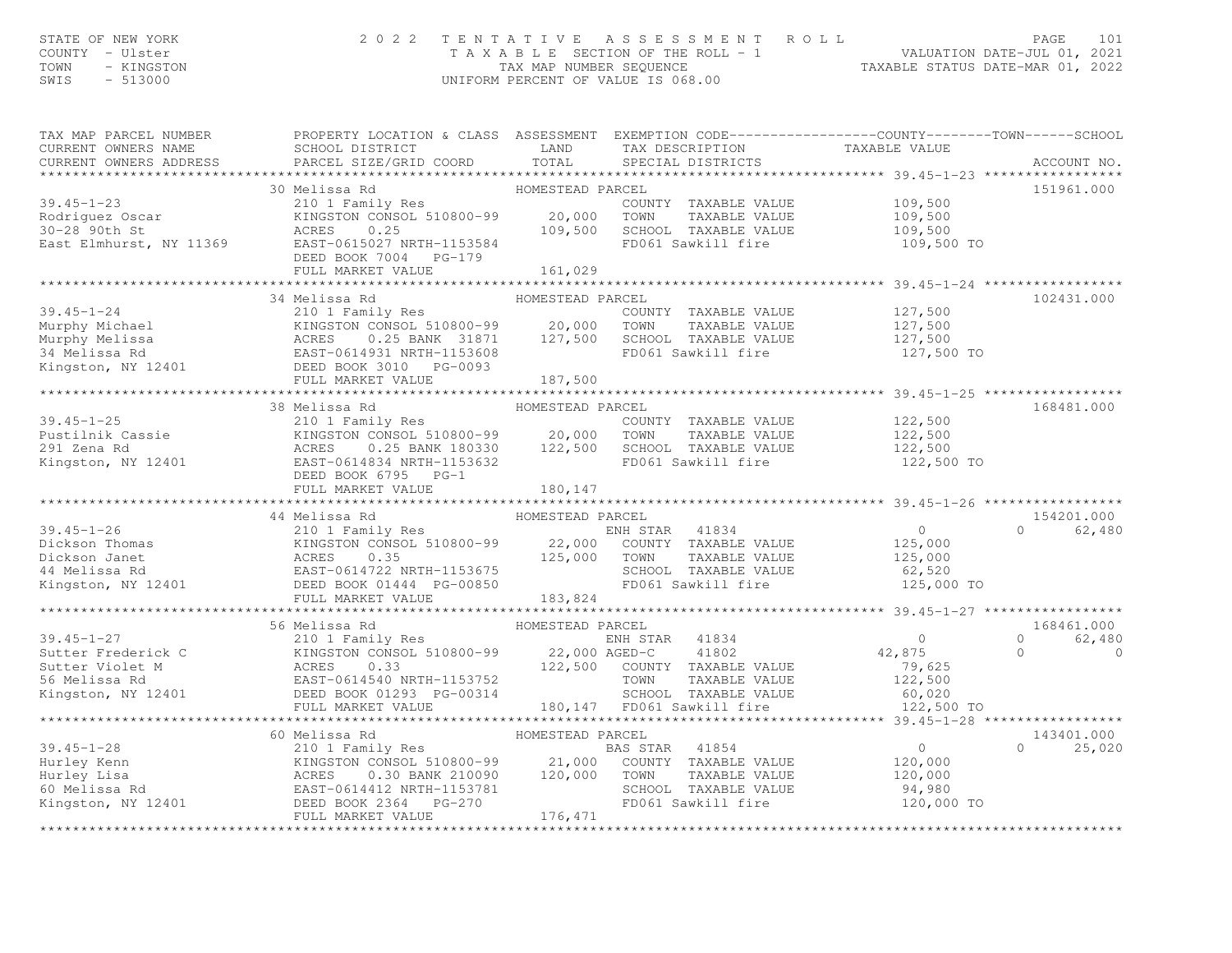### STATE OF NEW YORK PAGE 101<br>COUNTY - Ulster (2008) TAXABLE SECTION OF THE ROLL - 1 (NALUATION DATE-JUL 01, 2021<br>TAXABLE SECTION OF THE ROLL - 1 (NALUATION DATE-JUL 01, 2021<br>SWIS - 513000 (INTFORM PERCENT OF VALUE TS 068.00)

| TAX MAP PARCEL NUMBER<br>CURRENT OWNERS NAME | PROPERTY LOCATION & CLASS ASSESSMENT EXEMPTION CODE---------------COUNTY-------TOWN------SCHOOL<br>SCHOOL DISTRICT                                                                                                                                                                                                                                                                                                                                                                    | LAND             | TAX DESCRIPTION TAXABLE VALUE SPECIAL DISTRICTS                                                               |                                                              |                                                         |
|----------------------------------------------|---------------------------------------------------------------------------------------------------------------------------------------------------------------------------------------------------------------------------------------------------------------------------------------------------------------------------------------------------------------------------------------------------------------------------------------------------------------------------------------|------------------|---------------------------------------------------------------------------------------------------------------|--------------------------------------------------------------|---------------------------------------------------------|
|                                              |                                                                                                                                                                                                                                                                                                                                                                                                                                                                                       |                  |                                                                                                               |                                                              |                                                         |
|                                              | 210 1 Family Res<br>XINGSTON CONSOL 510800-99 20,000<br>ACRES 0.25 109,500<br>39.45-1-23<br>Rodriguez Oscar<br>30-28 90th St<br>East Elmhurst, NY 11369<br>EAST-0615027 NRTH-1153584<br>DEED BOOK 7004 PG-179<br>FULL MARKET VALUE<br>FULL MARKET VALUE                                                                                                                                                                                                                               | HOMESTEAD PARCEL | COUNTY TAXABLE VALUE<br>TOWN<br>TAXABLE VALUE<br>SCHOOL TAXABLE VALUE<br>FD061 Sawkill fire                   | 109,500<br>109,500<br>109,500<br>109,500 TO                  | 151961.000                                              |
|                                              |                                                                                                                                                                                                                                                                                                                                                                                                                                                                                       |                  |                                                                                                               |                                                              |                                                         |
|                                              |                                                                                                                                                                                                                                                                                                                                                                                                                                                                                       |                  |                                                                                                               |                                                              |                                                         |
|                                              |                                                                                                                                                                                                                                                                                                                                                                                                                                                                                       | HOMESTEAD PARCEL |                                                                                                               |                                                              | 102431.000                                              |
| $39.45 - 1 - 24$                             | 210 1 Family Res<br>39.45-1-24<br>Murphy Michael KINGSTON CONSOL 510800-99 20,000<br>Murphy Melissa Rd EAST-0614931 NRTH-1153608<br>Xingston, NY 12401 DEED BOOK 3010 PG-0093<br>FULL MARKET VALUE<br>FULL MARKET VALUE<br>TULL MARKET VALUE<br>EINGSTON CONSOL 510800-99 20,000<br>ACRES 0.25 BANK 31871 127,500                                                                                                                                                                     |                  | COUNTY TAXABLE VALUE 127,500<br>TAXABLE VALUE<br>TOWN<br>SCHOOL TAXABLE VALUE<br>FD061 Sawkill fire           | 127,500<br>127,500<br>127,500 TO                             |                                                         |
|                                              |                                                                                                                                                                                                                                                                                                                                                                                                                                                                                       | 187,500          |                                                                                                               |                                                              |                                                         |
|                                              |                                                                                                                                                                                                                                                                                                                                                                                                                                                                                       |                  |                                                                                                               |                                                              |                                                         |
| $39.45 - 1 - 25$                             | 38 Melissa Rd<br>210 1 Family Res<br>DEED BOOK 6795 PG-1                                                                                                                                                                                                                                                                                                                                                                                                                              | HOMESTEAD PARCEL | COUNTY TAXABLE VALUE 122,500<br>TOWN<br>TAXABLE VALUE<br>SCHOOL TAXABLE VALUE 122,500<br>FD061 Sawkill fire   | 122,500<br>122,500 TO                                        | 168481.000                                              |
|                                              |                                                                                                                                                                                                                                                                                                                                                                                                                                                                                       |                  |                                                                                                               |                                                              |                                                         |
|                                              | 44 Melissa Rd                                                                                                                                                                                                                                                                                                                                                                                                                                                                         |                  |                                                                                                               |                                                              | 154201.000                                              |
| $39.45 - 1 - 26$                             | FULL MARKET VALUE                                                                                                                                                                                                                                                                                                                                                                                                                                                                     | 183,824          | ENH STAR 41834                                                                                                | $\overline{0}$<br>125,000<br>125,000                         | 62,480<br>$\cap$ and $\cap$                             |
|                                              |                                                                                                                                                                                                                                                                                                                                                                                                                                                                                       |                  |                                                                                                               |                                                              |                                                         |
|                                              | 56 Melissa Rd<br>Meiissa ka ann an Aomasia<br>210 1 Family Res<br>39.45-1-27 $\begin{array}{l} \text{S39.45--1-27} \\ \text{Sutter Frederick C} \\ \text{Sutter Violet M} \\ \text{S6 Melissa Rd} \\ \text{Kingston, NY 12401} \\ \text{NY 12401} \\ \text{S6 Melissa R} \\ \text{S6 Melissa R} \\ \text{N125.500} \\ \text{N26.510800} \\ \text{N33} \\ \text{S6 Melissa R} \\ \text{N47.511} \\ \text{N58.51} \\ \text{N6.621} \\ \text{N7.63} \\ \text{N8.7-0614540} \\ \text{N8.$ | HOMESTEAD PARCEL | SCHOOL TAXABLE VALUE 60,020                                                                                   | $\overline{0}$<br>42,875<br>79,625<br>122,500                | 168461.000<br>62,480<br>$\circ$<br>$\Omega$<br>$\Omega$ |
|                                              |                                                                                                                                                                                                                                                                                                                                                                                                                                                                                       |                  |                                                                                                               | 122,500 TO                                                   |                                                         |
|                                              |                                                                                                                                                                                                                                                                                                                                                                                                                                                                                       |                  |                                                                                                               |                                                              |                                                         |
|                                              | 60 Melissa Rd<br>39.45-1-28<br>Hurley Kenn<br>Hurley Lisa<br>60 Melissa Rd<br>Kingston, NY 12401<br>Hurley Lisa<br>EAST-0614412 NRTH-1153781<br>EAST-0614412 NRTH-1153781<br>EEED BOOK 2364<br>PG-270<br>CONSOL SINCO 000<br>0.30 BANK 210090 120,000<br>4412 NRTH-1153781<br>7.364 PG-270                                                                                                                                                                                            | HOMESTEAD PARCEL | BAS STAR 41854<br>COUNTY TAXABLE VALUE<br>TAXABLE VALUE<br>TOWN<br>SCHOOL TAXABLE VALUE<br>FD061 Sawkill fire | $\overline{0}$<br>120,000<br>120,000<br>94,980<br>120,000 TO | 143401.000<br>25,020<br>$\Omega$                        |
|                                              | FULL MARKET VALUE                                                                                                                                                                                                                                                                                                                                                                                                                                                                     | 176,471          |                                                                                                               |                                                              |                                                         |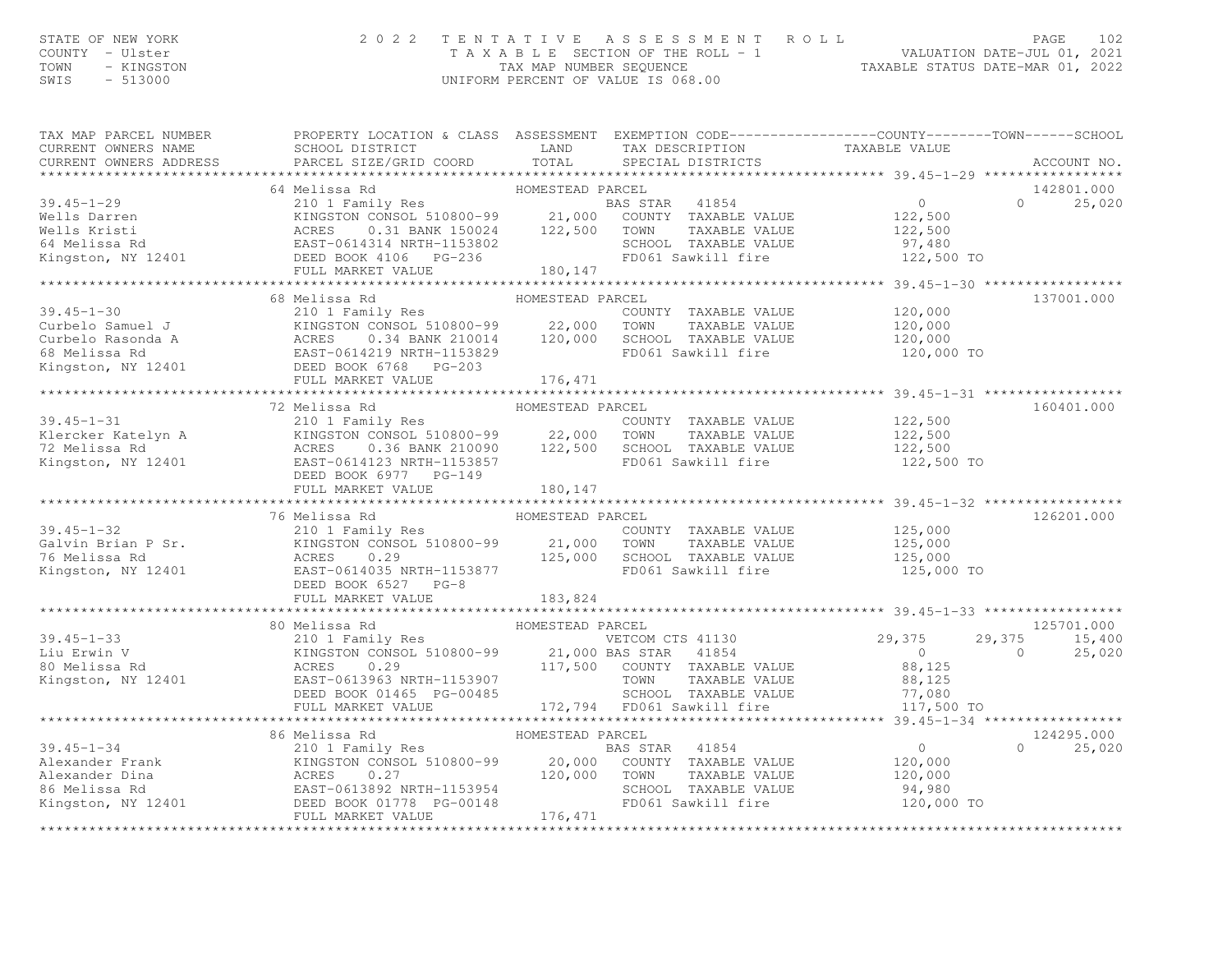## STATE OF NEW YORK PAGE 102<br>COUNTY - Ulster (2008) TAXABLE SECTION OF THE ROLL - 1 (NALUATION DATE-JUL 01, 2021<br>TAXABLE SECTION OF THE ROLL - 1 (NALUATION DATE-JUL 01, 2021<br>SWIS - 513000 (INTFORM PERCENT OF VALUE TS 068.00)

| TAX MAP PARCEL NUMBER | PROPERTY LOCATION & CLASS ASSESSMENT EXEMPTION CODE----------------COUNTY-------TOWN------SCHOOL                                                                                                                                                    |                   |                                                                 |                    |          |            |
|-----------------------|-----------------------------------------------------------------------------------------------------------------------------------------------------------------------------------------------------------------------------------------------------|-------------------|-----------------------------------------------------------------|--------------------|----------|------------|
| CURRENT OWNERS NAME   | SCHOOL DISTRICT                                                                                                                                                                                                                                     | LAND              | TAX DESCRIPTION TAXABLE VALUE SPECIAL DISTRICTS                 |                    |          |            |
|                       |                                                                                                                                                                                                                                                     |                   |                                                                 |                    |          |            |
|                       |                                                                                                                                                                                                                                                     |                   |                                                                 |                    |          |            |
|                       | 64 Melissa Rd                                                                                                                                                                                                                                       | HOMESTEAD PARCEL  |                                                                 |                    |          | 142801.000 |
|                       | 210 1 Family Res                                                                                                                                                                                                                                    |                   | BAS STAR 41854                                                  | $\Omega$           | $\Omega$ | 25,020     |
|                       |                                                                                                                                                                                                                                                     | 21,000<br>122,500 | COUNTY TAXABLE VALUE                                            | 122,500            |          |            |
|                       |                                                                                                                                                                                                                                                     |                   | TAXABLE VALUE<br>TOWN                                           | 122,500            |          |            |
|                       |                                                                                                                                                                                                                                                     |                   | SCHOOL TAXABLE VALUE                                            | 97,480             |          |            |
|                       |                                                                                                                                                                                                                                                     |                   | FD061 Sawkill fire                                              | 122,500 TO         |          |            |
|                       |                                                                                                                                                                                                                                                     | 180, 147          |                                                                 |                    |          |            |
|                       | And Tamily Res<br>Wells Kristi<br>Wells Kristi<br>64 Melissa Rd<br>Kingston, NY 12401<br>Xample Discount Past Pook 4106<br>FULL MARKET VALUE PG-236<br>XAMPLED BOOK 4106<br>PG-236<br>XAMPLED BOOK 4106<br>PG-236<br>XAMPLED BOOK 4106<br>PG-236    |                   |                                                                 |                    |          |            |
|                       | 68 Melissa Rd                                                                                                                                                                                                                                       | HOMESTEAD PARCEL  |                                                                 |                    |          | 137001.000 |
| $39.45 - 1 - 30$      | 210 1 Family Res                                                                                                                                                                                                                                    |                   | COUNTY TAXABLE VALUE 120,000                                    |                    |          |            |
|                       |                                                                                                                                                                                                                                                     |                   | TAXABLE VALUE                                                   | 120,000            |          |            |
|                       | KINGSTON CONSOL 510800-99 22,000 TOWN<br>ACRES 0.34 BANK 210014 120,000 SCHOO                                                                                                                                                                       |                   | SCHOOL TAXABLE VALUE 120,000                                    |                    |          |            |
|                       |                                                                                                                                                                                                                                                     |                   | FD061 Sawkill fire                                              | 120,000 TO         |          |            |
|                       |                                                                                                                                                                                                                                                     |                   |                                                                 |                    |          |            |
|                       |                                                                                                                                                                                                                                                     |                   |                                                                 |                    |          |            |
|                       | 39.45-1-30<br>Curbelo Samuel J<br>Curbelo Rasonda A<br>Curbelo Rasonda A<br>Curbelo Rasonda A<br>Curbelo Rasonda A<br>Curbelo Rasonda A<br>EAST-0614219 NRTH-1153829<br>EAST-0614219 NRTH-1153829<br>FULL MARKET VALUE<br>TULL MARKET VALUE<br>TULL |                   | **********************************39.45-1-31 ****************** |                    |          |            |
|                       |                                                                                                                                                                                                                                                     | HOMESTEAD PARCEL  |                                                                 |                    |          |            |
|                       | 72 Melissa Rd                                                                                                                                                                                                                                       |                   |                                                                 |                    |          | 160401.000 |
| $39.45 - 1 - 31$      | 210 1 Family Res                                                                                                                                                                                                                                    |                   | COUNTY TAXABLE VALUE                                            | 122,500            |          |            |
|                       |                                                                                                                                                                                                                                                     |                   | TOWN<br>TAXABLE VALUE                                           | 122,500            |          |            |
|                       |                                                                                                                                                                                                                                                     |                   | SCHOOL TAXABLE VALUE                                            | 122,500            |          |            |
|                       |                                                                                                                                                                                                                                                     |                   | FD061 Sawkill fire                                              | 122,500 TO         |          |            |
|                       | DEED BOOK 6977 PG-149                                                                                                                                                                                                                               |                   |                                                                 |                    |          |            |
|                       | FULL MARKET VALUE                                                                                                                                                                                                                                   | 180,147           |                                                                 |                    |          |            |
|                       |                                                                                                                                                                                                                                                     |                   |                                                                 |                    |          |            |
|                       | 76 Melissa Rd                                                                                                                                                                                                                                       | HOMESTEAD PARCEL  |                                                                 |                    |          | 126201.000 |
| $39.45 - 1 - 32$      | 210 1 Family Res                                                                                                                                                                                                                                    |                   | COUNTY TAXABLE VALUE 125,000                                    |                    |          |            |
|                       |                                                                                                                                                                                                                                                     |                   | TOWN<br>TAXABLE VALUE                                           |                    |          |            |
|                       | 21,000<br>KINGSTON CONSOL 510800-99 21,000<br>ACRES 0.29 125,000                                                                                                                                                                                    |                   | SCHOOL TAXABLE VALUE                                            | 125,000<br>125,000 |          |            |
|                       | Galvin Brian P Sr.<br>The EXINGSTON CONSOL 510800-99<br>76 Melissa Rd<br>Kingston, NY 12401<br>EAST-0614035 NRTH-1153877<br>DEED BOOK 6527 PG-8                                                                                                     |                   | FD061 Sawkill fire 125,000 TO                                   |                    |          |            |
|                       | DEED BOOK 6527 PG-8                                                                                                                                                                                                                                 |                   |                                                                 |                    |          |            |
|                       | FULL MARKET VALUE                                                                                                                                                                                                                                   | 183,824           |                                                                 |                    |          |            |
|                       |                                                                                                                                                                                                                                                     |                   |                                                                 |                    |          |            |
|                       | 80 Melissa Rd                                                                                                                                                                                                                                       | HOMESTEAD PARCEL  |                                                                 |                    |          | 125701.000 |
|                       |                                                                                                                                                                                                                                                     |                   |                                                                 |                    |          |            |
|                       |                                                                                                                                                                                                                                                     |                   |                                                                 |                    |          |            |
|                       |                                                                                                                                                                                                                                                     |                   |                                                                 |                    |          |            |
|                       |                                                                                                                                                                                                                                                     |                   |                                                                 |                    |          |            |
|                       |                                                                                                                                                                                                                                                     |                   |                                                                 |                    |          |            |
|                       |                                                                                                                                                                                                                                                     |                   |                                                                 |                    |          |            |
|                       |                                                                                                                                                                                                                                                     |                   |                                                                 |                    |          |            |
|                       |                                                                                                                                                                                                                                                     |                   |                                                                 |                    |          | 124295.000 |
|                       | 86 Melissa Rd                                                                                                                                                                                                                                       | HOMESTEAD PARCEL  |                                                                 |                    |          |            |
|                       | 210 1 Family Res<br>KINGSTON CONSOL 510800-99 20,000                                                                                                                                                                                                |                   | BAS STAR 41854                                                  | $\overline{0}$     | $\cap$   | 25,020     |
|                       |                                                                                                                                                                                                                                                     |                   | COUNTY TAXABLE VALUE                                            | 120,000            |          |            |
|                       |                                                                                                                                                                                                                                                     | 120,000           | TAXABLE VALUE<br>TOWN                                           | 120,000            |          |            |
|                       |                                                                                                                                                                                                                                                     |                   | SCHOOL TAXABLE VALUE                                            | 94,980             |          |            |
|                       |                                                                                                                                                                                                                                                     |                   | FD061 Sawkill fire                                              | 120,000 TO         |          |            |
|                       | Alexander Frank Mingston Consol 510800-99<br>Alexander Dina Mingston Consol 510800-99<br>86 Melissa Rd EAST-0613892 NRTH-1153954<br>Kingston, NY 12401 DEED BOOK 01778 BC 00111                                                                     | 176,471           |                                                                 |                    |          |            |
|                       |                                                                                                                                                                                                                                                     |                   |                                                                 |                    |          |            |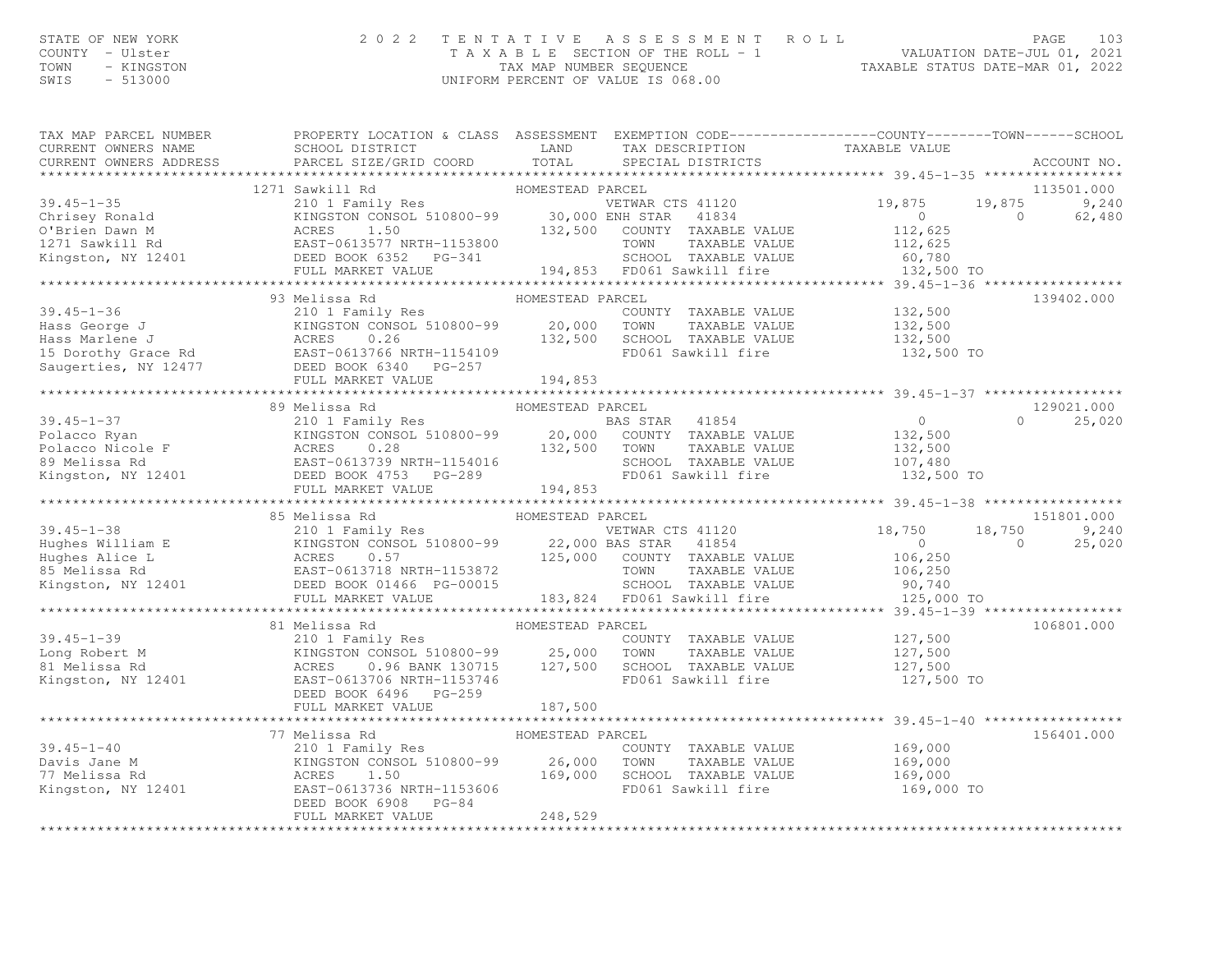### STATE OF NEW YORK PAGE 103<br>COUNTY - Ulster (2001) TAXABLE SECTION OF THE ROLL - 1 (NALUATION DATE-JUL 01, 2021<br>TAXABLE SECTION OF THE ROLL - 1 (NALUATION DATE-JUL 01, 2021<br>SWIS - 513000 (INTFORM PERCENT OF VALUE TS 068.00)

|                                           |                                |         |                                                                                             |                                                                                                                                                                                                                                                                                                                             | 139402.000                                                                                                                                                                                                                                                                                                                                                                                                                                                                                                                                                                                                                                                                                                                                                                                                                                                                                                                                                                                                           |
|-------------------------------------------|--------------------------------|---------|---------------------------------------------------------------------------------------------|-----------------------------------------------------------------------------------------------------------------------------------------------------------------------------------------------------------------------------------------------------------------------------------------------------------------------------|----------------------------------------------------------------------------------------------------------------------------------------------------------------------------------------------------------------------------------------------------------------------------------------------------------------------------------------------------------------------------------------------------------------------------------------------------------------------------------------------------------------------------------------------------------------------------------------------------------------------------------------------------------------------------------------------------------------------------------------------------------------------------------------------------------------------------------------------------------------------------------------------------------------------------------------------------------------------------------------------------------------------|
|                                           |                                |         |                                                                                             |                                                                                                                                                                                                                                                                                                                             |                                                                                                                                                                                                                                                                                                                                                                                                                                                                                                                                                                                                                                                                                                                                                                                                                                                                                                                                                                                                                      |
|                                           |                                |         |                                                                                             |                                                                                                                                                                                                                                                                                                                             | 129021.000                                                                                                                                                                                                                                                                                                                                                                                                                                                                                                                                                                                                                                                                                                                                                                                                                                                                                                                                                                                                           |
|                                           |                                |         |                                                                                             |                                                                                                                                                                                                                                                                                                                             |                                                                                                                                                                                                                                                                                                                                                                                                                                                                                                                                                                                                                                                                                                                                                                                                                                                                                                                                                                                                                      |
|                                           |                                |         |                                                                                             |                                                                                                                                                                                                                                                                                                                             | 151801.000                                                                                                                                                                                                                                                                                                                                                                                                                                                                                                                                                                                                                                                                                                                                                                                                                                                                                                                                                                                                           |
|                                           |                                |         |                                                                                             |                                                                                                                                                                                                                                                                                                                             | 25,020                                                                                                                                                                                                                                                                                                                                                                                                                                                                                                                                                                                                                                                                                                                                                                                                                                                                                                                                                                                                               |
|                                           |                                |         |                                                                                             |                                                                                                                                                                                                                                                                                                                             | 106801.000                                                                                                                                                                                                                                                                                                                                                                                                                                                                                                                                                                                                                                                                                                                                                                                                                                                                                                                                                                                                           |
|                                           |                                |         |                                                                                             |                                                                                                                                                                                                                                                                                                                             |                                                                                                                                                                                                                                                                                                                                                                                                                                                                                                                                                                                                                                                                                                                                                                                                                                                                                                                                                                                                                      |
|                                           |                                |         |                                                                                             |                                                                                                                                                                                                                                                                                                                             |                                                                                                                                                                                                                                                                                                                                                                                                                                                                                                                                                                                                                                                                                                                                                                                                                                                                                                                                                                                                                      |
|                                           |                                |         |                                                                                             |                                                                                                                                                                                                                                                                                                                             | 156401.000                                                                                                                                                                                                                                                                                                                                                                                                                                                                                                                                                                                                                                                                                                                                                                                                                                                                                                                                                                                                           |
| DEED BOOK 6908 PG-84<br>FULL MARKET VALUE |                                |         |                                                                                             |                                                                                                                                                                                                                                                                                                                             |                                                                                                                                                                                                                                                                                                                                                                                                                                                                                                                                                                                                                                                                                                                                                                                                                                                                                                                                                                                                                      |
|                                           | 89 Melissa Rd<br>81 Melissa Rd | 248,529 | HOMESTEAD PARCEL<br>Melissa Rd<br>210 1 Family Res                 HOMESTEAD PARCEL<br>COUN | COUNTY TAXABLE VALUE 132,500<br>TOWN TAXABLE VALUE 132,500<br>SCHOOL TAXABLE VALUE 132,500<br>81 Melissa Rd 210 1 Family Res 210 1 Family Res 210 1 Family Res 210 1 Family Res 210 1 Family Res 210 1 Family Res 210 1 Family Res 210 1 Family Res 210 1 Family Res 210 1 Family Res 210 1 Family Res 210 1 Family Res 210 | PROPERTY LOCATION & CLASS ASSESSMENT EXEMPTION CODE----------------COUNTY-------TOWN------SCHOOL<br>CURRENT OWNERS NAME SCHOOL DISTRICT LAND TAX DESCRIPTION TAXABLE VALUE<br>CURRENT OWNERS ADDRESS PARCEL SIZE/GRID COORD TOTAL SPECIAL DISTRICTS ACCOUNT NO.<br>1271 Sawkill Rd 210 1 Family Res 210 1 Family Res 210 1 Family Res 210 1 Family Res 210 1 Family Res 210 1 Family Res 210 1 Family Res 210 1 Family Res 210 1 Family Res 210 1 Family Res 210 1 Family Res 210 1 Family Res 21<br>FD061 Sawkill fire 132,500 TO<br>$\begin{array}{cccccccc} 39.45-1-37 & 89 \; \text{Melissa Rd} & \text{HOMESTEAD PARCEL} & 129021.000 & 129021.000 & 129021.000 & 129021.000 & 129021.000 & 129021.000 & 129021.000 & 129021.000 & 129021.000 & 129021.000 & 129021.000 & 129021.000 & 129021.000 & 129021.000 & 12902$<br>$18,750$ $18,750$ $9,240$<br>0 0 25,020<br>127,500 TO<br>COUNTY TAXABLE VALUE 169,000<br>TOWN TAXABLE VALUE 169,000<br>SCHOOL TAXABLE VALUE 169,000<br>FD061 Sawkill fire 169,000 TO |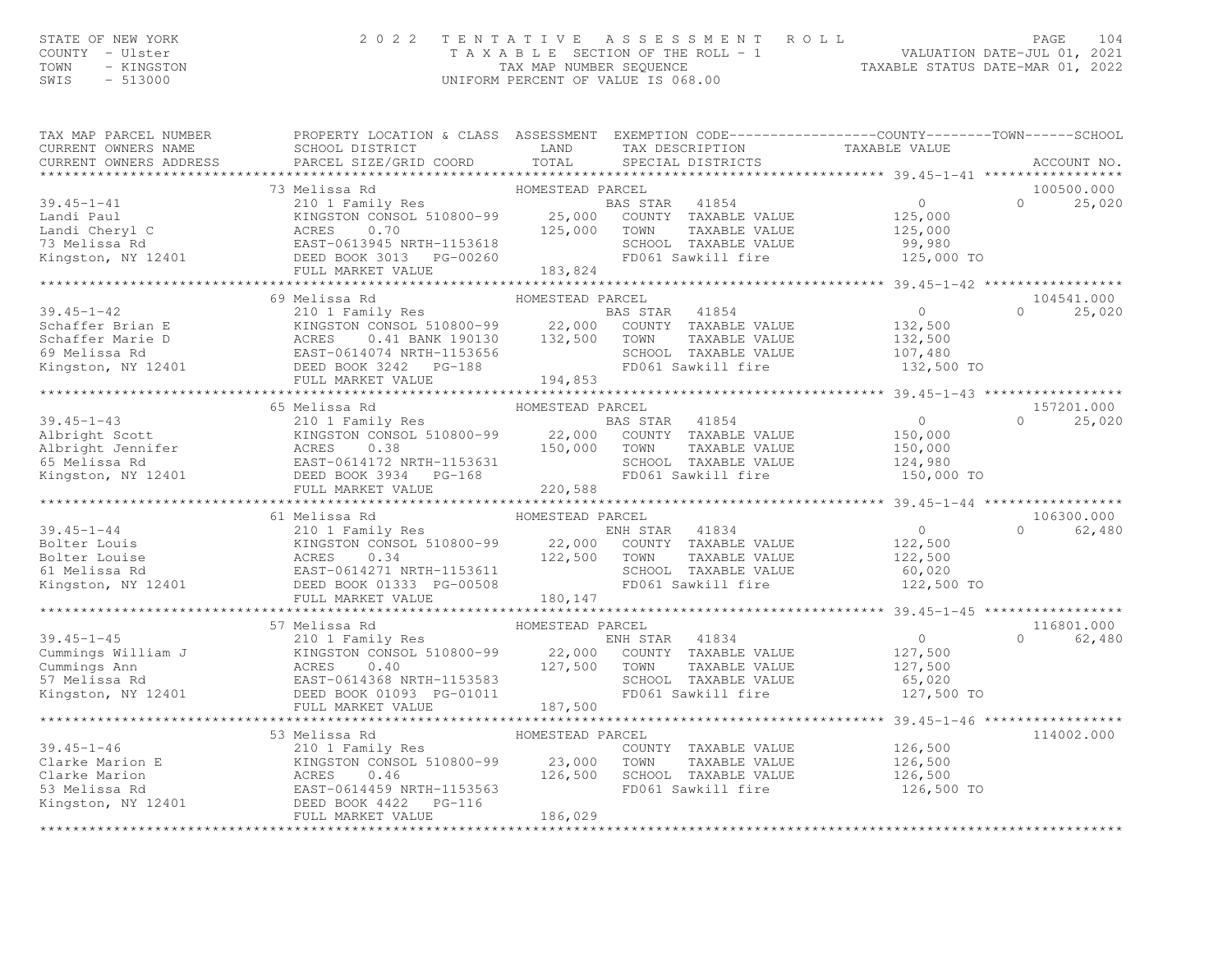### STATE OF NEW YORK PAGE 104<br>COUNTY - Ulster (2008) TAXABLE SECTION OF THE ROLL - 1 (NALUATION DATE-JUL 01, 2021<br>TAXABLE SECTION OF THE ROLL - 1 (NALUATION DATE-JUL 01, 2021<br>SWIS - 513000 (INTFORM PERCENT OF VALUE IS 068.00)

| TAX MAP PARCEL NUMBER                                                                                                                                                                                                                       |                                                                                                                           |                                                                                                                                                                                                                                                                                                                                                                                      | PROPERTY LOCATION & CLASS ASSESSMENT EXEMPTION CODE----------------COUNTY-------TOWN------SCHOOL                                                                                                                                       |
|---------------------------------------------------------------------------------------------------------------------------------------------------------------------------------------------------------------------------------------------|---------------------------------------------------------------------------------------------------------------------------|--------------------------------------------------------------------------------------------------------------------------------------------------------------------------------------------------------------------------------------------------------------------------------------------------------------------------------------------------------------------------------------|----------------------------------------------------------------------------------------------------------------------------------------------------------------------------------------------------------------------------------------|
|                                                                                                                                                                                                                                             |                                                                                                                           |                                                                                                                                                                                                                                                                                                                                                                                      |                                                                                                                                                                                                                                        |
|                                                                                                                                                                                                                                             |                                                                                                                           |                                                                                                                                                                                                                                                                                                                                                                                      | 100500.000                                                                                                                                                                                                                             |
|                                                                                                                                                                                                                                             |                                                                                                                           |                                                                                                                                                                                                                                                                                                                                                                                      | $\overline{0}$<br>25,020<br>$\cap$                                                                                                                                                                                                     |
|                                                                                                                                                                                                                                             |                                                                                                                           |                                                                                                                                                                                                                                                                                                                                                                                      | 125,000                                                                                                                                                                                                                                |
|                                                                                                                                                                                                                                             |                                                                                                                           |                                                                                                                                                                                                                                                                                                                                                                                      | 125,000                                                                                                                                                                                                                                |
|                                                                                                                                                                                                                                             |                                                                                                                           |                                                                                                                                                                                                                                                                                                                                                                                      | 99,980                                                                                                                                                                                                                                 |
|                                                                                                                                                                                                                                             |                                                                                                                           | $\begin{tabular}{lllllllllll} 39.45-1-41 & 73 Melissa Rd & HOMESTEAD PARCEL \\ Landi Paul & KINGSTON CONSOL 510800-99 & 25,000 COUNTY TAXABLE VALUE \\ Landi Cheryl C & ACRES & 0.70 & 125,000 TOWN & TAXABLE VALUE \\ Rinsson, NY 12401 & DEED BOOK 3013 PG-00260 & & FD061 Sawkill fire \\ Kingston, NY 12401 & DEED BOOK 3013 PG-00260 & & & FD061 Sawkill fire \\ \end{tabular}$ | FD061 Sawkill fire 125,000 TO                                                                                                                                                                                                          |
|                                                                                                                                                                                                                                             |                                                                                                                           |                                                                                                                                                                                                                                                                                                                                                                                      |                                                                                                                                                                                                                                        |
|                                                                                                                                                                                                                                             |                                                                                                                           |                                                                                                                                                                                                                                                                                                                                                                                      |                                                                                                                                                                                                                                        |
|                                                                                                                                                                                                                                             | 69 Melissa Rd                                                                                                             | HOMESTEAD PARCEL                                                                                                                                                                                                                                                                                                                                                                     | 104541.000                                                                                                                                                                                                                             |
| $39.45 - 1 - 42$                                                                                                                                                                                                                            |                                                                                                                           |                                                                                                                                                                                                                                                                                                                                                                                      | 25,020<br>$\Omega$                                                                                                                                                                                                                     |
| Schaffer Brian E<br>Schaffer Marie D<br>Schaffer Marie D<br>Schaffer Marie D<br>ACRES 0.41 BANK 190130<br>69 Melissa Rd<br>Kingston, NY 12401<br>EBED BOOK 3242 PG-188<br>FIIIT MADEFT VAILS<br>FIIIT MADEFT VAILS<br>CAST COOK 3242 PG-188 |                                                                                                                           | 210 1 Family Res<br>22,000 COUNTY TAXABLE VALUE 132,500<br>KINGSTON CONSOL 510800-99 22,000 COUNTY TAXABLE VALUE 132,500                                                                                                                                                                                                                                                             |                                                                                                                                                                                                                                        |
|                                                                                                                                                                                                                                             |                                                                                                                           | TOWN<br>TAXABLE VALUE                                                                                                                                                                                                                                                                                                                                                                | 132,500                                                                                                                                                                                                                                |
|                                                                                                                                                                                                                                             |                                                                                                                           | SCHOOL TAXABLE VALUE 107,480                                                                                                                                                                                                                                                                                                                                                         |                                                                                                                                                                                                                                        |
|                                                                                                                                                                                                                                             |                                                                                                                           | FD061 Sawkill fire                                                                                                                                                                                                                                                                                                                                                                   | 132,500 TO                                                                                                                                                                                                                             |
|                                                                                                                                                                                                                                             | FULL MARKET VALUE                                                                                                         | 194,853                                                                                                                                                                                                                                                                                                                                                                              |                                                                                                                                                                                                                                        |
|                                                                                                                                                                                                                                             |                                                                                                                           |                                                                                                                                                                                                                                                                                                                                                                                      |                                                                                                                                                                                                                                        |
|                                                                                                                                                                                                                                             | 65 Melissa Rd                                                                                                             | HOMESTEAD PARCEL                                                                                                                                                                                                                                                                                                                                                                     | 157201.000                                                                                                                                                                                                                             |
|                                                                                                                                                                                                                                             |                                                                                                                           |                                                                                                                                                                                                                                                                                                                                                                                      | 25,020                                                                                                                                                                                                                                 |
|                                                                                                                                                                                                                                             |                                                                                                                           |                                                                                                                                                                                                                                                                                                                                                                                      |                                                                                                                                                                                                                                        |
|                                                                                                                                                                                                                                             |                                                                                                                           |                                                                                                                                                                                                                                                                                                                                                                                      |                                                                                                                                                                                                                                        |
|                                                                                                                                                                                                                                             |                                                                                                                           |                                                                                                                                                                                                                                                                                                                                                                                      |                                                                                                                                                                                                                                        |
|                                                                                                                                                                                                                                             |                                                                                                                           |                                                                                                                                                                                                                                                                                                                                                                                      |                                                                                                                                                                                                                                        |
|                                                                                                                                                                                                                                             |                                                                                                                           |                                                                                                                                                                                                                                                                                                                                                                                      |                                                                                                                                                                                                                                        |
|                                                                                                                                                                                                                                             |                                                                                                                           |                                                                                                                                                                                                                                                                                                                                                                                      | 39.45-1-43<br>Albright Scott 210 1 Family Res<br>Albright Scott (INSTON CONSOL 510800-99 22,000 COUNTY TAXABLE VALUE 150,000<br>Albright Jennifer ACRES 0.38<br>65 Melissa Rd EAST-06414172 NRTH-1153631 50,000 TOWN TAXABLE VALUE 150 |
|                                                                                                                                                                                                                                             |                                                                                                                           |                                                                                                                                                                                                                                                                                                                                                                                      | 106300.000                                                                                                                                                                                                                             |
|                                                                                                                                                                                                                                             |                                                                                                                           |                                                                                                                                                                                                                                                                                                                                                                                      | $\bigcirc$<br>$\Omega$                                                                                                                                                                                                                 |
|                                                                                                                                                                                                                                             |                                                                                                                           |                                                                                                                                                                                                                                                                                                                                                                                      | 62,480                                                                                                                                                                                                                                 |
|                                                                                                                                                                                                                                             |                                                                                                                           |                                                                                                                                                                                                                                                                                                                                                                                      | 122,500                                                                                                                                                                                                                                |
|                                                                                                                                                                                                                                             |                                                                                                                           |                                                                                                                                                                                                                                                                                                                                                                                      | 122,500                                                                                                                                                                                                                                |
|                                                                                                                                                                                                                                             |                                                                                                                           |                                                                                                                                                                                                                                                                                                                                                                                      | 60,020                                                                                                                                                                                                                                 |
|                                                                                                                                                                                                                                             |                                                                                                                           | FD061 Sawkill fire                                                                                                                                                                                                                                                                                                                                                                   | 122,500 TO                                                                                                                                                                                                                             |
|                                                                                                                                                                                                                                             |                                                                                                                           |                                                                                                                                                                                                                                                                                                                                                                                      |                                                                                                                                                                                                                                        |
|                                                                                                                                                                                                                                             |                                                                                                                           |                                                                                                                                                                                                                                                                                                                                                                                      |                                                                                                                                                                                                                                        |
|                                                                                                                                                                                                                                             | 57 Melissa Rd                                                                                                             | HOMESTEAD PARCEL                                                                                                                                                                                                                                                                                                                                                                     | 116801.000                                                                                                                                                                                                                             |
| $39.45 - 1 - 45$                                                                                                                                                                                                                            |                                                                                                                           | ENH STAR 41834                                                                                                                                                                                                                                                                                                                                                                       | $\overline{a}$<br>$\Omega$<br>62,480                                                                                                                                                                                                   |
|                                                                                                                                                                                                                                             |                                                                                                                           |                                                                                                                                                                                                                                                                                                                                                                                      | 127,500<br>127,500                                                                                                                                                                                                                     |
|                                                                                                                                                                                                                                             |                                                                                                                           |                                                                                                                                                                                                                                                                                                                                                                                      |                                                                                                                                                                                                                                        |
|                                                                                                                                                                                                                                             |                                                                                                                           |                                                                                                                                                                                                                                                                                                                                                                                      |                                                                                                                                                                                                                                        |
|                                                                                                                                                                                                                                             |                                                                                                                           |                                                                                                                                                                                                                                                                                                                                                                                      | SCHOOL TAXABLE VALUE 65,020<br>FD061 Sawkill fire 127,500 TO                                                                                                                                                                           |
|                                                                                                                                                                                                                                             | FULL MARKET VALUE                                                                                                         | 187,500                                                                                                                                                                                                                                                                                                                                                                              |                                                                                                                                                                                                                                        |
|                                                                                                                                                                                                                                             |                                                                                                                           | **************                                                                                                                                                                                                                                                                                                                                                                       |                                                                                                                                                                                                                                        |
|                                                                                                                                                                                                                                             | 53 Melissa Rd                                                                                                             | HOMESTEAD PARCEL                                                                                                                                                                                                                                                                                                                                                                     | 114002.000                                                                                                                                                                                                                             |
|                                                                                                                                                                                                                                             |                                                                                                                           | COUNTY TAXABLE VALUE                                                                                                                                                                                                                                                                                                                                                                 | 126,500                                                                                                                                                                                                                                |
| 39.45-1-46<br>Clarke Marion E<br>Clarke Marion E<br>S3 Melissa Rd<br>Kingston, NY 12401<br>EAST-0614459 NRTH-1153563<br>EAST-0614459 NRTH-1153563<br>EAST-0614459 NRTH-1153563<br>ELED BOOK 4422<br>DEED BOOK 4422<br>PONKET VALUE          | 210 1 Family Res<br>KINGSTON CONSOL 510800-99 23,000 TOWN<br>ACRES 0.46 126,500 SCHOC<br>TACRE 0614459 NRTH-1153563 FD06: | TAXABLE VALUE                                                                                                                                                                                                                                                                                                                                                                        | 126,500                                                                                                                                                                                                                                |
|                                                                                                                                                                                                                                             |                                                                                                                           | SCHOOL TAXABLE VALUE                                                                                                                                                                                                                                                                                                                                                                 | 126,500                                                                                                                                                                                                                                |
|                                                                                                                                                                                                                                             |                                                                                                                           | FD061 Sawkill fire                                                                                                                                                                                                                                                                                                                                                                   | 126,500 TO                                                                                                                                                                                                                             |
|                                                                                                                                                                                                                                             |                                                                                                                           |                                                                                                                                                                                                                                                                                                                                                                                      |                                                                                                                                                                                                                                        |
|                                                                                                                                                                                                                                             | FULL MARKET VALUE                                                                                                         | 186,029                                                                                                                                                                                                                                                                                                                                                                              |                                                                                                                                                                                                                                        |
|                                                                                                                                                                                                                                             |                                                                                                                           |                                                                                                                                                                                                                                                                                                                                                                                      |                                                                                                                                                                                                                                        |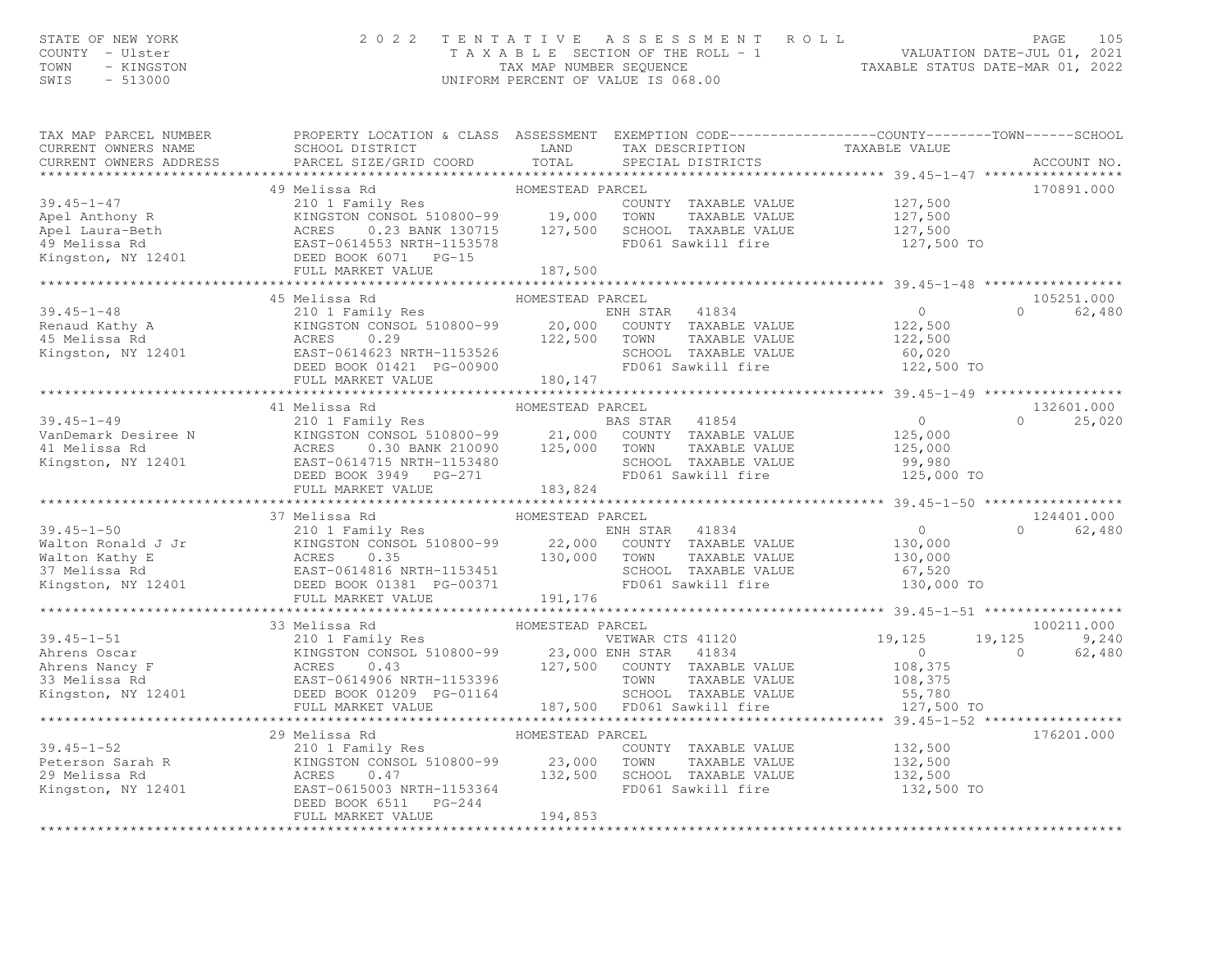### STATE OF NEW YORK PAGE 105<br>COUNTY - Ulster (2001) TAXABLE SECTION OF THE ROLL - 1 (NALUATION DATE-JUL 01, 2021<br>TAXABLE SECTION OF THE ROLL - 1 (NALUATION DATE-JUL 01, 2021<br>SWIS - 513000 (INTFORM PERCENT OF VALUE TS 068.00)

TAX MAP PARCEL NUMBER PROPERTY LOCATION & CLASS ASSESSMENT EXEMPTION CODE----------------COUNTY-------TOWN------SCHOOL

| CURRENT OWNERS NAME    | SCHOOL DISTRICT                                        | LAND             | TAX DESCRIPTION              | TAXABLE VALUE  |          |             |
|------------------------|--------------------------------------------------------|------------------|------------------------------|----------------|----------|-------------|
| CURRENT OWNERS ADDRESS | PARCEL SIZE/GRID COORD                                 | TOTAL            | SPECIAL DISTRICTS            |                |          | ACCOUNT NO. |
|                        |                                                        |                  |                              |                |          |             |
|                        | 49 Melissa Rd                                          | HOMESTEAD PARCEL |                              |                |          | 170891.000  |
| $39.45 - 1 - 47$       | 210 1 Family Res                                       |                  | COUNTY TAXABLE VALUE         | 127,500        |          |             |
| Apel Anthony R         | KINGSTON CONSOL 510800-99                              | 19,000           | TOWN<br>TAXABLE VALUE        | 127,500        |          |             |
|                        | 0.23 BANK 130715                                       | 127,500          | SCHOOL TAXABLE VALUE         | 127,500        |          |             |
|                        | EAST-0614553 NRTH-1153578                              |                  | FD061 Sawkill fire           | 127,500 TO     |          |             |
|                        |                                                        |                  |                              |                |          |             |
|                        | FULL MARKET VALUE                                      | 187,500          |                              |                |          |             |
|                        |                                                        |                  |                              |                |          |             |
|                        | 45 Melissa Rd                                          | HOMESTEAD PARCEL |                              |                |          | 105251.000  |
| $39.45 - 1 - 48$       | 210 1 Family Res                                       |                  | ENH STAR<br>41834            | $\overline{0}$ | $\cap$   | 62,480      |
| Renaud Kathy A         | KINGSTON CONSOL 510800-99                              | 20,000           | COUNTY TAXABLE VALUE         | 122,500        |          |             |
| 45 Melissa Rd          | ACRES<br>0.29                                          | 122,500          | TOWN<br>TAXABLE VALUE        | 122,500        |          |             |
| Kingston, NY 12401     | EAST-0614623 NRTH-1153526                              |                  | SCHOOL TAXABLE VALUE         | 60,020         |          |             |
|                        | DEED BOOK 01421 PG-00900                               |                  | FD061 Sawkill fire           | 122,500 TO     |          |             |
|                        | FULL MARKET VALUE                                      | 180,147          |                              |                |          |             |
|                        |                                                        |                  |                              |                |          |             |
|                        | 41 Melissa Rd                                          | HOMESTEAD PARCEL |                              |                |          | 132601.000  |
| $39.45 - 1 - 49$       | 210 1 Family Res                                       |                  | 41854<br>BAS STAR            | $\circ$        | $\Omega$ | 25,020      |
| VanDemark Desiree N    |                                                        |                  | 21,000 COUNTY TAXABLE VALUE  | 125,000        |          |             |
| 41 Melissa Rd          | KINGSTON CONSOL 510800-99<br>ACRES                     |                  | TOWN<br>TAXABLE VALUE        |                |          |             |
|                        | 0.30 BANK 210090                                       | 125,000          |                              | 125,000        |          |             |
| Kingston, NY 12401     | EAST-0614715 NRTH-1153480                              |                  | SCHOOL TAXABLE VALUE         | 99,980         |          |             |
|                        | DEED BOOK 3949 PG-271                                  |                  | FD061 Sawkill fire           | 125,000 TO     |          |             |
|                        | FULL MARKET VALUE                                      | 183,824          |                              |                |          |             |
|                        |                                                        |                  |                              |                |          |             |
|                        | 37 Melissa Rd                                          | HOMESTEAD PARCEL |                              |                |          | 124401.000  |
| $39.45 - 1 - 50$       | 210 1 Family Res                                       |                  | ENH STAR<br>41834            | $\circ$        | $\cap$   | 62,480      |
|                        |                                                        |                  | 22,000 COUNTY TAXABLE VALUE  | 130,000        |          |             |
|                        |                                                        | 130,000          | TOWN<br>TAXABLE VALUE        | 130,000        |          |             |
|                        |                                                        |                  | SCHOOL TAXABLE VALUE         | 67,520         |          |             |
|                        |                                                        |                  | FD061 Sawkill fire           | 130,000 TO     |          |             |
|                        | FULL MARKET VALUE                                      | 191,176          |                              |                |          |             |
|                        |                                                        |                  |                              |                |          |             |
|                        | 33 Melissa Rd                                          | HOMESTEAD PARCEL |                              |                |          | 100211.000  |
| $39.45 - 1 - 51$       | 210 1 Family Res                                       |                  | VETWAR CTS 41120             | 19,125         | 19,125   | 9,240       |
| Ahrens Oscar           | KINGSTON CONSOL 510800-99<br>KINGST<br>ACRES<br>EAST-0 |                  | 23,000 ENH STAR 41834        | $\Omega$       | $\Omega$ | 62,480      |
| Ahrens Nancy F         | 0.43                                                   |                  | 127,500 COUNTY TAXABLE VALUE | 108,375        |          |             |
| 33 Melissa Rd          | EAST-0614906 NRTH-1153396                              |                  | TOWN<br>TAXABLE VALUE        | 108,375        |          |             |
| Kingston, NY 12401     | DEED BOOK 01209 PG-01164                               |                  | SCHOOL TAXABLE VALUE         | 55,780         |          |             |
|                        | FULL MARKET VALUE                                      | 187,500          | FD061 Sawkill fire           | 127,500 TO     |          |             |
|                        |                                                        |                  |                              |                |          |             |
|                        | 29 Melissa Rd                                          | HOMESTEAD PARCEL |                              |                |          | 176201.000  |
| $39.45 - 1 - 52$       | 210 1 Family Res                                       |                  | COUNTY TAXABLE VALUE         | 132,500        |          |             |
| Peterson Sarah R       | KINGSTON CONSOL 510800-99                              | 23,000           | TOWN<br>TAXABLE VALUE        | 132,500        |          |             |
| 29 Melissa Rd          | 0.47<br>ACRES                                          | 132,500          | SCHOOL TAXABLE VALUE         | 132,500        |          |             |
| Kingston, NY 12401     | EAST-0615003 NRTH-1153364                              |                  | FD061 Sawkill fire           | 132,500 TO     |          |             |
|                        | DEED BOOK 6511 PG-244                                  |                  |                              |                |          |             |
|                        |                                                        | 194,853          |                              |                |          |             |
|                        | FULL MARKET VALUE                                      |                  |                              |                |          |             |

\*\*\*\*\*\*\*\*\*\*\*\*\*\*\*\*\*\*\*\*\*\*\*\*\*\*\*\*\*\*\*\*\*\*\*\*\*\*\*\*\*\*\*\*\*\*\*\*\*\*\*\*\*\*\*\*\*\*\*\*\*\*\*\*\*\*\*\*\*\*\*\*\*\*\*\*\*\*\*\*\*\*\*\*\*\*\*\*\*\*\*\*\*\*\*\*\*\*\*\*\*\*\*\*\*\*\*\*\*\*\*\*\*\*\*\*\*\*\*\*\*\*\*\*\*\*\*\*\*\*\*\*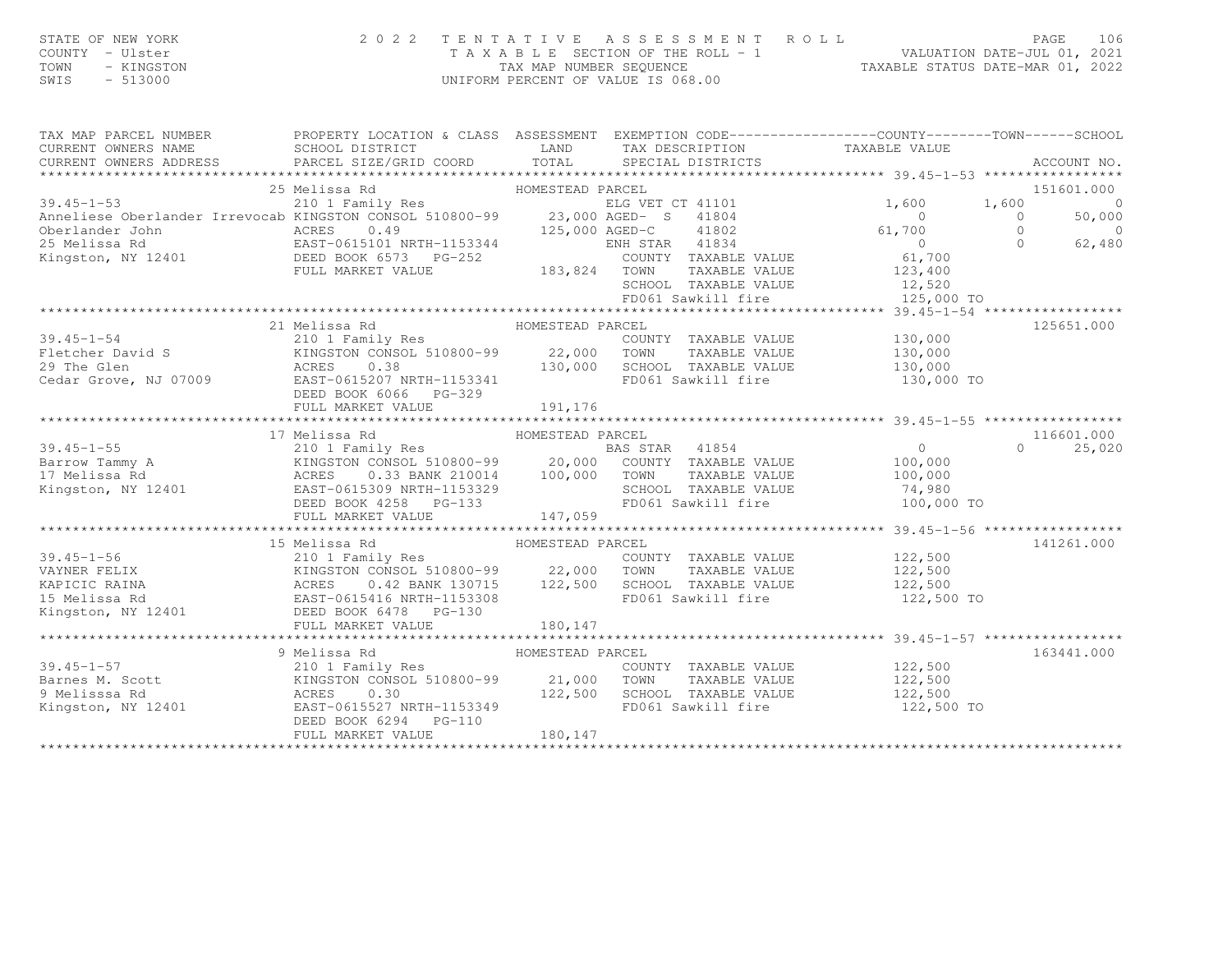# STATE OF NEW YORK PAGE 106<br>COUNTY - Ulster (2008) TAXABLE SECTION OF THE ROLL - 1 (NALUATION DATE-JUL 01, 2021<br>TAXABLE SECTION OF THE ROLL - 1 (NALUATION DATE-JUL 01, 2021<br>SWIS - 513000 (INTFORM PERCENT OF VALUE TS 068.00)

| TAX MAP PARCEL NUMBER                                                                                                                                                                                                                                                                                                                                                      | PROPERTY LOCATION & CLASS ASSESSMENT EXEMPTION CODE----------------COUNTY-------TOWN------SCHOOL |                  |                                                                                                       |                                            |                |                |
|----------------------------------------------------------------------------------------------------------------------------------------------------------------------------------------------------------------------------------------------------------------------------------------------------------------------------------------------------------------------------|--------------------------------------------------------------------------------------------------|------------------|-------------------------------------------------------------------------------------------------------|--------------------------------------------|----------------|----------------|
| CURRENT OWNERS NAME SCHOOL DISTRICT                                                                                                                                                                                                                                                                                                                                        |                                                                                                  |                  | LAND TAX DESCRIPTION                                                                                  | TAXABLE VALUE                              |                |                |
| CURRENT OWNERS ADDRESS                                                                                                                                                                                                                                                                                                                                                     |                                                                                                  |                  |                                                                                                       |                                            |                |                |
|                                                                                                                                                                                                                                                                                                                                                                            |                                                                                                  |                  |                                                                                                       |                                            |                | 151601.000     |
|                                                                                                                                                                                                                                                                                                                                                                            |                                                                                                  |                  |                                                                                                       | 1,600                                      | 1,600          | $\overline{0}$ |
|                                                                                                                                                                                                                                                                                                                                                                            |                                                                                                  |                  |                                                                                                       | $\overline{0}$                             | $\overline{0}$ | 50,000         |
|                                                                                                                                                                                                                                                                                                                                                                            |                                                                                                  |                  |                                                                                                       | 61,700                                     | $\bigcirc$     | $\overline{0}$ |
|                                                                                                                                                                                                                                                                                                                                                                            |                                                                                                  |                  |                                                                                                       |                                            | $\Omega$       | 62,480         |
|                                                                                                                                                                                                                                                                                                                                                                            |                                                                                                  |                  |                                                                                                       | $\begin{array}{c} 0 \\ 61,700 \end{array}$ |                |                |
|                                                                                                                                                                                                                                                                                                                                                                            |                                                                                                  |                  |                                                                                                       |                                            |                |                |
|                                                                                                                                                                                                                                                                                                                                                                            |                                                                                                  |                  |                                                                                                       | TAXABLE VALUE 123,400                      |                |                |
|                                                                                                                                                                                                                                                                                                                                                                            |                                                                                                  |                  |                                                                                                       |                                            |                |                |
|                                                                                                                                                                                                                                                                                                                                                                            |                                                                                                  |                  |                                                                                                       |                                            |                |                |
|                                                                                                                                                                                                                                                                                                                                                                            |                                                                                                  |                  |                                                                                                       |                                            |                |                |
|                                                                                                                                                                                                                                                                                                                                                                            |                                                                                                  |                  |                                                                                                       |                                            |                | 125651.000     |
|                                                                                                                                                                                                                                                                                                                                                                            |                                                                                                  |                  |                                                                                                       |                                            |                |                |
|                                                                                                                                                                                                                                                                                                                                                                            |                                                                                                  |                  |                                                                                                       |                                            |                |                |
|                                                                                                                                                                                                                                                                                                                                                                            |                                                                                                  |                  |                                                                                                       |                                            |                |                |
|                                                                                                                                                                                                                                                                                                                                                                            |                                                                                                  |                  |                                                                                                       |                                            |                |                |
|                                                                                                                                                                                                                                                                                                                                                                            |                                                                                                  |                  |                                                                                                       |                                            |                |                |
|                                                                                                                                                                                                                                                                                                                                                                            | FULL MARKET VALUE                                                                                | 191,176          |                                                                                                       |                                            |                |                |
|                                                                                                                                                                                                                                                                                                                                                                            |                                                                                                  |                  |                                                                                                       |                                            |                |                |
|                                                                                                                                                                                                                                                                                                                                                                            |                                                                                                  |                  |                                                                                                       |                                            |                |                |
|                                                                                                                                                                                                                                                                                                                                                                            |                                                                                                  |                  |                                                                                                       |                                            |                |                |
|                                                                                                                                                                                                                                                                                                                                                                            |                                                                                                  |                  |                                                                                                       |                                            |                |                |
|                                                                                                                                                                                                                                                                                                                                                                            |                                                                                                  |                  |                                                                                                       |                                            |                |                |
|                                                                                                                                                                                                                                                                                                                                                                            |                                                                                                  |                  |                                                                                                       |                                            |                |                |
|                                                                                                                                                                                                                                                                                                                                                                            |                                                                                                  |                  |                                                                                                       |                                            |                |                |
| 116601.000<br>16601.000 125,020<br>2001 Family Res BAS STAR 41854<br>2001 Family Res BAS STAR 41854<br>2000 COUNTY TAXABLE VALUE 100,000 0<br>17 Melissa Rd ACRES 0.33 BANK 210014<br>20,000 COUNTY TAXABLE VALUE 100,000 0<br>25,020<br>20,00                                                                                                                             |                                                                                                  |                  |                                                                                                       |                                            |                |                |
|                                                                                                                                                                                                                                                                                                                                                                            |                                                                                                  |                  |                                                                                                       |                                            |                |                |
| $\begin{tabular}{lllllllllllll} 39.45–1–56 & 15 Melissa Rd & 15 Melissa Rd & 10MESTEAD PARCHL & 210 1 Family Res & 2000--99 & 22,000 TOWN \\ \hline KAPICTC RAINA & ACRES & 0.42 BANK 130715 & 122,500 SCHOO. \\ \hline KAPICTC RAINA & ACRES & 0.42 BANK 130715 & 122,500 SCHOO. \\ \hline Kingston, NY 12401 & DEED BOOK 6478 PG–130 & FD061 & 123.500 & 123.500 & 123.$ |                                                                                                  |                  |                                                                                                       |                                            |                | 141261.000     |
|                                                                                                                                                                                                                                                                                                                                                                            |                                                                                                  |                  | COUNTY TAXABLE VALUE 122,500                                                                          |                                            |                |                |
|                                                                                                                                                                                                                                                                                                                                                                            |                                                                                                  |                  |                                                                                                       | TAXABLE VALUE 122,500                      |                |                |
|                                                                                                                                                                                                                                                                                                                                                                            |                                                                                                  |                  |                                                                                                       |                                            |                |                |
|                                                                                                                                                                                                                                                                                                                                                                            |                                                                                                  |                  | 0.42 BANK 130715 122,500 SCHOOL TAXABLE VALUE 122,500<br>5416 NRTH-1153308 FD061 Sawkill fire 122,500 | 122,500 TO                                 |                |                |
|                                                                                                                                                                                                                                                                                                                                                                            |                                                                                                  |                  |                                                                                                       |                                            |                |                |
|                                                                                                                                                                                                                                                                                                                                                                            |                                                                                                  |                  |                                                                                                       |                                            |                |                |
|                                                                                                                                                                                                                                                                                                                                                                            |                                                                                                  |                  |                                                                                                       |                                            |                |                |
|                                                                                                                                                                                                                                                                                                                                                                            | 9 Melissa Rd                                                                                     | HOMESTEAD PARCEL |                                                                                                       |                                            |                | 163441.000     |
| $39.45 - 1 - 57$                                                                                                                                                                                                                                                                                                                                                           |                                                                                                  |                  | COUNTY TAXABLE VALUE 122,500<br>TOWN TAXABLE VALUE 122,500                                            |                                            |                |                |
|                                                                                                                                                                                                                                                                                                                                                                            |                                                                                                  |                  |                                                                                                       |                                            |                |                |
|                                                                                                                                                                                                                                                                                                                                                                            |                                                                                                  |                  | SCHOOL TAXABLE VALUE 122,500                                                                          |                                            |                |                |
|                                                                                                                                                                                                                                                                                                                                                                            |                                                                                                  |                  | FD061 Sawkill fire                                                                                    | 122,500 TO                                 |                |                |
|                                                                                                                                                                                                                                                                                                                                                                            | DEED BOOK 6294 PG-110                                                                            |                  |                                                                                                       |                                            |                |                |
|                                                                                                                                                                                                                                                                                                                                                                            | FULL MARKET VALUE                                                                                | 180, 147         |                                                                                                       |                                            |                |                |
|                                                                                                                                                                                                                                                                                                                                                                            |                                                                                                  |                  |                                                                                                       |                                            |                |                |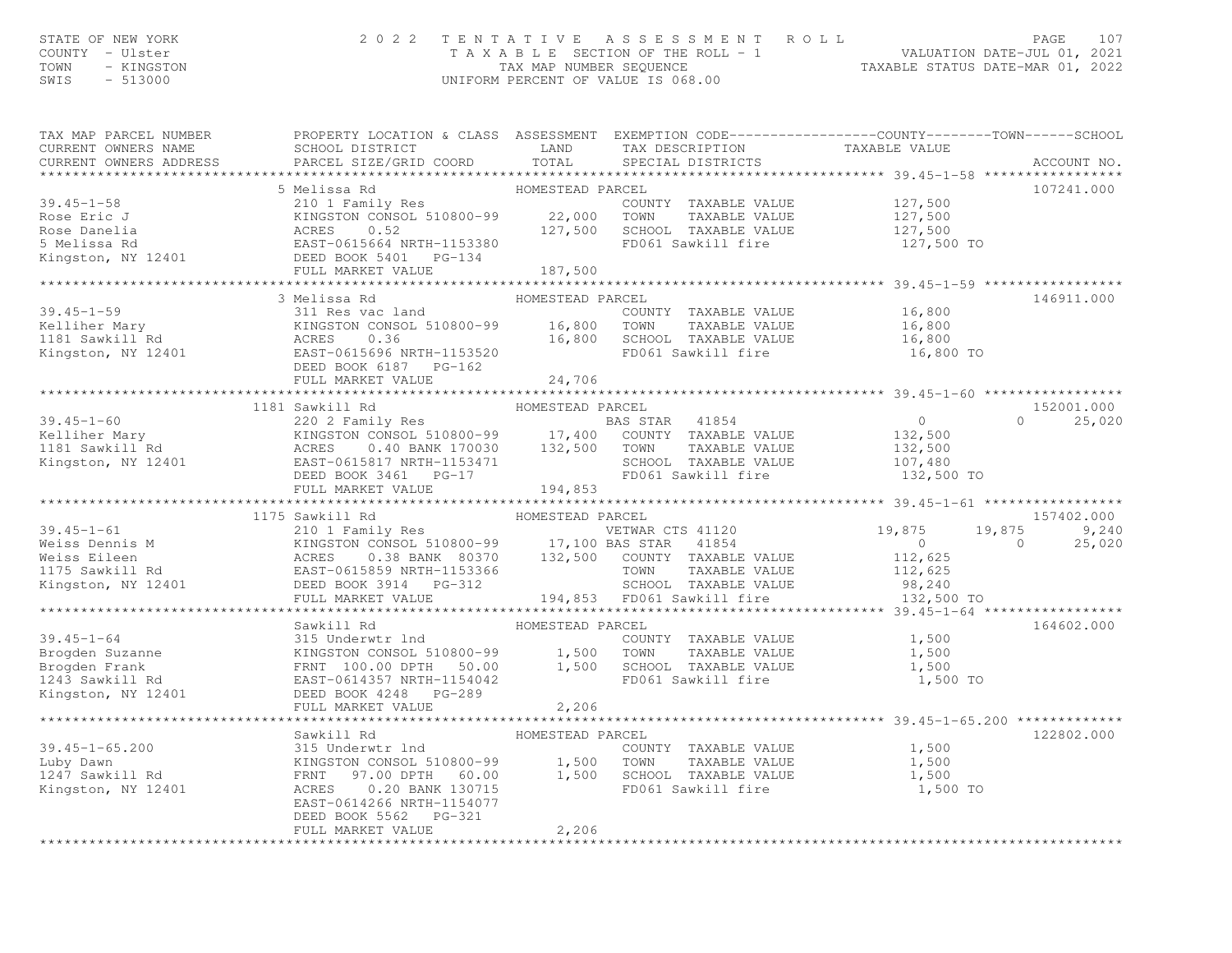### STATE OF NEW YORK PAGE 107<br>COUNTY - Ulster (2001) TAXABLE SECTION OF THE ROLL - 1 (NALUATION DATE-JUL 01, 2021<br>TAXABLE SECTION OF THE ROLL - 1 (NALUATION DATE-JUL 01, 2021<br>SWIS - 513000 (INTFORM PERCENT OF VALUE TS 068.00)

| TAX MAP PARCEL NUMBER                                                                                                                                                                                                                                     | PROPERTY LOCATION & CLASS ASSESSMENT EXEMPTION CODE---------------COUNTY-------TOWN------SCHOOL |                  |          |            |
|-----------------------------------------------------------------------------------------------------------------------------------------------------------------------------------------------------------------------------------------------------------|-------------------------------------------------------------------------------------------------|------------------|----------|------------|
|                                                                                                                                                                                                                                                           |                                                                                                 |                  |          |            |
|                                                                                                                                                                                                                                                           |                                                                                                 |                  |          |            |
|                                                                                                                                                                                                                                                           |                                                                                                 |                  |          |            |
|                                                                                                                                                                                                                                                           |                                                                                                 |                  |          |            |
| 39.45-1-59 3Melissa Rd HOMESTEAD PARCEL<br>3Melissa Rd HOMESTEAD PARCEL<br>2011 Res vac land<br>200 TOWN TAXABLE VALUE 16,800<br>2181 Sawkill Rd ACRES 0.36 510800-99 16,800 SCHOOL TAXABLE VALUE 16,800<br>24,706 FDD61 Sawkill fire 24                  | 3 Melissa Rd                                                                                    | HOMESTEAD PARCEL |          | 146911.000 |
|                                                                                                                                                                                                                                                           |                                                                                                 |                  |          |            |
|                                                                                                                                                                                                                                                           |                                                                                                 |                  |          |            |
|                                                                                                                                                                                                                                                           |                                                                                                 |                  |          |            |
| 1181 Sawkill Rd<br>1181 Sawkill Rd<br>1181 Sawkill Rd<br>1181 Sawkill Rd<br>220 2 Family Res<br>1181 Sawkill Rd<br>1181 Sawkill Rd<br>220 2 Family Res<br>1181 Sawkill Rd<br>1181 Sawkill Rd<br>1181 Sawkill Rd<br>1181 Sawkill Rd<br>1181 Sawkill Rd<br> |                                                                                                 |                  |          |            |
|                                                                                                                                                                                                                                                           |                                                                                                 |                  |          |            |
|                                                                                                                                                                                                                                                           |                                                                                                 |                  |          |            |
| 1175 137402.000<br>39.45-1-61 1175 1200 1 Family Res<br>Weiss Dennis M KINGSTON CONSOL 510800-99 17,100 BAS STAR 41854<br>Weiss Dennis M KINGSTON CONSOL 510800-99 17,100 BAS STAR 41854<br>1175 Sawkill Rd ACRES 0.38 BANK 80370 132,                    |                                                                                                 |                  |          |            |
|                                                                                                                                                                                                                                                           |                                                                                                 |                  |          |            |
|                                                                                                                                                                                                                                                           | HOMESTEAD PARCEL<br>Sawkill Rd                                                                  |                  | 1,500 TO | 164602.000 |
|                                                                                                                                                                                                                                                           |                                                                                                 |                  |          |            |
|                                                                                                                                                                                                                                                           |                                                                                                 |                  |          |            |
| 39.45-1-65.200<br>Luby Dawn Nuby Dawn KINGSTON CONSTANT (1,500 -09)<br>Luby Dawn KINGSTON CONSTANT 1,500 TOWN TAXABLE VALUE<br>1,500 IOPTH 60.00 1,500 SCHOOL TAXABLE VALUE<br>Kingston, NY 12401 ACRES 0.20 BANK 130715<br>FAST-061426                   | DEED BOOK 5562 PG-321                                                                           |                  |          | 122802.000 |
|                                                                                                                                                                                                                                                           | FULL MARKET VALUE                                                                               | 2,206            |          |            |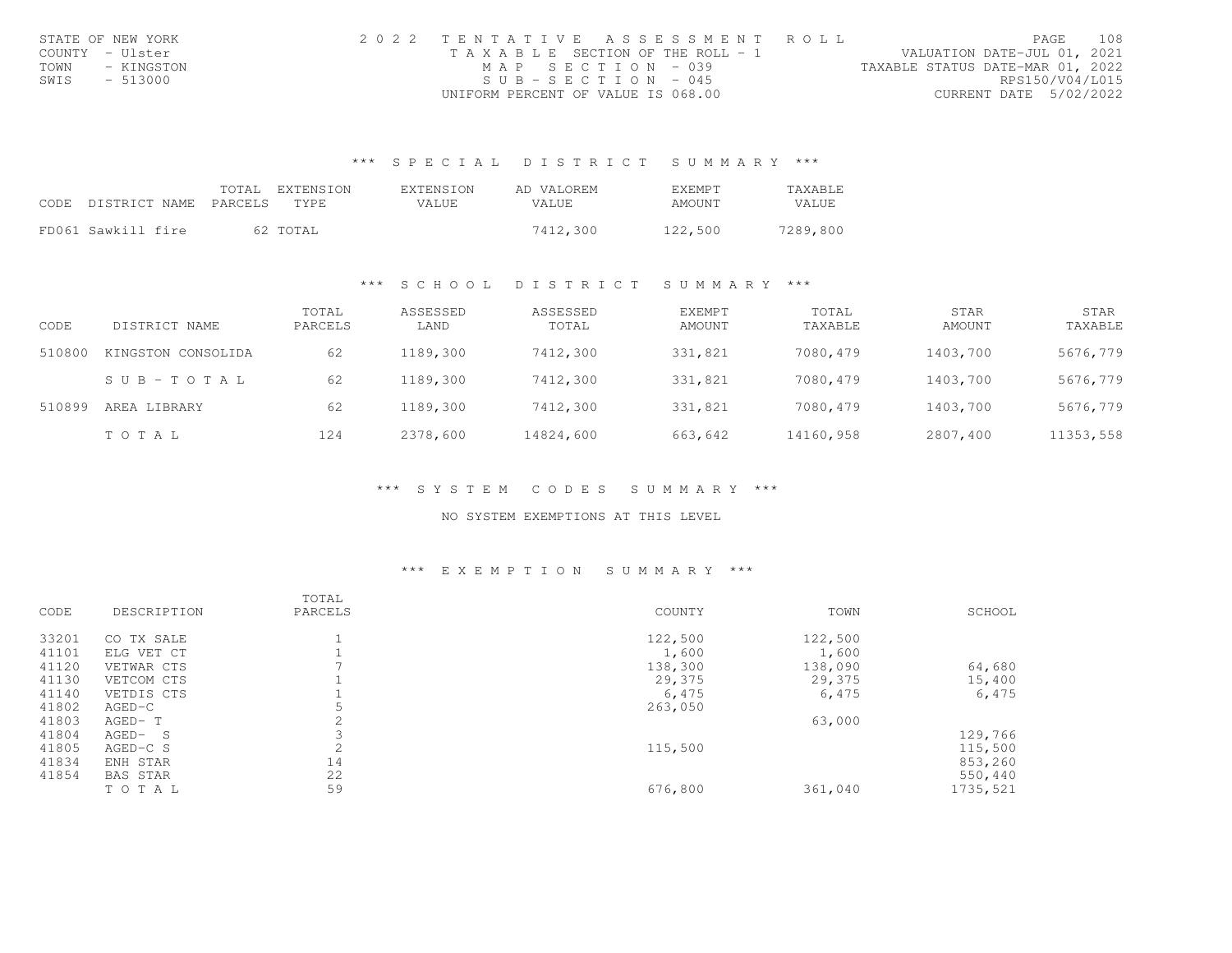| STATE OF NEW YORK  | 2022 TENTATIVE ASSESSMENT ROLL        | 108<br>PAGE                      |
|--------------------|---------------------------------------|----------------------------------|
| COUNTY - Ulster    | T A X A B L E SECTION OF THE ROLL - 1 | VALUATION DATE-JUL 01, 2021      |
| TOWN<br>- KINGSTON | MAP SECTION - 039                     | TAXABLE STATUS DATE-MAR 01, 2022 |
| SWIS<br>- 513000   | $SUB - SECTION - 045$                 | RPS150/V04/L015                  |
|                    | UNIFORM PERCENT OF VALUE IS 068.00    | CURRENT DATE 5/02/2022           |

#### \*\*\* S P E C I A L D I S T R I C T S U M M A R Y \*\*\*

|                    | CODE DISTRICT NAME PARCELS TYPE | TOTAL EXTENSION | <b>FXTENSTON</b><br>VALUE. | AD VALOREM<br>VALUE. | <b>F.XF.MPT</b><br>AMOUNT | <b>TAXABLE</b><br>VALUE. |
|--------------------|---------------------------------|-----------------|----------------------------|----------------------|---------------------------|--------------------------|
| FD061 Sawkill fire |                                 | 62 TOTAL        |                            | 7412,300             | 122,500                   | 7289,800                 |

#### \*\*\* S C H O O L D I S T R I C T S U M M A R Y \*\*\*

| CODE   | DISTRICT NAME      | TOTAL<br>PARCELS | ASSESSED<br>LAND | ASSESSED<br>TOTAL | <b>EXEMPT</b><br>AMOUNT | TOTAL<br>TAXABLE | <b>STAR</b><br>AMOUNT | <b>STAR</b><br>TAXABLE |
|--------|--------------------|------------------|------------------|-------------------|-------------------------|------------------|-----------------------|------------------------|
| 510800 | KINGSTON CONSOLIDA | 62               | 1189,300         | 7412,300          | 331,821                 | 7080,479         | 1403,700              | 5676,779               |
|        | SUB-TOTAL          | 62               | 1189,300         | 7412,300          | 331,821                 | 7080,479         | 1403,700              | 5676,779               |
| 510899 | AREA LIBRARY       | 62               | 1189,300         | 7412,300          | 331,821                 | 7080,479         | 1403,700              | 5676,779               |
|        | TOTAL              | 124              | 2378,600         | 14824,600         | 663,642                 | 14160,958        | 2807,400              | 11353,558              |

\*\*\* S Y S T E M C O D E S S U M M A R Y \*\*\*

NO SYSTEM EXEMPTIONS AT THIS LEVEL

#### \*\*\* E X E M P T I O N S U M M A R Y \*\*\*

| CODE  | DESCRIPTION | TOTAL<br>PARCELS | COUNTY  | TOWN    | SCHOOL   |
|-------|-------------|------------------|---------|---------|----------|
| 33201 | CO TX SALE  |                  | 122,500 | 122,500 |          |
| 41101 | ELG VET CT  |                  | 1,600   | 1,600   |          |
| 41120 | VETWAR CTS  |                  | 138,300 | 138,090 | 64,680   |
| 41130 | VETCOM CTS  |                  | 29,375  | 29,375  | 15,400   |
| 41140 | VETDIS CTS  |                  | 6,475   | 6,475   | 6,475    |
| 41802 | $AGED-C$    |                  | 263,050 |         |          |
| 41803 | AGED-T      |                  |         | 63,000  |          |
| 41804 | $AGED-$ S   |                  |         |         | 129,766  |
| 41805 | AGED-C S    | 2                | 115,500 |         | 115,500  |
| 41834 | ENH STAR    | 14               |         |         | 853,260  |
| 41854 | BAS STAR    | 22               |         |         | 550,440  |
|       | TOTAL       | 59               | 676,800 | 361,040 | 1735,521 |
|       |             |                  |         |         |          |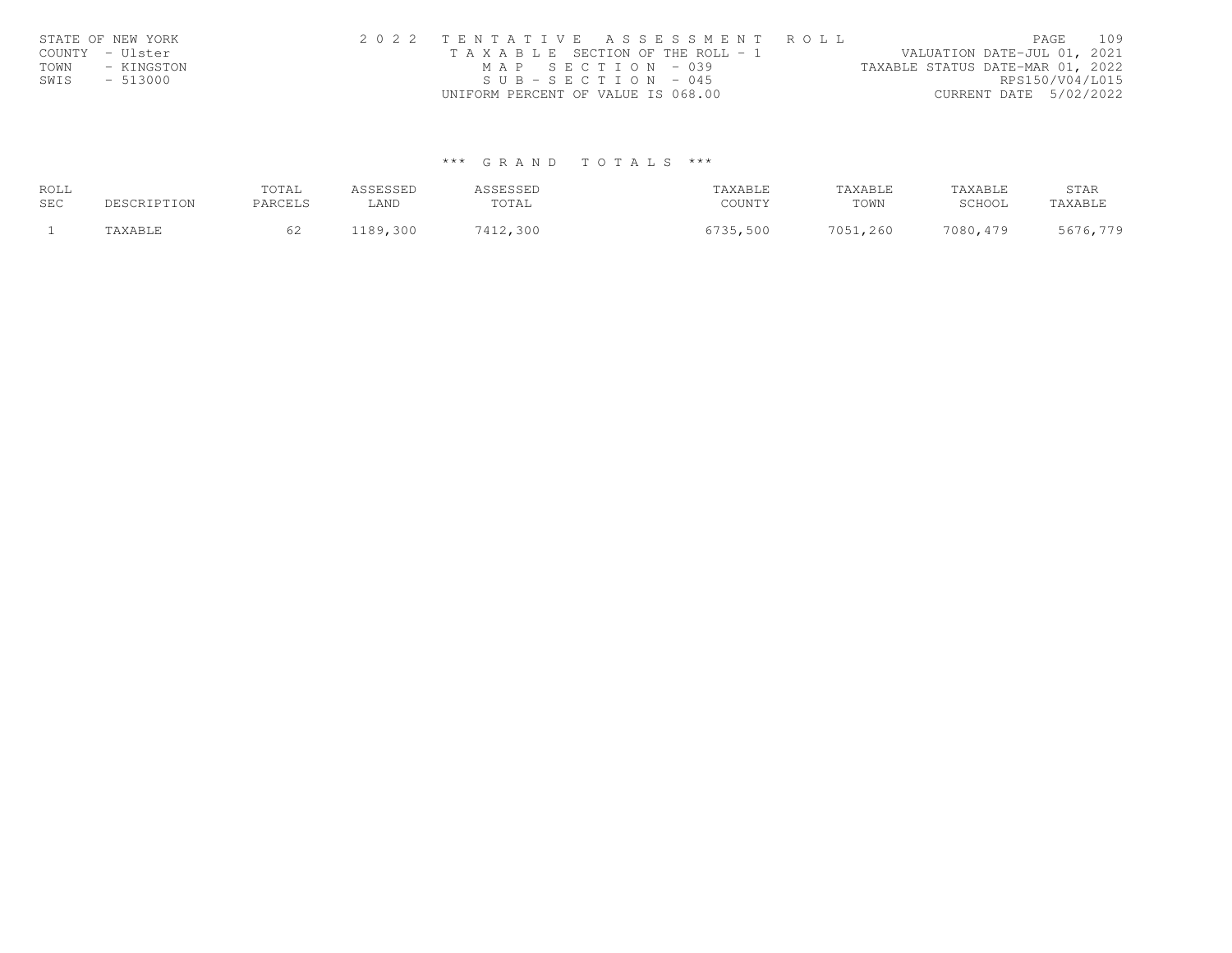|      | STATE OF NEW YORK | 2022 TENTATIVE ASSESSMENT ROLL        | 109<br>PAGE                      |
|------|-------------------|---------------------------------------|----------------------------------|
|      | COUNTY - Ulster   | T A X A B L E SECTION OF THE ROLL - 1 | VALUATION DATE-JUL 01, 2021      |
| TOWN | - KINGSTON        | MAP SECTION - 039                     | TAXABLE STATUS DATE-MAR 01, 2022 |
| SWIS | - 513000          | $SUB - SECTION - 045$                 | RPS150/V04/L015                  |
|      |                   | UNIFORM PERCENT OF VALUE IS 068.00    | CURRENT DATE 5/02/2022           |

| ROLL<br>SEC | PESCRIPTION   | TOTAL<br>PARCELS | <i><b>ISSESSED</b></i><br>LAND | A C C F C C F D<br>طظاف فاشاف<br>TOTAL | TAXABLE<br>COUNTY | TAXABLE<br>TOWN | TAXABLE<br>SCHOOL | STAR<br>TAXABLE |
|-------------|---------------|------------------|--------------------------------|----------------------------------------|-------------------|-----------------|-------------------|-----------------|
|             | <b>NYNRTE</b> | 62               | 189,300.                       | 7412,300                               | ニフマス<br>35,500    | 7051,260        | 7080,479          | 5676,779        |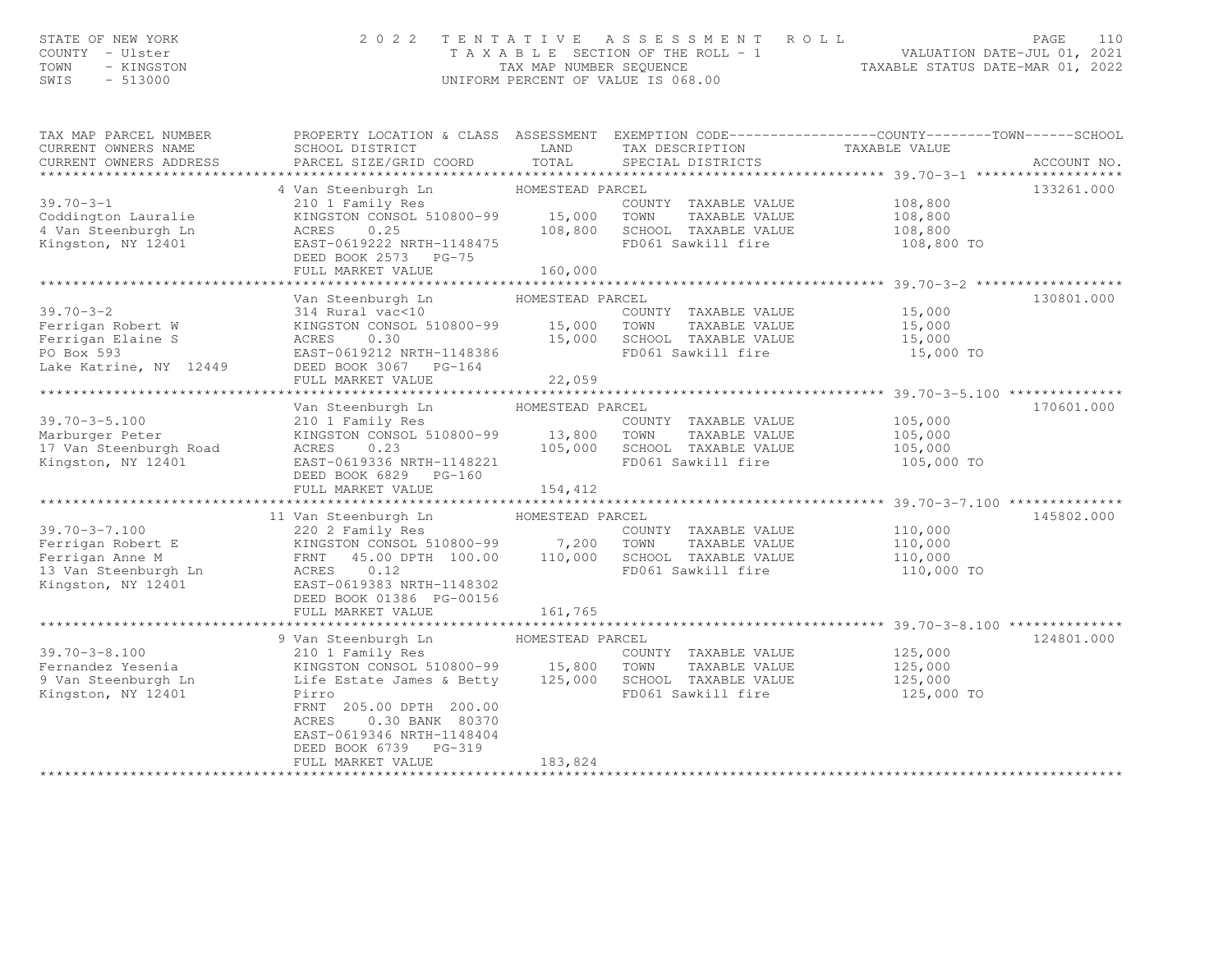STATE OF NEW YORK PAGE 110<br>COUNTY - Ulster (2008) TAXABLE SECTION OF THE ROLL - 1 (VALUATION DATE-JUL 01, 2021<br>TAXABLE SECTION OF THE ROLL - 1 (VALUATION DATE-JUL 01, 2021<br>SWIS - 513000 (INTFORM PERCENT OF VALUE IS 068.00) TAX MAP PARCEL NUMBER PROPERTY LOCATION & CLASS ASSESSMENT EXEMPTION CODE-----------------COUNTY-------TOWN------SCHOOL CURRENT OWNERS NAME SCHOOL DISTRICT LAND TAX DESCRIPTION TAXABLE VALUE CURRENT OWNERS ADDRESS PARCEL SIZE/GRID COORD TOTAL SPECIAL DISTRICTS ACCOUNT NO.

 \*\*\*\*\*\*\*\*\*\*\*\*\*\*\*\*\*\*\*\*\*\*\*\*\*\*\*\*\*\*\*\*\*\*\*\*\*\*\*\*\*\*\*\*\*\*\*\*\*\*\*\*\*\*\*\*\*\*\*\*\*\*\*\*\*\*\*\*\*\*\*\*\*\*\*\*\*\*\*\*\*\*\*\*\*\*\*\*\*\*\*\*\*\*\*\*\*\*\*\*\*\*\* 39.70-3-1 \*\*\*\*\*\*\*\*\*\*\*\*\*\*\*\*\*\*133261.000 4 Van Steenburgh Ln HOMESTEAD PARCEL 133261.00039.70-3-1 210 1 Family Res COUNTY TAXABLE VALUE 108,800<br>Coddington Lauralie KINGSTON CONSOL 510800-99 15,000 TOWN TAXABLE VALUE 108,800<br>4 Van Steenburgh Ln FULL MARKET VALUE 160,000 \*\*\*\*\*\*\*\*\*\*\*\*\*\*\*\*\*\*\*\*\*\*\*\*\*\*\*\*\*\*\*\*\*\*\*\*\*\*\*\*\*\*\*\*\*\*\*\*\*\*\*\*\*\*\*\*\*\*\*\*\*\*\*\*\*\*\*\*\*\*\*\*\*\*\*\*\*\*\*\*\*\*\*\*\*\*\*\*\*\*\*\*\*\*\*\*\*\*\*\*\*\*\* 39.70-3-2 \*\*\*\*\*\*\*\*\*\*\*\*\*\*\*\*\*\*130801.000 Van Steenburgh Ln HOMESTEAD PARCEL 130801.00039.70-3-2 314 Rural vac<10 COUNTY TAXABLE VALUE 15,000 Ferrigan Robert W KINGSTON CONSOL 510800-99 15,000 TOWN TAXABLE VALUE 15,000 Ferrigan Elaine S ACRES 0.30 15,000 SCHOOL TAXABLE VALUE 15,000 PO Box 593 EAST-0619212 NRTH-1148386 FD061 Sawkill fire 15,000 TO Lake Katrine, NY 12449 DEED BOOK 3067 PG-164 FULL MARKET VALUE 22,059 \*\*\*\*\*\*\*\*\*\*\*\*\*\*\*\*\*\*\*\*\*\*\*\*\*\*\*\*\*\*\*\*\*\*\*\*\*\*\*\*\*\*\*\*\*\*\*\*\*\*\*\*\*\*\*\*\*\*\*\*\*\*\*\*\*\*\*\*\*\*\*\*\*\*\*\*\*\*\*\*\*\*\*\*\*\*\*\*\*\*\*\*\*\*\*\*\*\*\*\*\*\*\* 39.70-3-5.100 \*\*\*\*\*\*\*\*\*\*\*\*\*\*170601.000 Van Steenburgh Ln HOMESTEAD PARCEL 170601.00039.70-3-5.100 210 1 Family Res COUNTY TAXABLE VALUE 105,000 Marburger Peter KINGSTON CONSOL 510800-99 13,800 TOWN TAXABLE VALUE 105,000 17 Van Steenburgh Road ACRES 0.23 105,000 SCHOOL TAXABLE VALUE 105,000 Kingston, NY 12401 EAST-0619336 NRTH-1148221 FD061 Sawkill fire 105,000 TO DEED BOOK 6829 PG-160 FULL MARKET VALUE 154,412 \*\*\*\*\*\*\*\*\*\*\*\*\*\*\*\*\*\*\*\*\*\*\*\*\*\*\*\*\*\*\*\*\*\*\*\*\*\*\*\*\*\*\*\*\*\*\*\*\*\*\*\*\*\*\*\*\*\*\*\*\*\*\*\*\*\*\*\*\*\*\*\*\*\*\*\*\*\*\*\*\*\*\*\*\*\*\*\*\*\*\*\*\*\*\*\*\*\*\*\*\*\*\* 39.70-3-7.100 \*\*\*\*\*\*\*\*\*\*\*\*\*\*145802.000 11 Van Steenburgh Ln HOMESTEAD PARCEL 145802.00039.70-3-7.100 220 2 Family Res COUNTY TAXABLE VALUE 110,000 Ferrigan Robert E KINGSTON CONSOL 510800-99 7,200 TOWN TAXABLE VALUE 110,000 Ferrigan Anne M FRNT 45.00 DPTH 100.00 110,000 SCHOOL TAXABLE VALUE 110,000 13 Van Steenburgh Ln ACRES 0.12 FD061 Sawkill fire 110,000 TOKingston, NY 12401 EAST-0619383 NRTH-1148302 DEED BOOK 01386 PG-00156FULL MARKET VALUE 161,765 \*\*\*\*\*\*\*\*\*\*\*\*\*\*\*\*\*\*\*\*\*\*\*\*\*\*\*\*\*\*\*\*\*\*\*\*\*\*\*\*\*\*\*\*\*\*\*\*\*\*\*\*\*\*\*\*\*\*\*\*\*\*\*\*\*\*\*\*\*\*\*\*\*\*\*\*\*\*\*\*\*\*\*\*\*\*\*\*\*\*\*\*\*\*\*\*\*\*\*\*\*\*\* 39.70-3-8.100 \*\*\*\*\*\*\*\*\*\*\*\*\*\*124801.000 9 Van Steenburgh Ln HOMESTEAD PARCEL 124801.00039.70-3-8.100 210 1 Family Res COUNTY TAXABLE VALUE 125,000 Fernandez Yesenia KINGSTON CONSOL 510800-99 15,800 TOWN TAXABLE VALUE 125,000 9 Van Steenburgh Ln Life Estate James & Betty 125,000 SCHOOL TAXABLE VALUE 125,000 Kingston, NY 12401 Pirro FD061 Sawkill fire 125,000 TO FRNT 205.00 DPTH 200.00ACRES 0.30 BANK 80370 EAST-0619346 NRTH-1148404 DEED BOOK 6739 PG-319 FULL MARKET VALUE 183,824\*\*\*\*\*\*\*\*\*\*\*\*\*\*\*\*\*\*\*\*\*\*\*\*\*\*\*\*\*\*\*\*\*\*\*\*\*\*\*\*\*\*\*\*\*\*\*\*\*\*\*\*\*\*\*\*\*\*\*\*\*\*\*\*\*\*\*\*\*\*\*\*\*\*\*\*\*\*\*\*\*\*\*\*\*\*\*\*\*\*\*\*\*\*\*\*\*\*\*\*\*\*\*\*\*\*\*\*\*\*\*\*\*\*\*\*\*\*\*\*\*\*\*\*\*\*\*\*\*\*\*\*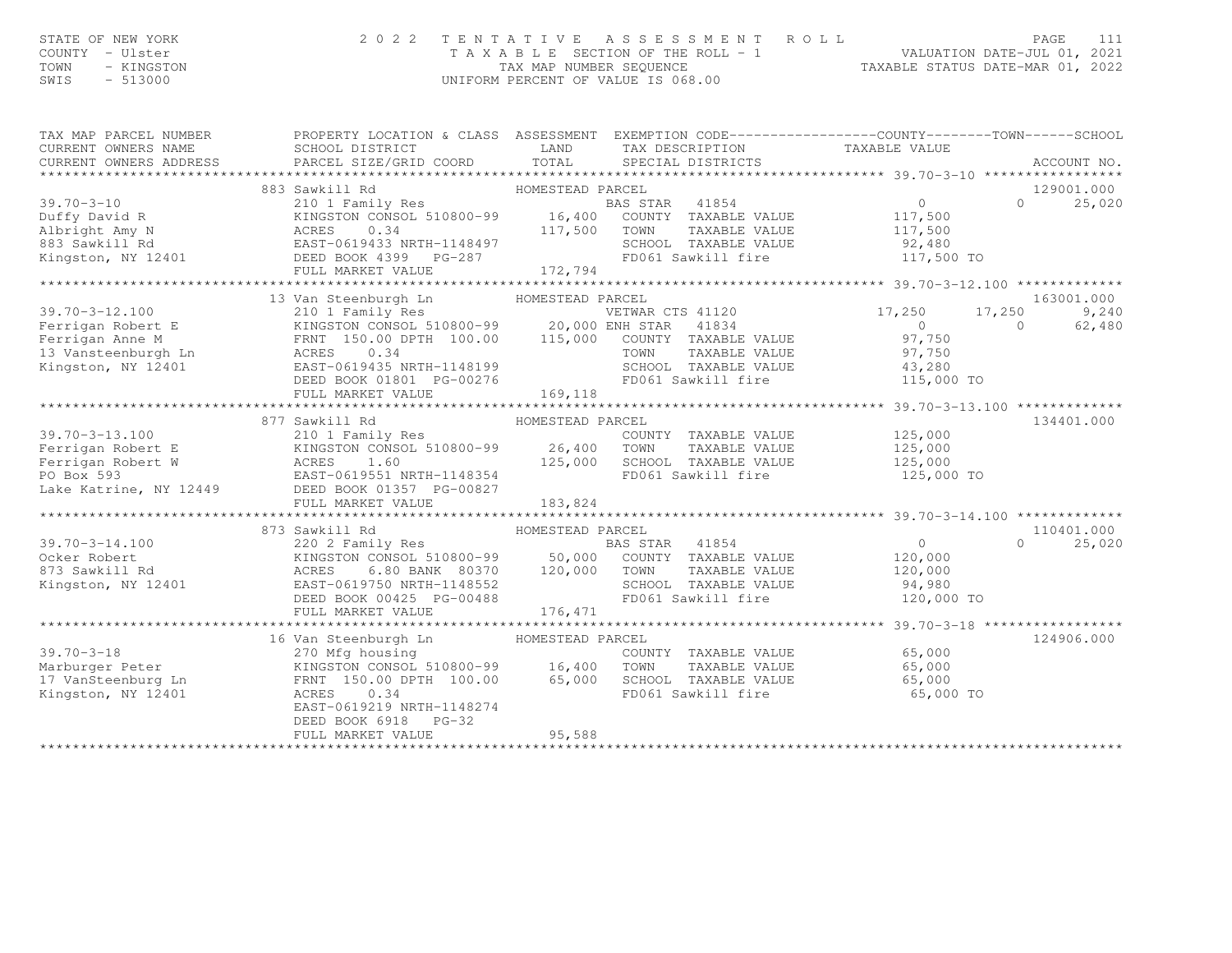### STATE OF NEW YORK PAGE 111 (STATE ) A SERIES SIMENT ROLL PALUATION DATE–JUL 01, 2021<br>COUNTY - Ulster (STATE ) TAXABLE SECTION OF THE ROLL - 1 (VALUATION DATE–JUL 01, 2021<br>TAXABLE STATUS DATE–MAR 01, 2022<br>SWIS - 513000

| TAX MAP PARCEL NUMBER<br>CURRENT OWNERS NAME<br>CURRENT OWNERS ADDRESS                                    | SCHOOL DISTRICT                                                                                                                                                                                                                                                                                      | PROPERTY LOCATION & CLASS ASSESSMENT EXEMPTION CODE----------------COUNTY-------TOWN-----SCHOOL<br>TAX DESCRIPTION TAXABLE VALUE<br>LAND<br>PARCEL SIZE/GRID COORD TOTAL SPECIAL DISTRICTS                                                                                  | ACCOUNT NO.                                                                               |
|-----------------------------------------------------------------------------------------------------------|------------------------------------------------------------------------------------------------------------------------------------------------------------------------------------------------------------------------------------------------------------------------------------------------------|-----------------------------------------------------------------------------------------------------------------------------------------------------------------------------------------------------------------------------------------------------------------------------|-------------------------------------------------------------------------------------------|
| $39.70 - 3 - 10$                                                                                          | 883 Sawkill Rd<br>210 1 Family Res<br>KINGSTON CONSOL 510800-99 16,400<br>Duffy David R<br>Duffy David R<br>Albright Amy N<br>883 Sawkill Rd<br>Kingston, NY 12401<br>EAST-0619433 NRTH-1148497<br>DEED BOOK 4399<br>PG-287<br>FULL MARKET VALUE                                                     | HOMESTEAD PARCEL<br>BAS STAR 41854<br>COUNTY TAXABLE VALUE 117,500<br>TOWN<br>TAXABLE VALUE<br>SCHOOL TAXABLE VALUE<br>FD061 Sawkill fire<br>172,794                                                                                                                        | 129001.000<br>$\Omega$<br>$\Omega$<br>25,020<br>117,500<br>92,480<br>117,500 TO           |
| $39.70 - 3 - 12.100$<br>Ferrigan Robert E<br>Ferrigan Anne M<br>13 Vansteenburgh Ln<br>Kingston, NY 12401 | 13 Van Steenburgh Ln HOMESTEA<br>210 1 Family Res<br>EAST-0619435 NRTH-1148199<br>DEED BOOK 01801 PG-00276<br>FULL MARKET VALUE                                                                                                                                                                      | HOMESTEAD PARCEL<br>VETWAR CTS 41120 17,250<br>210 1 Family Res<br>KINGSTON CONSOL 510800-99 20,000 ENH STAR 41834<br>FRNT 150.00 DPTH 100.00 115,000 COUNTY TAXABLE VALUE<br>TOWN TAXABLE VALUE<br>SCHOOL TAXABLE VALUE 43,280<br>FD061 Sawkill fire 115,000 TO<br>169,118 | 163001.000<br>9,240<br>17,250<br>$\overline{0}$<br>$\Omega$<br>62,480<br>97,750<br>97,750 |
| $39.70 - 3 - 13.100$                                                                                      | 877 Sawkill Rd<br>210 1 Family Res<br>39.70-3-13.100 210 1 Family Res<br>Ferrigan Robert E KINGSTON CONSOL 510800-99<br>Ferrigan Robert W ACRES 1.60<br>PO Box 593 EAST-0619551 NRTH-1148354<br>Lake Katrine, NY 12449 DEED BOOK 01357 PG-00827<br>ETN CONSOL 510800-99 26,400<br>ACRES 1.60 125,000 | HOMESTEAD PARCEL<br>COUNTY TAXABLE VALUE 125,000<br>TOWN TAXABLE VALUE 125,000<br>SCHOOL TAXABLE VALUE 125,000<br>FD061 Sawkill fire                                                                                                                                        | 134401.000<br>125,000 TO                                                                  |
| $39.70 - 3 - 14.100$<br>Ocker Robert<br>873 Sawkill Rd<br>Kingston, NY 12401                              | 873 Sawkill Rd<br>ACRES<br>6.80 BANK 80370<br>EAST-0619750 NRTH-1148552<br>DEED BOOK 00425 PG-00488<br>FULL MARKET VALUE                                                                                                                                                                             | HOMESTEAD PARCEL<br>120,000<br>TAXABLE VALUE 120,000<br>TOWN<br>SCHOOL TAXABLE VALUE<br>FD061 Sawkill fire<br>FD061 Sawkill fire<br>176,471                                                                                                                                 | 110401,000<br>$\Omega$<br>$\Omega$<br>25,020<br>120,000<br>94,980<br>120,000 TO           |
| $39.70 - 3 - 18$<br>Marburger Peter<br>17 VanSteenburg Ln<br>Kingston, NY 12401                           | 16 Van Steenburgh Ln<br>270 Mfg housing<br>KINGSTON CONSOL 510800-99 16,400<br>FRNT 150.00 DPTH 100.00<br>ACRES 0.34<br>EAST-0619219 NRTH-1148274<br>DEED BOOK 6918 PG-32<br>FULL MARKET VALUE                                                                                                       | HOMESTEAD PARCEL<br>COUNTY TAXABLE VALUE 65,000<br>TOWN TAXABLE VALUE 65,000<br>SCHOOL TAXABLE VALUE 65,000<br>65,000<br>FD061 Sawkill fire<br>95,588                                                                                                                       | 124906.000<br>65,000 TO                                                                   |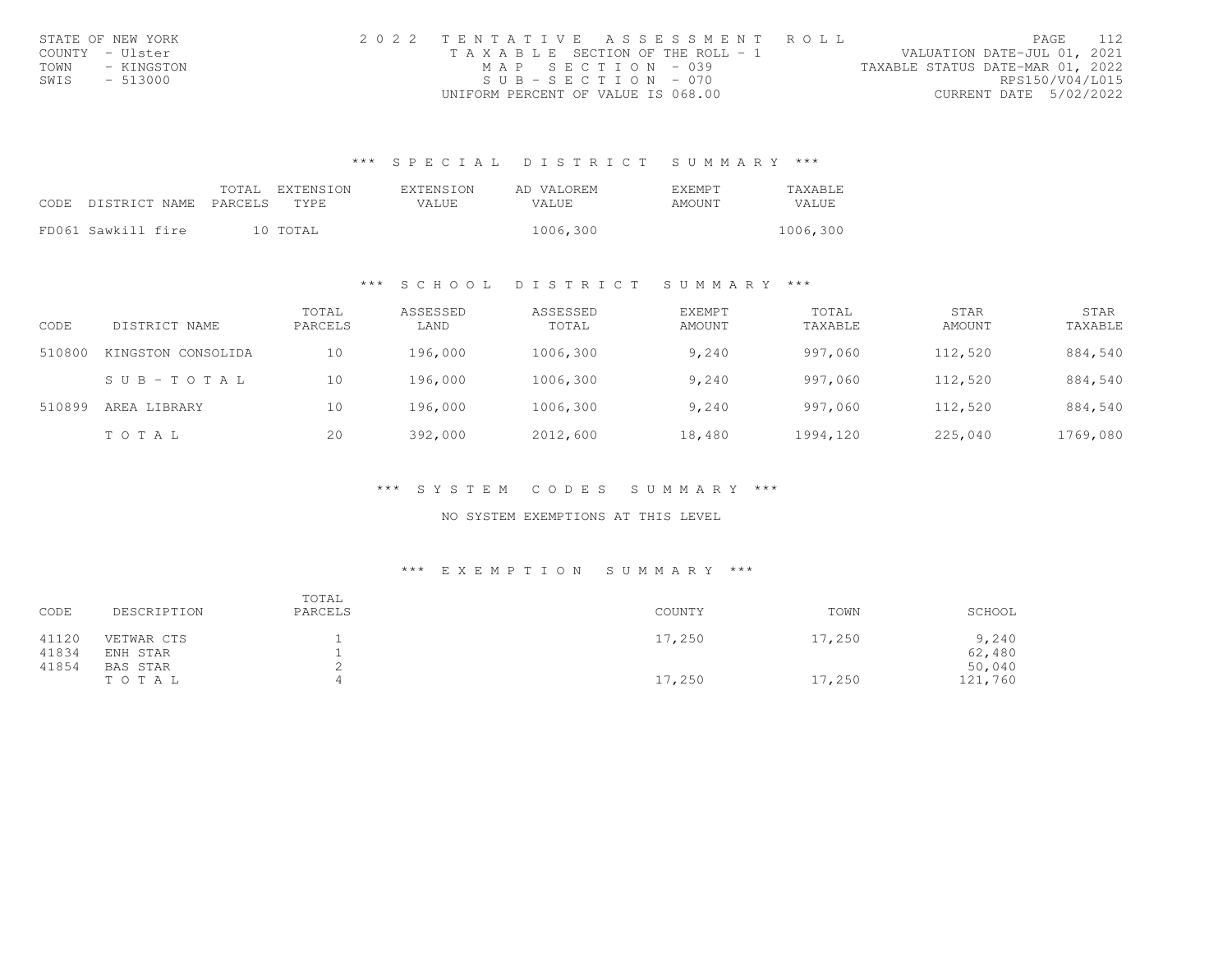| STATE OF NEW YORK  | 2022 TENTATIVE ASSESSMENT ROLL        | 112<br>PAGE.                     |
|--------------------|---------------------------------------|----------------------------------|
| COUNTY - Ulster    | T A X A B L E SECTION OF THE ROLL - 1 | VALUATION DATE-JUL 01, 2021      |
| TOWN<br>- KINGSTON | MAP SECTION - 039                     | TAXABLE STATUS DATE-MAR 01, 2022 |
| SWIS<br>- 513000   | $SUB - SECTION - 070$                 | RPS150/V04/L015                  |
|                    | UNIFORM PERCENT OF VALUE IS 068.00    | CURRENT DATE 5/02/2022           |

|      |                       |  | TOTAL EXTENSION | EXTENSION | AD VALOREM |          | <b>EXEMPT</b> | TAXABLE  |
|------|-----------------------|--|-----------------|-----------|------------|----------|---------------|----------|
| CODE | DISTRICT NAME PARCELS |  | TYPE            | VALUE.    | VALUE.     |          | AMOUNT        | VALUE    |
|      |                       |  |                 |           |            |          |               |          |
|      | FD061 Sawkill fire    |  | 10 TOTAL        |           |            | 1006,300 |               | 1006,300 |

#### \*\*\* S C H O O L D I S T R I C T S U M M A R Y \*\*\*

| CODE   | DISTRICT NAME      | TOTAL<br>PARCELS | ASSESSED<br>LAND | ASSESSED<br>TOTAL | <b>EXEMPT</b><br>AMOUNT | TOTAL<br>TAXABLE | STAR<br>AMOUNT | STAR<br>TAXABLE |
|--------|--------------------|------------------|------------------|-------------------|-------------------------|------------------|----------------|-----------------|
| 510800 | KINGSTON CONSOLIDA | 10               | 196,000          | 1006,300          | 9,240                   | 997,060          | 112,520        | 884,540         |
|        | SUB-TOTAL          | 10               | 196,000          | 1006,300          | 9,240                   | 997,060          | 112,520        | 884,540         |
| 510899 | AREA LIBRARY       | 10               | 196,000          | 1006,300          | 9,240                   | 997,060          | 112,520        | 884,540         |
|        | TOTAL              | 20               | 392,000          | 2012,600          | 18,480                  | 1994,120         | 225,040        | 1769,080        |

\*\*\* S Y S T E M C O D E S S U M M A R Y \*\*\*

NO SYSTEM EXEMPTIONS AT THIS LEVEL

#### \*\*\* E X E M P T I O N S U M M A R Y \*\*\*

| CODE           | DESCRIPTION            | TOTAL<br>PARCELS | COUNTY | TOWN   | SCHOOL            |
|----------------|------------------------|------------------|--------|--------|-------------------|
| 41120<br>41834 | VETWAR CTS<br>ENH STAR |                  | 17,250 | 17,250 | 9,240<br>62,480   |
| 41854          | BAS STAR<br>TOTAL      |                  | 17,250 | 17,250 | 50,040<br>121,760 |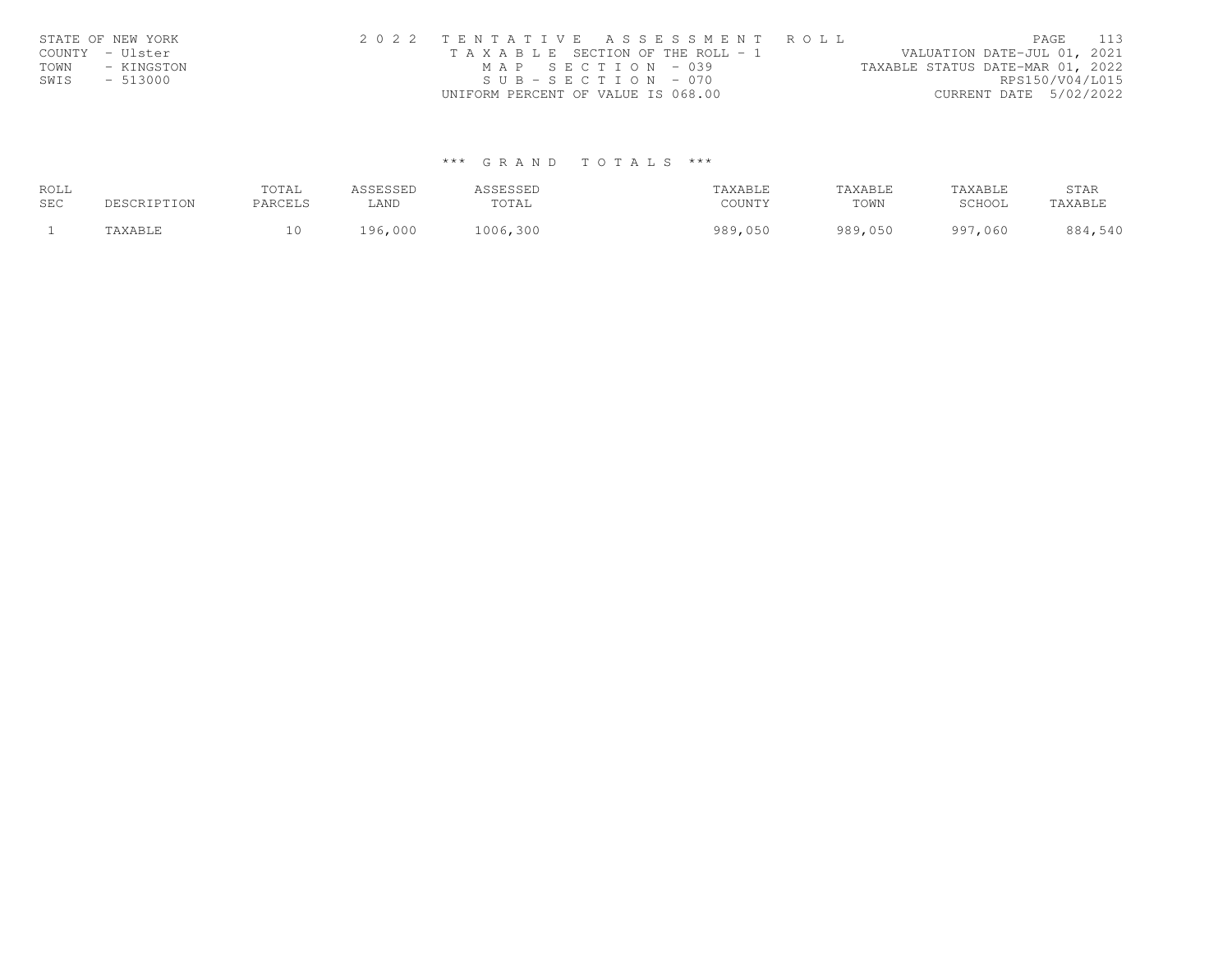|      | STATE OF NEW YORK | 2022 TENTATIVE ASSESSMENT ROLL        | 113<br>PAGE.                     |
|------|-------------------|---------------------------------------|----------------------------------|
|      | COUNTY - Ulster   | T A X A B L E SECTION OF THE ROLL - 1 | VALUATION DATE-JUL 01, 2021      |
| TOWN | - KINGSTON        | MAP SECTION - 039                     | TAXABLE STATUS DATE-MAR 01, 2022 |
| SWIS | $-513000$         | SUB-SECTION - 070                     | RPS150/V04/L015                  |
|      |                   | UNIFORM PERCENT OF VALUE IS 068.00    | CURRENT DATE 5/02/2022           |

| ROLL | TOTAL          | <b>CCLCCLL</b> | SSESSED   | TAXARLE | TAXABLE | TAXABLE     | STAR    |
|------|----------------|----------------|-----------|---------|---------|-------------|---------|
| SEC  | <b>PARCELS</b> | LAND           | TOTAL     | COUNTY  | TOWN    | SCHOOL      | TAXABLE |
|      |                | .96,000        | .006, 300 | 989,050 | 989,050 | 997<br>,060 | 884,540 |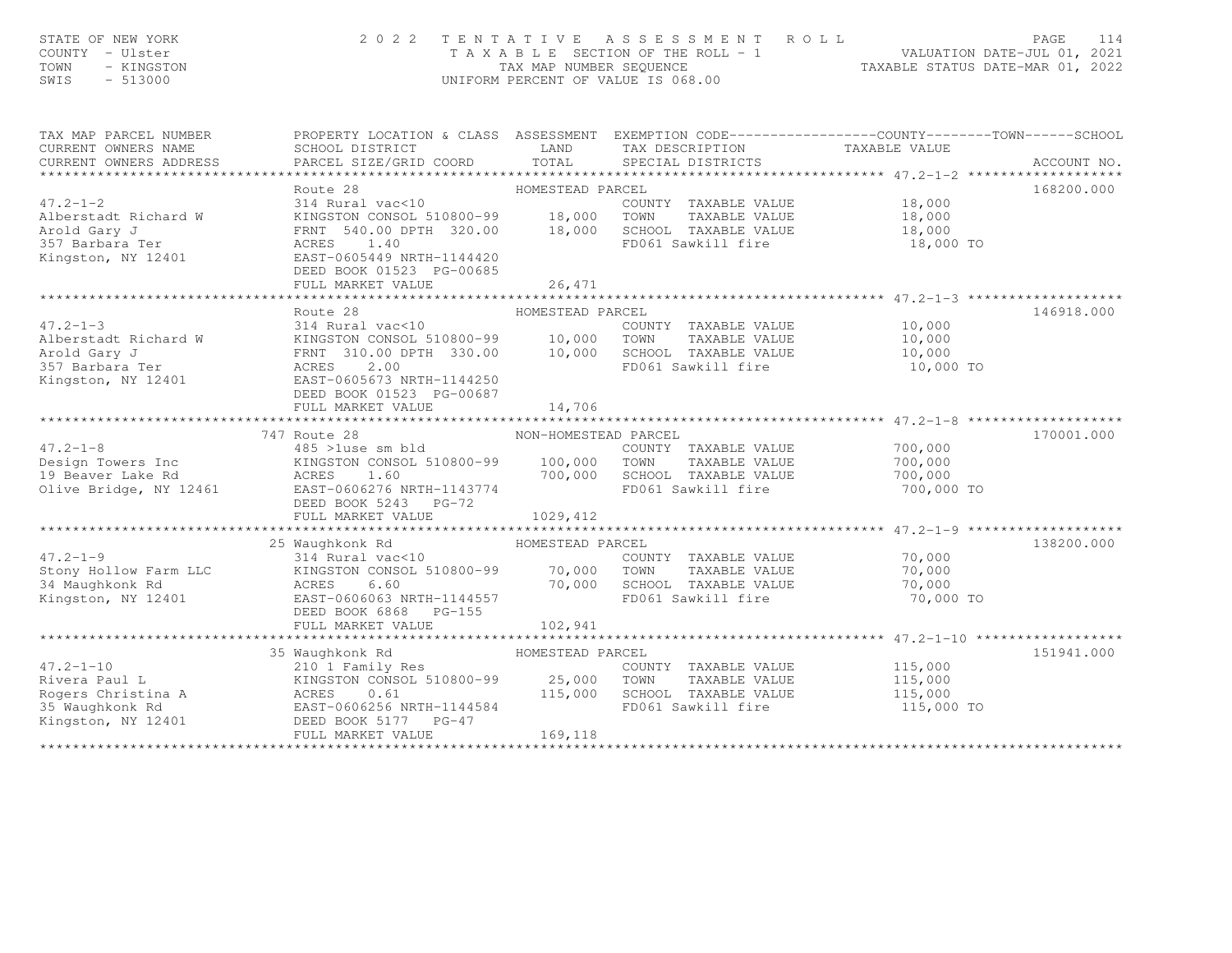# STATE OF NEW YORK [114] STATE OF NEW YORK [114] TAXABLE STATE A SSESSMENT ROLL [114] PAGE [114] PAGE [114] PAGE<br>COUNTY - Ulster [115] TAXABLE SECTION OF THE ROLL - 1 [13] TAXABLE STATUR ON THE-JUL 01, 2021<br>TAXABLE STATUS D

| TAX MAP PARCEL NUMBER<br>CURRENT OWNERS NAME<br>CURRENT OWNERS ADDRESS (SCHOOL DISINICI AND THE THE DISCONSITION CONNERT OWNERS ADDRESS (DARCEL SIZE/GRID COORD<br>TOTAL SPECIAL DISTRICTS (ACCOUNT NO. 1997) ACCOUNT NO. ACCOUNT NO. ACCOUNT ASSESS (STILL ASSESS (STILL ASSESS | PROPERTY LOCATION & CLASS ASSESSMENT EXEMPTION CODE----------------COUNTY-------TOWN------SCHOOL<br>SCHOOL DISTRICT                                                                                                                                                                                                 | LAND                         | TAX DESCRIPTION TAXABLE VALUE                                                                                                    |                               |            |
|----------------------------------------------------------------------------------------------------------------------------------------------------------------------------------------------------------------------------------------------------------------------------------|---------------------------------------------------------------------------------------------------------------------------------------------------------------------------------------------------------------------------------------------------------------------------------------------------------------------|------------------------------|----------------------------------------------------------------------------------------------------------------------------------|-------------------------------|------------|
| $47.2 - 1 - 2$<br>Alberstadt Richard W<br>Arold Gary J<br>357 Barbara Ter<br>Kingston, NY 12401                                                                                                                                                                                  | Route 28<br>314 Rural vac<10<br>KINGSTON CONSOL 510800-99 18,000<br>FRNT 540.00 DPTH 320.00 18,000 SCHOOL TAXABLE VALUE<br>ACRES 1.40 FD061 Sawkill fire<br>EAST-0605449 NRTH-1144420<br>DEED BOOK 01523 PG-00685                                                                                                   | HOMESTEAD PARCEL             | COUNTY TAXABLE VALUE 18,000<br>TAXABLE VALUE<br>TOWN                                                                             | 18,000<br>18,000<br>18,000 TO | 168200.000 |
|                                                                                                                                                                                                                                                                                  | Route 28                                                                                                                                                                                                                                                                                                            | HOMESTEAD PARCEL             |                                                                                                                                  |                               | 146918.000 |
| $47.2 - 1 - 3$<br>47.2-1-3<br>Alberstadt Richard W<br>Arold Gary J<br>357 Barbara Ter<br>Xin Barbara Ter<br>Kingston, NY 12401                                                                                                                                                   | Route 28<br>314 Rural vac<10<br>KINGSTON CONSOL 510800-99<br>ENNISSION CONSOL 510800-99<br>10,000<br>TOWN TAXABLE VALUE<br>TAXABLE VALUE<br>TAXABLE VALUE<br>TAXABLE VALUE<br>10,000<br>SCHOOL TAXABLE VALUE<br>10,000<br>FD061 Sawkill fire<br>10,000<br><br>EAST-0605673 NRTH-1144250<br>DEED BOOK 01523 PG-00687 |                              | FD061 Sawkill fire 10,000 TO                                                                                                     |                               |            |
|                                                                                                                                                                                                                                                                                  | FULL MARKET VALUE                                                                                                                                                                                                                                                                                                   | 14,706                       |                                                                                                                                  |                               |            |
| $47.2 - 1 - 8$                                                                                                                                                                                                                                                                   | 747 Route 28<br>Route 28 MON-HOMESTEAD PARCEL 485 >1use sm bld COUNTY<br>DEED BOOK 5243 PG-72                                                                                                                                                                                                                       |                              | ) PARCEL<br>COUNTY TAXABLE VALUE 700,000<br>TOWN TAYARLE VALUE 700,000                                                           | 700,000 TO                    | 170001.000 |
|                                                                                                                                                                                                                                                                                  |                                                                                                                                                                                                                                                                                                                     |                              |                                                                                                                                  |                               | 138200.000 |
| $47.2 - 1 - 9$<br>47.2-1-9<br>Stony Hollow Farm LLC<br>34 Maughkonk Rd<br>Kingston, NY 12401                                                                                                                                                                                     | 25 Waughkonk Rd<br>314 Rural vac<10 COUNTY<br>KINGSTON CONSOL 510800-99 70,000 TOWN<br>6.60<br>ACRES<br>EAST-0606063 NRTH-1144557<br>DEED BOOK 6868 PG-155<br>FULL MARKET VALUE                                                                                                                                     | HOMESTEAD PARCEL<br>102,941  | COUNTY TAXABLE VALUE 70,000<br>TOWN TAXABLE VALUE 70,000                                                                         | 70,000 TO                     |            |
|                                                                                                                                                                                                                                                                                  |                                                                                                                                                                                                                                                                                                                     |                              |                                                                                                                                  |                               |            |
| $47.2 - 1 - 10$<br>Rivera Paul L<br>Rivera Paul L<br>Rogers Christina A (RORES 0.61)<br>35 Waughkonk Rd (RORES 0.61)<br>Kingston, NY 12401 (RORED BOOK 5177 PG-47)                                                                                                               | 35 Waughkonk Rd<br>210 1 Family Res<br>KINGSTON CONSOL 510800-99 25,000 TOWN<br>FULL MARKET VALUE                                                                                                                                                                                                                   | HOMESTEAD PARCEL<br>169, 118 | RCEL<br>COUNTY TAXABLE VALUE 115,000<br>TOWN TAXABLE VALUE 115,000<br>115,000 SCHOOL TAXABLE VALUE 115,000<br>FD061 Sawkill fire | 115,000 TO                    | 151941.000 |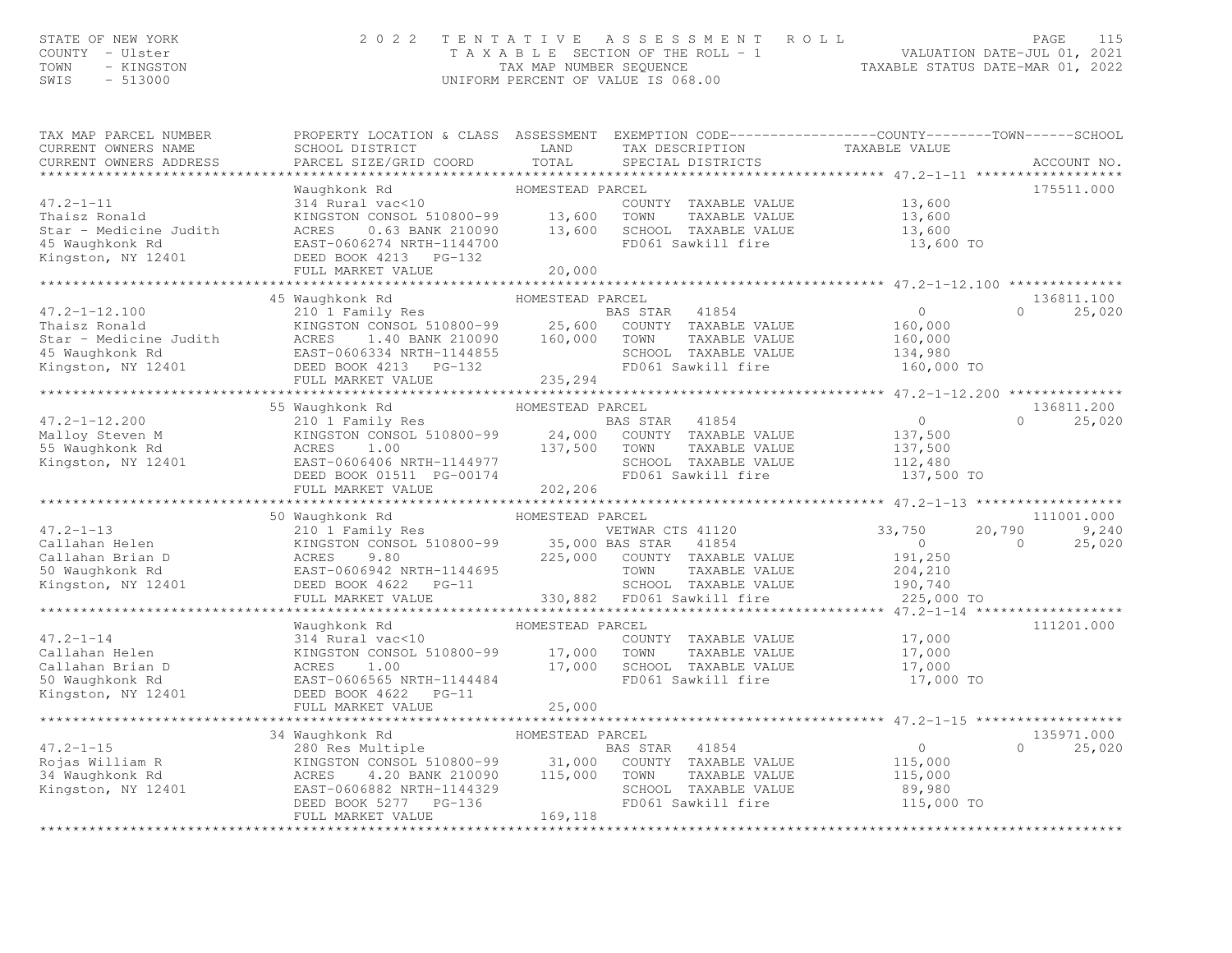### STATE OF NEW YORK CONTY - USE A Many of the Many Country - USE PAGE 115<br>COUNTY - Ulster COUNTY - USE COUNTY - TAX A B L E SECTION OF THE ROLL - 1 WALUATION DATE-JUL 01, 2021<br>TAX A B L E SECTION OF THE ROLL - 1 TAX ABLE STA

| TAX MAP PARCEL NUMBER<br>CURRENT OWNERS NAME<br>CURRENT OWNERS ADDRESS                                                                                                                                                                                                                                                                                                                                  | PROPERTY LOCATION & CLASS ASSESSMENT EXEMPTION CODE----------------COUNTY-------TOWN------SCHOOL<br>SCHOOL DISTRICT LAND<br>PARCEL SIZE/GRID COORD                                                | TOTAL            | TAX DESCRIPTION TAXABLE VALUE SPECIAL DISTRICTS                                                                      |                                                              | ACCOUNT NO.        |
|---------------------------------------------------------------------------------------------------------------------------------------------------------------------------------------------------------------------------------------------------------------------------------------------------------------------------------------------------------------------------------------------------------|---------------------------------------------------------------------------------------------------------------------------------------------------------------------------------------------------|------------------|----------------------------------------------------------------------------------------------------------------------|--------------------------------------------------------------|--------------------|
|                                                                                                                                                                                                                                                                                                                                                                                                         |                                                                                                                                                                                                   |                  |                                                                                                                      |                                                              |                    |
| $47.2 - 1 - 11$<br>Thaisz Ronald<br>Star - Medicine Judith ACRES 0.63 BANK 210090<br>45 Waughkonk Rd EAST-0606274 NRTH-1144700<br>Kingston, NY 12401 DEED BOOK 4213 PG-132                                                                                                                                                                                                                              | Waughkonk Rd<br>314 Rural vac<10 COUN<br>KINGSTON CONSOL 510800-99 13,600 TOWN<br>ACRES 0.63 BANK 210090 13,600 SCHC<br>EAST-0606274 NRTH-1144700 FD06                                            |                  | COUNTY TAXABLE VALUE 13,600<br>TOWN TAXABLE VALUE 13,600<br>SCHOOL TAXABLE VALUE 13,600<br>FD061 Sawkill fire 13,600 | 13,600<br>13,600 TO                                          | 175511.000         |
|                                                                                                                                                                                                                                                                                                                                                                                                         |                                                                                                                                                                                                   |                  |                                                                                                                      |                                                              |                    |
|                                                                                                                                                                                                                                                                                                                                                                                                         |                                                                                                                                                                                                   |                  |                                                                                                                      |                                                              |                    |
|                                                                                                                                                                                                                                                                                                                                                                                                         |                                                                                                                                                                                                   |                  |                                                                                                                      |                                                              | 136811.100         |
| 17.2-1-12.100 210 1 Family Res<br>Thaisz Ronald KINGSTON CONSOL 510800-99 25,600 COUNTY TAXABLE VALUE<br>Star – Medicine Judith ACRES 1.40 BANK 210090 160,000 TOWN TAXABLE VALUE<br>45 Waughkonk Rd EAST-066334 NRTH-1144855<br>Kings                                                                                                                                                                  |                                                                                                                                                                                                   |                  | SCHOOL TAXABLE VALUE 134,980<br>FD061 Sawkill fire 160,000 TO                                                        |                                                              | 25,020<br>$\cap$   |
|                                                                                                                                                                                                                                                                                                                                                                                                         | FULL MARKET VALUE 235, 294                                                                                                                                                                        |                  |                                                                                                                      |                                                              |                    |
|                                                                                                                                                                                                                                                                                                                                                                                                         |                                                                                                                                                                                                   |                  |                                                                                                                      |                                                              |                    |
| $\begin{array}{cccccccc} \text{47.2--1-12.200} & \text{55 Waughk onk Rd} & \text{HOMESTEAD PAKCEL} & \text{AAKELL} & 130011.200 & 55 Waughkonk Rd & \text{ROMESTEAD PAKCEL} & 0 & 25,020 & 25,020 \\ \text{Malloy Steven M} & \text{KINGSTON CONSOL 510800-99} & 24,000 & \text{COUNTY TAXABLE VALUE} & 137,500 & 25,020 \\ \text{55 Waughkonk Rd} & \text{ACRES} & 1.00 & 137,500 & \text{$            | 55 Waughkonk Rd                                                                                                                                                                                   | HOMESTEAD PARCEL |                                                                                                                      |                                                              | 136811.200         |
|                                                                                                                                                                                                                                                                                                                                                                                                         |                                                                                                                                                                                                   |                  |                                                                                                                      |                                                              |                    |
|                                                                                                                                                                                                                                                                                                                                                                                                         |                                                                                                                                                                                                   |                  |                                                                                                                      |                                                              |                    |
|                                                                                                                                                                                                                                                                                                                                                                                                         | 50 Waughkonk Rd                                                                                                                                                                                   | HOMESTEAD PARCEL |                                                                                                                      |                                                              | 111001.000         |
| $47.2 - 1 - 13$                                                                                                                                                                                                                                                                                                                                                                                         |                                                                                                                                                                                                   |                  | VETWAR CTS 41120<br>BAS STAR 41854                                                                                   | 33,750<br>20,790                                             | 9,240              |
|                                                                                                                                                                                                                                                                                                                                                                                                         |                                                                                                                                                                                                   |                  |                                                                                                                      |                                                              |                    |
| $47.2 - 1 - 14$<br>$\begin{array}{llllll} 47.2\text{--}1\text{--}14 & 314 \text{ Rural vac}\textless{}10\ \text{Callahan Belen} & \text{KINGSTON CONSOL 510800--}99\ \text{Callahan Brian D} & \text{ACRES} & 1.00\ \text{50 Waughkonk Rd} & \text{EAST}\text{--}0606565 \text{ NRTH}\text{--}1144484\ \text{Kingston, NY }12401 & \text{DEES D} & \text{MOOK }4622 \text{ PG}\text{--}11\ \end{array}$ | Waughkonk Rd<br>XINGSTON CONSOL 510800-99<br>ACRES 1.00 17,000 TOWN TAXABLE VALUE<br>ACRES 1.00 17,000 SCHOOL TAXABLE VALUE<br>EAST-0606565 NRTH-1144484 FD061 Sawkill fire<br>FD061 Sawkill fire | HOMESTEAD PARCEL | COUNTY TAXABLE VALUE 17,000                                                                                          | 17,000<br>$\frac{17,000}{17,000}$ TO                         | 111201.000         |
|                                                                                                                                                                                                                                                                                                                                                                                                         |                                                                                                                                                                                                   |                  |                                                                                                                      |                                                              |                    |
|                                                                                                                                                                                                                                                                                                                                                                                                         |                                                                                                                                                                                                   |                  |                                                                                                                      |                                                              |                    |
|                                                                                                                                                                                                                                                                                                                                                                                                         | 34 Waughkonk Rd                                                                                                                                                                                   |                  |                                                                                                                      |                                                              | 135971.000         |
| $47.2 - 1 - 15$<br>n2-1-15<br>Rojas William R<br>34 Waughkonk Rd<br>Kingston, NY 12401                                                                                                                                                                                                                                                                                                                  | 1 CONSOL 510800-55<br>4.20 BANK 210090 115,000<br>06882 NRTH-1144329<br>~ 5277 PG-136<br>ACRES<br>EAST-0606882 NRTH-1144329<br>DEED BOOK 5277 PG-136                                              | 169, 118         | BAS STAR 41854<br>COUNTY TAXABLE VALUE<br>TAXABLE VALUE<br>TOWN<br>SCHOOL TAXABLE VALUE<br>FD061 Sawkill fire        | $\overline{0}$<br>115,000<br>115,000<br>89,980<br>115,000 TO | 25,020<br>$\Omega$ |
|                                                                                                                                                                                                                                                                                                                                                                                                         | FULL MARKET VALUE                                                                                                                                                                                 |                  |                                                                                                                      |                                                              |                    |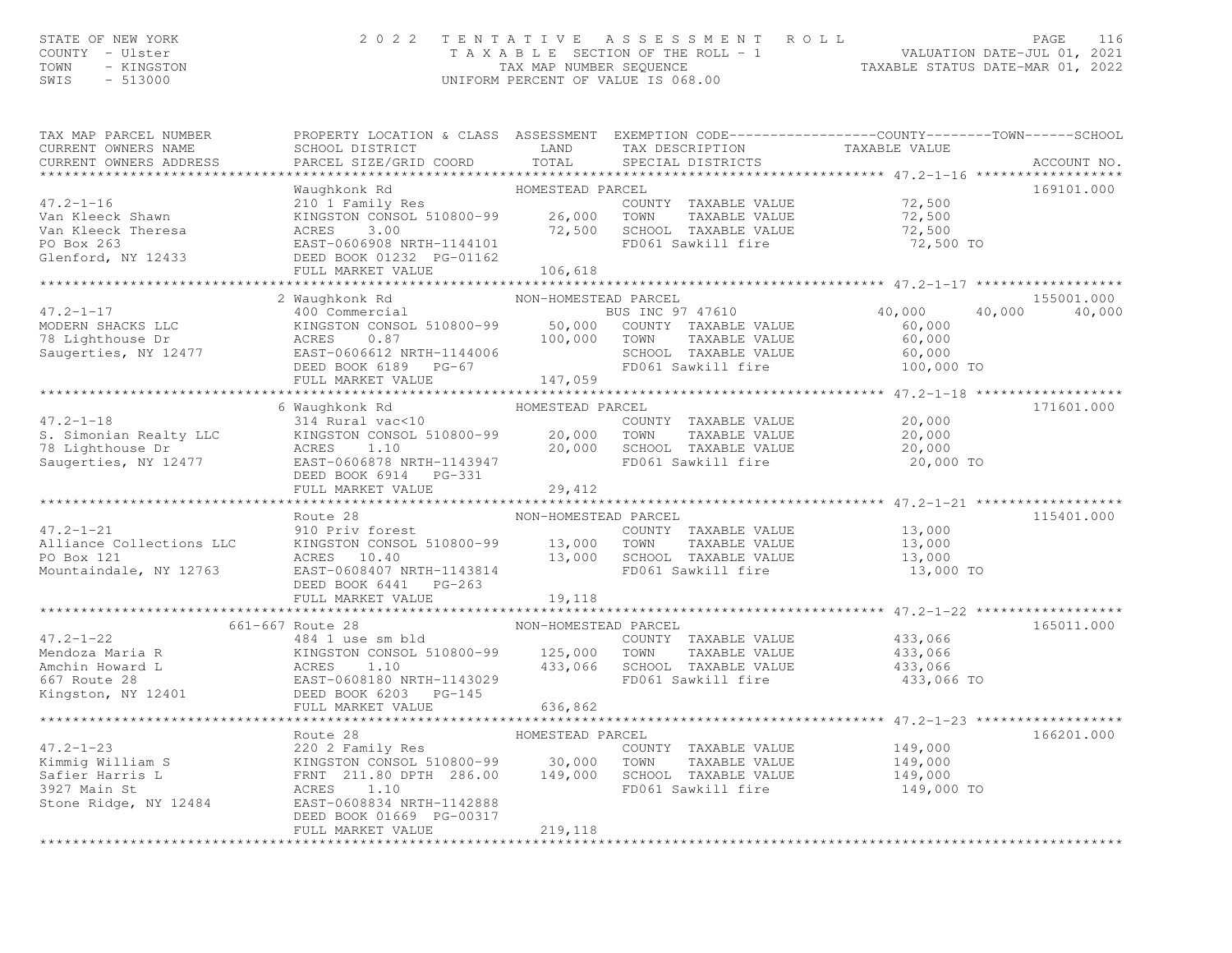# STATE OF NEW YORK PAGE 116<br>COUNTY - Ulster (2001) TAXABLE SECTION OF THE ROLL - 1 (VALUATION DATE-JUL 01, 2021<br>TAXABLE SECTION OF THE ROLL - 1 (VALUATION DATE-JUL 01, 2021<br>SWIS - 513000 (INTFORM PERCENT OF VALUE TS 068.00)

| TAX MAP PARCEL NUMBER<br>CURRENT OWNERS NAME<br>CURRENT OWNERS ADDRESS                                                                                                                                                                                                    | PROPERTY LOCATION & CLASS ASSESSMENT EXEMPTION CODE----------------COUNTY-------TOWN------SCHOOL<br>SCHOOL DISTRICT<br>PARCEL SIZE/GRID COORD                                              | LAND<br>TOTAL              | TAX DESCRIPTION<br>SPECIAL DISTRICTS                                                                                                                | TAXABLE VALUE                                                | ACCOUNT NO. |
|---------------------------------------------------------------------------------------------------------------------------------------------------------------------------------------------------------------------------------------------------------------------------|--------------------------------------------------------------------------------------------------------------------------------------------------------------------------------------------|----------------------------|-----------------------------------------------------------------------------------------------------------------------------------------------------|--------------------------------------------------------------|-------------|
|                                                                                                                                                                                                                                                                           |                                                                                                                                                                                            |                            |                                                                                                                                                     |                                                              |             |
| $47.2 - 1 - 16$<br>Van Kleeck Shawn<br>Van Kleeck Theresa<br>PO Box 263<br>Glenford, NY 12433                                                                                                                                                                             | Waughkonk Rd<br>210 1 Family Res<br>XINGSTON CONSOL 510800-99 26,000 TOWN TAXABLE VALUE<br>ACRES 3.00<br>EAST-0606908 NRTH-1144101<br>DEED BOOK 01232 PG-01162<br>DEED BOOK 01232 PG-01162 | HOMESTEAD PARCEL<br>72,500 | COUNTY TAXABLE VALUE<br>SCHOOL TAXABLE VALUE<br>FD061 Sawkill fire                                                                                  | 72,500<br>72,500<br>72,500<br>72,500 TO                      | 169101.000  |
|                                                                                                                                                                                                                                                                           | FULL MARKET VALUE                                                                                                                                                                          | 106,618                    |                                                                                                                                                     |                                                              |             |
|                                                                                                                                                                                                                                                                           | 2 Waughkonk Rd                                                                                                                                                                             | NON-HOMESTEAD PARCEL       |                                                                                                                                                     |                                                              | 155001.000  |
| $47.2 - 1 - 17$<br>47.2-1-17<br>MODERN SHACKS LLC<br>MODERN SALE VALUE<br>MODERN SALE VALUE<br>TAXABLE VALUE<br>TAXABLE VALUE<br>TAXABLE VALUE<br>Saugerties, NY 12477<br>DEED BOOK 6189 PG-67<br>FULL MARKET VALUE<br>PULL MARKET VALUE<br>TAXABLE VALUE<br>DEED BOOK 61 | 400 Commercial                                                                                                                                                                             |                            | BUS INC 97 47610<br>TAXABLE VALUE<br><br>SCHOOL TAXABLE VALUE<br>FD061 Sawkill fire                                                                 | 40,000<br>40,000<br>60,000<br>60,000<br>60,000<br>100,000 TO | 40,000      |
|                                                                                                                                                                                                                                                                           |                                                                                                                                                                                            |                            |                                                                                                                                                     |                                                              |             |
|                                                                                                                                                                                                                                                                           |                                                                                                                                                                                            |                            |                                                                                                                                                     |                                                              |             |
| $47.2 - 1 - 18$<br>S. Simonian Realty LLC<br>78 Lighthouse Dr ACRES<br>Saugerties, NY 12477 EAST-0                                                                                                                                                                        | 6 Waughkonk Rd<br>314 Rural vac<10<br>KINGSTON CONSOL 510800-99 20,000 TOWN<br>1.10<br>EAST-0606878 NRTH-1143947<br>FULL MARKET VALUE                                                      | HOMESTEAD PARCEL<br>29,412 | COUNTY TAXABLE VALUE<br>IAAADDD VIIDD<br>TAXABLE VALUE<br>TAVABLE VALUE<br>$20,000$ SCHOOL TAXABLE VALUE $20,000$ TO FD061 Sawkill fire $20,000$ TO | 20,000<br>20,000                                             | 171601.000  |
|                                                                                                                                                                                                                                                                           |                                                                                                                                                                                            |                            |                                                                                                                                                     |                                                              |             |
| $47.2 - 1 - 21$<br>Alliance Collections LLC<br>PO Box 121<br>Mountaindale, NY 12763                                                                                                                                                                                       | Route 28<br>BOULE 20<br>910 Priv forest<br>KINGSTON CONSOL 510800-99 13,000 TOWN<br>ACRES 10.40<br>EAST-0608407 NRTH-1143814<br>DEED BOOK 6441 PG-263                                      | NON-HOMESTEAD PARCEL       | COUNTY TAXABLE VALUE 13,000<br>TOWN TAXABLE VALUE 13,000<br>13,000 SCHOOL TAXABLE VALUE<br>FD061 Sawkill fire                                       | 13,000<br>13,000 TO                                          | 115401.000  |
|                                                                                                                                                                                                                                                                           | FULL MARKET VALUE                                                                                                                                                                          | 19,118                     |                                                                                                                                                     |                                                              |             |
|                                                                                                                                                                                                                                                                           |                                                                                                                                                                                            |                            |                                                                                                                                                     |                                                              |             |
|                                                                                                                                                                                                                                                                           | 661-667 Route 28                                                                                                                                                                           | NON-HOMESTEAD PARCEL       |                                                                                                                                                     | 433,066 TO                                                   | 165011.000  |
|                                                                                                                                                                                                                                                                           |                                                                                                                                                                                            |                            |                                                                                                                                                     |                                                              |             |
| $47.2 - 1 - 23$<br>Kimmig William S<br>Safier Harris L<br>3927 Main St                                                                                                                                                                                                    | Route 28<br>220 2 Family Res<br>*******<br>KINGSTON CONSOL 510800-99 30,000<br>FRNT 211.80 DPTH 286.00 149,000<br>ACRES 1.10                                                               | HOMESTEAD PARCEL           | COUNTY TAXABLE VALUE<br>TAXABLE VALUE 149,000<br>TAXABLE VALUE 149,000<br>TOWN<br>SCHOOL TAXABLE VALUE<br>FD061 Sawkill fire                        | 149,000<br>149,000 TO                                        | 166201.000  |
| Stone Ridge, NY 12484                                                                                                                                                                                                                                                     | EAST-0608834 NRTH-1142888<br>DEED BOOK 01669 PG-00317<br>FULL MARKET VALUE                                                                                                                 | 219,118                    |                                                                                                                                                     |                                                              |             |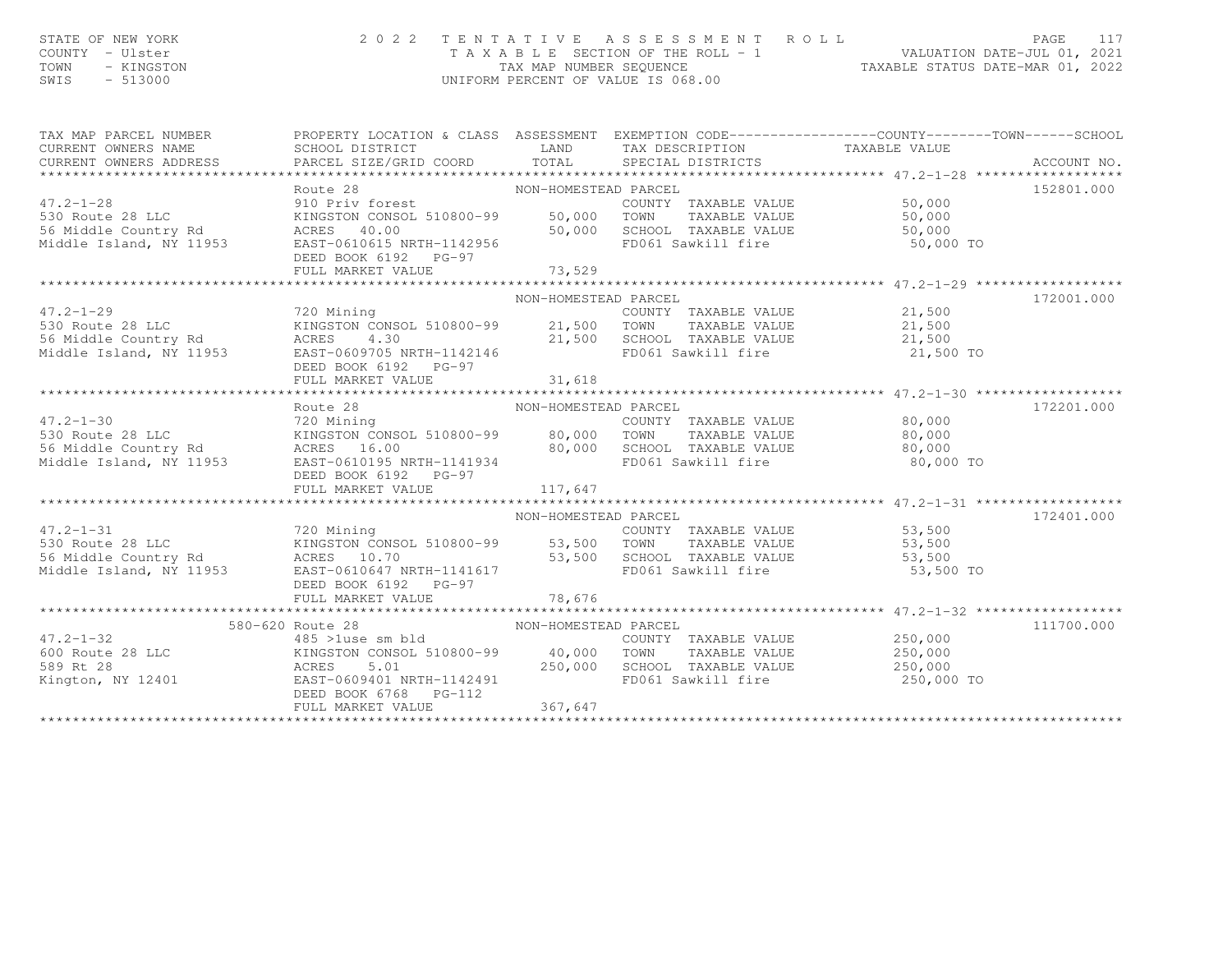STATE OF NEW YORK 2 0 2 2 T E N T A T I V E A S S E S S M E N T R O L L PAGE 117 COUNTY - Ulster T A X A B L E SECTION OF THE ROLL - 1 VALUATION DATE-JUL 01, 2021 TOWN - KINGSTON TAX MAP NUMBER SEQUENCE TAXABLE STATUS DATE-MAR 01, 2022 SWIS - 513000 UNIFORM PERCENT OF VALUE IS 068.00TAX MAP PARCEL NUMBER PROPERTY LOCATION & CLASS ASSESSMENT EXEMPTION CODE------------------COUNTY--------TOWN------SCHOOLCURRENT OWNERS NAME SCHOOL DISTRICT LAND TAX DESCRIPTION TAXABLE VALUECURRENT OWNERS ADDRESS PARCEL SIZE/GRID COORD TOTAL SPECIAL DISTRICTS ACCOUNT NO. \*\*\*\*\*\*\*\*\*\*\*\*\*\*\*\*\*\*\*\*\*\*\*\*\*\*\*\*\*\*\*\*\*\*\*\*\*\*\*\*\*\*\*\*\*\*\*\*\*\*\*\*\*\*\*\*\*\*\*\*\*\*\*\*\*\*\*\*\*\*\*\*\*\*\*\*\*\*\*\*\*\*\*\*\*\*\*\*\*\*\*\*\*\*\*\*\*\*\*\*\*\*\* 47.2-1-28 \*\*\*\*\*\*\*\*\*\*\*\*\*\*\*\*\*\*Route 28 NON-HOMESTEAD PARCEL 47.2-1-28 910 Priv forest COUNTY TAXABLE VALUE 50,000

|                                                                                                                                                                                                                                                                    |                                                                                                            | NON-HOMESTEAD PARCEL |  | 172001.000 |
|--------------------------------------------------------------------------------------------------------------------------------------------------------------------------------------------------------------------------------------------------------------------|------------------------------------------------------------------------------------------------------------|----------------------|--|------------|
|                                                                                                                                                                                                                                                                    |                                                                                                            |                      |  |            |
|                                                                                                                                                                                                                                                                    |                                                                                                            |                      |  |            |
|                                                                                                                                                                                                                                                                    |                                                                                                            |                      |  |            |
|                                                                                                                                                                                                                                                                    |                                                                                                            |                      |  |            |
|                                                                                                                                                                                                                                                                    | DEED BOOK 6192 PG-97                                                                                       |                      |  |            |
|                                                                                                                                                                                                                                                                    |                                                                                                            |                      |  |            |
|                                                                                                                                                                                                                                                                    |                                                                                                            |                      |  |            |
|                                                                                                                                                                                                                                                                    |                                                                                                            |                      |  | 172201.000 |
| Route 28<br>Route 28<br>720 Mining<br>720 Mining<br>720 Mining<br>720 Mining<br>720 Mining<br>720 Mining<br>720 Mining<br>720 Mining<br>720 Mining<br>720 Mining<br>720 Mining<br>720 Mining<br>720 Mining<br>720 Mining<br>720 Mining<br>720 Mining<br>720 Mining |                                                                                                            |                      |  |            |
|                                                                                                                                                                                                                                                                    |                                                                                                            |                      |  |            |
|                                                                                                                                                                                                                                                                    |                                                                                                            |                      |  |            |
|                                                                                                                                                                                                                                                                    |                                                                                                            |                      |  |            |
|                                                                                                                                                                                                                                                                    |                                                                                                            |                      |  |            |
|                                                                                                                                                                                                                                                                    | DEED BOOK 6192 PG-97                                                                                       |                      |  |            |
|                                                                                                                                                                                                                                                                    |                                                                                                            |                      |  |            |
|                                                                                                                                                                                                                                                                    |                                                                                                            |                      |  |            |
| 17.2-1-31<br>28 LLC 28 LLC 28 MON-HOMESTEAD PARCEL<br>28 LLC KINGSTON CONSOL 510800-99 53,500 TOWN TAXABLE VALUE 53,500<br>36 Middle Country Rd ACRES 10.70 53,500 SCHOOL TAXABLE VALUE 53,500<br>25,500 SCHOOL TAXABLE VALUE 53,500 5                             |                                                                                                            |                      |  | 172401.000 |
|                                                                                                                                                                                                                                                                    |                                                                                                            |                      |  |            |
|                                                                                                                                                                                                                                                                    |                                                                                                            |                      |  |            |
|                                                                                                                                                                                                                                                                    |                                                                                                            |                      |  |            |
|                                                                                                                                                                                                                                                                    |                                                                                                            |                      |  |            |
|                                                                                                                                                                                                                                                                    | DEED BOOK 6192 PG-97                                                                                       |                      |  |            |
|                                                                                                                                                                                                                                                                    |                                                                                                            |                      |  |            |
|                                                                                                                                                                                                                                                                    |                                                                                                            |                      |  |            |
|                                                                                                                                                                                                                                                                    | 580-620 Route 28                                                                                           |                      |  | 111700.000 |
| $47.2 - 1 - 32$                                                                                                                                                                                                                                                    |                                                                                                            |                      |  |            |
| 40,000 TOWN TAXABLE VALUE 28 LLC 250,000 EXABLE VALUE 250,000 NOW TAXABLE VALUE 250,000 250,000 CONSOL 510800-99 40,000 TOWN TAXABLE VALUE 250,000 250,000 250,000 EXABLE VALUE 250,000 EXABLE VALUE 250,000 EXABLE VALUE 250,                                     |                                                                                                            |                      |  |            |
|                                                                                                                                                                                                                                                                    |                                                                                                            |                      |  |            |
|                                                                                                                                                                                                                                                                    | ACRES 5.01 250,000 SCHOOL TAXABLE VALUE 250,000<br>EAST-0609401 NRTH-1142491 FD061 Sawkill fire 250,000 TO |                      |  |            |
|                                                                                                                                                                                                                                                                    | DEED BOOK 6768 PG-112                                                                                      |                      |  |            |
|                                                                                                                                                                                                                                                                    | FULL MARKET VALUE                                                                                          | 367.647              |  |            |
|                                                                                                                                                                                                                                                                    |                                                                                                            |                      |  |            |

152801.000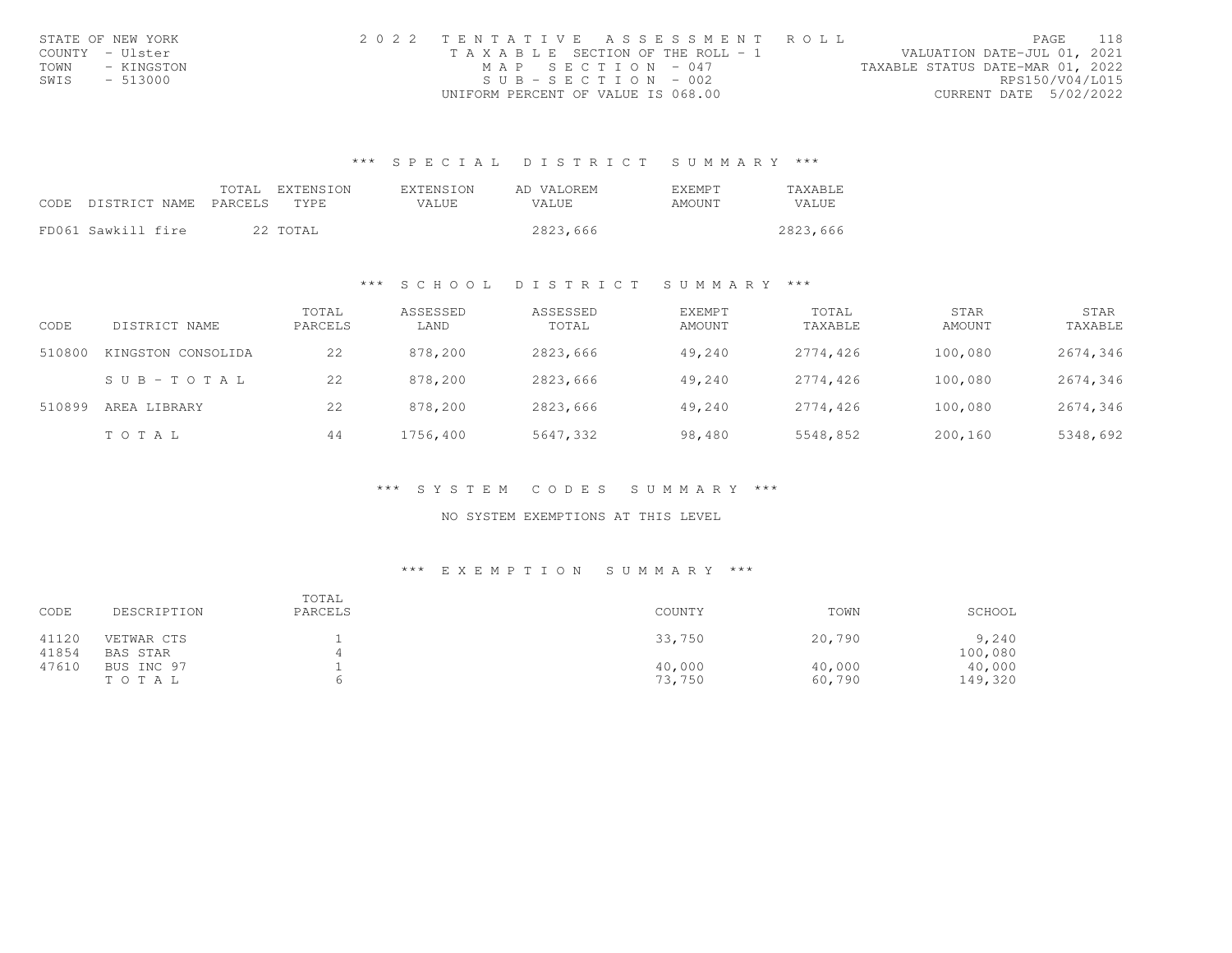| STATE OF NEW YORK  | 2022 TENTATIVE ASSESSMENT ROLL        | 118<br>PAGE.                     |
|--------------------|---------------------------------------|----------------------------------|
| COUNTY - Ulster    | T A X A B L E SECTION OF THE ROLL - 1 | VALUATION DATE-JUL 01, 2021      |
| TOWN<br>- KINGSTON | MAP SECTION - 047                     | TAXABLE STATUS DATE-MAR 01, 2022 |
| SWIS<br>- 513000   | $SUB - SECTION - 002$                 | RPS150/V04/L015                  |
|                    | UNIFORM PERCENT OF VALUE IS 068.00    | CURRENT DATE 5/02/2022           |

|                            |  | TOTAL EXTENSION | <b>EXTENSION</b> | AD VALOREM | <b>F.XF.MPT</b> | <b>TAXABLE</b> |
|----------------------------|--|-----------------|------------------|------------|-----------------|----------------|
| CODE DISTRICT NAME PARCELS |  | TYPE.           | VALUE.           | VALUE.     | <b>AMOUNT</b>   | <b>VALUE</b>   |
|                            |  |                 |                  |            |                 |                |
| FD061 Sawkill fire         |  | 22 TOTAL        |                  | 2823,666   |                 | 2823,666       |

#### \*\*\* S C H O O L D I S T R I C T S U M M A R Y \*\*\*

| CODE   | DISTRICT NAME      | TOTAL<br>PARCELS | ASSESSED<br>LAND | ASSESSED<br>TOTAL | <b>EXEMPT</b><br>AMOUNT | TOTAL<br>TAXABLE | STAR<br>AMOUNT | STAR<br>TAXABLE |
|--------|--------------------|------------------|------------------|-------------------|-------------------------|------------------|----------------|-----------------|
| 510800 | KINGSTON CONSOLIDA | 22               | 878,200          | 2823,666          | 49,240                  | 2774,426         | 100,080        | 2674,346        |
|        | SUB-TOTAL          | 22               | 878,200          | 2823,666          | 49,240                  | 2774,426         | 100,080        | 2674,346        |
| 510899 | AREA LIBRARY       | 22               | 878,200          | 2823,666          | 49,240                  | 2774,426         | 100,080        | 2674,346        |
|        | TOTAL              | 44               | 1756,400         | 5647,332          | 98,480                  | 5548,852         | 200,160        | 5348,692        |

\*\*\* S Y S T E M C O D E S S U M M A R Y \*\*\*

NO SYSTEM EXEMPTIONS AT THIS LEVEL

#### \*\*\* E X E M P T I O N S U M M A R Y \*\*\*

| CODE           | DESCRIPTION            | TOTAL<br>PARCELS | COUNTY           | TOWN             | SCHOOL            |
|----------------|------------------------|------------------|------------------|------------------|-------------------|
| 41120<br>41854 | VETWAR CTS<br>BAS STAR |                  | 33,750           | 20,790           | 9,240<br>100,080  |
| 47610          | BUS INC 97<br>TOTAL    |                  | 40,000<br>73,750 | 40,000<br>60,790 | 40,000<br>149,320 |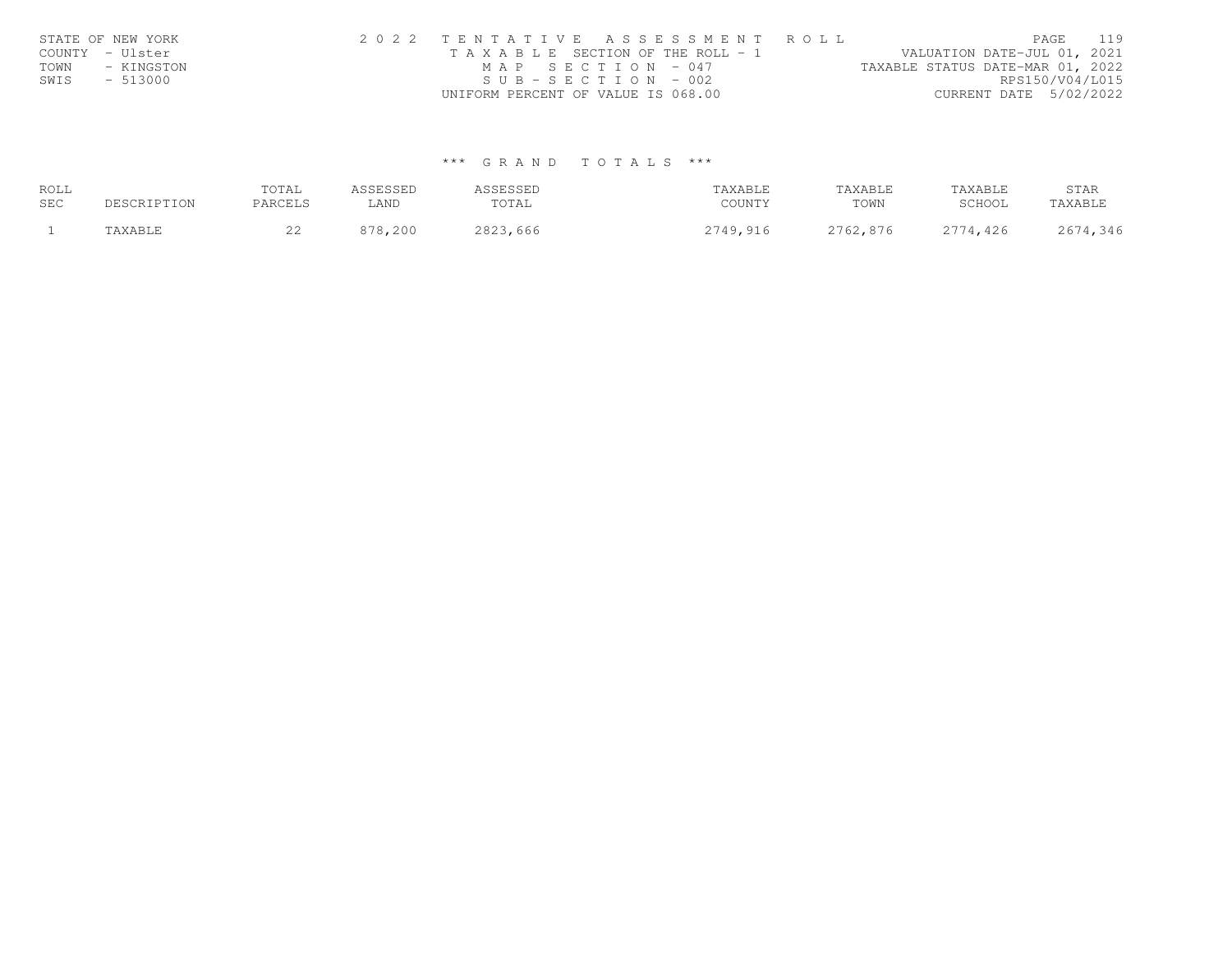|      | STATE OF NEW YORK | 2022 TENTATIVE ASSESSMENT ROLL        | 119<br>PAGE.                     |
|------|-------------------|---------------------------------------|----------------------------------|
|      | COUNTY - Ulster   | T A X A B L E SECTION OF THE ROLL - 1 | VALUATION DATE-JUL 01, 2021      |
| TOWN | - KINGSTON        | MAP SECTION - 047                     | TAXABLE STATUS DATE-MAR 01, 2022 |
| SWIS | - 513000          | $SUB - SECTION - 002$                 | RPS150/V04/L015                  |
|      |                   | UNIFORM PERCENT OF VALUE IS 068.00    | CURRENT DATE 5/02/2022           |

| ROLL<br>SEC | DESCRIPTION   | TOTAL<br>PARCELS     | <i><b>ISSESSED</b></i><br>LAND | <i>I</i> CCFCCFD<br>ىلتلان تلان<br>TOTAL | TAXABLE<br>COUNTY | TAXABLE<br>TOWN | TAXABLE<br>SCHOOL | STAR<br>TAXABLE |
|-------------|---------------|----------------------|--------------------------------|------------------------------------------|-------------------|-----------------|-------------------|-----------------|
|             | <b>NYNRTE</b> | $\sim$ $\sim$<br>ے ت | . 200                          | フヌフマ<br>666                              | $2710$<br>,916    | 2762,876        | 2774,426          | 1,346           |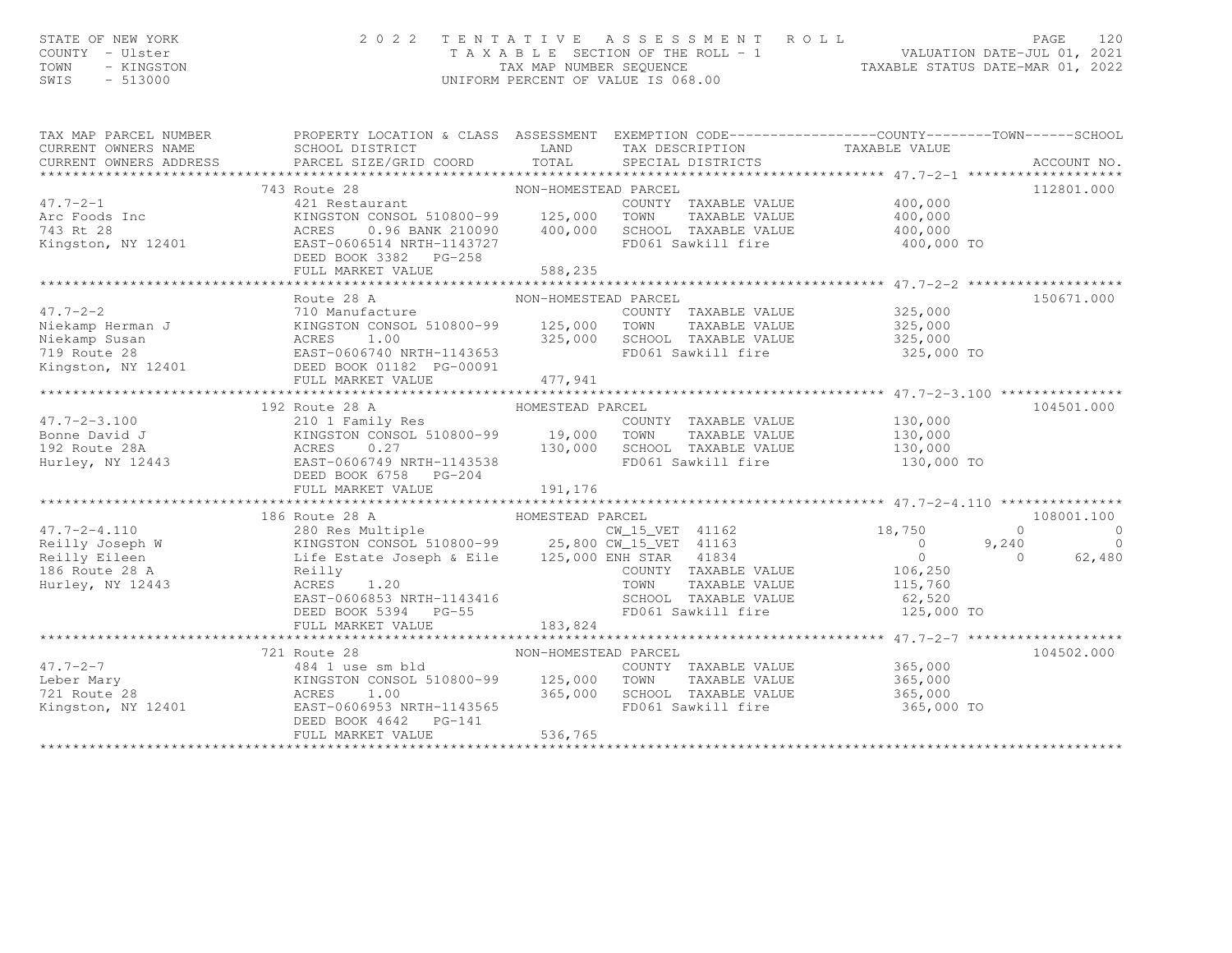# STATE OF NEW YORK PAGE 120<br>COUNTY - Ulster (2008) TAXABLE SECTION OF THE ROLL - 1 (MALUATION DATE-JUL 01, 2021<br>TAXABLE SECTION OF THE ROLL - 1 (MALUATION DATE-JUL 01, 2021<br>SWIS - 513000 (INTFORM PERCENT OF VALUE IS 068.00)

| 743 Route 28<br>NON-HOMESTEAD PARCEL<br>112801.000<br>COUNTY TAXABLE VALUE 400,000<br>$47.7 - 2 - 1$<br>421 Restaurant<br>421 Restaurant<br>KINGSTON CONSOL 510800-99 125,000<br>ACPES 0.96 BANK 210090 400,000<br>TOWN      TAXABLE VALUE<br>SCHOOL   TAXABLE VALUE<br>400,000<br>400,000<br>FD061 Sawkill fire 400,000 TO<br>DEED BOOK 3382 PG-258<br>FULL MARKET VALUE<br>588,235<br>Route 28 A<br>150671.000<br>NON-HOMESTEAD PARCEL<br>17.7-2-2<br>Niekamp Herman J<br>Niekamp Susan (10 Manufacture 110800-99 125,000 TOWN TAXABLE VALUE 325,000<br>Niekamp Susan (10 325,000 325,000 SCHOOL TAXABLE VALUE 325,000<br>219 Route 28 EAST-0606740 NRTH-1143653<br>Kingston, NY 1<br>FD061 Sawkill fire 325,000 TO<br>HOMESTEAD PARCEL<br>104501.000<br>192 Route 28 A<br>210 1 Family Res<br>COUNTY TAXABLE VALUE 130,000<br>$47.7 - 2 - 3.100$<br>210 1 Family Res<br>KINGSTON CONSOL 510800-99<br>ACRES 0.27<br>EAST-0606749 NRTH-1143538<br>210 1 Family Res<br>KINGSTON CONSOL 510800-99 19,000<br>ACRES 0.27 130,000<br>Bonne David J<br>TOWN<br>TAXABLE VALUE 130,000<br>192 Route 28A<br>SCHOOL TAXABLE VALUE<br>130,000<br>FD061 Sawkill fire<br>130,000 TO<br>Hurley, NY 12443<br>DEED BOOK 6758 PG-204<br>191,176<br>FULL MARKET VALUE<br>186 Route 28 A<br>108001.100<br>HOMESTEAD PARCEL<br>Route 28 A BOMESTEAD<br>280 Res Multiple<br>CW_15_VET 41162 18,750<br>$\sim$ 0<br>$47.7 - 2 - 4.110$<br>$\Omega$<br>$\overline{0}$<br>$\overline{0}$<br>9,240<br>$\overline{0}$<br>62,480<br>$\Omega$<br>COUNTY TAXABLE VALUE 106,250<br>Hurley, NY 12443<br>ACRES<br>1.20<br>TOWN<br>TAXABLE VALUE 115,760<br>EAST-0606853 NRTH-1143416<br>TOWN TAXABLE VALUE<br>SCHOOL TAXABLE VALUE 62, J20<br>The 125,000 TO<br>FD061 Sawkill fire<br>DEED BOOK 5394 PG-55<br>183,824<br>FULL MARKET VALUE<br>721 Route 28<br>NON-HOMESTEAD PARCEL<br>104502.000<br>COUNTY TAXABLE VALUE 365,000<br>$47.7 - 2 - 7$<br>484 1 use sm bld<br>1-2-,<br>Leber Mary<br>721 Route 28<br>Kingston, NY 12401<br>365,000<br>TAXABLE VALUE<br>KINGSTON CONSOL 510800-99 125,000<br>TOWN<br>365,000<br>SCHOOL TAXABLE VALUE 365,000<br>ACRES<br>1.00<br>EAST-0606953 NRTH-1143565<br>FD061 Sawkill fire<br>365,000 TO<br>DEED BOOK 4642    PG-141<br>536,765<br>FULL MARKET VALUE | TAX MAP PARCEL NUMBER | PROPERTY LOCATION & CLASS ASSESSMENT EXEMPTION CODE----------------COUNTY-------TOWN------SCHOOL |  |  |
|-----------------------------------------------------------------------------------------------------------------------------------------------------------------------------------------------------------------------------------------------------------------------------------------------------------------------------------------------------------------------------------------------------------------------------------------------------------------------------------------------------------------------------------------------------------------------------------------------------------------------------------------------------------------------------------------------------------------------------------------------------------------------------------------------------------------------------------------------------------------------------------------------------------------------------------------------------------------------------------------------------------------------------------------------------------------------------------------------------------------------------------------------------------------------------------------------------------------------------------------------------------------------------------------------------------------------------------------------------------------------------------------------------------------------------------------------------------------------------------------------------------------------------------------------------------------------------------------------------------------------------------------------------------------------------------------------------------------------------------------------------------------------------------------------------------------------------------------------------------------------------------------------------------------------------------------------------------------------------------------------------------------------------------------------------------------------------------------------------------------------------------------------------------------------------------------------------------------------------------------------------------------------|-----------------------|--------------------------------------------------------------------------------------------------|--|--|
|                                                                                                                                                                                                                                                                                                                                                                                                                                                                                                                                                                                                                                                                                                                                                                                                                                                                                                                                                                                                                                                                                                                                                                                                                                                                                                                                                                                                                                                                                                                                                                                                                                                                                                                                                                                                                                                                                                                                                                                                                                                                                                                                                                                                                                                                       |                       |                                                                                                  |  |  |
|                                                                                                                                                                                                                                                                                                                                                                                                                                                                                                                                                                                                                                                                                                                                                                                                                                                                                                                                                                                                                                                                                                                                                                                                                                                                                                                                                                                                                                                                                                                                                                                                                                                                                                                                                                                                                                                                                                                                                                                                                                                                                                                                                                                                                                                                       |                       |                                                                                                  |  |  |
|                                                                                                                                                                                                                                                                                                                                                                                                                                                                                                                                                                                                                                                                                                                                                                                                                                                                                                                                                                                                                                                                                                                                                                                                                                                                                                                                                                                                                                                                                                                                                                                                                                                                                                                                                                                                                                                                                                                                                                                                                                                                                                                                                                                                                                                                       |                       |                                                                                                  |  |  |
|                                                                                                                                                                                                                                                                                                                                                                                                                                                                                                                                                                                                                                                                                                                                                                                                                                                                                                                                                                                                                                                                                                                                                                                                                                                                                                                                                                                                                                                                                                                                                                                                                                                                                                                                                                                                                                                                                                                                                                                                                                                                                                                                                                                                                                                                       |                       |                                                                                                  |  |  |
|                                                                                                                                                                                                                                                                                                                                                                                                                                                                                                                                                                                                                                                                                                                                                                                                                                                                                                                                                                                                                                                                                                                                                                                                                                                                                                                                                                                                                                                                                                                                                                                                                                                                                                                                                                                                                                                                                                                                                                                                                                                                                                                                                                                                                                                                       |                       |                                                                                                  |  |  |
|                                                                                                                                                                                                                                                                                                                                                                                                                                                                                                                                                                                                                                                                                                                                                                                                                                                                                                                                                                                                                                                                                                                                                                                                                                                                                                                                                                                                                                                                                                                                                                                                                                                                                                                                                                                                                                                                                                                                                                                                                                                                                                                                                                                                                                                                       |                       |                                                                                                  |  |  |
|                                                                                                                                                                                                                                                                                                                                                                                                                                                                                                                                                                                                                                                                                                                                                                                                                                                                                                                                                                                                                                                                                                                                                                                                                                                                                                                                                                                                                                                                                                                                                                                                                                                                                                                                                                                                                                                                                                                                                                                                                                                                                                                                                                                                                                                                       |                       |                                                                                                  |  |  |
|                                                                                                                                                                                                                                                                                                                                                                                                                                                                                                                                                                                                                                                                                                                                                                                                                                                                                                                                                                                                                                                                                                                                                                                                                                                                                                                                                                                                                                                                                                                                                                                                                                                                                                                                                                                                                                                                                                                                                                                                                                                                                                                                                                                                                                                                       |                       |                                                                                                  |  |  |
|                                                                                                                                                                                                                                                                                                                                                                                                                                                                                                                                                                                                                                                                                                                                                                                                                                                                                                                                                                                                                                                                                                                                                                                                                                                                                                                                                                                                                                                                                                                                                                                                                                                                                                                                                                                                                                                                                                                                                                                                                                                                                                                                                                                                                                                                       |                       |                                                                                                  |  |  |
|                                                                                                                                                                                                                                                                                                                                                                                                                                                                                                                                                                                                                                                                                                                                                                                                                                                                                                                                                                                                                                                                                                                                                                                                                                                                                                                                                                                                                                                                                                                                                                                                                                                                                                                                                                                                                                                                                                                                                                                                                                                                                                                                                                                                                                                                       |                       |                                                                                                  |  |  |
|                                                                                                                                                                                                                                                                                                                                                                                                                                                                                                                                                                                                                                                                                                                                                                                                                                                                                                                                                                                                                                                                                                                                                                                                                                                                                                                                                                                                                                                                                                                                                                                                                                                                                                                                                                                                                                                                                                                                                                                                                                                                                                                                                                                                                                                                       |                       |                                                                                                  |  |  |
|                                                                                                                                                                                                                                                                                                                                                                                                                                                                                                                                                                                                                                                                                                                                                                                                                                                                                                                                                                                                                                                                                                                                                                                                                                                                                                                                                                                                                                                                                                                                                                                                                                                                                                                                                                                                                                                                                                                                                                                                                                                                                                                                                                                                                                                                       |                       |                                                                                                  |  |  |
|                                                                                                                                                                                                                                                                                                                                                                                                                                                                                                                                                                                                                                                                                                                                                                                                                                                                                                                                                                                                                                                                                                                                                                                                                                                                                                                                                                                                                                                                                                                                                                                                                                                                                                                                                                                                                                                                                                                                                                                                                                                                                                                                                                                                                                                                       |                       |                                                                                                  |  |  |
|                                                                                                                                                                                                                                                                                                                                                                                                                                                                                                                                                                                                                                                                                                                                                                                                                                                                                                                                                                                                                                                                                                                                                                                                                                                                                                                                                                                                                                                                                                                                                                                                                                                                                                                                                                                                                                                                                                                                                                                                                                                                                                                                                                                                                                                                       |                       |                                                                                                  |  |  |
|                                                                                                                                                                                                                                                                                                                                                                                                                                                                                                                                                                                                                                                                                                                                                                                                                                                                                                                                                                                                                                                                                                                                                                                                                                                                                                                                                                                                                                                                                                                                                                                                                                                                                                                                                                                                                                                                                                                                                                                                                                                                                                                                                                                                                                                                       |                       |                                                                                                  |  |  |
|                                                                                                                                                                                                                                                                                                                                                                                                                                                                                                                                                                                                                                                                                                                                                                                                                                                                                                                                                                                                                                                                                                                                                                                                                                                                                                                                                                                                                                                                                                                                                                                                                                                                                                                                                                                                                                                                                                                                                                                                                                                                                                                                                                                                                                                                       |                       |                                                                                                  |  |  |
|                                                                                                                                                                                                                                                                                                                                                                                                                                                                                                                                                                                                                                                                                                                                                                                                                                                                                                                                                                                                                                                                                                                                                                                                                                                                                                                                                                                                                                                                                                                                                                                                                                                                                                                                                                                                                                                                                                                                                                                                                                                                                                                                                                                                                                                                       |                       |                                                                                                  |  |  |
|                                                                                                                                                                                                                                                                                                                                                                                                                                                                                                                                                                                                                                                                                                                                                                                                                                                                                                                                                                                                                                                                                                                                                                                                                                                                                                                                                                                                                                                                                                                                                                                                                                                                                                                                                                                                                                                                                                                                                                                                                                                                                                                                                                                                                                                                       |                       |                                                                                                  |  |  |
|                                                                                                                                                                                                                                                                                                                                                                                                                                                                                                                                                                                                                                                                                                                                                                                                                                                                                                                                                                                                                                                                                                                                                                                                                                                                                                                                                                                                                                                                                                                                                                                                                                                                                                                                                                                                                                                                                                                                                                                                                                                                                                                                                                                                                                                                       |                       |                                                                                                  |  |  |
|                                                                                                                                                                                                                                                                                                                                                                                                                                                                                                                                                                                                                                                                                                                                                                                                                                                                                                                                                                                                                                                                                                                                                                                                                                                                                                                                                                                                                                                                                                                                                                                                                                                                                                                                                                                                                                                                                                                                                                                                                                                                                                                                                                                                                                                                       |                       |                                                                                                  |  |  |
|                                                                                                                                                                                                                                                                                                                                                                                                                                                                                                                                                                                                                                                                                                                                                                                                                                                                                                                                                                                                                                                                                                                                                                                                                                                                                                                                                                                                                                                                                                                                                                                                                                                                                                                                                                                                                                                                                                                                                                                                                                                                                                                                                                                                                                                                       |                       |                                                                                                  |  |  |
|                                                                                                                                                                                                                                                                                                                                                                                                                                                                                                                                                                                                                                                                                                                                                                                                                                                                                                                                                                                                                                                                                                                                                                                                                                                                                                                                                                                                                                                                                                                                                                                                                                                                                                                                                                                                                                                                                                                                                                                                                                                                                                                                                                                                                                                                       |                       |                                                                                                  |  |  |
|                                                                                                                                                                                                                                                                                                                                                                                                                                                                                                                                                                                                                                                                                                                                                                                                                                                                                                                                                                                                                                                                                                                                                                                                                                                                                                                                                                                                                                                                                                                                                                                                                                                                                                                                                                                                                                                                                                                                                                                                                                                                                                                                                                                                                                                                       |                       |                                                                                                  |  |  |
|                                                                                                                                                                                                                                                                                                                                                                                                                                                                                                                                                                                                                                                                                                                                                                                                                                                                                                                                                                                                                                                                                                                                                                                                                                                                                                                                                                                                                                                                                                                                                                                                                                                                                                                                                                                                                                                                                                                                                                                                                                                                                                                                                                                                                                                                       |                       |                                                                                                  |  |  |
|                                                                                                                                                                                                                                                                                                                                                                                                                                                                                                                                                                                                                                                                                                                                                                                                                                                                                                                                                                                                                                                                                                                                                                                                                                                                                                                                                                                                                                                                                                                                                                                                                                                                                                                                                                                                                                                                                                                                                                                                                                                                                                                                                                                                                                                                       |                       |                                                                                                  |  |  |
|                                                                                                                                                                                                                                                                                                                                                                                                                                                                                                                                                                                                                                                                                                                                                                                                                                                                                                                                                                                                                                                                                                                                                                                                                                                                                                                                                                                                                                                                                                                                                                                                                                                                                                                                                                                                                                                                                                                                                                                                                                                                                                                                                                                                                                                                       |                       |                                                                                                  |  |  |
|                                                                                                                                                                                                                                                                                                                                                                                                                                                                                                                                                                                                                                                                                                                                                                                                                                                                                                                                                                                                                                                                                                                                                                                                                                                                                                                                                                                                                                                                                                                                                                                                                                                                                                                                                                                                                                                                                                                                                                                                                                                                                                                                                                                                                                                                       |                       |                                                                                                  |  |  |
|                                                                                                                                                                                                                                                                                                                                                                                                                                                                                                                                                                                                                                                                                                                                                                                                                                                                                                                                                                                                                                                                                                                                                                                                                                                                                                                                                                                                                                                                                                                                                                                                                                                                                                                                                                                                                                                                                                                                                                                                                                                                                                                                                                                                                                                                       |                       |                                                                                                  |  |  |
|                                                                                                                                                                                                                                                                                                                                                                                                                                                                                                                                                                                                                                                                                                                                                                                                                                                                                                                                                                                                                                                                                                                                                                                                                                                                                                                                                                                                                                                                                                                                                                                                                                                                                                                                                                                                                                                                                                                                                                                                                                                                                                                                                                                                                                                                       |                       |                                                                                                  |  |  |
|                                                                                                                                                                                                                                                                                                                                                                                                                                                                                                                                                                                                                                                                                                                                                                                                                                                                                                                                                                                                                                                                                                                                                                                                                                                                                                                                                                                                                                                                                                                                                                                                                                                                                                                                                                                                                                                                                                                                                                                                                                                                                                                                                                                                                                                                       |                       |                                                                                                  |  |  |
|                                                                                                                                                                                                                                                                                                                                                                                                                                                                                                                                                                                                                                                                                                                                                                                                                                                                                                                                                                                                                                                                                                                                                                                                                                                                                                                                                                                                                                                                                                                                                                                                                                                                                                                                                                                                                                                                                                                                                                                                                                                                                                                                                                                                                                                                       |                       |                                                                                                  |  |  |
|                                                                                                                                                                                                                                                                                                                                                                                                                                                                                                                                                                                                                                                                                                                                                                                                                                                                                                                                                                                                                                                                                                                                                                                                                                                                                                                                                                                                                                                                                                                                                                                                                                                                                                                                                                                                                                                                                                                                                                                                                                                                                                                                                                                                                                                                       |                       |                                                                                                  |  |  |
|                                                                                                                                                                                                                                                                                                                                                                                                                                                                                                                                                                                                                                                                                                                                                                                                                                                                                                                                                                                                                                                                                                                                                                                                                                                                                                                                                                                                                                                                                                                                                                                                                                                                                                                                                                                                                                                                                                                                                                                                                                                                                                                                                                                                                                                                       |                       |                                                                                                  |  |  |
|                                                                                                                                                                                                                                                                                                                                                                                                                                                                                                                                                                                                                                                                                                                                                                                                                                                                                                                                                                                                                                                                                                                                                                                                                                                                                                                                                                                                                                                                                                                                                                                                                                                                                                                                                                                                                                                                                                                                                                                                                                                                                                                                                                                                                                                                       |                       |                                                                                                  |  |  |
|                                                                                                                                                                                                                                                                                                                                                                                                                                                                                                                                                                                                                                                                                                                                                                                                                                                                                                                                                                                                                                                                                                                                                                                                                                                                                                                                                                                                                                                                                                                                                                                                                                                                                                                                                                                                                                                                                                                                                                                                                                                                                                                                                                                                                                                                       |                       |                                                                                                  |  |  |
|                                                                                                                                                                                                                                                                                                                                                                                                                                                                                                                                                                                                                                                                                                                                                                                                                                                                                                                                                                                                                                                                                                                                                                                                                                                                                                                                                                                                                                                                                                                                                                                                                                                                                                                                                                                                                                                                                                                                                                                                                                                                                                                                                                                                                                                                       |                       |                                                                                                  |  |  |
|                                                                                                                                                                                                                                                                                                                                                                                                                                                                                                                                                                                                                                                                                                                                                                                                                                                                                                                                                                                                                                                                                                                                                                                                                                                                                                                                                                                                                                                                                                                                                                                                                                                                                                                                                                                                                                                                                                                                                                                                                                                                                                                                                                                                                                                                       |                       |                                                                                                  |  |  |
|                                                                                                                                                                                                                                                                                                                                                                                                                                                                                                                                                                                                                                                                                                                                                                                                                                                                                                                                                                                                                                                                                                                                                                                                                                                                                                                                                                                                                                                                                                                                                                                                                                                                                                                                                                                                                                                                                                                                                                                                                                                                                                                                                                                                                                                                       |                       |                                                                                                  |  |  |
|                                                                                                                                                                                                                                                                                                                                                                                                                                                                                                                                                                                                                                                                                                                                                                                                                                                                                                                                                                                                                                                                                                                                                                                                                                                                                                                                                                                                                                                                                                                                                                                                                                                                                                                                                                                                                                                                                                                                                                                                                                                                                                                                                                                                                                                                       |                       |                                                                                                  |  |  |
|                                                                                                                                                                                                                                                                                                                                                                                                                                                                                                                                                                                                                                                                                                                                                                                                                                                                                                                                                                                                                                                                                                                                                                                                                                                                                                                                                                                                                                                                                                                                                                                                                                                                                                                                                                                                                                                                                                                                                                                                                                                                                                                                                                                                                                                                       |                       |                                                                                                  |  |  |
|                                                                                                                                                                                                                                                                                                                                                                                                                                                                                                                                                                                                                                                                                                                                                                                                                                                                                                                                                                                                                                                                                                                                                                                                                                                                                                                                                                                                                                                                                                                                                                                                                                                                                                                                                                                                                                                                                                                                                                                                                                                                                                                                                                                                                                                                       |                       |                                                                                                  |  |  |
|                                                                                                                                                                                                                                                                                                                                                                                                                                                                                                                                                                                                                                                                                                                                                                                                                                                                                                                                                                                                                                                                                                                                                                                                                                                                                                                                                                                                                                                                                                                                                                                                                                                                                                                                                                                                                                                                                                                                                                                                                                                                                                                                                                                                                                                                       |                       |                                                                                                  |  |  |
|                                                                                                                                                                                                                                                                                                                                                                                                                                                                                                                                                                                                                                                                                                                                                                                                                                                                                                                                                                                                                                                                                                                                                                                                                                                                                                                                                                                                                                                                                                                                                                                                                                                                                                                                                                                                                                                                                                                                                                                                                                                                                                                                                                                                                                                                       |                       |                                                                                                  |  |  |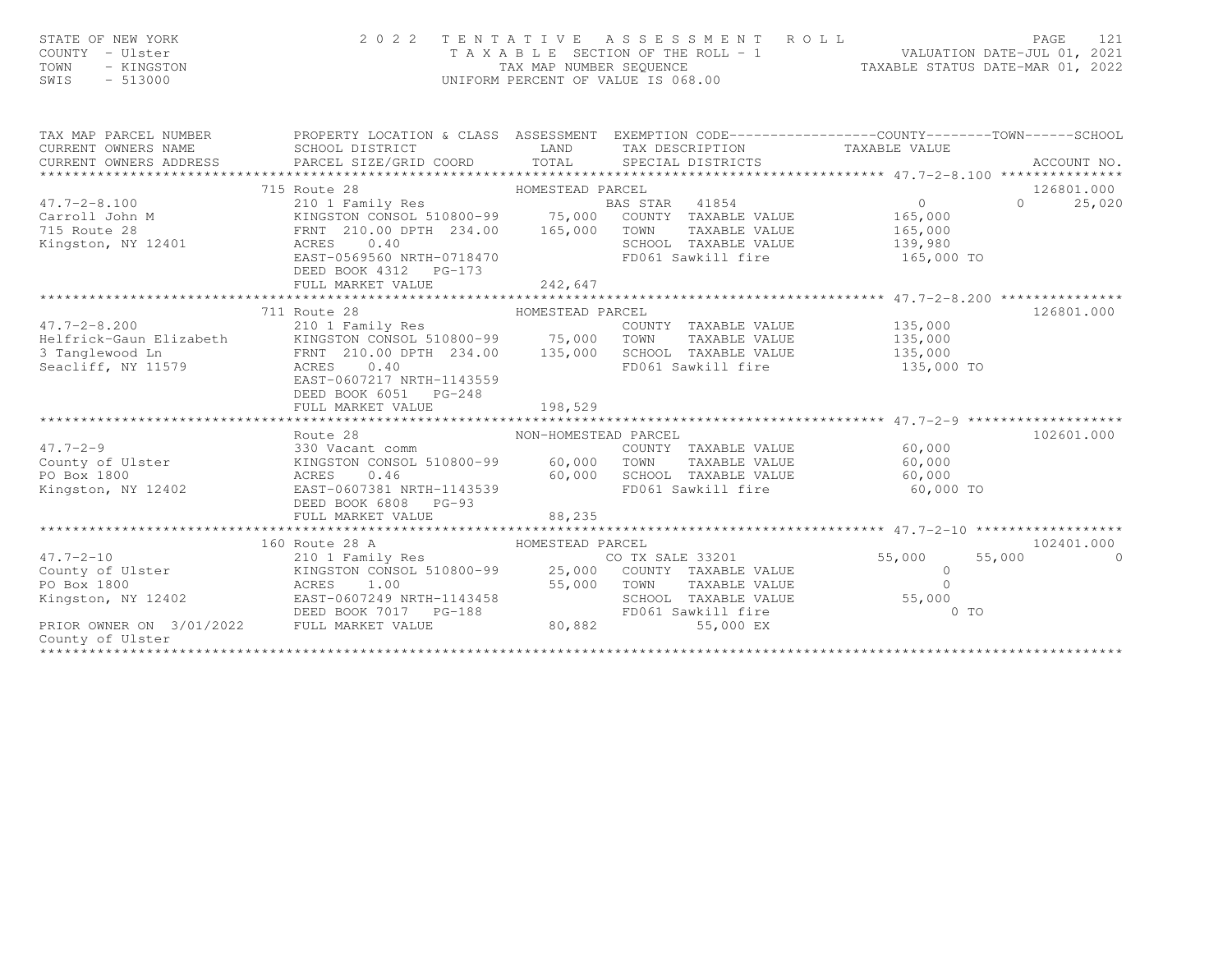| PROPERTY LOCATION & CLASS ASSESSMENT EXEMPTION CODE----------------COUNTY-------TOWN-----SCHOOL<br>TAX MAP PARCEL NUMBER<br>CURRENT OWNERS NAME<br>LAND<br>TAXABLE VALUE<br>SCHOOL DISTRICT<br>TAX DESCRIPTION<br>PARCEL SIZE/GRID COORD<br>TOTAL<br>CURRENT OWNERS ADDRESS<br>SPECIAL DISTRICTS<br>ACCOUNT NO. | T A X A B L E SECTION OF THE ROLL - 1 VALUATION DATE-JUL 01, 2021<br>TAX MAP NUMBER SEQUENCE TAXABLE STATUS DATE-MAR 01, 2022 |
|-----------------------------------------------------------------------------------------------------------------------------------------------------------------------------------------------------------------------------------------------------------------------------------------------------------------|-------------------------------------------------------------------------------------------------------------------------------|
|                                                                                                                                                                                                                                                                                                                 |                                                                                                                               |
|                                                                                                                                                                                                                                                                                                                 |                                                                                                                               |
| 715 Route 28<br>126801.000<br>HOMESTEAD PARCEL                                                                                                                                                                                                                                                                  |                                                                                                                               |
| 210 1 Family Res<br>BAS STAR 41854<br>$47.7 - 2 - 8.100$<br>$\overline{0}$<br>$\bigcap$                                                                                                                                                                                                                         | 25,020                                                                                                                        |
| KINGSTON CONSOL 510800-99 75,000<br>COUNTY TAXABLE VALUE 165,000<br>Carroll John M                                                                                                                                                                                                                              |                                                                                                                               |
| 715 Route 28<br>FRNT 210.00 DPTH 234.00 165,000 TOWN<br>TAXABLE VALUE<br>165,000<br>139,980                                                                                                                                                                                                                     |                                                                                                                               |
| Kingston, NY 12401<br>ACRES<br>0.40<br>SCHOOL TAXABLE VALUE                                                                                                                                                                                                                                                     |                                                                                                                               |
| EAST-0569560 NRTH-0718470<br>FD061 Sawkill fire<br>165,000 TO<br>DEED BOOK 4312 PG-173                                                                                                                                                                                                                          |                                                                                                                               |
| FULL MARKET VALUE<br>242,647                                                                                                                                                                                                                                                                                    |                                                                                                                               |
| 711 Route 28<br>HOMESTEAD PARCEL<br>126801.000                                                                                                                                                                                                                                                                  |                                                                                                                               |
| $47.7 - 2 - 8.200$<br>210 1 Family Res<br>COUNTY TAXABLE VALUE<br>135,000                                                                                                                                                                                                                                       |                                                                                                                               |
| Helfrick-Gaun Elizabeth<br>135,000                                                                                                                                                                                                                                                                              |                                                                                                                               |
| EINGSTON CONSOL 510800-99 75,000 TOWN TAXABLE VALUE<br>FRNT 210.00 DPTH 234.00 135,000 SCHOOL TAXABLE VALUE<br>3 Tanglewood Ln<br>135,000                                                                                                                                                                       |                                                                                                                               |
| FD061 Sawkill fire<br>135,000 TO<br>Seacliff, NY 11579<br>ACRES<br>0.40<br>EAST-0607217 NRTH-1143559<br>DEED BOOK 6051 PG-248                                                                                                                                                                                   |                                                                                                                               |
| 198,529<br>FULL MARKET VALUE                                                                                                                                                                                                                                                                                    |                                                                                                                               |
| 102601.000<br>Route 28<br>NON-HOMESTEAD PARCEL                                                                                                                                                                                                                                                                  |                                                                                                                               |
| $47.7 - 2 - 9$<br>60,000<br>COUNTY TAXABLE VALUE                                                                                                                                                                                                                                                                |                                                                                                                               |
| 330 Vacant comm<br>KINGSTON CONSOL 510800-99 60,000<br>60,000 TOWN<br>60,000<br>County of Ulster<br>TAXABLE VALUE                                                                                                                                                                                               |                                                                                                                               |
| 0.46<br>60,000 SCHOOL TAXABLE VALUE<br>60,000<br>PO Box 1800<br>ACRES                                                                                                                                                                                                                                           |                                                                                                                               |
| EAST-0607381 NRTH-1143539<br>FD061 Sawkill fire<br>Kingston, NY 12402<br>60,000 TO<br>DEED BOOK 6808 PG-93                                                                                                                                                                                                      |                                                                                                                               |
| FULL MARKET VALUE<br>88,235                                                                                                                                                                                                                                                                                     |                                                                                                                               |
|                                                                                                                                                                                                                                                                                                                 |                                                                                                                               |
| HOMESTEAD PARCEL<br>160 Route 28 A<br>102401.000                                                                                                                                                                                                                                                                |                                                                                                                               |
| 210 1 Family Res<br>KINGSTON CONSOL 510800-99 25,0<br>$47.7 - 2 - 10$<br>CO TX SALE 33201<br>55,000<br>55,000                                                                                                                                                                                                   | $\cap$                                                                                                                        |
| County of Ulster<br>25,000 COUNTY TAXABLE VALUE<br>$\circ$<br>1.00<br>PO Box 1800<br>ACRES<br>55,000 TOWN<br>TAXABLE VALUE<br>$\Omega$                                                                                                                                                                          |                                                                                                                               |
| EAST-0607249 NRTH-1143458<br>SCHOOL TAXABLE VALUE<br>55,000<br>Kingston, NY 12402                                                                                                                                                                                                                               |                                                                                                                               |
| FD061 Sawkill fire<br>0 TO                                                                                                                                                                                                                                                                                      |                                                                                                                               |
| FULL MARKET VALUE<br>80,882<br>PRIOR OWNER ON 3/01/2022<br>55,000 EX<br>County of Ulster                                                                                                                                                                                                                        |                                                                                                                               |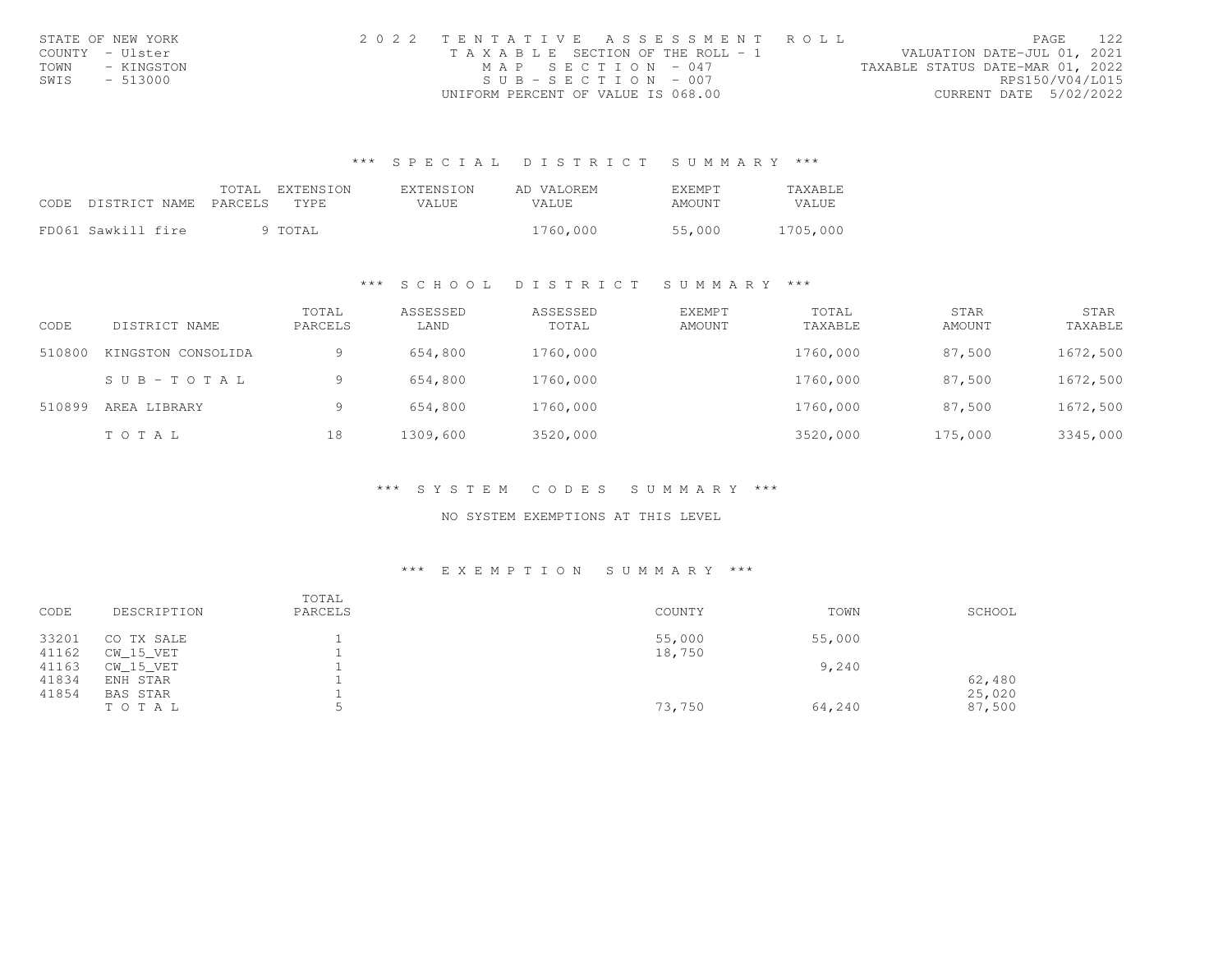| STATE OF NEW YORK  | 2022 TENTATIVE ASSESSMENT ROLL        | 122<br>PAGE.                     |
|--------------------|---------------------------------------|----------------------------------|
| COUNTY - Ulster    | T A X A B L E SECTION OF THE ROLL - 1 | VALUATION DATE-JUL 01, 2021      |
| TOWN<br>- KINGSTON | MAP SECTION - 047                     | TAXABLE STATUS DATE-MAR 01, 2022 |
| SWIS<br>- 513000   | $SUB - SECTION - 007$                 | RPS150/V04/L015                  |
|                    | UNIFORM PERCENT OF VALUE IS 068.00    | CURRENT DATE 5/02/2022           |

| CODE DISTRICT NAME PARCELS | TOTAL EXTENSION<br>TYPE. | <b>EXTENSION</b><br>VALUE. | AD VALOREM<br>VALUE. | <b>EXEMPT</b><br>AMOUNT | TAXABLE.<br>VALUE |
|----------------------------|--------------------------|----------------------------|----------------------|-------------------------|-------------------|
| FD061 Sawkill fire         | 9 TOTAL                  |                            | 1760,000             | 55,000                  | 1705,000          |

#### \*\*\* S C H O O L D I S T R I C T S U M M A R Y \*\*\*

| CODE   | DISTRICT NAME      | TOTAL<br>PARCELS | ASSESSED<br>LAND | ASSESSED<br>TOTAL | <b>EXEMPT</b><br>AMOUNT | TOTAL<br>TAXABLE | <b>STAR</b><br>AMOUNT | STAR<br>TAXABLE |
|--------|--------------------|------------------|------------------|-------------------|-------------------------|------------------|-----------------------|-----------------|
| 510800 | KINGSTON CONSOLIDA | Q                | 654,800          | 1760,000          |                         | 1760,000         | 87,500                | 1672,500        |
|        | SUB-TOTAL          | 9                | 654,800          | 1760,000          |                         | 1760,000         | 87,500                | 1672,500        |
| 510899 | AREA LIBRARY       | 9                | 654,800          | 1760,000          |                         | 1760,000         | 87,500                | 1672,500        |
|        | TOTAL              | 18               | 1309,600         | 3520,000          |                         | 3520,000         | 175,000               | 3345,000        |

\*\*\* S Y S T E M C O D E S S U M M A R Y \*\*\*

NO SYSTEM EXEMPTIONS AT THIS LEVEL

#### \*\*\* E X E M P T I O N S U M M A R Y \*\*\*

| DESCRIPTION | TOTAL<br>PARCELS | COUNTY | TOWN   | SCHOOL |
|-------------|------------------|--------|--------|--------|
| CO TX SALE  |                  | 55,000 | 55,000 |        |
| CW 15 VET   |                  | 18,750 |        |        |
| CW 15 VET   |                  |        | 9,240  |        |
| ENH STAR    |                  |        |        | 62,480 |
| BAS STAR    |                  |        |        | 25,020 |
| TOTAL       |                  | 73,750 | 64,240 | 87,500 |
|             |                  |        |        |        |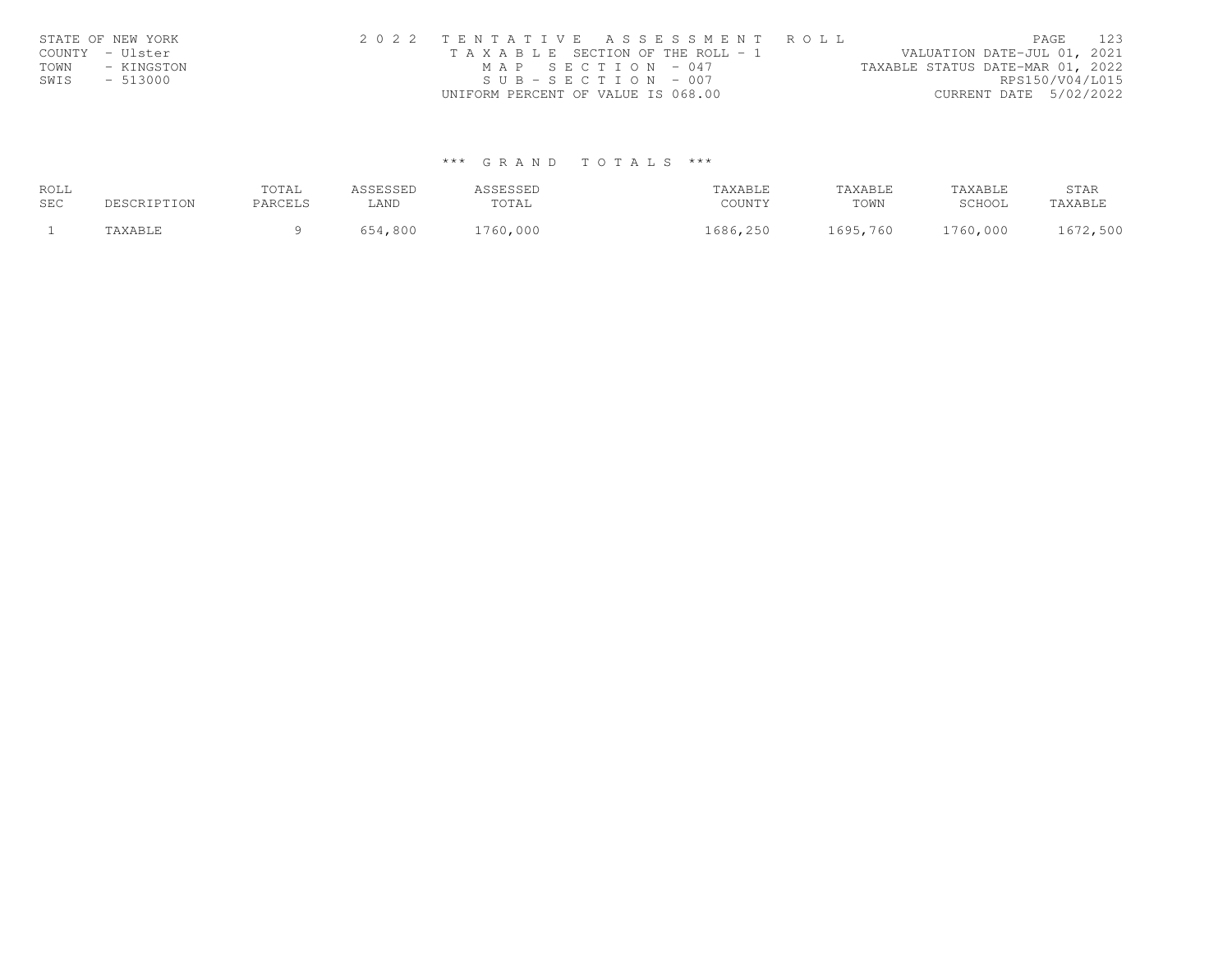| STATE OF NEW YORK  | 2022 TENTATIVE ASSESSMENT ROLL        | 12.3<br>PAGE.                    |
|--------------------|---------------------------------------|----------------------------------|
| COUNTY - Ulster    | T A X A B L E SECTION OF THE ROLL - 1 | VALUATION DATE-JUL 01, 2021      |
| TOWN<br>- KINGSTON | MAP SECTION - 047                     | TAXABLE STATUS DATE-MAR 01, 2022 |
| SWIS<br>- 513000   | SUB-SECTION - 007                     | RPS150/V04/L015                  |
|                    | UNIFORM PERCENT OF VALUE IS 068.00    | CURRENT DATE 5/02/2022           |

| ROLL<br><b>SEC</b> | 'SCRIPTION   | TOTAL<br>PARCELS | <b>CCLCCLL</b><br>LAND |             | TAXABLE<br>COUNTY                           | TAXABLE<br>TOWN | TAXABLE<br>SCHOOL | STAR<br>TAXABLE |
|--------------------|--------------|------------------|------------------------|-------------|---------------------------------------------|-----------------|-------------------|-----------------|
|                    | <b>AVART</b> |                  | . 800                  | 760<br>,000 | つちの<br>.686<br>$\mathbf{r} \sim \mathbf{0}$ | 1695,760        | 760<br>.000       | .672,500        |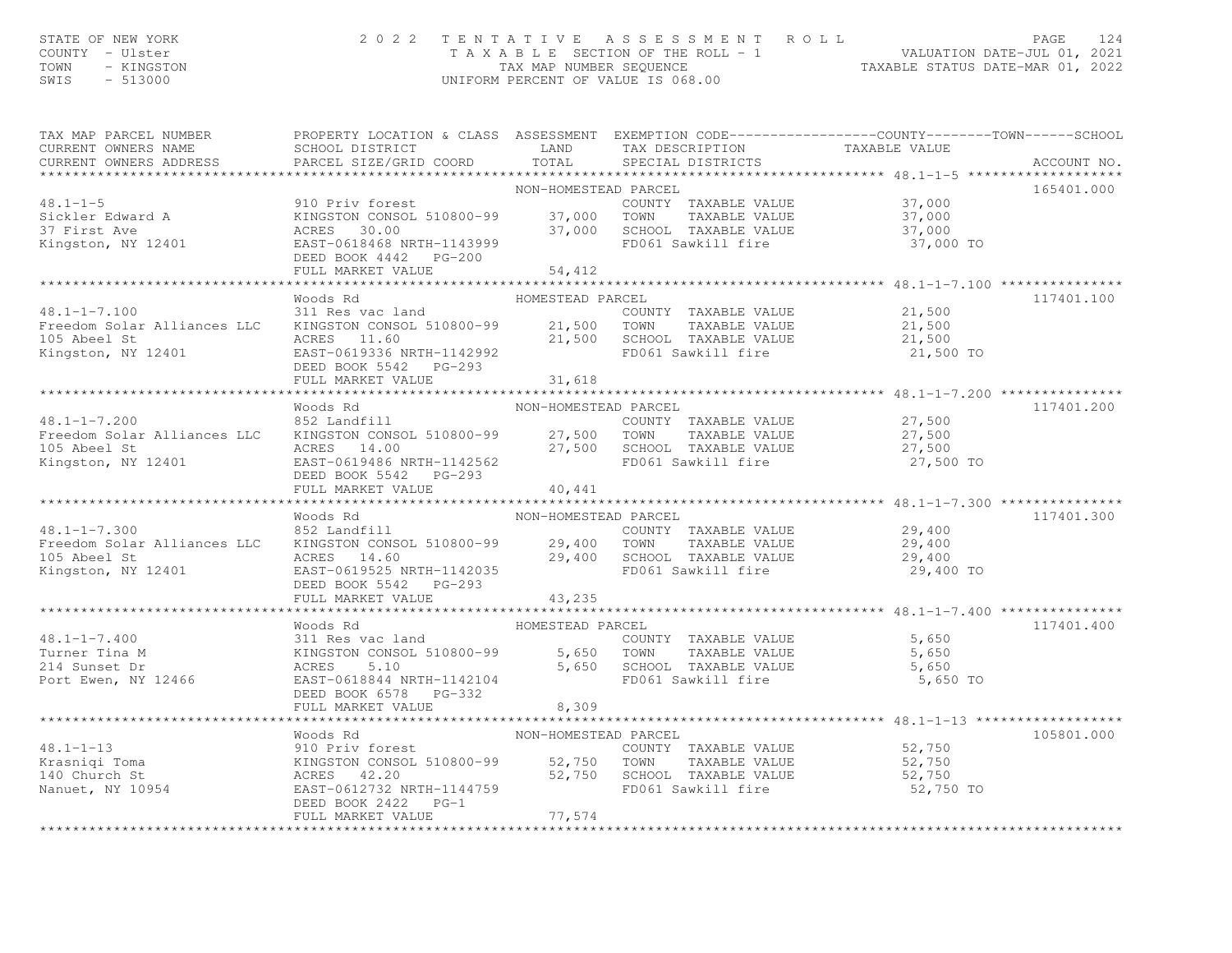### STATE OF NEW YORK 2 0 2 2 T E N T A T I V E A S S E S S M E N T R O L L PAGE 124 COUNTY - Ulster T A X A B L E SECTION OF THE ROLL - 1 VALUATION DATE-JUL 01, 2021 TOWN - KINGSTON TAX MAP NUMBER SEQUENCE TAXABLE STATUS DATE-MAR 01, 2022 SWIS - 513000 UNIFORM PERCENT OF VALUE IS 068.00

| TAX MAP PARCEL NUMBER                                                                                                                                                                                                                                  | PROPERTY LOCATION & CLASS ASSESSMENT EXEMPTION CODE----------------COUNTY-------TOWN------SCHOOL                                                                                                                                            |                      |                             |           |            |
|--------------------------------------------------------------------------------------------------------------------------------------------------------------------------------------------------------------------------------------------------------|---------------------------------------------------------------------------------------------------------------------------------------------------------------------------------------------------------------------------------------------|----------------------|-----------------------------|-----------|------------|
|                                                                                                                                                                                                                                                        |                                                                                                                                                                                                                                             |                      |                             |           |            |
|                                                                                                                                                                                                                                                        |                                                                                                                                                                                                                                             |                      |                             |           |            |
|                                                                                                                                                                                                                                                        |                                                                                                                                                                                                                                             | NON-HOMESTEAD PARCEL |                             |           | 165401.000 |
|                                                                                                                                                                                                                                                        |                                                                                                                                                                                                                                             |                      |                             |           |            |
|                                                                                                                                                                                                                                                        |                                                                                                                                                                                                                                             |                      |                             |           |            |
|                                                                                                                                                                                                                                                        |                                                                                                                                                                                                                                             |                      |                             |           |            |
| 48.1-1-5<br>Sickler Edward A<br>Sickler Edward A<br>Sickler Edward A<br>Sickler Edward A<br>Sickler Edward A<br>Sickler Edward A<br>Sickler Edward A<br>Sickler Edward A<br>Sickler Edward A<br>Sickler Edward A<br>Sickler Edward A<br>Sickler Sickle |                                                                                                                                                                                                                                             |                      |                             |           |            |
|                                                                                                                                                                                                                                                        | DEED BOOK 4442 PG-200                                                                                                                                                                                                                       |                      |                             |           |            |
|                                                                                                                                                                                                                                                        | FULL MARKET VALUE                                                                                                                                                                                                                           | 54,412               |                             |           |            |
|                                                                                                                                                                                                                                                        | Woods Rd<br>HOMESTEAD PARCEL                                                                                                                                                                                                                |                      |                             |           | 117401.100 |
|                                                                                                                                                                                                                                                        |                                                                                                                                                                                                                                             |                      |                             |           |            |
|                                                                                                                                                                                                                                                        |                                                                                                                                                                                                                                             |                      |                             |           |            |
|                                                                                                                                                                                                                                                        |                                                                                                                                                                                                                                             |                      |                             |           |            |
|                                                                                                                                                                                                                                                        |                                                                                                                                                                                                                                             |                      |                             |           |            |
|                                                                                                                                                                                                                                                        | DEED BOOK 5542 PG-293                                                                                                                                                                                                                       |                      |                             |           |            |
|                                                                                                                                                                                                                                                        | FULL MARKET VALUE 31,618                                                                                                                                                                                                                    |                      |                             |           |            |
|                                                                                                                                                                                                                                                        |                                                                                                                                                                                                                                             |                      |                             |           |            |
|                                                                                                                                                                                                                                                        | Woods Rd                                                                                                                                                                                                                                    | NON-HOMESTEAD PARCEL |                             |           | 117401.200 |
| $48.1 - 1 - 7.200$                                                                                                                                                                                                                                     | 852 Landfill                                                                                                                                                                                                                                |                      | COUNTY TAXABLE VALUE 27,500 |           |            |
| Freedom Solar Alliances LLC                                                                                                                                                                                                                            |                                                                                                                                                                                                                                             |                      |                             |           |            |
|                                                                                                                                                                                                                                                        |                                                                                                                                                                                                                                             |                      |                             |           |            |
| Freedom Solar Alliances<br>105 Abeel St<br>Kingston, NY 12401                                                                                                                                                                                          | VINGSTON CONSOL 510800-99<br>XINGSTON CONSOL 510800-99<br>27,500<br>27,500<br>27,500<br>27,500<br>EAST-0619486 NRTH-1142562<br>ERED BOOK 5542<br>PG-293<br>FD061 Sawkill fire<br>27,500<br>27,500<br>PD061 Sawkill fire<br>27,500<br>27,500 |                      |                             | 27,500 TO |            |
|                                                                                                                                                                                                                                                        | DEED BOOK 5542 PG-293                                                                                                                                                                                                                       |                      |                             |           |            |
|                                                                                                                                                                                                                                                        |                                                                                                                                                                                                                                             |                      |                             |           |            |
|                                                                                                                                                                                                                                                        |                                                                                                                                                                                                                                             |                      |                             |           |            |
|                                                                                                                                                                                                                                                        | woods Rd<br>852 Landfill MON-HOMESTEAD PARCEL                                                                                                                                                                                               |                      |                             |           | 117401.300 |
| $48.1 - 1 - 7.300$                                                                                                                                                                                                                                     |                                                                                                                                                                                                                                             |                      |                             |           |            |
| Freedom Solar Alliances LLC                                                                                                                                                                                                                            |                                                                                                                                                                                                                                             |                      |                             |           |            |
|                                                                                                                                                                                                                                                        |                                                                                                                                                                                                                                             |                      |                             |           |            |
| 105 Abeel St<br>Kingston, NY 12401                                                                                                                                                                                                                     | 852 Landfill<br>KINGSTON CONSOL 510800-99<br>29,400 TOWN TAXABLE VALUE 29,400<br>29,400 SCHOOL TAXABLE VALUE 29,400<br>EAST-0619525 NRTH-1142035<br>DEED BOOK 5542 PG-293<br>DEED BOOK 5542 PG-293                                          |                      |                             |           |            |
|                                                                                                                                                                                                                                                        | DEED BOOK 5542 PG-293                                                                                                                                                                                                                       |                      |                             |           |            |
|                                                                                                                                                                                                                                                        | FULL MARKET VALUE                                                                                                                                                                                                                           | 43,235               |                             |           |            |
|                                                                                                                                                                                                                                                        |                                                                                                                                                                                                                                             |                      |                             |           |            |
|                                                                                                                                                                                                                                                        |                                                                                                                                                                                                                                             |                      |                             |           | 117401.400 |
| $48.1 - 1 - 7.400$                                                                                                                                                                                                                                     |                                                                                                                                                                                                                                             |                      | COUNTY TAXABLE VALUE 5,650  |           |            |
|                                                                                                                                                                                                                                                        |                                                                                                                                                                                                                                             |                      |                             |           |            |
|                                                                                                                                                                                                                                                        |                                                                                                                                                                                                                                             |                      |                             |           |            |
|                                                                                                                                                                                                                                                        |                                                                                                                                                                                                                                             |                      |                             |           |            |
|                                                                                                                                                                                                                                                        | DEED BOOK 6578 PG-332                                                                                                                                                                                                                       |                      |                             |           |            |
|                                                                                                                                                                                                                                                        | FULL MARKET VALUE                                                                                                                                                                                                                           | 8,309                |                             |           |            |
|                                                                                                                                                                                                                                                        |                                                                                                                                                                                                                                             |                      |                             |           |            |
|                                                                                                                                                                                                                                                        | Woods Rd                                                                                                                                                                                                                                    | NON-HOMESTEAD PARCEL |                             |           | 105801.000 |
| $48.1 - 1 - 13$                                                                                                                                                                                                                                        | 910 Priv forest                                                                                                                                                                                                                             |                      | COUNTY TAXABLE VALUE 52,750 |           |            |
|                                                                                                                                                                                                                                                        |                                                                                                                                                                                                                                             |                      |                             |           |            |
| Krasniqi Toma<br>140 Church St<br>"                                                                                                                                                                                                                    | EXAMPLE VALUE<br>EXAMPLE VALUE<br>ACRES 42.20 52,750 52,750 SCHOOL TAXABLE VALUE<br>EAST-0612732 NRTH-1144759 FD061 Sawkill fire 52,750<br>ENTERN 2007 2422 PC 1                                                                            |                      |                             |           |            |
| Nanuet, NY 10954                                                                                                                                                                                                                                       |                                                                                                                                                                                                                                             |                      |                             | 52,750 TO |            |
|                                                                                                                                                                                                                                                        | DEED BOOK 2422 PG-1                                                                                                                                                                                                                         |                      |                             |           |            |
|                                                                                                                                                                                                                                                        | FULL MARKET VALUE                                                                                                                                                                                                                           | 77,574               |                             |           |            |

\*\*\*\*\*\*\*\*\*\*\*\*\*\*\*\*\*\*\*\*\*\*\*\*\*\*\*\*\*\*\*\*\*\*\*\*\*\*\*\*\*\*\*\*\*\*\*\*\*\*\*\*\*\*\*\*\*\*\*\*\*\*\*\*\*\*\*\*\*\*\*\*\*\*\*\*\*\*\*\*\*\*\*\*\*\*\*\*\*\*\*\*\*\*\*\*\*\*\*\*\*\*\*\*\*\*\*\*\*\*\*\*\*\*\*\*\*\*\*\*\*\*\*\*\*\*\*\*\*\*\*\*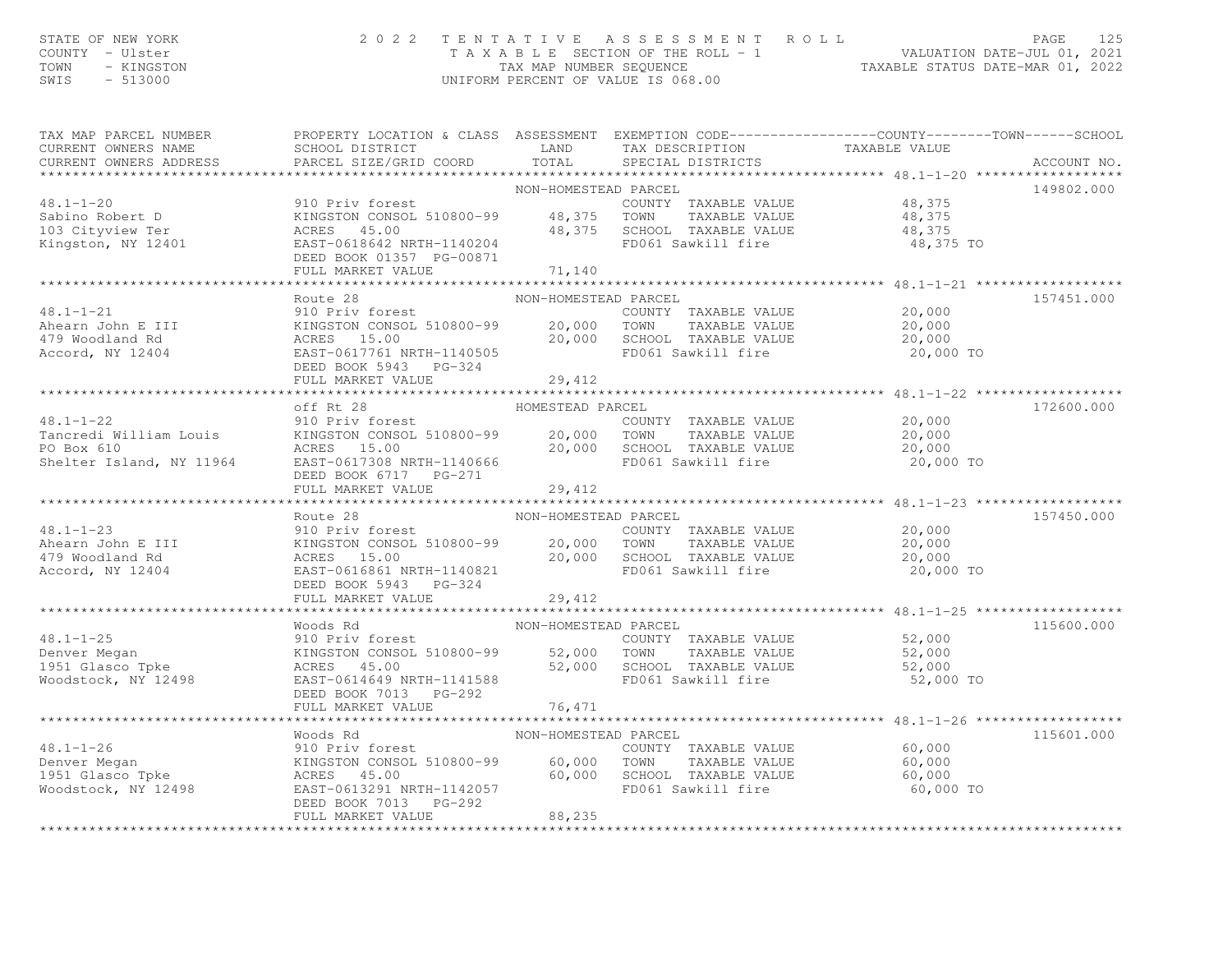# STATE OF NEW YORK PAGE 125<br>COUNTY - Ulster (2008) TAXABLE SECTION OF THE ROLL - 1 (NALUATION DATE-JUL 01, 2021<br>TAXABLE SECTION OF THE ROLL - 1 (NALUATION DATE-JUL 01, 2021<br>SWIS - 513000 (INTFORM PERCENT OF VALUE TS 068.00)

| TAX MAP PARCEL NUMBER<br>CURRENT OWNERS NAME<br>CURRENT OWNERS ADDRESS                                                                                                                                                                                 | PROPERTY LOCATION & CLASS ASSESSMENT EXEMPTION CODE----------------COUNTY-------TOWN------SCHOOL<br>SCHOOL DISTRICT LAND<br>PARCEL SIZE/GRID COORD                                     | TOTAL                | TAX DESCRIPTION TAXABLE VALUE<br>SPECIAL DISTRICTS                 |                     | ACCOUNT NO. |
|--------------------------------------------------------------------------------------------------------------------------------------------------------------------------------------------------------------------------------------------------------|----------------------------------------------------------------------------------------------------------------------------------------------------------------------------------------|----------------------|--------------------------------------------------------------------|---------------------|-------------|
|                                                                                                                                                                                                                                                        |                                                                                                                                                                                        |                      |                                                                    |                     |             |
|                                                                                                                                                                                                                                                        |                                                                                                                                                                                        | NON-HOMESTEAD PARCEL |                                                                    |                     | 149802.000  |
| 48.1-1-20<br>Sabino Robert D<br>103 Cityview Ter (ALTERT SADE VALUE)<br>2000 EXAMPLE VALUE (ALTERT SADE VALUE)<br>2000 EXAMPLE VALUE (ALTERT SCHOOL TAXABLE VALUE)<br>2000 EXAMPLE VALUE (ASSEMBLE VALUE)<br>2000 EXAMPLE VALUE (ASSEMBLE              | 910 Priv forest COUNTY<br>KINGSTON CONSOL 510800-99 48,375 TOWN                                                                                                                        |                      |                                                                    |                     |             |
|                                                                                                                                                                                                                                                        |                                                                                                                                                                                        |                      |                                                                    |                     |             |
|                                                                                                                                                                                                                                                        |                                                                                                                                                                                        |                      |                                                                    |                     |             |
|                                                                                                                                                                                                                                                        |                                                                                                                                                                                        |                      |                                                                    |                     |             |
|                                                                                                                                                                                                                                                        | DEED BOOK 01357 PG-00871                                                                                                                                                               |                      |                                                                    |                     |             |
|                                                                                                                                                                                                                                                        | FULL MARKET VALUE                                                                                                                                                                      | 71,140               |                                                                    |                     |             |
|                                                                                                                                                                                                                                                        |                                                                                                                                                                                        |                      |                                                                    |                     |             |
|                                                                                                                                                                                                                                                        | Route 28                                                                                                                                                                               | NON-HOMESTEAD PARCEL |                                                                    |                     | 157451.000  |
| $48.1 - 1 - 21$                                                                                                                                                                                                                                        | 910 Priv forest                                                                                                                                                                        |                      | COUNTY TAXABLE VALUE 20,000                                        |                     |             |
|                                                                                                                                                                                                                                                        |                                                                                                                                                                                        | 20,000 TOWN          |                                                                    |                     |             |
|                                                                                                                                                                                                                                                        |                                                                                                                                                                                        |                      |                                                                    |                     |             |
|                                                                                                                                                                                                                                                        |                                                                                                                                                                                        |                      | 20,000 SCHOOL TAXABLE VALUE 20,000<br>FD061 Sawkill fire 20,000 TO |                     |             |
|                                                                                                                                                                                                                                                        | DEED BOOK 5943 PG-324                                                                                                                                                                  |                      |                                                                    |                     |             |
|                                                                                                                                                                                                                                                        | FULL MARKET VALUE                                                                                                                                                                      | 29,412               |                                                                    |                     |             |
|                                                                                                                                                                                                                                                        |                                                                                                                                                                                        |                      |                                                                    |                     |             |
|                                                                                                                                                                                                                                                        | off Rt 28                                                                                                                                                                              | HOMESTEAD PARCEL     |                                                                    |                     | 172600.000  |
| $48.1 - 1 - 22$                                                                                                                                                                                                                                        | 910 Priv forest                                                                                                                                                                        |                      | COUNTY TAXABLE VALUE                                               | 20,000              |             |
|                                                                                                                                                                                                                                                        |                                                                                                                                                                                        |                      |                                                                    | 20,000              |             |
| Tancredi William Louis<br>PO Box 610<br>Shelter Island, NY 11964                                                                                                                                                                                       |                                                                                                                                                                                        |                      |                                                                    | 20,000              |             |
|                                                                                                                                                                                                                                                        | XINGSTON CONSOL 510800-99<br>ACRES 15.00 20,000 TOWN TAXABLE VALUE<br>ACRES 15.00 20,000 SCHOOL TAXABLE VALUE<br>EAST-0617308 NRTH-1140666 FD061 Sawkill fire<br>PERD BOOK 6717 PG-271 |                      |                                                                    | 20,000 TO           |             |
|                                                                                                                                                                                                                                                        |                                                                                                                                                                                        |                      |                                                                    |                     |             |
|                                                                                                                                                                                                                                                        | FULL MARKET VALUE                                                                                                                                                                      | 29,412               |                                                                    |                     |             |
|                                                                                                                                                                                                                                                        |                                                                                                                                                                                        | NON-HOMESTEAD PARCEL |                                                                    |                     | 157450.000  |
|                                                                                                                                                                                                                                                        |                                                                                                                                                                                        |                      |                                                                    | $\frac{20,000}{20}$ |             |
|                                                                                                                                                                                                                                                        |                                                                                                                                                                                        |                      | COUNTY TAXABLE VALUE<br>TOWN TAXABLE VALUE                         |                     |             |
|                                                                                                                                                                                                                                                        |                                                                                                                                                                                        |                      |                                                                    | 20,000              |             |
|                                                                                                                                                                                                                                                        |                                                                                                                                                                                        |                      | 20,000 SCHOOL TAXABLE VALUE<br>FD061 Sawkill fire                  | 20,000 TO           |             |
| NON-HOMESTEAD PAR( NON-HOMESTEAD PAR( 20,000 TOWN 20,000 SCHOC<br>20,000 SCHOC<br>Accord, NY 12404<br>Accord, NY 12404<br>Accord<br>20,000 SCHOC<br>20,000 SCHOC<br>20,000 SCHOC<br>20,000 SCHOC<br>20,000 SCHOC<br>20,000 SCHOC<br>20,000 SCHOC<br>20 | DEED BOOK 5943 PG-324                                                                                                                                                                  |                      |                                                                    |                     |             |
|                                                                                                                                                                                                                                                        | FULL MARKET VALUE                                                                                                                                                                      | 29,412               |                                                                    |                     |             |
|                                                                                                                                                                                                                                                        |                                                                                                                                                                                        |                      |                                                                    |                     |             |
|                                                                                                                                                                                                                                                        | Woods Rd                                                                                                                                                                               | NON-HOMESTEAD PARCEL |                                                                    |                     | 115600.000  |
| $48.1 - 1 - 25$                                                                                                                                                                                                                                        | 910 Priv forest                                                                                                                                                                        |                      | COUNTY TAXABLE VALUE 52,000                                        |                     |             |
|                                                                                                                                                                                                                                                        |                                                                                                                                                                                        |                      |                                                                    |                     |             |
| 48.1-1-25 910 Pr<br>Denver Megan KINGSI<br>1951 Glasco Tpke ACRES                                                                                                                                                                                      |                                                                                                                                                                                        |                      |                                                                    |                     |             |
| Woodstock, NY 12498                                                                                                                                                                                                                                    | XINGSTON CONSOL 510800-99 52,000 TOWN TAXABLE VALUE 52,000<br>ACRES 45.00 52,000 5CHOOL TAXABLE VALUE 52,000<br>EAST-0614649 NRTH-1141588 FD061 Sawkill fire 52,000                    |                      |                                                                    | 52,000 TO           |             |
|                                                                                                                                                                                                                                                        | DEED BOOK 7013 PG-292                                                                                                                                                                  |                      |                                                                    |                     |             |
|                                                                                                                                                                                                                                                        | FULL MARKET VALUE                                                                                                                                                                      | 76,471               |                                                                    |                     |             |
|                                                                                                                                                                                                                                                        |                                                                                                                                                                                        |                      |                                                                    |                     |             |
|                                                                                                                                                                                                                                                        | Woods Rd                                                                                                                                                                               | NON-HOMESTEAD PARCEL |                                                                    |                     | 115601.000  |
|                                                                                                                                                                                                                                                        | 910 Priv forest                                                                                                                                                                        |                      |                                                                    |                     |             |
|                                                                                                                                                                                                                                                        | KINGSTON CONSOL 510800-99 60,000 TOWN                                                                                                                                                  |                      | COUNTY TAXABLE VALUE 60,000<br>TOWN TAXABLE VALUE 60,000           |                     |             |
|                                                                                                                                                                                                                                                        | ACRES 45.00                                                                                                                                                                            | 60,000               |                                                                    | 60,000              |             |
| 48.1–1–26<br>Denver Megan<br>1951 Glasco Tpke<br>Woodstock, NY 12498                                                                                                                                                                                   | EAST-0613291 NRTH-1142057                                                                                                                                                              |                      | SCHOOL TAXABLE VALUE<br>FD061 Sawkill fire                         | 60,000 TO           |             |
|                                                                                                                                                                                                                                                        | DEED BOOK 7013 PG-292                                                                                                                                                                  |                      |                                                                    |                     |             |
|                                                                                                                                                                                                                                                        | FULL MARKET VALUE                                                                                                                                                                      | 88,235               |                                                                    |                     |             |
|                                                                                                                                                                                                                                                        |                                                                                                                                                                                        |                      |                                                                    |                     |             |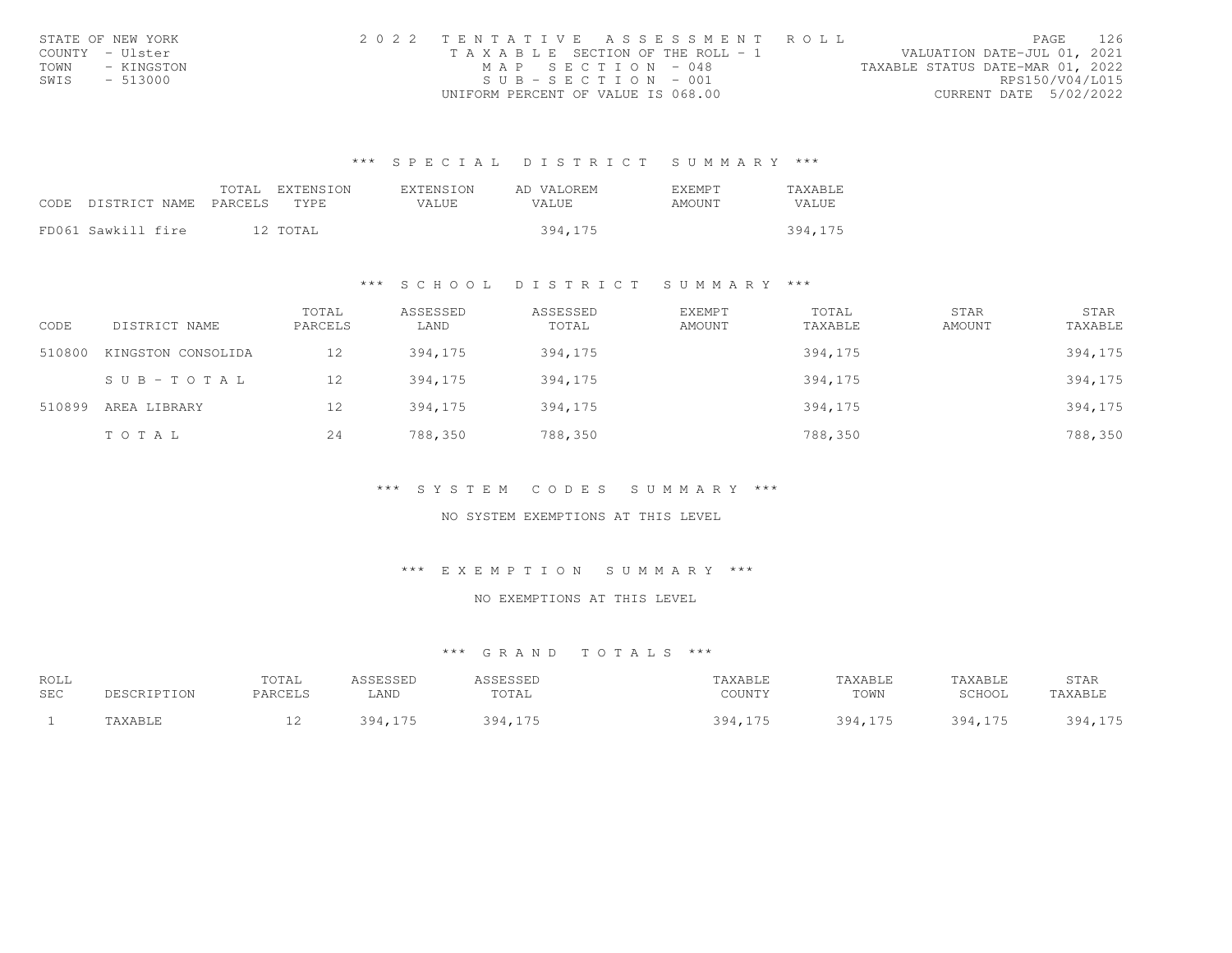| STATE OF NEW YORK  | 2022 TENTATIVE ASSESSMENT ROLL        | 12.6<br>PAGE.                    |
|--------------------|---------------------------------------|----------------------------------|
| COUNTY - Ulster    | T A X A B L E SECTION OF THE ROLL - 1 | VALUATION DATE-JUL 01, 2021      |
| TOWN<br>- KINGSTON | MAP SECTION - 048                     | TAXABLE STATUS DATE-MAR 01, 2022 |
| SWIS<br>- 513000   | $SUB - SECTION - 001$                 | RPS150/V04/L015                  |
|                    | UNIFORM PERCENT OF VALUE IS 068.00    | CURRENT DATE 5/02/2022           |

| CODE DISTRICT NAME PARCELS | TOTAL EXTENSION<br>TYPE. | EXTENSION<br>VALUE. | AD VALOREM<br>VALUE. | <b>EXEMPT</b><br>AMOUNT | TAXABLE<br>VALUE |
|----------------------------|--------------------------|---------------------|----------------------|-------------------------|------------------|
| FD061 Sawkill fire         | 12 TOTAL                 |                     | 394,175              |                         | 394,175          |

#### \*\*\* S C H O O L D I S T R I C T S U M M A R Y \*\*\*

| CODE   | DISTRICT NAME      | TOTAL<br>PARCELS | ASSESSED<br>LAND | ASSESSED<br>TOTAL | <b>EXEMPT</b><br>AMOUNT | TOTAL<br>TAXABLE | STAR<br>AMOUNT | STAR<br>TAXABLE |
|--------|--------------------|------------------|------------------|-------------------|-------------------------|------------------|----------------|-----------------|
| 510800 | KINGSTON CONSOLIDA | 12               | 394,175          | 394,175           |                         | 394,175          |                | 394,175         |
|        | SUB-TOTAL          | 12               | 394,175          | 394,175           |                         | 394,175          |                | 394,175         |
| 510899 | AREA LIBRARY       | 12               | 394,175          | 394,175           |                         | 394,175          |                | 394,175         |
|        | TOTAL              | 24               | 788,350          | 788,350           |                         | 788,350          |                | 788,350         |

\*\*\* S Y S T E M C O D E S S U M M A R Y \*\*\*

NO SYSTEM EXEMPTIONS AT THIS LEVEL

\*\*\* E X E M P T I O N S U M M A R Y \*\*\*

#### NO EXEMPTIONS AT THIS LEVEL

| ROLL |                       | TOTAL   | ASSESSED | ASSESSED | TAXABLE | TAXABLE | TAXABLE | STAR    |
|------|-----------------------|---------|----------|----------|---------|---------|---------|---------|
| SEC  | DESCRIPTION           | PARCELS | LAND     | TOTAL    | COUNTY  | TOWN    | SCHOOL  | TAXABLE |
|      | <b><i>TAXABLE</i></b> | ∸∸      | 394.175  | 394,175  | 394,175 | 394,175 | 394,175 | 394,175 |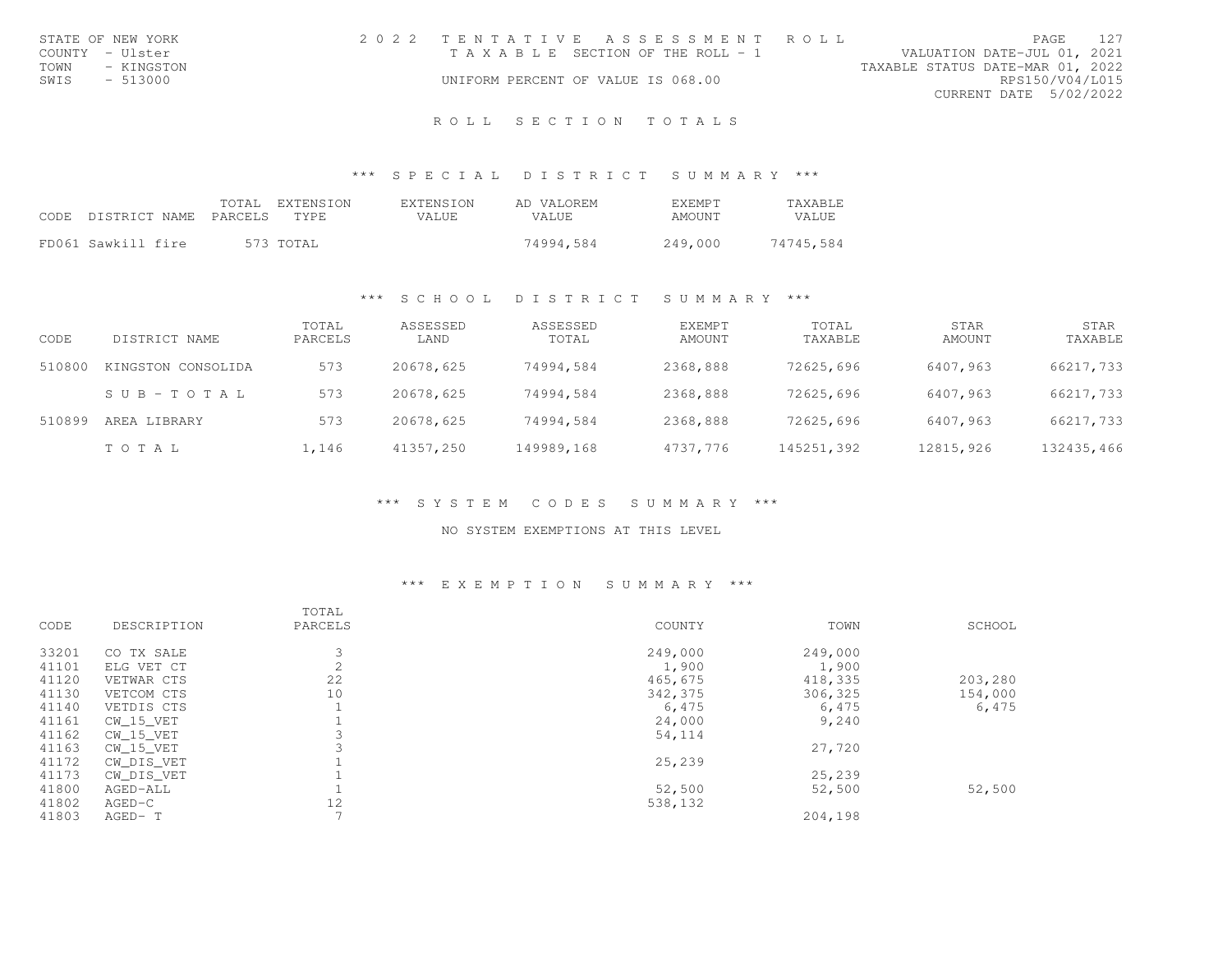| STATE OF NEW YORK  | 2022 TENTATIVE ASSESSMENT ROLL        |  |                                  |                        | PAGE | 12.7 |
|--------------------|---------------------------------------|--|----------------------------------|------------------------|------|------|
| COUNTY - Ulster    | T A X A B L E SECTION OF THE ROLL - 1 |  | VALUATION DATE-JUL 01, 2021      |                        |      |      |
| TOWN<br>- KINGSTON |                                       |  | TAXABLE STATUS DATE-MAR 01, 2022 |                        |      |      |
| SWIS<br>$-513000$  | UNIFORM PERCENT OF VALUE IS 068.00    |  |                                  | RPS150/V04/L015        |      |      |
|                    |                                       |  |                                  | CURRENT DATE 5/02/2022 |      |      |

#### ROLL SECTION TOTALS

#### \*\*\* S P E C I A L D I S T R I C T S U M M A R Y \*\*\*

| CODE DISTRICT NAME PARCELS | TOTAL EXTENSION<br>TYPF. | EXTENSION<br>VALUE. | AD VALOREM<br>VALUE. | <b>F.XFMPT</b><br>AMOUNT | TAXABLE<br>VALUE |
|----------------------------|--------------------------|---------------------|----------------------|--------------------------|------------------|
| FD061 Sawkill fire         | 573 TOTAL                |                     | 74994.584            | 249,000                  | 74745.584        |

#### \*\*\* S C H O O L D I S T R I C T S U M M A R Y \*\*\*

| CODE   | DISTRICT NAME      | TOTAL<br>PARCELS | ASSESSED<br>LAND | ASSESSED<br>TOTAL | <b>EXEMPT</b><br>AMOUNT | TOTAL<br>TAXABLE | STAR<br>AMOUNT | STAR<br>TAXABLE |
|--------|--------------------|------------------|------------------|-------------------|-------------------------|------------------|----------------|-----------------|
| 510800 | KINGSTON CONSOLIDA | 573              | 20678,625        | 74994,584         | 2368,888                | 72625,696        | 6407,963       | 66217,733       |
|        | SUB-TOTAL          | 573              | 20678,625        | 74994,584         | 2368,888                | 72625,696        | 6407,963       | 66217,733       |
| 510899 | AREA LIBRARY       | 573              | 20678,625        | 74994.584         | 2368,888                | 72625,696        | 6407,963       | 66217,733       |
|        | TOTAL              | 1,146            | 41357,250        | 149989,168        | 4737,776                | 145251,392       | 12815,926      | 132435,466      |

#### \*\*\* S Y S T E M C O D E S S U M M A R Y \*\*\*

#### NO SYSTEM EXEMPTIONS AT THIS LEVEL

#### \*\*\* E X E M P T I O N S U M M A R Y \*\*\*

|       |             | TOTAL   |         |         |         |
|-------|-------------|---------|---------|---------|---------|
| CODE  | DESCRIPTION | PARCELS | COUNTY  | TOWN    | SCHOOL  |
| 33201 | CO TX SALE  | 3       | 249,000 | 249,000 |         |
| 41101 | ELG VET CT  |         | 1,900   | 1,900   |         |
| 41120 | VETWAR CTS  | 22      | 465,675 | 418,335 | 203,280 |
| 41130 | VETCOM CTS  | 10      | 342,375 | 306,325 | 154,000 |
| 41140 | VETDIS CTS  |         | 6,475   | 6,475   | 6,475   |
| 41161 | CW 15 VET   |         | 24,000  | 9,240   |         |
| 41162 | CW 15 VET   |         | 54,114  |         |         |
| 41163 | $CW_15_VET$ |         |         | 27,720  |         |
| 41172 | CW DIS VET  |         | 25,239  |         |         |
| 41173 | CW DIS VET  |         |         | 25,239  |         |
| 41800 | AGED-ALL    |         | 52,500  | 52,500  | 52,500  |
| 41802 | $AGED-C$    | 12      | 538,132 |         |         |
| 41803 | AGED-T      |         |         | 204,198 |         |
|       |             |         |         |         |         |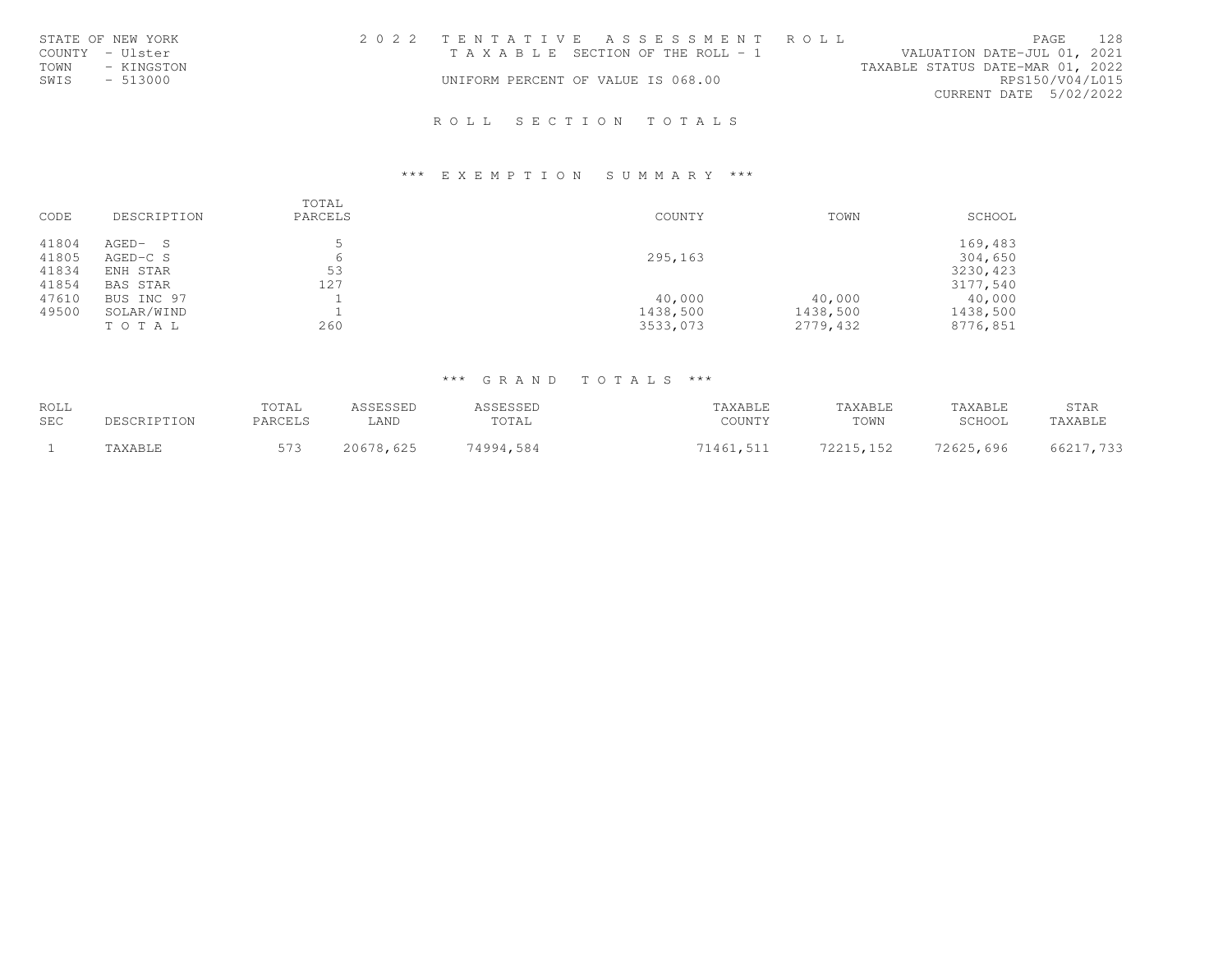| STATE OF NEW YORK  | 2022 TENTATIVE ASSESSMENT ROLL        |  |                                  | PAGE                        | 128 |
|--------------------|---------------------------------------|--|----------------------------------|-----------------------------|-----|
| COUNTY - Ulster    | T A X A B L E SECTION OF THE ROLL - 1 |  |                                  | VALUATION DATE-JUL 01, 2021 |     |
| TOWN<br>- KINGSTON |                                       |  | TAXABLE STATUS DATE-MAR 01, 2022 |                             |     |
| $-513000$<br>SWIS  | UNIFORM PERCENT OF VALUE IS 068.00    |  |                                  | RPS150/V04/L015             |     |
|                    |                                       |  |                                  | CURRENT DATE 5/02/2022      |     |

### R O L L S E C T I O N T O T A L S

### \*\*\* E X E M P T I O N S U M M A R Y \*\*\*

| CODE  | DESCRIPTION | TOTAL<br>PARCELS | COUNTY   | TOWN     | SCHOOL   |
|-------|-------------|------------------|----------|----------|----------|
| 41804 | AGED-S      | п.               |          |          | 169,483  |
| 41805 | AGED-C S    | 6                | 295,163  |          | 304,650  |
| 41834 | ENH STAR    | 53               |          |          | 3230,423 |
| 41854 | BAS STAR    | 127              |          |          | 3177,540 |
| 47610 | BUS INC 97  |                  | 40,000   | 40,000   | 40,000   |
| 49500 | SOLAR/WIND  |                  | 1438,500 | 1438,500 | 1438,500 |
|       | TOTAL       | 260              | 3533,073 | 2779,432 | 8776,851 |

| ROLL |             | TOTAL   | ASSESSED  | ASSESSED  | TAXABLE   | TAXABLE   | TAXABLE   | STAR      |
|------|-------------|---------|-----------|-----------|-----------|-----------|-----------|-----------|
| SEC  | DESCRIPTION | PARCELS | LAND      | TOTAL     | COUNTY    | TOWN      | SCHOOL    | TAXABLE   |
|      | TAXABLE     | 573     | 20678,625 | 74994.584 | 71461,511 | 72215,152 | 72625,696 | 66217,733 |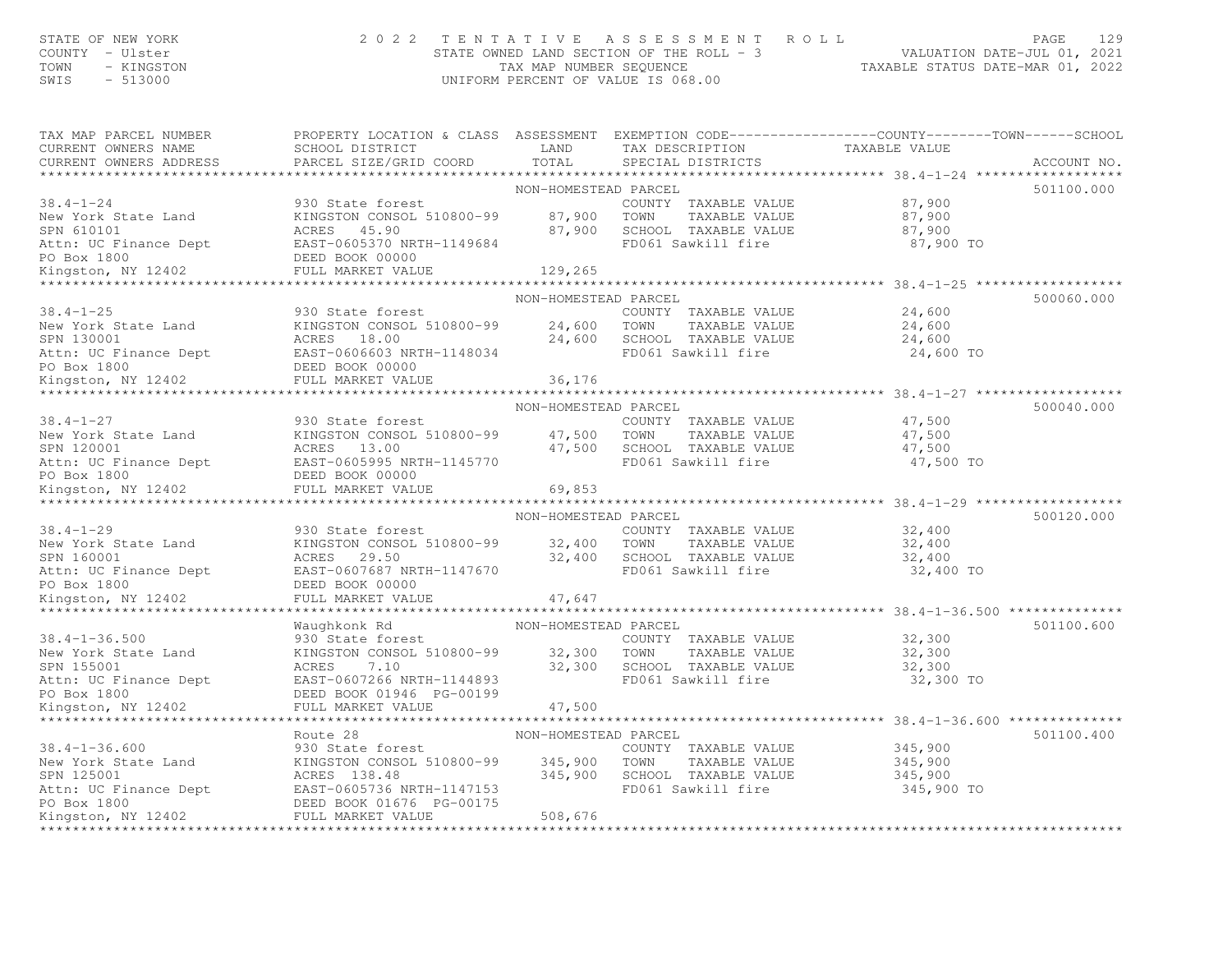# STATE OF NEW YORK CONTY - USE A Many of the Magnus of the Magnus of the Magnus of the Magnus of the Magnus of the STATE OWNED LAND SECTION OF THE ROLL - 3 (2010)<br>COUNTY - Ulster (2011) TAXABLE STATUR OF THE ROLL - 3 (2011)

| TAX MAP PARCEL NUMBER<br>CURRENT OWNERS NAME<br>CURRENT OWNERS ADDRESS                                                                                                                                                                                       | SCHOOL DISTRICT LAND<br>PARCEL SIZE/GRID COORD TOTAL                                                                            |                      | PROPERTY LOCATION & CLASS ASSESSMENT EXEMPTION CODE----------------COUNTY-------TOWN------SCHOOL<br>TAX DESCRIPTION TAXABLE VALUE SPECIAL DISTRICTS |                                                               | ACCOUNT NO. |
|--------------------------------------------------------------------------------------------------------------------------------------------------------------------------------------------------------------------------------------------------------------|---------------------------------------------------------------------------------------------------------------------------------|----------------------|-----------------------------------------------------------------------------------------------------------------------------------------------------|---------------------------------------------------------------|-------------|
|                                                                                                                                                                                                                                                              |                                                                                                                                 |                      |                                                                                                                                                     |                                                               |             |
|                                                                                                                                                                                                                                                              |                                                                                                                                 | NON-HOMESTEAD PARCEL |                                                                                                                                                     |                                                               | 501100.000  |
| 38.4-1-24<br>New York State Land<br>SPN 610101<br>SPN 610101<br>Attn: UC Finance Dept<br>PO Box 1800<br>EED BOOK 00000<br>EED BOOK 00000<br>EED BOOK 00000<br>EED BOOK 00000<br>EEL MARKET VALUE<br>FULL MARKET VALUE<br>FULL MARKET VALUE<br>FULL MARKE     |                                                                                                                                 |                      | st<br>L 510800-99 87,900 TOWN TAXABLE VALUE 87,900<br>ETH-1149684 87,900 SCHOOL TAXABLE VALUE 87,900<br>RTH-1149684 FD061 Sawkill fire 87,900 TO    |                                                               |             |
|                                                                                                                                                                                                                                                              | XINGSTON CONSOL 510800-99 87,900 TOWN                                                                                           |                      |                                                                                                                                                     |                                                               |             |
|                                                                                                                                                                                                                                                              |                                                                                                                                 |                      |                                                                                                                                                     |                                                               |             |
|                                                                                                                                                                                                                                                              |                                                                                                                                 |                      |                                                                                                                                                     |                                                               |             |
|                                                                                                                                                                                                                                                              |                                                                                                                                 |                      |                                                                                                                                                     |                                                               |             |
|                                                                                                                                                                                                                                                              |                                                                                                                                 | 129,265              |                                                                                                                                                     |                                                               |             |
|                                                                                                                                                                                                                                                              |                                                                                                                                 |                      |                                                                                                                                                     |                                                               |             |
|                                                                                                                                                                                                                                                              |                                                                                                                                 | NON-HOMESTEAD PARCEL | COUNTY TAXABLE VALUE<br>TOWN TAXABLE VALUE 24,600<br>TOWN TAXABLE VALUE 24,600<br>COUNTY TAXABLE VALUE 24,600                                       |                                                               | 500060.000  |
| $38.4 - 1 - 25$                                                                                                                                                                                                                                              | 930 State forest                                                                                                                |                      |                                                                                                                                                     |                                                               |             |
|                                                                                                                                                                                                                                                              |                                                                                                                                 |                      |                                                                                                                                                     |                                                               |             |
|                                                                                                                                                                                                                                                              |                                                                                                                                 |                      | 24,600 SCHOOL TAXABLE VALUE                                                                                                                         |                                                               |             |
|                                                                                                                                                                                                                                                              |                                                                                                                                 |                      | FD061 Sawkill fire                                                                                                                                  | 24,600 TO                                                     |             |
|                                                                                                                                                                                                                                                              |                                                                                                                                 |                      |                                                                                                                                                     |                                                               |             |
| 38.4-1-25<br>New York State Land<br>SPN 130001<br>SPN 130001<br>ACRES 18.00<br>Attn: UC Finance Dept<br>EAST-0606603 NRTH-1148034<br>PO Box 1800<br>EED BOOK 00000<br>EED BOOK 00000<br>EED BOOK 00000<br>EED BOOK 00000<br>EED BOOK 00000<br>EED BOOK 0     |                                                                                                                                 |                      |                                                                                                                                                     |                                                               |             |
|                                                                                                                                                                                                                                                              |                                                                                                                                 |                      |                                                                                                                                                     |                                                               |             |
|                                                                                                                                                                                                                                                              |                                                                                                                                 | NON-HOMESTEAD PARCEL |                                                                                                                                                     |                                                               | 500040.000  |
|                                                                                                                                                                                                                                                              |                                                                                                                                 |                      |                                                                                                                                                     |                                                               |             |
|                                                                                                                                                                                                                                                              |                                                                                                                                 |                      |                                                                                                                                                     |                                                               |             |
|                                                                                                                                                                                                                                                              |                                                                                                                                 |                      |                                                                                                                                                     |                                                               |             |
|                                                                                                                                                                                                                                                              |                                                                                                                                 |                      |                                                                                                                                                     |                                                               |             |
|                                                                                                                                                                                                                                                              |                                                                                                                                 |                      |                                                                                                                                                     |                                                               |             |
|                                                                                                                                                                                                                                                              |                                                                                                                                 |                      |                                                                                                                                                     |                                                               |             |
| 38.4-1-27<br>New York State Land KINGSTON CONSOL 510800-99<br>SPN 120001<br>SPN 120001<br>ERS 13.00<br>ERS 13.00<br>ERS 13.00<br>ERS 13.00<br>ERS 13.00<br>ERS 13.00<br>ERS 13.00<br>ERS 13.00<br>ERS 13.00<br>ERS 13.00<br>ERS 13.00<br>ERS                 |                                                                                                                                 |                      |                                                                                                                                                     |                                                               |             |
|                                                                                                                                                                                                                                                              |                                                                                                                                 | NON-HOMESTEAD PARCEL |                                                                                                                                                     |                                                               | 500120.000  |
|                                                                                                                                                                                                                                                              |                                                                                                                                 |                      | COUNTY TAXABLE VALUE 32,400<br>TOWN TAXABLE VALUE 32,400                                                                                            |                                                               |             |
|                                                                                                                                                                                                                                                              | KINGSTON CONSOL 510800-99 32,400 TOWN                                                                                           |                      |                                                                                                                                                     |                                                               |             |
|                                                                                                                                                                                                                                                              |                                                                                                                                 |                      |                                                                                                                                                     | 32,400                                                        |             |
|                                                                                                                                                                                                                                                              |                                                                                                                                 |                      | 32,400 SCHOOL TAXABLE VALUE<br>FD061 Sawkill fire                                                                                                   | 32,400 TO                                                     |             |
|                                                                                                                                                                                                                                                              |                                                                                                                                 |                      |                                                                                                                                                     |                                                               |             |
| 930 State forest<br>New York State Land<br>SPN 160001 RCRES 29.50<br>Attn: UC Finance Dept<br>PO Box 1800 BEED BOOK 00000<br>Kingston, NY 12402 FULL MARKET VALUE<br>THE MARKET VALUE<br>PO BOX 1800 FULL MARKET VALUE<br>THE MARKET VALUE<br>TH             |                                                                                                                                 | 47,647               |                                                                                                                                                     |                                                               |             |
|                                                                                                                                                                                                                                                              |                                                                                                                                 |                      |                                                                                                                                                     |                                                               |             |
|                                                                                                                                                                                                                                                              |                                                                                                                                 | NON-HOMESTEAD PARCEL |                                                                                                                                                     |                                                               | 501100.600  |
| $38.4 - 1 - 36.500$                                                                                                                                                                                                                                          | waughkonk Rd                             NON-HOMES'<br>930 State forest                                                         |                      | COUNTY TAXABLE VALUE 32,300                                                                                                                         |                                                               |             |
|                                                                                                                                                                                                                                                              |                                                                                                                                 |                      |                                                                                                                                                     |                                                               |             |
|                                                                                                                                                                                                                                                              | KINGSTON CONSOL 510800-99 32,300 TOWN TAXABLE VALUE 32,300<br>ACRES 7.10 32,300 SCHOOL TAXABLE VALUE 32,300                     |                      |                                                                                                                                                     |                                                               |             |
|                                                                                                                                                                                                                                                              | EAST-0607266 NRTH-1144893                                                                                                       |                      | FD061 Sawkill fire                                                                                                                                  | 32,300 TO                                                     |             |
|                                                                                                                                                                                                                                                              | DEED BOOK 01946 PG-00199                                                                                                        |                      |                                                                                                                                                     |                                                               |             |
| New York State Land<br>SPN 155001<br>Attn: UC Finance Dept<br>PO Box 1800<br>Kingston, NY 12402                                                                                                                                                              | FULL MARKET VALUE                                                                                                               | 47,500               |                                                                                                                                                     |                                                               |             |
|                                                                                                                                                                                                                                                              |                                                                                                                                 |                      |                                                                                                                                                     | ******************************* 38.4-1-36.600 *************** |             |
|                                                                                                                                                                                                                                                              | Route 28                                                                                                                        | NON-HOMESTEAD PARCEL |                                                                                                                                                     |                                                               | 501100.400  |
|                                                                                                                                                                                                                                                              | 930 State forest                                                                                                                |                      | COUNTY TAXABLE VALUE 345,900<br>TOWN TAXABLE VALUE 345,900                                                                                          |                                                               |             |
|                                                                                                                                                                                                                                                              |                                                                                                                                 |                      |                                                                                                                                                     |                                                               |             |
|                                                                                                                                                                                                                                                              | 930 State forest<br>KINGSTON CONSOL 510800-99 345,900 TOWN<br>ACRES 138.48 345,900 SCHOOL<br>EAST-0605736 NRTH-1147153 FD061 Sa |                      | SCHOOL TAXABLE VALUE                                                                                                                                | 345,900                                                       |             |
|                                                                                                                                                                                                                                                              |                                                                                                                                 |                      | FD061 Sawkill fire                                                                                                                                  | 345,900 TO                                                    |             |
|                                                                                                                                                                                                                                                              |                                                                                                                                 |                      |                                                                                                                                                     |                                                               |             |
| 38.4-1-36.600<br>New York State Land<br>SPN 125001<br>SPN 125001<br>Attn: UC Finance Dept<br>20 Box 1800<br>20 Box 1800<br>20 Box 1800<br>20 Box 1800<br>20 BOX 1800<br>20 BOX 1800<br>20 BOX 1800<br>20 BOX 1800<br>20 BOX 1800<br>20 BOX 1800<br>20 BOX 18 |                                                                                                                                 | 508,676              |                                                                                                                                                     |                                                               |             |
|                                                                                                                                                                                                                                                              |                                                                                                                                 |                      |                                                                                                                                                     |                                                               |             |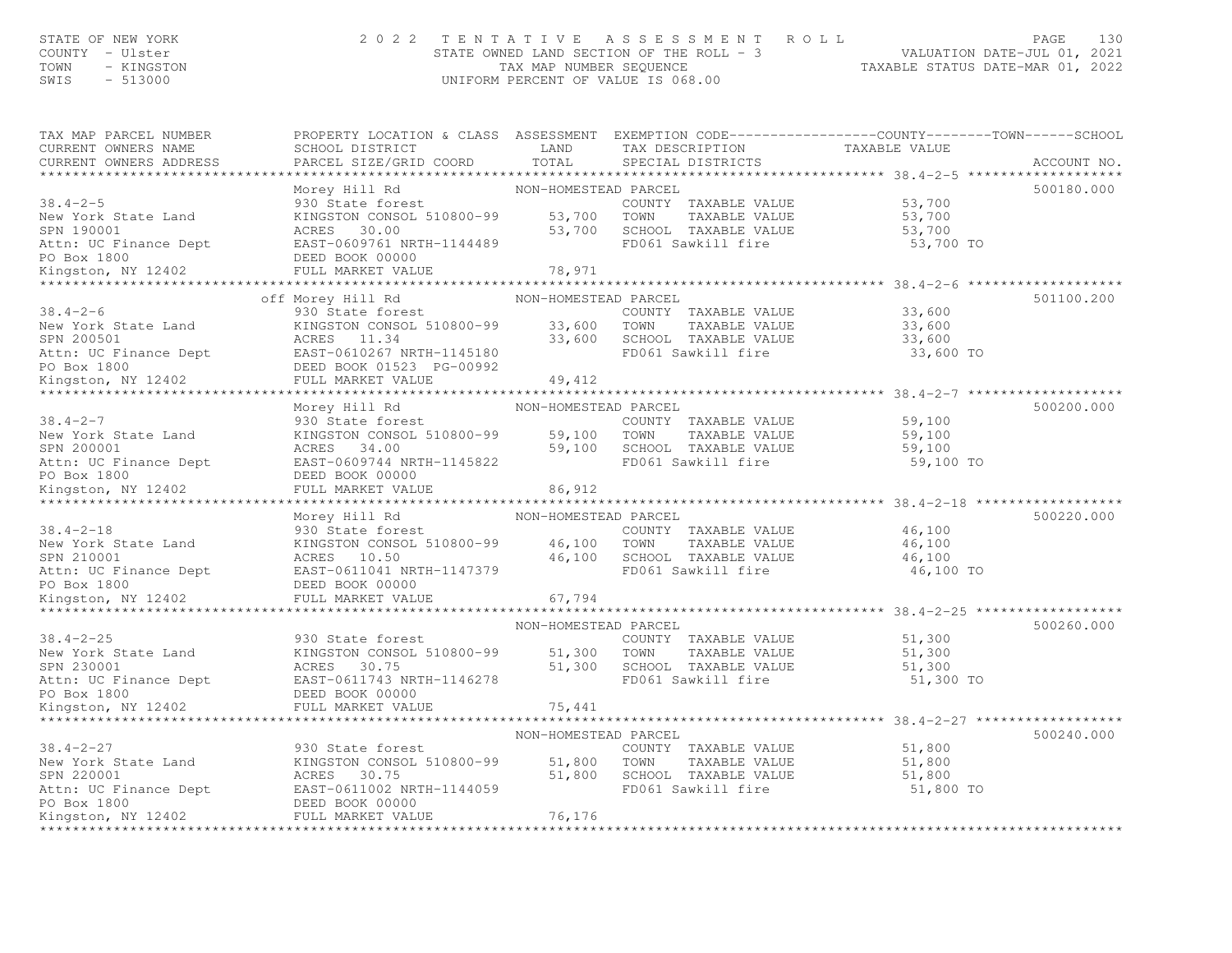### STATE OF NEW YORK CONTY - USE A Many of the Magnus of the Magnus of the Magnus of the Magnus of the Magnus of the Magnus of the Magnus of the Magnus of the Magnus of the Magnus of the North County - User (130<br>TOWN - KINGST

| TAX MAP PARCEL NUMBER<br>CURRENT OWNERS NAME<br>CURRENT OWNERS ADDRESS                                                                                                                                                                                               | PROPERTY LOCATION & CLASS ASSESSMENT EXEMPTION CODE----------------COUNTY-------TOWN------SCHOOL |                      |           |            |
|----------------------------------------------------------------------------------------------------------------------------------------------------------------------------------------------------------------------------------------------------------------------|--------------------------------------------------------------------------------------------------|----------------------|-----------|------------|
|                                                                                                                                                                                                                                                                      |                                                                                                  |                      |           |            |
|                                                                                                                                                                                                                                                                      |                                                                                                  |                      |           |            |
|                                                                                                                                                                                                                                                                      |                                                                                                  |                      |           |            |
|                                                                                                                                                                                                                                                                      |                                                                                                  |                      |           |            |
|                                                                                                                                                                                                                                                                      |                                                                                                  |                      |           |            |
|                                                                                                                                                                                                                                                                      |                                                                                                  |                      |           |            |
|                                                                                                                                                                                                                                                                      |                                                                                                  |                      |           |            |
|                                                                                                                                                                                                                                                                      |                                                                                                  |                      |           |            |
|                                                                                                                                                                                                                                                                      |                                                                                                  |                      |           |            |
|                                                                                                                                                                                                                                                                      | off Morey Hill Rd MON-HOMESTEAD PARCEL                                                           |                      |           | 501100.200 |
|                                                                                                                                                                                                                                                                      |                                                                                                  |                      |           |            |
|                                                                                                                                                                                                                                                                      |                                                                                                  |                      |           |            |
|                                                                                                                                                                                                                                                                      |                                                                                                  |                      |           |            |
|                                                                                                                                                                                                                                                                      |                                                                                                  |                      |           |            |
|                                                                                                                                                                                                                                                                      |                                                                                                  |                      |           |            |
| 6f Morey Hill Rd MON-HOMESTEAD PARCEL<br>Mew York State Land 930 State forest<br>New York State Land ENNISSTON CONSOL 510800-99 33,600 TOWN TAXABLE VALUE 33,600<br>SPN 200501 ACRES 11.34 33,600 SCHOOL TAXABLE VALUE 33,600<br>Attn:                               |                                                                                                  |                      |           |            |
|                                                                                                                                                                                                                                                                      | Morey Hill Rd                                                                                    | NON-HOMESTEAD PARCEL |           | 500200.000 |
|                                                                                                                                                                                                                                                                      |                                                                                                  |                      |           |            |
|                                                                                                                                                                                                                                                                      |                                                                                                  |                      |           |            |
|                                                                                                                                                                                                                                                                      |                                                                                                  |                      |           |            |
|                                                                                                                                                                                                                                                                      |                                                                                                  |                      |           |            |
|                                                                                                                                                                                                                                                                      |                                                                                                  |                      |           |            |
| 198.4-2-7<br>New York State Land<br>Mew York State Land<br>SPN 200001<br>SPN 200001<br>ACRES 34.00<br>EED BOOK 00000<br>EED BOOK 00000<br>EED BOOK 00000<br>200001<br>EED BOOK 00000<br>20001<br>20001<br>20001<br>20001<br>20001<br>20001<br>20001<br>20001<br>2000 |                                                                                                  |                      |           |            |
|                                                                                                                                                                                                                                                                      |                                                                                                  |                      |           |            |
|                                                                                                                                                                                                                                                                      |                                                                                                  |                      |           | 500220.000 |
|                                                                                                                                                                                                                                                                      |                                                                                                  |                      |           |            |
|                                                                                                                                                                                                                                                                      |                                                                                                  |                      |           |            |
|                                                                                                                                                                                                                                                                      |                                                                                                  |                      |           |            |
|                                                                                                                                                                                                                                                                      |                                                                                                  |                      |           |            |
|                                                                                                                                                                                                                                                                      |                                                                                                  |                      |           |            |
|                                                                                                                                                                                                                                                                      |                                                                                                  |                      |           |            |
|                                                                                                                                                                                                                                                                      |                                                                                                  |                      |           |            |
|                                                                                                                                                                                                                                                                      |                                                                                                  |                      |           |            |
|                                                                                                                                                                                                                                                                      |                                                                                                  |                      |           |            |
|                                                                                                                                                                                                                                                                      |                                                                                                  |                      |           |            |
|                                                                                                                                                                                                                                                                      |                                                                                                  |                      |           |            |
|                                                                                                                                                                                                                                                                      |                                                                                                  |                      |           |            |
|                                                                                                                                                                                                                                                                      |                                                                                                  |                      |           |            |
| MON-HOMESTEAD PARCEL<br>MON-HOMESTEAD PARCEL<br>New York State Land KINGSTON CONSOL 510800-99 51,300 TOWN TAXABLE VALUE 51,300<br>SPN 230001 ACRES 30.75 51,300 SCHOOL TAXABLE VALUE 51,300<br>PO Box 1800 BESED DOOK 0000 DEED DOOK 0                               |                                                                                                  |                      |           |            |
|                                                                                                                                                                                                                                                                      |                                                                                                  | NON-HOMESTEAD PARCEL |           | 500240.000 |
|                                                                                                                                                                                                                                                                      |                                                                                                  |                      |           |            |
|                                                                                                                                                                                                                                                                      |                                                                                                  |                      |           |            |
|                                                                                                                                                                                                                                                                      |                                                                                                  |                      | 51,800 TO |            |
| 38.4-2-27<br>NON-HOMESIEAD PAKCEL<br>NEW York State Land<br>SPN 220001<br>ACRES 30.75<br>ALLO EN EAST-0611002 NRTH-1144059<br>PO Box 1800<br>PO Box 1800<br>PO Box 1800<br>EED BOOK 00000<br>ACRES 30.75<br>EAST-0611002 NRTH-1144059<br>TO 76,176<br>TO             |                                                                                                  |                      |           |            |
|                                                                                                                                                                                                                                                                      |                                                                                                  |                      |           |            |
|                                                                                                                                                                                                                                                                      |                                                                                                  |                      |           |            |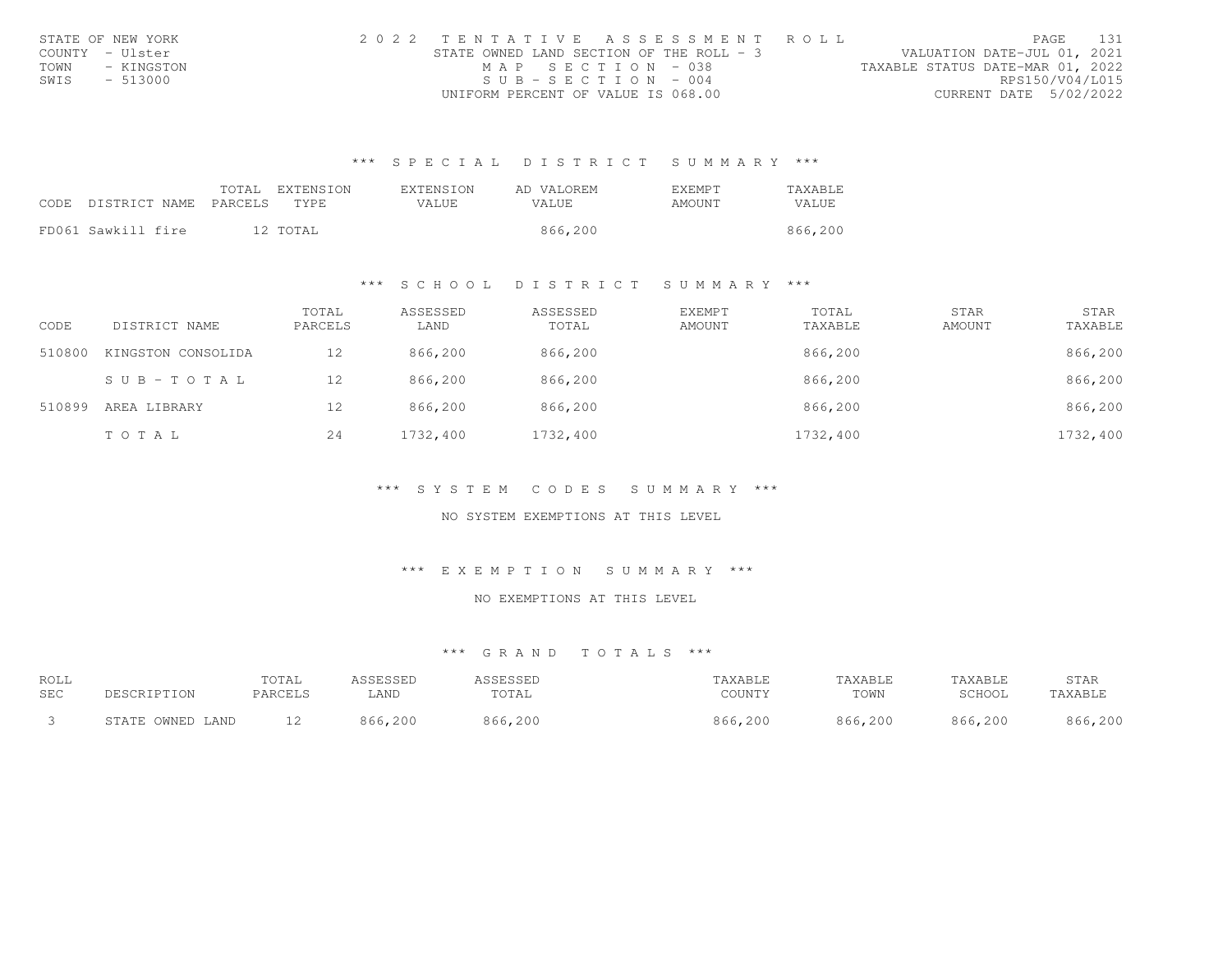| STATE OF NEW YORK  | 2022 TENTATIVE ASSESSMENT ROLL           | 131<br>PAGE.                     |
|--------------------|------------------------------------------|----------------------------------|
| COUNTY - Ulster    | STATE OWNED LAND SECTION OF THE ROLL - 3 | VALUATION DATE-JUL 01, 2021      |
| TOWN<br>- KINGSTON | MAP SECTION - 038                        | TAXABLE STATUS DATE-MAR 01, 2022 |
| SWIS<br>- 513000   | $SUB - SECTION - 004$                    | RPS150/V04/L015                  |
|                    | UNIFORM PERCENT OF VALUE IS 068.00       | CURRENT DATE 5/02/2022           |

| CODE | DISTRICT NAME PARCELS | TOTAL | EXTENSION<br>TYPF. | EXTENSION<br>VALUE | AD VALOREM<br>VALUE. | EXEMPT<br>AMOUNT | TAXABLE<br>VALUE |
|------|-----------------------|-------|--------------------|--------------------|----------------------|------------------|------------------|
|      | FD061 Sawkill fire    |       | 12 TOTAL           |                    | 866,200              |                  | 866,200          |

#### \*\*\* S C H O O L D I S T R I C T S U M M A R Y \*\*\*

| CODE   | DISTRICT NAME      | TOTAL<br>PARCELS | ASSESSED<br>LAND | ASSESSED<br>TOTAL | <b>EXEMPT</b><br>AMOUNT | TOTAL<br>TAXABLE | <b>STAR</b><br>AMOUNT | STAR<br>TAXABLE |
|--------|--------------------|------------------|------------------|-------------------|-------------------------|------------------|-----------------------|-----------------|
| 510800 | KINGSTON CONSOLIDA | 12               | 866,200          | 866,200           |                         | 866,200          |                       | 866,200         |
|        | SUB-TOTAL          | 12               | 866,200          | 866,200           |                         | 866,200          |                       | 866,200         |
| 510899 | AREA LIBRARY       | 12               | 866,200          | 866,200           |                         | 866,200          |                       | 866,200         |
|        | TOTAL              | 24               | 1732,400         | 1732,400          |                         | 1732,400         |                       | 1732,400        |

\*\*\* S Y S T E M C O D E S S U M M A R Y \*\*\*

NO SYSTEM EXEMPTIONS AT THIS LEVEL

\*\*\* E X E M P T I O N S U M M A R Y \*\*\*

#### NO EXEMPTIONS AT THIS LEVEL

| ROLL |                  | <b>"OTAL</b> | ASSESSED | ASSESSED | TAXABLE | TAXABLE | TAXABLE | STAR    |
|------|------------------|--------------|----------|----------|---------|---------|---------|---------|
| SEC  | DESCRIPTION      | PARCELS      | LAND     | TOTAL    | COUNTY  | TOWN    | SCHOOL  | TAXABLE |
|      | STATE OWNED LAND |              | 866,200  | 866,200  | 866,200 | 866,200 | 866,200 | 866,200 |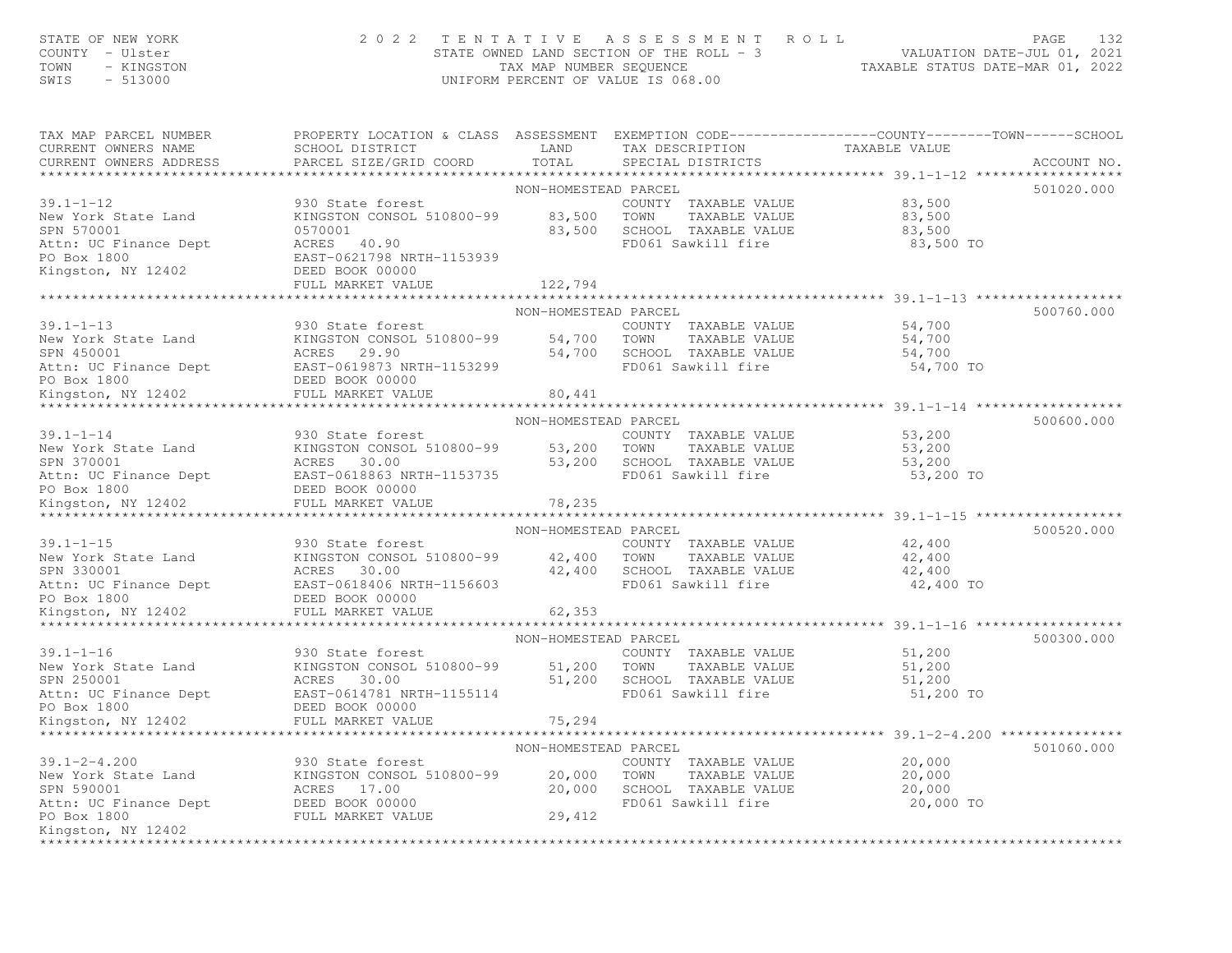STATE OF NEW YORK 2 0 2 2 T E N T A T I V E A S S E S S M E N T R O L L PAGE 132 COUNTY - Ulster STATE OWNED LAND SECTION OF THE ROLL - 3 VALUATION DATE-JUL 01, 2021 TOWN - KINGSTON TAX MAP NUMBER SEQUENCE TAXABLE STATUS DATE-MAR 01, 2022 $\begin{array}{lll} \text{TON} & - & \text{KINGSTON} \\ \text{SWIS} & - & 513000 \end{array} \qquad \begin{array}{lll} \text{VINIFORM PERCENT OF VALUE IS 068.00} \end{array}$ TAX MAP PARCEL NUMBER PROPERTY LOCATION & CLASS ASSESSMENT EXEMPTION CODE-----------------COUNTY-------TOWN------SCHOOL CURRENT OWNERS NAME SCHOOL DISTRICT LAND TAX DESCRIPTION TAXABLE VALUE CURRENT OWNERS ADDRESS PARCEL SIZE/GRID COORD TOTAL SPECIAL DISTRICTS ACCOUNT NO. \*\*\*\*\*\*\*\*\*\*\*\*\*\*\*\*\*\*\*\*\*\*\*\*\*\*\*\*\*\*\*\*\*\*\*\*\*\*\*\*\*\*\*\*\*\*\*\*\*\*\*\*\*\*\*\*\*\*\*\*\*\*\*\*\*\*\*\*\*\*\*\*\*\*\*\*\*\*\*\*\*\*\*\*\*\*\*\*\*\*\*\*\*\*\*\*\*\*\*\*\*\*\* 39.1-1-12 \*\*\*\*\*\*\*\*\*\*\*\*\*\*\*\*\*\*501020.000 NON-HOMESTEAD PARCEL SECTION AND THE SUPERVISOR OF SCHOOL COOLS 39.1-1-12 930 State forest COUNTY TAXABLE VALUE 83,500New York State Land KINGSTON CONSOL 510800-99 83,500 TOWN TAXABLE VALUE 83,500SPN 570001 0570001 83,500 SCHOOL TAXABLE VALUE 83,50083.500 TO Attn: UC Finance Dept ACRES 40.90 FD061 Sawkill fire 83,500 TOPO Box 1800 EAST-0621798 NRTH-1153939 Kingston, NY 12402 DEED BOOK 00000 FULL MARKET VALUE 122,794 \*\*\*\*\*\*\*\*\*\*\*\*\*\*\*\*\*\*\*\*\*\*\*\*\*\*\*\*\*\*\*\*\*\*\*\*\*\*\*\*\*\*\*\*\*\*\*\*\*\*\*\*\*\*\*\*\*\*\*\*\*\*\*\*\*\*\*\*\*\*\*\*\*\*\*\*\*\*\*\*\*\*\*\*\*\*\*\*\*\*\*\*\*\*\*\*\*\*\*\*\*\*\* 39.1-1-13 \*\*\*\*\*\*\*\*\*\*\*\*\*\*\*\*\*\*500760.000 NON-HOMESTEAD PARCEL 2000 CONTROLL 500760.000 NON-HOMESTEAD PARCEL 39.1-1-13 930 State forest COUNTY TAXABLE VALUE 54,700 New York State Land KINGSTON CONSOL 510800-99 54,700 TOWN TAXABLE VALUE 54,70054,700 SPN 450001 ACRES 29.90 54,700 SCHOOL TAXABLE VALUE 54,700 TO Attn: UC Finance Dept EAST-0619873 NRTH-1153299 FD061 Sawkill fire 54,700 TOPO Box 1800 DEED BOOK 00000 Kingston, NY 12402 FULL MARKET VALUE 80,441 \*\*\*\*\*\*\*\*\*\*\*\*\*\*\*\*\*\*\*\*\*\*\*\*\*\*\*\*\*\*\*\*\*\*\*\*\*\*\*\*\*\*\*\*\*\*\*\*\*\*\*\*\*\*\*\*\*\*\*\*\*\*\*\*\*\*\*\*\*\*\*\*\*\*\*\*\*\*\*\*\*\*\*\*\*\*\*\*\*\*\*\*\*\*\*\*\*\*\*\*\*\*\* 39.1-1-14 \*\*\*\*\*\*\*\*\*\*\*\*\*\*\*\*\*\*500600 000 NON-HOMESTEAD PARCEL 500600.00039.1-1-14 930 State forest COUNTY TAXABLE VALUE 53,200New York State Land KINGSTON CONSOL 510800-99 53,200 TOWN TAXABLE VALUE 53,200SPN 370001 ACRES 30.00 53,200 SCHOOL TAXABLE VALUE 53,200 Attn: UC Finance Dept EAST-0618863 NRTH-1153735 FD061 Sawkill fire 53,200 TOPO Box 1800 DEED BOOK 00000 Kingston, NY 12402 FULL MARKET VALUE 78,235 \*\*\*\*\*\*\*\*\*\*\*\*\*\*\*\*\*\*\*\*\*\*\*\*\*\*\*\*\*\*\*\*\*\*\*\*\*\*\*\*\*\*\*\*\*\*\*\*\*\*\*\*\*\*\*\*\*\*\*\*\*\*\*\*\*\*\*\*\*\*\*\*\*\*\*\*\*\*\*\*\*\*\*\*\*\*\*\*\*\*\*\*\*\*\*\*\*\*\*\*\*\*\* 39.1-1-15 \*\*\*\*\*\*\*\*\*\*\*\*\*\*\*\*\*\*500520.000 NON-HOMESTEAD PARCEL 500520.000 NON-HOMESTEAD PARCEL 500520.000 39.1-1-15 930 State forest COUNTY TAXABLE VALUE 42,40042,400 New York State Land KINGSTON CONSOL 510800-99 42,400 TOWN TAXABLE VALUE 42,40042,400 SPN 330001 ACRES 30.00 42,400 SCHOOL TAXABLE VALUE 42,40042.400 TO Attn: UC Finance Dept EAST-0618406 NRTH-1156603 FD061 Sawkill fire 42,400 TOPO Box 1800 DEED BOOK 00000 Kingston, NY 12402 FULL MARKET VALUE 62,353 \*\*\*\*\*\*\*\*\*\*\*\*\*\*\*\*\*\*\*\*\*\*\*\*\*\*\*\*\*\*\*\*\*\*\*\*\*\*\*\*\*\*\*\*\*\*\*\*\*\*\*\*\*\*\*\*\*\*\*\*\*\*\*\*\*\*\*\*\*\*\*\*\*\*\*\*\*\*\*\*\*\*\*\*\*\*\*\*\*\*\*\*\*\*\*\*\*\*\*\*\*\*\* 39.1-1-16 \*\*\*\*\*\*\*\*\*\*\*\*\*\*\*\*\*\*500300.000 NON-HOMESTEAD PARCEL NAMES ON A 1980 SOLO 2000.000 39.1-1-16 930 State forest COUNTY TAXABLE VALUE 51,200<br>
New York State Land KINGSTON CONSOL 510800-99 51,200 TOWN TAXABLE VALUE 51,200<br>
SPN 250001 ACRES 30.00 51,200 SCHOOL TAXABLE VALUE 51,200<br>
ALTIE USE DEED BOOK 00000 5 \*\*\*\*\*\*\*\*\*\*\*\*\*\*\*\*\*\*\*\*\*\*\*\*\*\*\*\*\*\*\*\*\*\*\*\*\*\*\*\*\*\*\*\*\*\*\*\*\*\*\*\*\*\*\*\*\*\*\*\*\*\*\*\*\*\*\*\*\*\*\*\*\*\*\*\*\*\*\*\*\*\*\*\*\*\*\*\*\*\*\*\*\*\*\*\*\*\*\*\*\*\*\* 39.1-2-4.200 \*\*\*\*\*\*\*\*\*\*\*\*\*\*\*501060.000 NON-HOMESTEAD PARCEL NAMES ON A 1980 ON 1990 ON 1990 ON 1990 ON 1990 ON 1990 ON 1990 ON 1990 ON 1990 ON 1990 O 39.1-2-4.200 930 State forest COUNTY TAXABLE VALUE 20,000<br>New York State Land KINGSTON CONSOL 510800-99 20,000 TOWN TAXABLE VALUE 20,000<br>SPN 590001 ACRES 17.00 PO Box 1800 FULL MARKET VALUE 29,412Kingston, NY 12402

\*\*\*\*\*\*\*\*\*\*\*\*\*\*\*\*\*\*\*\*\*\*\*\*\*\*\*\*\*\*\*\*\*\*\*\*\*\*\*\*\*\*\*\*\*\*\*\*\*\*\*\*\*\*\*\*\*\*\*\*\*\*\*\*\*\*\*\*\*\*\*\*\*\*\*\*\*\*\*\*\*\*\*\*\*\*\*\*\*\*\*\*\*\*\*\*\*\*\*\*\*\*\*\*\*\*\*\*\*\*\*\*\*\*\*\*\*\*\*\*\*\*\*\*\*\*\*\*\*\*\*\*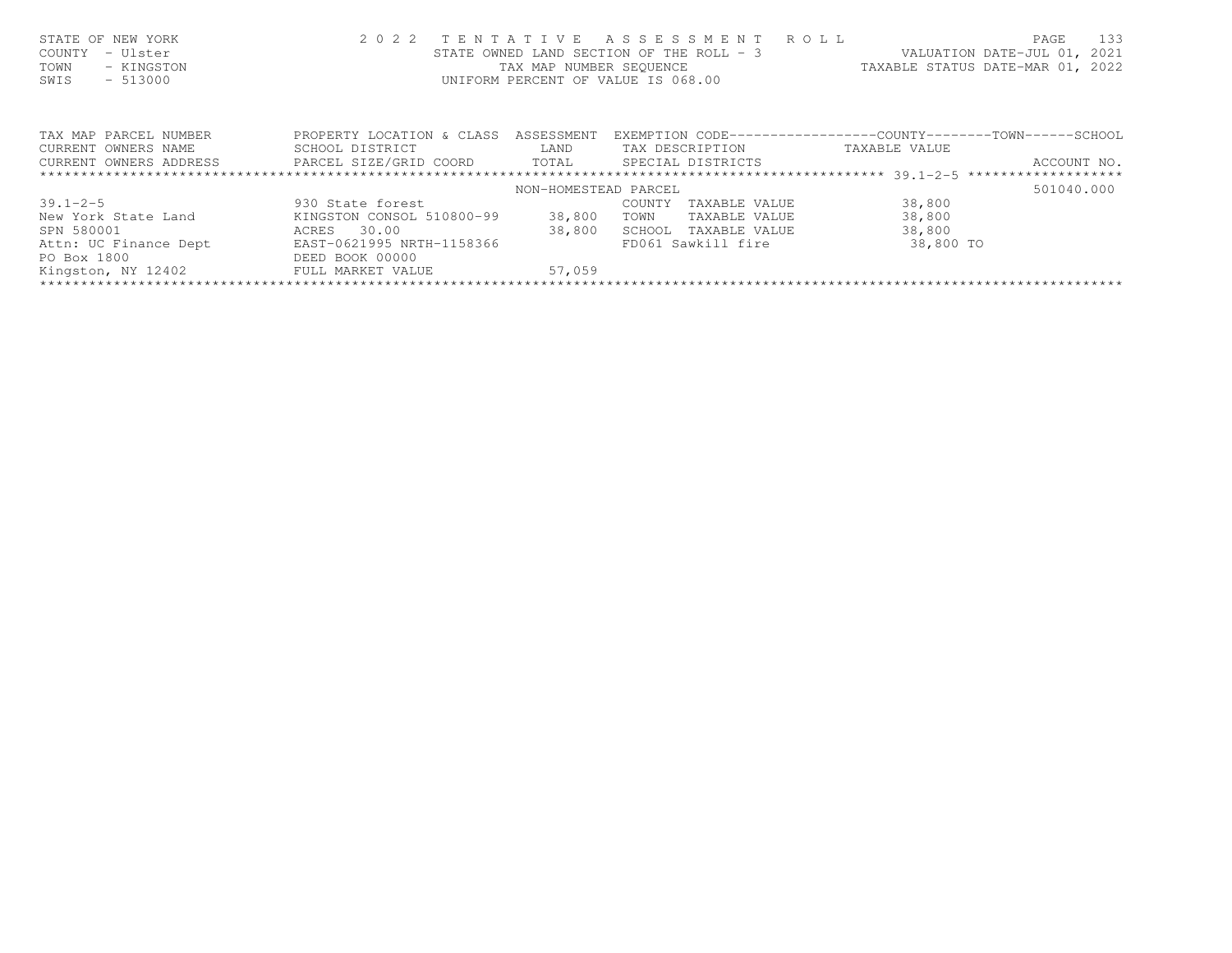| STATE OF NEW YORK<br>- Ulster<br>COUNTY<br>- KINGSTON<br>TOWN<br>$-513000$<br>SWIS | 2022                                 |                      | TENTATIVE ASSESSMENT ROLL<br>STATE OWNED LAND SECTION OF THE ROLL - 3<br>TAX MAP NUMBER SEQUENCE<br>UNIFORM PERCENT OF VALUE IS 068.00 | 133<br>PAGE<br>VALUATION DATE-JUL 01, 2021<br>TAXABLE STATUS DATE-MAR 01, 2022 |
|------------------------------------------------------------------------------------|--------------------------------------|----------------------|----------------------------------------------------------------------------------------------------------------------------------------|--------------------------------------------------------------------------------|
| TAX MAP PARCEL NUMBER                                                              | PROPERTY LOCATION & CLASS ASSESSMENT |                      |                                                                                                                                        | EXEMPTION CODE-----------------COUNTY-------TOWN------SCHOOL                   |
| CURRENT OWNERS NAME                                                                | SCHOOL DISTRICT LAND                 |                      | TAX DESCRIPTION                                                                                                                        | TAXABLE VALUE                                                                  |
| CURRENT OWNERS ADDRESS FARCEL SIZE/GRID COORD TOTAL                                |                                      |                      | SPECIAL DISTRICTS SPECIAL STRICTS                                                                                                      | ACCOUNT NO.                                                                    |
|                                                                                    |                                      |                      |                                                                                                                                        |                                                                                |
|                                                                                    |                                      | NON-HOMESTEAD PARCEL |                                                                                                                                        | 501040.000                                                                     |
| $39.1 - 2 - 5$                                                                     | 930 State forest                     |                      | TAXABLE VALUE<br>COUNTY                                                                                                                | 38,800                                                                         |
| New York State Land                                                                | KINGSTON CONSOL 510800-99            | 38,800               | TOWN<br>TAXABLE VALUE                                                                                                                  | 38,800                                                                         |
| SPN 580001                                                                         | ACRES 30.00                          | 38,800               | SCHOOL TAXABLE VALUE                                                                                                                   | 38,800                                                                         |
| Attn: UC Finance Dept                                                              | EAST-0621995 NRTH-1158366            |                      | FD061 Sawkill fire                                                                                                                     | 38,800 TO                                                                      |
| PO Box 1800                                                                        | DEED BOOK 00000                      |                      |                                                                                                                                        |                                                                                |
| Kingston, NY 12402                                                                 | FULL MARKET VALUE                    | 57,059               |                                                                                                                                        |                                                                                |

\*\*\*\*\*\*\*\*\*\*\*\*\*\*\*\*\*\*\*\*\*\*\*\*\*\*\*\*\*\*\*\*\*\*\*\*\*\*\*\*\*\*\*\*\*\*\*\*\*\*\*\*\*\*\*\*\*\*\*\*\*\*\*\*\*\*\*\*\*\*\*\*\*\*\*\*\*\*\*\*\*\*\*\*\*\*\*\*\*\*\*\*\*\*\*\*\*\*\*\*\*\*\*\*\*\*\*\*\*\*\*\*\*\*\*\*\*\*\*\*\*\*\*\*\*\*\*\*\*\*\*\*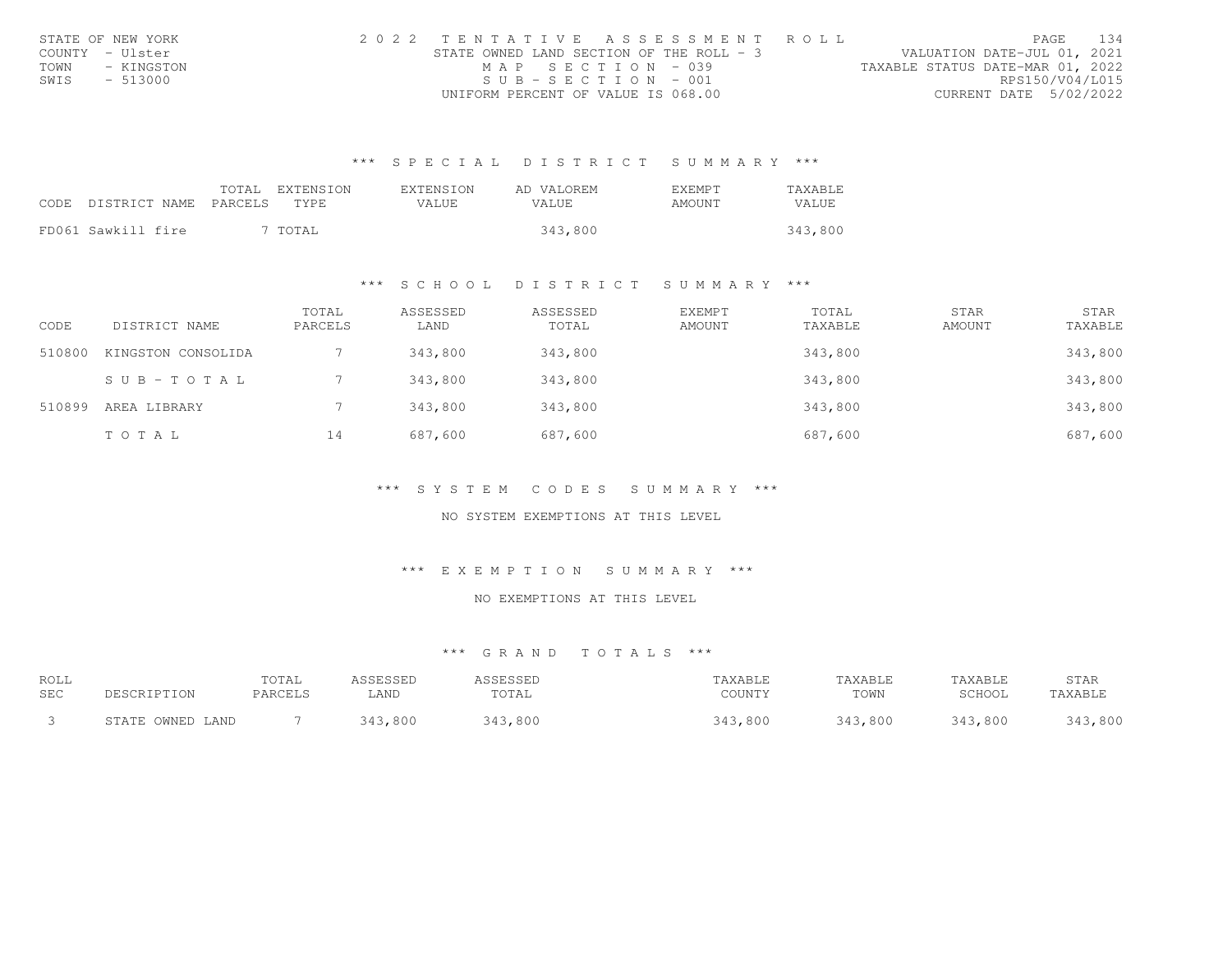| STATE OF NEW YORK  | 2022 TENTATIVE ASSESSMENT ROLL           | 134<br>PAGE.                     |
|--------------------|------------------------------------------|----------------------------------|
| COUNTY - Ulster    | STATE OWNED LAND SECTION OF THE ROLL - 3 | VALUATION DATE-JUL 01, 2021      |
| TOWN<br>- KINGSTON | MAP SECTION - 039                        | TAXABLE STATUS DATE-MAR 01, 2022 |
| SWIS<br>- 513000   | $SUB - SECTION - 001$                    | RPS150/V04/L015                  |
|                    | UNIFORM PERCENT OF VALUE IS 068.00       | CURRENT DATE 5/02/2022           |

| CODE DISTRICT NAME PARCELS | TOTAL | EXTENSION<br>TYPE | EXTENSION<br>VALUE. | AD VALOREM<br>VALUE. | <b>F.XFMPT</b><br>AMOUNT | TAXABLE<br>VALUE |
|----------------------------|-------|-------------------|---------------------|----------------------|--------------------------|------------------|
| FD061 Sawkill fire         |       | 7 TOTAL           |                     | 343,800              |                          | 343,800          |

#### \*\*\* S C H O O L D I S T R I C T S U M M A R Y \*\*\*

| CODE   | DISTRICT NAME      | TOTAL<br>PARCELS | ASSESSED<br>LAND | ASSESSED<br>TOTAL | <b>EXEMPT</b><br>AMOUNT | TOTAL<br>TAXABLE | STAR<br>AMOUNT | STAR<br>TAXABLE |
|--------|--------------------|------------------|------------------|-------------------|-------------------------|------------------|----------------|-----------------|
| 510800 | KINGSTON CONSOLIDA |                  | 343,800          | 343,800           |                         | 343,800          |                | 343,800         |
|        | SUB-TOTAL          |                  | 343,800          | 343,800           |                         | 343,800          |                | 343,800         |
| 510899 | AREA LIBRARY       |                  | 343,800          | 343,800           |                         | 343,800          |                | 343,800         |
|        | TOTAL              | 14               | 687,600          | 687,600           |                         | 687,600          |                | 687,600         |

\*\*\* S Y S T E M C O D E S S U M M A R Y \*\*\*

NO SYSTEM EXEMPTIONS AT THIS LEVEL

\*\*\* E X E M P T I O N S U M M A R Y \*\*\*

#### NO EXEMPTIONS AT THIS LEVEL

| ROLL       |                  | TOTAL   | ASSESSED | ASSESSED | TAXABLE | TAXABLE | TAXABLE | STAR    |
|------------|------------------|---------|----------|----------|---------|---------|---------|---------|
| <b>SEC</b> | DESCRIPTION      | PARCELS | LAND     | TOTAL    | COUNTY  | TOWN    | SCHOOL  | TAXABLE |
|            | STATE OWNED LAND |         | 343,800  | 343,800  | 343,800 | 343,800 | 343,800 | 343,800 |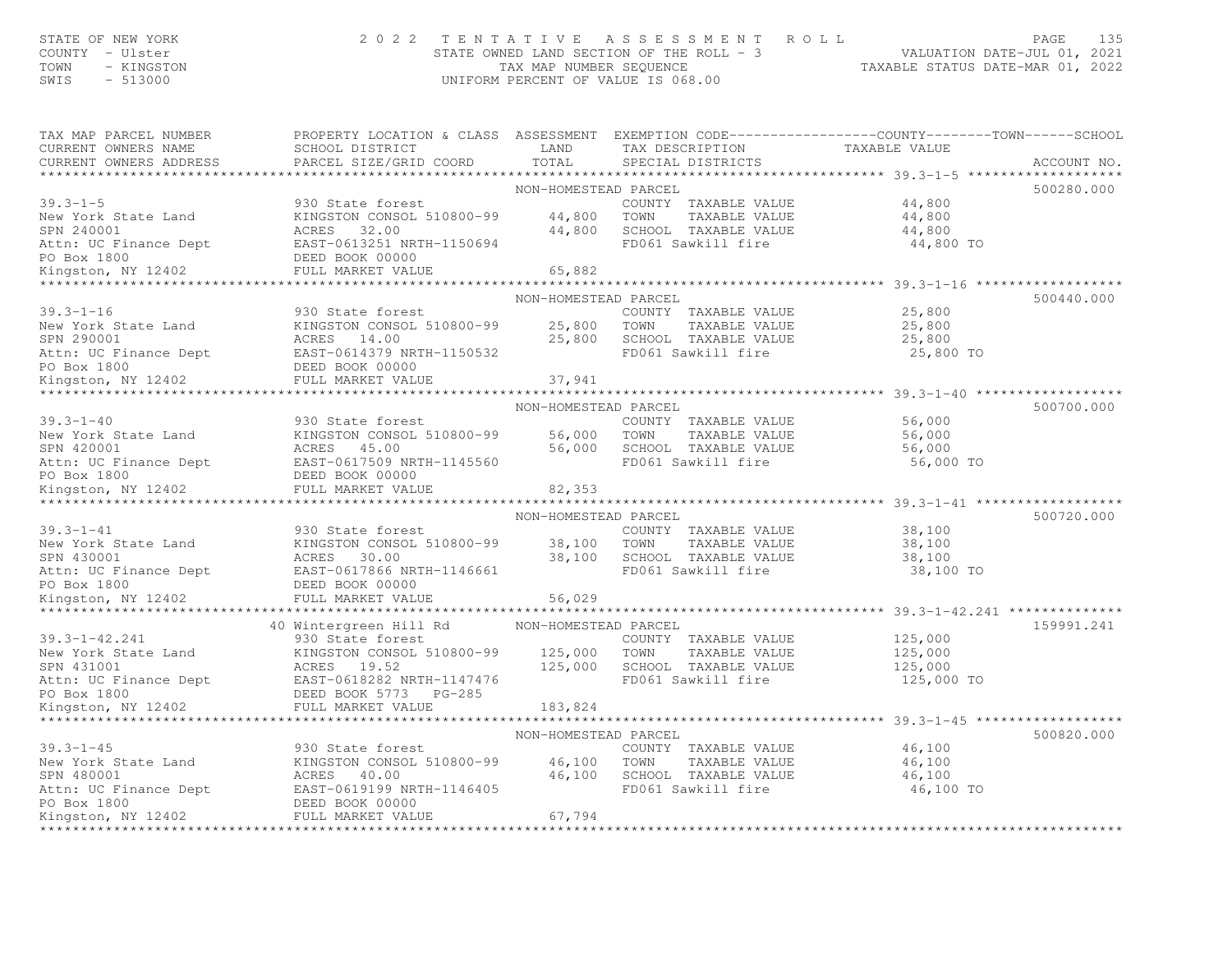# STATE OF NEW YORK CORRECTED A 2022 TENTATIVE ASSESSMENT ROLL PALUATION DATE-JUL 01, 2021<br>COUNTY - Ulster CONTERN COUNTY - TAXING STATE OWNER SALUATION OF THE ROLL - 3 VALUATION DATE-JUL 01, 2021<br>TAXABLE STATUS DATE-MAR 01,

| TAX MAP PARCEL NUMBER<br>CURRENT OWNERS NAME<br>CURRENT OWNERS ADDRESS                                                                                                                                                                                         | PROPERTY LOCATION & CLASS ASSESSMENT EXEMPTION CODE----------------COUNTY-------TOWN-----SCHOOL<br>SCHOOL DISTRICT LAND<br>PARCEL SIZE/GRID COORD                        | TOTAL                | TAX DESCRIPTION TAXABLE VALUE<br>SPECIAL DISTRICTS TAXABLE VALUE                                |            | ACCOUNT NO. |
|----------------------------------------------------------------------------------------------------------------------------------------------------------------------------------------------------------------------------------------------------------------|--------------------------------------------------------------------------------------------------------------------------------------------------------------------------|----------------------|-------------------------------------------------------------------------------------------------|------------|-------------|
|                                                                                                                                                                                                                                                                |                                                                                                                                                                          |                      |                                                                                                 |            |             |
|                                                                                                                                                                                                                                                                |                                                                                                                                                                          | NON-HOMESTEAD PARCEL |                                                                                                 |            | 500280.000  |
|                                                                                                                                                                                                                                                                |                                                                                                                                                                          |                      |                                                                                                 |            |             |
|                                                                                                                                                                                                                                                                |                                                                                                                                                                          |                      |                                                                                                 |            |             |
|                                                                                                                                                                                                                                                                |                                                                                                                                                                          |                      |                                                                                                 |            |             |
|                                                                                                                                                                                                                                                                |                                                                                                                                                                          |                      |                                                                                                 |            |             |
|                                                                                                                                                                                                                                                                |                                                                                                                                                                          |                      |                                                                                                 |            |             |
| 39.3-1-5<br>NON-HOMESIEAD FOUNTY TAXABLE VALUE<br>New York State Land<br>SPN 240001<br>SPN 240001<br>ACRES 32.00<br>ACRES 32.00<br>ACRES 32.00<br>EED BOOK 00000<br>FULL MARKET VALUE<br>FULL MARKET VALUE<br>FULL MARKET VALUE<br>FO 61 Sawkill fire          |                                                                                                                                                                          |                      |                                                                                                 |            |             |
|                                                                                                                                                                                                                                                                |                                                                                                                                                                          |                      |                                                                                                 |            |             |
|                                                                                                                                                                                                                                                                |                                                                                                                                                                          | NON-HOMESTEAD PARCEL | PARCEL<br>COUNTY TAXABLE VALUE 25,800<br>TOWN TAXABLE VALUE 25,800<br>TOWN TAXABLE VALUE 25,800 |            | 500440.000  |
|                                                                                                                                                                                                                                                                |                                                                                                                                                                          |                      |                                                                                                 |            |             |
|                                                                                                                                                                                                                                                                |                                                                                                                                                                          |                      |                                                                                                 |            |             |
|                                                                                                                                                                                                                                                                |                                                                                                                                                                          |                      |                                                                                                 |            |             |
|                                                                                                                                                                                                                                                                |                                                                                                                                                                          |                      |                                                                                                 |            |             |
|                                                                                                                                                                                                                                                                |                                                                                                                                                                          |                      |                                                                                                 |            |             |
| 39.3-1-16<br>New York State Land<br>SPN 290001<br>SPN 290001<br>ACRES 14.00<br>EAST-0614379 NRTH-1150532<br>PO Box 1800 DEED BOOK 00000<br>ACRES 14.00 DEED BOOK 00000<br>ACRES 14.00 DEED BOOK 00000 DEED BOOK 00000 Ringston, NY 124                         |                                                                                                                                                                          |                      |                                                                                                 |            |             |
|                                                                                                                                                                                                                                                                |                                                                                                                                                                          | NON-HOMESTEAD PARCEL |                                                                                                 |            | 500700.000  |
|                                                                                                                                                                                                                                                                |                                                                                                                                                                          |                      |                                                                                                 |            |             |
|                                                                                                                                                                                                                                                                |                                                                                                                                                                          |                      |                                                                                                 |            |             |
|                                                                                                                                                                                                                                                                |                                                                                                                                                                          |                      |                                                                                                 |            |             |
|                                                                                                                                                                                                                                                                |                                                                                                                                                                          |                      |                                                                                                 |            |             |
|                                                                                                                                                                                                                                                                |                                                                                                                                                                          |                      |                                                                                                 |            |             |
|                                                                                                                                                                                                                                                                |                                                                                                                                                                          |                      |                                                                                                 |            |             |
| 39.3-1-40<br>NON-HOMESTEAD PRINCE VALUE<br>New York State Land<br>SPN 420001<br>SPN 420001<br>ACRES 45.00<br>ACRES 45.00<br>EDIL MARKET VALUE<br>NEED DOC SCHOOL TAXABLE VALUE<br>S6,000<br>EDIL MARKET VALUE<br>TOLL MARKET VALUE<br>EDIL MARKET VALU         |                                                                                                                                                                          |                      |                                                                                                 |            |             |
|                                                                                                                                                                                                                                                                |                                                                                                                                                                          | NON-HOMESTEAD PARCEL |                                                                                                 |            | 500720.000  |
|                                                                                                                                                                                                                                                                |                                                                                                                                                                          |                      |                                                                                                 |            |             |
|                                                                                                                                                                                                                                                                |                                                                                                                                                                          |                      | COUNTY TAXABLE VALUE 38,100<br>TOWN TAXABLE VALUE 38,100                                        |            |             |
|                                                                                                                                                                                                                                                                |                                                                                                                                                                          |                      |                                                                                                 | 38,100     |             |
| 39.3-1-41<br>New York State Land<br>SPN 430001<br>SPN 430001<br>ACRES 30.00<br>ACRES 30.00<br>ACRES 30.00<br>ACRES 30.00<br>28,100<br>38,100<br>38,100<br>56,029<br>FULL MARKET VALUE<br>FULL MARKET VALUE<br>FULL MARKET VALUE<br>FULL MARKET VALUE<br>FULL M |                                                                                                                                                                          |                      | 38,100 SCHOOL TAXABLE VALUE<br>FD061 Sawkill fire                                               | 38,100 TO  |             |
|                                                                                                                                                                                                                                                                |                                                                                                                                                                          |                      |                                                                                                 |            |             |
|                                                                                                                                                                                                                                                                |                                                                                                                                                                          |                      |                                                                                                 |            |             |
|                                                                                                                                                                                                                                                                |                                                                                                                                                                          |                      |                                                                                                 |            |             |
|                                                                                                                                                                                                                                                                | 40 Wintergreen Hill Rd                                                                                                                                                   | NON-HOMESTEAD PARCEL |                                                                                                 |            | 159991.241  |
| $39.3 - 1 - 42.241$                                                                                                                                                                                                                                            | 930 State forest                                                                                                                                                         |                      | COUNTY TAXABLE VALUE 125,000                                                                    |            |             |
|                                                                                                                                                                                                                                                                |                                                                                                                                                                          |                      |                                                                                                 |            |             |
|                                                                                                                                                                                                                                                                | KINGSTON CONSOL 510800-99 125,000 TOWN TAXABLE VALUE 125,000<br>ACRES 19.52 125,000 SCHOOL TAXABLE VALUE 125,000<br>EAST-0618282 NRTH-1147476 FD061 Sawkill fire 125,000 |                      |                                                                                                 |            |             |
|                                                                                                                                                                                                                                                                |                                                                                                                                                                          |                      |                                                                                                 | 125,000 TO |             |
|                                                                                                                                                                                                                                                                |                                                                                                                                                                          |                      |                                                                                                 |            |             |
|                                                                                                                                                                                                                                                                |                                                                                                                                                                          | 183,824              |                                                                                                 |            |             |
|                                                                                                                                                                                                                                                                |                                                                                                                                                                          | NON-HOMESTEAD PARCEL |                                                                                                 |            | 500820.000  |
|                                                                                                                                                                                                                                                                |                                                                                                                                                                          |                      |                                                                                                 |            |             |
|                                                                                                                                                                                                                                                                |                                                                                                                                                                          |                      |                                                                                                 |            |             |
|                                                                                                                                                                                                                                                                |                                                                                                                                                                          |                      |                                                                                                 |            |             |
|                                                                                                                                                                                                                                                                |                                                                                                                                                                          |                      |                                                                                                 | 46,100 TO  |             |
|                                                                                                                                                                                                                                                                |                                                                                                                                                                          |                      |                                                                                                 |            |             |
|                                                                                                                                                                                                                                                                |                                                                                                                                                                          |                      |                                                                                                 |            |             |
|                                                                                                                                                                                                                                                                |                                                                                                                                                                          |                      |                                                                                                 |            |             |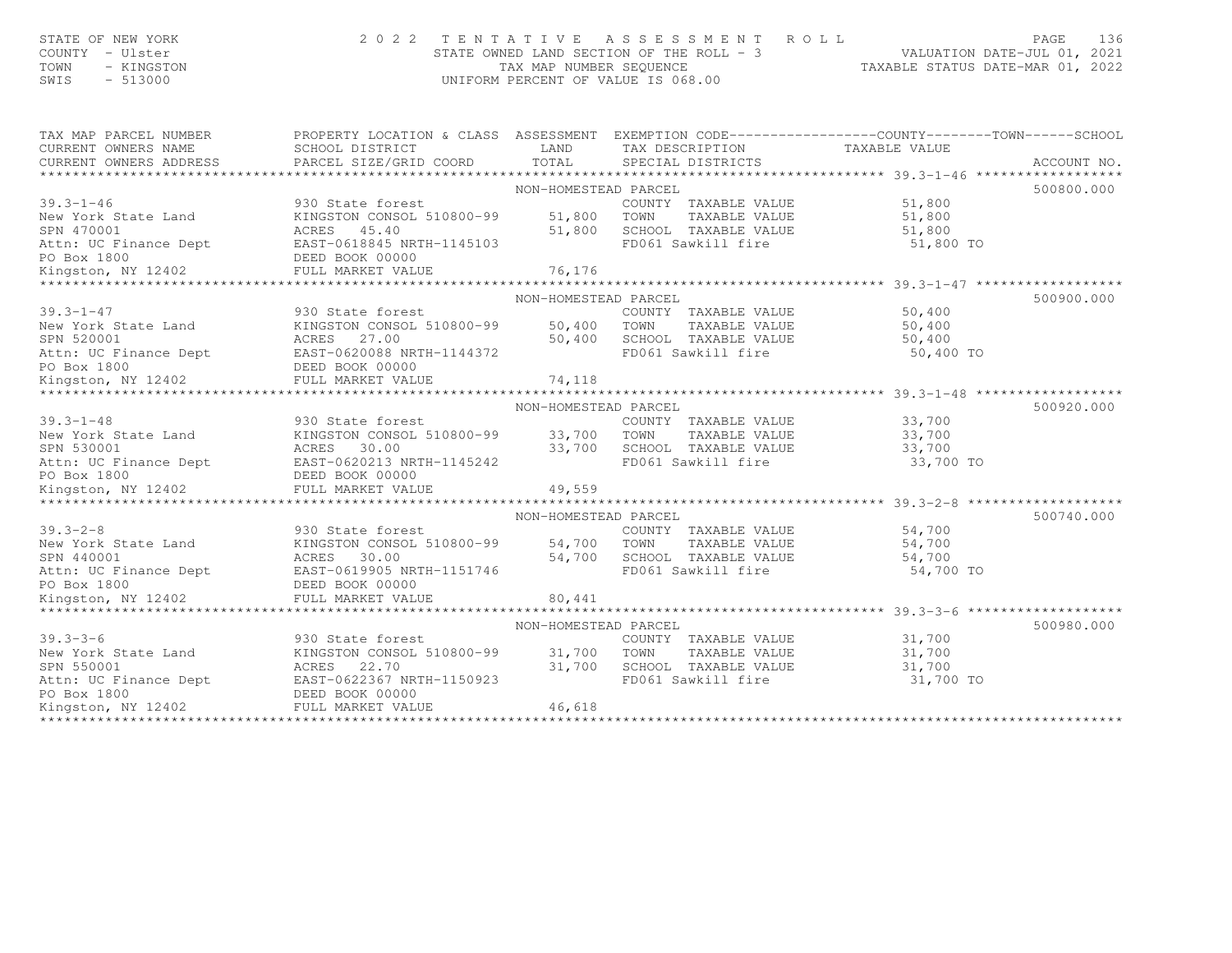# STATE OF NEW YORK CONTY - USE A Many of the Magnus of the Magnus of the Magnus of the Magnus of the Magnus of the STATE OWNED LAND SECTION OF THE ROLL - 3 (COUNTY - Ulster 136 m) and the STATE OWNED LAND SECTION OF THE ROL

| TAX MAP PARCEL NUMBER                                                                                                                                                                                                                                                                                                                                                                                                                                                                                                                    |  |                      |                                                                                          | PROPERTY LOCATION & CLASS ASSESSMENT EXEMPTION CODE-----------------COUNTY-------TOWN------SCHOOL |            |  |  |  |
|------------------------------------------------------------------------------------------------------------------------------------------------------------------------------------------------------------------------------------------------------------------------------------------------------------------------------------------------------------------------------------------------------------------------------------------------------------------------------------------------------------------------------------------|--|----------------------|------------------------------------------------------------------------------------------|---------------------------------------------------------------------------------------------------|------------|--|--|--|
|                                                                                                                                                                                                                                                                                                                                                                                                                                                                                                                                          |  |                      |                                                                                          |                                                                                                   |            |  |  |  |
|                                                                                                                                                                                                                                                                                                                                                                                                                                                                                                                                          |  | NON-HOMESTEAD PARCEL |                                                                                          |                                                                                                   | 500800.000 |  |  |  |
|                                                                                                                                                                                                                                                                                                                                                                                                                                                                                                                                          |  |                      | COUNTY TAXABLE VALUE 51,800<br>TOWN TAXABLE VALUE 51,800                                 |                                                                                                   |            |  |  |  |
|                                                                                                                                                                                                                                                                                                                                                                                                                                                                                                                                          |  |                      |                                                                                          |                                                                                                   |            |  |  |  |
|                                                                                                                                                                                                                                                                                                                                                                                                                                                                                                                                          |  |                      |                                                                                          |                                                                                                   |            |  |  |  |
|                                                                                                                                                                                                                                                                                                                                                                                                                                                                                                                                          |  |                      |                                                                                          |                                                                                                   |            |  |  |  |
|                                                                                                                                                                                                                                                                                                                                                                                                                                                                                                                                          |  |                      |                                                                                          |                                                                                                   |            |  |  |  |
|                                                                                                                                                                                                                                                                                                                                                                                                                                                                                                                                          |  |                      |                                                                                          |                                                                                                   |            |  |  |  |
| 39.3-1-46<br>New York State Land MINGSTON CONSOL 510800-99 51,800 TOWN TAXABLE VALUE 51,800<br>SPN 470001 ACRES 45.40 51,800 SCHOOL TAXABLE VALUE 51,800<br>ACRES 45.40 51,800 SCHOOL TAXABLE VALUE 51,800 TOWN TAXABLE VALUE 51,80                                                                                                                                                                                                                                                                                                      |  |                      |                                                                                          |                                                                                                   |            |  |  |  |
|                                                                                                                                                                                                                                                                                                                                                                                                                                                                                                                                          |  | NON-HOMESTEAD PARCEL | COUNTY TAXABLE VALUE 50,400                                                              |                                                                                                   | 500900.000 |  |  |  |
|                                                                                                                                                                                                                                                                                                                                                                                                                                                                                                                                          |  |                      |                                                                                          |                                                                                                   |            |  |  |  |
|                                                                                                                                                                                                                                                                                                                                                                                                                                                                                                                                          |  |                      |                                                                                          |                                                                                                   |            |  |  |  |
|                                                                                                                                                                                                                                                                                                                                                                                                                                                                                                                                          |  |                      |                                                                                          |                                                                                                   |            |  |  |  |
|                                                                                                                                                                                                                                                                                                                                                                                                                                                                                                                                          |  |                      |                                                                                          |                                                                                                   |            |  |  |  |
|                                                                                                                                                                                                                                                                                                                                                                                                                                                                                                                                          |  |                      |                                                                                          |                                                                                                   |            |  |  |  |
|                                                                                                                                                                                                                                                                                                                                                                                                                                                                                                                                          |  |                      |                                                                                          |                                                                                                   |            |  |  |  |
| 39.3-1-47<br>New York State Land MINGSTON CONSOL 510800-99<br>SPN 520001<br>SPN 520001<br>EXABLE VALUE 50,400<br>SPN 520001<br>EXABLE VALUE 50,400<br>SPN 520001<br>EXABLE VALUE 50,400<br>SPN 520001<br>EXABLE VALUE 50,400<br>SPN 520001<br>EXABLE V<br>500920.000<br>NON-HOMESTEAD PARCEL<br>NON-HOMESTEAD PARCEL<br>New York State Land MINGSTON CONSOL 510800-99 33,700<br>SPN 530001 ACRES 30.00<br>ACRES 30.00 233,700 SCHOOL TAXABLE VALUE 23,700<br>ACRES 30.00 2007 23,700 SCHOOL TAXABLE VALUE 23,700<br>ACRES 30.00 200 2007 |  |                      |                                                                                          |                                                                                                   |            |  |  |  |
|                                                                                                                                                                                                                                                                                                                                                                                                                                                                                                                                          |  |                      |                                                                                          |                                                                                                   |            |  |  |  |
|                                                                                                                                                                                                                                                                                                                                                                                                                                                                                                                                          |  |                      |                                                                                          |                                                                                                   |            |  |  |  |
|                                                                                                                                                                                                                                                                                                                                                                                                                                                                                                                                          |  |                      |                                                                                          |                                                                                                   |            |  |  |  |
|                                                                                                                                                                                                                                                                                                                                                                                                                                                                                                                                          |  |                      |                                                                                          |                                                                                                   |            |  |  |  |
|                                                                                                                                                                                                                                                                                                                                                                                                                                                                                                                                          |  |                      |                                                                                          |                                                                                                   |            |  |  |  |
|                                                                                                                                                                                                                                                                                                                                                                                                                                                                                                                                          |  |                      |                                                                                          |                                                                                                   |            |  |  |  |
|                                                                                                                                                                                                                                                                                                                                                                                                                                                                                                                                          |  |                      |                                                                                          |                                                                                                   |            |  |  |  |
|                                                                                                                                                                                                                                                                                                                                                                                                                                                                                                                                          |  | NON-HOMESTEAD PARCEL |                                                                                          |                                                                                                   | 500740.000 |  |  |  |
|                                                                                                                                                                                                                                                                                                                                                                                                                                                                                                                                          |  |                      |                                                                                          |                                                                                                   |            |  |  |  |
|                                                                                                                                                                                                                                                                                                                                                                                                                                                                                                                                          |  |                      |                                                                                          |                                                                                                   |            |  |  |  |
|                                                                                                                                                                                                                                                                                                                                                                                                                                                                                                                                          |  |                      |                                                                                          |                                                                                                   |            |  |  |  |
|                                                                                                                                                                                                                                                                                                                                                                                                                                                                                                                                          |  |                      |                                                                                          |                                                                                                   |            |  |  |  |
|                                                                                                                                                                                                                                                                                                                                                                                                                                                                                                                                          |  |                      |                                                                                          |                                                                                                   |            |  |  |  |
| 39.3-2-8<br>New York State Land MINGSTON CONSOL 510800-99<br>SPN 440001<br>SPN 440001<br>ACRES 30.00<br>ACRES 30.00<br>EDIL MARKET VALUE BOOK 00000 DEED BOOK NORTH-1151746<br>EDIL MARKET VALUE ACRES 20,441<br>FULL MARKET VALUE ACRES 20,44                                                                                                                                                                                                                                                                                           |  |                      |                                                                                          |                                                                                                   |            |  |  |  |
|                                                                                                                                                                                                                                                                                                                                                                                                                                                                                                                                          |  | NON-HOMESTEAD PARCEL |                                                                                          |                                                                                                   | 500980.000 |  |  |  |
| 930 State forest<br>$39.3 - 3 - 6$                                                                                                                                                                                                                                                                                                                                                                                                                                                                                                       |  |                      |                                                                                          |                                                                                                   |            |  |  |  |
|                                                                                                                                                                                                                                                                                                                                                                                                                                                                                                                                          |  |                      | COUNTY TAXABLE VALUE 31,700                                                              |                                                                                                   |            |  |  |  |
|                                                                                                                                                                                                                                                                                                                                                                                                                                                                                                                                          |  |                      | TOWN TAXABLE VALUE 31,700<br>SCHOOL TAXABLE VALUE 31,700<br>FD061 Sawkill fire 31,700 TO |                                                                                                   |            |  |  |  |
|                                                                                                                                                                                                                                                                                                                                                                                                                                                                                                                                          |  |                      |                                                                                          |                                                                                                   |            |  |  |  |
| New York State Land<br>SPN 550001<br>SPN 550001<br>ACRES 22.70<br>20 BOBOX 1800<br>20 BOBOX 1800<br>20 BOBOX 00000<br>21,700<br>20 BOBOX 1800<br>20 BOBOX 00000<br>246,618<br>20 BOBOX 1800<br>20 BOBOX 1800<br>20 BOBOX 1800<br>20 BOBOX 1800<br>20 BOBOX 1                                                                                                                                                                                                                                                                             |  |                      |                                                                                          |                                                                                                   |            |  |  |  |
|                                                                                                                                                                                                                                                                                                                                                                                                                                                                                                                                          |  |                      |                                                                                          |                                                                                                   |            |  |  |  |
|                                                                                                                                                                                                                                                                                                                                                                                                                                                                                                                                          |  |                      |                                                                                          |                                                                                                   |            |  |  |  |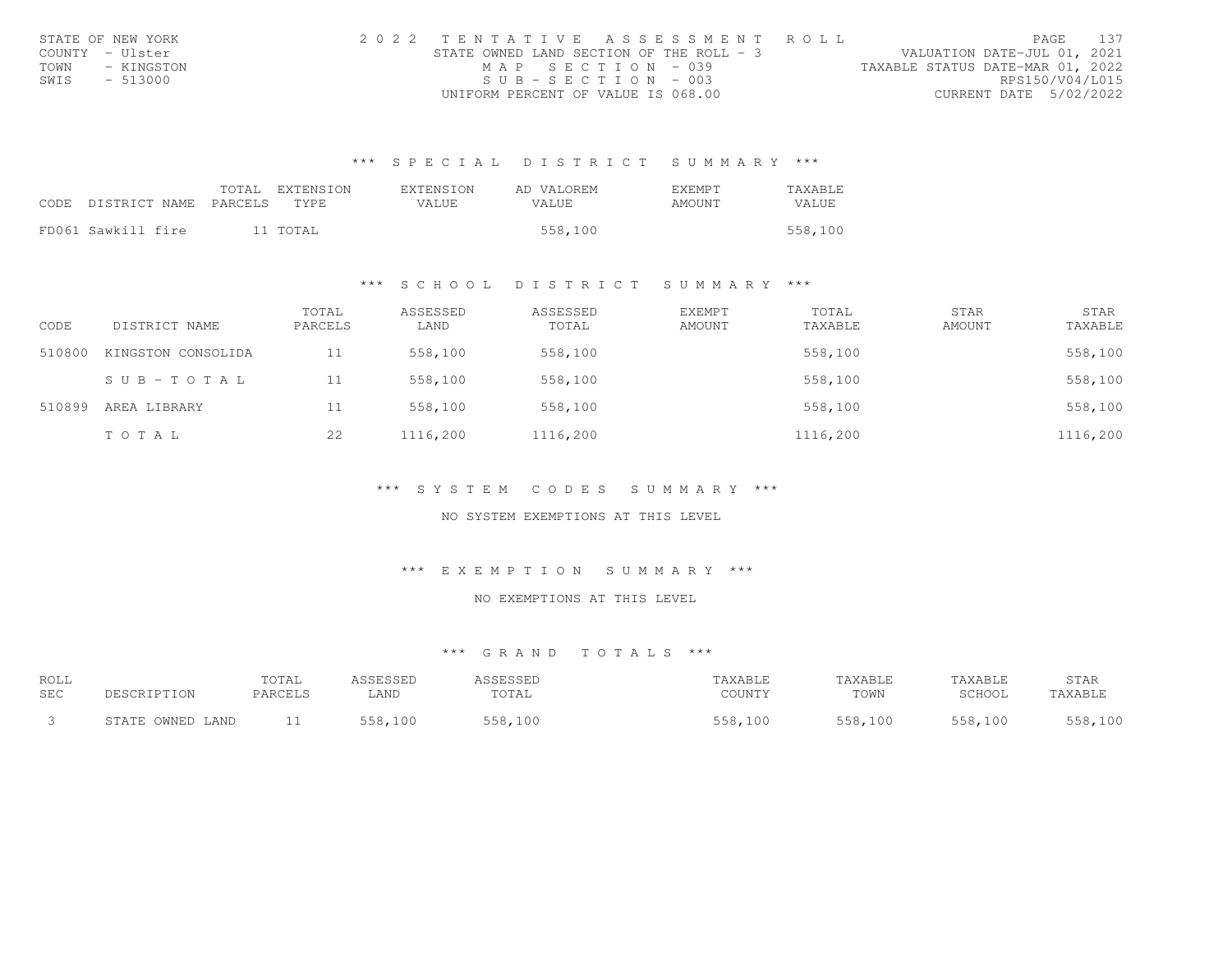| STATE OF NEW YORK  | 2022 TENTATIVE ASSESSMENT ROLL           |                                  | PAGE.                  | 137 |
|--------------------|------------------------------------------|----------------------------------|------------------------|-----|
| COUNTY - Ulster    | STATE OWNED LAND SECTION OF THE ROLL - 3 | VALUATION DATE-JUL 01, 2021      |                        |     |
| TOWN<br>- KINGSTON | MAP SECTION - 039                        | TAXABLE STATUS DATE-MAR 01, 2022 |                        |     |
| SWIS<br>- 513000   | $SUB - SECTION - 003$                    |                                  | RPS150/V04/L015        |     |
|                    | UNIFORM PERCENT OF VALUE IS 068.00       |                                  | CURRENT DATE 5/02/2022 |     |

|                    | TOTAL<br>CODE DISTRICT NAME PARCELS | EXTENSION<br>TYPF. | EXTENSION<br>VALUE. | AD VALOREM<br>VALUE. | EXEMPT<br>AMOUNT | TAXABLE<br>VALUE |
|--------------------|-------------------------------------|--------------------|---------------------|----------------------|------------------|------------------|
| FD061 Sawkill fire |                                     | 11 TOTAL           |                     | 558,100              |                  | 558,100          |

#### \*\*\* S C H O O L D I S T R I C T S U M M A R Y \*\*\*

| CODE   | DISTRICT NAME      | TOTAL<br>PARCELS | ASSESSED<br>LAND | ASSESSED<br>TOTAL | <b>EXEMPT</b><br>AMOUNT | TOTAL<br>TAXABLE | <b>STAR</b><br>AMOUNT | STAR<br>TAXABLE |
|--------|--------------------|------------------|------------------|-------------------|-------------------------|------------------|-----------------------|-----------------|
| 510800 | KINGSTON CONSOLIDA | 11               | 558,100          | 558,100           |                         | 558,100          |                       | 558,100         |
|        | SUB-TOTAL          | 11               | 558,100          | 558,100           |                         | 558,100          |                       | 558,100         |
| 510899 | AREA LIBRARY       | 11               | 558,100          | 558,100           |                         | 558,100          |                       | 558,100         |
|        | TOTAL              | 22               | 1116,200         | 1116,200          |                         | 1116,200         |                       | 1116,200        |

\*\*\* S Y S T E M C O D E S S U M M A R Y \*\*\*

NO SYSTEM EXEMPTIONS AT THIS LEVEL

\*\*\* E X E M P T I O N S U M M A R Y \*\*\*

NO EXEMPTIONS AT THIS LEVEL

| ROLL       |                  | TOTAL   | ASSESSED | ASSESSED | TAXABLE | TAXABLE | TAXABLE | STAR    |
|------------|------------------|---------|----------|----------|---------|---------|---------|---------|
| <b>SEC</b> | DESCRIPTION      | PARCELS | LAND     | TOTAL    | COUNTY  | TOWN    | SCHOOL  | TAXABLE |
|            | STATE OWNED LAND |         | 558,100  | 558,100  | 558,100 | 558,100 | 558,100 | 558,100 |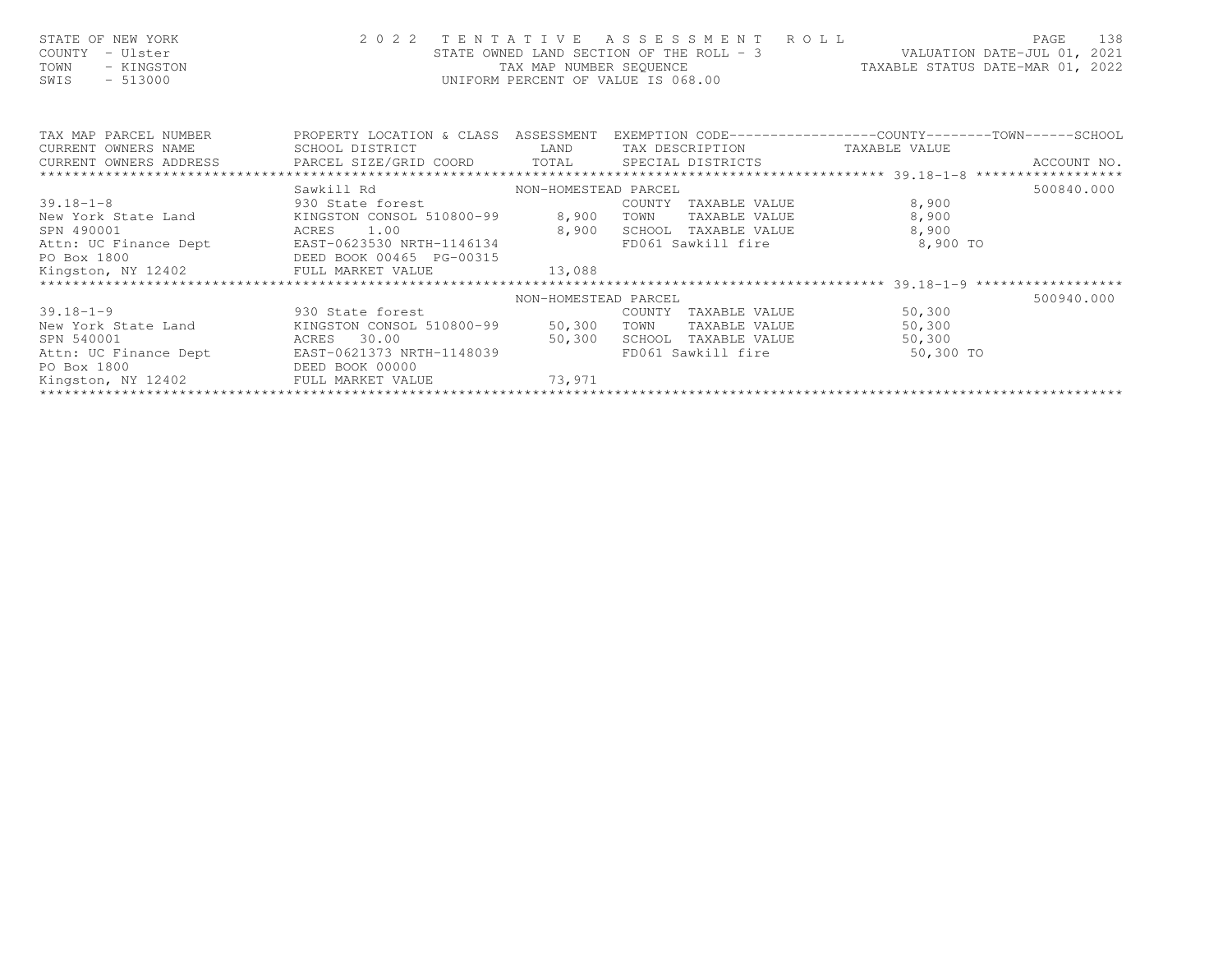| STATE OF NEW YORK<br>COUNTY - Ulster<br>- KINGSTON<br>TOWN<br>SWIS<br>$-513000$ |                                                                                                           |      | 2022 TENTATIVE ASSESSMENT ROLL<br>STATE OWNED LAND SECTION OF THE ROLL $-$ 3<br>TAX MAP NUMBER SEOUENCE<br>UNIFORM PERCENT OF VALUE IS 068.00 |                                                                               | 138<br>PAGE<br>VALUATION DATE-JUL 01, 2021<br>TAXABLE STATUS DATE-MAR 01, 2022 |
|---------------------------------------------------------------------------------|-----------------------------------------------------------------------------------------------------------|------|-----------------------------------------------------------------------------------------------------------------------------------------------|-------------------------------------------------------------------------------|--------------------------------------------------------------------------------|
| TAX MAP PARCEL NUMBER<br>CURRENT OWNERS NAME<br>CURRENT OWNERS ADDRESS          | PROPERTY LOCATION & CLASS ASSESSMENT<br>SCHOOL DISTRICT<br>PARCEL SIZE/GRID COORD TOTAL SPECIAL DISTRICTS | LAND | TAX DESCRIPTION                                                                                                                               | EXEMPTION CODE-----------------COUNTY-------TOWN------SCHOOL<br>TAXABLE VALUE | ACCOUNT NO.                                                                    |

|                                                        | Sawkill Rd                | NON-HOMESTEAD PARCEL |                    |                      |           | 500840.000 |
|--------------------------------------------------------|---------------------------|----------------------|--------------------|----------------------|-----------|------------|
| $39.18 - 1 - 8$                                        | 930 State forest          |                      | COUNTY             | TAXABLE VALUE        | 8,900     |            |
| New York State Land                                    | KINGSTON CONSOL 510800-99 | 8,900                | TOWN               | TAXABLE VALUE        | 8,900     |            |
| SPN 490001                                             | 1.00<br>ACRES             | 8,900                |                    | SCHOOL TAXABLE VALUE | 8,900     |            |
| Attn: UC Finance Dept                                  | EAST-0623530 NRTH-1146134 |                      | FD061 Sawkill fire |                      | 8,900 TO  |            |
| PO Box 1800                                            | DEED BOOK 00465 PG-00315  |                      |                    |                      |           |            |
| Kingston, NY 12402                   FULL MARKET VALUE |                           | 13,088               |                    |                      |           |            |
|                                                        |                           |                      |                    |                      |           |            |
|                                                        |                           | NON-HOMESTEAD PARCEL |                    |                      |           | 500940.000 |
| $39.18 - 1 - 9$                                        | 930 State forest          |                      | COUNTY             | TAXABLE VALUE        | 50,300    |            |
| New York State Land                                    | KINGSTON CONSOL 510800-99 | 50,300               | TOWN               | TAXABLE VALUE        | 50,300    |            |
| SPN 540001                                             | ACRES 30.00               | 50,300               |                    | SCHOOL TAXABLE VALUE | 50,300    |            |
| Attn: UC Finance Dept                                  | EAST-0621373 NRTH-1148039 |                      | FD061 Sawkill fire |                      | 50,300 TO |            |
| PO Box 1800                                            | DEED BOOK 00000           |                      |                    |                      |           |            |
| Kingston, NY 12402                                     | FULL MARKET VALUE         | 73,971               |                    |                      |           |            |
|                                                        |                           |                      |                    |                      |           |            |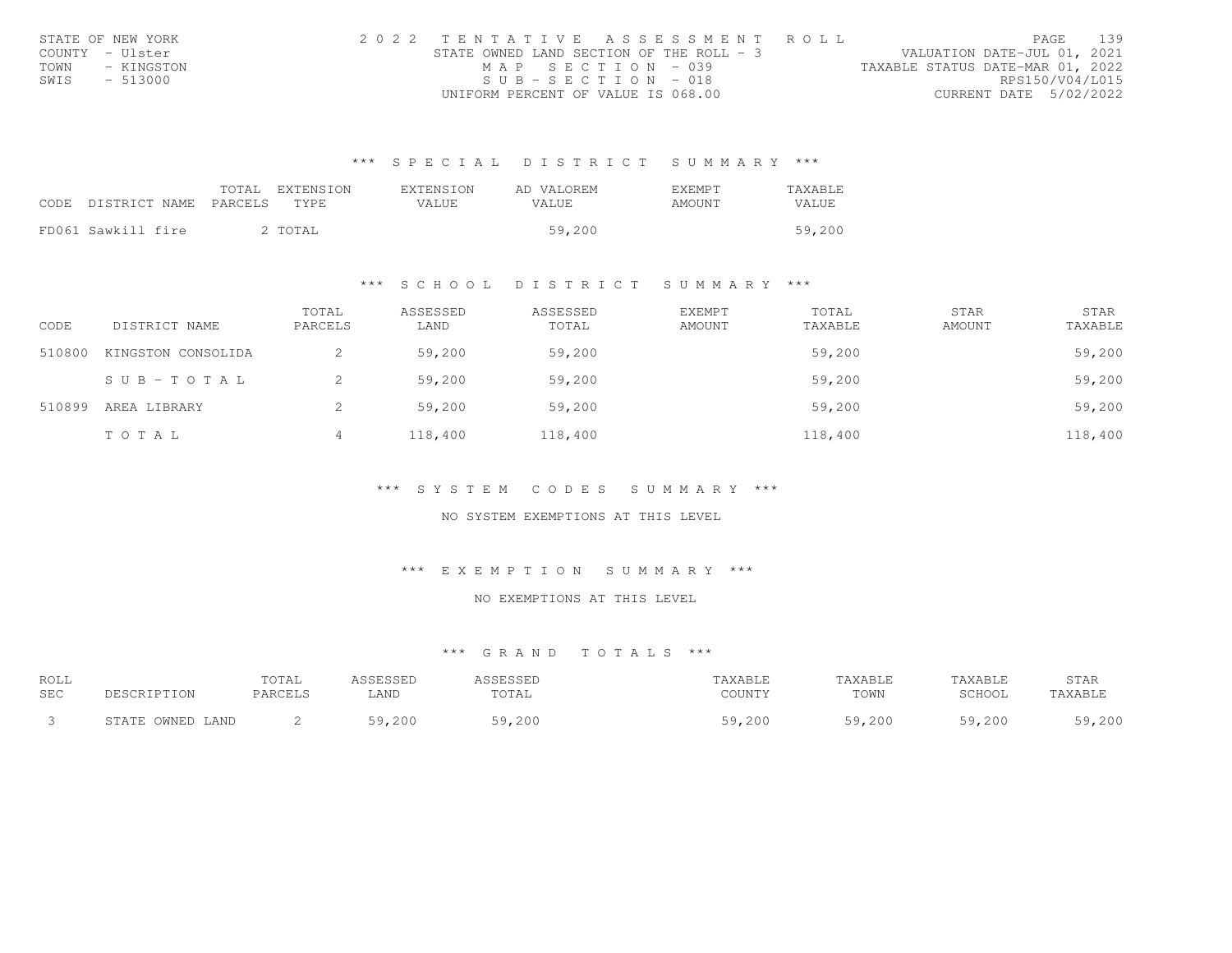| STATE OF NEW YORK  | 2022 TENTATIVE ASSESSMENT ROLL           | 139<br>PAGE                      |
|--------------------|------------------------------------------|----------------------------------|
| COUNTY - Ulster    | STATE OWNED LAND SECTION OF THE ROLL - 3 | VALUATION DATE-JUL 01, 2021      |
| TOWN<br>– KINGSTON | MAP SECTION - 039                        | TAXABLE STATUS DATE-MAR 01, 2022 |
| SWIS<br>- 513000   | $SUB - SECTION - 018$                    | RPS150/V04/L015                  |
|                    | UNIFORM PERCENT OF VALUE IS 068.00       | CURRENT DATE 5/02/2022           |

| CODE | DISTRICT NAME PARCELS | TOTAL EXTENSION<br>TYPF. | EXTENSION<br>VALUE. | AD VALOREM<br>VALUE. | <b>EXEMPT</b><br>AMOUNT | TAXABLE.<br>VALUE |
|------|-----------------------|--------------------------|---------------------|----------------------|-------------------------|-------------------|
|      | FD061 Sawkill fire    | 2 TOTAL                  |                     | 59,200               |                         | 59,200            |

#### \*\*\* S C H O O L D I S T R I C T S U M M A R Y \*\*\*

| CODE   | DISTRICT NAME      | TOTAL<br>PARCELS | ASSESSED<br>LAND | ASSESSED<br>TOTAL | <b>EXEMPT</b><br>AMOUNT | TOTAL<br>TAXABLE | STAR<br>AMOUNT | STAR<br>TAXABLE |
|--------|--------------------|------------------|------------------|-------------------|-------------------------|------------------|----------------|-----------------|
| 510800 | KINGSTON CONSOLIDA |                  | 59,200           | 59,200            |                         | 59,200           |                | 59,200          |
|        | SUB-TOTAL          |                  | 59,200           | 59,200            |                         | 59,200           |                | 59,200          |
| 510899 | AREA LIBRARY       |                  | 59,200           | 59,200            |                         | 59,200           |                | 59,200          |
|        | TOTAL              |                  | 118,400          | 118,400           |                         | 118,400          |                | 118,400         |

\*\*\* S Y S T E M C O D E S S U M M A R Y \*\*\*

NO SYSTEM EXEMPTIONS AT THIS LEVEL

\*\*\* E X E M P T I O N S U M M A R Y \*\*\*

NO EXEMPTIONS AT THIS LEVEL

| ROLL       |                  | TOTAL   | ASSESSED | ASSESSED | 'AXABLE | TAXABLE | TAXABLE | STAR<br>the contract of the contract of |
|------------|------------------|---------|----------|----------|---------|---------|---------|-----------------------------------------|
| <b>SEC</b> | DESCRIPTION      | PARCELS | LAND     | TOTAL    | COUNTY  | TOWN    | SCHOOL  | TAXABLE                                 |
|            | STATE OWNED LAND |         | 59,200   | 59,200   | 59,200  | 59,200  | 59,200  | 59,200                                  |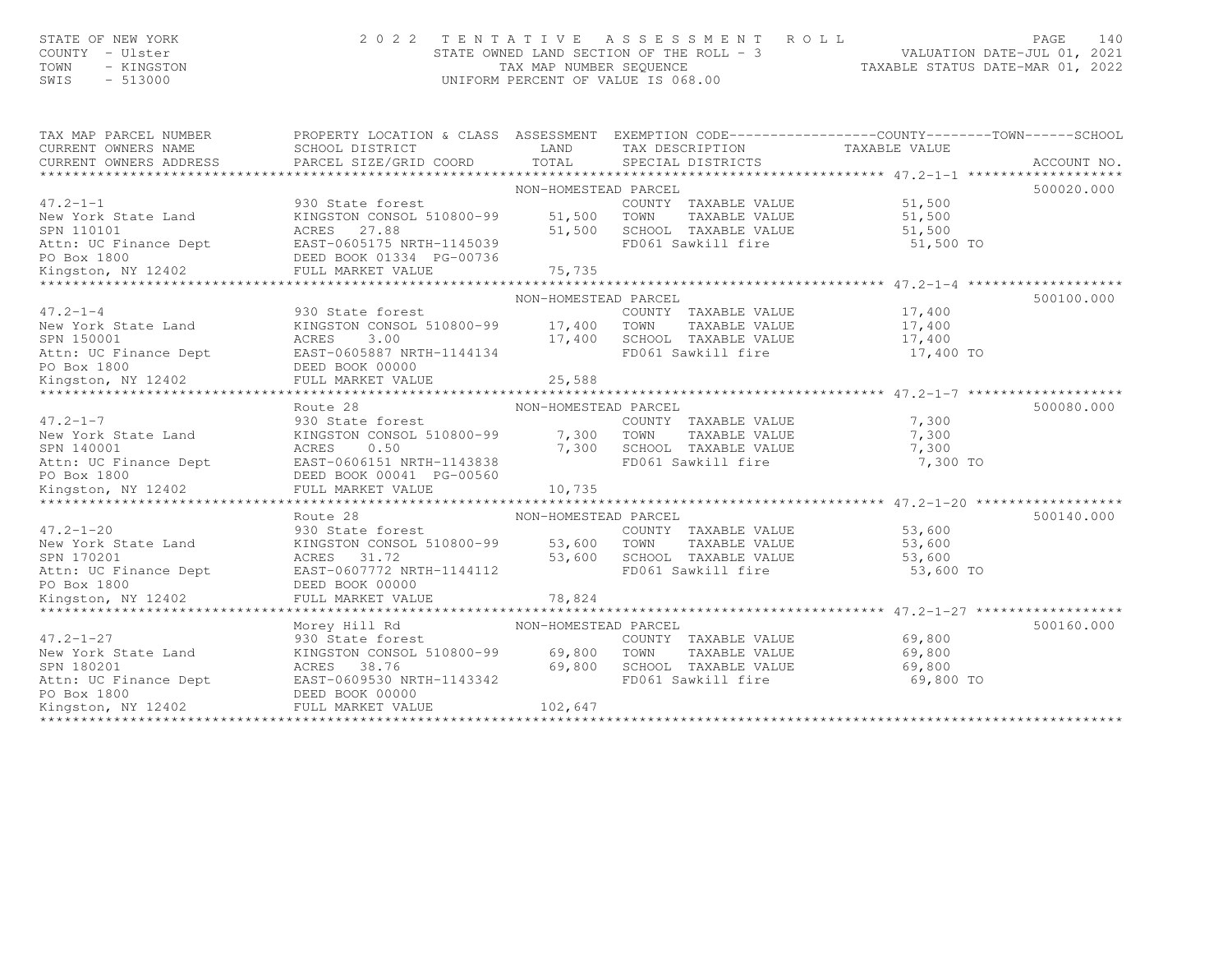# STATE OF NEW YORK CONTY - USE A Many of the Magnus of the Magnus of the Magnus of the Magnus of the Magnus of the STATE OWNED LAND SECTION OF THE ROLL - 3 (COUNTY - Ulster 1901, 2021 and STATE OWNED LAND SECTION OF THE ROL

| TAX MAP PARCEL NUMBER                                                                                                                                                                                                                                        | PROPERTY LOCATION & CLASS ASSESSMENT EXEMPTION CODE----------------COUNTY-------TOWN------SCHOOL                                                                       |                      |                                                                                                                   |            |
|--------------------------------------------------------------------------------------------------------------------------------------------------------------------------------------------------------------------------------------------------------------|------------------------------------------------------------------------------------------------------------------------------------------------------------------------|----------------------|-------------------------------------------------------------------------------------------------------------------|------------|
|                                                                                                                                                                                                                                                              |                                                                                                                                                                        |                      |                                                                                                                   |            |
|                                                                                                                                                                                                                                                              |                                                                                                                                                                        | NON-HOMESTEAD PARCEL |                                                                                                                   | 500020.000 |
|                                                                                                                                                                                                                                                              |                                                                                                                                                                        |                      | COUNTY TAXABLE VALUE 51,500<br>TOWN TAXABLE VALUE 51,500                                                          |            |
|                                                                                                                                                                                                                                                              |                                                                                                                                                                        |                      |                                                                                                                   |            |
|                                                                                                                                                                                                                                                              |                                                                                                                                                                        |                      |                                                                                                                   |            |
|                                                                                                                                                                                                                                                              |                                                                                                                                                                        |                      |                                                                                                                   |            |
|                                                                                                                                                                                                                                                              |                                                                                                                                                                        |                      |                                                                                                                   |            |
|                                                                                                                                                                                                                                                              |                                                                                                                                                                        |                      |                                                                                                                   |            |
|                                                                                                                                                                                                                                                              |                                                                                                                                                                        |                      |                                                                                                                   |            |
|                                                                                                                                                                                                                                                              |                                                                                                                                                                        | NON-HOMESTEAD PARCEL |                                                                                                                   | 500100.000 |
|                                                                                                                                                                                                                                                              |                                                                                                                                                                        |                      | COUNTY TAXABLE VALUE 17,400                                                                                       |            |
|                                                                                                                                                                                                                                                              |                                                                                                                                                                        |                      |                                                                                                                   |            |
|                                                                                                                                                                                                                                                              |                                                                                                                                                                        |                      |                                                                                                                   |            |
|                                                                                                                                                                                                                                                              |                                                                                                                                                                        |                      |                                                                                                                   |            |
|                                                                                                                                                                                                                                                              |                                                                                                                                                                        |                      |                                                                                                                   |            |
|                                                                                                                                                                                                                                                              |                                                                                                                                                                        |                      |                                                                                                                   |            |
| 47.2-1-4<br>New York State Land<br>SPN 150001<br>SPN 150001<br>SPN 150001<br>EASTON CONSOL 510800-99<br>EASTON CONSOL 510800-99<br>IT,400<br>IT,400<br>IT,400<br>CONTY TAXABLE VALUE<br>CONTY TAXABLE VALUE<br>TOWN TAXABLE VALUE<br>IT,400<br>IT,400<br>IT, |                                                                                                                                                                        |                      |                                                                                                                   |            |
|                                                                                                                                                                                                                                                              | Route 28 MON-HOMESTEAD PARCEL<br>930 State forest MON-HOMESTEAD PARCEL                                                                                                 |                      |                                                                                                                   | 500080.000 |
| $47.2 - 1 - 7$                                                                                                                                                                                                                                               |                                                                                                                                                                        |                      |                                                                                                                   |            |
|                                                                                                                                                                                                                                                              |                                                                                                                                                                        |                      |                                                                                                                   |            |
|                                                                                                                                                                                                                                                              |                                                                                                                                                                        |                      | COUNTY TAXABLE VALUE 7,300<br>TOWN TAXABLE VALUE 7,300<br>SCHOOL TAXABLE VALUE 7,300<br>TOMOL TAXABLE VALUE 7,300 |            |
|                                                                                                                                                                                                                                                              |                                                                                                                                                                        |                      | FD061 Sawkill fire 7,300 TO                                                                                       |            |
|                                                                                                                                                                                                                                                              |                                                                                                                                                                        |                      |                                                                                                                   |            |
|                                                                                                                                                                                                                                                              |                                                                                                                                                                        |                      |                                                                                                                   |            |
|                                                                                                                                                                                                                                                              |                                                                                                                                                                        |                      |                                                                                                                   |            |
|                                                                                                                                                                                                                                                              |                                                                                                                                                                        | NON-HOMESTEAD PARCEL |                                                                                                                   | 500140.000 |
|                                                                                                                                                                                                                                                              | Route 28 NON-HOMEST<br>930 State forest NON-HOMEST                                                                                                                     |                      |                                                                                                                   |            |
|                                                                                                                                                                                                                                                              |                                                                                                                                                                        |                      |                                                                                                                   |            |
|                                                                                                                                                                                                                                                              |                                                                                                                                                                        |                      |                                                                                                                   |            |
|                                                                                                                                                                                                                                                              |                                                                                                                                                                        |                      |                                                                                                                   |            |
|                                                                                                                                                                                                                                                              |                                                                                                                                                                        |                      |                                                                                                                   |            |
|                                                                                                                                                                                                                                                              |                                                                                                                                                                        |                      |                                                                                                                   |            |
|                                                                                                                                                                                                                                                              |                                                                                                                                                                        |                      |                                                                                                                   |            |
|                                                                                                                                                                                                                                                              |                                                                                                                                                                        |                      |                                                                                                                   | 500160.000 |
| $47.2 - 1 - 27$                                                                                                                                                                                                                                              |                                                                                                                                                                        |                      | COUNTY TAXABLE VALUE 69,800                                                                                       |            |
|                                                                                                                                                                                                                                                              |                                                                                                                                                                        |                      |                                                                                                                   |            |
| New York State Land<br>SPN 180201                                                                                                                                                                                                                            | KINGSTON CONSOL 510800-99 69,800 TOWN TAXABLE VALUE 69,800<br>ACRES 38.76 69,800 SCHOOL TAXABLE VALUE 69,800<br>EAST-0609530 NRTH-1143342 FD061 Sawkill fire 69,800 TO |                      |                                                                                                                   |            |
|                                                                                                                                                                                                                                                              |                                                                                                                                                                        |                      |                                                                                                                   |            |
|                                                                                                                                                                                                                                                              |                                                                                                                                                                        |                      |                                                                                                                   |            |
| SPN 180201<br>ACRES 38.76 69,800<br>Attn: UC Finance Dept<br>EAST-0609530 NRTH-1143342<br>PO Box 1800<br>Kingston, NY 12402<br>FULL MARKET VALUE 102,647                                                                                                     |                                                                                                                                                                        |                      |                                                                                                                   |            |
|                                                                                                                                                                                                                                                              |                                                                                                                                                                        |                      |                                                                                                                   |            |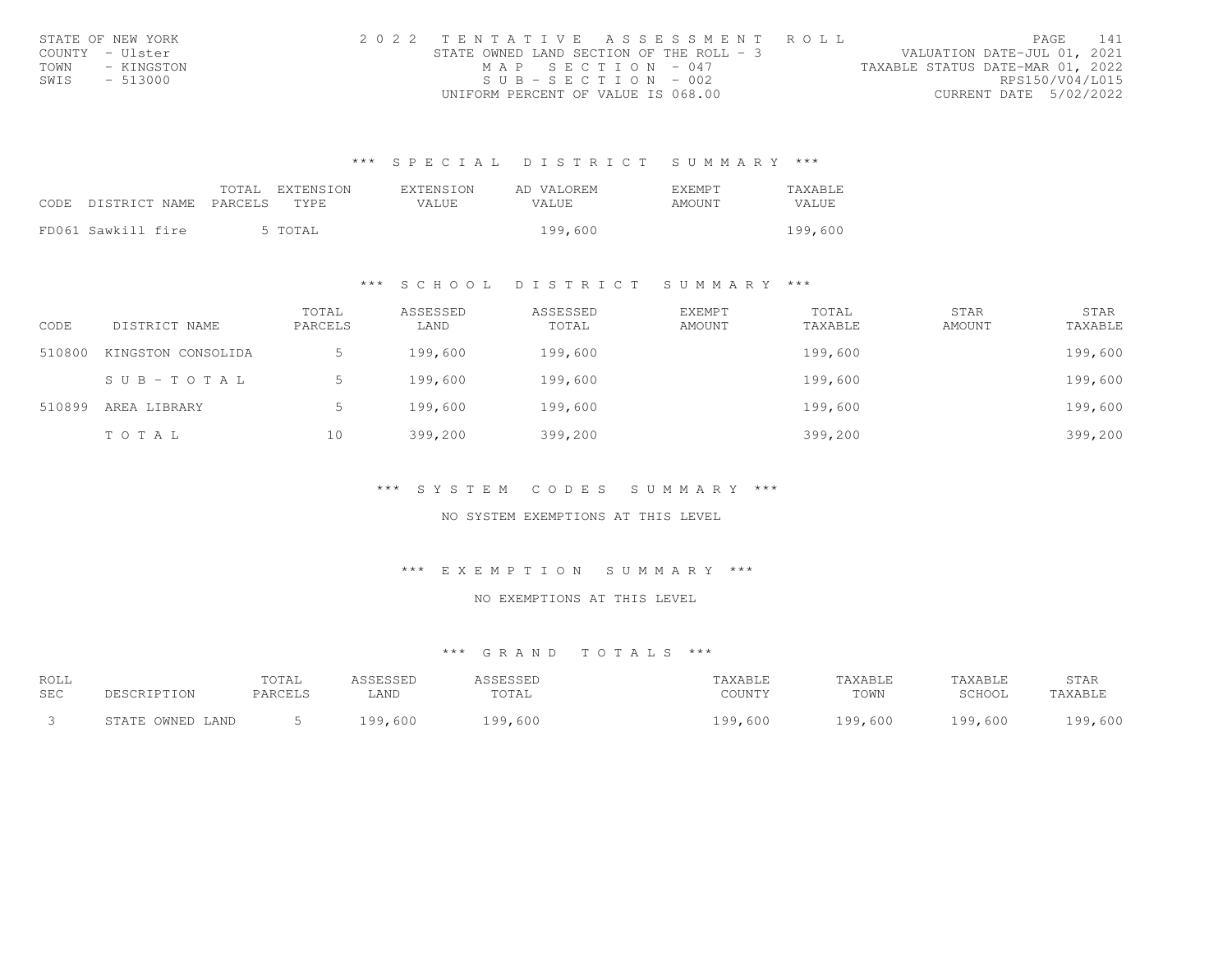| STATE OF NEW YORK  | 2022 TENTATIVE ASSESSMENT ROLL           | 141<br>PAGE.                     |
|--------------------|------------------------------------------|----------------------------------|
| COUNTY - Ulster    | STATE OWNED LAND SECTION OF THE ROLL - 3 | VALUATION DATE-JUL 01, 2021      |
| TOWN<br>- KINGSTON | MAP SECTION - 047                        | TAXABLE STATUS DATE-MAR 01, 2022 |
| SWIS<br>- 513000   | $SUB - SECTION - 002$                    | RPS150/V04/L015                  |
|                    | UNIFORM PERCENT OF VALUE IS 068.00       | CURRENT DATE 5/02/2022           |

| CODE DISTRICT NAME PARCELS | TOTAL EXTENSION<br>TYPE | EXTENSION<br>VALUE. | AD VALOREM<br><b>VALUE</b> | <b>F.XFMPT</b><br>AMOUNT | TAXABLE<br>VALUE |
|----------------------------|-------------------------|---------------------|----------------------------|--------------------------|------------------|
| FD061 Sawkill fire         | 5 TOTAL                 |                     | 199,600                    |                          | 199,600          |

#### \*\*\* S C H O O L D I S T R I C T S U M M A R Y \*\*\*

| CODE   | DISTRICT NAME      | TOTAL<br>PARCELS | ASSESSED<br>LAND | ASSESSED<br>TOTAL | <b>EXEMPT</b><br>AMOUNT | TOTAL<br>TAXABLE | STAR<br><b>AMOUNT</b> | STAR<br>TAXABLE |
|--------|--------------------|------------------|------------------|-------------------|-------------------------|------------------|-----------------------|-----------------|
| 510800 | KINGSTON CONSOLIDA |                  | 199,600          | 199,600           |                         | 199,600          |                       | 199,600         |
|        | SUB-TOTAL          | 5                | 199,600          | 199,600           |                         | 199,600          |                       | 199,600         |
| 510899 | AREA LIBRARY       |                  | 199,600          | 199,600           |                         | 199,600          |                       | 199,600         |
|        | TOTAL              | 10               | 399,200          | 399,200           |                         | 399,200          |                       | 399,200         |

\*\*\* S Y S T E M C O D E S S U M M A R Y \*\*\*

NO SYSTEM EXEMPTIONS AT THIS LEVEL

\*\*\* E X E M P T I O N S U M M A R Y \*\*\*

#### NO EXEMPTIONS AT THIS LEVEL

| ROLL       |                  | TOTAL   | ASSESSED | ASSESSED | TAXABLE | TAXABLE | TAXABLE | STAR    |
|------------|------------------|---------|----------|----------|---------|---------|---------|---------|
| <b>SEC</b> | DESCRIPTION      | PARCELS | ∴AND     | TOTAL    | COUNTY  | TOWN    | SCHOOL  | TAXABLE |
|            | STATE OWNED LAND |         | 199,600  | 199,600  | 199,600 | 199,600 | 199,600 | 199,600 |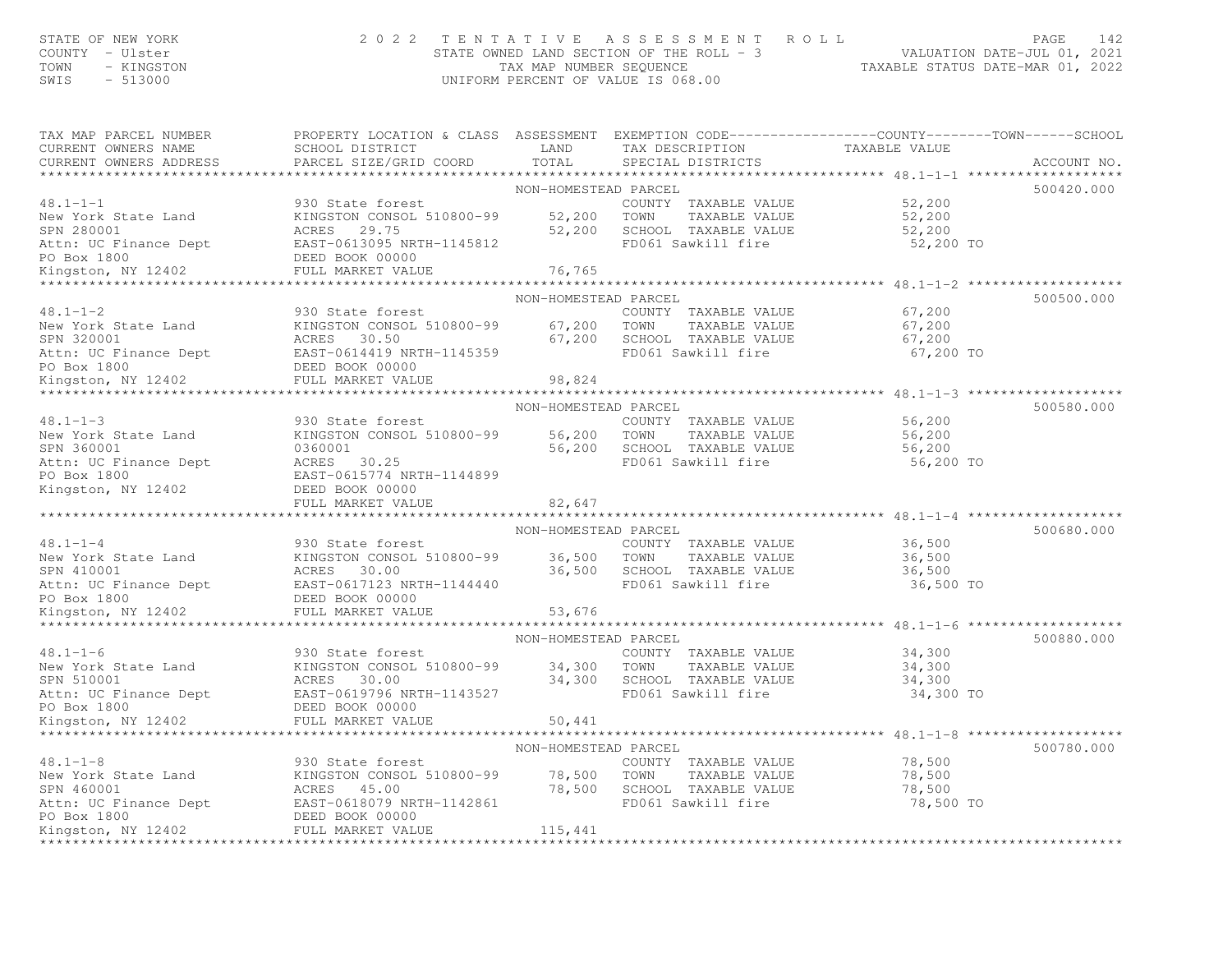# STATE OF NEW YORK CONTY - USE A Many of the Magnus of the Magnus of the Magnus of the Magnus of the Magnus of the STATE OWNED LAND SECTION OF THE ROLL - 3 (2010)<br>COUNTY - Ulster (2011) TAXABLE STATUR MARE SUBMUSER SEQUENCE

| TAX MAP PARCEL NUMBER<br>CURRENT OWNERS NAME                                                                                                                                                                                                                                                                                                                                                   | PROPERTY LOCATION & CLASS ASSESSMENT EXEMPTION CODE---------------COUNTY-------TOWN------SCHOOL |                      |  |           |             |
|------------------------------------------------------------------------------------------------------------------------------------------------------------------------------------------------------------------------------------------------------------------------------------------------------------------------------------------------------------------------------------------------|-------------------------------------------------------------------------------------------------|----------------------|--|-----------|-------------|
| CURRENT OWNERS ADDRESS PARCEL SIZE/GRID COORD TOTAL                                                                                                                                                                                                                                                                                                                                            |                                                                                                 |                      |  |           | ACCOUNT NO. |
|                                                                                                                                                                                                                                                                                                                                                                                                |                                                                                                 | NON-HOMESTEAD PARCEL |  |           | 500420.000  |
|                                                                                                                                                                                                                                                                                                                                                                                                |                                                                                                 |                      |  |           |             |
|                                                                                                                                                                                                                                                                                                                                                                                                |                                                                                                 |                      |  |           |             |
|                                                                                                                                                                                                                                                                                                                                                                                                |                                                                                                 |                      |  |           |             |
|                                                                                                                                                                                                                                                                                                                                                                                                |                                                                                                 |                      |  |           |             |
|                                                                                                                                                                                                                                                                                                                                                                                                |                                                                                                 |                      |  |           |             |
|                                                                                                                                                                                                                                                                                                                                                                                                |                                                                                                 |                      |  |           |             |
| $\begin{tabular}{lllllllllll} \multicolumn{3}{c}{\begin{tabular}{l} $48.1-1-1$ & $930$ state forest \\ New York State Land & KINGSTON CONSOL 510800-99 & $52,200$ & TONN TAXABLE VALUE & $52,200$ \\ SRN 280001 & ACRES & 29.75 & $52,200$ & SCHOOL 510800-99 & $52,200$ & SCHOOL TAXABLE VALUE & $52,200$ \\ \multicolumn{3}{c}{\begin{tabular}{l} $52,200$ & $52,200$ & $52,200$ & $52,200$$ |                                                                                                 |                      |  |           |             |
|                                                                                                                                                                                                                                                                                                                                                                                                |                                                                                                 | NON-HOMESTEAD PARCEL |  |           | 500500.000  |
|                                                                                                                                                                                                                                                                                                                                                                                                |                                                                                                 |                      |  |           |             |
|                                                                                                                                                                                                                                                                                                                                                                                                |                                                                                                 |                      |  |           |             |
|                                                                                                                                                                                                                                                                                                                                                                                                |                                                                                                 |                      |  |           |             |
|                                                                                                                                                                                                                                                                                                                                                                                                |                                                                                                 |                      |  |           |             |
|                                                                                                                                                                                                                                                                                                                                                                                                |                                                                                                 |                      |  |           |             |
|                                                                                                                                                                                                                                                                                                                                                                                                |                                                                                                 |                      |  |           |             |
|                                                                                                                                                                                                                                                                                                                                                                                                |                                                                                                 | NON-HOMESTEAD PARCEL |  |           | 500580.000  |
| 48.1-1-3<br>NON-HOMESTEAD PARCEL<br>New York State Land<br>SPN 360001<br>SPN 360001<br>Attn: UC Finance Dept<br>PO Box 1800<br>SPN 360001<br>26,200<br>Acres 30.25<br>PO Box 1800<br>EAST-0615774 NRTH-1144899<br>EED BOOK 00000<br>FULL MARKET VALUE<br>P                                                                                                                                     |                                                                                                 |                      |  |           |             |
|                                                                                                                                                                                                                                                                                                                                                                                                |                                                                                                 |                      |  |           |             |
|                                                                                                                                                                                                                                                                                                                                                                                                |                                                                                                 |                      |  |           |             |
|                                                                                                                                                                                                                                                                                                                                                                                                |                                                                                                 |                      |  |           |             |
|                                                                                                                                                                                                                                                                                                                                                                                                |                                                                                                 |                      |  |           |             |
|                                                                                                                                                                                                                                                                                                                                                                                                |                                                                                                 |                      |  |           |             |
|                                                                                                                                                                                                                                                                                                                                                                                                | FULL MARKET VALUE                                                                               | 82,647               |  |           |             |
|                                                                                                                                                                                                                                                                                                                                                                                                |                                                                                                 |                      |  |           |             |
|                                                                                                                                                                                                                                                                                                                                                                                                |                                                                                                 | NON-HOMESTEAD PARCEL |  |           | 500680.000  |
|                                                                                                                                                                                                                                                                                                                                                                                                |                                                                                                 |                      |  |           |             |
|                                                                                                                                                                                                                                                                                                                                                                                                |                                                                                                 |                      |  |           |             |
|                                                                                                                                                                                                                                                                                                                                                                                                |                                                                                                 |                      |  |           |             |
|                                                                                                                                                                                                                                                                                                                                                                                                |                                                                                                 |                      |  |           |             |
|                                                                                                                                                                                                                                                                                                                                                                                                |                                                                                                 |                      |  |           |             |
|                                                                                                                                                                                                                                                                                                                                                                                                |                                                                                                 |                      |  |           |             |
|                                                                                                                                                                                                                                                                                                                                                                                                |                                                                                                 | NON-HOMESTEAD PARCEL |  |           | 500880.000  |
| 48.1-1-6<br>New York State Land and EINGSTON CONSOL 510800-99<br>SPN 510001 ACRES 30.00<br>ACRES 30.00 ACRES 30.00 34,300 CONNY TAXABLE VALUE 34,300<br>ACRES 30.00 BAST-0619796 NRTH-1143527 FD061 Sawkill fire 34,300 5CHOOL TAXAB                                                                                                                                                           |                                                                                                 |                      |  |           |             |
|                                                                                                                                                                                                                                                                                                                                                                                                |                                                                                                 |                      |  |           |             |
|                                                                                                                                                                                                                                                                                                                                                                                                |                                                                                                 |                      |  |           |             |
|                                                                                                                                                                                                                                                                                                                                                                                                |                                                                                                 |                      |  |           |             |
|                                                                                                                                                                                                                                                                                                                                                                                                |                                                                                                 |                      |  |           |             |
|                                                                                                                                                                                                                                                                                                                                                                                                |                                                                                                 |                      |  |           |             |
|                                                                                                                                                                                                                                                                                                                                                                                                |                                                                                                 |                      |  |           | 500780.000  |
|                                                                                                                                                                                                                                                                                                                                                                                                |                                                                                                 | NON-HOMESTEAD PARCEL |  |           |             |
|                                                                                                                                                                                                                                                                                                                                                                                                |                                                                                                 |                      |  |           |             |
|                                                                                                                                                                                                                                                                                                                                                                                                |                                                                                                 |                      |  |           |             |
|                                                                                                                                                                                                                                                                                                                                                                                                |                                                                                                 |                      |  | 78,500 TO |             |
| 48.1-1-8<br>NON-HOMESIEAD PARCEL<br>New York State Land<br>SPN 460001<br>SPN 460001<br>ACRES 45.00<br>ACRES 45.00<br>ERD BOOK 00000<br>PO Box 1800<br>EED BOOK 00000<br>FULL MARKET VALUE<br>FOOS 200000<br>EED BOOK 00000<br>EED BOOK 00000<br>FULL MARKE                                                                                                                                     |                                                                                                 |                      |  |           |             |
|                                                                                                                                                                                                                                                                                                                                                                                                |                                                                                                 |                      |  |           |             |
|                                                                                                                                                                                                                                                                                                                                                                                                |                                                                                                 |                      |  |           |             |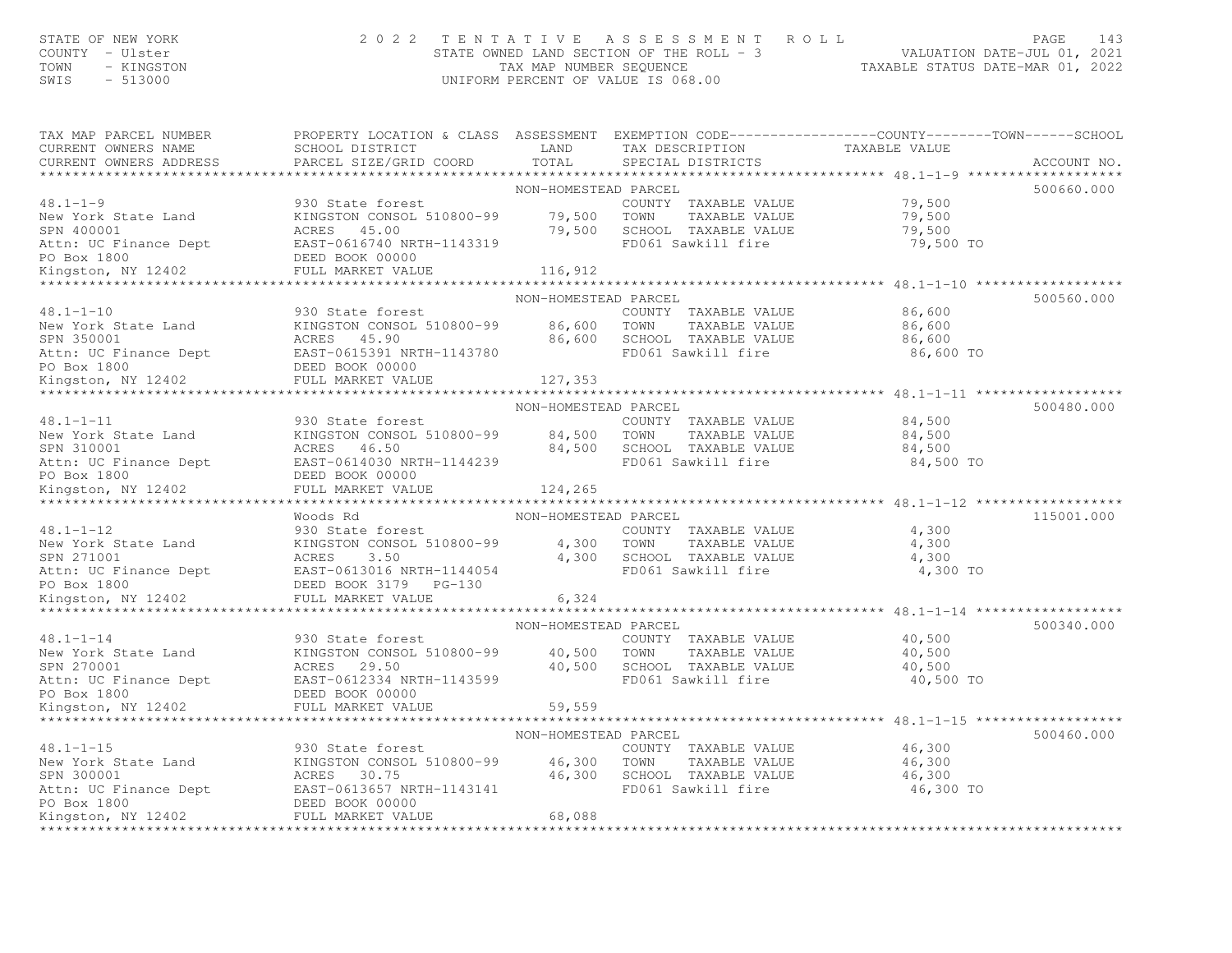# STATE OF NEW YORK CORRECTED A 2022 TENTATIVE ASSESSMENT ROLL PALUATION DATE-JUL 01, 2021<br>COUNTY - Ulster CONTERN COUNTY - TAXING STATE OWNER SALUATION OF THE ROLL - 3 VALUATION DATE-JUL 01, 2021<br>TAXABLE STATUS DATE-MAR 01,

| NON-HOMESTEAD PARCEL<br>500660.000<br>48.1-1-9<br>NON-HOMESTEAD PARCEL<br>NON-HOMESTEAD PARCEL<br>NON-HOMESTEAD PARCEL<br>COUNTY TAXABLE VALUE<br>TAXABLE VALUE<br>TAXABLE VALUE<br>TAXABLE VALUE<br>TAXABLE VALUE<br>TAXABLE VALUE<br>TAXABLE VALUE<br>TAXABLE VALUE<br>TAXABLE VALUE<br>TAXA<br>500560.000<br>NON-HOMESTEAD PARCEL<br>500480.000<br>NON-HOMESTEAD PARCEL<br>NON-HOMESTEAD PARCEL<br>115001.000<br>Woods Rd<br>noods Rd<br>930 State forest<br>48.1-1-12<br>WOW TOWN TAXABLE VALUE<br>New York State Land<br>SPN 271001<br>ACRES 3.50<br>ACRES 3.50<br>ACRES 3.50<br>ACRES 3.50<br>ACRES 3.50<br>ACRES 3.50<br>ACRES 3.50<br>ACRES 3.50<br>ACRES 3.50<br>EDD61 Sawkill fire<br>DO BOK 3179 PG-130<br>Kingst<br>500340.000<br>500460.000<br>NON-HOMESTEAD PARCEL | TAX MAP PARCEL NUMBER<br>CURRENT OWNERS NAME | PROPERTY LOCATION & CLASS ASSESSMENT EXEMPTION CODE---------------COUNTY-------TOWN------SCHOOL |  |  |
|----------------------------------------------------------------------------------------------------------------------------------------------------------------------------------------------------------------------------------------------------------------------------------------------------------------------------------------------------------------------------------------------------------------------------------------------------------------------------------------------------------------------------------------------------------------------------------------------------------------------------------------------------------------------------------------------------------------------------------------------------------------------------------|----------------------------------------------|-------------------------------------------------------------------------------------------------|--|--|
|                                                                                                                                                                                                                                                                                                                                                                                                                                                                                                                                                                                                                                                                                                                                                                                  |                                              |                                                                                                 |  |  |
|                                                                                                                                                                                                                                                                                                                                                                                                                                                                                                                                                                                                                                                                                                                                                                                  |                                              |                                                                                                 |  |  |
|                                                                                                                                                                                                                                                                                                                                                                                                                                                                                                                                                                                                                                                                                                                                                                                  |                                              |                                                                                                 |  |  |
|                                                                                                                                                                                                                                                                                                                                                                                                                                                                                                                                                                                                                                                                                                                                                                                  |                                              |                                                                                                 |  |  |
|                                                                                                                                                                                                                                                                                                                                                                                                                                                                                                                                                                                                                                                                                                                                                                                  |                                              |                                                                                                 |  |  |
|                                                                                                                                                                                                                                                                                                                                                                                                                                                                                                                                                                                                                                                                                                                                                                                  |                                              |                                                                                                 |  |  |
|                                                                                                                                                                                                                                                                                                                                                                                                                                                                                                                                                                                                                                                                                                                                                                                  |                                              |                                                                                                 |  |  |
|                                                                                                                                                                                                                                                                                                                                                                                                                                                                                                                                                                                                                                                                                                                                                                                  |                                              |                                                                                                 |  |  |
|                                                                                                                                                                                                                                                                                                                                                                                                                                                                                                                                                                                                                                                                                                                                                                                  |                                              |                                                                                                 |  |  |
|                                                                                                                                                                                                                                                                                                                                                                                                                                                                                                                                                                                                                                                                                                                                                                                  |                                              |                                                                                                 |  |  |
|                                                                                                                                                                                                                                                                                                                                                                                                                                                                                                                                                                                                                                                                                                                                                                                  |                                              |                                                                                                 |  |  |
|                                                                                                                                                                                                                                                                                                                                                                                                                                                                                                                                                                                                                                                                                                                                                                                  |                                              |                                                                                                 |  |  |
|                                                                                                                                                                                                                                                                                                                                                                                                                                                                                                                                                                                                                                                                                                                                                                                  |                                              |                                                                                                 |  |  |
|                                                                                                                                                                                                                                                                                                                                                                                                                                                                                                                                                                                                                                                                                                                                                                                  |                                              |                                                                                                 |  |  |
|                                                                                                                                                                                                                                                                                                                                                                                                                                                                                                                                                                                                                                                                                                                                                                                  |                                              |                                                                                                 |  |  |
|                                                                                                                                                                                                                                                                                                                                                                                                                                                                                                                                                                                                                                                                                                                                                                                  |                                              |                                                                                                 |  |  |
|                                                                                                                                                                                                                                                                                                                                                                                                                                                                                                                                                                                                                                                                                                                                                                                  |                                              |                                                                                                 |  |  |
|                                                                                                                                                                                                                                                                                                                                                                                                                                                                                                                                                                                                                                                                                                                                                                                  |                                              |                                                                                                 |  |  |
|                                                                                                                                                                                                                                                                                                                                                                                                                                                                                                                                                                                                                                                                                                                                                                                  |                                              |                                                                                                 |  |  |
|                                                                                                                                                                                                                                                                                                                                                                                                                                                                                                                                                                                                                                                                                                                                                                                  |                                              |                                                                                                 |  |  |
|                                                                                                                                                                                                                                                                                                                                                                                                                                                                                                                                                                                                                                                                                                                                                                                  |                                              |                                                                                                 |  |  |
|                                                                                                                                                                                                                                                                                                                                                                                                                                                                                                                                                                                                                                                                                                                                                                                  |                                              |                                                                                                 |  |  |
|                                                                                                                                                                                                                                                                                                                                                                                                                                                                                                                                                                                                                                                                                                                                                                                  |                                              |                                                                                                 |  |  |
|                                                                                                                                                                                                                                                                                                                                                                                                                                                                                                                                                                                                                                                                                                                                                                                  |                                              |                                                                                                 |  |  |
|                                                                                                                                                                                                                                                                                                                                                                                                                                                                                                                                                                                                                                                                                                                                                                                  |                                              |                                                                                                 |  |  |
|                                                                                                                                                                                                                                                                                                                                                                                                                                                                                                                                                                                                                                                                                                                                                                                  |                                              |                                                                                                 |  |  |
|                                                                                                                                                                                                                                                                                                                                                                                                                                                                                                                                                                                                                                                                                                                                                                                  |                                              |                                                                                                 |  |  |
|                                                                                                                                                                                                                                                                                                                                                                                                                                                                                                                                                                                                                                                                                                                                                                                  |                                              |                                                                                                 |  |  |
|                                                                                                                                                                                                                                                                                                                                                                                                                                                                                                                                                                                                                                                                                                                                                                                  |                                              |                                                                                                 |  |  |
|                                                                                                                                                                                                                                                                                                                                                                                                                                                                                                                                                                                                                                                                                                                                                                                  |                                              |                                                                                                 |  |  |
|                                                                                                                                                                                                                                                                                                                                                                                                                                                                                                                                                                                                                                                                                                                                                                                  |                                              |                                                                                                 |  |  |
|                                                                                                                                                                                                                                                                                                                                                                                                                                                                                                                                                                                                                                                                                                                                                                                  |                                              |                                                                                                 |  |  |
|                                                                                                                                                                                                                                                                                                                                                                                                                                                                                                                                                                                                                                                                                                                                                                                  |                                              |                                                                                                 |  |  |
|                                                                                                                                                                                                                                                                                                                                                                                                                                                                                                                                                                                                                                                                                                                                                                                  |                                              |                                                                                                 |  |  |
|                                                                                                                                                                                                                                                                                                                                                                                                                                                                                                                                                                                                                                                                                                                                                                                  |                                              |                                                                                                 |  |  |
|                                                                                                                                                                                                                                                                                                                                                                                                                                                                                                                                                                                                                                                                                                                                                                                  |                                              |                                                                                                 |  |  |
|                                                                                                                                                                                                                                                                                                                                                                                                                                                                                                                                                                                                                                                                                                                                                                                  |                                              |                                                                                                 |  |  |
|                                                                                                                                                                                                                                                                                                                                                                                                                                                                                                                                                                                                                                                                                                                                                                                  |                                              |                                                                                                 |  |  |
|                                                                                                                                                                                                                                                                                                                                                                                                                                                                                                                                                                                                                                                                                                                                                                                  |                                              |                                                                                                 |  |  |
|                                                                                                                                                                                                                                                                                                                                                                                                                                                                                                                                                                                                                                                                                                                                                                                  |                                              |                                                                                                 |  |  |
|                                                                                                                                                                                                                                                                                                                                                                                                                                                                                                                                                                                                                                                                                                                                                                                  |                                              |                                                                                                 |  |  |
|                                                                                                                                                                                                                                                                                                                                                                                                                                                                                                                                                                                                                                                                                                                                                                                  |                                              |                                                                                                 |  |  |
|                                                                                                                                                                                                                                                                                                                                                                                                                                                                                                                                                                                                                                                                                                                                                                                  |                                              |                                                                                                 |  |  |
|                                                                                                                                                                                                                                                                                                                                                                                                                                                                                                                                                                                                                                                                                                                                                                                  |                                              |                                                                                                 |  |  |
|                                                                                                                                                                                                                                                                                                                                                                                                                                                                                                                                                                                                                                                                                                                                                                                  |                                              |                                                                                                 |  |  |
|                                                                                                                                                                                                                                                                                                                                                                                                                                                                                                                                                                                                                                                                                                                                                                                  |                                              |                                                                                                 |  |  |
|                                                                                                                                                                                                                                                                                                                                                                                                                                                                                                                                                                                                                                                                                                                                                                                  |                                              |                                                                                                 |  |  |
| 48.1-1-15<br>NON-HOMESIEAD PARCEL<br>NEW York State Land<br>SPN 300001<br>ACRES 30.75<br>ALTISTOR MARKET VALUE<br>ACRES 30.75<br>ALTISTOR MARKET VALUE<br>PO Box 1800<br>DEED BOOK 00000<br>ACRES BOOK 00000<br>ACRES 30.75<br>EAST-0613657 NRTH-11431                                                                                                                                                                                                                                                                                                                                                                                                                                                                                                                           |                                              |                                                                                                 |  |  |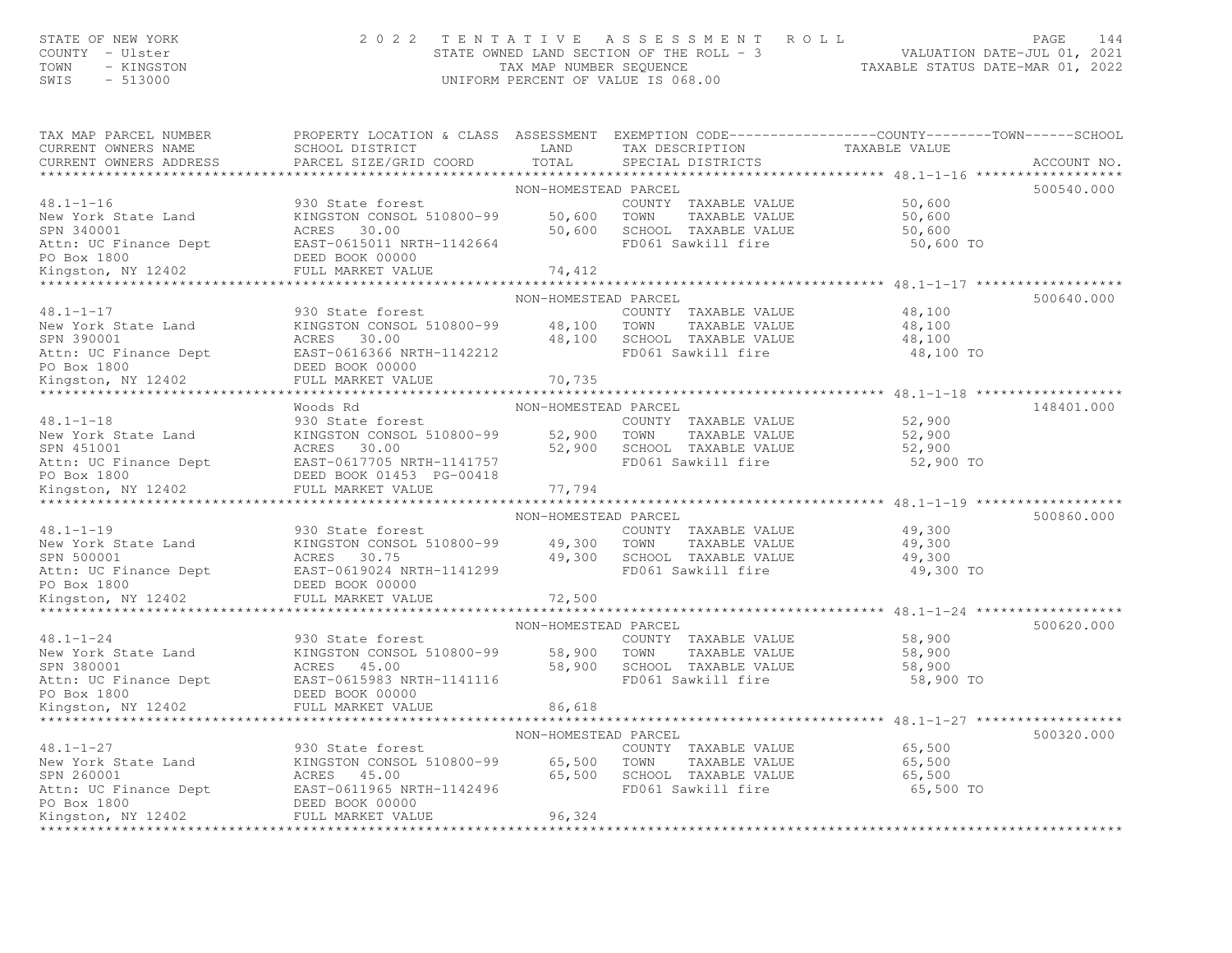# STATE OF NEW YORK CONTY - USE A Many of the Magnus of the Magnus of the Magnus of the Magnus of the Magnus of the STATE OWNED LAND SECTION OF THE ROLL - 3 (2010)<br>COUNTY - Ulster (2011) TAXABLE STATUR OF THE ROLL - 3 (2011)

| TAX MAP PARCEL NUMBER<br>CURRENT OWNERS NAME<br>CURRENT OWNERS ADDRESS                                                                                                                                                                                                                                                                                                                                             | PROPERTY LOCATION & CLASS ASSESSMENT EXEMPTION CODE----------------COUNTY-------TOWN------SCHOOL |                      |                                                          |           |            |
|--------------------------------------------------------------------------------------------------------------------------------------------------------------------------------------------------------------------------------------------------------------------------------------------------------------------------------------------------------------------------------------------------------------------|--------------------------------------------------------------------------------------------------|----------------------|----------------------------------------------------------|-----------|------------|
|                                                                                                                                                                                                                                                                                                                                                                                                                    |                                                                                                  |                      |                                                          |           |            |
|                                                                                                                                                                                                                                                                                                                                                                                                                    |                                                                                                  | NON-HOMESTEAD PARCEL |                                                          |           | 500540.000 |
|                                                                                                                                                                                                                                                                                                                                                                                                                    |                                                                                                  |                      |                                                          |           |            |
|                                                                                                                                                                                                                                                                                                                                                                                                                    |                                                                                                  |                      |                                                          |           |            |
|                                                                                                                                                                                                                                                                                                                                                                                                                    |                                                                                                  |                      |                                                          |           |            |
|                                                                                                                                                                                                                                                                                                                                                                                                                    |                                                                                                  |                      |                                                          |           |            |
|                                                                                                                                                                                                                                                                                                                                                                                                                    |                                                                                                  |                      |                                                          |           |            |
| $\begin{tabular}{lllllllllllll} \multicolumn{3}{c }{\textbf{48.1--1-16}} & \multicolumn{3}{c }{\textbf{930 State forest}} & \multicolumn{3}{c }{\textbf{50, 600}} & \multicolumn{3}{c }{\textbf{50, 600}} & \multicolumn{3}{c }{\textbf{50, 600}} & \multicolumn{3}{c }{\textbf{50, 600}} & \multicolumn{3}{c }{\textbf{50, 600}} & \multicolumn{3}{c }{\textbf{50, 600}} & \multicolumn{3}{c }{\textbf{50, 600}}$ |                                                                                                  |                      |                                                          |           |            |
|                                                                                                                                                                                                                                                                                                                                                                                                                    |                                                                                                  |                      |                                                          |           |            |
|                                                                                                                                                                                                                                                                                                                                                                                                                    |                                                                                                  | NON-HOMESTEAD PARCEL |                                                          |           | 500640.000 |
|                                                                                                                                                                                                                                                                                                                                                                                                                    |                                                                                                  |                      | COUNTY TAXABLE VALUE                                     | 48,100    |            |
|                                                                                                                                                                                                                                                                                                                                                                                                                    |                                                                                                  |                      |                                                          |           |            |
|                                                                                                                                                                                                                                                                                                                                                                                                                    |                                                                                                  |                      |                                                          |           |            |
|                                                                                                                                                                                                                                                                                                                                                                                                                    |                                                                                                  |                      |                                                          |           |            |
|                                                                                                                                                                                                                                                                                                                                                                                                                    |                                                                                                  |                      |                                                          |           |            |
| $\begin{tabular}{lllllllllllll} 48.1-1-17 & 930 State forest & 200NTY TAXABLE VALUE & 48,100\nNew York State Land & KINSSTON CONSOL 510800-99 & 48,100 TOMN & TAXABLE VALUE & 48,100\nSPN 390001 & 2000 & 48,100 & 48,100 & 5000 & 48,100 & 48,100 & 48,100\\ & 20001 & 20001 & 2000 & 48,100 & 5000 & 48,100 & 5000 & 48,100$                                                                                     |                                                                                                  |                      |                                                          |           |            |
|                                                                                                                                                                                                                                                                                                                                                                                                                    | Woods Rd                                                                                         | NON-HOMESTEAD PARCEL |                                                          |           | 148401.000 |
|                                                                                                                                                                                                                                                                                                                                                                                                                    |                                                                                                  |                      |                                                          |           |            |
|                                                                                                                                                                                                                                                                                                                                                                                                                    |                                                                                                  |                      |                                                          |           |            |
|                                                                                                                                                                                                                                                                                                                                                                                                                    |                                                                                                  |                      |                                                          |           |            |
|                                                                                                                                                                                                                                                                                                                                                                                                                    |                                                                                                  |                      |                                                          |           |            |
|                                                                                                                                                                                                                                                                                                                                                                                                                    |                                                                                                  |                      |                                                          |           |            |
|                                                                                                                                                                                                                                                                                                                                                                                                                    |                                                                                                  |                      |                                                          |           |            |
| 48.1-1-18<br>New York State Land<br>SPN 451001<br>SPN 451001<br>ERS 30.00<br>ERS 30.00<br>ERS 30.00<br>ERS 30.00<br>ERS 30.00<br>ERS 30.00<br>ERS 30.00<br>ERS 30.00<br>ERS 30.00<br>ERS 100 SCHOOL TAXABLE VALUE<br>FUG1 Sawkill fire<br>FUG1 Sawkill fire<br>                                                                                                                                                    |                                                                                                  |                      |                                                          |           |            |
|                                                                                                                                                                                                                                                                                                                                                                                                                    |                                                                                                  | NON-HOMESTEAD PARCEL |                                                          |           | 500860.000 |
|                                                                                                                                                                                                                                                                                                                                                                                                                    |                                                                                                  |                      |                                                          |           |            |
|                                                                                                                                                                                                                                                                                                                                                                                                                    |                                                                                                  |                      |                                                          |           |            |
|                                                                                                                                                                                                                                                                                                                                                                                                                    |                                                                                                  |                      |                                                          |           |            |
| 48.1-1-19<br>New York State Land MINGSTON CONSOL 510800-99<br>SPN 500001 ACRES 30.75<br>EAST ON TAXABLE VALUE 49,300<br>ACRES 30.75<br>ACRES 30.75<br>PO Box 1800 BEED BOOK 00000<br>EDLIMARKET VALUE 72,500<br>TEULL MARKET VALUE 72,500<br>TEU                                                                                                                                                                   |                                                                                                  |                      |                                                          |           |            |
|                                                                                                                                                                                                                                                                                                                                                                                                                    |                                                                                                  |                      |                                                          |           |            |
|                                                                                                                                                                                                                                                                                                                                                                                                                    |                                                                                                  |                      |                                                          |           |            |
|                                                                                                                                                                                                                                                                                                                                                                                                                    |                                                                                                  |                      |                                                          |           |            |
|                                                                                                                                                                                                                                                                                                                                                                                                                    |                                                                                                  | NON-HOMESTEAD PARCEL |                                                          |           | 500620.000 |
|                                                                                                                                                                                                                                                                                                                                                                                                                    |                                                                                                  |                      |                                                          |           |            |
|                                                                                                                                                                                                                                                                                                                                                                                                                    |                                                                                                  |                      |                                                          |           |            |
|                                                                                                                                                                                                                                                                                                                                                                                                                    |                                                                                                  |                      |                                                          |           |            |
|                                                                                                                                                                                                                                                                                                                                                                                                                    |                                                                                                  |                      |                                                          | 58,900 TO |            |
|                                                                                                                                                                                                                                                                                                                                                                                                                    |                                                                                                  |                      |                                                          |           |            |
|                                                                                                                                                                                                                                                                                                                                                                                                                    |                                                                                                  |                      |                                                          |           |            |
|                                                                                                                                                                                                                                                                                                                                                                                                                    |                                                                                                  |                      |                                                          |           |            |
|                                                                                                                                                                                                                                                                                                                                                                                                                    |                                                                                                  | NON-HOMESTEAD PARCEL |                                                          |           | 500320.000 |
|                                                                                                                                                                                                                                                                                                                                                                                                                    |                                                                                                  |                      | COUNTY TAXABLE VALUE 65,500<br>TOWN TAXABLE VALUE 65,500 |           |            |
|                                                                                                                                                                                                                                                                                                                                                                                                                    |                                                                                                  |                      |                                                          |           |            |
|                                                                                                                                                                                                                                                                                                                                                                                                                    |                                                                                                  |                      |                                                          | 65,500    |            |
|                                                                                                                                                                                                                                                                                                                                                                                                                    |                                                                                                  |                      |                                                          | 65,500 TO |            |
| 48.1-1-27 930 State forest<br>New York State Land<br>SPN 260001 RINGSTON CONSOL 510800-99 65,500 TOWN TAXABLE VALUE<br>SPN 260001 ACRES 45.00 65,500 SCHOOL TAXABLE VALUE<br>Attn: UC Finance Dept EAST-0611965 NRTH-1142496 FD061 Saw                                                                                                                                                                             |                                                                                                  |                      |                                                          |           |            |
|                                                                                                                                                                                                                                                                                                                                                                                                                    |                                                                                                  |                      |                                                          |           |            |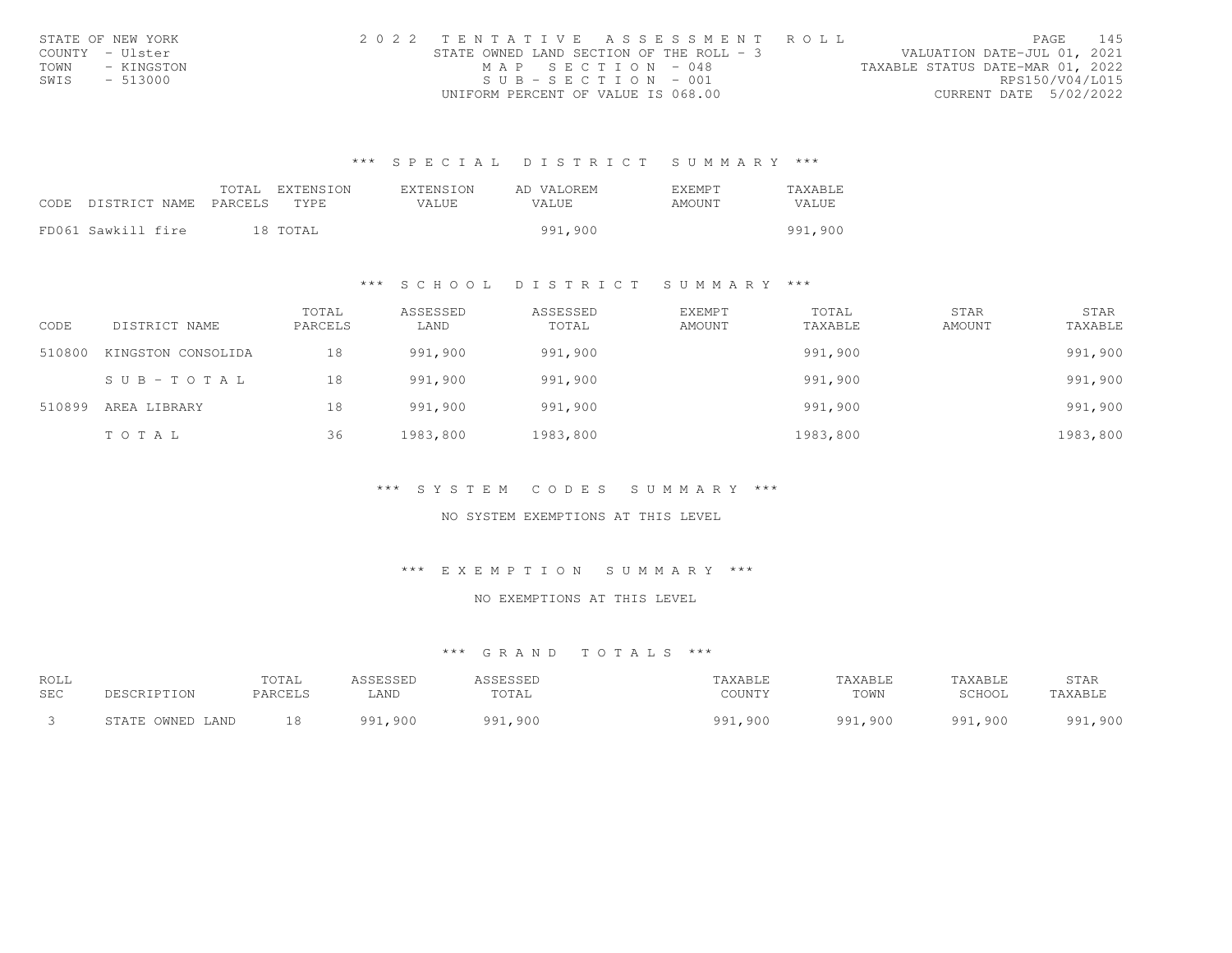| STATE OF NEW YORK  | 2022 TENTATIVE ASSESSMENT ROLL           | 145<br>PAGE.                     |
|--------------------|------------------------------------------|----------------------------------|
| COUNTY - Ulster    | STATE OWNED LAND SECTION OF THE ROLL - 3 | VALUATION DATE-JUL 01, 2021      |
| TOWN<br>- KINGSTON | MAP SECTION - 048                        | TAXABLE STATUS DATE-MAR 01, 2022 |
| SWIS<br>- 513000   | SUB-SECTION - 001                        | RPS150/V04/L015                  |
|                    | UNIFORM PERCENT OF VALUE IS 068.00       | CURRENT DATE 5/02/2022           |

|                                 | TOTAL | EXTENSION | EXTENSION | AD VALOREM | EXEMPT | TAXABLE      |
|---------------------------------|-------|-----------|-----------|------------|--------|--------------|
| CODE DISTRICT NAME PARCELS TYPE |       |           | VALUE.    | VALUE.     | AMOUNT | <b>VALUE</b> |
|                                 |       |           |           |            |        |              |
| FD061 Sawkill fire              |       | 18 TOTAL  |           | 991,900    |        | 991,900      |

# \*\*\* S C H O O L D I S T R I C T S U M M A R Y \*\*\*

| CODE   | DISTRICT NAME      | TOTAL<br>PARCELS | ASSESSED<br>LAND | ASSESSED<br>TOTAL | <b>EXEMPT</b><br>AMOUNT | TOTAL<br>TAXABLE | STAR<br>AMOUNT | STAR<br>TAXABLE |
|--------|--------------------|------------------|------------------|-------------------|-------------------------|------------------|----------------|-----------------|
| 510800 | KINGSTON CONSOLIDA | 18               | 991,900          | 991,900           |                         | 991,900          |                | 991,900         |
|        | SUB-TOTAL          | 18               | 991,900          | 991,900           |                         | 991,900          |                | 991,900         |
| 510899 | AREA LIBRARY       | 18               | 991,900          | 991,900           |                         | 991,900          |                | 991,900         |
|        | TOTAL              | 36               | 1983,800         | 1983,800          |                         | 1983,800         |                | 1983,800        |

\*\*\* S Y S T E M C O D E S S U M M A R Y \*\*\*

NO SYSTEM EXEMPTIONS AT THIS LEVEL

\*\*\* E X E M P T I O N S U M M A R Y \*\*\*

NO EXEMPTIONS AT THIS LEVEL

| ROLL       |                  | TOTAL   | ASSESSED | ASSESSED | TAXABLE | TAXABLE | TAXABLE | STAR    |
|------------|------------------|---------|----------|----------|---------|---------|---------|---------|
| <b>SEC</b> | DESCRIPTION      | PARCELS | LAND     | TOTAL    | COUNTY  | TOWN    | SCHOOL  | TAXABLE |
|            | STATE OWNED LAND | 18      | 991,900  | 991,900  | 991,900 | 991,900 | 991,900 | 991,900 |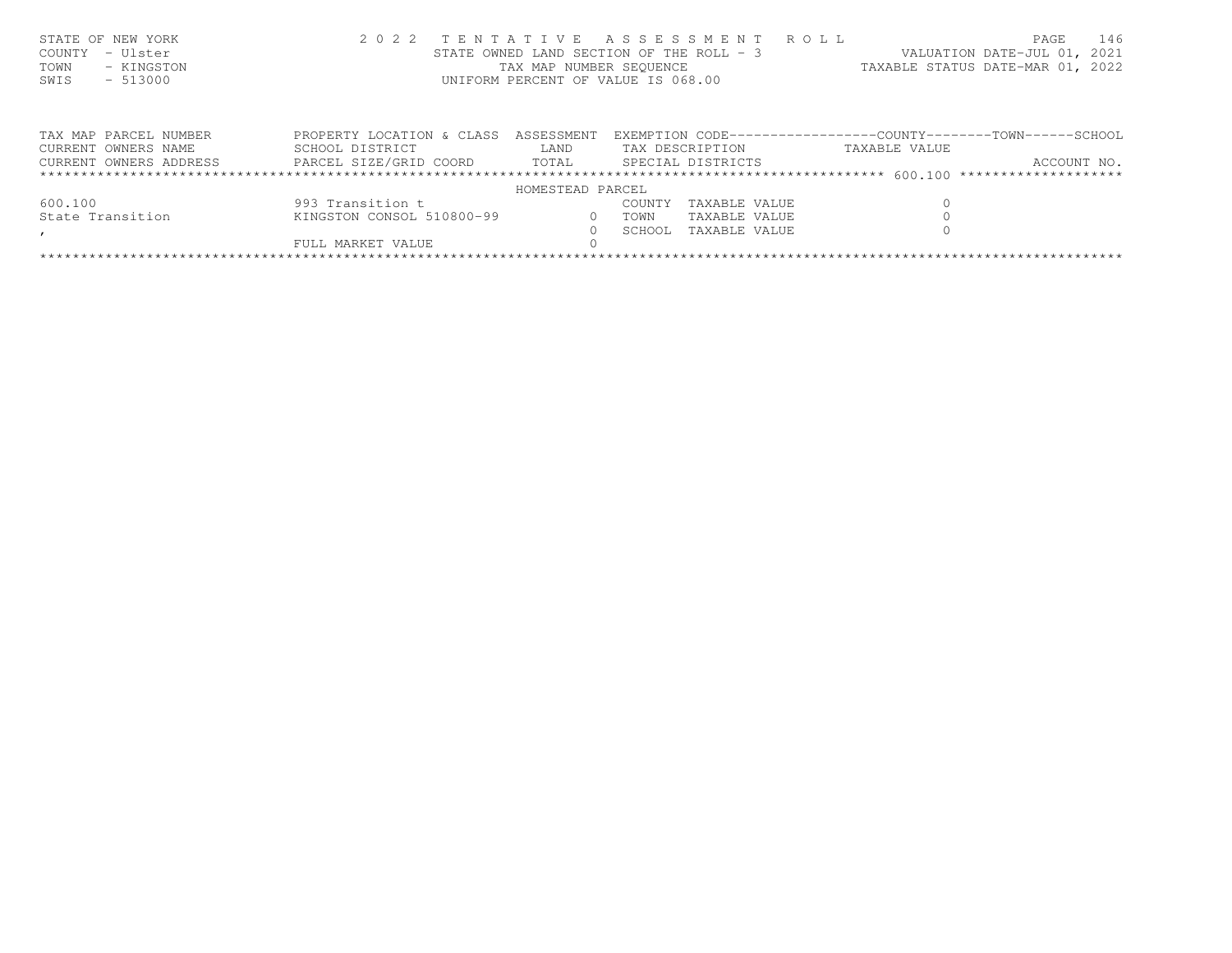| STATE OF NEW YORK  | 2022 TENTATIVE ASSESSMENT ROLL           | 146<br>PAGE                      |
|--------------------|------------------------------------------|----------------------------------|
| COUNTY - Ulster    | STATE OWNED LAND SECTION OF THE ROLL - 3 | VALUATION DATE-JUL 01, 2021      |
| TOWN<br>- KINGSTON | TAX MAP NUMBER SEOUENCE                  | TAXABLE STATUS DATE-MAR 01, 2022 |
| $-513000$<br>SWIS  | UNIFORM PERCENT OF VALUE IS 068.00       |                                  |
|                    |                                          |                                  |
|                    |                                          |                                  |

| TAX MAP PARCEL NUMBER  | PROPERTY LOCATION & CLASS ASSESSMENT |          |        |                   |               | EXEMPTION CODE-----------------COUNTY-------TOWN------SCHOOL |  |  |  |
|------------------------|--------------------------------------|----------|--------|-------------------|---------------|--------------------------------------------------------------|--|--|--|
| CURRENT OWNERS NAME    | SCHOOL DISTRICT                      | LAND     |        | TAX DESCRIPTION   | TAXABLE VALUE |                                                              |  |  |  |
| CURRENT OWNERS ADDRESS | PARCEL SIZE/GRID COORD               | TOTAL    |        | SPECIAL DISTRICTS |               | ACCOUNT NO.                                                  |  |  |  |
|                        |                                      |          |        |                   |               |                                                              |  |  |  |
| HOMESTEAD PARCEL       |                                      |          |        |                   |               |                                                              |  |  |  |
| 600.100                | 993 Transition t                     |          | COUNTY | TAXABLE VALUE     |               |                                                              |  |  |  |
| State Transition       | KINGSTON CONSOL 510800-99            | $\Omega$ | TOWN   | TAXABLE VALUE     |               |                                                              |  |  |  |
|                        |                                      |          | SCHOOL | TAXABLE VALUE     |               |                                                              |  |  |  |
|                        | FULL MARKET VALUE                    |          |        |                   |               |                                                              |  |  |  |
|                        |                                      |          |        |                   |               |                                                              |  |  |  |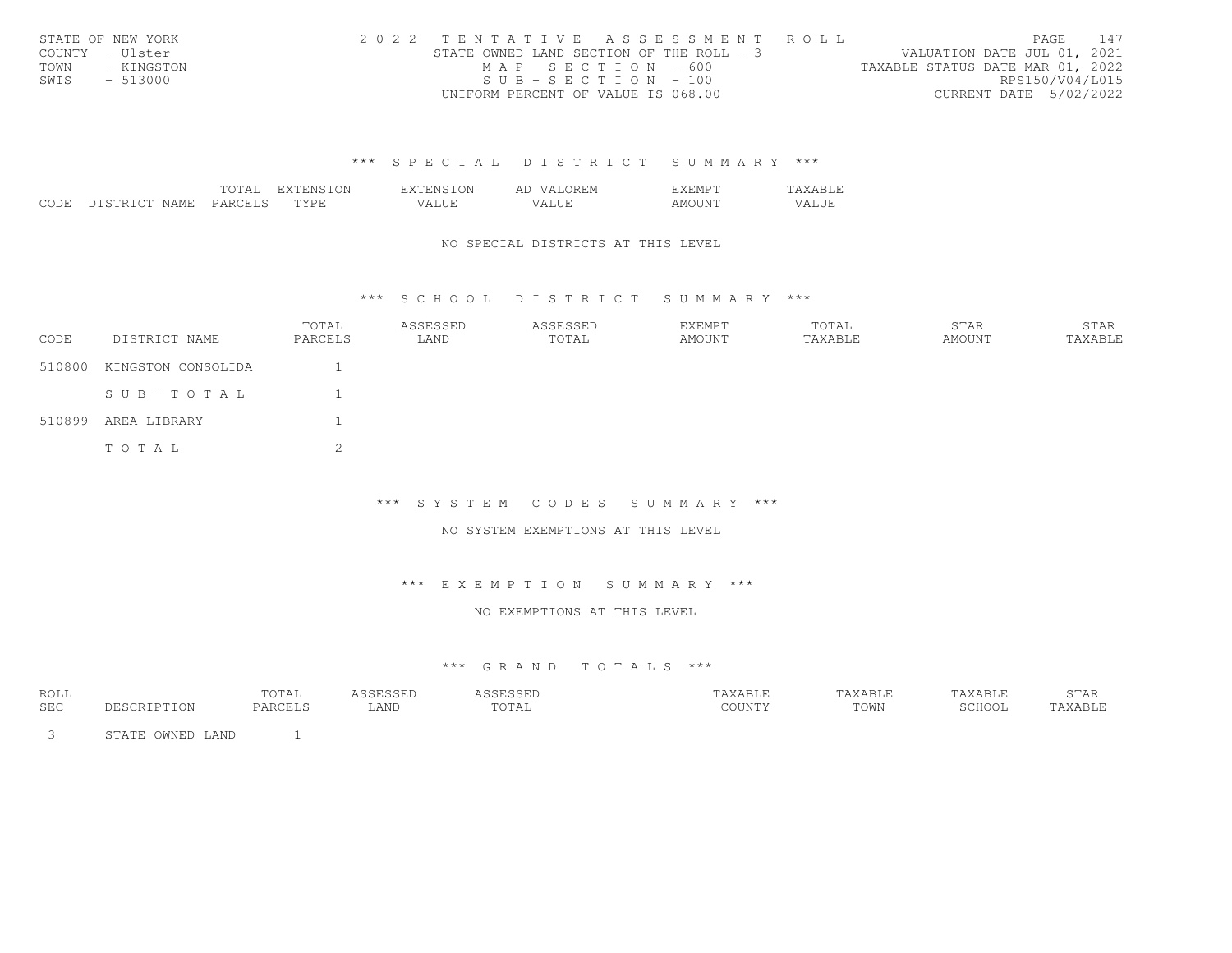| STATE OF NEW YORK  | 2022 TENTATIVE ASSESSMENT ROLL           |                                  | PAGE. | 147 |
|--------------------|------------------------------------------|----------------------------------|-------|-----|
| COUNTY - Ulster    | STATE OWNED LAND SECTION OF THE ROLL - 3 | VALUATION DATE-JUL 01, 2021      |       |     |
| TOWN<br>- KINGSTON | MAP SECTION - 600                        | TAXABLE STATUS DATE-MAR 01, 2022 |       |     |
| SWIS<br>- 513000   | $SUB - SECTION - 100$                    | RPS150/V04/L015                  |       |     |
|                    | UNIFORM PERCENT OF VALUE IS 068.00       | CURRENT DATE 5/02/2022           |       |     |

|      |                    | TOTAL   | .XTENSION | EXTENSION | OREM<br>AD.<br>$\sqrt{\Lambda}$ | 7.XFMPT    | AYARTT<br>ADI |
|------|--------------------|---------|-----------|-----------|---------------------------------|------------|---------------|
| CODE | DISTRICT.<br>NAME. | PARCELS | TYPL      | VALUE     | 77T<br>ALUL                     | $AMOIIN^T$ | VALUE         |

### NO SPECIAL DISTRICTS AT THIS LEVEL

# \*\*\* S C H O O L D I S T R I C T S U M M A R Y \*\*\*

| CODE   | DISTRICT NAME      | TOTAL<br>PARCELS | ASSESSED<br>LAND | ASSESSED<br>TOTAL | <b>EXEMPT</b><br>AMOUNT | TOTAL<br>TAXABLE | STAR<br>AMOUNT | STAR<br>TAXABLE |
|--------|--------------------|------------------|------------------|-------------------|-------------------------|------------------|----------------|-----------------|
| 510800 | KINGSTON CONSOLIDA |                  |                  |                   |                         |                  |                |                 |
|        | SUB-TOTAL          |                  |                  |                   |                         |                  |                |                 |
| 510899 | AREA LIBRARY       |                  |                  |                   |                         |                  |                |                 |
|        | TOTAL              | $\bigcirc$<br>∠  |                  |                   |                         |                  |                |                 |

#### \*\*\* S Y S T E M C O D E S S U M M A R Y \*\*\*

### NO SYSTEM EXEMPTIONS AT THIS LEVEL

### \*\*\* E X E M P T I O N S U M M A R Y \*\*\*

### NO EXEMPTIONS AT THIS LEVEL

### \*\*\* G R A N D T O T A L S \*\*\*

| ROLL       |             | TOTAL   | ASSESSED | ASSESSED       | TAXABLE | TAXABLE | TAXABLE | <b>STAR</b> |
|------------|-------------|---------|----------|----------------|---------|---------|---------|-------------|
| <b>SEC</b> | DESCRIPTION | PARCELS | LAND     | roma:<br>TOTAL | COUNTY  | TOWN    | SCHOOL  | "AXABLE     |
|            |             |         |          |                |         |         |         |             |

3 STATE OWNED LAND 1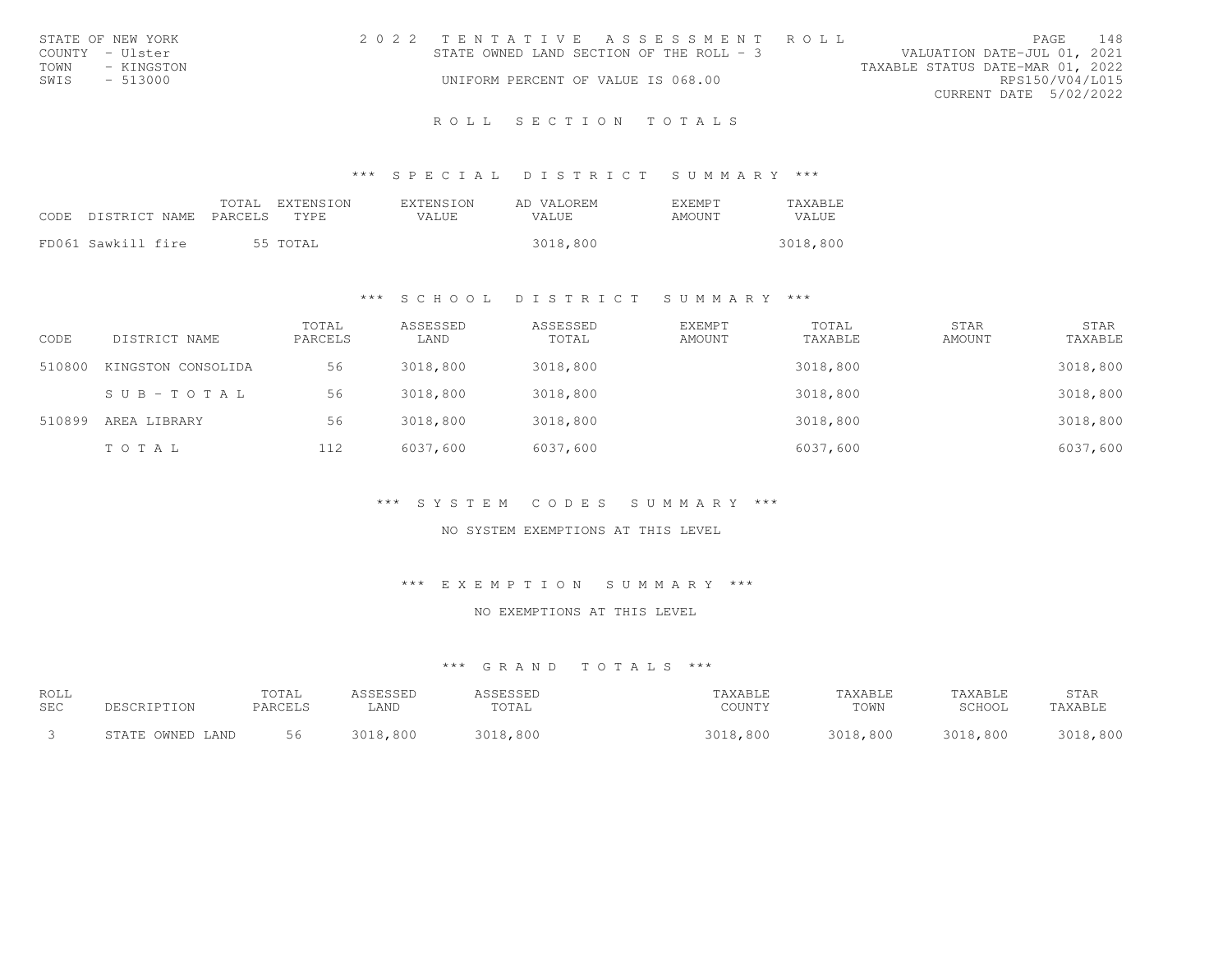| STATE OF NEW YORK  | 2022 TENTATIVE ASSESSMENT ROLL           | 148<br>PAGE                      |
|--------------------|------------------------------------------|----------------------------------|
| COUNTY - Ulster    | STATE OWNED LAND SECTION OF THE ROLL - 3 | VALUATION DATE-JUL 01, 2021      |
| TOWN<br>- KINGSTON |                                          | TAXABLE STATUS DATE-MAR 01, 2022 |
| SWTS<br>- 513000   | UNIFORM PERCENT OF VALUE IS 068.00       | RPS150/V04/L015                  |
|                    |                                          | CURRENT DATE 5/02/2022           |

# ROLL SECTION TOTALS

\*\*\* S P E C I A L D I S T R I C T S U M M A R Y \*\*\*

| CODE | DISTRICT NAME PARCELS | TOTAL | EXTENSION<br>TYPF. | EXTENSION<br>VALUE. | AD VALOREM<br>VALUE. | EXEMPT<br>AMOUNT | TAXABLE<br>VALUE |
|------|-----------------------|-------|--------------------|---------------------|----------------------|------------------|------------------|
|      | FD061 Sawkill fire    |       | 55 TOTAL           |                     | 3018,800             |                  | 3018,800         |

# \*\*\* S C H O O L D I S T R I C T S U M M A R Y \*\*\*

| CODE   | DISTRICT NAME      | TOTAL<br>PARCELS | ASSESSED<br>LAND | ASSESSED<br>TOTAL | <b>EXEMPT</b><br>AMOUNT | TOTAL<br>TAXABLE | <b>STAR</b><br>AMOUNT | <b>STAR</b><br>TAXABLE |
|--------|--------------------|------------------|------------------|-------------------|-------------------------|------------------|-----------------------|------------------------|
| 510800 | KINGSTON CONSOLIDA | 56               | 3018,800         | 3018,800          |                         | 3018,800         |                       | 3018,800               |
|        | SUB-TOTAL          | 56               | 3018,800         | 3018,800          |                         | 3018,800         |                       | 3018,800               |
| 510899 | AREA LIBRARY       | 56               | 3018,800         | 3018,800          |                         | 3018,800         |                       | 3018,800               |
|        | TOTAL              | 112              | 6037,600         | 6037,600          |                         | 6037,600         |                       | 6037,600               |

### \*\*\* S Y S T E M C O D E S S U M M A R Y \*\*\*

### NO SYSTEM EXEMPTIONS AT THIS LEVEL

\*\*\* E X E M P T I O N S U M M A R Y \*\*\*

NO EXEMPTIONS AT THIS LEVEL

| ROLL       | DESCRIPTION      | TOTAL   | ASSESSED | ASSESSED | TAXABLE  | TAXABLE  | TAXABLE  | STAR     |
|------------|------------------|---------|----------|----------|----------|----------|----------|----------|
| <b>SEC</b> |                  | PARCELS | LAND     | TOTAL    | COUNTY   | TOWN     | SCHOOL   | TAXABLE  |
|            | STATE OWNED LAND | 56      | 3018,800 | 3018,800 | 3018,800 | 3018,800 | 3018,800 | 3018,800 |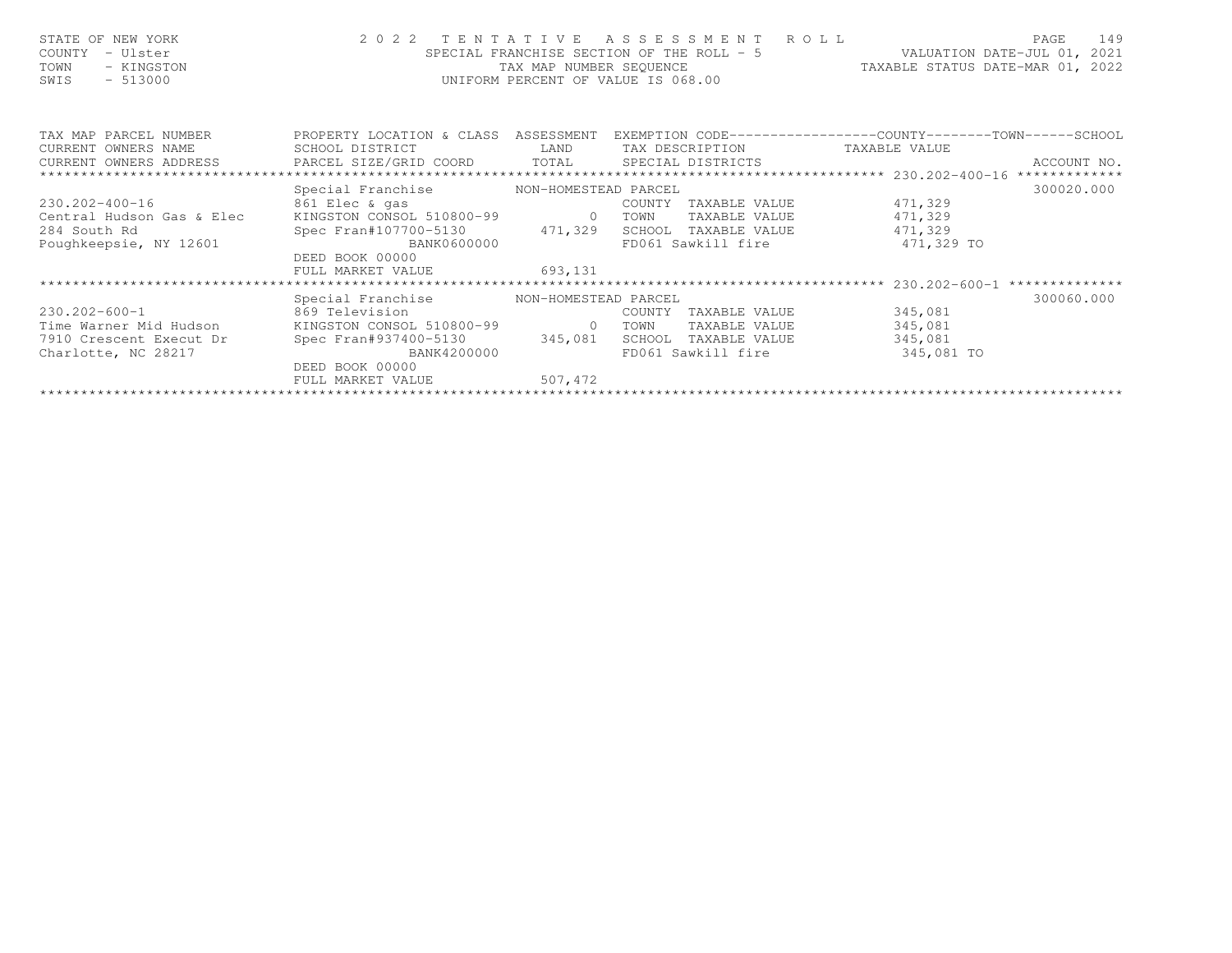| STATE OF NEW YORK<br>- Ulster<br>COUNTY<br>- KINGSTON<br>TOWN<br>$-513000$<br>SWIS        |                                                                                                                                                                                                                                                                                                                                                                                                             | TAX MAP NUMBER SEQUENCE | 2022 TENTATIVE ASSESSMENT ROLL<br>SPECIAL FRANCHISE SECTION OF THE ROLL - 5<br>UNIFORM PERCENT OF VALUE IS 068.00 | VALUATION DATE-JUL 01, 2021<br>TAXABLE STATUS DATE-MAR 01, 2022 | 149<br>PAGE |
|-------------------------------------------------------------------------------------------|-------------------------------------------------------------------------------------------------------------------------------------------------------------------------------------------------------------------------------------------------------------------------------------------------------------------------------------------------------------------------------------------------------------|-------------------------|-------------------------------------------------------------------------------------------------------------------|-----------------------------------------------------------------|-------------|
| TAX MAP PARCEL NUMBER<br>CURRENT OWNERS NAME                                              | PROPERTY LOCATION & CLASS ASSESSMENT<br>SCHOOL DISTRICT                                                                                                                                                                                                                                                                                                                                                     |                         | LAND TAX DESCRIPTION TAXABLE VALUE                                                                                | EXEMPTION CODE-----------------COUNTY-------TOWN------SCHOOL    |             |
|                                                                                           |                                                                                                                                                                                                                                                                                                                                                                                                             |                         |                                                                                                                   |                                                                 |             |
| 230.202-400-16<br>Central Hudson Gas & Elec<br>284 South Rd<br>Poughkeepsie, NY 12601     | Special Franchise MON-HOMESTEAD PARCEL<br>861 Elec & gas<br>KINGSTON CONSOL 510800-99 0 TOWN<br>Spec Fran#107700-5130       471,329   SCHOOL TAXABLE VALUE<br>BANK0600000<br>DEED BOOK 00000<br>FULL MARKET VALUE 693,131                                                                                                                                                                                   |                         | COUNTY TAXABLE VALUE 471,329<br>FD061 Sawkill fire 50 471,329 TO                                                  | TAXABLE VALUE 471,329<br>471,329                                | 300020.000  |
|                                                                                           |                                                                                                                                                                                                                                                                                                                                                                                                             |                         |                                                                                                                   |                                                                 |             |
| 230.202-600-1<br>Time Warner Mid Hudson<br>7910 Crescent Execut Dr<br>Charlotte, NC 28217 | Special Franchise MON-HOMESTEAD PARCEL<br>869 Television and the state of the state of the state of the state of the state of the state of the state of the state of the state of the state of the state of the state of the state of the state of the state of the stat<br>KINGSTON CONSOL 510800-99 0 TOWN<br>Spec Fran#937400-5130      345,081   SCHOOL TAXABLE VALUE<br>BANK4200000<br>DEED BOOK 00000 |                         | TAXABLE VALUE<br>COUNTY<br>TAXABLE VALUE                                                                          | 345,081<br>345,081<br>345,081<br>FD061 Sawkill fire 345,081 TO  | 300060.000  |

 FULL MARKET VALUE 507,472\*\*\*\*\*\*\*\*\*\*\*\*\*\*\*\*\*\*\*\*\*\*\*\*\*\*\*\*\*\*\*\*\*\*\*\*\*\*\*\*\*\*\*\*\*\*\*\*\*\*\*\*\*\*\*\*\*\*\*\*\*\*\*\*\*\*\*\*\*\*\*\*\*\*\*\*\*\*\*\*\*\*\*\*\*\*\*\*\*\*\*\*\*\*\*\*\*\*\*\*\*\*\*\*\*\*\*\*\*\*\*\*\*\*\*\*\*\*\*\*\*\*\*\*\*\*\*\*\*\*\*\*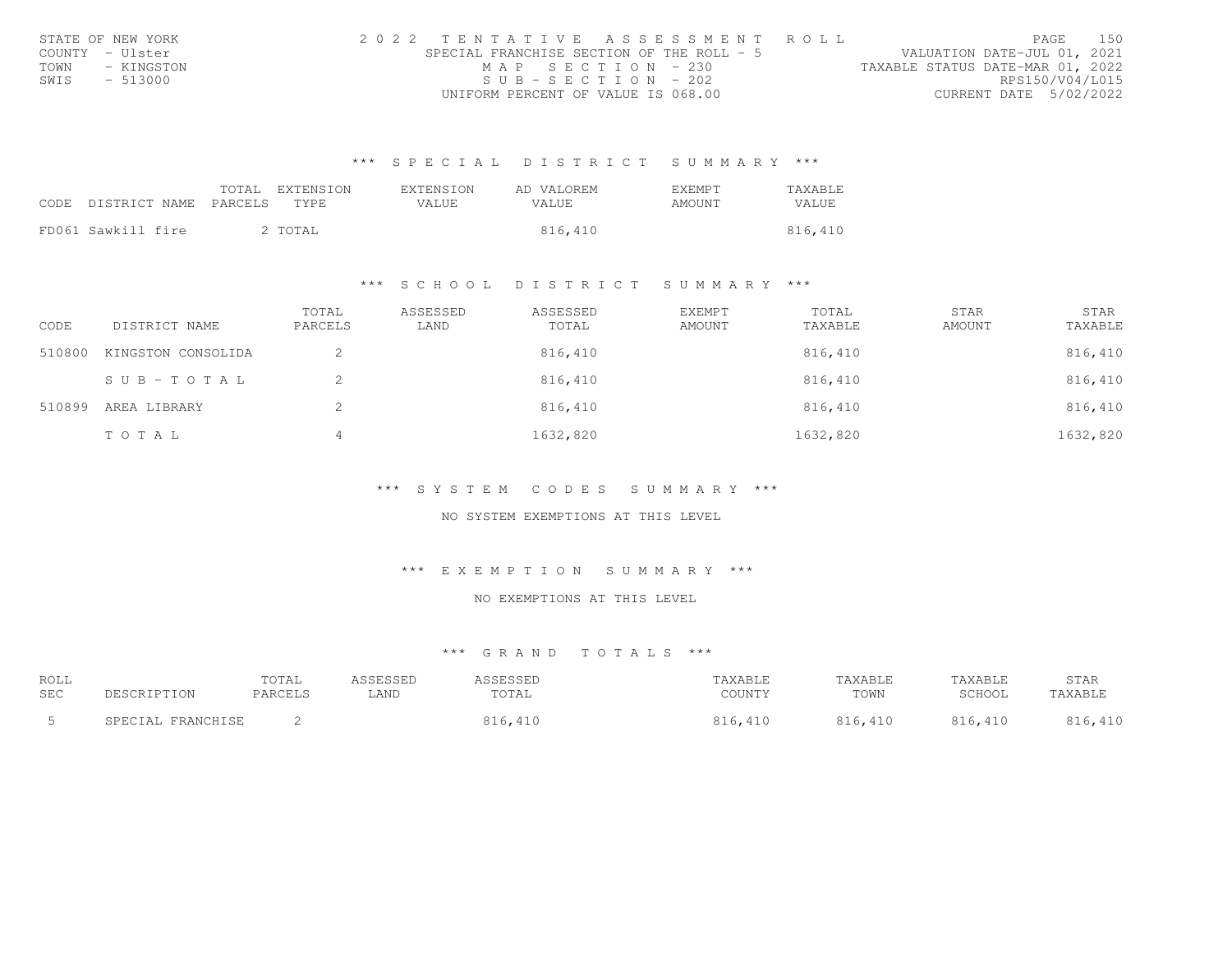|                 | STATE OF NEW YORK | 2022 TENTATIVE ASSESSMENT ROLL            |                                    |  |  |                                  |                        | PAGE. | 150 |
|-----------------|-------------------|-------------------------------------------|------------------------------------|--|--|----------------------------------|------------------------|-------|-----|
| COUNTY - Ulster |                   | SPECIAL FRANCHISE SECTION OF THE ROLL - 5 |                                    |  |  | VALUATION DATE-JUL 01, 2021      |                        |       |     |
| TOWN            | - KINGSTON        |                                           | MAP SECTION - 230                  |  |  | TAXABLE STATUS DATE-MAR 01, 2022 |                        |       |     |
| SWIS            | - 513000          |                                           | $SUB - SECTION - 202$              |  |  |                                  | RPS150/V04/L015        |       |     |
|                 |                   |                                           | UNIFORM PERCENT OF VALUE IS 068.00 |  |  |                                  | CURRENT DATE 5/02/2022 |       |     |

| CODE DISTRICT NAME PARCELS | TOTAL | EXTENSION<br>TYPE. | EXTENSION<br>VALUE. | AD VALOREM<br>VALUE. | <b>EXEMPT</b><br>AMOUNT | TAXABLE<br>VALUE |
|----------------------------|-------|--------------------|---------------------|----------------------|-------------------------|------------------|
| FD061 Sawkill fire         |       | 2 TOTAL            |                     | 816,410              |                         | 816,410          |

# \*\*\* S C H O O L D I S T R I C T S U M M A R Y \*\*\*

| CODE   | DISTRICT NAME      | TOTAL<br>PARCELS | ASSESSED<br>LAND | ASSESSED<br>TOTAL | <b>EXEMPT</b><br>AMOUNT | TOTAL<br>TAXABLE | STAR<br>AMOUNT | STAR<br>TAXABLE |
|--------|--------------------|------------------|------------------|-------------------|-------------------------|------------------|----------------|-----------------|
| 510800 | KINGSTON CONSOLIDA | ∠                |                  | 816,410           |                         | 816,410          |                | 816,410         |
|        | SUB-TOTAL          | ▵                |                  | 816,410           |                         | 816,410          |                | 816,410         |
| 510899 | AREA LIBRARY       |                  |                  | 816,410           |                         | 816,410          |                | 816,410         |
|        | TOTAL              | ⊣                |                  | 1632,820          |                         | 1632,820         |                | 1632,820        |

\*\*\* S Y S T E M C O D E S S U M M A R Y \*\*\*

NO SYSTEM EXEMPTIONS AT THIS LEVEL

\*\*\* E X E M P T I O N S U M M A R Y \*\*\*

NO EXEMPTIONS AT THIS LEVEL

| ROLL       |                   | TOTAL   | ASSESSED | ASSESSED | AXABLE  | TAXABLE | TAXABLE | STAR    |
|------------|-------------------|---------|----------|----------|---------|---------|---------|---------|
| <b>SEC</b> | DESCRIPTION       | PARCELS | LAND     | TOTAL    | COUNTY  | TOWN    | SCHOOL  | TAXABLE |
|            | SPECIAL FRANCHISE |         |          | 816,410  | 816,410 | 816,410 | 816,410 | 816,410 |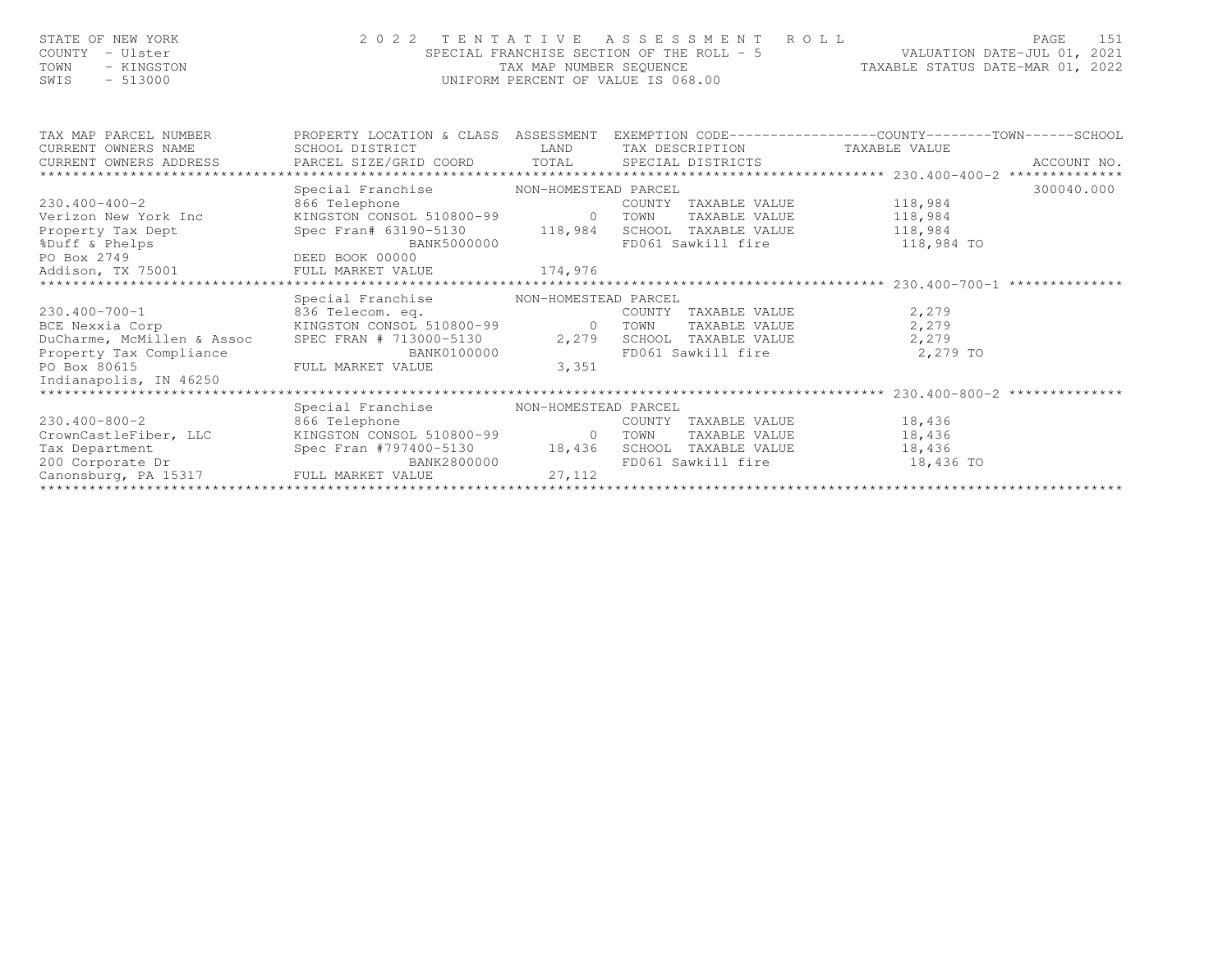# STATE OF NEW YORK CORRECTED A SO 2 2 TENTATIVE ASSESSMENT ROLL PALUATION DATE-JUL 01, 2021<br>COUNTY - Ulster CONTERN SPECIAL FRANCHISE SECTION OF THE ROLL - 5 WALUATION DATE-JUL 01, 2021<br>TAXABLE STATUS DATE-MAR 01, 2022<br>SWIS

| TAX MAP PARCEL NUMBER      | PROPERTY LOCATION & CLASS              | ASSESSMENT           | EXEMPTION CODE-----------------COUNTY-------TOWN------SCHOOL |               |             |
|----------------------------|----------------------------------------|----------------------|--------------------------------------------------------------|---------------|-------------|
| CURRENT OWNERS NAME        | SCHOOL DISTRICT                        | LAND                 | TAX DESCRIPTION                                              | TAXABLE VALUE |             |
| CURRENT OWNERS ADDRESS     | PARCEL SIZE/GRID COORD                 | TOTAL                | SPECIAL DISTRICTS                                            |               | ACCOUNT NO. |
|                            |                                        |                      |                                                              |               |             |
|                            | Special Franchise                      | NON-HOMESTEAD PARCEL |                                                              |               | 300040.000  |
| 230.400-400-2              | 866 Telephone                          |                      | TAXABLE VALUE<br>COUNTY                                      | 118,984       |             |
| Verizon New York Inc       | KINGSTON CONSOL 510800-99              | $\overline{0}$       | TAXABLE VALUE<br>TOWN                                        | 118,984       |             |
| Property Tax Dept          | Spec Fran# 63190-5130                  | 118,984              | SCHOOL TAXABLE VALUE                                         | 118,984       |             |
| %Duff & Phelps             | BANK5000000                            |                      | FD061 Sawkill fire                                           | 118,984 TO    |             |
| PO Box 2749                | DEED BOOK 00000                        |                      |                                                              |               |             |
| Addison, TX 75001          | FULL MARKET VALUE                      | 174,976              |                                                              |               |             |
|                            |                                        |                      |                                                              |               |             |
|                            | Special Franchise                      | NON-HOMESTEAD PARCEL |                                                              |               |             |
| $230.400 - 700 - 1$        | 836 Telecom. eq.                       |                      | COUNTY<br>TAXABLE VALUE                                      | 2,279         |             |
| BCE Nexxia Corp            | KINGSTON CONSOL 510800-99              | $\overline{0}$       | TAXABLE VALUE<br>TOWN                                        | 2,279         |             |
| DuCharme, McMillen & Assoc | SPEC FRAN # 713000-5130                | 2,279                | SCHOOL<br>TAXABLE VALUE                                      | 2,279         |             |
| Property Tax Compliance    | BANK0100000                            |                      | FD061 Sawkill fire                                           | 2,279 TO      |             |
| PO Box 80615               | FULL MARKET VALUE                      | 3,351                |                                                              |               |             |
| Indianapolis, IN 46250     |                                        |                      |                                                              |               |             |
|                            |                                        |                      |                                                              |               |             |
|                            | Special Franchise MON-HOMESTEAD PARCEL |                      |                                                              |               |             |
| $230.400 - 800 - 2$        |                                        |                      |                                                              |               |             |
|                            | 866 Telephone                          |                      | COUNTY<br>TAXABLE VALUE                                      | 18,436        |             |
| CrownCastleFiber, LLC      | KINGSTON CONSOL 510800-99              | $\Omega$             | TAXABLE VALUE<br>TOWN                                        | 18,436        |             |
| Tax Department             | Spec Fran #797400-5130 18,436          |                      | TAXABLE VALUE<br>SCHOOL                                      | 18,436        |             |
| 200 Corporate Dr           | BANK2800000                            |                      | FD061 Sawkill fire                                           | 18,436 TO     |             |
| Canonsburg, PA 15317       | FULL MARKET VALUE                      | 27,112               |                                                              |               |             |
|                            |                                        |                      |                                                              |               |             |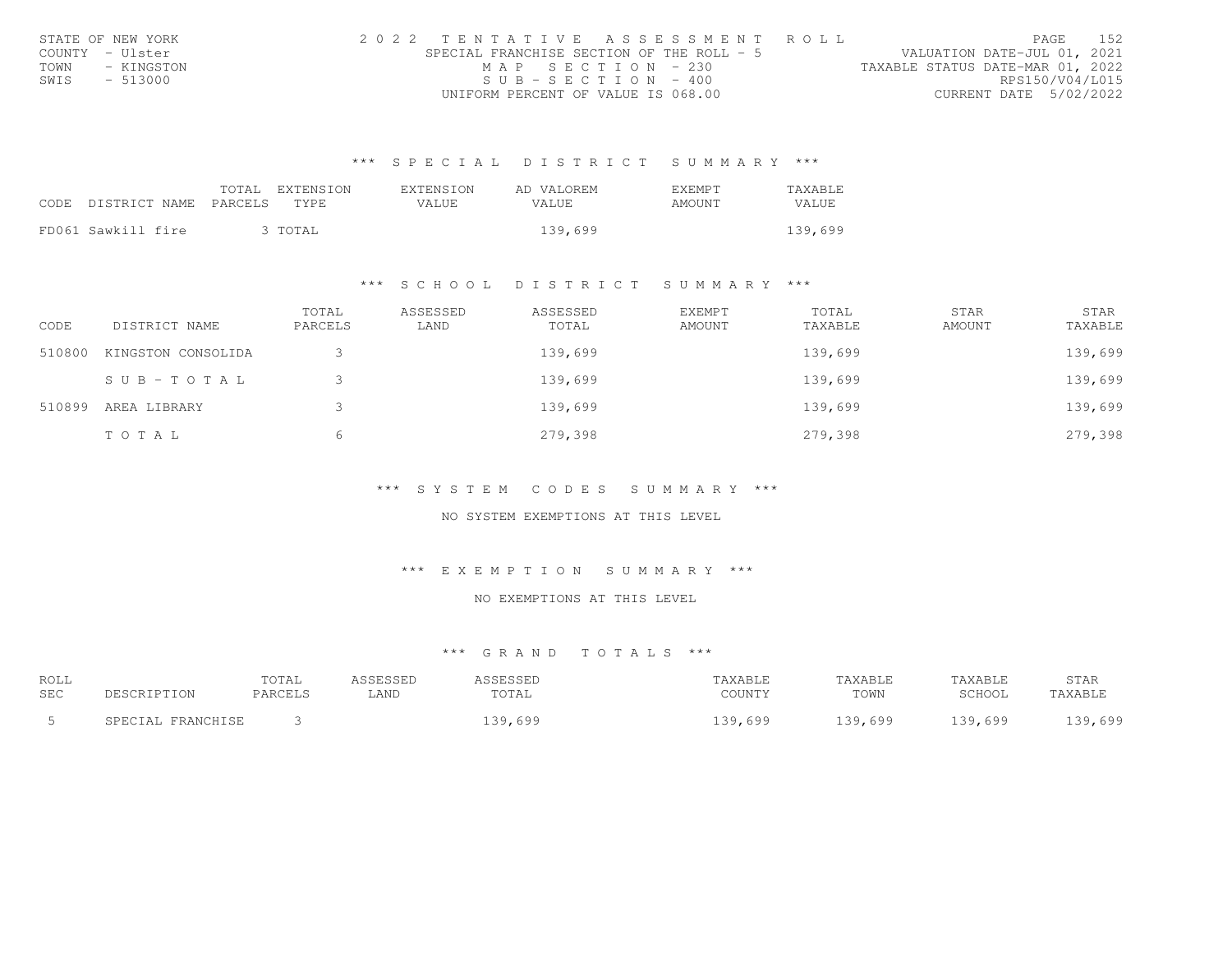| STATE OF NEW YORK | 2022 TENTATIVE ASSESSMENT ROLL            | 152<br>PAGE.                     |
|-------------------|-------------------------------------------|----------------------------------|
| COUNTY - Ulster   | SPECIAL FRANCHISE SECTION OF THE ROLL - 5 | VALUATION DATE-JUL 01, 2021      |
| TOWN - KINGSTON   | MAP SECTION - 230                         | TAXABLE STATUS DATE-MAR 01, 2022 |
| SWIS<br>$-513000$ | $SUB - SECTION - 400$                     | RPS150/V04/L015                  |
|                   | UNIFORM PERCENT OF VALUE IS 068.00        | CURRENT DATE 5/02/2022           |

| CODE DISTRICT NAME PARCELS | TOTAL EXTENSION<br>TYPE. | EXTENSION<br>VALUE. | AD VALOREM<br>VALUE. | EXEMPT<br>AMOUNT | TAXABLE<br>VALUE |
|----------------------------|--------------------------|---------------------|----------------------|------------------|------------------|
| FD061 Sawkill fire         | 3 TOTAL                  |                     | 139,699              |                  | 139,699          |

# \*\*\* S C H O O L D I S T R I C T S U M M A R Y \*\*\*

| CODE   | DISTRICT NAME      | TOTAL<br>PARCELS | ASSESSED<br>LAND | ASSESSED<br>TOTAL | <b>EXEMPT</b><br>AMOUNT | TOTAL<br>TAXABLE | <b>STAR</b><br>AMOUNT | <b>STAR</b><br>TAXABLE |
|--------|--------------------|------------------|------------------|-------------------|-------------------------|------------------|-----------------------|------------------------|
| 510800 | KINGSTON CONSOLIDA |                  |                  | 139,699           |                         | 139,699          |                       | 139,699                |
|        | SUB-TOTAL          |                  |                  | 139,699           |                         | 139,699          |                       | 139,699                |
| 510899 | AREA LIBRARY       |                  |                  | 139,699           |                         | 139,699          |                       | 139,699                |
|        | TOTAL              | 6                |                  | 279,398           |                         | 279,398          |                       | 279,398                |

\*\*\* S Y S T E M C O D E S S U M M A R Y \*\*\*

NO SYSTEM EXEMPTIONS AT THIS LEVEL

\*\*\* E X E M P T I O N S U M M A R Y \*\*\*

NO EXEMPTIONS AT THIS LEVEL

| ROLL       |                   | TOTAL   | ASSESSED | ASSESSED | <b>AXABLE</b> | TAXABLE | TAXABLE | STAR    |
|------------|-------------------|---------|----------|----------|---------------|---------|---------|---------|
| <b>SEC</b> | DESCRIPTION       | PARCELS | LAND     | TOTAL    | COUNTY        | TOWN    | SCHOOL  | TAXABLE |
|            | SPECIAL FRANCHISE |         |          | 139,699  | .39,699       | 139,699 | 139,699 | 139,699 |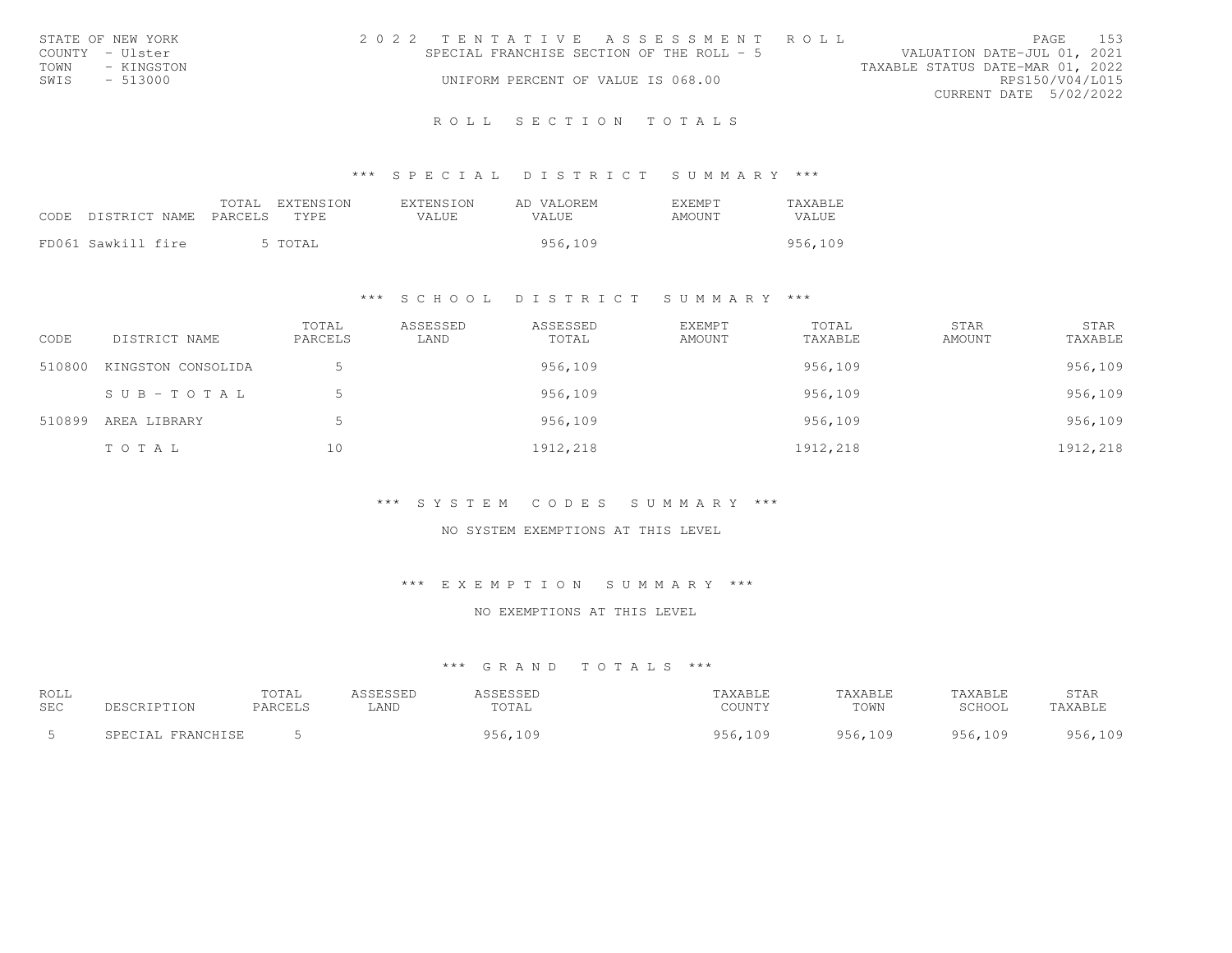| STATE OF NEW YORK  | 2022 TENTATIVE ASSESSMENT ROLL            | PAGE.                            | 1.53 |
|--------------------|-------------------------------------------|----------------------------------|------|
| COUNTY - Ulster    | SPECIAL FRANCHISE SECTION OF THE ROLL - 5 | VALUATION DATE-JUL 01, 2021      |      |
| TOWN<br>- KINGSTON |                                           | TAXABLE STATUS DATE-MAR 01, 2022 |      |
| SWIS<br>- 513000   | UNIFORM PERCENT OF VALUE IS 068.00        | RPS150/V04/L015                  |      |
|                    |                                           | CURRENT DATE 5/02/2022           |      |

# ROLL SECTION TOTALS

### \*\*\* S P E C I A L D I S T R I C T S U M M A R Y \*\*\*

| CODE DISTRICT NAME PARCELS | TOTAL EXTENSION<br>TYPE. | EXTENSION<br>VALUE. | AD VALOREM<br>VALUE. | <b>EXEMPT</b><br>AMOUNT | TAXABLE<br><b>VALUE</b> |
|----------------------------|--------------------------|---------------------|----------------------|-------------------------|-------------------------|
| FD061 Sawkill fire         | 5 TOTAL                  |                     | 956,109              |                         | 956,109                 |

# \*\*\* S C H O O L D I S T R I C T S U M M A R Y \*\*\*

| CODE   | DISTRICT NAME      | TOTAL<br>PARCELS | ASSESSED<br>LAND | ASSESSED<br>TOTAL | <b>EXEMPT</b><br>AMOUNT | TOTAL<br>TAXABLE | STAR<br>AMOUNT | STAR<br>TAXABLE |
|--------|--------------------|------------------|------------------|-------------------|-------------------------|------------------|----------------|-----------------|
| 510800 | KINGSTON CONSOLIDA |                  |                  | 956,109           |                         | 956,109          |                | 956,109         |
|        | SUB-TOTAL          | 5                |                  | 956,109           |                         | 956,109          |                | 956,109         |
| 510899 | AREA LIBRARY       | 5                |                  | 956,109           |                         | 956,109          |                | 956,109         |
|        | TOTAL              | 10               |                  | 1912,218          |                         | 1912,218         |                | 1912,218        |

### \*\*\* S Y S T E M C O D E S S U M M A R Y \*\*\*

### NO SYSTEM EXEMPTIONS AT THIS LEVEL

\*\*\* E X E M P T I O N S U M M A R Y \*\*\*

### NO EXEMPTIONS AT THIS LEVEL

| ROLL<br>SEC |                   | TOTAL<br>PARCELS | ASSESSED<br>LAND | SSESSED<br>TOTAL | TAXABLE<br>COUNTY | TAXABLE<br>TOWN | TAXABLE<br>SCHOOL | STAR<br>TAXABLE |
|-------------|-------------------|------------------|------------------|------------------|-------------------|-----------------|-------------------|-----------------|
| - 5         | SPECIAL FRANCHISE |                  |                  | 956,109          | 956,109           | 956,109         | 956,109           | 956,109         |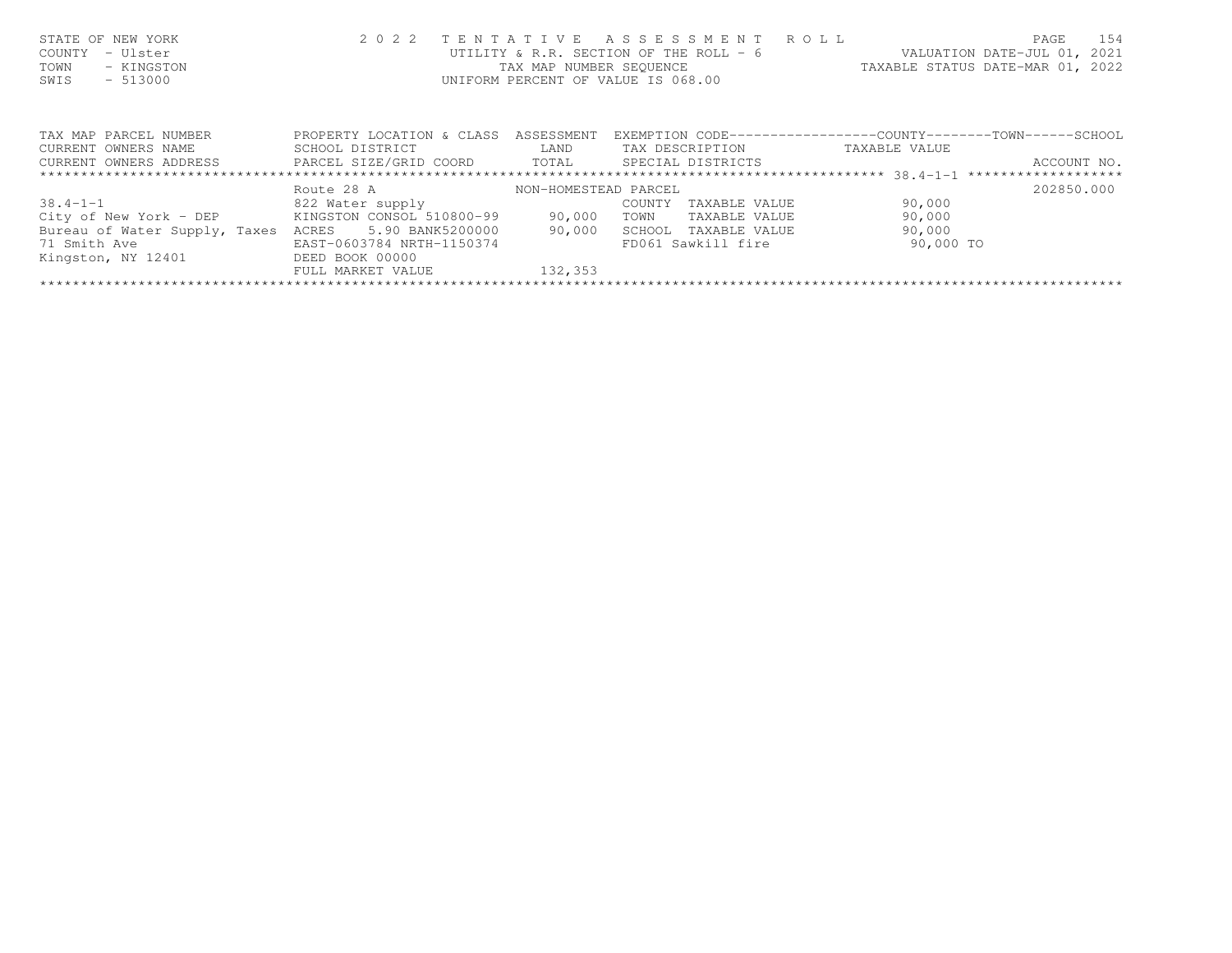| STATE OF NEW YORK<br>- Ulster<br>COUNTY<br>TOWN<br>- KINGSTON<br>$-513000$<br>SWIS | 2 0 2 2                                        | TENTATIVE<br>TAX MAP NUMBER SEQUENCE | ASSESSMENT ROLL<br>UTILITY & R.R. SECTION OF THE ROLL - $6$<br>UNIFORM PERCENT OF VALUE IS 068.00 | VALUATION DATE-JUL 01, 2021<br>TAXABLE STATUS DATE-MAR 01, 2022 | PAGE<br>154 |
|------------------------------------------------------------------------------------|------------------------------------------------|--------------------------------------|---------------------------------------------------------------------------------------------------|-----------------------------------------------------------------|-------------|
| TAX MAP PARCEL NUMBER<br>CURRENT OWNERS NAME                                       | PROPERTY LOCATION & CLASS<br>SCHOOL DISTRICT   | ASSESSMENT<br>LAND                   | EXEMPTION CODE-----------------COUNTY-------TOWN-----SCHOOL<br>TAX DESCRIPTION                    | TAXABLE VALUE                                                   |             |
| CURRENT OWNERS ADDRESS                                                             | PARCEL SIZE/GRID COORD TOTAL SPECIAL DISTRICTS |                                      |                                                                                                   |                                                                 | ACCOUNT NO. |
|                                                                                    | Route 28 A                                     | NON-HOMESTEAD PARCEL                 |                                                                                                   |                                                                 | 202850.000  |
| $38.4 - 1 - 1$                                                                     | 822 Water supply                               |                                      | COUNTY<br>TAXABLE VALUE                                                                           | 90,000                                                          |             |
| City of New York - DEP                                                             | KINGSTON CONSOL 510800-99                      | 90,000                               | TOWN<br>TAXABLE VALUE                                                                             | 90,000                                                          |             |
| Bureau of Water Supply, Taxes                                                      | 5.90 BANK5200000<br>ACRES                      | 90,000                               | SCHOOL TAXABLE VALUE                                                                              | 90,000                                                          |             |
| 71 Smith Ave<br>Kingston, NY 12401                                                 | EAST-0603784 NRTH-1150374<br>DEED BOOK 00000   |                                      | FD061 Sawkill fire                                                                                | 90,000 TO                                                       |             |
|                                                                                    | FULL MARKET VALUE                              | 132,353                              |                                                                                                   |                                                                 |             |

\*\*\*\*\*\*\*\*\*\*\*\*\*\*\*\*\*\*\*\*\*\*\*\*\*\*\*\*\*\*\*\*\*\*\*\*\*\*\*\*\*\*\*\*\*\*\*\*\*\*\*\*\*\*\*\*\*\*\*\*\*\*\*\*\*\*\*\*\*\*\*\*\*\*\*\*\*\*\*\*\*\*\*\*\*\*\*\*\*\*\*\*\*\*\*\*\*\*\*\*\*\*\*\*\*\*\*\*\*\*\*\*\*\*\*\*\*\*\*\*\*\*\*\*\*\*\*\*\*\*\*\*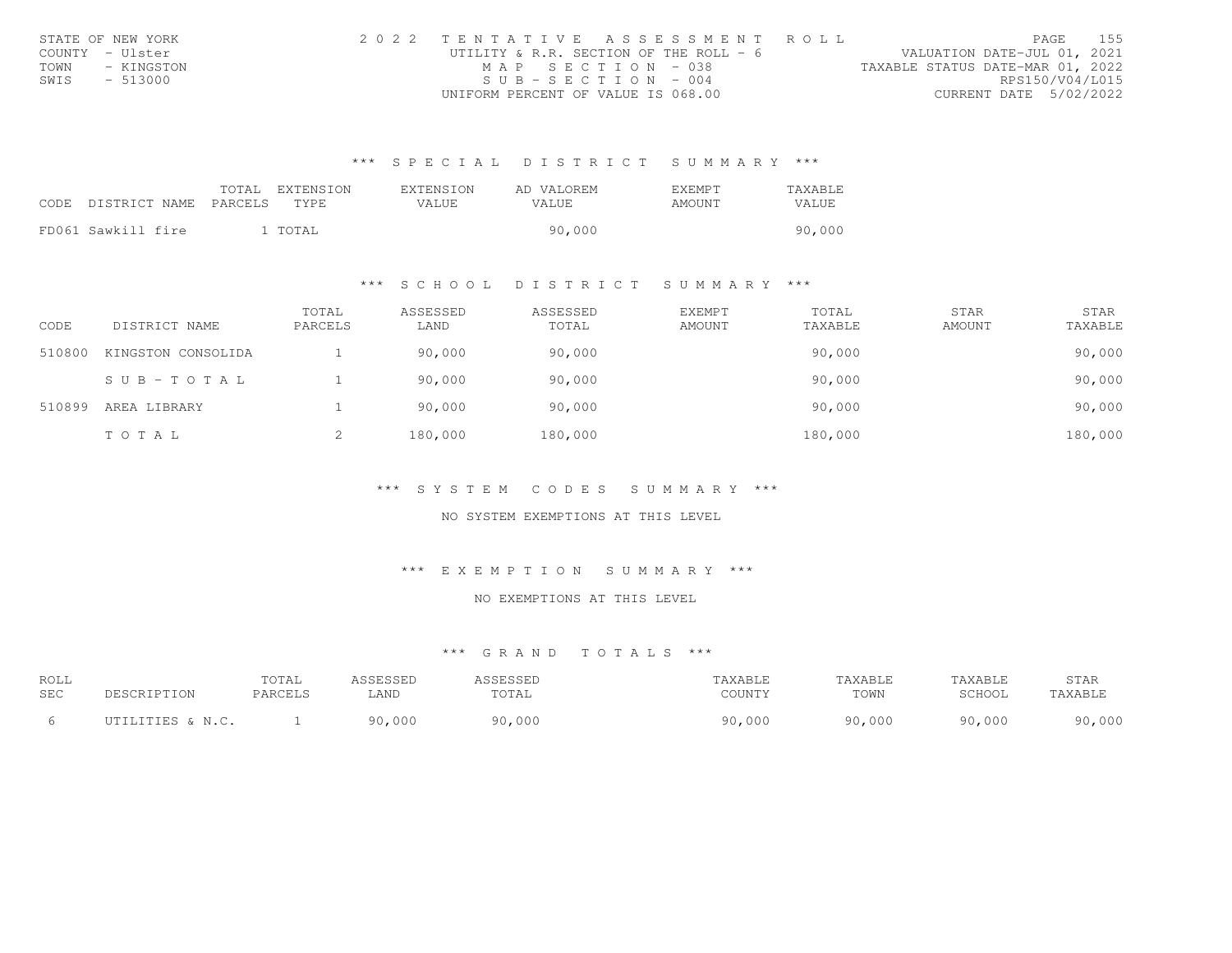| STATE OF NEW YORK  | 2022 TENTATIVE ASSESSMENT ROLL          | 1.55<br>PAGE                     |
|--------------------|-----------------------------------------|----------------------------------|
| COUNTY - Ulster    | UTILITY & R.R. SECTION OF THE ROLL $-6$ | VALUATION DATE-JUL 01, 2021      |
| TOWN<br>- KINGSTON | MAP SECTION - 038                       | TAXABLE STATUS DATE-MAR 01, 2022 |
| SWIS<br>- 513000   | $SUB - SECTION - 004$                   | RPS150/V04/L015                  |
|                    | UNIFORM PERCENT OF VALUE IS 068.00      | CURRENT DATE 5/02/2022           |

|                    |                                 | TOTAL EXTENSION | EXTENSION | AD VALOREM | <b>EXEMPT</b> | TAXABLE      |
|--------------------|---------------------------------|-----------------|-----------|------------|---------------|--------------|
|                    | CODE DISTRICT NAME PARCELS TYPE |                 | VALUE.    | VALUE.     | AMOUNT        | <b>VALUE</b> |
|                    |                                 |                 |           |            |               |              |
| FD061 Sawkill fire |                                 | TOTAL           |           | 90,000     |               | 90,000       |

# \*\*\* S C H O O L D I S T R I C T S U M M A R Y \*\*\*

| CODE   | DISTRICT NAME      | TOTAL<br>PARCELS | ASSESSED<br>LAND | ASSESSED<br>TOTAL | <b>EXEMPT</b><br>AMOUNT | TOTAL<br>TAXABLE | STAR<br>AMOUNT | STAR<br>TAXABLE |
|--------|--------------------|------------------|------------------|-------------------|-------------------------|------------------|----------------|-----------------|
| 510800 | KINGSTON CONSOLIDA |                  | 90,000           | 90,000            |                         | 90,000           |                | 90,000          |
|        | SUB-TOTAL          |                  | 90,000           | 90,000            |                         | 90,000           |                | 90,000          |
| 510899 | AREA LIBRARY       |                  | 90,000           | 90,000            |                         | 90,000           |                | 90,000          |
|        | TOTAL              |                  | 180,000          | 180,000           |                         | 180,000          |                | 180,000         |

\*\*\* S Y S T E M C O D E S S U M M A R Y \*\*\*

NO SYSTEM EXEMPTIONS AT THIS LEVEL

\*\*\* E X E M P T I O N S U M M A R Y \*\*\*

NO EXEMPTIONS AT THIS LEVEL

| ROLL       |                  | TOTAL   | ASSESSED | ASSESSED | AXABLE            | TAXABLE | TAXABLE | STAR              |
|------------|------------------|---------|----------|----------|-------------------|---------|---------|-------------------|
| <b>SEC</b> | DESCRIPTION      | PARCELS | LAND     | TOTAL    | COUNTY            | TOWN    | SCHOOL  | TAXABLE           |
|            | UTILITIES & N.C. |         | 90,000   | 90,000   | 0,000<br>$\Omega$ | 90,000  | 90,000  | 0,000<br>$\Omega$ |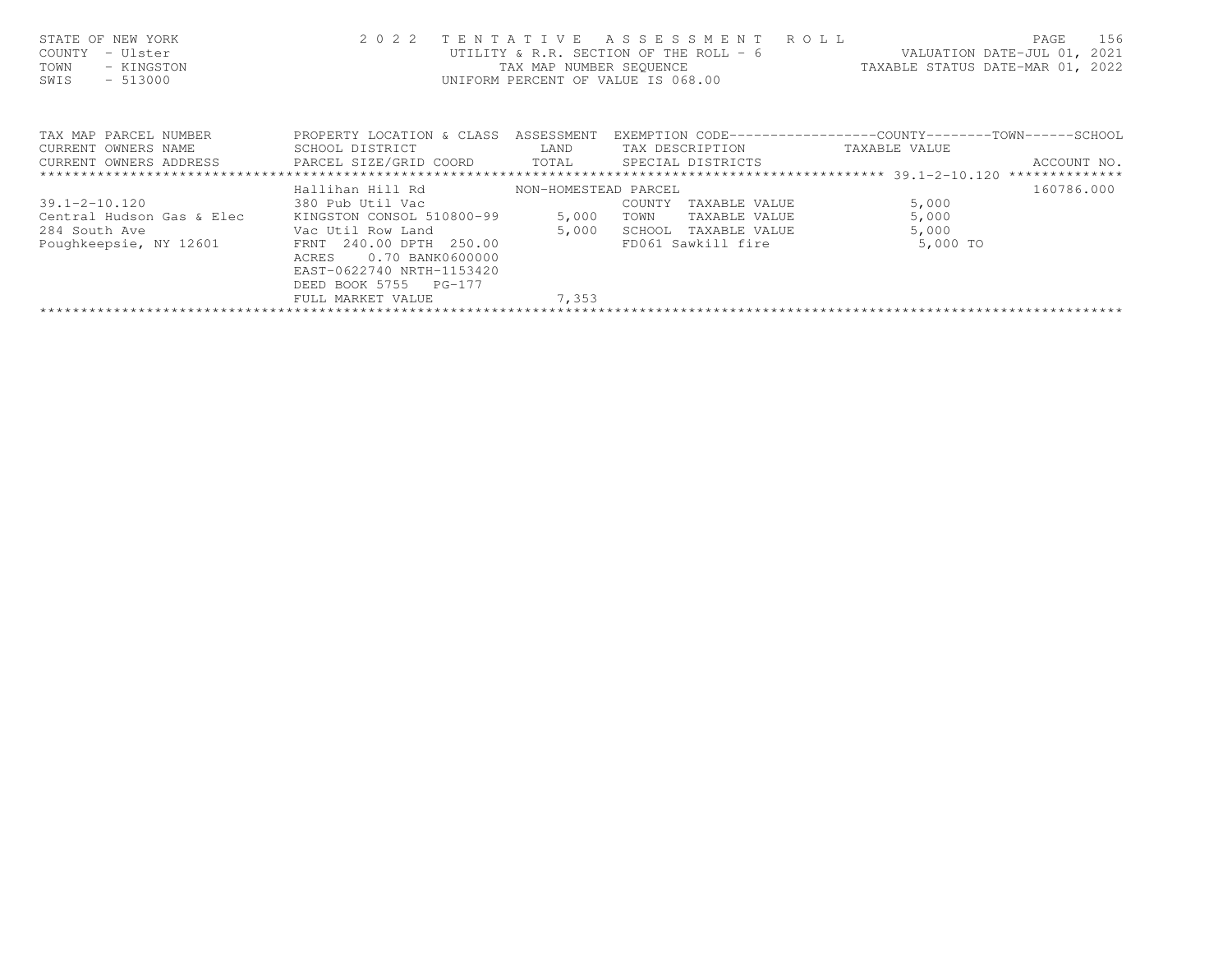| STATE OF NEW YORK<br>- Ulster<br>COUNTY<br>- KINGSTON<br>TOWN<br>$-513000$<br>SWIS | 2 0 2 2                               |       | TENTATIVE ASSESSMENT ROLL<br>UNIFORM PERCENT OF VALUE IS 068.00 | 156<br>PAGE<br>UTILITY & R.R. SECTION OF THE ROLL - 6 VALUATION DATE-JUL 01, 2021<br>TAX MAP NUMBER SEQUENCE TAXABLE STATUS DATE-MAR 01, 2022 |
|------------------------------------------------------------------------------------|---------------------------------------|-------|-----------------------------------------------------------------|-----------------------------------------------------------------------------------------------------------------------------------------------|
| TAX MAP PARCEL NUMBER                                                              | PROPERTY LOCATION & CLASS ASSESSMENT  |       |                                                                 | EXEMPTION CODE-----------------COUNTY-------TOWN------SCHOOL                                                                                  |
| CURRENT OWNERS NAME                                                                | SCHOOL DISTRICT LAND                  |       | TAX DESCRIPTION TAXABLE VALUE                                   |                                                                                                                                               |
| CURRENT OWNERS ADDRESS 6 PARCEL SIZE/GRID COORD 6 TOTAL 6PECIAL DISTRICTS          |                                       |       |                                                                 | ACCOUNT NO.                                                                                                                                   |
|                                                                                    |                                       |       |                                                                 |                                                                                                                                               |
|                                                                                    | Hallihan Hill Rd MON-HOMESTEAD PARCEL |       |                                                                 | 160786.000                                                                                                                                    |
| $39.1 - 2 - 10.120$                                                                | 380 Pub Util Vac                      |       | COUNTY<br>TAXABLE VALUE                                         | 5,000                                                                                                                                         |
| Central Hudson Gas & Elec                                                          | KINGSTON CONSOL 510800-99 5,000       |       | TOWN<br>TAXABLE VALUE                                           | 5,000                                                                                                                                         |
| 284 South Ave                                                                      | Vac Util Row Land                     | 5,000 | SCHOOL TAXABLE VALUE                                            | 5,000                                                                                                                                         |
| Poughkeepsie, NY 12601                                                             | FRNT 240.00 DPTH 250.00               |       | FD061 Sawkill fire                                              | 5,000 TO                                                                                                                                      |
|                                                                                    | 0.70 BANK0600000<br>ACRES             |       |                                                                 |                                                                                                                                               |
|                                                                                    | EAST-0622740 NRTH-1153420             |       |                                                                 |                                                                                                                                               |
|                                                                                    | DEED BOOK 5755 PG-177                 |       |                                                                 |                                                                                                                                               |
|                                                                                    | FULL MARKET VALUE                     | 7,353 |                                                                 |                                                                                                                                               |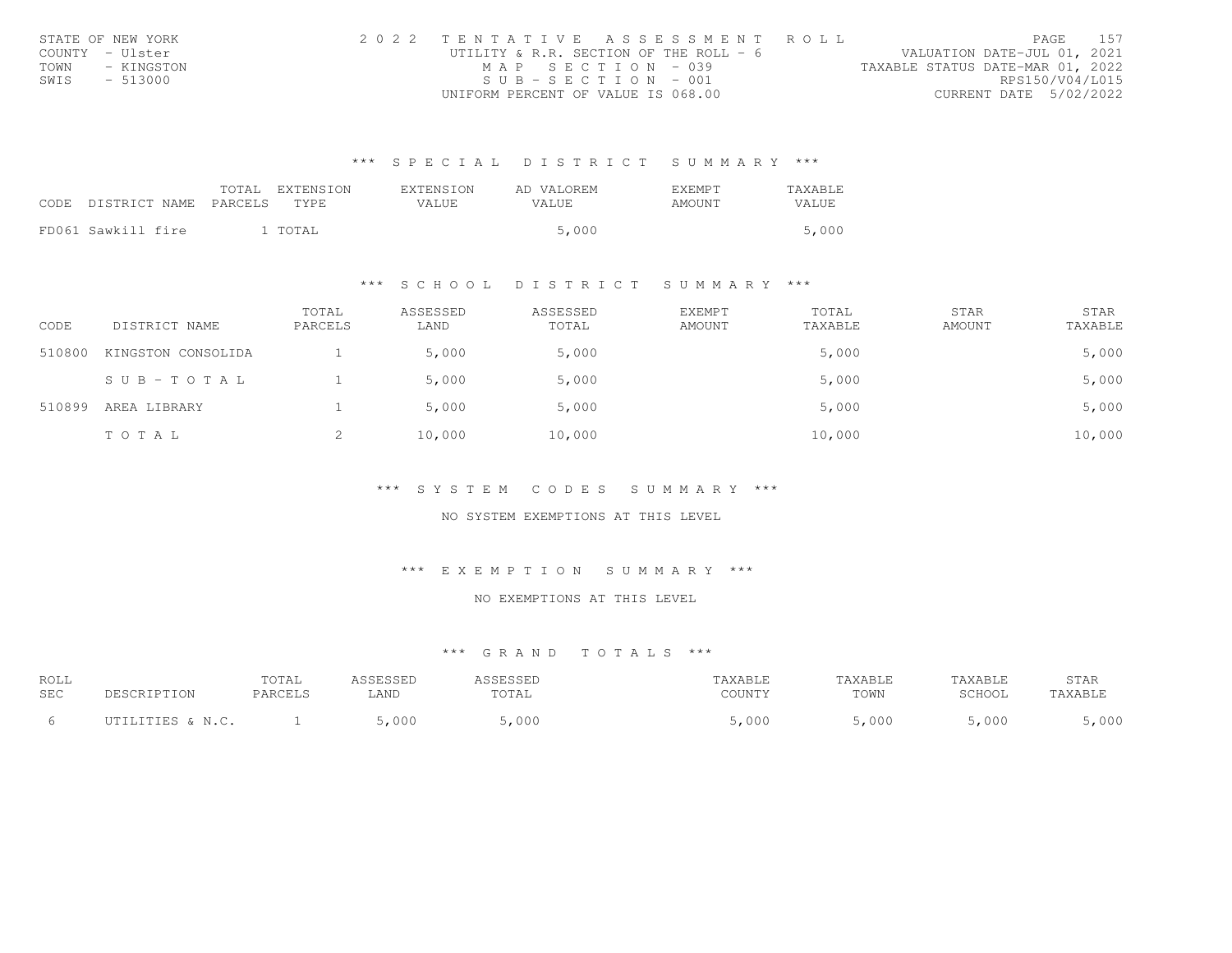| STATE OF NEW YORK  | 2022 TENTATIVE ASSESSMENT ROLL          | 1.57<br>PAGE                     |
|--------------------|-----------------------------------------|----------------------------------|
| COUNTY - Ulster    | UTILITY & R.R. SECTION OF THE ROLL $-6$ | VALUATION DATE-JUL 01, 2021      |
| TOWN<br>- KINGSTON | MAP SECTION - 039                       | TAXABLE STATUS DATE-MAR 01, 2022 |
| SWIS<br>- 513000   | $SUB - SECTION - 001$                   | RPS150/V04/L015                  |
|                    | UNIFORM PERCENT OF VALUE IS 068.00      | CURRENT DATE 5/02/2022           |

| CODE DISTRICT NAME PARCELS | TOTAL EXTENSION<br>TYPE. | EXTENSION<br>VALUE. | AD VALOREM<br>VALUE. | <b>EXEMPT</b><br>AMOUNT | TAXABLE<br>VALUE |
|----------------------------|--------------------------|---------------------|----------------------|-------------------------|------------------|
| FD061 Sawkill fire         | . TOTAL                  |                     | 5,000                |                         | 5,000            |

# \*\*\* S C H O O L D I S T R I C T S U M M A R Y \*\*\*

| CODE   | DISTRICT NAME      | TOTAL<br>PARCELS | ASSESSED<br>LAND | ASSESSED<br>TOTAL | <b>EXEMPT</b><br>AMOUNT | TOTAL<br>TAXABLE | <b>STAR</b><br>AMOUNT | STAR<br>TAXABLE |
|--------|--------------------|------------------|------------------|-------------------|-------------------------|------------------|-----------------------|-----------------|
| 510800 | KINGSTON CONSOLIDA |                  | 5,000            | 5,000             |                         | 5,000            |                       | 5,000           |
|        | SUB-TOTAL          |                  | 5,000            | 5,000             |                         | 5,000            |                       | 5,000           |
| 510899 | AREA LIBRARY       |                  | 5,000            | 5,000             |                         | 5,000            |                       | 5,000           |
|        | TOTAL              |                  | 10,000           | 10,000            |                         | 10,000           |                       | 10,000          |

\*\*\* S Y S T E M C O D E S S U M M A R Y \*\*\*

NO SYSTEM EXEMPTIONS AT THIS LEVEL

\*\*\* E X E M P T I O N S U M M A R Y \*\*\*

NO EXEMPTIONS AT THIS LEVEL

| ROLL       |                  | TOTAL   | <i>I</i> SSESSED | ISSESSED | 'AXABLE | TAXABLE | TAXABLE | STAR    |
|------------|------------------|---------|------------------|----------|---------|---------|---------|---------|
| <b>SEC</b> | DESCRIPTION      | PARCELS | LAND             | TOTAL    | COUNTY  | TOWN    | SCHOOL  | TAXABLE |
| h          | UTILITIES & N.C. |         | 000              | ,000     | ,000    | 5,000   | ,000    | ,000    |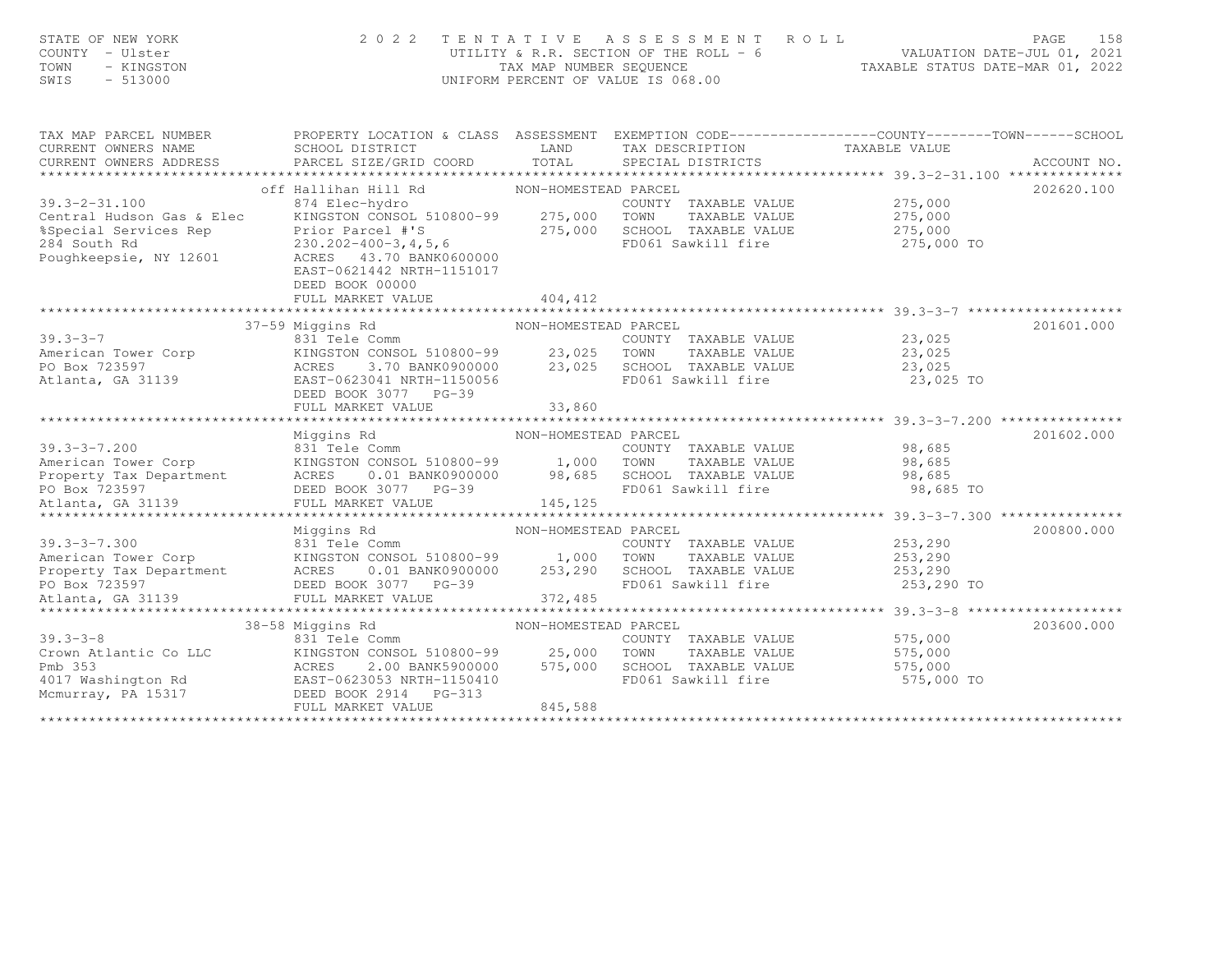| STATE OF NEW YORK<br>COUNTY - Ulster<br>TOWN<br>- KINGSTON<br>$-513000$<br>SWIS | 2 0 2 2                                                                                                                                                                                                                                                                           |                                     | TENTATIVE ASSESSMENT ROLL<br>UTILITY & R.R. SECTION OF THE ROLL - 6<br>TAXABLE STATUS DATE-JUL 01, 2021<br>TAXABLE STATUS DATE-MAR 01, 2022<br>UNIFORM PERCENT OF VALUE IS 068.00 |                       | PAGE<br>158 |
|---------------------------------------------------------------------------------|-----------------------------------------------------------------------------------------------------------------------------------------------------------------------------------------------------------------------------------------------------------------------------------|-------------------------------------|-----------------------------------------------------------------------------------------------------------------------------------------------------------------------------------|-----------------------|-------------|
|                                                                                 | TAX MAP PARCEL NUMBER FROPERTY LOCATION & CLASS ASSESSMENT EXEMPTION CODE---------------COUNTY-------TOWN------SCHOOL                                                                                                                                                             |                                     |                                                                                                                                                                                   |                       |             |
| CURRENT OWNERS NAME SCHOOL DISTRICT                                             | CURRENT OWNERS ADDRESS FARCEL SIZE/GRID COORD                                                                                                                                                                                                                                     | TOTAL                               | TAX DESCRIPTION TAXABLE VALUE SPECIAL DISTRICTS<br>LAND TAX DESCRIPTION                                                                                                           |                       | ACCOUNT NO. |
|                                                                                 |                                                                                                                                                                                                                                                                                   |                                     |                                                                                                                                                                                   |                       |             |
|                                                                                 |                                                                                                                                                                                                                                                                                   | NON-HOMESTEAD PARCEL                | ) PARCEL<br>COUNTY TAXABLE VALUE 275,000<br>TOWN TAXARLE VALUE 275,000                                                                                                            |                       | 202620.100  |
|                                                                                 |                                                                                                                                                                                                                                                                                   |                                     |                                                                                                                                                                                   |                       |             |
|                                                                                 |                                                                                                                                                                                                                                                                                   |                                     |                                                                                                                                                                                   |                       |             |
|                                                                                 |                                                                                                                                                                                                                                                                                   |                                     |                                                                                                                                                                                   |                       |             |
|                                                                                 | 8219,000<br>839 Special Services Rep Prior Parcel #'S 275,000 SCHOOL TAXABLE VALUE 275,000<br>284 South Rd 230.202-400-3,4,5,6<br>Poughkeepsie, NY 12601 ACRES 43.70 BANK0600000<br>EAST-0621442 NRTH-1151017<br>DEED BOOK 00000                                                  |                                     |                                                                                                                                                                                   |                       |             |
|                                                                                 | FULL MARKET VALUE                                                                                                                                                                                                                                                                 | 404,412                             |                                                                                                                                                                                   |                       |             |
|                                                                                 |                                                                                                                                                                                                                                                                                   |                                     |                                                                                                                                                                                   |                       |             |
|                                                                                 | 37-59 Miggins Rd                                                                                                                                                                                                                                                                  | NON-HOMESTEAD PARCEL                |                                                                                                                                                                                   |                       | 201601.000  |
|                                                                                 |                                                                                                                                                                                                                                                                                   |                                     | COUNTY TAXABLE VALUE 23,025                                                                                                                                                       | 23,025                |             |
|                                                                                 |                                                                                                                                                                                                                                                                                   |                                     | TAXABLE VALUE                                                                                                                                                                     |                       |             |
|                                                                                 |                                                                                                                                                                                                                                                                                   |                                     | 3.70 BANK0900000 23,025 SCHOOL TAXABLE VALUE 23,025                                                                                                                               | 23,025 TO             |             |
|                                                                                 | 39.3-3-7<br>American Tower Corp<br>23,025 TOWN<br>23,025 TOWN<br>23,025 TOWN<br>23,025 TOWN<br>23,025 TOWN<br>23,025 SCHOO<br>23,025 SCHOO<br>23,025 SCHOO<br>23,025 SCHOO<br>23,025 SCHOO<br>23,025 SCHOO<br>23,025 SCHOO<br>23,025 SCHOO<br>23,025 EAST-06<br>FULL MARKET VALUE | 33,860                              | FD061 Sawkill fire                                                                                                                                                                |                       |             |
|                                                                                 |                                                                                                                                                                                                                                                                                   |                                     |                                                                                                                                                                                   |                       |             |
|                                                                                 | Miggins Rd                                                                                                                                                                                                                                                                        | NON-HOMESTEAD PARCEL                |                                                                                                                                                                                   |                       | 201602.000  |
|                                                                                 |                                                                                                                                                                                                                                                                                   |                                     |                                                                                                                                                                                   |                       |             |
|                                                                                 |                                                                                                                                                                                                                                                                                   |                                     | COUNTY TAXABLE VALUE 98,685<br>TOWN TAXABLE VALUE 98,685                                                                                                                          |                       |             |
|                                                                                 |                                                                                                                                                                                                                                                                                   |                                     |                                                                                                                                                                                   |                       |             |
|                                                                                 |                                                                                                                                                                                                                                                                                   |                                     | 0.01 BANK0900000 08,685 SCHOOL TAXABLE VALUE 0.01 BANK0900000 98,685<br>X 3077 PG-39 FD061 Sawkill fire 98,685 TO                                                                 |                       |             |
|                                                                                 | 39.3-3-7.200<br>American Tower Corp<br>Property Tax Department<br>Property Tax Department<br>Property Tax Department<br>ACRES<br>PO Box 723597<br>DEED BOOK 3077<br>PGLL MARKET VALUE<br>FULL MARKET VALUE<br>TULL MARKET VALUE<br>TULL MARKET VALUE                              |                                     |                                                                                                                                                                                   |                       |             |
|                                                                                 |                                                                                                                                                                                                                                                                                   |                                     |                                                                                                                                                                                   |                       |             |
|                                                                                 | Miggins Rd                                                                                                                                                                                                                                                                        | NON-HOMESTEAD PARCEL                |                                                                                                                                                                                   |                       | 200800.000  |
|                                                                                 | 39.3-3-7.300<br>American Tower Corp<br>American Tower Corp<br>Property Tax Department<br>Property Tax Department<br>Property Tax Department<br>Property Tax Department<br>Property Tax Department<br>Property Tax Department<br>Property Tax Dep                                  |                                     | Comm<br>COUNTY TAXABLE VALUE 253,290<br>CONSOL 510800-99 1,000 TOWN TAXABLE VALUE 253,290<br>0.01 BANK0900000 253,290 SCHOOL TAXABLE VALUE 253,290                                |                       |             |
|                                                                                 |                                                                                                                                                                                                                                                                                   |                                     |                                                                                                                                                                                   |                       |             |
|                                                                                 |                                                                                                                                                                                                                                                                                   |                                     |                                                                                                                                                                                   |                       |             |
|                                                                                 |                                                                                                                                                                                                                                                                                   |                                     | FD061 Sawkill fire                                                                                                                                                                | 253,290 TO            |             |
|                                                                                 |                                                                                                                                                                                                                                                                                   |                                     |                                                                                                                                                                                   |                       |             |
|                                                                                 |                                                                                                                                                                                                                                                                                   |                                     |                                                                                                                                                                                   |                       |             |
|                                                                                 | 38-58 Miggins Rd                                                                                                                                                                                                                                                                  | NON-HOMESTEAD PARCEL<br>NON-HOMESTE |                                                                                                                                                                                   |                       | 203600.000  |
|                                                                                 | 39.3-3-8 			 831 Tele Comm<br>Crown Atlantic Co LLC 		 KINGSTON CONSOL 510800-99 		 25,000 	 TOWN                                                                                                                                                                                 |                                     | COUNTY TAXABLE VALUE 575,000                                                                                                                                                      |                       |             |
|                                                                                 |                                                                                                                                                                                                                                                                                   |                                     |                                                                                                                                                                                   | TAXABLE VALUE 575,000 |             |
|                                                                                 |                                                                                                                                                                                                                                                                                   |                                     | 575,000 SCHOOL TAXABLE VALUE                                                                                                                                                      | 575,000               |             |
|                                                                                 |                                                                                                                                                                                                                                                                                   |                                     | FD061 Sawkill fire                                                                                                                                                                | 575,000 TO            |             |
|                                                                                 | Pmb 353<br>4017 Washington Rd<br>Mcmurray, PA 15317<br>Mcmurray, PA 15317<br>DEED BOOK 2914 PG-313<br>FULL MARKET VALUE                                                                                                                                                           | 845,588                             |                                                                                                                                                                                   |                       |             |
|                                                                                 |                                                                                                                                                                                                                                                                                   |                                     |                                                                                                                                                                                   |                       |             |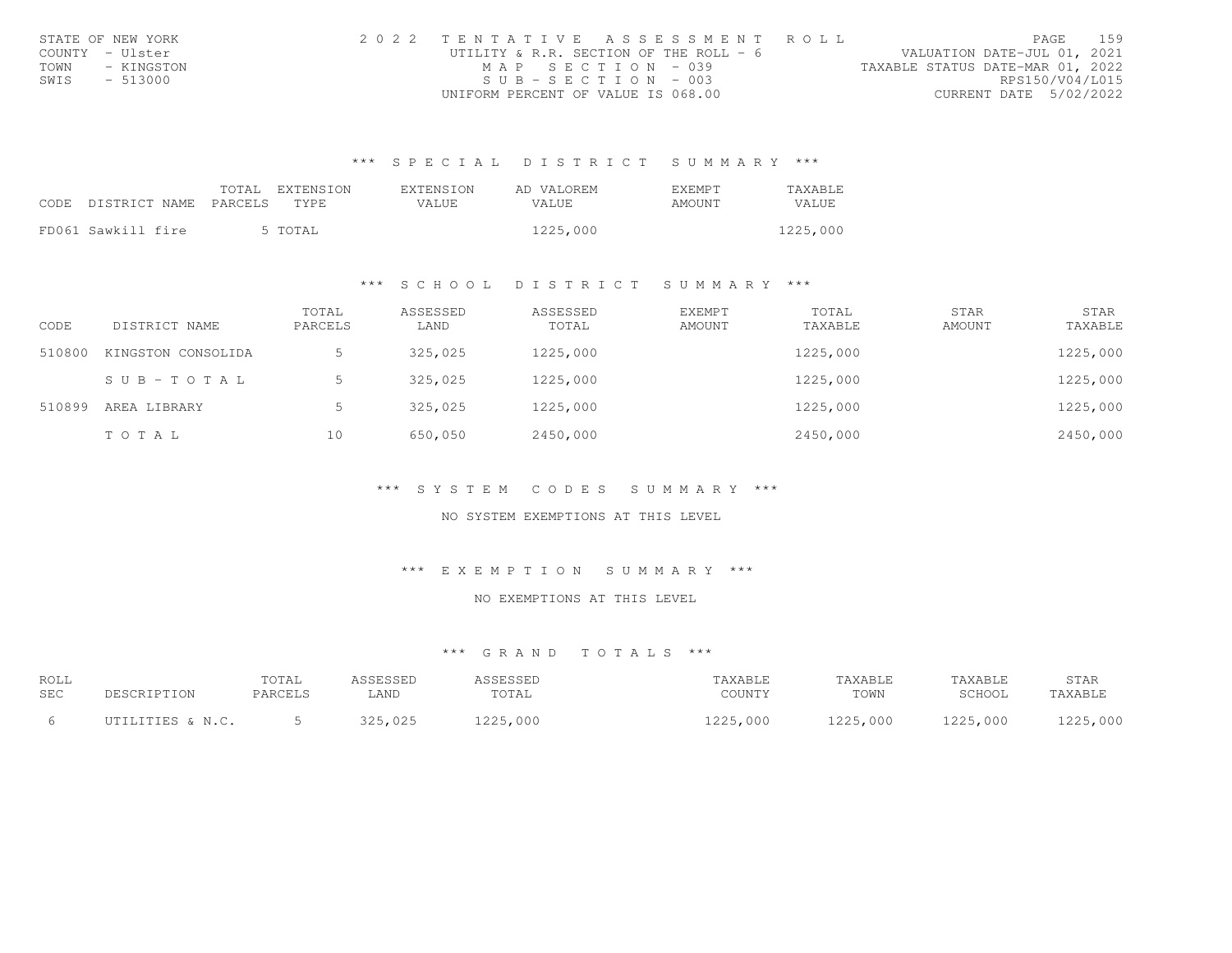| STATE OF NEW YORK  | 2022 TENTATIVE ASSESSMENT ROLL          | 159<br>PAGE                      |
|--------------------|-----------------------------------------|----------------------------------|
| COUNTY - Ulster    | UTILITY & R.R. SECTION OF THE ROLL $-6$ | VALUATION DATE-JUL 01, 2021      |
| TOWN<br>- KINGSTON | MAP SECTION - 039                       | TAXABLE STATUS DATE-MAR 01, 2022 |
| SWIS<br>- 513000   | $SUB - SECTION - 003$                   | RPS150/V04/L015                  |
|                    | UNIFORM PERCENT OF VALUE IS 068.00      | CURRENT DATE 5/02/2022           |

| CODE DISTRICT NAME PARCELS | TOTAL EXTENSION<br>TYPE. | EXTENSION<br>VALUE. | AD VALOREM<br>VALUE. | EXEMPT<br>AMOUNT | TAXABLE<br>VALUE |
|----------------------------|--------------------------|---------------------|----------------------|------------------|------------------|
| FD061 Sawkill fire         | 5 TOTAL                  |                     | 1225,000             |                  | 1225,000         |

# \*\*\* S C H O O L D I S T R I C T S U M M A R Y \*\*\*

| CODE   | DISTRICT NAME      | TOTAL<br>PARCELS | ASSESSED<br>LAND | ASSESSED<br>TOTAL | <b>EXEMPT</b><br>AMOUNT | TOTAL<br>TAXABLE | <b>STAR</b><br>AMOUNT | STAR<br>TAXABLE |
|--------|--------------------|------------------|------------------|-------------------|-------------------------|------------------|-----------------------|-----------------|
| 510800 | KINGSTON CONSOLIDA |                  | 325,025          | 1225,000          |                         | 1225,000         |                       | 1225,000        |
|        | SUB-TOTAL          |                  | 325,025          | 1225,000          |                         | 1225,000         |                       | 1225,000        |
| 510899 | AREA LIBRARY       |                  | 325,025          | 1225,000          |                         | 1225,000         |                       | 1225,000        |
|        | TOTAL              | 10               | 650,050          | 2450,000          |                         | 2450,000         |                       | 2450,000        |

\*\*\* S Y S T E M C O D E S S U M M A R Y \*\*\*

NO SYSTEM EXEMPTIONS AT THIS LEVEL

\*\*\* E X E M P T I O N S U M M A R Y \*\*\*

NO EXEMPTIONS AT THIS LEVEL

| ROLL       |                  | TOTAL   | ASSESSED | ASSESSED | TAXABLE  | TAXABLE  | TAXABLE  | STAR     |
|------------|------------------|---------|----------|----------|----------|----------|----------|----------|
| <b>SEC</b> | DESCRIPTION      | PARCELS | LAND     | TOTAL    | COUNTY   | TOWN     | SCHOOL   | TAXABLE  |
|            | UTILITIES & N.C. |         | 325,025  | 1225,000 | 1225,000 | 1225,000 | 1225,000 | 1225,000 |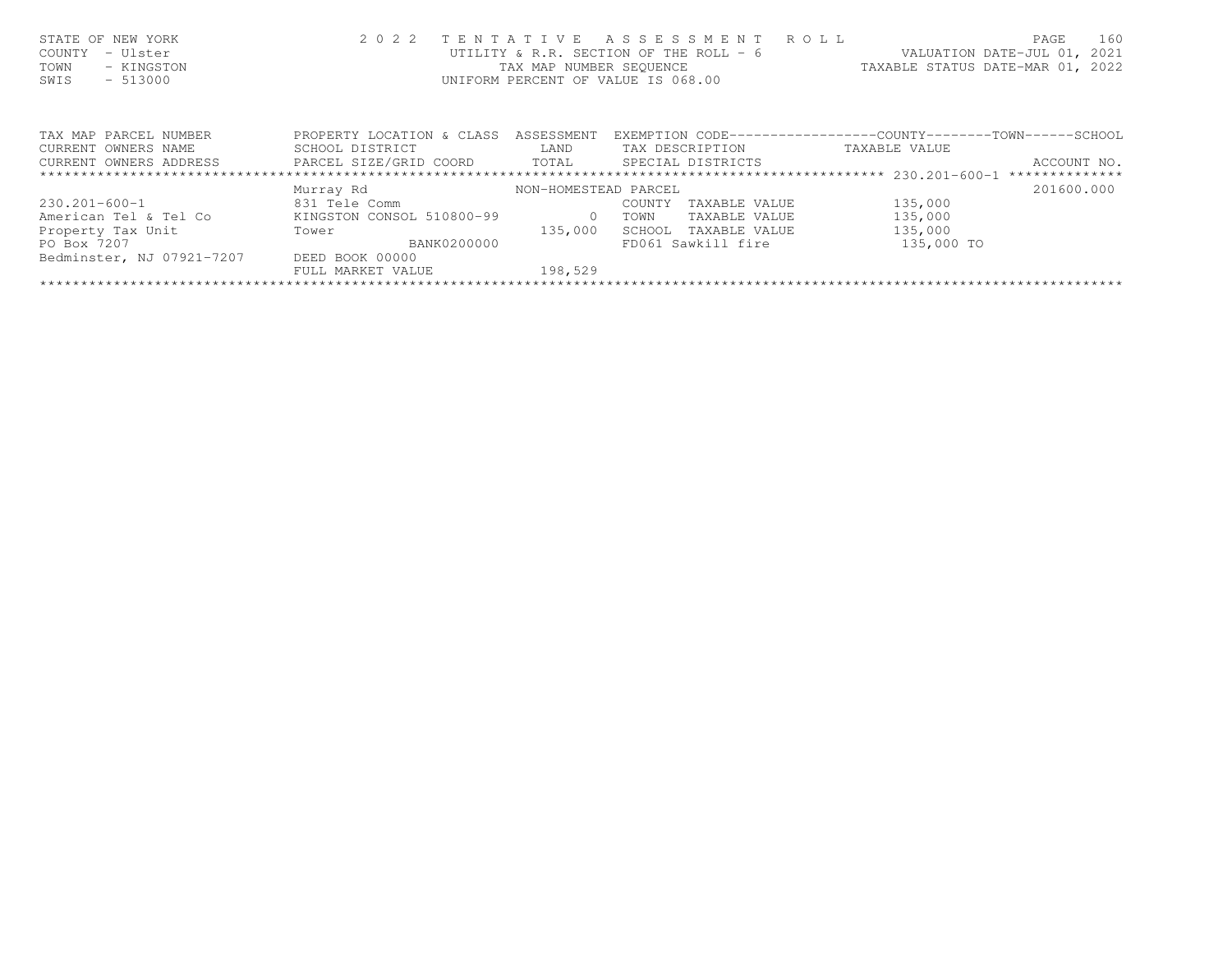| STATE OF NEW YORK<br>- Ulster<br>COUNTY<br>TOWN<br>- KINGSTON<br>$-513000$<br>SWIS | 2 0 2 2                                      | TAX MAP NUMBER SEQUENCE | TENTATIVE ASSESSMENT ROLL<br>UTILITY & R.R. SECTION OF THE ROLL - $6$<br>UNIFORM PERCENT OF VALUE IS 068.00 | 160<br><b>PAGE</b><br>VALUATION DATE-JUL 01, 2021<br>TAXABLE STATUS DATE-MAR 01, 2022 |
|------------------------------------------------------------------------------------|----------------------------------------------|-------------------------|-------------------------------------------------------------------------------------------------------------|---------------------------------------------------------------------------------------|
| TAX MAP PARCEL NUMBER<br>CURRENT OWNERS NAME                                       | PROPERTY LOCATION & CLASS<br>SCHOOL DISTRICT | ASSESSMENT<br>LAND      | TAX DESCRIPTION                                                                                             | EXEMPTION CODE-----------------COUNTY-------TOWN------SCHOOL<br>TAXABLE VALUE         |
| CURRENT OWNERS ADDRESS                                                             | PARCEL SIZE/GRID COORD TOTAL                 |                         | SPECIAL DISTRICTS                                                                                           | ACCOUNT NO.                                                                           |
|                                                                                    |                                              |                         |                                                                                                             | **************                                                                        |
|                                                                                    | Murray Rd                                    | NON-HOMESTEAD PARCEL    |                                                                                                             | 201600,000                                                                            |
| 230.201-600-1                                                                      | 831 Tele Comm                                |                         | COUNTY<br>TAXABLE VALUE                                                                                     | 135,000                                                                               |
| American Tel & Tel Co                                                              | KINGSTON CONSOL 510800-99                    | $\circ$                 | TOWN<br>TAXABLE VALUE                                                                                       | 135,000                                                                               |

| 230.201-600-1             | 831 Tele Comm             |         | COUNTY | TAXABLE VALUE      | 135,000    |  |
|---------------------------|---------------------------|---------|--------|--------------------|------------|--|
| American Tel & Tel Co     | KINGSTON CONSOL 510800-99 |         | TOWN   | TAXABLE VALUE      | 135,000    |  |
| Property Tax Unit         | Tower                     | 135,000 | SCHOOL | TAXABLE VALUE      | 135,000    |  |
| PO Box 7207               | <b>BANK0200000</b>        |         |        | FD061 Sawkill fire | 135,000 TO |  |
| Bedminster, NJ 07921-7207 | DEED BOOK 00000           |         |        |                    |            |  |
|                           | FULL MARKET VALUE         | 198,529 |        |                    |            |  |
|                           |                           |         |        |                    |            |  |
|                           |                           |         |        |                    |            |  |
|                           |                           |         |        |                    |            |  |
|                           |                           |         |        |                    |            |  |
|                           |                           |         |        |                    |            |  |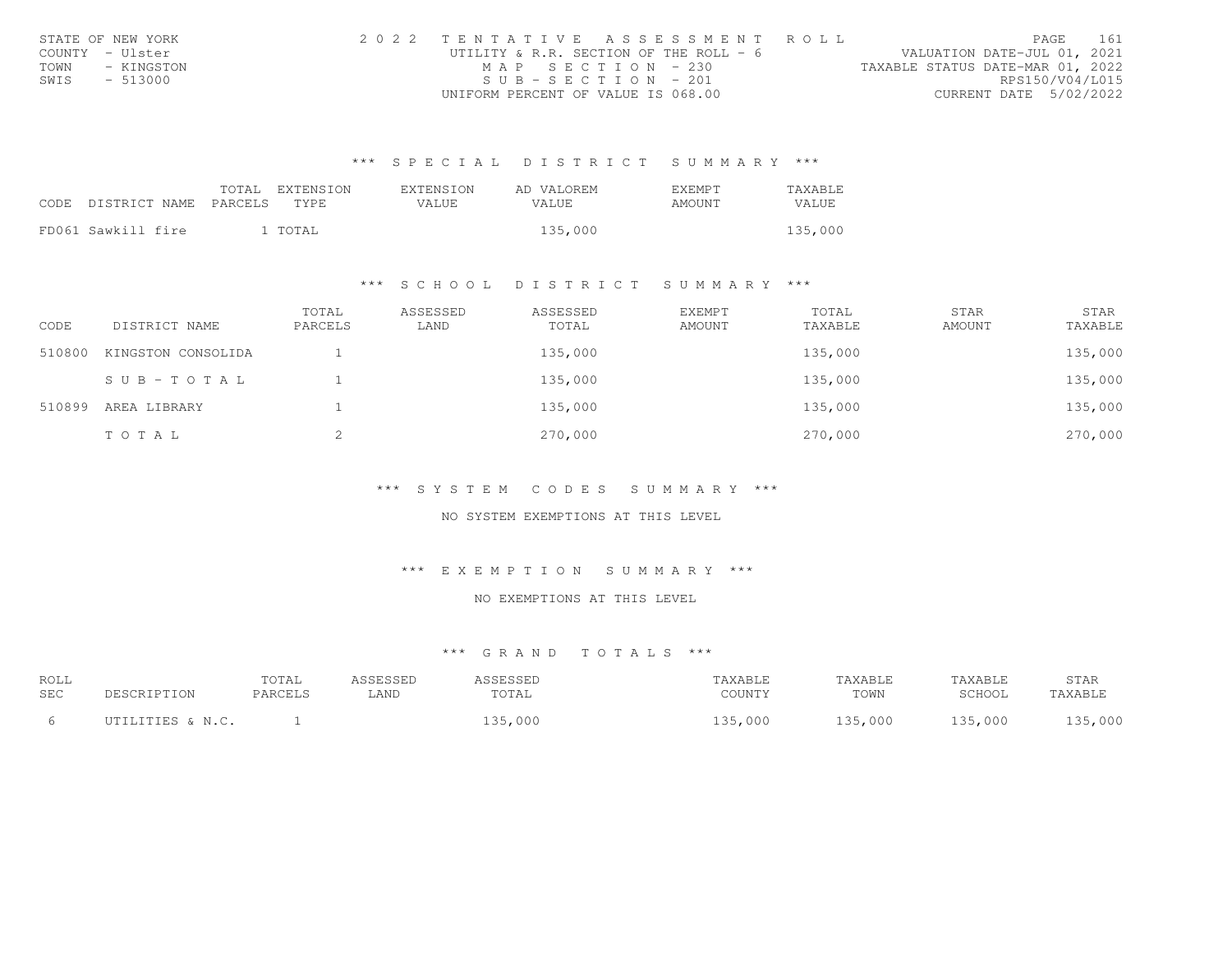| STATE OF NEW YORK  | 2022 TENTATIVE ASSESSMENT ROLL           | 161<br>PAGE                      |
|--------------------|------------------------------------------|----------------------------------|
| COUNTY - Ulster    | UTILITY & R.R. SECTION OF THE ROLL - $6$ | VALUATION DATE-JUL 01, 2021      |
| TOWN<br>- KINGSTON | MAP SECTION - 230                        | TAXABLE STATUS DATE-MAR 01, 2022 |
| SWIS<br>- 513000   | $SUB - SECTION - 201$                    | RPS150/V04/L015                  |
|                    | UNIFORM PERCENT OF VALUE IS 068.00       | CURRENT DATE 5/02/2022           |

| CODE DISTRICT NAME PARCELS | TOTAL | EXTENSION<br>TYPE. | EXTENSION<br>VALUE. | AD VALOREM<br>VALUE. | EXEMPT<br>AMOUNT | TAXABLE<br>VALUE |
|----------------------------|-------|--------------------|---------------------|----------------------|------------------|------------------|
| FD061 Sawkill fire         |       | . TOTAL            |                     | 135,000              |                  | 135,000          |

# \*\*\* S C H O O L D I S T R I C T S U M M A R Y \*\*\*

| CODE   | DISTRICT NAME      | TOTAL<br>PARCELS | ASSESSED<br>LAND | ASSESSED<br>TOTAL | <b>EXEMPT</b><br>AMOUNT | TOTAL<br>TAXABLE | <b>STAR</b><br>AMOUNT | <b>STAR</b><br>TAXABLE |
|--------|--------------------|------------------|------------------|-------------------|-------------------------|------------------|-----------------------|------------------------|
| 510800 | KINGSTON CONSOLIDA |                  |                  | 135,000           |                         | 135,000          |                       | 135,000                |
|        | SUB-TOTAL          |                  |                  | 135,000           |                         | 135,000          |                       | 135,000                |
| 510899 | AREA LIBRARY       |                  |                  | 135,000           |                         | 135,000          |                       | 135,000                |
|        | TOTAL              |                  |                  | 270,000           |                         | 270,000          |                       | 270,000                |

\*\*\* S Y S T E M C O D E S S U M M A R Y \*\*\*

### NO SYSTEM EXEMPTIONS AT THIS LEVEL

\*\*\* E X E M P T I O N S U M M A R Y \*\*\*

### NO EXEMPTIONS AT THIS LEVEL

| ROLL       |                  | "OTAL   | ASSESSED | ASSESSED | TAXABLE | TAXABLE | TAXABLE | STAR    |
|------------|------------------|---------|----------|----------|---------|---------|---------|---------|
| <b>SEC</b> | DESCRIPTION      | PARCELS | LAND     | TOTAL    | COUNTY  | TOWN    | SCHOOL  | TAXABLE |
|            | UTILITIES & N.C. |         |          | 135,000  | 135,000 | 135,000 | 135,000 | 135,000 |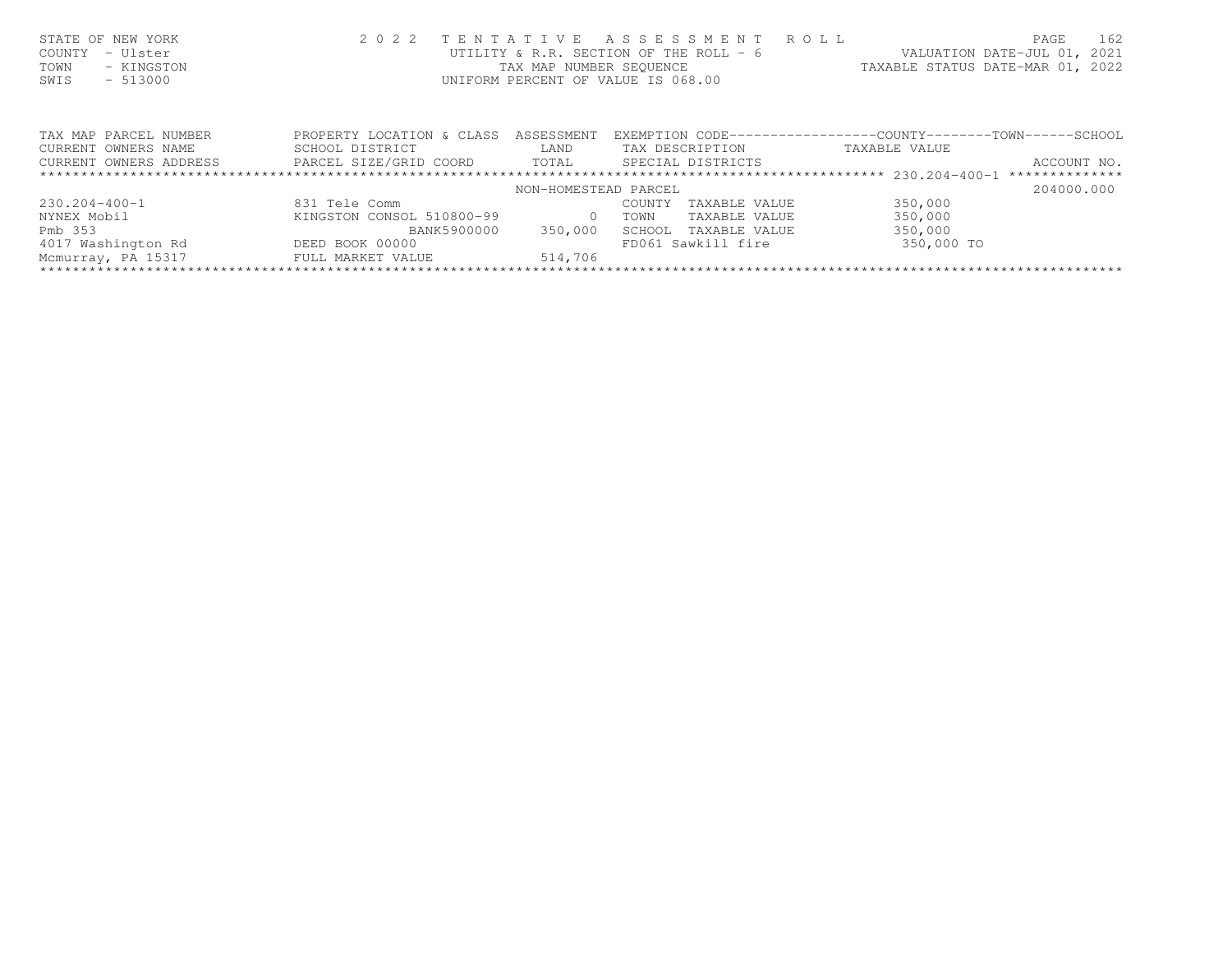|      | STATE OF NEW YORK | 2022 TENTATIVE ASSESSMENT ROLL           |                                  | PAGE | 162 |
|------|-------------------|------------------------------------------|----------------------------------|------|-----|
|      | COUNTY - Ulster   | UTILITY & R.R. SECTION OF THE ROLL - $6$ | VALUATION DATE-JUL 01, 2021      |      |     |
| TOWN | - KINGSTON        | TAX MAP NUMBER SEQUENCE                  | TAXABLE STATUS DATE-MAR 01, 2022 |      |     |
| SWIS | $-513000$         | UNIFORM PERCENT OF VALUE IS 068.00       |                                  |      |     |
|      |                   |                                          |                                  |      |     |

| TAX MAP PARCEL NUMBER  | PROPERTY LOCATION & CLASS | ASSESSMENT           | EXEMPTION CODE------------------COUNTY-------TOWN-----SCHOOL |               |             |
|------------------------|---------------------------|----------------------|--------------------------------------------------------------|---------------|-------------|
| CURRENT OWNERS NAME    | SCHOOL DISTRICT           | LAND                 | TAX DESCRIPTION                                              | TAXABLE VALUE |             |
| CURRENT OWNERS ADDRESS | PARCEL SIZE/GRID COORD    | TOTAL                | SPECIAL DISTRICTS                                            |               | ACCOUNT NO. |
|                        |                           |                      |                                                              |               |             |
|                        |                           | NON-HOMESTEAD PARCEL |                                                              |               | 204000.000  |
| $230.204 - 400 - 1$    | 831 Tele Comm             |                      | TAXABLE VALUE<br>COUNTY                                      | 350,000       |             |
| NYNEX Mobil            | KINGSTON CONSOL 510800-99 | $\Omega$             | TAXABLE VALUE<br>TOWN                                        | 350,000       |             |
| Pmb 353                | BANK5900000               | 350,000              | TAXABLE VALUE<br>SCHOOL                                      | 350,000       |             |
| 4017 Washington Rd     | DEED BOOK 00000           |                      | FD061 Sawkill fire                                           | 350,000 TO    |             |
| Mcmurray, PA 15317     | FULL MARKET VALUE         | 514,706              |                                                              |               |             |
|                        |                           |                      |                                                              |               |             |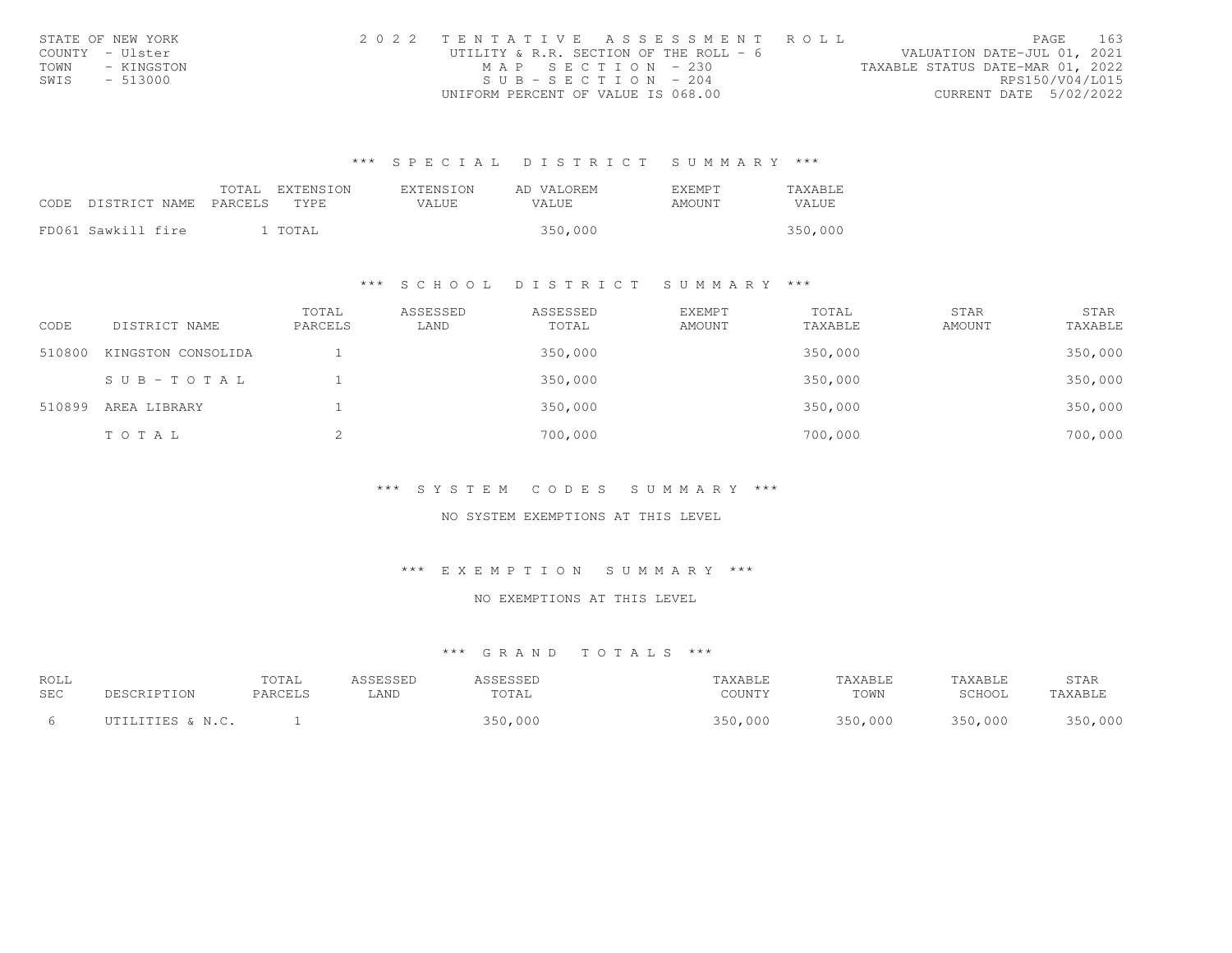| STATE OF NEW YORK  | 2022 TENTATIVE ASSESSMENT ROLL           | 163<br>PAGE.                     |
|--------------------|------------------------------------------|----------------------------------|
| COUNTY - Ulster    | UTILITY & R.R. SECTION OF THE ROLL - $6$ | VALUATION DATE-JUL 01, 2021      |
| TOWN<br>- KINGSTON | MAP SECTION - 230                        | TAXABLE STATUS DATE-MAR 01, 2022 |
| SWIS<br>$-513000$  | $SUB - SEC T TO N - 204$                 | RPS150/V04/L015                  |
|                    | UNIFORM PERCENT OF VALUE IS 068.00       | CURRENT DATE 5/02/2022           |

| CODE DISTRICT NAME PARCELS | TOTAL EXTENSION<br>TYPF. | EXTENSION<br>VALUE. | AD VALOREM<br><b>VALUE</b> | EXEMPT<br>AMOUNT | TAXABLE<br>VALUE |
|----------------------------|--------------------------|---------------------|----------------------------|------------------|------------------|
| FD061 Sawkill fire         | . TOTAL                  |                     | 350,000                    |                  | 350,000          |

# \*\*\* S C H O O L D I S T R I C T S U M M A R Y \*\*\*

| CODE   | DISTRICT NAME      | TOTAL<br>PARCELS | ASSESSED<br>LAND | ASSESSED<br>TOTAL | <b>EXEMPT</b><br>AMOUNT | TOTAL<br>TAXABLE | STAR<br>AMOUNT | STAR<br>TAXABLE |
|--------|--------------------|------------------|------------------|-------------------|-------------------------|------------------|----------------|-----------------|
| 510800 | KINGSTON CONSOLIDA |                  |                  | 350,000           |                         | 350,000          |                | 350,000         |
|        | SUB-TOTAL          |                  |                  | 350,000           |                         | 350,000          |                | 350,000         |
| 510899 | AREA LIBRARY       |                  |                  | 350,000           |                         | 350,000          |                | 350,000         |
|        | TOTAL              |                  |                  | 700,000           |                         | 700,000          |                | 700,000         |

\*\*\* S Y S T E M C O D E S S U M M A R Y \*\*\*

### NO SYSTEM EXEMPTIONS AT THIS LEVEL

\*\*\* E X E M P T I O N S U M M A R Y \*\*\*

### NO EXEMPTIONS AT THIS LEVEL

| ROLL       |                  | "OTAL   | ASSESSED | ASSESSED | TAXABLE | TAXABLE | TAXABLE | STAR    |
|------------|------------------|---------|----------|----------|---------|---------|---------|---------|
| <b>SEC</b> | PESCRIPTION      | PARCELS | LAND     | TOTAL    | COUNTY  | TOWN    | SCHOOL  | TAXABLE |
|            | UTILITIES & N.C. |         |          | 350,000  | 350,000 | 350,000 | 350,000 | 350,000 |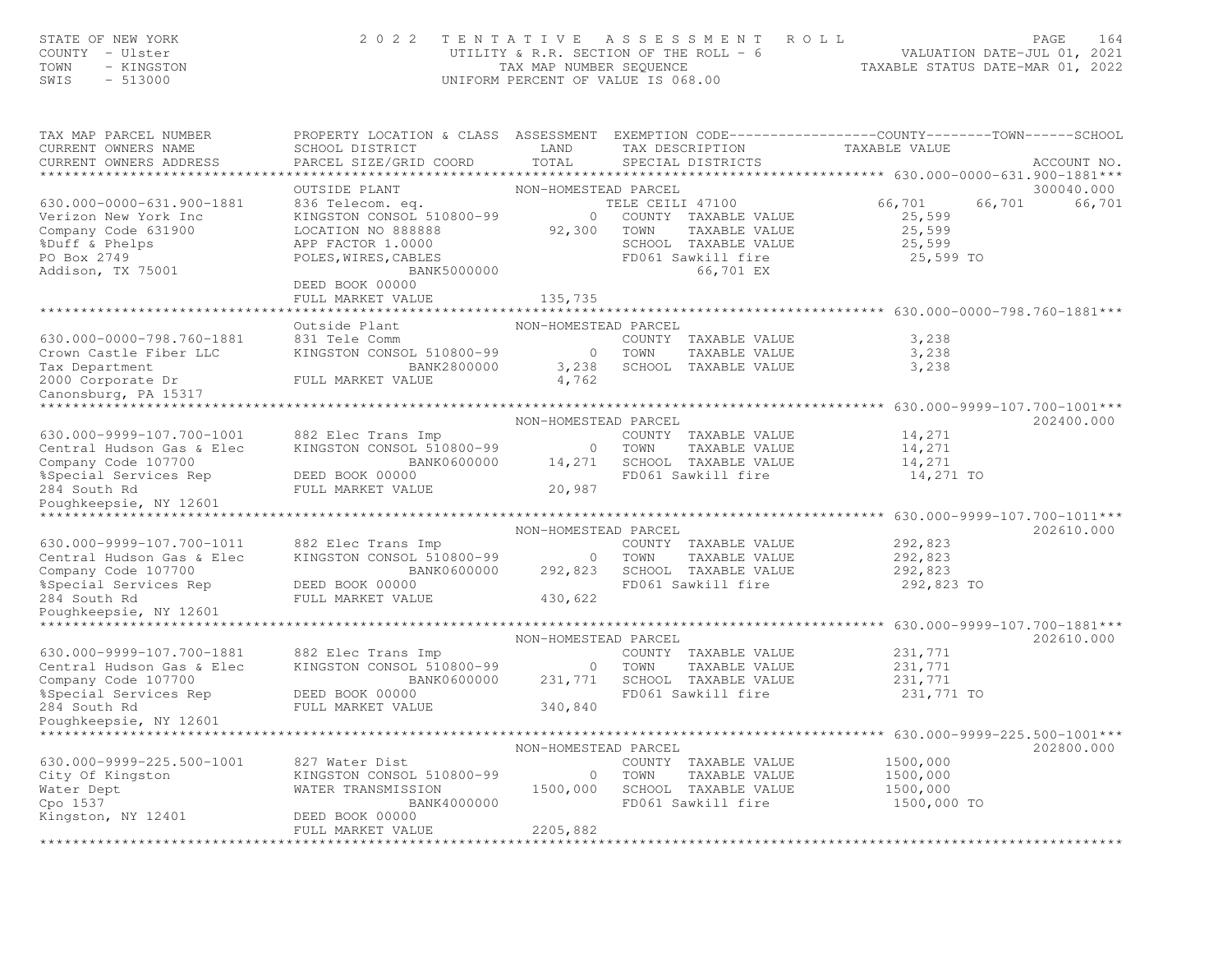# STATE OF NEW YORK CORRECTED A SO 2 2 TENTATIVE ASSESSMENT ROLL PALUATION DATE-JUL 01, 2021<br>COUNTY - Ulster (1, 2021) TAX MAP NUMBER SEQUENCE (1, 2021) TAXABLE STATUR ON THE SAME A SEQUENCE (1, 2021)<br>TAXABLE STATUS DATE-MAR

| TAX MAP PARCEL NUMBER<br>CURRENT OWNERS NAME<br>CURRENT OWNERS ADDRESS                                                         | PROPERTY LOCATION & CLASS ASSESSMENT<br>SCHOOL DISTRICT<br>PARCEL SIZE/GRID COORD                                               | LAND<br>TOTAL           | TAX DESCRIPTION<br>SPECIAL DISTRICTS                                                                                         | EXEMPTION CODE-----------------COUNTY-------TOWN------SCHOOL<br>TAXABLE VALUE | ACCOUNT NO. |
|--------------------------------------------------------------------------------------------------------------------------------|---------------------------------------------------------------------------------------------------------------------------------|-------------------------|------------------------------------------------------------------------------------------------------------------------------|-------------------------------------------------------------------------------|-------------|
| *********************                                                                                                          |                                                                                                                                 |                         |                                                                                                                              |                                                                               |             |
|                                                                                                                                | OUTSIDE PLANT                                                                                                                   | NON-HOMESTEAD PARCEL    |                                                                                                                              |                                                                               | 300040.000  |
| 630.000-0000-631.900-1881<br>Verizon New York Inc<br>Company Code 631900<br>%Duff & Phelps<br>PO Box 2749<br>Addison, TX 75001 | 836 Telecom. eq.<br>KINGSTON CONSOL 510800-99<br>LOCATION NO 888888<br>APP FACTOR 1.0000<br>POLES, WIRES, CABLES<br>BANK5000000 | $\circ$<br>92,300       | TELE CEILI 47100<br>COUNTY TAXABLE VALUE<br>TOWN<br>TAXABLE VALUE<br>SCHOOL TAXABLE VALUE<br>FD061 Sawkill fire<br>66,701 EX | 66,701<br>66,701<br>25,599<br>25,599<br>25,599<br>25,599 TO                   | 66,701      |
|                                                                                                                                | DEED BOOK 00000<br>FULL MARKET VALUE                                                                                            | 135,735                 |                                                                                                                              |                                                                               |             |
|                                                                                                                                |                                                                                                                                 |                         |                                                                                                                              |                                                                               |             |
|                                                                                                                                | Outside Plant                                                                                                                   | NON-HOMESTEAD PARCEL    |                                                                                                                              |                                                                               |             |
| 630.000-0000-798.760-1881                                                                                                      | 831 Tele Comm                                                                                                                   |                         | COUNTY TAXABLE VALUE                                                                                                         | 3,238                                                                         |             |
| Crown Castle Fiber LLC<br>Tax Department                                                                                       | KINGSTON CONSOL 510800-99<br>BANK2800000                                                                                        | $\overline{0}$<br>3,238 | TOWN<br>TAXABLE VALUE<br>SCHOOL TAXABLE VALUE                                                                                | 3,238<br>3,238                                                                |             |
| 2000 Corporate Dr                                                                                                              | FULL MARKET VALUE                                                                                                               | 4,762                   |                                                                                                                              |                                                                               |             |
| Canonsburg, PA 15317                                                                                                           |                                                                                                                                 |                         |                                                                                                                              |                                                                               |             |
|                                                                                                                                |                                                                                                                                 |                         |                                                                                                                              |                                                                               |             |
|                                                                                                                                |                                                                                                                                 | NON-HOMESTEAD PARCEL    |                                                                                                                              |                                                                               | 202400.000  |
| 630.000-9999-107.700-1001                                                                                                      | 882 Elec Trans Imp                                                                                                              |                         | COUNTY TAXABLE VALUE                                                                                                         | 14,271                                                                        |             |
| Central Hudson Gas & Elec                                                                                                      | KINGSTON CONSOL 510800-99                                                                                                       | $\overline{0}$          | TOWN<br>TAXABLE VALUE                                                                                                        | 14,271                                                                        |             |
| Company Code 107700                                                                                                            | BANK0600000                                                                                                                     | 14,271                  | SCHOOL TAXABLE VALUE                                                                                                         | 14,271                                                                        |             |
| %Special Services Rep                                                                                                          | DEED BOOK 00000                                                                                                                 |                         | FD061 Sawkill fire                                                                                                           | 14,271 TO                                                                     |             |
| 284 South Rd                                                                                                                   | FULL MARKET VALUE                                                                                                               | 20,987                  |                                                                                                                              |                                                                               |             |
| Poughkeepsie, NY 12601                                                                                                         |                                                                                                                                 |                         |                                                                                                                              |                                                                               |             |
| ********************                                                                                                           |                                                                                                                                 |                         |                                                                                                                              |                                                                               |             |
|                                                                                                                                |                                                                                                                                 | NON-HOMESTEAD PARCEL    |                                                                                                                              |                                                                               | 202610.000  |
| 630.000-9999-107.700-1011                                                                                                      | 882 Elec Trans Imp<br>882 Elec Trans Imp<br>KINGSTON CONSOL 510800-99 0                                                         |                         | COUNTY TAXABLE VALUE                                                                                                         | 292,823                                                                       |             |
| Central Hudson Gas & Elec                                                                                                      |                                                                                                                                 |                         | TOWN<br>TAXABLE VALUE                                                                                                        | 292,823                                                                       |             |
| Company Code 107700                                                                                                            | BANK0600000<br>DEED BOOK 00000                                                                                                  | 292,823                 | SCHOOL TAXABLE VALUE<br>FD061 Sawkill fire                                                                                   | 292,823<br>292,823 TO                                                         |             |
| %Special Services Rep<br>284 South Rd                                                                                          | FULL MARKET VALUE                                                                                                               | 430,622                 |                                                                                                                              |                                                                               |             |
| Poughkeepsie, NY 12601                                                                                                         |                                                                                                                                 |                         |                                                                                                                              |                                                                               |             |
|                                                                                                                                |                                                                                                                                 |                         |                                                                                                                              |                                                                               |             |
|                                                                                                                                |                                                                                                                                 | NON-HOMESTEAD PARCEL    |                                                                                                                              |                                                                               | 202610.000  |
| 630.000-9999-107.700-1881                                                                                                      | 882 Elec Trans Imp                                                                                                              |                         | COUNTY TAXABLE VALUE                                                                                                         | 231,771                                                                       |             |
| Central Hudson Gas & Elec                                                                                                      | KINGSTON CONSOL 510800-99                                                                                                       | $\circ$                 | TAXABLE VALUE<br>TOWN                                                                                                        | 231,771                                                                       |             |
| Company Code 107700                                                                                                            | BANK0600000                                                                                                                     | 231,771                 | SCHOOL TAXABLE VALUE                                                                                                         | 231,771                                                                       |             |
| %Special Services Rep                                                                                                          | DEED BOOK 00000                                                                                                                 |                         | FD061 Sawkill fire                                                                                                           | 231,771 TO                                                                    |             |
| 284 South Rd                                                                                                                   | FULL MARKET VALUE                                                                                                               | 340,840                 |                                                                                                                              |                                                                               |             |
| Poughkeepsie, NY 12601                                                                                                         |                                                                                                                                 |                         |                                                                                                                              |                                                                               |             |
| ******************************                                                                                                 |                                                                                                                                 |                         |                                                                                                                              |                                                                               |             |
|                                                                                                                                |                                                                                                                                 | NON-HOMESTEAD PARCEL    |                                                                                                                              |                                                                               | 202800.000  |
| 630.000-9999-225.500-1001                                                                                                      | 827 Water Dist                                                                                                                  |                         | COUNTY TAXABLE VALUE                                                                                                         | 1500,000                                                                      |             |
| City Of Kingston<br>Water Dept                                                                                                 | KINGSTON CONSOL 510800-99<br>WATER TRANSMISSION                                                                                 | $\circ$<br>1500,000     | TOWN<br>TAXABLE VALUE<br>SCHOOL TAXABLE VALUE                                                                                | 1500,000<br>1500,000                                                          |             |
| Cpo 1537                                                                                                                       | BANK4000000                                                                                                                     |                         | FD061 Sawkill fire                                                                                                           | 1500,000 TO                                                                   |             |
| Kingston, NY 12401                                                                                                             | DEED BOOK 00000                                                                                                                 |                         |                                                                                                                              |                                                                               |             |
|                                                                                                                                | FULL MARKET VALUE                                                                                                               | 2205,882                |                                                                                                                              |                                                                               |             |
|                                                                                                                                |                                                                                                                                 |                         |                                                                                                                              |                                                                               |             |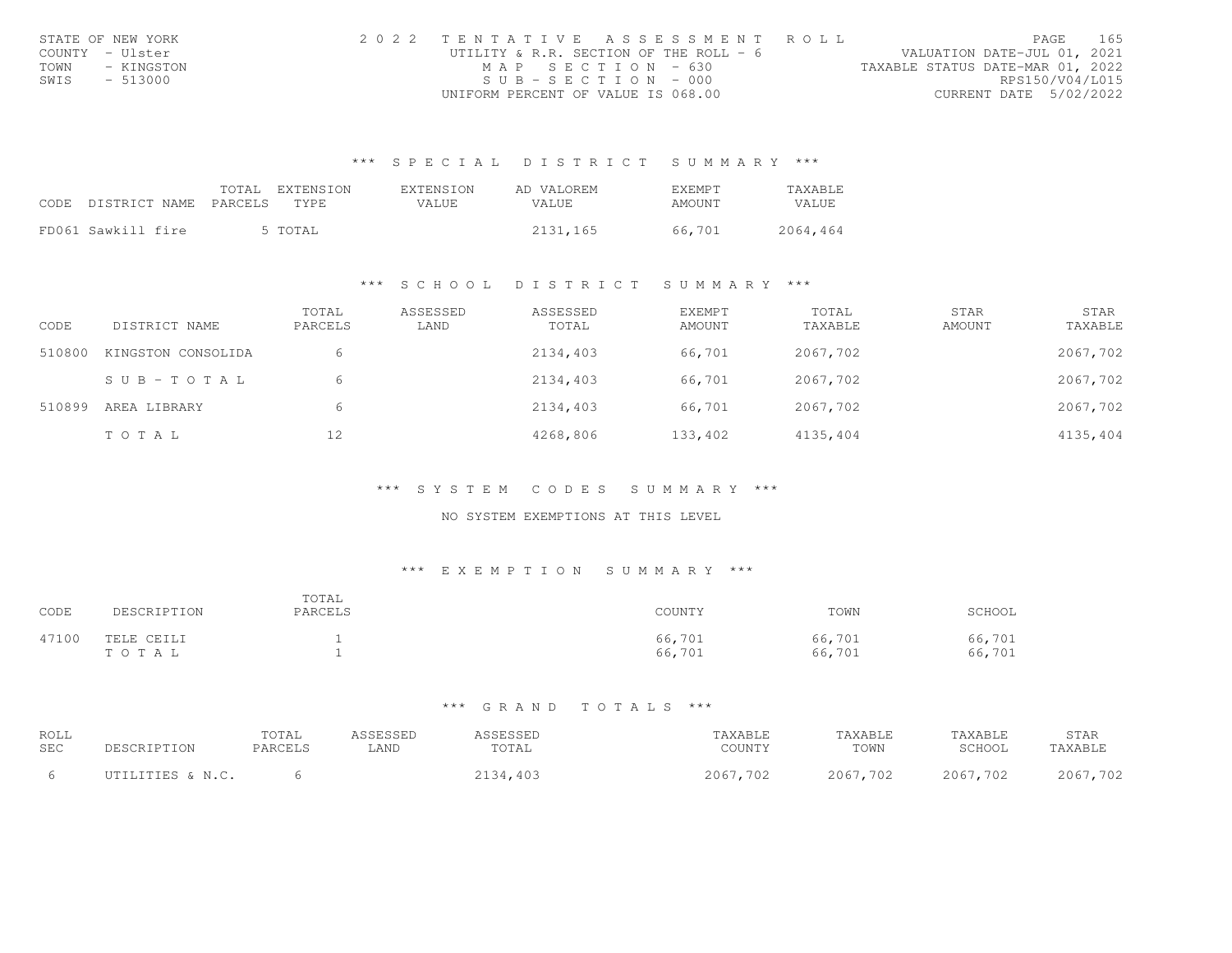| STATE OF NEW YORK  | 2022 TENTATIVE ASSESSMENT ROLL           |                                  | PAGE            | 165 |
|--------------------|------------------------------------------|----------------------------------|-----------------|-----|
| COUNTY - Ulster    | UTILITY & R.R. SECTION OF THE ROLL - $6$ | VALUATION DATE-JUL 01, 2021      |                 |     |
| TOWN<br>- KINGSTON | MAP SECTION - 630                        | TAXABLE STATUS DATE-MAR 01, 2022 |                 |     |
| SWIS<br>- 513000   | $SUB - SECTION - 000$                    |                                  | RPS150/V04/L015 |     |
|                    | UNIFORM PERCENT OF VALUE IS 068.00       | CURRENT DATE 5/02/2022           |                 |     |

| CODE DISTRICT NAME PARCELS |  | TOTAL EXTENSION<br>TYPE | EXTENSION<br>VALUE. | AD VALOREM<br>VALUE. | F.XF.MPT<br>AMOUNT | TAXABLE<br>VALUE |
|----------------------------|--|-------------------------|---------------------|----------------------|--------------------|------------------|
| FD061 Sawkill fire         |  | 5 TOTAL                 |                     | 2131,165             | 66.701             | 2064,464         |

### \*\*\* S C H O O L D I S T R I C T S U M M A R Y \*\*\*

| CODE   | DISTRICT NAME      | TOTAL<br>PARCELS | ASSESSED<br>LAND | ASSESSED<br>TOTAL | <b>EXEMPT</b><br>AMOUNT | TOTAL<br>TAXABLE | <b>STAR</b><br>AMOUNT | <b>STAR</b><br>TAXABLE |
|--------|--------------------|------------------|------------------|-------------------|-------------------------|------------------|-----------------------|------------------------|
| 510800 | KINGSTON CONSOLIDA | 6                |                  | 2134,403          | 66,701                  | 2067,702         |                       | 2067,702               |
|        | SUB-TOTAL          | 6                |                  | 2134,403          | 66,701                  | 2067,702         |                       | 2067,702               |
| 510899 | AREA LIBRARY       | 6                |                  | 2134,403          | 66,701                  | 2067,702         |                       | 2067,702               |
|        | TOTAL              | 12               |                  | 4268,806          | 133,402                 | 4135,404         |                       | 4135,404               |

### \*\*\* S Y S T E M C O D E S S U M M A R Y \*\*\*

### NO SYSTEM EXEMPTIONS AT THIS LEVEL

# \*\*\* E X E M P T I O N S U M M A R Y \*\*\*

| CODE  | DESCRIPTION         | TOTAL<br>PARCELS | COUNTY           | TOWN             | SCHOOL           |
|-------|---------------------|------------------|------------------|------------------|------------------|
| 47100 | TELE CEILI<br>TOTAL |                  | 66,701<br>66,701 | 66,701<br>66,701 | 66,701<br>66,701 |

| ROLL       | DESCRIPTION      | "OTAL   | ASSESSED | ASSESSED | TAXABLE  | TAXABLE  | TAXABLE  | STAR     |
|------------|------------------|---------|----------|----------|----------|----------|----------|----------|
| <b>SEC</b> |                  | PARCELS | LAND     | TOTAL    | COUNTY   | TOWN     | SCHOOL   | TAXABLE  |
|            | UTILITIES & N.C. |         |          | 2134,403 | 2067,702 | 2067,702 | 2067,702 | 2067,702 |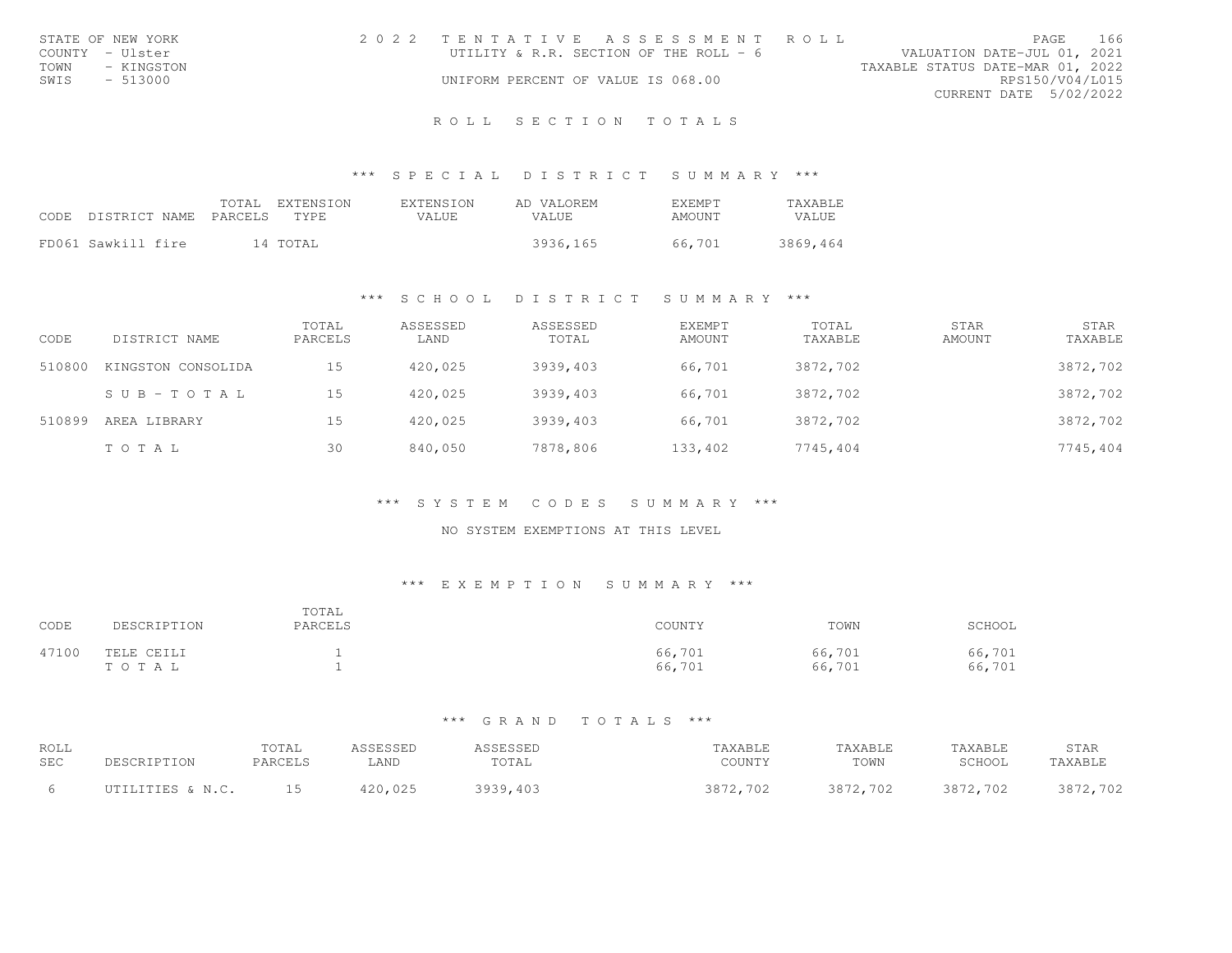| STATE OF NEW YORK  | 2022 TENTATIVE ASSESSMENT ROLL           |                                  | <b>PAGE</b>                 | - 166 |
|--------------------|------------------------------------------|----------------------------------|-----------------------------|-------|
| COUNTY - Ulster    | UTILITY & R.R. SECTION OF THE ROLL - $6$ |                                  | VALUATION DATE-JUL 01, 2021 |       |
| TOWN<br>- KINGSTON |                                          | TAXABLE STATUS DATE-MAR 01, 2022 |                             |       |
| SWTS<br>- 513000   | UNIFORM PERCENT OF VALUE IS 068.00       |                                  | RPS150/V04/L015             |       |
|                    |                                          |                                  | CURRENT DATE 5/02/2022      |       |

# ROLL SECTION TOTALS

### \*\*\* S P E C I A L D I S T R I C T S U M M A R Y \*\*\*

| CODE | DISTRICT NAME      | TOTAL<br>PARCELS | EXTENSION<br>TYPF. | <b>EXTENSION</b><br>VALUE. | AD VALOREM<br>VALUE. | <b>F.XF.MPT</b><br>AMOUNT | TAXABLE<br>VALUE. |
|------|--------------------|------------------|--------------------|----------------------------|----------------------|---------------------------|-------------------|
|      | FD061 Sawkill fire |                  | 14 TOTAL           |                            | 3936,165             | 66.701                    | 3869,464          |

# \*\*\* S C H O O L D I S T R I C T S U M M A R Y \*\*\*

| CODE   | DISTRICT NAME      | TOTAL<br>PARCELS | ASSESSED<br>LAND | ASSESSED<br>TOTAL | <b>EXEMPT</b><br>AMOUNT | TOTAL<br>TAXABLE | STAR<br>AMOUNT | STAR<br>TAXABLE |
|--------|--------------------|------------------|------------------|-------------------|-------------------------|------------------|----------------|-----------------|
| 510800 | KINGSTON CONSOLIDA | 15               | 420,025          | 3939,403          | 66,701                  | 3872,702         |                | 3872,702        |
|        | SUB-TOTAL          | 15               | 420,025          | 3939,403          | 66,701                  | 3872,702         |                | 3872,702        |
| 510899 | AREA LIBRARY       | 15               | 420,025          | 3939,403          | 66,701                  | 3872,702         |                | 3872,702        |
|        | TOTAL              | 30               | 840,050          | 7878,806          | 133,402                 | 7745,404         |                | 7745,404        |

### \*\*\* S Y S T E M C O D E S S U M M A R Y \*\*\*

### NO SYSTEM EXEMPTIONS AT THIS LEVEL

# \*\*\* E X E M P T I O N S U M M A R Y \*\*\*

| CODE  | DESCRIPTION         | TOTAL<br>PARCELS | COUNTY           | TOWN             | SCHOOL           |
|-------|---------------------|------------------|------------------|------------------|------------------|
| 47100 | TELE CEILI<br>TOTAL |                  | 66,701<br>66,701 | 66,701<br>66,701 | 66,701<br>66,701 |

| ROLL       |                  | TOTAL   | ASSESSED | ASSESSED | <b>AXABLE</b> | TAXABLE  | TAXABLE  | STAR     |
|------------|------------------|---------|----------|----------|---------------|----------|----------|----------|
| <b>SEC</b> | DESCRIPTION      | PARCELS | LAND     | TOTAL    | COUNTY        | TOWN     | SCHOOL   | TAXABLE  |
| h          | UTILITIES & N.C. | 15      | 420,025  | 3939,403 | 3872,702      | 3872,702 | 3872,702 | 3872,702 |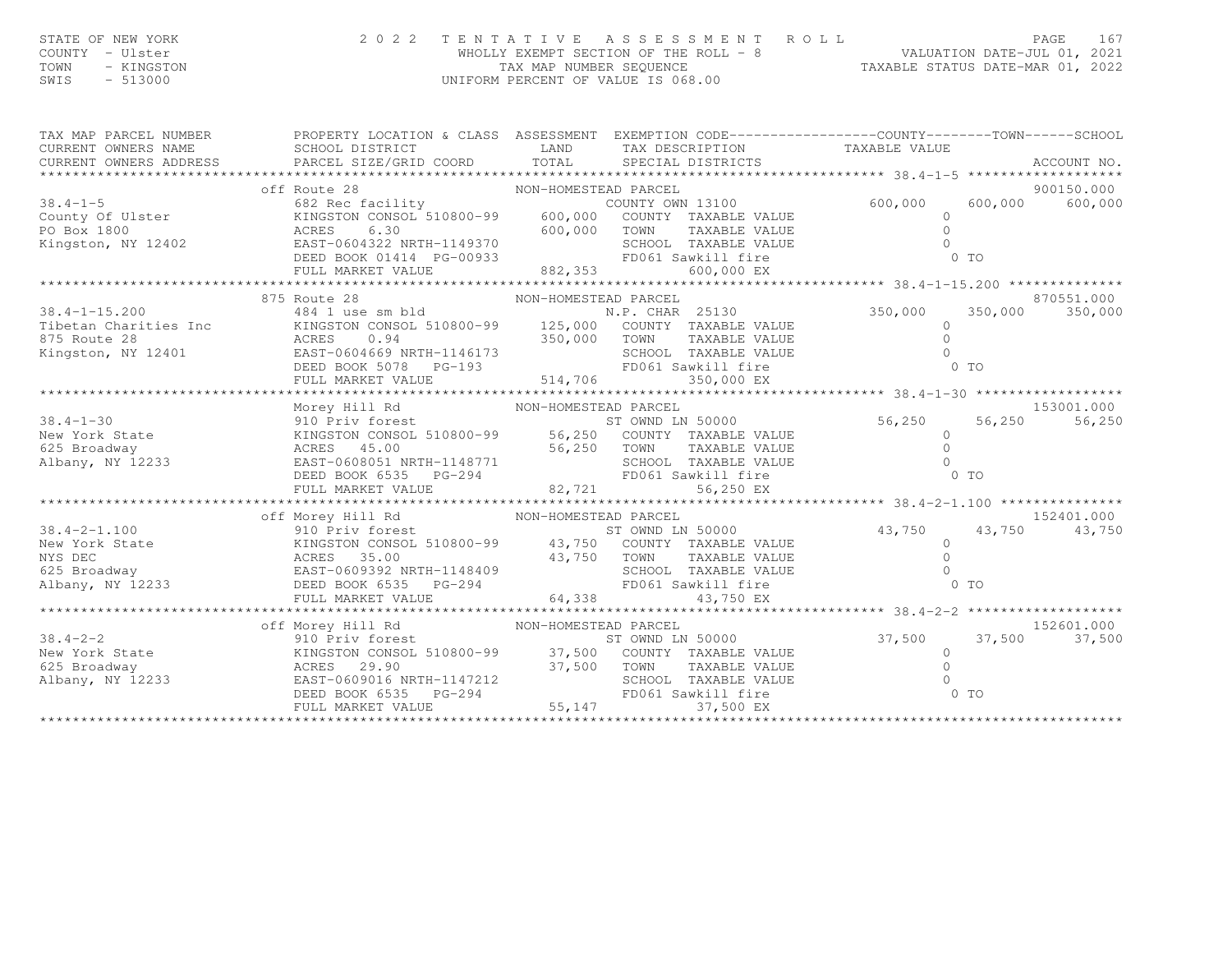# STATE OF NEW YORK CONTY - USE A MANUSIC MENU ARE SERING A SUBSEX ON THE ROLL PAGE 167<br>COUNTY - Ulster COURTY - TAX MADLIY EXEMPT SECTION OF THE ROLL - 8 VALUATION DATE-JUL 01, 2021<br>TAXABLE STATUS DATE-MAR 01, 2022<br>SWIS - 5

| TAX MAP PARCEL NUMBER | PROPERTY LOCATION & CLASS  ASSESSMENT  EXEMPTION CODE----------------COUNTY-------TOWN------SCHOOL                                                                                                                                                                                                                                                                         |  |  |  |
|-----------------------|----------------------------------------------------------------------------------------------------------------------------------------------------------------------------------------------------------------------------------------------------------------------------------------------------------------------------------------------------------------------------|--|--|--|
|                       |                                                                                                                                                                                                                                                                                                                                                                            |  |  |  |
|                       |                                                                                                                                                                                                                                                                                                                                                                            |  |  |  |
|                       |                                                                                                                                                                                                                                                                                                                                                                            |  |  |  |
|                       | COKREN UNIMENT (CONTRESTED PARCE 1982 RECTED 1000 FOO,000 600,000 600,000 600,000 600,000 600,000 600,000 600,000 600,000 600,000 600,000 600,000 600,000 600,000 600,000 600,000 600,000 600,000 600,000 600,000 600,000 600                                                                                                                                              |  |  |  |
|                       |                                                                                                                                                                                                                                                                                                                                                                            |  |  |  |
|                       |                                                                                                                                                                                                                                                                                                                                                                            |  |  |  |
|                       |                                                                                                                                                                                                                                                                                                                                                                            |  |  |  |
|                       |                                                                                                                                                                                                                                                                                                                                                                            |  |  |  |
|                       |                                                                                                                                                                                                                                                                                                                                                                            |  |  |  |
|                       |                                                                                                                                                                                                                                                                                                                                                                            |  |  |  |
|                       |                                                                                                                                                                                                                                                                                                                                                                            |  |  |  |
|                       | 875 Route 28<br>875 Route 28<br>875 Route 28<br>EAR 25130<br>Tibetan Charities Inc KINGSTON CONSOL 510800-99<br>875 Route 28<br>875 Route 28<br>875 Route 28<br>875 Route 28<br>875 Route 28<br>875 Route 28<br>875 Route 28<br>875 Route 28<br>875 Rout                                                                                                                   |  |  |  |
|                       |                                                                                                                                                                                                                                                                                                                                                                            |  |  |  |
|                       |                                                                                                                                                                                                                                                                                                                                                                            |  |  |  |
|                       |                                                                                                                                                                                                                                                                                                                                                                            |  |  |  |
|                       |                                                                                                                                                                                                                                                                                                                                                                            |  |  |  |
|                       |                                                                                                                                                                                                                                                                                                                                                                            |  |  |  |
|                       |                                                                                                                                                                                                                                                                                                                                                                            |  |  |  |
|                       |                                                                                                                                                                                                                                                                                                                                                                            |  |  |  |
|                       |                                                                                                                                                                                                                                                                                                                                                                            |  |  |  |
|                       | MORE NEW YORK STATE SERIES AND THE MARKET ON THE SEED BOOK 6535 PG-294<br>MORE SEED BOOK 635 PG-294 FID60 STANBLE VALUE FOR STATE ON THE SEED BOOK 6535 PG-294 FIND SERIES AND SERIES SERIES SERIES SERIES AND THE SEED BOOK 653                                                                                                                                           |  |  |  |
|                       |                                                                                                                                                                                                                                                                                                                                                                            |  |  |  |
|                       |                                                                                                                                                                                                                                                                                                                                                                            |  |  |  |
|                       |                                                                                                                                                                                                                                                                                                                                                                            |  |  |  |
|                       |                                                                                                                                                                                                                                                                                                                                                                            |  |  |  |
|                       |                                                                                                                                                                                                                                                                                                                                                                            |  |  |  |
|                       |                                                                                                                                                                                                                                                                                                                                                                            |  |  |  |
|                       | 38.4-2-1.100 of Morey Hill Rd NON-HOMESTEAD PARCEL<br>38.4-2-1.100 910 Priv forest ST ONND LN 50000 43,750 43,750 43,750<br>NEW York State KINGSTON CONSOL 510800-99 43,750 COUNTY TAXABLE VALUE<br>NYS DEC ACRES 35.00 43,750 TOWN                                                                                                                                        |  |  |  |
|                       |                                                                                                                                                                                                                                                                                                                                                                            |  |  |  |
|                       |                                                                                                                                                                                                                                                                                                                                                                            |  |  |  |
|                       |                                                                                                                                                                                                                                                                                                                                                                            |  |  |  |
|                       |                                                                                                                                                                                                                                                                                                                                                                            |  |  |  |
|                       |                                                                                                                                                                                                                                                                                                                                                                            |  |  |  |
|                       |                                                                                                                                                                                                                                                                                                                                                                            |  |  |  |
|                       |                                                                                                                                                                                                                                                                                                                                                                            |  |  |  |
|                       |                                                                                                                                                                                                                                                                                                                                                                            |  |  |  |
|                       |                                                                                                                                                                                                                                                                                                                                                                            |  |  |  |
|                       |                                                                                                                                                                                                                                                                                                                                                                            |  |  |  |
|                       |                                                                                                                                                                                                                                                                                                                                                                            |  |  |  |
|                       |                                                                                                                                                                                                                                                                                                                                                                            |  |  |  |
|                       |                                                                                                                                                                                                                                                                                                                                                                            |  |  |  |
|                       | $\begin{tabular}{lllllllll} \textbf{38.4--2-2} & \textbf{off Morey Hill Rd} & \textbf{NON-HOMESTEAD PARCEL} & \textbf{55.147} & \textbf{50.37,500} & \textbf{510800} & \textbf{510800} & \textbf{510800} & \textbf{510800} & \textbf{510800} & \textbf{510800} & \textbf{510800} & \textbf{510800} & \textbf{510800} & \textbf{510800} & \textbf{510800} & \textbf{510800$ |  |  |  |
|                       |                                                                                                                                                                                                                                                                                                                                                                            |  |  |  |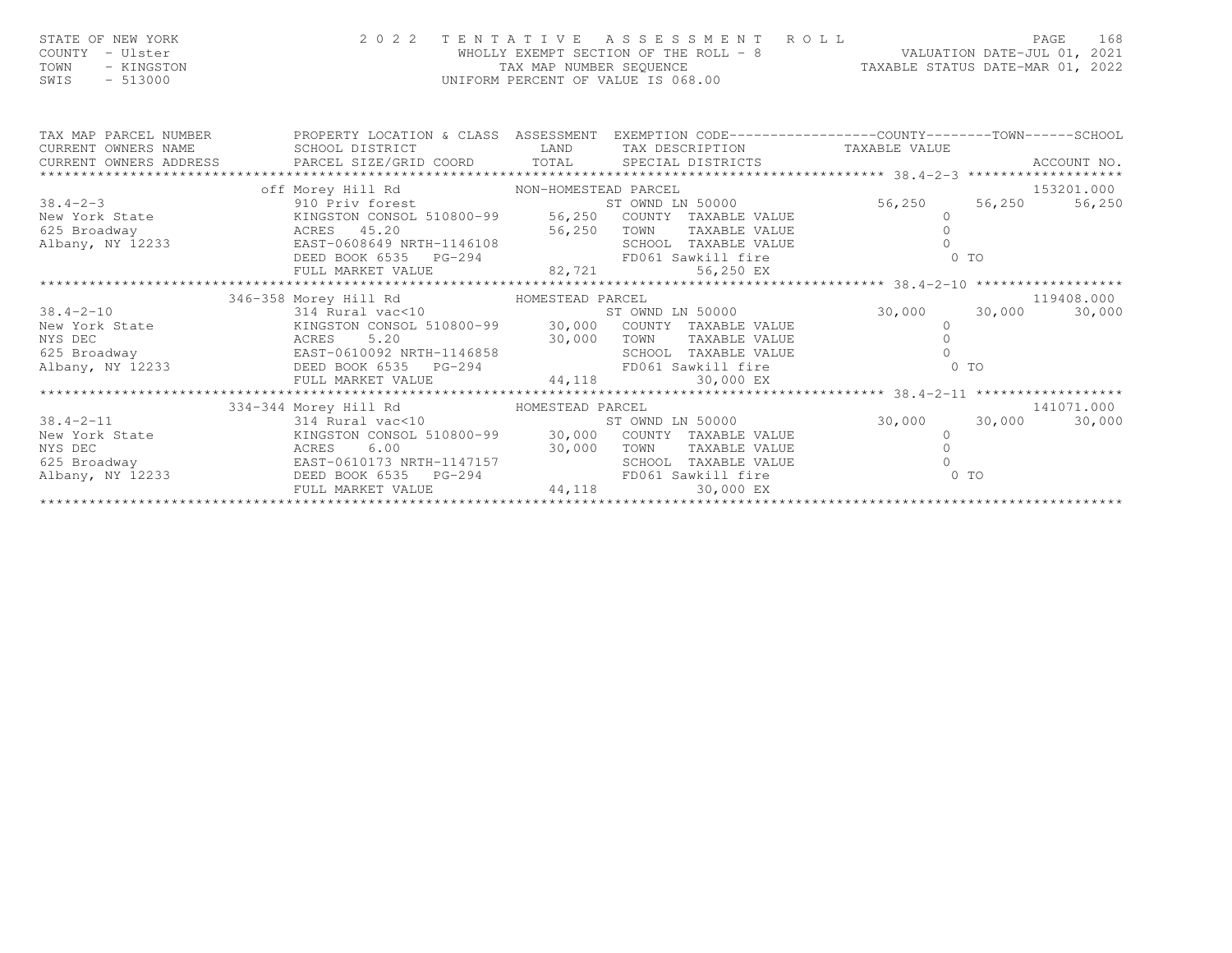| STATE OF NEW YORK<br>COUNTY - Ulster   | 2022 TENTATIVE ASSESSMENT ROLL<br>WHOLLY EXEMPT SECTION OF THE ROLL - 8 |                                  | PAGE.<br>VALUATION DATE-JUL 01, 2021 | 168 |
|----------------------------------------|-------------------------------------------------------------------------|----------------------------------|--------------------------------------|-----|
| TOWN<br>- KINGSTON<br>SWIS<br>- 513000 | TAX MAP NUMBER SEOUENCE<br>UNIFORM PERCENT OF VALUE IS 068.00           | TAXABLE STATUS DATE-MAR 01, 2022 |                                      |     |

| TAX MAP PARCEL NUMBER FROPERTY LOCATION & CLASS ASSESSMENT EXEMPTION CODE---------------COUNTY-------TOWN------SCHOOL                                                                                                              |                                        |                                                             |        |                  |
|------------------------------------------------------------------------------------------------------------------------------------------------------------------------------------------------------------------------------------|----------------------------------------|-------------------------------------------------------------|--------|------------------|
| CURRENT OWNERS NAME                                                                                                                                                                                                                | SCHOOL DISTRICT LAND                   | TAX DESCRIPTION TAXABLE VALUE                               |        |                  |
|                                                                                                                                                                                                                                    |                                        |                                                             |        |                  |
|                                                                                                                                                                                                                                    |                                        |                                                             |        |                  |
| % off Morey Hill Rd MON-HOMESTEAD PARCEL 910 Priv forest MON-HOMESTEAD PARCEL<br>New York State Money (KINGSTON CONSOL 510800-99 56,250 COUNTY TAXABLE VALUE                                                                       |                                        |                                                             |        | 153201.000       |
|                                                                                                                                                                                                                                    |                                        |                                                             |        | 56,250<br>56,250 |
|                                                                                                                                                                                                                                    |                                        |                                                             |        |                  |
|                                                                                                                                                                                                                                    |                                        |                                                             |        |                  |
|                                                                                                                                                                                                                                    |                                        |                                                             |        |                  |
|                                                                                                                                                                                                                                    |                                        |                                                             |        |                  |
|                                                                                                                                                                                                                                    |                                        |                                                             |        |                  |
| 0 1233 1 12233 1 1225 1245.20 1 1225 1245.20 56,250 1000 1233 1 12233 1 1225 1245.20 56,250 1233 1 1225 123 12<br>EAST-0608649 NRTH-1146108 56,250 12233 1 12233 1 1225 1245 1223 1 1225 1245 1223 1 1225 1245 1223 1 1225 123<br> |                                        |                                                             |        |                  |
|                                                                                                                                                                                                                                    | 346-358 Morey Hill Rd MOMESTEAD PARCEL |                                                             |        | 119408.000       |
| 38.4-2-10 30,000 314 Rural vac<10 ST OWND LN 50000 30,000 30,000                                                                                                                                                                   |                                        |                                                             |        | 30,000           |
| New York State<br>New York State<br>NYS DEC<br>NYS DEC<br>ACRES  MYS DEC<br>ACRES  ADDRITY TAXABLE VALUE<br>ACRES  ADDRITY TAXABLE VALUE<br>ACRES   ADDRITY TAXABLE VALUE<br>ACRES   ADDRITY TAXABLE VALUE<br>ACRES                |                                        |                                                             |        |                  |
|                                                                                                                                                                                                                                    |                                        |                                                             |        |                  |
|                                                                                                                                                                                                                                    |                                        |                                                             |        |                  |
|                                                                                                                                                                                                                                    |                                        |                                                             | $0$ TO |                  |
|                                                                                                                                                                                                                                    |                                        |                                                             |        |                  |
|                                                                                                                                                                                                                                    |                                        |                                                             |        |                  |
|                                                                                                                                                                                                                                    | 334-344 Morey Hill Rd MOMESTEAD PARCEL |                                                             |        | 141071.000       |
| $38.4 - 2 - 11$                                                                                                                                                                                                                    |                                        | 314 Rural vac<10 5000 ST OWND LN 50000 50,000 30,000 30,000 |        | 30,000           |
| New York State 6.00 EXAMPLE VALUE NYS DEC WALLER MANAGEMENT AND MANAGEMENT MANAGEMENT AND MANAGEMENT MANAGEMENT MANAGEMENT MANAGEMENT MANAGEMENT MANAGEMENT MANAGEMENT MANAGEMENT MANAGEMENT MANAGEMENT MANAGEMENT MANAGEMENT      |                                        |                                                             |        |                  |
|                                                                                                                                                                                                                                    |                                        |                                                             |        |                  |
|                                                                                                                                                                                                                                    |                                        | TAXABLE VALUE                                               |        |                  |
|                                                                                                                                                                                                                                    |                                        |                                                             | $0$ TO |                  |
|                                                                                                                                                                                                                                    |                                        |                                                             |        |                  |
|                                                                                                                                                                                                                                    |                                        |                                                             |        |                  |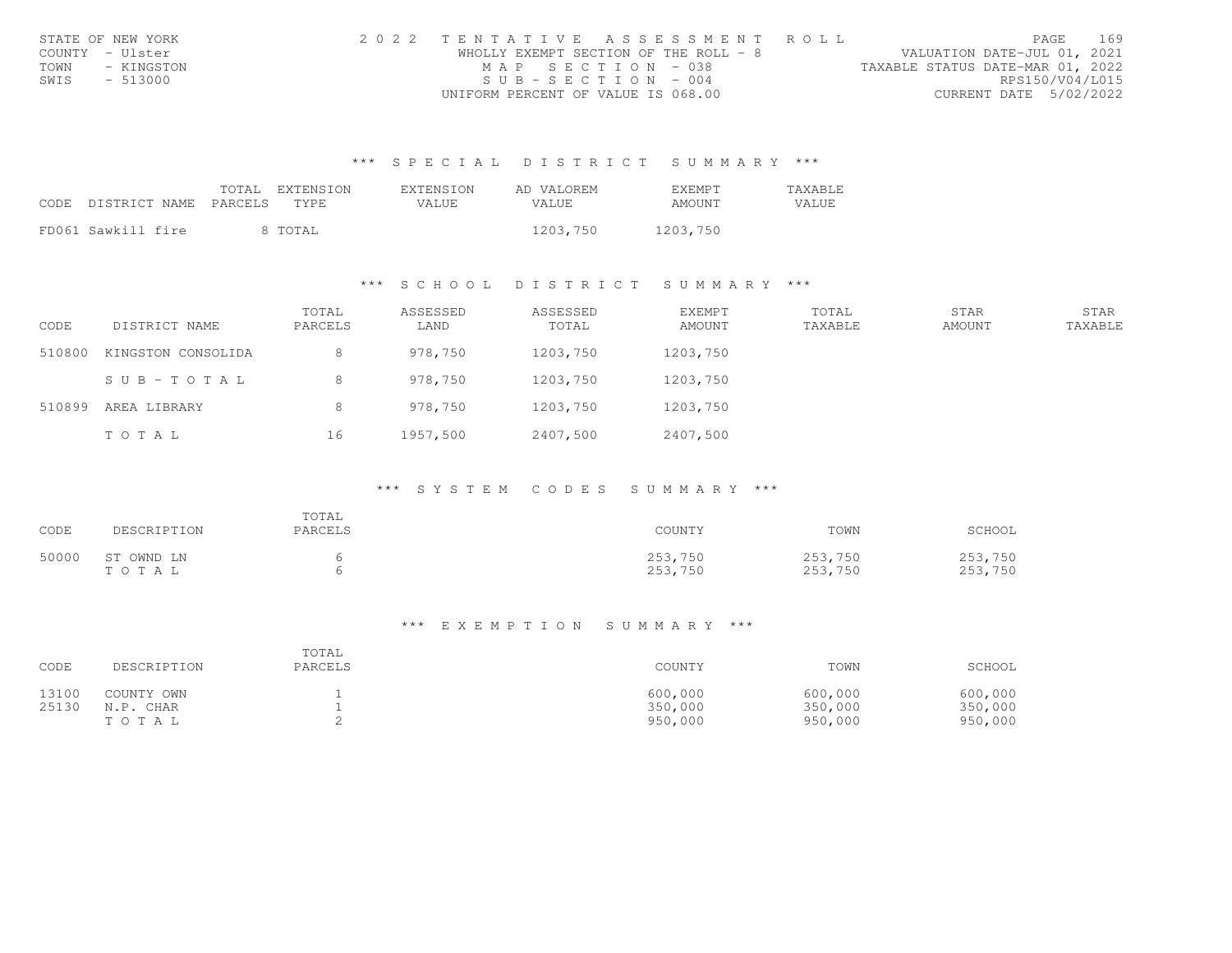| STATE OF NEW YORK  | 2022 TENTATIVE ASSESSMENT ROLL        | PAGE.                            | 169             |
|--------------------|---------------------------------------|----------------------------------|-----------------|
| COUNTY - Ulster    | WHOLLY EXEMPT SECTION OF THE ROLL - 8 | VALUATION DATE-JUL 01, 2021      |                 |
| TOWN<br>- KINGSTON | MAP SECTION - 038                     | TAXABLE STATUS DATE-MAR 01, 2022 |                 |
| SWIS<br>- 513000   | $SUB - SECTTON - 004$                 |                                  | RPS150/V04/L015 |
|                    | UNIFORM PERCENT OF VALUE IS 068.00    | CURRENT DATE 5/02/2022           |                 |

|      |                    | TOTAL   | EXTENSION | <b>EXTENSION</b> | AD VALOREM | F.XF.MPT | <b>TAXABLF</b> |
|------|--------------------|---------|-----------|------------------|------------|----------|----------------|
| CODE | DISTRICT NAME      | PARCELS | TYPE      | VALUE            | VALUE      | AMOUNT   | VALUE          |
|      | FD061 Sawkill fire |         | TOTAL     |                  | 1203,750   | 1203,750 |                |

### \*\*\* S C H O O L D I S T R I C T S U M M A R Y \*\*\*

| CODE   | DISTRICT NAME      | TOTAL<br>PARCELS | ASSESSED<br>LAND | ASSESSED<br>TOTAL | <b>EXEMPT</b><br>AMOUNT | TOTAL<br>TAXABLE | STAR<br>AMOUNT | STAR<br>TAXABLE |
|--------|--------------------|------------------|------------------|-------------------|-------------------------|------------------|----------------|-----------------|
| 510800 | KINGSTON CONSOLIDA |                  | 978,750          | 1203,750          | 1203,750                |                  |                |                 |
|        | SUB-TOTAL          |                  | 978,750          | 1203,750          | 1203,750                |                  |                |                 |
| 510899 | AREA LIBRARY       | 8                | 978,750          | 1203,750          | 1203,750                |                  |                |                 |
|        | TOTAL              | 16               | 1957,500         | 2407,500          | 2407,500                |                  |                |                 |

# \*\*\* S Y S T E M C O D E S S U M M A R Y \*\*\*

| CODE  | DESCRIPTION         | TOTAL<br>PARCELS | COUNTY             | TOWN               | SCHOOL             |
|-------|---------------------|------------------|--------------------|--------------------|--------------------|
| 50000 | ST OWND LN<br>TOTAL |                  | 253,750<br>253,750 | 253,750<br>253,750 | 253,750<br>253,750 |

### \*\*\* E X E M P T I O N S U M M A R Y \*\*\*

| CODE  | DESCRIPTION | TOTAL<br>PARCELS | COUNTY  | TOWN    | SCHOOL  |
|-------|-------------|------------------|---------|---------|---------|
| 13100 | COUNTY OWN  |                  | 600,000 | 600,000 | 600,000 |
| 25130 | N.P. CHAR   |                  | 350,000 | 350,000 | 350,000 |
|       | TOTAL       |                  | 950,000 | 950,000 | 950,000 |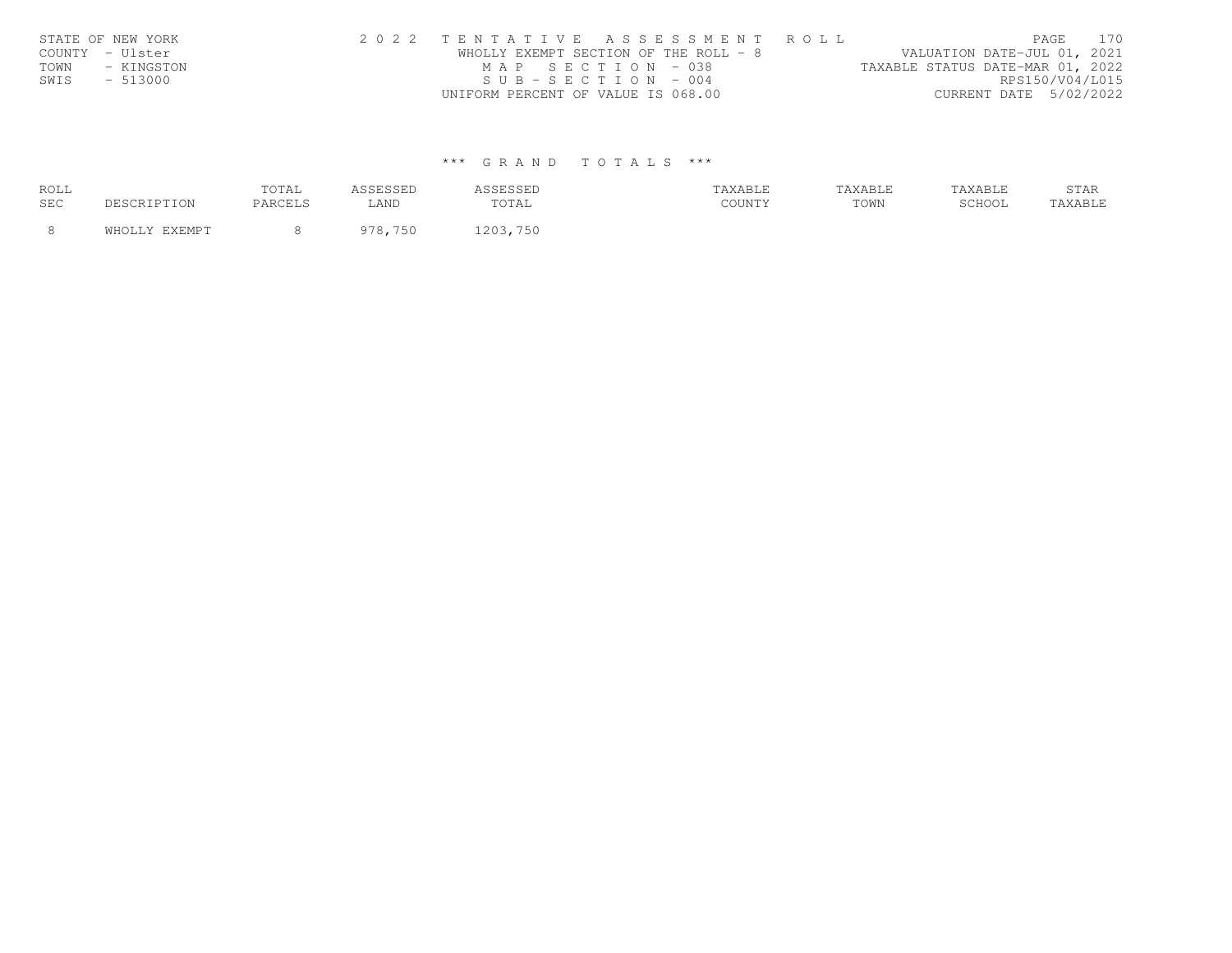|      | STATE OF NEW YORK | 2022 TENTATIVE ASSESSMENT ROLL        | PAGE                             | 170 |
|------|-------------------|---------------------------------------|----------------------------------|-----|
|      | COUNTY - Ulster   | WHOLLY EXEMPT SECTION OF THE ROLL - 8 | VALUATION DATE-JUL 01, 2021      |     |
| TOWN | - KINGSTON        | MAP SECTION - 038                     | TAXABLE STATUS DATE-MAR 01, 2022 |     |
| SWIS | $-513000$         | $SUB - SECTION - 004$                 | RPS150/V04/L015                  |     |
|      |                   | UNIFORM PERCENT OF VALUE IS 068.00    | CURRENT DATE 5/02/2022           |     |

| ROLL<br>SEC | TOTAL<br>ם דהרמת מח | LAND | TOTAL | AXABLE<br><b>COTTAINS</b> | 'AXABI<br>TOWN | SCHOOL | 71A1 G |
|-------------|---------------------|------|-------|---------------------------|----------------|--------|--------|
|             |                     | 751  | 750   |                           |                |        |        |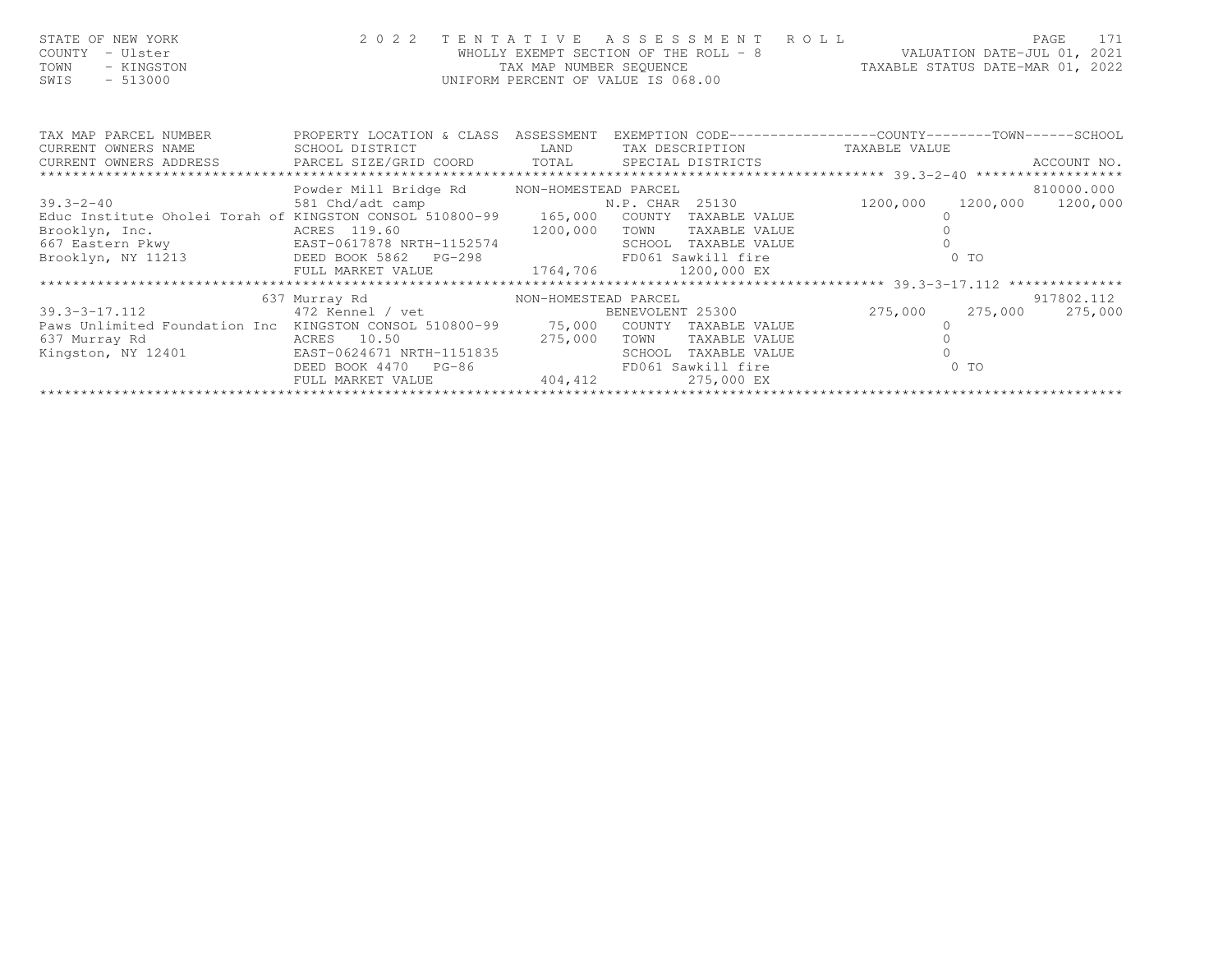| STATE OF NEW YORK<br>COUNTY - Ulster    | 2022 TENTATIVE ASSESSMENT ROLL<br>WHOLLY EXEMPT SECTION OF THE ROLL - 8 | 171<br>PAGE.<br>VALUATION DATE-JUL 01, 2021 |
|-----------------------------------------|-------------------------------------------------------------------------|---------------------------------------------|
| TOWN<br>- KINGSTON<br>SWIS<br>$-513000$ | TAX MAP NUMBER SEOUENCE<br>UNIFORM PERCENT OF VALUE IS 068.00           | TAXABLE STATUS DATE-MAR 01, 2022            |

| TAX MAP PARCEL NUMBER<br>CURRENT OWNERS NAME                                                                                                                                               | PROPERTY LOCATION & CLASS<br>SCHOOL DISTRICT LAND | ASSESSMENT | EXEMPTION CODE-----------------COUNTY-------TOWN-----SCHOOL<br>TAX DESCRIPTION TAXABLE VALUE |                         |             |  |
|--------------------------------------------------------------------------------------------------------------------------------------------------------------------------------------------|---------------------------------------------------|------------|----------------------------------------------------------------------------------------------|-------------------------|-------------|--|
| CURRENT OWNERS ADDRESS 6 PARCEL SIZE/GRID COORD 6 TOTAL 5PECIAL DISTRICTS                                                                                                                  |                                                   |            |                                                                                              |                         | ACCOUNT NO. |  |
|                                                                                                                                                                                            |                                                   |            |                                                                                              |                         |             |  |
|                                                                                                                                                                                            | Powder Mill Bridge Rd NON-HOMESTEAD PARCEL        |            |                                                                                              |                         | 810000.000  |  |
| $39.3 - 2 - 40$                                                                                                                                                                            | 581 Chd/adt camp                                  |            | N.P. CHAR 25130 1200,000 1200,000 1200,000                                                   |                         |             |  |
| Educ Institute Oholei Torah of KINGSTON CONSOL 510800-99 165,000                                                                                                                           |                                                   |            | COUNTY TAXABLE VALUE                                                                         |                         |             |  |
| Brooklyn, Inc.                                                                                                                                                                             | ACRES 119.60 1200,000                             |            | TOWN<br>TAXABLE VALUE                                                                        |                         |             |  |
| 667 Eastern Pkwy               EAST-0617878 NRTH-1152574                 SCHOOL TAXABLE VAI<br>Brooklyn, NY 11213               DEED BOOK 5862   PG-298                 FD061 Sawkill fire |                                                   |            | TAXABLE VALUE                                                                                |                         |             |  |
|                                                                                                                                                                                            |                                                   |            |                                                                                              | $0$ TO                  |             |  |
|                                                                                                                                                                                            | FULL MARKET VALUE $1764, 706$ 1200,000 EX         |            |                                                                                              |                         |             |  |
|                                                                                                                                                                                            |                                                   |            |                                                                                              |                         |             |  |
|                                                                                                                                                                                            | NON-HOMESTEAD PARCEL<br>637 Murray Rd             |            |                                                                                              |                         | 917802.112  |  |
| 39.3-3-17.112 472 Kennel / vet                                                                                                                                                             |                                                   |            | BENEVOLENT 25300                                                                             | 275,000 275,000 275,000 |             |  |
| Paws Unlimited Foundation Inc KINGSTON CONSOL 510800-99 75,000                                                                                                                             |                                                   |            | COUNTY TAXABLE VALUE                                                                         |                         |             |  |
| ACRES 10.50<br>637 Murray Rd                                                                                                                                                               | 275,000                                           |            | TOWN<br>TAXABLE VALUE                                                                        |                         |             |  |
| Kingston, NY 12401 EAST-0624671 NRTH-1151835                                                                                                                                               |                                                   |            | SCHOOL<br>TAXABLE VALUE                                                                      |                         |             |  |
|                                                                                                                                                                                            | DEED BOOK 4470 PG-86                              |            | FD061 Sawkill fire                                                                           | $0$ TO                  |             |  |
|                                                                                                                                                                                            | FULL MARKET VALUE                                 | 404,412    | 275,000 EX                                                                                   |                         |             |  |
|                                                                                                                                                                                            |                                                   |            |                                                                                              |                         |             |  |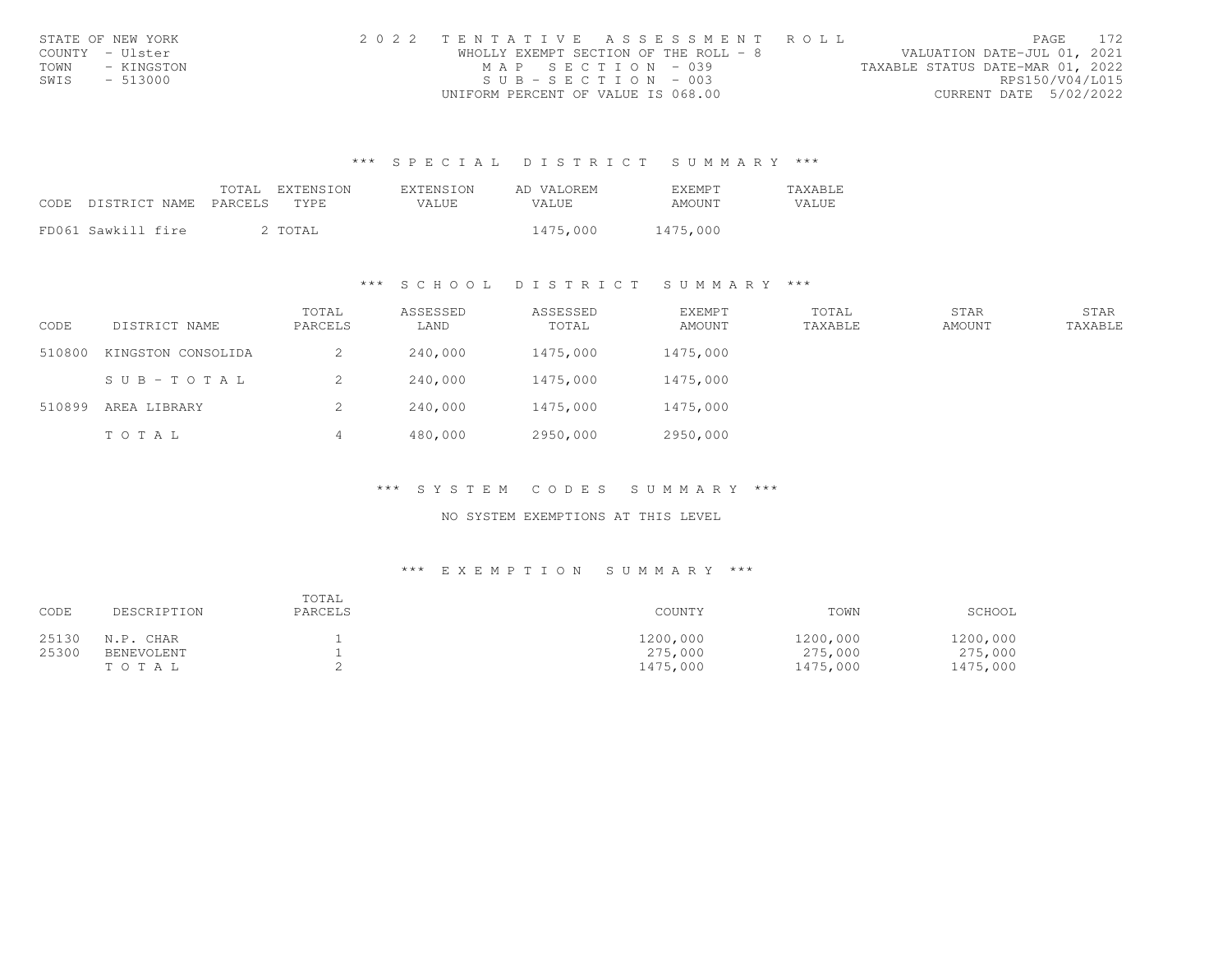| STATE OF NEW YORK  | 2022 TENTATIVE ASSESSMENT ROLL        | PAGE.                            | 172 |
|--------------------|---------------------------------------|----------------------------------|-----|
| COUNTY - Ulster    | WHOLLY EXEMPT SECTION OF THE ROLL - 8 | VALUATION DATE-JUL 01, 2021      |     |
| TOWN<br>– KINGSTON | MAP SECTION - 039                     | TAXABLE STATUS DATE-MAR 01, 2022 |     |
| SWIS<br>- 513000   | $SUB - SECTION - 003$                 | RPS150/V04/L015                  |     |
|                    | UNIFORM PERCENT OF VALUE IS 068.00    | CURRENT DATE 5/02/2022           |     |

|                    |           | TOTAL EXTENSION | EXTENSION | AD VALOREM | <b>F.XF.MPT</b> | <b>TAXABLF</b> |
|--------------------|-----------|-----------------|-----------|------------|-----------------|----------------|
| CODE DISTRICT NAME | . PARCELS | TYPE            | VALUE.    | VALUE.     | <b>AMOUNT</b>   | VALUE          |
|                    |           |                 |           |            |                 |                |
| FD061 Sawkill fire |           | ' TOTAL         |           | 1475,000   | 1475,000        |                |

### \*\*\* S C H O O L D I S T R I C T S U M M A R Y \*\*\*

| CODE   | DISTRICT NAME      | TOTAL<br>PARCELS | ASSESSED<br>LAND | ASSESSED<br>TOTAL | <b>EXEMPT</b><br>AMOUNT | TOTAL<br>TAXABLE | STAR<br>AMOUNT | STAR<br>TAXABLE |
|--------|--------------------|------------------|------------------|-------------------|-------------------------|------------------|----------------|-----------------|
| 510800 | KINGSTON CONSOLIDA | ∠                | 240,000          | 1475,000          | 1475,000                |                  |                |                 |
|        | $SUB-TOTAL$        | 2                | 240,000          | 1475,000          | 1475,000                |                  |                |                 |
| 510899 | AREA LIBRARY       | 2                | 240,000          | 1475,000          | 1475,000                |                  |                |                 |
|        | TOTAL              |                  | 480,000          | 2950,000          | 2950,000                |                  |                |                 |

\*\*\* S Y S T E M C O D E S S U M M A R Y \*\*\*

### NO SYSTEM EXEMPTIONS AT THIS LEVEL

# \*\*\* E X E M P T I O N S U M M A R Y \*\*\*

| CODE  | DESCRIPTION | TOTAL<br>PARCELS | COUNTY   | TOWN     | SCHOOL   |
|-------|-------------|------------------|----------|----------|----------|
| 25130 | N.P. CHAR   |                  | 1200,000 | 1200,000 | 1200,000 |
| 25300 | BENEVOLENT  |                  | 275,000  | 275,000  | 275,000  |
|       | TOTAL       |                  | 1475,000 | 1475,000 | 1475,000 |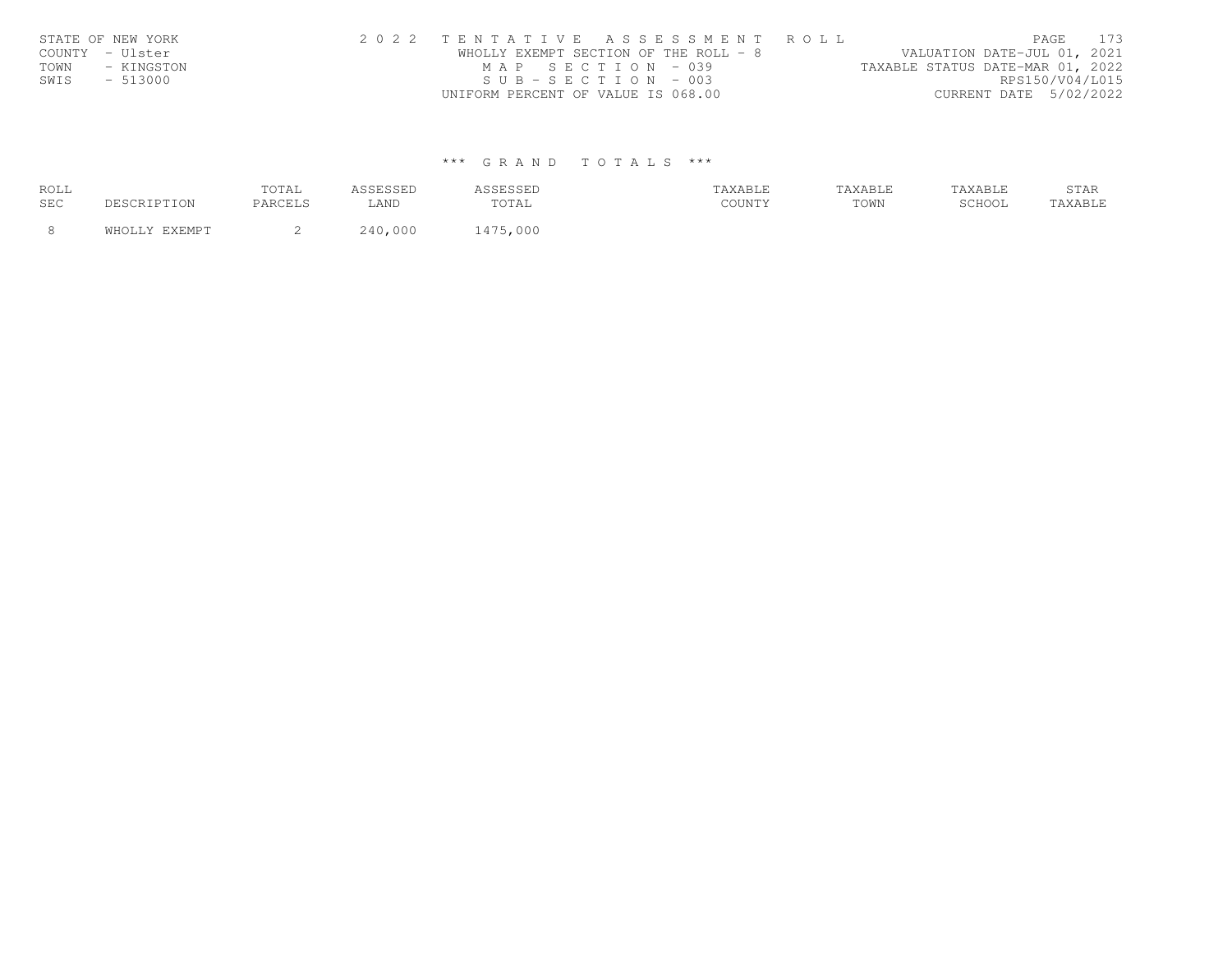| STATE OF NEW YORK  | 2022 TENTATIVE ASSESSMENT ROLL        | 173<br>PAGE                      |
|--------------------|---------------------------------------|----------------------------------|
| COUNTY - Ulster    | WHOLLY EXEMPT SECTION OF THE ROLL - 8 | VALUATION DATE-JUL 01, 2021      |
| TOWN<br>- KINGSTON | MAP SECTION - 039                     | TAXABLE STATUS DATE-MAR 01, 2022 |
| SWIS<br>$-513000$  | $SUB - SECTION - 003$                 | RPS150/V04/L015                  |
|                    | UNIFORM PERCENT OF VALUE IS 068.00    | CURRENT DATE 5/02/2022           |

| ROLL<br>SEC | TOTAL<br>ם דהרמת מח | LAND         | TOTAL | AXABLE<br><b>COTTAINS</b> | 'AXABI<br>TOWN | SCHOOL | 71A1 G |
|-------------|---------------------|--------------|-------|---------------------------|----------------|--------|--------|
|             |                     | 000<br>∩ ∆ י | 000   |                           |                |        |        |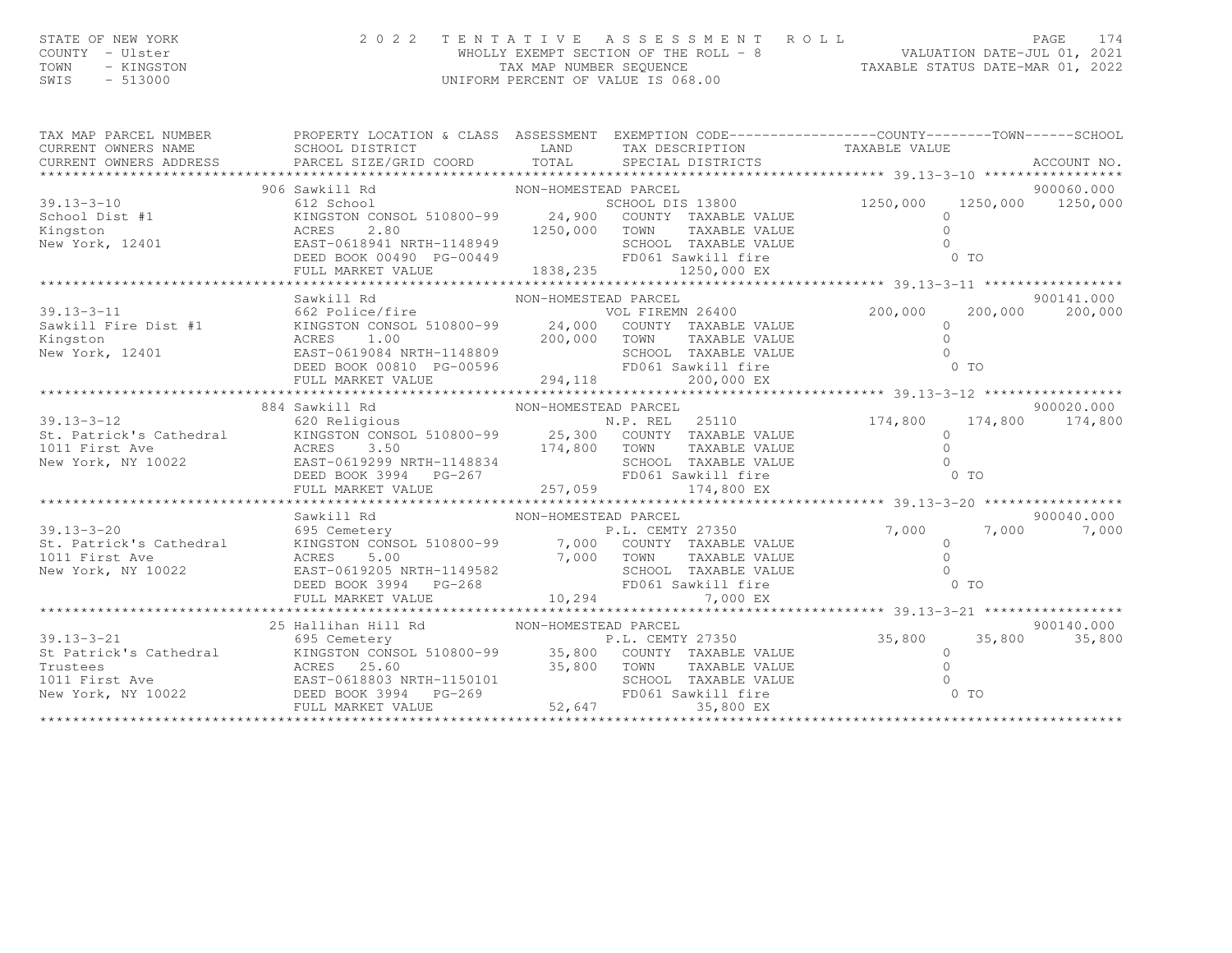# STATE OF NEW YORK 2 0 2 2 T E N T A T I V E A S S E S S M E N T R O L L PAGE 174 COUNTY - Ulster WHOLLY EXEMPT SECTION OF THE ROLL - 8 VALUATION DATE-JUL 01, 2021TOWN - KINGSTON TAX MAP NUMBER SEQUENCE TAN SELLE STATUS DATE-MAR 01, 2022<br>SWIS - 513000 UNIFORM PERCENT OF VALUE IS 068.00

TAX MAP PARCEL NUMBER PROPERTY LOCATION & CLASS ASSESSMENT EXEMPTION CODE----------------COUNTY-------TOWN------SCHOOL

CURRENT OWNERS NAME SCHOOL DISTRICT LAND TAX DESCRIPTION TAXABLE VALUE

TAXABLE STATUS DATE-MAR 01, 2022

| 906 Sawkill Rd |  |                                                                     |                                                                                                                                                                                                                                                              | 900060.000                                                                                                                                                                                                                                                                                                                                                                                                                                                                                     |
|----------------|--|---------------------------------------------------------------------|--------------------------------------------------------------------------------------------------------------------------------------------------------------------------------------------------------------------------------------------------------------|------------------------------------------------------------------------------------------------------------------------------------------------------------------------------------------------------------------------------------------------------------------------------------------------------------------------------------------------------------------------------------------------------------------------------------------------------------------------------------------------|
|                |  |                                                                     |                                                                                                                                                                                                                                                              |                                                                                                                                                                                                                                                                                                                                                                                                                                                                                                |
|                |  |                                                                     |                                                                                                                                                                                                                                                              |                                                                                                                                                                                                                                                                                                                                                                                                                                                                                                |
|                |  |                                                                     |                                                                                                                                                                                                                                                              |                                                                                                                                                                                                                                                                                                                                                                                                                                                                                                |
|                |  |                                                                     |                                                                                                                                                                                                                                                              |                                                                                                                                                                                                                                                                                                                                                                                                                                                                                                |
|                |  |                                                                     |                                                                                                                                                                                                                                                              |                                                                                                                                                                                                                                                                                                                                                                                                                                                                                                |
|                |  | $35,800$ C                                                          |                                                                                                                                                                                                                                                              | 900140.000<br>35,800 35,800                                                                                                                                                                                                                                                                                                                                                                                                                                                                    |
|                |  | NON-HOMESTEAD PARCEL<br>25 Hallihan Hill Rd<br>NON-HOMESTEAD PARCEL | 39.13-3-21<br>25 Hallihan Hill Rd<br>25 Hallihan Hill Rd<br>25 Cemetery<br>27350<br>25 Cemetery<br>27350<br>25 Cemetery<br>27350<br>25 Cemetery<br>27350<br>27.061994<br>25.60<br>27.800 COUNTY TAXABLE VALUE<br>27.800 COUNTY TAXABLE VALUE<br>27.800 COUNT | 39.13-3-10 906 SAWALLI KG NON-HOMESIEAD FAKCEL<br>School Dist #1 612 School MSOL 510800-99 24,900 COUNTY TAXABLE VALUE<br>Kingston ACRES 2.80 1250,000 INNIFI-1148949 250,000 TOWN TAXABLE VALUE<br>New York, 12401 EAST-0618941 NRT<br>139.13-3-11<br>39.13-3-11<br>39.13-3-11<br>39.13-3-11<br>662 Police/fire volumes and the same of the same of the same of the same of the same of the same of the same of the same of the same of the same of the same of the same of t<br>UE O<br>0 TO |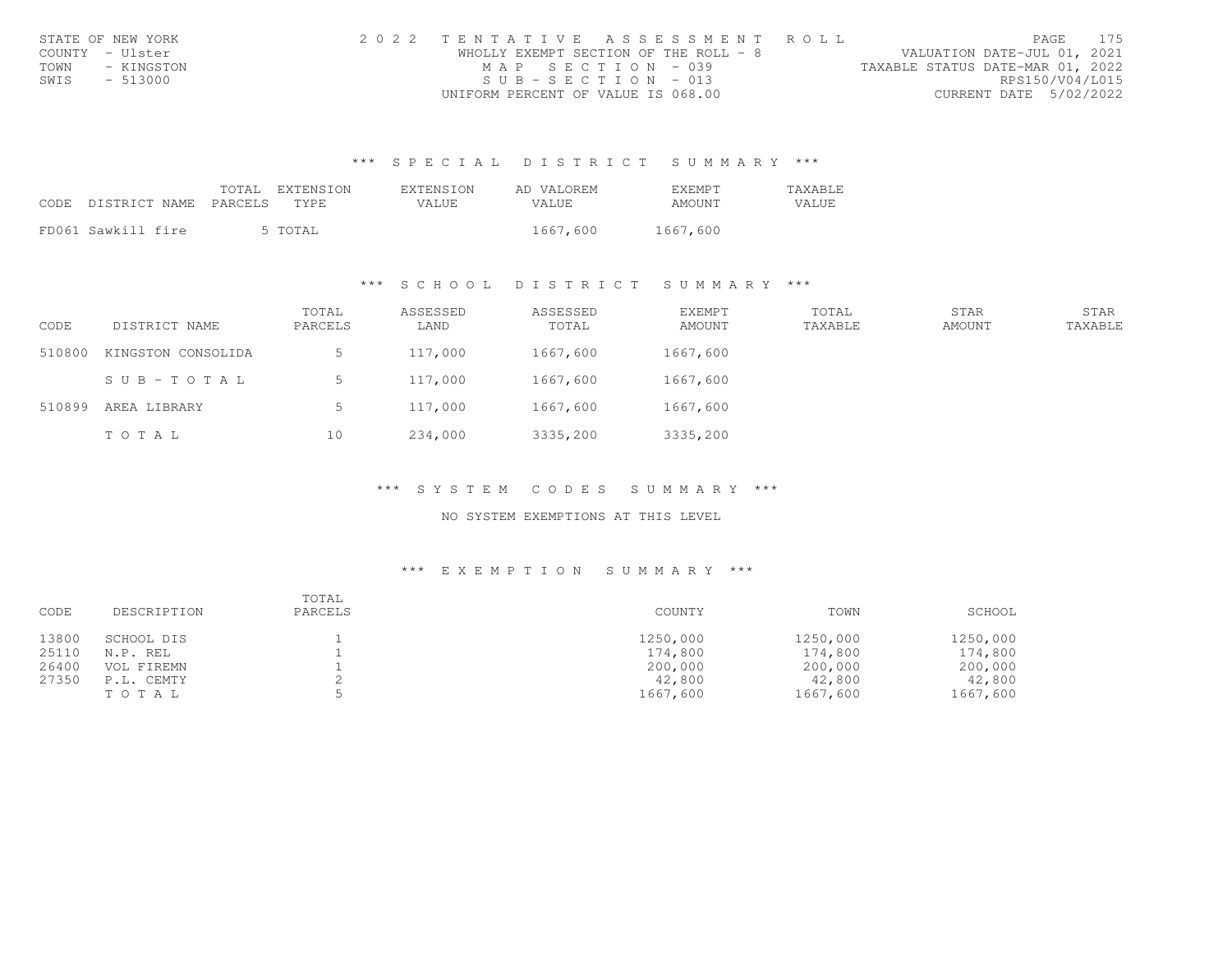| STATE OF NEW YORK  | 2022 TENTATIVE ASSESSMENT ROLL        |                                  | PAGE. | 175 |
|--------------------|---------------------------------------|----------------------------------|-------|-----|
| COUNTY - Ulster    | WHOLLY EXEMPT SECTION OF THE ROLL - 8 | VALUATION DATE-JUL 01, 2021      |       |     |
| TOWN<br>- KINGSTON | MAP SECTION - 039                     | TAXABLE STATUS DATE-MAR 01, 2022 |       |     |
| SWIS<br>- 513000   | $SUB - SECTION - 013$                 | RPS150/V04/L015                  |       |     |
|                    | UNIFORM PERCENT OF VALUE IS 068.00    | CURRENT DATE 5/02/2022           |       |     |

|      |                    | TOTAL   | EXTENSION | <b>EXTENSION</b> | AD VALOREM | <b>F.XFMPT</b> | <b>TAXABLF</b> |
|------|--------------------|---------|-----------|------------------|------------|----------------|----------------|
| CODE | DISTRICT NAME      | PARCELS | TYPE      | VALUE            | VALUE      | AMOUNT         | VALUE          |
|      | FD061 Sawkill fire |         | 5 TOTAL   |                  | 1667,600   | 1667,600       |                |

### \*\*\* S C H O O L D I S T R I C T S U M M A R Y \*\*\*

| CODE   | DISTRICT NAME      | TOTAL<br>PARCELS | ASSESSED<br>LAND | ASSESSED<br>TOTAL | <b>EXEMPT</b><br>AMOUNT | TOTAL<br>TAXABLE | STAR<br>AMOUNT | STAR<br>TAXABLE |
|--------|--------------------|------------------|------------------|-------------------|-------------------------|------------------|----------------|-----------------|
| 510800 | KINGSTON CONSOLIDA |                  | 117,000          | 1667,600          | 1667,600                |                  |                |                 |
|        | SUB-TOTAL          | 5                | 117,000          | 1667,600          | 1667,600                |                  |                |                 |
| 510899 | AREA LIBRARY       | .5               | 117,000          | 1667,600          | 1667,600                |                  |                |                 |
|        | TOTAL              | 10               | 234,000          | 3335,200          | 3335,200                |                  |                |                 |

### \*\*\* S Y S T E M C O D E S S U M M A R Y \*\*\*

### NO SYSTEM EXEMPTIONS AT THIS LEVEL

# \*\*\* E X E M P T I O N S U M M A R Y \*\*\*

| CODE  | DESCRIPTION | TOTAL<br>PARCELS | COUNTY   | TOWN     | SCHOOL   |
|-------|-------------|------------------|----------|----------|----------|
| 13800 | SCHOOL DIS  |                  | 1250,000 | 1250,000 | 1250,000 |
| 25110 | N.P. REL    |                  | 174,800  | 174,800  | 174,800  |
| 26400 | VOL FIREMN  |                  | 200,000  | 200,000  | 200,000  |
| 27350 | P.L. CEMTY  |                  | 42,800   | 42,800   | 42,800   |
|       | TOTAL       |                  | 1667,600 | 1667,600 | 1667,600 |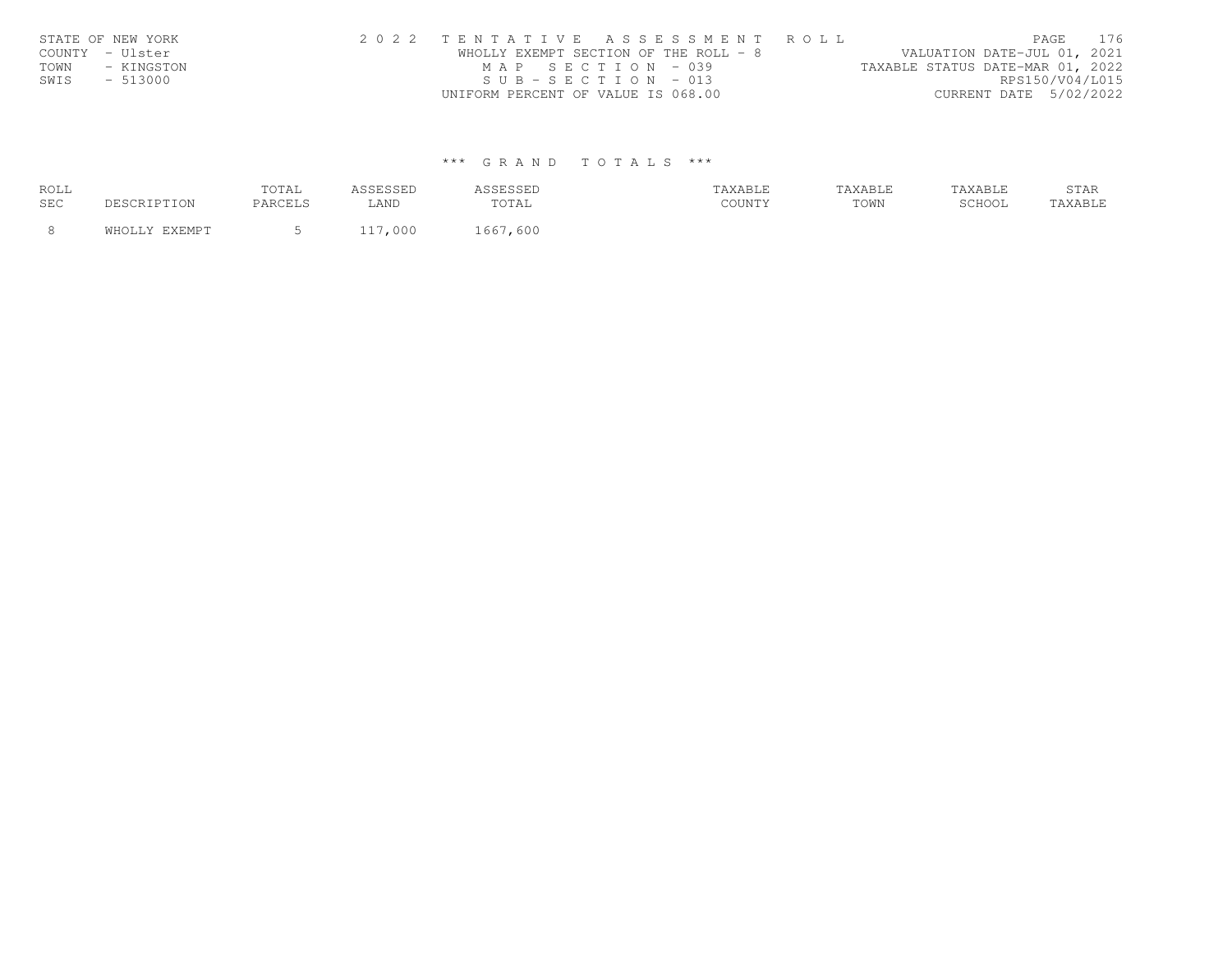| STATE OF NEW YORK  | 2022 TENTATIVE ASSESSMENT ROLL        | 176<br>PAGE                      |
|--------------------|---------------------------------------|----------------------------------|
| COUNTY - Ulster    | WHOLLY EXEMPT SECTION OF THE ROLL - 8 | VALUATION DATE-JUL 01, 2021      |
| TOWN<br>- KINGSTON | MAP SECTION - 039                     | TAXABLE STATUS DATE-MAR 01, 2022 |
| SWIS<br>$-513000$  | $SUB - SECTION - 013$                 | RPS150/V04/L015                  |
|                    | UNIFORM PERCENT OF VALUE IS 068.00    | CURRENT DATE 5/02/2022           |

| ROLL<br>SEC | TOTAL<br>ם דהרמת מח | LAND  | TOTAL | XABLE<br><b>COTTAINS</b> | TOWN | SCHOOI | 5 T AR |
|-------------|---------------------|-------|-------|--------------------------|------|--------|--------|
|             |                     | . 000 | 60C   |                          |      |        |        |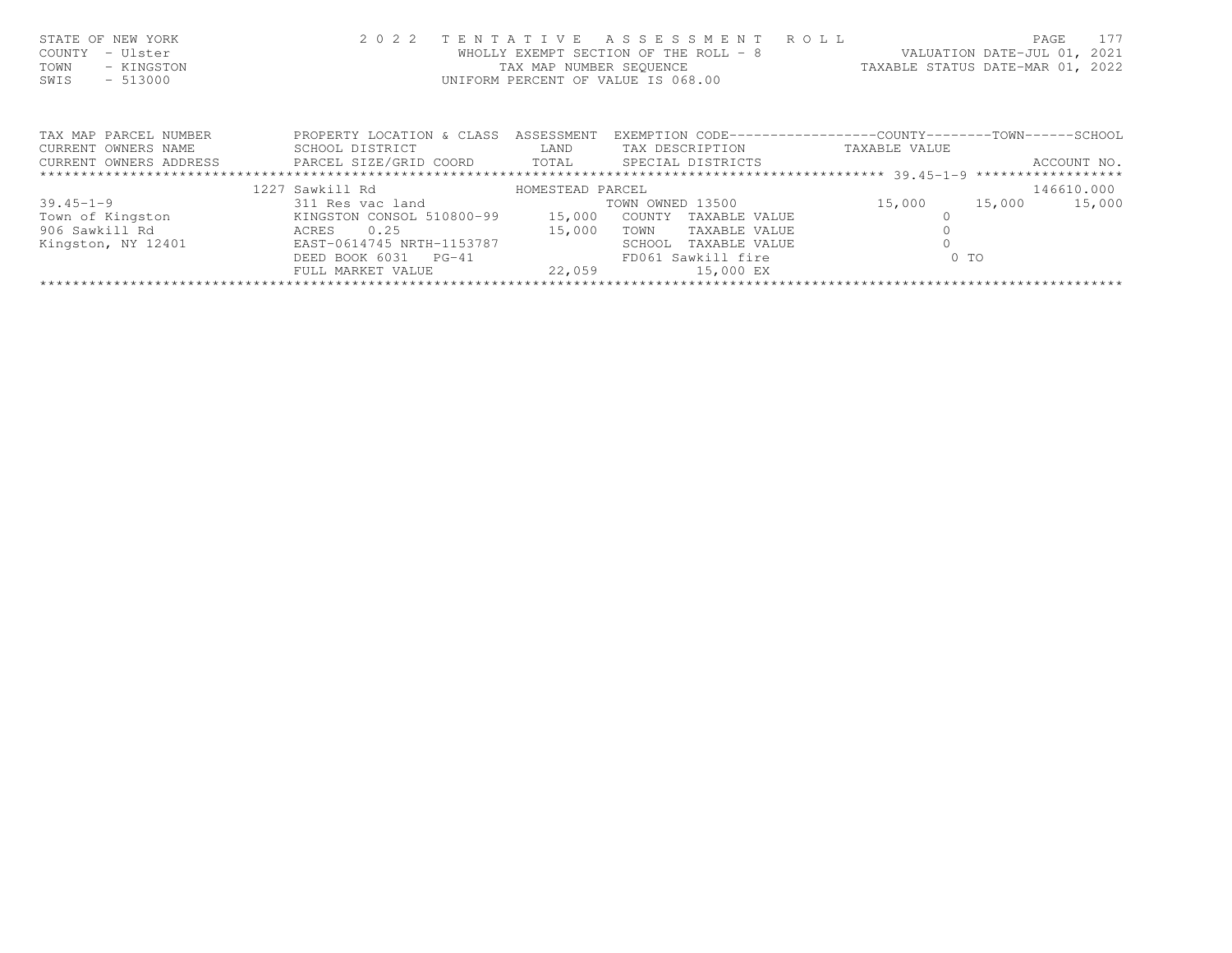| 2 0 2 2                                                                                |                                      |                                                                                                                 |                                                                                                                                           | 177<br>PAGE                                                                                                                                                                                                                                                            |
|----------------------------------------------------------------------------------------|--------------------------------------|-----------------------------------------------------------------------------------------------------------------|-------------------------------------------------------------------------------------------------------------------------------------------|------------------------------------------------------------------------------------------------------------------------------------------------------------------------------------------------------------------------------------------------------------------------|
| PROPERTY LOCATION & CLASS<br>SCHOOL DISTRICT                                           | ASSESSMENT<br>LAND                   |                                                                                                                 | TAXABLE VALUE                                                                                                                             | ACCOUNT NO.                                                                                                                                                                                                                                                            |
|                                                                                        |                                      |                                                                                                                 |                                                                                                                                           | 146610.000                                                                                                                                                                                                                                                             |
| 311 Res vac land<br>ACRES<br>0.25<br>EAST-0614745 NRTH-1153787<br>DEED BOOK 6031 PG-41 | 15,000                               | TAXABLE VALUE<br>TAXABLE VALUE<br>TAXABLE VALUE                                                                 | 15,000<br>$0$ TO                                                                                                                          | 15,000                                                                                                                                                                                                                                                                 |
|                                                                                        | 1227 Sawkill Rd<br>FULL MARKET VALUE | TENTATIVE<br>CURRENT OWNERS ADDRESS TRARCEL SIZE/GRID COORD TOTAL<br>KINGSTON CONSOL 510800-99 15,000<br>22,059 | UNIFORM PERCENT OF VALUE IS 068.00<br>HOMESTEAD PARCEL<br>TOWN OWNED 13500<br>COUNTY<br>TOWN<br>SCHOOL<br>FD061 Sawkill fire<br>15,000 EX | ASSESSMENT ROLL<br>VALUATION DATE-JUL 01, 2021<br>WHOLLY EXEMPT SECTION OF THE ROLL - 8<br>TAXABLE STATUS DATE-MAR 01, 2022<br>TAX MAP NUMBER SEQUENCE<br>EXEMPTION CODE----------------COUNTY-------TOWN-----SCHOOL<br>TAX DESCRIPTION<br>SPECIAL DISTRICTS<br>15,000 |

\*\*\*\*\*\*\*\*\*\*\*\*\*\*\*\*\*\*\*\*\*\*\*\*\*\*\*\*\*\*\*\*\*\*\*\*\*\*\*\*\*\*\*\*\*\*\*\*\*\*\*\*\*\*\*\*\*\*\*\*\*\*\*\*\*\*\*\*\*\*\*\*\*\*\*\*\*\*\*\*\*\*\*\*\*\*\*\*\*\*\*\*\*\*\*\*\*\*\*\*\*\*\*\*\*\*\*\*\*\*\*\*\*\*\*\*\*\*\*\*\*\*\*\*\*\*\*\*\*\*\*\*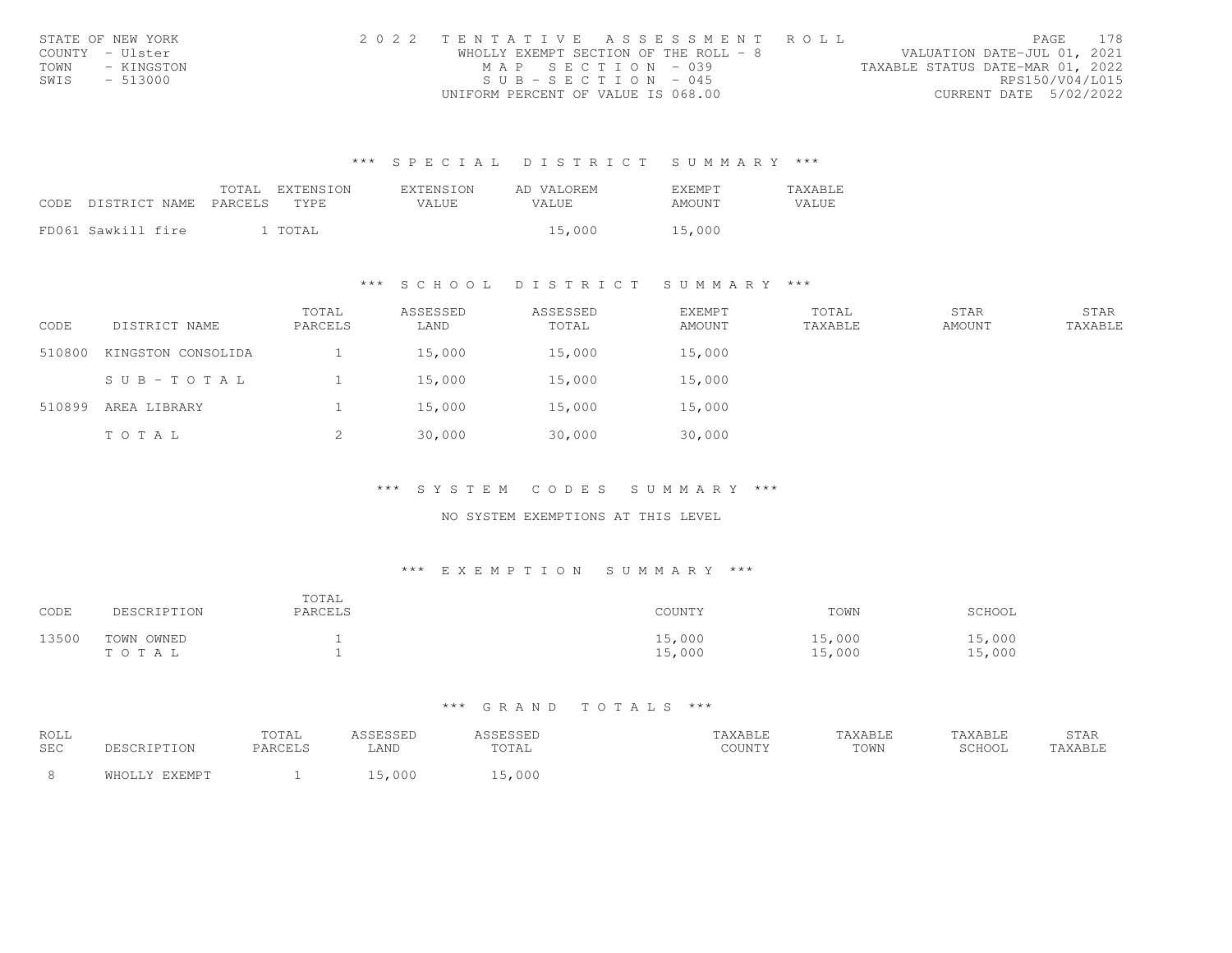| STATE OF NEW YORK  | 2022 TENTATIVE ASSESSMENT ROLL        |  |                                  |                        | PAGE. | 178 |
|--------------------|---------------------------------------|--|----------------------------------|------------------------|-------|-----|
| COUNTY - Ulster    | WHOLLY EXEMPT SECTION OF THE ROLL - 8 |  | VALUATION DATE-JUL 01, 2021      |                        |       |     |
| TOWN<br>– KINGSTON | MAP SECTION - 039                     |  | TAXABLE STATUS DATE-MAR 01, 2022 |                        |       |     |
| SWIS<br>- 513000   | $SUB - SECTION - 045$                 |  |                                  | RPS150/V04/L015        |       |     |
|                    | UNIFORM PERCENT OF VALUE IS 068.00    |  |                                  | CURRENT DATE 5/02/2022 |       |     |

|                    |         | TOTAL EXTENSION | <b>EXTENSION</b> | AD VALOREM | <b>F.XF.MPT</b> | <b>TAXABLF</b> |
|--------------------|---------|-----------------|------------------|------------|-----------------|----------------|
| CODE DISTRICT NAME | PARCELS | TYPE            | VALUE.           | VALUE.     | AMOUNT          | VALUE          |
|                    |         |                 |                  |            |                 |                |
| FD061 Sawkill fire |         | TOTAL           |                  | 15,000     | 15,000          |                |

# \*\*\* S C H O O L D I S T R I C T S U M M A R Y \*\*\*

| CODE   | DISTRICT NAME      | TOTAL<br>PARCELS | ASSESSED<br>LAND | ASSESSED<br>TOTAL | <b>EXEMPT</b><br>AMOUNT | TOTAL<br>TAXABLE | STAR<br>AMOUNT | STAR<br>TAXABLE |
|--------|--------------------|------------------|------------------|-------------------|-------------------------|------------------|----------------|-----------------|
| 510800 | KINGSTON CONSOLIDA |                  | 15,000           | 15,000            | 15,000                  |                  |                |                 |
|        | SUB-TOTAL          |                  | 15,000           | 15,000            | 15,000                  |                  |                |                 |
| 510899 | AREA LIBRARY       |                  | 15,000           | 15,000            | 15,000                  |                  |                |                 |
|        | TOTAL              | ∠                | 30,000           | 30,000            | 30,000                  |                  |                |                 |

\*\*\* S Y S T E M C O D E S S U M M A R Y \*\*\*

### NO SYSTEM EXEMPTIONS AT THIS LEVEL

# \*\*\* E X E M P T I O N S U M M A R Y \*\*\*

| CODE  | DESCRIPTION         | TOTAL<br>PARCELS | COUNTY           | TOWN             | SCHOOL           |
|-------|---------------------|------------------|------------------|------------------|------------------|
| 13500 | TOWN OWNED<br>TOTAL |                  | 15,000<br>15,000 | 15,000<br>15,000 | 15,000<br>15,000 |

| <b>ROLL</b><br><b>SEC</b> |               | TOTAL<br>PARCELS | LAND | SSESSED<br>TOTAL | TAXABLE<br>COUNTY | TAXABLE<br>TOWN | TAXABLE<br>SCHOOL | STAR<br><b>AXABLE</b> |
|---------------------------|---------------|------------------|------|------------------|-------------------|-----------------|-------------------|-----------------------|
| - 8                       | WHOLLY EXEMPT |                  | .000 | 15,000           |                   |                 |                   |                       |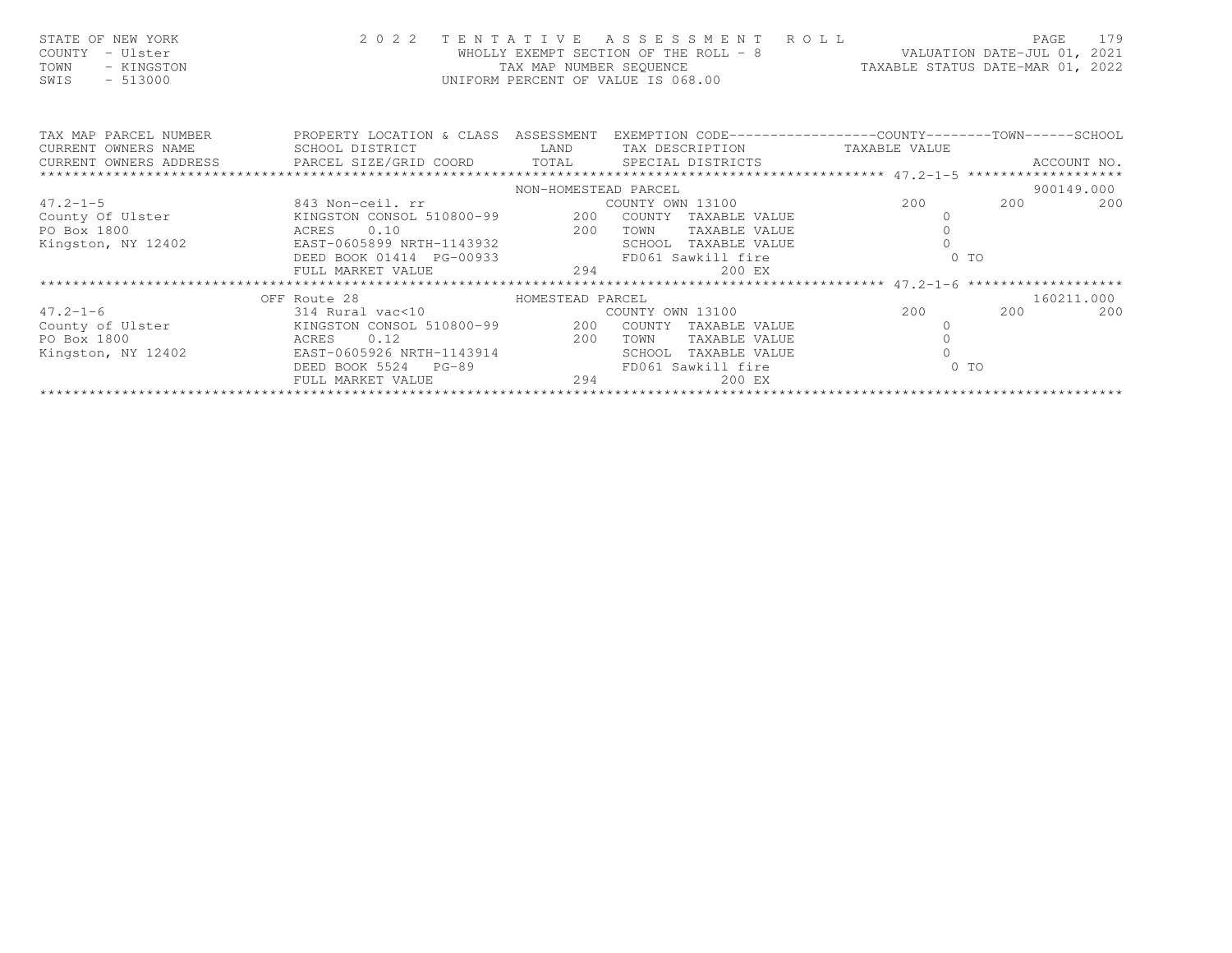| STATE OF NEW YORK<br>COUNTY - Ulster<br>TOWN<br>- KINGSTON<br>$-513000$<br>SWIS |                                                                                                  | 2022 TENTATIVE ASSESSMENT ROLL<br>WHOLLY EXEMPT SECTION OF THE ROLL - 8<br>TAX MAP NUMBER SEOUENCE<br>UNIFORM PERCENT OF VALUE IS 068.00 |  | VALUATION DATE-JUL 01, 2021<br>TAXABLE STATUS DATE-MAR 01, 2022 | PAGE. | 179 |
|---------------------------------------------------------------------------------|--------------------------------------------------------------------------------------------------|------------------------------------------------------------------------------------------------------------------------------------------|--|-----------------------------------------------------------------|-------|-----|
| TAX MAP PARCEL NUMBER                                                           | PROPERTY LOCATION & CLASS ASSESSMENT EXEMPTION CODE----------------COUNTY-------TOWN------SCHOOL |                                                                                                                                          |  |                                                                 |       |     |

| CURRENT OWNERS NAME                                                      | SCHOOL DISTRICT LAND                       |                      | TAX DESCRIPTION       | TAXABLE VALUE |            |  |  |  |  |
|--------------------------------------------------------------------------|--------------------------------------------|----------------------|-----------------------|---------------|------------|--|--|--|--|
|                                                                          |                                            |                      |                       |               |            |  |  |  |  |
|                                                                          |                                            |                      |                       |               |            |  |  |  |  |
|                                                                          |                                            | NON-HOMESTEAD PARCEL |                       |               | 900149.000 |  |  |  |  |
| $47.2 - 1 - 5$                                                           |                                            |                      |                       | 200           | 200<br>200 |  |  |  |  |
| County Of Ulster The KINGSTON CONSOL 510800-99 200 COUNTY TAXABLE VALUE  |                                            |                      |                       |               |            |  |  |  |  |
| ACRES 0.10<br>PO Box 1800                                                |                                            | 200                  | TOWN TAXABLE VALUE    |               |            |  |  |  |  |
| Kingston, NY 12402                                                       | EAST-0605899 NRTH-1143932                  |                      | SCHOOL TAXABLE VALUE  |               |            |  |  |  |  |
|                                                                          | DEED BOOK 01414 PG-00933                   |                      | FD061 Sawkill fire    | 0 TO          |            |  |  |  |  |
|                                                                          | FULL MARKET VALUE $294$ 200 EX             |                      |                       |               |            |  |  |  |  |
|                                                                          |                                            |                      |                       |               |            |  |  |  |  |
|                                                                          | OFF Route 28 MOMESTEAD PARCEL              |                      |                       |               | 160211.000 |  |  |  |  |
| $47.2 - 1 - 6$                                                           | $314$ Rural vac<10 $\sim$ COUNTY OWN 13100 |                      |                       | 200           | 200<br>200 |  |  |  |  |
| County of Ulster That MINGSTON CONSOL 510800-99 200 COUNTY TAXABLE VALUE |                                            |                      |                       |               |            |  |  |  |  |
| PO Box 1800                                                              | ACRES 0.12 200                             |                      | TAXABLE VALUE<br>TOWN |               |            |  |  |  |  |
| Kingston, NY 12402                                                       | EAST-0605926 NRTH-1143914                  |                      | SCHOOL TAXABLE VALUE  |               |            |  |  |  |  |
|                                                                          | DEED BOOK 5524 PG-89                       |                      | FD061 Sawkill fire    | $0$ TO        |            |  |  |  |  |
|                                                                          | FULL MARKET VALUE 294                      |                      | 200 EX                |               |            |  |  |  |  |
|                                                                          |                                            |                      |                       |               |            |  |  |  |  |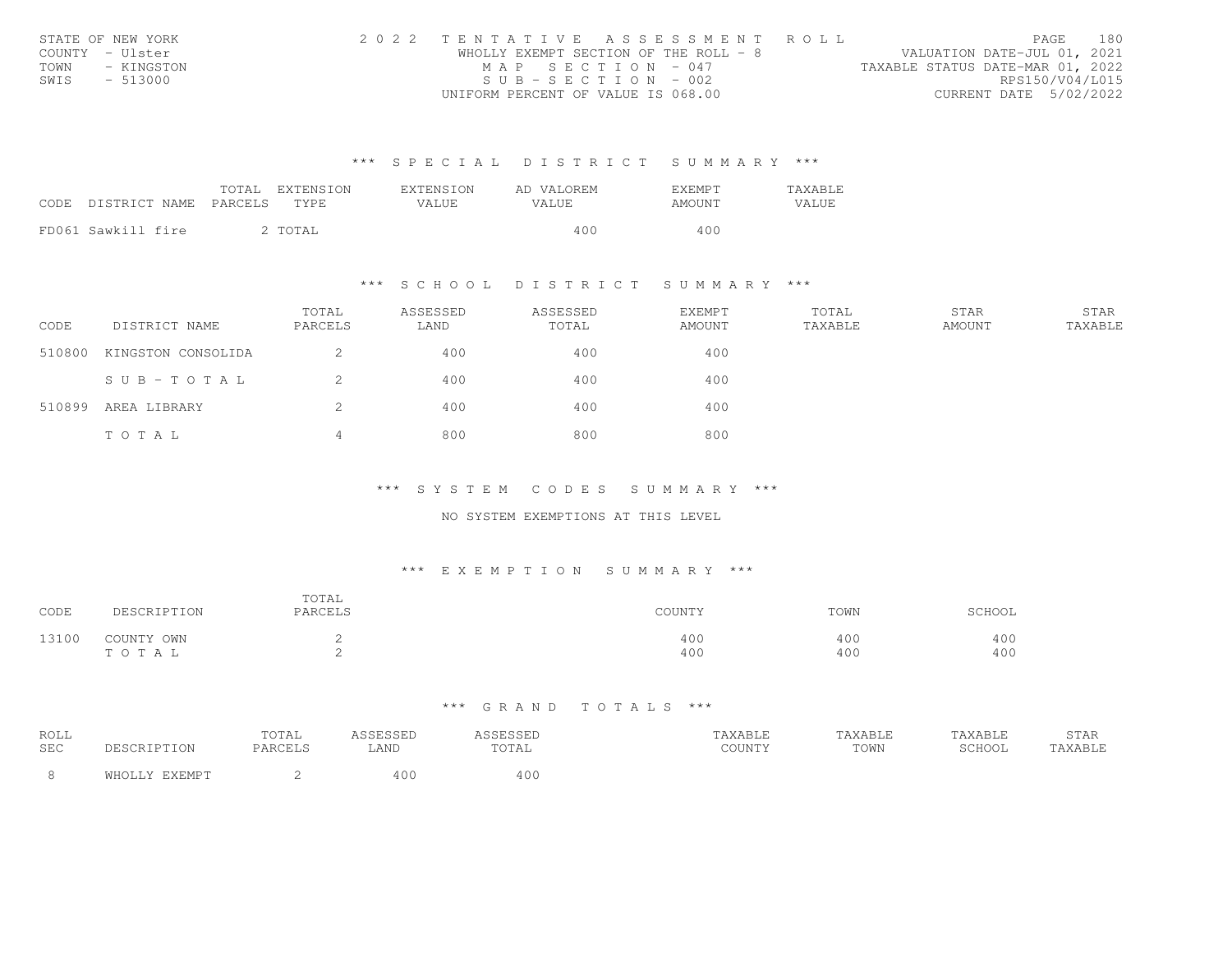| STATE OF NEW YORK  | 2022 TENTATIVE ASSESSMENT ROLL |                                       |  | PAGE.                            | 180 |
|--------------------|--------------------------------|---------------------------------------|--|----------------------------------|-----|
| COUNTY - Ulster    |                                | WHOLLY EXEMPT SECTION OF THE ROLL - 8 |  | VALUATION DATE-JUL 01, 2021      |     |
| TOWN<br>- KINGSTON |                                | MAP SECTION - 047                     |  | TAXABLE STATUS DATE-MAR 01, 2022 |     |
| SWIS<br>- 513000   |                                | $SUB - SEC T TO N - 002$              |  | RPS150/V04/L015                  |     |
|                    |                                | UNIFORM PERCENT OF VALUE IS 068.00    |  | CURRENT DATE 5/02/2022           |     |

| CODE DISTRICT NAME PARCELS |  | TOTAL EXTENSION<br>TYPE. | <b>FXTENSION</b><br>VALUE. | AD VALOREM<br>VALUE. | EXEMPT<br>AMOUNT | TAXABLE<br>VALUE |
|----------------------------|--|--------------------------|----------------------------|----------------------|------------------|------------------|
| FD061 Sawkill fire         |  | 2 TOTAL                  |                            | 400                  | 400              |                  |

# \*\*\* S C H O O L D I S T R I C T S U M M A R Y \*\*\*

| CODE   | DISTRICT NAME      | TOTAL<br>PARCELS | ASSESSED<br>LAND | ASSESSED<br>TOTAL | <b>EXEMPT</b><br>AMOUNT | TOTAL<br>TAXABLE | STAR<br>AMOUNT | STAR<br>TAXABLE |
|--------|--------------------|------------------|------------------|-------------------|-------------------------|------------------|----------------|-----------------|
| 510800 | KINGSTON CONSOLIDA |                  | 400              | 400               | 400                     |                  |                |                 |
|        | SUB-TOTAL          |                  | 400              | 400               | 400                     |                  |                |                 |
| 510899 | AREA LIBRARY       |                  | 400              | 400               | 400                     |                  |                |                 |
|        | TOTAL              |                  | 800              | 800               | 800                     |                  |                |                 |

\*\*\* S Y S T E M C O D E S S U M M A R Y \*\*\*

### NO SYSTEM EXEMPTIONS AT THIS LEVEL

# \*\*\* E X E M P T I O N S U M M A R Y \*\*\*

| CODE  | DESCRIPTION         | TOTAL<br>PARCELS | COUNTY     | TOWN       | SCHOOL     |
|-------|---------------------|------------------|------------|------------|------------|
| 13100 | COUNTY OWN<br>TOTAL |                  | 400<br>400 | 400<br>400 | 400<br>400 |

| <b>ROLL</b><br><b>SEC</b> | DESCRIPTION | TOTAL<br>PARCELS | 'FCCFL<br>LAND | <i><b>\SSESSED</b></i><br>TOTAL | TAXABLE<br>$\sim$ $\sim$ $\sim$ $\sim$ $\sim$ $\sim$ | "AXABLE<br>TOWN | TAXABLE<br>SCHOOL | 5 I AK<br><b>AXABLE</b> |
|---------------------------|-------------|------------------|----------------|---------------------------------|------------------------------------------------------|-----------------|-------------------|-------------------------|
|                           |             |                  | 40C            | 400                             |                                                      |                 |                   |                         |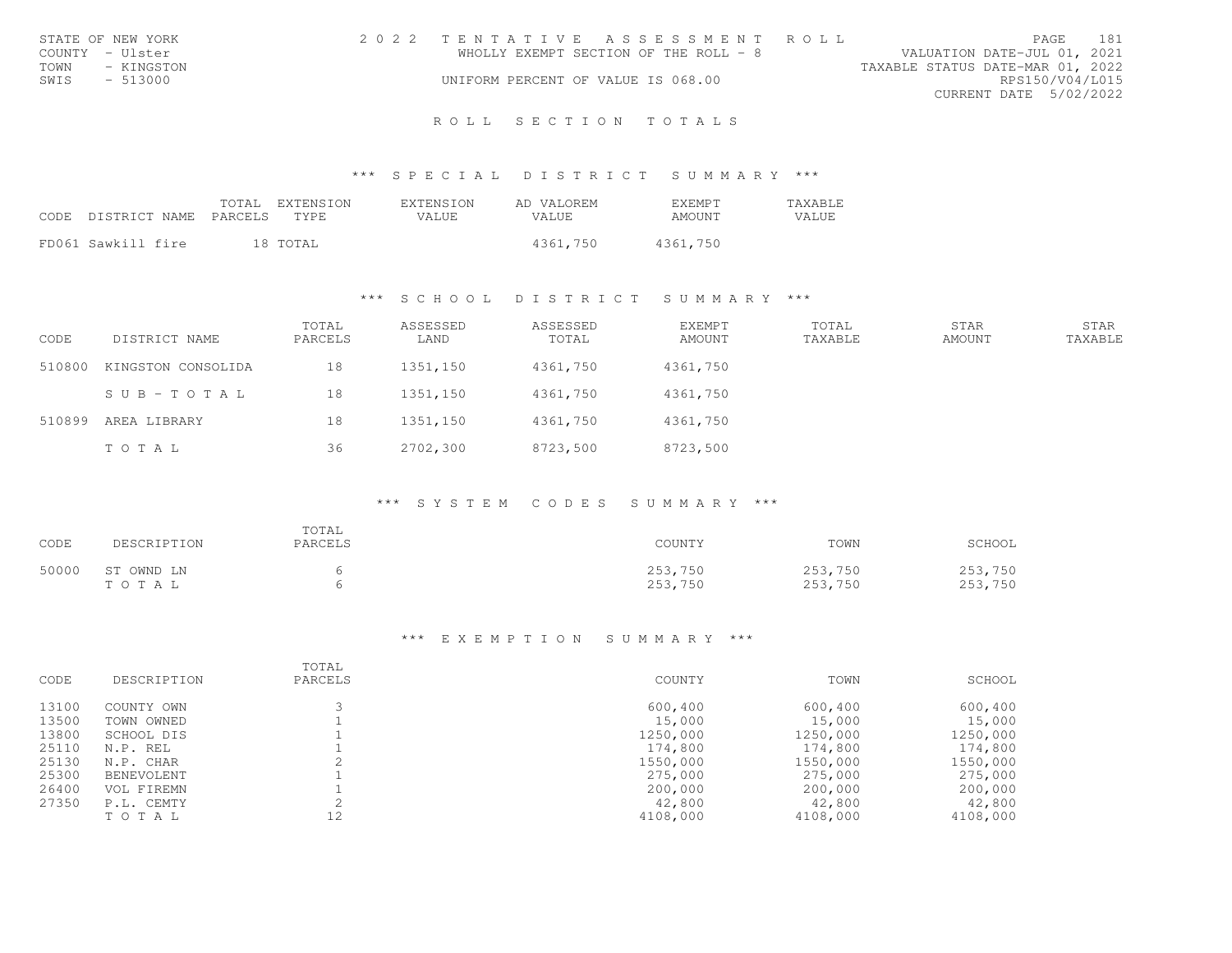|      | STATE OF NEW YORK | 2022 TENTATIVE ASSESSMENT ROLL        |  |                                  | PAGE.                  | 181 |
|------|-------------------|---------------------------------------|--|----------------------------------|------------------------|-----|
|      | COUNTY - Ulster   | WHOLLY EXEMPT SECTION OF THE ROLL - 8 |  | VALUATION DATE-JUL 01, 2021      |                        |     |
| TOWN | - KINGSTON        |                                       |  | TAXABLE STATUS DATE-MAR 01, 2022 |                        |     |
| SWIS | - 513000          | UNIFORM PERCENT OF VALUE IS 068.00    |  |                                  | RPS150/V04/L015        |     |
|      |                   |                                       |  |                                  | CURRENT DATE 5/02/2022 |     |

# R O L L S E C T I O N T O T A L S

#### \*\*\* S P E C I A L D I S T R I C T S U M M A R Y \*\*\*

| CODE DISTRICT NAME PARCELS |  | TOTAL EXTENSION<br>TYPE. | EXTENSION<br>VALUE. | AD VALOREM<br>VALUE. | <b>F.XFMPT</b><br>AMOUNT | TAXABLE.<br>VALUE |
|----------------------------|--|--------------------------|---------------------|----------------------|--------------------------|-------------------|
| FD061 Sawkill fire         |  | 18 TOTAL                 |                     | 4361,750             | 4361,750                 |                   |

## \*\*\* S C H O O L D I S T R I C T S U M M A R Y \*\*\*

| CODE   | DISTRICT NAME      | TOTAL<br>PARCELS | ASSESSED<br>LAND | ASSESSED<br>TOTAL | <b>EXEMPT</b><br>AMOUNT | TOTAL<br>TAXABLE | STAR<br><b>AMOUNT</b> | STAR<br>TAXABLE |
|--------|--------------------|------------------|------------------|-------------------|-------------------------|------------------|-----------------------|-----------------|
| 510800 | KINGSTON CONSOLIDA | 18               | 1351,150         | 4361,750          | 4361,750                |                  |                       |                 |
|        | SUB-TOTAL          | 18               | 1351,150         | 4361,750          | 4361,750                |                  |                       |                 |
| 510899 | AREA LIBRARY       | 18               | 1351,150         | 4361,750          | 4361,750                |                  |                       |                 |
|        | TOTAL              | 36               | 2702,300         | 8723,500          | 8723,500                |                  |                       |                 |

# \*\*\* S Y S T E M C O D E S S U M M A R Y \*\*\*

| CODE  | DESCRIPTION         | TOTAL<br>PARCELS | COUNTY             | TOWN               | SCHOOL             |
|-------|---------------------|------------------|--------------------|--------------------|--------------------|
| 50000 | ST OWND LN<br>TOTAL |                  | 253,750<br>253,750 | 253,750<br>253,750 | 253,750<br>253,750 |

#### \*\*\* E X E M P T I O N S U M M A R Y \*\*\*

| CODE  | DESCRIPTION | TOTAL<br>PARCELS | COUNTY   | TOWN     | SCHOOL   |
|-------|-------------|------------------|----------|----------|----------|
| 13100 | COUNTY OWN  |                  | 600,400  | 600,400  | 600,400  |
| 13500 | TOWN OWNED  |                  | 15,000   | 15,000   | 15,000   |
| 13800 | SCHOOL DIS  |                  | 1250,000 | 1250,000 | 1250,000 |
| 25110 | N.P. REL    |                  | 174,800  | 174,800  | 174,800  |
| 25130 | N.P. CHAR   |                  | 1550,000 | 1550,000 | 1550,000 |
| 25300 | BENEVOLENT  |                  | 275,000  | 275,000  | 275,000  |
| 26400 | VOL FIREMN  |                  | 200,000  | 200,000  | 200,000  |
| 27350 | P.L. CEMTY  |                  | 42,800   | 42,800   | 42,800   |
|       | TOTAL       | 12               | 4108,000 | 4108,000 | 4108,000 |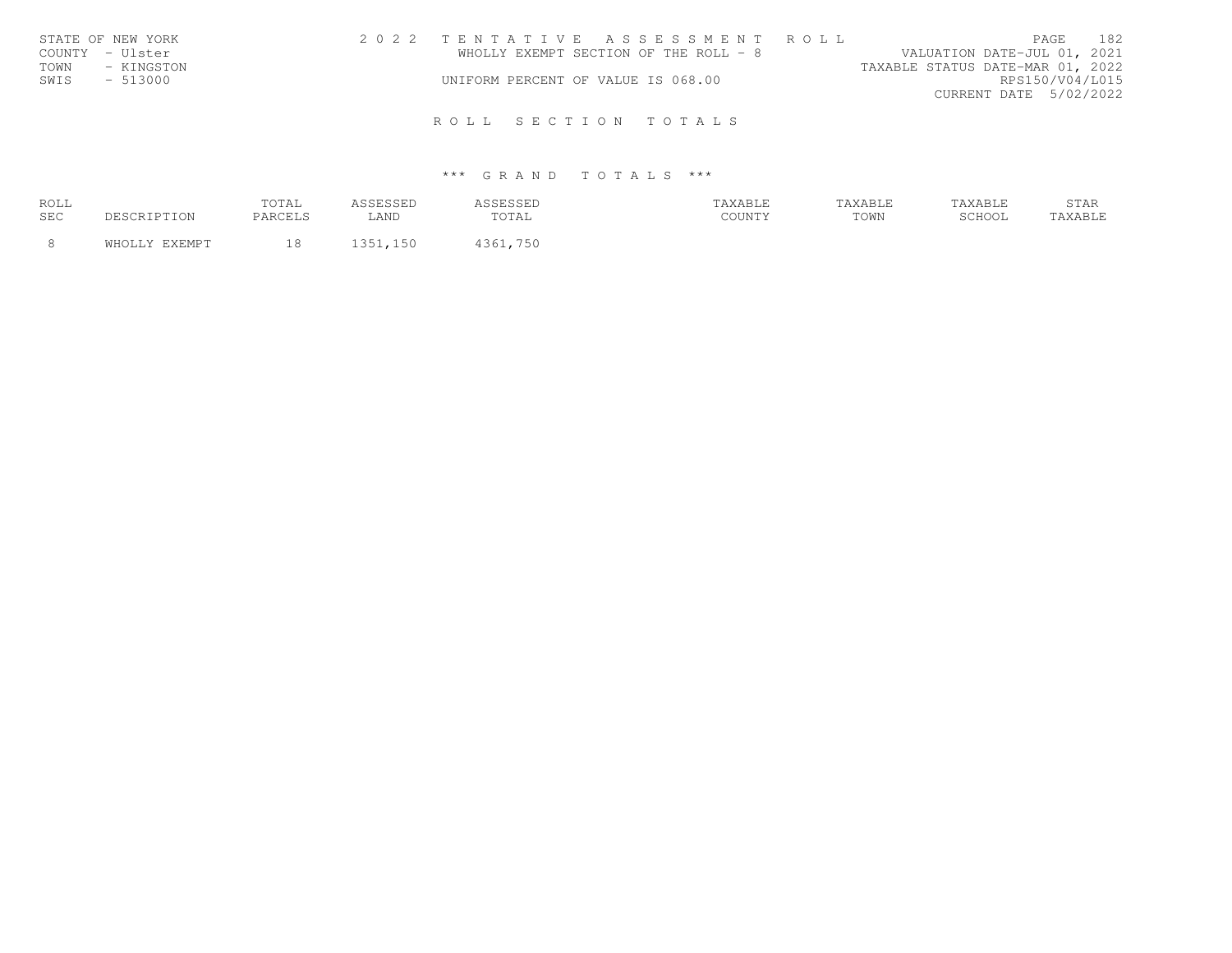|      | STATE OF NEW YORK | 2022 TENTATIVE ASSESSMENT ROLL        |  |                                  |                        | PAGE | 182 |
|------|-------------------|---------------------------------------|--|----------------------------------|------------------------|------|-----|
|      | COUNTY - Ulster   | WHOLLY EXEMPT SECTION OF THE ROLL - 8 |  | VALUATION DATE-JUL 01, 2021      |                        |      |     |
| TOWN | - KINGSTON        |                                       |  | TAXABLE STATUS DATE-MAR 01, 2022 |                        |      |     |
| SWIS | $-513000$         | UNIFORM PERCENT OF VALUE IS 068.00    |  |                                  | RPS150/V04/L015        |      |     |
|      |                   |                                       |  |                                  | CURRENT DATE 5/02/2022 |      |     |
|      |                   |                                       |  |                                  |                        |      |     |

# ROLL SECTION TOTALS

# \*\*\* G R A N D T O T A L S \*\*\*

| ROLL       |                      | TOTAL   | 1 S S F S S F I |              | TAXABLE | <b>TAXABLE</b> | TAXABLE | 5 i Ak  |
|------------|----------------------|---------|-----------------|--------------|---------|----------------|---------|---------|
| <b>SEC</b> | <b>DESCRIPTION</b>   | PARCELS | LAND            | TOTAL        | COUNTY  | TOWN           | SCHOOL  | 'AXABLE |
|            |                      |         | 251             |              |         |                |         |         |
|            | JULY EXEMPT<br>WHOLL | 18      |                 | 750<br>1361, |         |                |         |         |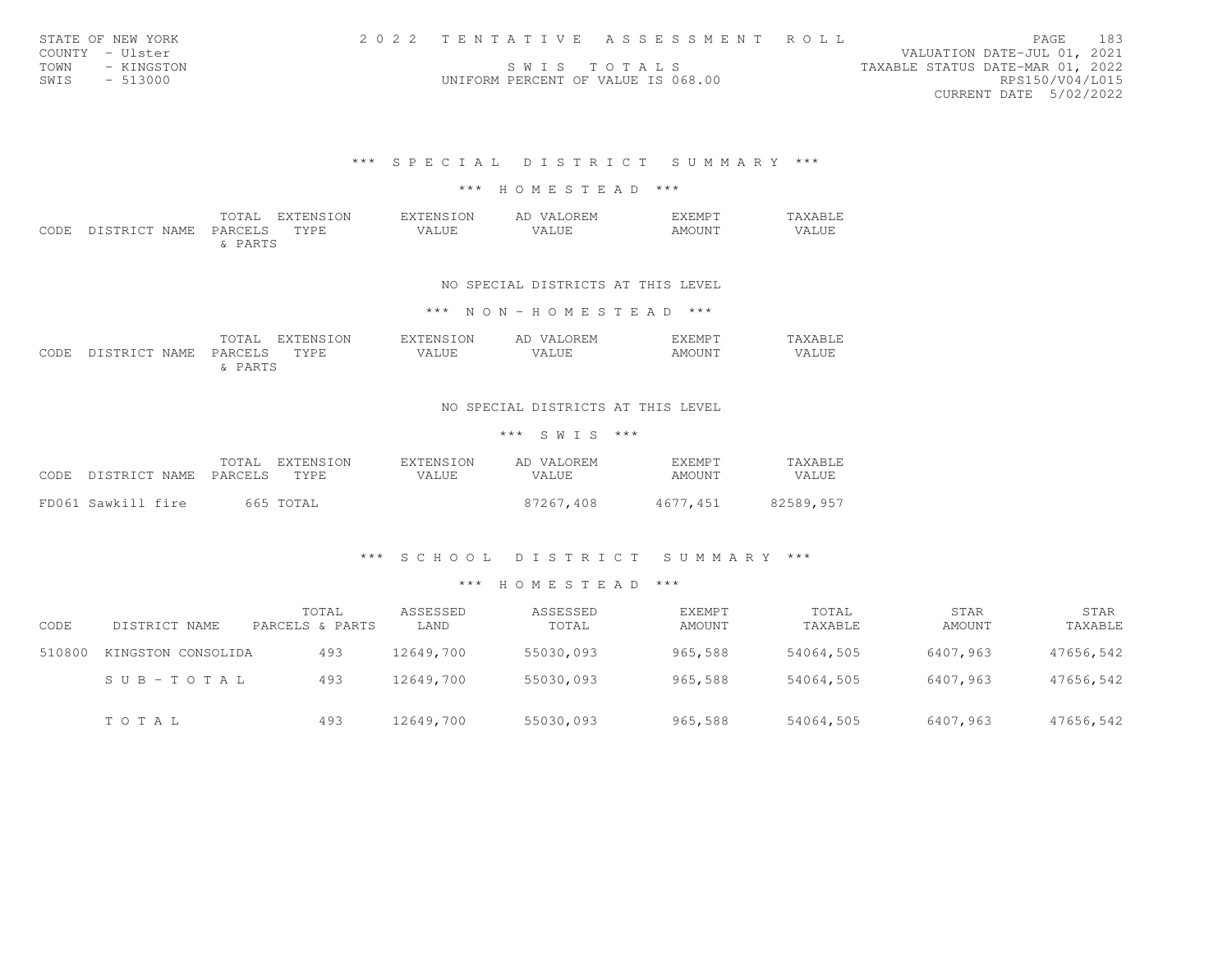| STATE OF NEW YORK |            |                                    | 2022 TENTATIVE ASSESSMENT ROLL |                                  | <b>PAGE</b>            | - 183 |
|-------------------|------------|------------------------------------|--------------------------------|----------------------------------|------------------------|-------|
| COUNTY - Ulster   |            |                                    |                                | VALUATION DATE-JUL 01, 2021      |                        |       |
| TOWN              | - KINGSTON | SWIS TOTALS                        |                                | TAXABLE STATUS DATE-MAR 01, 2022 |                        |       |
| SWIS<br>- 513000  |            | UNIFORM PERCENT OF VALUE IS 068.00 |                                |                                  | RPS150/V04/L015        |       |
|                   |            |                                    |                                |                                  | CURRENT DATE 5/02/2022 |       |

## \*\*\* S P E C I A L D I S T R I C T S U M M A R Y \*\*\*

#### \*\*\* H O M E S T E A D \*\*\*

|      |               | TOTAI.        | EXTENSION   |       | <b>VALOREM</b><br>AF | NEMPT: | 'AYARI.F. |
|------|---------------|---------------|-------------|-------|----------------------|--------|-----------|
| CODE | DISTRICT NAME | PARCELS       | <b>TYPE</b> | 'ALUE | VALUE                | AMOUNT | VALUE     |
|      |               | $\cdots$<br>. |             |       |                      |        |           |

#### NO SPECIAL DISTRICTS AT THIS LEVEL

### \*\*\* N O N - H O M E S T E A D \*\*\*

|      |                        | TOTAL           | TENSION<br>EXT  | <b>EXTENSION</b> | VALOREM<br>AD      | KEMP T | AXABLE |
|------|------------------------|-----------------|-----------------|------------------|--------------------|--------|--------|
| CODE | NAME.<br>רקופדרי<br>nт | PARCELS         | TYPE<br>- - - - | VALUE            | ALUE<br>$77\Delta$ | AMOUNT | VALUE  |
|      |                        | PARTC<br>------ |                 |                  |                    |        |        |

#### NO SPECIAL DISTRICTS AT THIS LEVEL

#### \*\*\* S W I S \*\*\*

| CODE. | DISTRICT NAME      | TOTAL.<br>PARCELS | EXTENSION<br>TYPE | EXTENSION<br>VALUE. | AD VALOREM<br>VALUE. | <b>F.XF.MPT</b><br>AMOUNT | TAXABLE<br>VALUE |
|-------|--------------------|-------------------|-------------------|---------------------|----------------------|---------------------------|------------------|
|       | FD061 Sawkill fire |                   | 665 TOTAL         |                     | 87267,408            | 4677.451                  | 82589,957        |

### \*\*\* S C H O O L D I S T R I C T S U M M A R Y \*\*\*

| CODE   | DISTRICT NAME      | TOTAL<br>PARCELS & PARTS | ASSESSED<br>LAND | ASSESSED<br>TOTAL | EXEMPT<br>AMOUNT | TOTAL<br>TAXABLE | STAR<br><b>AMOUNT</b> | STAR<br>TAXABLE |
|--------|--------------------|--------------------------|------------------|-------------------|------------------|------------------|-----------------------|-----------------|
| 510800 | KINGSTON CONSOLIDA | 493                      | 12649,700        | 55030,093         | 965,588          | 54064,505        | 6407,963              | 47656,542       |
|        | SUB-TOTAL          | 493                      | 12649,700        | 55030,093         | 965,588          | 54064,505        | 6407,963              | 47656,542       |
|        | TOTAL              | 493                      | 12649,700        | 55030,093         | 965,588          | 54064,505        | 6407,963              | 47656,542       |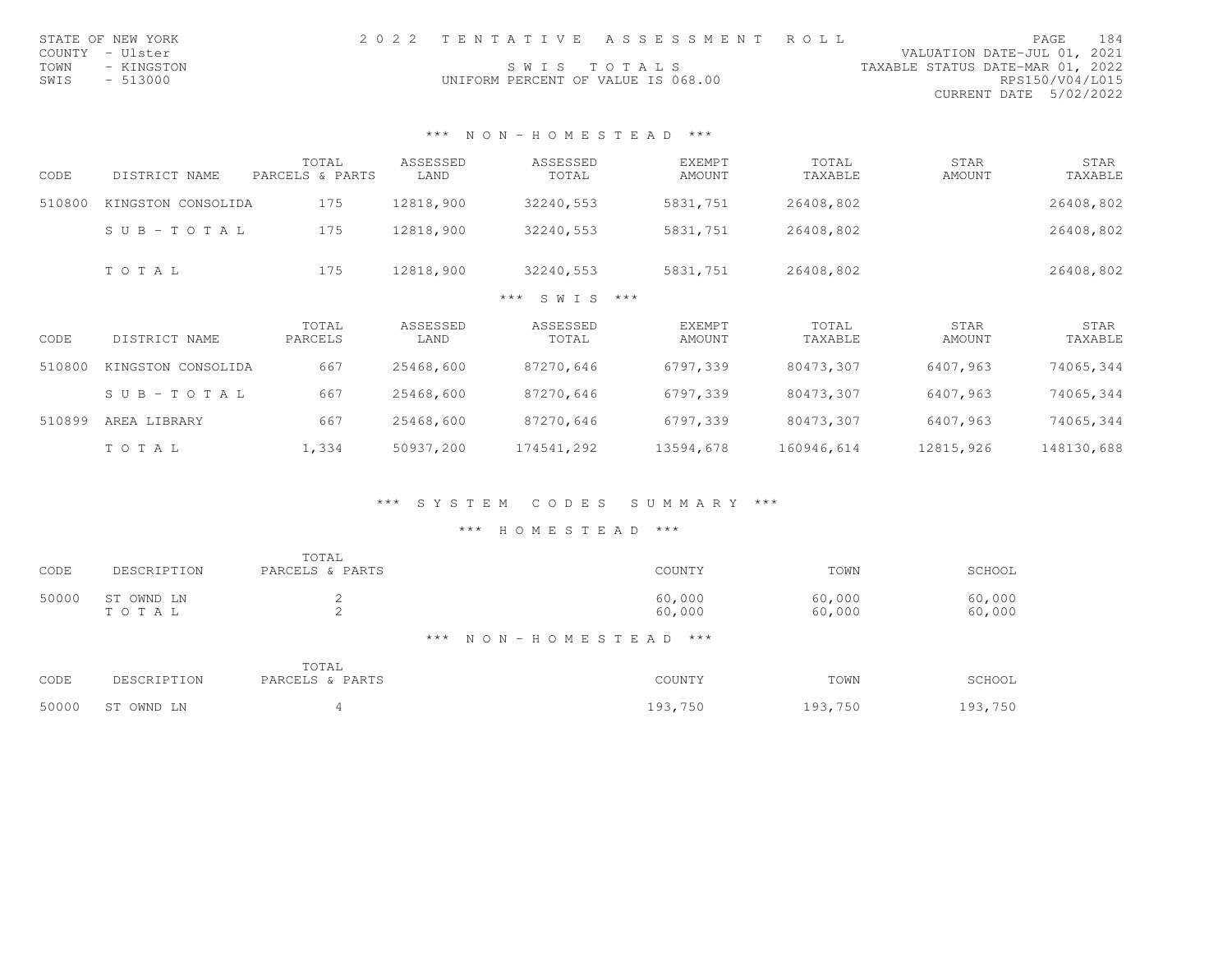| STATE OF NEW YORK  |                                    | 2022 TENTATIVE ASSESSMENT ROLL |                                  | PAGE                        | 184 |
|--------------------|------------------------------------|--------------------------------|----------------------------------|-----------------------------|-----|
| COUNTY - Ulster    |                                    |                                |                                  | VALUATION DATE-JUL 01, 2021 |     |
| TOWN<br>- KINGSTON |                                    | SWIS TOTALS                    | TAXABLE STATUS DATE-MAR 01, 2022 |                             |     |
| SWIS - 513000      | UNIFORM PERCENT OF VALUE IS 068.00 |                                |                                  | RPS150/V04/L015             |     |
|                    |                                    |                                |                                  | CURRENT DATE 5/02/2022      |     |

### \*\*\* N O N - H O M E S T E A D \*\*\*

| CODE   | DISTRICT NAME         | TOTAL<br>PARCELS & PARTS | ASSESSED<br>LAND | ASSESSED<br>TOTAL   | <b>EXEMPT</b><br>AMOUNT | TOTAL<br>TAXABLE | STAR<br>AMOUNT | STAR<br>TAXABLE |
|--------|-----------------------|--------------------------|------------------|---------------------|-------------------------|------------------|----------------|-----------------|
| 510800 | KINGSTON CONSOLIDA    | 175                      | 12818,900        | 32240,553           | 5831,751                | 26408,802        |                | 26408,802       |
|        | SUB-TOTAL             | 175                      | 12818,900        | 32240,553           | 5831,751                | 26408,802        |                | 26408,802       |
|        | TOTAL                 | 175                      | 12818,900        | 32240,553           | 5831,751                | 26408,802        |                | 26408,802       |
|        |                       |                          |                  | $SWTS$ ***<br>$***$ |                         |                  |                |                 |
| CODE   | DISTRICT NAME         | TOTAL<br>PARCELS         | ASSESSED<br>LAND | ASSESSED<br>TOTAL   | <b>EXEMPT</b><br>AMOUNT | TOTAL<br>TAXABLE | STAR<br>AMOUNT | STAR<br>TAXABLE |
| 510800 | KINGSTON CONSOLIDA    | 667                      | 25468,600        | 87270,646           | 6797,339                | 80473,307        | 6407,963       | 74065,344       |
|        | $S \cup B - TO T A L$ | 667                      | 25468,600        | 87270,646           | 6797,339                | 80473,307        | 6407,963       | 74065,344       |
| 510899 | AREA LIBRARY          | 667                      | 25468,600        | 87270,646           | 6797,339                | 80473,307        | 6407,963       | 74065,344       |
|        | TOTAL                 | 1,334                    | 50937,200        | 174541,292          | 13594,678               | 160946,614       | 12815,926      | 148130,688      |

#### \*\*\* S Y S T E M C O D E S S U M M A R Y \*\*\*

| CODE  | DESCRIPTION          | TOTAL<br>PARCELS & PARTS | COUNTY                | TOWN             | SCHOOL           |
|-------|----------------------|--------------------------|-----------------------|------------------|------------------|
| 50000 | ST OWND LN<br>TO TAL | ∠<br>$\sim$<br>∠         | 60,000<br>60,000      | 60,000<br>60,000 | 60,000<br>60,000 |
|       |                      |                          | *** NON-HOMESTEAD *** |                  |                  |
| CODE  | DESCRIPTION          | TOTAL<br>PARCELS & PARTS | COUNTY                | TOWN             | SCHOOL           |
| 50000 | ST OWND LN           | 4                        | 193,750               | 193,750          | 193,750          |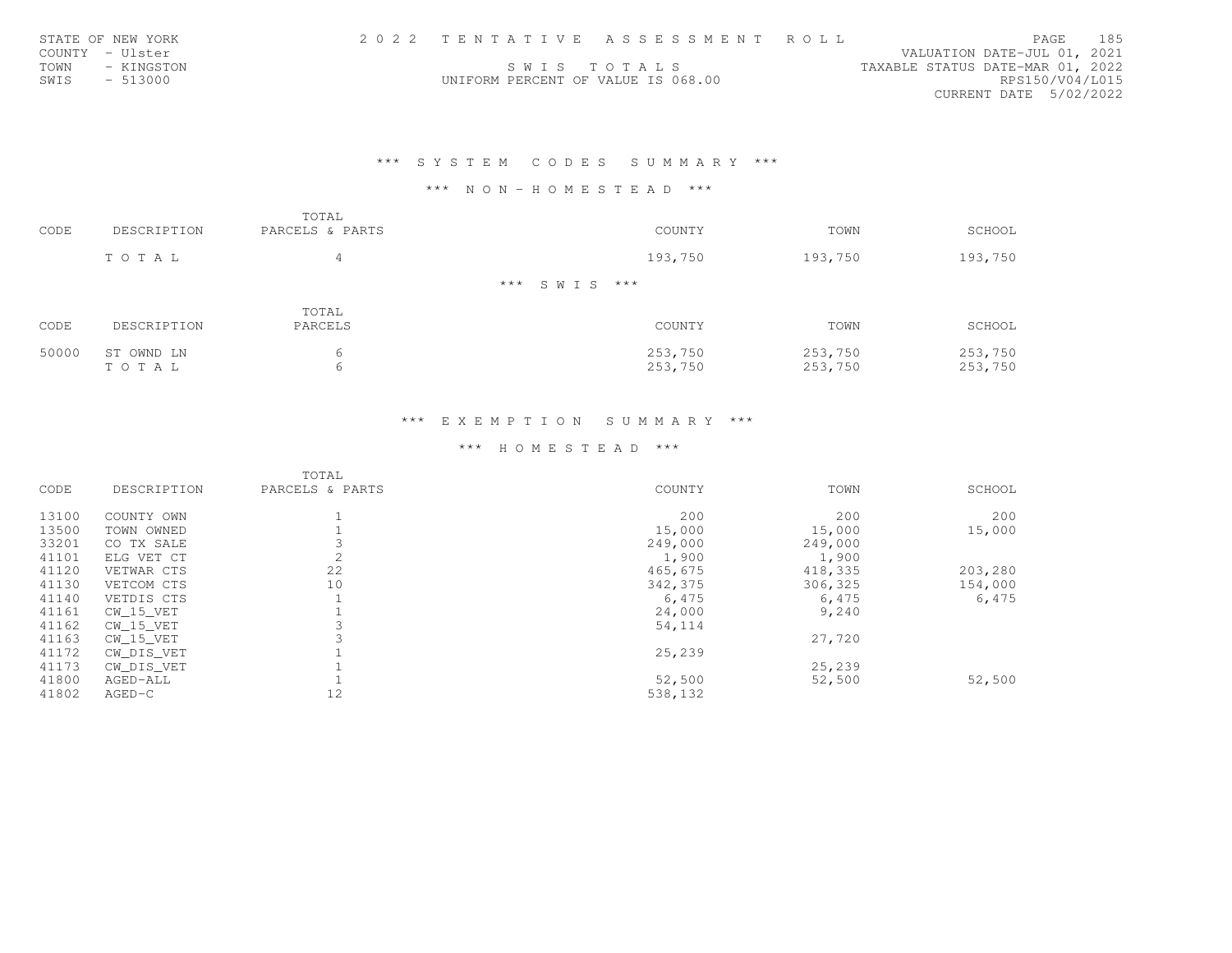|      | STATE OF NEW YORK |                                    | 2022 TENTATIVE ASSESSMENT ROLL |                                  | PAGE.                  | 185 |
|------|-------------------|------------------------------------|--------------------------------|----------------------------------|------------------------|-----|
|      | COUNTY - Ulster   |                                    |                                | VALUATION DATE-JUL 01, 2021      |                        |     |
| TOWN | - KINGSTON        |                                    | SWIS TOTALS                    | TAXABLE STATUS DATE-MAR 01, 2022 |                        |     |
| SWIS | - 513000          | UNIFORM PERCENT OF VALUE IS 068.00 |                                |                                  | RPS150/V04/L015        |     |
|      |                   |                                    |                                |                                  | CURRENT DATE 5/02/2022 |     |

# \*\*\* S Y S T E M C O D E S S U M M A R Y \*\*\*

#### \*\*\* N O N - H O M E S T E A D \*\*\*

| CODE  | DESCRIPTION         | TOTAL<br>PARCELS & PARTS | COUNTY             | TOWN               | SCHOOL             |
|-------|---------------------|--------------------------|--------------------|--------------------|--------------------|
|       | TOTAL               | $\overline{4}$           | 193,750            | 193,750            | 193,750            |
|       |                     |                          | *** SWIS ***       |                    |                    |
| CODE  | DESCRIPTION         | TOTAL<br>PARCELS         | COUNTY             | TOWN               | SCHOOL             |
| 50000 | ST OWND LN<br>TOTAL | 6<br>6                   | 253,750<br>253,750 | 253,750<br>253,750 | 253,750<br>253,750 |

## \*\*\* E X E M P T I O N S U M M A R Y \*\*\*

|       |             | TOTAL           |         |         |         |
|-------|-------------|-----------------|---------|---------|---------|
| CODE  | DESCRIPTION | PARCELS & PARTS | COUNTY  | TOWN    | SCHOOL  |
| 13100 | COUNTY OWN  |                 | 200     | 200     | 200     |
| 13500 | TOWN OWNED  |                 | 15,000  | 15,000  | 15,000  |
| 33201 | CO TX SALE  |                 | 249,000 | 249,000 |         |
| 41101 | ELG VET CT  | 2               | 1,900   | 1,900   |         |
| 41120 | VETWAR CTS  | 22              | 465,675 | 418,335 | 203,280 |
| 41130 | VETCOM CTS  | 10              | 342,375 | 306,325 | 154,000 |
| 41140 | VETDIS CTS  |                 | 6,475   | 6,475   | 6,475   |
| 41161 | CW 15 VET   |                 | 24,000  | 9,240   |         |
| 41162 | CW 15 VET   |                 | 54,114  |         |         |
| 41163 | CW 15 VET   |                 |         | 27,720  |         |
| 41172 | CW_DIS_VET  |                 | 25,239  |         |         |
| 41173 | CW DIS VET  |                 |         | 25,239  |         |
| 41800 | AGED-ALL    |                 | 52,500  | 52,500  | 52,500  |
| 41802 | $AGED-C$    | 12              | 538,132 |         |         |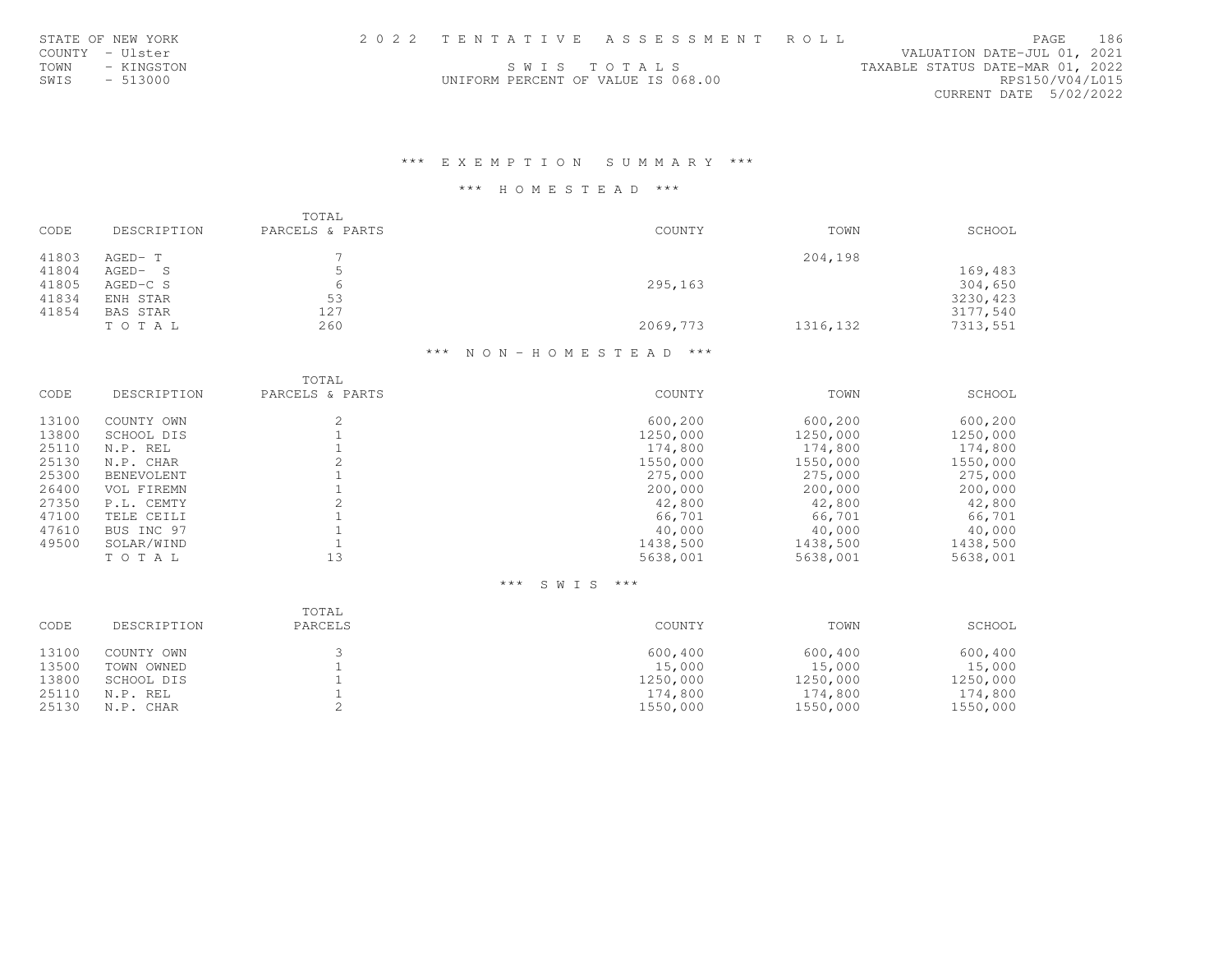| STATE OF NEW YORK  |                                    | 2022 TENTATIVE ASSESSMENT ROLL |                                  | PAGE.                  | - 186 |
|--------------------|------------------------------------|--------------------------------|----------------------------------|------------------------|-------|
| COUNTY - Ulster    |                                    |                                | VALUATION DATE-JUL 01, 2021      |                        |       |
| TOWN<br>- KINGSTON |                                    | SWIS TOTALS                    | TAXABLE STATUS DATE-MAR 01, 2022 |                        |       |
| SWIS<br>- 513000   | UNIFORM PERCENT OF VALUE IS 068.00 |                                |                                  | RPS150/V04/L015        |       |
|                    |                                    |                                |                                  | CURRENT DATE 5/02/2022 |       |

#### \*\*\* H O M E S T E A D \*\*\*

| CODE  | DESCRIPTION | TOTAL<br>PARCELS & PARTS | COUNTY   | TOWN     | SCHOOL   |
|-------|-------------|--------------------------|----------|----------|----------|
| 41803 | AGED-T      |                          |          | 204,198  |          |
| 41804 | AGED-S      | 5                        |          |          | 169,483  |
| 41805 | AGED-C S    | 6                        | 295,163  |          | 304,650  |
| 41834 | ENH STAR    | 53                       |          |          | 3230,423 |
| 41854 | BAS STAR    | 127                      |          |          | 3177,540 |
|       | TOTAL       | 260                      | 2069,773 | 1316,132 | 7313,551 |
|       |             |                          |          |          |          |

# \*\*\* N O N - H O M E S T E A D \*\*\*

| CODE  | DESCRIPTION | TOTAL<br>PARCELS & PARTS | COUNTY   | TOWN     | SCHOOL   |
|-------|-------------|--------------------------|----------|----------|----------|
| 13100 | COUNTY OWN  |                          | 600,200  | 600,200  | 600,200  |
| 13800 | SCHOOL DIS  |                          | 1250,000 | 1250,000 | 1250,000 |
| 25110 | N.P. REL    |                          | 174,800  | 174,800  | 174,800  |
| 25130 | N.P. CHAR   |                          | 1550,000 | 1550,000 | 1550,000 |
| 25300 | BENEVOLENT  |                          | 275,000  | 275,000  | 275,000  |
| 26400 | VOL FIREMN  |                          | 200,000  | 200,000  | 200,000  |
| 27350 | P.L. CEMTY  |                          | 42,800   | 42,800   | 42,800   |
| 47100 | TELE CEILI  |                          | 66,701   | 66,701   | 66,701   |
| 47610 | BUS INC 97  |                          | 40,000   | 40,000   | 40,000   |
| 49500 | SOLAR/WIND  |                          | 1438,500 | 1438,500 | 1438,500 |
|       | TOTAL       | 13                       | 5638,001 | 5638,001 | 5638,001 |

## \*\*\* S W I S \*\*\*

|       |             | TOTAL   |          |          |          |
|-------|-------------|---------|----------|----------|----------|
| CODE  | DESCRIPTION | PARCELS | COUNTY   | TOWN     | SCHOOL   |
| 13100 | COUNTY OWN  |         | 600,400  | 600,400  | 600,400  |
| 13500 | TOWN OWNED  |         | 15,000   | 15,000   | 15,000   |
| 13800 | SCHOOL DIS  |         | 1250,000 | 1250,000 | 1250,000 |
| 25110 | N.P. REL    |         | 174,800  | 174,800  | 174,800  |
| 25130 | N.P. CHAR   |         | 1550,000 | 1550,000 | 1550,000 |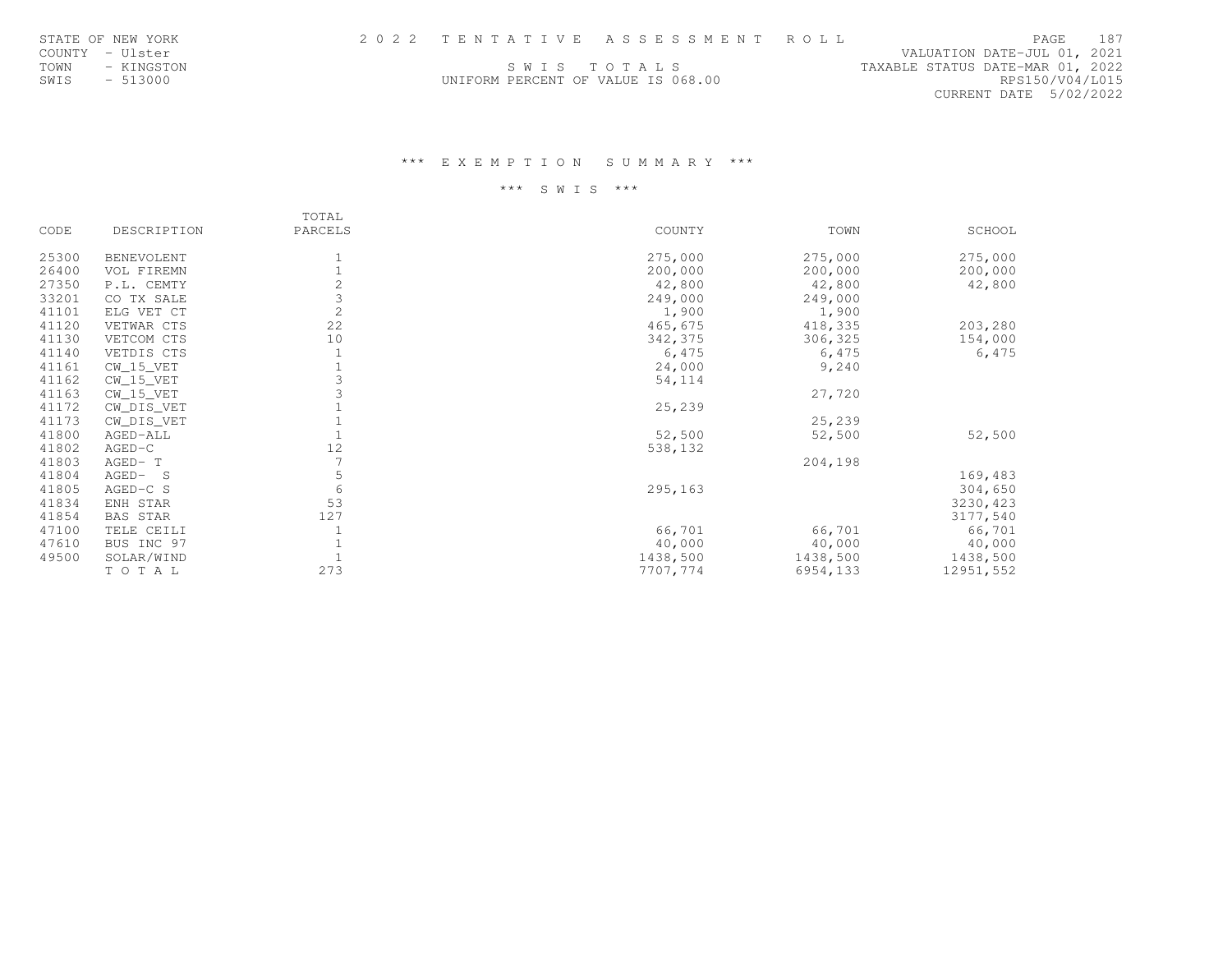|      | STATE OF NEW YORK |  | 2022 TENTATIVE ASSESSMENT ROLL     |                                  | PAGE 187                    |  |
|------|-------------------|--|------------------------------------|----------------------------------|-----------------------------|--|
|      | COUNTY - Ulster   |  |                                    |                                  | VALUATION DATE-JUL 01, 2021 |  |
| TOWN | - KINGSTON        |  | SWIS TOTALS                        | TAXABLE STATUS DATE-MAR 01, 2022 |                             |  |
| SWIS | - 513000          |  | UNIFORM PERCENT OF VALUE IS 068.00 |                                  | RPS150/V04/L015             |  |
|      |                   |  |                                    |                                  | CURRENT DATE 5/02/2022      |  |

## \*\*\* S W I S \*\*\*

|       |                   | TOTAL          |          |          |           |
|-------|-------------------|----------------|----------|----------|-----------|
| CODE  | DESCRIPTION       | PARCELS        | COUNTY   | TOWN     | SCHOOL    |
| 25300 | <b>BENEVOLENT</b> |                | 275,000  | 275,000  | 275,000   |
| 26400 | VOL FIREMN        |                | 200,000  | 200,000  | 200,000   |
| 27350 | P.L. CEMTY        | $\overline{c}$ | 42,800   | 42,800   | 42,800    |
| 33201 | CO TX SALE        | 3              | 249,000  | 249,000  |           |
| 41101 | ELG VET CT        | $\overline{c}$ | 1,900    | 1,900    |           |
| 41120 | VETWAR CTS        | 22             | 465,675  | 418,335  | 203,280   |
| 41130 | VETCOM CTS        | 10             | 342,375  | 306,325  | 154,000   |
| 41140 | VETDIS CTS        |                | 6,475    | 6,475    | 6,475     |
| 41161 | $CW_15_VET$       |                | 24,000   | 9,240    |           |
| 41162 | $CW_15_VET$       |                | 54,114   |          |           |
| 41163 | $CW_15_VET$       |                |          | 27,720   |           |
| 41172 | CW_DIS_VET        |                | 25,239   |          |           |
| 41173 | CW_DIS_VET        |                |          | 25,239   |           |
| 41800 | AGED-ALL          |                | 52,500   | 52,500   | 52,500    |
| 41802 | $AGED-C$          | 12             | 538,132  |          |           |
| 41803 | AGED-T            |                |          | 204,198  |           |
| 41804 | $AGED-$<br>- S    | 5              |          |          | 169,483   |
| 41805 | AGED-C S          | 6              | 295,163  |          | 304,650   |
| 41834 | ENH STAR          | 53             |          |          | 3230, 423 |
| 41854 | <b>BAS STAR</b>   | 127            |          |          | 3177,540  |
| 47100 | TELE CEILI        |                | 66,701   | 66,701   | 66,701    |
| 47610 | BUS INC 97        |                | 40,000   | 40,000   | 40,000    |
| 49500 | SOLAR/WIND        |                | 1438,500 | 1438,500 | 1438,500  |
|       | TOTAL             | 273            | 7707,774 | 6954,133 | 12951,552 |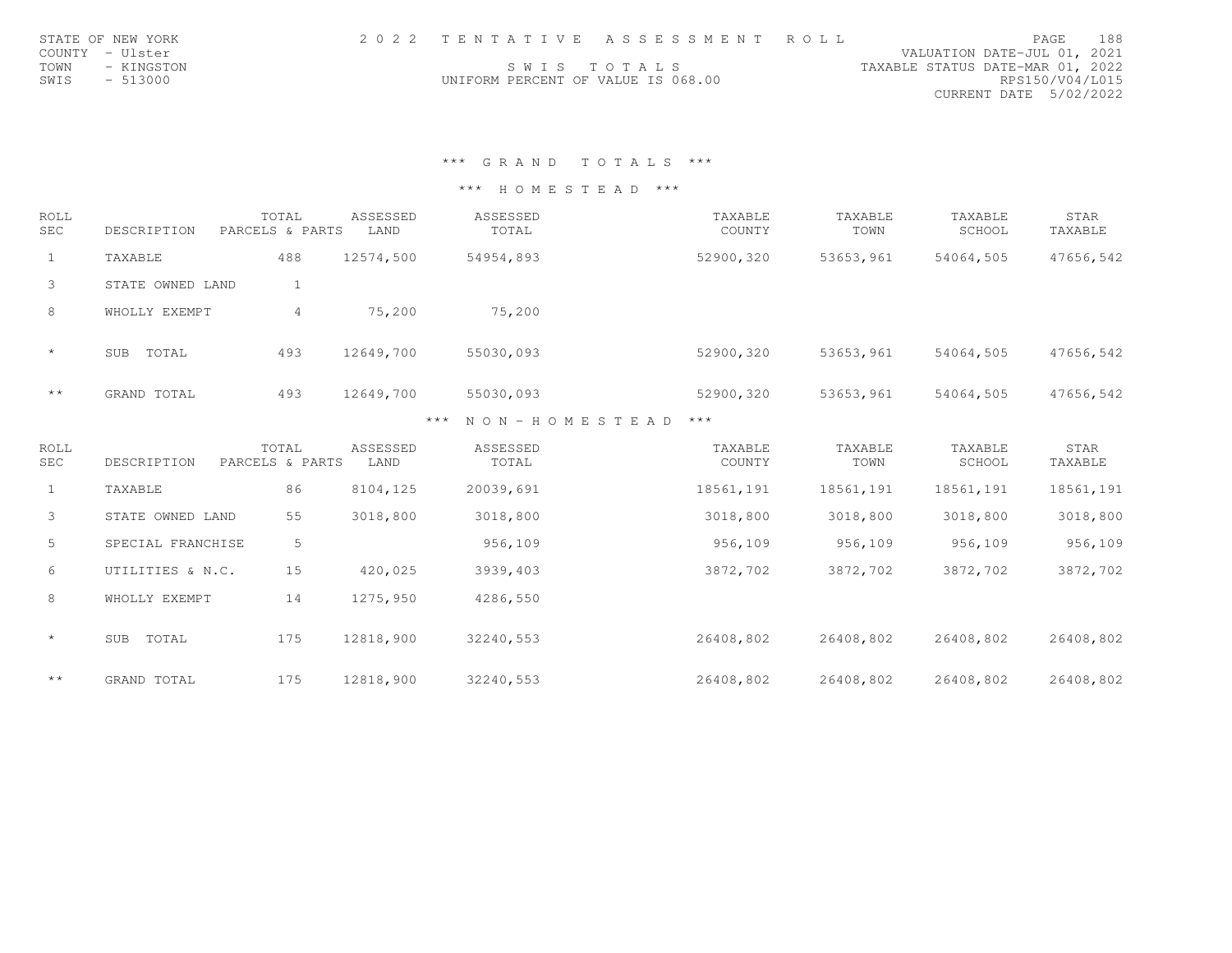|      | STATE OF NEW YORK |                                    | 2022 TENTATIVE ASSESSMENT ROLL |                                  |                        | PAGE | 188 |
|------|-------------------|------------------------------------|--------------------------------|----------------------------------|------------------------|------|-----|
|      | COUNTY - Ulster   |                                    |                                | VALUATION DATE-JUL 01, 2021      |                        |      |     |
| TOWN | - KINGSTON        | SWIS TOTALS                        |                                | TAXABLE STATUS DATE-MAR 01, 2022 |                        |      |     |
| SWIS | $-513000$         | UNIFORM PERCENT OF VALUE IS 068.00 |                                |                                  | RPS150/V04/L015        |      |     |
|      |                   |                                    |                                |                                  | CURRENT DATE 5/02/2022 |      |     |

# \*\*\* G R A N D T O T A L S \*\*\*

| <b>ROLL</b><br>SEC | DESCRIPTION       | TOTAL<br>PARCELS & PARTS | ASSESSED<br>LAND | ASSESSED<br>TOTAL      | TAXABLE<br>COUNTY | TAXABLE<br>TOWN | TAXABLE<br>SCHOOL | STAR<br>TAXABLE |
|--------------------|-------------------|--------------------------|------------------|------------------------|-------------------|-----------------|-------------------|-----------------|
| $\mathbf{1}$       | TAXABLE           | 488                      | 12574,500        | 54954,893              | 52900,320         | 53653,961       | 54064,505         | 47656,542       |
| 3                  | STATE OWNED LAND  | 1                        |                  |                        |                   |                 |                   |                 |
| 8                  | WHOLLY EXEMPT     | $\overline{4}$           | 75,200           | 75,200                 |                   |                 |                   |                 |
| $\star$            | TOTAL<br>SUB      | 493                      | 12649,700        | 55030,093              | 52900,320         | 53653,961       | 54064,505         | 47656,542       |
| $\star\star$       | GRAND TOTAL       | 493                      | 12649,700        | 55030,093              | 52900,320         | 53653,961       | 54064,505         | 47656,542       |
|                    |                   |                          |                  | $***$<br>NON-HOMESTEAD | $***$             |                 |                   |                 |
| ROLL<br>SEC        | DESCRIPTION       | TOTAL<br>PARCELS & PARTS | ASSESSED<br>LAND | ASSESSED<br>TOTAL      | TAXABLE<br>COUNTY | TAXABLE<br>TOWN | TAXABLE<br>SCHOOL | STAR<br>TAXABLE |
| $\mathbf{1}$       | TAXABLE           | 86                       | 8104,125         | 20039,691              | 18561,191         | 18561,191       | 18561,191         | 18561,191       |
| 3                  | STATE OWNED LAND  | 55                       | 3018,800         | 3018,800               | 3018,800          | 3018,800        | 3018,800          | 3018,800        |
| 5                  | SPECIAL FRANCHISE | 5                        |                  | 956,109                | 956,109           | 956,109         | 956,109           | 956,109         |
| 6                  | UTILITIES & N.C.  | 15                       | 420,025          | 3939,403               | 3872,702          | 3872,702        | 3872,702          | 3872,702        |
| 8                  | WHOLLY EXEMPT     | 14                       | 1275,950         | 4286,550               |                   |                 |                   |                 |
| $\star$            | TOTAL<br>SUB      | 175                      | 12818,900        | 32240,553              | 26408,802         | 26408,802       | 26408,802         | 26408,802       |
| $\star\star$       | GRAND TOTAL       | 175                      | 12818,900        | 32240,553              | 26408,802         | 26408,802       | 26408,802         | 26408,802       |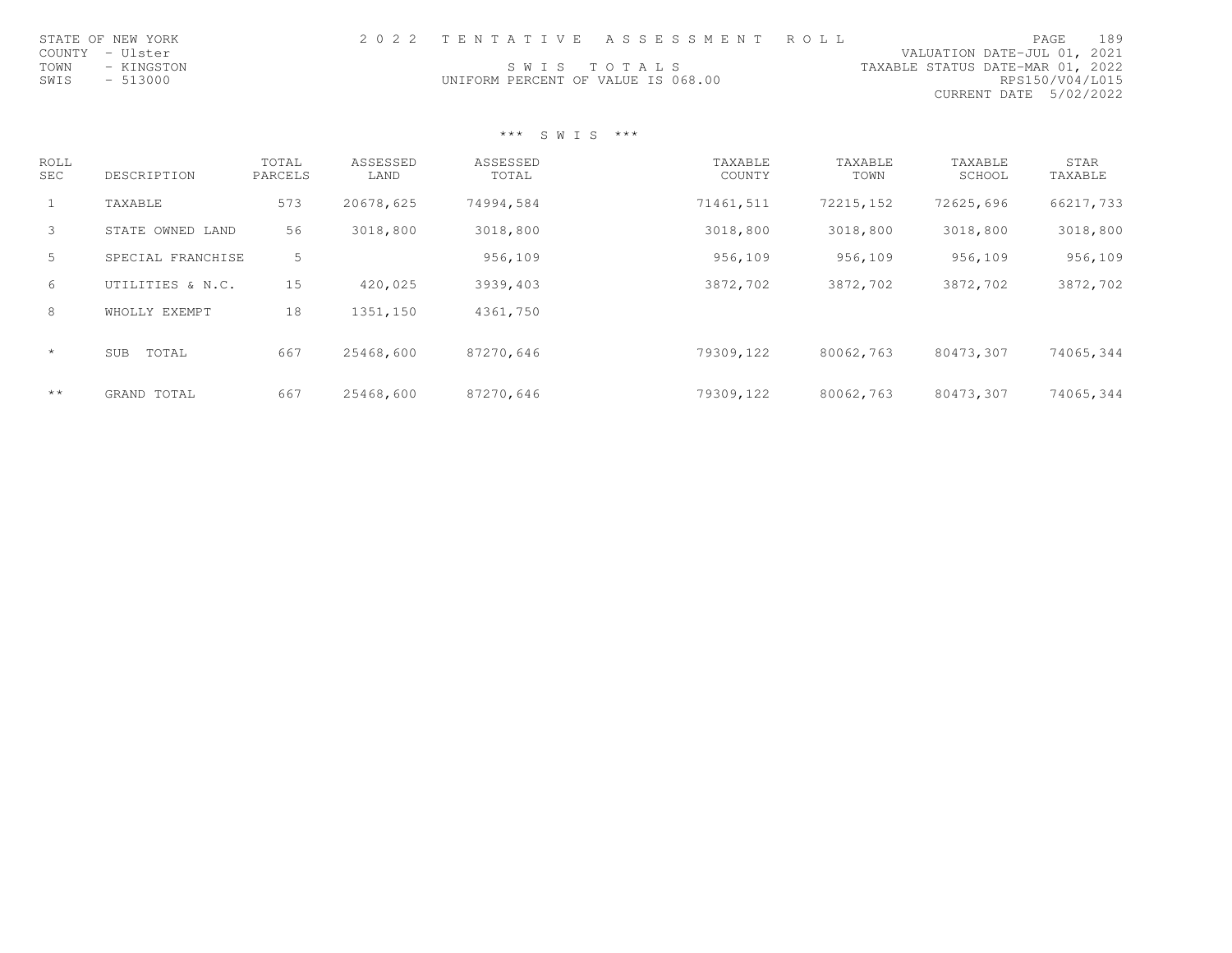|      | STATE OF NEW YORK |                                    | 2022 TENTATIVE ASSESSMENT ROLL |                                  |                        | PAGE. | 189 |
|------|-------------------|------------------------------------|--------------------------------|----------------------------------|------------------------|-------|-----|
|      | COUNTY - Ulster   |                                    |                                | VALUATION DATE-JUL 01, 2021      |                        |       |     |
| TOWN | - KINGSTON        |                                    | SWIS TOTALS                    | TAXABLE STATUS DATE-MAR 01, 2022 |                        |       |     |
| SWIS | $-513000$         | UNIFORM PERCENT OF VALUE IS 068.00 |                                |                                  | RPS150/V04/L015        |       |     |
|      |                   |                                    |                                |                                  | CURRENT DATE 5/02/2022 |       |     |

## \*\*\* S W I S \*\*\*

| <b>ROLL</b><br>SEC | DESCRIPTION         | TOTAL<br>PARCELS | ASSESSED<br>LAND | ASSESSED<br>TOTAL | TAXABLE<br>COUNTY | TAXABLE<br>TOWN | TAXABLE<br>SCHOOL | STAR<br>TAXABLE |
|--------------------|---------------------|------------------|------------------|-------------------|-------------------|-----------------|-------------------|-----------------|
|                    | TAXABLE             | 573              | 20678,625        | 74994,584         | 71461,511         | 72215,152       | 72625,696         | 66217,733       |
| 3                  | STATE OWNED LAND    | 56               | 3018,800         | 3018,800          | 3018,800          | 3018,800        | 3018,800          | 3018,800        |
| 5                  | SPECIAL FRANCHISE   | 5                |                  | 956,109           | 956,109           | 956,109         | 956,109           | 956,109         |
| 6                  | UTILITIES & N.C.    | 15               | 420,025          | 3939,403          | 3872,702          | 3872,702        | 3872,702          | 3872,702        |
| 8                  | WHOLLY EXEMPT       | 18               | 1351,150         | 4361,750          |                   |                 |                   |                 |
| $\star$            | <b>SUB</b><br>TOTAL | 667              | 25468,600        | 87270,646         | 79309,122         | 80062,763       | 80473.307         | 74065,344       |
| $\star\star$       | GRAND TOTAL         | 667              | 25468,600        | 87270,646         | 79309,122         | 80062,763       | 80473,307         | 74065,344       |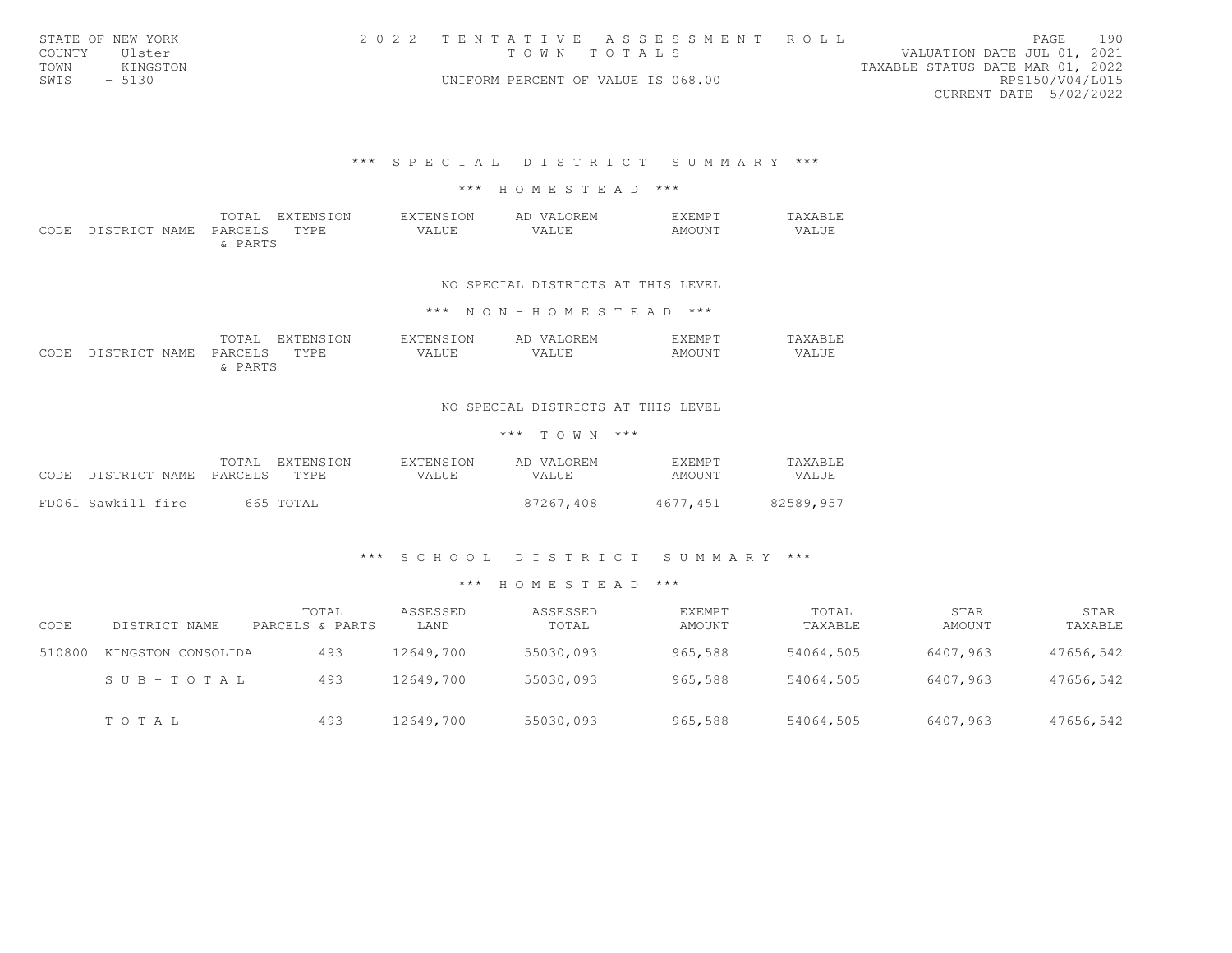| STATE OF NEW YORK<br>COUNTY - Ulster<br>TOWN - KINGSTON<br>SWIS<br>$-5130$ | 2022 TENTATIVE ASSESSMENT ROLL<br>TOWN TOTALS<br>UNIFORM PERCENT OF VALUE IS 068.00 | 190<br>PAGE.<br>VALUATION DATE-JUL 01, 2021<br>TAXABLE STATUS DATE-MAR 01, 2022<br>RPS150/V04/L015 |
|----------------------------------------------------------------------------|-------------------------------------------------------------------------------------|----------------------------------------------------------------------------------------------------|
|                                                                            |                                                                                     | CURRENT DATE 5/02/2022                                                                             |

## \*\*\* S P E C I A L D I S T R I C T S U M M A R Y \*\*\*

#### \*\*\* H O M E S T E A D \*\*\*

|                    |         | TOTAL EXTENSION | <b>EXTENSION</b> | AD VALOREM | EXEMP T | <b>TAXABLE</b> |
|--------------------|---------|-----------------|------------------|------------|---------|----------------|
| CODE DISTRICT NAME | PARCELS | TYPE.           | VALUE            | VALUE.     | AMOUNT  | VALUE          |
|                    | PARTS   |                 |                  |            |         |                |

#### NO SPECIAL DISTRICTS AT THIS LEVEL

### \*\*\* N O N - H O M E S T E A D \*\*\*

|      |               | TOTAL   | EXTENSION   | <b>EXTENSION</b> | AD VALOREM | <b>EXEMPT</b>    | TAXABLE |
|------|---------------|---------|-------------|------------------|------------|------------------|---------|
| CODE | DISTRICT NAME | PARCELS | <b>TYPE</b> | VALUE            | VALUE      | AMOUNT<br>$   -$ | VALUE   |
|      |               | , PARTS |             |                  |            |                  |         |

#### NO SPECIAL DISTRICTS AT THIS LEVEL

#### \*\*\* T O W N \*\*\*

| CODE | DISTRICT NAME PARCELS | TOTAL EXTENSION<br>TYPE. | EXTENSION<br>VALUE. | AD VALOREM<br>VALUE. | <b>F.XF.MPT</b><br>AMOUNT | <b>TAXABLE</b><br>VALUE |
|------|-----------------------|--------------------------|---------------------|----------------------|---------------------------|-------------------------|
|      | FD061 Sawkill fire    | 665 TOTAL                |                     | 87267,408            | 4677.451                  | 82589,957               |

### \*\*\* S C H O O L D I S T R I C T S U M M A R Y \*\*\*

| CODE   | DISTRICT NAME      | TOTAL<br>PARCELS & PARTS | ASSESSED<br>LAND | ASSESSED<br>TOTAL | EXEMPT<br>AMOUNT | TOTAL<br>TAXABLE | STAR<br><b>AMOUNT</b> | STAR<br>TAXABLE |
|--------|--------------------|--------------------------|------------------|-------------------|------------------|------------------|-----------------------|-----------------|
| 510800 | KINGSTON CONSOLIDA | 493                      | 12649,700        | 55030,093         | 965,588          | 54064,505        | 6407.963              | 47656,542       |
|        | SUB-TOTAL          | 493                      | 12649,700        | 55030,093         | 965,588          | 54064,505        | 6407,963              | 47656,542       |
|        | TOTAL              | 493                      | 12649,700        | 55030,093         | 965,588          | 54064,505        | 6407,963              | 47656,542       |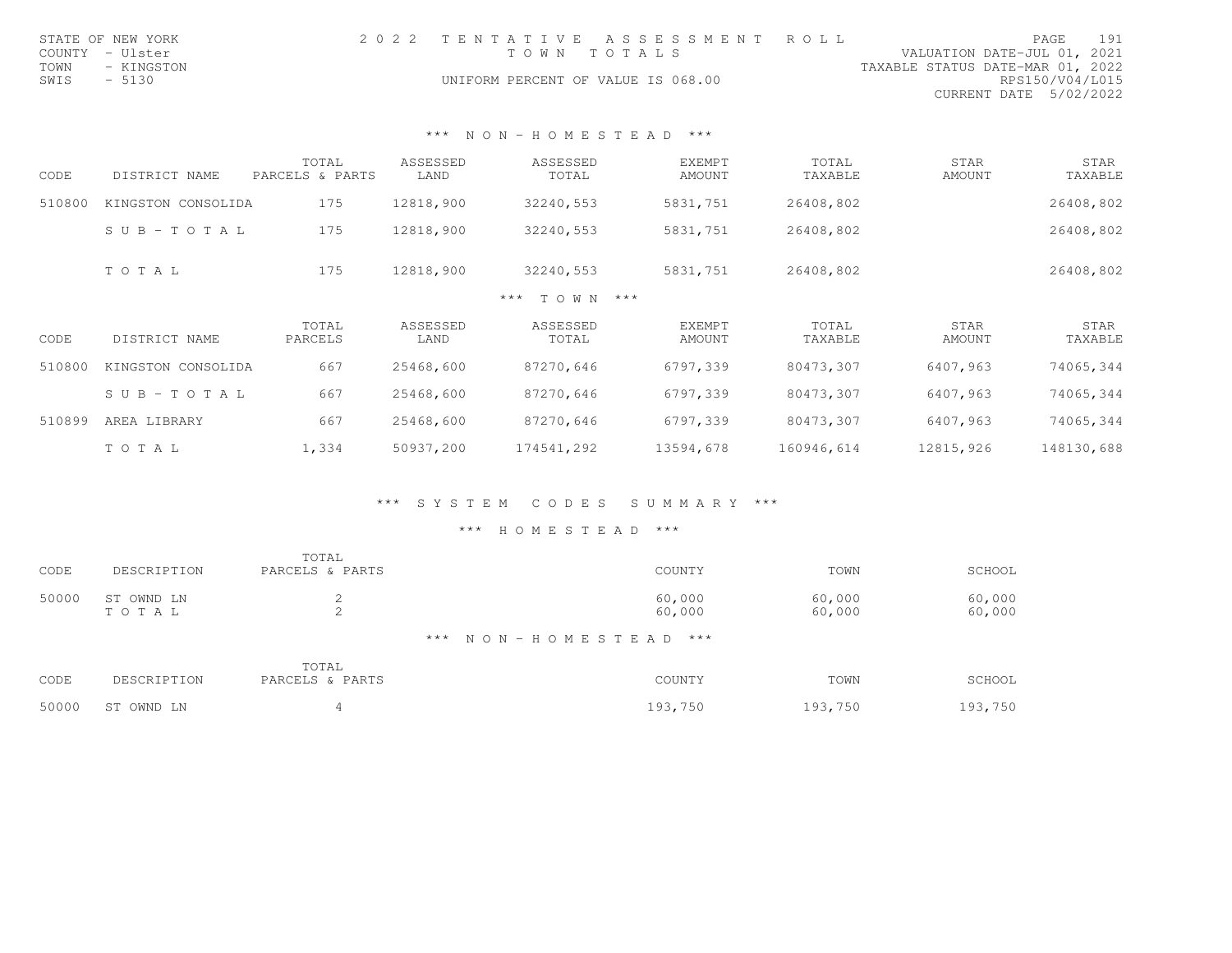| STATE OF NEW YORK  | 2022 TENTATIVE ASSESSMENT ROLL     |                                  | PAGE.                  | 191 |
|--------------------|------------------------------------|----------------------------------|------------------------|-----|
| COUNTY - Ulster    | TOWN TOTALS                        | VALUATION DATE-JUL 01, 2021      |                        |     |
| TOWN<br>- KINGSTON |                                    | TAXABLE STATUS DATE-MAR 01, 2022 |                        |     |
| SWIS - 5130        | UNIFORM PERCENT OF VALUE IS 068.00 |                                  | RPS150/V04/L015        |     |
|                    |                                    |                                  | CURRENT DATE 5/02/2022 |     |

## \*\*\* N O N - H O M E S T E A D \*\*\*

| CODE   | DISTRICT NAME         | TOTAL<br>PARCELS & PARTS | ASSESSED<br>LAND | ASSESSED<br>TOTAL    | <b>EXEMPT</b><br><b>AMOUNT</b> | TOTAL<br>TAXABLE | STAR<br>AMOUNT | STAR<br>TAXABLE |
|--------|-----------------------|--------------------------|------------------|----------------------|--------------------------------|------------------|----------------|-----------------|
| 510800 | KINGSTON CONSOLIDA    | 175                      | 12818,900        | 32240,553            | 5831,751                       | 26408,802        |                | 26408,802       |
|        | $S \cup B - TO T A L$ | 175                      | 12818,900        | 32240,553            | 5831,751                       | 26408,802        |                | 26408,802       |
|        | TOTAL                 | 175                      | 12818,900        | 32240,553            | 5831,751                       | 26408,802        |                | 26408,802       |
|        |                       |                          |                  | T O W N ***<br>$***$ |                                |                  |                |                 |
| CODE   | DISTRICT NAME         | TOTAL<br>PARCELS         | ASSESSED<br>LAND | ASSESSED<br>TOTAL    | <b>EXEMPT</b><br>AMOUNT        | TOTAL<br>TAXABLE | STAR<br>AMOUNT | STAR<br>TAXABLE |
| 510800 | KINGSTON CONSOLIDA    | 667                      | 25468,600        | 87270,646            | 6797,339                       | 80473,307        | 6407,963       | 74065,344       |
|        | SUB-TOTAL             | 667                      | 25468,600        | 87270,646            | 6797,339                       | 80473,307        | 6407,963       | 74065,344       |
| 510899 | AREA LIBRARY          | 667                      | 25468,600        | 87270,646            | 6797,339                       | 80473,307        | 6407,963       | 74065,344       |
|        | TOTAL                 | 1,334                    | 50937,200        | 174541,292           | 13594,678                      | 160946,614       | 12815,926      | 148130,688      |

# \*\*\* S Y S T E M C O D E S S U M M A R Y \*\*\*

| CODE  | DESCRIPTION | TOTAL<br>PARCELS & PARTS | COUNTY                                     | TOWN             | SCHOOL           |
|-------|-------------|--------------------------|--------------------------------------------|------------------|------------------|
| 50000 | ST OWND LN  |                          |                                            |                  |                  |
|       | TOTAL       | $\bigcirc$<br>∠          | 60,000<br>60,000                           | 60,000<br>60,000 | 60,000<br>60,000 |
|       |             |                          | $N$ O $N$ - H O M E S T E A D ***<br>$***$ |                  |                  |
| CODE  | DESCRIPTION | TOTAL<br>PARCELS & PARTS | COUNTY                                     | TOWN             | SCHOOL           |
| 50000 | ST OWND LN  | $\Delta$                 | 193,750                                    | 193,750          | 193,750          |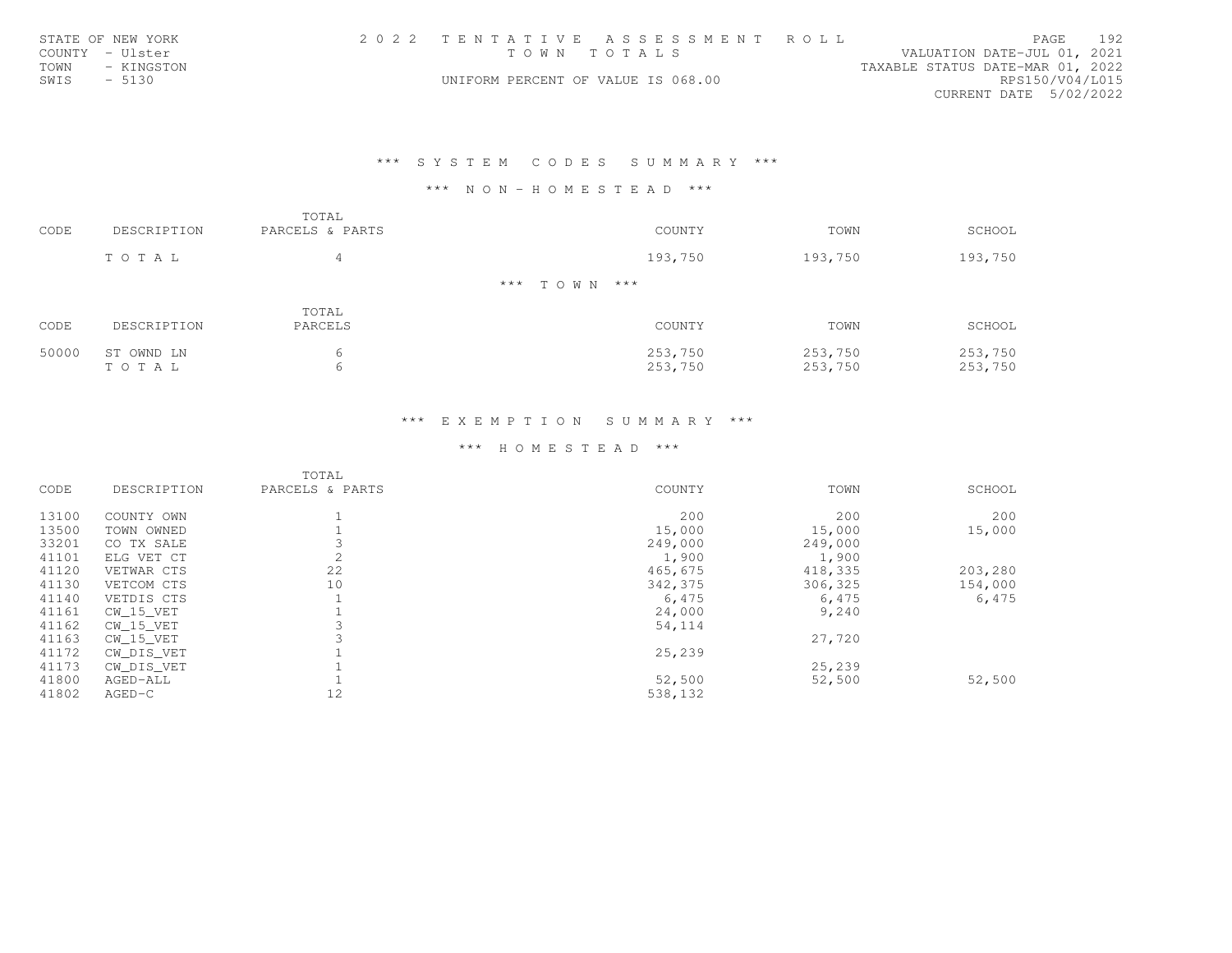|      | STATE OF NEW YORK |                                    | 2022 TENTATIVE ASSESSMENT ROLL |                                  | PAGE.                       | 192 |
|------|-------------------|------------------------------------|--------------------------------|----------------------------------|-----------------------------|-----|
|      | COUNTY - Ulster   | TOWN TOTALS                        |                                |                                  | VALUATION DATE-JUL 01, 2021 |     |
| TOWN | - KINGSTON        |                                    |                                | TAXABLE STATUS DATE-MAR 01, 2022 |                             |     |
| SWIS | $-5130$           | UNIFORM PERCENT OF VALUE IS 068.00 |                                |                                  | RPS150/V04/L015             |     |
|      |                   |                                    |                                |                                  | CURRENT DATE 5/02/2022      |     |

## \*\*\* S Y S T E M C O D E S S U M M A R Y \*\*\*

#### \*\*\* N O N - H O M E S T E A D \*\*\*

| CODE  | DESCRIPTION | TOTAL<br>PARCELS & PARTS | COUNTY           | TOWN    | SCHOOL  |
|-------|-------------|--------------------------|------------------|---------|---------|
|       | TOTAL       | 4                        | 193,750          | 193,750 | 193,750 |
|       |             |                          | $***$ TOWN $***$ |         |         |
| CODE  | DESCRIPTION | TOTAL<br>PARCELS         | COUNTY           | TOWN    | SCHOOL  |
| 50000 | ST OWND LN  | 6                        | 253,750          | 253,750 | 253,750 |

T O T A L 6 253,750 253,750 253,750

# \*\*\* E X E M P T I O N S U M M A R Y \*\*\*

|       |             | TOTAL           |         |         |         |
|-------|-------------|-----------------|---------|---------|---------|
| CODE  | DESCRIPTION | PARCELS & PARTS | COUNTY  | TOWN    | SCHOOL  |
| 13100 | COUNTY OWN  |                 | 200     | 200     | 200     |
| 13500 | TOWN OWNED  |                 | 15,000  | 15,000  | 15,000  |
| 33201 | CO TX SALE  |                 | 249,000 | 249,000 |         |
| 41101 | ELG VET CT  | 2               | 1,900   | 1,900   |         |
| 41120 | VETWAR CTS  | 22              | 465,675 | 418,335 | 203,280 |
| 41130 | VETCOM CTS  | 10              | 342,375 | 306,325 | 154,000 |
| 41140 | VETDIS CTS  |                 | 6,475   | 6,475   | 6,475   |
| 41161 | CW 15 VET   |                 | 24,000  | 9,240   |         |
| 41162 | CW 15 VET   |                 | 54,114  |         |         |
| 41163 | CW 15 VET   |                 |         | 27,720  |         |
| 41172 | CW_DIS_VET  |                 | 25,239  |         |         |
| 41173 | CW DIS VET  |                 |         | 25,239  |         |
| 41800 | AGED-ALL    |                 | 52,500  | 52,500  | 52,500  |
| 41802 | $AGED-C$    | 12              | 538,132 |         |         |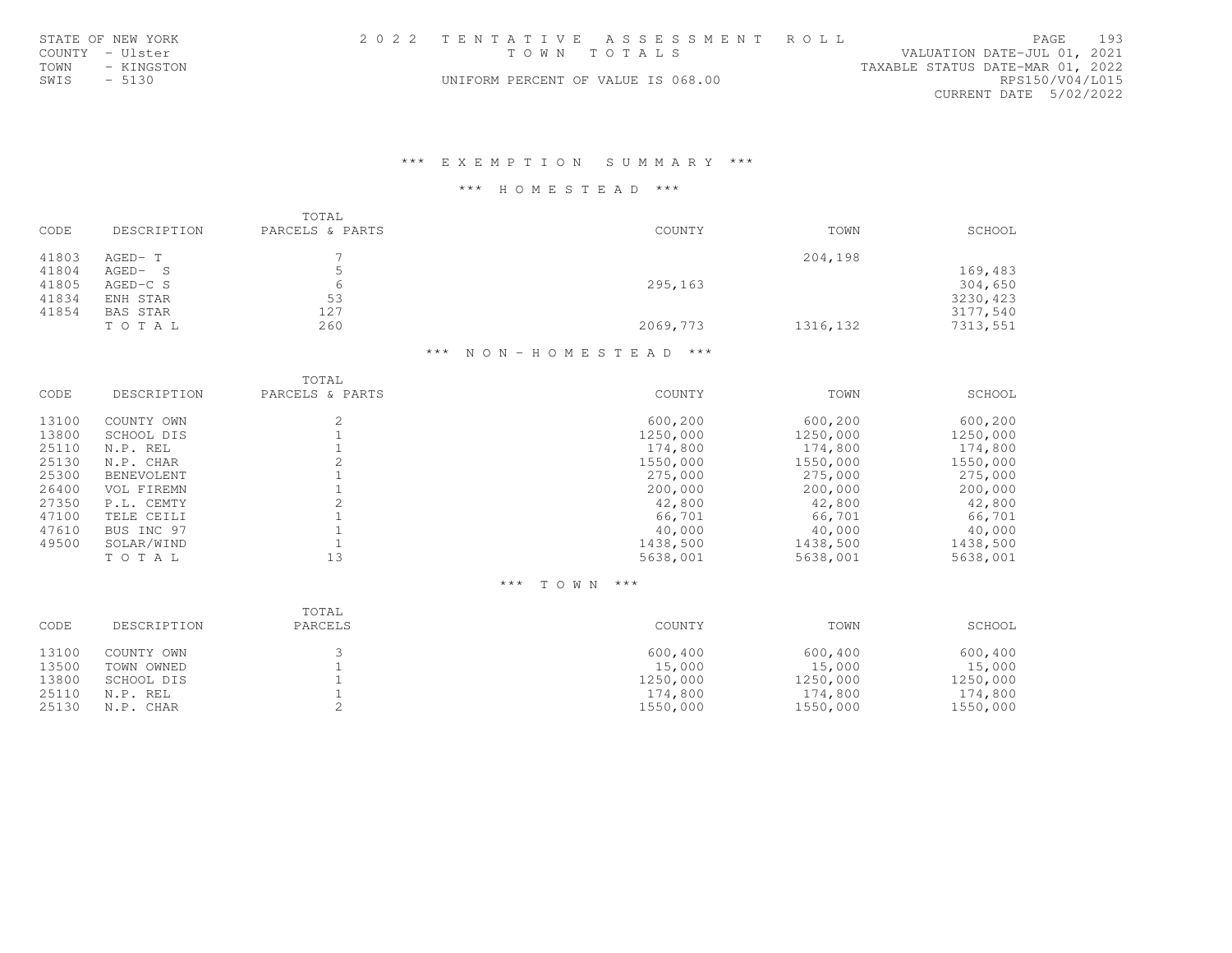| STATE OF NEW YORK  | 2022 TENTATIVE ASSESSMENT ROLL     |                                  | PAGE.           | 193 |
|--------------------|------------------------------------|----------------------------------|-----------------|-----|
| COUNTY - Ulster    | TOWN TOTALS                        | VALUATION DATE-JUL 01, 2021      |                 |     |
| TOWN<br>- KINGSTON |                                    | TAXABLE STATUS DATE-MAR 01, 2022 |                 |     |
| SWIS - 5130        | UNIFORM PERCENT OF VALUE IS 068.00 |                                  | RPS150/V04/L015 |     |
|                    |                                    | CURRENT DATE 5/02/2022           |                 |     |

## \*\*\* H O M E S T E A D \*\*\*

| SCHOOL    |
|-----------|
|           |
| 169,483   |
| 304,650   |
| 3230, 423 |
| 3177,540  |
| 7313,551  |
|           |

# \*\*\* N O N - H O M E S T E A D \*\*\*

| CODE  | DESCRIPTION       | TOTAL<br>PARCELS & PARTS | COUNTY   | TOWN     | SCHOOL   |
|-------|-------------------|--------------------------|----------|----------|----------|
|       |                   |                          |          |          |          |
| 13100 | COUNTY OWN        | 2                        | 600,200  | 600,200  | 600,200  |
| 13800 | SCHOOL DIS        |                          | 1250,000 | 1250,000 | 1250,000 |
| 25110 | N.P. REL          |                          | 174,800  | 174,800  | 174,800  |
| 25130 | N.P. CHAR         |                          | 1550,000 | 1550,000 | 1550,000 |
| 25300 | <b>BENEVOLENT</b> |                          | 275,000  | 275,000  | 275,000  |
| 26400 | VOL FIREMN        |                          | 200,000  | 200,000  | 200,000  |
| 27350 | P.L. CEMTY        |                          | 42,800   | 42,800   | 42,800   |
| 47100 | TELE CEILI        |                          | 66,701   | 66,701   | 66,701   |
| 47610 | BUS INC 97        |                          | 40,000   | 40,000   | 40,000   |
| 49500 | SOLAR/WIND        |                          | 1438,500 | 1438,500 | 1438,500 |
|       | TOTAL             | 13                       | 5638,001 | 5638,001 | 5638,001 |

# \*\*\* T O W N \*\*\*

| CODE  | DESCRIPTION | TOTAL<br>PARCELS | COUNTY   | TOWN     | SCHOOL   |
|-------|-------------|------------------|----------|----------|----------|
| 13100 | COUNTY OWN  |                  | 600,400  | 600,400  | 600,400  |
| 13500 | TOWN OWNED  |                  | 15,000   | 15,000   | 15,000   |
| 13800 | SCHOOL DIS  |                  | 1250,000 | 1250,000 | 1250,000 |
| 25110 | N.P. REL    |                  | 174,800  | 174,800  | 174,800  |
| 25130 | N.P. CHAR   |                  | 1550,000 | 1550,000 | 1550,000 |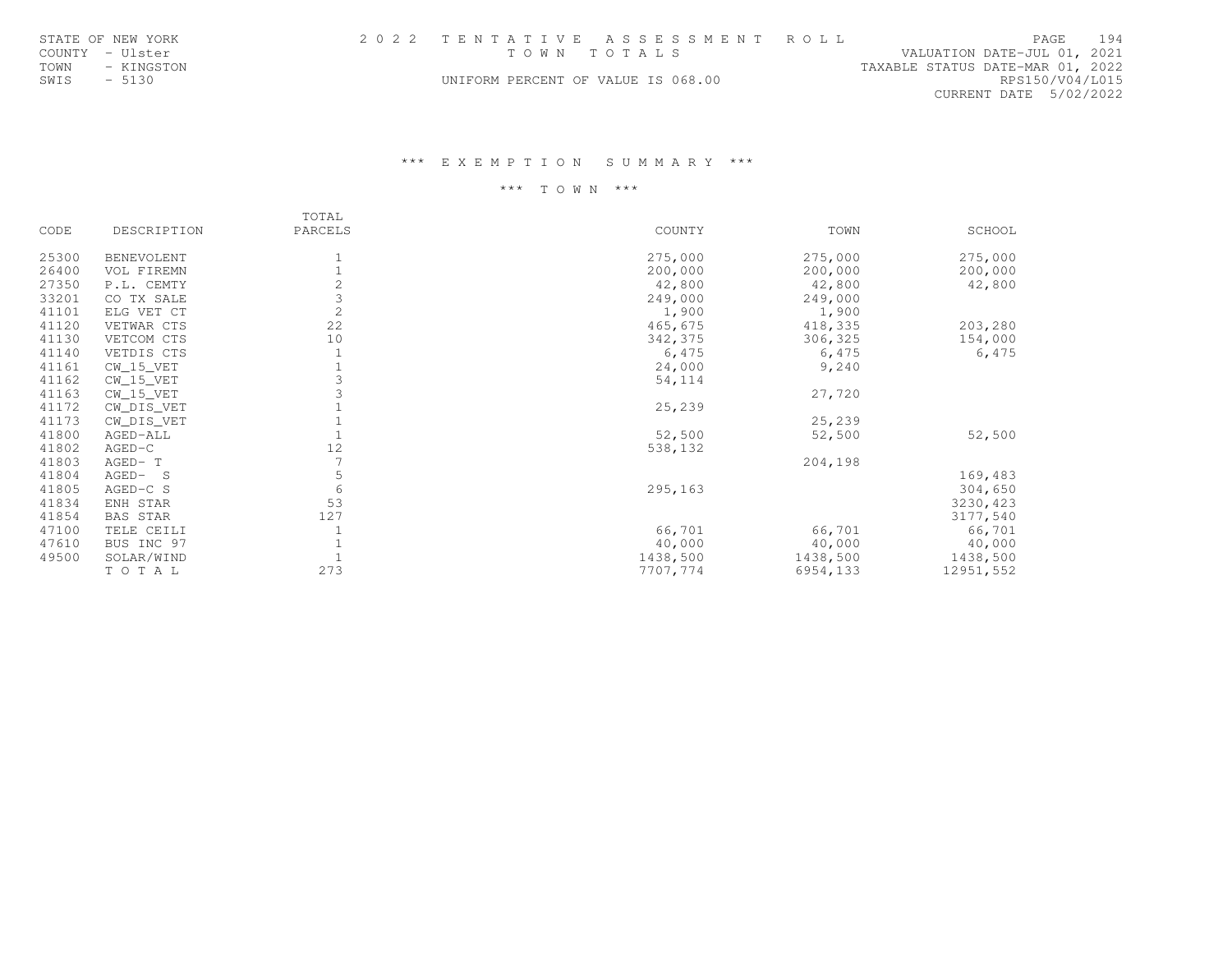|      | STATE OF NEW YORK | 2022 TENTATIVE ASSESSMENT ROLL     | 194<br>PAGE                      |
|------|-------------------|------------------------------------|----------------------------------|
|      | COUNTY - Ulster   | TOWN TOTALS                        | VALUATION DATE-JUL 01, 2021      |
| TOWN | - KINGSTON        |                                    | TAXABLE STATUS DATE-MAR 01, 2022 |
| SWIS | - 5130            | UNIFORM PERCENT OF VALUE IS 068.00 | RPS150/V04/L015                  |
|      |                   |                                    | CURRENT DATE 5/02/2022           |

## \*\*\* T O W N \*\*\*

|       |                   | TOTAL          |          |          |           |
|-------|-------------------|----------------|----------|----------|-----------|
| CODE  | DESCRIPTION       | PARCELS        | COUNTY   | TOWN     | SCHOOL    |
| 25300 | <b>BENEVOLENT</b> |                | 275,000  | 275,000  | 275,000   |
| 26400 | VOL FIREMN        |                | 200,000  | 200,000  | 200,000   |
| 27350 | P.L. CEMTY        | 2              | 42,800   | 42,800   | 42,800    |
| 33201 | CO TX SALE        | 3              | 249,000  | 249,000  |           |
| 41101 | ELG VET CT        | $\overline{c}$ | 1,900    | 1,900    |           |
| 41120 | VETWAR CTS        | 22             | 465,675  | 418,335  | 203,280   |
| 41130 | VETCOM CTS        | 10             | 342,375  | 306,325  | 154,000   |
| 41140 | VETDIS CTS        |                | 6,475    | 6,475    | 6,475     |
| 41161 | $CW_15_VET$       |                | 24,000   | 9,240    |           |
| 41162 | $CW_15_VET$       |                | 54,114   |          |           |
| 41163 | $CW_15_VET$       |                |          | 27,720   |           |
| 41172 | CW_DIS_VET        |                | 25,239   |          |           |
| 41173 | CW_DIS_VET        |                |          | 25,239   |           |
| 41800 | AGED-ALL          |                | 52,500   | 52,500   | 52,500    |
| 41802 | $AGED-C$          | 12             | 538,132  |          |           |
| 41803 | AGED-T            |                |          | 204,198  |           |
| 41804 | $AGED-$<br>- S    | 5              |          |          | 169,483   |
| 41805 | AGED-C S          | 6              | 295,163  |          | 304,650   |
| 41834 | ENH STAR          | 53             |          |          | 3230, 423 |
| 41854 | BAS STAR          | 127            |          |          | 3177,540  |
| 47100 | TELE CEILI        |                | 66,701   | 66,701   | 66,701    |
| 47610 | BUS INC 97        |                | 40,000   | 40,000   | 40,000    |
| 49500 | SOLAR/WIND        |                | 1438,500 | 1438,500 | 1438,500  |
|       | TOTAL             | 273            | 7707,774 | 6954,133 | 12951,552 |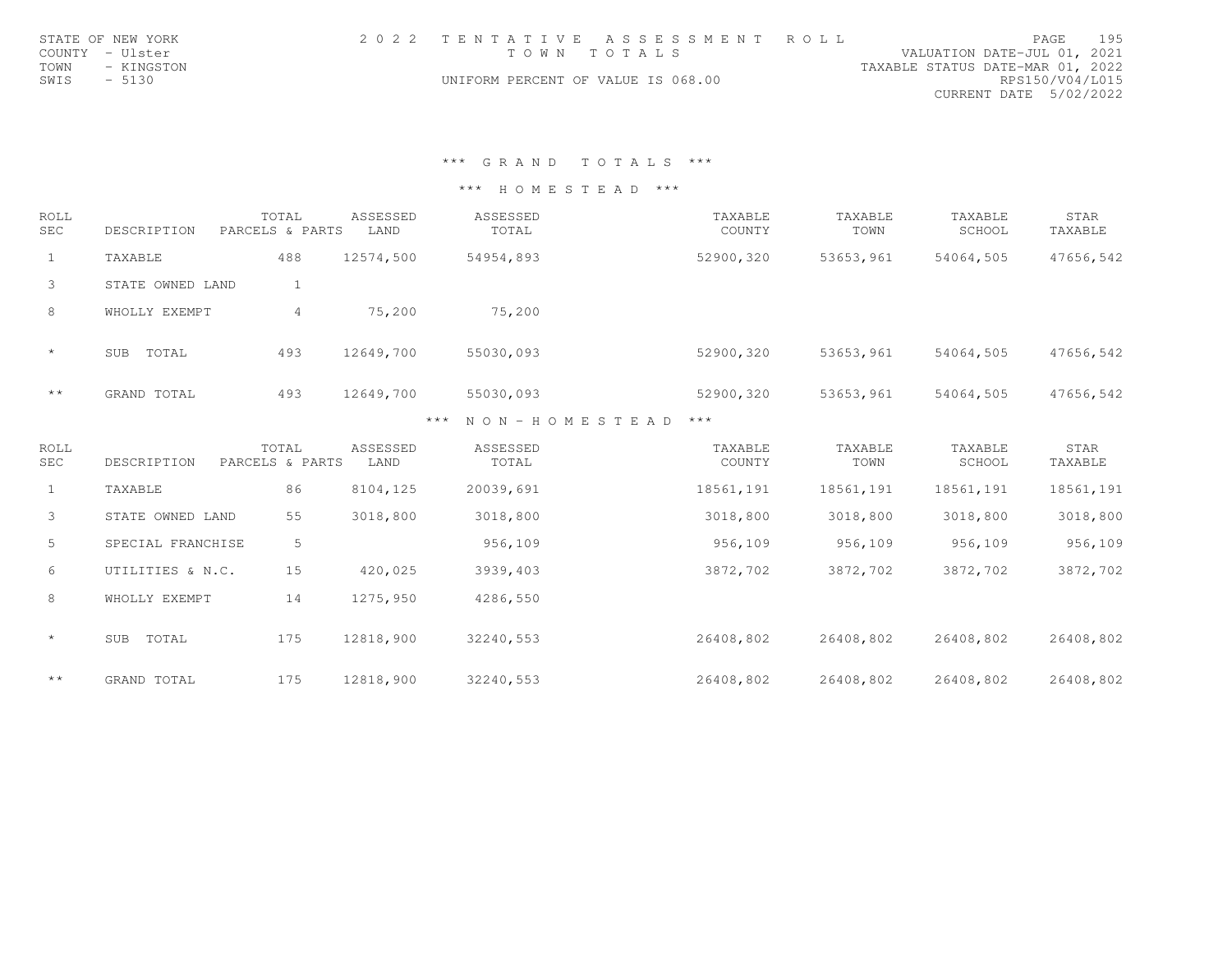|      | STATE OF NEW YORK | 2022 TENTATIVE ASSESSMENT ROLL     | 195<br>PAGE.                     |
|------|-------------------|------------------------------------|----------------------------------|
|      | COUNTY - Ulster   | TOWN TOTALS                        | VALUATION DATE-JUL 01, 2021      |
| TOWN | - KINGSTON        |                                    | TAXABLE STATUS DATE-MAR 01, 2022 |
| SWIS | $-5130$           | UNIFORM PERCENT OF VALUE IS 068.00 | RPS150/V04/L015                  |
|      |                   |                                    | CURRENT DATE 5/02/2022           |

# \*\*\* G R A N D T O T A L S \*\*\*

| <b>ROLL</b><br>SEC | DESCRIPTION       | TOTAL<br>PARCELS & PARTS | ASSESSED<br>LAND | ASSESSED<br>TOTAL      | TAXABLE<br>COUNTY | TAXABLE<br>TOWN | TAXABLE<br>SCHOOL | STAR<br>TAXABLE |
|--------------------|-------------------|--------------------------|------------------|------------------------|-------------------|-----------------|-------------------|-----------------|
| $\mathbf{1}$       | TAXABLE           | 488                      | 12574,500        | 54954,893              | 52900,320         | 53653,961       | 54064,505         | 47656,542       |
| 3                  | STATE OWNED LAND  | $\mathbf{1}$             |                  |                        |                   |                 |                   |                 |
| 8                  | WHOLLY EXEMPT     | $\overline{4}$           | 75,200           | 75,200                 |                   |                 |                   |                 |
| $\star$            | TOTAL<br>SUB      | 493                      | 12649,700        | 55030,093              | 52900,320         | 53653,961       | 54064,505         | 47656,542       |
| $\star$ $\star$    | GRAND TOTAL       | 493                      | 12649,700        | 55030,093              | 52900,320         | 53653,961       | 54064,505         | 47656,542       |
|                    |                   |                          |                  | NON-HOMESTEAD<br>$***$ | $\star\star\star$ |                 |                   |                 |
| ROLL<br>SEC        | DESCRIPTION       | TOTAL<br>PARCELS & PARTS | ASSESSED<br>LAND | ASSESSED<br>TOTAL      | TAXABLE<br>COUNTY | TAXABLE<br>TOWN | TAXABLE<br>SCHOOL | STAR<br>TAXABLE |
| $\mathbf{1}$       | TAXABLE           | 86                       | 8104,125         | 20039,691              | 18561,191         | 18561,191       | 18561,191         | 18561,191       |
| 3                  | STATE OWNED LAND  | 55                       | 3018,800         | 3018,800               | 3018,800          | 3018,800        | 3018,800          | 3018,800        |
| 5                  | SPECIAL FRANCHISE | 5                        |                  | 956,109                | 956,109           | 956,109         | 956,109           | 956,109         |
| 6                  | UTILITIES & N.C.  | 15                       | 420,025          | 3939,403               | 3872,702          | 3872,702        | 3872,702          | 3872,702        |
| 8                  | WHOLLY EXEMPT     | 14                       | 1275,950         | 4286,550               |                   |                 |                   |                 |
| $\star$            | SUB<br>TOTAL      | 175                      | 12818,900        | 32240,553              | 26408,802         | 26408,802       | 26408,802         | 26408,802       |
| $\star$ $\star$    | GRAND TOTAL       | 175                      | 12818,900        | 32240,553              | 26408,802         | 26408,802       | 26408,802         | 26408,802       |